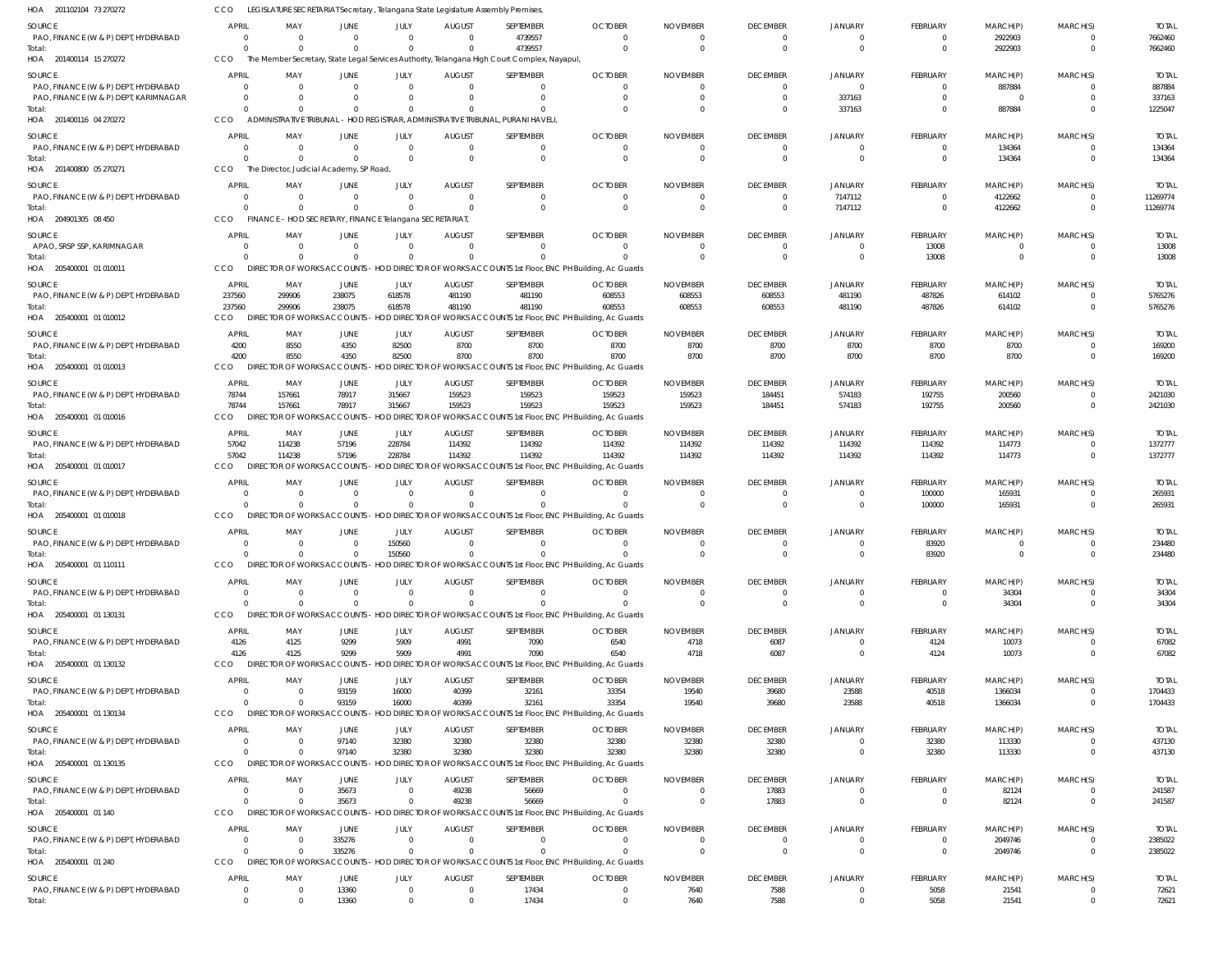| HOA 201102104 73 270272                               | CCO                            | LEGISLATURE SECRETARIAT Secretary, Telangana State Legislature Assembly Premises, |                         |                      |                           |                                                                                                        |                                                                                                               |                             |                                   |                                  |                                   |                     |                                  |                          |
|-------------------------------------------------------|--------------------------------|-----------------------------------------------------------------------------------|-------------------------|----------------------|---------------------------|--------------------------------------------------------------------------------------------------------|---------------------------------------------------------------------------------------------------------------|-----------------------------|-----------------------------------|----------------------------------|-----------------------------------|---------------------|----------------------------------|--------------------------|
| <b>SOURCE</b>                                         | <b>APRIL</b>                   | MAY                                                                               | JUNE                    | JULY                 | <b>AUGUST</b>             | SEPTEMBER                                                                                              | <b>OCTOBER</b>                                                                                                | <b>NOVEMBER</b>             | <b>DECEMBER</b>                   | <b>JANUARY</b>                   | <b>FEBRUARY</b>                   | MARCH(P)            | MARCH(S)                         | <b>TOTAL</b>             |
| PAO, FINANCE (W & P) DEPT, HYDERABAD                  | $\overline{0}$                 | $\Omega$                                                                          | $\Omega$                | $\mathbf{0}$         | $\Omega$                  | 4739557                                                                                                | $\Omega$                                                                                                      | $\Omega$                    | $\mathbf{0}$                      | $\overline{0}$                   | $\Omega$                          | 2922903             | $\mathbf{0}$                     | 7662460                  |
| Total:<br>HOA 201400114 15 270272                     | $\Omega$<br>CCO                | $\Omega$                                                                          | $\Omega$                | $\Omega$             | $\Omega$                  | 4739557<br>The Member Secretary, State Legal Services Authority, Telangana High Court Complex, Nayapul | $\Omega$                                                                                                      | $\Omega$                    | $\overline{0}$                    | $\overline{0}$                   | $\Omega$                          | 2922903             | $\overline{0}$                   | 7662460                  |
|                                                       |                                |                                                                                   |                         |                      |                           |                                                                                                        |                                                                                                               |                             |                                   |                                  |                                   |                     |                                  |                          |
| <b>SOURCE</b><br>PAO, FINANCE (W & P) DEPT, HYDERABAD | <b>APRIL</b><br>$\overline{0}$ | MAY                                                                               | JUNE<br>$\Omega$        | JULY<br>$\mathbf{0}$ | <b>AUGUST</b><br>$\Omega$ | SEPTEMBER<br>$\overline{0}$                                                                            | <b>OCTOBER</b><br>$\Omega$                                                                                    | <b>NOVEMBER</b><br>$\Omega$ | <b>DECEMBER</b><br>$\overline{0}$ | <b>JANUARY</b><br>$\overline{0}$ | <b>FEBRUARY</b><br>$\Omega$       | MARCH(P)<br>887884  | MARCH(S)<br>$\overline{0}$       | <b>TOTAL</b><br>887884   |
| PAO, FINANCE (W & P) DEPT, KARIMNAGAR                 | - 0                            |                                                                                   | $\Omega$                | $\mathbf{0}$         | $\Omega$                  | $\mathbf 0$                                                                                            | $\Omega$                                                                                                      | $\Omega$                    | $\overline{0}$                    | 337163                           | $\Omega$                          | $\overline{0}$      | $\overline{0}$                   | 337163                   |
| Total:                                                | $\Omega$                       |                                                                                   | $\Omega$                | $\Omega$             | $\Omega$                  | $\mathbf 0$                                                                                            | $\Omega$                                                                                                      | $\Omega$                    | $\overline{0}$                    | 337163                           | $\Omega$                          | 887884              | $\overline{0}$                   | 1225047                  |
| HOA 201400116 04 270272                               | CCO                            |                                                                                   |                         |                      |                           | ADMINISTRATIVE TRIBUNAL - HOD REGISTRAR, ADMINISTRATIVE TRIBUNAL, PURANI HAVELI                        |                                                                                                               |                             |                                   |                                  |                                   |                     |                                  |                          |
| <b>SOURCE</b>                                         | <b>APRIL</b>                   | MAY                                                                               | JUNE                    | JULY                 | <b>AUGUST</b>             | SEPTEMBER                                                                                              | <b>OCTOBER</b>                                                                                                | <b>NOVEMBER</b>             | <b>DECEMBER</b>                   | <b>JANUARY</b>                   | <b>FEBRUARY</b>                   | MARCH(P)            | MARCH(S)                         | <b>TOTAL</b>             |
| PAO, FINANCE (W & P) DEPT, HYDERABAD                  | - 0                            | - 0                                                                               | $\overline{\mathbf{0}}$ | $\mathbf{0}$         | $\Omega$                  | $\mathbf 0$                                                                                            | $\Omega$                                                                                                      | $\Omega$                    | $\overline{0}$                    | $\overline{0}$                   | $\Omega$                          | 134364              | $\overline{0}$                   | 134364                   |
| Total:<br>HOA 201400800 05 270271                     | $\Omega$<br>CCO                | The Director, Judicial Academy, SP Road,                                          | $\Omega$                | $\Omega$             | $\Omega$                  | $\mathbf 0$                                                                                            | $\Omega$                                                                                                      | $\Omega$                    | $\overline{0}$                    | $\overline{0}$                   | $\Omega$                          | 134364              | $\overline{0}$                   | 134364                   |
|                                                       |                                |                                                                                   |                         |                      |                           |                                                                                                        |                                                                                                               |                             |                                   |                                  |                                   |                     |                                  |                          |
| SOURCE<br>PAO, FINANCE (W & P) DEPT, HYDERABAD        | APRIL<br>$\overline{0}$        | MAY                                                                               | JUNE<br>$\mathbf{0}$    | JULY<br>$\mathbf{0}$ | <b>AUGUST</b><br>$\Omega$ | SEPTEMBER<br>$\overline{0}$                                                                            | <b>OCTOBER</b><br>0                                                                                           | <b>NOVEMBER</b><br>0        | <b>DECEMBER</b><br>$\overline{0}$ | <b>JANUARY</b><br>7147112        | <b>FEBRUARY</b><br>$\Omega$       | MARCH(P)<br>4122662 | MARCH(S)<br>$\overline{0}$       | <b>TOTAL</b><br>11269774 |
| Total:                                                | $\Omega$                       |                                                                                   | $\Omega$                | $\Omega$             | $\Omega$                  | $\overline{0}$                                                                                         | $\Omega$                                                                                                      | $\Omega$                    | $\overline{0}$                    | 7147112                          | $\overline{0}$                    | 4122662             | $\overline{0}$                   | 11269774                 |
| HOA 204901305 08 450                                  | CCO                            | FINANCE - HOD SECRETARY, FINANCE Telangana SECRETARIAT,                           |                         |                      |                           |                                                                                                        |                                                                                                               |                             |                                   |                                  |                                   |                     |                                  |                          |
| SOURCE                                                | <b>APRIL</b>                   | MAY                                                                               | JUNE                    | JULY                 | <b>AUGUST</b>             | SEPTEMBER                                                                                              | <b>OCTOBER</b>                                                                                                | <b>NOVEMBER</b>             | <b>DECEMBER</b>                   | <b>JANUARY</b>                   | FEBRUARY                          | MARCH(P)            | MARCH(S)                         | <b>TOTAL</b>             |
| APAO, SRSP SSP, KARIMNAGAR                            | $\circ$                        | $\Omega$                                                                          | $\Omega$                | $\mathbf{0}$         | $\Omega$                  | $\mathbf 0$                                                                                            | $\Omega$                                                                                                      | $\Omega$                    | $\overline{0}$                    | $\overline{0}$                   | 13008                             | $\Omega$            | $\overline{0}$                   | 13008                    |
| Total:                                                | $\Omega$                       |                                                                                   | $\Omega$                | $\Omega$             | $\Omega$                  | $\Omega$                                                                                               | $\Omega$                                                                                                      | $\Omega$                    | $\overline{0}$                    | $\overline{0}$                   | 13008                             | $\Omega$            | $\overline{0}$                   | 13008                    |
| HOA 205400001 01 010011                               | CCO                            |                                                                                   |                         |                      |                           |                                                                                                        | DIRECTOR OF WORKS ACCOUNTS - HOD DIRECTOR OF WORKS ACCOUNTS 1st Floor, ENC PH Building, Ac Guards             |                             |                                   |                                  |                                   |                     |                                  |                          |
| SOURCE                                                | APRIL                          | MAY                                                                               | JUNE                    | JULY                 | <b>AUGUST</b>             | SEPTEMBER                                                                                              | <b>OCTOBER</b>                                                                                                | <b>NOVEMBER</b>             | <b>DECEMBER</b>                   | <b>JANUARY</b>                   | <b>FEBRUARY</b>                   | MARCH(P)            | MARCH(S)                         | <b>TOTAL</b>             |
| PAO, FINANCE (W & P) DEPT, HYDERABAD                  | 237560                         | 299906<br>299906                                                                  | 238075<br>238075        | 618578<br>618578     | 481190                    | 481190                                                                                                 | 608553                                                                                                        | 608553                      | 608553                            | 481190                           | 487826                            | 614102<br>614102    | $\overline{0}$<br>$\overline{0}$ | 5765276                  |
| Total:<br>HOA 205400001 01 010012                     | 237560<br>CCO                  | <b>DIRECTOR OF WORKS ACCOUNTS -</b>                                               |                         |                      | 481190                    | 481190                                                                                                 | 608553<br>HOD DIRECTOR OF WORKS ACCOUNTS 1st Floor, ENC PH Building, Ac Guards                                | 608553                      | 608553                            | 481190                           | 487826                            |                     |                                  | 5765276                  |
|                                                       |                                |                                                                                   |                         |                      |                           |                                                                                                        |                                                                                                               |                             |                                   |                                  |                                   |                     |                                  |                          |
| SOURCE<br>PAO, FINANCE (W & P) DEPT, HYDERABAD        | APRIL<br>4200                  | MAY<br>8550                                                                       | JUNE<br>4350            | JULY<br>82500        | <b>AUGUST</b><br>8700     | SEPTEMBER<br>8700                                                                                      | <b>OCTOBER</b><br>8700                                                                                        | <b>NOVEMBER</b><br>8700     | <b>DECEMBER</b><br>8700           | <b>JANUARY</b><br>8700           | <b>FEBRUARY</b><br>8700           | MARCH(P)<br>8700    | MARCH(S)<br>$\overline{0}$       | <b>TOTAL</b><br>169200   |
| Total:                                                | 4200                           | 8550                                                                              | 4350                    | 82500                | 8700                      | 8700                                                                                                   | 8700                                                                                                          | 8700                        | 8700                              | 8700                             | 8700                              | 8700                | $\overline{0}$                   | 169200                   |
| HOA 205400001 01 010013                               | CCO                            |                                                                                   |                         |                      |                           |                                                                                                        | DIRECTOR OF WORKS ACCOUNTS - HOD DIRECTOR OF WORKS ACCOUNTS 1st Floor, ENC PH Building, Ac Guards             |                             |                                   |                                  |                                   |                     |                                  |                          |
| SOURCE                                                | APRIL                          | MAY                                                                               | JUNE                    | JULY                 | <b>AUGUST</b>             | SEPTEMBER                                                                                              | <b>OCTOBER</b>                                                                                                | <b>NOVEMBER</b>             | <b>DECEMBER</b>                   | <b>JANUARY</b>                   | <b>FEBRUARY</b>                   | MARCH(P)            | MARCH(S)                         | <b>TOTAL</b>             |
| PAO, FINANCE (W & P) DEPT, HYDERABAD                  | 78744                          | 157661                                                                            | 78917                   | 315667               | 159523                    | 159523                                                                                                 | 159523                                                                                                        | 159523                      | 184451                            | 574183                           | 192755                            | 200560              | $\overline{0}$                   | 2421030                  |
| Total:                                                | 78744                          | 157661                                                                            | 78917                   | 315667               | 159523                    | 159523                                                                                                 | 159523                                                                                                        | 159523                      | 184451                            | 574183                           | 192755                            | 200560              | $\overline{0}$                   | 2421030                  |
| HOA 205400001 01 010016                               | CCO                            | <b>DIRECTOR OF WORKS ACCOUNTS</b>                                                 |                         |                      |                           |                                                                                                        | HOD DIRECTOR OF WORKS ACCOUNTS 1st Floor, ENC PH Building, Ac Guards                                          |                             |                                   |                                  |                                   |                     |                                  |                          |
| SOURCE                                                | APRIL                          | MAY                                                                               | JUNE                    | JULY                 | <b>AUGUST</b>             | SEPTEMBER                                                                                              | <b>OCTOBER</b>                                                                                                | <b>NOVEMBER</b>             | <b>DECEMBER</b>                   | <b>JANUARY</b>                   | FEBRUARY                          | MARCH(P)            | MARCH(S)                         | <b>TOTAL</b>             |
| PAO, FINANCE (W & P) DEPT, HYDERABAD<br>Total:        | 57042<br>57042                 | 114238<br>114238                                                                  | 57196<br>57196          | 228784<br>228784     | 114392<br>114392          | 114392<br>114392                                                                                       | 114392<br>114392                                                                                              | 114392<br>114392            | 114392<br>114392                  | 114392<br>114392                 | 114392<br>114392                  | 114773<br>114773    | $\overline{0}$<br>$\overline{0}$ | 1372777<br>1372777       |
| HOA 205400001 01 010017                               | CCO                            | DIRECTOR OF WORKS ACCOUNTS                                                        |                         |                      |                           |                                                                                                        | HOD DIRECTOR OF WORKS ACCOUNTS 1st Floor, ENC PH Building, Ac Guards                                          |                             |                                   |                                  |                                   |                     |                                  |                          |
| SOURCE                                                | <b>APRIL</b>                   | MAY                                                                               | JUNE                    | JULY                 | <b>AUGUST</b>             | SEPTEMBER                                                                                              | <b>OCTOBER</b>                                                                                                | <b>NOVEMBER</b>             | <b>DECEMBER</b>                   | <b>JANUARY</b>                   | FEBRUARY                          | MARCH(P)            | MARCH(S)                         | <b>TOTAL</b>             |
| PAO, FINANCE (W & P) DEPT, HYDERABAD                  | - 0                            |                                                                                   | 0                       | $\mathbf{0}$         | $\Omega$                  | $\overline{0}$                                                                                         | $\Omega$                                                                                                      | $\Omega$                    | $\overline{0}$                    | $\overline{0}$                   | 100000                            | 165931              | $\overline{0}$                   | 265931                   |
| Total:                                                | $\Omega$                       |                                                                                   | $\mathbf 0$             | $\mathbf{0}$         | $\Omega$                  | $\mathbf 0$                                                                                            | $\Omega$                                                                                                      | $\Omega$                    | $\overline{0}$                    | $\overline{0}$                   | 100000                            | 165931              | $\overline{0}$                   | 265931                   |
| HOA 205400001 01 010018                               | <b>CCO</b>                     |                                                                                   |                         |                      |                           |                                                                                                        | DIRECTOR OF WORKS ACCOUNTS - HOD DIRECTOR OF WORKS ACCOUNTS 1st Floor, ENC PH Building, Ac Guards             |                             |                                   |                                  |                                   |                     |                                  |                          |
| <b>SOURCE</b>                                         | <b>APRIL</b>                   | MAY                                                                               | JUNE                    | JULY                 | <b>AUGUST</b>             | SEPTEMBER                                                                                              | <b>OCTOBER</b>                                                                                                | <b>NOVEMBER</b>             | <b>DECEMBER</b>                   | <b>JANUARY</b>                   | <b>FEBRUARY</b>                   | MARCH(P)            | MARCH(S)                         | <b>TOTAL</b>             |
| PAO, FINANCE (W & P) DEPT, HYDERABAD                  | $\overline{0}$                 | $\Omega$                                                                          | $\overline{0}$          | 150560               | $\Omega$                  | $^{\circ}$                                                                                             | $\Omega$                                                                                                      | $\Omega$                    | $\Omega$                          | $\overline{0}$                   | 83920                             | - 0                 | $\Omega$                         | 234480                   |
| Total:<br>HOA 205400001 01 110111                     | $\overline{0}$<br>CCO          | $\mathbf{0}$                                                                      |                         | 150560               | $\mathbf{0}$              | $\mathbf{0}$                                                                                           | DIRECTOR OF WORKS ACCOUNTS - HOD DIRECTOR OF WORKS ACCOUNTS 1st Floor, ENC PH Building, Ac Guards             |                             | $^{\circ}$                        | $\overline{0}$                   | 83920                             |                     |                                  | 234480                   |
|                                                       |                                |                                                                                   |                         |                      |                           |                                                                                                        |                                                                                                               |                             |                                   |                                  |                                   |                     |                                  |                          |
| SOURCE<br>PAO, FINANCE (W & P) DEPT, HYDERABAD        | <b>APRIL</b><br>$\overline{0}$ | MAY                                                                               | JUNE<br>$\mathbf{0}$    | JULY<br>$\mathbf{0}$ | <b>AUGUST</b><br>$\Omega$ | SEPTEMBER<br>$\mathbf 0$                                                                               | <b>OCTOBER</b><br>$\Omega$                                                                                    | <b>NOVEMBER</b><br>$\Omega$ | <b>DECEMBER</b><br>$\overline{0}$ | <b>JANUARY</b><br>$\overline{0}$ | <b>FEBRUARY</b><br>$\overline{0}$ | MARCH(P)<br>34304   | MARCH(S)<br>$\circ$              | <b>TOTAL</b><br>34304    |
| Total:                                                | $\Omega$                       |                                                                                   | $\Omega$                | $\mathbf{0}$         | $\Omega$                  | $\mathbf 0$                                                                                            | $\Omega$                                                                                                      | $\Omega$                    | $\overline{0}$                    | $\overline{0}$                   | $\overline{0}$                    | 34304               | $\overline{0}$                   | 34304                    |
| HOA 205400001 01 130131                               | CCO                            | <b>DIRECTOR OF WORKS ACCOUNTS</b>                                                 |                         |                      |                           |                                                                                                        | HOD DIRECTOR OF WORKS ACCOUNTS 1st Floor, ENC PH Building, Ac Guards                                          |                             |                                   |                                  |                                   |                     |                                  |                          |
| SOURCE                                                | <b>APRIL</b>                   | MAY                                                                               | JUNE                    | JULY                 | <b>AUGUST</b>             | SEPTEMBER                                                                                              | <b>OCTOBER</b>                                                                                                | <b>NOVEMBER</b>             | <b>DECEMBER</b>                   | <b>JANUARY</b>                   | FEBRUARY                          | MARCH(P)            | MARCH(S)                         | <b>TOTAL</b>             |
| PAO, FINANCE (W & P) DEPT, HYDERABAD                  | 4126                           | 4125                                                                              | 9299                    | 5909                 | 4991                      | 7090                                                                                                   | 6540                                                                                                          | 4718                        | 6087                              | $\overline{0}$                   | 4124                              | 10073               | $\overline{0}$                   | 67082                    |
| Total:                                                | 4126                           | 4125                                                                              | 9299                    | 5909                 | 4991                      | 7090                                                                                                   | 6540<br>DIRECTOR OF WORKS ACCOUNTS - HOD DIRECTOR OF WORKS ACCOUNTS 1st Floor, ENC PH Building, Ac Guards     | 4718                        | 6087                              | $\overline{0}$                   | 4124                              | 10073               | $\overline{0}$                   | 67082                    |
| HOA 205400001 01 130132                               | CCO                            |                                                                                   |                         |                      |                           |                                                                                                        |                                                                                                               |                             |                                   |                                  |                                   |                     |                                  |                          |
| SOURCE                                                | <b>APRIL</b>                   | MAY                                                                               | JUNE                    | JULY                 | <b>AUGUST</b>             | SEPTEMBER                                                                                              | <b>OCTOBER</b>                                                                                                | <b>NOVEMBER</b>             | <b>DECEMBER</b>                   | <b>JANUARY</b>                   | <b>FEBRUARY</b>                   | MARCH(P)            | MARCH(S)                         | <b>TOTAL</b>             |
| PAO, FINANCE (W & P) DEPT, HYDERABAD<br>Total:        | $\circ$<br>$\Omega$            |                                                                                   | 93159<br>93159          | 16000<br>16000       | 40399<br>40399            | 32161<br>32161                                                                                         | 33354<br>33354                                                                                                | 19540<br>19540              | 39680<br>39680                    | 23588<br>23588                   | 40518<br>40518                    | 1366034<br>1366034  | - 0<br>$\overline{0}$            | 1704433<br>1704433       |
| HOA 205400001 01 130134                               | CCO                            |                                                                                   |                         |                      |                           |                                                                                                        | DIRECTOR OF WORKS ACCOUNTS - HOD DIRECTOR OF WORKS ACCOUNTS 1st Floor, ENC PH Building, Ac Guards             |                             |                                   |                                  |                                   |                     |                                  |                          |
| SOURCE                                                | <b>APRIL</b>                   | MAY                                                                               | JUNE                    | JULY                 | <b>AUGUST</b>             | SEPTEMBER                                                                                              | <b>OCTOBER</b>                                                                                                | <b>NOVEMBER</b>             | <b>DECEMBER</b>                   | <b>JANUARY</b>                   | <b>FEBRUARY</b>                   | MARCH(P)            | MARCH(S)                         | <b>TOTAL</b>             |
| PAO, FINANCE (W & P) DEPT, HYDERABAD                  | $\Omega$                       |                                                                                   | 97140                   | 32380                | 32380                     | 32380                                                                                                  | 32380                                                                                                         | 32380                       | 32380                             | $\overline{0}$                   | 32380                             | 113330              | $\overline{0}$                   | 437130                   |
| Total:                                                | $\Omega$                       |                                                                                   | 97140                   | 32380                | 32380                     | 32380                                                                                                  | 32380                                                                                                         | 32380                       | 32380                             | $\overline{0}$                   | 32380                             | 113330              | $\overline{0}$                   | 437130                   |
| HOA 205400001 01 130135                               | CCO                            |                                                                                   |                         |                      |                           |                                                                                                        | DIRECTOR OF WORKS ACCOUNTS - HOD DIRECTOR OF WORKS ACCOUNTS 1st Floor, ENC PH Building, Ac Guards             |                             |                                   |                                  |                                   |                     |                                  |                          |
| SOURCE                                                | <b>APRIL</b>                   | MAY                                                                               | JUNE                    | JULY                 | <b>AUGUST</b>             | SEPTEMBER                                                                                              | <b>OCTOBER</b>                                                                                                | <b>NOVEMBER</b>             | <b>DECEMBER</b>                   | <b>JANUARY</b>                   | <b>FEBRUARY</b>                   | MARCH(P)            | MARCH(S)                         | <b>TOTAL</b>             |
| PAO, FINANCE (W & P) DEPT, HYDERABAD                  | $\overline{0}$                 | $\Omega$                                                                          | 35673                   | $\overline{0}$       | 49238                     | 56669                                                                                                  | $\overline{0}$                                                                                                | $\Omega$                    | 17883                             | $\overline{0}$                   | $\overline{0}$                    | 82124               | $\overline{0}$                   | 241587                   |
| Total:<br>HOA 205400001 01 140                        | $\overline{0}$<br>CCO          |                                                                                   | 35673                   | $\mathbf 0$          | 49238                     | 56669                                                                                                  | $\Omega$<br>DIRECTOR OF WORKS ACCOUNTS - HOD DIRECTOR OF WORKS ACCOUNTS 1st Floor, ENC PH Building, Ac Guards | $\Omega$                    | 17883                             | $\overline{0}$                   | $\mathbf{0}$                      | 82124               | $\overline{0}$                   | 241587                   |
|                                                       |                                |                                                                                   |                         |                      |                           |                                                                                                        |                                                                                                               |                             |                                   |                                  |                                   |                     |                                  |                          |
| SOURCE<br>PAO, FINANCE (W & P) DEPT, HYDERABAD        | <b>APRIL</b><br>$\Omega$       | MAY<br>- 0                                                                        | JUNE<br>335276          | JULY<br>$\mathbf{0}$ | <b>AUGUST</b><br>$\Omega$ | SEPTEMBER<br>$\mathbf 0$                                                                               | <b>OCTOBER</b><br>$\Omega$                                                                                    | <b>NOVEMBER</b><br>$\Omega$ | <b>DECEMBER</b><br>$\overline{0}$ | <b>JANUARY</b><br>$^{\circ}$     | FEBRUARY<br>$\Omega$              | MARCH(P)<br>2049746 | MARCH(S)<br>$\overline{0}$       | <b>TOTAL</b><br>2385022  |
| Total:                                                | $\overline{0}$                 |                                                                                   | 335276                  | $\mathbf 0$          | $\Omega$                  | $\Omega$                                                                                               | $\Omega$                                                                                                      | $\Omega$                    | $\overline{0}$                    | $\overline{0}$                   | $\overline{0}$                    | 2049746             | $\overline{0}$                   | 2385022                  |
| HOA 205400001 01 240                                  | CCO                            |                                                                                   |                         |                      |                           |                                                                                                        | DIRECTOR OF WORKS ACCOUNTS - HOD DIRECTOR OF WORKS ACCOUNTS 1st Floor, ENC PH Building, Ac Guards             |                             |                                   |                                  |                                   |                     |                                  |                          |
| <b>SOURCE</b>                                         | <b>APRIL</b>                   | MAY                                                                               | JUNE                    | JULY                 | <b>AUGUST</b>             | SEPTEMBER                                                                                              | <b>OCTOBER</b>                                                                                                | <b>NOVEMBER</b>             | <b>DECEMBER</b>                   | <b>JANUARY</b>                   | <b>FEBRUARY</b>                   | MARCH(P)            | MARCH(S)                         | <b>TOTAL</b>             |
| PAO, FINANCE (W & P) DEPT, HYDERABAD                  | $\overline{0}$                 | - 0                                                                               | 13360                   | $\mathbf{0}$         | $\overline{\mathbf{0}}$   | 17434                                                                                                  | 0                                                                                                             | 7640                        | 7588                              | $\overline{0}$                   | 5058                              | 21541               | $\overline{0}$                   | 72621                    |
| Total:                                                | $\overline{0}$                 |                                                                                   | 13360                   | $\mathbf 0$          | $\mathbf{0}$              | 17434                                                                                                  | $\mathbf{0}$                                                                                                  | 7640                        | 7588                              | $\overline{0}$                   | 5058                              | 21541               | $\overline{0}$                   | 72621                    |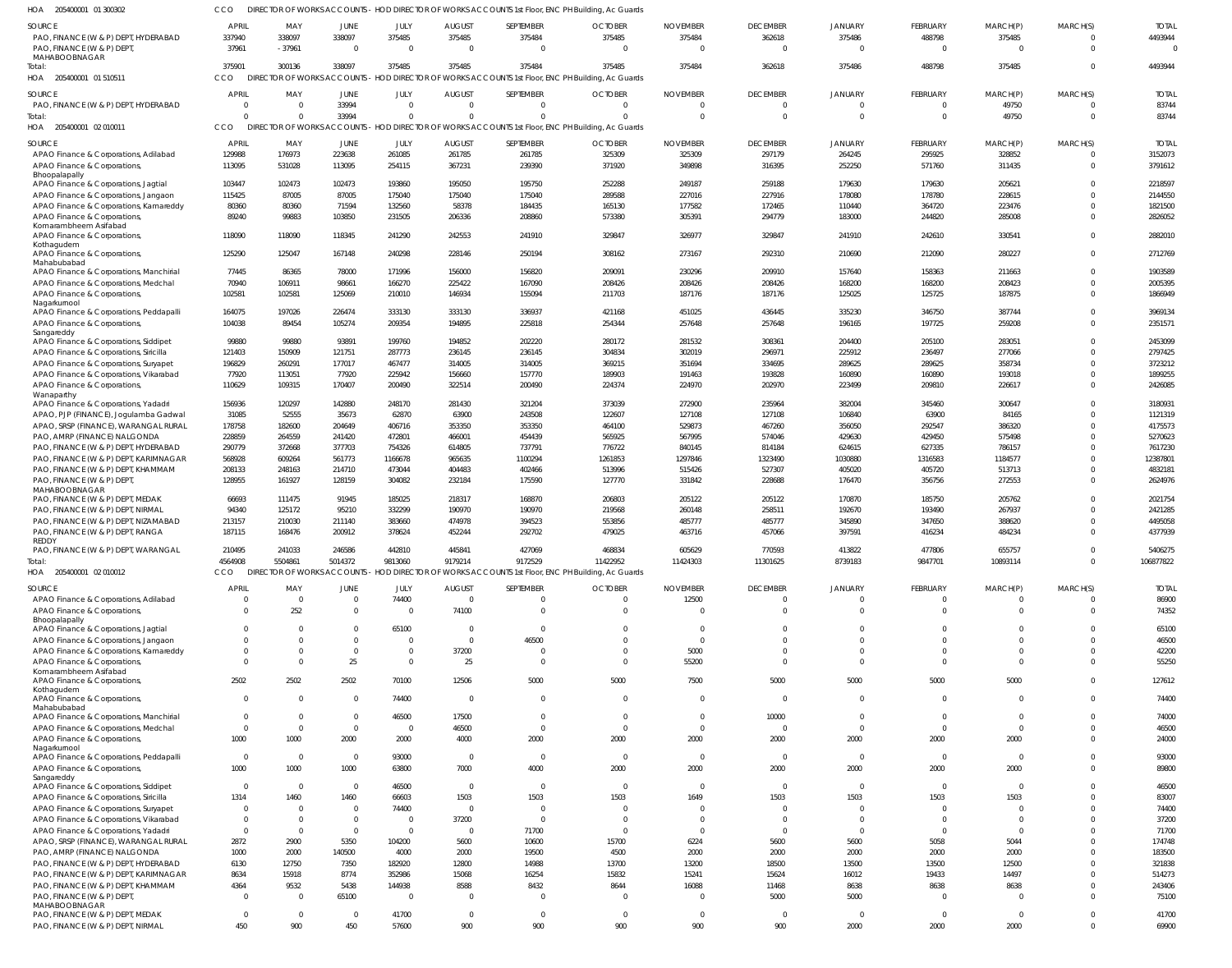205400001 01 300302 HOA 205400001 01 510511 205400001 02 010011 HOA 205400001 02 010012 HOA HOA DIRECTOR OF WORKS ACCOUNTS - HOD DIRECTOR OF WORKS ACCOUNTS 1st Floor, ENC PH Building, Ac Guards DIRECTOR OF WORKS ACCOUNTS - HOD DIRECTOR OF WORKS ACCOUNTS 1st Floor, ENC PH Building, Ac Guards DIRECTOR OF WORKS ACCOUNTS - HOD DIRECTOR OF WORKS ACCOUNTS 1st Floor, ENC PH Building, Ac Guards HOD DIRECTOR OF WORKS ACCOUNTS 1st Floor, ENC PH Building, Ac Guards CCO CCO CCO CCO DIRECTOR OF WORKS ACCOUNTS -  $\Omega$  PAO, FINANCE (W & P) DEPT, HYDERABAD PAO, FINANCE (W & P) DEPT MAHABOOBNAGAR PAO, FINANCE (W & P) DEPT, HYDERABAD APAO Finance & Corporations, Adilabad APAO Finance & Corporations, Bhoopalapally APAO Finance & Corporations, Jagtial APAO Finance & Corporations, Jangaon APAO Finance & Corporations, Kamareddy APAO Finance & Corporations, Komarambheem Asifabad APAO Finance & Corporations, Kothagudem APAO Finance & Corporations, Mahabubabad APAO Finance & Corporations, Manchirial APAO Finance & Corporations, Medchal APAO Finance & Corporations, Nagarkurnool APAO Finance & Corporations, Peddapalli APAO Finance & Corporations, Sangareddy APAO Finance & Corporations, Siddipet APAO Finance & Corporations, Siricilla APAO Finance & Corporations, Suryapet APAO Finance & Corporations, Vikarabad APAO Finance & Corporations, **Wanaparthy** APAO Finance & Corporations, Yadadri APAO, PJP (FINANCE), Jogulamba Gadwal APAO, SRSP (FINANCE), WARANGAL RURAL PAO, AMRP (FINANCE) NALGONDA PAO, FINANCE (W & P) DEPT, HYDERABAD PAO, FINANCE (W & P) DEPT, KARIMNAGAR PAO, FINANCE (W & P) DEPT, KHAMMAM PAO, FINANCE (W & P) DEPT, MAHABOOBNAGAR PAO, FINANCE (W & P) DEPT, MEDAK PAO, FINANCE (W & P) DEPT, NIRMAL PAO, FINANCE (W & P) DEPT, NIZAMABAD PAO, FINANCE (W & P) DEPT, RANGA REDDY PAO, FINANCE (W & P) DEPT, WARANGAL APAO Finance & Corporations, Adilabad APAO Finance & Corporations, Bhoopalapally APAO Finance & Corporations, Jagtial APAO Finance & Corporations, Jangaon APAO Finance & Corporations, Kamareddy APAO Finance & Corporations, Komarambheem Asifabad APAO Finance & Corporations, Kothagudem APAO Finance & Corporations, Mahabubabad APAO Finance & Corporations, Manchirial APAO Finance & Corporations, Medchal APAO Finance & Corporations, Nagarkurnool APAO Finance & Corporations, Peddapalli APAO Finance & Corporations, Sangareddy APAO Finance & Corporations, Siddipet APAO Finance & Corporations, Siricilla APAO Finance & Corporations, Suryapet APAO Finance & Corporations, Vikarabad APAO Finance & Corporations, Yadadri APAO, SRSP (FINANCE), WARANGAL RURAL PAO, AMRP (FINANCE) NALGONDA PAO, FINANCE (W & P) DEPT, HYDERABAD PAO, FINANCE (W & P) DEPT, KARIMNAGAR PAO, FINANCE (W & P) DEPT, KHAMMAM PAO, FINANCE (W & P) DEPT MAHABOOBNAGAR PAO, FINANCE (W & P) DEPT, MEDAK SOURCE **SOURCE SOURCE SOURCE**   $\theta$  $\Omega$   $\mathbf 0$   $\Omega$   $\mathbf{0}$  $\Omega$  $\theta$   $\sqrt{2}$ APRIL APRIL APRIL **APRIL**  -37961  $\sqrt{0}$   $\Omega$   $\Omega$   $\Omega$   $\sqrt{2}$   $\sqrt{2}$ MAY MAY MAY MAY  $\theta$  $\Omega$   $\Omega$   $\mathbf 0$   $\Omega$   $\Omega$  $\Omega$  $\Omega$   $\Omega$ JUNE JUNE JUNE **JUNE**   $\Omega$   $\overline{0}$  $\Omega$  JULY JULY JULY JULY  $\Omega$   $\theta$   $\sqrt{2}$   $\Omega$   $\Omega$   $\Omega$ AUGUST AUGUST AUGUST AUGUST  $\Omega$   $\Omega$   $\sqrt{2}$   $\sqrt{2}$ SEPTEMBER SEPTEMBER **SEPTEMBER** SEPTEMBER  $\Omega$   $\Omega$  $\Omega$   $\Omega$   $\Omega$   $\Omega$  $\theta$  $\Omega$   $\overline{0}$  $\Omega$ **OCTOBER OCTOBER** OCTOBER **OCTOBER**   $\Omega$   $\Omega$  $\Omega$  $\Omega$   $\Omega$   $\Omega$  $\theta$   $\Omega$ NOVEMBER NOVEMBER NOVEMBER NOVEMBER  $\Omega$   $\Omega$  $\theta$  $\Omega$   $\Omega$   $\Omega$  $\Omega$   $\Omega$ DECEMBER DECEMBER **DECEMBER DECEMBER**   $\Omega$   $\Omega$  $\Omega$  $\Omega$   $\Omega$  $\Omega$   $\overline{0}$   $\overline{0}$   $\Omega$  $\theta$  $\Omega$   $\overline{0}$ **JANUARY JANUARY JANIJARY** JANUARY  $\Omega$   $\Omega$  $\Omega$  $\Omega$   $\Omega$   $\Omega$   $\Omega$  $\theta$  $\Omega$   $\Omega$ FEBRUARY FEBRUARY FEBRUARY FEBRUARY  $\Omega$  $\Omega$   $\Omega$  $\Omega$   $\overline{0}$   $\Omega$  $\Omega$  $\Omega$   $\Omega$ MARCH(P) MARCH(P) MARCH(P) MARCH(P)  $\Omega$   $\Omega$   $\Omega$   $\Omega$   $\Omega$  $\Omega$  $\Omega$  $\Omega$  $\Omega$  $\Omega$  $\Omega$  $\Omega$   $\Omega$  $\Omega$  $\Omega$  $\Omega$   $\Omega$   $\Omega$  $\Omega$   $\Omega$  $\Omega$  $\Omega$   $\Omega$   $\Omega$   $\Omega$   $\Omega$   $\Omega$  $\Omega$   $\Omega$   $\Omega$  $\Omega$   $\Omega$   $\Omega$   $\Omega$  $\Omega$   $\Omega$  $\theta$  $\Omega$ MARCH(S) MARCH(S) MARCH(S) MARCH(S) TOTAL TOTAL TOTAL TOTAL Total: Total: Total:

PAO, FINANCE (W & P) DEPT, NIRMAL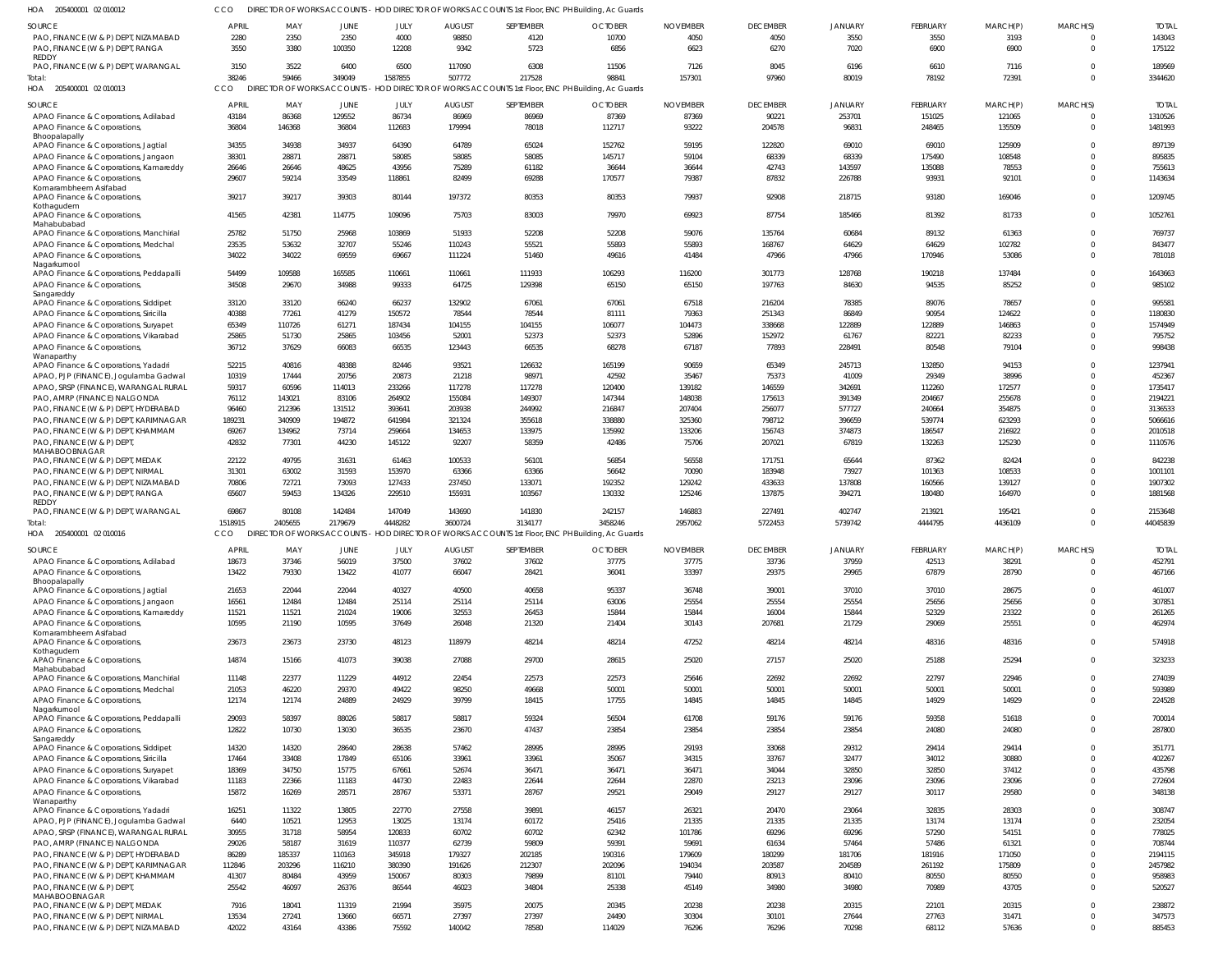| HOA<br>205400001 02 010012                 |              |         |                                     |         |               | DIRECTOR OF WORKS ACCOUNTS - HOD DIRECTOR OF WORKS ACCOUNTS 1st Floor, ENC PH Building, Ac Guards |                |                 |                 |                |                 |          |                |              |
|--------------------------------------------|--------------|---------|-------------------------------------|---------|---------------|---------------------------------------------------------------------------------------------------|----------------|-----------------|-----------------|----------------|-----------------|----------|----------------|--------------|
| <b>SOURCE</b>                              | <b>APRIL</b> | MAY     | <b>JUNE</b>                         | JULY    | <b>AUGUST</b> | SEPTEMBER                                                                                         | <b>OCTOBER</b> | <b>NOVEMBER</b> | <b>DECEMBER</b> | <b>JANUARY</b> | <b>FEBRUARY</b> | MARCH(P) | MARCH(S)       | <b>TOTAL</b> |
| PAO, FINANCE (W & P) DEPT, NIZAMABAD       | 2280         | 2350    | 2350                                | 4000    | 98850         | 4120                                                                                              | 10700          | 4050            | 4050            | 3550           | 3550            | 3193     | $\Omega$       | 143043       |
| PAO, FINANCE (W & P) DEPT, RANGA           | 3550         | 3380    | 100350                              | 12208   | 9342          | 5723                                                                                              | 6856           | 6623            | 6270            | 7020           | 6900            | 6900     | $\Omega$       | 175122       |
| REDDY                                      |              |         |                                     |         |               |                                                                                                   |                |                 |                 |                |                 |          |                |              |
| PAO, FINANCE (W & P) DEPT, WARANGAL        | 3150         | 3522    | 6400                                | 6500    | 117090        | 6308                                                                                              | 11506          | 7126            | 8045            | 6196           | 6610            | 7116     | $\Omega$       | 189569       |
| Total:                                     | 38246        | 59466   | 349049                              | 1587855 | 507772        | 217528                                                                                            | 98841          | 157301          | 97960           | 80019          | 78192           | 72391    | $\Omega$       | 3344620      |
| HOA 205400001 02 010013                    | CCO          |         | <b>DIRECTOR OF WORKS ACCOUNTS -</b> |         |               | - HOD DIRECTOR OF WORKS ACCOUNTS 1st Floor, ENC PH Building, Ac Guards                            |                |                 |                 |                |                 |          |                |              |
| <b>SOURCE</b>                              | <b>APRIL</b> | MAY     | <b>JUNE</b>                         | JULY    | <b>AUGUST</b> | SEPTEMBER                                                                                         | <b>OCTOBER</b> | <b>NOVEMBER</b> | <b>DECEMBER</b> | <b>JANUARY</b> | <b>FEBRUARY</b> | MARCH(P) | MARCH(S)       | <b>TOTAL</b> |
| APAO Finance & Corporations, Adilabad      | 43184        | 86368   | 129552                              | 86734   | 86969         | 86969                                                                                             | 87369          | 87369           | 90221           | 253701         | 151025          | 121065   | $\overline{0}$ | 1310526      |
| APAO Finance & Corporations                | 36804        | 146368  | 36804                               | 112683  | 179994        | 78018                                                                                             | 112717         | 93222           | 204578          | 96831          | 248465          | 135509   | $\overline{0}$ | 1481993      |
| Bhoopalapally                              |              |         |                                     |         |               |                                                                                                   |                |                 |                 |                |                 |          |                |              |
| APAO Finance & Corporations, Jagtial       | 34355        | 34938   | 34937                               | 64390   | 64789         | 65024                                                                                             | 152762         | 59195           | 122820          | 69010          | 69010           | 125909   | $\Omega$       | 897139       |
| APAO Finance & Corporations, Jangaon       | 38301        | 28871   | 28871                               | 58085   | 58085         | 58085                                                                                             | 145717         | 59104           | 68339           | 68339          | 175490          | 108548   | $\Omega$       | 895835       |
| APAO Finance & Corporations, Kamareddy     | 26646        | 26646   | 48625                               | 43956   | 75289         | 61182                                                                                             | 36644          | 36644           | 42743           | 143597         | 135088          | 78553    | $\Omega$       | 755613       |
| APAO Finance & Corporations,               | 29607        | 59214   | 33549                               | 118861  | 82499         | 69288                                                                                             | 170577         | 79387           | 87832           | 226788         | 93931           | 92101    | $\Omega$       | 1143634      |
| Komarambheem Asifabad                      |              |         |                                     |         |               |                                                                                                   |                |                 |                 |                |                 |          |                |              |
| APAO Finance & Corporations,               | 39217        | 39217   | 39303                               | 80144   | 197372        | 80353                                                                                             | 80353          | 79937           | 92908           | 218715         | 93180           | 169046   | $\Omega$       | 1209745      |
| Kothagudem<br>APAO Finance & Corporations, | 41565        | 42381   | 114775                              | 109096  | 75703         | 83003                                                                                             | 79970          | 69923           | 87754           | 185466         | 81392           | 81733    | $\Omega$       | 105276       |
| Mahabubabad                                |              |         |                                     |         |               |                                                                                                   |                |                 |                 |                |                 |          |                |              |
| APAO Finance & Corporations, Manchirial    | 25782        | 51750   | 25968                               | 103869  | 51933         | 52208                                                                                             | 52208          | 59076           | 135764          | 60684          | 89132           | 61363    | $\Omega$       | 769737       |
| APAO Finance & Corporations, Medchal       | 23535        | 53632   | 32707                               | 55246   | 110243        | 55521                                                                                             | 55893          | 55893           | 168767          | 64629          | 64629           | 102782   | $\mathbf 0$    | 843477       |
| APAO Finance & Corporations,               | 34022        | 34022   | 69559                               | 69667   | 111224        | 51460                                                                                             | 49616          | 41484           | 47966           | 47966          | 170946          | 53086    | $\Omega$       | 781018       |
| Nagarkurnool                               |              |         |                                     |         |               |                                                                                                   |                |                 |                 |                |                 |          |                |              |
| APAO Finance & Corporations, Peddapalli    | 54499        | 109588  | 165585                              | 110661  | 110661        | 111933                                                                                            | 106293         | 116200          | 301773          | 128768         | 190218          | 137484   | $\Omega$       | 1643663      |
| APAO Finance & Corporations,               | 34508        | 29670   | 34988                               | 99333   | 64725         | 129398                                                                                            | 65150          | 65150           | 197763          | 84630          | 94535           | 85252    | $\mathbf 0$    | 985102       |
| Sangareddy                                 |              |         |                                     |         |               |                                                                                                   |                |                 |                 |                |                 |          |                |              |
| APAO Finance & Corporations, Siddipet      | 33120        | 33120   | 66240                               | 66237   | 132902        | 67061                                                                                             | 67061          | 67518           | 216204          | 78385          | 89076           | 78657    | $\Omega$       | 99558        |
| APAO Finance & Corporations, Siricilla     | 40388        | 77261   | 41279                               | 150572  | 78544         | 78544                                                                                             | 81111          | 79363           | 251343          | 86849          | 90954           | 124622   | $\Omega$       | 1180830      |
| APAO Finance & Corporations, Suryapet      | 65349        | 110726  | 61271                               | 187434  | 104155        | 104155                                                                                            | 106077         | 104473          | 338668          | 122889         | 122889          | 146863   | $\mathbf 0$    | 1574949      |
| APAO Finance & Corporations, Vikarabad     | 25865        | 51730   | 25865                               | 103456  | 52001         | 52373                                                                                             | 52373          | 52896           | 152972          | 61767          | 82221           | 82233    | $\Omega$       | 795752       |
| APAO Finance & Corporations,<br>Wanaparthy | 36712        | 37629   | 66083                               | 66535   | 123443        | 66535                                                                                             | 68278          | 67187           | 77893           | 228491         | 80548           | 79104    | $\Omega$       | 998438       |
| APAO Finance & Corporations, Yadadri       | 52215        | 40816   | 48388                               | 82446   | 93521         | 126632                                                                                            | 165199         | 90659           | 65349           | 245713         | 132850          | 94153    | $\Omega$       | 123794       |
| APAO, PJP (FINANCE), Jogulamba Gadwal      | 10319        | 17444   | 20756                               | 20873   | 21218         | 98971                                                                                             | 42592          | 35467           | 75373           | 41009          | 29349           | 38996    | $\Omega$       | 452367       |
| APAO, SRSP (FINANCE), WARANGAL RURAL       | 59317        | 60596   | 114013                              | 233266  | 117278        | 117278                                                                                            | 120400         | 139182          | 146559          | 342691         | 112260          | 172577   | $\Omega$       | 1735417      |
| PAO, AMRP (FINANCE) NALGONDA               | 76112        | 143021  | 83106                               | 264902  | 155084        | 149307                                                                                            | 147344         | 148038          | 175613          | 391349         | 204667          | 255678   | $\Omega$       | 2194221      |
| PAO, FINANCE (W & P) DEPT, HYDERABAD       | 96460        | 212396  | 131512                              | 393641  | 203938        | 244992                                                                                            | 216847         | 207404          | 256077          | 577727         | 240664          | 354875   | $\Omega$       | 3136533      |
| PAO, FINANCE (W & P) DEPT, KARIMNAGAR      | 189231       | 340909  | 194872                              | 641984  | 321324        | 355618                                                                                            | 338880         | 325360          | 798712          | 396659         | 539774          | 623293   | $\Omega$       | 5066616      |
| PAO, FINANCE (W & P) DEPT, KHAMMAM         | 69267        | 134962  | 73714                               | 259664  | 134653        | 133975                                                                                            | 135992         | 133206          | 156743          | 374873         | 186547          | 216922   | $\Omega$       | 2010518      |
| PAO, FINANCE (W & P) DEPT,                 | 42832        | 77301   | 44230                               | 145122  | 92207         | 58359                                                                                             | 42486          | 75706           | 207021          | 67819          | 132263          | 125230   | $\Omega$       | 1110576      |
| MAHABOOBNAGAR                              |              |         |                                     |         |               |                                                                                                   |                |                 |                 |                |                 |          |                |              |
| PAO, FINANCE (W & P) DEPT, MEDAK           | 22122        | 49795   | 31631                               | 61463   | 100533        | 56101                                                                                             | 56854          | 56558           | 171751          | 65644          | 87362           | 82424    | $\Omega$       | 842238       |
| PAO, FINANCE (W & P) DEPT, NIRMAL          | 31301        | 63002   | 31593                               | 153970  | 63366         | 63366                                                                                             | 56642          | 70090           | 183948          | 73927          | 101363          | 108533   | $\Omega$       | 1001101      |
| PAO, FINANCE (W & P) DEPT, NIZAMABAD       | 70806        | 72721   | 73093                               | 127433  | 237450        | 133071                                                                                            | 192352         | 129242          | 433633          | 137808         | 160566          | 139127   | $\Omega$       | 1907302      |
| PAO, FINANCE (W & P) DEPT, RANGA           | 65607        | 59453   | 134326                              | 229510  | 155931        | 103567                                                                                            | 130332         | 125246          | 137875          | 394271         | 180480          | 164970   | $\Omega$       | 1881568      |
| <b>REDDY</b>                               |              |         |                                     |         |               |                                                                                                   |                |                 |                 |                |                 |          |                |              |
| PAO, FINANCE (W & P) DEPT, WARANGAL        | 69867        | 80108   | 142484                              | 147049  | 143690        | 141830                                                                                            | 242157         | 146883          | 227491          | 402747         | 213921          | 195421   | $\Omega$       | 2153648      |
| Total:                                     | 1518915      | 2405655 | 2179679                             | 4448282 | 3600724       | 3134177                                                                                           | 3458246        | 2957062         | 5722453         | 5739742        | 4444795         | 4436109  | $\Omega$       | 44045839     |
| HOA 205400001 02 010016                    | CCO          |         |                                     |         |               | DIRECTOR OF WORKS ACCOUNTS - HOD DIRECTOR OF WORKS ACCOUNTS 1st Floor, ENC PH Building, Ac Guards |                |                 |                 |                |                 |          |                |              |
| SOURCE                                     | <b>APRIL</b> | MAY     | <b>JUNE</b>                         | JULY    | <b>AUGUST</b> | SEPTEMBER                                                                                         | <b>OCTOBER</b> | <b>NOVEMBER</b> | <b>DECEMBER</b> | <b>JANUARY</b> | <b>FEBRUARY</b> | MARCH(P) | MARCH(S)       | <b>TOTAL</b> |
| APAO Finance & Corporations, Adilabad      | 18673        | 37346   | 56019                               | 37500   | 37602         | 37602                                                                                             | 37775          | 37775           | 33736           | 37959          | 42513           | 38291    | $\mathbf{0}$   | 452791       |
| APAO Finance & Corporations,               | 13422        | 79330   | 13422                               | 41077   | 66047         | 28421                                                                                             | 36041          | 33397           | 29375           | 29965          | 67879           | 28790    | $\Omega$       | 467166       |
| Bhoopalapally                              |              |         |                                     |         |               |                                                                                                   |                |                 |                 |                |                 |          |                |              |
| APAO Finance & Corporations, Jagtial       | 21653        | 22044   | 22044                               | 40327   | 40500         | 40658                                                                                             | 95337          | 36748           | 39001           | 37010          | 37010           | 28675    | $\Omega$       | 461007       |
| APAO Finance & Corporations, Jangaon       | 16561        | 12484   | 12484                               | 25114   | 25114         | 25114                                                                                             | 63006          | 25554           | 25554           | 25554          | 25656           | 25656    | $\Omega$       | 307851       |
| APAO Finance & Corporations, Kamareddy     | 11521        | 11521   | 21024                               | 19006   | 32553         | 26453                                                                                             | 15844          | 15844           | 16004           | 15844          | 52329           | 23322    | $\mathbf{0}$   | 261265       |
| APAO Finance & Corporations,               | 10595        | 21190   | 10595                               | 37649   | 26048         | 21320                                                                                             | 21404          | 30143           | 207681          | 21729          | 29069           | 25551    | $\Omega$       | 462974       |
| Komarambheem Asifabad                      |              |         |                                     |         |               |                                                                                                   |                |                 |                 |                |                 |          |                |              |
| APAO Finance & Corporations,               | 23673        | 23673   | 23730                               | 48123   | 118979        | 48214                                                                                             | 48214          | 47252           | 48214           | 48214          | 48316           | 48316    | $\mathbf 0$    | 574918       |
| Kothagudem<br>APAO Finance & Corporations, | 14874        | 15166   | 41073                               | 39038   | 27088         | 29700                                                                                             | 28615          | 25020           | 27157           | 25020          | 25188           | 25294    | $\mathbf 0$    | 323233       |
| Mahabubabad                                |              |         |                                     |         |               |                                                                                                   |                |                 |                 |                |                 |          |                |              |
| APAO Finance & Corporations, Manchirial    | 11148        | 22377   | 11229                               | 44912   | 22454         | 22573                                                                                             | 22573          | 25646           | 22692           | 22692          | 22797           | 22946    | $\Omega$       | 274039       |
| APAO Finance & Corporations, Medchal       | 21053        | 46220   | 29370                               | 49422   | 98250         | 49668                                                                                             | 50001          | 50001           | 50001           | 50001          | 50001           | 50001    | $\mathbf 0$    | 593989       |
| APAO Finance & Corporations,               | 12174        | 12174   | 24889                               | 24929   | 39799         | 18415                                                                                             | 17755          | 14845           | 14845           | 14845          | 14929           | 14929    | $\Omega$       | 224528       |
| Nagarkurnool                               |              |         |                                     |         |               |                                                                                                   |                |                 |                 |                |                 |          |                |              |
| APAO Finance & Corporations, Peddapalli    | 29093        | 58397   | 88026                               | 58817   | 58817         | 59324                                                                                             | 56504          | 61708           | 59176           | 59176          | 59358           | 51618    | $\Omega$       | 700014       |
| APAO Finance & Corporations,               | 12822        | 10730   | 13030                               | 36535   | 23670         | 47437                                                                                             | 23854          | 23854           | 23854           | 23854          | 24080           | 24080    | $\mathbf{0}$   | 287800       |
| Sangareddy                                 | 14320        | 14320   | 28640                               | 28638   | 57462         | 28995                                                                                             | 28995          | 29193           | 33068           | 29312          | 29414           | 29414    | $\Omega$       | 351771       |
| APAO Finance & Corporations, Siddipet      |              |         | 17849                               |         | 33961         | 33961                                                                                             |                | 34315           | 33767           | 32477          | 34012           | 30880    | $\Omega$       | 402267       |
| APAO Finance & Corporations, Siricilla     | 17464        | 33408   |                                     | 65106   |               |                                                                                                   | 35067          |                 |                 |                |                 |          | $\Omega$       |              |
| APAO Finance & Corporations, Suryapet      | 18369        | 34750   | 15775                               | 67661   | 52674         | 36471                                                                                             | 36471          | 36471           | 34044           | 32850<br>23096 | 32850           | 37412    | $\Omega$       | 435798       |
| APAO Finance & Corporations, Vikarabad     | 11183        | 22366   | 11183                               | 44730   | 22483         | 22644                                                                                             | 22644          | 22870           | 23213           |                | 23096           | 23096    |                | 272604       |
| APAO Finance & Corporations,<br>Wanaparthy | 15872        | 16269   | 28571                               | 28767   | 53371         | 28767                                                                                             | 29521          | 29049           | 29127           | 29127          | 30117           | 29580    | $\mathbf{0}$   | 348138       |
| APAO Finance & Corporations, Yadadri       | 16251        | 11322   | 13805                               | 22770   | 27558         | 39891                                                                                             | 46157          | 26321           | 20470           | 23064          | 32835           | 28303    | $\Omega$       | 308747       |
| APAO, PJP (FINANCE), Jogulamba Gadwal      | 6440         | 10521   | 12953                               | 13025   | 13174         | 60172                                                                                             | 25416          | 21335           | 21335           | 21335          | 13174           | 13174    | $\Omega$       | 232054       |
| APAO, SRSP (FINANCE), WARANGAL RURAL       | 30955        | 31718   | 58954                               | 120833  | 60702         | 60702                                                                                             | 62342          | 101786          | 69296           | 69296          | 57290           | 54151    | $\Omega$       | 778025       |
| PAO, AMRP (FINANCE) NALGONDA               | 29026        | 58187   | 31619                               | 110377  | 62739         | 59809                                                                                             | 59391          | 59691           | 61634           | 57464          | 57486           | 61321    | $\Omega$       | 708744       |
| PAO, FINANCE (W & P) DEPT, HYDERABAD       | 86289        | 185337  | 110163                              | 345918  | 179327        | 202185                                                                                            | 190316         | 179609          | 180299          | 181706         | 181916          | 171050   | $\Omega$       | 2194115      |
| PAO, FINANCE (W & P) DEPT, KARIMNAGAR      | 112846       | 203296  | 116210                              | 380390  | 191626        | 212307                                                                                            | 202096         | 194034          | 203587          | 204589         | 261192          | 175809   | $\Omega$       | 2457982      |
| PAO, FINANCE (W & P) DEPT, KHAMMAM         | 41307        | 80484   | 43959                               | 150067  | 80303         | 79899                                                                                             | 81101          | 79440           | 80913           | 80410          | 80550           | 80550    | $\Omega$       | 958983       |
| PAO, FINANCE (W & P) DEPT                  | 25542        | 46097   | 26376                               | 86544   | 46023         | 34804                                                                                             | 25338          | 45149           | 34980           | 34980          | 70989           | 43705    | $\Omega$       | 520527       |
| MAHABOOBNAGAR                              |              |         |                                     |         |               |                                                                                                   |                |                 |                 |                |                 |          |                |              |
| PAO, FINANCE (W & P) DEPT, MEDAK           | 7916         | 18041   | 11319                               | 21994   | 35975         | 20075                                                                                             | 20345          | 20238           | 20238           | 20315          | 22101           | 20315    | $\mathbf 0$    | 238872       |
| PAO, FINANCE (W & P) DEPT, NIRMAL          | 13534        | 27241   | 13660                               | 66571   | 27397         | 27397                                                                                             | 24490          | 30304           | 30101           | 27644          | 27763           | 31471    | $\mathbf 0$    | 347573       |
| PAO, FINANCE (W & P) DEPT, NIZAMABAD       | 42022        | 43164   | 43386                               | 75592   | 140042        | 78580                                                                                             | 114029         | 76296           | 76296           | 70298          | 68112           | 57636    | $\mathbf{0}$   | 885453       |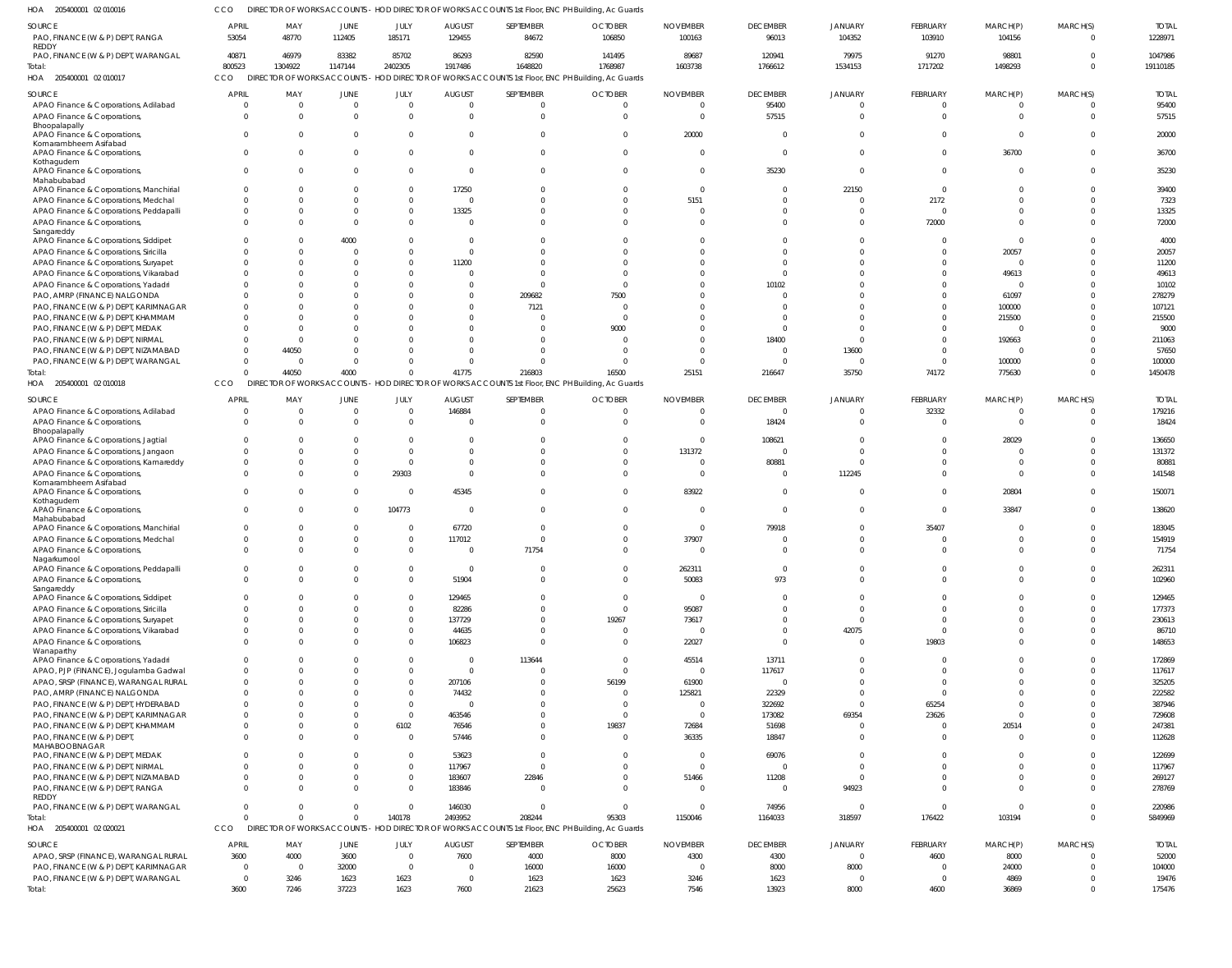205400001 02 010016 HOA CCO DIRECTOR OF WORKS ACCOUNTS - HOD DIRECTOR OF WORKS ACCOUNTS 1st Floor, ENC PH Building, Ac Guards

| SOURCE<br>PAO, FINANCE (W & P) DEPT, RANGA<br>REDDY                   | <b>APRIL</b><br>53054 | MAY<br>48770    | <b>JUNE</b><br>112405 | JULY<br>185171       | <b>AUGUST</b><br>129455  | SEPTEMBER<br>84672 | <b>OCTOBER</b><br>106850                                                                                     | <b>NOVEMBER</b><br>100163 | <b>DECEMBER</b><br>96013 | <b>JANUARY</b><br>104352 | FEBRUARY<br>103910      | MARCH(P)<br>104156 | MARCH(S)<br>$\overline{0}$ | <b>TOTAL</b><br>1228971 |
|-----------------------------------------------------------------------|-----------------------|-----------------|-----------------------|----------------------|--------------------------|--------------------|--------------------------------------------------------------------------------------------------------------|---------------------------|--------------------------|--------------------------|-------------------------|--------------------|----------------------------|-------------------------|
| PAO, FINANCE (W & P) DEPT, WARANGAL                                   | 40871                 | 46979           | 83382                 | 85702                | 86293                    | 82590              | 141495                                                                                                       | 89687                     | 120941                   | 79975                    | 91270                   | 98801              | $\Omega$                   | 1047986                 |
| Total:<br>HOA 205400001 02 010017                                     | 800523<br>CCO         | 1304922         | 1147144               | 2402305              | 1917486                  | 1648820            | 1768987<br>DIRECTOR OF WORKS ACCOUNTS - HOD DIRECTOR OF WORKS ACCOUNTS 1st Floor, ENC PH Building, Ac Guards | 1603738                   | 1766612                  | 1534153                  | 1717202                 | 1498293            | $\Omega$                   | 19110185                |
| SOURCE                                                                | <b>APRIL</b>          | MAY             | <b>JUNE</b>           | JULY                 | <b>AUGUST</b>            | SEPTEMBER          | <b>OCTOBER</b>                                                                                               | <b>NOVEMBER</b>           | <b>DECEMBER</b>          | <b>JANUARY</b>           | FEBRUARY                | MARCH(P)           | MARCH(S)                   | <b>TOTAL</b>            |
| APAO Finance & Corporations, Adilabad                                 | - 0                   | - 0             | $\overline{0}$        | $\overline{0}$       | $\Omega$                 | $\mathbf{0}$       |                                                                                                              |                           | 95400                    | $\Omega$                 | $\overline{0}$          | $\mathbf 0$        | $\overline{0}$             | 95400                   |
| APAO Finance & Corporations,                                          | $\Omega$              |                 | $\Omega$              | $\overline{0}$       | $\Omega$                 | $\overline{0}$     | $\Omega$                                                                                                     | $\Omega$                  | 57515                    | $\Omega$                 | $\mathbf 0$             | $\mathbf{0}$       | $\overline{0}$             | 57515                   |
| Bhoopalapally                                                         |                       |                 |                       |                      |                          |                    |                                                                                                              |                           |                          |                          |                         |                    |                            |                         |
| APAO Finance & Corporations,<br>Komarambheem Asifabad                 | $\Omega$              |                 | $\Omega$              | $\Omega$             | $\Omega$                 | $\overline{0}$     |                                                                                                              | 20000                     | $\Omega$                 | $\Omega$                 | $\mathbf 0$             | $\mathbf 0$        | $\Omega$                   | 20000                   |
| APAO Finance & Corporations,                                          | $\Omega$              |                 | $\Omega$              | $\Omega$             | $\Omega$                 | $\mathbf{0}$       |                                                                                                              | - 0                       | $\Omega$                 | $\Omega$                 | $\mathbf 0$             | 36700              | $\overline{0}$             | 36700                   |
| Kothagudem                                                            |                       |                 |                       |                      |                          |                    |                                                                                                              |                           |                          |                          |                         |                    |                            |                         |
| APAO Finance & Corporations,                                          | $\Omega$              |                 | $\Omega$              | $\Omega$             | $\Omega$                 | $\mathbf{0}$       |                                                                                                              | - 0                       | 35230                    | $\Omega$                 | $\mathbf 0$             | $\overline{0}$     | $\overline{0}$             | 35230                   |
| Mahabubabad<br>APAO Finance & Corporations, Manchirial                | $\Omega$              |                 | $\cap$                | $\Omega$             | 17250                    | $\Omega$           |                                                                                                              | $\cap$                    | $\Omega$                 | 22150                    | $\mathbf 0$             | $\Omega$           | $\Omega$                   | 39400                   |
| APAO Finance & Corporations, Medchal                                  | $\Omega$              |                 | $\Omega$              | $\overline{0}$       | $\Omega$                 | $\mathbf 0$        |                                                                                                              | 5151                      | $\Omega$                 | $\Omega$                 | 2172                    | $\mathbf 0$        | $\Omega$                   | 7323                    |
| APAO Finance & Corporations, Peddapalli                               | $\Omega$              |                 |                       | $\Omega$             | 13325                    | $\mathbf{0}$       |                                                                                                              |                           | $\Omega$                 | $\Omega$                 | $\overline{0}$          | $\Omega$           | $\Omega$                   | 13325                   |
| APAO Finance & Corporations,                                          | $\Omega$              |                 | $\Omega$              | $\Omega$             | $\Omega$                 | $\Omega$           |                                                                                                              |                           | $\Omega$                 | $\Omega$                 | 72000                   | $\Omega$           | $\Omega$                   | 72000                   |
| Sangareddy                                                            |                       |                 |                       |                      |                          |                    |                                                                                                              |                           |                          |                          |                         |                    |                            |                         |
| APAO Finance & Corporations, Siddipet                                 | $\Omega$              |                 | 4000                  | $\Omega$             | $\Omega$                 | $\Omega$           |                                                                                                              |                           | $\Omega$                 |                          | $\overline{0}$          | $\mathbf 0$        | $\Omega$                   | 4000                    |
| APAO Finance & Corporations, Siricilla                                | $\Omega$              |                 | $\Omega$              | $\Omega$             | $\Omega$                 | $\mathbf 0$        |                                                                                                              |                           | $\Omega$                 |                          | $\mathbf 0$             | 20057              | $\Omega$                   | 20057                   |
| APAO Finance & Corporations, Suryapet                                 | - 0                   |                 |                       | $\Omega$             | 11200                    | $\Omega$           |                                                                                                              |                           | $\Omega$                 |                          | $\mathbf 0$             | $\mathbf{0}$       | $\Omega$                   | 11200                   |
| APAO Finance & Corporations, Vikarabad                                | $\Omega$              |                 |                       | $\Omega$             |                          | $\mathbf 0$        |                                                                                                              |                           | $\Omega$                 |                          | $\mathbf 0$             | 49613              | $\Omega$<br>$\Omega$       | 49613                   |
| APAO Finance & Corporations, Yadadri                                  | $\Omega$              |                 |                       | $\Omega$<br>$\Omega$ | <sup>0</sup><br>$\Omega$ | $\overline{0}$     |                                                                                                              |                           | 10102<br>$\Omega$        |                          | $\Omega$<br>$\mathbf 0$ | $\overline{0}$     | $\Omega$                   | 10102<br>278279         |
| PAO, AMRP (FINANCE) NALGONDA<br>PAO, FINANCE (W & P) DEPT, KARIMNAGAR |                       |                 |                       | $\Omega$             | <sup>0</sup>             | 209682<br>7121     | 7500                                                                                                         |                           | $\Omega$                 |                          | $\Omega$                | 61097<br>100000    | $\Omega$                   | 107121                  |
| PAO, FINANCE (W & P) DEPT, KHAMMAM                                    |                       |                 |                       | $\Omega$             | $\Omega$                 | $\mathbf 0$        |                                                                                                              |                           | $\Omega$                 |                          | $\mathbf 0$             | 215500             | $\Omega$                   | 215500                  |
| PAO, FINANCE (W & P) DEPT, MEDAK                                      |                       |                 |                       | $\cap$               |                          | $\mathbf 0$        | 9000                                                                                                         |                           | $\Omega$                 |                          | $\mathbf 0$             | $\overline{0}$     | $\Omega$                   | 9000                    |
| PAO, FINANCE (W & P) DEPT, NIRMAL                                     | $\Omega$              | $\cap$          |                       | $\cap$               | $\Omega$                 | $\Omega$           |                                                                                                              |                           | 18400                    |                          | $\mathbf 0$             | 192663             | $\Omega$                   | 211063                  |
| PAO, FINANCE (W & P) DEPT, NIZAMABAD                                  | $\Omega$              | 44050           |                       | $\cap$               |                          | $\Omega$           |                                                                                                              |                           | $\Omega$                 | 13600                    | $\mathbf{0}$            | $\overline{0}$     | $\Omega$                   | 57650                   |
| PAO, FINANCE (W & P) DEPT, WARANGAL                                   | $\Omega$              | - 0             | $\Omega$              | $\Omega$             | $\Omega$                 | $\mathbf{0}$       |                                                                                                              |                           | $\Omega$                 | $\Omega$                 | $\mathbf{0}$            | 100000             | $\Omega$                   | 100000                  |
| Total:                                                                | $\Omega$              | 44050           | 4000                  | $\Omega$             | 41775                    | 216803             | 16500                                                                                                        | 25151                     | 216647                   | 35750                    | 74172                   | 775630             | $\Omega$                   | 1450478                 |
| HOA 205400001 02 010018                                               | CCO                   |                 |                       |                      |                          |                    | DIRECTOR OF WORKS ACCOUNTS - HOD DIRECTOR OF WORKS ACCOUNTS 1st Floor, ENC PH Building, Ac Guards            |                           |                          |                          |                         |                    |                            |                         |
|                                                                       |                       |                 |                       |                      |                          |                    |                                                                                                              |                           |                          |                          |                         |                    |                            |                         |
| <b>SOURCE</b>                                                         | <b>APRIL</b>          | MAY             | <b>JUNE</b>           | JULY                 | <b>AUGUST</b>            | SEPTEMBER          | <b>OCTOBER</b>                                                                                               | <b>NOVEMBER</b>           | <b>DECEMBER</b>          | <b>JANUARY</b>           | FEBRUARY                | MARCH(P)           | MARCH(S)                   | <b>TOTAL</b>            |
| APAO Finance & Corporations, Adilabad                                 | $\Omega$              | - 0<br>$\Omega$ | $\Omega$              | $\overline{0}$       | 146884                   | $\mathbf 0$        |                                                                                                              | $\cap$                    | $\mathbf 0$              | $\Omega$                 | 32332                   | $\overline{0}$     | $\overline{0}$             | 179216                  |
| APAO Finance & Corporations,<br>Bhoopalapally                         | $\Omega$              |                 | $\Omega$              | $\overline{0}$       | $\Omega$                 | $\overline{0}$     | $\Omega$                                                                                                     | $\Omega$                  | 18424                    | $\Omega$                 | $\mathbf{0}$            | $\mathbf{0}$       | $\overline{0}$             | 18424                   |
| APAO Finance & Corporations, Jagtial                                  | -0                    |                 |                       | $\Omega$             |                          | $\mathbf 0$        |                                                                                                              |                           | 108621                   |                          | -0                      | 28029              | $\Omega$                   | 136650                  |
| APAO Finance & Corporations, Jangaon                                  | $\Omega$              | $\cap$          | $\Omega$              | $\overline{0}$       | $\Omega$                 | $\Omega$           | $\Omega$                                                                                                     | 131372                    | $\Omega$                 | $\Omega$                 | $\Omega$                | $\Omega$           | $\Omega$                   | 131372                  |
| APAO Finance & Corporations, Kamareddy                                | $\Omega$              |                 |                       | $\overline{0}$       | $\Omega$                 | $\mathbf 0$        |                                                                                                              | - 0                       | 80881                    | $\Omega$                 | $\mathbf 0$             | $\mathbf{0}$       | $\Omega$                   | 80881                   |
| APAO Finance & Corporations,                                          | $\Omega$              |                 | $\Omega$              | 29303                | $\Omega$                 | $\Omega$           |                                                                                                              | - 0                       | $\Omega$                 | 112245                   | $\Omega$                | $\Omega$           | $\Omega$                   | 141548                  |
| Komarambheem Asifabad                                                 |                       |                 |                       |                      |                          |                    |                                                                                                              |                           |                          |                          |                         |                    |                            |                         |
| APAO Finance & Corporations,<br>Kothagudem                            | $\Omega$              |                 | $\Omega$              | $\Omega$             | 45345                    | $\Omega$           |                                                                                                              | 83922                     | $\Omega$                 | $\Omega$                 | $\Omega$                | 20804              | $\Omega$                   | 150071                  |
| APAO Finance & Corporations,                                          | $\Omega$              |                 | $\Omega$              | 104773               | $\Omega$                 | $\Omega$           |                                                                                                              | - 0                       | $\mathbf 0$              | $\Omega$                 | $\Omega$                | 33847              | $\Omega$                   | 138620                  |
| Mahabubabad                                                           |                       |                 |                       |                      |                          |                    |                                                                                                              |                           |                          |                          |                         |                    |                            |                         |
| APAO Finance & Corporations, Manchirial                               | - 0                   |                 | $\Omega$              | $\Omega$             | 67720                    | $\Omega$           |                                                                                                              | $\Omega$                  | 79918                    | $\Omega$                 | 35407                   | $\Omega$           | $\Omega$                   | 183045                  |
| APAO Finance & Corporations, Medchal                                  | $\Omega$              |                 | $\Omega$              | $\Omega$             | 117012                   | $\Omega$           |                                                                                                              | 37907                     | $\Omega$                 | $\Omega$                 | $\mathbf 0$             | $\Omega$           | $\Omega$                   | 154919                  |
| APAO Finance & Corporations,<br>Nagarkurnool                          | $\Omega$              |                 | $\Omega$              | $\Omega$             | $\Omega$                 | 71754              | $\Omega$                                                                                                     | $\Omega$                  | $\Omega$                 | $\Omega$                 | $\Omega$                | $\Omega$           | $\Omega$                   | 71754                   |
| APAO Finance & Corporations, Peddapalli                               | $\mathbf 0$           | $\Omega$        | $\Omega$              | $\Omega$             | $\Omega$                 | $\mathbf{0}$       | $\Omega$                                                                                                     | 262311                    | $\overline{0}$           | $\Omega$                 | $\mathbf 0$             | $\Omega$           | $\overline{0}$             | 262311                  |
| APAO Finance & Corporations,                                          | $\Omega$              | $\Omega$        | $\Omega$              | $\overline{0}$       | 51904                    | $\mathbf 0$        | $\Omega$                                                                                                     | 50083                     | 973                      | $\Omega$                 | $\mathbf 0$             | $\Omega$           | $\Omega$                   | 102960                  |
| Sangareddy                                                            |                       |                 |                       |                      |                          |                    |                                                                                                              |                           |                          |                          |                         |                    |                            |                         |
| APAO Finance & Corporations, Siddipet                                 | $\Omega$              |                 | $\Omega$              | $\Omega$             | 129465                   | $\Omega$           | $\Omega$                                                                                                     | $\Omega$                  | $\Omega$                 | $\mathbf 0$              | $\Omega$                | $\Omega$           | $\Omega$                   | 129465                  |
| APAO Finance & Corporations, Siricilla                                | $\Omega$              |                 |                       | $\Omega$             | 82286                    | $\Omega$           | $\Omega$                                                                                                     | 95087                     | $\Omega$                 | $\Omega$                 | $\Omega$                | $\Omega$           | $\Omega$                   | 177373                  |
| APAO Finance & Corporations, Suryapet                                 | $\Omega$              |                 | $\Omega$              | $\overline{0}$       | 137729                   | $\Omega$           | 19267                                                                                                        | 73617                     | $\Omega$                 | $\Omega$                 | $\Omega$                | $\Omega$           | $\Omega$                   | 230613                  |
| APAO Finance & Corporations, Vikarabad                                | $\Omega$              |                 |                       | $\Omega$             | 44635                    | $\mathbf 0$        | $\Omega$                                                                                                     | $\Omega$                  | $\Omega$                 | 42075                    | $\overline{0}$          | $\Omega$           | $\Omega$                   | 86710                   |
| APAO Finance & Corporations,<br>Wanaparthy                            | $\Omega$              |                 | U                     | $\Omega$             | 106823                   | $\Omega$           | $\Omega$                                                                                                     | 22027                     | $\Omega$                 | $\Omega$                 | 19803                   | $\Omega$           | $\Omega$                   | 148653                  |
| APAO Finance & Corporations, Yadadri                                  | $\Omega$              |                 |                       | $\Omega$             | $\Omega$                 | 113644             | $\Omega$                                                                                                     | 45514                     | 13711                    | $\Omega$                 | $\Omega$                | $\Omega$           | $\Omega$                   | 172869                  |
| APAO, PJP (FINANCE), Jogulamba Gadwal                                 | $\Omega$              |                 | O                     | $\Omega$             | $\Omega$                 | $\mathbf 0$        | $\Omega$                                                                                                     | - 0                       | 117617                   | $\Omega$                 | $\Omega$                | $\Omega$           | $\Omega$                   | 117617                  |
| APAO, SRSP (FINANCE), WARANGAL RURAL                                  | $\Omega$              |                 |                       | $\Omega$             | 207106                   | $\Omega$           | 56199                                                                                                        | 61900                     | $\mathbf{0}$             | $\Omega$                 | $\Omega$                | $\Omega$           | $\Omega$                   | 325205                  |
| PAO, AMRP (FINANCE) NALGONDA                                          | $\Omega$              |                 |                       | $\Omega$             | 74432                    | $\Omega$           | $\Omega$                                                                                                     | 125821                    | 22329                    | $\Omega$                 | $\mathbf 0$             | $\Omega$           | $\Omega$                   | 222582                  |
| PAO, FINANCE (W & P) DEPT, HYDERABAD                                  | $\Omega$              |                 |                       | $\overline{0}$       | $\Omega$                 | $\Omega$           | $\Omega$                                                                                                     | $\Omega$                  | 322692                   | $\mathbf 0$              | 65254                   | $\Omega$           | $\Omega$                   | 387946                  |
| PAO, FINANCE (W & P) DEPT, KARIMNAGAR                                 | $\Omega$              |                 |                       | $\Omega$             | 463546                   | $\Omega$           | $\Omega$                                                                                                     | $\Omega$                  | 173082                   | 69354                    | 23626                   | $\Omega$           | $\Omega$                   | 729608                  |
| PAO, FINANCE (W & P) DEPT, KHAMMAM                                    | $\Omega$              |                 |                       | 6102                 | 76546                    | $\mathbf 0$        | 19837                                                                                                        | 72684                     | 51698                    | $\mathbf 0$              | $\mathbf 0$             | 20514              | $\Omega$                   | 247381                  |
| PAO, FINANCE (W & P) DEPT,                                            | $\Omega$              |                 | O                     | $\Omega$             | 57446                    | $\Omega$           | $\Omega$                                                                                                     | 36335                     | 18847                    | $\Omega$                 | $\Omega$                | $\Omega$           | $\Omega$                   | 112628                  |
| MAHABOOBNAGAR                                                         | $\Omega$              |                 |                       | $\Omega$             |                          | $\Omega$           | $\Omega$                                                                                                     | $\Omega$                  |                          | $\Omega$                 | $\Omega$                | $\Omega$           | $\Omega$                   |                         |
| PAO, FINANCE (W & P) DEPT, MEDAK<br>PAO, FINANCE (W & P) DEPT, NIRMAL | $\Omega$              | $\Omega$        | $\Omega$              | $\overline{0}$       | 53623<br>117967          | $\mathbf 0$        | $\Omega$                                                                                                     | $\Omega$                  | 69076<br>$\mathbf 0$     | $\Omega$                 | $\Omega$                | $\Omega$           | $\Omega$                   | 122699<br>117967        |
| PAO, FINANCE (W & P) DEPT, NIZAMABAD                                  | $\Omega$              |                 |                       | $\overline{0}$       | 183607                   | 22846              | $\Omega$                                                                                                     | 51466                     | 11208                    | $\mathbf{0}$             | $\Omega$                | $\Omega$           | $\Omega$                   | 269127                  |
| PAO, FINANCE (W & P) DEPT, RANGA                                      | $\Omega$              |                 | $\Omega$              | $\Omega$             | 183846                   | $\mathbf 0$        | $\Omega$                                                                                                     |                           | $\overline{0}$           | 94923                    | $\Omega$                | $\Omega$           | $\Omega$                   | 278769                  |
| REDDY                                                                 |                       |                 |                       |                      |                          |                    |                                                                                                              |                           |                          |                          |                         |                    |                            |                         |
| PAO, FINANCE (W & P) DEPT, WARANGAL                                   | $\Omega$              |                 | $\Omega$              | $\Omega$             | 146030                   | $\mathbf 0$        | $\Omega$                                                                                                     | $\Omega$                  | 74956                    | $\mathbf 0$              | $\mathbf{0}$            | $\mathbf 0$        | $\Omega$                   | 220986                  |
| Total:                                                                | $\Omega$              |                 | $\Omega$              | 140178               | 2493952                  | 208244             | 95303                                                                                                        | 1150046                   | 1164033                  | 318597                   | 176422                  | 103194             | $\Omega$                   | 5849969                 |
| HOA 205400001 02 020021                                               | CCO                   |                 |                       |                      |                          |                    | DIRECTOR OF WORKS ACCOUNTS - HOD DIRECTOR OF WORKS ACCOUNTS 1st Floor, ENC PH Building, Ac Guards            |                           |                          |                          |                         |                    |                            |                         |
| SOURCE                                                                | APRIL                 | MAY             | <b>JUNE</b>           | JULY                 | <b>AUGUST</b>            | SEPTEMBER          | <b>OCTOBER</b>                                                                                               | <b>NOVEMBER</b>           | <b>DECEMBER</b>          | JANUARY                  | FEBRUARY                | MARCH(P)           | MARCH(S)                   | <b>TOTAL</b>            |
| APAO, SRSP (FINANCE), WARANGAL RURAL                                  | 3600                  | 4000            | 3600                  | $\overline{0}$       | 7600                     | 4000               | 8000                                                                                                         | 4300                      | 4300                     | $\mathbf 0$              | 4600                    | 8000               | $\overline{0}$             | 52000                   |
| PAO, FINANCE (W & P) DEPT, KARIMNAGAR                                 | $\overline{0}$        | $\overline{0}$  | 32000                 | $\overline{0}$       | $\overline{0}$           | 16000              | 16000                                                                                                        | $\Omega$                  | 8000                     | 8000                     | $\mathbf 0$             | 24000              | $\overline{0}$             | 104000                  |
| PAO, FINANCE (W & P) DEPT, WARANGAL                                   | $\overline{0}$        | 3246            | 1623                  | 1623                 | $\overline{0}$           | 1623               | 1623                                                                                                         | 3246                      | 1623                     | $\mathbf 0$              | $\overline{0}$          | 4869               | $\Omega$                   | 19476                   |
| Total:                                                                | 3600                  | 7246            | 37223                 | 1623                 | 7600                     | 21623              | 25623                                                                                                        | 7546                      | 13923                    | 8000                     | 4600                    | 36869              | $\overline{0}$             | 175476                  |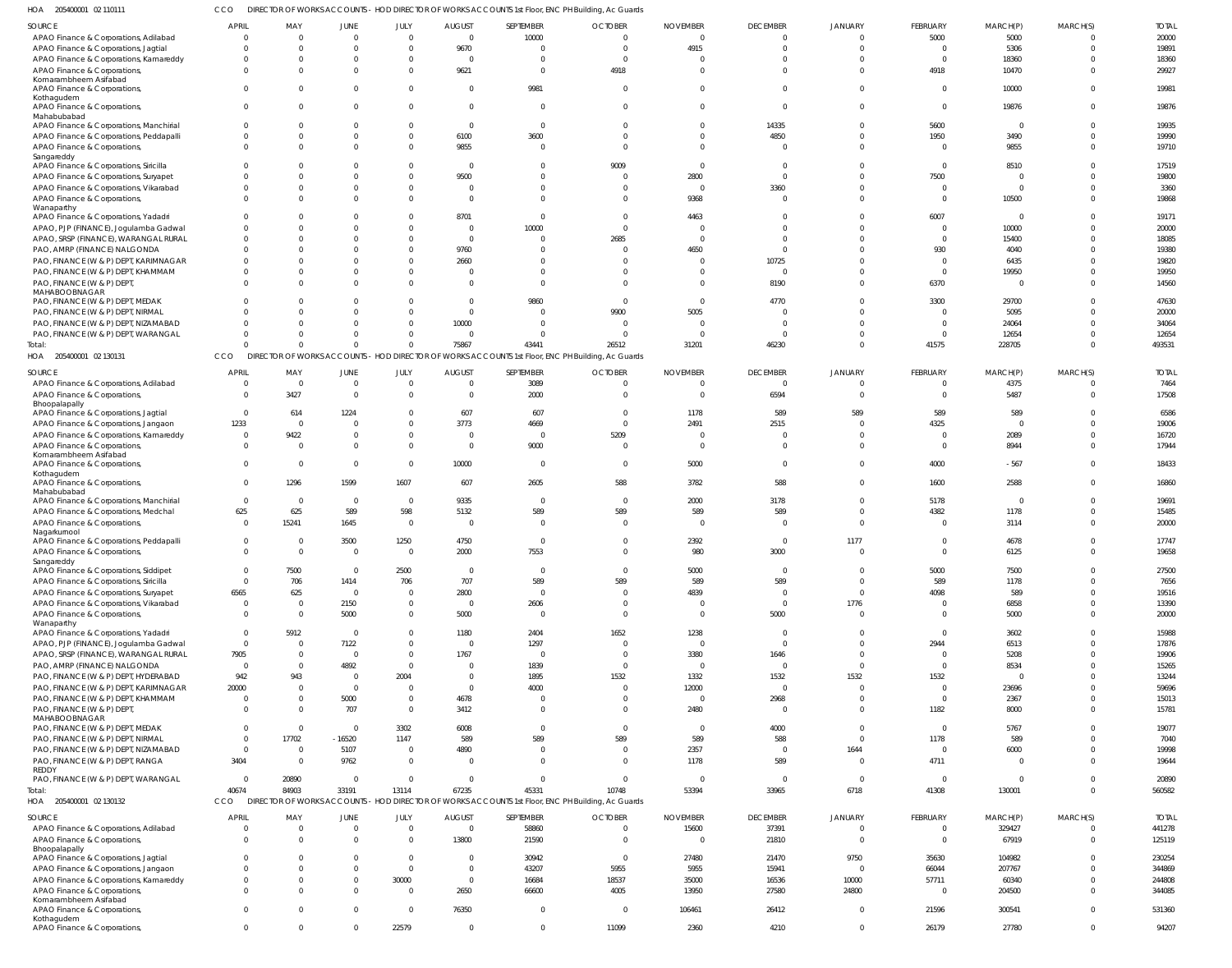205400001 02 110111 HOA CCO DIRECTOR OF WORKS ACCOUNTS - HOD DIRECTOR OF WORKS ACCOUNTS 1st Floor, ENC PH Building, Ac Guards

| SOURCE                                                                 | APRIL    | MAY                     | JUNE             | JULY         | <b>AUGUST</b>  | SEPTEMBER      | <b>OCTOBER</b>                                                                                    | <b>NOVEMBER</b> | <b>DECEMBER</b> | JANUARY                 | FEBRUARY        | MARCH(P)        | MARCH(S)       | <b>TOTAL</b>    |
|------------------------------------------------------------------------|----------|-------------------------|------------------|--------------|----------------|----------------|---------------------------------------------------------------------------------------------------|-----------------|-----------------|-------------------------|-----------------|-----------------|----------------|-----------------|
| APAO Finance & Corporations, Adilabad                                  | $\Omega$ | $\overline{0}$          | $\overline{0}$   | $\Omega$     | $\overline{0}$ | 10000          | $\Omega$                                                                                          | $\Omega$        | $\Omega$        | $\Omega$                | 5000            | 5000            | $\overline{0}$ | 20000           |
| APAO Finance & Corporations, Jagtial                                   | $\Omega$ | $\Omega$                | $\Omega$         | $\Omega$     | 9670           | $\Omega$       | $\Omega$                                                                                          | 4915            | $\Omega$        | $\Omega$                | $\overline{0}$  | 5306            | $\Omega$       | 19891           |
| APAO Finance & Corporations, Kamareddy                                 | $\Omega$ | $\Omega$                | $\Omega$         | - 0          | $\overline{0}$ | <sup>0</sup>   | $\Omega$                                                                                          | $\Omega$        | $\Omega$        | $\Omega$                | $\Omega$        | 18360           | $\Omega$       | 18360           |
| APAO Finance & Corporations,                                           | $\Omega$ | $\Omega$                | $\Omega$         | $\Omega$     | 9621           | $\Omega$       | 4918                                                                                              | $\Omega$        | $\Omega$        | $\Omega$                | 4918            | 10470           | $\Omega$       | 29927           |
| Komarambheem Asifabad<br>APAO Finance & Corporations,                  | $\Omega$ | $\Omega$                | $\Omega$         |              | $\overline{0}$ | 9981           | $\Omega$                                                                                          | $\Omega$        | $\Omega$        | $\Omega$                | $\Omega$        | 10000           | $\Omega$       | 19981           |
| Kothagudem                                                             |          |                         |                  |              |                |                |                                                                                                   |                 |                 |                         |                 |                 |                |                 |
| APAO Finance & Corporations,                                           | $\Omega$ | $\Omega$                | $\Omega$         | $\Omega$     | $\overline{0}$ | $\Omega$       | $\Omega$                                                                                          | $\Omega$        | $\Omega$        | $\Omega$                | $\mathbf 0$     | 19876           | $\Omega$       | 19876           |
| Mahabubabad                                                            |          |                         |                  |              |                |                |                                                                                                   |                 |                 |                         |                 |                 |                |                 |
| APAO Finance & Corporations, Manchirial                                | - 0      | $\Omega$                | $\Omega$         | - 0          | $\overline{0}$ | $\Omega$       | $\Omega$                                                                                          | $\Omega$        | 14335           | $\Omega$                | 5600            | $\overline{0}$  | $\Omega$       | 19935           |
| APAO Finance & Corporations, Peddapalli                                | $\Omega$ | $\Omega$                | $\Omega$         | $\Omega$     | 6100           | 3600           | $\Omega$                                                                                          | $\Omega$        | 4850            | $\Omega$                | 1950            | 3490            | $\Omega$       | 19990           |
| APAO Finance & Corporations,                                           | $\Omega$ | $\Omega$                | $\Omega$         | $\Omega$     | 9855           | $\Omega$       | $\Omega$                                                                                          | $\Omega$        |                 | $\Omega$                | $\Omega$        | 9855            | $\Omega$       | 19710           |
| Sangareddy<br>APAO Finance & Corporations, Siricilla                   |          | $\Omega$                | $\Omega$         |              | $\overline{0}$ | $\Omega$       | 9009                                                                                              | - 0             | $\Omega$        |                         | $\Omega$        | 8510            | $\Omega$       | 17519           |
| APAO Finance & Corporations, Suryapet                                  | $\Omega$ | $\Omega$                | $\Omega$         | - 0          | 9500           | $\Omega$       | $\Omega$                                                                                          | 2800            | $\Omega$        |                         | 7500            | $\mathbf 0$     | $\Omega$       | 19800           |
| APAO Finance & Corporations, Vikarabad                                 | $\Omega$ | $\Omega$                | $\Omega$         | - 0          | $\Omega$       | $\Omega$       | $\Omega$                                                                                          | $\Omega$        | 3360            | $\Omega$                | $\Omega$        | $\mathbf 0$     | $\Omega$       | 3360            |
| APAO Finance & Corporations,                                           | $\Omega$ | $\Omega$                | $\Omega$         |              | $\Omega$       | $\Omega$       | $\Omega$                                                                                          | 9368            | $\Omega$        | $\Omega$                | $\Omega$        | 10500           | $\Omega$       | 19868           |
| Wanaparthy                                                             |          |                         |                  |              |                |                |                                                                                                   |                 |                 |                         |                 |                 |                |                 |
| APAO Finance & Corporations, Yadadri                                   | $\Omega$ | $\Omega$                | $\Omega$         |              | 8701           | $\Omega$       | $\Omega$                                                                                          | 4463            | $\Omega$        | $\Omega$                | 6007            | $\Omega$        | $\Omega$       | 19171           |
| APAO, PJP (FINANCE), Jogulamba Gadwal                                  | $\Omega$ | $\Omega$                | C                |              | $\Omega$       | 10000          | $\Omega$                                                                                          | $\Omega$        |                 |                         | $\Omega$        | 10000           | $\Omega$       | 20000           |
| APAO, SRSP (FINANCE), WARANGAL RURAL                                   | $\Omega$ | $\Omega$                | C                |              | $\overline{0}$ | $\Omega$       | 2685                                                                                              | $\Omega$        | $\Omega$        | $\Omega$                | $\Omega$        | 15400           | $\Omega$       | 18085           |
| PAO, AMRP (FINANCE) NALGONDA                                           | $\Omega$ | $\Omega$                | -C               |              | 9760           |                | $\Omega$                                                                                          | 4650            | $\Omega$        |                         | 930             | 4040            | $\Omega$       | 19380           |
| PAO, FINANCE (W & P) DEPT, KARIMNAGAR                                  | $\Omega$ |                         |                  |              | 2660           | <sup>0</sup>   | $\Omega$                                                                                          | $\Omega$        | 10725           |                         | $\Omega$        | 6435            | $\Omega$       | 19820           |
| PAO, FINANCE (W & P) DEPT, KHAMMAM                                     | $\Omega$ | $\Omega$                | $\Omega$         | - 0          | $\overline{0}$ | $\Omega$       | $\Omega$                                                                                          | $\Omega$        | $\Omega$        | $\Omega$                | $\Omega$        | 19950           | $\Omega$       | 19950           |
| PAO, FINANCE (W & P) DEPT,                                             | $\Omega$ | $\Omega$                | $\Omega$         |              | $\Omega$       | $\Omega$       | $\Omega$                                                                                          | $\Omega$        | 8190            | $\Omega$                | 6370            | $\mathbf 0$     | $\Omega$       | 14560           |
| MAHABOOBNAGAR<br>PAO, FINANCE (W & P) DEPT, MEDAK                      | $\Omega$ | $\Omega$                | -C               |              | $\Omega$       | 9860           | $\Omega$                                                                                          | $\Omega$        | 4770            | 0                       | 3300            | 29700           | $\Omega$       | 47630           |
| PAO, FINANCE (W & P) DEPT, NIRMAL                                      | $\Omega$ | $\Omega$                |                  |              | $\Omega$       | $\Omega$       | 9900                                                                                              | 5005            |                 | $\Omega$                | $\Omega$        | 5095            | $\Omega$       | 20000           |
| PAO, FINANCE (W & P) DEPT, NIZAMABAD                                   | $\Omega$ | $\Omega$                | $\Omega$         | $\Omega$     | 10000          | $\Omega$       | $\Omega$                                                                                          | $\Omega$        | $\Omega$        | $\Omega$                | $\Omega$        | 24064           | $\Omega$       | 34064           |
|                                                                        | $\Omega$ | $\Omega$                | $\Omega$         |              | $\mathsf{C}$   |                | $\Omega$                                                                                          | $\Omega$        |                 | $\Omega$                | $\Omega$        |                 | $\Omega$       |                 |
| PAO, FINANCE (W & P) DEPT, WARANGAL<br>Total:                          | $\Omega$ |                         | $\Omega$         | $\Omega$     | 75867          | 43441          | 26512                                                                                             | 31201           | 46230           | $\Omega$                | 41575           | 12654<br>228705 | $\Omega$       | 12654<br>493531 |
| HOA 205400001 02 130131                                                | CCO      |                         |                  |              |                |                | DIRECTOR OF WORKS ACCOUNTS - HOD DIRECTOR OF WORKS ACCOUNTS 1st Floor, ENC PH Building, Ac Guards |                 |                 |                         |                 |                 |                |                 |
|                                                                        |          |                         |                  |              |                |                |                                                                                                   |                 |                 |                         |                 |                 |                |                 |
| SOURCE                                                                 | APRIL    | MAY                     | JUNE             | JULY         | <b>AUGUST</b>  | SEPTEMBER      | <b>OCTOBER</b>                                                                                    | <b>NOVEMBER</b> | <b>DECEMBER</b> | JANUARY                 | <b>FEBRUARY</b> | MARCH(P)        | MARCH(S)       | <b>TOTAL</b>    |
| APAO Finance & Corporations, Adilabad                                  | $\Omega$ | - 0                     | $\Omega$         | - 0          | $\Omega$       | 3089           | $\Omega$                                                                                          | -0              | $\Omega$        |                         | $\Omega$        | 4375            | $\Omega$       | 7464            |
| APAO Finance & Corporations,                                           | $\Omega$ | 3427                    | 0                | - 0          | $\overline{0}$ | 2000           | $\Omega$                                                                                          | $\Omega$        | 6594            | $\Omega$                | $\Omega$        | 5487            | $\Omega$       | 17508           |
| Bhoopalapally                                                          | $\Omega$ |                         |                  |              |                |                | $\Omega$                                                                                          |                 |                 |                         |                 |                 | $\Omega$       |                 |
| APAO Finance & Corporations, Jagtial                                   | 1233     | 614<br>$\overline{0}$   | 1224<br>$\Omega$ |              | 607<br>3773    | 607<br>4669    | $\Omega$                                                                                          | 1178<br>2491    | 589<br>2515     | 589<br>$\Omega$         | 589<br>4325     | 589<br>$\Omega$ | $\Omega$       | 6586<br>19006   |
| APAO Finance & Corporations, Jangaon                                   | $\Omega$ |                         | $\Omega$         |              | $\Omega$       | $\Omega$       | 5209                                                                                              | $\Omega$        |                 | $\Omega$                | $\Omega$        |                 | $\Omega$       | 16720           |
| APAO Finance & Corporations, Kamareddy<br>APAO Finance & Corporations, | $\Omega$ | 9422<br>$\Omega$        | $\Omega$         |              | $\Omega$       | 9000           | $\Omega$                                                                                          | $\Omega$        | $\Omega$        | $\Omega$                | $\Omega$        | 2089<br>8944    | $\Omega$       | 17944           |
| Komarambheem Asifabad                                                  |          |                         |                  |              |                |                |                                                                                                   |                 |                 |                         |                 |                 |                |                 |
| APAO Finance & Corporations,                                           | $\Omega$ | $\Omega$                | $\Omega$         |              | 10000          | $\Omega$       | $\Omega$                                                                                          | 5000            | $\Omega$        | $\Omega$                | 4000            | $-567$          | $\Omega$       | 18433           |
| Kothagudem                                                             |          |                         |                  |              |                |                |                                                                                                   |                 |                 |                         |                 |                 |                |                 |
| APAO Finance & Corporations,                                           | $\Omega$ | 1296                    | 1599             | 1607         | 607            | 2605           | 588                                                                                               | 3782            | 588             | $\overline{0}$          | 1600            | 2588            | $\Omega$       | 16860           |
| Mahabubabad<br>APAO Finance & Corporations, Manchirial                 | $\Omega$ | $\overline{\mathbf{0}}$ | $\overline{0}$   | - 0          | 9335           | $\Omega$       | $\overline{0}$                                                                                    | 2000            | 3178            | $\Omega$                | 5178            | $\overline{0}$  | $\Omega$       | 19691           |
| APAO Finance & Corporations, Medchal                                   | 625      | 625                     | 589              | 598          | 5132           | 589            | 589                                                                                               | 589             | 589             | $\Omega$                | 4382            | 1178            | $\Omega$       | 15485           |
| APAO Finance & Corporations,                                           | $\Omega$ | 15241                   | 1645             | - 0          | $\overline{0}$ | $\Omega$       | $\Omega$                                                                                          | $\Omega$        | $\Omega$        | $\Omega$                | $\Omega$        | 3114            | $\Omega$       | 20000           |
| Nagarkurnool                                                           |          |                         |                  |              |                |                |                                                                                                   |                 |                 |                         |                 |                 |                |                 |
| APAO Finance & Corporations, Peddapalli                                | $\Omega$ | $\Omega$                | 3500             | 1250         | 4750           | $\Omega$       | $\Omega$                                                                                          | 2392            | $\Omega$        | 1177                    | $\Omega$        | 4678            | $\Omega$       | 17747           |
| APAO Finance & Corporations,                                           | $\Omega$ | $\Omega$                | $\Omega$         | $\Omega$     | 2000           | 7553           | $\Omega$                                                                                          | 980             | 3000            | $\Omega$                | $\Omega$        | 6125            | $\Omega$       | 19658           |
| Sangareddy                                                             |          |                         |                  |              |                |                |                                                                                                   |                 |                 |                         |                 |                 |                |                 |
| APAO Finance & Corporations, Siddipet                                  | $\Omega$ | 7500                    | $\Omega$         | 2500         | $\overline{0}$ | $\Omega$       | $\overline{0}$                                                                                    | 5000            | $\Omega$        | $\Omega$                | 5000            | 7500            | $\Omega$       | 27500           |
| APAO Finance & Corporations, Siricilla                                 | $\Omega$ | 706                     | 1414             | 706          | 707            | 589            | 589                                                                                               | 589             | 589             | $\Omega$                | 589             | 1178            | $\Omega$       | 7656            |
| APAO Finance & Corporations, Suryapet                                  | 6565     | 625                     | $\overline{0}$   | $\mathsf{C}$ | 2800           | $\overline{0}$ | $\overline{0}$                                                                                    | 4839            | $\Omega$        | $\Omega$                | 4098            | 589             | $\Omega$       | 19516           |
| APAO Finance & Corporations, Vikarabad                                 | $\Omega$ | $\overline{0}$          | 2150             |              | $\overline{0}$ | 2606           | $\overline{0}$                                                                                    | $\Omega$        | $\Omega$        | 1776                    | $\mathbf 0$     | 6858            | $\Omega$       | 13390           |
| APAO Finance & Corporations,                                           | $\Omega$ | $\Omega$                | 5000             |              | 5000           | $\overline{0}$ | $\overline{0}$                                                                                    | $\overline{0}$  | 5000            | $\overline{0}$          | $\mathbf 0$     | 5000            | $\Omega$       | 20000           |
| Wanaparthy<br>APAO Finance & Corporations, Yadadri                     | $\Omega$ | 5912                    | $\overline{0}$   |              | 1180           | 2404           | 1652                                                                                              | 1238            | $\Omega$        | $\Omega$                | $\overline{0}$  | 3602            | $\Omega$       | 15988           |
| APAO, PJP (FINANCE), Jogulamba Gadwal                                  | $\Omega$ | $\Omega$                | 7122             |              | $\overline{0}$ | 1297           | $\overline{0}$                                                                                    | $\overline{0}$  | $\Omega$        | $\Omega$                | 2944            | 6513            | $\Omega$       | 17876           |
| APAO, SRSP (FINANCE), WARANGAL RURAL                                   | 7905     | $\Omega$                | $\overline{0}$   |              | 1767           | $\Omega$       | $\overline{0}$                                                                                    | 3380            | 1646            | $\Omega$                | $\mathbf 0$     | 5208            | $\Omega$       | 19906           |
| PAO, AMRP (FINANCE) NALGONDA                                           | $\Omega$ | $\Omega$                | 4892             |              | $\overline{0}$ | 1839           | $\overline{0}$                                                                                    | $\overline{0}$  | $\Omega$        | $\Omega$                | $\mathbf 0$     | 8534            | $\Omega$       | 15265           |
| PAO, FINANCE (W & P) DEPT, HYDERABAD                                   | 942      | 943                     | $\overline{0}$   | 2004         | 0              | 1895           | 1532                                                                                              | 1332            | 1532            | 1532                    | 1532            | $\mathbf 0$     | $\Omega$       | 13244           |
| PAO, FINANCE (W & P) DEPT, KARIMNAGAR                                  | 20000    | $\Omega$                | $\Omega$         |              | $\overline{0}$ | 4000           | $\overline{0}$                                                                                    | 12000           | $\Omega$        | $\Omega$                | $\overline{0}$  | 23696           | $\Omega$       | 59696           |
| PAO, FINANCE (W & P) DEPT, KHAMMAM                                     | $\Omega$ | $\Omega$                | 5000             | - 0          | 4678           | $\Omega$       | 0                                                                                                 | $\overline{0}$  | 2968            | $\Omega$                | $\Omega$        | 2367            | $\Omega$       | 15013           |
| PAO, FINANCE (W & P) DEPT,                                             | $\Omega$ | $\Omega$                | 707              | $\Omega$     | 3412           | $\Omega$       | $\overline{0}$                                                                                    | 2480            | $\Omega$        | $\overline{0}$          | 1182            | 8000            | $\Omega$       | 15781           |
| MAHABOOBNAGAR                                                          |          |                         |                  |              |                |                |                                                                                                   |                 |                 |                         |                 |                 |                |                 |
| PAO, FINANCE (W & P) DEPT, MEDAK                                       | $\Omega$ | $\Omega$                | $\overline{0}$   | 3302         | 6008           | $\Omega$       | $\overline{0}$                                                                                    | $\overline{0}$  | 4000            | $\overline{0}$          | $\overline{0}$  | 5767            | $\Omega$       | 19077           |
| PAO, FINANCE (W & P) DEPT, NIRMAL                                      | $\Omega$ | 17702                   | $-16520$         | 1147         | 589            | 589            | 589                                                                                               | 589             | 588             | $\overline{0}$          | 1178            | 589             | $\Omega$       | 7040            |
| PAO, FINANCE (W & P) DEPT, NIZAMABAD                                   | $\Omega$ | $\overline{0}$          | 5107             | $\Omega$     | 4890           | $\overline{0}$ | $\overline{0}$                                                                                    | 2357            | $\Omega$        | 1644                    | $\overline{0}$  | 6000            | $\Omega$       | 19998           |
| PAO, FINANCE (W & P) DEPT, RANGA                                       | 3404     | $\Omega$                | 9762             | $\Omega$     | $\overline{0}$ | $\Omega$       | $\overline{0}$                                                                                    | 1178            | 589             | $\overline{\mathbf{0}}$ | 4711            | 0               | $\Omega$       | 19644           |
| <b>REDDY</b><br>PAO, FINANCE (W & P) DEPT, WARANGAL                    | $\Omega$ | 20890                   | $\overline{0}$   | $\Omega$     | $\overline{0}$ | $\Omega$       | $\overline{0}$                                                                                    | $\overline{0}$  | $\overline{0}$  | $\overline{0}$          | $\overline{0}$  | $\overline{0}$  | $\Omega$       | 20890           |
|                                                                        | 40674    | 84903                   |                  | 13114        | 67235          | 45331          | 10748                                                                                             | 53394           | 33965           |                         | 41308           |                 | $\Omega$       | 560582          |
| Total:<br>HOA 205400001 02 130132                                      | CCO      |                         | 33191            |              |                |                | DIRECTOR OF WORKS ACCOUNTS - HOD DIRECTOR OF WORKS ACCOUNTS 1st Floor, ENC PH Building, Ac Guards |                 |                 | 6718                    |                 | 130001          |                |                 |
|                                                                        |          |                         |                  |              |                |                |                                                                                                   |                 |                 |                         |                 |                 |                |                 |
| SOURCE                                                                 | APRIL    | MAY                     | <b>JUNE</b>      | JULY         | <b>AUGUST</b>  | SEPTEMBER      | <b>OCTOBER</b>                                                                                    | <b>NOVEMBER</b> | <b>DECEMBER</b> | <b>JANUARY</b>          | FEBRUARY        | MARCH(P)        | MARCH(S)       | <b>TOTAL</b>    |
| APAO Finance & Corporations, Adilabad                                  | $\Omega$ | $\overline{0}$          | $\overline{0}$   | $\Omega$     | $\overline{0}$ | 58860          | $\overline{0}$                                                                                    | 15600           | 37391           | $\Omega$                | $\overline{0}$  | 329427          | $\overline{0}$ | 441278          |
| APAO Finance & Corporations,                                           | $\Omega$ | $\Omega$                | $\overline{0}$   | $\Omega$     | 13800          | 21590          | $\overline{0}$                                                                                    | $\overline{0}$  | 21810           | $\overline{0}$          | $\overline{0}$  | 67919           | $\overline{0}$ | 125119          |
| Bhoopalapally                                                          |          |                         |                  |              |                |                |                                                                                                   |                 |                 |                         |                 |                 |                |                 |
| APAO Finance & Corporations, Jagtial                                   | - 0      | $\Omega$                | $\Omega$         | $\Omega$     | 0              | 30942          | $\overline{0}$                                                                                    | 27480           | 21470           | 9750                    | 35630           | 104982          | $\Omega$       | 230254          |
| APAO Finance & Corporations, Jangaon                                   | $\Omega$ | $\Omega$                | $\Omega$         | $\Omega$     | $\overline{0}$ | 43207          | 5955                                                                                              | 5955            | 15941           | $\Omega$                | 66044           | 207767          | $\Omega$       | 344869          |
| APAO Finance & Corporations, Kamareddy                                 | $\Omega$ | $\overline{0}$          | 0                | 30000        | $\overline{0}$ | 16684          | 18537                                                                                             | 35000           | 16536           | 10000                   | 57711           | 60340           | $\overline{0}$ | 244808          |
| APAO Finance & Corporations,<br>Komarambheem Asifabad                  | $\Omega$ | $\Omega$                | $\Omega$         | $\Omega$     | 2650           | 66600          | 4005                                                                                              | 13950           | 27580           | 24800                   | $\overline{0}$  | 204500          | $\Omega$       | 344085          |
| APAO Finance & Corporations,                                           | $\Omega$ | $\Omega$                | $\mathbf 0$      | $\Omega$     | 76350          | $\overline{0}$ | $\overline{0}$                                                                                    | 106461          | 26412           | $\overline{0}$          | 21596           | 300541          | $\overline{0}$ | 531360          |
| Kothagudem                                                             |          |                         |                  |              |                |                |                                                                                                   |                 |                 |                         |                 |                 |                |                 |
| APAO Finance & Corporations,                                           | $\Omega$ | $\Omega$                | $\Omega$         | 22579        | $\overline{0}$ | $\Omega$       | 11099                                                                                             | 2360            | 4210            | $\overline{0}$          | 26179           | 27780           | $\Omega$       | 94207           |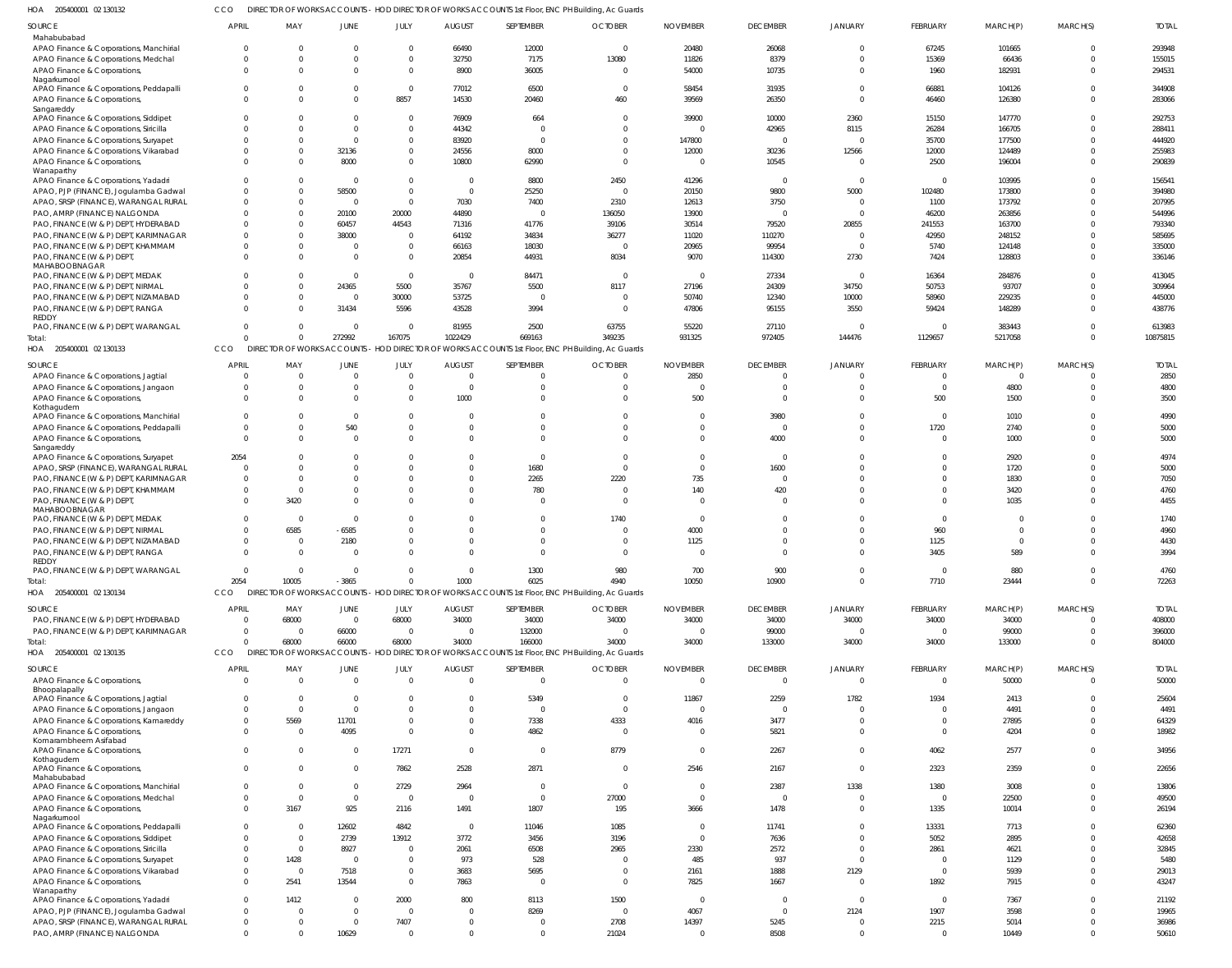205400001 02 130132 HOA CCO DIRECTOR OF WORKS ACCOUNTS - HOD DIRECTOR OF WORKS ACCOUNTS 1st Floor, ENC PH Building, Ac Guards

| SOURCE                                                                          | <b>APRIL</b>         | MAY                      | <b>JUNE</b>                 | JULY                          | <b>AUGUST</b>    | SEPTEMBER              | <b>OCTOBER</b>                                                                                    | <b>NOVEMBER</b>   | <b>DECEMBER</b>        | JANUARY          | FEBRUARY             | MARCH(P)         | MARCH(S)             | <b>TOTAL</b>     |
|---------------------------------------------------------------------------------|----------------------|--------------------------|-----------------------------|-------------------------------|------------------|------------------------|---------------------------------------------------------------------------------------------------|-------------------|------------------------|------------------|----------------------|------------------|----------------------|------------------|
| Mahabubabad                                                                     |                      |                          |                             |                               |                  |                        |                                                                                                   |                   |                        |                  |                      |                  |                      |                  |
| APAO Finance & Corporations, Manchirial                                         |                      | $\Omega$                 | $\Omega$                    | $\mathbf{0}$                  | 66490            | 12000                  | $\Omega$                                                                                          | 20480             | 26068                  | $\Omega$         | 67245                | 101665           | $\overline{0}$       | 293948           |
| APAO Finance & Corporations, Medchal                                            |                      | $\Omega$                 | $\Omega$                    | $\mathbf 0$                   | 32750            | 7175                   | 13080                                                                                             | 11826             | 8379                   | $\Omega$         | 15369                | 66436            | $\Omega$             | 155015           |
| APAO Finance & Corporations,<br>Nagarkurnool                                    | $\Omega$             | $\Omega$                 | $\Omega$                    | $\mathbf{0}$                  | 8900             | 36005                  | $\Omega$                                                                                          | 54000             | 10735                  | $\Omega$         | 1960                 | 182931           | $\Omega$             | 294531           |
| APAO Finance & Corporations, Peddapalli                                         | $\Omega$             | $\Omega$                 | $\Omega$                    | $\overline{0}$                | 77012            | 6500                   | $\Omega$                                                                                          | 58454             | 31935                  | $\Omega$         | 66881                | 104126           | $\Omega$             | 344908           |
| APAO Finance & Corporations,                                                    |                      | $\Omega$                 | $\Omega$                    | 8857                          | 14530            | 20460                  | 460                                                                                               | 39569             | 26350                  | $\Omega$         | 46460                | 126380           | $\Omega$             | 283066           |
| Sangareddy                                                                      |                      |                          | $\Omega$                    |                               |                  |                        |                                                                                                   |                   |                        |                  |                      |                  | $\Omega$             |                  |
| APAO Finance & Corporations, Siddipet<br>APAO Finance & Corporations, Siricilla | $\Omega$             | $\Omega$<br>$\Omega$     | $\Omega$                    | $\overline{0}$<br>$\mathbf 0$ | 76909<br>44342   | 664<br>$^{\circ}$      | $\Omega$<br>$\Omega$                                                                              | 39900             | 10000<br>42965         | 2360<br>8115     | 15150<br>26284       | 147770<br>166705 | $\Omega$             | 292753<br>288411 |
| APAO Finance & Corporations, Suryapet                                           |                      | $\Omega$                 | $\Omega$                    | $\mathbf 0$                   | 83920            | $\Omega$               | $\Omega$                                                                                          | 147800            | $\overline{0}$         | $\Omega$         | 35700                | 177500           | $\Omega$             | 444920           |
| APAO Finance & Corporations, Vikarabad                                          |                      | $\Omega$                 | 32136                       | $\mathbf 0$                   | 24556            | 8000                   |                                                                                                   | 12000             | 30236                  | 12566            | 12000                | 124489           | $\Omega$             | 255983           |
| APAO Finance & Corporations,                                                    |                      | $\Omega$                 | 8000                        | $\mathbf 0$                   | 10800            | 62990                  | $\Omega$                                                                                          | - 0               | 10545                  | $\Omega$         | 2500                 | 196004           | $\Omega$             | 290839           |
| Wanaparthy                                                                      |                      |                          |                             |                               |                  |                        |                                                                                                   |                   |                        |                  |                      |                  |                      |                  |
| APAO Finance & Corporations, Yadadri                                            |                      | $\Omega$                 | $\overline{0}$              | $^{\circ}$                    | $\Omega$         | 8800                   | 2450                                                                                              | 41296             | $\overline{0}$         | $\Omega$         | $^{\circ}$           | 103995           | $\Omega$             | 156541           |
| APAO, PJP (FINANCE), Jogulamba Gadwal<br>APAO, SRSP (FINANCE), WARANGAL RURAL   |                      | $\Omega$<br>$\Omega$     | 58500<br>$\overline{0}$     | $\mathbf{0}$<br>$\mathbf{0}$  | $\Omega$<br>7030 | 25250<br>7400          | $\Omega$<br>2310                                                                                  | 20150<br>12613    | 9800<br>3750           | 5000<br>$\Omega$ | 102480<br>1100       | 173800<br>173792 | $\Omega$<br>$\Omega$ | 394980<br>207995 |
| PAO, AMRP (FINANCE) NALGONDA                                                    |                      | $\Omega$                 | 20100                       | 20000                         | 44890            | $\Omega$               | 136050                                                                                            | 13900             | $\overline{0}$         | $\Omega$         | 46200                | 263856           | $\Omega$             | 544996           |
| PAO, FINANCE (W & P) DEPT, HYDERABAD                                            |                      | $\Omega$                 | 60457                       | 44543                         | 71316            | 41776                  | 39106                                                                                             | 30514             | 79520                  | 20855            | 241553               | 163700           | $\Omega$             | 793340           |
| PAO, FINANCE (W & P) DEPT, KARIMNAGAR                                           |                      | $\Omega$                 | 38000                       | $\overline{0}$                | 64192            | 34834                  | 36277                                                                                             | 11020             | 110270                 | $\Omega$         | 42950                | 248152           | $\Omega$             | 585695           |
| PAO, FINANCE (W & P) DEPT, KHAMMAM                                              |                      | $\Omega$                 | 0                           | $\mathbf 0$                   | 66163            | 18030                  | $\Omega$                                                                                          | 20965             | 99954                  | $\Omega$         | 5740                 | 124148           | $\Omega$             | 335000           |
| PAO, FINANCE (W & P) DEPT,                                                      |                      | $\Omega$                 | $\Omega$                    | $\mathbf 0$                   | 20854            | 44931                  | 8034                                                                                              | 9070              | 114300                 | 2730             | 7424                 | 128803           | $\Omega$             | 336146           |
| MAHABOOBNAGAR                                                                   |                      |                          | $\Omega$                    |                               | $\Omega$         |                        | $\Omega$                                                                                          |                   |                        | $\Omega$         | 16364                | 284876           | $\Omega$             | 413045           |
| PAO, FINANCE (W & P) DEPT, MEDAK<br>PAO, FINANCE (W & P) DEPT, NIRMAL           |                      | $\Omega$<br>$\Omega$     | 24365                       | $\overline{0}$<br>5500        | 35767            | 84471<br>5500          | 8117                                                                                              | $\Omega$<br>27196 | 27334<br>24309         | 34750            | 50753                | 93707            | $\Omega$             | 309964           |
| PAO, FINANCE (W & P) DEPT, NIZAMABAD                                            |                      | $\Omega$                 | $\mathbf{0}$                | 30000                         | 53725            | $\overline{0}$         | $\Omega$                                                                                          | 50740             | 12340                  | 10000            | 58960                | 229235           | $\Omega$             | 445000           |
| PAO, FINANCE (W & P) DEPT, RANGA                                                |                      | $\Omega$                 | 31434                       | 5596                          | 43528            | 3994                   | $\Omega$                                                                                          | 47806             | 95155                  | 3550             | 59424                | 148289           | $\Omega$             | 438776           |
| REDDY                                                                           |                      |                          |                             |                               |                  |                        |                                                                                                   |                   |                        |                  |                      |                  |                      |                  |
| PAO, FINANCE (W & P) DEPT, WARANGAL                                             | - 0                  | $\Omega$                 | $\Omega$                    | $\overline{0}$                | 81955            | 2500                   | 63755                                                                                             | 55220             | 27110                  | 0                | $^{\circ}$           | 383443           | $\Omega$             | 613983           |
| Total:                                                                          |                      | $\Omega$                 | 272992                      | 167075                        | 1022429          | 669163                 | 349235                                                                                            | 931325            | 972405                 | 144476           | 1129657              | 5217058          | $\overline{0}$       | 10875815         |
| HOA 205400001 02 130133                                                         | CCO                  |                          |                             |                               |                  |                        | DIRECTOR OF WORKS ACCOUNTS - HOD DIRECTOR OF WORKS ACCOUNTS 1st Floor, ENC PH Building, Ac Guards |                   |                        |                  |                      |                  |                      |                  |
| SOURCE                                                                          | <b>APRIL</b>         | MAY                      | <b>JUNE</b>                 | JULY                          | <b>AUGUST</b>    | SEPTEMBER              | <b>OCTOBER</b>                                                                                    | <b>NOVEMBER</b>   | <b>DECEMBER</b>        | <b>JANUARY</b>   | FEBRUARY             | MARCH(P)         | MARCH(S)             | <b>TOTAL</b>     |
| APAO Finance & Corporations, Jagtial                                            |                      | $\Omega$                 | $\Omega$                    | $\mathbf{0}$                  | $\Omega$         | $\Omega$               | $\Omega$                                                                                          | 2850              | $\Omega$               | $\Omega$         | $\mathbf 0$          | $\overline{0}$   | $\Omega$             | 2850             |
| APAO Finance & Corporations, Jangaon                                            |                      | $\Omega$                 | $\Omega$                    | $\mathbf{0}$                  |                  | $\Omega$               |                                                                                                   |                   | $\Omega$               |                  | $\overline{0}$       | 4800             | $\Omega$             | 4800             |
| APAO Finance & Corporations,                                                    |                      | $\Omega$                 | $\Omega$                    | $\Omega$                      | 1000             | $\Omega$               |                                                                                                   | 500               | $\Omega$               | $\Omega$         | 500                  | 1500             | $\Omega$             | 3500             |
| Kothagudem<br>APAO Finance & Corporations, Manchirial                           |                      | $\Omega$                 | $\Omega$                    | $\Omega$                      |                  | $\Omega$               | $\Omega$                                                                                          |                   | 3980                   | $\Omega$         | $\mathbf 0$          | 1010             | $\Omega$             | 4990             |
| APAO Finance & Corporations, Peddapalli                                         |                      | $\Omega$                 | 540                         | $\mathbf{0}$                  |                  | $\Omega$               |                                                                                                   |                   | $\Omega$               | 0                | 1720                 | 2740             | $\Omega$             | 5000             |
| APAO Finance & Corporations,                                                    | $\Omega$             | $\Omega$                 | $\Omega$                    | $\Omega$                      |                  | $\Omega$               | $\Omega$                                                                                          |                   | 4000                   | $\Omega$         | $\overline{0}$       | 1000             | $\Omega$             | 5000             |
| Sangareddy                                                                      |                      |                          |                             |                               |                  |                        |                                                                                                   |                   |                        |                  |                      |                  |                      |                  |
| APAO Finance & Corporations, Suryapet                                           | 2054                 |                          | $\Omega$                    | $\Omega$                      |                  | $\Omega$               |                                                                                                   |                   | $\Omega$               | <sup>0</sup>     | $\Omega$             | 2920             | $\Omega$             | 4974             |
| APAO, SRSP (FINANCE), WARANGAL RURAL<br>PAO, FINANCE (W & P) DEPT, KARIMNAGAR   | - 0                  | $\Omega$<br><sup>0</sup> | $\Omega$<br>$\Omega$        | $\Omega$<br>$\Omega$          |                  | 1680<br>2265           | $\Omega$<br>2220                                                                                  | 735               | 1600<br>$\Omega$       |                  | $\Omega$<br>$\Omega$ | 1720<br>1830     | $\Omega$<br>$\Omega$ | 5000<br>7050     |
| PAO, FINANCE (W & P) DEPT, KHAMMAM                                              |                      | $\Omega$                 | $\Omega$                    | $\Omega$                      |                  | 780                    |                                                                                                   | 140               | 420                    | 0                | $\Omega$             | 3420             | $\Omega$             | 4760             |
| PAO, FINANCE (W & P) DEPT.                                                      |                      | 3420                     | $\Omega$                    | $\Omega$                      |                  | $\Omega$               | $\Omega$                                                                                          |                   | $\Omega$               |                  | $\Omega$             | 1035             | $\Omega$             | 4455             |
| MAHABOOBNAGAR                                                                   |                      |                          |                             |                               |                  |                        |                                                                                                   |                   |                        |                  |                      |                  |                      |                  |
| PAO, FINANCE (W & P) DEPT, MEDAK                                                |                      | $\Omega$                 | $\Omega$                    | $\Omega$                      |                  | $\Omega$               | 1740                                                                                              | - 0               | $\Omega$               |                  | $\overline{0}$       | 0                | $\Omega$             | 1740             |
| PAO, FINANCE (W & P) DEPT, NIRMAL                                               |                      | 6585                     | $-6585$                     | $\Omega$                      |                  | $\Omega$               |                                                                                                   | 4000              | $\Omega$               |                  | 960                  | $\Omega$         | $\Omega$             | 4960             |
| PAO, FINANCE (W & P) DEPT, NIZAMABAD                                            |                      | $\Omega$                 | 2180                        | $\Omega$                      |                  | $\Omega$               |                                                                                                   | 1125              | $\Omega$               | 0                | 1125                 | $\Omega$         | $\Omega$             | 4430             |
| PAO, FINANCE (W & P) DEPT, RANGA<br>REDDY                                       |                      | $\Omega$                 | $\Omega$                    | $\Omega$                      |                  | $\Omega$               | $\Omega$                                                                                          |                   | $\Omega$               | $\Omega$         | 3405                 | 589              | $\Omega$             | 3994             |
| PAO, FINANCE (W & P) DEPT, WARANGAL                                             | $\Omega$             | 0                        | $\mathbf 0$                 | $^{\circ}$                    |                  | 1300                   | 980                                                                                               | 700               | 900                    |                  | $\mathbf 0$          | 880              | $\Omega$             | 4760             |
| Total:                                                                          | 2054                 | 10005                    | $-3865$                     | $\mathbf{0}$                  | 1000             | 6025                   | 4940                                                                                              | 10050             | 10900                  | $\mathbf 0$      | 7710                 | 23444            | $\overline{0}$       | 72263            |
| HOA 205400001 02 130134                                                         | CCO                  |                          |                             |                               |                  |                        | DIRECTOR OF WORKS ACCOUNTS - HOD DIRECTOR OF WORKS ACCOUNTS 1st Floor, ENC PH Building, Ac Guards |                   |                        |                  |                      |                  |                      |                  |
| SOURCE                                                                          | <b>APRIL</b>         | MAY                      | JUNE                        | JULY                          | <b>AUGUST</b>    | SEPTEMBER              | <b>OCTOBER</b>                                                                                    | <b>NOVEMBER</b>   | <b>DECEMBER</b>        | <b>JANUARY</b>   | FEBRUARY             | MARCH(P)         | MARCH(S)             | <b>TOTAL</b>     |
| PAO, FINANCE (W & P) DEPT, HYDERABAD                                            | $\Omega$             | 68000                    | $\overline{0}$              | 68000                         | 34000            | 34000                  | 34000                                                                                             | 34000             | 34000                  | 34000            | 34000                | 34000            | $\Omega$             | 408000           |
| PAO, FINANCE (W & P) DEPT, KARIMNAGAR                                           | $\Omega$             | $\Omega$                 | 66000                       | $\overline{0}$                | $\Omega$         | 132000                 | $\Omega$                                                                                          | $\Omega$          | 99000                  | $\Omega$         | $\overline{0}$       | 99000            | $\overline{0}$       | 396000           |
| Total:                                                                          | $\Omega$             | 68000                    | 66000                       | 68000                         | 34000            | 166000                 | 34000                                                                                             | 34000             | 133000                 | 34000            | 34000                | 133000           | $\Omega$             | 804000           |
| HOA 205400001 02 130135                                                         | CCO                  |                          |                             |                               |                  |                        | DIRECTOR OF WORKS ACCOUNTS - HOD DIRECTOR OF WORKS ACCOUNTS 1st Floor, ENC PH Building, Ac Guards |                   |                        |                  |                      |                  |                      |                  |
| SOURCE                                                                          | <b>APRIL</b>         | MAY                      | <b>JUNE</b>                 | JULY                          | <b>AUGUST</b>    | SEPTEMBER              | <b>OCTOBER</b>                                                                                    | <b>NOVEMBER</b>   | <b>DECEMBER</b>        | JANUARY          | FEBRUARY             | MARCH(P)         | MARCH(S)             | <b>TOTAL</b>     |
| APAO Finance & Corporations,                                                    | $\Omega$             | $\overline{0}$           | $\overline{0}$              | $\mathbf{0}$                  | $\overline{0}$   | $\overline{0}$         | $\overline{0}$                                                                                    | $\Omega$          | $\overline{0}$         | $\mathbf 0$      | $\overline{0}$       | 50000            | $\overline{0}$       | 50000            |
| Bhoopalapally                                                                   |                      |                          |                             |                               |                  |                        |                                                                                                   |                   |                        |                  |                      |                  |                      |                  |
| APAO Finance & Corporations, Jagtial<br>APAO Finance & Corporations, Jangaon    | $\Omega$<br>$\Omega$ | $\Omega$<br>$\Omega$     | $\mathbf{0}$<br>$\mathbf 0$ | $\overline{0}$<br>$\mathbf 0$ | 0<br>$\Omega$    | 5349<br>$\overline{0}$ | $\Omega$<br>$\Omega$                                                                              | 11867<br>$\Omega$ | 2259<br>$\overline{0}$ | 1782<br>$\Omega$ | 1934<br>$\mathbf 0$  | 2413<br>4491     | $\Omega$<br>$\Omega$ | 25604<br>4491    |
| APAO Finance & Corporations, Kamareddy                                          | $\Omega$             | 5569                     | 11701                       | $\mathbf 0$                   | 0                | 7338                   | 4333                                                                                              | 4016              | 3477                   | $\mathbf 0$      | $\mathbf{0}$         | 27895            | $\Omega$             | 64329            |
| APAO Finance & Corporations,                                                    | $\Omega$             | $\Omega$                 | 4095                        | $\overline{0}$                | $\Omega$         | 4862                   | $\Omega$                                                                                          | $\Omega$          | 5821                   | $\mathbf 0$      | $\mathbf{0}$         | 4204             | $\overline{0}$       | 18982            |
| Komarambheem Asifabad                                                           |                      |                          |                             |                               |                  |                        |                                                                                                   |                   |                        |                  |                      |                  |                      |                  |
| APAO Finance & Corporations,                                                    | $\Omega$             | $\overline{0}$           | $\overline{0}$              | 17271                         | $\mathbf 0$      | $\mathbf 0$            | 8779                                                                                              | $\Omega$          | 2267                   | $\overline{0}$   | 4062                 | 2577             | $\overline{0}$       | 34956            |
| Kothagudem<br>APAO Finance & Corporations,                                      | $\Omega$             | $\overline{0}$           | $\mathbf{0}$                | 7862                          | 2528             | 2871                   | $\overline{0}$                                                                                    | 2546              | 2167                   | $\overline{0}$   | 2323                 | 2359             | $\overline{0}$       | 22656            |
| Mahabubabad                                                                     |                      |                          |                             |                               |                  |                        |                                                                                                   |                   |                        |                  |                      |                  |                      |                  |
| APAO Finance & Corporations, Manchirial                                         | $\Omega$             | $\overline{0}$           | $\mathbf{0}$                | 2729                          | 2964             | $\mathbf 0$            | $\Omega$                                                                                          | $\Omega$          | 2387                   | 1338             | 1380                 | 3008             | $\overline{0}$       | 13806            |
| APAO Finance & Corporations, Medchal                                            | $\Omega$             | $\overline{0}$           | $\mathbf 0$                 | $\overline{0}$                | $\overline{0}$   | $\mathbf 0$            | 27000                                                                                             | $\Omega$          | $\overline{0}$         | $\mathbf 0$      | $\mathbf{0}$         | 22500            | $\overline{0}$       | 49500            |
| APAO Finance & Corporations,<br>Nagarkurnool                                    | $\Omega$             | 3167                     | 925                         | 2116                          | 1491             | 1807                   | 195                                                                                               | 3666              | 1478                   | $\mathbf 0$      | 1335                 | 10014            | $\overline{0}$       | 26194            |
| APAO Finance & Corporations, Peddapalli                                         | $\Omega$             | $\Omega$                 | 12602                       | 4842                          | $\overline{0}$   | 11046                  | 1085                                                                                              | $\Omega$          | 11741                  | $\mathbf 0$      | 13331                | 7713             | $\Omega$             | 62360            |
| APAO Finance & Corporations, Siddipet                                           | $\Omega$             | $\mathbf{0}$             | 2739                        | 13912                         | 3772             | 3456                   | 3196                                                                                              | $\Omega$          | 7636                   | $\mathbf 0$      | 5052                 | 2895             | $\Omega$             | 42658            |
| APAO Finance & Corporations, Siricilla                                          | $\Omega$             | $\overline{0}$           | 8927                        | $\overline{0}$                | 2061             | 6508                   | 2965                                                                                              | 2330              | 2572                   | $\overline{0}$   | 2861                 | 4621             | $\Omega$             | 32845            |
| APAO Finance & Corporations, Suryapet                                           | $\Omega$             | 1428                     | $\overline{0}$              | $\mathbf{0}$                  | 973              | 528                    | $\Omega$                                                                                          | 485               | 937                    | $\overline{0}$   | $\mathbf 0$          | 1129             | $\Omega$             | 5480             |
| APAO Finance & Corporations, Vikarabad                                          | $\Omega$             | $\overline{0}$           | 7518                        | $\overline{0}$                | 3683             | 5695                   | $\Omega$                                                                                          | 2161              | 1888                   | 2129             | $\mathbf{0}$         | 5939             | $\Omega$             | 29013            |
| APAO Finance & Corporations,                                                    | $\Omega$             | 2541                     | 13544                       | $\overline{0}$                | 7863             | $\mathbf 0$            | $\Omega$                                                                                          | 7825              | 1667                   | $\overline{0}$   | 1892                 | 7915             | $\Omega$             | 43247            |
| Wanaparthy<br>APAO Finance & Corporations, Yadadri                              | $\Omega$             | 1412                     | $\mathbf{0}$                | 2000                          | 800              | 8113                   | 1500                                                                                              | $\overline{0}$    | $\overline{0}$         | $\overline{0}$   | $\mathbf{0}$         | 7367             | $\Omega$             | 21192            |
| APAO, PJP (FINANCE), Jogulamba Gadwal                                           | $\Omega$             | $\Omega$                 | $\mathbf{0}$                | $\overline{0}$                | $\Omega$         | 8269                   | $\overline{0}$                                                                                    | 4067              | $\overline{0}$         | 2124             | 1907                 | 3598             | $\Omega$             | 19965            |
| APAO, SRSP (FINANCE), WARANGAL RURAL                                            | $\Omega$             | $\mathbf{0}$             | $\mathbf{0}$                | 7407                          | 0                | $\mathbf 0$            | 2708                                                                                              | 14397             | 5245                   | $\mathbf 0$      | 2215                 | 5014             | $\overline{0}$       | 36986            |
| PAO, AMRP (FINANCE) NALGONDA                                                    | $\Omega$             | $\Omega$                 | 10629                       | $\overline{0}$                | $\mathbf 0$      | $\mathbf 0$            | 21024                                                                                             | $\Omega$          | 8508                   | $\overline{0}$   | $\mathbf 0$          | 10449            | $\overline{0}$       | 50610            |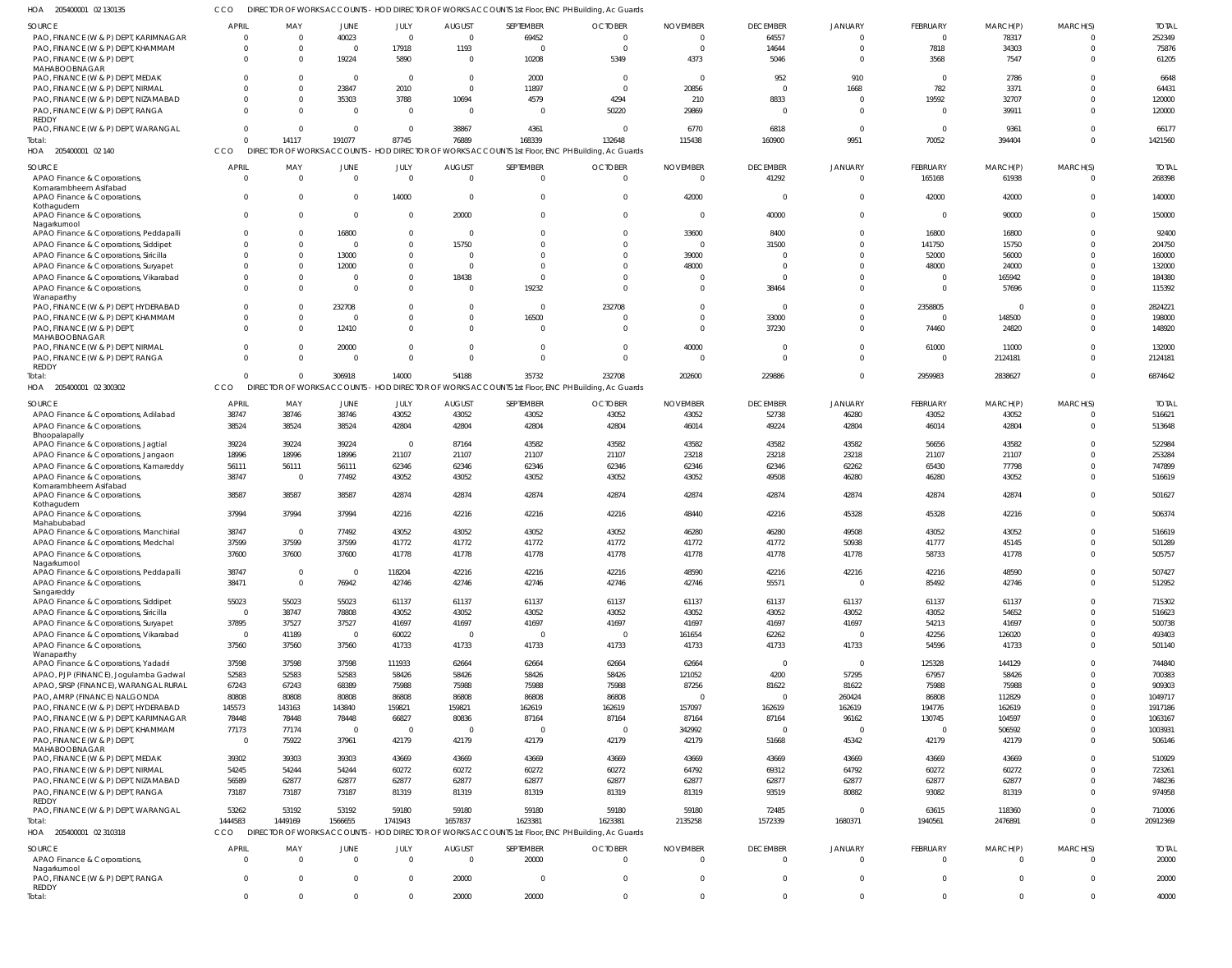CCO DIRECTOR OF WORKS ACCOUNTS - HOD DIRECTOR OF WORKS ACCOUNTS 1st Floor, ENC PH Building, Ac Guards

| HOA 205400001 02 130135                                                         |                                         |                         |                  |                        |                                 | DIRECTOR OF WORKS ACCOUNTS - HOD DIRECTOR OF WORKS ACCOUNTS 1st Floor, ENC PH Building, Ac Guards |                                  |                                   |                                 |                         |                            |                      |                      |                        |
|---------------------------------------------------------------------------------|-----------------------------------------|-------------------------|------------------|------------------------|---------------------------------|---------------------------------------------------------------------------------------------------|----------------------------------|-----------------------------------|---------------------------------|-------------------------|----------------------------|----------------------|----------------------|------------------------|
| SOURCE                                                                          | <b>APRIL</b>                            | MAY                     | <b>JUNE</b>      | JULY                   | <b>AUGUST</b>                   | SEPTEMBER                                                                                         | <b>OCTOBER</b>                   | <b>NOVEMBER</b>                   | <b>DECEMBER</b>                 | JANUARY                 | FEBRUARY                   | MARCH(P)             | MARCH(S)             | <b>TOTAL</b>           |
| PAO, FINANCE (W & P) DEPT, KARIMNAGAR                                           | - 0                                     | $\Omega$                | 40023            | $\Omega$               | $\overline{0}$                  | 69452                                                                                             | $\overline{0}$                   | $\Omega$                          | 64557                           | $\Omega$                | $\Omega$                   | 78317                | $\Omega$             | 252349                 |
| PAO, FINANCE (W & P) DEPT, KHAMMAM                                              | $\Omega$                                | $\Omega$                | $\Omega$         | 17918                  | 1193                            | $\Omega$                                                                                          | $\overline{0}$                   | $\overline{0}$                    | 14644                           | $\Omega$                | 7818                       | 34303                | $\Omega$             | 75876                  |
| PAO, FINANCE (W & P) DEPT                                                       | $\Omega$                                | $\Omega$                | 19224            | 5890                   | $\overline{0}$                  | 10208                                                                                             | 5349                             | 4373                              | 5046                            | $\Omega$                | 3568                       | 7547                 |                      | 61205                  |
| MAHABOOBNAGAR<br>PAO, FINANCE (W & P) DEPT, MEDAK                               | $\Omega$                                | $\Omega$                | $\Omega$         | $\Omega$               | $\overline{0}$                  | 2000                                                                                              | $\overline{\mathbf{0}}$          | $\overline{0}$                    | 952                             | 910                     | $\Omega$                   | 2786                 |                      | 6648                   |
| PAO, FINANCE (W & P) DEPT, NIRMAL                                               | $\Omega$                                | $\Omega$                | 23847            | 2010                   | $\overline{0}$                  | 11897                                                                                             | $\overline{0}$                   | 20856                             | $\Omega$                        | 1668                    | 782                        | 3371                 |                      | 64431                  |
| PAO, FINANCE (W & P) DEPT, NIZAMABAD                                            | $\Omega$                                | $\Omega$                | 35303            | 3788                   | 10694                           | 4579                                                                                              | 4294                             | 210                               | 8833                            | $\Omega$                | 19592                      | 32707                |                      | 120000                 |
| PAO, FINANCE (W & P) DEPT, RANGA                                                | $\Omega$                                | $\Omega$                | $\Omega$         | $\Omega$               | $\overline{0}$                  | $\Omega$                                                                                          | 50220                            | 29869                             | $\Omega$                        | $\Omega$                | $\Omega$                   | 39911                |                      | 120000                 |
| REDDY<br>PAO, FINANCE (W & P) DEPT, WARANGAL                                    | $\overline{0}$                          | 0                       | $\Omega$         | $\Omega$               | 38867                           | 4361                                                                                              | $\Omega$                         | 6770                              | 6818                            | $\mathbf{0}$            | $\Omega$                   | 9361                 |                      | 66177                  |
| Total:                                                                          | $\Omega$                                | 14117                   | 191077           | 87745                  | 76889                           | 168339                                                                                            | 132648                           | 115438                            | 160900                          | 9951                    | 70052                      | 394404               | $\Omega$             | 1421560                |
| HOA 205400001 02 140                                                            | CCO                                     |                         |                  |                        |                                 | DIRECTOR OF WORKS ACCOUNTS - HOD DIRECTOR OF WORKS ACCOUNTS 1st Floor, ENC PH Building, Ac Guards |                                  |                                   |                                 |                         |                            |                      |                      |                        |
| SOURCE                                                                          | <b>APRIL</b>                            | MAY                     | JUNE             | JULY                   | <b>AUGUST</b>                   | SEPTEMBER                                                                                         | <b>OCTOBER</b>                   | <b>NOVEMBER</b>                   | <b>DECEMBER</b>                 | JANUARY                 | FEBRUARY                   | MARCH(P)             | MARCH(S)             | <b>TOTAL</b>           |
| APAO Finance & Corporations,                                                    | $\overline{0}$                          | $\overline{0}$          | $\overline{0}$   | $\Omega$               | $\overline{0}$                  | $\overline{0}$                                                                                    | $\overline{0}$                   | $\overline{\phantom{0}}$          | 41292                           | $\mathbf{0}$            | 165168                     | 61938                | $\Omega$             | 268398                 |
| Komarambheem Asifabad                                                           |                                         |                         |                  |                        |                                 |                                                                                                   |                                  |                                   |                                 |                         |                            |                      |                      |                        |
| APAO Finance & Corporations                                                     | $\overline{0}$                          | $\mathbf{0}$            | $\Omega$         | 14000                  | $\overline{0}$                  | $\overline{0}$                                                                                    | $\overline{0}$                   | 42000                             | $\mathbf 0$                     | $\mathbf 0$             | 42000                      | 42000                | $\Omega$             | 140000                 |
| Kothagudem<br>APAO Finance & Corporations,                                      | $\overline{0}$                          | $\mathbf{0}$            | $\Omega$         | $\Omega$               | 20000                           | $\mathbf 0$                                                                                       | $\overline{0}$                   | $\overline{\phantom{0}}$          | 40000                           | $\mathbf 0$             | $\Omega$                   | 90000                | $\Omega$             | 150000                 |
| Nagarkurnool                                                                    |                                         |                         |                  |                        |                                 |                                                                                                   |                                  |                                   |                                 |                         |                            |                      |                      |                        |
| APAO Finance & Corporations, Peddapalli                                         | $\mathbf 0$                             | $\Omega$                | 16800            | $\Omega$               | $\overline{0}$                  | $\Omega$                                                                                          | $\overline{0}$                   | 33600                             | 8400                            | $\mathbf 0$             | 16800                      | 16800                | $\Omega$             | 92400                  |
| APAO Finance & Corporations, Siddipet                                           | $\mathbf 0$                             | $\mathbf{0}$            | - 0              | $\Omega$               | 15750                           | $\Omega$                                                                                          | $\Omega$                         | $\overline{0}$                    | 31500                           | $\Omega$                | 141750                     | 15750                | $\Omega$             | 204750                 |
| APAO Finance & Corporations, Siricilla                                          | $\Omega$<br>$\mathbf 0$                 | $\Omega$<br>$\Omega$    | 13000            | $\Omega$<br>$\Omega$   | $\circ$<br>$\overline{0}$       | $\Omega$<br>$\Omega$                                                                              | $\overline{0}$<br>$\Omega$       | 39000<br>48000                    | $\Omega$<br>$\mathbf 0$         | $\Omega$<br>$\mathbf 0$ | 52000<br>48000             | 56000<br>24000       |                      | 160000<br>132000       |
| APAO Finance & Corporations, Suryapet<br>APAO Finance & Corporations, Vikarabad | $\Omega$                                | $\Omega$                | 12000<br>$\cap$  | $\Omega$               | 18438                           | $\Omega$                                                                                          | $\overline{0}$                   | $\overline{0}$                    | $\mathbf 0$                     | $\mathbf 0$             | $\Omega$                   | 165942               |                      | 184380                 |
| APAO Finance & Corporations,                                                    | $\Omega$                                | $\Omega$                | $\Omega$         | $\Omega$               | $\circ$                         | 19232                                                                                             | $\Omega$                         | $\Omega$                          | 38464                           | $\Omega$                | $\Omega$                   | 57696                | $\Omega$             | 115392                 |
| Wanaparthy                                                                      |                                         |                         |                  |                        |                                 |                                                                                                   |                                  |                                   |                                 |                         |                            |                      |                      |                        |
| PAO, FINANCE (W & P) DEPT, HYDERABAD                                            | $\Omega$                                | $\Omega$                | 232708           | $\Omega$               | $\Omega$                        | $\Omega$                                                                                          | 232708                           | $\Omega$                          | $\mathbf 0$                     | $\Omega$                | 2358805                    | $\bigcap$            | $\Omega$             | 2824221                |
| PAO, FINANCE (W & P) DEPT, KHAMMAM                                              | $\mathbf 0$                             | $\Omega$                | $\Omega$         | $\Omega$               | $\overline{0}$                  | 16500                                                                                             | $\overline{0}$                   | $\overline{0}$                    | 33000                           | $\mathbf 0$             | $\Omega$                   | 148500               | $\Omega$             | 198000                 |
| PAO, FINANCE (W & P) DEPT<br>MAHABOOBNAGAR                                      | $\Omega$                                | $\Omega$                | 12410            | $\Omega$               | $\Omega$                        | $\Omega$                                                                                          | $\overline{0}$                   | $\Omega$                          | 37230                           | $\mathbf{0}$            | 74460                      | 24820                | $\Omega$             | 148920                 |
| PAO, FINANCE (W & P) DEPT, NIRMAL                                               | $\mathbf 0$                             | $\Omega$                | 20000            | $\Omega$               | - 0                             | $\mathbf 0$                                                                                       | $\overline{0}$                   | 40000                             | $\overline{0}$                  | $\mathbf 0$             | 61000                      | 11000                | $\Omega$             | 132000                 |
| PAO, FINANCE (W & P) DEPT, RANGA                                                | $\Omega$                                | $\Omega$                | - 0              | $\Omega$               | $\circ$                         | $\mathbf 0$                                                                                       | $\overline{0}$                   | $\overline{0}$                    | $\mathbf 0$                     | $\mathbf 0$             | $\Omega$                   | 2124181              | $\Omega$             | 2124181                |
| REDDY                                                                           | $\Omega$                                | $\Omega$                | 306918           | 14000                  | 54188                           | 35732                                                                                             | 232708                           | 202600                            | 229886                          | $\mathbf 0$             | 2959983                    | 2838627              | $\Omega$             | 6874642                |
| Total:<br>HOA 205400001 02 300302                                               | CCO                                     |                         |                  |                        |                                 | DIRECTOR OF WORKS ACCOUNTS - HOD DIRECTOR OF WORKS ACCOUNTS 1st Floor, ENC PH Building, Ac Guards |                                  |                                   |                                 |                         |                            |                      |                      |                        |
|                                                                                 |                                         |                         |                  |                        |                                 |                                                                                                   |                                  |                                   |                                 |                         |                            |                      |                      |                        |
| SOURCE<br>APAO Finance & Corporations, Adilabad                                 | <b>APRIL</b><br>38747                   | MAY<br>38746            | JUNE<br>38746    | JULY<br>43052          | <b>AUGUST</b><br>43052          | SEPTEMBER<br>43052                                                                                | <b>OCTOBER</b><br>43052          | <b>NOVEMBER</b><br>43052          | <b>DECEMBER</b><br>52738        | JANUARY<br>46280        | FEBRUARY<br>43052          | MARCH(P)<br>43052    | MARCH(S)             | <b>TOTAL</b><br>516621 |
| APAO Finance & Corporations,                                                    | 38524                                   | 38524                   | 38524            | 42804                  | 42804                           | 42804                                                                                             | 42804                            | 46014                             | 49224                           | 42804                   | 46014                      | 42804                | $\Omega$             | 513648                 |
| Bhoopalapally                                                                   |                                         |                         |                  |                        |                                 |                                                                                                   |                                  |                                   |                                 |                         |                            |                      |                      |                        |
| APAO Finance & Corporations, Jagtial                                            | 39224                                   | 39224                   | 39224            | $\Omega$               | 87164                           | 43582                                                                                             | 43582                            | 43582                             | 43582                           | 43582                   | 56656                      | 43582                |                      | 522984                 |
| APAO Finance & Corporations, Jangaon                                            | 18996                                   | 18996                   | 18996            | 21107                  | 21107                           | 21107                                                                                             | 21107                            | 23218                             | 23218                           | 23218                   | 21107                      | 21107                |                      | 253284                 |
| APAO Finance & Corporations, Kamareddy<br>APAO Finance & Corporations,          | 56111<br>38747                          | 56111<br>$\overline{0}$ | 56111<br>77492   | 62346<br>43052         | 62346<br>43052                  | 62346<br>43052                                                                                    | 62346<br>43052                   | 62346<br>43052                    | 62346<br>49508                  | 62262<br>46280          | 65430<br>46280             | 77798<br>43052       |                      | 747899<br>516619       |
| Komarambheem Asifabad                                                           |                                         |                         |                  |                        |                                 |                                                                                                   |                                  |                                   |                                 |                         |                            |                      |                      |                        |
| APAO Finance & Corporations                                                     | 38587                                   | 38587                   | 38587            | 42874                  | 42874                           | 42874                                                                                             | 42874                            | 42874                             | 42874                           | 42874                   | 42874                      | 42874                | $\Omega$             | 501627                 |
| Kothagudem<br>APAO Finance & Corporations                                       | 37994                                   | 37994                   | 37994            | 42216                  | 42216                           | 42216                                                                                             | 42216                            | 48440                             | 42216                           | 45328                   | 45328                      | 42216                | $\Omega$             | 506374                 |
| Mahabubabad                                                                     |                                         |                         |                  |                        |                                 |                                                                                                   |                                  |                                   |                                 |                         |                            |                      |                      |                        |
| APAO Finance & Corporations, Manchirial                                         | 38747                                   | - 0                     | 77492            | 43052                  | 43052                           | 43052                                                                                             | 43052                            | 46280                             | 46280                           | 49508                   | 43052                      | 43052                |                      | 516619                 |
| APAO Finance & Corporations, Medchal                                            | 37599                                   | 37599                   | 37599            | 41772                  | 41772                           | 41772                                                                                             | 41772                            | 41772                             | 41772                           | 50938                   | 41777                      | 45145                | $\Omega$             | 501289                 |
| APAO Finance & Corporations,<br>Nagarkurnool                                    | 37600                                   | 37600                   | 37600            | 41778                  | 41778                           | 41778                                                                                             | 41778                            | 41778                             | 41778                           | 41778                   | 58733                      | 41778                | 0                    | 505757                 |
| APAO Finance & Corporations, Peddapalli                                         | 38747                                   | $\mathbf{0}$            | $\Omega$         | 118204                 | 42216                           | 42216                                                                                             | 42216                            | 48590                             | 42216                           | 42216                   | 42216                      | 48590                | 0                    | 507427                 |
| APAO Finance & Corporations,                                                    | 38471                                   | $\Omega$                | 76942            | 42746                  | 42746                           | 42746                                                                                             | 42746                            | 42746                             | 55571                           | $\Omega$                | 85492                      | 42746                | $\Omega$             | 512952                 |
| Sangareddy                                                                      | 55023                                   | 55023                   | 55023            | 61137                  | 61137                           | 61137                                                                                             | 61137                            | 61137                             | 61137                           | 61137                   | 61137                      | 61137                | $\Omega$             | 715302                 |
| APAO Finance & Corporations, Siddipet<br>APAO Finance & Corporations, Siricilla | $\overline{0}$                          | 38747                   | 78808            | 43052                  | 43052                           | 43052                                                                                             | 43052                            | 43052                             | 43052                           | 43052                   | 43052                      | 54652                | $\Omega$             | 516623                 |
| APAO Finance & Corporations, Suryapet                                           | 37895                                   | 37527                   | 37527            | 41697                  | 41697                           | 41697                                                                                             | 41697                            | 41697                             | 41697                           | 41697                   | 54213                      | 41697                | $\Omega$             | 500738                 |
| APAO Finance & Corporations, Vikarabad                                          | $\overline{\phantom{0}}$                | 41189                   | $\Omega$         | 60022                  | $\overline{0}$                  | $\Omega$                                                                                          | $\overline{0}$                   | 161654                            | 62262                           | $\Omega$                | 42256                      | 126020               |                      | 493403                 |
| APAO Finance & Corporations,                                                    | 37560                                   | 37560                   | 37560            | 41733                  | 41733                           | 41733                                                                                             | 41733                            | 41733                             | 41733                           | 41733                   | 54596                      | 41733                | $\Omega$             | 501140                 |
| Wanaparthy                                                                      |                                         |                         |                  |                        |                                 |                                                                                                   |                                  |                                   |                                 |                         |                            |                      |                      |                        |
| APAO Finance & Corporations, Yadadri<br>APAO, PJP (FINANCE), Jogulamba Gadwal   | 37598<br>52583                          | 37598<br>52583          | 37598<br>52583   | 111933<br>58426        | 62664<br>58426                  | 62664<br>58426                                                                                    | 62664<br>58426                   | 62664<br>121052                   | $\overline{0}$<br>4200          | $\Omega$<br>57295       | 125328<br>67957            | 144129<br>58426      |                      | 744840<br>700383       |
| APAO, SRSP (FINANCE), WARANGAL RURAL                                            | 67243                                   | 67243                   | 68389            | 75988                  | 75988                           | 75988                                                                                             | 75988                            | 87256                             | 81622                           | 81622                   | 75988                      | 75988                |                      | 909303                 |
| PAO, AMRP (FINANCE) NALGONDA                                                    | 80808                                   | 80808                   | 80808            | 86808                  | 86808                           | 86808                                                                                             | 86808                            | $\overline{0}$                    | $\overline{0}$                  | 260424                  | 86808                      | 112829               |                      | 1049717                |
| PAO, FINANCE (W & P) DEPT, HYDERABAD                                            | 145573                                  | 143163                  | 143840           | 159821                 | 159821                          | 162619                                                                                            | 162619                           | 157097                            | 162619                          | 162619                  | 194776                     | 162619               |                      | 1917186                |
| PAO, FINANCE (W & P) DEPT, KARIMNAGAR                                           | 78448                                   | 78448                   | 78448            | 66827                  | 80836                           | 87164                                                                                             | 87164                            | 87164                             | 87164                           | 96162                   | 130745                     | 104597               |                      | 1063167                |
| PAO, FINANCE (W & P) DEPT, KHAMMAM                                              | 77173                                   | 77174                   | $\Omega$         | $\Omega$               | $\overline{0}$                  | $\Omega$                                                                                          | $\overline{0}$                   | 342992                            | $\overline{0}$                  | $\Omega$                | $\Omega$                   | 506592               |                      | 1003931                |
| PAO, FINANCE (W & P) DEPT                                                       | $\overline{\mathbf{0}}$                 | 75922                   | 37961            | 42179                  | 42179                           | 42179                                                                                             | 42179                            | 42179                             | 51668                           | 45342                   | 42179                      | 42179                | $\Omega$             | 506146                 |
| MAHABOOBNAGAR<br>PAO, FINANCE (W & P) DEPT, MEDAK                               | 39302                                   | 39303                   | 39303            | 43669                  | 43669                           | 43669                                                                                             | 43669                            | 43669                             | 43669                           | 43669                   | 43669                      | 43669                | $\Omega$             | 510929                 |
| PAO, FINANCE (W & P) DEPT, NIRMAL                                               | 54245                                   | 54244                   | 54244            | 60272                  | 60272                           | 60272                                                                                             | 60272                            | 64792                             | 69312                           | 64792                   | 60272                      | 60272                | $\Omega$             | 723261                 |
| PAO, FINANCE (W & P) DEPT, NIZAMABAD                                            | 56589                                   | 62877                   | 62877            | 62877                  | 62877                           | 62877                                                                                             | 62877                            | 62877                             | 62877                           | 62877                   | 62877                      | 62877                | $\Omega$             | 748236                 |
| PAO, FINANCE (W & P) DEPT, RANGA                                                | 73187                                   | 73187                   | 73187            | 81319                  | 81319                           | 81319                                                                                             | 81319                            | 81319                             | 93519                           | 80882                   | 93082                      | 81319                | $\Omega$             | 974958                 |
| REDDY                                                                           |                                         |                         |                  |                        |                                 |                                                                                                   |                                  |                                   |                                 |                         |                            |                      |                      |                        |
| PAO, FINANCE (W & P) DEPT, WARANGAL<br>Total:                                   | 53262<br>1444583                        | 53192<br>1449169        | 53192<br>1566655 | 59180<br>1741943       | 59180<br>1657837                | 59180<br>1623381                                                                                  | 59180<br>1623381                 | 59180<br>2135258                  | 72485<br>1572339                | $\Omega$<br>1680371     | 63615<br>1940561           | 118360<br>2476891    | $\Omega$<br>$\Omega$ | 710006<br>20912369     |
| HOA 205400001 02 310318                                                         | CCO                                     |                         |                  |                        |                                 | DIRECTOR OF WORKS ACCOUNTS - HOD DIRECTOR OF WORKS ACCOUNTS 1st Floor, ENC PH Building, Ac Guards |                                  |                                   |                                 |                         |                            |                      |                      |                        |
|                                                                                 |                                         |                         |                  |                        |                                 |                                                                                                   |                                  |                                   |                                 |                         |                            |                      |                      |                        |
| SOURCE                                                                          | <b>APRIL</b><br>$\overline{\mathbf{0}}$ | MAY<br>$\overline{0}$   | JUNE<br>$\Omega$ | JULY<br>$\overline{0}$ | <b>AUGUST</b><br>$\overline{0}$ | SEPTEMBER<br>20000                                                                                | <b>OCTOBER</b><br>$\overline{0}$ | <b>NOVEMBER</b><br>$\overline{0}$ | <b>DECEMBER</b><br>$\mathbf{0}$ | JANUARY<br>$\mathbf{0}$ | FEBRUARY<br>$\overline{0}$ | MARCH(P)<br>$\Omega$ | MARCH(S)<br>$\Omega$ | <b>TOTAL</b><br>20000  |
| APAO Finance & Corporations,<br>Nagarkurnool                                    |                                         |                         |                  |                        |                                 |                                                                                                   |                                  |                                   |                                 |                         |                            |                      |                      |                        |
| PAO, FINANCE (W & P) DEPT, RANGA                                                | $\overline{0}$                          | $\overline{0}$          | $\Omega$         | $\overline{0}$         | 20000                           | $\overline{0}$                                                                                    | $\overline{0}$                   | $\overline{0}$                    | $\mathbf 0$                     | $\mathbf 0$             | $\overline{0}$             | $\mathbf{0}$         | $\mathbf 0$          | 20000                  |
| REDDY<br>Total:                                                                 | $\overline{\mathbf{0}}$                 | $\mathbf 0$             | $\overline{0}$   | $\mathbf 0$            | 20000                           | 20000                                                                                             | $\mathbf 0$                      | $\overline{0}$                    | $\mathbf 0$                     | $\mathbf 0$             | $\overline{0}$             | $\overline{0}$       | 0                    | 40000                  |
|                                                                                 |                                         |                         |                  |                        |                                 |                                                                                                   |                                  |                                   |                                 |                         |                            |                      |                      |                        |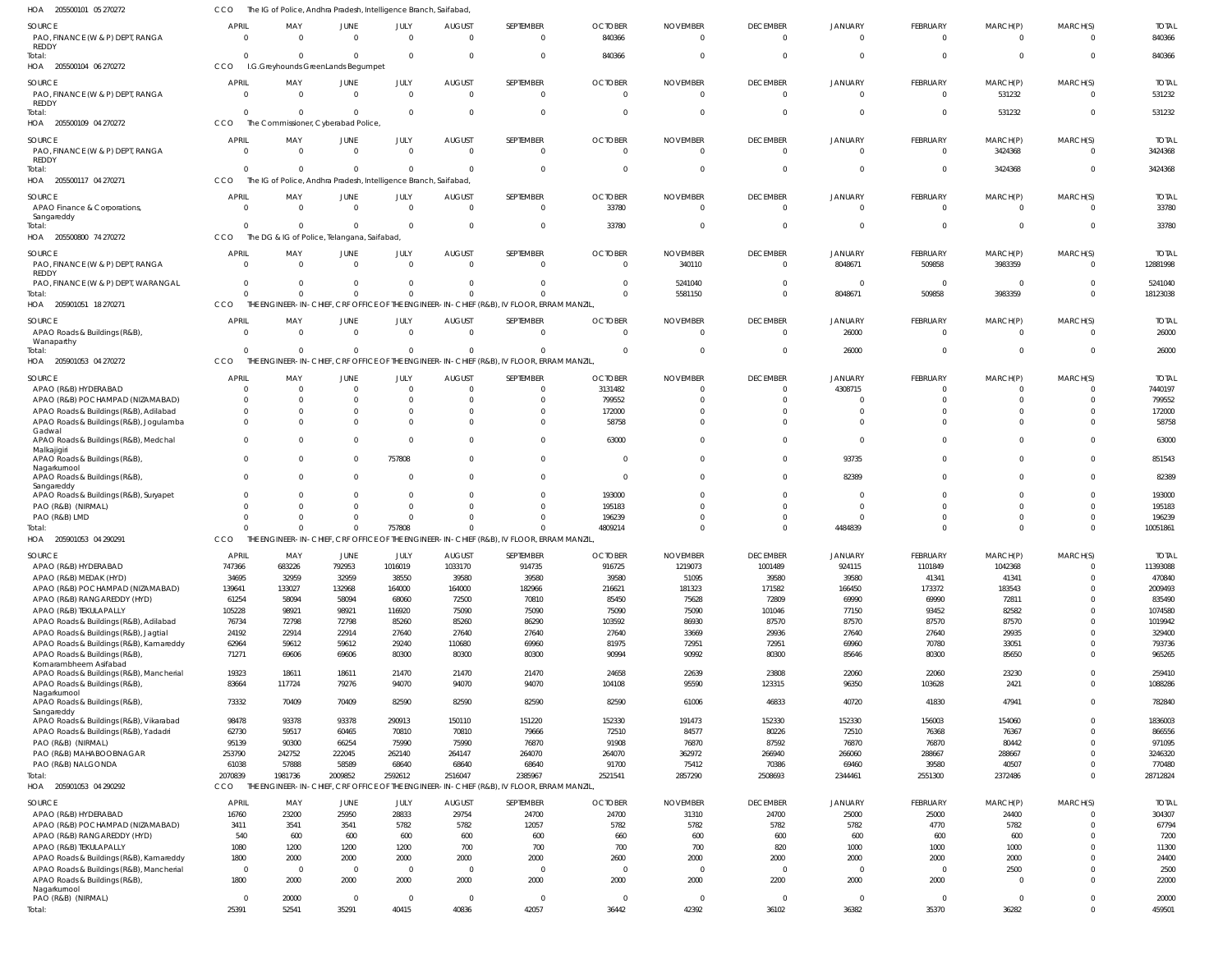| 205500101 05 270272<br>HOA                                                                        | CCO                      | The IG of Police, Andhra Pradesh, Intelligence Branch, Saifabad,             |                        |                      |                                 |                                                                                                      |                            |                             |                             |                      |                                   |                            |                                |                          |
|---------------------------------------------------------------------------------------------------|--------------------------|------------------------------------------------------------------------------|------------------------|----------------------|---------------------------------|------------------------------------------------------------------------------------------------------|----------------------------|-----------------------------|-----------------------------|----------------------|-----------------------------------|----------------------------|--------------------------------|--------------------------|
| SOURCE<br>PAO, FINANCE (W & P) DEPT, RANGA<br>REDDY                                               | <b>APRIL</b><br>$\Omega$ | MAY<br>$\Omega$                                                              | JUNE<br>$\Omega$       | JULY<br>$\Omega$     | <b>AUGUST</b><br>$\Omega$       | SEPTEMBER<br>$\Omega$                                                                                | <b>OCTOBER</b><br>840366   | <b>NOVEMBER</b><br>$\Omega$ | <b>DECEMBER</b><br>$\Omega$ | JANUARY<br>$\Omega$  | FEBRUARY<br>$\Omega$              | MARCH(P)<br>$\Omega$       | MARCH(S)<br>$\Omega$           | <b>TOTAL</b><br>840366   |
| Total:<br>HOA 205500104 06 270272                                                                 | $\Omega$<br>CCO          | $\Omega$<br>I.G.Greyhounds GreenLands Begumpet                               | $\Omega$               | $\Omega$             | $\Omega$                        | $\Omega$                                                                                             | 840366                     | $\Omega$                    | $\Omega$                    | $\Omega$             | $\Omega$                          | $\overline{0}$             | $\Omega$                       | 840366                   |
| SOURCE<br>PAO, FINANCE (W & P) DEPT, RANGA                                                        | APRIL<br>$\Omega$        | MAY<br>$\Omega$                                                              | JUNE<br>$\overline{0}$ | JULY<br>$\Omega$     | <b>AUGUST</b><br>$\overline{0}$ | SEPTEMBER<br>$\overline{0}$                                                                          | <b>OCTOBER</b><br>$\Omega$ | <b>NOVEMBER</b><br>- 0      | <b>DECEMBER</b><br>$\Omega$ | JANUARY<br>$\Omega$  | FEBRUARY<br>$\overline{0}$        | MARCH(P)<br>531232         | MARCH(S)<br>$\Omega$           | <b>TOTAL</b><br>531232   |
| REDDY<br>Total:<br>HOA 205500109 04 270272                                                        | $\Omega$<br>CCO          | $\Omega$<br>The Commissioner, Cyberabad Police,                              | $\Omega$               | - 0                  | $\Omega$                        | $\mathbf{0}$                                                                                         | $\Omega$                   | $\Omega$                    | $\Omega$                    | $\Omega$             | $\overline{0}$                    | 531232                     | $\Omega$                       | 531232                   |
| SOURCE<br>PAO, FINANCE (W & P) DEPT, RANGA                                                        | APRIL<br>$\Omega$        | MAY<br>$\Omega$                                                              | JUNE<br>$\Omega$       | JULY<br>$\Omega$     | <b>AUGUST</b><br>$\Omega$       | SEPTEMBER<br>$\overline{0}$                                                                          | <b>OCTOBER</b><br>$\Omega$ | <b>NOVEMBER</b><br>$\Omega$ | <b>DECEMBER</b><br>$\Omega$ | JANUARY<br>$\Omega$  | <b>FEBRUARY</b><br>$\overline{0}$ | MARCH(P)<br>3424368        | MARCH(S)<br>$\Omega$           | <b>TOTAI</b><br>3424368  |
| REDDY<br>Total:<br>HOA<br>205500117 04 270271                                                     | $\Omega$<br>CCO          | $\Omega$<br>The IG of Police, Andhra Pradesh, Intelligence Branch, Saifabad, | $\Omega$               | $\Omega$             | $\Omega$                        | $\Omega$                                                                                             | $\Omega$                   | $\Omega$                    | $\Omega$                    | $\Omega$             | $\Omega$                          | 3424368                    | $\Omega$                       | 3424368                  |
| SOURCE<br>APAO Finance & Corporations,                                                            | APRIL<br>$\Omega$        | MAY<br>$\Omega$                                                              | JUNE<br>$\Omega$       | JULY<br>$\Omega$     | <b>AUGUST</b><br>$\overline{0}$ | SEPTEMBER<br>$\overline{0}$                                                                          | <b>OCTOBER</b><br>33780    | <b>NOVEMBER</b><br>$\Omega$ | <b>DECEMBER</b><br>$\Omega$ | JANUARY<br>$\Omega$  | FEBRUARY<br>$\overline{0}$        | MARCH(P)<br>$\overline{0}$ | MARCH(S)<br>$\Omega$           | <b>TOTAL</b><br>33780    |
| Sangareddy<br>iotal:<br>HOA 205500800 74 270272                                                   | $\Omega$<br>CCO          | $\Omega$<br>The DG & IG of Police, Telangana, Saifabad,                      | $\Omega$               | - 0                  | $\Omega$                        | $\overline{0}$                                                                                       | 33780                      | $\Omega$                    | $\Omega$                    | $\Omega$             | $\overline{0}$                    | $\overline{0}$             | $\Omega$                       | 33780                    |
| SOURCE<br>PAO, FINANCE (W & P) DEPT, RANGA                                                        | APRIL<br>$\Omega$        | MAY<br>$\Omega$                                                              | JUNE<br>$\Omega$       | JULY<br>$\Omega$     | <b>AUGUST</b><br>$\Omega$       | SEPTEMBER<br>$\Omega$                                                                                | <b>OCTOBER</b><br>$\Omega$ | <b>NOVEMBER</b><br>340110   | <b>DECEMBER</b><br>$\Omega$ | JANUARY<br>8048671   | FEBRUARY<br>509858                | MARCH(P)<br>3983359        | MARCH(S)<br>$\Omega$           | <b>TOTAL</b><br>12881998 |
| REDDY<br>PAO, FINANCE (W & P) DEPT, WARANGAL                                                      | $\Omega$                 | $\Omega$<br>$\Omega$                                                         | $\Omega$<br>$\Omega$   |                      | $\Omega$<br>$\Omega$            | $\Omega$<br>$\Omega$                                                                                 | - 0<br>$\Omega$            | 5241040<br>5581150          | $\Omega$<br>$\Omega$        | $\Omega$<br>8048671  | $\overline{0}$<br>509858          | 0<br>3983359               | $\Omega$<br>$\Omega$           | 5241040<br>18123038      |
| Total:<br>205901051 18 270271<br>HOA                                                              | CCO                      |                                                                              |                        |                      |                                 | THE ENGINEER-IN-CHIEF, CRF OFFICE OF THE ENGINEER-IN-CHIEF (R&B), IV FLOOR, ERRAM MANZIL             |                            |                             |                             |                      |                                   |                            |                                |                          |
| SOURCE<br>APAO Roads & Buildings (R&B),                                                           | APRIL<br>$\Omega$        | MAY<br>$\overline{0}$                                                        | JUNE<br>$\overline{0}$ | JULY<br>$\Omega$     | <b>AUGUST</b><br>$\overline{0}$ | SEPTEMBER<br>$\overline{0}$                                                                          | <b>OCTOBER</b><br>$\Omega$ | <b>NOVEMBER</b><br>$\Omega$ | <b>DECEMBER</b><br>$\Omega$ | JANUARY<br>26000     | FEBRUARY<br>$\overline{0}$        | MARCH(P)<br>$\overline{0}$ | MARCH(S)<br>$\Omega$           | <b>TOTAL</b><br>26000    |
| Wanaparthy<br>Total:<br>HOA 205901053 04 270272                                                   | $\Omega$<br>CCO          | $\Omega$                                                                     | $\Omega$               | $\Omega$             | $\Omega$                        | $\Omega$<br>THE ENGINEER-IN-CHIEF, CRF OFFICE OF THE ENGINEER-IN-CHIEF (R&B), IV FLOOR, ERRAM MANZIL | $\Omega$                   | $\Omega$                    | $\Omega$                    | 26000                | $\overline{0}$                    | $\overline{0}$             | $\Omega$                       | 26000                    |
| SOURCE                                                                                            | <b>APRIL</b>             | MAY                                                                          | JUNE                   | JULY                 | AUGUST                          | SEPTEMBER                                                                                            | <b>OCTOBER</b>             | <b>NOVEMBER</b>             | <b>DECEMBER</b>             | JANUARY              | FEBRUARY                          | MARCH(P)                   | MARCH(S)                       | <b>TOTAL</b>             |
| APAO (R&B) HYDERABAD                                                                              | $\Omega$                 | $\Omega$                                                                     | $\Omega$               | - 0                  | $\Omega$                        | $\Omega$                                                                                             | 3131482                    | $\Omega$                    | $\Omega$                    | 4308715              | $\Omega$                          | -C                         | $\Omega$                       | 7440197                  |
| APAO (R&B) POCHAMPAD (NIZAMABAD)                                                                  | $\Omega$<br>$\Omega$     | $\Omega$<br>$\Omega$                                                         | $\Omega$<br>$\Omega$   | $\Omega$<br>$\Omega$ | $\Omega$<br>$\Omega$            | <sup>0</sup><br>$\Omega$                                                                             | 799552                     | $\Omega$<br>$\Omega$        | $\Omega$<br>$\Omega$        | $\Omega$             | $\Omega$<br>$\Omega$              |                            | $\Omega$<br>$\Omega$           | 799552                   |
| APAO Roads & Buildings (R&B), Adilabad<br>APAO Roads & Buildings (R&B), Jogulamba                 | $\Omega$                 | $\Omega$                                                                     | $\Omega$               | $\Omega$             | $\Omega$                        | $\Omega$                                                                                             | 172000<br>58758            | $\Omega$                    | $\Omega$                    | $\Omega$             | $\Omega$                          | $\Omega$                   | $\Omega$                       | 172000<br>58758          |
| Gadwal<br>APAO Roads & Buildings (R&B), Medchal<br>Malkajigiri                                    | $\Omega$                 | $\Omega$                                                                     | $\Omega$               |                      | $\Omega$                        | $\Omega$                                                                                             | 63000                      | $\Omega$                    | $\Omega$                    | $\Omega$             | $\Omega$                          | $\Omega$                   | $\Omega$                       | 63000                    |
| APAO Roads & Buildings (R&B),<br>Nagarkurnool<br>APAO Roads & Buildings (R&B),                    | $\Omega$<br>$\Omega$     | $\Omega$<br>$\Omega$                                                         | $\Omega$<br>$\Omega$   | 757808               | $\Omega$<br>$\Omega$            | $\Omega$<br>$\Omega$                                                                                 | 0<br>$\Omega$              | $\Omega$<br>$\Omega$        | $\Omega$<br>$\Omega$        | 93735<br>82389       | $\Omega$<br>$\Omega$              | $\Omega$<br>$\Omega$       | $\Omega$<br>$\Omega$           | 851543<br>82389          |
| Sangareddy<br>APAO Roads & Buildings (R&B), Suryapet                                              | $\Omega$                 | $\Omega$                                                                     | $\Omega$               |                      | $\Omega$                        | $\Omega$                                                                                             | 193000                     | $\Omega$                    | $\Omega$                    | $\Omega$             | $\Omega$                          | $\Omega$                   | $\Omega$                       | 193000                   |
| PAO (R&B) (NIRMAL)<br>PAO (R&B) LMD                                                               |                          |                                                                              | $\Omega$<br>$\Omega$   |                      | -C                              | $\Omega$                                                                                             | 195183<br>196239           | $\Omega$<br>$\Omega$        |                             | $\Omega$<br>$\Omega$ | $\Omega$<br>$\Omega$              | $\Omega$                   | $\Omega$<br>$\Omega$           | 195183<br>196239         |
| iotal:                                                                                            |                          |                                                                              | $\Omega$               | 757808               |                                 | <sup>0</sup>                                                                                         | 4809214                    | $\Omega$                    |                             | 4484839              | $\Omega$                          | $\Omega$                   | $\Omega$                       | 10051861                 |
| HOA 205901053 04 290291                                                                           | CCO                      |                                                                              |                        |                      |                                 | THE ENGINEER-IN-CHIEF, CRF OFFICE OF THE ENGINEER-IN-CHIEF (R&B), IV FLOOR, ERRAM MANZIL             |                            |                             |                             |                      |                                   |                            |                                |                          |
| SOURCE                                                                                            | APRIL                    | MAY                                                                          | JUNE                   | JULY                 | AUGUST                          | SEPTEMBER                                                                                            | <b>OCTOBER</b>             | <b>NOVEMBER</b>             | <b>DECEMBER</b>             | JANUARY              | FEBRUARY                          | MARCH(P)                   | MARCH(S)                       | TOTAL                    |
| APAO (R&B) HYDERABAD                                                                              | 747366                   | 683226                                                                       | 792953                 | 1016019              | 1033170                         | 914735                                                                                               | 916725                     | 1219073                     | 1001489                     | 924115               | 1101849                           | 1042368                    | $\Omega$<br>$\Omega$           | 11393088                 |
| APAO (R&B) MEDAK (HYD)<br>APAO (R&B) POCHAMPAD (NIZAMABAD)                                        | 34695<br>139641          | 32959<br>133027                                                              | 32959<br>132968        | 38550<br>164000      | 39580<br>164000                 | 39580<br>182966                                                                                      | 39580<br>216621            | 51095<br>181323             | 39580<br>171582             | 39580<br>166450      | 41341<br>173372                   | 41341<br>183543            | $\Omega$                       | 470840<br>2009493        |
| APAO (R&B) RANGAREDDY (HYD)                                                                       | 61254                    | 58094                                                                        | 58094                  | 68060                | 72500                           | 70810                                                                                                | 85450                      | 75628                       | 72809                       | 69990                | 69990                             | 72811                      | $\Omega$                       | 835490                   |
| APAO (R&B) TEKULAPALLY                                                                            | 105228                   | 98921                                                                        | 98921                  | 116920               | 75090                           | 75090                                                                                                | 75090                      | 75090                       | 101046                      | 77150                | 93452                             | 82582                      | $\Omega$                       | 1074580                  |
| APAO Roads & Buildings (R&B), Adilabad                                                            | 76734                    | 72798                                                                        | 72798                  | 85260                | 85260                           | 86290                                                                                                | 103592                     | 86930                       | 87570                       | 87570                | 87570                             | 87570                      | $\Omega$                       | 1019942                  |
| APAO Roads & Buildings (R&B), Jagtial                                                             | 24192                    | 22914                                                                        | 22914                  | 27640                | 27640                           | 27640                                                                                                | 27640                      | 33669                       | 29936                       | 27640                | 27640                             | 29935                      | $\Omega$                       | 329400                   |
| APAO Roads & Buildings (R&B), Kamareddy<br>APAO Roads & Buildings (R&B),<br>Komarambheem Asifabad | 62964<br>71271           | 59612<br>69606                                                               | 59612<br>69606         | 29240<br>80300       | 110680<br>80300                 | 69960<br>80300                                                                                       | 81975<br>90994             | 72951<br>90992              | 72951<br>80300              | 69960<br>85646       | 70780<br>80300                    | 33051<br>85650             | $\overline{0}$<br>$\Omega$     | 793736<br>965265         |
| APAO Roads & Buildings (R&B), Mancherial<br>APAO Roads & Buildings (R&B),                         | 19323<br>83664           | 18611<br>117724                                                              | 18611<br>79276         | 21470<br>94070       | 21470<br>94070                  | 21470<br>94070                                                                                       | 24658<br>104108            | 22639<br>95590              | 23808<br>123315             | 22060<br>96350       | 22060<br>103628                   | 23230<br>2421              | $\overline{0}$<br>$\mathbf{0}$ | 259410<br>1088286        |
| Nagarkurnool<br>APAO Roads & Buildings (R&B),                                                     | 73332                    | 70409                                                                        | 70409                  | 82590                | 82590                           | 82590                                                                                                | 82590                      | 61006                       | 46833                       | 40720                | 41830                             | 47941                      | $\mathbf{0}$                   | 782840                   |
| Sangareddy<br>APAO Roads & Buildings (R&B), Vikarabad                                             | 98478                    | 93378                                                                        | 93378                  | 290913               | 150110                          | 151220                                                                                               | 152330                     | 191473                      | 152330                      | 152330               | 156003                            | 154060                     | $\Omega$                       | 1836003                  |
| APAO Roads & Buildings (R&B), Yadadri                                                             | 62730                    | 59517                                                                        | 60465                  | 70810                | 70810                           | 79666                                                                                                | 72510                      | 84577                       | 80226                       | 72510                | 76368                             | 76367                      | $\Omega$                       | 866556                   |
| PAO (R&B) (NIRMAL)                                                                                | 95139                    | 90300                                                                        | 66254                  | 75990                | 75990                           | 76870                                                                                                | 91908                      | 76870                       | 87592                       | 76870                | 76870                             | 80442                      | $\Omega$                       | 971095                   |
| PAO (R&B) MAHABOOBNAGAR                                                                           | 253790                   | 242752                                                                       | 222045                 | 262140               | 264147                          | 264070                                                                                               | 264070                     | 362972                      | 266940                      | 266060               | 288667                            | 288667                     | $\Omega$<br>$\Omega$           | 3246320                  |
| PAO (R&B) NALGONDA<br>Total:                                                                      | 61038<br>2070839         | 57888<br>1981736                                                             | 58589<br>2009852       | 68640<br>2592612     | 68640<br>2516047                | 68640<br>2385967                                                                                     | 91700<br>2521541           | 75412<br>2857290            | 70386<br>2508693            | 69460<br>2344461     | 39580<br>2551300                  | 40507<br>2372486           | $\Omega$                       | 770480<br>28712824       |
| HOA 205901053 04 290292                                                                           | CCO                      |                                                                              |                        |                      |                                 | THE ENGINEER-IN-CHIEF, CRF OFFICE OF THE ENGINEER-IN-CHIEF (R&B), IV FLOOR, ERRAM MANZIL             |                            |                             |                             |                      |                                   |                            |                                |                          |
| SOURCE                                                                                            | APRIL                    | MAY                                                                          | JUNE                   | JULY                 | <b>AUGUST</b>                   | SEPTEMBER                                                                                            | <b>OCTOBER</b>             | <b>NOVEMBER</b>             | <b>DECEMBER</b>             | <b>JANUARY</b>       | FEBRUARY                          | MARCH(P)                   | MARCH(S)                       | <b>TOTAL</b>             |
| APAO (R&B) HYDERABAD                                                                              | 16760                    | 23200                                                                        | 25950                  | 28833                | 29754                           | 24700                                                                                                | 24700                      | 31310                       | 24700                       | 25000                | 25000                             | 24400                      | $\Omega$                       | 304307                   |
| APAO (R&B) POCHAMPAD (NIZAMABAD)                                                                  | 3411                     | 3541                                                                         | 3541                   | 5782                 | 5782                            | 12057                                                                                                | 5782                       | 5782                        | 5782                        | 5782                 | 4770                              | 5782                       | $\Omega$                       | 67794                    |
| APAO (R&B) RANGAREDDY (HYD)                                                                       | 540                      | 600                                                                          | 600                    | 600                  | 600                             | 600                                                                                                  | 660                        | 600                         | 600                         | 600                  | 600                               | 600                        | $\Omega$                       | 7200                     |
| APAO (R&B) TEKULAPALLY                                                                            | 1080                     | 1200                                                                         | 1200                   | 1200                 | 700                             | 700                                                                                                  | 700                        | 700                         | 820                         | 1000                 | 1000                              | 1000                       | $\Omega$                       | 11300                    |
| APAO Roads & Buildings (R&B), Kamareddy                                                           | 1800                     | 2000                                                                         | 2000                   | 2000                 | 2000                            | 2000                                                                                                 | 2600                       | 2000                        | 2000                        | 2000                 | 2000                              | 2000                       | $\Omega$                       | 24400                    |
| APAO Roads & Buildings (R&B), Mancherial<br>APAO Roads & Buildings (R&B),<br>Nagarkurnool         | $\overline{0}$<br>1800   | $\overline{0}$<br>2000                                                       | $\mathbf 0$<br>2000    | $\Omega$<br>2000     | $\overline{0}$<br>2000          | $\overline{0}$<br>2000                                                                               | $\overline{0}$<br>2000     | $\overline{0}$<br>2000      | $\overline{0}$<br>2200      | $\Omega$<br>2000     | $\overline{0}$<br>2000            | 2500<br>$\Omega$           | $\Omega$<br>$\Omega$           | 2500<br>22000            |
| PAO (R&B) (NIRMAL)                                                                                | $\Omega$                 | 20000                                                                        | $\overline{0}$         | $\overline{0}$       | $\overline{0}$                  | $\overline{0}$                                                                                       | $\overline{0}$             | $\overline{0}$              | $\overline{0}$              | $\Omega$             | $\overline{0}$                    | $\overline{0}$             | $\overline{0}$                 | 20000                    |
| Total:                                                                                            | 25391                    | 52541                                                                        | 35291                  | 40415                | 40836                           | 42057                                                                                                | 36442                      | 42392                       | 36102                       | 36382                | 35370                             | 36282                      | $\mathbf{0}$                   | 459501                   |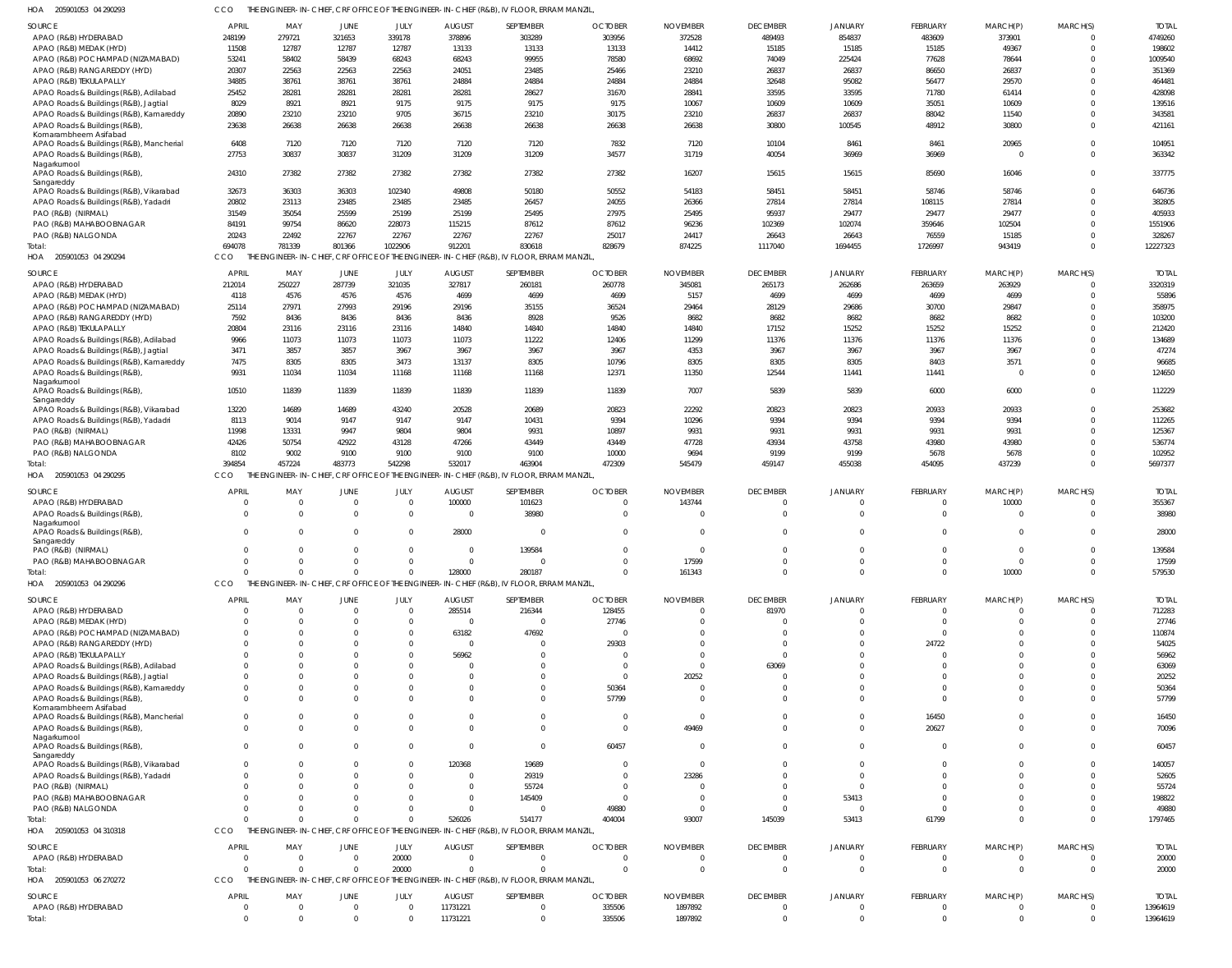| HOA 205901053 04 290293 | THE ENGINEER-IN-CHIEF, CRF OFFICE OF THE ENGINEER-IN-CHIEF (R&B), IV FLOOR, ERRAM MANZIL, |
|-------------------------|-------------------------------------------------------------------------------------------|
|                         |                                                                                           |

| <b>SOURCE</b>                                 | <b>APRIL</b>  | MAY           | JUNE                 | JULY                       | <b>AUGUST</b>        | SEPTEMBER                                                                                 | <b>OCTOBER</b>   | <b>NOVEMBER</b>    | <b>DECEMBER</b>            | <b>JANUARY</b>             | <b>FEBRUARY</b> | MARCH(P)       | MARCH(S)                 | <b>TOTAL</b>         |
|-----------------------------------------------|---------------|---------------|----------------------|----------------------------|----------------------|-------------------------------------------------------------------------------------------|------------------|--------------------|----------------------------|----------------------------|-----------------|----------------|--------------------------|----------------------|
| APAO (R&B) HYDERABAD                          | 248199        | 279721        | 321653               | 339178                     | 378896               | 303289                                                                                    | 303956           | 372528             | 489493                     | 854837                     | 483609          | 373901         | $\Omega$                 | 4749260              |
| APAO (R&B) MEDAK (HYD)                        | 11508         | 12787         | 12787                | 12787                      | 13133                | 13133                                                                                     | 13133            | 14412              | 15185                      | 15185                      | 15185           | 49367          | $\Omega$                 | 198602               |
| APAO (R&B) POCHAMPAD (NIZAMABAD)              | 53241         | 58402         | 58439                | 68243                      | 68243                | 99955                                                                                     | 78580            | 68692              | 74049                      | 225424                     | 77628           | 78644          | $\Omega$                 | 1009540              |
| APAO (R&B) RANGAREDDY (HYD)                   | 20307         | 22563         | 22563                | 22563                      | 24051                | 23485                                                                                     | 25466            | 23210              | 26837                      | 26837                      | 86650           | 26837          | $\Omega$                 | 351369               |
| APAO (R&B) TEKULAPALLY                        | 34885         | 38761         | 38761                | 38761                      | 24884                | 24884                                                                                     | 24884            | 24884              | 32648                      | 95082                      | 56477           | 29570          | $\Omega$                 | 464481               |
| APAO Roads & Buildings (R&B), Adilabad        | 25452         | 28281         | 28281                | 28281                      | 28281                | 28627                                                                                     | 31670            | 28841              | 33595                      | 33595                      | 71780           | 61414          | $\Omega$                 | 428098               |
| APAO Roads & Buildings (R&B), Jagtial         | 8029          | 8921          | 8921                 | 9175                       | 9175                 | 9175                                                                                      | 9175             | 10067              | 10609                      | 10609                      | 35051           | 10609          | $\Omega$                 | 139516               |
| APAO Roads & Buildings (R&B), Kamareddy       | 20890         | 23210         | 23210                | 9705                       | 36715                | 23210                                                                                     | 30175            | 23210              | 26837                      | 26837                      | 88042           | 11540          | $\Omega$                 | 343581               |
|                                               |               |               |                      |                            |                      |                                                                                           |                  |                    |                            |                            |                 |                |                          |                      |
| APAO Roads & Buildings (R&B)                  | 23638         | 26638         | 26638                | 26638                      | 26638                | 26638                                                                                     | 26638            | 26638              | 30800                      | 100545                     | 48912           | 30800          | $\Omega$                 | 421161               |
| Komarambheem Asifabad                         | 6408          | 7120          | 7120                 | 7120                       | 7120                 | 7120                                                                                      | 7832             | 7120               | 10104                      | 8461                       | 8461            | 20965          | $\Omega$                 | 104951               |
| APAO Roads & Buildings (R&B), Mancherial      |               |               |                      |                            |                      |                                                                                           |                  |                    |                            |                            |                 |                |                          |                      |
| APAO Roads & Buildings (R&B)                  | 27753         | 30837         | 30837                | 31209                      | 31209                | 31209                                                                                     | 34577            | 31719              | 40054                      | 36969                      | 36969           | 0              | $\Omega$                 | 363342               |
| Nagarkurnool<br>APAO Roads & Buildings (R&B), | 24310         | 27382         | 27382                | 27382                      | 27382                | 27382                                                                                     | 27382            | 16207              | 15615                      | 15615                      | 85690           | 16046          | $\Omega$                 | 337775               |
| Sangareddy                                    |               |               |                      |                            |                      |                                                                                           |                  |                    |                            |                            |                 |                |                          |                      |
| APAO Roads & Buildings (R&B), Vikarabad       | 32673         | 36303         | 36303                | 102340                     | 49808                | 50180                                                                                     | 50552            | 54183              | 58451                      | 58451                      | 58746           | 58746          | $\Omega$                 | 646736               |
| APAO Roads & Buildings (R&B), Yadadri         | 20802         | 23113         | 23485                | 23485                      | 23485                | 26457                                                                                     | 24055            | 26366              | 27814                      | 27814                      | 108115          | 27814          | $\Omega$                 | 382805               |
| PAO (R&B) (NIRMAL)                            | 31549         |               | 25599                | 25199                      | 25199                | 25495                                                                                     | 27975            | 25495              | 95937                      | 29477                      | 29477           | 29477          | $\Omega$                 | 405933               |
|                                               |               | 35054         |                      |                            |                      |                                                                                           |                  |                    |                            |                            |                 |                |                          |                      |
| PAO (R&B) MAHABOOBNAGAR                       | 84191         | 99754         | 86620                | 228073                     | 115215               | 87612                                                                                     | 87612            | 96236              | 102369                     | 102074                     | 359646          | 102504         | $\Omega$                 | 1551906              |
| PAO (R&B) NALGONDA                            | 20243         | 22492         | 22767                | 22767                      | 22767                | 22767                                                                                     | 25017            | 24417              | 26643                      | 26643                      | 76559           | 15185          | $\Omega$                 | 328267               |
| Total:                                        | 694078        | 781339        | 801366               | 1022906                    | 912201               | 830618                                                                                    | 828679           | 874225             | 1117040                    | 1694455                    | 1726997         | 943419         | $\Omega$                 | 12227323             |
| HOA<br>205901053 04 290294                    | CCO           |               |                      |                            |                      | THE ENGINEER-IN-CHIEF, CRF OFFICE OF THE ENGINEER-IN-CHIEF (R&B), IV FLOOR, ERRAM MANZIL  |                  |                    |                            |                            |                 |                |                          |                      |
|                                               |               |               |                      |                            |                      |                                                                                           |                  |                    |                            |                            |                 |                |                          |                      |
| SOURCE                                        | <b>APRIL</b>  | MAY           | JUNE                 | JULY                       | <b>AUGUST</b>        | SEPTEMBER                                                                                 | <b>OCTOBER</b>   | <b>NOVEMBER</b>    | <b>DECEMBER</b>            | <b>JANUARY</b>             | <b>FEBRUARY</b> | MARCH(P)       | MARCH(S)                 | <b>TOTAL</b>         |
| APAO (R&B) HYDERABAD                          | 212014        | 250227        | 287739               | 321035                     | 327817               | 260181                                                                                    | 260778           | 345081             | 265173                     | 262686                     | 263659          | 263929         | $\Omega$                 | 3320319              |
| APAO (R&B) MEDAK (HYD)                        | 4118          | 4576          | 4576                 | 4576                       | 4699                 | 4699                                                                                      | 4699             | 5157               | 4699                       | 4699                       | 4699            | 4699           | $\Omega$                 | 55896                |
| APAO (R&B) POCHAMPAD (NIZAMABAD)              | 25114         | 27971         | 27993                | 29196                      | 29196                | 35155                                                                                     | 36524            | 29464              | 28129                      | 29686                      | 30700           | 29847          | $\Omega$                 | 358975               |
| APAO (R&B) RANGAREDDY (HYD)                   | 7592          | 8436          | 8436                 | 8436                       | 8436                 | 8928                                                                                      | 9526             | 8682               | 8682                       | 8682                       | 8682            | 8682           | $\Omega$                 | 103200               |
| APAO (R&B) TEKULAPALLY                        | 20804         | 23116         | 23116                | 23116                      | 14840                | 14840                                                                                     | 14840            | 14840              | 17152                      | 15252                      | 15252           | 15252          | $\Omega$                 | 212420               |
| APAO Roads & Buildings (R&B), Adilabad        | 9966          | 11073         | 11073                | 11073                      | 11073                | 11222                                                                                     | 12406            | 11299              | 11376                      | 11376                      | 11376           | 11376          | $\Omega$                 | 134689               |
|                                               |               |               |                      |                            |                      |                                                                                           |                  |                    |                            |                            |                 |                | $\Omega$                 |                      |
| APAO Roads & Buildings (R&B), Jagtial         | 3471          | 3857          | 3857                 | 3967                       | 3967                 | 3967                                                                                      | 3967             | 4353               | 3967                       | 3967                       | 3967            | 3967           |                          | 47274                |
| APAO Roads & Buildings (R&B), Kamareddy       | 7475          | 8305          | 8305                 | 3473                       | 13137                | 8305                                                                                      | 10796            | 8305               | 8305                       | 8305                       | 8403            | 3571           | $\Omega$                 | 96685                |
| APAO Roads & Buildings (R&B)                  | 9931          | 11034         | 11034                | 11168                      | 11168                | 11168                                                                                     | 12371            | 11350              | 12544                      | 11441                      | 11441           | $\overline{0}$ | $\Omega$                 | 124650               |
| Nagarkurnool                                  |               |               |                      |                            |                      |                                                                                           |                  |                    |                            |                            |                 |                |                          |                      |
| APAO Roads & Buildings (R&B),                 | 10510         | 11839         | 11839                | 11839                      | 11839                | 11839                                                                                     | 11839            | 7007               | 5839                       | 5839                       | 6000            | 6000           | $\Omega$                 | 112229               |
| Sangareddy                                    |               |               |                      |                            |                      |                                                                                           |                  |                    |                            |                            |                 |                |                          |                      |
| APAO Roads & Buildings (R&B), Vikarabad       | 13220         | 14689         | 14689                | 43240                      | 20528                | 20689                                                                                     | 20823            | 22292              | 20823                      | 20823                      | 20933           | 20933          | $\Omega$                 | 253682               |
| APAO Roads & Buildings (R&B), Yadadri         | 8113          | 9014          | 9147                 | 9147                       | 9147                 | 10431                                                                                     | 9394             | 10296              | 9394                       | 9394                       | 9394            | 9394           | $\Omega$                 | 112265               |
| PAO (R&B) (NIRMAL)                            | 11998         | 13331         | 9947                 | 9804                       | 9804                 | 9931                                                                                      | 10897            | 9931               | 9931                       | 9931                       | 9931            | 9931           | $\Omega$                 | 125367               |
| PAO (R&B) MAHABOOBNAGAR                       | 42426         | 50754         | 42922                | 43128                      | 47266                | 43449                                                                                     | 43449            | 47728              | 43934                      | 43758                      | 43980           | 43980          | $\Omega$                 | 536774               |
| PAO (R&B) NALGONDA                            | 8102          | 9002          | 9100                 | 9100                       | 9100                 | 9100                                                                                      | 10000            | 9694               | 9199                       | 9199                       | 5678            | 5678           | $\Omega$                 | 102952               |
| Total:                                        | 394854        | 457224        | 483773               | 542298                     | 532017               | 463904                                                                                    | 472309           | 545479             | 459147                     | 455038                     | 454095          | 437239         | $\Omega$                 | 5697377              |
| HOA 205901053 04 290295                       | <b>CCO</b>    |               |                      |                            |                      | THE ENGINEER-IN-CHIEF, CRF OFFICE OF THE ENGINEER-IN-CHIEF (R&B), IV FLOOR, ERRAM MANZIL  |                  |                    |                            |                            |                 |                |                          |                      |
|                                               |               |               |                      |                            |                      |                                                                                           |                  |                    |                            |                            |                 |                |                          |                      |
|                                               |               |               |                      |                            |                      |                                                                                           |                  |                    |                            |                            |                 |                |                          |                      |
| SOURCE                                        | <b>APRIL</b>  | MAY           | JUNE                 | <b>JULY</b>                | <b>AUGUST</b>        | SEPTEMBER                                                                                 | <b>OCTOBER</b>   | <b>NOVEMBER</b>    | <b>DECEMBER</b>            | <b>JANUARY</b>             | <b>FEBRUARY</b> | MARCH(P)       | MARCH(S)                 | <b>TOTAL</b>         |
| APAO (R&B) HYDERABAD                          | 0             | $\Omega$      | $\Omega$             | $\Omega$                   | 100000               | 101623                                                                                    |                  | 143744             | $\Omega$                   | $\Omega$                   | $\Omega$        | 10000          | $\Omega$                 | 355367               |
|                                               |               |               |                      |                            |                      |                                                                                           |                  |                    |                            |                            |                 |                |                          |                      |
| APAO Roads & Buildings (R&B)                  | $\Omega$      | $\Omega$      | $\Omega$             | $\mathbf{0}$               | $\Omega$             | 38980                                                                                     |                  |                    | $\Omega$                   | $\Omega$                   | $\overline{0}$  | $\overline{0}$ | $\Omega$                 | 38980                |
| Nagarkurnool                                  | $\Omega$      | $\Omega$      | $\Omega$             | $\Omega$                   |                      | $\Omega$                                                                                  |                  |                    | $\Omega$                   | $\Omega$                   | $\Omega$        | $\mathbf{0}$   | $\Omega$                 | 28000                |
| APAO Roads & Buildings (R&B)<br>Sangareddy    |               |               |                      |                            | 28000                |                                                                                           |                  |                    |                            |                            |                 |                |                          |                      |
| PAO (R&B) (NIRMAL)                            | $\Omega$      | $\Omega$      | $\Omega$             | $\mathbf 0$                | $\Omega$             | 139584                                                                                    |                  |                    | $\Omega$                   | $\Omega$                   | $\Omega$        | $\Omega$       | $\mathbf{0}$             | 139584               |
| PAO (R&B) MAHABOOBNAGAR                       | $\Omega$      | $\Omega$      | $\Omega$             | $\Omega$                   | $\Omega$             | $\Omega$                                                                                  |                  | 17599              | $\Omega$                   | $\Omega$                   | $\Omega$        | $\Omega$       | $\Omega$                 | 17599                |
|                                               |               |               |                      |                            |                      |                                                                                           |                  |                    |                            |                            |                 |                |                          |                      |
| Total                                         | $\Omega$      | $\Omega$      | $\Omega$             | $\Omega$                   | 128000               | 280187                                                                                    |                  | 161343             | $\Omega$                   | $\Omega$                   | $\mathbf{0}$    | 10000          | $\overline{0}$           | 579530               |
| HOA<br>205901053 04 290296                    | <b>CCO</b>    |               |                      |                            |                      | THE ENGINEER-IN-CHIEF, CRF OFFICE OF THE ENGINEER-IN-CHIEF (R&B), IV FLOOR, ERRAM MANZIL, |                  |                    |                            |                            |                 |                |                          |                      |
| SOURCE                                        | <b>APRIL</b>  | MAY           | JUNE                 | JULY                       | <b>AUGUST</b>        | SEPTEMBER                                                                                 | <b>OCTOBER</b>   | <b>NOVEMBER</b>    | <b>DECEMBER</b>            | JANUARY                    | FEBRUARY        | MARCH(P)       | MARCH(S)                 | <b>TOTAL</b>         |
|                                               | 0             | $\Omega$      | $\Omega$             | $\Omega$                   |                      |                                                                                           |                  |                    |                            | $\Omega$                   | 0               | $\Omega$       | $\Omega$                 |                      |
| APAO (R&B) HYDERABAD                          | $\Omega$      | $\Omega$      |                      | $\Omega$                   | 285514<br>$\Omega$   | 216344<br>$\Omega$                                                                        | 128455           |                    | 81970<br>$\Omega$          | $\Omega$                   | $\Omega$        | $\Omega$       | $\Omega$                 | 712283               |
| APAO (R&B) MEDAK (HYD)                        |               |               |                      |                            |                      |                                                                                           | 27746            |                    |                            |                            |                 |                |                          | 27746                |
| APAO (R&B) POCHAMPAD (NIZAMABAD)              |               | $\Omega$      |                      | $\Omega$                   | 63182                | 47692                                                                                     | - 0              |                    |                            | $\Omega$                   | $\Omega$        | $\Omega$       | $\Omega$                 | 110874               |
| APAO (R&B) RANGAREDDY (HYD)                   |               | $\Omega$      |                      | $\Omega$                   | $\Omega$             | $\Omega$                                                                                  | 29303            |                    | $\Omega$                   | $\Omega$                   | 24722           | $\Omega$       |                          | 54025                |
| APAO (R&B) TEKULAPALLY                        |               | $\Omega$      |                      | $\Omega$                   | 56962                | $\Omega$                                                                                  | $\sqrt{ }$       |                    | $\Omega$                   | $\Omega$                   | $\Omega$        | $\Omega$       | $\Omega$                 | 56962                |
| APAO Roads & Buildings (R&B), Adilabad        |               | -C            |                      | $\Omega$                   |                      | $\Omega$                                                                                  | - 0              |                    | 63069                      | $\Omega$                   | $\Omega$        |                |                          | 63069                |
| APAO Roads & Buildings (R&B), Jagtial         |               | $\Omega$      |                      | $\Omega$                   |                      | $\Omega$                                                                                  | $\Omega$         | 20252              |                            | $\Omega$                   | $\Omega$        | $\Omega$       | $\Omega$                 | 20252                |
| APAO Roads & Buildings (R&B), Kamareddy       | $\Omega$      | $\Omega$      |                      | $\Omega$                   |                      | $\Omega$                                                                                  | 50364            |                    |                            | $\Omega$                   | $\Omega$        | $\Omega$       |                          | 50364                |
| APAO Roads & Buildings (R&B),                 | $\Omega$      | -C            |                      |                            |                      | $\Omega$                                                                                  | 57799            |                    |                            | $\Omega$                   | $\Omega$        | $\Omega$       |                          | 57799                |
| Komarambheem Asifabad                         |               |               |                      |                            |                      |                                                                                           |                  |                    |                            |                            |                 |                |                          |                      |
| APAO Roads & Buildings (R&B), Mancherial      | $\Omega$      | $\Omega$      |                      | $\Omega$                   |                      | $\Omega$                                                                                  | - 0              | $\cup$             | $\Omega$                   | $\Omega$                   | 16450           | $\Omega$       | $\Omega$                 | 16450                |
|                                               | $\Omega$      | $\Omega$      | $\Omega$             | $\Omega$                   |                      | $\Omega$                                                                                  | $\Omega$         |                    | $\Omega$                   | $\Omega$                   |                 | $\Omega$       | $\Omega$                 |                      |
| APAO Roads & Buildings (R&B)                  |               |               |                      |                            |                      |                                                                                           |                  | 49469              |                            |                            | 20627           |                |                          | 70096                |
| Nagarkurnool<br>APAO Roads & Buildings (R&B), | $\Omega$      | $\Omega$      |                      | $\Omega$                   | - 0                  | $\Omega$                                                                                  | 60457            | $\Omega$           | $\Omega$                   | $\Omega$                   | $\Omega$        | $\Omega$       | $\Omega$                 | 60457                |
| Sangareddy                                    |               |               |                      |                            |                      |                                                                                           |                  |                    |                            |                            |                 |                |                          |                      |
| APAO Roads & Buildings (R&B), Vikarabad       | 0             | $\Omega$      |                      | $\Omega$                   | 120368               | 19689                                                                                     |                  | - 0                |                            | $\Omega$                   | $\Omega$        | $\Omega$       | $\Omega$                 | 140057               |
| APAO Roads & Buildings (R&B), Yadadri         | $\Omega$      | $\Omega$      |                      | $\Omega$                   | $\Omega$             | 29319                                                                                     | - 0              | 23286              |                            | $\Omega$                   | $\Omega$        | $\Omega$       | $\Omega$                 | 52605                |
|                                               |               | $\Omega$      |                      | $\Omega$                   | $\Omega$             | 55724                                                                                     |                  | $\Omega$           |                            | $\Omega$                   | $\Omega$        | $\Omega$       |                          | 55724                |
| PAO (R&B) (NIRMAL)                            |               | $\Omega$      |                      |                            |                      |                                                                                           |                  |                    |                            |                            |                 |                |                          |                      |
| PAO (R&B) MAHABOOBNAGAR                       |               |               |                      | $\Omega$                   | $\Omega$             | 145409                                                                                    |                  | $\Omega$           | $\Omega$                   | 53413                      | $\Omega$        | $\Omega$       | $\Omega$                 | 198822               |
| PAO (R&B) NALGONDA                            |               | $\Omega$      |                      | $\Omega$                   | $\Omega$             | 0                                                                                         | 49880            | $\Omega$           | $\Omega$                   | $\Omega$                   | $\Omega$        | $\mathbf 0$    | $\Omega$                 | 49880                |
| Total:                                        |               | $\Omega$      |                      | $\Omega$                   | 526026               | 514177                                                                                    | 404004           | 93007              | 145039                     | 53413                      | 61799           | $\Omega$       | $\Omega$                 | 1797465              |
| HOA 205901053 04 310318                       | CCO           |               |                      |                            |                      | THE ENGINEER-IN-CHIEF, CRF OFFICE OF THE ENGINEER-IN-CHIEF (R&B), IV FLOOR, ERRAM MANZIL, |                  |                    |                            |                            |                 |                |                          |                      |
|                                               |               |               |                      |                            |                      |                                                                                           |                  |                    |                            |                            |                 |                |                          |                      |
| <b>SOURCE</b>                                 | <b>APRIL</b>  | MAY           | JUNE                 | JULY                       | <b>AUGUST</b>        | SEPTEMBER                                                                                 | <b>OCTOBER</b>   | <b>NOVEMBER</b>    | <b>DECEMBER</b>            | <b>JANUARY</b>             | FEBRUARY        | MARCH(P)       | MARCH(S)                 | <b>TOTAL</b>         |
| APAO (R&B) HYDERABAD                          | $\Omega$      | $\Omega$      | $\Omega$             | 20000                      | $\Omega$             | $\Omega$                                                                                  |                  |                    | $\overline{0}$             | $\Omega$                   | $\mathbf 0$     | 0              | $\Omega$                 | 20000                |
| Total:                                        | $\Omega$      | $\Omega$      | $\Omega$             | 20000                      |                      | $\Omega$                                                                                  |                  |                    | $\Omega$                   | $\Omega$                   | $\mathbf{0}$    | $\mathbf{0}$   | $\Omega$                 | 20000                |
| HOA 205901053 06 270272                       | CCO           |               |                      |                            |                      | THE ENGINEER-IN-CHIEF, CRF OFFICE OF THE ENGINEER-IN-CHIEF (R&B), IV FLOOR, ERRAM MANZIL, |                  |                    |                            |                            |                 |                |                          |                      |
|                                               |               |               |                      |                            |                      |                                                                                           |                  |                    |                            |                            |                 |                |                          |                      |
| <b>SOURCE</b>                                 | <b>APRIL</b>  | MAY           | JUNE                 | JULY                       | <b>AUGUST</b>        | SEPTEMBER                                                                                 | <b>OCTOBER</b>   | <b>NOVEMBER</b>    | <b>DECEMBER</b>            | <b>JANUARY</b>             | <b>FEBRUARY</b> | MARCH(P)       | MARCH(S)                 | <b>TOTAL</b>         |
| APAO (R&B) HYDERABAD<br>Total:                | 0<br>$\Omega$ | 0<br>$\Omega$ | $\Omega$<br>$\Omega$ | $\overline{0}$<br>$\Omega$ | 11731221<br>11731221 | $\mathbf{0}$<br>$\Omega$                                                                  | 335506<br>335506 | 1897892<br>1897892 | $\overline{0}$<br>$\Omega$ | $\overline{0}$<br>$\Omega$ | 0<br>$\Omega$   | 0<br>$\Omega$  | $\mathbf{0}$<br>$\Omega$ | 13964619<br>13964619 |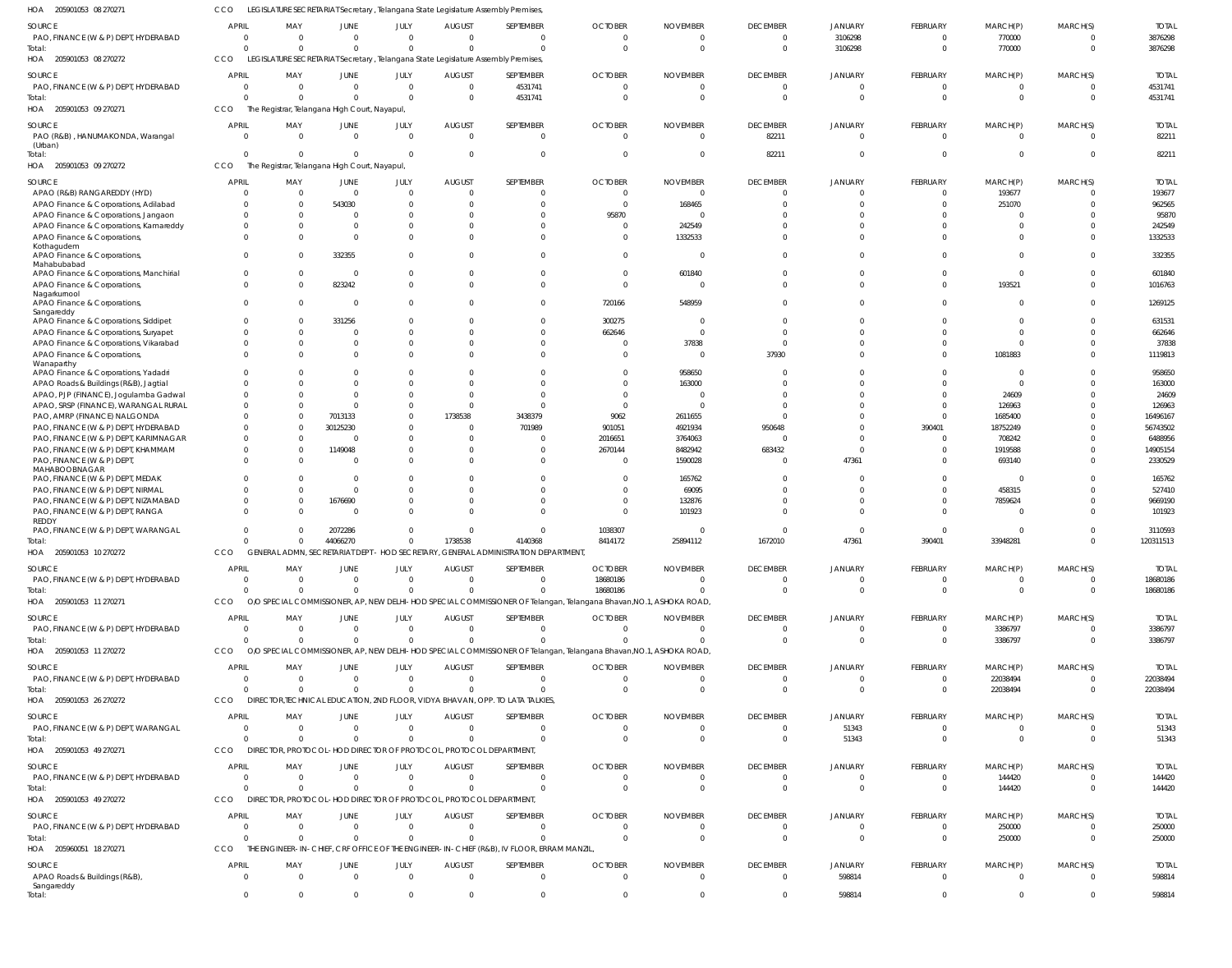| 205901053 08 270271<br>HOA                                                    | CCO                            |                                                                              |                            |                                  |                            | LEGISLATURE SECRETARIAT Secretary, Telangana State Legislature Assembly Premises,         |                                                                                                                    |                             |                                   |                        |                                |                                |                                  |                        |
|-------------------------------------------------------------------------------|--------------------------------|------------------------------------------------------------------------------|----------------------------|----------------------------------|----------------------------|-------------------------------------------------------------------------------------------|--------------------------------------------------------------------------------------------------------------------|-----------------------------|-----------------------------------|------------------------|--------------------------------|--------------------------------|----------------------------------|------------------------|
| SOURCE                                                                        | <b>APRIL</b>                   | MAY                                                                          | JUNE                       | JULY                             | <b>AUGUST</b>              | SEPTEMBER                                                                                 | <b>OCTOBER</b>                                                                                                     | <b>NOVEMBER</b>             | <b>DECEMBER</b>                   | JANUARY                | FEBRUARY                       | MARCH(P)                       | MARCH(S)                         | <b>TOTAL</b>           |
| PAO, FINANCE (W & P) DEPT, HYDERABAD                                          | $\mathbf{0}$                   | $\Omega$                                                                     | $\Omega$                   | $\Omega$                         | $\Omega$                   | $\Omega$                                                                                  |                                                                                                                    |                             | $\overline{0}$                    | 3106298                | $\Omega$                       | 770000                         | $\overline{0}$                   | 3876298                |
| Total:                                                                        | $\Omega$                       | $\Omega$                                                                     | $\Omega$                   | $\Omega$                         |                            | $\Omega$                                                                                  | $\sqrt{ }$                                                                                                         |                             | $\Omega$                          | 3106298                | $\Omega$                       | 770000                         | $\Omega$                         | 3876298                |
| HOA 205901053 08 270272                                                       | CCO                            |                                                                              |                            |                                  |                            | LEGISLATURE SECRETARIAT Secretary , Telangana State Legislature Assembly Premises         |                                                                                                                    |                             |                                   |                        |                                |                                |                                  |                        |
| SOURCE                                                                        | <b>APRIL</b>                   | MAY                                                                          | JUNE                       | JULY                             | <b>AUGUST</b>              | SEPTEMBER                                                                                 | <b>OCTOBER</b>                                                                                                     | <b>NOVEMBER</b>             | <b>DECEMBER</b>                   | JANUARY                | FEBRUARY                       | MARCH(P)                       | MARCH(S)                         | <b>TOTAL</b>           |
| PAO, FINANCE (W & P) DEPT, HYDERABAD<br>Total:                                | $\overline{0}$<br>$\Omega$     | $\Omega$<br>$\Omega$                                                         | $\Omega$<br>$\Omega$       | $\overline{0}$<br>$\Omega$       | $\Omega$<br>- 0            | 4531741<br>4531741                                                                        | $\sqrt{ }$                                                                                                         |                             | $\overline{0}$<br>$\Omega$        | $\Omega$<br>$\Omega$   | $\mathbf{0}$<br>$\overline{0}$ | $\overline{0}$<br>$\mathbf{0}$ | $\Omega$<br>$\overline{0}$       | 4531741<br>4531741     |
| HOA 205901053 09 270271                                                       | CCO                            | The Registrar, Telangana High Court, Nayapul,                                |                            |                                  |                            |                                                                                           |                                                                                                                    |                             |                                   |                        |                                |                                |                                  |                        |
| <b>SOURCE</b>                                                                 | <b>APRIL</b>                   | MAY                                                                          | JUNE                       | JULY                             | <b>AUGUST</b>              | SEPTEMBER                                                                                 | <b>OCTOBER</b>                                                                                                     | <b>NOVEMBER</b>             | <b>DECEMBER</b>                   | JANUARY                | FEBRUARY                       | MARCH(P)                       | MARCH(S)                         | <b>TOTAL</b>           |
| PAO (R&B), HANUMAKONDA, Warangal                                              | $\Omega$                       | $\Omega$                                                                     | $\Omega$                   | $\Omega$                         | $\Omega$                   | $\mathbf{0}$                                                                              | $\Omega$                                                                                                           | $\Omega$                    | 82211                             | $\Omega$               | $\Omega$                       | $\Omega$                       | $\overline{0}$                   | 82211                  |
| (Urban)                                                                       |                                |                                                                              |                            |                                  |                            |                                                                                           |                                                                                                                    |                             |                                   |                        |                                |                                |                                  |                        |
| Total:                                                                        | $\Omega$                       | $\Omega$                                                                     | $\Omega$                   | $\Omega$                         | - 0                        | $\Omega$                                                                                  |                                                                                                                    |                             | 82211                             | $\Omega$               | $\Omega$                       | $\Omega$                       | $\Omega$                         | 82211                  |
| HOA 205901053 09 270272                                                       | CCO                            | The Registrar, Telangana High Court, Nayapul,                                |                            |                                  |                            |                                                                                           |                                                                                                                    |                             |                                   |                        |                                |                                |                                  |                        |
| <b>SOURCE</b>                                                                 | <b>APRIL</b>                   | MAY                                                                          | JUNE                       | JULY                             | <b>AUGUST</b>              | SEPTEMBER                                                                                 | <b>OCTOBER</b>                                                                                                     | <b>NOVEMBER</b>             | <b>DECEMBER</b>                   | JANUARY                | FEBRUARY                       | MARCH(P)                       | MARCH(S)                         | <b>TOTAL</b>           |
| APAO (R&B) RANGAREDDY (HYD)                                                   | $\Omega$                       | $\Omega$                                                                     | $\Omega$                   | $\Omega$                         | - 0                        | $\mathbf{0}$                                                                              | - 0<br>$\Omega$                                                                                                    | -C                          | $\Omega$                          | $\Omega$               | $\mathbf{0}$                   | 193677                         | $\Omega$                         | 193677                 |
| APAO Finance & Corporations, Adilabad<br>APAO Finance & Corporations, Jangaon | $\Omega$<br>$\Omega$           | $\Omega$<br>$\Omega$                                                         | 543030<br>$\Omega$         | $\Omega$<br>$\Omega$             |                            | $\mathbf{0}$<br>$\Omega$                                                                  | 95870                                                                                                              | 168465                      | $\Omega$<br>$\Omega$              | $\Omega$<br>$\Omega$   | $\mathbf{0}$<br>$\Omega$       | 251070<br>$\mathbf 0$          | $\Omega$<br>$\Omega$             | 962565<br>95870        |
| APAO Finance & Corporations, Kamareddy                                        | $\Omega$                       | $\Omega$                                                                     |                            | $\Omega$                         |                            | $\Omega$                                                                                  | - 0                                                                                                                | 242549                      |                                   | $\Omega$               | $\Omega$                       | $\Omega$                       | $\Omega$                         | 242549                 |
| APAO Finance & Corporations,                                                  | $\Omega$                       | $\Omega$                                                                     | - 0                        | $\Omega$                         |                            | $\Omega$                                                                                  | $\Omega$                                                                                                           | 1332533                     | $\Omega$                          | $\Omega$               | $\Omega$                       | $\Omega$                       | $\Omega$                         | 1332533                |
| Kothagudem                                                                    |                                |                                                                              |                            |                                  |                            |                                                                                           |                                                                                                                    |                             |                                   |                        |                                |                                |                                  |                        |
| APAO Finance & Corporations,<br>Mahabubabad                                   | $\Omega$                       | $\Omega$                                                                     | 332355                     | <sup>0</sup>                     |                            | $\Omega$                                                                                  |                                                                                                                    |                             | $\Omega$                          | $\Omega$               | $\Omega$                       | $\Omega$                       | $\Omega$                         | 332355                 |
| APAO Finance & Corporations, Manchirial                                       | $\Omega$                       | $\Omega$                                                                     | - 0                        | $\Omega$                         |                            | $\Omega$                                                                                  | $\Omega$                                                                                                           | 601840                      | $\Omega$                          | $\Omega$               | $\Omega$                       | $\mathbf{0}$                   | $\Omega$                         | 601840                 |
| APAO Finance & Corporations,                                                  | $\Omega$                       | $\Omega$                                                                     | 823242                     | $\Omega$                         |                            | $\Omega$                                                                                  | - 0                                                                                                                |                             | $\Omega$                          | $\Omega$               | $\Omega$                       | 193521                         | $\Omega$                         | 1016763                |
| Nagarkurnool<br>APAO Finance & Corporations,                                  | $\Omega$                       | - 0                                                                          | - 0                        | $\Omega$                         |                            | $\Omega$                                                                                  | 720166                                                                                                             | 548959                      | $\Omega$                          | $\Omega$               | $\Omega$                       | $\mathbf{0}$                   | $\Omega$                         | 1269125                |
| Sangareddy                                                                    |                                |                                                                              |                            |                                  |                            |                                                                                           |                                                                                                                    |                             |                                   |                        |                                |                                |                                  |                        |
| APAO Finance & Corporations, Siddipet                                         | $\mathbf{0}$                   | $\Omega$                                                                     | 331256                     | <sup>0</sup>                     |                            | $\mathbf{0}$                                                                              | 300275                                                                                                             |                             | $\Omega$                          | $\Omega$               | $\Omega$                       | $\Omega$                       | $\Omega$                         | 631531                 |
| APAO Finance & Corporations, Suryapet                                         | $\Omega$                       | $\Omega$                                                                     | - 0                        | $\Omega$                         |                            | $\Omega$                                                                                  | 662646                                                                                                             |                             | $\Omega$                          | $\Omega$               | $\Omega$                       | $\Omega$                       | $\Omega$                         | 662646                 |
| APAO Finance & Corporations, Vikarabad<br>APAO Finance & Corporations,        | $\mathbf{0}$<br>$\Omega$       | $\Omega$<br>$\Omega$                                                         |                            | $\Omega$<br>$\Omega$             |                            | $\Omega$<br>$\Omega$                                                                      | - 0                                                                                                                | 37838                       | $\Omega$<br>37930                 | $\Omega$<br>$\Omega$   | $\Omega$<br>$\Omega$           | $\Omega$<br>1081883            | $\Omega$<br>$\Omega$             | 37838<br>1119813       |
| Wanaparthy                                                                    |                                |                                                                              |                            |                                  |                            |                                                                                           |                                                                                                                    |                             |                                   |                        |                                |                                |                                  |                        |
| APAO Finance & Corporations, Yadadri                                          | <sup>0</sup>                   | $\Omega$                                                                     | - 0                        | <sup>0</sup>                     |                            | $\Omega$                                                                                  |                                                                                                                    | 958650                      | $\Omega$                          | $\Omega$               | $\Omega$                       | $\overline{0}$                 | $\Omega$                         | 958650                 |
| APAO Roads & Buildings (R&B), Jagtial                                         | $\Omega$                       | $\Omega$                                                                     |                            | $\Omega$                         |                            | $\Omega$                                                                                  |                                                                                                                    | 163000                      | $\Omega$                          | $\Omega$               | $\Omega$                       | $\mathbf{0}$                   | $\Omega$                         | 163000                 |
| APAO, PJP (FINANCE), Jogulamba Gadwal                                         | $\Omega$<br>$\Omega$           | $\Omega$<br>$\Omega$                                                         | $\Omega$<br>- 0            | $\Omega$<br>$\Omega$             |                            | $\Omega$<br>$\Omega$                                                                      |                                                                                                                    |                             | $\Omega$<br>$\Omega$              | $\Omega$<br>$\Omega$   | $\Omega$<br>$\Omega$           | 24609                          | $\Omega$<br>$\Omega$             | 24609                  |
| APAO, SRSP (FINANCE), WARANGAL RURAL<br>PAO, AMRP (FINANCE) NALGONDA          | $\Omega$                       | $\Omega$                                                                     | 7013133                    | $\Omega$                         | 1738538                    | 3438379                                                                                   | 9062                                                                                                               | 2611655                     | $\Omega$                          | $\Omega$               | $\Omega$                       | 126963<br>1685400              | $\Omega$                         | 126963<br>16496167     |
| PAO, FINANCE (W & P) DEPT, HYDERABAD                                          | $\Omega$                       | $\Omega$                                                                     | 30125230                   | <sup>0</sup>                     | - 0                        | 701989                                                                                    | 901051                                                                                                             | 4921934                     | 950648                            | $\Omega$               | 390401                         | 18752249                       | $\Omega$                         | 56743502               |
| PAO, FINANCE (W & P) DEPT, KARIMNAGAR                                         | $\Omega$                       | $\Omega$                                                                     | $\Omega$                   | $\Omega$                         |                            | $\Omega$                                                                                  | 2016651                                                                                                            | 3764063                     | $\Omega$                          | $\Omega$               | $\Omega$                       | 708242                         | $\Omega$                         | 6488956                |
| PAO, FINANCE (W & P) DEPT, KHAMMAM                                            | $\Omega$                       | $\Omega$                                                                     | 1149048                    | $\Omega$                         |                            | $\Omega$                                                                                  | 2670144                                                                                                            | 8482942                     | 683432                            | $\Omega$               | $\Omega$                       | 1919588                        | $\Omega$                         | 14905154               |
| PAO, FINANCE (W & P) DEPT                                                     | $\Omega$                       | $\Omega$                                                                     | - 0                        | $\Omega$                         |                            | $\Omega$                                                                                  |                                                                                                                    | 1590028                     | $\Omega$                          | 47361                  | $\Omega$                       | 693140                         | $\Omega$                         | 2330529                |
| MAHABOOBNAGAR<br>PAO, FINANCE (W & P) DEPT, MEDAK                             | $\Omega$                       | $\Omega$                                                                     | $\Omega$                   | $\Omega$                         |                            | $\Omega$                                                                                  | - 0                                                                                                                | 165762                      | $\Omega$                          | $\Omega$               | $\Omega$                       | $\mathbf{0}$                   | $\Omega$                         | 165762                 |
| PAO, FINANCE (W & P) DEPT, NIRMAL                                             | $\Omega$                       | $\Omega$                                                                     | $\Omega$                   | $\Omega$                         |                            | $\Omega$                                                                                  |                                                                                                                    | 69095                       | $\Omega$                          |                        | $\Omega$                       | 458315                         | $\Omega$                         | 527410                 |
| PAO, FINANCE (W & P) DEPT, NIZAMABAD                                          | <sup>0</sup>                   | $\Omega$                                                                     | 1676690                    | $\Omega$                         |                            | $\Omega$                                                                                  | - 0                                                                                                                | 132876                      | $\Omega$                          | $\Omega$               | $\Omega$                       | 7859624                        | $\Omega$                         | 9669190                |
| PAO, FINANCE (W & P) DEPT, RANGA                                              | $\Omega$                       | $\Omega$                                                                     | - 0                        | $\Omega$                         |                            | $\Omega$                                                                                  |                                                                                                                    | 101923                      | $\Omega$                          | $\Omega$               | $\Omega$                       | $\overline{0}$                 | $\Omega$                         | 101923                 |
| REDDY<br>PAO, FINANCE (W & P) DEPT, WARANGAL                                  | $\Omega$                       | $\Omega$                                                                     | 2072286                    | $\Omega$                         |                            | $\Omega$                                                                                  | 1038307                                                                                                            |                             | $\Omega$                          | $\Omega$               | $\Omega$                       | $\Omega$                       | $\Omega$                         | 3110593                |
| Total:                                                                        | $\Omega$                       | $\Omega$                                                                     | 44066270                   | $\overline{0}$                   | 1738538                    | 4140368                                                                                   | 8414172                                                                                                            | 25894112                    | 1672010                           | 47361                  | 390401                         | 33948281                       | $\Omega$                         | 120311513              |
| HOA 205901053 10 270272                                                       | CCO                            |                                                                              |                            |                                  |                            | GENERAL ADMN, SECRETARIAT DEPT - HOD SECRETARY, GENERAL ADMINISTRATION DEPARTMENT,        |                                                                                                                    |                             |                                   |                        |                                |                                |                                  |                        |
| SOURCE                                                                        | <b>APRIL</b>                   | MAY                                                                          | JUNE                       | <b>JULY</b>                      | <b>AUGUST</b>              | SEPTEMBER                                                                                 | <b>OCTOBER</b>                                                                                                     | <b>NOVEMBER</b>             | <b>DECEMBER</b>                   | <b>JANUARY</b>         | <b>FEBRUARY</b>                | MARCH(P)                       | MARCH(S)                         | <b>TOTAL</b>           |
| PAO, FINANCE (W & P) DEPT, HYDERABAD                                          | $\Omega$                       | - 0                                                                          | $\Omega$                   | $\Omega$                         |                            | $\Omega$                                                                                  | 18680186                                                                                                           |                             | 0                                 | $\Omega$               | $\Omega$                       | $\Omega$                       | $\Omega$                         | 18680186               |
| Total:                                                                        | $\Omega$                       | $\Omega$                                                                     | $\Omega$                   | $\Omega$                         |                            | $\Omega$                                                                                  | 18680186                                                                                                           | $\Omega$                    | $\Omega$                          | $\Omega$               | $\overline{0}$                 | $\overline{0}$                 | $\Omega$                         | 18680186               |
| HOA 205901053 11 270271                                                       | CCO                            |                                                                              |                            |                                  |                            |                                                                                           | O/O SPECIAL COMMISSIONER, AP, NEW DELHI-HOD SPECIAL COMMISSIONER OF Telangan, Telangana Bhavan, NO.1, ASHOKA ROAD, |                             |                                   |                        |                                |                                |                                  |                        |
| SOURCE                                                                        | <b>APRIL</b>                   | MAY                                                                          | JUNE                       | JULY                             | <b>AUGUST</b>              | SEPTEMBER                                                                                 | <b>OCTOBER</b>                                                                                                     | <b>NOVEMBER</b>             | <b>DECEMBER</b>                   | JANUARY                | <b>FEBRUARY</b>                | MARCH(P)                       | MARCH(S)                         | <b>TOTAL</b>           |
| PAO, FINANCE (W & P) DEPT, HYDERABAD                                          | $\overline{0}$                 | $\Omega$                                                                     | $\Omega$                   | $\overline{0}$                   | $\Omega$                   | $\mathbf{0}$                                                                              |                                                                                                                    |                             | $\mathbf{0}$                      | $\mathbf{0}$           | $\overline{0}$                 | 3386797                        | $\overline{0}$                   | 3386797                |
| Total:                                                                        | $\Omega$                       | $\Omega$                                                                     | $\Omega$                   | $\Omega$                         | $\Omega$                   | $\Omega$                                                                                  |                                                                                                                    | $\Omega$                    | $\Omega$                          | $\Omega$               | $\mathbf{0}$                   | 3386797                        | $\overline{0}$                   | 3386797                |
| HOA 205901053 11 270272                                                       | CCO                            |                                                                              |                            |                                  |                            |                                                                                           | O/O SPECIAL COMMISSIONER, AP, NEW DELHI-HOD SPECIAL COMMISSIONER OF Telangan, Telangana Bhavan, NO.1, ASHOKA ROAD, |                             |                                   |                        |                                |                                |                                  |                        |
| SOURCE                                                                        | <b>APRIL</b>                   | MAY                                                                          | JUNE                       | JULY                             | <b>AUGUST</b>              | SEPTEMBER                                                                                 | <b>OCTOBER</b>                                                                                                     | <b>NOVEMBER</b>             | <b>DECEMBER</b>                   | JANUARY                | FEBRUARY                       | MARCH(P)                       | MARCH(S)                         | <b>TOTAL</b>           |
| PAO, FINANCE (W & P) DEPT, HYDERABAD                                          | $\Omega$                       | - 0                                                                          | $\Omega$                   | $\Omega$                         | $\Omega$                   | $\Omega$                                                                                  |                                                                                                                    |                             | $\Omega$                          | $\Omega$               | $\Omega$                       | 22038494                       | $\Omega$                         | 22038494               |
| Total:                                                                        | $\Omega$                       | $\Omega$                                                                     | $\Omega$                   | $\Omega$                         |                            | $\Omega$                                                                                  |                                                                                                                    |                             | $\Omega$                          | $\Omega$               | $\Omega$                       | 22038494                       | $\overline{0}$                   | 22038494               |
| HOA 205901053 26 270272                                                       | CCO                            |                                                                              |                            |                                  |                            | DIRECTOR, TECHNICAL EDUCATION, 2ND FLOOR, VIDYA BHAVAN, OPP. TO LATA TALKIES,             |                                                                                                                    |                             |                                   |                        |                                |                                |                                  |                        |
| SOURCE                                                                        | <b>APRIL</b>                   | MAY                                                                          | JUNE                       | JULY                             | <b>AUGUST</b>              | SEPTEMBER                                                                                 | <b>OCTOBER</b>                                                                                                     | <b>NOVEMBER</b>             | <b>DECEMBER</b>                   | JANUARY                | FEBRUARY                       | MARCH(P)                       | MARCH(S)                         | <b>TOTAL</b>           |
| PAO, FINANCE (W & P) DEPT, WARANGAL                                           | $\overline{0}$                 | $\Omega$                                                                     | $\Omega$                   | $\overline{0}$                   | $\Omega$                   | $\overline{0}$                                                                            | $\Omega$                                                                                                           | $\Omega$                    | $\overline{0}$                    | 51343                  | $\mathbf 0$                    | $\mathbf 0$                    | $\overline{0}$                   | 51343                  |
| Total:                                                                        | $\Omega$                       | $\Omega$                                                                     | $\Omega$                   | $\overline{0}$                   |                            | $\Omega$                                                                                  | $\Omega$                                                                                                           |                             | $\overline{0}$                    | 51343                  | $\mathbf 0$                    | $\mathbf{0}$                   | $\overline{0}$                   | 51343                  |
| HOA 205901053 49 270271                                                       | CCO                            | DIRECTOR, PROTOCOL-HOD DIRECTOR OF PROTOCOL, PROTOCOL DEPARTMENT,            |                            |                                  |                            |                                                                                           |                                                                                                                    |                             |                                   |                        |                                |                                |                                  |                        |
| SOURCE                                                                        | <b>APRIL</b>                   | MAY                                                                          | <b>JUNE</b>                | JULY                             | <b>AUGUST</b>              | SEPTEMBER                                                                                 | <b>OCTOBER</b>                                                                                                     | <b>NOVEMBER</b>             | <b>DECEMBER</b>                   | JANUARY                | FEBRUARY                       | MARCH(P)                       | MARCH(S)                         | <b>TOTAL</b>           |
| PAO, FINANCE (W & P) DEPT, HYDERABAD                                          | $\Omega$                       | $\Omega$                                                                     | $\Omega$                   | $\Omega$                         | $\Omega$                   | $\Omega$                                                                                  |                                                                                                                    |                             | $\Omega$                          | $\Omega$               | $\Omega$                       | 144420                         | $\Omega$                         | 144420                 |
| Total:<br>HOA 205901053 49 270272                                             | $\Omega$<br>CCO                | $\Omega$<br>DIRECTOR, PROTOCOL-HOD DIRECTOR OF PROTOCOL, PROTOCOL DEPARTMENT | $\Omega$                   | $\overline{0}$                   |                            | $\Omega$                                                                                  |                                                                                                                    |                             | $\Omega$                          | $\Omega$               | $\overline{0}$                 | 144420                         | $\overline{0}$                   | 144420                 |
|                                                                               |                                |                                                                              |                            |                                  |                            |                                                                                           |                                                                                                                    |                             |                                   |                        |                                |                                |                                  |                        |
| SOURCE                                                                        | <b>APRIL</b>                   | MAY                                                                          | JUNE                       | JULY                             | <b>AUGUST</b>              | SEPTEMBER                                                                                 | <b>OCTOBER</b>                                                                                                     | <b>NOVEMBER</b>             | <b>DECEMBER</b>                   | JANUARY                | <b>FEBRUARY</b>                | MARCH(P)                       | MARCH(S)                         | <b>TOTAL</b>           |
| PAO, FINANCE (W & P) DEPT, HYDERABAD<br>Total:                                | $\overline{0}$<br>$\Omega$     | $\Omega$<br>$\Omega$                                                         | $\overline{0}$<br>$\Omega$ | $\overline{0}$<br>$\overline{0}$ | $\overline{0}$<br>$\Omega$ | $\overline{0}$<br>$\mathbf{0}$                                                            |                                                                                                                    |                             | $\overline{0}$<br>$\overline{0}$  | $^{\circ}$<br>$\Omega$ | $\mathbf{0}$<br>$\mathbf 0$    | 250000<br>250000               | $\overline{0}$<br>$\overline{0}$ | 250000<br>250000       |
| HOA 205960051 18 270271                                                       | CCO                            |                                                                              |                            |                                  |                            | THE ENGINEER-IN-CHIEF, CRF OFFICE OF THE ENGINEER-IN-CHIEF (R&B), IV FLOOR, ERRAM MANZIL, |                                                                                                                    |                             |                                   |                        |                                |                                |                                  |                        |
|                                                                               |                                |                                                                              |                            |                                  |                            |                                                                                           |                                                                                                                    |                             |                                   |                        |                                |                                |                                  |                        |
| SOURCE<br>APAO Roads & Buildings (R&B),                                       | <b>APRIL</b><br>$\overline{0}$ | MAY<br>$\Omega$                                                              | JUNE<br>$\Omega$           | JULY<br>$\Omega$                 | <b>AUGUST</b><br>$\Omega$  | SEPTEMBER<br>$\mathbf{0}$                                                                 | <b>OCTOBER</b><br>$\Omega$                                                                                         | <b>NOVEMBER</b><br>$\Omega$ | <b>DECEMBER</b><br>$\overline{0}$ | JANUARY<br>598814      | FEBRUARY<br>$\mathbf{0}$       | MARCH(P)<br>$\overline{0}$     | MARCH(S)<br>$\overline{0}$       | <b>TOTAL</b><br>598814 |
| Sangareddy                                                                    |                                |                                                                              |                            |                                  |                            |                                                                                           |                                                                                                                    |                             |                                   |                        |                                |                                |                                  |                        |
| Total:                                                                        | $\mathbf 0$                    | - 0                                                                          | $\Omega$                   | $\Omega$                         |                            | $\Omega$                                                                                  |                                                                                                                    |                             | $\Omega$                          | 598814                 | $\Omega$                       | $\Omega$                       | $\overline{0}$                   | 598814                 |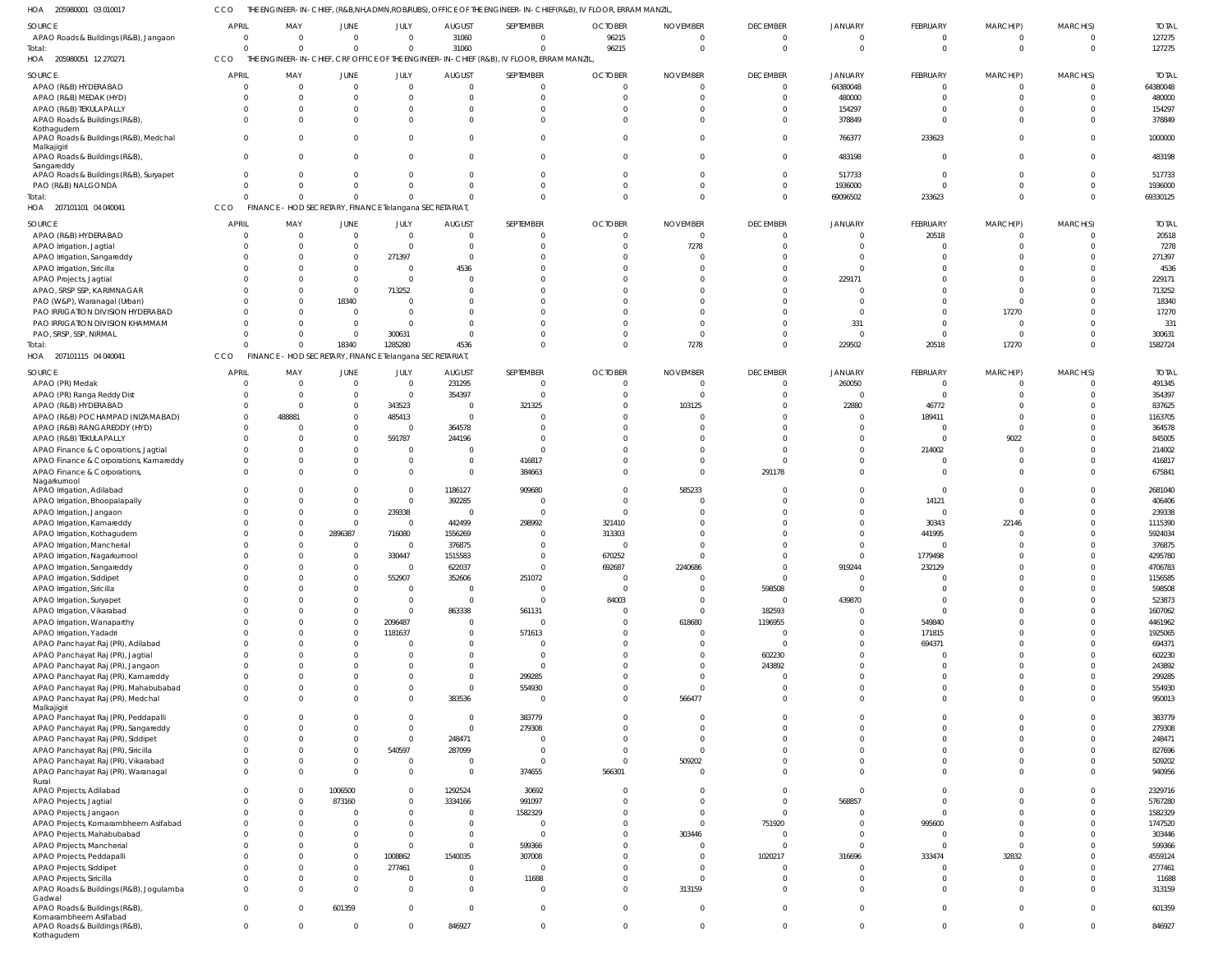CCO THE ENGINEER-IN-CHIEF, (R&B,NH,ADMN,ROB/RUBS), OFFICE OF THE ENGINEER-IN-CHIEF(R&B), IV FLOOR, ERRAM MANZIL,

| HOA<br>205980001 03 010017                                   | CCO          |                                                         |             |                                                             |                |                                                                                          | THE ENGINEER-IN-CHIEF, (R&B,NH,ADMN,ROBRUBS), OFFICE OF THE ENGINEER-IN-CHIEF(R&B), IV FLOOR, ERRAM MANZIL, |                      |                            |                      |                                  |                             |                      |                   |
|--------------------------------------------------------------|--------------|---------------------------------------------------------|-------------|-------------------------------------------------------------|----------------|------------------------------------------------------------------------------------------|-------------------------------------------------------------------------------------------------------------|----------------------|----------------------------|----------------------|----------------------------------|-----------------------------|----------------------|-------------------|
| SOURCE                                                       | APRIL        | MAY                                                     | <b>JUNE</b> | JULY                                                        | <b>AUGUST</b>  | SEPTEMBER                                                                                | <b>OCTOBER</b>                                                                                              | <b>NOVEMBER</b>      | <b>DECEMBER</b>            | <b>JANUARY</b>       | <b>FEBRUARY</b>                  | MARCH(P)                    | MARCH(S)             | <b>TOTAL</b>      |
| APAO Roads & Buildings (R&B), Jangaon<br>Total:              | $\Omega$     | $\Omega$<br>$\Omega$                                    |             | $\overline{0}$<br>$\mathbf 0$<br>$\mathbf 0$<br>$\mathbf 0$ | 31060<br>31060 | $\overline{0}$<br>$\mathbf{0}$                                                           | 96215<br>96215                                                                                              | $\Omega$<br>$\Omega$ | $\Omega$<br>$\overline{0}$ | $\Omega$<br>$\Omega$ | $\overline{0}$<br>$\overline{0}$ | $\mathbf{0}$<br>$\mathbf 0$ | $\Omega$<br>$\Omega$ | 127275<br>127275  |
| HOA 205980051 12 270271                                      | CCO          |                                                         |             |                                                             |                | THE ENGINEER-IN-CHIEF, CRF OFFICE OF THE ENGINEER-IN-CHIEF (R&B), IV FLOOR, ERRAM MANZIL |                                                                                                             |                      |                            |                      |                                  |                             |                      |                   |
| SOURCE                                                       | <b>APRIL</b> | MAY                                                     | <b>JUNE</b> | JULY                                                        | <b>AUGUST</b>  | SEPTEMBER                                                                                | <b>OCTOBER</b>                                                                                              | <b>NOVEMBER</b>      | <b>DECEMBER</b>            | <b>JANUARY</b>       | FEBRUARY                         | MARCH(P)                    | MARCH(S)             | <b>TOTAL</b>      |
| APAO (R&B) HYDERABAD                                         | - 0          | $\Omega$                                                | $\mathbf 0$ | $\overline{0}$                                              | $\overline{0}$ | $\mathbf{0}$                                                                             | - 0                                                                                                         | $\cap$               | $\overline{0}$             | 64380048             | $\overline{0}$                   | $\mathbf{0}$                | $\Omega$             | 64380048          |
| APAO (R&B) MEDAK (HYD)                                       |              | $\Omega$                                                |             | $\overline{0}$<br>0                                         | $\Omega$       | $\mathbf{0}$                                                                             |                                                                                                             |                      | $\Omega$                   | 480000               | $\overline{0}$                   | $\Omega$                    | $\Omega$             | 480000            |
| APAO (R&B) TEKULAPALLY                                       |              | <sup>0</sup>                                            |             | $\Omega$                                                    | $\Omega$       | $\mathbf 0$                                                                              |                                                                                                             |                      | $\Omega$                   | 154297               | $\Omega$                         | $\Omega$                    | $\Omega$             | 154297            |
| APAO Roads & Buildings (R&B),                                |              | $\Omega$                                                |             | $\Omega$<br>$\Omega$                                        | $\Omega$       | $\mathbf 0$                                                                              |                                                                                                             |                      | $\Omega$                   | 378849               | $\Omega$                         | $\Omega$                    | $\Omega$             | 378849            |
| Kothagudem<br>APAO Roads & Buildings (R&B), Medchal          | $\Omega$     | $\Omega$                                                |             | $\Omega$<br>$\Omega$                                        | $\Omega$       | $\mathbf{0}$                                                                             |                                                                                                             |                      | $\Omega$                   | 766377               | 233623                           | $\Omega$                    | $\Omega$             | 1000000           |
| Malkajigiri<br>APAO Roads & Buildings (R&B),                 | $\Omega$     | $\Omega$                                                |             | $\Omega$<br>$\Omega$                                        | $\Omega$       | $\overline{0}$                                                                           |                                                                                                             |                      | $\Omega$                   | 483198               | $\overline{0}$                   | $\Omega$                    | $\Omega$             | 483198            |
| Sangareddy                                                   |              | $\Omega$                                                |             | $\Omega$<br>$\Omega$                                        | $\Omega$       |                                                                                          |                                                                                                             |                      | $\Omega$                   |                      | $\Omega$                         | $\Omega$                    | $\Omega$             |                   |
| APAO Roads & Buildings (R&B), Suryapet<br>PAO (R&B) NALGONDA |              | $\Omega$                                                |             | 0<br>$\mathbf 0$                                            | $\Omega$       | $\mathbf{0}$<br>$\mathbf 0$                                                              |                                                                                                             |                      | $\Omega$                   | 517733<br>1936000    | $\Omega$                         | $\Omega$                    | $\Omega$             | 517733<br>1936000 |
| Total:                                                       |              | $\Omega$                                                |             | $\Omega$<br>$\Omega$                                        | $\Omega$       | $\mathbf 0$                                                                              |                                                                                                             |                      | $\Omega$                   | 69096502             | 233623                           | $\mathbf{0}$                | $\Omega$             | 69330125          |
| HOA 207101101 04 040041                                      | CCO          | FINANCE - HOD SECRETARY, FINANCE Telangana SECRETARIAT, |             |                                                             |                |                                                                                          |                                                                                                             |                      |                            |                      |                                  |                             |                      |                   |
| SOURCE                                                       | <b>APRIL</b> | MAY                                                     | <b>JUNE</b> | JULY                                                        | <b>AUGUST</b>  | SEPTEMBER                                                                                | <b>OCTOBER</b>                                                                                              | <b>NOVEMBER</b>      | <b>DECEMBER</b>            | <b>JANUARY</b>       | FEBRUARY                         | MARCH(P)                    | MARCH(S)             | <b>TOTAL</b>      |
| APAO (R&B) HYDERABAD                                         | - 0          | $\Omega$                                                | $\mathbf 0$ | $\overline{0}$                                              | $\Omega$       | $\overline{0}$                                                                           | $\Omega$                                                                                                    | $\Omega$             | $\Omega$                   | $\overline{0}$       | 20518                            | $\mathbf{0}$                | $\Omega$             | 20518             |
| APAO Irrigation, Jagtial                                     |              | $\Omega$                                                |             | $\overline{0}$<br>$\Omega$                                  | $\Omega$       | $\mathbf 0$                                                                              |                                                                                                             | 7278                 | $\Omega$                   | $\Omega$             | $\Omega$                         | $\Omega$                    | $\Omega$             | 7278              |
| APAO Irrigation, Sangareddy                                  |              | $\Omega$                                                |             | 271397<br>$\Omega$                                          | $\Omega$       | $\mathbf{0}$                                                                             |                                                                                                             |                      |                            | $\Omega$             | $\Omega$                         |                             | $\Omega$             | 271397            |
| APAO Irrigation, Siricilla                                   |              | $\Omega$                                                |             | $\overline{0}$                                              | 4536           | $\Omega$                                                                                 |                                                                                                             |                      |                            | $\Omega$             | $\Omega$                         |                             | $\Omega$             | 4536              |
| APAO Projects, Jagtial                                       |              | $\Omega$                                                |             | $\overline{0}$<br>$\Omega$                                  | $\Omega$       | $\Omega$                                                                                 |                                                                                                             |                      |                            | 229171               | $\Omega$                         |                             | $\Omega$             | 229171            |
| APAO, SRSP SSP, KARIMNAGAR                                   |              | $\Omega$                                                | $\mathbf 0$ | 713252                                                      |                | $\Omega$                                                                                 |                                                                                                             |                      |                            | $\Omega$             | $\Omega$                         | $\Omega$                    | $\Omega$             | 713252            |
| PAO (W&P), Waranagal (Urban)                                 |              | $\Omega$                                                | 18340       | $\Omega$                                                    | $\Omega$       | $\Omega$                                                                                 |                                                                                                             |                      |                            | $\cap$               | $\Omega$                         | $\Omega$                    | $\Omega$             | 18340             |
| PAO IRRIGATION DIVISION HYDERABAD                            |              | $\Omega$                                                | $\Omega$    | $\Omega$                                                    | <sup>0</sup>   | $\Omega$                                                                                 |                                                                                                             |                      |                            | $\Omega$             | $\Omega$                         | 17270                       | $\Omega$             | 17270             |
| PAO IRRIGATION DIVISION KHAMMAM                              |              | $\Omega$                                                |             | $\Omega$<br>$\Omega$                                        | $\Omega$       | $\Omega$                                                                                 |                                                                                                             |                      |                            | 331                  | $\Omega$                         | $\mathbf{0}$                | $\Omega$             | 331               |
| PAO, SRSP, SSP, NIRMAL                                       |              | $\Omega$                                                | $\Omega$    | 300631                                                      | $\Omega$       | $\Omega$                                                                                 |                                                                                                             | $\cap$               |                            | $\Omega$             | $\Omega$                         | $\Omega$                    | $\Omega$             | 300631            |
| Total:                                                       |              | $\Omega$                                                | 18340       | 1285280                                                     | 4536           | $\Omega$                                                                                 | $\Omega$                                                                                                    | 7278                 | $\Omega$                   | 229502               | 20518                            | 17270                       | $\Omega$             | 1582724           |
| HOA 207101115 04 040041                                      | CCO          | FINANCE - HOD SECRETARY, FINANCE Telangana SECRETARIAT, |             |                                                             |                |                                                                                          |                                                                                                             |                      |                            |                      |                                  |                             |                      |                   |
| SOURCE                                                       | <b>APRIL</b> | MAY                                                     | <b>JUNE</b> | JULY                                                        | <b>AUGUST</b>  | SEPTEMBER                                                                                | <b>OCTOBER</b>                                                                                              | <b>NOVEMBER</b>      | <b>DECEMBER</b>            | <b>JANUARY</b>       | <b>FEBRUARY</b>                  | MARCH(P)                    | MARCH(S)             | <b>TOTAL</b>      |
| APAO (PR) Medak                                              |              | $\Omega$                                                | $\mathbf 0$ | $\overline{0}$                                              | 231295         | $\overline{0}$                                                                           |                                                                                                             |                      | $\overline{0}$             | 260050               | $\overline{0}$                   | 0                           | $\Omega$             | 491345            |
| APAO (PR) Ranga Reddy Dist                                   |              | $\Omega$                                                |             | $\overline{0}$<br>$\Omega$                                  | 354397         | $\mathbf{0}$                                                                             |                                                                                                             | - 0                  | $\Omega$                   | $\overline{0}$       | $\overline{0}$                   | $\Omega$                    | $\Omega$             | 354397            |
| APAO (R&B) HYDERABAD                                         |              | $\Omega$                                                |             | 343523<br>0                                                 | $\Omega$       | 321325                                                                                   |                                                                                                             | 103125               | $\Omega$                   | 22880                | 46772                            | $\Omega$                    | $\cap$               | 837625            |
| APAO (R&B) POCHAMPAD (NIZAMABAD)                             |              | 488881                                                  |             | 485413<br>$\Omega$                                          | $\Omega$       | $\overline{0}$                                                                           |                                                                                                             |                      |                            | $\Omega$             | 189411                           | $\Omega$                    | $\Omega$             | 1163705           |
| APAO (R&B) RANGAREDDY (HYD)                                  |              |                                                         |             | $\overline{0}$<br>0                                         | 364578         | $\mathbf 0$                                                                              |                                                                                                             |                      | $\cap$                     | $\Omega$             | $\Omega$                         | $\Omega$                    | $\cap$               | 364578            |
| APAO (R&B) TEKULAPALLY                                       |              | <sup>0</sup>                                            |             | 591787<br>$\Omega$                                          | 244196         | $\mathbf 0$                                                                              |                                                                                                             |                      |                            | $\Omega$             | $\Omega$                         | 9022                        | $\cap$               | 845005            |
| APAO Finance & Corporations, Jagtial                         |              | 0                                                       |             | $\overline{0}$<br>0                                         |                | $\mathbf{0}$                                                                             |                                                                                                             |                      | $\Omega$                   | $\Omega$             | 214002                           | $\mathbf{0}$                | $\Omega$             | 214002            |
| APAO Finance & Corporations, Kamareddy                       |              | <sup>0</sup>                                            |             | $\overline{0}$                                              | $\overline{0}$ | 416817                                                                                   |                                                                                                             |                      | $\Omega$                   | $\Omega$             | $\Omega$                         | $\Omega$                    | $\Omega$             | 416817            |
| APAO Finance & Corporations,                                 |              | <sup>0</sup>                                            |             | $\mathbf 0$<br>$\Omega$                                     | $\Omega$       | 384663                                                                                   |                                                                                                             |                      | 291178                     | $\Omega$             | $\Omega$                         | $\Omega$                    | $\Omega$             | 675841            |
| Nagarkurnool                                                 |              |                                                         |             |                                                             |                |                                                                                          |                                                                                                             |                      |                            |                      |                                  |                             |                      |                   |
| APAO Irrigation, Adilabad                                    |              |                                                         |             | $\overline{0}$                                              | 1186127        | 909680                                                                                   |                                                                                                             | 585233               |                            | $\Omega$             | $\overline{0}$                   | $\Omega$                    | $\cap$               | 2681040           |
| APAO Irrigation, Bhoopalapally                               |              | <sup>0</sup>                                            |             | $\mathbf 0$<br>0                                            | 392285         | $\overline{0}$                                                                           |                                                                                                             |                      |                            | $\Omega$             | 14121                            | $\Omega$                    | $\Omega$             | 406406            |
| APAO Irrigation, Jangaon                                     |              |                                                         |             | 239338<br>0                                                 | $\Omega$       | $\mathbf{0}$                                                                             |                                                                                                             |                      |                            | $\Omega$             | $\overline{0}$                   | $\Omega$                    | $\cap$               | 239338            |
| APAO Irrigation, Kamareddy                                   |              | <sup>0</sup>                                            |             | $\overline{0}$<br>$\mathbf 0$                               | 442499         | 298992                                                                                   | 321410                                                                                                      |                      |                            | $\Omega$             | 30343                            | 22146                       |                      | 1115390           |
| APAO Irrigation, Kothagudem                                  |              |                                                         | 2896387     | 716080                                                      | 1556269        | $\mathbf{0}$                                                                             | 313303                                                                                                      |                      | $\Omega$                   |                      | 441995                           | $\Omega$                    | $\cap$               | 5924034           |
| APAO Irrigation, Mancherial                                  |              | $\Omega$                                                |             | $\overline{0}$<br>$\mathbf 0$                               | 376875         | $\mathbf 0$                                                                              |                                                                                                             |                      | $\cap$                     | $\Omega$             | $\Omega$                         | $\Omega$                    | $\Omega$             | 376875            |
| APAO Irrigation, Nagarkurnool                                |              |                                                         |             | 330447                                                      | 1515583        | $\cap$                                                                                   | 670252                                                                                                      |                      |                            |                      | 1779498                          |                             | $\cap$               | 4295780           |
| APAO Irrigation, Sangareddy                                  |              |                                                         |             | $\Omega$<br>$\overline{0}$                                  | 622037         | $\overline{0}$                                                                           | 692687                                                                                                      | 2240686              | $\overline{0}$             | 919244               | 232129                           |                             | $\cap$               | 4706783           |
| APAO Irrigation, Siddipet                                    |              | $\Omega$                                                |             | 552907                                                      | 352606         | 251072                                                                                   | $\overline{0}$                                                                                              |                      | $\Omega$                   | $\overline{0}$       | $\overline{0}$                   | $\Omega$                    | $\Omega$             | 1156585           |
| APAO Irrigation, Siricilla                                   |              | <sup>0</sup>                                            |             | $\overline{0}$                                              | $\Omega$       | $\mathbf{0}$                                                                             | $\Omega$                                                                                                    |                      | 598508                     | $\Omega$             | $\Omega$                         |                             | $\Omega$             | 598508            |
| APAO Irrigation, Suryapet                                    |              |                                                         |             | $\overline{0}$                                              | $\Omega$       | $\overline{0}$                                                                           | 84003                                                                                                       |                      | $\overline{0}$             | 439870               | $\Omega$                         |                             | $\cap$               | 523873            |
| APAO Irrigation, Vikarabad                                   |              | <sup>0</sup>                                            |             | $\overline{0}$<br>$\Omega$                                  | 863338         | 561131                                                                                   |                                                                                                             |                      | 182593                     | $\mathbf{0}$         | $\Omega$                         |                             | $\Omega$             | 1607062           |
| APAO Irrigation, Wanaparthy                                  |              | U                                                       |             | 2096487                                                     | $\overline{0}$ | $\mathbf{0}$                                                                             | $\Omega$                                                                                                    | 618680               | 1196955                    | $\Omega$             | 549840                           | $\Omega$                    | $\cap$               | 4461962           |
| APAO Irrigation, Yadadri                                     |              | <sup>0</sup>                                            |             | 1181637<br>0                                                | $\Omega$       | 571613                                                                                   |                                                                                                             |                      | $\Omega$                   | $\Omega$             | 171815                           | $\Omega$                    | $\cap$               | 1925065           |
| APAO Panchayat Raj (PR), Adilabad                            |              |                                                         |             | $\Omega$                                                    | $\Omega$       | $\overline{0}$                                                                           |                                                                                                             |                      | $\Omega$                   | $\overline{0}$       | 694371                           | $\Omega$                    | $\Omega$             | 694371            |
| APAO Panchayat Raj (PR), Jagtial                             |              | U                                                       |             | $\Omega$                                                    | $\Omega$       | $\overline{0}$                                                                           |                                                                                                             |                      | 602230                     | $\Omega$             | $\Omega$                         |                             | $\cap$               | 602230            |
| APAO Panchayat Raj (PR), Jangaon                             |              | $\Omega$                                                |             | $\Omega$                                                    | $\Omega$       | $\overline{0}$                                                                           |                                                                                                             |                      | 243892                     | $\Omega$             | $\Omega$                         | $\Omega$                    | $\Omega$             | 243892            |
| APAO Panchayat Raj (PR), Kamareddy                           |              | <sup>0</sup>                                            |             | $\Omega$                                                    | $\Omega$       | 299285                                                                                   |                                                                                                             |                      | $\Omega$                   | $\Omega$             | $\Omega$                         | $\cap$                      | $\Omega$             | 299285            |
| APAO Panchayat Raj (PR), Mahabubabad                         |              | $\Omega$                                                |             | $\mathbf 0$                                                 | $\Omega$       | 554930                                                                                   |                                                                                                             | $\Omega$             | $\Omega$                   | $\Omega$             | $\Omega$                         | $\Omega$                    | $\Omega$             | 554930            |
| APAO Panchayat Raj (PR), Medchal                             | $\Omega$     | $\Omega$                                                |             | $\mathbf 0$<br>$\Omega$                                     | 383536         | $\overline{0}$                                                                           |                                                                                                             | 566477               | $\Omega$                   | $\Omega$             | $\Omega$                         | $\Omega$                    | $\Omega$             | 950013            |
| Malkajigiri                                                  |              |                                                         |             |                                                             |                |                                                                                          |                                                                                                             |                      |                            |                      |                                  |                             |                      |                   |
| APAO Panchayat Raj (PR), Peddapalli                          | $\Omega$     | $\Omega$                                                |             | $\mathbf 0$                                                 | $\overline{0}$ | 383779                                                                                   |                                                                                                             |                      | $\Omega$                   | $\Omega$             | $\Omega$                         | $\Omega$                    | $\Omega$             | 383779            |
| APAO Panchayat Raj (PR), Sangareddy                          |              | $\Omega$                                                |             | $\mathbf 0$<br>$\Omega$                                     | $\Omega$       | 279308                                                                                   |                                                                                                             |                      | $\Omega$                   | $\Omega$             | $\Omega$                         | $\Omega$                    | $\Omega$             | 279308            |
| APAO Panchayat Raj (PR), Siddipet                            |              | $\Omega$                                                |             | $\mathbf 0$                                                 | 248471         | $\mathbf{0}$                                                                             |                                                                                                             | $\cap$               | $\Omega$                   | $\Omega$             | $\Omega$                         | $\Omega$                    | $\Omega$             | 248471            |
| APAO Panchayat Raj (PR), Siricilla                           |              | $\Omega$                                                |             | 540597<br>$\Omega$                                          | 287099         | $\mathbf{0}$                                                                             |                                                                                                             | $\Omega$             | $\cap$                     | $\Omega$             | $\Omega$                         | $\Omega$                    | $\Omega$             | 827696            |
| APAO Panchayat Raj (PR), Vikarabad                           |              | <sup>0</sup>                                            |             | $\overline{0}$<br>$\Omega$                                  | $\overline{0}$ | $\overline{0}$                                                                           | $\Omega$                                                                                                    | 509202               | $\Omega$                   | $\Omega$             | $\Omega$                         | $\Omega$                    | $\Omega$             | 509202            |
| APAO Panchayat Raj (PR), Waranagal                           |              | $\Omega$                                                |             | $\Omega$<br>$\mathbf 0$                                     | $\overline{0}$ | 374655                                                                                   | 566301                                                                                                      |                      | $\cap$                     | $\Omega$             | $\Omega$                         | $\Omega$                    | $\Omega$             | 940956            |
| Rural                                                        |              |                                                         |             |                                                             |                |                                                                                          |                                                                                                             |                      | $\Omega$                   |                      | $\Omega$                         | $\Omega$                    | $\Omega$             |                   |
| APAO Projects, Adilabad                                      |              | $\Omega$                                                | 1006500     | $\mathbf 0$                                                 | 1292524        | 30692                                                                                    |                                                                                                             |                      |                            | $\overline{0}$       |                                  |                             |                      | 2329716           |
| APAO Projects, Jagtial                                       |              | $\Omega$                                                | 873160      | $\mathbf 0$                                                 | 3334166        | 991097                                                                                   |                                                                                                             |                      | $\Omega$                   | 568857               | $\Omega$                         | $\Omega$                    | $\Omega$             | 5767280           |
| APAO Projects, Jangaon                                       |              | $\Omega$                                                |             | $\mathbf 0$<br>0                                            | $\Omega$       | 1582329                                                                                  |                                                                                                             |                      | $\Omega$                   | $\overline{0}$       | $\overline{0}$                   | $\Omega$                    | $\Omega$             | 1582329           |
| APAO Projects, Komarambheem Asifabad                         |              | $\Omega$                                                |             | $\overline{0}$                                              | $\Omega$       | $\overline{0}$                                                                           |                                                                                                             | $\Omega$             | 751920                     | $\overline{0}$       | 995600                           | $\Omega$                    | $\Omega$             | 1747520           |
| APAO Projects, Mahabubabad                                   |              |                                                         |             | $\Omega$                                                    | $\Omega$       | $\overline{0}$                                                                           |                                                                                                             | 303446               | $\Omega$                   | $\Omega$             | $\overline{0}$                   | $\Omega$                    | $\cap$               | 303446            |
| APAO Projects, Mancherial                                    |              | <sup>0</sup>                                            |             | $\overline{0}$<br>$\Omega$                                  | $\Omega$       | 599366                                                                                   |                                                                                                             |                      | $\Omega$                   | $\Omega$             | $\overline{0}$                   | $\Omega$                    | $\cap$               | 599366            |
| APAO Projects, Peddapalli                                    |              |                                                         |             | 1008862<br>$\Omega$                                         | 1540035        | 307008                                                                                   |                                                                                                             |                      | 1020217                    | 316696               | 333474                           | 32832                       | $\Omega$             | 4559124           |
| APAO Projects, Siddipet                                      |              | <sup>0</sup>                                            |             | 277461<br>$\mathbf 0$                                       | $\Omega$       | $\mathbf{0}$                                                                             |                                                                                                             |                      | $\Omega$                   | $\Omega$             | $\overline{0}$                   | $\mathbf{0}$                | $\Omega$             | 277461            |
| APAO Projects, Siricilla                                     |              | $\Omega$                                                |             | $\Omega$<br>$\overline{0}$                                  | $\Omega$       | 11688                                                                                    |                                                                                                             | - 0                  | $\Omega$                   | $\Omega$             | $\overline{0}$                   | $\mathbf{0}$                | $\Omega$             | 11688             |
| APAO Roads & Buildings (R&B), Jogulamba                      | $\Omega$     | $\Omega$                                                |             | $\overline{0}$<br>$\Omega$                                  | $\Omega$       | $\mathbf{0}$                                                                             |                                                                                                             | 313159               | $\Omega$                   | $\Omega$             | $\Omega$                         | $\Omega$                    | $\Omega$             | 313159            |
| Gadwal                                                       | $\Omega$     | <sup>0</sup>                                            |             | $\mathbf 0$                                                 | $\overline{0}$ | $\overline{0}$                                                                           | $\Omega$                                                                                                    | - 0                  | $\Omega$                   | $\overline{0}$       | $\overline{0}$                   | $\mathbf 0$                 | $\Omega$             | 601359            |
| APAO Roads & Buildings (R&B),<br>Komarambheem Asifabad       |              |                                                         | 601359      |                                                             |                |                                                                                          |                                                                                                             |                      |                            |                      |                                  |                             |                      |                   |
| APAO Roads & Buildings (R&B),                                | $\Omega$     | $\mathbf 0$                                             |             | $\mathbf 0$<br>0                                            | 846927         | $\overline{0}$                                                                           |                                                                                                             | $\Omega$             | $\overline{0}$             | $\mathbf{0}$         | $\overline{0}$                   | $\mathbf 0$                 | $\Omega$             | 846927            |
| Kothagudem                                                   |              |                                                         |             |                                                             |                |                                                                                          |                                                                                                             |                      |                            |                      |                                  |                             |                      |                   |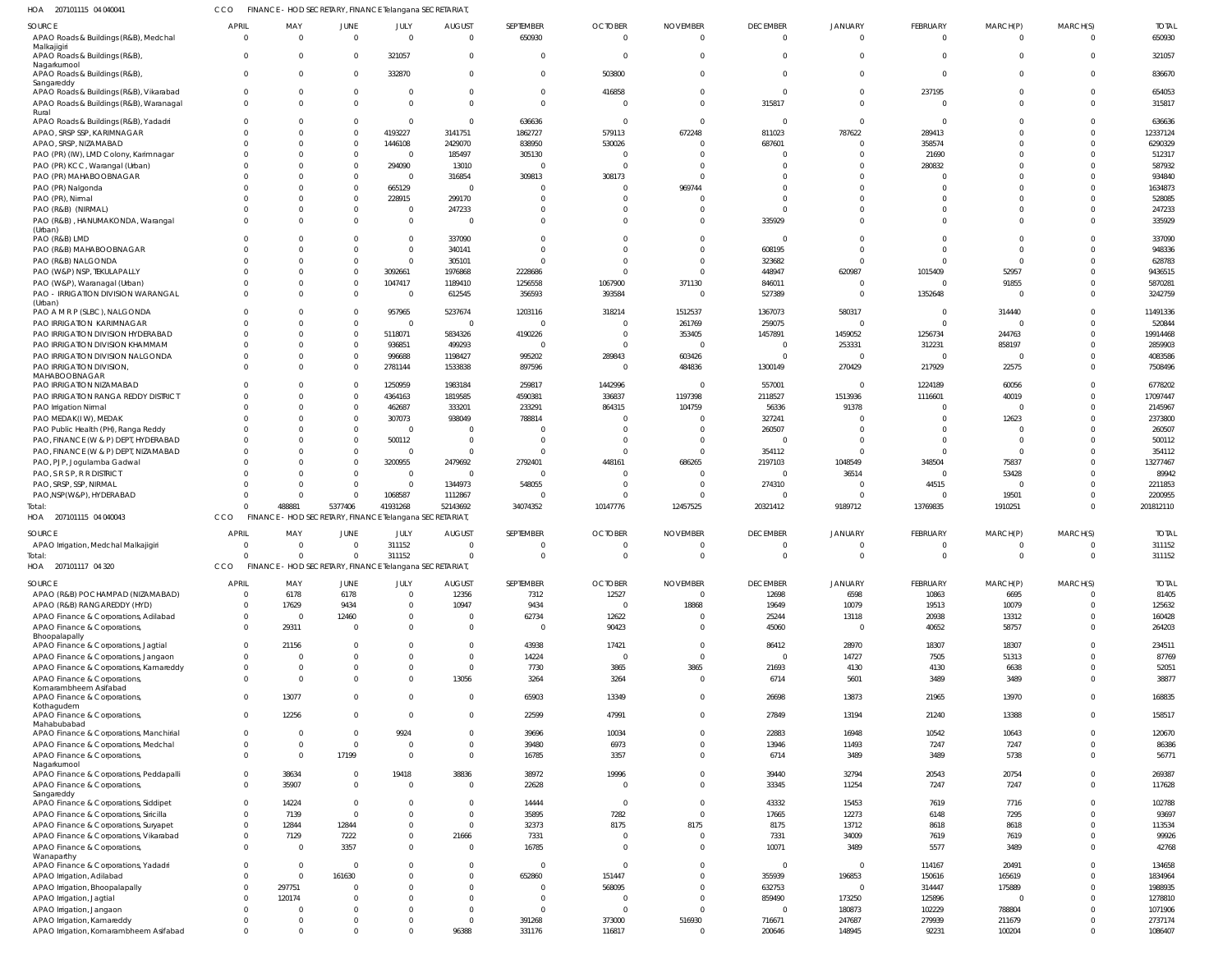| HOA<br>207101115 04 04004                                                       | cco                        |                          |                                  | FINANCE - HOD SECRETARY, FINANCE Telangana SECRETARIAT  |                                           |                           |                                  |                                 |                                  |                          |                                  |                      |                                           |                     |
|---------------------------------------------------------------------------------|----------------------------|--------------------------|----------------------------------|---------------------------------------------------------|-------------------------------------------|---------------------------|----------------------------------|---------------------------------|----------------------------------|--------------------------|----------------------------------|----------------------|-------------------------------------------|---------------------|
| SOURCE                                                                          | <b>APRIL</b>               | MAY<br>$\Omega$          | JUNE                             | JULY                                                    | <b>AUGUST</b>                             | SEPTEMBER                 | <b>OCTOBER</b>                   | <b>NOVEMBER</b>                 | <b>DECEMBER</b>                  | JANUARY                  | FEBRUARY                         | MARCH(P)             | MARCH(S)                                  | <b>TOTAL</b>        |
| APAO Roads & Buildings (R&B), Medchal<br>Malkajigiri                            | $\Omega$<br>$\Omega$       | $\Omega$                 | $\overline{0}$<br>$\overline{0}$ | $\overline{0}$<br>321057                                | $\overline{\mathbf{0}}$<br>$\overline{0}$ | 650930<br>$\overline{0}$  | $\overline{0}$<br>$\overline{0}$ | $\overline{0}$<br>$\Omega$      | $\overline{0}$<br>$\overline{0}$ | $\Omega$<br>$\Omega$     | $\mathbf 0$<br>$\Omega$          | $\Omega$<br>$\Omega$ | $\overline{\mathbf{0}}$<br>$\overline{0}$ | 650930<br>321057    |
| APAO Roads & Buildings (R&B),<br>Nagarkurnool<br>APAO Roads & Buildings (R&B),  | $\Omega$                   | $\Omega$                 | $\overline{0}$                   | 332870                                                  | $\overline{0}$                            | $\mathbf 0$               | 503800                           | $\Omega$                        | $\Omega$                         | $\Omega$                 | $\overline{0}$                   | $\Omega$             | $\overline{0}$                            | 836670              |
| Sangareddy<br>APAO Roads & Buildings (R&B), Vikarabad                           | $\mathbf{0}$               | $\Omega$                 | $\overline{0}$                   | $\overline{0}$                                          | $\overline{0}$                            | $\Omega$                  | 416858                           | $\Omega$                        | $\overline{\mathbf{0}}$          | $\Omega$                 | 237195                           |                      | $\overline{0}$                            | 654053              |
| APAO Roads & Buildings (R&B), Waranagal<br>Rural                                | $\Omega$                   | $\Omega$                 | $\Omega$                         | $\Omega$                                                | $\Omega$                                  | $\Omega$                  | $\Omega$                         | $\Omega$                        | 315817                           | $\Omega$                 | $\Omega$                         |                      | $\Omega$                                  | 315817              |
| APAO Roads & Buildings (R&B), Yadadri                                           | - 0                        | $\Omega$                 | $\overline{0}$                   | $\overline{0}$                                          | $\overline{0}$                            | 636636                    | 0                                | $\Omega$                        | $\overline{\mathbf{0}}$          | $\Omega$                 | $\Omega$                         |                      | $\Omega$                                  | 636636              |
| APAO, SRSP SSP, KARIMNAGAR<br>APAO, SRSP, NIZAMABAD                             |                            | $\Omega$<br>$\Omega$     | $\overline{0}$<br>$\overline{0}$ | 4193227<br>1446108                                      | 3141751<br>2429070                        | 1862727<br>838950         | 579113<br>530026                 | 672248<br>$\Omega$              | 811023<br>687601                 | 787622                   | 289413<br>358574                 |                      | $\Omega$<br>$\Omega$                      | 12337124<br>6290329 |
| PAO (PR) (IW), LMD Colony, Karimnagar                                           |                            | $\Omega$                 | $\overline{0}$                   | $\overline{0}$                                          | 185497                                    | 305130                    | 0                                | $\Omega$                        | - 0                              |                          | 21690                            |                      | $\Omega$                                  | 512317              |
| PAO (PR) KCC, Warangal (Urban)                                                  |                            | $\Omega$                 | $\overline{0}$                   | 294090                                                  | 13010                                     | $\Omega$                  | $\Omega$                         | $\Omega$                        | - 0                              |                          | 280832                           |                      | $\Omega$                                  | 587932              |
| PAO (PR) MAHABOOBNAGAR                                                          |                            | $\Omega$                 | $\overline{0}$                   | $\overline{0}$                                          | 316854                                    | 309813                    | 308173                           | $\mathbf 0$                     | $\Omega$                         |                          | -0                               |                      | $\Omega$                                  | 934840              |
| PAO (PR) Nalgonda                                                               |                            | $\Omega$                 | $\overline{0}$                   | 665129                                                  | $\Omega$                                  |                           | $\Omega$                         | 969744                          | $\Omega$                         |                          |                                  |                      | $\Omega$                                  | 1634873             |
| PAO (PR), Nirmal                                                                |                            | $\Omega$                 | $\overline{0}$                   | 228915                                                  | 299170                                    |                           | 0                                | $\Omega$                        | $\Omega$                         |                          | $\Omega$                         |                      | $\Omega$                                  | 528085              |
| PAO (R&B) (NIRMAL)                                                              |                            | $\Omega$                 | $\mathbf 0$                      | $\overline{0}$                                          | 247233                                    | $\Omega$                  | $\Omega$                         | $\Omega$                        | $\Omega$                         |                          | $\Omega$                         |                      | $\Omega$                                  | 247233              |
| PAO (R&B), HANUMAKONDA, Warangal<br>(Urban)                                     | $\Omega$                   | $\Omega$                 | $\Omega$                         | $\overline{0}$                                          | $\overline{\mathbf{0}}$                   | $\Omega$                  | $\Omega$                         | $\Omega$                        | 335929                           |                          | $\Omega$                         | $\Omega$             | $\Omega$                                  | 335929              |
| PAO (R&B) LMD                                                                   |                            | $\Omega$<br>$\Omega$     | $\Omega$<br>$\Omega$             | $\overline{0}$<br>$\overline{0}$                        | 337090                                    | $\Omega$<br>$\Omega$      | $\Omega$                         | $\Omega$                        | - 0                              |                          | $\Omega$                         |                      | $\Omega$<br>$\Omega$                      | 337090              |
| PAO (R&B) MAHABOOBNAGAR<br>PAO (R&B) NALGONDA                                   |                            | $\Omega$                 | $\overline{0}$                   | $\overline{0}$                                          | 340141<br>305101                          | $\Omega$                  | $\Omega$<br>0                    | $\Omega$<br>$\Omega$            | 608195<br>323682                 |                          | $\Omega$<br>$\Omega$             | - 0                  | $\Omega$                                  | 948336<br>628783    |
| PAO (W&P) NSP, TEKULAPALLY                                                      |                            | $\Omega$                 | $\overline{0}$                   | 3092661                                                 | 1976868                                   | 2228686                   | $\Omega$                         | $\Omega$                        | 448947                           | 620987                   | 1015409                          | 52957                | $\Omega$                                  | 9436515             |
| PAO (W&P), Waranagal (Urban)                                                    | $\Omega$                   | $\Omega$                 | $\overline{0}$                   | 1047417                                                 | 1189410                                   | 1256558                   | 1067900                          | 371130                          | 846011                           |                          | $\Omega$                         | 91855                | $\Omega$                                  | 5870281             |
| PAO - IRRIGATION DIVISION WARANGAL                                              | $\Omega$                   | $\Omega$                 | $\overline{0}$                   | $\overline{0}$                                          | 612545                                    | 356593                    | 393584                           | $\Omega$                        | 527389                           | $\Omega$                 | 1352648                          | 0                    | $\Omega$                                  | 3242759             |
| (Urban)                                                                         |                            |                          |                                  |                                                         |                                           |                           |                                  |                                 |                                  |                          |                                  |                      |                                           |                     |
| PAO A M R P (SLBC), NALGONDA<br>PAO IRRIGATION KARIMNAGAR                       |                            | $\Omega$<br>$\Omega$     | $\overline{0}$<br>$\overline{0}$ | 957965<br>$\overline{0}$                                | 5237674<br>$\overline{0}$                 | 1203116<br>$\overline{0}$ | 318214<br>$\Omega$               | 1512537                         | 1367073                          | 580317<br>$\overline{0}$ | $\overline{0}$<br>$\overline{0}$ | 314440<br>$\Omega$   | $\Omega$<br>$\Omega$                      | 11491336            |
| PAO IRRIGATION DIVISION HYDERABAD                                               | $\Omega$                   | $\Omega$                 | $\overline{0}$                   | 5118071                                                 | 5834326                                   | 4190226                   | 0                                | 261769<br>353405                | 259075<br>1457891                | 1459052                  | 1256734                          | 244763               | $\Omega$                                  | 520844<br>19914468  |
| PAO IRRIGATION DIVISION KHAMMAM                                                 |                            | $\Omega$                 | $\overline{0}$                   | 936851                                                  | 499293                                    | $\overline{0}$            | $\overline{0}$                   | - 0                             | 0                                | 253331                   | 312231                           | 858197               | $\Omega$                                  | 2859903             |
| PAO IRRIGATION DIVISION NALGONDA                                                | $\Omega$                   | $\Omega$                 | $\overline{0}$                   | 996688                                                  | 1198427                                   | 995202                    | 289843                           | 603426                          | $\Omega$                         | $\Omega$                 | $\Omega$                         |                      | $\Omega$                                  | 4083586             |
| PAO IRRIGATION DIVISION,                                                        | $\Omega$                   | $\Omega$                 | $\overline{0}$                   | 2781144                                                 | 1533838                                   | 897596                    | $\overline{0}$                   | 484836                          | 1300149                          | 270429                   | 217929                           | 22575                | $\Omega$                                  | 7508496             |
| MAHABOOBNAGAR<br>PAO IRRIGATION NIZAMABAD                                       |                            | $\Omega$                 | $\overline{0}$                   | 1250959                                                 | 1983184                                   | 259817                    | 1442996                          | - 0                             | 557001                           | $\Omega$                 | 1224189                          | 60056                | $\Omega$                                  | 6778202             |
| PAO IRRIGATION RANGA REDDY DISTRICT                                             |                            | $\Omega$                 | $\overline{0}$                   | 4364163                                                 | 1819585                                   | 4590381                   | 336837                           | 1197398                         | 2118527                          | 1513936                  | 1116601                          | 40019                | $\Omega$                                  | 17097447            |
| PAO Irrigation Nirmal                                                           | $\Omega$                   | $\Omega$                 | $\overline{0}$                   | 462687                                                  | 333201                                    | 233291                    | 864315                           | 104759                          | 56336                            | 91378                    | -0                               |                      | $\Omega$                                  | 2145967             |
| PAO MEDAK(IW), MEDAK                                                            |                            | $\Omega$                 | $\overline{0}$                   | 307073                                                  | 938049                                    | 788814                    | 0                                | $\Omega$                        | 327241                           |                          |                                  | 12623                | $\Omega$                                  | 2373800             |
| PAO Public Health (PH), Ranga Reddy                                             |                            | $\Omega$                 | $\Omega$                         | $\Omega$                                                | $\Omega$                                  |                           | - 0                              | $\Omega$                        | 260507                           |                          | -0                               |                      | $\Omega$                                  | 260507              |
| PAO, FINANCE (W & P) DEPT, HYDERABAD                                            |                            | $\Omega$                 | $\mathbf{0}$                     | 500112                                                  | $\overline{0}$                            | $\Omega$                  | - 0                              | $\Omega$                        | $\overline{0}$                   |                          | $\overline{0}$                   | $\mathbf{0}$         | $\Omega$                                  | 500112              |
| PAO, FINANCE (W & P) DEPT, NIZAMABAD                                            |                            | $\Omega$                 | $\overline{0}$                   | $\circ$                                                 | $\Omega$                                  | $\Omega$                  | $\Omega$                         | $\Omega$                        | 354112                           |                          | $\Omega$                         | $\Omega$             | $\Omega$                                  | 354112              |
| PAO, PJP, Jogulamba Gadwal                                                      |                            | $\Omega$<br>$\Omega$     | $\overline{0}$<br>$\Omega$       | 3200955                                                 | 2479692<br>$\Omega$                       | 2792401<br>$\Omega$       | 448161                           | 686265                          | 2197103<br>$\overline{0}$        | 1048549                  | 348504                           | 75837                | $\Omega$<br>$\Omega$                      | 13277467<br>89942   |
| PAO, S R S P, R R DISTRICT<br>PAO, SRSP, SSP, NIRMAL                            |                            | $\Omega$                 | $\overline{0}$                   | $\overline{0}$<br>$\overline{0}$                        | 1344973                                   | 548055                    | $\Omega$<br>0                    | $\Omega$<br>- 0                 | 274310                           | 36514<br>$\Omega$        | $^{\circ}$<br>44515              | 53428<br>0           | $\Omega$                                  | 2211853             |
| PAO, NSP(W&P), HYDERABAD                                                        |                            | $\Omega$                 | $\mathbf 0$                      | 1068587                                                 | 1112867                                   | $\Omega$                  | $\Omega$                         | $\Omega$                        | $\Omega$                         |                          | $\Omega$                         | 19501                | $\Omega$                                  | 2200955             |
| Total                                                                           | $\Omega$                   | 488881                   | 5377406                          | 41931268                                                | 52143692                                  | 34074352                  | 10147776                         | 12457525                        | 20321412                         | 9189712                  | 13769835                         | 1910251              | $\Omega$                                  | 201812110           |
| 207101115 04 040043<br>HOA                                                      | CCO                        |                          |                                  | FINANCE - HOD SECRETARY, FINANCE Telangana SECRETARIAT, |                                           |                           |                                  |                                 |                                  |                          |                                  |                      |                                           |                     |
| SOURCE                                                                          | <b>APRIL</b>               | MAY                      | JUNE                             | JULY                                                    | <b>AUGUST</b>                             | SEPTEMBER                 | <b>OCTOBER</b>                   | <b>NOVEMBER</b>                 | <b>DECEMBER</b>                  | JANUARY                  | FEBRUARY                         | MARCH(P)             | MARCH(S)                                  | <b>TOTAL</b>        |
| APAO Irrigation, Medchal Malkajigiri                                            | $\mathbf 0$<br>$\cap$      | $\overline{0}$<br>$\cap$ | $\overline{0}$<br>$\Omega$       | 311152<br>311152                                        | $\overline{0}$<br>$\bigcap$               | $\Omega$                  | $\Omega$<br>$\Omega$             | $\Omega$<br>$\sqrt{ }$          | $\overline{0}$<br>$\cap$         | $\Omega$                 | $\mathbf 0$<br>$\cap$            | $\Omega$<br>$\cap$   | $\overline{0}$<br>$\sqrt{ }$              | 311152              |
| otal<br>HOA 207101117 04 320                                                    | CCO                        |                          |                                  | FINANCE - HOD SECRETARY, FINANCE Telangana SECRETARIAT  |                                           |                           |                                  |                                 |                                  |                          |                                  |                      |                                           | 311152              |
|                                                                                 |                            |                          |                                  |                                                         |                                           |                           |                                  |                                 |                                  |                          |                                  |                      |                                           |                     |
| SOURCE                                                                          | <b>APRIL</b>               | MAY                      | <b>JUNE</b>                      | JULY<br>$\overline{0}$                                  | <b>AUGUST</b>                             | SEPTEMBER                 | <b>OCTOBER</b>                   | <b>NOVEMBER</b><br>$\mathbf{0}$ | <b>DECEMBER</b>                  | JANUARY                  | FEBRUARY                         | MARCH(P)             | MARCH(S)                                  | <b>TOTAL</b>        |
| APAO (R&B) POCHAMPAD (NIZAMABAD)<br>APAO (R&B) RANGAREDDY (HYD)                 | $\mathbf 0$<br>$\mathbf 0$ | 6178<br>17629            | 6178<br>9434                     | $\overline{0}$                                          | 12356<br>10947                            | 7312<br>9434              | 12527<br>$\overline{0}$          | 18868                           | 12698<br>19649                   | 6598<br>10079            | 10863<br>19513                   | 6695<br>10079        | $\overline{0}$<br>$\overline{0}$          | 81405<br>125632     |
| APAO Finance & Corporations, Adilabad                                           | $\mathbf 0$                | $\overline{0}$           | 12460                            | $\overline{0}$                                          | $\overline{0}$                            | 62734                     | 12622                            | 0                               | 25244                            | 13118                    | 20938                            | 13312                | $\mathbf 0$                               | 160428              |
| APAO Finance & Corporations,                                                    | $\mathbf{0}$               | 29311                    | $\mathbf{0}$                     | $\Omega$                                                | $\overline{0}$                            | $\overline{0}$            | 90423                            | $\Omega$                        | 45060                            | $\Omega$                 | 40652                            | 58757                | $\overline{0}$                            | 264203              |
| Bhoopalapally                                                                   |                            |                          |                                  |                                                         |                                           |                           |                                  |                                 |                                  |                          |                                  |                      | $\Omega$                                  |                     |
| APAO Finance & Corporations, Jagtial<br>APAO Finance & Corporations, Jangaon    | $\Omega$<br>$\mathbf 0$    | 21156<br>$\Omega$        | $\Omega$<br>$\Omega$             | $\Omega$<br>$\Omega$                                    | $\overline{0}$<br>$\overline{0}$          | 43938<br>14224            | 17421<br>$\overline{0}$          | $\Omega$<br>$\Omega$            | 86412<br>$\overline{\mathbf{0}}$ | 28970<br>14727           | 18307<br>7505                    | 18307<br>51313       | $\mathbf 0$                               | 234511<br>87769     |
| APAO Finance & Corporations, Kamareddy                                          | $\mathbf{0}$               | $\overline{0}$           | $\Omega$                         | $\mathbf 0$                                             | $\overline{\phantom{0}}$                  | 7730                      | 3865                             | 3865                            | 21693                            | 4130                     | 4130                             | 6638                 | $\mathbf 0$                               | 52051               |
| APAO Finance & Corporations,                                                    | $\Omega$                   | $\Omega$                 | $\Omega$                         | $\Omega$                                                | 13056                                     | 3264                      | 3264                             | $\Omega$                        | 6714                             | 5601                     | 3489                             | 3489                 | $\Omega$                                  | 38877               |
| Komarambheem Asifabad                                                           |                            |                          |                                  |                                                         |                                           |                           |                                  |                                 |                                  |                          |                                  |                      |                                           |                     |
| APAO Finance & Corporations,<br>Kothagudem                                      | $\mathbf{0}$               | 13077                    | $\mathbf{0}$                     | $\overline{0}$                                          | $\overline{\phantom{0}}$                  | 65903                     | 13349                            | $\mathbf 0$                     | 26698                            | 13873                    | 21965                            | 13970                | $\mathbf 0$                               | 168835              |
| APAO Finance & Corporations,<br>Mahabubabad                                     | $\mathbf 0$                | 12256                    | $\mathbf 0$                      | $\overline{0}$                                          | $\overline{0}$                            | 22599                     | 47991                            | $\mathbf 0$                     | 27849                            | 13194                    | 21240                            | 13388                | $\mathbf{0}$                              | 158517              |
| APAO Finance & Corporations, Manchirial                                         | $\mathbf{0}$               | - 0                      | $\mathbf{0}$                     | 9924                                                    | $\overline{0}$                            | 39696                     | 10034                            | $\mathbf 0$                     | 22883                            | 16948                    | 10542                            | 10643                | $\mathbf 0$                               | 120670              |
| APAO Finance & Corporations, Medchal                                            | $\Omega$                   | $\Omega$                 | $\mathbf{0}$                     | $\overline{0}$                                          | $\overline{0}$                            | 39480                     | 6973                             | $\Omega$                        | 13946                            | 11493                    | 7247                             | 7247                 | $\mathbf 0$                               | 86386               |
| APAO Finance & Corporations,                                                    | $\Omega$                   | $\overline{0}$           | 17199                            | $\overline{0}$                                          | $\overline{0}$                            | 16785                     | 3357                             | $\Omega$                        | 6714                             | 3489                     | 3489                             | 5738                 | $\mathbf 0$                               | 56771               |
| Nagarkurnool<br>APAO Finance & Corporations, Peddapalli                         | $\mathbf 0$                | 38634                    | $\mathbf 0$                      | 19418                                                   | 38836                                     | 38972                     | 19996                            | $\Omega$                        | 39440                            | 32794                    | 20543                            | 20754                | $\mathbf 0$                               | 269387              |
| APAO Finance & Corporations,                                                    | $\Omega$                   | 35907                    | $\mathbf{0}$                     | $\overline{0}$                                          | $\overline{0}$                            | 22628                     | $\overline{0}$                   | $\Omega$                        | 33345                            | 11254                    | 7247                             | 7247                 | $\mathbf 0$                               | 117628              |
| Sangareddy                                                                      |                            |                          |                                  |                                                         |                                           |                           |                                  |                                 |                                  |                          |                                  |                      |                                           |                     |
| APAO Finance & Corporations, Siddipet<br>APAO Finance & Corporations, Siricilla | $\Omega$<br>$\Omega$       | 14224<br>7139            | $\overline{0}$<br>$\mathbf{0}$   | - 0<br>$\Omega$                                         | $\overline{0}$<br>$\overline{0}$          | 14444<br>35895            | $\overline{0}$<br>7282           | $\Omega$<br>$\Omega$            | 43332<br>17665                   | 15453<br>12273           | 7619<br>6148                     | 7716<br>7295         | $\mathbf 0$<br>$\Omega$                   | 102788<br>93697     |
| APAO Finance & Corporations, Suryapet                                           | $\mathbf 0$                | 12844                    | 12844                            | $\mathbf{0}$                                            | $\overline{0}$                            | 32373                     | 8175                             | 8175                            | 8175                             | 13712                    | 8618                             | 8618                 | $\Omega$                                  | 113534              |
| APAO Finance & Corporations, Vikarabad                                          | $\mathbf 0$                | 7129                     | 7222                             | $\overline{0}$                                          | 21666                                     | 7331                      | $\overline{0}$                   | $\Omega$                        | 7331                             | 34009                    | 7619                             | 7619                 | $\mathbf 0$                               | 99926               |
| APAO Finance & Corporations,                                                    | $\Omega$                   | $\Omega$                 | 3357                             | $\Omega$                                                | $\Omega$                                  | 16785                     | $\Omega$                         | $\Omega$                        | 10071                            | 3489                     | 5577                             | 3489                 | $\Omega$                                  | 42768               |
| Wanaparthy                                                                      |                            | $\Omega$                 | $\overline{0}$                   | $\Omega$                                                | $\overline{0}$                            | $\Omega$                  | $\Omega$                         | $\Omega$                        | $\overline{\mathbf{0}}$          | $\Omega$                 | 114167                           | 20491                | $\Omega$                                  | 134658              |
| APAO Finance & Corporations, Yadadri<br>APAO Irrigation, Adilabad               | $\Omega$                   | $\Omega$                 | 161630                           | $\Omega$                                                | $\overline{0}$                            | 652860                    | 151447                           | $\Omega$                        | 355939                           | 196853                   | 150616                           | 165619               | $\Omega$                                  | 1834964             |
| APAO Irrigation, Bhoopalapally                                                  | $\Omega$                   | 297751                   | $\Omega$                         | - 0                                                     | $\Omega$                                  | $\Omega$                  | 568095                           | $\Omega$                        | 632753                           | $\overline{0}$           | 314447                           | 175889               | $\Omega$                                  | 1988935             |
| APAO Irrigation, Jagtial                                                        | $\Omega$                   | 120174                   | $\Omega$                         | $\Omega$                                                | $\Omega$                                  | <sup>0</sup>              | 0                                | $\Omega$                        | 859490                           | 173250                   | 125896                           |                      | $\Omega$                                  | 1278810             |
| APAO Irrigation, Jangaon                                                        | $\Omega$                   | $\Omega$                 | $\Omega$                         | $\Omega$                                                | $\Omega$                                  | $\Omega$                  | 0                                | $\mathbf 0$                     | 0                                | 180873                   | 102229                           | 788804               | $\Omega$                                  | 1071906             |
| APAO Irrigation, Kamareddy                                                      | $\Omega$                   | $\Omega$                 | $\mathbf{0}$                     | $\overline{0}$                                          | $\overline{0}$                            | 391268                    | 373000                           | 516930                          | 716671                           | 247687                   | 279939                           | 211679               | $\mathbf 0$                               | 2737174             |
| APAO Irrigation, Komarambheem Asifabad                                          | $\Omega$                   | $\Omega$                 | $\Omega$                         | $\Omega$                                                | 96388                                     | 331176                    | 116817                           | $\Omega$                        | 200646                           | 148945                   | 92231                            | 100204               | $\overline{0}$                            | 1086407             |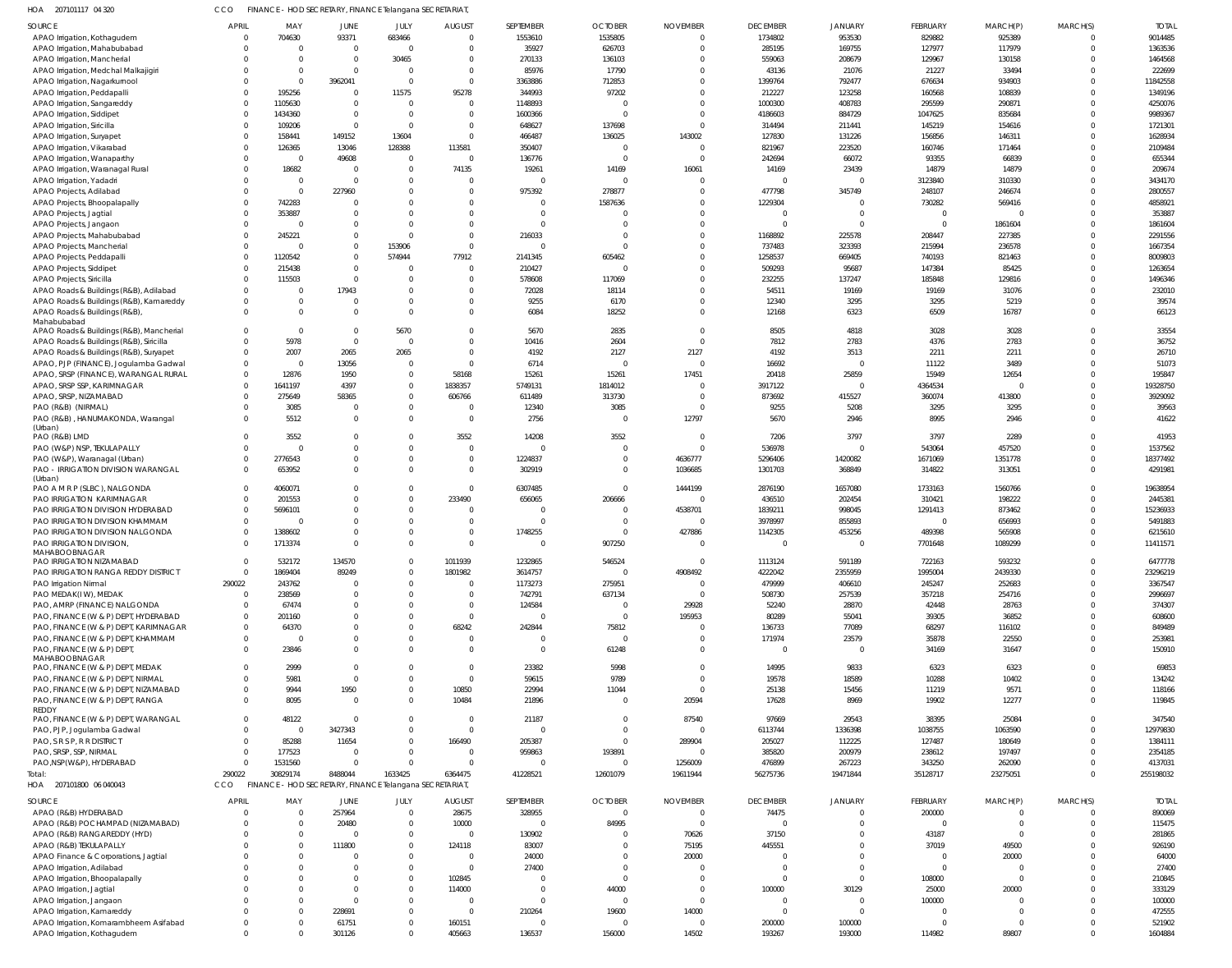| CCO FINANCE - HOD SECRETARY, FINANCE Telangana SECRETARIAT,<br>207101117 04 320 | HOA |  |  |  |  |  |  |
|---------------------------------------------------------------------------------|-----|--|--|--|--|--|--|
|---------------------------------------------------------------------------------|-----|--|--|--|--|--|--|

| SOURCE                                      | <b>APRIL</b> | MAY            | JUNE                                                    | JULY           | <b>AUGUST</b>  | SEPTEMBER  | <b>OCTOBER</b> | <b>NOVEMBER</b> | <b>DECEMBER</b> | <b>JANUARY</b> | FEBRUARY | MARCH(P) | MARCH(S)       | <b>TOTAL</b> |
|---------------------------------------------|--------------|----------------|---------------------------------------------------------|----------------|----------------|------------|----------------|-----------------|-----------------|----------------|----------|----------|----------------|--------------|
| APAO Irrigation, Kothagudem                 | $\Omega$     | 704630         | 93371                                                   | 683466         | $\overline{0}$ | 1553610    | 1535805        | $\overline{0}$  | 1734802         | 953530         | 829882   | 925389   | $\overline{0}$ | 9014485      |
| APAO Irrigation, Mahabubabad                | $\Omega$     | $\overline{0}$ | $\overline{0}$                                          | $\overline{0}$ | $\overline{0}$ | 35927      | 626703         | $\Omega$        | 285195          | 169755         | 127977   | 117979   | $\mathbf 0$    | 1363536      |
| APAO Irrigation, Mancherial                 |              | $\Omega$       | $\overline{0}$                                          | 30465          | $\mathbf{0}$   | 270133     | 136103         | $\Omega$        | 559063          | 208679         | 129967   | 130158   | $\Omega$       | 1464568      |
| APAO Irrigation, Medchal Malkajigiri        |              | $\overline{0}$ | $\overline{0}$                                          | $\overline{0}$ | $\overline{0}$ | 85976      | 17790          | $\Omega$        | 43136           | 21076          | 21227    | 33494    | $\Omega$       | 222699       |
| APAO Irrigation, Nagarkurnool               |              | $\Omega$       | 3962041                                                 | $\overline{0}$ | $\overline{0}$ | 3363886    | 712853         | $\Omega$        | 1399764         | 792477         | 676634   | 934903   | $\Omega$       | 11842558     |
| APAO Irrigation, Peddapalli                 | $\Omega$     | 195256         | $\overline{0}$                                          | 11575          | 95278          | 344993     | 97202          | $\Omega$        | 212227          | 123258         | 160568   | 108839   | $\Omega$       | 1349196      |
| APAO Irrigation, Sangareddy                 | $\Omega$     | 1105630        | $\overline{0}$                                          | $\overline{0}$ | $\mathbf{0}$   | 1148893    | $\overline{0}$ | $\Omega$        | 1000300         | 408783         | 295599   | 290871   | $\Omega$       | 4250076      |
| APAO Irrigation, Siddipet                   | $\Omega$     | 1434360        | $\overline{0}$                                          | $\overline{0}$ | $\overline{0}$ | 1600366    | $\Omega$       | $\Omega$        | 4186603         | 884729         | 1047625  | 835684   | $\Omega$       | 9989367      |
| APAO Irrigation, Siricilla                  | $\Omega$     | 109206         | $\overline{0}$                                          | $\overline{0}$ | $\overline{0}$ | 648627     | 137698         | $\Omega$        | 314494          | 211441         | 145219   | 154616   | $\Omega$       | 1721301      |
| APAO Irrigation, Suryapet                   | $\Omega$     | 158441         | 149152                                                  | 13604          | $\overline{0}$ | 466487     | 136025         | 143002          | 127830          | 131226         | 156856   | 146311   | $\Omega$       | 1628934      |
| APAO Irrigation, Vikarabad                  | $\Omega$     | 126365         | 13046                                                   | 128388         | 113581         | 350407     | $\overline{0}$ | $\overline{0}$  | 821967          | 223520         | 160746   | 171464   | $\Omega$       | 2109484      |
| APAO Irrigation, Wanaparthy                 | $\Omega$     | $\overline{0}$ | 49608                                                   | $\overline{0}$ | $\overline{0}$ | 136776     | $\overline{0}$ | $\Omega$        | 242694          | 66072          | 93355    | 66839    | $\Omega$       | 655344       |
| APAO Irrigation, Waranagal Rural            |              | 18682          | $\overline{0}$                                          | $\overline{0}$ | 74135          | 19261      | 14169          | 16061           | 14169           | 23439          | 14879    | 14879    | $\Omega$       | 209674       |
| APAO Irrigation, Yadadri                    | $\Omega$     | $\overline{0}$ | $\Omega$                                                | $\Omega$       | $\overline{0}$ | $\sqrt{ }$ | $\mathbf 0$    | $\Omega$        | $\mathbf 0$     | $\Omega$       | 3123840  | 310330   | $\Omega$       | 3434170      |
| APAO Projects, Adilabad                     |              | $\overline{0}$ | 227960                                                  | $\Omega$       | $\overline{0}$ | 975392     | 278877         | $\Omega$        | 477798          | 345749         | 248107   | 246674   | $\Omega$       | 2800557      |
| APAO Projects, Bhoopalapally                | $\Omega$     | 742283         | $\overline{0}$                                          | $\Omega$       | $\overline{0}$ | - 0        | 1587636        | $\Omega$        | 1229304         | $\overline{0}$ | 730282   | 569416   | $\Omega$       | 4858921      |
| APAO Projects, Jagtial                      |              | 353887         | $\Omega$                                                | $\Omega$       | $\Omega$       | - 0        | $\Omega$       | $\Omega$        | $\overline{0}$  | $\mathbf{0}$   | $\Omega$ |          | $\Omega$       | 353887       |
| APAO Projects, Jangaon                      | $\Omega$     | $\Omega$       | $\Omega$                                                | $\Omega$       | $\Omega$       | $\Omega$   |                | $\Omega$        | $\Omega$        | $\Omega$       |          | 1861604  | $\Omega$       | 1861604      |
| APAO Projects, Mahabubabad                  | $\Omega$     | 245221         | $\Omega$                                                | $\Omega$       | $\overline{0}$ | 216033     | $\Omega$       | $\Omega$        | 1168892         | 225578         | 208447   | 227385   | $\Omega$       | 2291556      |
| APAO Projects, Mancherial                   | $\Omega$     | $\Omega$       | $\overline{0}$                                          | 153906         | $\mathbf{0}$   | $\Omega$   | $\Omega$       | $\Omega$        | 737483          | 323393         | 215994   | 236578   | $\Omega$       | 1667354      |
| APAO Projects, Peddapalli                   | $\Omega$     | 1120542        | $\overline{0}$                                          | 574944         | 77912          | 2141345    | 605462         | $\Omega$        | 1258537         | 669405         | 740193   | 821463   | $\Omega$       | 8009803      |
| APAO Projects, Siddipet                     | $\cap$       | 215438         | $\overline{0}$                                          | $\Omega$       | $\mathbf{0}$   | 210427     | $\Omega$       | $\Omega$        | 509293          | 95687          | 147384   | 85425    | $\Omega$       | 1263654      |
| APAO Projects, Siricilla                    |              | 115503         | $\Omega$                                                | $\Omega$       | $\overline{0}$ | 578608     | 117069         | $\Omega$        | 232255          | 137247         | 185848   | 129816   | $\Omega$       | 1496346      |
| APAO Roads & Buildings (R&B), Adilabad      | $\Omega$     | $\Omega$       | 17943                                                   | $\Omega$       | $\overline{0}$ | 72028      | 18114          | $\Omega$        | 54511           | 19169          | 19169    | 31076    | $\Omega$       | 232010       |
| APAO Roads & Buildings (R&B), Kamareddy     | $\Omega$     | $\Omega$       | $\mathbf{0}$                                            | $\Omega$       | $\Omega$       | 9255       | 6170           | $\Omega$        | 12340           | 3295           | 3295     | 5219     | $\Omega$       | 39574        |
| APAO Roads & Buildings (R&B),               | $\Omega$     | $\Omega$       | $\Omega$                                                | $\Omega$       | $\Omega$       | 6084       | 18252          | $\Omega$        | 12168           | 6323           | 6509     | 16787    | $\Omega$       | 66123        |
| Mahabubabad                                 |              |                |                                                         |                |                |            |                |                 |                 |                |          |          |                |              |
| APAO Roads & Buildings (R&B), Mancherial    | $\Omega$     | $\Omega$       | $\overline{0}$                                          | 5670           | $\overline{0}$ | 5670       | 2835           | $\Omega$        | 8505            | 4818           | 3028     | 3028     | $\Omega$       | 33554        |
| APAO Roads & Buildings (R&B), Siricilla     | $\Omega$     | 5978           | $\overline{0}$                                          | $\overline{0}$ | $\Omega$       | 10416      | 2604           | $\Omega$        | 7812            | 2783           | 4376     | 2783     | $\Omega$       | 36752        |
| APAO Roads & Buildings (R&B), Suryapet      | $\Omega$     | 2007           | 2065                                                    | 2065           | $\mathbf 0$    | 4192       | 2127           | 2127            | 4192            | 3513           | 2211     | 2211     | $\Omega$       | 26710        |
| APAO, PJP (FINANCE), Jogulamba Gadwal       | $\Omega$     | $\overline{0}$ | 13056                                                   | $\overline{0}$ | $\overline{0}$ | 6714       | $\overline{0}$ | $\overline{0}$  | 16692           | $\overline{0}$ | 11122    | 3489     | $\Omega$       | 51073        |
| APAO, SRSP (FINANCE), WARANGAL RURAL        | $\Omega$     | 12876          | 1950                                                    | $\overline{0}$ | 58168          | 15261      | 15261          | 17451           | 20418           | 25859          | 15949    | 12654    | $\Omega$       | 195847       |
| APAO, SRSP SSP, KARIMNAGAR                  | $\Omega$     | 1641197        | 4397                                                    | $\Omega$       | 1838357        | 5749131    | 1814012        | $\Omega$        | 3917122         | $\Omega$       | 4364534  |          | $\Omega$       | 19328750     |
| APAO, SRSP, NIZAMABAD                       | $\cap$       | 275649         | 58365                                                   | $\Omega$       | 606766         | 611489     | 313730         | $\Omega$        | 873692          | 415527         | 360074   | 413800   | $\Omega$       | 3929092      |
| PAO (R&B) (NIRMAL)                          |              | 3085           | $\overline{0}$                                          | $\mathbf{0}$   | $\mathbf 0$    | 12340      | 3085           | $\Omega$        | 9255            | 5208           | 3295     | 3295     | $\mathbf 0$    | 39563        |
| PAO (R&B), HANUMAKONDA, Warangal            | $\Omega$     | 5512           | $\Omega$                                                | $\Omega$       | $\mathbf 0$    | 2756       | $\overline{0}$ | 12797           | 5670            | 2946           | 8995     | 2946     | $\Omega$       | 41622        |
| (Urban)                                     |              |                |                                                         |                |                |            |                |                 |                 |                |          |          |                |              |
| PAO (R&B) LMD                               | $\Omega$     | 3552           | $\Omega$                                                | $\Omega$       | 3552           | 14208      | 3552           | $\overline{0}$  | 7206            | 3797           | 3797     | 2289     | $\Omega$       | 41953        |
| PAO (W&P) NSP, TEKULAPALLY                  | $\Omega$     | $\Omega$       | $\Omega$                                                | $\Omega$       | $\mathbf 0$    | $\sqrt{ }$ | $\overline{0}$ | $\Omega$        | 536978          | $\Omega$       | 543064   | 457520   | $\Omega$       | 1537562      |
| PAO (W&P), Waranagal (Urban)                | $\Omega$     | 2776543        | $\mathbf{0}$                                            | $\mathbf{0}$   | $\mathbf 0$    | 1224837    | $\overline{0}$ | 4636777         | 5296406         | 1420082        | 1671069  | 1351778  | $\Omega$       | 18377492     |
| PAO - IRRIGATION DIVISION WARANGAL          |              | 653952         | $\Omega$                                                | $\Omega$       | $\mathbf 0$    | 302919     | $\overline{0}$ | 1036685         | 1301703         | 368849         | 314822   | 313051   | $\mathbf 0$    | 4291981      |
| (Urban)                                     |              |                |                                                         |                |                |            |                |                 |                 |                |          |          |                |              |
| PAO A M R P (SLBC), NALGONDA                | $\Omega$     | 4060071        | $\mathbf{0}$                                            | $\overline{0}$ | $\mathbf 0$    | 6307485    | $\Omega$       | 1444199         | 2876190         | 1657080        | 1733163  | 1560766  | $\Omega$       | 19638954     |
| PAO IRRIGATION KARIMNAGAR                   | $\Omega$     | 201553         | $\Omega$                                                | $\Omega$       | 233490         | 656065     | 206666         | $\Omega$        | 436510          | 202454         | 310421   | 198222   | $\Omega$       | 2445381      |
| PAO IRRIGATION DIVISION HYDERABAD           | $\Omega$     | 5696101        | $\Omega$                                                | $\Omega$       | $\mathbf 0$    | $\sqrt{ }$ | $\mathbf 0$    | 4538701         | 1839211         | 998045         | 1291413  | 873462   | $\Omega$       | 15236933     |
| PAO IRRIGATION DIVISION KHAMMAM             | $\Omega$     | $\Omega$       | $\Omega$                                                | $\Omega$       | $\mathbf 0$    | - 0        | $\overline{0}$ | $\Omega$        | 3978997         | 855893         | $\Omega$ | 656993   | $\Omega$       | 5491883      |
| PAO IRRIGATION DIVISION NALGONDA            | $\Omega$     | 1388602        | $\Omega$                                                | $\Omega$       | $\mathbf 0$    | 1748255    | $\overline{0}$ | 427886          | 1142305         | 453256         | 489398   | 565908   | $\Omega$       | 6215610      |
| PAO IRRIGATION DIVISION                     |              | 1713374        | $\Omega$                                                | $\Omega$       | $\Omega$       | - 0        | 907250         | $\overline{0}$  | $\mathbf 0$     | $\Omega$       | 7701648  | 1089299  | $\Omega$       | 11411571     |
| MAHABOOBNAGAR<br>PAO IRRIGATION NIZAMABAD   | $\Omega$     | 532172         | 134570                                                  | $\Omega$       | 1011939        | 1232865    | 546524         | $\Omega$        | 1113124         | 591189         | 722163   | 593232   | $\Omega$       | 6477778      |
| PAO IRRIGATION RANGA REDDY DISTRICT         | $\Omega$     | 1869404        | 89249                                                   | $\Omega$       | 1801982        | 3614757    | $\mathbf 0$    | 4908492         | 4222042         | 2355959        | 1995004  | 2439330  | $\Omega$       | 23296219     |
| PAO Irrigation Nirmal                       | 290022       | 243762         | $\mathbf{0}$                                            | $\mathbf{0}$   | $\mathbf{0}$   | 1173273    | 275951         | $\overline{0}$  | 479999          | 406610         | 245247   | 252683   | $\mathbf 0$    | 3367547      |
| PAO MEDAK(I W), MEDAK                       | $\Omega$     | 238569         | $\Omega$                                                | $\Omega$       | $\mathbf 0$    | 742791     | 637134         | $\overline{0}$  | 508730          | 257539         | 357218   | 254716   | $\Omega$       | 2996697      |
| PAO, AMRP (FINANCE) NALGONDA                | $\Omega$     | 67474          | $\Omega$                                                | $\Omega$       | $\mathbf 0$    | 124584     | $\overline{0}$ | 29928           | 52240           | 28870          | 42448    | 28763    | $\Omega$       | 374307       |
| PAO, FINANCE (W & P) DEPT, HYDERABAD        | $\Omega$     | 201160         | $\Omega$                                                | $\Omega$       | $\mathbf 0$    | $\Omega$   | $\overline{0}$ | 195953          | 80289           | 55041          | 39305    | 36852    | $\Omega$       | 608600       |
| PAO, FINANCE (W & P) DEPT, KARIMNAGAR       | $\Omega$     | 64370          | $\Omega$                                                | $\Omega$       | 68242          | 242844     | 75812          | $\Omega$        | 136733          | 77089          | 68297    | 116102   | $\Omega$       | 849489       |
|                                             | $\Omega$     | $\Omega$       | $\Omega$                                                | $\Omega$       | $\mathbf 0$    | - 0        | $\overline{0}$ | $\Omega$        | 171974          | 23579          | 35878    | 22550    | $\Omega$       | 253981       |
| PAO, FINANCE (W & P) DEPT, KHAMMAM          | $\Omega$     | 23846          | $\Omega$                                                | $\Omega$       | $\Omega$       | - 0        |                | $\Omega$        | $\overline{0}$  | $\Omega$       | 34169    |          | $\Omega$       | 150910       |
| PAO, FINANCE (W & P) DEPT,<br>MAHABOOBNAGAR |              |                |                                                         |                |                |            | 61248          |                 |                 |                |          | 31647    |                |              |
| PAO, FINANCE (W & P) DEPT, MEDAK            | $\Omega$     | 2999           | $\Omega$                                                | $\Omega$       | $\mathbf 0$    | 23382      | 5998           | $\Omega$        | 14995           | 9833           | 6323     | 6323     | $\Omega$       | 69853        |
| PAO, FINANCE (W & P) DEPT, NIRMAL           |              | 5981           | $\overline{0}$                                          | $\Omega$       | $\mathbf 0$    | 59615      | 9789           | $\Omega$        | 19578           | 18589          | 10288    | 10402    | $\Omega$       | 134242       |
| PAO, FINANCE (W & P) DEPT, NIZAMABAD        | $\Omega$     | 9944           | 1950                                                    | $\mathbf{0}$   | 10850          | 22994      | 11044          | $\overline{0}$  | 25138           | 15456          | 11219    | 9571     | $\Omega$       | 118166       |
| PAO, FINANCE (W & P) DEPT, RANGA            | $\Omega$     | 8095           | $\Omega$                                                | $\Omega$       | 10484          | 21896      | $\overline{0}$ | 20594           | 17628           | 8969           | 19902    | 12277    | $\Omega$       | 119845       |
| <b>REDDY</b>                                |              |                |                                                         |                |                |            |                |                 |                 |                |          |          |                |              |
| PAO, FINANCE (W & P) DEPT, WARANGAL         | $\Omega$     | 48122          | $\overline{0}$                                          | $\overline{0}$ | $\overline{0}$ | 21187      | $\overline{0}$ | 87540           | 97669           | 29543          | 38395    | 25084    | $\Omega$       | 347540       |
| PAO, PJP, Jogulamba Gadwal                  | $\Omega$     | $\overline{0}$ | 3427343                                                 | $\mathbf{0}$   | $\overline{0}$ | $\Omega$   | $\overline{0}$ | $\Omega$        | 6113744         | 1336398        | 1038755  | 1063590  | $\Omega$       | 12979830     |
| PAO, S R S P, R R DISTRICT                  | $\Omega$     | 85288          | 11654                                                   | $\Omega$       | 166490         | 205387     | $\mathbf 0$    | 289904          | 205027          | 112225         | 127487   | 180649   | $\Omega$       | 1384111      |
| PAO, SRSP, SSP, NIRMAL                      | $\Omega$     | 177523         | $\overline{0}$                                          | $\overline{0}$ | $\overline{0}$ | 959863     | 193891         | $\overline{0}$  | 385820          | 200979         | 238612   | 197497   | $\Omega$       | 2354185      |
| PAO, NSP (W&P), HYDERABAD                   | $\Omega$     | 1531560        | $\overline{0}$                                          | $\overline{0}$ | $\overline{0}$ | $\Omega$   | $\mathbf 0$    | 1256009         | 476899          | 267223         | 343250   | 262090   | $\Omega$       | 4137031      |
| Total:                                      | 290022       | 30829174       | 8488044                                                 | 1633425        | 6364475        | 41228521   | 12601079       | 19611944        | 56275736        | 19471844       | 35128717 | 23275051 | $\mathbf 0$    | 255198032    |
| HOA 207101800 06 040043                     | CCO          |                | FINANCE - HOD SECRETARY, FINANCE Telangana SECRETARIAT, |                |                |            |                |                 |                 |                |          |          |                |              |
|                                             |              |                |                                                         |                |                |            |                |                 |                 |                |          |          |                |              |
| SOURCE                                      | <b>APRIL</b> | MAY            | <b>JUNE</b>                                             | JULY           | <b>AUGUST</b>  | SEPTEMBER  | <b>OCTOBER</b> | <b>NOVEMBER</b> | <b>DECEMBER</b> | JANUARY        | FEBRUARY | MARCH(P) | MARCH(S)       | <b>TOTAL</b> |
| APAO (R&B) HYDERABAD                        | $\Omega$     | $\Omega$       | 257964                                                  | $\overline{0}$ | 28675          | 328955     | $\Omega$       | $\Omega$        | 74475           | $\Omega$       | 200000   |          | $\Omega$       | 890069       |
| APAO (R&B) POCHAMPAD (NIZAMABAD)            |              | $\overline{0}$ | 20480                                                   | $\overline{0}$ | 10000          | $\Omega$   | 84995          | $\overline{0}$  | $\mathbf 0$     | $\Omega$       | $\Omega$ | $\Omega$ | $\Omega$       | 115475       |
| APAO (R&B) RANGAREDDY (HYD)                 |              | $\Omega$       | $\Omega$                                                | $\overline{0}$ | $\Omega$       | 130902     | $\Omega$       | 70626           | 37150           | $\Omega$       | 43187    | $\Omega$ | $\Omega$       | 281865       |
| APAO (R&B) TEKULAPALLY                      |              | $\Omega$       | 111800                                                  | $\Omega$       | 124118         | 83007      | $\mathbf 0$    | 75195           | 445551          | $\Omega$       | 37019    | 49500    | $\Omega$       | 926190       |
| APAO Finance & Corporations, Jagtial        |              | $\Omega$       | $\Omega$                                                | $\Omega$       | $\mathbf 0$    | 24000      | $\Omega$       | 20000           | 0               | $\Omega$       |          | 20000    | $\Omega$       | 64000        |
| APAO Irrigation, Adilabad                   |              | $\Omega$       | $\Omega$                                                | $\mathbf{0}$   | $\overline{0}$ | 27400      | $\Omega$       | $\Omega$        | $\mathbf 0$     | $\Omega$       | $\Omega$ | $\Omega$ | $\Omega$       | 27400        |
| APAO Irrigation, Bhoopalapally              |              | $\Omega$       | $\Omega$                                                | $\Omega$       | 102845         |            | $\Omega$       | $\Omega$        | $\Omega$        | $\Omega$       | 108000   | $\Omega$ | $\Omega$       | 210845       |
| APAO Irrigation, Jagtial                    |              | $\Omega$       | $\Omega$                                                | $\Omega$       | 114000         |            | 44000          | $\Omega$        | 100000          | 30129          | 25000    | 20000    | $\Omega$       | 333129       |
| APAO Irrigation, Jangaon                    |              | $\Omega$       | $\Omega$                                                | $\overline{0}$ | $\mathbf 0$    |            | $\mathbf 0$    | $\Omega$        | $\mathbf 0$     | $\Omega$       | 100000   |          | $\Omega$       | 100000       |
| APAO Irrigation, Kamareddy                  |              | $\Omega$       | 228691                                                  | $\mathbf{0}$   | $\mathbf 0$    | 210264     | 19600          | 14000           | $\overline{0}$  | $\Omega$       |          | $\Omega$ | $\Omega$       | 472555       |
| APAO Irrigation, Komarambheem Asifabad      |              | $\Omega$       | 61751                                                   | $\Omega$       | 160151         |            | 0              | $\overline{0}$  | 200000          | 100000         |          |          | $\Omega$       | 521902       |
| APAO Irrigation, Kothagudem                 | $\Omega$     | $\Omega$       | 301126                                                  | $\mathbf{0}$   | 405663         | 136537     | 156000         | 14502           | 193267          | 193000         | 114982   | 89807    | $\Omega$       | 1604884      |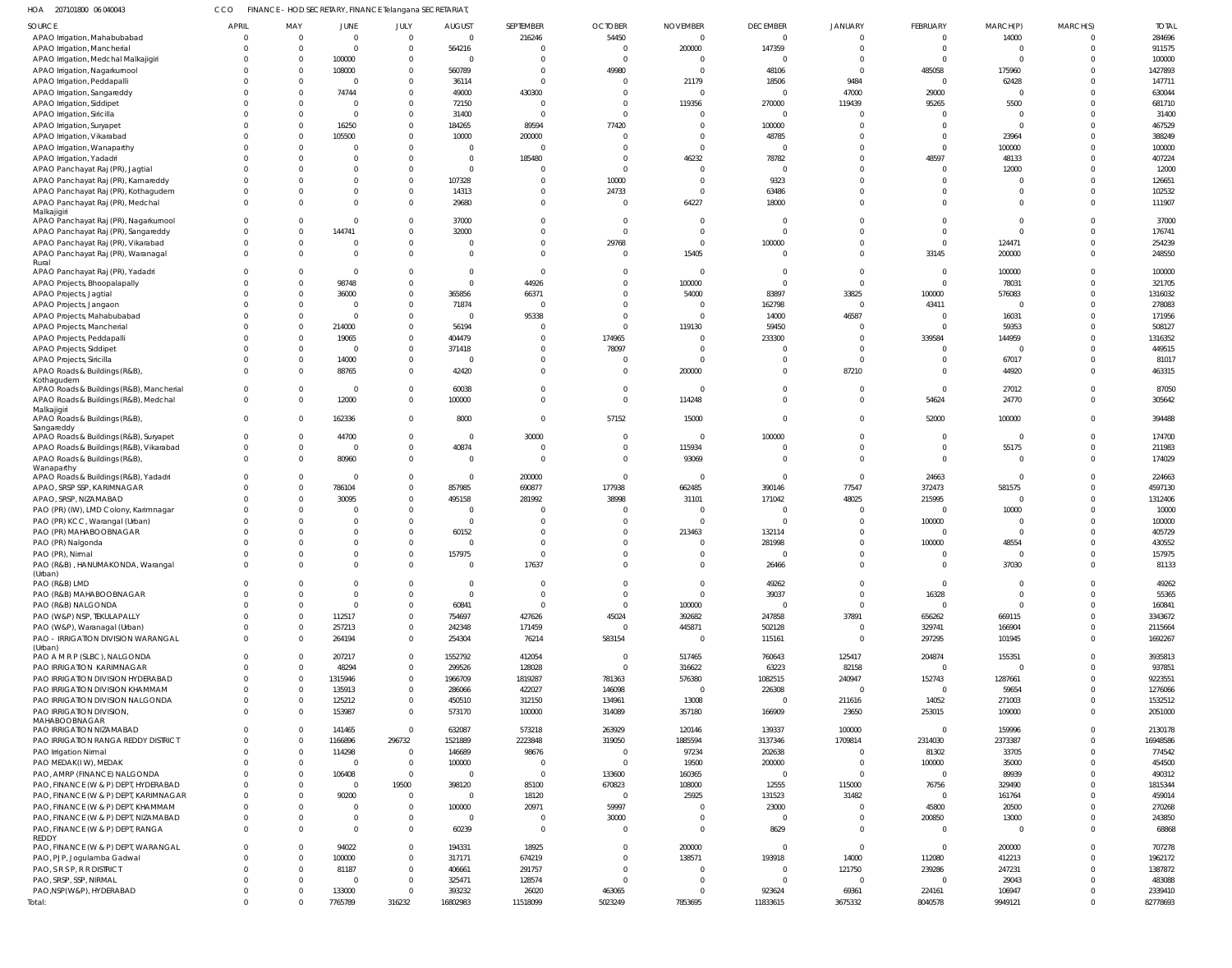| HOA 207101800 06 040043                                                           | CCO                  |                         | FINANCE - HOD SECRETARY, FINANCE Telangana SECRETARIAT, |                            |                            |                          |                             |                      |                    |                      |                          |                                  |                      |                  |
|-----------------------------------------------------------------------------------|----------------------|-------------------------|---------------------------------------------------------|----------------------------|----------------------------|--------------------------|-----------------------------|----------------------|--------------------|----------------------|--------------------------|----------------------------------|----------------------|------------------|
| SOURCE                                                                            | <b>APRIL</b>         | MAY                     | <b>JUNE</b>                                             | JULY                       | <b>AUGUST</b>              | SEPTEMBER                | <b>OCTOBER</b>              | <b>NOVEMBER</b>      | <b>DECEMBER</b>    | <b>JANUARY</b>       | FEBRUARY                 | MARCH(P)                         | MARCH(S)             | <b>TOTAL</b>     |
| APAO Irrigation, Mahabubabad                                                      | $\Omega$             | $\Omega$                | $\mathbf 0$                                             | $\overline{0}$             | $\overline{0}$             | 216246                   | 54450                       | $\mathbf{0}$         | $\overline{0}$     | $\Omega$             | $\overline{\mathbf{0}}$  | 14000                            | $\Omega$             | 284696           |
| APAO Irrigation, Mancherial                                                       | $\Omega$             | $\mathbf 0$             | $\overline{0}$                                          | $\overline{0}$             | 564216                     |                          | $\mathbf 0$                 | 200000               | 147359             | $\Omega$             | $\overline{0}$           | $\overline{\mathbf{0}}$          | $\Omega$             | 911575           |
| APAO Irrigation, Medchal Malkajigiri                                              |                      | $\mathbf 0$             | 100000                                                  | $\overline{0}$             | $\mathbf 0$                |                          | $\mathbf{0}$                | $\mathbf{0}$         | $\Omega$           | $\Omega$             | - 0                      | $\overline{0}$                   |                      | 100000           |
| APAO Irrigation, Nagarkurnool                                                     |                      | $\mathbf 0$             | 108000                                                  | $\Omega$                   | 560789                     | $\Omega$                 | 49980                       | $\Omega$             | 48106              | $\Omega$             | 485058                   | 175960                           | $\Omega$             | 1427893          |
| APAO Irrigation, Peddapalli                                                       |                      | $\Omega$<br>$\Omega$    | $\overline{0}$<br>74744                                 | $\overline{0}$<br>$\Omega$ | 36114                      | $\Omega$                 | $\mathbf{0}$<br>$\mathbf 0$ | 21179<br>$\Omega$    | 18506<br>$\Omega$  | 9484                 | $\overline{\phantom{0}}$ | 62428<br>$\overline{\mathbf{0}}$ | $\Omega$<br>$\Omega$ | 147711<br>630044 |
| APAO Irrigation, Sangareddy<br>APAO Irrigation, Siddipet                          |                      | $\Omega$                | $\overline{0}$                                          | $\Omega$                   | 49000<br>72150             | 430300<br>$\Omega$       | $\mathbf 0$                 | 119356               | 270000             | 47000<br>119439      | 29000<br>95265           | 5500                             | $\Omega$             | 681710           |
| APAO Irrigation, Siricilla                                                        |                      | $\Omega$                | $\overline{0}$                                          | $\Omega$                   | 31400                      | $\Omega$                 | $\Omega$                    | $\Omega$             | $\Omega$           | $\Omega$             | $\Omega$                 | - 0                              | $\Omega$             | 31400            |
| APAO Irrigation, Suryapet                                                         |                      | $\mathbf 0$             | 16250                                                   | $\Omega$                   | 184265                     | 89594                    | 77420                       | $\Omega$             | 100000             |                      | $\Omega$                 | $\overline{\mathbf{0}}$          | $\Omega$             | 467529           |
| APAO Irrigation, Vikarabad                                                        |                      | $\Omega$                | 105500                                                  | $\Omega$                   | 10000                      | 200000                   | $\mathbf{0}$                | $\Omega$             | 48785              |                      | $\Omega$                 | 23964                            | $\Omega$             | 388249           |
| APAO Irrigation, Wanaparthy                                                       |                      | $\mathbf 0$             | $\Omega$                                                | $\Omega$                   | $\mathbf 0$                | $\Omega$                 | $\mathbf 0$                 | $\mathbf 0$          | $\Omega$           | $\Omega$             | $\overline{0}$           | 100000                           | $\Omega$             | 100000           |
| APAO Irrigation, Yadadri                                                          |                      | $\Omega$                | $\Omega$                                                | $\Omega$                   | $\overline{0}$             | 185480                   | $\mathbf 0$                 | 46232                | 78782              | $\Omega$             | 48597                    | 48133                            | $\Omega$             | 407224           |
| APAO Panchayat Raj (PR), Jagtial                                                  |                      | $\Omega$                | $\Omega$                                                | $\Omega$                   | $\mathbf 0$                |                          | $\mathbf 0$                 | $\Omega$             | $\Omega$           | $\Omega$             | $\Omega$                 | 12000                            | $\Omega$             | 12000            |
| APAO Panchayat Raj (PR), Kamareddy                                                |                      | $\Omega$                | $\Omega$                                                | $\Omega$                   | 107328                     | $\Omega$                 | 10000                       | $\mathbf 0$          | 9323               | $\Omega$             | $\Omega$                 | $\overline{0}$                   | $\Omega$             | 126651           |
| APAO Panchayat Raj (PR), Kothagudem                                               | $\Omega$             | $\Omega$                | $\mathbf 0$                                             | $\Omega$                   | 14313                      | $\Omega$                 | 24733                       | $\mathbf 0$          | 63486              |                      | $\Omega$                 | $\overline{\mathbf{0}}$          | $\Omega$             | 102532           |
| APAO Panchayat Raj (PR), Medchal                                                  | $\Omega$             | $\Omega$                | $\Omega$                                                | $\Omega$                   | 29680                      | $\Omega$                 | $\mathbf 0$                 | 64227                | 18000              | $\Omega$             | $\Omega$                 | $\Omega$                         | $\Omega$             | 111907           |
| Malkajigiri                                                                       |                      |                         |                                                         |                            |                            |                          |                             |                      |                    |                      |                          |                                  |                      |                  |
| APAO Panchayat Raj (PR), Nagarkurnool                                             | $\Omega$             | $\Omega$                | $\mathbf 0$                                             | $\Omega$                   | 37000                      | $\Omega$                 | $\overline{0}$              | $\overline{0}$       |                    |                      | $\Omega$                 | - 0                              | $\Omega$             | 37000            |
| APAO Panchayat Raj (PR), Sangareddy                                               | $\Omega$             | $\mathbf 0$             | 144741                                                  | $\Omega$                   | 32000                      | $\Omega$                 | $\mathbf 0$                 | $\mathbf 0$          | $\Omega$           | $\Omega$             | $\Omega$                 | - 0                              | $\Omega$             | 176741           |
| APAO Panchayat Raj (PR), Vikarabad                                                | $\Omega$<br>$\Omega$ | $\mathbf 0$<br>$\Omega$ | $^{\circ}$<br>$\Omega$                                  | $\Omega$<br>$\Omega$       | $\mathbf 0$<br>$\mathbf 0$ | $\mathbf{0}$<br>$\Omega$ | 29768                       | $\mathbf 0$<br>15405 | 100000<br>$\Omega$ | $\Omega$<br>$\Omega$ | $\overline{\phantom{0}}$ | 124471                           | $\Omega$<br>$\Omega$ | 254239           |
| APAO Panchayat Raj (PR), Waranagal<br>Rural                                       |                      |                         |                                                         |                            |                            |                          | $\mathbf 0$                 |                      |                    |                      | 33145                    | 200000                           |                      | 248550           |
| APAO Panchayat Raj (PR), Yadadri                                                  |                      | $\Omega$                | $\overline{0}$                                          | $\Omega$                   | $\mathbf 0$                | $\Omega$                 | $\mathbf 0$                 | $\overline{0}$       |                    | $\Omega$             | - 0                      | 100000                           | $\Omega$             | 100000           |
| APAO Projects, Bhoopalapally                                                      |                      | $\Omega$                | 98748                                                   | $\Omega$                   | $\mathbf 0$                | 44926                    | $\mathbf 0$                 | 100000               | $\Omega$           | $\Omega$             | $\overline{0}$           | 78031                            | $\Omega$             | 321705           |
| APAO Projects, Jagtial                                                            |                      | $\mathbf 0$             | 36000                                                   | $\overline{0}$             | 365856                     | 66371                    | $\mathbf 0$                 | 54000                | 83897              | 33825                | 100000                   | 576083                           | $\Omega$             | 1316032          |
| APAO Projects, Jangaon                                                            |                      | $\Omega$                | $\overline{0}$                                          | $\Omega$                   | 71874                      | $\Omega$                 | $\Omega$                    | $\Omega$             | 162798             | $\Omega$             | 43411                    | - 0                              | $\Omega$             | 278083           |
| APAO Projects, Mahabubabad                                                        |                      | $\mathbf 0$             | $\mathbf 0$                                             | $\Omega$                   | $\Omega$                   | 95338                    | $\mathbf 0$                 | $\Omega$             | 14000              | 46587                | - 0                      | 16031                            | $\Omega$             | 171956           |
| APAO Projects, Mancherial                                                         |                      | $\mathbf 0$             | 214000                                                  | $\Omega$                   | 56194                      | $\Omega$                 | $\mathbf 0$                 | 119130               | 59450              | $\Omega$             | - 0                      | 59353                            | $\Omega$             | 508127           |
| APAO Projects, Peddapalli                                                         |                      | $\mathbf 0$             | 19065                                                   | $\Omega$                   | 404479                     | $\Omega$                 | 174965                      | $\Omega$             | 233300             | $\Omega$             | 339584                   | 144959                           | $\Omega$             | 1316352          |
| <b>APAO Projects, Siddipet</b>                                                    |                      | $\mathbf 0$             | $\overline{0}$                                          | $\Omega$                   | 371418                     | $\Omega$                 | 78097                       | $\Omega$             | <sup>0</sup>       | $\Omega$             | $\Omega$                 | - 0                              | $\Omega$             | 449515           |
| APAO Projects, Siricilla                                                          |                      | $\mathbf 0$             | 14000                                                   | $\Omega$                   | $\Omega$                   | $\Omega$                 | $\mathbf{0}$                | $\Omega$             |                    | $\Omega$             | $\Omega$                 | 67017                            | $\Omega$             | 81017            |
| APAO Roads & Buildings (R&B)                                                      | $\Omega$             | $\mathbf 0$             | 88765                                                   | $\Omega$                   | 42420                      | $\Omega$                 | $\mathbf 0$                 | 200000               | $\Omega$           | 87210                | $\Omega$                 | 44920                            | $\Omega$             | 463315           |
| Kothagudem<br>APAO Roads & Buildings (R&B), Mancherial                            | $\Omega$             | $\mathbf 0$             | $\overline{0}$                                          | $\Omega$                   | 60038                      | $\Omega$                 | $\mathbf 0$                 | $\overline{0}$       | $\Omega$           | $\Omega$             | - 0                      | 27012                            | $\Omega$             | 87050            |
| APAO Roads & Buildings (R&B), Medchal                                             | $\Omega$             | $\Omega$                | 12000                                                   | $\Omega$                   | 100000                     | $\Omega$                 | $\mathbf 0$                 | 114248               | $\Omega$           | $\Omega$             | 54624                    | 24770                            | $\Omega$             | 305642           |
| Malkajigiri                                                                       |                      |                         |                                                         |                            |                            |                          |                             |                      |                    |                      |                          |                                  |                      |                  |
| APAO Roads & Buildings (R&B),                                                     | $\Omega$             | $\Omega$                | 162336                                                  | $\Omega$                   | 8000                       | $\Omega$                 | 57152                       | 15000                | $\Omega$           | $\Omega$             | 52000                    | 100000                           | $\Omega$             | 394488           |
| Sangareddy                                                                        | $\Omega$             | $\mathbf 0$             |                                                         | $\Omega$                   | $\overline{0}$             |                          | $\mathbf 0$                 | $\overline{0}$       |                    | $\Omega$             | - 0                      | $\overline{\phantom{0}}$         | $\Omega$             | 174700           |
| APAO Roads & Buildings (R&B), Suryapet<br>APAO Roads & Buildings (R&B), Vikarabad | $\mathbf 0$          | $\mathbf 0$             | 44700<br>$\overline{0}$                                 | $\Omega$                   | 40874                      | 30000<br>$\overline{0}$  | $\mathbf 0$                 | 115934               | 100000             | $\Omega$             | $\overline{\phantom{0}}$ | 55175                            | $\Omega$             | 211983           |
| APAO Roads & Buildings (R&B)                                                      | $\Omega$             | $\Omega$                | 80960                                                   | $\Omega$                   | $\mathbf 0$                | $\Omega$                 | $\mathbf 0$                 | 93069                | $\Omega$           | $\Omega$             | $\overline{0}$           | $\Omega$                         | $\Omega$             | 174029           |
| Wanaparthy                                                                        |                      |                         |                                                         |                            |                            |                          |                             |                      |                    |                      |                          |                                  |                      |                  |
| APAO Roads & Buildings (R&B), Yadadri                                             |                      | $\mathbf 0$             | $\overline{0}$                                          | $\Omega$                   | $\mathbf 0$                | 200000                   | $\mathbf 0$                 | $\overline{0}$       | $\Omega$           | $\Omega$             | 24663                    | $\overline{\mathbf{0}}$          | $\Omega$             | 224663           |
| APAO, SRSP SSP, KARIMNAGAR                                                        | $\Omega$             | $\mathbf 0$             | 786104                                                  | $\overline{0}$             | 857985                     | 690877                   | 177938                      | 662485               | 390146             | 77547                | 372473                   | 581575                           | $\Omega$             | 4597130          |
| APAO, SRSP, NIZAMABAD                                                             |                      | $\mathbf 0$             | 30095                                                   | $\Omega$                   | 495158                     | 281992                   | 38998                       | 31101                | 171042             | 48025                | 215995                   | $\overline{\mathbf{0}}$          | $\Omega$             | 1312406          |
| PAO (PR) (IW), LMD Colony, Karimnagar                                             |                      | $\Omega$                | $\Omega$                                                | $\Omega$                   | $\mathbf 0$                |                          | $\mathbf{0}$                | $\Omega$             | $\cap$             | $\Omega$             | $\Omega$                 | 10000                            | $\Omega$             | 10000            |
| PAO (PR) KCC, Warangal (Urban)                                                    |                      | $\Omega$                | $\overline{0}$                                          | $\Omega$                   | $\mathbf 0$                |                          | $\mathbf{0}$                | $\Omega$             |                    |                      | 100000                   | - 0                              |                      | 100000           |
| PAO (PR) MAHABOOBNAGAR                                                            |                      | $\Omega$                | $\Omega$                                                | $\Omega$                   | 60152                      |                          | $\Omega$                    | 213463               | 132114             |                      | - 0                      | - 0                              |                      | 405729           |
| PAO (PR) Nalgonda                                                                 |                      | $\Omega$                | $\mathbf{0}$                                            | $\Omega$                   | $\Omega$                   | $\Omega$                 | $\Omega$                    | $\Omega$             | 281998             | $\Omega$             | 100000                   | 48554                            | $\Omega$             | 430552           |
| PAO (PR), Nirmal                                                                  | $\Omega$             | $\Omega$                | $\Omega$                                                | $\overline{0}$             | 157975                     |                          | $\mathbf 0$                 | $\Omega$             |                    | $\mathbf 0$          | $\cap$                   | $\cap$                           | $\overline{0}$       | 157975           |
| PAO (R&B), HANUMAKONDA, Warangal                                                  | $\overline{0}$       | $\Omega$                | $\mathbf{0}$                                            | $\Omega$                   | $\mathbf 0$                | 17637                    | $\mathbf{0}$                | $\mathbf{0}$         | 26466              | $\overline{0}$       | $\overline{0}$           | 37030                            | $\Omega$             | 81133            |
| (Urban)<br>PAO (R&B) LMD                                                          | $\Omega$             | $\Omega$                | $\Omega$                                                | $\Omega$                   | $\overline{0}$             | $\overline{0}$           | $\mathbf{0}$                | $\overline{0}$       | 49262              | $\overline{0}$       | $\overline{\mathbf{0}}$  | $\overline{\mathbf{0}}$          | $\Omega$             | 49262            |
| PAO (R&B) MAHABOOBNAGAR                                                           |                      | $\Omega$                | $\Omega$                                                | $\Omega$                   | $\mathbf 0$                | $\Omega$                 | $\mathbf 0$                 | $\mathbf{0}$         | 39037              | $\mathbf 0$          | 16328                    | $\overline{\mathbf{0}}$          | $\Omega$             | 55365            |
| PAO (R&B) NALGONDA                                                                | $\Omega$             | $\mathbf 0$             | $\mathbf 0$                                             | $\Omega$                   | 60841                      | $\Omega$                 | $\overline{0}$              | 100000               | $\Omega$           | $\Omega$             | $\overline{\mathbf{0}}$  | - 0                              | $\Omega$             | 160841           |
| PAO (W&P) NSP, TEKULAPALLY                                                        | $\Omega$             | $\mathbf 0$             | 112517                                                  | $\Omega$                   | 754697                     | 427626                   | 45024                       | 392682               | 247858             | 37891                | 656262                   | 669115                           | $\Omega$             | 3343672          |
| PAO (W&P), Waranagal (Urban)                                                      | $\Omega$             | $\mathbf 0$             | 257213                                                  | $\Omega$                   | 242348                     | 171459                   | $\overline{0}$              | 445871               | 502128             | $\Omega$             | 329741                   | 166904                           | $\Omega$             | 2115664          |
| PAO - IRRIGATION DIVISION WARANGAL                                                | $\Omega$             | $\mathbf 0$             | 264194                                                  | $\mathbf 0$                | 254304                     | 76214                    | 583154                      | $\overline{0}$       | 115161             | $\Omega$             | 297295                   | 101945                           | $\overline{0}$       | 1692267          |
| (Urban)                                                                           |                      |                         |                                                         |                            |                            |                          |                             |                      |                    |                      |                          |                                  |                      |                  |
| PAO A M R P (SLBC), NALGONDA                                                      | $\Omega$             | $\Omega$                | 207217                                                  | $\overline{0}$             | 1552792                    | 412054                   | $\mathbf 0$                 | 517465               | 760643             | 125417               | 204874                   | 155351                           | $\Omega$             | 3935813          |
| PAO IRRIGATION KARIMNAGAR                                                         | $\Omega$             | $\Omega$                | 48294                                                   | $\overline{0}$             | 299526                     | 128028                   | $\overline{0}$              | 316622               | 63223              | 82158                | $\overline{\mathbf{0}}$  | $\overline{\mathbf{0}}$          | $\Omega$             | 937851           |
| PAO IRRIGATION DIVISION HYDERABAD                                                 | $\Omega$             | $\Omega$                | 1315946                                                 | $\Omega$                   | 1966709                    | 1819287                  | 781363                      | 576380               | 1082515            | 240947               | 152743                   | 1287661                          | $\Omega$             | 9223551          |
| PAO IRRIGATION DIVISION KHAMMAM                                                   | $\Omega$             | $\Omega$                | 135913                                                  | $\Omega$                   | 286066                     | 422027                   | 146098                      | $\Omega$             | 226308             | $\Omega$             | $\overline{\mathbf{0}}$  | 59654                            | $\Omega$             | 1276066          |
| PAO IRRIGATION DIVISION NALGONDA                                                  | $\Omega$             | $\Omega$<br>$\Omega$    | 125212                                                  | $\Omega$<br>$\overline{0}$ | 450510                     | 312150                   | 134961                      | 13008                | $\Omega$           | 211616               | 14052                    | 271003                           | $\Omega$<br>$\Omega$ | 1532512          |
| PAO IRRIGATION DIVISION,<br>MAHABOOBNAGAR                                         | $\Omega$             |                         | 153987                                                  |                            | 573170                     | 100000                   | 314089                      | 357180               | 166909             | 23650                | 253015                   | 109000                           |                      | 2051000          |
| PAO IRRIGATION NIZAMABAD                                                          | $\Omega$             | $\Omega$                | 141465                                                  | $\Omega$                   | 632087                     | 573218                   | 263929                      | 120146               | 139337             | 100000               | - 0                      | 159996                           | $\Omega$             | 2130178          |
| PAO IRRIGATION RANGA REDDY DISTRICT                                               |                      | $\Omega$                | 1166896                                                 | 296732                     | 1521889                    | 2223848                  | 319050                      | 1885594              | 3137346            | 1709814              | 2314030                  | 2373387                          | $\Omega$             | 16948586         |
| PAO Irrigation Nirmal                                                             | $\Omega$             | $\Omega$                | 114298                                                  | $\Omega$                   | 146689                     | 98676                    | $\overline{0}$              | 97234                | 202638             | $\Omega$             | 81302                    | 33705                            | $\Omega$             | 774542           |
| PAO MEDAK(IW), MEDAK                                                              |                      | $\Omega$                | $\overline{0}$                                          | $\Omega$                   | 100000                     | $\Omega$                 | $\overline{0}$              | 19500                | 200000             | $\Omega$             | 100000                   | 35000                            | $\Omega$             | 454500           |
| PAO, AMRP (FINANCE) NALGONDA                                                      | $\Omega$             | $\Omega$                | 106408                                                  | $\Omega$                   | $\mathbf 0$                | - 0                      | 133600                      | 160365               | $\Omega$           | $\Omega$             | $\overline{0}$           | 89939                            | $\Omega$             | 490312           |
| PAO, FINANCE (W & P) DEPT, HYDERABAD                                              | $\Omega$             | $\Omega$                | $\overline{0}$                                          | 19500                      | 398120                     | 85100                    | 670823                      | 108000               | 12555              | 115000               | 76756                    | 329490                           | $\Omega$             | 1815344          |
| PAO, FINANCE (W & P) DEPT, KARIMNAGAR                                             | $\Omega$             | $\Omega$                | 90200                                                   | $\Omega$                   | $\mathbf 0$                | 18120                    | $\overline{0}$              | 25925                | 131523             | 31482                | - 0                      | 161764                           | $\Omega$             | 459014           |
| PAO, FINANCE (W & P) DEPT, KHAMMAM                                                | $\Omega$             | $\Omega$                | $\Omega$                                                | $\Omega$                   | 100000                     | 20971                    | 59997                       | $\Omega$             | 23000              | $\Omega$             | 45800                    | 20500                            | $\Omega$             | 270268           |
| PAO, FINANCE (W & P) DEPT, NIZAMABAD                                              | $\Omega$             | $\Omega$                | $\mathbf 0$                                             | $\Omega$                   | 0                          | $\overline{0}$           | 30000                       | $\Omega$             | $\Omega$           | $\Omega$             | 200850                   | 13000                            | $\Omega$             | 243850           |
| PAO, FINANCE (W & P) DEPT, RANGA                                                  | $\Omega$             | $\Omega$                | $\Omega$                                                | $\Omega$                   | 60239                      | $\overline{0}$           | $\mathbf{0}$                | $\Omega$             | 8629               | $\Omega$             | - 0                      | $\overline{\mathbf{0}}$          | $\Omega$             | 68868            |
| REDDY<br>PAO, FINANCE (W & P) DEPT, WARANGAL                                      | $\Omega$             | $\Omega$                | 94022                                                   | $\overline{0}$             | 194331                     | 18925                    | $\mathbf 0$                 | 200000               | $\Omega$           | $\Omega$             | - 0                      | 200000                           | $\Omega$             | 707278           |
| PAO, PJP, Jogulamba Gadwal                                                        | $\Omega$             | $\Omega$                | 100000                                                  | $\mathbf 0$                | 317171                     | 674219                   | $\mathbf{0}$                | 138571               | 193918             | 14000                | 112080                   | 412213                           | $\Omega$             | 1962172          |
| PAO, S R S P, R R DISTRICT                                                        | $\Omega$             | $\Omega$                | 81187                                                   | $\Omega$                   | 406661                     | 291757                   | $\Omega$                    | $\Omega$             | $\Omega$           | 121750               | 239286                   | 247231                           | $\Omega$             | 1387872          |
| PAO, SRSP, SSP, NIRMAL                                                            | $\Omega$             | $\Omega$                | $\overline{0}$                                          | $\Omega$                   | 325471                     | 128574                   | $\mathbf 0$                 | $\Omega$             | $\Omega$           | $\Omega$             | $\overline{\phantom{0}}$ | 29043                            | $\Omega$             | 483088           |
| PAO, NSP(W&P), HYDERABAD                                                          | $\mathbf 0$          | $\Omega$                | 133000                                                  | $\Omega$                   | 393232                     | 26020                    | 463065                      | $\Omega$             | 923624             | 69361                | 224161                   | 106947                           | $\Omega$             | 2339410          |
| Total:                                                                            | $\mathbf 0$          | $\overline{0}$          | 7765789                                                 | 316232                     | 16802983                   | 11518099                 | 5023249                     | 7853695              | 11833615           | 3675332              | 8040578                  | 9949121                          | $\overline{0}$       | 82778693         |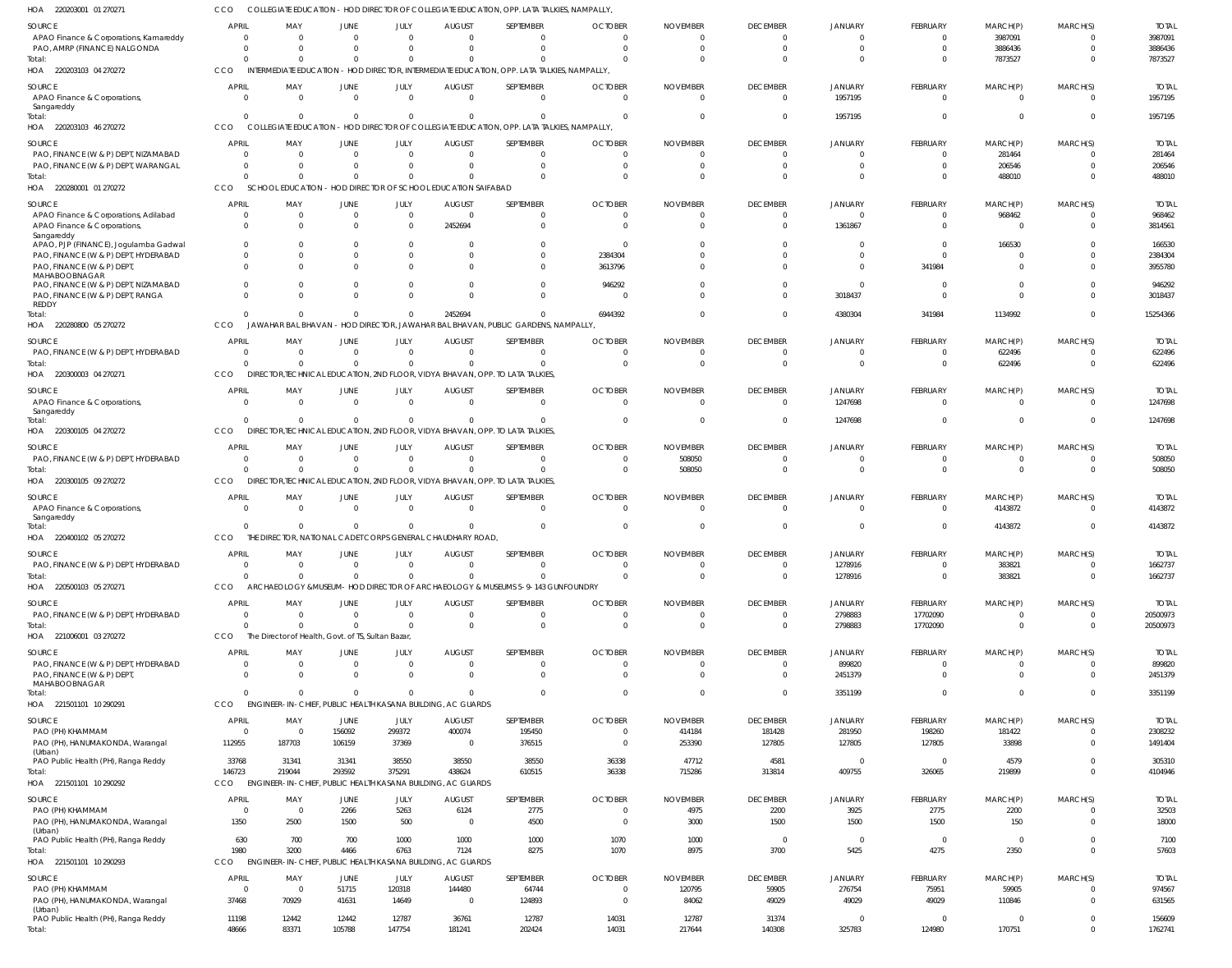220203001 01 270271 HOA COLLEGIATE EDUCATION - HOD DIRECTOR OF COLLEGIATE EDUCATION, OPP. LATA TALKIES, NAMPALLY, CCO

| SOURCE                                                                        | APRIL                                   | MAY                                                | JUNE                   | JULY                             | <b>AUGUST</b>                                                         | <b>SEPTEMBER</b>                                                                            | <b>OCTOBER</b>                | <b>NOVEMBER</b>         | <b>DECEMBER</b>             | <b>JANUARY</b>          | <b>FEBRUARY</b>      | MARCH(P)                   | MARCH(S)             | <b>TOTAL</b>           |
|-------------------------------------------------------------------------------|-----------------------------------------|----------------------------------------------------|------------------------|----------------------------------|-----------------------------------------------------------------------|---------------------------------------------------------------------------------------------|-------------------------------|-------------------------|-----------------------------|-------------------------|----------------------|----------------------------|----------------------|------------------------|
| APAO Finance & Corporations, Kamareddy                                        | $\overline{0}$                          | $\Omega$                                           | $\overline{0}$         | $\Omega$                         | $\Omega$                                                              | $\Omega$                                                                                    |                               |                         | $\Omega$                    | $\Omega$                | - 0                  | 3987091                    |                      | 3987091                |
| PAO, AMRP (FINANCE) NALGONDA                                                  | $\Omega$                                | $\Omega$                                           | $\Omega$               | $\Omega$                         | $\Omega$                                                              | $\Omega$                                                                                    | U                             |                         | $\Omega$                    | $\Omega$                | $\Omega$             | 3886436                    | $\Omega$             | 3886436                |
| Total:<br>HOA 220203103 04 270272                                             | $\Omega$<br><b>CCO</b>                  | $\Omega$                                           |                        | $\Omega$<br>$\Omega$             | $\Omega$                                                              | INTERMEDIATE EDUCATION - HOD DIRECTOR, INTERMEDIATE EDUCATION, OPP. LATA TALKIES, NAMPALLY, |                               |                         | $\Omega$                    | $\Omega$                | $\Omega$             | 7873527                    | $\Omega$             | 7873527                |
| SOURCE                                                                        | <b>APRIL</b>                            | MAY                                                | JUNE                   | JULY                             | <b>AUGUST</b>                                                         | SEPTEMBER                                                                                   | <b>OCTOBER</b>                | <b>NOVEMBER</b>         | <b>DECEMBER</b>             | <b>JANUARY</b>          | <b>FEBRUARY</b>      | MARCH(P)                   | MARCH(S)             | <b>TOTAL</b>           |
| APAO Finance & Corporations,                                                  | $\Omega$                                | $\Omega$                                           | $\Omega$               | $\Omega$                         | $\Omega$                                                              | $\Omega$                                                                                    | $\Omega$                      |                         | $\Omega$                    | 1957195                 | $\Omega$             | $\Omega$                   | $\Omega$             | 1957195                |
| Sangareddy                                                                    |                                         |                                                    |                        |                                  |                                                                       |                                                                                             |                               |                         |                             |                         |                      |                            |                      |                        |
| Total:<br>HOA 220203103 46 270272                                             | $\Omega$<br>CCO                         | $\Omega$<br><b>COLLEGIATE EDUCATION</b>            |                        | $\Omega$<br>$\Omega$             | $\Omega$                                                              | $\Omega$<br>- HOD DIRECTOR OF COLLEGIATE EDUCATION, OPP. LATA TALKIES, NAMPALLY,            | U                             |                         | - 0                         | 1957195                 | - 0                  | $\Omega$                   | $\Omega$             | 1957195                |
|                                                                               | <b>APRIL</b>                            |                                                    |                        |                                  |                                                                       |                                                                                             |                               |                         |                             |                         |                      |                            |                      |                        |
| <b>SOURCE</b><br>PAO, FINANCE (W & P) DEPT, NIZAMABAD                         | $\Omega$                                | MAY<br>$\Omega$                                    | JUNE<br>$\overline{0}$ | JULY<br>$\Omega$                 | <b>AUGUST</b><br>$\Omega$                                             | SEPTEMBER<br>$\Omega$                                                                       | <b>OCTOBER</b><br>0           | <b>NOVEMBER</b>         | <b>DECEMBER</b><br>$\Omega$ | JANUARY<br>$\Omega$     | FEBRUARY<br>- 0      | MARCH(P)<br>281464         | MARCH(S)             | <b>TOTAL</b><br>281464 |
| PAO, FINANCE (W & P) DEPT, WARANGAL                                           | $\Omega$                                | $\Omega$                                           | $\Omega$               | $\Omega$                         | $\Omega$                                                              | $\Omega$                                                                                    | 0                             |                         | - 0                         | $\Omega$                | $\Omega$             | 206546                     | $\Omega$             | 206546                 |
| Total:                                                                        | $\Omega$                                | $\Omega$                                           |                        | $\Omega$<br>$\Omega$             | $\Omega$                                                              | $\Omega$                                                                                    |                               |                         | $\Omega$                    | $\Omega$                | $\Omega$             | 488010                     |                      | 488010                 |
| HOA 220280001 01 270272                                                       | <b>CCO</b>                              |                                                    |                        |                                  | SCHOOL EDUCATION - HOD DIRECTOR OF SCHOOL EDUCATION SAIFABAD          |                                                                                             |                               |                         |                             |                         |                      |                            |                      |                        |
| <b>SOURCE</b>                                                                 | <b>APRIL</b>                            | MAY                                                | <b>JUNE</b>            | JULY                             | <b>AUGUST</b>                                                         | <b>SEPTEMBER</b>                                                                            | <b>OCTOBER</b>                | <b>NOVEMBER</b>         | <b>DECEMBER</b>             | <b>JANUARY</b>          | <b>FEBRUARY</b>      | MARCH(P)                   | MARCH(S)             | <b>TOTAL</b>           |
| APAO Finance & Corporations, Adilabad<br>APAO Finance & Corporations,         | 0<br>$\Omega$                           | $\Omega$<br>$\Omega$                               | $\Omega$<br>$\Omega$   | $\Omega$<br>$\Omega$             | $\Omega$<br>2452694                                                   | $\Omega$                                                                                    |                               |                         | $\Omega$<br>$\Omega$        | $\Omega$<br>1361867     | $\Omega$             | 968462<br>$\Omega$         |                      | 968462<br>3814561      |
| Sangareddy                                                                    |                                         |                                                    |                        |                                  |                                                                       |                                                                                             |                               |                         |                             |                         |                      |                            |                      |                        |
| APAO, PJP (FINANCE), Jogulamba Gadwal<br>PAO, FINANCE (W & P) DEPT, HYDERABAD | $\Omega$                                | $\Omega$<br>$\Omega$                               | $\Omega$<br>$\Omega$   | $\Omega$                         | $\Omega$<br>$\Omega$                                                  | $\Omega$                                                                                    | 2384304                       |                         | 0<br>$\Omega$               | $\Omega$<br>$\Omega$    | - 0                  | 166530<br>$\Omega$         |                      | 166530<br>2384304      |
| PAO, FINANCE (W & P) DEPT                                                     | $\Omega$                                | $\Omega$                                           | $\Omega$               |                                  | $\Omega$                                                              | $\Omega$                                                                                    | 3613796                       |                         | $\Omega$                    | $\Omega$                | 341984               | $\Omega$                   |                      | 3955780                |
| MAHABOOBNAGAR<br>PAO, FINANCE (W & P) DEPT, NIZAMABAD                         |                                         | $\Omega$                                           | $\Omega$               |                                  | $\Omega$                                                              | $\Omega$                                                                                    | 946292                        |                         | $\Omega$                    | $\Omega$                |                      | $\Omega$                   |                      | 946292                 |
| PAO, FINANCE (W & P) DEPT, RANGA                                              | $\Omega$                                | $\Omega$                                           | $\Omega$               | $\Omega$                         | $\Omega$                                                              | $\Omega$                                                                                    |                               |                         | $\Omega$                    | 3018437                 | $\Omega$             | $\Omega$                   |                      | 3018437                |
| REDDY<br>Total:                                                               | $\Omega$                                | $\Omega$                                           |                        | $\Omega$<br>$\Omega$             | 2452694                                                               | $\Omega$                                                                                    | 6944392                       |                         | $\Omega$                    | 4380304                 | 341984               | 1134992                    | $\Omega$             | 15254366               |
| HOA 220280800 05 270272                                                       | <b>CCO</b>                              | JAWAHAR BAL BHAVAN                                 |                        |                                  |                                                                       | - HOD DIRECTOR, JAWAHAR BAL BHAVAN, PUBLIC GARDENS, NAMPALLY                                |                               |                         |                             |                         |                      |                            |                      |                        |
| SOURCE                                                                        | <b>APRIL</b>                            | MAY                                                | JUNE                   | JULY                             | <b>AUGUST</b>                                                         | SEPTEMBER                                                                                   | <b>OCTOBER</b>                | <b>NOVEMBER</b>         | <b>DECEMBER</b>             | <b>JANUARY</b>          | FEBRUARY             | MARCH(P)                   | MARCH(S)             | <b>TOTAL</b>           |
| PAO, FINANCE (W & P) DEPT, HYDERABAD                                          | $\Omega$                                | $\Omega$                                           | $\overline{0}$         | $\Omega$                         | $\Omega$                                                              | $\Omega$                                                                                    | 0                             |                         | - 0                         | $\Omega$                | $\Omega$             | 622496                     | 0                    | 622496                 |
| Total                                                                         |                                         | $\Omega$                                           | $\Omega$               | $\Omega$                         | $\Omega$                                                              | $\Omega$                                                                                    | $\Omega$                      |                         | $\Omega$                    | $\Omega$                | $\Omega$             | 622496                     | $\Omega$             | 622496                 |
| HOA 220300003 04 270271                                                       | CCO                                     |                                                    |                        |                                  |                                                                       | DIRECTOR, TECHNICAL EDUCATION, 2ND FLOOR, VIDYA BHAVAN, OPP. TO LATA TALKIES,               |                               |                         |                             |                         |                      |                            |                      |                        |
| <b>SOURCE</b>                                                                 | <b>APRIL</b>                            | MAY                                                | JUNE                   | JULY                             | <b>AUGUST</b>                                                         | SEPTEMBER                                                                                   | <b>OCTOBER</b>                | <b>NOVEMBER</b>         | <b>DECEMBER</b>             | <b>JANUARY</b>          | FEBRUARY             | MARCH(P)                   | MARCH(S)             | <b>TOTAL</b>           |
| APAO Finance & Corporations,<br>Sangareddy                                    | $\Omega$                                | $\Omega$                                           | $\Omega$               | $\Omega$                         | $\Omega$                                                              | $\Omega$                                                                                    | 0                             | $\Omega$                | $\Omega$                    | 1247698                 | $\Omega$             | $\Omega$                   | $\Omega$             | 1247698                |
| Total:                                                                        | $\Omega$                                | $\Omega$                                           |                        | $\Omega$<br>$\Omega$             | $\Omega$                                                              | $\Omega$                                                                                    | $\Omega$                      |                         | $\Omega$                    | 1247698                 | $\Omega$             | $\Omega$                   | $\Omega$             | 1247698                |
| HOA 220300105 04 270272                                                       | CCO                                     |                                                    |                        |                                  |                                                                       | DIRECTOR, TECHNICAL EDUCATION, 2ND FLOOR, VIDYA BHAVAN, OPP. TO LATA TALKIES,               |                               |                         |                             |                         |                      |                            |                      |                        |
| <b>SOURCE</b>                                                                 | <b>APRI</b>                             | MAY                                                | JUNE                   | JULY                             | <b>AUGUST</b>                                                         | SEPTEMBER                                                                                   | <b>OCTOBER</b>                | <b>NOVEMBER</b>         | <b>DECEMBER</b>             | <b>JANUARY</b>          | FEBRUARY             | MARCH(P)                   | MARCH(S)             | <b>TOTAL</b>           |
| PAO, FINANCE (W & P) DEPT, HYDERABAD                                          | $\Omega$<br>$\Omega$                    | $\Omega$<br>$\Omega$                               | $\overline{0}$         | $\Omega$<br>$\Omega$<br>$\Omega$ | $\Omega$<br>$\Omega$                                                  | $\Omega$<br>$\Omega$                                                                        | $\Omega$<br>$\Omega$          | 508050<br>508050        | - 0<br>$\Omega$             | $\Omega$<br>$\Omega$    | $\Omega$<br>$\Omega$ | $\Omega$<br>$\Omega$       | $\Omega$<br>$\Omega$ | 508050<br>508050       |
| Total:<br>HOA 220300105 09 270272                                             | <b>CCO</b>                              | <b>DIRFC</b>                                       |                        |                                  |                                                                       | TOR,TECHNICAL EDUCATION, 2ND FLOOR, VIDYA BHAVAN, OPP. TO LATA TALKIES,                     |                               |                         |                             |                         |                      |                            |                      |                        |
| SOURCE                                                                        | <b>APRIL</b>                            | MAY                                                | JUNE                   | JULY                             | <b>AUGUST</b>                                                         | SEPTEMBER                                                                                   | <b>OCTOBER</b>                | <b>NOVEMBER</b>         | <b>DECEMBER</b>             | <b>JANUARY</b>          | <b>FEBRUARY</b>      | MARCH(P)                   | MARCH(S)             | <b>TOTAI</b>           |
| APAO Finance & Corporations,                                                  | $\Omega$                                | $\Omega$                                           | $\Omega$               | $\Omega$                         | $\Omega$                                                              | $\Omega$                                                                                    | $\Omega$                      | $\Omega$                | $\Omega$                    | $\Omega$                | $\Omega$             | 4143872                    | $\Omega$             | 4143872                |
| Sangareddy<br>Total:                                                          |                                         | $\Omega$                                           |                        | $\Omega$<br>$\Omega$             | $\Omega$                                                              | $\Omega$                                                                                    | 0                             |                         | $\Omega$                    | $\Omega$                | $\Omega$             | 4143872                    | $\Omega$             | 4143872                |
| HOA 220400102 05 270272                                                       | CCO                                     |                                                    |                        |                                  | THE DIRECTOR, NATIONAL CADET CORPS GENERAL CHAUDHARY ROAD,            |                                                                                             |                               |                         |                             |                         |                      |                            |                      |                        |
| SOURCE                                                                        | APRIL                                   | MAY                                                | JUNE                   | JULY                             | <b>AUGUST</b>                                                         | SEPTEMBER                                                                                   | <b>OCTOBER</b>                | <b>NOVEMBER</b>         | <b>DECEMBER</b>             | <b>JANUARY</b>          | FEBRUARY             | MARCH(P)                   | MARCH(S)             | <b>TOTAL</b>           |
| PAO, FINANCE (W & P) DEPT, HYDERABAD                                          | $\overline{0}$                          | - 0                                                | $\mathbf 0$            |                                  | $\Omega$                                                              | $\Omega$                                                                                    |                               |                         | - 0                         | 1278916                 |                      | 383821                     | $\Omega$             | 1662737                |
| Total                                                                         | $\Omega$                                | $\Omega$                                           |                        | $\overline{0}$<br>$\Omega$       | $\Omega$                                                              | $\Omega$                                                                                    | $\Omega$                      | $\Omega$                | $\Omega$                    | 1278916                 | $\Omega$             | 383821                     | $\Omega$             | 1662737                |
| HOA 220500103 05 270271                                                       | CCO                                     |                                                    |                        |                                  |                                                                       | ARCHAEOLOGY & MUSEUM - HOD DIRECTOR OF ARCHAEOLOGY & MUSEUMS 5-9-143 GUNFOUNDRY             |                               |                         |                             |                         |                      |                            |                      |                        |
| SOURCE                                                                        | <b>APRIL</b>                            | MAY                                                | JUNE                   | JULY                             | <b>AUGUST</b>                                                         | SEPTEMBER                                                                                   | <b>OCTOBER</b>                | <b>NOVEMBER</b>         | <b>DECEMBER</b>             | <b>JANUARY</b>          | <b>FEBRUARY</b>      | MARCH(P)                   | MARCH(S)             | <b>TOTAL</b>           |
| PAO, FINANCE (W & P) DEPT, HYDERABAD<br>Total:                                | $\Omega$<br>$\Omega$                    | $\Omega$<br>$\Omega$                               | $\Omega$               | $\Omega$<br>$\Omega$<br>$\Omega$ | $\Omega$<br>$\Omega$                                                  | $\Omega$<br>$\Omega$                                                                        | $\Omega$<br>$\Omega$          | $\Omega$<br>$\Omega$    | $\Omega$<br>$\Omega$        | 2798883<br>2798883      | 17702090<br>17702090 | $\overline{0}$<br>$\Omega$ | $\Omega$<br>$\Omega$ | 20500973<br>20500973   |
| HOA 221006001 03 270272                                                       | CCO                                     | The Director of Health, Govt. of TS, Sultan Bazar, |                        |                                  |                                                                       |                                                                                             |                               |                         |                             |                         |                      |                            |                      |                        |
| SOURCE                                                                        | <b>APRIL</b>                            | MAY                                                | <b>JUNE</b>            | JULY                             | <b>AUGUST</b>                                                         | <b>SEPTEMBER</b>                                                                            | <b>OCTOBER</b>                | <b>NOVEMBER</b>         | <b>DECEMBER</b>             | <b>JANUARY</b>          | FEBRUARY             | MARCH(P)                   | MARCH(S)             | <b>TOTAL</b>           |
| PAO, FINANCE (W & P) DEPT, HYDERABAD                                          | $\overline{0}$                          | $\Omega$                                           | $\overline{0}$         | $\Omega$                         | $\mathbf 0$                                                           | $\Omega$                                                                                    | $\Omega$                      | $\Omega$                | $\Omega$                    | 899820                  | $\Omega$             | $\overline{0}$             | $\Omega$             | 899820                 |
| PAO, FINANCE (W & P) DEPT,<br>MAHABOOBNAGAR                                   | $\Omega$                                | $\Omega$                                           | $\Omega$               | $\Omega$                         | $\Omega$                                                              | $\Omega$                                                                                    | $\Omega$                      | $\Omega$                | $\Omega$                    | 2451379                 | $\Omega$             | $\mathbf 0$                | $\Omega$             | 2451379                |
| Total:                                                                        | $\Omega$                                | $\Omega$                                           |                        | $\mathbf{0}$<br>$\Omega$         | $\mathbf{0}$                                                          | $\Omega$                                                                                    | $\mathbf{0}$                  | $\Omega$                | $\overline{0}$              | 3351199                 | $\Omega$             | $\mathbf 0$                | $\overline{0}$       | 3351199                |
| HOA 221501101 10 290291                                                       | CCO                                     |                                                    |                        |                                  | ENGINEER-IN-CHIEF. PUBLIC HEALTH KASANA BUILDING. AC GUARDS           |                                                                                             |                               |                         |                             |                         |                      |                            |                      |                        |
| <b>SOURCE</b>                                                                 | <b>APRIL</b>                            | MAY                                                | JUNE                   | JULY                             | <b>AUGUST</b>                                                         | <b>SEPTEMBER</b>                                                                            | <b>OCTOBER</b>                | <b>NOVEMBER</b>         | <b>DECEMBER</b>             | <b>JANUARY</b>          | FEBRUARY             | MARCH(P)                   | MARCH(S)             | <b>TOTAL</b>           |
| PAO (PH) KHAMMAM                                                              | $\overline{0}$                          | $\overline{0}$                                     | 156092                 | 299372                           | 400074                                                                | 195450                                                                                      | 0                             | 414184                  | 181428                      | 281950                  | 198260               | 181422                     | $\Omega$             | 2308232                |
| PAO (PH), HANUMAKONDA, Warangal<br>(Urban)                                    | 112955                                  | 187703                                             | 106159                 | 37369                            | $\overline{0}$                                                        | 376515                                                                                      | $\Omega$                      | 253390                  | 127805                      | 127805                  | 127805               | 33898                      | $\Omega$             | 1491404                |
| PAO Public Health (PH), Ranga Reddy                                           | 33768                                   | 31341                                              | 31341                  | 38550                            | 38550                                                                 | 38550                                                                                       | 36338                         | 47712                   | 4581                        | $\overline{0}$          | $\Omega$             | 4579                       |                      | 305310                 |
| Total:<br>HOA 221501101 10 290292                                             | 146723<br>CCO                           | 219044                                             | 293592                 | 375291                           | 438624<br>ENGINEER-IN-CHIEF, PUBLIC HEALTH KASANA BUILDING, AC GUARDS | 610515                                                                                      | 36338                         | 715286                  | 313814                      | 409755                  | 326065               | 219899                     | $\Omega$             | 4104946                |
|                                                                               |                                         |                                                    |                        |                                  |                                                                       |                                                                                             |                               |                         |                             |                         |                      |                            |                      |                        |
| SOURCE<br>PAO (PH) KHAMMAM                                                    | <b>APRIL</b><br>$\overline{\mathbf{0}}$ | MAY<br>$\overline{\mathbf{0}}$                     | <b>JUNE</b><br>2266    | JULY<br>5263                     | <b>AUGUST</b><br>6124                                                 | SEPTEMBER<br>2775                                                                           | <b>OCTOBER</b><br>$\mathbf 0$ | <b>NOVEMBER</b><br>4975 | <b>DECEMBER</b><br>2200     | <b>JANUARY</b><br>3925  | FEBRUARY<br>2775     | MARCH(P)<br>2200           | MARCH(S)<br>$\Omega$ | <b>TOTAL</b><br>32503  |
| PAO (PH), HANUMAKONDA, Warangal                                               | 1350                                    | 2500                                               | 1500                   | 500                              | $\overline{0}$                                                        | 4500                                                                                        | $\Omega$                      | 3000                    | 1500                        | 1500                    | 1500                 | 150                        | $\Omega$             | 18000                  |
| (Urban)<br>PAO Public Health (PH), Ranga Reddy                                | 630                                     | 700                                                | 700                    | 1000                             | 1000                                                                  | 1000                                                                                        | 1070                          | 1000                    | $\overline{0}$              | $\overline{\mathbf{0}}$ | $\overline{0}$       | $\overline{0}$             | $\Omega$             | 7100                   |
| Total:                                                                        | 1980                                    | 3200                                               | 4466                   | 6763                             | 7124                                                                  | 8275                                                                                        | 1070                          | 8975                    | 3700                        | 5425                    | 4275                 | 2350                       | $\Omega$             | 57603                  |
| HOA 221501101 10 290293                                                       | CCO                                     |                                                    |                        |                                  | ENGINEER-IN-CHIEF, PUBLIC HEALTH KASANA BUILDING, AC GUARDS           |                                                                                             |                               |                         |                             |                         |                      |                            |                      |                        |
| <b>SOURCE</b>                                                                 | <b>APRIL</b>                            | MAY                                                | JUNE                   | JULY                             | <b>AUGUST</b>                                                         | SEPTEMBER                                                                                   | <b>OCTOBER</b>                | <b>NOVEMBER</b>         | <b>DECEMBER</b>             | <b>JANUARY</b>          | <b>FEBRUARY</b>      | MARCH(P)                   | MARCH(S)             | <b>TOTAL</b>           |
| PAO (PH) KHAMMAM                                                              | $\Omega$                                | $\overline{\mathbf{0}}$                            | 51715                  | 120318                           | 144480                                                                | 64744                                                                                       | 0                             | 120795                  | 59905                       | 276754                  | 75951                | 59905                      | $\Omega$             | 974567                 |
| PAO (PH), HANUMAKONDA, Warangal<br>(Urban)                                    | 37468                                   | 70929                                              | 41631                  | 14649                            | $\overline{0}$                                                        | 124893                                                                                      | $\mathbf 0$                   | 84062                   | 49029                       | 49029                   | 49029                | 110846                     | $\Omega$             | 631565                 |
| PAO Public Health (PH), Ranga Reddy                                           | 11198                                   | 12442                                              | 12442                  | 12787                            | 36761                                                                 | 12787                                                                                       | 14031                         | 12787                   | 31374                       | $\overline{0}$          | 0                    | $\overline{0}$             | $\overline{0}$       | 156609                 |
| Total:                                                                        | 48666                                   | 83371                                              | 105788                 | 147754                           | 181241                                                                | 202424                                                                                      | 14031                         | 217644                  | 140308                      | 325783                  | 124980               | 170751                     | $\Omega$             | 1762741                |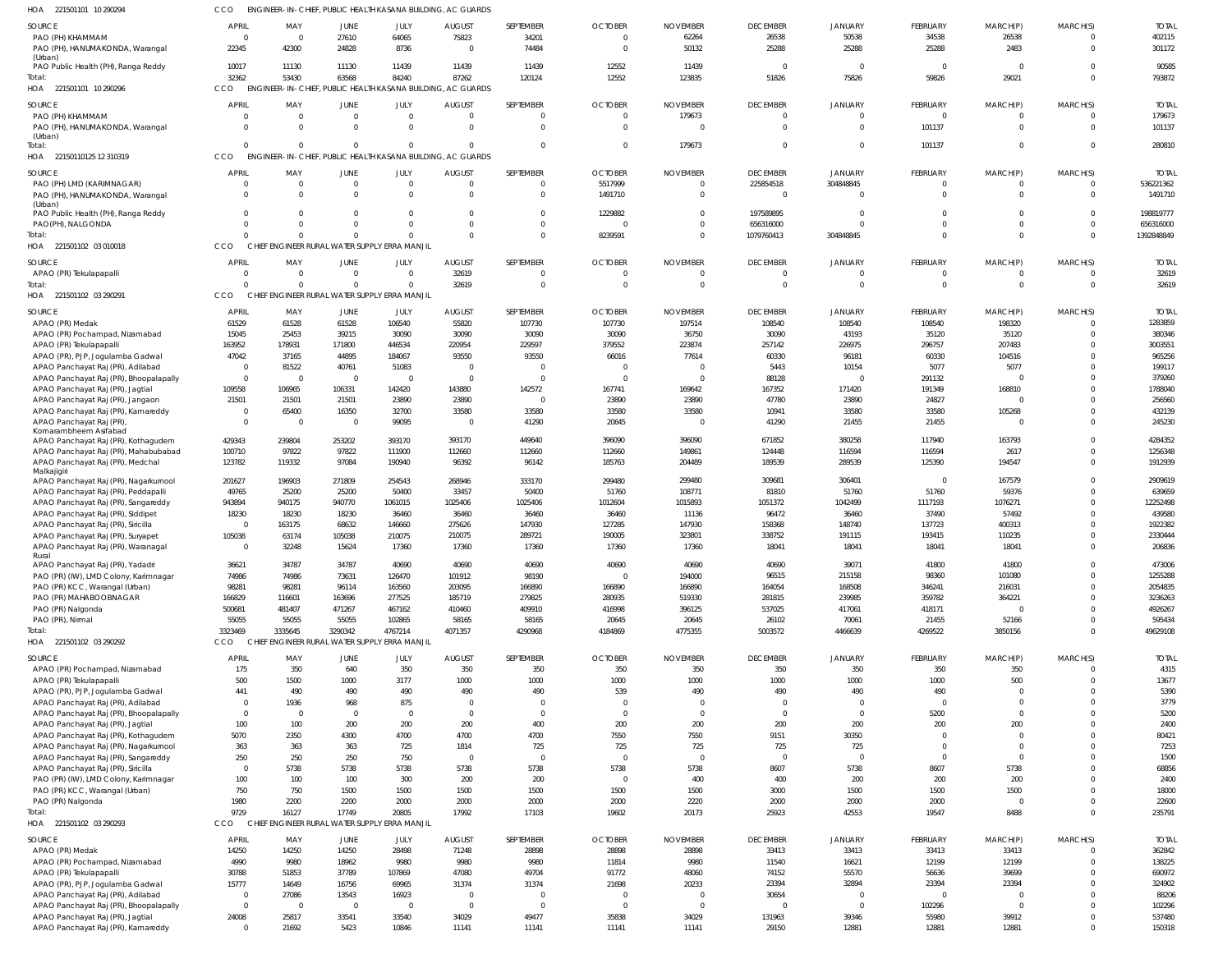| <b>SOURCE</b>                                                               | <b>APRIL</b>            | MAY                                                         | <b>JUNE</b>             | JULY               | <b>AUGUST</b>           | SEPTEMBER            | <b>OCTOBER</b>          | <b>NOVEMBER</b>   | <b>DECEMBER</b> | JANUARY                 | FEBRUARY          | MARCH(P)                | MARCH(S)                 | <b>TOTAL</b>     |
|-----------------------------------------------------------------------------|-------------------------|-------------------------------------------------------------|-------------------------|--------------------|-------------------------|----------------------|-------------------------|-------------------|-----------------|-------------------------|-------------------|-------------------------|--------------------------|------------------|
| PAO (PH) KHAMMAM                                                            | $\overline{0}$          | $\Omega$                                                    | 27610                   | 64065              | 75823                   | 34201                | $^{\circ}$              | 62264             | 26538           | 50538                   | 34538             | 26538                   | $\mathbf{0}$             | 402115           |
| PAO (PH), HANUMAKONDA, Warangal                                             | 22345                   | 42300                                                       | 24828                   | 8736               | $\Omega$                | 74484                | $\Omega$                | 50132             | 25288           | 25288                   | 25288             | 2483                    | $\mathbf 0$              | 301172           |
| (Urban)                                                                     |                         |                                                             |                         |                    |                         |                      |                         |                   |                 |                         |                   |                         |                          |                  |
| PAO Public Health (PH), Ranga Reddy                                         | 10017<br>32362          | 11130<br>53430                                              | 11130                   | 11439              | 11439                   | 11439                | 12552                   | 11439<br>123835   | $\overline{0}$  | $\overline{0}$          | $\Omega$<br>59826 | $\overline{0}$          | $\Omega$<br>$\Omega$     | 90585<br>793872  |
| Total:<br>HOA 221501101 10 290296                                           | CCO                     | ENGINEER-IN-CHIEF, PUBLIC HEALTH KASANA BUILDING, AC GUARDS | 63568                   | 84240              | 87262                   | 120124               | 12552                   |                   | 51826           | 75826                   |                   | 29021                   |                          |                  |
|                                                                             |                         |                                                             |                         |                    |                         |                      |                         |                   |                 |                         |                   |                         |                          |                  |
| SOURCE                                                                      | <b>APRIL</b>            | MAY                                                         | JUNE                    | JULY               | <b>AUGUST</b>           | SEPTEMBER            | <b>OCTOBER</b>          | <b>NOVEMBER</b>   | <b>DECEMBER</b> | <b>JANUARY</b>          | <b>FEBRUARY</b>   | MARCH(P)                | MARCH(S)                 | <b>TOTAL</b>     |
| PAO (PH) KHAMMAM                                                            | $\Omega$                | $\Omega$                                                    | $\overline{0}$          | $\overline{0}$     | $\Omega$                | $\Omega$             | $^{\circ}$              | 179673            | $\mathbf{0}$    | $\mathbf{0}$            | $\Omega$          | $\Omega$                | $\Omega$                 | 179673           |
| PAO (PH), HANUMAKONDA, Warangal<br>(Urban)                                  | $\Omega$                | $\Omega$                                                    | $\Omega$                | $\Omega$           | $\Omega$                | $\mathbf 0$          | $\Omega$                | $\Omega$          | $\overline{0}$  | $\mathbf{0}$            | 101137            | $\overline{0}$          | $\overline{0}$           | 101137           |
| Total:                                                                      | $\Omega$                | $\Omega$                                                    | $\Omega$                | $\Omega$           | $\Omega$                | $\Omega$             | $\mathbf{0}$            | 179673            | $\mathbf{0}$    | $\mathbf 0$             | 101137            | $\overline{0}$          | $\mathbf{0}$             | 280810           |
| HOA 22150110125 12 310319                                                   | CCO                     | ENGINEER-IN-CHIEF, PUBLIC HEALTH KASANA BUILDING, AC GUARDS |                         |                    |                         |                      |                         |                   |                 |                         |                   |                         |                          |                  |
| <b>SOURCE</b>                                                               | <b>APRIL</b>            | MAY                                                         | <b>JUNE</b>             | JULY               | <b>AUGUST</b>           | SEPTEMBER            | <b>OCTOBER</b>          | <b>NOVEMBER</b>   | <b>DECEMBER</b> | <b>JANUARY</b>          | <b>FEBRUARY</b>   | MARCH(P)                | MARCH(S)                 | <b>TOTAL</b>     |
| PAO (PH) LMD (KARIMNAGAR)                                                   | 0                       | - 0                                                         | $\overline{0}$          | $\overline{0}$     | $\overline{0}$          | $\Omega$             | 5517999                 | $\overline{0}$    | 225854518       | 304848845               | $\Omega$          | $\overline{0}$          | $\mathbf{0}$             | 536221362        |
| PAO (PH), HANUMAKONDA, Warangal                                             | $\Omega$                | $\Omega$                                                    | $\Omega$                | $\Omega$           | $\Omega$                | $\Omega$             | 1491710                 | $\Omega$          | $\mathbf{0}$    | $\mathbf{0}$            | $\Omega$          | $\Omega$                | $\Omega$                 | 1491710          |
| (Urban)                                                                     |                         |                                                             |                         |                    |                         |                      |                         |                   |                 |                         |                   |                         |                          |                  |
| PAO Public Health (PH), Ranga Reddy                                         | $\Omega$                |                                                             | $\Omega$                | $\Omega$           | $\Omega$                | $\Omega$             | 1229882                 | $\Omega$          | 197589895       | $\Omega$                | $\Omega$          | $\Omega$                | $\Omega$                 | 198819777        |
| PAO(PH), NALGONDA                                                           | $\Omega$                |                                                             | $\Omega$                | $\Omega$           | $\Omega$                | $\Omega$             | $\Omega$                | $\Omega$          | 656316000       | $\Omega$                | $\Omega$          | $\Omega$                | $\mathbf{0}$             | 656316000        |
| Total:                                                                      | $\Omega$                |                                                             | $\Omega$                | $\Omega$           | $\Omega$                | $\Omega$             | 8239591                 | $\Omega$          | 1079760413      | 304848845               | $\Omega$          | $\overline{0}$          | $\Omega$                 | 1392848849       |
| HOA 221501102 03 010018                                                     | <b>CCO</b>              | CHIEF ENGINEER RURAL WATER SUPPLY ERRA MANJIL               |                         |                    |                         |                      |                         |                   |                 |                         |                   |                         |                          |                  |
| <b>SOURCE</b>                                                               | <b>APRIL</b>            | MAY                                                         | <b>JUNE</b>             | JULY               | <b>AUGUST</b>           | SEPTEMBER            | <b>OCTOBER</b>          | <b>NOVEMBER</b>   | <b>DECEMBER</b> | <b>JANUARY</b>          | FEBRUARY          | MARCH(P)                | MARCH(S)                 | <b>TOTAL</b>     |
| APAO (PR) Tekulapapalli                                                     | $\Omega$                | $\Omega$                                                    | $\overline{0}$          | $\overline{0}$     | 32619                   | $\Omega$             | $\Omega$                | $\Omega$          | $\mathbf{0}$    | $\overline{0}$          | $\mathbf{0}$      | $\Omega$                | $\mathbf{0}$             | 32619            |
| Total:                                                                      | $\Omega$                | $\Omega$                                                    | $\Omega$                | $\overline{0}$     | 32619                   | $\Omega$             | $\Omega$                | $\Omega$          | $\mathbf 0$     | $\Omega$                | $\Omega$          | $\Omega$                | $\Omega$                 | 32619            |
| HOA 221501102 03 290291                                                     | CCO                     | CHIEF ENGINEER RURAL WATER SUPPLY ERRA MANJIL               |                         |                    |                         |                      |                         |                   |                 |                         |                   |                         |                          |                  |
| <b>SOURCE</b>                                                               | <b>APRIL</b>            | MAY                                                         | <b>JUNE</b>             | JULY               | <b>AUGUST</b>           | SEPTEMBER            | <b>OCTOBER</b>          | <b>NOVEMBER</b>   | <b>DECEMBER</b> | JANUARY                 | FEBRUARY          | MARCH(P)                | MARCH(S)                 | <b>TOTAL</b>     |
| APAO (PR) Medak                                                             | 61529                   | 61528                                                       | 61528                   | 106540             | 55820                   | 107730               | 107730                  | 197514            | 108540          | 108540                  | 108540            | 198320                  | $\overline{0}$           | 1283859          |
| APAO (PR) Pochampad, Nizamabad                                              | 15045                   | 25453                                                       | 39215                   | 30090              | 30090                   | 30090                | 30090                   | 36750             | 30090           | 43193                   | 35120             | 35120                   | $\mathbf{0}$             | 380346           |
| APAO (PR) Tekulapapalli                                                     | 163952                  | 178931                                                      | 171800                  | 446534             | 220954                  | 229597               | 379552                  | 223874            | 257142          | 226975                  | 296757            | 207483                  | $\Omega$                 | 3003551          |
| APAO (PR), PJP, Jogulamba Gadwal                                            | 47042                   | 37165                                                       | 44895                   | 184067             | 93550                   | 93550                | 66016                   | 77614             | 60330           | 96181                   | 60330             | 104516                  | $\Omega$                 | 965256           |
| APAO Panchayat Raj (PR), Adilabad                                           | $\overline{0}$          | 81522                                                       | 40761                   | 51083              | $\Omega$                | $\Omega$             | $\Omega$                |                   | 5443            | 10154                   | 5077              | 5077                    | $\Omega$                 | 199117           |
| APAO Panchayat Raj (PR), Bhoopalapally                                      | $\overline{0}$          | - 0                                                         | $\overline{\mathbf{0}}$ | $\overline{0}$     | $\Omega$                | $\Omega$             | $\Omega$                | $\Omega$          | 88128           | $\Omega$                | 291132            | $\Omega$                | $\Omega$                 | 379260           |
| APAO Panchayat Raj (PR), Jagtial                                            | 109558                  | 106965                                                      | 106331                  | 142420             | 143880                  | 142572               | 167741                  | 169642            | 167352          | 171420                  | 191349            | 168810                  | $\Omega$                 | 1788040          |
| APAO Panchayat Raj (PR), Jangaon                                            | 21501<br>$\overline{0}$ | 21501<br>65400                                              | 21501<br>16350          | 23890              | 23890<br>33580          | $\Omega$<br>33580    | 23890                   | 23890<br>33580    | 47780           | 23890<br>33580          | 24827<br>33580    | $\Omega$<br>105268      | $\Omega$<br>$\Omega$     | 256560<br>432139 |
| APAO Panchayat Raj (PR), Kamareddy<br>APAO Panchayat Raj (PR)               | $\overline{0}$          | $\Omega$                                                    | $\overline{0}$          | 32700<br>99095     | $\overline{0}$          | 41290                | 33580<br>20645          |                   | 10941<br>41290  | 21455                   | 21455             | $\Omega$                | $\Omega$                 | 245230           |
| Komarambheem Asifabad                                                       |                         |                                                             |                         |                    |                         |                      |                         |                   |                 |                         |                   |                         |                          |                  |
| APAO Panchayat Raj (PR), Kothagudem                                         | 429343                  | 239804                                                      | 253202                  | 393170             | 393170                  | 449640               | 396090                  | 396090            | 671852          | 380258                  | 117940            | 163793                  | $\Omega$                 | 4284352          |
| APAO Panchayat Raj (PR), Mahabubabad                                        | 100710                  | 97822                                                       | 97822                   | 111900             | 112660                  | 112660               | 112660                  | 149861            | 124448          | 116594                  | 116594            | 2617                    | $\mathbf 0$              | 1256348          |
| APAO Panchayat Raj (PR), Medchal                                            | 123782                  | 119332                                                      | 97084                   | 190940             | 96392                   | 96142                | 185763                  | 204489            | 189539          | 289539                  | 125390            | 194547                  | $\Omega$                 | 1912939          |
| Malkajigiri<br>APAO Panchayat Raj (PR), Nagarkurnool                        | 201627                  | 196903                                                      | 271809                  | 254543             | 268946                  | 333170               | 299480                  | 299480            | 309681          | 306401                  | $\overline{0}$    | 167579                  | $\mathbf 0$              | 2909619          |
| APAO Panchayat Raj (PR), Peddapalli                                         | 49765                   | 25200                                                       | 25200                   | 50400              | 33457                   | 50400                | 51760                   | 108771            | 81810           | 51760                   | 51760             | 59376                   | $\Omega$                 | 639659           |
| APAO Panchayat Raj (PR), Sangareddy                                         | 943894                  | 940175                                                      | 940770                  | 1061015            | 1025406                 | 1025406              | 1012604                 | 1015893           | 1051372         | 1042499                 | 1117193           | 1076271                 | $\Omega$                 | 12252498         |
| APAO Panchayat Raj (PR), Siddipet                                           | 18230                   | 18230                                                       | 18230                   | 36460              | 36460                   | 36460                | 36460                   | 11136             | 96472           | 36460                   | 37490             | 57492                   | $\Omega$                 | 439580           |
| APAO Panchayat Raj (PR), Siricilla                                          | $\overline{0}$          | 163175                                                      | 68632                   | 146660             | 275626                  | 147930               | 127285                  | 147930            | 158368          | 148740                  | 137723            | 400313                  | $\Omega$                 | 1922382          |
| APAO Panchayat Raj (PR), Suryapet                                           | 105038                  | 63174                                                       | 105038                  | 210075             | 210075                  | 289721               | 190005                  | 323801            | 338752          | 191115                  | 193415            | 110235                  | $\Omega$                 | 2330444          |
| APAO Panchayat Raj (PR), Waranagal                                          | $\mathbf{0}$            | 32248                                                       | 15624                   | 17360              | 17360                   | 17360                | 17360                   | 17360             | 18041           | 18041                   | 18041             | 18041                   | $\Omega$                 | 206836           |
| Rural                                                                       |                         | 34787                                                       | 34787                   | 40690              | 40690                   | 40690                | 40690                   | 40690             | 40690           | 39071                   | 41800             | 41800                   | $\cap$                   | 473006           |
| APAO Panchayat Raj (PR), Yadadri<br>PAO (PR) (IW), LMD Colony, Karimnagar   | 36621<br>74986          | 74986                                                       | 73631                   | 126470             | 101912                  | 98190                | $\Omega$                | 194000            | 96515           | 215158                  | 98360             | 101080                  | $\mathbf 0$              | 1255288          |
| PAO (PR) KCC, Warangal (Urban)                                              | 98281                   | 98281                                                       | 96114                   | 163560             | 203095                  | 166890               | 166890                  | 166890            | 164054          | 168508                  | 346241            | 216031                  | $\Omega$                 | 2054835          |
| PAO (PR) MAHABOOBNAGAR                                                      | 166829                  | 116601                                                      | 163696                  | 277525             | 185719                  | 279825               | 280935                  | 519330            | 281815          | 239985                  | 359782            | 364221                  | $\Omega$                 | 3236263          |
| PAO (PR) Nalgonda                                                           | 500681                  | 481407                                                      | 471267                  | 467162             | 410460                  | 409910               | 416998                  | 396125            | 537025          | 417061                  | 418171            | $\Omega$                | $\Omega$                 | 4926267          |
| PAO (PR), Nirmal                                                            | 55055                   | 55055                                                       | 55055                   | 102865             | 58165                   | 58165                | 20645                   | 20645             | 26102           | 70061                   | 21455             | 52166                   | $\mathbf 0$              | 595434           |
| Total:                                                                      | 3323469                 | 3335645                                                     | 3290342                 | 4767214            | 4071357                 | 4290968              | 4184869                 | 4775355           | 5003572         | 4466639                 | 4269522           | 3850156                 | $\Omega$                 | 49629108         |
| HOA 221501102 03 290292                                                     | CCO                     | CHIEF ENGINEER RURAL WATER SUPPLY ERRA MANJIL               |                         |                    |                         |                      |                         |                   |                 |                         |                   |                         |                          |                  |
| SOURCE                                                                      | <b>APRIL</b>            | MAY                                                         | <b>JUNE</b>             | JULY               | <b>AUGUST</b>           | SEPTEMBER            | <b>OCTOBER</b>          | <b>NOVEMBER</b>   | <b>DECEMBER</b> | <b>JANUARY</b>          | FEBRUARY          | MARCH(P)                | MARCH(S)                 | <b>TOTAL</b>     |
| APAO (PR) Pochampad, Nizamabad                                              | 175                     | 350                                                         | 640                     | 350                | 350                     | 350                  | 350                     | 350               | 350             | 350                     | 350               | 350                     | $\mathbf{0}$             | 4315             |
| APAO (PR) Tekulapapalli                                                     | 500                     | 1500                                                        | 1000                    | 3177               | 1000                    | 1000                 | 1000                    | 1000              | 1000            | 1000                    | 1000              | 500                     | $\mathbf{0}$             | 13677            |
| APAO (PR), PJP, Jogulamba Gadwal                                            | 441                     | 490                                                         | 490                     | 490                | 490                     | 490                  | 539                     | 490               | 490             | 490                     | 490               | $\Omega$                | $\Omega$                 | 5390             |
| APAO Panchayat Raj (PR), Adilabad                                           | $\overline{0}$          | 1936                                                        | 968                     | 875                | - 0                     | $\Omega$             | $\Omega$                |                   | $\overline{0}$  | $\overline{0}$          | $\Omega$          | $\Omega$                | $\Omega$                 | 3779             |
| APAO Panchayat Raj (PR), Bhoopalapally                                      | $\overline{0}$          | $\Omega$                                                    | $\overline{\mathbf{0}}$ | $\Omega$           | $\Omega$                | $\mathbf 0$          | $\Omega$                | $\Omega$          | $\mathbf{0}$    | $\overline{0}$          | 5200              | $\Omega$                | $\Omega$                 | 5200             |
| APAO Panchayat Raj (PR), Jagtial                                            | 100                     | 100                                                         | 200                     | 200                | 200                     | 400                  | 200                     | 200               | 200             | 200                     | 200               | 200                     | $\Omega$                 | 2400             |
| APAO Panchayat Raj (PR), Kothagudem                                         | 5070                    | 2350                                                        | 4300                    | 4700               | 4700                    | 4700                 | 7550                    | 7550              | 9151            | 30350                   | $\Omega$          | $\Omega$                | $\Omega$                 | 80421            |
| APAO Panchayat Raj (PR), Nagarkurnool                                       | 363                     | 363                                                         | 363                     | 725                | 1814                    | 725                  | 725                     | 725               | 725             | 725                     | $\Omega$          | $\Omega$                | $\Omega$                 | 7253             |
| APAO Panchayat Raj (PR), Sangareddy                                         | 250                     | 250                                                         | 250                     | 750                | $\Omega$                | $\mathbf 0$          | $\Omega$                | $\Omega$          | $\overline{0}$  | $\overline{0}$          | $\Omega$          | $\Omega$                | $\Omega$                 | 1500             |
| APAO Panchayat Raj (PR), Siricilla                                          | $\overline{0}$          | 5738                                                        | 5738                    | 5738               | 5738                    | 5738                 | 5738                    | 5738              | 8607            | 5738                    | 8607              | 5738                    | $\Omega$                 | 68856            |
| PAO (PR) (IW), LMD Colony, Karimnagar                                       | 100                     | 100                                                         | 100                     | 300                | 200                     | 200                  | $\overline{0}$          | 400               | 400             | 200                     | 200               | 200                     | $\Omega$                 | 2400             |
| PAO (PR) KCC, Warangal (Urban)                                              | 750                     | 750                                                         | 1500                    | 1500               | 1500                    | 1500                 | 1500                    | 1500              | 3000            | 1500                    | 1500              | 1500                    | $\Omega$                 | 18000            |
| PAO (PR) Nalgonda<br>Total:                                                 | 1980<br>9729            | 2200<br>16127                                               | 2200<br>17749           | 2000<br>20805      | 2000<br>17992           | 2000<br>17103        | 2000<br>19602           | 2220<br>20173     | 2000<br>25923   | 2000<br>42553           | 2000<br>19547     | $\overline{0}$<br>8488  | $\mathbf 0$<br>$\Omega$  | 22600<br>235791  |
| HOA 221501102 03 290293                                                     | CCO                     | CHIEF ENGINEER RURAL WATER SUPPLY                           |                         | <b>ERRA MANJIL</b> |                         |                      |                         |                   |                 |                         |                   |                         |                          |                  |
|                                                                             |                         |                                                             |                         |                    |                         |                      |                         |                   |                 |                         |                   |                         |                          |                  |
| <b>SOURCE</b>                                                               | <b>APRIL</b>            | MAY                                                         | <b>JUNE</b>             | JULY               | <b>AUGUST</b>           | SEPTEMBER            | <b>OCTOBER</b>          | <b>NOVEMBER</b>   | <b>DECEMBER</b> | <b>JANUARY</b>          | FEBRUARY          | MARCH(P)                | MARCH(S)                 | <b>TOTAL</b>     |
| APAO (PR) Medak                                                             | 14250                   | 14250                                                       | 14250                   | 28498              | 71248                   | 28898                | 28898                   | 28898             | 33413           | 33413                   | 33413             | 33413                   | $\mathbf{0}$             | 362842           |
| APAO (PR) Pochampad, Nizamabad                                              | 4990                    | 9980                                                        | 18962                   | 9980               | 9980                    | 9980                 | 11814                   | 9980              | 11540           | 16621                   | 12199             | 12199                   | $\mathbf 0$              | 138225           |
| APAO (PR) Tekulapapalli                                                     | 30788                   | 51853                                                       | 37789                   | 107869             | 47080                   | 49704                | 91772                   | 48060             | 74152           | 55570                   | 56636             | 39699                   | $\mathbf{0}$<br>$\Omega$ | 690972           |
| APAO (PR), PJP, Jogulamba Gadwal                                            | 15777<br>$\overline{0}$ | 14649<br>27086                                              | 16756<br>13543          | 69965<br>16923     | 31374<br>$\overline{0}$ | 31374<br>$\mathbf 0$ | 21698<br>$\overline{0}$ | 20233<br>$\Omega$ | 23394<br>30654  | 32894<br>$\overline{0}$ | 23394<br>$\Omega$ | 23394<br>$\overline{0}$ | $\Omega$                 | 324902<br>88206  |
| APAO Panchayat Raj (PR), Adilabad<br>APAO Panchayat Raj (PR), Bhoopalapally | $\mathbf 0$             | $\Omega$                                                    | $\overline{\mathbf{0}}$ | $\overline{0}$     | $\overline{0}$          | $\mathbf 0$          | $\overline{0}$          | $\Omega$          | $\overline{0}$  | $\overline{0}$          | 102296            | $\mathbf{0}$            | $\Omega$                 | 102296           |
| APAO Panchayat Raj (PR), Jagtial                                            | 24008                   | 25817                                                       | 33541                   | 33540              | 34029                   | 49477                | 35838                   | 34029             | 131963          | 39346                   | 55980             | 39912                   | $\mathbf{0}$             | 537480           |
| APAO Panchayat Raj (PR), Kamareddy                                          | $\mathbf{0}$            | 21692                                                       | 5423                    | 10846              | 11141                   | 11141                | 11141                   | 11141             | 29150           | 12881                   | 12881             | 12881                   | $\Omega$                 | 150318           |
|                                                                             |                         |                                                             |                         |                    |                         |                      |                         |                   |                 |                         |                   |                         |                          |                  |

221501101 10 290294 HOA

CCO ENGINEER-IN-CHIEF, PUBLIC HEALTH KASANA BUILDING, AC GUARDS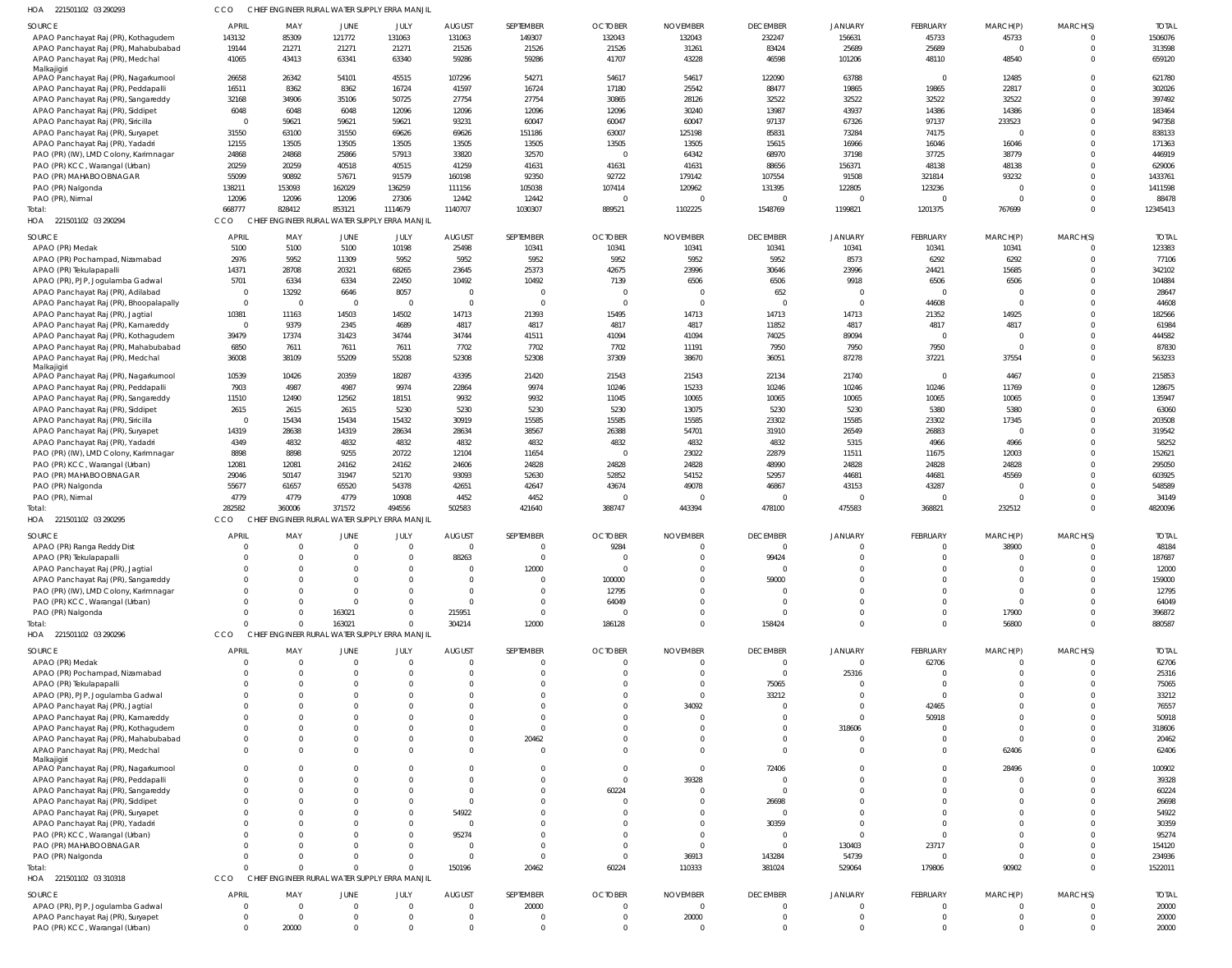| HOA 221501102 03 290293                                                     | CCO                    | CHIEF ENGINEER RURAL WATER SUPPLY ERRA MANJII |                                         |                        |                  |                          |                  |                 |                                   |                                  |                      |                        |                         |                       |
|-----------------------------------------------------------------------------|------------------------|-----------------------------------------------|-----------------------------------------|------------------------|------------------|--------------------------|------------------|-----------------|-----------------------------------|----------------------------------|----------------------|------------------------|-------------------------|-----------------------|
| <b>SOURCE</b>                                                               | <b>APRIL</b>           | MAY                                           | <b>JUNE</b>                             | JULY                   | <b>AUGUST</b>    | SEPTEMBER                | <b>OCTOBER</b>   | <b>NOVEMBER</b> | <b>DECEMBER</b>                   | <b>JANUARY</b>                   | FEBRUARY             | MARCH(P)               | MARCH(S)                | <b>TOTAL</b>          |
| APAO Panchayat Raj (PR), Kothagudem                                         | 143132                 | 85309                                         | 121772                                  | 131063                 | 131063           | 149307                   | 132043           | 132043          | 232247                            | 156631                           | 45733                | 45733                  | $\mathbf 0$             | 1506076               |
| APAO Panchayat Raj (PR), Mahabubabad                                        | 19144                  | 21271                                         | 21271                                   | 21271                  | 21526            | 21526                    | 21526            | 31261           | 83424                             | 25689                            | 25689                | $\Omega$               | $\mathbf 0$             | 313598                |
| APAO Panchayat Raj (PR), Medchal<br>Malkajigiri                             | 41065                  | 43413                                         | 63341                                   | 63340                  | 59286            | 59286                    | 41707            | 43228           | 46598                             | 101206                           | 48110                | 48540                  | $\mathbf{0}$            | 659120                |
| APAO Panchayat Raj (PR), Nagarkurnool                                       | 26658                  | 26342                                         | 54101                                   | 45515                  | 107296           | 54271                    | 54617            | 54617           | 122090                            | 63788                            | $\overline{0}$       | 12485                  | $\mathbf 0$             | 621780                |
| APAO Panchayat Raj (PR), Peddapalli                                         | 16511                  | 8362                                          | 8362                                    | 16724                  | 41597            | 16724                    | 17180            | 25542           | 88477                             | 19865                            | 19865                | 22817                  | $\Omega$                | 302026                |
| APAO Panchayat Raj (PR), Sangareddy                                         | 32168                  | 34906                                         | 35106                                   | 50725                  | 27754            | 27754                    | 30865            | 28126           | 32522                             | 32522                            | 32522                | 32522                  | $\Omega$                | 397492                |
| APAO Panchayat Raj (PR), Siddipet                                           | 6048                   | 6048                                          | 6048                                    | 12096                  | 12096            | 12096                    | 12096            | 30240           | 13987                             | 43937                            | 14386                | 14386                  | $\Omega$                | 183464                |
| APAO Panchayat Raj (PR), Siricilla                                          | $\overline{0}$         | 59621                                         | 59621                                   | 59621                  | 93231            | 60047                    | 60047            | 60047           | 97137                             | 67326                            | 97137                | 233523<br>$\Omega$     | $\Omega$                | 947358                |
| APAO Panchayat Raj (PR), Suryapet<br>APAO Panchayat Raj (PR), Yadadri       | 31550<br>12155         | 63100<br>13505                                | 31550<br>13505                          | 69626<br>13505         | 69626<br>13505   | 151186<br>13505          | 63007<br>13505   | 125198<br>13505 | 85831<br>15615                    | 73284<br>16966                   | 74175<br>16046       | 16046                  | $\mathbf 0$<br>$\Omega$ | 838133<br>171363      |
| PAO (PR) (IW), LMD Colony, Karimnagar                                       | 24868                  | 24868                                         | 25866                                   | 57913                  | 33820            | 32570                    | $\Omega$         | 64342           | 68970                             | 37198                            | 37725                | 38779                  | $\mathbf 0$             | 446919                |
| PAO (PR) KCC, Warangal (Urban)                                              | 20259                  | 20259                                         | 40518                                   | 40515                  | 41259            | 41631                    | 41631            | 41631           | 88656                             | 156371                           | 48138                | 48138                  | $\Omega$                | 629006                |
| PAO (PR) MAHABOOBNAGAR                                                      | 55099                  | 90892                                         | 57671                                   | 91579                  | 160198           | 92350                    | 92722            | 179142          | 107554                            | 91508                            | 321814               | 93232                  | 0                       | 1433761               |
| PAO (PR) Nalgonda                                                           | 138211                 | 153093                                        | 162029                                  | 136259                 | 111156           | 105038                   | 107414           | 120962          | 131395                            | 122805                           | 123236               | $\Omega$               | $\Omega$                | 1411598               |
| PAO (PR), Nirmal                                                            | 12096                  | 12096                                         | 12096                                   | 27306                  | 12442            | 12442                    | $\Omega$         |                 | $\overline{0}$                    | $\overline{0}$                   | $\Omega$             | $\Omega$               | $\mathbf 0$             | 88478                 |
| Total:                                                                      | 668777                 | 828412                                        | 853121                                  | 1114679                | 1140707          | 1030307                  | 889521           | 1102225         | 1548769                           | 1199821                          | 1201375              | 767699                 | $\Omega$                | 12345413              |
| HOA 221501102 03 290294                                                     | CCO                    | CHIEF ENGINEER RURAL WATER SUPPLY ERRA MANJIL |                                         |                        |                  |                          |                  |                 |                                   |                                  |                      |                        |                         |                       |
| SOURCE                                                                      | <b>APRIL</b>           | MAY                                           | <b>JUNE</b>                             | JULY                   | <b>AUGUST</b>    | SEPTEMBER                | <b>OCTOBER</b>   | <b>NOVEMBER</b> | <b>DECEMBER</b>                   | <b>JANUARY</b>                   | FEBRUARY             | MARCH(P)               | MARCH(S)                | <b>TOTAL</b>          |
| APAO (PR) Medak                                                             | 5100                   | 5100                                          | 5100                                    | 10198                  | 25498            | 10341                    | 10341            | 10341           | 10341                             | 10341                            | 10341                | 10341                  | $\overline{0}$          | 123383                |
| APAO (PR) Pochampad, Nizamabad                                              | 2976                   | 5952                                          | 11309                                   | 5952                   | 5952             | 5952                     | 5952             | 5952            | 5952                              | 8573                             | 6292                 | 6292                   | $\mathbf 0$             | 77106                 |
| APAO (PR) Tekulapapalli                                                     | 14371                  | 28708                                         | 20321                                   | 68265                  | 23645            | 25373                    | 42675            | 23996           | 30646                             | 23996                            | 24421                | 15685                  | $\mathbf 0$             | 342102                |
| APAO (PR), PJP, Jogulamba Gadwal                                            | 5701<br>$\overline{0}$ | 6334                                          | 6334<br>6646                            | 22450                  | 10492<br>- 0     | 10492<br>$\overline{0}$  | 7139<br>$\Omega$ | 6506            | 6506                              | 9918<br>$\overline{0}$           | 6506<br>$\Omega$     | 6506<br>$\overline{0}$ | $\mathbf 0$             | 104884                |
| APAO Panchayat Raj (PR), Adilabad<br>APAO Panchayat Raj (PR), Bhoopalapally | $\overline{0}$         | 13292<br>$\overline{\phantom{0}}$             | $\Omega$                                | 8057<br>$\overline{0}$ | $\Omega$         | $\mathbf{0}$             | $\Omega$         | $\Omega$        | 652<br>$\overline{0}$             | $\overline{0}$                   | 44608                | $\overline{0}$         | 0<br>$\mathbf 0$        | 28647<br>44608        |
| APAO Panchayat Raj (PR), Jagtial                                            | 10381                  | 11163                                         | 14503                                   | 14502                  | 14713            | 21393                    | 15495            | 14713           | 14713                             | 14713                            | 21352                | 14925                  | $\mathbf 0$             | 182566                |
| APAO Panchayat Raj (PR), Kamareddy                                          | $\overline{0}$         | 9379                                          | 2345                                    | 4689                   | 4817             | 4817                     | 4817             | 4817            | 11852                             | 4817                             | 4817                 | 4817                   | $\mathbf 0$             | 61984                 |
| APAO Panchayat Raj (PR), Kothagudem                                         | 39479                  | 17374                                         | 31423                                   | 34744                  | 34744            | 41511                    | 41094            | 41094           | 74025                             | 89094                            | $\Omega$             | $\overline{0}$         | $\mathbf 0$             | 444582                |
| APAO Panchayat Raj (PR), Mahabubabad                                        | 6850                   | 7611                                          | 7611                                    | 7611                   | 7702             | 7702                     | 7702             | 11191           | 7950                              | 7950                             | 7950                 | $\Omega$               | $\mathbf 0$             | 87830                 |
| APAO Panchayat Raj (PR), Medchal                                            | 36008                  | 38109                                         | 55209                                   | 55208                  | 52308            | 52308                    | 37309            | 38670           | 36051                             | 87278                            | 37221                | 37554                  | $\mathbf 0$             | 563233                |
| Malkajigiri<br>APAO Panchayat Raj (PR), Nagarkurnool                        | 10539                  | 10426                                         | 20359                                   | 18287                  | 43395            | 21420                    | 21543            | 21543           | 22134                             | 21740                            | $\overline{0}$       | 4467                   | $\mathbf 0$             | 215853                |
| APAO Panchayat Raj (PR), Peddapalli                                         | 7903                   | 4987                                          | 4987                                    | 9974                   | 22864            | 9974                     | 10246            | 15233           | 10246                             | 10246                            | 10246                | 11769                  | $\mathbf 0$             | 128675                |
| APAO Panchayat Raj (PR), Sangareddy                                         | 11510                  | 12490                                         | 12562                                   | 18151                  | 9932             | 9932                     | 11045            | 10065           | 10065                             | 10065                            | 10065                | 10065                  | $\mathbf 0$             | 135947                |
| APAO Panchayat Raj (PR), Siddipet                                           | 2615                   | 2615                                          | 2615                                    | 5230                   | 5230             | 5230                     | 5230             | 13075           | 5230                              | 5230                             | 5380                 | 5380                   | $\Omega$                | 63060                 |
| APAO Panchayat Raj (PR), Siricilla                                          | $\overline{0}$         | 15434                                         | 15434                                   | 15432                  | 30919            | 15585                    | 15585            | 15585           | 23302                             | 15585                            | 23302                | 17345                  | $\mathbf 0$             | 203508                |
| APAO Panchayat Raj (PR), Suryapet                                           | 14319                  | 28638                                         | 14319                                   | 28634                  | 28634            | 38567                    | 26388            | 54701           | 31910                             | 26549                            | 26883                | $\overline{0}$         | $\Omega$                | 319542                |
| APAO Panchayat Raj (PR), Yadadri                                            | 4349                   | 4832                                          | 4832                                    | 4832                   | 4832             | 4832                     | 4832             | 4832            | 4832                              | 5315                             | 4966                 | 4966                   | $\mathbf 0$             | 58252                 |
| PAO (PR) (IW), LMD Colony, Karimnagar                                       | 8898                   | 8898                                          | 9255                                    | 20722                  | 12104            | 11654                    | $\Omega$         | 23022           | 22879                             | 11511                            | 11675                | 12003                  | $\Omega$                | 152621                |
| PAO (PR) KCC, Warangal (Urban)<br>PAO (PR) MAHABOOBNAGAR                    | 12081<br>29046         | 12081<br>50147                                | 24162<br>31947                          | 24162<br>52170         | 24606<br>93093   | 24828<br>52630           | 24828<br>52852   | 24828<br>54152  | 48990<br>52957                    | 24828<br>44681                   | 24828<br>44681       | 24828<br>45569         | $\mathbf 0$<br>$\Omega$ | 295050<br>603925      |
| PAO (PR) Nalgonda                                                           | 55677                  | 61657                                         | 65520                                   | 54378                  | 42651            | 42647                    | 43674            | 49078           | 46867                             | 43153                            | 43287                | $\Omega$               | $\mathbf 0$             | 548589                |
| PAO (PR), Nirmal                                                            | 4779                   | 4779                                          | 4779                                    | 10908                  | 4452             | 4452                     |                  |                 | $\overline{0}$                    | $\overline{0}$                   | $\Omega$             | $\overline{0}$         | $\mathbf 0$             | 34149                 |
| Total:                                                                      | 282582                 | 360006                                        | 371572                                  | 494556                 | 502583           | 421640                   | 388747           | 443394          | 478100                            | 475583                           | 368821               | 232512                 | $\Omega$                | 4820096               |
| HOA 221501102 03 290295                                                     | CCO                    | <b>CHIEF</b>                                  | ENGINEER RURAL WATER SUPPLY ERRA MANJIL |                        |                  |                          |                  |                 |                                   |                                  |                      |                        |                         |                       |
| SOURCE                                                                      | <b>APRIL</b>           | MAY                                           | <b>JUNE</b>                             | JULY                   | <b>AUGUST</b>    | SEPTEMBER                | <b>OCTOBER</b>   | <b>NOVEMBER</b> | <b>DECEMBER</b>                   | <b>JANUARY</b>                   | <b>FEBRUARY</b>      | MARCH(P)               | MARCH(S)                | <b>TOTAL</b>          |
| APAO (PR) Ranga Reddy Dist                                                  | $\Omega$               | $\Omega$                                      | $\Omega$                                | $\overline{0}$         | $\Omega$         | $\Omega$                 | 9284             | $\Omega$        | $\Omega$                          | $\Omega$                         | $\Omega$             | 38900                  | $\Omega$                | 48184                 |
| APAO (PR) lekulapapalli                                                     |                        |                                               |                                         |                        | 88263            |                          |                  |                 | 99424                             |                                  |                      |                        |                         | 187687                |
| APAO Panchayat Raj (PR), Jagtial                                            |                        | $\Omega$                                      |                                         | $\Omega$               | - 0              | 12000                    |                  |                 | $\Omega$                          | $\cup$                           |                      |                        | $\Omega$                | 12000                 |
| APAO Panchayat Raj (PR), Sangareddy                                         |                        | $\Omega$                                      |                                         |                        | $\Omega$         | $\mathbf 0$              | 100000           |                 | 59000                             | $\Omega$                         | $\Omega$             | $\Omega$               | $\Omega$                | 159000                |
| PAO (PR) (IW), LMD Colony, Karimnagar                                       |                        | $\Omega$                                      |                                         | $\Omega$               | $\cap$           | $\Omega$                 | 12795            |                 | $\Omega$                          | $\Omega$                         | $\Omega$             | $\cap$                 | $\Omega$                | 12795                 |
| PAO (PR) KCC, Warangal (Urban)                                              |                        | $\Omega$<br>$\Omega$                          | 163021                                  | $\Omega$<br>$\Omega$   |                  | $\mathbf 0$<br>$\Omega$  | 64049            |                 | - 0<br>C                          | $\Omega$<br>$\Omega$             | $\Omega$<br>$\Omega$ | $\Omega$               | $\Omega$<br>$\Omega$    | 64049                 |
| PAO (PR) Nalgonda<br>Total:                                                 |                        | $\Omega$                                      | 163021                                  | $\Omega$               | 215951<br>304214 | 12000                    | 186128           | $\Omega$        | 158424                            | $\Omega$                         | $\Omega$             | 17900<br>56800         | $\Omega$                | 396872<br>880587      |
| HOA 221501102 03 290296                                                     | CCO                    | CHIEF ENGINEER RURAL WATER SUPPLY ERRA MANJIL |                                         |                        |                  |                          |                  |                 |                                   |                                  |                      |                        |                         |                       |
|                                                                             |                        |                                               |                                         |                        |                  |                          |                  |                 |                                   |                                  |                      |                        |                         |                       |
| SOURCE<br>APAO (PR) Medak                                                   | <b>APRIL</b>           | MAY<br>$\overline{0}$                         | JUNE<br>- 0                             | JULY<br>$\mathbf 0$    | <b>AUGUST</b>    | SEPTEMBER<br>$\mathbf 0$ | <b>OCTOBER</b>   | <b>NOVEMBER</b> | <b>DECEMBER</b><br>$\overline{0}$ | <b>JANUARY</b><br>$\overline{0}$ | FEBRUARY<br>62706    | MARCH(P)               | MARCH(S)<br>0           | <b>TOTAL</b><br>62706 |
| APAO (PR) Pochampad, Nizamabad                                              |                        | $\Omega$                                      |                                         | $\Omega$               |                  | $\Omega$                 |                  |                 | $\overline{0}$                    | 25316                            | $\Omega$             | $\Omega$               | 0                       | 25316                 |
| APAO (PR) Tekulapapalli                                                     |                        | $\Omega$                                      |                                         | $\Omega$               |                  | $\Omega$                 |                  |                 | 75065                             | $\Omega$                         | $\Omega$             |                        | $\Omega$                | 75065                 |
| APAO (PR), PJP, Jogulamba Gadwal                                            |                        | $\Omega$                                      |                                         |                        |                  | $\Omega$                 |                  |                 | 33212                             | $\Omega$                         | $\Omega$             | $\Omega$               | $\Omega$                | 33212                 |
| APAO Panchayat Raj (PR), Jagtial                                            |                        | $\Omega$                                      |                                         |                        |                  | $\Omega$                 |                  | 34092           | C                                 | 0                                | 42465                |                        | $\Omega$                | 76557                 |
| APAO Panchayat Raj (PR), Kamareddy                                          |                        |                                               |                                         |                        |                  | $\Omega$                 |                  |                 | C                                 | $\Omega$                         | 50918                | $\cap$                 | $\Omega$                | 50918                 |
| APAO Panchayat Raj (PR), Kothagudem                                         |                        | $\Omega$                                      |                                         |                        |                  | $\Omega$                 |                  |                 | $\Omega$                          | 318606                           |                      | $\Omega$               | $\Omega$                | 318606                |
| APAO Panchayat Raj (PR), Mahabubabad                                        |                        | C                                             |                                         |                        |                  | 20462                    |                  |                 | $\Omega$                          | $\overline{0}$                   | $\Omega$             | $\Omega$               | $\Omega$                | 20462                 |
| APAO Panchayat Raj (PR), Medchal<br>Malkajigiri                             | $\Omega$               | $\Omega$                                      |                                         | $\Omega$               |                  | $\mathbf 0$              |                  |                 | $\Omega$                          | $\Omega$                         | $\Omega$             | 62406                  | $\Omega$                | 62406                 |
| APAO Panchayat Raj (PR), Nagarkurnool                                       | $\Omega$               | $\Omega$                                      |                                         |                        |                  | $\Omega$                 |                  | $\Omega$        | 72406                             | $\Omega$                         | $\Omega$             | 28496                  | $\Omega$                | 100902                |
| APAO Panchayat Raj (PR), Peddapalli                                         | $\Omega$               | $\Omega$                                      |                                         |                        |                  | $\mathbf 0$              | $\Omega$         | 39328           | C                                 | $\Omega$                         | $\Omega$             | $\Omega$               | $\Omega$                | 39328                 |
| APAO Panchayat Raj (PR), Sangareddy                                         |                        | $\Omega$                                      |                                         | $\Omega$               |                  | $\Omega$                 | 60224            |                 | $\overline{0}$                    | $\Omega$                         | $\Omega$             | $\Omega$               | $\Omega$                | 60224                 |
| APAO Panchayat Raj (PR), Siddipet                                           |                        | $\Omega$                                      |                                         | $\Omega$               | $\Omega$         | $\Omega$                 |                  |                 | 26698                             | $\Omega$                         | $\Omega$             | $\Omega$               | $\Omega$                | 26698                 |
| APAO Panchayat Raj (PR), Suryapet                                           |                        | -C                                            |                                         | $\Omega$               | 54922            | $\Omega$                 |                  |                 | $\overline{0}$                    | $\Omega$                         | $\Omega$             | $\Omega$               | $\Omega$                | 54922                 |
| APAO Panchayat Raj (PR), Yadadri                                            |                        | $\Omega$<br>ſ                                 |                                         | $\Omega$<br>$\Omega$   | - 0<br>95274     | $\Omega$<br>$\Omega$     |                  |                 | 30359<br>$\overline{0}$           | $\Omega$<br>$\Omega$             | $\Omega$<br>$\Omega$ | $\Omega$<br>$\cap$     | $\Omega$<br>$\Omega$    | 30359                 |
| PAO (PR) KCC, Warangal (Urban)<br>PAO (PR) MAHABOOBNAGAR                    |                        | $\Omega$                                      |                                         | $\Omega$               | - 0              | $\Omega$                 |                  |                 | $\overline{0}$                    | 130403                           | 23717                | $\Omega$               | $\Omega$                | 95274<br>154120       |
| PAO (PR) Nalgonda                                                           |                        | $\Omega$                                      |                                         | $\Omega$               | - 0              | $\mathbf 0$              |                  | 36913           | 143284                            | 54739                            | $\Omega$             | $\Omega$               | $\Omega$                | 234936                |
| Total:                                                                      |                        |                                               |                                         | $\Omega$               | 150196           | 20462                    | 60224            | 110333          | 381024                            | 529064                           | 179806               | 90902                  | $\Omega$                | 1522011               |
| HOA 221501102 03 310318                                                     | CCO                    | CHIEF ENGINEER RURAL WATER SUPPLY ERRA MANJIL |                                         |                        |                  |                          |                  |                 |                                   |                                  |                      |                        |                         |                       |
| SOURCE                                                                      | <b>APRIL</b>           | MAY                                           | JUNE                                    | JULY                   | <b>AUGUST</b>    | SEPTEMBER                | <b>OCTOBER</b>   | <b>NOVEMBER</b> | <b>DECEMBER</b>                   | <b>JANUARY</b>                   | FEBRUARY             | MARCH(P)               | MARCH(S)                | <b>TOTAL</b>          |
| APAO (PR), PJP, Jogulamba Gadwal                                            | $\Omega$               | $\overline{0}$                                | $\Omega$                                | $\overline{0}$         | $\Omega$         | 20000                    |                  |                 | $\overline{0}$                    | $\mathbf 0$                      | $\Omega$             |                        | $\Omega$                | 20000                 |
| APAO Panchayat Raj (PR), Suryapet                                           |                        | 0                                             | $\Omega$                                | $\mathbf 0$            | - 0              | $\mathbf 0$              | $\overline{0}$   | 20000           | $\overline{0}$                    | $\overline{0}$                   | $\overline{0}$       | $\Omega$               | 0                       | 20000                 |
| PAO (PR) KCC, Warangal (Urban)                                              | $\mathbf 0$            | 20000                                         | $\Omega$                                | $\mathbf 0$            | $\Omega$         | $\mathbf 0$              | $\Omega$         |                 | $\mathbf 0$                       | $\overline{0}$                   | $\Omega$             | $\Omega$               | $\mathbf 0$             | 20000                 |
|                                                                             |                        |                                               |                                         |                        |                  |                          |                  |                 |                                   |                                  |                      |                        |                         |                       |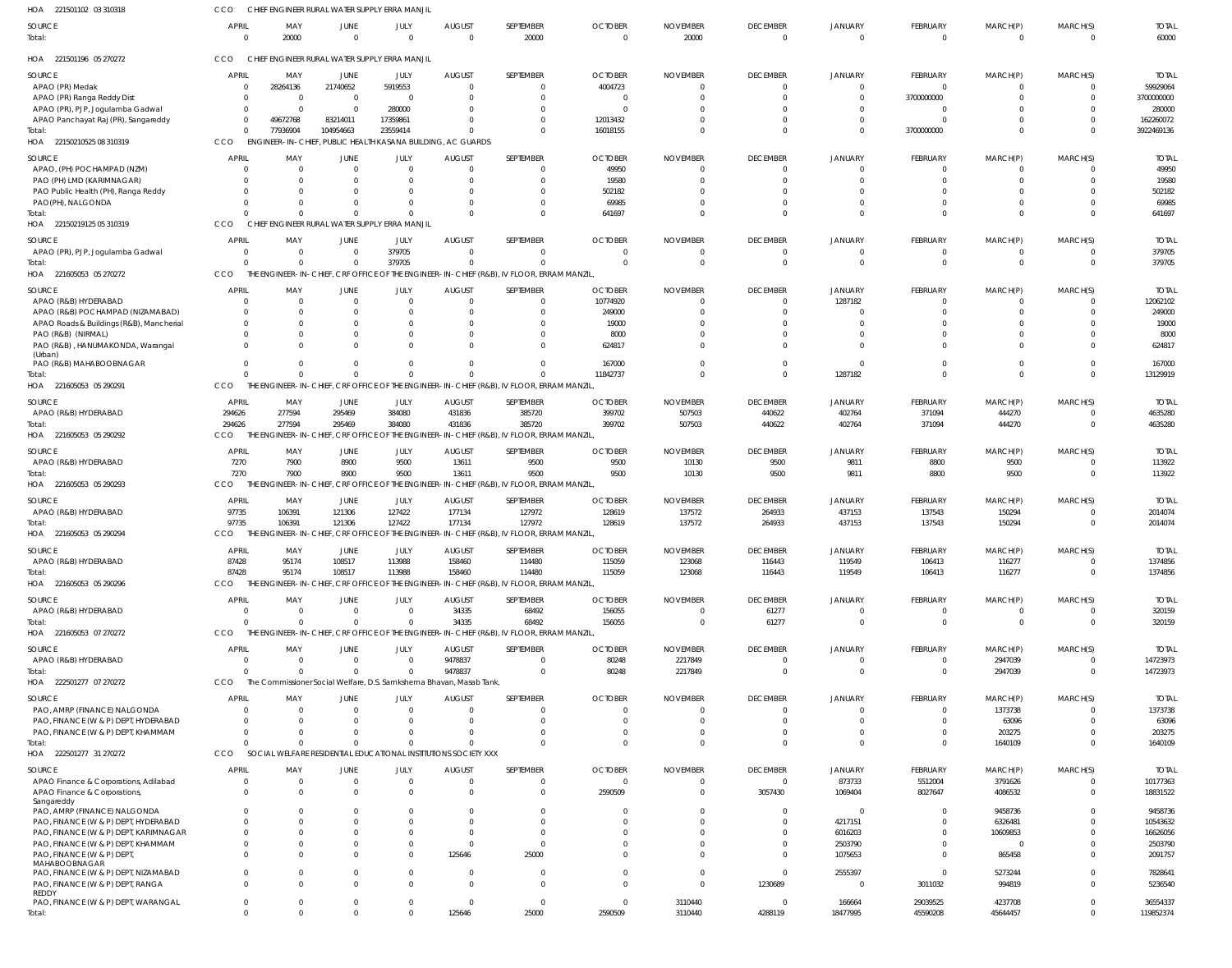| HOA<br>221501102 03 310318                            | CCO                      | CHIEF ENGINEER RURAL WATER SUPPLY ERRA MANJIL                       |                      |                                         |                           |                                                                                           |                            |                          |                                   |                            |                          |                         |                      |                       |
|-------------------------------------------------------|--------------------------|---------------------------------------------------------------------|----------------------|-----------------------------------------|---------------------------|-------------------------------------------------------------------------------------------|----------------------------|--------------------------|-----------------------------------|----------------------------|--------------------------|-------------------------|----------------------|-----------------------|
| SOURCE<br>Total:                                      | <b>APRIL</b><br>$\Omega$ | MAY<br>20000                                                        | JUNE<br>$\Omega$     | JULY<br>$\Omega$                        | <b>AUGUST</b><br>$\Omega$ | SEPTEMBER<br>20000                                                                        | <b>OCTOBER</b><br>$\Omega$ | <b>NOVEMBER</b><br>20000 | <b>DECEMBER</b><br>$\overline{0}$ | <b>JANUARY</b><br>$\Omega$ | FEBRUARY<br>$\mathbf{0}$ | MARCH(P)<br>$\mathbf 0$ | MARCH(S)<br>$\Omega$ | <b>TOTAL</b><br>60000 |
| HOA 221501196 05 270272                               | CCO                      | CHIEF ENGINEER RURAL WATER SUPPLY ERRA MANJIL                       |                      |                                         |                           |                                                                                           |                            |                          |                                   |                            |                          |                         |                      |                       |
| <b>SOURCE</b>                                         | <b>APRIL</b>             | MAY                                                                 | JUNE                 | JULY                                    | <b>AUGUST</b>             | SEPTEMBER                                                                                 | <b>OCTOBER</b>             | <b>NOVEMBER</b>          | <b>DECEMBER</b>                   | <b>JANUARY</b>             | FEBRUARY                 | MARCH(P)                | MARCH(S)             | <b>TOTAI</b>          |
| APAO (PR) Medak                                       | $\Omega$                 | 28264136                                                            | 21740652             | 5919553                                 |                           |                                                                                           | 4004723                    | $\Omega$                 |                                   | $\Omega$                   | $\Omega$                 |                         |                      | 59929064              |
| APAO (PR) Ranga Reddy Dist                            | $\Omega$                 | $\Omega$                                                            | $\Omega$             | $\Omega$                                |                           | 0                                                                                         | - 0                        | $\Omega$                 | $\Omega$                          | $\Omega$                   | 3700000000               |                         |                      | 3700000000            |
| APAO (PR), PJP, Jogulamba Gadwal                      | $\Omega$                 | - 0                                                                 | $\Omega$             | 280000                                  |                           |                                                                                           | $\sqrt{ }$                 | 0                        |                                   | $\Omega$                   | $\Omega$                 |                         |                      | 280000                |
| APAO Panchayat Raj (PR), Sangareddy                   | $\Omega$                 | 49672768                                                            | 83214011             | 17359861                                |                           |                                                                                           | 12013432                   | $\Omega$                 |                                   | $\Omega$                   |                          |                         |                      | 162260072             |
| Total:                                                | $\Omega$                 | 77936904                                                            | 104954663            | 23559414                                |                           | $\Omega$                                                                                  | 16018155                   | $\Omega$                 | $\Omega$                          | $\Omega$                   | 3700000000               | $\Omega$                |                      | 3922469136            |
| HOA 22150210525 08 310319                             | CCO                      | ENGINEER-IN-CHIEF, PUBLIC HEALTH KASANA BUILDING, AC GUARDS         |                      |                                         |                           |                                                                                           |                            |                          |                                   |                            |                          |                         |                      |                       |
| SOURCE                                                | <b>APRIL</b>             | MAY                                                                 | JUNE                 | JULY                                    | <b>AUGUST</b>             | SEPTEMBER                                                                                 | <b>OCTOBER</b>             | <b>NOVEMBER</b>          | <b>DECEMBER</b>                   | <b>JANUARY</b>             | FEBRUARY                 | MARCH(P)                | MARCH(S)             | <b>TOTAI</b>          |
| APAO, (PH) POCHAMPAD (NZM)                            | $\Omega$                 | $\Omega$                                                            | $\Omega$             | $\Omega$                                | - 0                       | 0                                                                                         | 49950                      | - 0                      | $\Omega$                          | $\Omega$                   | $\mathbf{0}$             | 0                       | $\Omega$             | 49950                 |
| PAO (PH) LMD (KARIMNAGAR)                             | $\Omega$                 | - 0                                                                 |                      | $\Omega$                                |                           | 0                                                                                         | 19580                      | $\Omega$                 | $\Omega$                          |                            | $\Omega$                 |                         |                      | 19580                 |
| PAO Public Health (PH), Ranga Reddy                   |                          | $\Omega$                                                            |                      | $\Omega$                                |                           | 0                                                                                         | 502182                     | $\Omega$                 |                                   |                            | $\Omega$                 |                         |                      | 502182                |
| PAO(PH), NALGONDA                                     |                          | $\Omega$                                                            | $\Omega$             | $\Omega$                                |                           | $\Omega$                                                                                  | 69985                      | $\Omega$                 |                                   |                            | $\Omega$                 | 0                       | $\Omega$             | 69985                 |
| Total:                                                | $\Omega$                 | $\Omega$                                                            | $\Omega$             | $\Omega$                                |                           | $\Omega$                                                                                  | 641697                     | $\Omega$                 | $\Omega$                          | $\Omega$                   | $\Omega$                 | $\Omega$                | $\Omega$             | 641697                |
| HOA 22150219125 05 310319                             | CCO                      | CHIEF                                                               |                      | ENGINEER RURAL WATER SUPPLY ERRA MANJIL |                           |                                                                                           |                            |                          |                                   |                            |                          |                         |                      |                       |
| SOURCE                                                | <b>APRIL</b>             | MAY                                                                 | JUNE                 | JULY                                    | <b>AUGUST</b>             | SEPTEMBER                                                                                 | <b>OCTOBER</b>             | <b>NOVEMBER</b>          | <b>DECEMBER</b>                   | <b>JANUARY</b>             | FEBRUARY                 | MARCH(P)                | MARCH(S)             | <b>TOTAI</b>          |
| APAO (PR), PJP, Jogulamba Gadwal                      | $\Omega$                 | $\Omega$                                                            | $\Omega$             | 379705                                  | -C                        | 0                                                                                         | $\Omega$                   | $\Omega$                 | $\Omega$                          |                            | $\mathbf{0}$             | $\Omega$                |                      | 379705                |
| Total:                                                | $\Omega$                 | $\Omega$                                                            | $\Omega$             | 379705                                  |                           | $\Omega$                                                                                  | $\Omega$                   | $\Omega$                 | $\Omega$                          | $\Omega$                   | $\Omega$                 | $\Omega$                | $\Omega$             | 379705                |
| HOA 221605053 05 270272                               | CCO                      |                                                                     |                      |                                         |                           | THE ENGINEER-IN-CHIEF, CRF OFFICE OF THE ENGINEER-IN-CHIEF (R&B), IV FLOOR, ERRAM MANZIL  |                            |                          |                                   |                            |                          |                         |                      |                       |
| <b>SOURCE</b>                                         | <b>APRIL</b>             | MAY                                                                 | JUNE                 | JULY                                    | <b>AUGUST</b>             | SEPTEMBER                                                                                 | <b>OCTOBER</b>             | <b>NOVEMBER</b>          | <b>DECEMBER</b>                   | <b>JANUARY</b>             | FEBRUARY                 | MARCH(P)                | MARCH(S)             | <b>TOTAL</b>          |
| APAO (R&B) HYDERABAD                                  | $\Omega$                 | - 0                                                                 | $\Omega$             | $\overline{0}$                          | - 0                       | $\mathbf 0$                                                                               | 10774920                   | - 0                      | $\Omega$                          | 1287182                    | $\mathbf{0}$             | 0                       | $\Omega$             | 12062102              |
| APAO (R&B) POCHAMPAD (NIZAMABAD)                      | $\Omega$                 | $\Omega$                                                            |                      | $\Omega$                                |                           | 0                                                                                         | 249000                     | $\Omega$                 | $\Omega$                          |                            | $\Omega$                 |                         |                      | 249000                |
| APAO Roads & Buildings (R&B), Mancherial              | $\Omega$                 | $\Omega$                                                            |                      | $\Omega$                                |                           | 0                                                                                         | 19000                      | $\Omega$                 |                                   |                            | $\Omega$                 |                         |                      | 19000                 |
| PAO (R&B) (NIRMAL)                                    | $\Omega$                 | $\Omega$                                                            |                      | $\Omega$                                |                           | 0                                                                                         | 8000                       | $\Omega$                 |                                   |                            | $\Omega$                 |                         |                      | 8000                  |
| PAO (R&B), HANUMAKONDA, Warangal                      | $\Omega$                 | $\Omega$                                                            |                      | $\Omega$                                |                           | 0                                                                                         | 624817                     | $\Omega$                 | $\Omega$                          | $\Omega$                   | $\Omega$                 |                         |                      | 624817                |
| (Urban)                                               |                          |                                                                     |                      |                                         |                           |                                                                                           |                            |                          |                                   |                            |                          |                         |                      |                       |
| PAO (R&B) MAHABOOBNAGAR                               | $\Omega$<br>$\Omega$     | $\Omega$<br>$\Omega$                                                | $\Omega$<br>$\Omega$ | $\Omega$<br>$\Omega$                    |                           | $\Omega$<br>$\Omega$                                                                      | 167000                     | $\Omega$                 | $\Omega$<br>$\Omega$              | $\Omega$                   | $\mathbf 0$<br>$\Omega$  | 0<br>$\Omega$           | $\Omega$<br>$\Omega$ | 167000                |
| Total:<br>HOA 221605053 05 290291                     | CCO                      |                                                                     |                      |                                         |                           | THE ENGINEER-IN-CHIEF, CRF OFFICE OF THE ENGINEER-IN-CHIEF (R&B), IV FLOOR, ERRAM MANZIL  | 11842737                   | $\Omega$                 |                                   | 1287182                    |                          |                         |                      | 13129919              |
|                                                       |                          |                                                                     |                      |                                         |                           |                                                                                           |                            |                          |                                   |                            |                          |                         |                      |                       |
| <b>SOURCE</b>                                         | <b>APRIL</b>             | MAY                                                                 | JUNE                 | JULY                                    | <b>AUGUST</b>             | SEPTEMBER                                                                                 | <b>OCTOBER</b>             | <b>NOVEMBER</b>          | <b>DECEMBER</b>                   | <b>JANUARY</b>             | FEBRUARY                 | MARCH(P)                | MARCH(S)             | <b>TOTAI</b>          |
| APAO (R&B) HYDERABAD                                  | 294626                   | 277594                                                              | 295469               | 384080                                  | 431836                    | 385720                                                                                    | 399702                     | 507503                   | 440622                            | 402764                     | 371094                   | 444270                  |                      | 4635280               |
| Total:                                                | 294626                   | 277594                                                              | 295469               | 384080                                  | 431836                    | 385720                                                                                    | 399702                     | 507503                   | 440622                            | 402764                     | 371094                   | 444270                  | $\Omega$             | 4635280               |
| HOA 221605053 05 290292                               | CCO                      |                                                                     |                      |                                         |                           | THE ENGINEER-IN-CHIEF, CRF OFFICE OF THE ENGINEER-IN-CHIEF (R&B), IV FLOOR, ERRAM MANZIL  |                            |                          |                                   |                            |                          |                         |                      |                       |
| SOURCE                                                | <b>APRIL</b>             | MAY                                                                 | JUNE                 | JULY                                    | <b>AUGUST</b>             | SEPTEMBER                                                                                 | <b>OCTOBER</b>             | <b>NOVEMBER</b>          | <b>DECEMBER</b>                   | <b>JANUARY</b>             | FEBRUARY                 | MARCH(P)                | MARCH(S)             | <b>TOTAL</b>          |
| APAO (R&B) HYDERABAD                                  | 7270                     | 7900                                                                | 8900                 | 9500                                    | 13611                     | 9500                                                                                      | 9500                       | 10130                    | 9500                              | 9811                       | 8800                     | 9500                    | $\Omega$             | 113922                |
| Total:                                                | 7270                     | 7900                                                                | 8900                 | 9500                                    | 13611                     | 9500                                                                                      | 9500                       | 10130                    | 9500                              | 9811                       | 8800                     | 9500                    | $\Omega$             | 113922                |
| HOA 221605053 05 290293                               | CCO                      |                                                                     |                      |                                         |                           | THE ENGINEER-IN-CHIEF, CRF OFFICE OF THE ENGINEER-IN-CHIEF (R&B), IV FLOOR, ERRAM MANZIL  |                            |                          |                                   |                            |                          |                         |                      |                       |
| SOURCE                                                | <b>APRIL</b>             | MAY                                                                 | JUNE                 | JULY                                    | <b>AUGUST</b>             | SEPTEMBER                                                                                 | <b>OCTOBER</b>             | <b>NOVEMBER</b>          | <b>DECEMBER</b>                   | <b>JANUARY</b>             | FEBRUARY                 | MARCH(P)                | MARCH(S)             | <b>TOTAI</b>          |
| APAO (R&B) HYDERABAD                                  | 97735                    | 106391                                                              | 121306               | 127422                                  | 177134                    | 127972                                                                                    | 128619                     | 137572                   | 264933                            | 437153                     | 137543                   | 150294                  |                      | 2014074               |
| Total:                                                | 97735                    | 106391                                                              | 121306               | 127422                                  | 177134                    | 127972                                                                                    | 128619                     | 137572                   | 264933                            | 437153                     | 137543                   | 150294                  | $\Omega$             | 2014074               |
| HOA 221605053 05 290294                               | CCO                      |                                                                     |                      |                                         |                           | THE ENGINEER-IN-CHIEF, CRF OFFICE OF THE ENGINEER-IN-CHIEF (R&B), IV FLOOR, ERRAM MANZIL, |                            |                          |                                   |                            |                          |                         |                      |                       |
|                                                       | <b>APRII</b>             | MAY                                                                 |                      |                                         | <b>AUGUST</b>             | <b>SEPTEMBER</b>                                                                          | <b>OCTOBER</b>             | <b>NOVEMBER</b>          | <b>DECEMBER</b>                   |                            | <b>FFBRUARY</b>          |                         |                      |                       |
| <b>SOURCE</b>                                         |                          |                                                                     | JUNE                 | JULY                                    |                           |                                                                                           |                            |                          |                                   | <b>JANUARY</b>             |                          | MARCH(P)                | MARCH(S)<br>$\Omega$ | <b>TOTAI</b>          |
| APAO (R&B) HYDERABAD<br>Total:                        | 87428<br>87428           | 95174<br>95174                                                      | 108517<br>108517     | 113988<br>113988                        | 158460<br>158460          | 114480<br>114480                                                                          | 115059<br>115059           | 123068<br>123068         | 116443<br>116443                  | 119549<br>119549           | 106413<br>106413         | 116277<br>116277        | $\Omega$             | 1374856<br>1374856    |
| HOA 221605053 05 290296                               | CCO                      |                                                                     |                      |                                         |                           | THE ENGINEER-IN-CHIEF, CRF OFFICE OF THE ENGINEER-IN-CHIEF (R&B), IV FLOOR, ERRAM MANZIL  |                            |                          |                                   |                            |                          |                         |                      |                       |
|                                                       |                          |                                                                     |                      |                                         |                           |                                                                                           |                            |                          |                                   |                            |                          |                         |                      |                       |
| SOURCE                                                | <b>APRIL</b>             | MAY                                                                 | JUNE                 | JULY                                    | <b>AUGUST</b>             | SEPTEMBER                                                                                 | <b>OCTOBER</b>             | <b>NOVEMBER</b>          | <b>DECEMBER</b>                   | <b>JANUARY</b>             | <b>FEBRUARY</b>          | MARCH(P)                | MARCH(S)             | <b>TOTAL</b>          |
| APAO (R&B) HYDERABAD                                  | $\Omega$                 | $\Omega$                                                            | $\Omega$             | $\Omega$                                | 34335                     | 68492                                                                                     | 156055                     | 0                        | 61277                             |                            | $\mathbf{0}$             | 0                       |                      | 320159                |
| Total:                                                | $\Omega$                 | $\Omega$                                                            | $\Omega$             | $\Omega$                                | 34335                     | 68492                                                                                     | 156055                     | $\Omega$                 | 61277                             | $\Omega$                   | $\Omega$                 | $\Omega$                | $\Omega$             | 320159                |
| HOA 221605053 07 270272                               | <b>CCO</b>               |                                                                     |                      |                                         |                           | THE ENGINEER-IN-CHIEF, CRF OFFICE OF THE ENGINEER-IN-CHIEF (R&B), IV FLOOR, ERRAM MANZIL  |                            |                          |                                   |                            |                          |                         |                      |                       |
| SOURCE                                                | <b>APRIL</b>             | MAY                                                                 | JUNE                 | JULY                                    | <b>AUGUST</b>             | SEPTEMBER                                                                                 | <b>OCTOBER</b>             | <b>NOVEMBER</b>          | <b>DECEMBER</b>                   | <b>JANUARY</b>             | <b>FEBRUARY</b>          | MARCH(P)                | MARCH(S)             | <b>TOTAL</b>          |
| APAO (R&B) HYDERABAD                                  | $\Omega$                 | $\Omega$                                                            | $\Omega$             | $\Omega$                                | 9478837                   | $\Omega$                                                                                  | 80248                      | 2217849                  | $\Omega$                          |                            | $\mathbf{0}$             | 2947039                 | $\Omega$             | 14723973              |
| Total:                                                | $\Omega$                 | $\Omega$                                                            | $\Omega$             | $\Omega$                                | 9478837                   | $\mathbf 0$                                                                               | 80248                      | 2217849                  | $\Omega$                          | $\Omega$                   | $\mathbf{0}$             | 2947039                 | $\Omega$             | 14723973              |
| HOA 222501277 07 270272                               | CCO                      | The Commissioner Social Welfare, D.S. Samkshema Bhavan, Masab Tank, |                      |                                         |                           |                                                                                           |                            |                          |                                   |                            |                          |                         |                      |                       |
| SOURCE                                                | <b>APRIL</b>             | MAY                                                                 | JUNE                 | JULY                                    | <b>AUGUST</b>             | SEPTEMBER                                                                                 | <b>OCTOBER</b>             | <b>NOVEMBER</b>          | <b>DECEMBER</b>                   | <b>JANUARY</b>             | <b>FEBRUARY</b>          | MARCH(P)                | MARCH(S)             | <b>TOTAL</b>          |
| PAO, AMRP (FINANCE) NALGONDA                          | $\Omega$                 | - 0                                                                 |                      | $\Omega$                                |                           |                                                                                           | $\Omega$                   | $\Omega$                 | $\Omega$                          |                            | $\Omega$                 | 1373738                 |                      | 1373738               |
| PAO, FINANCE (W & P) DEPT, HYDERABAD                  | $\Omega$                 | $\Omega$                                                            |                      | $\Omega$                                |                           |                                                                                           | $\Omega$                   | $\Omega$                 |                                   |                            | $\Omega$                 | 63096                   |                      | 63096                 |
| PAO, FINANCE (W & P) DEPT, KHAMMAM                    | $\Omega$                 | $\Omega$                                                            |                      | $\Omega$                                |                           |                                                                                           | $\Omega$                   | $\Omega$                 |                                   |                            | $\Omega$                 | 203275                  |                      | 203275                |
| Total:                                                | $\Omega$                 | $\Omega$                                                            |                      | $\Omega$                                |                           | $\Omega$                                                                                  | $\Omega$                   | $\Omega$                 | $\Omega$                          | $\Omega$                   | $\Omega$                 | 1640109                 |                      | 1640109               |
| HOA 222501277 31 270272                               | CCO                      | SOCIAL WELFARE RESIDENTIAL EDUCATIONAL INSTITUTIONS SOCIETY XXX     |                      |                                         |                           |                                                                                           |                            |                          |                                   |                            |                          |                         |                      |                       |
| SOURCE                                                | <b>APRIL</b>             | MAY                                                                 | JUNE                 | JULY                                    | <b>AUGUST</b>             | SEPTEMBER                                                                                 | <b>OCTOBER</b>             | <b>NOVEMBER</b>          | <b>DECEMBER</b>                   | <b>JANUARY</b>             | <b>FEBRUARY</b>          | MARCH(P)                | MARCH(S)             | <b>TOTAL</b>          |
| APAO Finance & Corporations, Adilabad                 | 0                        | $\overline{0}$                                                      | $\Omega$             | $\overline{0}$                          | - 0                       | 0                                                                                         | $\overline{0}$             | $\Omega$                 | $\overline{0}$                    | 873733                     | 5512004                  | 3791626                 |                      | 10177363              |
| APAO Finance & Corporations,                          | $\Omega$                 | $\Omega$                                                            | $\Omega$             | $\Omega$                                | $\mathsf{C}$              | $\mathbf 0$                                                                               | 2590509                    | $\Omega$                 | 3057430                           | 1069404                    | 8027647                  | 4086532                 | $\Omega$             | 18831522              |
| Sangareddy                                            |                          |                                                                     |                      |                                         |                           |                                                                                           |                            |                          |                                   |                            |                          |                         |                      |                       |
| PAO, AMRP (FINANCE) NALGONDA                          | $\Omega$                 | $\Omega$                                                            |                      | $\Omega$                                |                           | 0                                                                                         | - 0                        | $\Omega$                 | $\Omega$                          | $\Omega$                   | $\Omega$                 | 9458736                 |                      | 9458736               |
| PAO, FINANCE (W & P) DEPT, HYDERABAD                  | $\Omega$                 | $\Omega$                                                            |                      | $\Omega$                                |                           | $\Omega$                                                                                  | $\Omega$                   | $\Omega$                 | $\Omega$                          | 4217151                    | $\Omega$                 | 6326481                 |                      | 10543632              |
| PAO, FINANCE (W & P) DEPT, KARIMNAGAR                 | $\Omega$                 | $\Omega$                                                            |                      | $\Omega$                                |                           | $\Omega$                                                                                  | $\Omega$                   | $\Omega$                 | $\Omega$                          | 6016203                    | $\Omega$                 | 10609853                |                      | 16626056              |
| PAO, FINANCE (W & P) DEPT, KHAMMAM                    | $\Omega$                 | $\Omega$                                                            |                      | $\Omega$                                |                           | $\Omega$                                                                                  | $\Omega$                   | 0                        |                                   | 2503790                    | $\Omega$                 | $\Omega$                |                      | 2503790               |
| PAO, FINANCE (W & P) DEPT,                            | $\Omega$                 | $\Omega$                                                            |                      | $\Omega$                                | 125646                    | 25000                                                                                     | $\Omega$                   | $\Omega$                 | $\Omega$                          | 1075653                    | $\Omega$                 | 865458                  |                      | 2091757               |
| MAHABOOBNAGAR<br>PAO, FINANCE (W & P) DEPT, NIZAMABAD | $\Omega$                 | $\Omega$                                                            | $\Omega$             | $\Omega$                                | - 0                       | 0                                                                                         | $\Omega$                   | $\Omega$                 | $\Omega$                          | 2555397                    | $\Omega$                 | 5273244                 |                      | 7828641               |
| PAO, FINANCE (W & P) DEPT, RANGA                      | $\Omega$                 | $\Omega$                                                            |                      | $\Omega$                                | $\mathsf{C}$              | $\Omega$                                                                                  | $\Omega$                   | $\Omega$                 | 1230689                           | $\Omega$                   | 3011032                  | 994819                  |                      | 5236540               |
| REDDY                                                 |                          |                                                                     |                      |                                         |                           |                                                                                           |                            |                          |                                   |                            |                          |                         |                      |                       |
| PAO, FINANCE (W & P) DEPT, WARANGAL                   | $\mathbf{0}$             | $\Omega$                                                            | $\Omega$             | $\Omega$                                | $\Omega$                  | $\Omega$                                                                                  | $\overline{0}$             | 3110440                  | $\Omega$                          | 166664                     | 29039525                 | 4237708                 |                      | 36554337              |
| Total:                                                | $\mathbf{0}$             | $\Omega$                                                            |                      | $\Omega$                                | 125646                    | 25000                                                                                     | 2590509                    | 3110440                  | 4288119                           | 18477995                   | 45590208                 | 45644457                | $\Omega$             | 119852374             |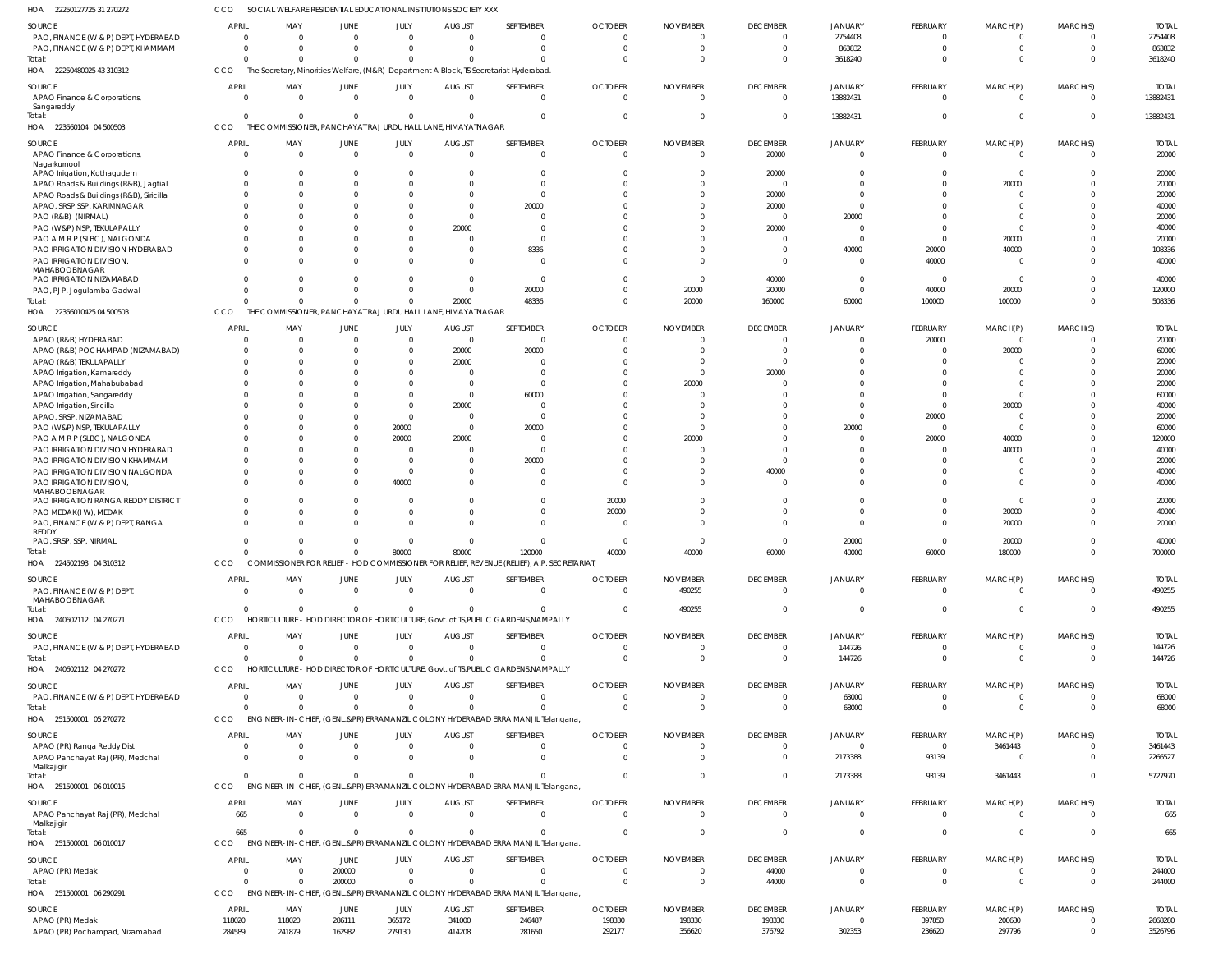22250127725 31 270272 HOA CCO SOCIAL WELFARE RESIDENTIAL EDUCATIONAL INSTITUTIONS SOCIETY XXX

| SOURCE                                                                           | <b>APRIL</b>                   | MAY                            | JUNE                 | JULY                       | <b>AUGUST</b>                                                | SEPTEMBER                                                                                    | <b>OCTOBER</b>             | <b>NOVEMBER</b>             | <b>DECEMBER</b>                   | <b>JANUARY</b>             | <b>FEBRUARY</b>                | MARCH(P)             | MARCH(S)             | <b>TOTAL</b>             |
|----------------------------------------------------------------------------------|--------------------------------|--------------------------------|----------------------|----------------------------|--------------------------------------------------------------|----------------------------------------------------------------------------------------------|----------------------------|-----------------------------|-----------------------------------|----------------------------|--------------------------------|----------------------|----------------------|--------------------------|
| PAO, FINANCE (W & P) DEPT, HYDERABAD                                             | $\overline{0}$<br>$\Omega$     | $\overline{0}$<br>$\Omega$     | $\Omega$<br>$\Omega$ | $\overline{0}$<br>$\Omega$ | $\Omega$<br>$\Omega$                                         | $\mathbf{0}$<br>$\Omega$                                                                     | $\Omega$                   | $\Omega$<br>$\Omega$        | $\Omega$<br>$\Omega$              | 2754408<br>863832          | $\mathbf 0$<br>$\Omega$        | 0<br>$\Omega$        | $\Omega$             | 2754408                  |
| PAO, FINANCE (W & P) DEPT, KHAMMAM<br>Total:                                     | $\Omega$                       |                                | $\Omega$             |                            |                                                              | $\Omega$                                                                                     | $\Omega$                   | $\Omega$                    | $\Omega$                          | 3618240                    | $\Omega$                       | $\Omega$             | $\Omega$             | 863832<br>3618240        |
| HOA 22250480025 43 310312                                                        | CCO                            |                                |                      |                            |                                                              | The Secretary, Minorities Welfare, (M&R) Department A Block, TS Secretariat Hyderabad        |                            |                             |                                   |                            |                                |                      |                      |                          |
| SOURCE<br>APAO Finance & Corporations,                                           | APRIL<br>$\Omega$              | MAY<br>$\Omega$                | JUNE<br>$\Omega$     | JULY<br>$\Omega$           | <b>AUGUST</b><br>$\Omega$                                    | SEPTEMBER<br>$\Omega$                                                                        | <b>OCTOBER</b><br>$\Omega$ | <b>NOVEMBER</b><br>$\Omega$ | <b>DECEMBER</b><br>$\Omega$       | <b>JANUARY</b><br>13882431 | <b>FEBRUARY</b><br>$\Omega$    | MARCH(P)<br>$\Omega$ | MARCH(S)<br>$\Omega$ | <b>TOTAL</b><br>13882431 |
| Sangareddy                                                                       |                                |                                |                      |                            |                                                              |                                                                                              |                            |                             |                                   |                            |                                |                      |                      |                          |
| Total:                                                                           | $\Omega$                       | $\Omega$                       | $\Omega$             | $\Omega$                   |                                                              | $\Omega$                                                                                     | $\Omega$                   | $\Omega$                    | $\Omega$                          | 13882431                   | $\Omega$                       | $\Omega$             | $\Omega$             | 13882431                 |
| HOA 223560104 04 500503                                                          | CCO                            |                                |                      |                            | THE COMMISSIONER, PANCHAYAT RAJ URDU HALL LANE, HIMAYATNAGAR |                                                                                              |                            |                             |                                   |                            |                                |                      |                      |                          |
| SOURCE<br>APAO Finance & Corporations,                                           | <b>APRIL</b><br>$\Omega$       | MAY<br>$\Omega$                | JUNE<br>$\Omega$     | JULY<br>$\Omega$           | <b>AUGUST</b><br>$\Omega$                                    | SEPTEMBER<br>$\mathbf{0}$                                                                    | <b>OCTOBER</b><br>$\Omega$ | <b>NOVEMBER</b><br>$\Omega$ | <b>DECEMBER</b>                   | <b>JANUARY</b><br>$\Omega$ | <b>FEBRUARY</b><br>$\Omega$    | MARCH(P)<br>$\Omega$ | MARCH(S)<br>$\Omega$ | <b>TOTAL</b><br>20000    |
| Nagarkurnool                                                                     |                                |                                |                      |                            |                                                              |                                                                                              |                            |                             | 20000                             |                            |                                |                      |                      |                          |
| APAO Irrigation, Kothagudem                                                      | $\Omega$                       | $\Omega$                       |                      | $\Omega$                   | - 0                                                          | $\Omega$                                                                                     |                            | -0                          | 20000                             |                            | $\Omega$                       | 0                    | $\Omega$             | 20000                    |
| APAO Roads & Buildings (R&B), Jagtial<br>APAO Roads & Buildings (R&B), Siricilla | $\Omega$<br>$\Omega$           | $\Omega$<br>$\Omega$           |                      | $\Omega$                   | $\Omega$                                                     | $\Omega$<br>$\Omega$                                                                         |                            | $\sqrt{ }$<br>$\Omega$      | $\Omega$<br>20000                 |                            | $\Omega$                       | 20000<br>U           | $\Omega$             | 20000<br>20000           |
| APAO, SRSP SSP, KARIMNAGAR                                                       | $\Omega$                       | $\Omega$                       |                      | $\Omega$                   | $\Omega$                                                     | 20000                                                                                        |                            | $\Omega$                    | 20000                             |                            |                                |                      |                      | 40000                    |
| PAO (R&B) (NIRMAL)                                                               |                                | $\Omega$                       |                      | $\Omega$                   | $\Omega$                                                     | $\Omega$                                                                                     |                            | $\sqrt{ }$                  | $\Omega$                          | 20000                      |                                |                      |                      | 20000                    |
| PAO (W&P) NSP, TEKULAPALLY<br>PAO A M R P (SLBC), NALGONDA                       | $\Omega$                       | $\Omega$<br>$\Omega$           |                      | $\Omega$<br>$\Omega$       | 20000<br>$\sqrt{ }$                                          | $\Omega$<br>$\Omega$                                                                         |                            | - 0<br>$\sqrt{ }$           | 20000<br>$\Omega$                 |                            | $\Omega$<br>$\Omega$           | 20000                |                      | 40000<br>20000           |
| PAO IRRIGATION DIVISION HYDERABAD                                                | $\Omega$                       | $\Omega$                       |                      | $\Omega$                   | - 0                                                          | 8336                                                                                         |                            | $\Omega$                    | $\Omega$                          | 40000                      | 20000                          | 40000                |                      | 108336                   |
| <b>PAO IRRIGATION DIVISION.</b>                                                  | $\Omega$                       | $\Omega$                       |                      |                            | $\Omega$                                                     | $\Omega$                                                                                     |                            | $\Omega$                    | $\Omega$                          |                            | 40000                          | 0                    | $\Omega$             | 40000                    |
| MAHABOOBNAGAR<br>PAO IRRIGATION NIZAMABAD                                        | $\Omega$                       | $\Omega$                       | $\Omega$             | $\Omega$                   | $\Omega$                                                     | $\mathbf{0}$                                                                                 |                            | - 0                         | 40000                             | $\Omega$                   | $\mathbf 0$                    | $\Omega$             |                      | 40000                    |
| PAO, PJP, Jogulamba Gadwal                                                       | $\Omega$                       | $\Omega$                       | $\Omega$             | $\Omega$                   | $\Omega$                                                     | 20000                                                                                        | $\Omega$                   | 20000                       | 20000                             | $\Omega$                   | 40000                          | 20000                | $\Omega$             | 120000                   |
| Total:                                                                           | $\Omega$                       | $\Omega$                       | $\Omega$             | $\Omega$                   | 20000                                                        | 48336                                                                                        |                            | 20000                       | 160000                            | 60000                      | 100000                         | 100000               | $\Omega$             | 508336                   |
| HOA 22356010425 04 500503                                                        | CCO                            |                                |                      |                            | THE COMMISSIONER, PANCHAYAT RAJ URDU HALL LANE, HIMAYATNAGAR |                                                                                              |                            |                             |                                   |                            |                                |                      |                      |                          |
| SOURCE                                                                           | APRIL                          | MAY                            | JUNE                 | JULY                       | <b>AUGUST</b>                                                | SEPTEMBER                                                                                    | <b>OCTOBER</b>             | <b>NOVEMBER</b>             | <b>DECEMBER</b>                   | <b>JANUARY</b>             | <b>FEBRUARY</b>                | MARCH(P)             | MARCH(S)             | <b>TOTAL</b>             |
| APAO (R&B) HYDERABAD<br>APAO (R&B) POCHAMPAD (NIZAMABAD)                         | $\Omega$<br>$\Omega$           | $\Omega$<br>$\Omega$           | $\Omega$             | $\Omega$<br>$\Omega$       | $\Omega$<br>20000                                            | $\Omega$<br>20000                                                                            |                            | $\Omega$                    | $\Omega$<br>$\Omega$              |                            | 20000<br>$\Omega$              | 0<br>20000           |                      | 20000<br>60000           |
| APAO (R&B) TEKULAPALLY                                                           | $\Omega$                       | $\Omega$                       |                      | $\Omega$                   | 20000                                                        |                                                                                              |                            |                             | $\Omega$                          |                            |                                |                      |                      | 20000                    |
| APAO Irrigation, Kamareddy                                                       |                                | $\Omega$                       |                      |                            |                                                              | $\Omega$                                                                                     |                            | $\Omega$                    | 20000                             |                            |                                |                      |                      | 20000                    |
| APAO Irrigation, Mahabubabad                                                     | $\Omega$                       | $\Omega$                       |                      |                            |                                                              |                                                                                              |                            | 20000                       |                                   |                            |                                |                      |                      | 20000                    |
| APAO Irrigation, Sangareddy<br>APAO Irrigation, Siricilla                        |                                | $\Omega$                       |                      | $\Omega$                   | - 0<br>20000                                                 | 60000<br>$\Omega$                                                                            |                            | $\sqrt{ }$                  |                                   |                            | $\Omega$                       | 20000                |                      | 60000<br>40000           |
| APAO, SRSP, NIZAMABAD                                                            |                                | $\Omega$                       |                      | $\Omega$                   | - 0                                                          | $\Omega$                                                                                     |                            | $\sqrt{ }$                  |                                   |                            | 20000                          | U                    |                      | 20000                    |
| PAO (W&P) NSP, TEKULAPALLY                                                       |                                | $\Omega$                       |                      | 20000                      | - 0                                                          | 20000                                                                                        |                            | $\Omega$                    |                                   | 20000                      | $\Omega$                       | U                    |                      | 60000                    |
| PAO A M R P (SLBC), NALGONDA                                                     |                                | $\sqrt{ }$                     |                      | 20000                      | 20000                                                        | $\Omega$                                                                                     |                            | 20000                       |                                   |                            | 20000                          | 40000                |                      | 120000                   |
| PAO IRRIGATION DIVISION HYDERABAD<br>PAO IRRIGATION DIVISION KHAMMAM             | $\Omega$<br>$\Omega$           | $\Omega$<br>$\Omega$           |                      |                            |                                                              | $\Omega$<br>20000                                                                            |                            | $\sqrt{ }$<br>$\sqrt{ }$    | $\Omega$                          |                            |                                | 40000                |                      | 40000<br>20000           |
| PAO IRRIGATION DIVISION NALGONDA                                                 | $\Omega$                       | $\Omega$                       |                      | $\Omega$                   |                                                              | $\Omega$                                                                                     |                            | $\Omega$                    | 40000                             |                            |                                |                      |                      | 40000                    |
| PAO IRRIGATION DIVISION,                                                         | $\Omega$                       | $\Omega$                       |                      | 40000                      |                                                              | $\Omega$                                                                                     |                            | $\Omega$                    | $\Omega$                          |                            | $\Omega$                       |                      |                      | 40000                    |
| MAHABOOBNAGAR<br>PAO IRRIGATION RANGA REDDY DISTRICT                             | $\Omega$                       | $\Omega$                       |                      |                            |                                                              | $\Omega$                                                                                     | 20000                      | $\Omega$                    | $\Omega$                          |                            | $\Omega$                       | $\Omega$             | $\Omega$             | 20000                    |
| PAO MEDAK(IW), MEDAK                                                             | $\Omega$                       | $\Omega$                       |                      | $\Omega$                   |                                                              | $\Omega$                                                                                     | 20000                      | $\Omega$                    | $\Omega$                          |                            | $\Omega$                       | 20000                |                      | 40000                    |
| PAO, FINANCE (W & P) DEPT, RANGA<br>REDDY                                        | $\Omega$                       | $\Omega$                       |                      | $\Omega$                   |                                                              | $\Omega$                                                                                     | $\Omega$                   | $\Omega$                    | $\Omega$                          | $\Omega$                   | $\Omega$                       | 20000                |                      | 20000                    |
| PAO, SRSP, SSP, NIRMAL                                                           |                                |                                |                      |                            |                                                              | $\Omega$                                                                                     |                            | $\sqrt{ }$                  | $\Omega$                          | 20000                      | $\Omega$                       | 20000                |                      | 40000                    |
| Total:                                                                           | $\Omega$                       | $\overline{0}$                 | $\Omega$             | 80000                      | 80000                                                        | 120000                                                                                       | 40000                      | 40000                       | 60000                             | 40000                      | 60000                          | 180000               | $\Omega$             | 700000                   |
| HOA 224502193 04 310312                                                          | CCO                            | <b>COMMISSIONER FOR RELIEF</b> |                      |                            |                                                              | - HOD COMMISSIONER FOR RELIEF, REVENUE (RELIEF), A.P. SECRETARIAT,                           |                            |                             |                                   |                            |                                |                      |                      |                          |
| SOURCE                                                                           | <b>APRIL</b>                   | MAY                            | JUNE                 | JULY                       | <b>AUGUST</b>                                                | SEPTEMBER                                                                                    | <b>OCTOBER</b><br>$\Omega$ | <b>NOVEMBER</b><br>490255   | <b>DECEMBER</b><br>$\Omega$       | <b>JANUARY</b><br>$\Omega$ | <b>FEBRUARY</b>                | MARCH(P)<br>$\Omega$ | MARCH(S)<br>$\Omega$ | <b>TOTAL</b>             |
| PAO, FINANCE (W & P) DEPT,<br>MAHABOOBNAGAR                                      | $\Omega$                       | $\Omega$                       | $\Omega$             | $\overline{0}$             | $\overline{0}$                                               | $\mathbf{0}$                                                                                 |                            |                             |                                   |                            | $\mathbf 0$                    |                      |                      | 490255                   |
| Total:                                                                           | $\Omega$                       | $\Omega$                       | $\Omega$             | $\Omega$                   | $\Omega$                                                     | $\Omega$                                                                                     | $\Omega$                   | 490255                      | $\overline{0}$                    | $\Omega$                   | $\mathbf{0}$                   | $\mathbf 0$          | $\Omega$             | 490255                   |
| HOA 240602112 04 270271                                                          | <b>CCO</b>                     |                                |                      |                            |                                                              | HORTICULTURE - HOD DIRECTOR OF HORTICULTURE, Govt. of TS, PUBLIC GARDENS, NAMPALLY           |                            |                             |                                   |                            |                                |                      |                      |                          |
| SOURCE                                                                           | APRIL                          | MAY                            | JUNE                 | JULY                       | <b>AUGUST</b>                                                | SEPTEMBER                                                                                    | <b>OCTOBER</b>             | <b>NOVEMBER</b>             | <b>DECEMBER</b>                   | <b>JANUARY</b>             | <b>FEBRUARY</b>                | MARCH(P)             | MARCH(S)             | <b>TOTAL</b>             |
| PAO, FINANCE (W & P) DEPT, HYDERABAD<br>Total:                                   | $\Omega$<br>$\Omega$           | $\Omega$<br>$\Omega$           | $\Omega$<br>$\Omega$ | $\Omega$<br>$\Omega$       | $\Omega$<br>$\Omega$                                         | $\mathbf{0}$<br>$\Omega$                                                                     | $\Omega$<br>$\Omega$       | $\Omega$<br>$\Omega$        | $\overline{0}$<br>$\overline{0}$  | 144726<br>144726           | 0<br>$\mathbf{0}$              | 0<br>$\mathbf 0$     | $\Omega$             | 144726<br>144726         |
| HOA 240602112 04 270272                                                          | <b>CCO</b>                     |                                |                      |                            |                                                              | HORTICULTURE - HOD DIRECTOR OF HORTICULTURE, Govt. of TS, PUBLIC GARDENS, NAMPALLY           |                            |                             |                                   |                            |                                |                      |                      |                          |
| SOURCE                                                                           | <b>APRIL</b>                   | MAY                            | JUNE                 | JULY                       | <b>AUGUST</b>                                                | SEPTEMBER                                                                                    | <b>OCTOBER</b>             | <b>NOVEMBER</b>             | <b>DECEMBER</b>                   | <b>JANUARY</b>             | FEBRUARY                       | MARCH(P)             | MARCH(S)             | <b>TOTAL</b>             |
| PAO, FINANCE (W & P) DEPT, HYDERABAD                                             | $\overline{0}$                 | $\Omega$                       | $\Omega$             | $\overline{0}$             | $\Omega$                                                     | $\mathbf{0}$                                                                                 | $\Omega$                   | - 0                         | $\overline{0}$                    | 68000                      | $\mathbf 0$                    | 0                    |                      | 68000                    |
| Total:                                                                           | $\Omega$                       | $\Omega$                       | $\Omega$             | $\Omega$                   | $\Omega$                                                     | $\Omega$                                                                                     | $\Omega$                   | $\Omega$                    | $\overline{0}$                    | 68000                      | $\mathbf{0}$                   | $\mathbf 0$          | $\Omega$             | 68000                    |
| HOA 251500001 05 270272                                                          | CCO                            |                                |                      |                            |                                                              | ENGINEER-IN-CHIEF, (GENL.&PR) ERRAMANZIL COLONY HYDERABAD ERRA MANJIL Telangana,             |                            |                             |                                   |                            |                                |                      |                      |                          |
| SOURCE                                                                           | <b>APRIL</b>                   | MAY                            | JUNE                 | JULY<br>$\Omega$           | <b>AUGUST</b><br>$\Omega$                                    | SEPTEMBER                                                                                    | <b>OCTOBER</b><br>$\Omega$ | <b>NOVEMBER</b>             | <b>DECEMBER</b><br>$\overline{0}$ | JANUARY<br>$\overline{0}$  | <b>FEBRUARY</b><br>$\mathbf 0$ | MARCH(P)             | MARCH(S)             | <b>TOTAL</b>             |
| APAO (PR) Ranga Reddy Dist<br>APAO Panchayat Raj (PR), Medchal                   | $\Omega$<br>$\Omega$           | $\Omega$<br>$\Omega$           | $\Omega$<br>$\Omega$ | $\Omega$                   | $\Omega$                                                     | $\mathbf{0}$<br>$\Omega$                                                                     |                            | - 0<br>$\Omega$             | $\Omega$                          | 2173388                    | 93139                          | 3461443<br>$\Omega$  | $\Omega$             | 3461443<br>2266527       |
| Malkajigiri                                                                      |                                |                                |                      |                            |                                                              |                                                                                              |                            |                             |                                   |                            |                                |                      |                      |                          |
| Total:<br>HOA 251500001 06 010015                                                | $\Omega$<br>CCO                | $\Omega$                       | $\Omega$             | $\Omega$                   | $\Omega$                                                     | $\Omega$<br>ENGINEER-IN-CHIEF, (GENL.&PR) ERRAMANZIL COLONY HYDERABAD ERRA MANJIL Telangana, |                            | $\Omega$                    | $\Omega$                          | 2173388                    | 93139                          | 3461443              | $\Omega$             | 5727970                  |
|                                                                                  |                                |                                |                      |                            |                                                              |                                                                                              |                            |                             |                                   |                            |                                |                      |                      |                          |
| SOURCE<br>APAO Panchayat Raj (PR), Medchal                                       | <b>APRIL</b><br>665            | MAY<br>$\Omega$                | JUNE<br>$\Omega$     | JULY<br>$\overline{0}$     | <b>AUGUST</b><br>$\Omega$                                    | SEPTEMBER<br>$\overline{0}$                                                                  | <b>OCTOBER</b><br>$\Omega$ | <b>NOVEMBER</b><br>$\Omega$ | <b>DECEMBER</b><br>$\overline{0}$ | <b>JANUARY</b><br>$\Omega$ | <b>FEBRUARY</b><br>$\mathbf 0$ | MARCH(P)<br>$\Omega$ | MARCH(S)             | <b>TOTAL</b><br>665      |
| Malkajigiri                                                                      |                                |                                |                      |                            |                                                              |                                                                                              |                            |                             |                                   |                            |                                |                      |                      |                          |
| Total:<br>HOA 251500001 06 010017                                                | 665<br>CCO                     | $\Omega$                       | $\Omega$             | $\Omega$                   | $\Omega$                                                     | $\Omega$<br>ENGINEER-IN-CHIEF, (GENL.&PR) ERRAMANZIL COLONY HYDERABAD ERRA MANJIL Telangana, | $\Omega$                   | $\Omega$                    | $\overline{0}$                    | $\Omega$                   | $\mathbf 0$                    | $\mathbf 0$          | $\Omega$             | 665                      |
|                                                                                  |                                |                                |                      |                            |                                                              |                                                                                              |                            |                             |                                   |                            |                                |                      |                      |                          |
| SOURCE<br>APAO (PR) Medak                                                        | <b>APRIL</b><br>$\overline{0}$ | MAY<br>$\overline{0}$          | JUNE<br>200000       | JULY<br>$\overline{0}$     | <b>AUGUST</b><br>$\Omega$                                    | SEPTEMBER<br>$\mathbf{0}$                                                                    | <b>OCTOBER</b><br>$\Omega$ | <b>NOVEMBER</b><br>$\circ$  | <b>DECEMBER</b><br>44000          | <b>JANUARY</b><br>$\Omega$ | <b>FEBRUARY</b><br>$\mathbf 0$ | MARCH(P)<br>0        | MARCH(S)<br>$\Omega$ | <b>TOTAL</b><br>244000   |
| Total:                                                                           | $\Omega$                       | $\Omega$                       | 200000               | $\Omega$                   |                                                              | $\Omega$                                                                                     | $\Omega$                   | $\Omega$                    | 44000                             | $\Omega$                   | $\mathbf 0$                    | $\mathbf 0$          | $\Omega$             | 244000                   |
| HOA 251500001 06 290291                                                          | CCO                            | <b>ENGINEER-IN-CHIEF</b>       |                      |                            |                                                              | (GENL.&PR) ERRAMANZIL COLONY HYDERABAD ERRA MANJIL Telangana,                                |                            |                             |                                   |                            |                                |                      |                      |                          |
| SOURCE                                                                           | <b>APRIL</b>                   | MAY                            | JUNE                 | JULY                       | <b>AUGUST</b>                                                | SEPTEMBER                                                                                    | <b>OCTOBER</b>             | <b>NOVEMBER</b>             | <b>DECEMBER</b>                   | <b>JANUARY</b>             | <b>FEBRUARY</b>                | MARCH(P)             | MARCH(S)             | <b>TOTAL</b>             |
| APAO (PR) Medak                                                                  | 118020                         | 118020                         | 286111               | 365172                     | 341000                                                       | 246487                                                                                       | 198330                     | 198330                      | 198330                            |                            | 397850                         | 200630               | $\Omega$             | 2668280                  |
| APAO (PR) Pochampad, Nizamabad                                                   | 284589                         | 241879                         | 162982               | 279130                     | 414208                                                       | 281650                                                                                       | 292177                     | 356620                      | 376792                            | 302353                     | 236620                         | 297796               | $\mathbf 0$          | 3526796                  |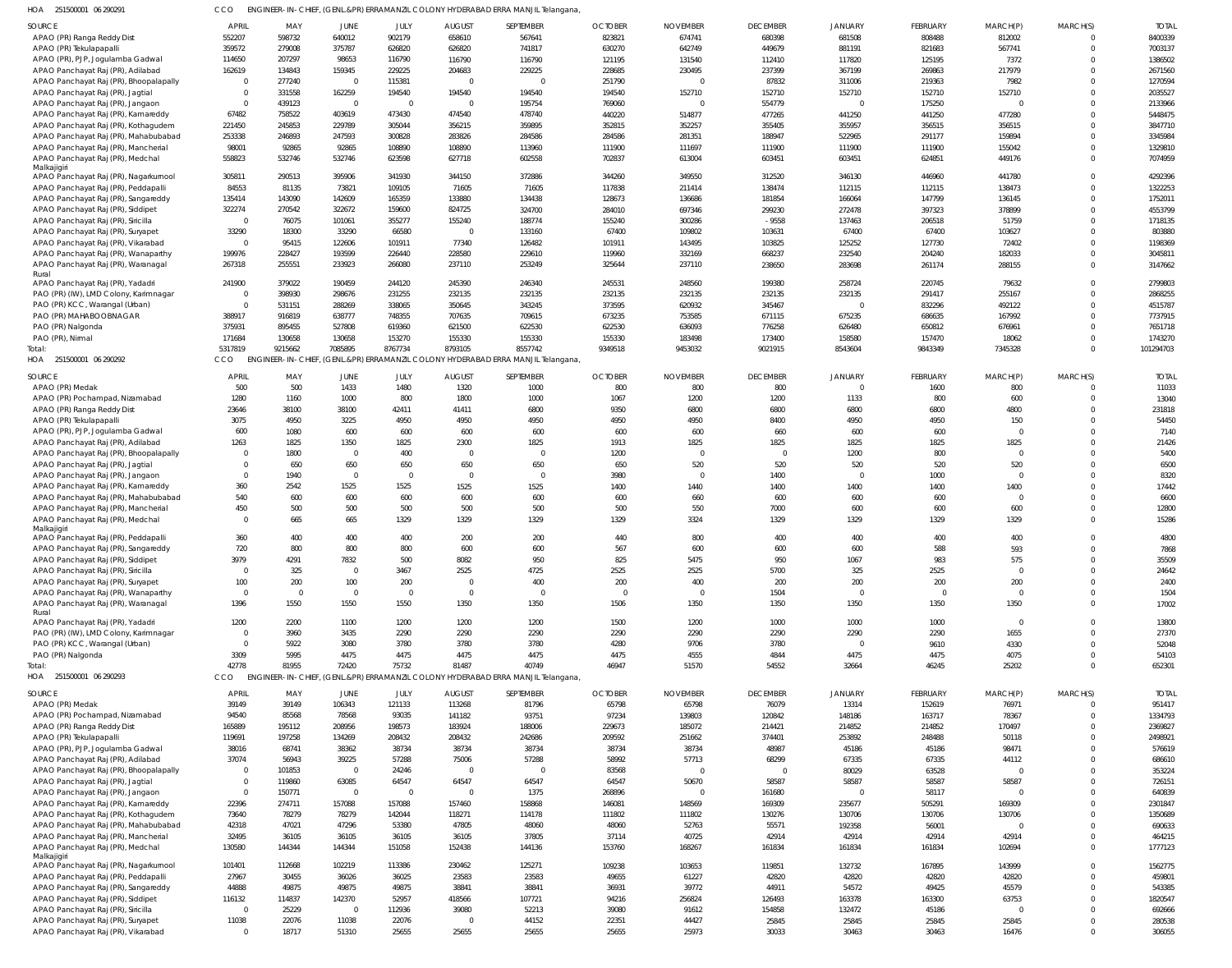| HOA 251500001 06 290291 | CCO ENGINEER-IN-CHIEF, (GENL.&PR) ERRAMANZIL COLONY HYDERABAD ERRA MANJIL Telangana, |
|-------------------------|--------------------------------------------------------------------------------------|

| ZUIJUUUUI UU Z7UZ7I                                                     |                      |                         |                |                |                         | LIVOIIVLEN-IIV-CHIEF, (OLIVE.QFN) ENNAIVIAIVLIE COLONI HITDENADAD ENNA IVIAIVJIE ICIQHIGHIQ |                |                 |                 |                |                 |                |                      |                  |
|-------------------------------------------------------------------------|----------------------|-------------------------|----------------|----------------|-------------------------|---------------------------------------------------------------------------------------------|----------------|-----------------|-----------------|----------------|-----------------|----------------|----------------------|------------------|
| SOURCE                                                                  | <b>APRIL</b>         | MAY                     | JUNE           | JULY           | <b>AUGUST</b>           | SEPTEMBER                                                                                   | <b>OCTOBER</b> | <b>NOVEMBER</b> | <b>DECEMBER</b> | <b>JANUARY</b> | <b>FEBRUARY</b> | MARCH(P)       | MARCH(S)             | <b>TOTAI</b>     |
| APAO (PR) Ranga Reddy Dist                                              | 552207               | 598732                  | 640012         | 902179         | 658610                  | 567641                                                                                      | 823821         | 674741          | 680398          | 681508         | 808488          | 812002         | $\Omega$             | 8400339          |
| APAO (PR) Tekulapapall                                                  | 359572               | 279008                  | 375787         | 626820         | 626820                  | 741817                                                                                      | 630270         | 642749          | 449679          | 881191         | 821683          | 567741         | $\Omega$             | 7003137          |
|                                                                         |                      |                         |                |                |                         |                                                                                             |                |                 |                 |                |                 |                |                      |                  |
| APAO (PR), PJP, Jogulamba Gadwal                                        | 114650               | 207297                  | 98653          | 116790         | 116790                  | 116790                                                                                      | 121195         | 131540          | 112410          | 117820         | 125195          | 7372           | $\Omega$             | 1386502          |
| APAO Panchayat Raj (PR), Adilabad                                       | 162619               | 134843                  | 159345         | 229225         | 204683                  | 229225                                                                                      | 228685         | 230495          | 237399          | 367199         | 269863          | 217979         |                      | 2671560          |
| APAO Panchayat Raj (PR), Bhoopalapally                                  | $\overline{0}$       | 277240                  | $\Omega$       | 115381         | $\overline{0}$          | $\Omega$                                                                                    | 251790         | - 0             | 87832           | 311006         | 219363          | 7982           |                      | 1270594          |
| APAO Panchayat Raj (PR), Jagtial                                        | $\overline{0}$       | 331558                  | 162259         | 194540         | 194540                  | 194540                                                                                      | 194540         | 152710          | 152710          | 152710         | 152710          | 152710         |                      | 2035527          |
| APAO Panchayat Raj (PR), Jangaon                                        | $\overline{0}$       | 439123                  | $\Omega$       | - 0            | $\circ$                 | 195754                                                                                      | 769060         | $\Omega$        | 554779          |                | 175250          |                |                      | 2133966          |
|                                                                         | 67482                | 758522                  | 403619         | 473430         | 474540                  | 478740                                                                                      | 440220         | 514877          | 477265          | 441250         | 441250          | 477280         |                      | 5448475          |
| APAO Panchayat Raj (PR), Kamareddy                                      |                      |                         |                |                |                         |                                                                                             |                |                 |                 |                |                 |                |                      |                  |
| APAO Panchayat Raj (PR), Kothagudem                                     | 221450               | 245853                  | 229789         | 305044         | 356215                  | 359895                                                                                      | 352815         | 352257          | 355405          | 355957         | 356515          | 356515         |                      | 3847710          |
| APAO Panchayat Raj (PR), Mahabubabad                                    | 253338               | 246893                  | 247593         | 300828         | 283826                  | 284586                                                                                      | 284586         | 281351          | 188947          | 522965         | 291177          | 159894         |                      | 3345984          |
| APAO Panchayat Raj (PR), Mancherial                                     | 98001                | 92865                   | 92865          | 108890         | 108890                  | 113960                                                                                      | 111900         | 111697          | 111900          | 111900         | 111900          | 155042         |                      | 1329810          |
| APAO Panchayat Raj (PR), Medchal                                        | 558823               | 532746                  | 532746         | 623598         | 627718                  | 602558                                                                                      | 702837         | 613004          | 603451          | 603451         | 624851          | 449176         | $\Omega$             | 7074959          |
| Malkajigiri                                                             |                      |                         |                |                |                         |                                                                                             |                |                 |                 |                |                 |                |                      |                  |
| APAO Panchayat Raj (PR), Nagarkurnool                                   | 305811               | 290513                  | 395906         | 341930         | 344150                  | 372886                                                                                      | 344260         | 349550          | 312520          | 346130         | 446960          | 441780         | $\Omega$             | 4292396          |
| APAO Panchayat Raj (PR), Peddapalli                                     | 84553                | 81135                   | 73821          | 109105         | 71605                   | 71605                                                                                       | 117838         | 211414          | 138474          | 112115         | 112115          | 138473         | $\Omega$             | 1322253          |
|                                                                         | 135414               | 143090                  | 142609         | 165359         | 133880                  | 134438                                                                                      | 128673         | 136686          | 181854          | 166064         | 147799          | 136145         | $\Omega$             | 1752011          |
| APAO Panchayat Raj (PR), Sangareddy                                     |                      |                         |                |                |                         |                                                                                             |                |                 |                 |                |                 |                |                      |                  |
| APAO Panchayat Raj (PR), Siddipet                                       | 322274               | 270542                  | 322672         | 159600         | 824725                  | 324700                                                                                      | 284010         | 697346          | 299230          | 272478         | 397323          | 378899         |                      | 4553799          |
| APAO Panchayat Raj (PR), Siricilla                                      | $\overline{0}$       | 76075                   | 101061         | 355277         | 155240                  | 188774                                                                                      | 155240         | 300286          | $-9558$         | 137463         | 206518          | 51759          |                      | 1718135          |
| APAO Panchayat Raj (PR), Suryapet                                       | 33290                | 18300                   | 33290          | 66580          | $\Omega$                | 133160                                                                                      | 67400          | 109802          | 103631          | 67400          | 67400           | 103627         |                      | 803880           |
| APAO Panchayat Raj (PR), Vikarabad                                      | $\overline{0}$       | 95415                   | 122606         | 101911         | 77340                   | 126482                                                                                      | 101911         | 143495          | 103825          | 125252         | 127730          | 72402          | $\Omega$             | 1198369          |
| APAO Panchayat Raj (PR), Wanaparthy                                     | 199976               | 228427                  | 193599         | 226440         | 228580                  | 229610                                                                                      | 119960         | 332169          | 668237          | 232540         | 204240          | 182033         |                      | 3045811          |
|                                                                         |                      |                         |                |                | 237110                  |                                                                                             |                | 237110          |                 |                |                 |                | $\Omega$             | 3147662          |
| APAO Panchayat Raj (PR), Waranagal                                      | 267318               | 255551                  | 233923         | 266080         |                         | 253249                                                                                      | 325644         |                 | 238650          | 283698         | 261174          | 288155         |                      |                  |
| Rural                                                                   |                      | 379022                  | 190459         |                |                         | 246340                                                                                      |                |                 |                 |                |                 |                |                      |                  |
| APAO Panchayat Raj (PR), Yadadri                                        | 241900               |                         |                | 244120         | 245390                  |                                                                                             | 245531         | 248560          | 199380          | 258724         | 220745          | 79632          |                      | 2799803          |
| PAO (PR) (IW), LMD Colony, Karimnagar                                   | $\overline{0}$       | 398930                  | 298676         | 231255         | 232135                  | 232135                                                                                      | 232135         | 232135          | 232135          | 232135         | 291417          | 255167         | $\Omega$             | 2868255          |
| PAO (PR) KCC, Warangal (Urban)                                          | $\overline{0}$       | 531151                  | 288269         | 338065         | 350645                  | 343245                                                                                      | 373595         | 620932          | 345467          | $\Omega$       | 832296          | 492122         |                      | 4515787          |
| PAO (PR) MAHABOOBNAGAR                                                  | 388917               | 916819                  | 638777         | 748355         | 707635                  | 709615                                                                                      | 673235         | 753585          | 671115          | 675235         | 686635          | 167992         | $\Omega$             | 7737915          |
| PAO (PR) Nalgonda                                                       | 375931               | 895455                  | 527808         | 619360         | 621500                  | 622530                                                                                      | 622530         | 636093          | 776258          | 626480         | 650812          | 676961         |                      | 7651718          |
|                                                                         | 171684               | 130658                  | 130658         | 153270         | 155330                  | 155330                                                                                      | 155330         | 183498          | 173400          | 158580         | 157470          | 18062          | $\Omega$             | 1743270          |
| PAO (PR), Nirmal                                                        |                      |                         |                |                |                         |                                                                                             |                |                 |                 |                |                 |                |                      |                  |
| Total                                                                   | 5317819              | 9215662                 | 7085895        | 8767734        | 8793105                 | 8557742                                                                                     | 9349518        | 9453032         | 9021915         | 8543604        | 9843349         | 7345328        | $\Omega$             | 101294703        |
| HOA 251500001 06 290292                                                 | CCO                  |                         |                |                |                         | ENGINEER-IN-CHIEF, (GENL.&PR) ERRAMANZIL COLONY HYDERABAD ERRA MANJIL Telangana,            |                |                 |                 |                |                 |                |                      |                  |
|                                                                         |                      |                         |                |                |                         |                                                                                             |                |                 |                 |                |                 |                |                      |                  |
| <b>SOURCE</b>                                                           | <b>APRIL</b>         | MAY                     | JUNE           | JULY           | <b>AUGUST</b>           | SEPTEMBER                                                                                   | <b>OCTOBER</b> | <b>NOVEMBER</b> | <b>DECEMBER</b> | <b>JANUARY</b> | <b>FEBRUARY</b> | MARCH(P)       | MARCH(S)             | <b>TOTAI</b>     |
| APAO (PR) Medak                                                         | 500                  | 500                     | 1433           | 1480           | 1320                    | 1000                                                                                        | 800            | 800             | 800             |                | 1600            | 800            |                      | 11033            |
| APAO (PR) Pochampad, Nizamabad                                          | 1280                 | 1160                    | 1000           | 800            | 1800                    | 1000                                                                                        | 1067           | 1200            | 1200            | 1133           | 800             | 600            | $\Omega$             | 13040            |
| APAO (PR) Ranga Reddy Dist                                              | 23646                | 38100                   | 38100          | 42411          | 41411                   | 6800                                                                                        | 9350           | 6800            | 6800            | 6800           | 6800            | 4800           | $\Omega$             | 231818           |
| APAO (PR) Tekulapapalli                                                 | 3075                 | 4950                    | 3225           | 4950           | 4950                    | 4950                                                                                        | 4950           | 4950            | 8400            | 4950           | 4950            | 150            |                      | 54450            |
| APAO (PR), PJP, Jogulamba Gadwal                                        | 600                  | 1080                    | 600            | 600            | 600                     | 600                                                                                         | 600            | 600             | 660             | 600            | 600             | $\Omega$       |                      | 7140             |
|                                                                         |                      |                         |                |                |                         |                                                                                             |                |                 |                 |                |                 |                |                      |                  |
| APAO Panchayat Raj (PR), Adilabad                                       | 1263                 | 1825                    | 1350           | 1825           | 2300                    | 1825                                                                                        | 1913           | 1825            | 1825            | 1825           | 1825            | 1825           |                      | 21426            |
| APAO Panchayat Raj (PR), Bhoopalapally                                  | $\Omega$             | 1800                    | $\mathsf{C}$   | 400            | $\overline{0}$          | $\Omega$                                                                                    | 1200           | $\Omega$        | $\Omega$        | 1200           | 800             | $\Omega$       |                      | 5400             |
| APAO Panchayat Raj (PR), Jagtial                                        | $\Omega$             | 650                     | 650            | 650            | 650                     | 650                                                                                         | 650            | 520             | 520             | 520            | 520             | 520            |                      | 6500             |
| APAO Panchayat Raj (PR), Jangaon                                        | $\Omega$             | 1940                    | $\Omega$       |                | $\Omega$                | $\Omega$                                                                                    | 3980           | $\Omega$        | 1400            | $\Omega$       | 1000            | $\Omega$       |                      | 8320             |
| APAO Panchayat Raj (PR), Kamareddy                                      | 360                  | 2542                    | 1525           | 1525           | 1525                    | 1525                                                                                        | 1400           | 1440            | 1400            | 1400           | 1400            | 1400           |                      | 17442            |
|                                                                         |                      |                         |                |                |                         |                                                                                             |                |                 |                 |                |                 |                |                      |                  |
| APAO Panchayat Raj (PR), Mahabubabad                                    | 540                  | 600                     | 600            | 600            | 600                     | 600                                                                                         | 600            | 660             | 600             | 600            | 600             | $\Omega$       | $\Omega$             | 6600             |
| APAO Panchayat Raj (PR), Mancherial                                     | 450                  | 500                     | 500            | 500            | 500                     | 500                                                                                         | 500            | 550             | 7000            | 600            | 600             | 600            |                      | 12800            |
| APAO Panchayat Raj (PR), Medchal                                        | $\Omega$             | 665                     | 665            | 1329           | 1329                    | 1329                                                                                        | 1329           | 3324            | 1329            | 1329           | 1329            | 1329           | $\Omega$             | 15286            |
| Malkajigiri                                                             |                      |                         |                |                |                         |                                                                                             |                |                 |                 |                |                 |                |                      |                  |
| APAO Panchayat Raj (PR), Peddapalli                                     | 360                  | 400                     | 400            | 400            | 200                     | 200                                                                                         | 440            | 800             | 400             | 400            | 400             | 400            |                      | 4800             |
| APAO Panchayat Raj (PR), Sangareddy                                     | 720                  | 800                     | 800            | 800            | 600                     | 600                                                                                         | 567            | 600             | 600             | 600            | 588             | 593            | $\Omega$             | 7868             |
|                                                                         | 3979                 | 4291                    | 7832           |                |                         | 950                                                                                         |                | 5475            |                 | 1067           |                 | 575            |                      |                  |
| APAO Panchayat Raj (PR), Siddipet                                       |                      |                         |                | 500            | 8082                    |                                                                                             | 825            |                 |                 |                | 983             |                |                      | 35509            |
| APAO Panchayat Raj (PR), Siricilla                                      | $\Omega$             | 325                     | - 0            | 3467           | 2525                    | 4725                                                                                        | 2525           | 2525            | 5700            | 325            | 2525            |                |                      | 24642            |
| APAO Panchayat Raj (PR), Suryapet                                       | 100                  | 200                     | 100            | 200            | $\Omega$                | 400                                                                                         | 200            | 400             | 200             | 200            | 200             | 200            |                      | 2400             |
| APAO Panchayat Raj (PR), Wanaparthy                                     | $\overline{0}$       | $\overline{\mathbf{0}}$ | - 0            |                | - 0                     | $\Omega$                                                                                    | $\overline{0}$ | $\overline{0}$  | 1504            | $\Omega$       | $\Omega$        | $\mathbf 0$    | $\Omega$             | 1504             |
| APAO Panchayat Raj (PR), Waranagal                                      | 1396                 | 1550                    | 1550           | 1550           | 1350                    | 1350                                                                                        | 1506           | 1350            | 1350            | 1350           | 1350            | 1350           | $\Omega$             | 17002            |
| Rural                                                                   |                      |                         |                |                |                         |                                                                                             |                |                 |                 |                |                 |                |                      |                  |
| APAO Panchayat Raj (PR), Yadadri                                        | 1200                 | 2200                    | 1100           | 1200           | 1200                    | 1200                                                                                        | 1500           | 1200            | 1000            | 1000           | 1000            | $\mathbf{0}$   | $\Omega$             | 13800            |
|                                                                         | $\overline{0}$       |                         |                |                |                         |                                                                                             |                |                 |                 |                |                 |                |                      |                  |
| PAO (PR) (IW), LMD Colony, Karimnagar                                   |                      | 3960                    | 3435           | 2290           | 2290                    | 2290                                                                                        | 2290           | 2290            | 2290            | 2290           | 2290            | 1655           |                      | 27370            |
| PAO (PR) KCC, Warangal (Urban)                                          | $\overline{0}$       | 5922                    | 3080           | 3780           | 3780                    | 3780                                                                                        | 4280           | 9706            | 3780            | $\Omega$       | 9610            | 4330           |                      | 52048            |
| PAO (PR) Nalgonda                                                       | 3309                 | 5995                    | 4475           | 4475           | 4475                    | 4475                                                                                        | 4475           | 4555            | 4844            | 4475           | 4475            | 4075           |                      | 54103            |
| Total:                                                                  | 42778                | 81955                   | 72420          | 75732          | 81487                   | 40749                                                                                       | 46947          | 51570           | 54552           | 32664          | 46245           | 25202          | $\Omega$             | 652301           |
| HOA 251500001 06 290293                                                 | CCO                  |                         |                |                |                         | ENGINEER-IN-CHIEF, (GENL.&PR) ERRAMANZIL COLONY HYDERABAD ERRA MANJIL Telangana,            |                |                 |                 |                |                 |                |                      |                  |
|                                                                         |                      |                         |                |                |                         |                                                                                             |                |                 |                 |                |                 |                |                      |                  |
| <b>SOURCE</b>                                                           | <b>APRIL</b>         | MAY                     | JUNE           | JULY           | <b>AUGUST</b>           | SEPTEMBER                                                                                   | <b>OCTOBER</b> | <b>NOVEMBER</b> | <b>DECEMBER</b> | <b>JANUARY</b> | <b>FEBRUARY</b> | MARCH(P)       | MARCH(S)             | <b>TOTAL</b>     |
| APAO (PR) Medak                                                         | 39149                | 39149                   | 106343         | 121133         | 113268                  | 81796                                                                                       | 65798          | 65798           | 76079           | 13314          | 152619          | 76971          | $\Omega$             | 951417           |
| APAO (PR) Pochampad, Nizamabad                                          | 94540                | 85568                   | 78568          | 93035          | 141182                  | 93751                                                                                       | 97234          | 139803          | 120842          | 148186         | 163717          | 78367          | $\Omega$             | 1334793          |
|                                                                         | 165889               | 195112                  | 208956         | 198573         | 183924                  | 188006                                                                                      | 229673         | 185072          | 214421          | 214852         | 214852          | 170497         |                      | 2369827          |
| APAO (PR) Ranga Reddy Dist                                              |                      |                         |                |                |                         |                                                                                             |                |                 |                 |                |                 |                |                      |                  |
| APAO (PR) Tekulapapalli                                                 | 119691               | 197258                  | 134269         | 208432         | 208432                  | 242686                                                                                      | 209592         | 251662          | 374401          | 253892         | 248488          | 50118          |                      | 2498921          |
| APAO (PR), PJP, Jogulamba Gadwal                                        | 38016                | 68741                   | 38362          | 38734          | 38734                   | 38734                                                                                       | 38734          | 38734           | 48987           | 45186          | 45186           | 98471          |                      | 576619           |
| APAO Panchayat Raj (PR), Adilabad                                       | 37074                | 56943                   | 39225          | 57288          | 75006                   | 57288                                                                                       | 58992          | 57713           | 68299           | 67335          | 67335           | 44112          |                      | 686610           |
| APAO Panchayat Raj (PR), Bhoopalapally                                  | $\overline{0}$       | 101853                  | $\overline{0}$ | 24246          | $\overline{0}$          | $\Omega$                                                                                    | 83568          | $\mathbf{C}$    |                 | 80029          | 63528           |                |                      | 353224           |
| APAO Panchayat Raj (PR), Jagtial                                        |                      | 119860                  | 63085          | 64547          | 64547                   | 64547                                                                                       | 64547          | 50670           | 58587           | 58587          | 58587           | 58587          |                      | 726151           |
|                                                                         |                      |                         |                |                | $\circ$                 |                                                                                             |                |                 |                 |                |                 |                |                      |                  |
|                                                                         | $\overline{0}$       |                         |                |                |                         | 1375                                                                                        | 268896         | $\Omega$        | 161680          |                | 58117           | $\Omega$       |                      | 640839           |
| APAO Panchayat Raj (PR), Jangaon                                        | $\overline{0}$       | 150771                  | $\mathbf 0$    |                |                         |                                                                                             |                | 148569          | 169309          | 235677         | 505291          |                |                      | 2301847          |
| APAO Panchayat Raj (PR), Kamareddy                                      | 22396                | 274711                  | 157088         | 157088         | 157460                  | 158868                                                                                      | 146081         |                 |                 |                |                 | 169309         |                      |                  |
| APAO Panchayat Raj (PR), Kothagudem                                     | 73640                | 78279                   | 78279          | 142044         | 118271                  | 114178                                                                                      | 111802         | 111802          | 130276          | 130706         | 130706          | 130706         |                      | 1350689          |
|                                                                         | 42318                | 47021                   | 47296          | 53380          | 47805                   | 48060                                                                                       | 48060          | 52763           | 55571           | 192358         | 56001           |                |                      | 690633           |
| APAO Panchayat Raj (PR), Mahabubabad                                    |                      |                         |                |                |                         |                                                                                             |                |                 |                 |                |                 |                |                      |                  |
| APAO Panchayat Raj (PR), Mancherial                                     | 32495                | 36105                   | 36105          | 36105          | 36105                   | 37805                                                                                       | 37114          | 40725           | 42914           | 42914          | 42914           | 42914          | $\Omega$             | 464215           |
| APAO Panchayat Raj (PR), Medchal                                        | 130580               | 144344                  | 144344         | 151058         | 152438                  | 144136                                                                                      | 153760         | 168267          | 161834          | 161834         | 161834          | 102694         | $\Omega$             | 1777123          |
| Malkajigiri                                                             |                      |                         |                |                |                         |                                                                                             |                |                 |                 |                |                 |                |                      |                  |
| APAO Panchayat Raj (PR), Nagarkurnool                                   | 101401               | 112668                  | 102219         | 113386         | 230462                  | 125271                                                                                      | 109238         | 103653          | 119851          | 132732         | 167895          | 143999         | $\Omega$             | 1562775          |
| APAO Panchayat Raj (PR), Peddapalli                                     | 27967                | 30455                   | 36026          | 36025          | 23583                   | 23583                                                                                       | 49655          | 61227           | 42820           | 42820          | 42820           | 42820          |                      | 459801           |
| APAO Panchayat Raj (PR), Sangareddy                                     | 44888                | 49875                   | 49875          | 49875          | 38841                   | 38841                                                                                       | 36931          | 39772           | 44911           | 54572          | 49425           | 45579          | $\Omega$             | 543385           |
| APAO Panchayat Raj (PR), Siddipet                                       | 116132               | 114837                  | 142370         | 52957          | 418566                  | 107721                                                                                      | 94216          | 256824          | 126493          | 163378         | 163300          | 63753          |                      | 1820547          |
|                                                                         | $\overline{0}$       |                         | $\overline{0}$ |                |                         |                                                                                             |                |                 |                 |                |                 | $\Omega$       | $\Omega$             |                  |
| APAO Panchayat Raj (PR), Siricilla                                      |                      | 25229                   |                | 112936         | 39080                   | 52213                                                                                       | 39080          | 91612           | 154858          | 132472         | 45186           |                |                      | 692666           |
| APAO Panchayat Raj (PR), Suryapet<br>APAO Panchayat Raj (PR), Vikarabad | 11038<br>$\mathbf 0$ | 22076<br>18717          | 11038<br>51310 | 22076<br>25655 | $\overline{0}$<br>25655 | 44152<br>25655                                                                              | 22351<br>25655 | 44427<br>25973  | 25845<br>30033  | 25845<br>30463 | 25845<br>30463  | 25845<br>16476 | $\Omega$<br>$\Omega$ | 280538<br>306055 |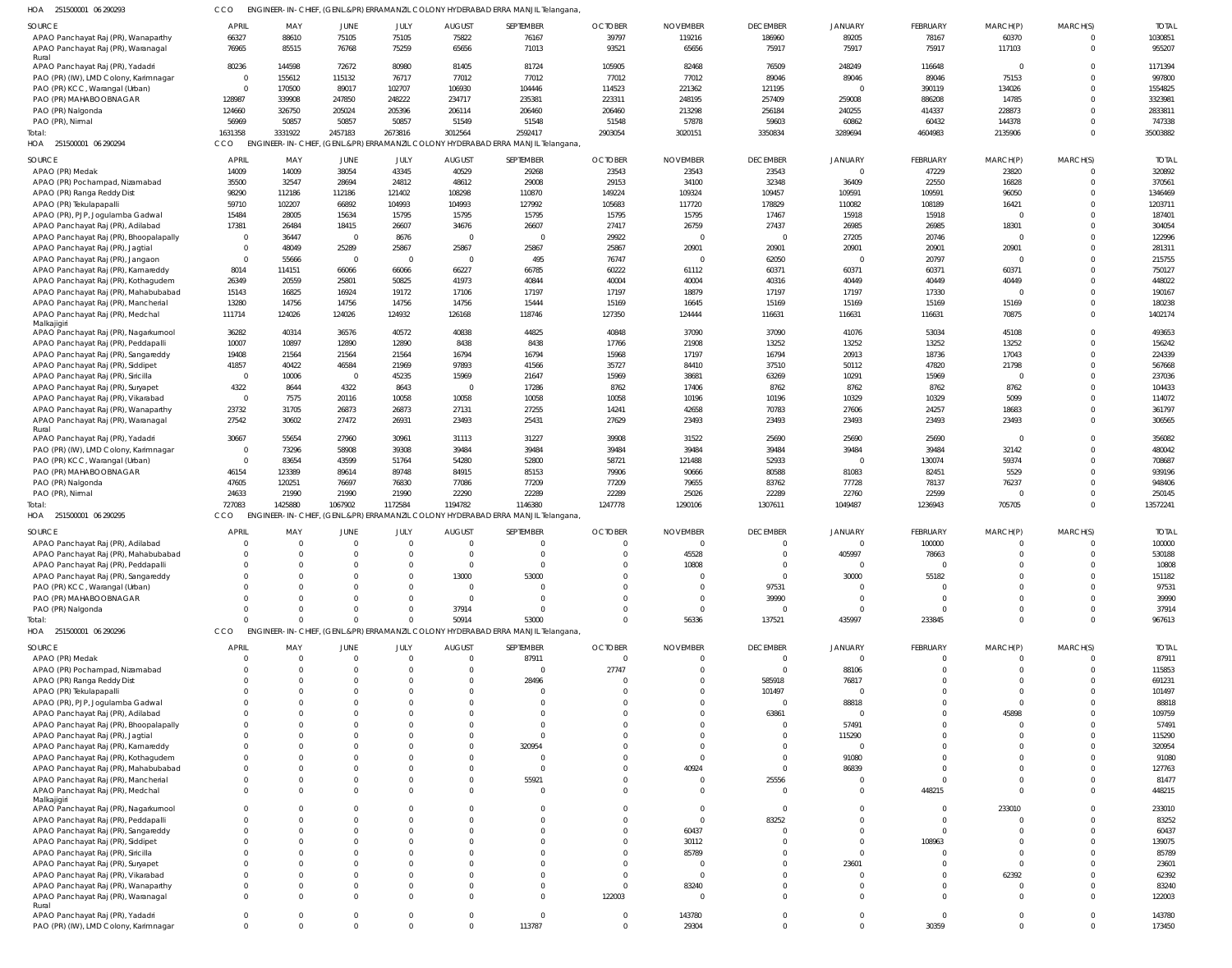| 251500001 06 290293 | CCO ENGINEER-IN-CHIEF, (GENL.&PR) ERRAMANZIL COLONY HYDERABAD ERRA MANJIL Telangana, |
|---------------------|--------------------------------------------------------------------------------------|
|                     |                                                                                      |

| HOA 251500001 06 290293                                                    | CCO                        |                      |                            |                      |                           | ENGINEER-IN-CHIEF, (GENL.&PR) ERRAMANZIL COLONY HYDERABAD ERRA MANJIL Telangana |                            |                             |                                   |                            |                           |                         |                          |                        |
|----------------------------------------------------------------------------|----------------------------|----------------------|----------------------------|----------------------|---------------------------|---------------------------------------------------------------------------------|----------------------------|-----------------------------|-----------------------------------|----------------------------|---------------------------|-------------------------|--------------------------|------------------------|
| SOURCE                                                                     | <b>APRI</b>                | MAY                  | JUNE                       | JULY                 | <b>AUGUST</b>             | SEPTEMBER                                                                       | <b>OCTOBER</b>             | <b>NOVEMBER</b>             | <b>DECEMBER</b>                   | <b>JANUARY</b>             | <b>FEBRUARY</b>           | MARCH(P)                | MARCH(S)                 | <b>TOTAL</b>           |
| APAO Panchayat Raj (PR), Wanaparthy                                        | 66327                      | 88610                | 75105                      | 75105                | 75822                     | 76167                                                                           | 39797                      | 119216                      | 186960                            | 89205                      | 78167                     | 60370                   | $\mathbf 0$              | 1030851                |
| APAO Panchayat Raj (PR), Waranagal<br>Rural                                | 76965                      | 85515                | 76768                      | 75259                | 65656                     | 71013                                                                           | 93521                      | 65656                       | 75917                             | 75917                      | 75917                     | 117103                  | $\mathbf 0$              | 955207                 |
| APAO Panchayat Raj (PR), Yadadr                                            | 80236                      | 144598               | 72672                      | 80980                | 81405                     | 81724                                                                           | 105905                     | 82468                       | 76509                             | 248249                     | 116648                    | $\Omega$                | $\Omega$                 | 1171394                |
| PAO (PR) (IW), LMD Colony, Karimnagar                                      | $\Omega$<br>$\overline{0}$ | 155612               | 115132<br>89017            | 76717                | 77012                     | 77012<br>104446                                                                 | 77012                      | 77012                       | 89046                             | 89046<br>$\Omega$          | 89046                     | 75153                   | $\Omega$<br>$\Omega$     | 997800                 |
| PAO (PR) KCC, Warangal (Urban)<br>PAO (PR) MAHABOOBNAGAR                   | 128987                     | 170500<br>339908     | 247850                     | 102707<br>248222     | 106930<br>234717          | 235381                                                                          | 114523<br>223311           | 221362<br>248195            | 121195<br>257409                  | 259008                     | 390119<br>886208          | 134026<br>14785         | $\Omega$                 | 1554825<br>3323981     |
| PAO (PR) Nalgonda                                                          | 124660                     | 326750               | 205024                     | 205396               | 206114                    | 206460                                                                          | 206460                     | 213298                      | 256184                            | 240255                     | 414337                    | 228873                  | $\Omega$                 | 2833811                |
| PAO (PR), Nirmal                                                           | 56969                      | 50857                | 50857                      | 50857                | 51549                     | 51548                                                                           | 51548                      | 57878                       | 59603                             | 60862                      | 60432                     | 144378                  | $\Omega$                 | 747338                 |
| Total:                                                                     | 1631358                    | 3331922              | 2457183                    | 2673816              | 3012564                   | 2592417                                                                         | 2903054                    | 3020151                     | 3350834                           | 3289694                    | 4604983                   | 2135906                 | $\Omega$                 | 35003882               |
| HOA 251500001 06 290294                                                    | CCO                        |                      |                            |                      |                           | ENGINEER-IN-CHIEF, (GENL.&PR) ERRAMANZIL COLONY HYDERABAD ERRA MANJIL Telangana |                            |                             |                                   |                            |                           |                         |                          |                        |
| SOURCE                                                                     | APRII                      | MAY                  | JUNE                       | JULY                 | <b>AUGUST</b>             | SEPTEMBER                                                                       | <b>OCTOBER</b>             | <b>NOVEMBER</b>             | <b>DECEMBER</b>                   | <b>JANUARY</b>             | <b>FEBRUARY</b>           | MARCH(P)                | MARCH(S)                 | <b>TOTAL</b>           |
| APAO (PR) Medak<br>APAO (PR) Pochampad, Nizamabad                          | 14009<br>35500             | 14009<br>32547       | 38054<br>28694             | 43345<br>24812       | 40529<br>48612            | 29268<br>29008                                                                  | 23543<br>29153             | 23543<br>34100              | 23543<br>32348                    | $\Omega$<br>36409          | 47229<br>22550            | 23820<br>16828          | $\Omega$<br>$\mathbf{0}$ | 320892<br>370561       |
| APAO (PR) Ranga Reddy Dist                                                 | 98290                      | 112186               | 112186                     | 121402               | 108298                    | 110870                                                                          | 149224                     | 109324                      | 109457                            | 109591                     | 109591                    | 96050                   | $\Omega$                 | 1346469                |
| APAO (PR) Tekulapapalli                                                    | 59710                      | 102207               | 66892                      | 104993               | 104993                    | 127992                                                                          | 105683                     | 117720                      | 178829                            | 110082                     | 108189                    | 16421                   | $\Omega$                 | 1203711                |
| APAO (PR), PJP, Jogulamba Gadwal                                           | 15484                      | 28005                | 15634                      | 15795                | 15795                     | 15795                                                                           | 15795                      | 15795                       | 17467                             | 15918                      | 15918                     | $\mathbf 0$             | $\Omega$                 | 187401                 |
| APAO Panchayat Raj (PR), Adilabad                                          | 17381                      | 26484                | 18415                      | 26607                | 34676                     | 26607                                                                           | 27417                      | 26759                       | 27437                             | 26985                      | 26985                     | 18301                   | $\Omega$                 | 304054                 |
| APAO Panchayat Raj (PR), Bhoopalapally<br>APAO Panchayat Raj (PR), Jagtial | $\Omega$<br>$\Omega$       | 36447<br>48049       | $\overline{0}$<br>25289    | 8676<br>25867        | $\Omega$<br>25867         | $\overline{0}$<br>25867                                                         | 29922<br>25867             | - 0<br>20901                | $\overline{0}$<br>20901           | 27205<br>20901             | 20746<br>20901            | $\mathbf 0$<br>20901    | $\Omega$<br>$\Omega$     | 122996<br>281311       |
| APAO Panchayat Raj (PR), Jangaon                                           | $\overline{0}$             | 55666                | $\overline{0}$             | $\overline{0}$       | $\overline{0}$            | 495                                                                             | 76747                      | $\Omega$                    | 62050                             | $\Omega$                   | 20797                     | $\mathbf 0$             | $\Omega$                 | 215755                 |
| APAO Panchayat Raj (PR), Kamareddy                                         | 8014                       | 114151               | 66066                      | 66066                | 66227                     | 66785                                                                           | 60222                      | 61112                       | 60371                             | 60371                      | 60371                     | 60371                   | $\Omega$                 | 750127                 |
| APAO Panchayat Raj (PR), Kothagudem                                        | 26349                      | 20559                | 25801                      | 50825                | 41973                     | 40844                                                                           | 40004                      | 40004                       | 40316                             | 40449                      | 40449                     | 40449                   | $\Omega$                 | 448022                 |
| APAO Panchayat Raj (PR), Mahabubabad                                       | 15143                      | 16825                | 16924                      | 19172                | 17106                     | 17197                                                                           | 17197                      | 18879                       | 17197                             | 17197                      | 17330                     |                         | $\Omega$                 | 190167                 |
| APAO Panchayat Raj (PR), Mancherial<br>APAO Panchayat Raj (PR), Medchal    | 13280<br>111714            | 14756<br>124026      | 14756<br>124026            | 14756<br>124932      | 14756<br>126168           | 15444<br>118746                                                                 | 15169<br>127350            | 16645<br>124444             | 15169<br>116631                   | 15169<br>116631            | 15169<br>116631           | 15169<br>70875          | $\mathbf 0$<br>$\Omega$  | 180238<br>1402174      |
| Malkajigiri                                                                |                            |                      |                            |                      |                           |                                                                                 |                            |                             |                                   |                            |                           |                         |                          |                        |
| APAO Panchayat Raj (PR), Nagarkurnool                                      | 36282                      | 40314                | 36576                      | 40572                | 40838                     | 44825                                                                           | 40848                      | 37090                       | 37090                             | 41076                      | 53034                     | 45108                   | $\Omega$                 | 493653                 |
| APAO Panchayat Raj (PR), Peddapalli<br>APAO Panchayat Raj (PR), Sangareddy | 10007<br>19408             | 10897<br>21564       | 12890<br>21564             | 12890<br>21564       | 8438<br>16794             | 8438<br>16794                                                                   | 17766<br>15968             | 21908<br>17197              | 13252<br>16794                    | 13252<br>20913             | 13252<br>18736            | 13252<br>17043          | $\Omega$<br>$\Omega$     | 156242<br>224339       |
| APAO Panchayat Raj (PR), Siddipet                                          | 41857                      | 40422                | 46584                      | 21969                | 97893                     | 41566                                                                           | 35727                      | 84410                       | 37510                             | 50112                      | 47820                     | 21798                   | $\Omega$                 | 567668                 |
| APAO Panchayat Raj (PR), Siricilla                                         | $\Omega$                   | 10006                | $\overline{0}$             | 45235                | 15969                     | 21647                                                                           | 15969                      | 38681                       | 63269                             | 10291                      | 15969                     | $\mathbf 0$             | $\Omega$                 | 237036                 |
| APAO Panchayat Raj (PR), Suryapet                                          | 4322                       | 8644                 | 4322                       | 8643                 | $\overline{0}$            | 17286                                                                           | 8762                       | 17406                       | 8762                              | 8762                       | 8762                      | 8762                    | $\Omega$                 | 104433                 |
| APAO Panchayat Raj (PR), Vikarabad                                         | $\overline{0}$             | 7575                 | 20116                      | 10058                | 10058                     | 10058                                                                           | 10058                      | 10196                       | 10196                             | 10329                      | 10329                     | 5099                    | $\Omega$                 | 114072                 |
| APAO Panchayat Raj (PR), Wanaparthy<br>APAO Panchayat Raj (PR), Waranagal  | 23732<br>27542             | 31705<br>30602       | 26873<br>27472             | 26873<br>26931       | 27131<br>23493            | 27255<br>25431                                                                  | 14241<br>27629             | 42658<br>23493              | 70783<br>23493                    | 27606<br>23493             | 24257<br>23493            | 18683<br>23493          | $\Omega$<br>$\Omega$     | 361797<br>306565       |
| Rural                                                                      |                            |                      |                            |                      |                           |                                                                                 |                            |                             |                                   |                            |                           |                         |                          |                        |
| APAO Panchayat Raj (PR), Yadadr                                            | 30667                      | 55654                | 27960                      | 30961                | 31113                     | 31227                                                                           | 39908                      | 31522                       | 25690                             | 25690                      | 25690                     | $\Omega$                | $\Omega$                 | 356082                 |
| PAO (PR) (IW), LMD Colony, Karimnagar<br>PAO (PR) KCC, Warangal (Urban)    | $\overline{0}$<br>$\Omega$ | 73296<br>83654       | 58908<br>43599             | 39308<br>51764       | 39484<br>54280            | 39484<br>52800                                                                  | 39484<br>58721             | 39484<br>121488             | 39484<br>52933                    | 39484<br>$\Omega$          | 39484<br>130074           | 32142<br>59374          | $\Omega$<br>$\Omega$     | 480042<br>708687       |
| PAO (PR) MAHABOOBNAGAR                                                     | 46154                      | 123389               | 89614                      | 89748                | 84915                     | 85153                                                                           | 79906                      | 90666                       | 80588                             | 81083                      | 82451                     | 5529                    | $\Omega$                 | 939196                 |
| PAO (PR) Nalgonda                                                          | 47605                      | 120251               | 76697                      | 76830                | 77086                     | 77209                                                                           | 77209                      | 79655                       | 83762                             | 77728                      | 78137                     | 76237                   | $\Omega$                 | 948406                 |
| PAO (PR), Nirmal                                                           | 24633                      | 21990                | 21990                      | 21990                | 22290                     | 22289                                                                           | 22289                      | 25026                       | 22289                             | 22760                      | 22599                     | $\mathbf 0$             | $\Omega$                 | 250145                 |
| Total:                                                                     | 727083                     | 1425880              | 1067902                    | 1172584              | 1194782                   | 1146380                                                                         | 1247778                    | 1290106                     | 1307611                           | 1049487                    | 1236943                   | 705705                  | $\Omega$                 | 13572241               |
| HOA 251500001 06 290295                                                    | CCO                        |                      |                            |                      |                           | ENGINEER-IN-CHIEF, (GENL.&PR) ERRAMANZIL COLONY HYDERABAD ERRA MANJIL Telangana |                            |                             |                                   |                            |                           |                         |                          |                        |
| SOURCE<br>APAO Panchayat Raj (PR), Adilabad                                | <b>APRI</b><br>$\Omega$    | MAY<br>$\Omega$      | <b>JUNE</b><br>$\mathbf 0$ | JULY<br>$\mathbf 0$  | <b>AUGUST</b><br>$\Omega$ | SEPTEMBER<br>$\overline{0}$                                                     | <b>OCTOBER</b><br>$\Omega$ | <b>NOVEMBER</b><br>$\Omega$ | <b>DECEMBER</b><br>$\overline{0}$ | <b>JANUARY</b><br>$\Omega$ | <b>FEBRUARY</b><br>100000 | MARCH(P)<br>$\mathbf 0$ | MARCH(S)<br>$\mathbf{0}$ | <b>TOTAL</b><br>100000 |
| APAO Panchayat Raj (PR), Mahabubabad                                       |                            |                      |                            |                      |                           | $\Omega$                                                                        |                            | 45528                       |                                   | 405997                     | 78663                     |                         |                          | 530188                 |
| APAO Panchayat Raj (PR), Peddapalli                                        |                            | <sup>0</sup>         |                            | $\Omega$             | $\Omega$                  | $\overline{0}$                                                                  |                            | 10808                       | $\Omega$                          | $\Omega$                   | $\mathbf 0$               |                         |                          | 10808                  |
| APAO Panchayat Raj (PR), Sangareddy                                        |                            | $\Omega$             |                            | $\mathbf 0$          | 13000                     | 53000                                                                           |                            |                             | $\overline{0}$                    | 30000                      | 55182                     |                         | $\Omega$                 | 151182                 |
| PAO (PR) KCC, Warangal (Urban)                                             |                            | $\Omega$             |                            | $\Omega$             | $\overline{0}$            | $\mathbf 0$                                                                     |                            |                             | 97531                             | $\Omega$                   | $\mathbf 0$               |                         | $\Omega$                 | 97531                  |
| PAO (PR) MAHABOOBNAGAR<br>PAO (PR) Nalgonda                                |                            | $\Omega$<br>$\Omega$ | 0                          | $\Omega$<br>$\Omega$ | $\Omega$<br>37914         | $\mathbf 0$<br>$\mathbf 0$                                                      |                            |                             | 39990<br>$\overline{0}$           | $\Omega$<br>$\Omega$       | $\Omega$<br>$\Omega$      |                         | $\Omega$<br>$\Omega$     | 39990<br>37914         |
| Total:                                                                     |                            | $\Omega$             | $\Omega$                   | $\Omega$             | 50914                     | 53000                                                                           |                            | 56336                       | 137521                            | 435997                     | 233845                    | $\Omega$                | $\Omega$                 | 967613                 |
| HOA 251500001 06 290296                                                    | CCO                        |                      |                            |                      |                           | ENGINEER-IN-CHIEF, (GENL.&PR) ERRAMANZIL COLONY HYDERABAD ERRA MANJIL Telangana |                            |                             |                                   |                            |                           |                         |                          |                        |
| SOURCE                                                                     | <b>APRIL</b>               | MAY                  | JUNE                       | JULY                 | <b>AUGUST</b>             | SEPTEMBER                                                                       | <b>OCTOBER</b>             | <b>NOVEMBER</b>             | <b>DECEMBER</b>                   | <b>JANUARY</b>             | <b>FEBRUARY</b>           | MARCH(P)                | MARCH(S)                 | <b>TOTAL</b>           |
| APAO (PR) Medak                                                            |                            | $\Omega$             | $\mathbf{0}$               | $\overline{0}$       | $\overline{0}$            | 87911                                                                           | $\Omega$                   |                             | $\overline{0}$                    | $\Omega$                   | 0                         |                         | $\Omega$                 | 87911                  |
| APAO (PR) Pochampad, Nizamabad                                             |                            | $\Omega$             | $\Omega$                   | $\Omega$             | $\Omega$                  | $\mathbf{0}$                                                                    | 27747                      |                             | $\overline{0}$                    | 88106                      |                           |                         | $\Omega$                 | 115853                 |
| APAO (PR) Ranga Reddy Dist<br>APAO (PR) Tekulapapalli                      |                            | $\Omega$<br>$\Omega$ |                            | $\Omega$<br>$\Omega$ | $\Omega$                  | 28496<br>$\mathbf{0}$                                                           | - 0<br>$\Omega$            |                             | 585918<br>101497                  | 76817<br>$\Omega$          |                           |                         | $\Omega$<br>$\Omega$     | 691231<br>101497       |
| APAO (PR), PJP, Jogulamba Gadwal                                           |                            | $\Omega$             |                            | $\Omega$             | $\Omega$                  | $\Omega$                                                                        |                            |                             | $\overline{0}$                    | 88818                      |                           |                         | $\Omega$                 | 88818                  |
| APAO Panchayat Raj (PR), Adilabad                                          |                            | $\Omega$             |                            | $\Omega$             |                           | $\Omega$                                                                        |                            |                             | 63861                             | $\Omega$                   |                           | 45898                   |                          | 109759                 |
| APAO Panchayat Raj (PR), Bhoopalapally                                     |                            | $\Omega$             |                            | $\Omega$             |                           | $\Omega$                                                                        |                            |                             | $\Omega$                          | 57491                      |                           |                         | $\Omega$                 | 57491                  |
| APAO Panchayat Raj (PR), Jagtial                                           |                            | $\Omega$<br>$\Omega$ |                            | $\Omega$<br>$\Omega$ | $\Omega$                  | $\mathbf 0$                                                                     |                            |                             | $\Omega$                          | 115290<br>$\Omega$         |                           |                         | $\Omega$                 | 115290                 |
| APAO Panchayat Raj (PR), Kamareddy<br>APAO Panchayat Raj (PR), Kothagudem  |                            | $\Omega$             |                            | $\Omega$             |                           | 320954<br>$\mathbf{0}$                                                          |                            |                             | $\Omega$<br>$\Omega$              | 91080                      |                           |                         | $\Omega$                 | 320954<br>91080        |
| APAO Panchayat Raj (PR), Mahabubabad                                       | $\cap$                     | $\Omega$             |                            | $\Omega$             | $\Omega$                  | $\mathbf 0$                                                                     |                            | 40924                       | $\Omega$                          | 86839                      | n                         |                         | $\Omega$                 | 127763                 |
| APAO Panchayat Raj (PR), Mancherial                                        |                            | $\Omega$             |                            | $\Omega$             | $\Omega$                  | 55921                                                                           |                            | $\Omega$                    | 25556                             | $\Omega$                   | $\Omega$                  |                         | $\Omega$                 | 81477                  |
| APAO Panchayat Raj (PR), Medchal                                           | $\Omega$                   | $\Omega$             | $\Omega$                   | $\Omega$             | $\Omega$                  | $\mathbf 0$                                                                     | $\Omega$                   |                             | $\Omega$                          | $\Omega$                   | 448215                    | $\Omega$                | $\Omega$                 | 448215                 |
| Malkajigiri<br>APAO Panchayat Raj (PR), Nagarkurnool                       |                            | $\Omega$             |                            | $\Omega$             |                           | $\Omega$                                                                        |                            | $\Omega$                    | $\overline{0}$                    | $\Omega$                   | $\Omega$                  | 233010                  |                          | 233010                 |
| APAO Panchayat Raj (PR), Peddapalli                                        | $\cap$                     | $\Omega$             |                            | $\Omega$             | $\Omega$                  | $\Omega$                                                                        | $\cap$                     | $\Omega$                    | 83252                             | $\Omega$                   | $\Omega$                  |                         | $\Omega$                 | 83252                  |
| APAO Panchayat Raj (PR), Sangareddy                                        |                            | $\Omega$             |                            | $\Omega$             |                           | $\Omega$                                                                        |                            | 60437                       | $\Omega$                          | $\Omega$                   | $\Omega$                  |                         | $\Omega$                 | 60437                  |
| APAO Panchayat Raj (PR), Siddipet                                          |                            | $\Omega$             |                            | $\Omega$             |                           | $\Omega$                                                                        |                            | 30112                       | $\Omega$                          | $\Omega$                   | 108963                    |                         | $\Omega$                 | 139075                 |
| APAO Panchayat Raj (PR), Siricilla<br>APAO Panchayat Raj (PR), Suryapet    |                            | $\Omega$<br>$\Omega$ |                            | $\Omega$<br>$\Omega$ |                           | $\Omega$<br>$\Omega$                                                            |                            | 85789<br>- 0                | $\Omega$<br>$\Omega$              | $\Omega$<br>23601          | $\Omega$<br>$\Omega$      |                         | $\Omega$                 | 85789<br>23601         |
| APAO Panchayat Raj (PR), Vikarabad                                         |                            | $\Omega$             |                            | $\Omega$             |                           | $\Omega$                                                                        | $\Omega$                   | $\Omega$                    | $\Omega$                          | $\Omega$                   | $\Omega$                  | 62392                   |                          | 62392                  |
| APAO Panchayat Raj (PR), Wanaparthy                                        | $\cap$                     | $\Omega$             |                            | $\Omega$             | $\Omega$                  | $\mathbf 0$                                                                     | $\Omega$                   | 83240                       | $\Omega$                          | $\Omega$                   | $\Omega$                  | $\Omega$                | $\Omega$                 | 83240                  |
| APAO Panchayat Raj (PR), Waranagal                                         | $\Omega$                   | $\Omega$             | $\Omega$                   | $\Omega$             | $\Omega$                  | $\mathbf 0$                                                                     | 122003                     | $\Omega$                    | $\Omega$                          | $\Omega$                   | $\Omega$                  |                         | $\Omega$                 | 122003                 |
| Rural<br>APAO Panchayat Raj (PR), Yadadri                                  | $\Omega$                   | 0                    | 0                          | 0                    | $\Omega$                  | $\mathbf 0$                                                                     | $\Omega$                   | 143780                      | $\overline{0}$                    | $\overline{0}$             | $\mathbf 0$               |                         | $\Omega$                 | 143780                 |
| PAO (PR) (IW), LMD Colony, Karimnagar                                      | $\Omega$                   | $\Omega$             | $\Omega$                   | $\Omega$             | $\Omega$                  | 113787                                                                          | $\Omega$                   | 29304                       | $\mathbf{0}$                      | $\overline{0}$             | 30359                     | $\Omega$                | $\Omega$                 | 173450                 |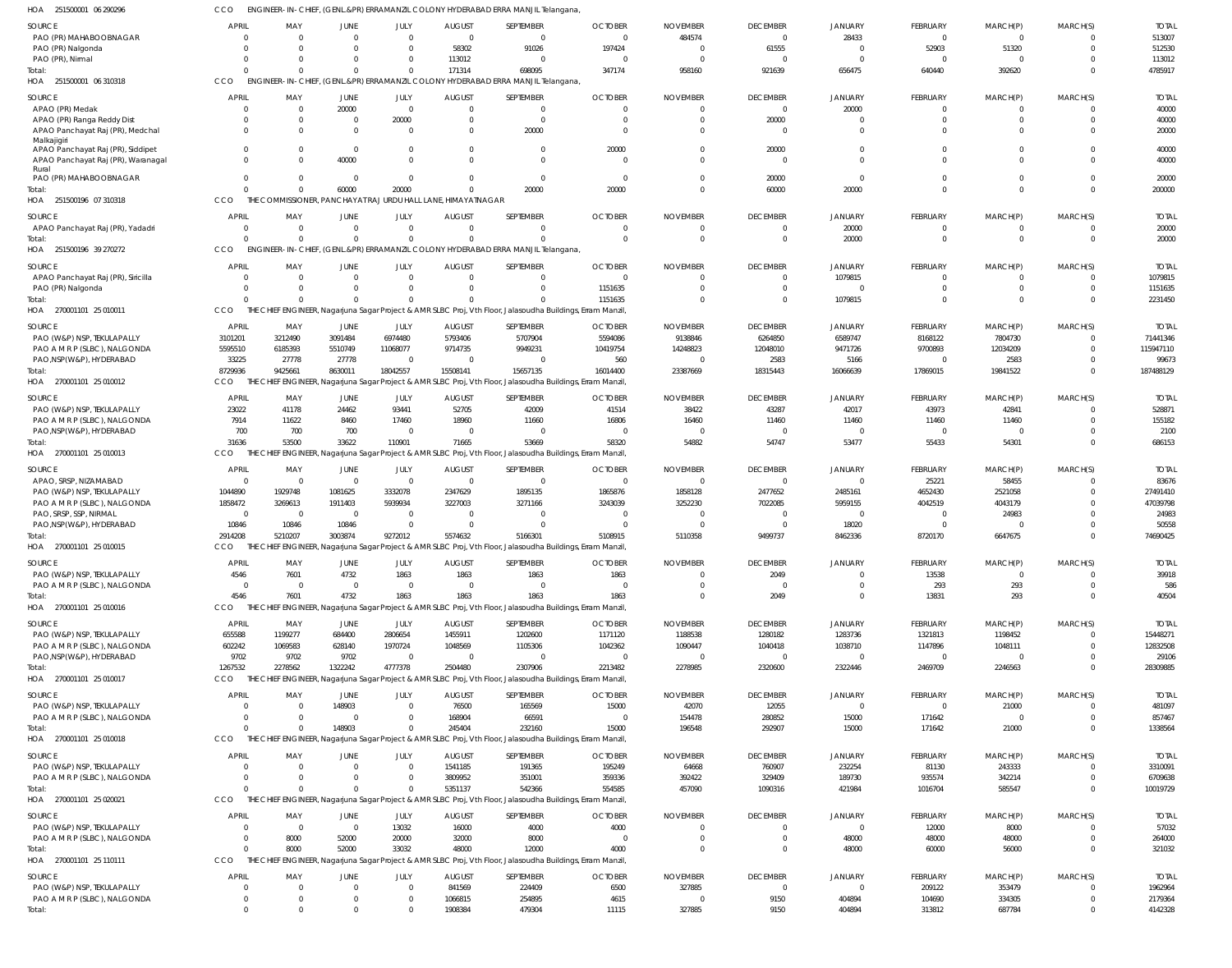251500001 06 290296 HOA CCO ENGINEER-IN-CHIEF, (GENL.&PR) ERRAMANZIL COLONY HYDERABAD ERRA MANJIL Telangana,

| HUA<br>S21200001 00 SANSAC                  |                |          |                        |                |                                                          | INEER-IN-CHIEF, (GENLAPR) ERRAMANZIL COLON 1 HTDERABAD ERRA MANJIL I PIANGATA,                              |                |                 |                 |                |                |             |          |              |
|---------------------------------------------|----------------|----------|------------------------|----------------|----------------------------------------------------------|-------------------------------------------------------------------------------------------------------------|----------------|-----------------|-----------------|----------------|----------------|-------------|----------|--------------|
| SOURCE                                      | <b>APRIL</b>   | MAY      | JUNE                   | JULY           | <b>AUGUST</b>                                            | SEPTEMBER                                                                                                   | <b>OCTOBER</b> | <b>NOVEMBER</b> | <b>DECEMBER</b> | <b>JANUARY</b> | FEBRUARY       | MARCH(P)    | MARCH(S) | <b>TOTAI</b> |
| PAO (PR) MAHABOOBNAGAR                      | $\Omega$       | $\Omega$ | $\Omega$               | $\mathbf{0}$   | $\Omega$                                                 | $\overline{0}$                                                                                              | $\Omega$       | 484574          | $\overline{0}$  | 28433          | $\overline{0}$ | $\mathbf 0$ | $\Omega$ | 513007       |
| PAO (PR) Nalgonda                           | $\Omega$       | $\Omega$ | $\Omega$               | $\mathbf{0}$   | 58302                                                    | 91026                                                                                                       | 197424         | $\Omega$        | 61555           | $\Omega$       | 52903          | 51320       | $\Omega$ | 512530       |
| PAO (PR), Nirmal                            | $\Omega$       | $\Omega$ | <sup>0</sup>           | $\mathbf{0}$   | 113012                                                   | $\overline{0}$                                                                                              | - 0            | $\Omega$        | $\overline{0}$  | $\Omega$       | $^{\circ}$     | $\mathbf 0$ | $\Omega$ | 113012       |
| Total:                                      | $\Omega$       |          | $\Omega$               | $\Omega$       | 171314                                                   | 698095                                                                                                      | 347174         | 958160          | 921639          | 656475         | 640440         | 392620      | $\Omega$ | 4785917      |
| HOA 251500001 06 310318                     | CCO            |          |                        |                |                                                          | ENGINEER-IN-CHIEF, (GENL.&PR) ERRAMANZIL COLONY HYDERABAD ERRA MANJIL Telangana,                            |                |                 |                 |                |                |             |          |              |
|                                             |                |          |                        |                |                                                          |                                                                                                             |                |                 |                 |                |                |             |          |              |
| SOURCE                                      | APRIL          | MAY      | JUNE                   | JULY           | <b>AUGUST</b>                                            | SEPTEMBER                                                                                                   | <b>OCTOBER</b> | <b>NOVEMBER</b> | <b>DECEMBER</b> | JANUARY        | FEBRUARY       | MARCH(P)    | MARCH(S) | <b>TOTAI</b> |
| APAO (PR) Medak                             | $\Omega$       | $\Omega$ | 20000                  | $\mathbf 0$    | $\Omega$                                                 | $\Omega$                                                                                                    |                | -0              | $\overline{0}$  | 20000          | $\Omega$       | $\Omega$    |          | 40000        |
| APAO (PR) Ranga Reddy Dist                  | 0              | $\Omega$ | $\Omega$               | 20000          | $\Omega$                                                 | $\overline{0}$                                                                                              | $\Omega$       | $\Omega$        | 20000           | $\Omega$       | $\Omega$       | $\mathbf 0$ | $\Omega$ | 40000        |
| APAO Panchayat Raj (PR), Medchal            | $\Omega$       |          | $\Omega$               | $\Omega$       | $\Omega$                                                 | 20000                                                                                                       | $\Omega$       |                 | $\Omega$        | $\Omega$       | $\Omega$       | $\Omega$    | $\Omega$ | 20000        |
| Malkajigiri                                 |                |          |                        |                |                                                          |                                                                                                             |                |                 |                 |                |                |             |          |              |
| APAO Panchayat Raj (PR), Siddipet           | $\Omega$       |          | $\Omega$               | $\Omega$       | $\Omega$                                                 | $\overline{0}$                                                                                              | 20000          |                 | 20000           | $\Omega$       | $\Omega$       |             |          | 40000        |
| APAO Panchayat Raj (PR), Waranagal<br>Rural | $\Omega$       |          | 40000                  | $\Omega$       |                                                          | $\Omega$                                                                                                    | $\Omega$       |                 | $\Omega$        | $\Omega$       | $\Omega$       | $\Omega$    | $\Omega$ | 40000        |
| PAO (PR) MAHABOOBNAGAR                      | $\Omega$       |          | $\Omega$               | $\Omega$       | $\Omega$                                                 | $\overline{0}$                                                                                              | $\Omega$       | $\Omega$        | 20000           | $\Omega$       | $\Omega$       | $\Omega$    | $\Omega$ | 20000        |
| Total:                                      | $\Omega$       |          | 60000                  | 20000          |                                                          | 20000                                                                                                       | 20000          |                 | 60000           | 20000          | $\Omega$       | $\Omega$    | $\Omega$ | 200000       |
| HOA 251500196 07 310318                     | CCO            | THE      |                        |                | COMMISSIONER, PANCHAYAT RAJ URDU HALL LANE, HIMAYATNAGAR |                                                                                                             |                |                 |                 |                |                |             |          |              |
|                                             |                |          |                        |                |                                                          |                                                                                                             |                |                 |                 |                |                |             |          |              |
| SOURCE                                      | <b>APRIL</b>   | MAY      | JUNE                   | JULY           | <b>AUGUST</b>                                            | SEPTEMBER                                                                                                   | <b>OCTOBER</b> | <b>NOVEMBER</b> | <b>DECEMBER</b> | <b>JANUARY</b> | FEBRUARY       | MARCH(P)    | MARCH(S) | <b>TOTAI</b> |
| APAO Panchayat Raj (PR), Yadadri            | $\overline{0}$ | $\Omega$ | $\overline{0}$         | $\mathbf{0}$   | $\Omega$                                                 | $\overline{0}$                                                                                              | $\Omega$       | $\Omega$        | $\overline{0}$  | 20000          | $\mathbf 0$    | $\mathbf 0$ | $\Omega$ | 20000        |
| Total:                                      | $\Omega$       | $\Omega$ | $\Omega$               | $\Omega$       |                                                          | $\Omega$                                                                                                    | $\Omega$       | -C              | $\overline{0}$  | 20000          | $\mathbf 0$    | $\mathbf 0$ | $\Omega$ | 20000        |
| HOA 251500196 39 270272                     | CCO            |          |                        |                |                                                          | ENGINEER-IN-CHIEF, (GENL.&PR) ERRAMANZIL COLONY HYDERABAD ERRA MANJIL Telangana,                            |                |                 |                 |                |                |             |          |              |
| SOURCE                                      | APRIL          | MAY      | <b>JUNE</b>            | JULY           | <b>AUGUST</b>                                            | SEPTEMBER                                                                                                   | <b>OCTOBER</b> | <b>NOVEMBER</b> | <b>DECEMBER</b> | JANUARY        | FEBRUARY       | MARCH(P)    | MARCH(S) | <b>TOTAI</b> |
| APAO Panchayat Raj (PR), Siricilla          | $\Omega$       | $\Omega$ | $\Omega$               | $\Omega$       | $\Omega$                                                 | $\Omega$                                                                                                    | - 0            | -0              | $\overline{0}$  | 1079815        | $\Omega$       | $\Omega$    | $\Omega$ | 1079815      |
| PAO (PR) Nalgonda                           | $\Omega$       | $\Omega$ | $\Omega$               | $\Omega$       |                                                          | $\Omega$                                                                                                    | 1151635        | $\cup$          | $\Omega$        | $\Omega$       | $\Omega$       | $\mathbf 0$ | $\Omega$ | 1151635      |
| Total:                                      | $\Omega$       |          | $\Omega$               | $\Omega$       |                                                          | $\Omega$                                                                                                    | 1151635        |                 | $\Omega$        | 1079815        | $\Omega$       | $\Omega$    | $\Omega$ | 2231450      |
|                                             | CCO            |          |                        |                |                                                          | THE CHIEF ENGINEER, Nagarjuna Sagar Project & AMR SLBC Proj, Vth Floor, Jalasoudha Buildings, Erram Manzil, |                |                 |                 |                |                |             |          |              |
| HOA 270001101 25 010011                     |                |          |                        |                |                                                          |                                                                                                             |                |                 |                 |                |                |             |          |              |
| SOURCE                                      | APRIL          | MAY      | JUNE                   | JULY           | <b>AUGUST</b>                                            | SEPTEMBER                                                                                                   | <b>OCTOBER</b> | <b>NOVEMBER</b> | <b>DECEMBER</b> | <b>JANUARY</b> | FEBRUARY       | MARCH(P)    | MARCH(S) | <b>TOTAI</b> |
| PAO (W&P) NSP, TEKULAPALLY                  | 3101201        | 3212490  | 3091484                | 6974480        | 5793406                                                  | 5707904                                                                                                     | 5594086        | 9138846         | 6264850         | 6589747        | 8168122        | 7804730     | $\Omega$ | 71441346     |
| PAO A M R P (SLBC), NALGONDA                | 5595510        | 6185393  | 5510749                | 11068077       | 9714735                                                  | 9949231                                                                                                     | 10419754       | 14248823        | 12048010        | 9471726        | 9700893        | 12034209    | $\Omega$ | 115947110    |
| PAO, NSP (W&P), HYDERABAD                   | 33225          | 27778    | 27778                  | $\mathbf{0}$   |                                                          | $\overline{0}$                                                                                              | 560            | $\Omega$        | 2583            | 5166           | $\Omega$       | 2583        | $\Omega$ | 99673        |
| Total:                                      | 8729936        | 9425661  | 8630011                | 18042557       | 15508141                                                 | 15657135                                                                                                    | 16014400       | 23387669        | 18315443        | 16066639       | 17869015       | 19841522    | $\Omega$ | 187488129    |
| HOA 270001101 25 010012                     | CCO            |          |                        |                |                                                          | THE CHIEF ENGINEER, Nagarjuna Sagar Project & AMR SLBC Proj, Vth Floor, Jalasoudha Buildings, Erram Manzil, |                |                 |                 |                |                |             |          |              |
|                                             |                |          |                        |                |                                                          |                                                                                                             |                |                 |                 |                |                |             |          |              |
| SOURCE                                      | APRIL          | MAY      | JUNE                   | JULY           | <b>AUGUST</b>                                            | SEPTEMBER                                                                                                   | <b>OCTOBER</b> | <b>NOVEMBER</b> | <b>DECEMBER</b> | JANUARY        | FEBRUARY       | MARCH(P)    | MARCH(S) | <b>TOTAI</b> |
| PAO (W&P) NSP, TEKULAPALLY                  | 23022          | 41178    | 24462                  | 93441          | 52705                                                    | 42009                                                                                                       | 41514          | 38422           | 43287           | 42017          | 43973          | 42841       | $\Omega$ | 528871       |
| PAO A M R P (SLBC), NALGONDA                | 7914           | 11622    | 8460                   | 17460          | 18960                                                    | 11660                                                                                                       | 16806          | 16460           | 11460           | 11460          | 11460          | 11460       | $\Omega$ | 155182       |
| PAO, NSP (W&P), HYDERABAD                   | 700            | 700      | 700                    | $\Omega$       |                                                          | $\Omega$                                                                                                    | - 0            | - 0             | $\Omega$        | $\Omega$       | $\Omega$       | $\Omega$    |          | 2100         |
| Total:                                      | 31636          | 53500    | 33622                  | 110901         | 71665                                                    | 53669                                                                                                       | 58320          | 54882           | 54747           | 53477          | 55433          | 54301       | $\Omega$ | 686153       |
| HOA 270001101 25 010013                     | CCO            |          |                        |                |                                                          | THE CHIEF ENGINEER, Nagarjuna Sagar Project & AMR SLBC Proj, Vth Floor, Jalasoudha Buildings, Erram Manzil, |                |                 |                 |                |                |             |          |              |
| SOURCE                                      | <b>APRIL</b>   | MAY      | JUNE                   | JULY           | <b>AUGUST</b>                                            | SEPTEMBER                                                                                                   | <b>OCTOBER</b> | <b>NOVEMBER</b> | <b>DECEMBER</b> | <b>JANUARY</b> | FEBRUARY       | MARCH(P)    | MARCH(S) | <b>TOTAI</b> |
| APAO, SRSP, NIZAMABAD                       | $\overline{0}$ | $\Omega$ | $\overline{0}$         | $\mathbf{0}$   | $\Omega$                                                 | $\overline{0}$                                                                                              | $\Omega$       | $\Omega$        | $\overline{0}$  | $\Omega$       | 25221          | 58455       | $\Omega$ | 83676        |
| PAO (W&P) NSP, TEKULAPALLY                  | 1044890        | 1929748  | 1081625                | 3332078        | 2347629                                                  | 1895135                                                                                                     | 1865876        | 1858128         | 2477652         | 2485161        | 4652430        | 2521058     | $\Omega$ | 27491410     |
| PAO A M R P (SLBC), NALGONDA                | 1858472        | 3269613  | 1911403                | 5939934        | 3227003                                                  | 3271166                                                                                                     | 3243039        | 3252230         | 7022085         | 5959155        | 4042519        | 4043179     | $\Omega$ | 47039798     |
| PAO, SRSP, SSP, NIRMAL                      | $\overline{0}$ | $\Omega$ | $\overline{0}$         | $\overline{0}$ | $\Omega$                                                 | $\overline{0}$                                                                                              | - 0            | - (             | $\overline{0}$  | $\Omega$       | $^{\circ}$     | 24983       | $\Omega$ | 24983        |
| PAO, NSP (W&P), HYDERABAD                   | 10846          | 10846    | 10846                  | $\mathbf{0}$   |                                                          | $\Omega$                                                                                                    | - 0            |                 | $\overline{0}$  | 18020          | $\Omega$       | $\mathbf 0$ | $\Omega$ | 50558        |
| Total:                                      | 2914208        | 5210207  | 3003874                | 9272012        | 5574632                                                  | 5166301                                                                                                     | 5108915        | 5110358         | 9499737         | 8462336        | 8720170        | 6647675     | $\cap$   | 74690425     |
| HOA 270001101 25 010015                     | CCO            |          |                        |                |                                                          | THE CHIEF ENGINEER, Nagarjuna Sagar Project & AMR SLBC Proj, Vth Floor, Jalasoudha Buildings, Erram Manzil, |                |                 |                 |                |                |             |          |              |
|                                             |                |          |                        |                |                                                          |                                                                                                             |                |                 |                 |                |                |             |          |              |
| SOURCE                                      | APRIL          | MAY      | JUNE                   | JULY           | <b>AUGUST</b>                                            | SEPTEMBER                                                                                                   | OCTOBER        | <b>NOVEMBER</b> | <b>DECEMBER</b> | <b>JANUARY</b> | FEBRUARY       | MARCH(P)    | MARCH(S) | <b>TOTAL</b> |
| PAO (W&P) NSP, TEKULAPALLY                  | 4546           | 7601     | 4732                   | 1863           | 1863                                                     | 1863                                                                                                        | 1863           |                 | 2049            | $\Omega$       | 13538          | 0           |          | 39918        |
| PAO A M R P (SLBC), NALGONDA                | $\Omega$       | $\Omega$ | $\Omega$               | $\Omega$       |                                                          | $\Omega$                                                                                                    |                |                 | $\Omega$        | $\Omega$       | 293            | 293         |          | 586          |
| Total:                                      | 4546           | 7601     | 4732                   | 1863           | 1863                                                     | 1863                                                                                                        | 1863           |                 | 2049            | $\overline{0}$ | 13831          | 293         | $\Omega$ | 40504        |
| HOA 270001101 25 010016                     | CCO            |          |                        |                |                                                          | THE CHIEF ENGINEER, Nagarjuna Sagar Project & AMR SLBC Proj, Vth Floor, Jalasoudha Buildings, Erram Manzil, |                |                 |                 |                |                |             |          |              |
|                                             |                |          |                        |                |                                                          |                                                                                                             |                |                 |                 |                |                |             |          |              |
| SOURCE                                      | APRIL          | MAY      | JUNE                   | JULY           | <b>AUGUST</b>                                            | SEPTEMBER                                                                                                   | <b>OCTOBER</b> | <b>NOVEMBER</b> | <b>DECEMBER</b> | JANUARY        | FEBRUARY       | MARCH(P)    | MARCH(S) | <b>TOTAI</b> |
| PAO (W&P) NSP, TEKULAPALLY                  | 655588         | 1199277  | 684400                 | 2806654        | 1455911                                                  | 1202600                                                                                                     | 1171120        | 1188538         | 1280182         | 1283736        | 1321813        | 1198452     |          | 15448271     |
| PAO A M R P (SLBC), NALGONDA                | 602242         | 1069583  | 628140                 | 1970724        | 1048569                                                  | 1105306                                                                                                     | 1042362        | 1090447         | 1040418         | 1038710        | 1147896        | 1048111     | $\Omega$ | 12832508     |
| PAO, NSP (W&P), HYDERABAD                   | 9702           | 9702     | 9702                   | $\overline{0}$ |                                                          | $\overline{0}$                                                                                              | - 0            |                 | $\overline{0}$  | $\Omega$       | $\overline{0}$ | $\mathbf 0$ |          | 29106        |
| Total:                                      | 1267532        | 2278562  | 1322242                | 4777378        | 2504480                                                  | 2307906                                                                                                     | 2213482        | 2278985         | 2320600         | 2322446        | 2469709        | 2246563     | $\Omega$ | 28309885     |
| HOA 270001101 25 010017                     | CCO            |          |                        |                |                                                          | CHIEF ENGINEER, Nagarjuna Sagar Project & AMR SLBC Proj, Vth Floor, Jalasoudha Buildings, Erram Manzil,     |                |                 |                 |                |                |             |          |              |
| SOURCE                                      | <b>APRIL</b>   | MAY      | JUNE                   | JULY           | <b>AUGUST</b>                                            | SEPTEMBER                                                                                                   | <b>OCTOBER</b> | <b>NOVEMBER</b> | <b>DECEMBER</b> | JANUARY        | FEBRUARY       | MARCH(P)    | MARCH(S) | <b>TOTAI</b> |
| PAO (W&P) NSP, TEKULAPALLY                  | $\Omega$       |          | 148903                 | $\Omega$       | 76500                                                    | 165569                                                                                                      | 15000          | 42070           | 12055           | $\Omega$       | $^{\circ}$     | 21000       |          | 481097       |
| PAO A M R P (SLBC), NALGONDA                | $\Omega$       |          | $\Omega$               | $\Omega$       | 168904                                                   | 66591                                                                                                       |                | 154478          | 280852          | 15000          | 171642         | $\mathbf 0$ | $\Omega$ | 857467       |
| Total:                                      | $\Omega$       |          | 148903                 | $\mathbf 0$    | 245404                                                   | 232160                                                                                                      | 15000          | 196548          | 292907          | 15000          | 171642         | 21000       | $\Omega$ | 1338564      |
| HOA 270001101 25 010018                     | CCO            |          |                        |                |                                                          | THE CHIEF ENGINEER, Nagarjuna Sagar Project & AMR SLBC Proj, Vth Floor, Jalasoudha Buildings, Erram Manzil, |                |                 |                 |                |                |             |          |              |
|                                             |                |          |                        |                |                                                          |                                                                                                             |                |                 |                 |                |                |             |          |              |
| SOURCE                                      | <b>APRIL</b>   | MAY      | JUNE                   | JULY           | <b>AUGUST</b>                                            | SEPTEMBER                                                                                                   | <b>OCTOBER</b> | <b>NOVEMBER</b> | <b>DECEMBER</b> | JANUARY        | FEBRUARY       | MARCH(P)    | MARCH(S) | <b>TOTAL</b> |
| PAO (W&P) NSP, TEKULAPALLY                  | $\Omega$       |          | $\overline{0}$         | $\mathbf{0}$   | 1541185                                                  | 191365                                                                                                      | 195249         | 64668           | 760907          | 232254         | 81130          | 243333      |          | 3310091      |
| PAO A M R P (SLBC), NALGONDA                | $\overline{0}$ | $\Omega$ | $\mathbf 0$            | $\Omega$       | 3809952                                                  | 351001                                                                                                      | 359336         | 392422          | 329409          | 189730         | 935574         | 342214      | $\Omega$ | 6709638      |
| Total:                                      | $\Omega$       |          | $\Omega$               | $\mathbf{0}$   | 5351137                                                  | 542366                                                                                                      | 554585         | 457090          | 1090316         | 421984         | 1016704        | 585547      | $\Omega$ | 10019729     |
| HOA 270001101 25 020021                     | CCO            |          |                        |                |                                                          | THE CHIEF ENGINEER, Nagarjuna Sagar Project & AMR SLBC Proj, Vth Floor, Jalasoudha Buildings, Erram Manzil, |                |                 |                 |                |                |             |          |              |
| SOURCE                                      | <b>APRIL</b>   | MAY      |                        | JULY           | <b>AUGUST</b>                                            | SEPTEMBER                                                                                                   | <b>OCTOBER</b> | <b>NOVEMBER</b> | <b>DECEMBER</b> | JANUARY        | FEBRUARY       | MARCH(P)    | MARCH(S) | <b>TOTAL</b> |
|                                             |                | $\Omega$ | JUNE<br>$\overline{0}$ |                |                                                          |                                                                                                             |                |                 |                 | $\Omega$       |                |             |          |              |
| PAO (W&P) NSP, TEKULAPALLY                  | 0              |          |                        | 13032          | 16000                                                    | 4000                                                                                                        | 4000<br>- 0    |                 | $\overline{0}$  |                | 12000          | 8000        |          | 57032        |
| PAO A M R P (SLBC), NALGONDA                | 0              | 8000     | 52000                  | 20000          | 32000                                                    | 8000                                                                                                        |                |                 | $\overline{0}$  | 48000          | 48000          | 48000       |          | 264000       |
| Total:                                      | $\Omega$       | 8000     | 52000                  | 33032          | 48000                                                    | 12000                                                                                                       | 4000           |                 | $\Omega$        | 48000          | 60000          | 56000       | $\Omega$ | 321032       |
| HOA 270001101 25 110111                     | CCO            |          |                        |                |                                                          | THE CHIEF ENGINEER, Nagarjuna Sagar Project & AMR SLBC Proj, Vth Floor, Jalasoudha Buildings, Erram Manzil, |                |                 |                 |                |                |             |          |              |
| SOURCE                                      | <b>APRIL</b>   | MAY      | JUNE                   | JULY           | <b>AUGUST</b>                                            | SEPTEMBER                                                                                                   | <b>OCTOBER</b> | <b>NOVEMBER</b> | <b>DECEMBER</b> | JANUARY        | FEBRUARY       | MARCH(P)    | MARCH(S) | <b>TOTAL</b> |
| PAO (W&P) NSP, TEKULAPALLY                  | 0              | $\Omega$ | $\overline{0}$         | $\mathbf{0}$   | 841569                                                   | 224409                                                                                                      | 6500           | 327885          | $\overline{0}$  | $\overline{0}$ | 209122         | 353479      | $\Omega$ | 1962964      |
| PAO A M R P (SLBC), NALGONDA                | 0              | $\Omega$ | $\mathbf{0}$           | $\mathbf{0}$   | 1066815                                                  | 254895                                                                                                      | 4615           |                 | 9150            | 404894         | 104690         | 334305      | $\Omega$ | 2179364      |
| Total:                                      | $\mathbf 0$    |          | $\Omega$               | $\mathbf 0$    | 1908384                                                  | 479304                                                                                                      | 11115          | 327885          | 9150            | 404894         | 313812         | 687784      | $\Omega$ | 4142328      |
|                                             |                |          |                        |                |                                                          |                                                                                                             |                |                 |                 |                |                |             |          |              |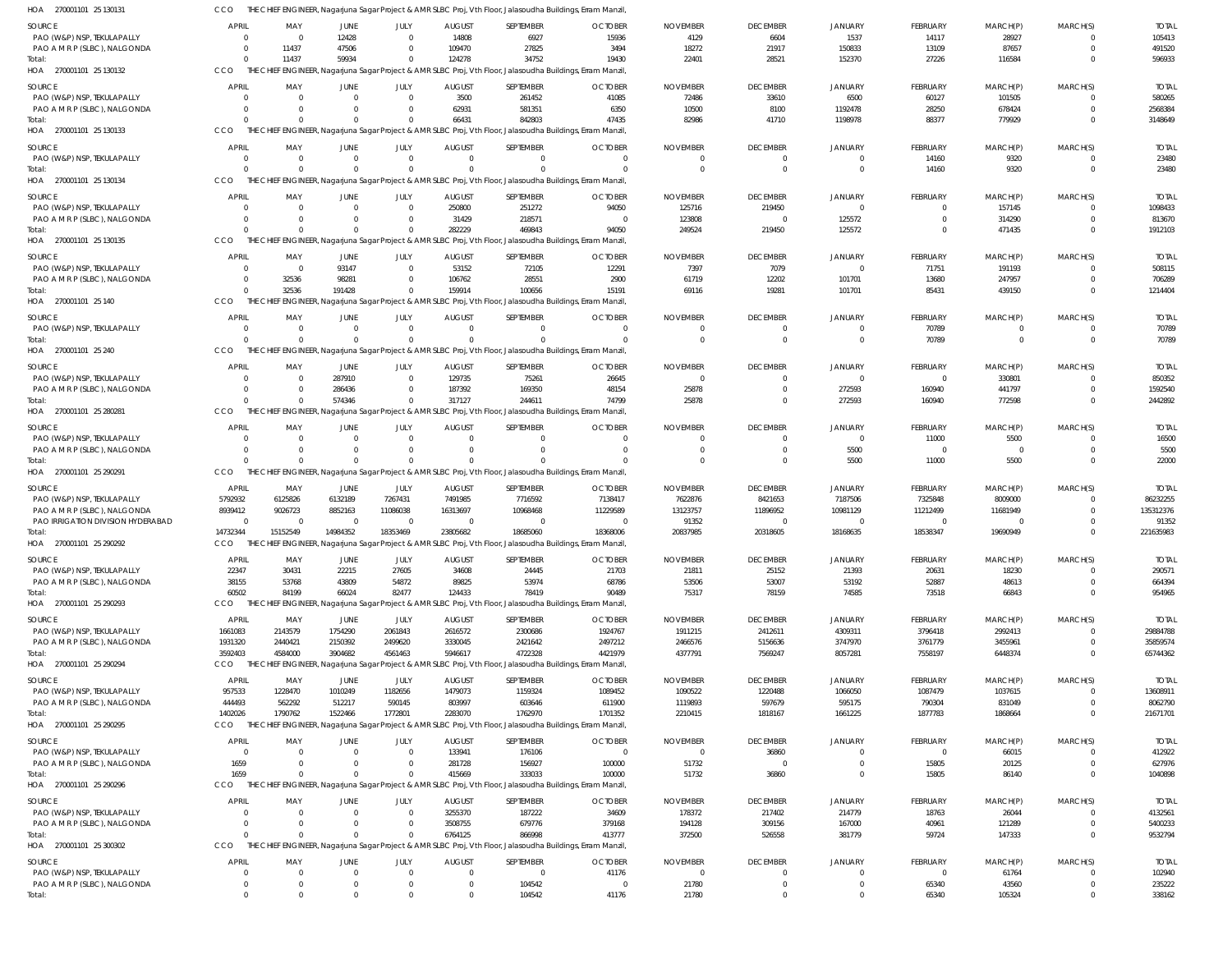| HOA 270001101 25 130131                                    | CCO                      |                                  |                                  |                                  |                                  | THE CHIEF ENGINEER, Nagarjuna Sagar Project & AMR SLBC Proj, Vth Floor, Jalasoudha Buildings, Erram Manzil            |                            |                                   |                                 |                                |                         |                    |                            |                         |
|------------------------------------------------------------|--------------------------|----------------------------------|----------------------------------|----------------------------------|----------------------------------|-----------------------------------------------------------------------------------------------------------------------|----------------------------|-----------------------------------|---------------------------------|--------------------------------|-------------------------|--------------------|----------------------------|-------------------------|
| <b>SOURCE</b>                                              | <b>APRIL</b>             | MAY                              | <b>JUNE</b>                      | JULY                             | <b>AUGUST</b>                    | SEPTEMBER                                                                                                             | <b>OCTOBER</b>             | <b>NOVEMBER</b>                   | <b>DECEMBER</b>                 | JANUARY                        | FEBRUARY                | MARCH(P)           | MARCH(S)                   | <b>TOTAL</b>            |
| PAO (W&P) NSP, TEKULAPALLY                                 | $\Omega$                 | $\overline{0}$                   | 12428                            | $\overline{0}$                   | 14808                            | 6927                                                                                                                  | 15936                      | 4129                              | 6604                            | 1537                           | 14117                   | 28927              | $\Omega$                   | 105413                  |
| PAO A M R P (SLBC), NALGONDA                               | $\Omega$<br>$\Omega$     | 11437                            | 47506                            | $\Omega$                         | 109470                           | 27825                                                                                                                 | 3494                       | 18272                             | 21917                           | 150833                         | 13109                   | 87657              | $\mathbf 0$<br>$\Omega$    | 491520<br>596933        |
| Total:<br>HOA 270001101 25 130132                          | CCO                      | 11437                            | 59934                            | $\mathbf{0}$                     | 124278                           | 34752<br>THE CHIEF ENGINEER, Nagarjuna Sagar Project & AMR SLBC Proj, Vth Floor, Jalasoudha Buildings, Erram Manzil,  | 19430                      | 22401                             | 28521                           | 152370                         | 27226                   | 116584             |                            |                         |
|                                                            | <b>APRIL</b>             | MAY                              |                                  |                                  |                                  |                                                                                                                       |                            |                                   |                                 |                                |                         |                    |                            | <b>TOTAL</b>            |
| SOURCE<br>PAO (W&P) NSP, TEKULAPALLY                       | $\Omega$                 | $\overline{0}$                   | JUNE<br>$\overline{0}$           | JULY<br>$\overline{0}$           | <b>AUGUST</b><br>3500            | SEPTEMBER<br>261452                                                                                                   | <b>OCTOBER</b><br>41085    | <b>NOVEMBER</b><br>72486          | <b>DECEMBER</b><br>33610        | JANUARY<br>6500                | FEBRUARY<br>60127       | MARCH(P)<br>101505 | MARCH(S)<br>$\Omega$       | 580265                  |
| PAO A M R P (SLBC), NALGONDA                               | $\Omega$                 | $\Omega$                         | $\overline{0}$                   | $\overline{0}$                   | 62931                            | 581351                                                                                                                | 6350                       | 10500                             | 8100                            | 1192478                        | 28250                   | 678424             | $\mathbf 0$                | 2568384                 |
| Total:                                                     | $\cap$                   | $\Omega$                         | $\Omega$                         | $\Omega$                         | 66431                            | 842803                                                                                                                | 47435                      | 82986                             | 41710                           | 1198978                        | 88377                   | 779929             | $\Omega$                   | 3148649                 |
| HOA 270001101 25 130133                                    | CCO                      |                                  |                                  |                                  |                                  | THE CHIEF ENGINEER, Nagarjuna Sagar Project & AMR SLBC Proj, Vth Floor, Jalasoudha Buildings, Erram Manzil,           |                            |                                   |                                 |                                |                         |                    |                            |                         |
| SOURCE                                                     | <b>APRIL</b>             | MAY                              | <b>JUNE</b>                      | JULY                             | <b>AUGUST</b>                    | SEPTEMBER                                                                                                             | <b>OCTOBER</b>             | <b>NOVEMBER</b>                   | <b>DECEMBER</b>                 | JANUARY                        | FEBRUARY                | MARCH(P)           | MARCH(S)                   | <b>TOTAL</b>            |
| PAO (W&P) NSP, TEKULAPALLY                                 | $\Omega$                 | $\overline{0}$                   | $\overline{0}$                   | $\mathbf{0}$                     | $\overline{0}$                   | $\Omega$                                                                                                              | $\Omega$                   | $\Omega$                          | $\mathbf 0$                     | $\mathbf{0}$                   | 14160                   | 9320               | $\Omega$                   | 23480                   |
| Total:<br>HOA 270001101 25 130134                          | $\Omega$<br>CCO          | $\Omega$                         | $\Omega$                         | $\Omega$                         | $\Omega$                         | THE CHIEF ENGINEER, Nagarjuna Sagar Project & AMR SLBC Proj, Vth Floor, Jalasoudha Buildings, Erram Manzil            | $\Omega$                   | $\Omega$                          | $\mathbf 0$                     | $\mathbf 0$                    | 14160                   | 9320               | $\mathbf 0$                | 23480                   |
|                                                            |                          |                                  |                                  |                                  |                                  |                                                                                                                       |                            |                                   |                                 |                                |                         |                    |                            |                         |
| <b>SOURCE</b><br>PAO (W&P) NSP, TEKULAPALLY                | APRIL<br>$\Omega$        | MAY<br>$\overline{0}$            | <b>JUNE</b><br>$\overline{0}$    | JULY<br>$\overline{0}$           | <b>AUGUST</b><br>250800          | SEPTEMBER<br>251272                                                                                                   | <b>OCTOBER</b><br>94050    | <b>NOVEMBER</b><br>125716         | <b>DECEMBER</b><br>219450       | JANUARY<br>$\mathbf 0$         | FEBRUARY                | MARCH(P)<br>157145 | MARCH(S)<br>$\Omega$       | <b>TOTAL</b><br>1098433 |
| PAO A M R P (SLBC), NALGONDA                               | $\Omega$                 | $\Omega$                         | $\overline{0}$                   | $\overline{0}$                   | 31429                            | 218571                                                                                                                | $\overline{0}$             | 123808                            | $\mathbf{0}$                    | 125572                         |                         | 314290             | $\mathbf 0$                | 813670                  |
| Total:                                                     | $\cap$                   | $\Omega$                         | $\Omega$                         | $\Omega$                         | 282229                           | 469843                                                                                                                | 94050                      | 249524                            | 219450                          | 125572                         | $\Omega$                | 471435             | $\Omega$                   | 1912103                 |
| HOA 270001101 25 130135                                    | CCO                      |                                  |                                  |                                  |                                  | THE CHIEF ENGINEER, Nagarjuna Sagar Project & AMR SLBC Proj, Vth Floor, Jalasoudha Buildings, Erram Manzil,           |                            |                                   |                                 |                                |                         |                    |                            |                         |
| SOURCE                                                     | <b>APRIL</b>             | MAY                              | JUNE                             | JULY                             | <b>AUGUST</b>                    | SEPTEMBER                                                                                                             | <b>OCTOBER</b>             | <b>NOVEMBER</b>                   | <b>DECEMBER</b>                 | JANUARY                        | FEBRUARY                | MARCH(P)           | MARCH(S)                   | <b>TOTAL</b>            |
| PAO (W&P) NSP, TEKULAPALLY                                 | $\Omega$                 | $\Omega$                         | 93147                            | $\overline{0}$                   | 53152                            | 72105                                                                                                                 | 12291                      | 7397                              | 7079                            | $\mathbf{0}$                   | 71751                   | 191193             | $\Omega$                   | 508115                  |
| PAO A M R P (SLBC), NALGONDA                               | $\Omega$                 | 32536                            | 98281                            | $\mathbf 0$                      | 106762                           | 28551                                                                                                                 | 2900                       | 61719                             | 12202                           | 101701                         | 13680                   | 247957             | $\mathbf 0$                | 706289                  |
| Total:<br>HOA 270001101 25 140                             | CCO                      | 32536                            | 191428                           | $\Omega$                         | 159914                           | 100656<br>THE CHIEF ENGINEER, Nagarjuna Sagar Project & AMR SLBC Proj, Vth Floor, Jalasoudha Buildings, Erram Manzil, | 15191                      | 69116                             | 19281                           | 101701                         | 85431                   | 439150             | $\Omega$                   | 1214404                 |
|                                                            |                          |                                  |                                  |                                  |                                  |                                                                                                                       |                            |                                   |                                 |                                |                         |                    |                            |                         |
| SOURCE<br>PAO (W&P) NSP, TEKULAPALLY                       | <b>APRIL</b><br>$\Omega$ | MAY<br>$\overline{0}$            | JUNE<br>$\overline{0}$           | JULY<br>$\mathbf{0}$             | <b>AUGUST</b><br>$\overline{0}$  | SEPTEMBER<br>$\Omega$                                                                                                 | <b>OCTOBER</b><br>$\Omega$ | <b>NOVEMBER</b><br>$\overline{0}$ | <b>DECEMBER</b><br>$\mathbf{0}$ | <b>JANUARY</b><br>$\mathbf{0}$ | FEBRUARY<br>70789       | MARCH(P)<br>- 0    | MARCH(S)<br>$\mathbf 0$    | <b>TOTAL</b><br>70789   |
| Total:                                                     | $\cap$                   | $\Omega$                         | $\overline{0}$                   | $\Omega$                         | - 0                              |                                                                                                                       | $\Omega$                   | $\Omega$                          | $\mathbf 0$                     | $\mathbf 0$                    | 70789                   | $\Omega$           | $\mathbf{0}$               | 70789                   |
| HOA 270001101 25 240                                       | CCO                      |                                  |                                  |                                  |                                  | THE CHIEF ENGINEER, Nagarjuna Sagar Project & AMR SLBC Proj, Vth Floor, Jalasoudha Buildings, Erram Manzil            |                            |                                   |                                 |                                |                         |                    |                            |                         |
| <b>SOURCE</b>                                              | <b>APRIL</b>             | MAY                              | <b>JUNE</b>                      | JULY                             | <b>AUGUST</b>                    | SEPTEMBER                                                                                                             | <b>OCTOBER</b>             | <b>NOVEMBER</b>                   | <b>DECEMBER</b>                 | <b>JANUARY</b>                 | FEBRUARY                | MARCH(P)           | MARCH(S)                   | <b>TOTAL</b>            |
| PAO (W&P) NSP, TEKULAPALLY                                 | $\Omega$                 | $\Omega$                         | 287910                           | $\overline{0}$                   | 129735                           | 75261                                                                                                                 | 26645                      | $\Omega$                          | $^{\circ}$                      | $\Omega$                       | $\Omega$                | 330801             | $\Omega$                   | 850352                  |
| PAO A M R P (SLBC), NALGONDA                               | $\Omega$                 | $\overline{0}$                   | 286436                           | $\overline{0}$                   | 187392                           | 169350                                                                                                                | 48154                      | 25878                             | $\mathbf 0$                     | 272593                         | 160940                  | 441797             | $\mathbf 0$                | 1592540                 |
| Total:                                                     |                          | $\Omega$                         | 574346                           | $\Omega$                         | 317127                           | 244611                                                                                                                | 74799                      | 25878                             | $\mathbf 0$                     | 272593                         | 160940                  | 772598             | $\Omega$                   | 2442892                 |
| HOA 270001101 25 280281                                    | CCO                      |                                  |                                  |                                  |                                  | THE CHIEF ENGINEER, Nagarjuna Sagar Project & AMR SLBC Proj, Vth Floor, Jalasoudha Buildings, Erram Manzil,           |                            |                                   |                                 |                                |                         |                    |                            |                         |
| SOURCE                                                     | <b>APRIL</b>             | MAY                              | JUNE                             | JULY                             | <b>AUGUST</b>                    | SEPTEMBER                                                                                                             | <b>OCTOBER</b>             | <b>NOVEMBER</b>                   | <b>DECEMBER</b>                 | JANUARY                        | FEBRUARY                | MARCH(P)           | MARCH(S)                   | <b>TOTAL</b>            |
| PAO (W&P) NSP, TEKULAPALLY<br>PAO A M R P (SLBC), NALGONDA | $\Omega$<br>$\Omega$     | $\Omega$<br>$\overline{0}$       | $\overline{0}$<br>$\overline{0}$ | $\overline{0}$<br>$\overline{0}$ | $\overline{0}$<br>$\overline{0}$ | $\Omega$                                                                                                              | $\Omega$<br>$\Omega$       | $\Omega$<br>$\overline{0}$        | $\mathbf 0$<br>$\mathbf 0$      | $\mathbf 0$<br>5500            | 11000<br>$\Omega$       | 5500<br>$\Omega$   | $\mathbf 0$<br>$\mathbf 0$ | 16500<br>5500           |
| Total:                                                     | $\cap$                   | $\Omega$                         | $\Omega$                         | $\Omega$                         | $\Omega$                         |                                                                                                                       |                            | $\Omega$                          | $\mathbf 0$                     | 5500                           | 11000                   | 5500               | $\mathbf 0$                | 22000                   |
| HOA 270001101 25 290291                                    | CCO                      |                                  |                                  |                                  |                                  | THE CHIEF ENGINEER, Nagarjuna Sagar Project & AMR SLBC Proj, Vth Floor, Jalasoudha Buildings, Erram Manzil            |                            |                                   |                                 |                                |                         |                    |                            |                         |
| SOURCE                                                     | <b>APRIL</b>             | MAY                              | JUNE                             | JULY                             | <b>AUGUST</b>                    | SEPTEMBER                                                                                                             | <b>OCTOBER</b>             | <b>NOVEMBER</b>                   | <b>DECEMBER</b>                 | JANUARY                        | FEBRUARY                | MARCH(P)           | MARCH(S)                   | <b>TOTAL</b>            |
| PAO (W&P) NSP, TEKULAPALLY                                 | 5792932                  | 6125826                          | 6132189                          | 7267431                          | 7491985                          | 7716592                                                                                                               | 7138417                    | 7622876                           | 8421653                         | 7187506                        | 7325848                 | 8009000            | $\Omega$                   | 86232255                |
| PAO A M R P (SLBC), NALGONDA                               | 8939412                  | 9026723                          | 8852163                          | 11086038                         | 16313697                         | 10968468                                                                                                              | 11229589                   | 13123757                          | 11896952                        | 10981129                       | 11212499                | 11681949           | $\Omega$                   | 135312376               |
| PAO IRRIGATION DIVISION HYDERABAD<br>Total:                | $\Omega$<br>14732344     | $\overline{0}$<br>15152549       | $\overline{0}$<br>14984352       | $\overline{0}$<br>18353469       | $\overline{0}$<br>23805682       | $\Omega$<br>18685060                                                                                                  | $\Omega$<br>18368006       | 91352<br>20837985                 | 0<br>20318605                   | 0<br>18168635                  | $\Omega$<br>18538347    | 19690949           | $\Omega$<br>$\Omega$       | 91352<br>221635983      |
| HOA 270001101 25 290292                                    | CCO                      |                                  |                                  |                                  |                                  | THE CHIEF ENGINEER, Nagarjuna Sagar Project & AMR SLBC Proj, Vth Floor, Jalasoudha Buildings, Erram Manzil            |                            |                                   |                                 |                                |                         |                    |                            |                         |
| SOURCE                                                     | <b>APRIL</b>             | MAY                              | JUNE                             | JULY                             | <b>AUGUST</b>                    | SEPTEMBER                                                                                                             | <b>OCTOBER</b>             | <b>NOVEMBER</b>                   | <b>DECEMBER</b>                 | <b>JANUARY</b>                 | FEBRUARY                | MARCH(P)           | MARCH(S)                   | <b>TOTAL</b>            |
| PAO (W&P) NSP, TEKULAPALLY                                 | 22347                    | 30431                            | 22215                            | 27605                            | 34608                            | 24445                                                                                                                 | 21703                      | 21811                             | 25152                           | 21393                          | 20631                   | 18230              | 0                          | 290571                  |
| PAO A M R P (SLBC), NALGONDA                               | 38155                    | 53768                            | 43809                            | 54872                            | 89825                            | 53974                                                                                                                 | 68786                      | 53506                             | 53007                           | 53192                          | 52887                   | 48613              | $\mathbf 0$                | 664394                  |
| Total:                                                     | 60502                    | 84199                            | 66024                            | 82477                            | 124433                           | 78419                                                                                                                 | 90489                      | 75317                             | 78159                           | 74585                          | 73518                   | 66843              | $\mathbf 0$                | 954965                  |
| HOA 270001101 25 290293                                    | CCO                      |                                  |                                  |                                  |                                  | THE CHIEF ENGINEER, Nagarjuna Sagar Project & AMR SLBC Proj, Vth Floor, Jalasoudha Buildings, Erram Manzil,           |                            |                                   |                                 |                                |                         |                    |                            |                         |
| SOURCE                                                     | <b>APRIL</b>             | MAY                              | JUNE                             | JULY                             | <b>AUGUST</b>                    | SEPTEMBER                                                                                                             | <b>OCTOBER</b>             | <b>NOVEMBER</b>                   | <b>DECEMBER</b>                 | JANUARY                        | FEBRUARY                | MARCH(P)           | MARCH(S)                   | <b>TOTAL</b>            |
| PAO (W&P) NSP, TEKULAPALLY                                 | 1661083                  | 2143579                          | 1754290                          | 2061843                          | 2616572                          | 2300686                                                                                                               | 1924767                    | 1911215                           | 2412611                         | 4309311                        | 3796418                 | 2992413            | $\Omega$                   | 29884788                |
| PAO A M R P (SLBC), NALGONDA<br>Total:                     | 1931320<br>3592403       | 2440421<br>4584000               | 2150392<br>3904682               | 2499620<br>4561463               | 3330045<br>5946617               | 2421642<br>4722328                                                                                                    | 2497212<br>4421979         | 2466576<br>4377791                | 5156636<br>7569247              | 3747970<br>8057281             | 3761779<br>7558197      | 3455961<br>6448374 | $\mathbf 0$<br>$\mathbf 0$ | 35859574<br>65744362    |
| HOA 270001101 25 290294                                    | CCO                      |                                  |                                  |                                  |                                  | THE CHIEF ENGINEER, Nagarjuna Sagar Project & AMR SLBC Proj, Vth Floor, Jalasoudha Buildings, Erram Manzil,           |                            |                                   |                                 |                                |                         |                    |                            |                         |
| SOURCE                                                     | <b>APRIL</b>             | MAY                              | JUNE                             | JULY                             | <b>AUGUST</b>                    | SEPTEMBER                                                                                                             | <b>OCTOBER</b>             | <b>NOVEMBER</b>                   | <b>DECEMBER</b>                 | JANUARY                        | FEBRUARY                | MARCH(P)           | MARCH(S)                   | <b>TOTAL</b>            |
| PAO (W&P) NSP, TEKULAPALLY                                 | 957533                   | 1228470                          | 1010249                          | 1182656                          | 1479073                          | 1159324                                                                                                               | 1089452                    | 1090522                           | 1220488                         | 1066050                        | 1087479                 | 1037615            | $\Omega$                   | 13608911                |
| PAO A M R P (SLBC), NALGONDA                               | 444493                   | 562292                           | 512217                           | 590145                           | 803997                           | 603646                                                                                                                | 611900                     | 1119893                           | 597679                          | 595175                         | 790304                  | 831049             | $\mathbf 0$                | 8062790                 |
| Total:                                                     | 1402026                  | 1790762                          | 1522466                          | 1772801                          | 2283070                          | 1762970                                                                                                               | 1701352                    | 2210415                           | 1818167                         | 1661225                        | 1877783                 | 1868664            | $\mathbf 0$                | 21671701                |
| HOA 270001101 25 290295                                    | CCO                      |                                  |                                  |                                  |                                  | THE CHIEF ENGINEER, Nagarjuna Sagar Project & AMR SLBC Proj, Vth Floor, Jalasoudha Buildings, Erram Manzil,           |                            |                                   |                                 |                                |                         |                    |                            |                         |
| SOURCE                                                     | <b>APRIL</b>             | MAY                              | JUNE                             | JULY                             | <b>AUGUST</b>                    | SEPTEMBER                                                                                                             | <b>OCTOBER</b>             | <b>NOVEMBER</b>                   | <b>DECEMBER</b>                 | JANUARY                        | FEBRUARY                | MARCH(P)           | MARCH(S)                   | <b>TOTAL</b>            |
| PAO (W&P) NSP, TEKULAPALLY                                 |                          | $\Omega$                         | $\overline{0}$                   | $\overline{0}$                   | 133941                           | 176106                                                                                                                | $\Omega$                   | $\overline{0}$                    | 36860                           | 0                              | $\Omega$                | 66015              | $\Omega$                   | 412922                  |
| PAO A M R P (SLBC), NALGONDA<br>Total:                     | 1659<br>1659             | $\overline{0}$<br>$\Omega$       | $\overline{0}$<br>$\overline{0}$ | $\overline{0}$<br>$\Omega$       | 281728<br>415669                 | 156927<br>333033                                                                                                      | 100000<br>100000           | 51732<br>51732                    | 0<br>36860                      | $\mathbf{0}$<br>$\mathbf 0$    | 15805<br>15805          | 20125<br>86140     | $\mathbf 0$<br>$\mathbf 0$ | 627976<br>1040898       |
| HOA 270001101 25 290296                                    | CCO                      |                                  |                                  |                                  |                                  | THE CHIEF ENGINEER, Nagarjuna Sagar Project & AMR SLBC Proj, Vth Floor, Jalasoudha Buildings, Erram Manzil            |                            |                                   |                                 |                                |                         |                    |                            |                         |
| SOURCE                                                     | <b>APRIL</b>             | MAY                              | JUNE                             | JULY                             | <b>AUGUST</b>                    | SEPTEMBER                                                                                                             | <b>OCTOBER</b>             | <b>NOVEMBER</b>                   | <b>DECEMBER</b>                 | JANUARY                        | FEBRUARY                | MARCH(P)           | MARCH(S)                   | <b>TOTAL</b>            |
| PAO (W&P) NSP, TEKULAPALLY                                 | $\Omega$                 | $\overline{0}$                   | $\overline{0}$                   | $\overline{0}$                   | 3255370                          | 187222                                                                                                                | 34609                      | 178372                            | 217402                          | 214779                         | 18763                   | 26044              | 0                          | 4132561                 |
| PAO A M R P (SLBC), NALGONDA                               | $\Omega$                 | $\overline{0}$                   | $\overline{0}$                   | $\overline{0}$                   | 3508755                          | 679776                                                                                                                | 379168                     | 194128                            | 309156                          | 167000                         | 40961                   | 121289             | $\mathbf 0$                | 5400233                 |
| Total:                                                     | $\cap$                   | $\Omega$                         | $\Omega$                         | $\Omega$                         | 6764125                          | 866998                                                                                                                | 413777                     | 372500                            | 526558                          | 381779                         | 59724                   | 147333             | $\mathbf 0$                | 9532794                 |
| HOA 270001101 25 300302                                    | <b>CCO</b>               |                                  |                                  |                                  |                                  | THE CHIEF ENGINEER, Nagarjuna Sagar Project & AMR SLBC Proj, Vth Floor, Jalasoudha Buildings, Erram Manzil,           |                            |                                   |                                 |                                |                         |                    |                            |                         |
| SOURCE                                                     | <b>APRIL</b>             | MAY                              | JUNE                             | JULY                             | <b>AUGUST</b>                    | SEPTEMBER                                                                                                             | <b>OCTOBER</b>             | <b>NOVEMBER</b>                   | <b>DECEMBER</b>                 | JANUARY                        | FEBRUARY                | MARCH(P)           | MARCH(S)                   | <b>TOTAL</b>            |
| PAO (W&P) NSP, TEKULAPALLY<br>PAO A M R P (SLBC), NALGONDA | $\overline{0}$           | $\overline{0}$<br>$\overline{0}$ | $\overline{0}$<br>$\overline{0}$ | $\overline{0}$<br>$\overline{0}$ | $\overline{0}$<br>$\mathbf 0$    | $\Omega$<br>104542                                                                                                    | 41176<br>$\mathbf 0$       | $\overline{0}$<br>21780           | $\mathbf 0$<br>$\mathbf 0$      | $\mathbf{0}$<br>$\mathbf 0$    | $\overline{0}$<br>65340 | 61764<br>43560     | $\Omega$<br>0              | 102940<br>235222        |
| Total:                                                     | $\Omega$                 | $\Omega$                         | $\Omega$                         | $\Omega$                         | $\mathbf 0$                      | 104542                                                                                                                | 41176                      | 21780                             | $\mathbf 0$                     | $\mathbf 0$                    | 65340                   | 105324             | $\mathbf 0$                | 338162                  |
|                                                            |                          |                                  |                                  |                                  |                                  |                                                                                                                       |                            |                                   |                                 |                                |                         |                    |                            |                         |

CCO THE CHIEF ENGINEER, Nagarjuna Sagar Project & AMR SLBC Proj, Vth Floor, Jalasoudha Buildings, Erram Manzil,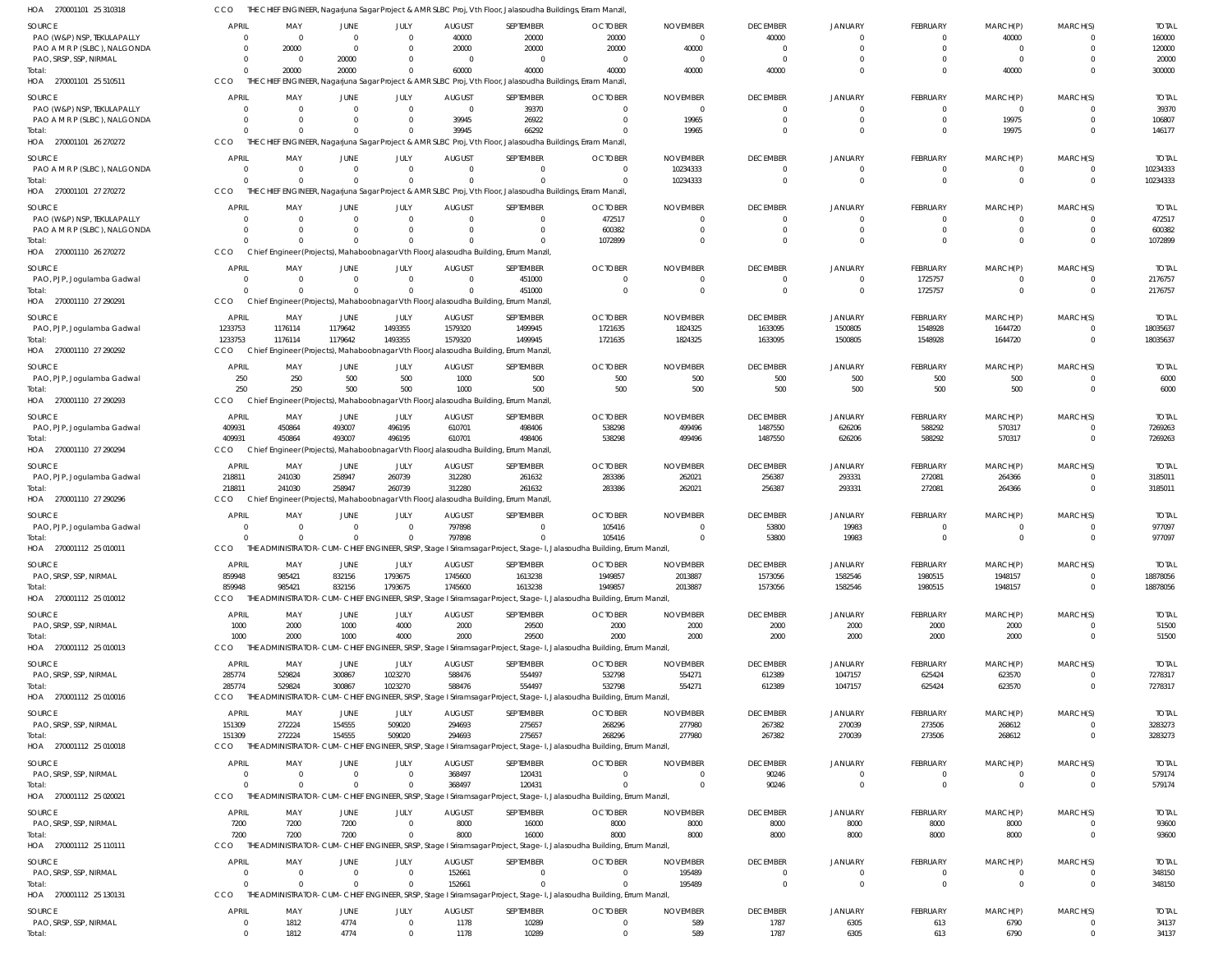| HOA 270001101 25 310318                                    | CCO                            |                                                                                       |                                |                        |                          | THE CHIEF ENGINEER, Nagarjuna Sagar Project & AMR SLBC Proj, Vth Floor, Jalasoudha Buildings, Erram Manzil, |                                                                                                                                  |                                   |                            |                           |                                 |                                  |                                  |                          |
|------------------------------------------------------------|--------------------------------|---------------------------------------------------------------------------------------|--------------------------------|------------------------|--------------------------|-------------------------------------------------------------------------------------------------------------|----------------------------------------------------------------------------------------------------------------------------------|-----------------------------------|----------------------------|---------------------------|---------------------------------|----------------------------------|----------------------------------|--------------------------|
| <b>SOURCE</b>                                              | <b>APRIL</b>                   | MAY                                                                                   | <b>JUNE</b>                    | JULY                   | <b>AUGUST</b>            | SEPTEMBER                                                                                                   | <b>OCTOBER</b>                                                                                                                   | <b>NOVEMBER</b>                   | <b>DECEMBER</b>            | <b>JANUARY</b>            | <b>FEBRUARY</b>                 | MARCH(P)                         | MARCH(S)                         | <b>TOTAL</b>             |
| PAO (W&P) NSP, TEKULAPALLY                                 | $\Omega$                       | $\overline{\mathbf{0}}$                                                               | $\overline{0}$                 | $\Omega$               | 40000                    | 20000                                                                                                       | 20000                                                                                                                            | $\overline{\mathbf{0}}$           | 40000                      |                           | $\overline{0}$                  | 40000                            | $\Omega$                         | 160000                   |
| PAO A M R P (SLBC), NALGONDA                               | $\overline{0}$                 | 20000                                                                                 | $\overline{0}$                 | $\Omega$               | 20000                    | 20000                                                                                                       | 20000                                                                                                                            | 40000                             | $\Omega$                   | $\Omega$                  | $\mathbf{0}$                    | $\overline{0}$                   | $\mathbf 0$                      | 120000                   |
| PAO, SRSP, SSP, NIRMAL<br>Total:                           | $\Omega$<br>$\Omega$           | $\overline{\mathbf{0}}$<br>20000                                                      | 20000<br>20000                 | $\Omega$<br>$\Omega$   | $\overline{0}$<br>60000  | $\Omega$<br>40000                                                                                           | $\overline{0}$<br>40000                                                                                                          | $\overline{\mathbf{0}}$<br>40000  | $\Omega$<br>40000          | $\Omega$                  | $\Omega$<br>$\Omega$            | $\overline{0}$<br>40000          | $\Omega$<br>$\Omega$             | 20000<br>300000          |
| HOA 270001101 25 510511                                    | CCO                            |                                                                                       |                                |                        |                          | THE CHIEF ENGINEER, Nagarjuna Sagar Project & AMR SLBC Proj, Vth Floor, Jalasoudha Buildings, Erram Manzil, |                                                                                                                                  |                                   |                            |                           |                                 |                                  |                                  |                          |
| <b>SOURCE</b>                                              | <b>APRIL</b>                   | MAY                                                                                   | JUNE                           | JULY                   | <b>AUGUST</b>            | SEPTEMBER                                                                                                   | <b>OCTOBER</b>                                                                                                                   | <b>NOVEMBER</b>                   | <b>DECEMBER</b>            | <b>JANUARY</b>            | <b>FEBRUARY</b>                 | MARCH(P)                         | MARCH(S)                         | <b>TOTAL</b>             |
| PAO (W&P) NSP, TEKULAPALLY                                 | $\Omega$                       | $\overline{0}$                                                                        | $\Omega$                       | $\Omega$               | $\overline{0}$           | 39370                                                                                                       | $\overline{0}$                                                                                                                   | $\overline{0}$                    | $\Omega$                   | $\Omega$                  | $\overline{0}$                  | $\overline{0}$                   | $\mathbf 0$                      | 39370                    |
| PAO A M R P (SLBC), NALGONDA                               | $\Omega$                       | $\overline{0}$                                                                        | $\mathbf{0}$                   | $\Omega$               | 39945                    | 26922                                                                                                       | $\overline{0}$                                                                                                                   | 19965                             | $\Omega$                   | $\Omega$                  | $\mathbf{0}$                    | 19975                            | $\mathbf 0$                      | 106807                   |
| Total:                                                     | $\Omega$                       | $\overline{0}$                                                                        | $\Omega$                       | $\Omega$               | 39945                    | 66292                                                                                                       | $\Omega$                                                                                                                         | 19965                             | $\Omega$                   | $\Omega$                  | $\Omega$                        | 19975                            | $\mathbf 0$                      | 146177                   |
| HOA 270001101 26 270272                                    | CCO                            |                                                                                       |                                |                        |                          | THE CHIEF ENGINEER, Nagarjuna Sagar Project & AMR SLBC Proj, Vth Floor, Jalasoudha Buildings, Erram Manzil, |                                                                                                                                  |                                   |                            |                           |                                 |                                  |                                  |                          |
| SOURCE                                                     | <b>APRIL</b>                   | MAY                                                                                   | JUNE                           | JULY                   | <b>AUGUST</b>            | SEPTEMBER                                                                                                   | <b>OCTOBER</b>                                                                                                                   | <b>NOVEMBER</b>                   | <b>DECEMBER</b>            | JANUARY                   | <b>FEBRUARY</b>                 | MARCH(P)                         | MARCH(S)                         | <b>TOTAL</b>             |
| PAO A M R P (SLBC), NALGONDA                               | $\Omega$                       | $\overline{0}$                                                                        | $\overline{0}$                 | $\Omega$               | $\Omega$                 | $\Omega$                                                                                                    | $\overline{0}$                                                                                                                   | 10234333                          | $\Omega$                   |                           | $\mathbf{0}$                    | $\overline{0}$                   | $\mathbf{0}$                     | 10234333                 |
| Total:                                                     | $\Omega$                       | $\Omega$                                                                              | $\mathbf{0}$                   | $\Omega$               | $\Omega$                 | $\Omega$                                                                                                    | $\Omega$                                                                                                                         | 10234333                          | $\Omega$                   | $\Omega$                  | $\overline{0}$                  | $\overline{0}$                   | $\overline{0}$                   | 10234333                 |
| HOA 270001101 27 270272                                    | CCO                            |                                                                                       |                                |                        |                          | THE CHIEF ENGINEER, Nagarjuna Sagar Project & AMR SLBC Proj, Vth Floor, Jalasoudha Buildings, Erram Manzil, |                                                                                                                                  |                                   |                            |                           |                                 |                                  |                                  |                          |
| <b>SOURCE</b>                                              | <b>APRIL</b>                   | MAY                                                                                   | JUNE                           | JULY                   | <b>AUGUST</b>            | SEPTEMBER                                                                                                   | <b>OCTOBER</b>                                                                                                                   | <b>NOVEMBER</b>                   | <b>DECEMBER</b>            | <b>JANUARY</b>            | <b>FEBRUARY</b>                 | MARCH(P)                         | MARCH(S)                         | <b>TOTAL</b>             |
| PAO (W&P) NSP, TEKULAPALLY<br>PAO A M R P (SLBC), NALGONDA | $\Omega$<br>$\overline{0}$     | $\overline{\mathbf{0}}$<br>$\overline{\mathbf{0}}$                                    | $\overline{0}$<br>$\mathbf{0}$ | $\Omega$<br>$\Omega$   | $\overline{0}$<br>- 0    | $\overline{0}$<br>$\mathbf{0}$                                                                              | 472517<br>600382                                                                                                                 | $\overline{0}$<br>$\overline{0}$  | $\Omega$<br>$\Omega$       | $\Omega$<br>$\Omega$      | $\overline{0}$<br>$\mathbf 0$   | $\overline{0}$<br>$\overline{0}$ | $\mathbf 0$<br>$\mathbf 0$       | 472517<br>600382         |
| Total:                                                     | $\Omega$                       | $\Omega$                                                                              | $\Omega$                       |                        | $\Omega$                 | $\Omega$                                                                                                    | 1072899                                                                                                                          | $\overline{0}$                    | $\Omega$                   | $\Omega$                  | $\Omega$                        | $\Omega$                         | $\mathbf 0$                      | 1072899                  |
| HOA 270001110 26 270272                                    | CCO                            | Chief Engineer (Projects), Mahaboobnagar Vth Floor, Jalasoudha Building, Errum Manzil |                                |                        |                          |                                                                                                             |                                                                                                                                  |                                   |                            |                           |                                 |                                  |                                  |                          |
| SOURCE                                                     | <b>APRIL</b>                   | MAY                                                                                   | JUNE                           | JULY                   | <b>AUGUST</b>            | SEPTEMBER                                                                                                   | <b>OCTOBER</b>                                                                                                                   | <b>NOVEMBER</b>                   | <b>DECEMBER</b>            | <b>JANUARY</b>            | FEBRUARY                        | MARCH(P)                         | MARCH(S)                         | <b>TOTAL</b>             |
| PAO, PJP, Jogulamba Gadwal                                 | $\overline{0}$                 | $\overline{\mathbf{0}}$                                                               | $\overline{0}$                 | $\Omega$               | $\Omega$                 | 451000                                                                                                      | $\overline{0}$                                                                                                                   | $\overline{0}$                    | $\Omega$                   | $\Omega$                  | 1725757                         | $\overline{0}$                   | $\mathbf{0}$                     | 2176757                  |
| Total:                                                     | $\Omega$                       | - 0                                                                                   | $\Omega$                       | $\Omega$               | $\Omega$                 | 451000                                                                                                      | $\Omega$                                                                                                                         | $\overline{0}$                    | $\Omega$                   | $\Omega$                  | 1725757                         | $\overline{0}$                   | $\mathbf 0$                      | 2176757                  |
| HOA 270001110 27 290291                                    | CCO                            | Chief Engineer (Projects), Mahaboobnagar Vth Floor, Jalasoudha Building, Errum Manzil |                                |                        |                          |                                                                                                             |                                                                                                                                  |                                   |                            |                           |                                 |                                  |                                  |                          |
| <b>SOURCE</b>                                              | APRIL                          | MAY                                                                                   | JUNE                           | JULY                   | <b>AUGUST</b>            | SEPTEMBER                                                                                                   | <b>OCTOBER</b>                                                                                                                   | <b>NOVEMBER</b>                   | <b>DECEMBER</b>            | <b>JANUARY</b>            | FEBRUARY                        | MARCH(P)                         | MARCH(S)                         | <b>TOTAL</b>             |
| PAO, PJP, Jogulamba Gadwal                                 | 1233753                        | 1176114                                                                               | 1179642                        | 1493355                | 1579320                  | 1499945                                                                                                     | 1721635                                                                                                                          | 1824325                           | 1633095                    | 1500805                   | 1548928                         | 1644720                          | $\overline{0}$                   | 18035637                 |
| Total:                                                     | 1233753                        | 1176114                                                                               | 1179642                        | 1493355                | 1579320                  | 1499945                                                                                                     | 1721635                                                                                                                          | 1824325                           | 1633095                    | 1500805                   | 1548928                         | 1644720                          | $\mathbf 0$                      | 18035637                 |
| HOA 270001110 27 290292                                    | CCO                            | Chief Engineer (Projects), Mahaboobnagar Vth Floor, Jalasoudha Building, Errum Manzil |                                |                        |                          |                                                                                                             |                                                                                                                                  |                                   |                            |                           |                                 |                                  |                                  |                          |
| SOURCE                                                     | <b>APRIL</b>                   | MAY                                                                                   | JUNE                           | JULY                   | <b>AUGUST</b>            | SEPTEMBER                                                                                                   | <b>OCTOBER</b>                                                                                                                   | <b>NOVEMBER</b>                   | <b>DECEMBER</b>            | <b>JANUARY</b>            | FEBRUARY                        | MARCH(P)                         | MARCH(S)                         | <b>TOTAL</b>             |
| PAO, PJP, Jogulamba Gadwal                                 | 250<br>250                     | 250<br>250                                                                            | 500<br>500                     | 500<br>500             | 1000<br>1000             | 500<br>500                                                                                                  | 500                                                                                                                              | 500                               | 500                        | 500                       | 500<br>500                      | 500<br>500                       | $^{\circ}$<br>$\mathbf 0$        | 6000<br>6000             |
| Total:<br>HOA 270001110 27 290293                          | CCO                            |                                                                                       |                                |                        |                          | Chief Engineer (Projects), Mahaboobnagar Vth Floor, Jalasoudha Building, Errum Manzil,                      | 500                                                                                                                              | 500                               | 500                        | 500                       |                                 |                                  |                                  |                          |
|                                                            |                                |                                                                                       |                                |                        |                          |                                                                                                             |                                                                                                                                  |                                   |                            |                           |                                 |                                  |                                  |                          |
| <b>SOURCE</b><br>PAO, PJP, Jogulamba Gadwal                | APRIL<br>409931                | MAY<br>450864                                                                         | JUNE<br>493007                 | JULY<br>496195         | <b>AUGUST</b><br>610701  | SEPTEMBER<br>498406                                                                                         | <b>OCTOBER</b><br>538298                                                                                                         | <b>NOVEMBER</b><br>499496         | <b>DECEMBER</b><br>1487550 | <b>JANUARY</b><br>626206  | <b>FEBRUARY</b><br>588292       | MARCH(P)<br>570317               | MARCH(S)<br>$\mathbf{0}$         | <b>TOTAL</b><br>7269263  |
| Total:                                                     | 409931                         | 450864                                                                                | 493007                         | 496195                 | 610701                   | 498406                                                                                                      | 538298                                                                                                                           | 499496                            | 1487550                    | 626206                    | 588292                          | 570317                           | $\overline{0}$                   | 7269263                  |
| HOA 270001110 27 290294                                    | CCO                            | Chief Engineer (Projects), Mahaboobnagar Vth Floor, Jalasoudha Building, Errum Manzil |                                |                        |                          |                                                                                                             |                                                                                                                                  |                                   |                            |                           |                                 |                                  |                                  |                          |
| <b>SOURCE</b>                                              | <b>APRIL</b>                   | MAY                                                                                   | JUNE                           | JULY                   | <b>AUGUST</b>            | SEPTEMBER                                                                                                   | <b>OCTOBER</b>                                                                                                                   | <b>NOVEMBER</b>                   | <b>DECEMBER</b>            | <b>JANUARY</b>            | FEBRUARY                        | MARCH(P)                         | MARCH(S)                         | <b>TOTAL</b>             |
| PAO, PJP, Jogulamba Gadwal                                 | 218811                         | 241030                                                                                | 258947                         | 260739                 | 312280                   | 261632                                                                                                      | 283386                                                                                                                           | 262021                            | 256387                     | 293331                    | 272081                          | 264366                           | $\mathbf{0}$                     | 3185011                  |
| Total:                                                     | 218811                         | 241030                                                                                | 258947                         | 260739                 | 312280                   | 261632                                                                                                      | 283386                                                                                                                           | 262021                            | 256387                     | 293331                    | 272081                          | 264366                           | $\mathbf 0$                      | 3185011                  |
| HOA 270001110 27 290296                                    | CCO                            | Chief Engineer (Projects), Mahaboobnagar Vth Floor, Jalasoudha Building, Errum Manzil |                                |                        |                          |                                                                                                             |                                                                                                                                  |                                   |                            |                           |                                 |                                  |                                  |                          |
| <b>SOURCE</b>                                              | <b>APRIL</b>                   | MAY                                                                                   | JUNE                           | JULY                   | <b>AUGUST</b>            | SEPTEMBER                                                                                                   | <b>OCTOBER</b>                                                                                                                   | <b>NOVEMBER</b>                   | <b>DECEMBER</b>            | JANUARY                   | FEBRUARY                        | MARCH(P)                         | MARCH(S)                         | <b>TOTAL</b>             |
| PAO, PJP, Jogulamba Gadwal                                 | $\overline{0}$                 | $\overline{0}$                                                                        | $\overline{0}$                 | $\Omega$               | 797898                   | $\overline{0}$                                                                                              | 105416                                                                                                                           | $\overline{0}$                    | 53800                      | 19983                     | $\mathbf{0}$                    | $\Omega$                         | $\mathbf{0}$                     | 977097                   |
| Total:<br>HOA 270001112 25 010011                          | $\Omega$<br>CCO                | $\Omega$                                                                              | $\Omega$                       | $\Omega$               | 797898                   | $\Omega$                                                                                                    | 105416<br>THE ADMINISTRATOR-CUM-CHIEF ENGINEER, SRSP, Stage I Sriramsagar Project, Stage-I, Jalasoudha Building, Errum Manzil,   | $\Omega$                          | 53800                      | 19983                     | $\mathbf{0}$                    | $\overline{0}$                   | $\Omega$                         | 977097                   |
|                                                            |                                |                                                                                       |                                |                        |                          |                                                                                                             |                                                                                                                                  |                                   |                            |                           |                                 |                                  |                                  |                          |
| <b>SOURCE</b><br>PAO, SRSP, SSP, NIRMAL                    | <b>APRIL</b><br>859948         | MAY<br>985421                                                                         | JUNE<br>832156                 | JULY<br>1793675        | <b>AUGUST</b><br>1745600 | SEPTEMBER<br>1613238                                                                                        | <b>OCTOBER</b><br>1949857                                                                                                        | <b>NOVEMBER</b><br>2013887        | <b>DECEMBER</b><br>1573056 | <b>JANUARY</b><br>1582546 | <b>FEBRUARY</b><br>1980515      | MARCH(P)<br>1948157              | MARCH(S)<br>$\mathbf{0}$         | <b>TOTAL</b><br>18878056 |
| Total:                                                     | 859948                         | 985421                                                                                | 832156                         | 1793675                | 1745600                  | 1613238                                                                                                     | 1949857                                                                                                                          | 2013887                           | 1573056                    | 1582546                   | 1980515                         | 1948157                          | $\mathbf 0$                      | 18878056                 |
| HOA 270001112 25 010012                                    | CCO                            |                                                                                       |                                |                        |                          |                                                                                                             | THE ADMINISTRATOR-CUM-CHIEF ENGINEER, SRSP, Stage I Sriramsagar Project, Stage-I, Jalasoudha Building, Errum Manzil,             |                                   |                            |                           |                                 |                                  |                                  |                          |
| <b>SOURCE</b>                                              | <b>APRIL</b>                   | MAY                                                                                   | <b>JUNE</b>                    | JULY                   | <b>AUGUST</b>            | SEPTEMBER                                                                                                   | <b>OCTOBER</b>                                                                                                                   | <b>NOVEMBER</b>                   | <b>DECEMBER</b>            | <b>JANUARY</b>            | <b>FEBRUARY</b>                 | MARCH(P)                         | MARCH(S)                         | <b>TOTAL</b>             |
| PAO, SRSP, SSP, NIRMAL                                     | 1000                           | 2000                                                                                  | 1000                           | 4000                   | 2000                     | 29500                                                                                                       | 2000                                                                                                                             | 2000                              | 2000                       | 2000                      | 2000                            | 2000                             | $\mathbf{0}$                     | 51500                    |
| Total:                                                     | 1000                           | 2000                                                                                  | 1000                           | 4000                   | 2000                     | 29500                                                                                                       | 2000                                                                                                                             | 2000                              | 2000                       | 2000                      | 2000                            | 2000                             | $\overline{0}$                   | 51500                    |
| HOA 270001112 25 010013                                    | CCO                            |                                                                                       |                                |                        |                          |                                                                                                             | THE ADMINISTRATOR-CUM-CHIEF ENGINEER, SRSP, Stage I Sriramsagar Project, Stage-I, Jalasoudha Building, Errum Manzil,             |                                   |                            |                           |                                 |                                  |                                  |                          |
| SOURCE                                                     | APRIL                          | MAY                                                                                   | JUNE                           | JULY                   | <b>AUGUST</b>            | SEPTEMBER                                                                                                   | <b>OCTOBER</b>                                                                                                                   | <b>NOVEMBER</b>                   | <b>DECEMBER</b>            | <b>JANUARY</b>            | FEBRUARY                        | MARCH(P)                         | MARCH(S)                         | <b>TOTAL</b>             |
| PAO, SRSP, SSP, NIRMAL                                     | 285774                         | 529824                                                                                | 300867                         | 1023270                | 588476                   | 554497                                                                                                      | 532798                                                                                                                           | 554271                            | 612389                     | 1047157                   | 625424                          | 623570                           | $\mathbf{0}$                     | 7278317                  |
| Total:                                                     | 285774                         | 529824                                                                                | 300867                         | 1023270                | 588476                   | 554497                                                                                                      | 532798                                                                                                                           | 554271                            | 612389                     | 1047157                   | 625424                          | 623570                           | $\mathbf 0$                      | 7278317                  |
| HOA 270001112 25 010016                                    | CCO                            |                                                                                       |                                |                        |                          |                                                                                                             | THE ADMINISTRATOR-CUM-CHIEF ENGINEER, SRSP, Stage I Sriramsagar Project, Stage-I, Jalasoudha Building, Errum Manzil,             |                                   |                            |                           |                                 |                                  |                                  |                          |
| SOURCE                                                     | APRIL                          | MAY                                                                                   | JUNE                           | JULY                   | <b>AUGUST</b>            | SEPTEMBER                                                                                                   | <b>OCTOBER</b>                                                                                                                   | <b>NOVEMBER</b>                   | <b>DECEMBER</b>            | JANUARY                   | FEBRUARY                        | MARCH(P)                         | MARCH(S)                         | <b>TOTAL</b>             |
| PAO, SRSP, SSP, NIRMAL<br>Total:                           | 151309<br>151309               | 272224<br>272224                                                                      | 154555<br>154555               | 509020<br>509020       | 294693<br>294693         | 275657<br>275657                                                                                            | 268296<br>268296                                                                                                                 | 277980<br>277980                  | 267382<br>267382           | 270039<br>270039          | 273506<br>273506                | 268612<br>268612                 | $\mathbf 0$<br>$\mathbf 0$       | 3283273<br>3283273       |
| HOA 270001112 25 010018                                    | <b>CCO</b>                     |                                                                                       |                                |                        |                          |                                                                                                             | THE ADMINISTRATOR-CUM-CHIEF ENGINEER, SRSP, Stage I Sriramsagar Project, Stage-I, Jalasoudha Building, Errum Manzil,             |                                   |                            |                           |                                 |                                  |                                  |                          |
|                                                            | <b>APRIL</b>                   | MAY                                                                                   | JUNE                           |                        |                          |                                                                                                             |                                                                                                                                  |                                   |                            |                           |                                 |                                  |                                  | <b>TOTAL</b>             |
| SOURCE<br>PAO, SRSP, SSP, NIRMAL                           | $\overline{0}$                 | $\overline{\mathbf{0}}$                                                               | $\mathbf 0$                    | JULY<br>$\overline{0}$ | <b>AUGUST</b><br>368497  | SEPTEMBER<br>120431                                                                                         | <b>OCTOBER</b><br>$\Omega$                                                                                                       | <b>NOVEMBER</b><br>$\overline{0}$ | <b>DECEMBER</b><br>90246   | <b>JANUARY</b><br>- 0     | <b>FEBRUARY</b><br>$\mathbf{0}$ | MARCH(P)<br>$\overline{0}$       | MARCH(S)<br>$\mathbf 0$          | 579174                   |
| Total:                                                     | $\Omega$                       | - 0                                                                                   | $\overline{0}$                 | $\Omega$               | 368497                   | 120431                                                                                                      | $\Omega$                                                                                                                         | $\overline{\mathbf{0}}$           | 90246                      | $\Omega$                  | $\overline{0}$                  | $\overline{0}$                   | $\overline{0}$                   | 579174                   |
| HOA 270001112 25 020021                                    | CCO                            |                                                                                       |                                |                        |                          |                                                                                                             | THE ADMINISTRATOR-CUM-CHIEF ENGINEER, SRSP, Stage I Sriramsagar Project, Stage-I, Jalasoudha Building, Errum Manzil,             |                                   |                            |                           |                                 |                                  |                                  |                          |
| <b>SOURCE</b>                                              | <b>APRIL</b>                   | MAY                                                                                   | <b>JUNE</b>                    | JULY                   | <b>AUGUST</b>            | SEPTEMBER                                                                                                   | <b>OCTOBER</b>                                                                                                                   | <b>NOVEMBER</b>                   | <b>DECEMBER</b>            | <b>JANUARY</b>            | FEBRUARY                        | MARCH(P)                         | MARCH(S)                         | <b>TOTAL</b>             |
| PAO, SRSP, SSP, NIRMAL                                     | 7200                           | 7200                                                                                  | 7200                           | $\Omega$               | 8000                     | 16000                                                                                                       | 8000                                                                                                                             | 8000                              | 8000                       | 8000                      | 8000                            | 8000                             | $\mathbf{0}$                     | 93600                    |
| Total:                                                     | 7200                           | 7200                                                                                  | 7200                           | $\Omega$               | 8000                     | 16000                                                                                                       | 8000                                                                                                                             | 8000                              | 8000                       | 8000                      | 8000                            | 8000                             | $\mathbf 0$                      | 93600                    |
| HOA 270001112 25 110111                                    | CCO                            |                                                                                       |                                |                        |                          |                                                                                                             | THE ADMINISTRATOR-CUM-CHIEF ENGINEER, SRSP, Stage I Sriramsagar Project, Stage-I, Jalasoudha Building, Errum Manzil,             |                                   |                            |                           |                                 |                                  |                                  |                          |
| SOURCE                                                     | <b>APRIL</b>                   | MAY                                                                                   | JUNE                           | JULY                   | <b>AUGUST</b>            | SEPTEMBER                                                                                                   | <b>OCTOBER</b>                                                                                                                   | <b>NOVEMBER</b>                   | <b>DECEMBER</b>            | <b>JANUARY</b>            | <b>FEBRUARY</b>                 | MARCH(P)                         | MARCH(S)                         | <b>TOTAL</b>             |
| PAO, SRSP, SSP, NIRMAL                                     | $\overline{0}$                 | $\overline{\mathbf{0}}$                                                               | $\overline{0}$                 | $\overline{0}$         | 152661                   | $\overline{0}$                                                                                              | $\overline{0}$                                                                                                                   | 195489                            | $\Omega$                   | $\Omega$                  | $\mathbf{0}$                    | $\overline{0}$                   | $\mathbf{0}$                     | 348150                   |
| Total:                                                     | $\Omega$<br>CCO                | $\Omega$                                                                              | $\Omega$                       | $\Omega$               | 152661                   | $\Omega$                                                                                                    | $\Omega$<br>THE ADMINISTRATOR-CUM-CHIEF ENGINEER, SRSP, Stage I Sriramsagar Project, Stage-I, Jalasoudha Building, Errum Manzil, | 195489                            | $\Omega$                   | $\Omega$                  | $\mathbf{0}$                    | $\overline{0}$                   | $\mathbf 0$                      | 348150                   |
| HOA 270001112 25 130131                                    |                                |                                                                                       |                                |                        |                          |                                                                                                             |                                                                                                                                  |                                   |                            |                           |                                 |                                  |                                  |                          |
| SOURCE                                                     | <b>APRIL</b><br>$\overline{0}$ | MAY                                                                                   | JUNE                           | JULY<br>$\Omega$       | <b>AUGUST</b>            | SEPTEMBER                                                                                                   | <b>OCTOBER</b><br>$\overline{0}$                                                                                                 | <b>NOVEMBER</b>                   | <b>DECEMBER</b>            | JANUARY                   | <b>FEBRUARY</b>                 | MARCH(P)                         | MARCH(S)                         | <b>TOTAL</b>             |
| PAO, SRSP, SSP, NIRMAL<br>Total:                           | $\overline{0}$                 | 1812<br>1812                                                                          | 4774<br>4774                   | $\Omega$               | 1178<br>1178             | 10289<br>10289                                                                                              | $\overline{0}$                                                                                                                   | 589<br>589                        | 1787<br>1787               | 6305<br>6305              | 613<br>613                      | 6790<br>6790                     | $\overline{0}$<br>$\overline{0}$ | 34137<br>34137           |
|                                                            |                                |                                                                                       |                                |                        |                          |                                                                                                             |                                                                                                                                  |                                   |                            |                           |                                 |                                  |                                  |                          |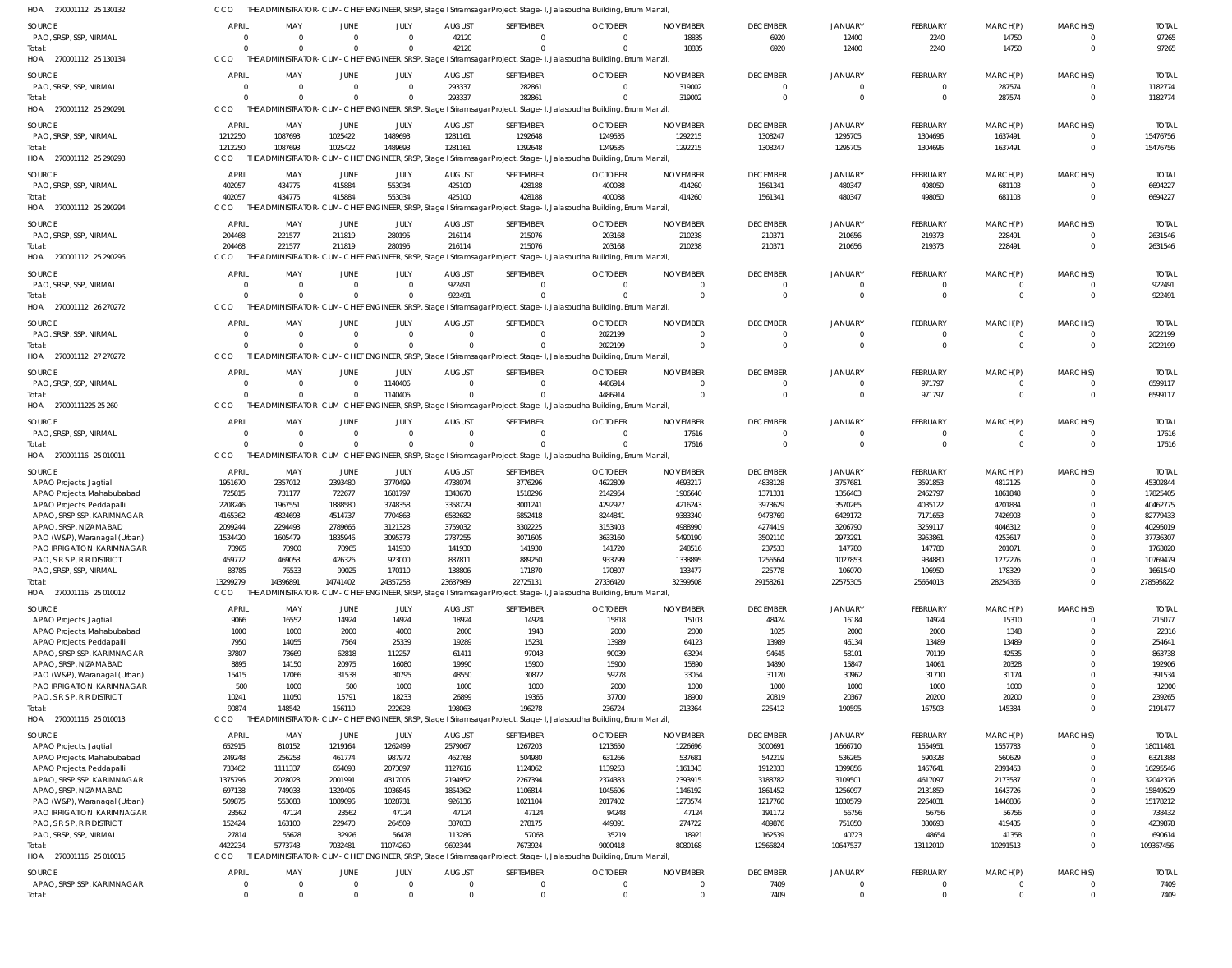| HOA 270001112 25 130132                               |                   |                   |                    |                    |                    |                    | THE ADMINISTRATOR-CUM-CHIEF ENGINEER, SRSP, Stage I Sriramsagar Project, Stage-I, Jalasoudha Building, Errum Manzil, |                    |                    |                    |                    |                    |                            |                      |
|-------------------------------------------------------|-------------------|-------------------|--------------------|--------------------|--------------------|--------------------|----------------------------------------------------------------------------------------------------------------------|--------------------|--------------------|--------------------|--------------------|--------------------|----------------------------|----------------------|
| <b>SOURCE</b>                                         | <b>APRIL</b>      | MAY               | JUNE               | JULY               | <b>AUGUST</b>      | SEPTEMBER          | <b>OCTOBER</b>                                                                                                       | <b>NOVEMBER</b>    | <b>DECEMBER</b>    | <b>JANUARY</b>     | <b>FEBRUARY</b>    | MARCH(P)           | MARCH(S)                   | <b>TOTAL</b>         |
| PAO, SRSP, SSP, NIRMAL                                | $\overline{0}$    | $\Omega$          | $\Omega$           | $\Omega$           | 42120              | $\mathbf{0}$       | $\Omega$                                                                                                             | 18835              | 6920               | 12400              | 2240               | 14750              | $\mathbf{0}$               | 97265                |
| Total:                                                | $\Omega$          | $\Omega$          | $\Omega$           | $\Omega$           | 42120              | $\Omega$           | $\Omega$                                                                                                             | 18835              | 6920               | 12400              | 2240               | 14750              | $\mathbf 0$                | 97265                |
| HOA 270001112 25 130134                               | CCO               |                   |                    |                    |                    |                    | THE ADMINISTRATOR-CUM-CHIEF ENGINEER, SRSP, Stage I Sriramsagar Project, Stage-I, Jalasoudha Building, Errum Manzil, |                    |                    |                    |                    |                    |                            |                      |
| <b>SOURCE</b>                                         | <b>APRIL</b>      | MAY               | JUNE               | JULY               | <b>AUGUST</b>      | SEPTEMBER          | <b>OCTOBER</b>                                                                                                       | <b>NOVEMBER</b>    | <b>DECEMBER</b>    | <b>JANUARY</b>     | <b>FEBRUARY</b>    | MARCH(P)           | MARCH(S)                   | <b>TOTAL</b>         |
| PAO, SRSP, SSP, NIRMAL                                | $\circ$           | $\Omega$          | $\Omega$           | $\overline{0}$     | 293337             | 282861             | $\overline{0}$                                                                                                       | 319002             | $\Omega$           | $\Omega$           | $\overline{0}$     | 287574             | $\mathbf 0$                | 1182774              |
| Total:                                                | $\Omega$          |                   |                    | $\Omega$           | 293337             | 282861             | $\Omega$                                                                                                             | 319002             | $\Omega$           | $\Omega$           | $\overline{0}$     | 287574             | $\mathbf 0$                | 1182774              |
| HOA 270001112 25 290291                               | CCO               |                   |                    |                    |                    |                    | THE ADMINISTRATOR-CUM-CHIEF ENGINEER, SRSP, Stage I Sriramsagar Project, Stage-I, Jalasoudha Building, Errum Manzil, |                    |                    |                    |                    |                    |                            |                      |
| SOURCE                                                | APRIL             | MAY               | JUNE               | JULY               | <b>AUGUST</b>      | SEPTEMBER          | <b>OCTOBER</b>                                                                                                       | <b>NOVEMBER</b>    | <b>DECEMBER</b>    | <b>JANUARY</b>     | <b>FEBRUARY</b>    | MARCH(P)           | MARCH(S)                   | <b>TOTAL</b>         |
| PAO, SRSP, SSP, NIRMAL                                | 1212250           | 1087693           | 1025422            | 1489693            | 1281161            | 1292648            | 1249535                                                                                                              | 1292215            | 1308247            | 1295705            | 1304696            | 1637491            | $\mathbf 0$                | 15476756             |
| Total:                                                | 1212250           | 1087693           | 1025422            | 1489693            | 1281161            | 1292648            | 1249535                                                                                                              | 1292215            | 1308247            | 1295705            | 1304696            | 1637491            | $\mathbf 0$                | 15476756             |
| HOA 270001112 25 290293                               | CCO               |                   |                    |                    |                    |                    | THE ADMINISTRATOR-CUM-CHIEF ENGINEER, SRSP, Stage I Sriramsagar Project, Stage-I, Jalasoudha Building, Errum Manzil, |                    |                    |                    |                    |                    |                            |                      |
| SOURCE                                                | APRIL             | MAY               | JUNE               | JULY               | <b>AUGUST</b>      | SEPTEMBER          | <b>OCTOBER</b>                                                                                                       | <b>NOVEMBER</b>    | <b>DECEMBER</b>    | <b>JANUARY</b>     | <b>FEBRUARY</b>    | MARCH(P)           | MARCH(S)                   | <b>TOTAL</b>         |
| PAO, SRSP, SSP, NIRMAL                                | 402057            | 434775            | 415884             | 553034             | 425100             | 428188             | 400088                                                                                                               | 414260             | 1561341            | 480347             | 498050             | 681103             | $\mathbf{0}$               | 6694227              |
| Total:                                                | 402057            | 434775            | 415884             | 553034             | 425100             | 428188             | 400088                                                                                                               | 414260             | 1561341            | 480347             | 498050             | 681103             | $\mathbf 0$                | 6694227              |
| HOA 270001112 25 290294                               | <b>CCO</b>        |                   |                    |                    |                    |                    | THE ADMINISTRATOR-CUM-CHIEF ENGINEER, SRSP, Stage I Sriramsagar Project, Stage-I, Jalasoudha Building, Errum Manzil, |                    |                    |                    |                    |                    |                            |                      |
| <b>SOURCE</b>                                         | <b>APRIL</b>      | MAY               | JUNE               | JULY               | <b>AUGUST</b>      | SEPTEMBER          | <b>OCTOBER</b>                                                                                                       | <b>NOVEMBER</b>    | <b>DECEMBER</b>    | <b>JANUARY</b>     | <b>FEBRUARY</b>    | MARCH(P)           | MARCH(S)                   | <b>TOTAL</b>         |
| PAO, SRSP, SSP, NIRMAL                                | 204468            | 221577            | 211819             | 280195             | 216114             | 215076             | 203168                                                                                                               | 210238             | 210371             | 210656             | 219373             | 228491             | $^{\circ}$                 | 2631546              |
| Total:                                                | 204468            | 221577            | 211819             | 280195             | 216114             | 215076             | 203168                                                                                                               | 210238             | 210371             | 210656             | 219373             | 228491             | $\mathbf 0$                | 2631546              |
| HOA 270001112 25 290296                               | CCO               |                   |                    |                    |                    |                    | ADMINISTRATOR-CUM-CHIEF ENGINEER, SRSP, Stage I Sriramsagar Project, Stage-I, Jalasoudha Building, Errum Manzil,     |                    |                    |                    |                    |                    |                            |                      |
| SOURCE                                                | <b>APRIL</b>      | MAY               | JUNE               | JULY               | <b>AUGUST</b>      | SEPTEMBER          | <b>OCTOBER</b>                                                                                                       | <b>NOVEMBER</b>    | <b>DECEMBER</b>    | <b>JANUARY</b>     | <b>FEBRUARY</b>    | MARCH(P)           | MARCH(S)                   | <b>TOTAL</b>         |
| PAO, SRSP, SSP, NIRMAL                                | $\circ$           | $\Omega$          | $\Omega$           | $\overline{0}$     | 922491             | $\mathbf 0$        | $\Omega$                                                                                                             | $\overline{0}$     | $\Omega$           | $\Omega$           | $\overline{0}$     | $\overline{0}$     | $\mathbf 0$                | 922491               |
| Total:                                                | $\Omega$          |                   | $\Omega$           | $\mathbf 0$        | 922491             | $\Omega$           |                                                                                                                      | $\Omega$           | $\Omega$           | $\Omega$           | $\overline{0}$     | $\overline{0}$     | $\mathbf 0$                | 922491               |
| HOA 270001112 26 270272                               | CCO               |                   |                    |                    |                    |                    | THE ADMINISTRATOR-CUM-CHIEF ENGINEER, SRSP, Stage I Sriramsagar Project, Stage-I, Jalasoudha Building, Errum Manzil, |                    |                    |                    |                    |                    |                            |                      |
| <b>SOURCE</b>                                         | <b>APRIL</b>      | MAY               | JUNE               | JULY               | <b>AUGUST</b>      | SEPTEMBER          | <b>OCTOBER</b>                                                                                                       | <b>NOVEMBER</b>    | <b>DECEMBER</b>    | <b>JANUARY</b>     | <b>FEBRUARY</b>    | MARCH(P)           | MARCH(S)                   | <b>TOTAL</b>         |
| PAO, SRSP, SSP, NIRMAL                                | $\overline{0}$    | $\Omega$          | $\Omega$           | $\overline{0}$     | $\Omega$           | $\mathbf{0}$       | 2022199                                                                                                              | $\overline{0}$     | $\Omega$           | - 0                | 0                  | $\overline{0}$     | $^{\circ}$                 | 2022199              |
| Total:                                                | $\Omega$          | $\cap$            | $\Omega$           | $\Omega$           |                    | $\Omega$           | 2022199                                                                                                              | $\overline{0}$     | $\Omega$           | $\Omega$           | $\overline{0}$     | $\overline{0}$     | $\mathbf 0$                | 2022199              |
| HOA 270001112 27 270272                               | CCO               |                   |                    |                    |                    |                    | THE ADMINISTRATOR-CUM-CHIEF ENGINEER, SRSP, Stage I Sriramsagar Project, Stage-I, Jalasoudha Building, Errum Manzil, |                    |                    |                    |                    |                    |                            |                      |
| SOURCE                                                | <b>APRIL</b>      | MAY               | JUNE               | JULY               | <b>AUGUST</b>      | SEPTEMBER          | <b>OCTOBER</b>                                                                                                       | <b>NOVEMBER</b>    | <b>DECEMBER</b>    | <b>JANUARY</b>     | <b>FEBRUARY</b>    | MARCH(P)           | MARCH(S)                   | <b>TOTAL</b>         |
| PAO, SRSP, SSP, NIRMAL                                | $\circ$           | $\overline{0}$    | $\Omega$           | 1140406            | $\Omega$           | $\mathbf{0}$       | 4486914                                                                                                              | $\overline{0}$     | $\Omega$           | $\Omega$           | 971797             | $\mathbf{0}$       | $\mathbf{0}$               | 6599117              |
| Total:                                                | $\Omega$          | $\Omega$          | $\Omega$           | 1140406            | $\Omega$           | $\Omega$           | 4486914                                                                                                              | $\overline{0}$     | $\Omega$           | $\Omega$           | 971797             | $\overline{0}$     | $\mathbf 0$                | 6599117              |
| HOA 27000111225 25 260                                | CCO               |                   |                    |                    |                    |                    | THE ADMINISTRATOR-CUM-CHIEF ENGINEER, SRSP, Stage I Sriramsagar Project, Stage-I, Jalasoudha Building, Errum Manzil, |                    |                    |                    |                    |                    |                            |                      |
| SOURCE                                                | <b>APRIL</b>      | MAY               | JUNE               | JULY               | <b>AUGUST</b>      | SEPTEMBER          | <b>OCTOBER</b>                                                                                                       | <b>NOVEMBER</b>    | <b>DECEMBER</b>    | <b>JANUARY</b>     | <b>FEBRUARY</b>    | MARCH(P)           | MARCH(S)                   | <b>TOTAL</b>         |
| PAO, SRSP, SSP, NIRMAL                                | $\Omega$          | $\Omega$          | $\Omega$           | $\Omega$           | $\Omega$           | $\mathbf{0}$       | $\overline{0}$                                                                                                       | 17616              | $\Omega$           | $\Omega$           | $\overline{0}$     | $\overline{0}$     | $\mathbf{0}$               | 17616                |
| Total:                                                | $\Omega$          | $\Omega$          | $\Omega$           | $\Omega$           | $\Omega$           | $\Omega$           | $\Omega$                                                                                                             | 17616              | $\Omega$           | $\Omega$           | $\overline{0}$     | $\mathbf{0}$       | $\mathbf 0$                | 17616                |
| HOA 270001116 25 010011                               | CCO               |                   |                    |                    |                    |                    | THE ADMINISTRATOR-CUM-CHIEF ENGINEER, SRSP, Stage I Sriramsagar Project, Stage-I, Jalasoudha Building, Errum Manzil, |                    |                    |                    |                    |                    |                            |                      |
| SOURCE                                                | APRIL             | MAY               | <b>JUNE</b>        | JULY               | <b>AUGUST</b>      | SEPTEMBER          | <b>OCTOBER</b>                                                                                                       | <b>NOVEMBER</b>    | <b>DECEMBER</b>    | <b>JANUARY</b>     | <b>FEBRUARY</b>    | MARCH(P)           | MARCH(S)                   | <b>TOTAL</b>         |
| APAO Projects, Jagtial                                | 1951670           | 2357012           | 2393480            | 3770499            | 4738074            | 3776296            | 4622809                                                                                                              | 4693217            | 4838128            | 3757681            | 3591853            | 4812125            | $\mathbf 0$                | 45302844             |
| APAO Projects, Mahabubabad                            | 725815            | 731177            | 722677             | 1681797            | 1343670            | 1518296            | 2142954                                                                                                              | 1906640            | 1371331            | 1356403            | 2462797            | 1861848            | $\mathbf 0$                | 17825405             |
| APAO Projects, Peddapall                              | 2208246           | 1967551           | 1888580            | 3748358            | 3358729            | 3001241            | 4292927                                                                                                              | 4216243            | 3973629            | 3570265            | 4035122            | 4201884            | $\mathbf{0}$               | 40462775             |
| APAO, SRSP SSP, KARIMNAGAR                            | 4165362           | 4824693           | 4514737            | 7704863            | 6582682            | 6852418            | 8244841                                                                                                              | 9383340            | 9478769            | 6429172            | 7171653            | 7426903            | $\Omega$                   | 82779433             |
| APAO, SRSP, NIZAMABAD                                 | 2099244           | 2294493           | 2789666            | 3121328            | 3759032            | 3302225            | 3153403                                                                                                              | 4988990            | 4274419            | 3206790            | 3259117            | 4046312            | $\Omega$                   | 40295019             |
| PAO (W&P), Waranagal (Urban)                          | 1534420           | 1605479           | 1835946            | 3095373            | 2787255            | 3071605            | 3633160                                                                                                              | 5490190            | 3502110            | 2973291            | 3953861            | 4253617            | $\Omega$                   | 37736307             |
| PAO IRRIGATION KARIMNAGAR                             | 70965             | 70900             | 70965              | 141930             | 141930             | 141930             | 141720                                                                                                               | 248516             | 237533             | 147780             | 147780             | 201071             | $\Omega$                   | 1763020              |
| PAO, S R S P, R R DISTRICT                            | 459772            | 469053            | 426326             | 923000             | 837811             | 889250             | 933799                                                                                                               | 1338895            | 1256564            | 1027853            | 934880             | 1272276            | $^{\circ}$                 | 10769479             |
| PAO, SRSP, SSP, NIRMAL<br>Total:                      | 83785<br>13299279 | 76533<br>14396891 | 99025<br>14741402  | 170110<br>24357258 | 138806<br>23687989 | 171870<br>22725131 | 170807<br>27336420                                                                                                   | 133477<br>32399508 | 225778<br>29158261 | 106070<br>22575305 | 106950<br>25664013 | 178329<br>28254365 | $\mathbf 0$<br>$\mathbf 0$ | 1661540<br>278595822 |
| HOA 270001116 25 010012                               | <b>CCO</b>        |                   |                    |                    |                    |                    | THE ADMINISTRATOR-CUM-CHIEF ENGINEER, SRSP, Stage I Sriramsagar Project, Stage-I, Jalasoudha Building, Errum Manzil, |                    |                    |                    |                    |                    |                            |                      |
|                                                       |                   |                   |                    |                    |                    |                    |                                                                                                                      |                    |                    |                    |                    |                    |                            |                      |
| SOURCE                                                | <b>APRIL</b>      | MAY               | <b>JUNE</b>        | JULY               | <b>AUGUST</b>      | SEPTEMBER          | <b>OCTOBER</b>                                                                                                       | <b>NOVEMBER</b>    | <b>DECEMBER</b>    | JANUARY            | FEBRUARY           | MARCH(P)           | MARCH(S)                   | <b>TOTAL</b>         |
| APAO Projects, Jagtial<br>APAO Projects, Mahabubabad  | 9066<br>1000      | 16552<br>1000     | 14924<br>2000      | 14924<br>4000      | 18924<br>2000      | 14924<br>1943      | 15818<br>2000                                                                                                        | 15103<br>2000      | 48424<br>1025      | 16184<br>2000      | 14924<br>2000      | 15310<br>1348      | $^{\circ}$<br>$\mathbf 0$  | 215077<br>22316      |
| APAO Projects, Peddapalli                             | 7950              | 14055             | 7564               | 25339              | 19289              | 15231              | 13989                                                                                                                | 64123              | 13989              | 46134              | 13489              | 13489              | $\Omega$                   | 254641               |
| APAO, SRSP SSP, KARIMNAGAR                            | 37807             | 73669             | 62818              | 112257             | 61411              | 97043              | 90039                                                                                                                | 63294              | 94645              | 58101              | 70119              | 42535              | $\Omega$                   | 863738               |
| APAO, SRSP, NIZAMABAD                                 | 8895              | 14150             | 20975              | 16080              | 19990              | 15900              | 15900                                                                                                                | 15890              | 14890              | 15847              | 14061              | 20328              | $\Omega$                   | 192906               |
| PAO (W&P), Waranagal (Urban)                          | 15415             | 17066             | 31538              | 30795              | 48550              | 30872              | 59278                                                                                                                | 33054              | 31120              | 30962              | 31710              | 31174              | $\Omega$                   | 391534               |
| PAO IRRIGATION KARIMNAGAR                             | 500               | 1000              | 500                | 1000               | 1000               | 1000               | 2000                                                                                                                 | 1000               | 1000               | 1000               | 1000               | 1000               | $\Omega$                   | 12000                |
| PAO, S R S P, R R DISTRICT                            | 10241             | 11050             | 15791              | 18233              | 26899              | 19365              | 37700                                                                                                                | 18900              | 20319              | 20367              | 20200              | 20200              | $\Omega$                   | 239265               |
| Total:                                                | 90874             | 148542            | 156110             | 222628             | 198063             | 196278             | 236724                                                                                                               | 213364             | 225412             | 190595             | 167503             | 145384             | $\Omega$                   | 2191477              |
| HOA 270001116 25 010013                               | <b>CCO</b>        |                   |                    |                    |                    |                    | THE ADMINISTRATOR-CUM-CHIEF ENGINEER, SRSP, Stage I Sriramsagar Project, Stage-I, Jalasoudha Building, Errum Manzil, |                    |                    |                    |                    |                    |                            |                      |
| SOURCE                                                | APRIL             | MAY               | <b>JUNE</b>        | JULY               | <b>AUGUST</b>      | SEPTEMBER          | <b>OCTOBER</b>                                                                                                       | <b>NOVEMBER</b>    | <b>DECEMBER</b>    | <b>JANUARY</b>     | <b>FEBRUARY</b>    | MARCH(P)           | MARCH(S)                   | <b>TOTAL</b>         |
| APAO Projects, Jagtial                                | 652915            | 810152            | 1219164            | 1262499            | 2579067            | 1267203            | 1213650                                                                                                              | 1226696            | 3000691            | 1666710            | 1554951            | 1557783            | $\mathbf 0$                | 18011481             |
| APAO Projects, Mahabubabad                            | 249248            | 256258            | 461774             | 987972             | 462768             | 504980             | 631266                                                                                                               | 537681             | 542219             | 536265             | 590328             | 560629             | $\mathbf 0$                | 6321388              |
| APAO Projects, Peddapalli                             | 733462            | 1111337           | 654093             | 2073097            | 1127616            | 1124062            | 1139253                                                                                                              | 1161343            | 1912333            | 1399856            | 1467641            | 2391453            | $\mathbf 0$                | 16295546             |
| APAO, SRSP SSP, KARIMNAGAR                            | 1375796           | 2028023           | 2001991            | 4317005            | 2194952            | 2267394            | 2374383                                                                                                              | 2393915            | 3188782            | 3109501            | 4617097            | 2173537            | $\Omega$<br>$\Omega$       | 32042376             |
| APAO, SRSP, NIZAMABAD<br>PAO (W&P), Waranagal (Urban) | 697138<br>509875  | 749033<br>553088  | 1320405<br>1089096 | 1036845<br>1028731 | 1854362<br>926136  | 1106814<br>1021104 | 1045606<br>2017402                                                                                                   | 1146192<br>1273574 | 1861452<br>1217760 | 1256097<br>1830579 | 2131859<br>2264031 | 1643726<br>1446836 | $\Omega$                   | 15849529<br>15178212 |
| PAO IRRIGATION KARIMNAGAR                             | 23562             | 47124             | 23562              | 47124              | 47124              | 47124              | 94248                                                                                                                | 47124              | 191172             | 56756              | 56756              | 56756              | $\Omega$                   | 738432               |
| PAO, S R S P, R R DISTRICT                            | 152424            | 163100            | 229470             | 264509             | 387033             | 278175             | 449391                                                                                                               | 274722             | 489876             | 751050             | 380693             | 419435             | $\Omega$                   | 4239878              |
| PAO, SRSP, SSP, NIRMAL                                | 27814             | 55628             | 32926              | 56478              | 113286             | 57068              | 35219                                                                                                                | 18921              | 162539             | 40723              | 48654              | 41358              | $\mathbf 0$                | 690614               |
| Total:                                                | 4422234           | 5773743           | 7032481            | 11074260           | 9692344            | 7673924            | 9000418                                                                                                              | 8080168            | 12566824           | 10647537           | 13112010           | 10291513           | $\Omega$                   | 109367456            |
| HOA 270001116 25 010015                               | <b>CCO</b>        |                   |                    |                    |                    |                    | THE ADMINISTRATOR-CUM-CHIEF ENGINEER, SRSP, Stage I Sriramsagar Project, Stage-I, Jalasoudha Building, Errum Manzil, |                    |                    |                    |                    |                    |                            |                      |
| SOURCE                                                | <b>APRIL</b>      | MAY               | JUNE               | JULY               | <b>AUGUST</b>      | SEPTEMBER          | <b>OCTOBER</b>                                                                                                       | <b>NOVEMBER</b>    | <b>DECEMBER</b>    | JANUARY            | <b>FEBRUARY</b>    | MARCH(P)           | MARCH(S)                   | <b>TOTAL</b>         |
| APAO, SRSP SSP, KARIMNAGAR                            | $\overline{0}$    | $\overline{0}$    | $\Omega$           | $\overline{0}$     | $\overline{0}$     | $\mathbf{0}$       | $\overline{0}$                                                                                                       | $\mathbf{0}$       | 7409               | $\Omega$           | 0                  | $\mathbf{0}$       | $^{\circ}$                 | 7409                 |
| Total:                                                | $\overline{0}$    | $\Omega$          | $\Omega$           | $\overline{0}$     | $\Omega$           | $\mathbf 0$        | $\mathbf 0$                                                                                                          | $\mathbf{0}$       | 7409               | $\Omega$           | $\Omega$           | $\overline{0}$     | $\mathbf 0$                | 7409                 |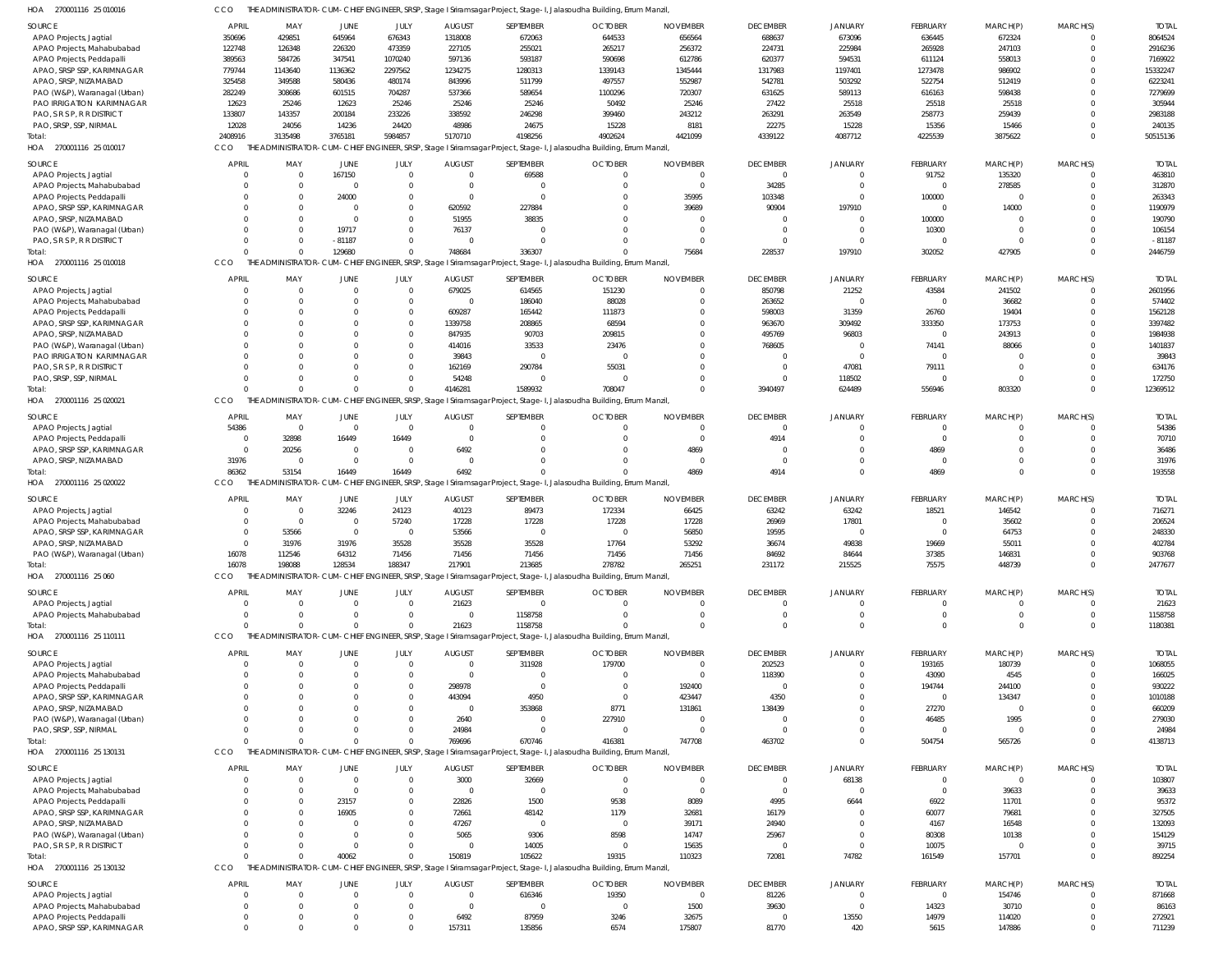| HOA<br>270001116 25 010016                               | CCO               |                                     |                                  |                      |                         |                  | THE ADMINISTRATOR-CUM-CHIEF ENGINEER, SRSP, Stage I Sriramsagar Project, Stage-I, Jalasoudha Building, Errum Manzil            |                  |                        |                            |                      |                      |                         |                    |
|----------------------------------------------------------|-------------------|-------------------------------------|----------------------------------|----------------------|-------------------------|------------------|--------------------------------------------------------------------------------------------------------------------------------|------------------|------------------------|----------------------------|----------------------|----------------------|-------------------------|--------------------|
| SOURCE                                                   | APRIL             | MAY                                 | JUNE                             | JULY                 | <b>AUGUST</b>           | SEPTEMBER        | <b>OCTOBER</b>                                                                                                                 | <b>NOVEMBER</b>  | <b>DECEMBER</b>        | <b>JANUARY</b>             | FEBRUARY             | MARCH(P)             | MARCH(S)                | <b>TOTAL</b>       |
| APAO Projects, Jagtial                                   | 350696            | 429851                              | 645964                           | 676343               | 1318008                 | 672063           | 644533                                                                                                                         | 656564           | 688637                 | 673096                     | 636445               | 672324               | 0                       | 8064524            |
| APAO Projects, Mahabubabad                               | 122748            | 126348                              | 226320                           | 473359               | 227105                  | 255021           | 265217                                                                                                                         | 256372           | 224731                 | 225984                     | 265928               | 247103               | $\Omega$                | 2916236            |
| APAO Projects, Peddapalli                                | 389563            | 584726                              | 347541                           | 1070240              | 597136                  | 593187           | 590698                                                                                                                         | 612786           | 620377                 | 594531                     | 611124               | 558013               | $\Omega$                | 7169922            |
| APAO, SRSP SSP, KARIMNAGAR                               | 779744            | 1143640                             | 1136362                          | 2297562              | 1234275                 | 1280313          | 1339143                                                                                                                        | 1345444          | 1317983                | 1197401                    | 1273478              | 986902               | $\Omega$                | 15332247           |
| APAO, SRSP, NIZAMABAD<br>PAO (W&P), Waranagal (Urban)    | 325458<br>282249  | 349588<br>308686                    | 580436<br>601515                 | 480174<br>704287     | 843996<br>537366        | 511799<br>589654 | 497557<br>1100296                                                                                                              | 552987<br>720307 | 542781<br>631625       | 503292<br>589113           | 522754<br>616163     | 512419<br>598438     | $\Omega$<br>$\Omega$    | 6223241<br>7279699 |
| PAO IRRIGATION KARIMNAGAR                                | 12623             | 25246                               | 12623                            | 25246                | 25246                   | 25246            | 50492                                                                                                                          | 25246            | 27422                  | 25518                      | 25518                | 25518                | $\Omega$                | 305944             |
| PAO, S R S P, R R DISTRICT                               | 133807            | 143357                              | 200184                           | 233226               | 338592                  | 246298           | 399460                                                                                                                         | 243212           | 263291                 | 263549                     | 258773               | 259439               | $\Omega$                | 2983188            |
| PAO, SRSP, SSP, NIRMAL                                   | 12028             | 24056                               | 14236                            | 24420                | 48986                   | 24675            | 15228                                                                                                                          | 8181             | 22275                  | 15228                      | 15356                | 15466                | $\Omega$                | 240135             |
| Total:                                                   | 2408916           | 3135498                             | 3765181                          | 5984857              | 5170710                 | 4198256          | 4902624                                                                                                                        | 4421099          | 4339122                | 4087712                    | 4225539              | 3875622              | $\Omega$                | 50515136           |
| HOA 270001116 25 010017                                  | CCO               |                                     |                                  |                      |                         |                  | THE ADMINISTRATOR-CUM-CHIEF ENGINEER, SRSP, Stage I Sriramsagar Project, Stage-I, Jalasoudha Building, Errum Manzil            |                  |                        |                            |                      |                      |                         |                    |
| SOURCE                                                   | <b>APRIL</b>      | MAY                                 | <b>JUNE</b>                      | JULY                 | <b>AUGUST</b>           | SEPTEMBER        | <b>OCTOBER</b>                                                                                                                 | <b>NOVEMBER</b>  | <b>DECEMBER</b>        | JANUARY                    | FEBRUARY             | MARCH(P)             | MARCH(S)                | <b>TOTAL</b>       |
| APAO Projects, Jagtial                                   | $\Omega$          | $\overline{0}$                      | 167150                           | $\Omega$             | $\overline{0}$          | 69588            |                                                                                                                                | $\Omega$         | $\overline{0}$         | $\mathbf 0$                | 91752                | 135320               | $\mathbf 0$             | 463810             |
| APAO Projects, Mahabubabad                               |                   | $\overline{0}$                      | $\overline{0}$                   | $\Omega$             | $\overline{0}$          |                  |                                                                                                                                |                  | 34285                  | $\overline{0}$             | $\overline{0}$       | 278585               | $\Omega$                | 312870             |
| APAO Projects, Peddapalli                                |                   | $\Omega$                            | 24000                            | $\Omega$             | $\overline{0}$          | $\Omega$         |                                                                                                                                | 35995            | 103348                 | $\overline{0}$             | 100000               | $\overline{0}$       | $\Omega$                | 263343             |
| APAO, SRSP SSP, KARIMNAGAR                               |                   | $\Omega$                            | $\overline{0}$                   | $\Omega$             | 620592                  | 227884           |                                                                                                                                | 39689            | 90904                  | 197910                     | $\overline{0}$       | 14000                | $\Omega$                | 1190979            |
| APAO, SRSP, NIZAMABAD                                    |                   | $\Omega$                            | 0                                | $\Omega$             | 51955                   | 38835            |                                                                                                                                |                  | $\overline{0}$         | $\overline{0}$             | 100000               | $\Omega$             | $\Omega$                | 190790             |
| PAO (W&P), Waranagal (Urban)                             |                   | $\Omega$                            | 19717                            | $\Omega$             | 76137                   |                  |                                                                                                                                |                  | $\Omega$               | $^{\circ}$                 | 10300                | $\Omega$             | $\Omega$                | 106154             |
| PAO, S R S P, R R DISTRICT                               |                   | $\Omega$                            | $-81187$                         |                      | $\overline{0}$          |                  |                                                                                                                                |                  | $\overline{0}$         | $^{\circ}$                 | $\Omega$             | $\Omega$             | $\Omega$                | $-81187$           |
| otal:                                                    |                   | $\Omega$                            | 129680                           |                      | 748684                  | 336307           |                                                                                                                                | 75684            | 228537                 | 197910                     | 302052               | 427905               | $\Omega$                | 2446759            |
| HOA 270001116 25 010018                                  | CCO               |                                     |                                  |                      |                         |                  | THE ADMINISTRATOR-CUM-CHIEF ENGINEER, SRSP, Stage I Sriramsagar Project, Stage-I, Jalasoudha Building, Errum Manzil,           |                  |                        |                            |                      |                      |                         |                    |
| SOURCE                                                   | <b>APRIL</b>      | MAY                                 | <b>JUNE</b>                      | JULY                 | <b>AUGUST</b>           | SEPTEMBER        | <b>OCTOBER</b>                                                                                                                 | <b>NOVEMBER</b>  | <b>DECEMBER</b>        | JANUARY                    | FEBRUARY             | MARCH(P)             | MARCH(S)                | <b>TOTAL</b>       |
| APAO Projects, Jagtial                                   |                   | $\overline{0}$                      | $\overline{0}$                   | $\Omega$             | 679025                  | 614565           | 151230                                                                                                                         |                  | 850798                 | 21252                      | 43584                | 241502               | $\Omega$                | 2601956            |
| APAO Projects, Mahabubabad                               |                   | $\overline{0}$                      | $\Omega$                         | $\Omega$             | $\overline{0}$          | 186040           | 88028                                                                                                                          |                  | 263652                 | $\Omega$                   | $\Omega$             | 36682                | $\Omega$                | 574402             |
| APAO Projects, Peddapalli                                |                   | $\Omega$                            | $\Omega$                         | $\Omega$             | 609287                  | 165442           | 111873                                                                                                                         |                  | 598003                 | 31359                      | 26760                | 19404                | $\Omega$                | 1562128            |
| APAO, SRSP SSP, KARIMNAGAR                               |                   | $\Omega$                            | $\Omega$                         | $\Omega$             | 1339758                 | 208865           | 68594                                                                                                                          |                  | 963670                 | 309492                     | 333350               | 173753               | $\Omega$                | 3397482            |
| APAO, SRSP, NIZAMABAD                                    |                   | $\Omega$                            | $\Omega$                         | $\Omega$             | 847935                  | 90703            | 209815                                                                                                                         |                  | 495769                 | 96803                      | $\Omega$             | 243913               | $\Omega$                | 1984938            |
| PAO (W&P), Waranagal (Urban)                             |                   | $\Omega$                            | $\Omega$                         | $\Omega$             | 414016                  | 33533            | 23476                                                                                                                          |                  | 768605                 | $\Omega$                   | 74141                | 88066                | $\Omega$                | 1401837            |
| <b>PAO IRRIGATION KARIMNAGAR</b>                         |                   | $\Omega$                            | $\Omega$                         | $\Omega$             | 39843                   |                  |                                                                                                                                |                  | $\Omega$               | $\Omega$                   | $\Omega$             | $\Omega$             | $\Omega$                | 39843              |
| PAO, S R S P, R R DISTRICT                               |                   | $\Omega$                            | $\Omega$                         | $\Omega$             | 162169                  | 290784           | 55031                                                                                                                          |                  | - 0                    | 47081                      | 79111                | $\Omega$             | $\Omega$                | 634176             |
| PAO, SRSP, SSP, NIRMAL                                   |                   | $\Omega$<br>$\Omega$                | $\Omega$<br>$\Omega$             |                      | 54248                   |                  |                                                                                                                                |                  | $\Omega$               | 118502                     | - 0                  | $\Omega$             | $\Omega$                | 172750             |
| Total:<br>HOA 270001116 25 020021                        | CCO               |                                     |                                  |                      | 4146281                 | 1589932          | 708047<br>THE ADMINISTRATOR-CUM-CHIEF ENGINEER, SRSP, Stage I Sriramsagar Project, Stage-I, Jalasoudha Building, Errum Manzil, |                  | 3940497                | 624489                     | 556946               | 803320               | $\Omega$                | 12369512           |
|                                                          |                   |                                     |                                  |                      |                         |                  |                                                                                                                                |                  |                        |                            |                      |                      |                         |                    |
| SOURCE                                                   | <b>APRIL</b>      | MAY                                 | <b>JUNE</b>                      | JULY                 | <b>AUGUST</b>           | SEPTEMBER        | <b>OCTOBER</b>                                                                                                                 | <b>NOVEMBER</b>  | <b>DECEMBER</b>        | JANUARY                    | FEBRUARY             | MARCH(P)             | MARCH(S)                | <b>TOTAL</b>       |
| APAO Projects, Jagtial                                   | 54386             | $\overline{0}$                      | $\overline{0}$                   | $\Omega$             | $\overline{0}$          |                  |                                                                                                                                |                  | $\overline{0}$         | $\Omega$                   | $\Omega$             | $\Omega$             | 0                       | 54386              |
| APAO Projects, Peddapalli                                | $\Omega$          | 32898                               | 16449                            | 16449                | $\overline{0}$          |                  |                                                                                                                                | $\Omega$         | 4914                   | $\overline{0}$             | $\Omega$             | $\Omega$             | 0                       | 70710              |
| APAO, SRSP SSP, KARIMNAGAR                               | $\Omega$<br>31976 | 20256<br>$\overline{0}$             | $\overline{0}$<br>$\overline{0}$ | $\Omega$<br>$\Omega$ | 6492<br>$\overline{0}$  |                  |                                                                                                                                | 4869<br>$\Omega$ | $\Omega$<br>$\Omega$   | $\Omega$<br>$\overline{0}$ | 4869<br>$\Omega$     | $\Omega$<br>$\Omega$ | $\Omega$<br>$\mathbf 0$ | 36486              |
| APAO, SRSP, NIZAMABAD                                    | 86362             | 53154                               | 16449                            | 16449                | 6492                    |                  |                                                                                                                                | 4869             | 4914                   | $\Omega$                   | 4869                 | $\Omega$             | $\Omega$                | 31976<br>193558    |
| HOA 270001116 25 020022                                  | CCO               |                                     |                                  |                      |                         |                  | THE ADMINISTRATOR-CUM-CHIEF ENGINEER, SRSP, Stage I Sriramsagar Project, Stage-I, Jalasoudha Building, Errum Manzil,           |                  |                        |                            |                      |                      |                         |                    |
|                                                          |                   |                                     |                                  |                      |                         |                  |                                                                                                                                |                  |                        |                            |                      |                      |                         |                    |
| SOURCE                                                   | <b>APRIL</b>      | MAY                                 | <b>JUNE</b>                      | JULY                 | <b>AUGUST</b>           | SEPTEMBER        | <b>OCTOBER</b>                                                                                                                 | <b>NOVEMBER</b>  | <b>DECEMBER</b>        | JANUARY                    | FEBRUARY             | MARCH(P)             | MARCH(S)                | <b>TOTAL</b>       |
| APAO Projects, Jagtial                                   | $\Omega$          | $\overline{\mathbf{0}}$             | 32246                            | 24123                | 40123                   | 89473            | 172334                                                                                                                         | 66425            | 63242                  | 63242                      | 18521                | 146542               | $\Omega$                | 716271             |
| APAO Projects, Mahabubabad<br>APAO, SRSP SSP, KARIMNAGAR |                   | $\overline{\mathbf{0}}$<br>53566    | $\overline{0}$<br>$\overline{0}$ | 57240<br>$\Omega$    | 17228<br>53566          | 17228            | 17228                                                                                                                          | 17228<br>56850   | 26969                  | 17801                      | $\Omega$<br>$\Omega$ | 35602                | $\Omega$<br>$\Omega$    | 206524             |
| APAO, SRSP, NIZAMABAD                                    | $\Omega$          | 31976                               | 31976                            | 35528                | 35528                   | 35528            | 17764                                                                                                                          | 53292            | 19595<br>36674         | 49838                      | 19669                | 64753<br>55011       | $\Omega$                | 248330<br>402784   |
| PAO (W&P), Waranagal (Urban)                             | 16078             | 112546                              | 64312                            | 71456                | 71456                   | 71456            | 71456                                                                                                                          | 71456            | 84692                  | 84644                      | 37385                | 146831               | 0                       | 903768             |
| Total:                                                   | 16078             | 198088                              | 128534                           | 188347               | 217901                  | 213685           | 278782                                                                                                                         | 265251           | 231172                 | 215525                     | 75575                | 448739               | $\mathbf 0$             | 2477677            |
| HOA 270001116 25 060                                     | CCO               |                                     |                                  |                      |                         |                  | THE ADMINISTRATOR-CUM-CHIEF ENGINEER, SRSP, Stage I Sriramsagar Project, Stage-I, Jalasoudha Building, Errum Manzil            |                  |                        |                            |                      |                      |                         |                    |
|                                                          |                   |                                     |                                  |                      |                         |                  |                                                                                                                                |                  |                        |                            |                      |                      |                         |                    |
| SOURCE                                                   | APRIL             | MAY                                 | JUNE                             | JULY                 | <b>AUGUST</b>           | SEPTEMBER        | <b>OCTOBER</b>                                                                                                                 | <b>NOVEMBER</b>  | <b>DECEMBER</b>        | JANUARY                    | <b>FEBRUARY</b>      | MARCH(P)             | MARCH(S)                | <b>TOTAL</b>       |
| APAO Projects, Jagtial                                   | $\Omega$          | $\overline{\mathbf{0}}$<br>$\Omega$ | $\overline{0}$<br>$\Omega$       | $\Omega$<br>$\Omega$ | 21623<br>$\overline{0}$ | 0<br>1158758     |                                                                                                                                |                  | 0<br>$\overline{0}$    | 0<br>$\mathbf 0$           | $\Omega$<br>$\Omega$ | - 0<br>$\Omega$      | 0<br>0                  | 21623<br>1158758   |
| APAO Projects, Mahabubabad<br>īotal:                     | $\cap$            | $\Omega$                            | $\Omega$                         |                      | 21623                   | 1158758          |                                                                                                                                |                  | $\Omega$               | $\Omega$                   | $\Omega$             | $\Omega$             | $\Omega$                | 1180381            |
| HOA 270001116 25 110111                                  | CCO               |                                     |                                  |                      |                         |                  | THE ADMINISTRATOR-CUM-CHIEF ENGINEER, SRSP, Stage I Sriramsagar Project, Stage-I, Jalasoudha Building, Errum Manzil,           |                  |                        |                            |                      |                      |                         |                    |
|                                                          |                   |                                     |                                  |                      |                         |                  |                                                                                                                                |                  |                        |                            |                      |                      |                         |                    |
| SOURCE                                                   | <b>APRIL</b>      | MAY                                 | <b>JUNE</b>                      | JULY                 | <b>AUGUST</b>           | SEPTEMBER        | <b>OCTOBER</b>                                                                                                                 | <b>NOVEMBER</b>  | <b>DECEMBER</b>        | JANUARY                    | <b>FEBRUARY</b>      | MARCH(P)             | MARCH(S)                | <b>TOTAL</b>       |
| APAO Projects, Jagtial                                   |                   | $\overline{0}$                      | $\overline{0}$                   | $\Omega$             | $\overline{0}$          | 311928           | 179700                                                                                                                         |                  | 202523                 | $\Omega$                   | 193165               | 180739               | $\Omega$                | 1068055            |
| APAO Projects, Mahabubabad                               |                   | $\Omega$                            | $\Omega$                         | $\Omega$             | $\overline{0}$          | $\mathbf 0$      |                                                                                                                                |                  | 118390                 | $\Omega$                   | 43090                | 4545                 |                         | 166025             |
| APAO Projects, Peddapalli<br>APAO, SRSP SSP, KARIMNAGAR  |                   | $\Omega$                            |                                  |                      | 298978<br>443094        | $\Omega$<br>4950 | $\Omega$<br>$\Omega$                                                                                                           | 192400<br>423447 | $\overline{0}$<br>4350 | $\Omega$<br>$\Omega$       | 194744<br>$\Omega$   | 244100<br>134347     | $\Omega$<br>$\Omega$    | 930222<br>1010188  |
| APAO, SRSP, NIZAMABAD                                    |                   | $\Omega$                            |                                  |                      | 0                       | 353868           | 8771                                                                                                                           | 131861           | 138439                 | $\Omega$                   | 27270                | $\Omega$             | $\Omega$                | 660209             |
| PAO (W&P), Waranagal (Urban)                             |                   |                                     |                                  |                      | 2640                    |                  | 227910                                                                                                                         |                  | $\Omega$               | $\Omega$                   | 46485                | 1995                 | $\Omega$                | 279030             |
| PAO, SRSP, SSP, NIRMAL                                   |                   | $\Omega$                            | $\Omega$                         |                      | 24984                   |                  |                                                                                                                                |                  | $\Omega$               | $\Omega$                   | $\Omega$             | $\Omega$             | $\Omega$                | 24984              |
| Total:                                                   |                   | $\Omega$                            | $\Omega$                         |                      | 769696                  | 670746           | 416381                                                                                                                         | 747708           | 463702                 | $\mathbf 0$                | 504754               | 565726               | $\Omega$                | 4138713            |
| HOA 270001116 25 130131                                  | CCO               |                                     |                                  |                      |                         |                  | THE ADMINISTRATOR-CUM-CHIEF ENGINEER, SRSP, Stage I Sriramsagar Project, Stage-I, Jalasoudha Building, Errum Manzil            |                  |                        |                            |                      |                      |                         |                    |
| SOURCE                                                   | <b>APRIL</b>      | MAY                                 | <b>JUNE</b>                      | JULY                 | <b>AUGUST</b>           | SEPTEMBER        | <b>OCTOBER</b>                                                                                                                 | <b>NOVEMBER</b>  | <b>DECEMBER</b>        | JANUARY                    | FEBRUARY             | MARCH(P)             | MARCH(S)                | <b>TOTAL</b>       |
| APAO Projects, Jagtial                                   |                   | $\overline{0}$                      | $\overline{0}$                   |                      | 3000                    | 32669            |                                                                                                                                |                  | $\overline{0}$         | 68138                      | $\overline{0}$       | $\overline{0}$       | 0                       | 103807             |
| APAO Projects, Mahabubabad                               |                   | $\Omega$                            | $\overline{0}$                   | - 0                  | $\overline{0}$          | $\mathbf 0$      |                                                                                                                                |                  | $\overline{0}$         | $\overline{0}$             | $\overline{0}$       | 39633                | $\Omega$                | 39633              |
| APAO Projects, Peddapalli                                |                   | $\Omega$                            | 23157                            |                      | 22826                   | 1500             | 9538                                                                                                                           | 8089             | 4995                   | 6644                       | 6922                 | 11701                | $\Omega$                | 95372              |
| APAO, SRSP SSP, KARIMNAGAR                               |                   | $\Omega$                            | 16905                            |                      | 72661                   | 48142            | 1179                                                                                                                           | 32681            | 16179                  | $\mathbf 0$                | 60077                | 79681                | $\Omega$                | 327505             |
| APAO, SRSP, NIZAMABAD                                    |                   | $\Omega$                            | C                                |                      | 47267                   | 0                | - 0                                                                                                                            | 39171            | 24940                  | $\Omega$                   | 4167                 | 16548                | $\Omega$                | 132093             |
| PAO (W&P), Waranagal (Urban)                             |                   | $\Omega$                            | C                                |                      | 5065                    | 9306             | 8598                                                                                                                           | 14747            | 25967                  | $\overline{0}$             | 80308                | 10138                | $\Omega$                | 154129             |
| PAO, S R S P, R R DISTRICT                               |                   | $\Omega$                            | $\Omega$                         |                      | $\overline{0}$          | 14005            |                                                                                                                                | 15635            | $\overline{0}$         | $\overline{0}$             | 10075                | $\Omega$             | 0                       | 39715              |
| Total:                                                   |                   | $\Omega$                            | 40062                            |                      | 150819                  | 105622           | 19315                                                                                                                          | 110323           | 72081                  | 74782                      | 161549               | 157701               | $\Omega$                | 892254             |
| HOA 270001116 25 130132                                  | CCO               |                                     |                                  |                      |                         |                  | THE ADMINISTRATOR-CUM-CHIEF ENGINEER, SRSP, Stage I Sriramsagar Project, Stage-I, Jalasoudha Building, Errum Manzil            |                  |                        |                            |                      |                      |                         |                    |
| SOURCE                                                   | <b>APRIL</b>      | MAY                                 | <b>JUNE</b>                      | JULY                 | <b>AUGUST</b>           | SEPTEMBER        | <b>OCTOBER</b>                                                                                                                 | <b>NOVEMBER</b>  | <b>DECEMBER</b>        | <b>JANUARY</b>             | FEBRUARY             | MARCH(P)             | MARCH(S)                | <b>TOTAL</b>       |
| APAO Projects, Jagtial                                   |                   | $\Omega$                            | $\Omega$                         | $\Omega$             | $\overline{0}$          | 616346           | 19350                                                                                                                          | - 0              | 81226                  | $\mathbf 0$                | $\Omega$             | 154746               | $\Omega$                | 871668             |
| APAO Projects, Mahabubabad                               |                   | $\Omega$                            | $\Omega$                         | $\Omega$             | $\overline{0}$          | $\Omega$         | - 0                                                                                                                            | 1500             | 39630                  | $\mathbf 0$                | 14323                | 30710                | $\Omega$                | 86163              |
| APAO Projects, Peddapalli                                |                   | $\overline{0}$                      | $\Omega$                         |                      | 6492                    | 87959            | 3246                                                                                                                           | 32675            | $\overline{0}$         | 13550                      | 14979                | 114020               | $\Omega$                | 272921             |
| APAO, SRSP SSP, KARIMNAGAR                               | $\Omega$          | $\Omega$                            | $\Omega$                         |                      | 157311                  | 135856           | 6574                                                                                                                           | 175807           | 81770                  | 420                        | 5615                 | 147886               | $\Omega$                | 711239             |
|                                                          |                   |                                     |                                  |                      |                         |                  |                                                                                                                                |                  |                        |                            |                      |                      |                         |                    |

THE ADMINISTRATOR-CUM-CHIEF ENGINEER, SRSP, Stage I Sriramsagar Project, Stage-I, Jalasoudha Building, Errum Manzil, CCO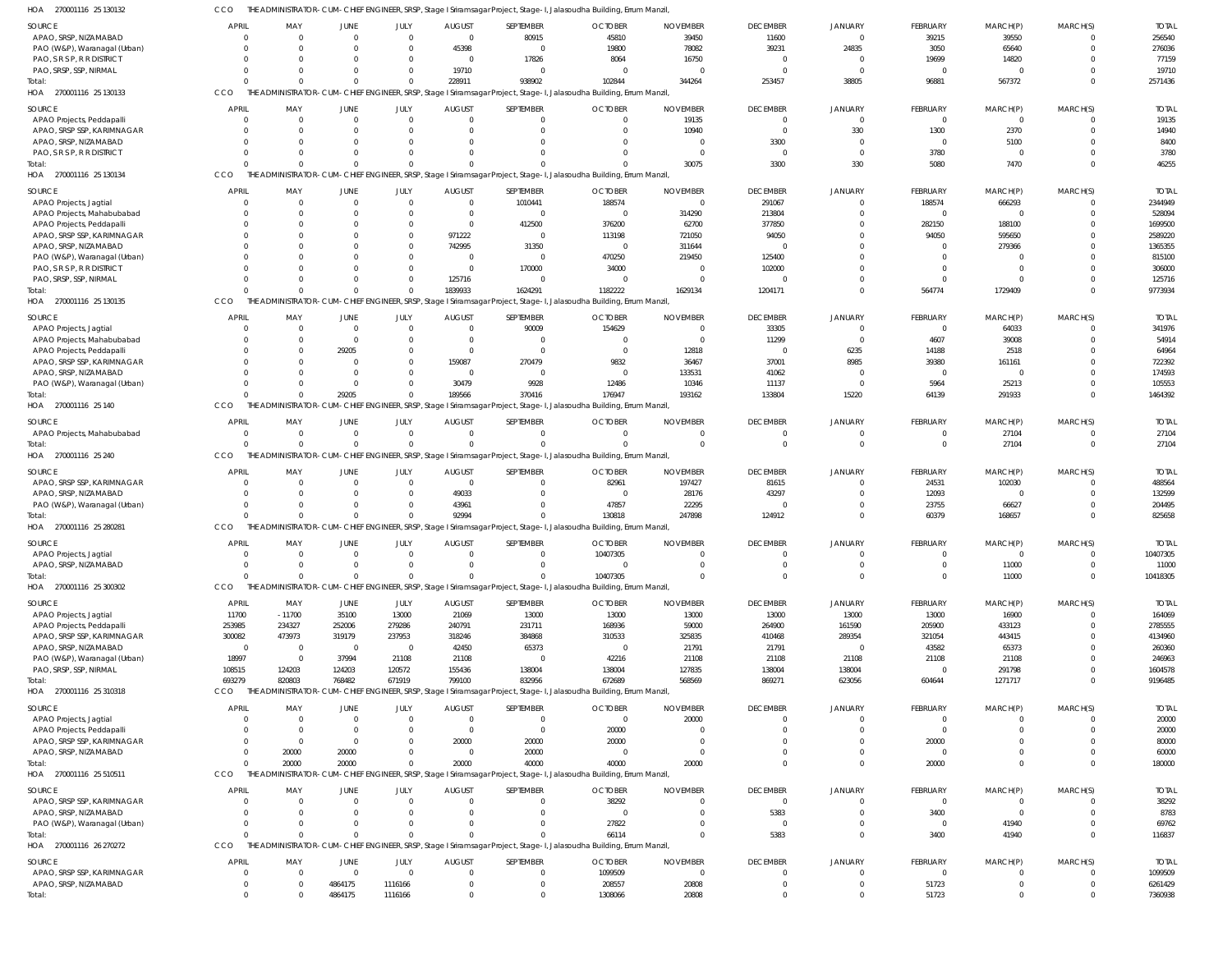THE ADMINISTRATOR-CUM-CHIEF ENGINEER, SRSP, Stage I Sriramsagar Project, Stage-I, Jalasoudha Building, Errum Manzil, CCO

| HOA<br>270001116 25 130132      |                            |                            |                         |                    |                      |                          | THE ADMINISTRATOR-CUM-CHIEF ENGINEER, SRSP, Stage I Sriramsagar Project, Stage-I, Jalasoudha Building, Errum Manzil, |                 |                            |                            |                 |                            |          |                    |
|---------------------------------|----------------------------|----------------------------|-------------------------|--------------------|----------------------|--------------------------|----------------------------------------------------------------------------------------------------------------------|-----------------|----------------------------|----------------------------|-----------------|----------------------------|----------|--------------------|
| <b>SOURCE</b>                   | APRIL                      | MAY                        | <b>JUNE</b>             | JULY               | <b>AUGUST</b>        | SEPTEMBER                | <b>OCTOBER</b>                                                                                                       | <b>NOVEMBER</b> | <b>DECEMBER</b>            | <b>JANUARY</b>             | FEBRUARY        | MARCH(P)                   | MARCH(S) | <b>TOTAL</b>       |
| APAO, SRSP, NIZAMABAD           | $\Omega$                   | $\Omega$                   | $\Omega$                | $\overline{0}$     | $\Omega$             | 80915                    | 45810                                                                                                                |                 |                            | $\mathbf 0$                |                 |                            |          | 256540             |
|                                 |                            |                            |                         |                    |                      |                          |                                                                                                                      | 39450           | 11600                      |                            | 39215           | 39550                      |          |                    |
| PAO (W&P), Waranagal (Urban)    | $\Omega$                   | $\Omega$                   | $\Omega$                | $\Omega$           | 45398                | - 0                      | 19800                                                                                                                | 78082           | 39231                      | 24835                      | 3050            | 65640                      | $\Omega$ | 276036             |
| PAO, S R S P, R R DISTRICT      | $\Omega$                   | $\Omega$                   | $\Omega$                | $\mathbf{0}$       | $\Omega$             | 17826                    | 8064                                                                                                                 | 16750           | 0                          | $\overline{0}$             | 19699           | 14820                      |          | 77159              |
| PAO, SRSP, SSP, NIRMAL          | $\Omega$                   | $\Omega$                   | $\Omega$                | $\mathbf{0}$       | 19710                | $\Omega$                 | $\Omega$                                                                                                             |                 | - 0                        | $\Omega$                   | $\overline{0}$  | $\Omega$                   |          | 19710              |
| Total:                          | $\Omega$                   | $\Omega$                   | $\Omega$                | $\Omega$           | 228911               | 938902                   | 102844                                                                                                               | 344264          | 253457                     | 38805                      | 96881           | 567372                     | $\Omega$ | 2571436            |
| HOA 270001116 25 130133         | CCO                        |                            |                         |                    |                      |                          | THE ADMINISTRATOR-CUM-CHIEF ENGINEER, SRSP, Stage I Sriramsagar Project, Stage-I, Jalasoudha Building, Errum Manzil, |                 |                            |                            |                 |                            |          |                    |
|                                 |                            |                            |                         |                    |                      |                          |                                                                                                                      |                 |                            |                            |                 |                            |          |                    |
| <b>SOURCE</b>                   | APRIL                      | MAY                        | <b>JUNE</b>             | JULY               | <b>AUGUST</b>        | SEPTEMBER                | <b>OCTOBER</b>                                                                                                       | <b>NOVEMBER</b> | <b>DECEMBER</b>            | <b>JANUARY</b>             | FEBRUARY        | MARCH(P)                   | MARCH(S) | <b>TOTAL</b>       |
| APAO Projects, Peddapalli       | $\Omega$                   | $\overline{0}$             | $\overline{0}$          | $\overline{0}$     | $\Omega$             | $\mathbf 0$              | $\mathbf 0$                                                                                                          | 19135           | $\overline{0}$             | $\overline{0}$             | $\mathbf{0}$    | $\overline{0}$             |          | 19135              |
| APAO, SRSP SSP, KARIMNAGAR      | $\Omega$                   | $\Omega$                   | $\Omega$                | $\Omega$           | $\Omega$             | $\Omega$                 | $\Omega$                                                                                                             | 10940           | $\overline{0}$             | 330                        | 1300            | 2370                       | $\Omega$ | 14940              |
| APAO, SRSP, NIZAMABAD           | $\Omega$                   | $\Omega$                   | $\Omega$                | $\Omega$           | $\Omega$             | $\Omega$                 | $\Omega$                                                                                                             |                 |                            | $\overline{0}$             | $\overline{0}$  |                            | $\Omega$ | 8400               |
|                                 |                            |                            |                         |                    |                      |                          |                                                                                                                      |                 | 3300                       |                            |                 | 5100                       |          |                    |
| PAO, S R S P, R R DISTRICT      | $\Omega$                   | $\Omega$                   | $\Omega$                | $\Omega$           | $\Omega$             | $\Omega$                 | $\Omega$                                                                                                             | $\Omega$        | $\overline{0}$             | $\overline{0}$             | 3780            | $\mathbf{0}$               |          | 3780               |
| Total:                          | $\Omega$                   | $\Omega$                   | $\Omega$                | $\Omega$           | $\cap$               |                          | $\Omega$                                                                                                             | 30075           | 3300                       | 330                        | 5080            | 7470                       | $\Omega$ | 46255              |
| 270001116 25 130134<br>HOA      | CCO                        |                            |                         |                    |                      |                          | THE ADMINISTRATOR-CUM-CHIEF ENGINEER, SRSP, Stage I Sriramsagar Project, Stage-I, Jalasoudha Building, Errum Manzil, |                 |                            |                            |                 |                            |          |                    |
|                                 |                            |                            |                         |                    |                      |                          |                                                                                                                      |                 |                            |                            |                 |                            |          |                    |
| <b>SOURCE</b>                   | <b>APRIL</b>               | MAY                        | <b>JUNE</b>             | JULY               | <b>AUGUST</b>        | SEPTEMBER                | <b>OCTOBER</b>                                                                                                       | <b>NOVEMBER</b> | <b>DECEMBER</b>            | <b>JANUARY</b>             | FEBRUARY        | MARCH(P)                   | MARCH(S) | <b>TOTAL</b>       |
| APAO Projects, Jagtial          | $\Omega$                   | $\Omega$                   | $\overline{0}$          | $\overline{0}$     | $\Omega$             | 1010441                  | 188574                                                                                                               | $\Omega$        | 291067                     | $\mathbf{0}$               | 188574          | 666293                     |          | 2344949            |
| APAO Projects, Mahabubabad      | $\Omega$                   | $\Omega$                   | $\Omega$                | $\overline{0}$     | $\Omega$             | $\overline{0}$           | $\mathbf 0$                                                                                                          | 314290          | 213804                     | $\Omega$                   | $\overline{0}$  | $\mathbf{0}$               |          | 528094             |
| APAO Projects, Peddapalli       | $\Omega$                   | $\Omega$                   | $\Omega$                | $\mathbf{0}$       | $\Omega$             | 412500                   | 376200                                                                                                               | 62700           | 377850                     | $\Omega$                   | 282150          | 188100                     |          | 1699500            |
| APAO, SRSP SSP, KARIMNAGAR      | $\Omega$                   | $\Omega$                   | $\Omega$                | $\mathbf{0}$       | 971222               | $\overline{0}$           | 113198                                                                                                               | 721050          | 94050                      | $\overline{0}$             | 94050           | 595650                     |          | 2589220            |
|                                 |                            |                            |                         |                    |                      |                          |                                                                                                                      |                 |                            |                            |                 |                            |          |                    |
| APAO, SRSP, NIZAMABAD           | $\Omega$                   | $\Omega$                   | $\Omega$                | $\Omega$           | 742995               | 31350                    | $\mathbf 0$                                                                                                          | 311644          | C                          | $\Omega$                   | $\Omega$        | 279366                     |          | 1365355            |
| PAO (W&P), Waranagal (Urban)    | $\Omega$                   | $\Omega$                   | $\Omega$                | $\Omega$           | $\Omega$             | $\overline{0}$           | 470250                                                                                                               | 219450          | 125400                     | $\Omega$                   | $\Omega$        | $\Omega$                   |          | 815100             |
| PAO, S R S P, R R DISTRICT      | $\Omega$                   | $\Omega$                   | $\Omega$                | $\Omega$           | $\Omega$             | 170000                   | 34000                                                                                                                | $\Omega$        | 102000                     | $\Omega$                   | $\Omega$        | $\Omega$                   |          | 306000             |
| PAO, SRSP, SSP, NIRMAL          | $\Omega$                   | $\Omega$                   | $\Omega$                | $\mathbf{0}$       | 125716               | - 0                      | $\mathbf 0$                                                                                                          | $\Omega$        | $\overline{0}$             | $\Omega$                   | $\overline{0}$  | $\Omega$                   |          | 125716             |
| Total:                          |                            | $\Omega$                   | $\Omega$                | $\Omega$           | 1839933              | 1624291                  | 1182222                                                                                                              | 1629134         | 1204171                    | $\Omega$                   | 564774          | 1729409                    | $\Omega$ | 9773934            |
| 270001116 25 130135<br>HOA      | CCO                        |                            |                         |                    |                      |                          | THE ADMINISTRATOR-CUM-CHIEF ENGINEER, SRSP, Stage I Sriramsagar Project, Stage-I, Jalasoudha Building, Errum Manzil, |                 |                            |                            |                 |                            |          |                    |
|                                 |                            |                            |                         |                    |                      |                          |                                                                                                                      |                 |                            |                            |                 |                            |          |                    |
| <b>SOURCE</b>                   | <b>APRIL</b>               | MAY                        | <b>JUNE</b>             | JULY               | <b>AUGUST</b>        | SEPTEMBER                | <b>OCTOBER</b>                                                                                                       | <b>NOVEMBER</b> | <b>DECEMBER</b>            | <b>JANUARY</b>             | FEBRUARY        | MARCH(P)                   | MARCH(S) | <b>TOTAL</b>       |
| APAO Projects, Jagtial          | $\Omega$                   | $\overline{0}$             | $\Omega$                | $\overline{0}$     | $\Omega$             | 90009                    | 154629                                                                                                               | $\Omega$        | 33305                      | $\overline{0}$             | $\overline{0}$  | 64033                      | $\Omega$ | 341976             |
|                                 |                            |                            |                         |                    |                      |                          |                                                                                                                      |                 |                            |                            |                 |                            |          |                    |
| APAO Projects, Mahabubabad      | $\Omega$                   | $\overline{0}$             | $\overline{\mathbf{0}}$ | $\overline{0}$     | $\Omega$             | $\Omega$                 | $^{\circ}$                                                                                                           | $\Omega$        | 11299                      | $\overline{0}$             | 4607            | 39008                      | $\Omega$ | 54914              |
| APAO Projects, Peddapalli       | $\Omega$                   | $\overline{0}$             | 29205                   | $\mathbf{0}$       | $\Omega$             | $\overline{0}$           | $\mathbf 0$                                                                                                          | 12818           | $\overline{0}$             | 6235                       | 14188           | 2518                       |          | 64964              |
| APAO, SRSP SSP, KARIMNAGAR      | $\Omega$                   | $\Omega$                   | $\overline{0}$          | $\overline{0}$     | 159087               | 270479                   | 9832                                                                                                                 | 36467           | 37001                      | 8985                       | 39380           | 161161                     |          | 722392             |
| APAO, SRSP, NIZAMABAD           | $\Omega$                   | $\Omega$                   | $\Omega$                | $\Omega$           | $\Omega$             | $\overline{0}$           | $\mathbf 0$                                                                                                          | 133531          | 41062                      | $\overline{0}$             | $\overline{0}$  | $\mathbf 0$                | $\cap$   | 174593             |
| PAO (W&P), Waranagal (Urban)    | $\Omega$                   | $\Omega$                   | $\overline{0}$          | $\overline{0}$     | 30479                | 9928                     | 12486                                                                                                                | 10346           | 11137                      | $\overline{0}$             | 5964            | 25213                      | $\Omega$ | 105553             |
|                                 |                            |                            |                         |                    |                      |                          |                                                                                                                      |                 |                            |                            |                 |                            |          |                    |
| Total:                          |                            | $\Omega$                   | 29205                   | $\overline{0}$     | 189566               | 370416                   | 176947                                                                                                               | 193162          | 133804                     | 15220                      | 64139           | 291933                     | $\Omega$ | 1464392            |
| HOA 270001116 25 140            | CCO                        |                            |                         |                    |                      |                          | THE ADMINISTRATOR-CUM-CHIEF ENGINEER, SRSP, Stage I Sriramsagar Project, Stage-I, Jalasoudha Building, Errum Manzil, |                 |                            |                            |                 |                            |          |                    |
|                                 | APRIL                      |                            |                         |                    |                      |                          |                                                                                                                      | <b>NOVEMBER</b> |                            |                            |                 |                            |          |                    |
| <b>SOURCE</b>                   |                            | MAY                        | <b>JUNE</b>             | JULY               | <b>AUGUST</b>        | SEPTEMBER                | <b>OCTOBER</b>                                                                                                       |                 | <b>DECEMBER</b>            | <b>JANUARY</b>             | FEBRUARY        | MARCH(P)                   | MARCH(S) | <b>TOTAL</b>       |
| APAO Projects, Mahabubabad      | $\Omega$                   | $\Omega$                   | $\overline{\mathbf{0}}$ | $\overline{0}$     | $\Omega$             | $\overline{0}$           | $\mathbf 0$                                                                                                          | $\Omega$        | $\overline{0}$             | $\overline{0}$             | $\overline{0}$  | 27104                      |          | 27104              |
| Total:                          |                            | $\Omega$                   | $\Omega$                | $\overline{0}$     | $\Omega$             | $\Omega$                 | $\Omega$                                                                                                             | $\Omega$        | $\Omega$                   | $\Omega$                   | $\mathbf{0}$    | 27104                      | $\Omega$ | 27104              |
| HOA 270001116 25 240            | CCO                        |                            |                         |                    |                      |                          | THE ADMINISTRATOR-CUM-CHIEF ENGINEER, SRSP, Stage I Sriramsagar Project, Stage-I, Jalasoudha Building, Errum Manzil, |                 |                            |                            |                 |                            |          |                    |
|                                 |                            |                            |                         |                    |                      |                          |                                                                                                                      |                 |                            |                            |                 |                            |          |                    |
| <b>SOURCE</b>                   | APRIL                      | MAY                        | <b>JUNE</b>             | JULY               | <b>AUGUST</b>        | SEPTEMBER                | <b>OCTOBER</b>                                                                                                       | <b>NOVEMBER</b> | <b>DECEMBER</b>            | <b>JANUARY</b>             | FEBRUARY        | MARCH(P)                   | MARCH(S) | <b>TOTAL</b>       |
| APAO, SRSP SSP, KARIMNAGAR      | $\Omega$                   | $\overline{0}$             | $\Omega$                | $\overline{0}$     | $\Omega$             | $\mathbf 0$              | 82961                                                                                                                | 197427          | 81615                      | $\mathbf{0}$               | 24531           | 102030                     | $\Omega$ | 488564             |
| APAO, SRSP, NIZAMABAD           | $\Omega$                   | $\overline{0}$             | $\overline{0}$          | $\overline{0}$     | 49033                | $\Omega$                 | $\mathbf 0$                                                                                                          | 28176           | 43297                      | $\mathbf 0$                | 12093           | $\mathbf 0$                | $\Omega$ | 132599             |
| PAO (W&P), Waranagal (Urban)    | $\Omega$                   | $\Omega$                   | $\Omega$                | $\overline{0}$     | 43961                | $\Omega$                 | 47857                                                                                                                | 22295           | $\overline{0}$             | $\overline{0}$             | 23755           | 66627                      | $\Omega$ | 204495             |
|                                 |                            |                            |                         |                    |                      |                          |                                                                                                                      |                 |                            |                            |                 |                            |          |                    |
|                                 |                            |                            | $\Omega$                | $\overline{0}$     | 92994                |                          | 130818                                                                                                               | 247898          | 124912                     | $\Omega$                   | 60379           | 168657                     | $\Omega$ | 825658             |
| Total:                          |                            | $\Omega$                   |                         |                    |                      |                          |                                                                                                                      |                 |                            |                            |                 |                            |          |                    |
| HOA 270001116 25 280281         | CCO                        |                            |                         |                    |                      |                          | THE ADMINISTRATOR-CUM-CHIEF ENGINEER, SRSP, Stage I Sriramsagar Project, Stage-I, Jalasoudha Building, Errum Manzil, |                 |                            |                            |                 |                            |          |                    |
|                                 |                            |                            |                         |                    |                      |                          |                                                                                                                      |                 |                            |                            |                 |                            |          |                    |
| <b>SOURCE</b>                   | APRIL                      | MAY                        | <b>JUNE</b>             | JULY               | <b>AUGUST</b>        | SEPTEMBER                | <b>OCTOBER</b>                                                                                                       | <b>NOVEMBER</b> | <b>DECEMBER</b>            | <b>JANUARY</b>             | <b>FEBRUARY</b> | MARCH(P)                   | MARCH(S) | <b>TOTAL</b>       |
| APAO Projects, Jagtial          | $\Omega$                   | $\overline{0}$             | $\overline{0}$          | $\overline{0}$     | $\overline{0}$       | $\overline{0}$           | 10407305                                                                                                             | $\mathbf 0$     | $^{\circ}$                 | $\Omega$                   | $\overline{0}$  |                            |          | 10407305           |
| APAO, SRSP, NIZAMABAD           | $\Omega$                   | $\Omega$                   | $\Omega$                | $\Omega$           | $\cap$               | $\Omega$                 | $\mathbf 0$                                                                                                          |                 | $\Omega$                   | $\Omega$                   | $\mathbf 0$     | 11000                      |          | 11000              |
|                                 | $\Omega$                   | $\Omega$                   | $\Omega$                | $\Omega$           | $\cap$               | $\Omega$                 |                                                                                                                      | $\Omega$        | $\Omega$                   |                            |                 |                            | $\Omega$ |                    |
| Total:                          |                            |                            |                         |                    |                      |                          | 10407305                                                                                                             |                 |                            | $\overline{0}$             | $\mathbf 0$     | 11000                      |          | 10418305           |
| HOA 270001116 25 300302         | CCO                        |                            |                         |                    |                      |                          | THE ADMINISTRATOR-CUM-CHIEF ENGINEER, SRSP, Stage I Sriramsagar Project, Stage-I, Jalasoudha Building, Errum Manzil, |                 |                            |                            |                 |                            |          |                    |
|                                 | APRIL                      |                            |                         |                    |                      |                          |                                                                                                                      |                 |                            |                            |                 |                            |          |                    |
| <b>SOURCE</b>                   |                            | MAY                        | <b>JUNE</b>             | JULY               | <b>AUGUST</b>        | SEPTEMBER                | <b>OCTOBER</b>                                                                                                       | <b>NOVEMBER</b> | <b>DECEMBER</b>            | <b>JANUARY</b>             | FEBRUARY        | MARCH(P)                   | MARCH(S) | <b>TOTAL</b>       |
| APAO Projects, Jagtial          | 11700                      | $-11700$                   | 35100                   | 13000              | 21069                | 13000                    | 13000                                                                                                                | 13000           | 13000                      | 13000                      | 13000           | 16900                      | $\Omega$ | 164069             |
| APAO Projects, Peddapalli       | 253985                     | 234327                     | 252006                  | 279286             | 240791               | 231711                   | 168936                                                                                                               | 59000           | 264900                     | 161590                     | 205900          | 433123                     | $\Omega$ | 2785555            |
| APAO, SRSP SSP, KARIMNAGAR      | 300082                     | 473973                     | 319179                  | 237953             | 318246               | 384868                   | 310533                                                                                                               | 325835          | 410468                     | 289354                     | 321054          | 443415                     |          | 4134960            |
| APAO, SRSP, NIZAMABAD           | $\overline{0}$             | $\overline{0}$             | $\overline{\mathbf{0}}$ | $\overline{0}$     | 42450                | 65373                    | $\mathbf 0$                                                                                                          | 21791           | 21791                      | $\overline{0}$             | 43582           | 65373                      |          | 260360             |
| PAO (W&P), Waranagal (Urban)    | 18997                      | $\overline{0}$             | 37994                   | 21108              | 21108                | $\overline{0}$           | 42216                                                                                                                | 21108           | 21108                      | 21108                      | 21108           | 21108                      |          | 246963             |
| PAO, SRSP, SSP, NIRMAL          |                            |                            |                         |                    |                      | 138004                   |                                                                                                                      | 127835          |                            |                            | $\overline{0}$  |                            | $\Omega$ |                    |
|                                 | 108515                     | 124203                     | 124203                  | 120572             | 155436               |                          | 138004                                                                                                               |                 | 138004                     | 138004                     |                 | 291798                     |          | 1604578            |
| Total:                          | 693279                     | 820803                     | 768482                  | 671919             | 799100               | 832956                   | 672689                                                                                                               | 568569          | 869271                     | 623056                     | 604644          | 1271717                    | $\Omega$ | 9196485            |
| HOA 270001116 25 310318         | CCO                        |                            |                         |                    |                      |                          | THE ADMINISTRATOR-CUM-CHIEF ENGINEER, SRSP, Stage I Sriramsagar Project, Stage-I, Jalasoudha Building, Errum Manzil, |                 |                            |                            |                 |                            |          |                    |
|                                 |                            |                            |                         |                    |                      |                          |                                                                                                                      |                 |                            |                            |                 |                            |          |                    |
| <b>SOURCE</b>                   | APRIL                      | MAY                        | <b>JUNE</b>             | JULY               | <b>AUGUST</b>        | SEPTEMBER                | <b>OCTOBER</b>                                                                                                       | <b>NOVEMBER</b> | <b>DECEMBER</b>            | <b>JANUARY</b>             | FEBRUARY        | MARCH(P)                   | MARCH(S) | <b>TOTAL</b>       |
| APAO Projects, Jagtial          | $\Omega$                   | $\Omega$                   | $\Omega$                | $\overline{0}$     | $\Omega$             | $\overline{0}$           | $\mathbf 0$                                                                                                          | 20000           | $\overline{0}$             | $\overline{0}$             | $\overline{0}$  | $\mathbf 0$                |          | 20000              |
| APAO Projects, Peddapalli       | $\Omega$                   | $\Omega$                   | - 0                     | $\Omega$           | $\Omega$             | $\overline{\phantom{0}}$ | 20000                                                                                                                |                 | $\Omega$                   | $\mathbf 0$                | $\mathbf{0}$    | $\mathbf 0$                | $\Omega$ | 20000              |
| APAO, SRSP SSP, KARIMNAGAR      | $\Omega$                   | $\overline{0}$             | $\overline{\mathbf{0}}$ | $\Omega$           | 20000                | 20000                    | 20000                                                                                                                | $\Omega$        | $\Omega$                   | $\mathbf{0}$               | 20000           |                            |          | 80000              |
| APAO, SRSP, NIZAMABAD           | $\Omega$                   | 20000                      | 20000                   | $\Omega$           | $\Omega$             | 20000                    | $\mathbf 0$                                                                                                          |                 | $\Omega$                   | $\mathbf 0$                | $\overline{0}$  | $\Omega$                   |          | 60000              |
| Total:                          | $\Omega$                   | 20000                      | 20000                   | $\Omega$           | 20000                | 40000                    | 40000                                                                                                                | 20000           | $\Omega$                   | $\mathbf 0$                | 20000           | $\mathbf 0$                | $\Omega$ | 180000             |
|                                 |                            |                            |                         |                    |                      |                          |                                                                                                                      |                 |                            |                            |                 |                            |          |                    |
| HOA 270001116 25 510511         | CCO                        |                            |                         |                    |                      |                          | THE ADMINISTRATOR-CUM-CHIEF ENGINEER, SRSP, Stage I Sriramsagar Project, Stage-I, Jalasoudha Building, Errum Manzil, |                 |                            |                            |                 |                            |          |                    |
| <b>SOURCE</b>                   | APRIL                      | MAY                        | <b>JUNE</b>             | JULY               | <b>AUGUST</b>        | SEPTEMBER                | <b>OCTOBER</b>                                                                                                       | <b>NOVEMBER</b> | <b>DECEMBER</b>            | <b>JANUARY</b>             | FEBRUARY        | MARCH(P)                   | MARCH(S) | <b>TOTAL</b>       |
|                                 |                            |                            |                         |                    |                      |                          |                                                                                                                      |                 |                            |                            |                 |                            |          |                    |
| APAO, SRSP SSP, KARIMNAGAR      | $\Omega$                   | $\overline{0}$             | $\overline{0}$          | $\overline{0}$     | $\Omega$             | $\mathbf 0$              | 38292                                                                                                                | 0               | $\overline{0}$             | $\mathbf{0}$               | $\overline{0}$  | $\mathbf 0$                |          | 38292              |
| APAO, SRSP, NIZAMABAD           | $\Omega$                   | $\Omega$                   | $\Omega$                | $\Omega$           | $\Omega$             | $\Omega$                 | $\mathbf 0$                                                                                                          | 0               | 5383                       | $\overline{0}$             | 3400            | $\mathbf 0$                | $\Omega$ | 8783               |
| PAO (W&P), Waranagal (Urban)    | $\Omega$                   | $\overline{0}$             | $\Omega$                | $\Omega$           | $\Omega$             | $\Omega$                 | 27822                                                                                                                | $\Omega$        | $\overline{0}$             | $\overline{0}$             | $\overline{0}$  | 41940                      | $\Omega$ | 69762              |
| Total:                          | $\Omega$                   | $\Omega$                   | $\Omega$                | $\Omega$           | $\Omega$             | $\Omega$                 | 66114                                                                                                                | $\Omega$        | 5383                       | $\overline{0}$             | 3400            | 41940                      | $\Omega$ | 116837             |
| HOA 270001116 26 270272         | CCO                        |                            |                         |                    |                      |                          | THE ADMINISTRATOR-CUM-CHIEF ENGINEER, SRSP, Stage I Sriramsagar Project, Stage-I, Jalasoudha Building, Errum Manzil, |                 |                            |                            |                 |                            |          |                    |
|                                 |                            |                            |                         |                    |                      |                          |                                                                                                                      |                 |                            |                            |                 |                            |          |                    |
| <b>SOURCE</b>                   | <b>APRIL</b>               | MAY                        | <b>JUNE</b>             | JULY               | <b>AUGUST</b>        | SEPTEMBER                | <b>OCTOBER</b>                                                                                                       | <b>NOVEMBER</b> | <b>DECEMBER</b>            | <b>JANUARY</b>             | FEBRUARY        | MARCH(P)                   | MARCH(S) | <b>TOTAL</b>       |
| APAO, SRSP SSP, KARIMNAGAR      | $\overline{0}$             | $\overline{0}$             | $\overline{\mathbf{0}}$ | $\overline{0}$     | $\Omega$             | $\overline{0}$           | 1099509                                                                                                              | $\mathbf 0$     | $\overline{0}$             | $\overline{0}$             | $\overline{0}$  | $\mathbf 0$                |          | 1099509            |
|                                 |                            |                            |                         |                    |                      |                          |                                                                                                                      |                 |                            |                            |                 |                            |          |                    |
| APAO, SRSP, NIZAMABAD<br>Total: | $\overline{0}$<br>$\Omega$ | $\overline{0}$<br>$\Omega$ | 4864175<br>4864175      | 1116166<br>1116166 | $\Omega$<br>$\Omega$ | $\mathbf 0$<br>$\Omega$  | 208557<br>1308066                                                                                                    | 20808<br>20808  | $\overline{0}$<br>$\Omega$ | $\mathbf 0$<br>$\mathbf 0$ | 51723<br>51723  | $\mathbf 0$<br>$\mathbf 0$ | $\Omega$ | 6261429<br>7360938 |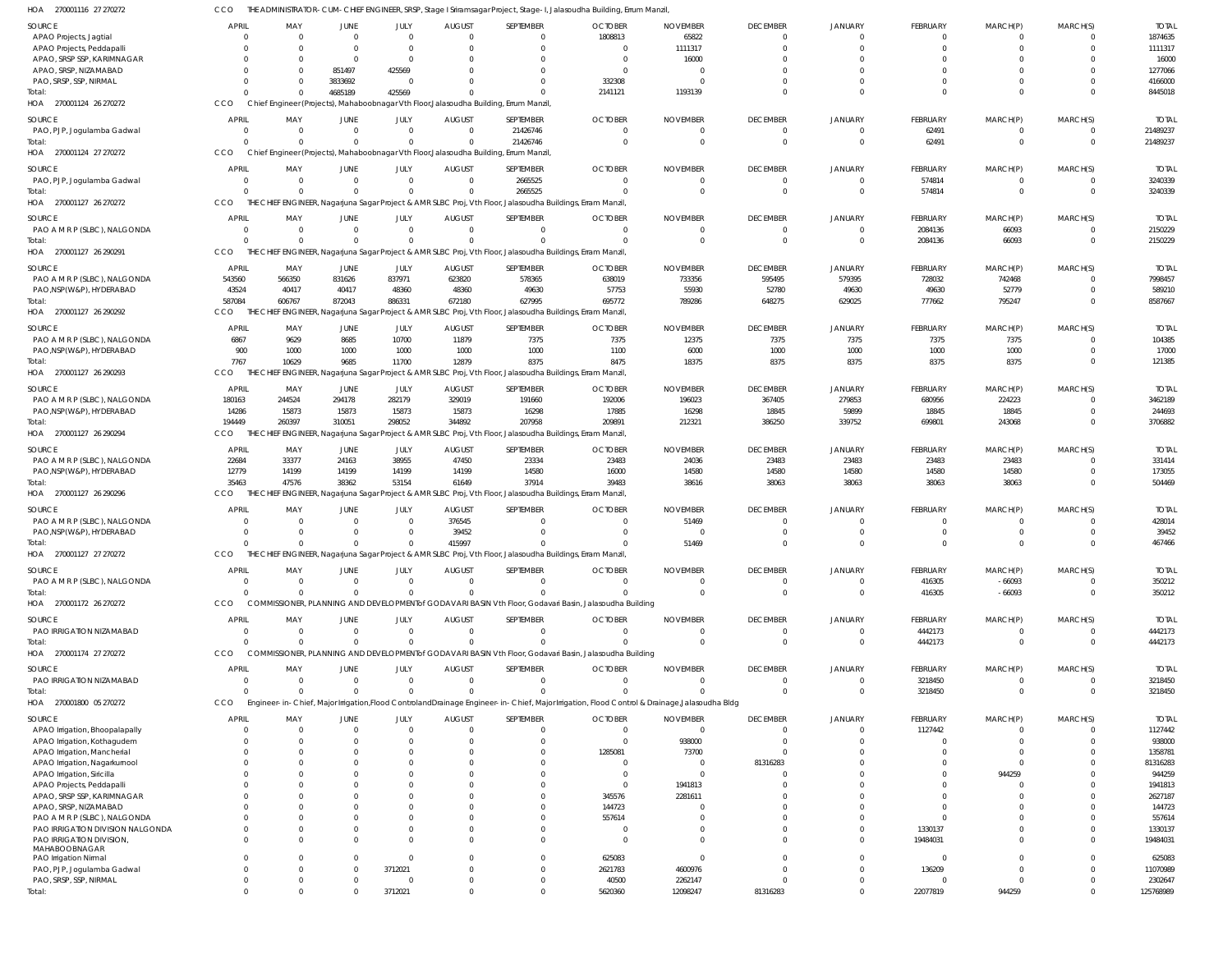| SOURCE                                                  | <b>APRIL</b> | MAY                                                                                   | JUNE                                      | JULY                       | <b>AUGUST</b>              | SEPTEMBER                                                                                                                                     | <b>OCTOBER</b>                   | <b>NOVEMBER</b>  | <b>DECEMBER</b>      | <b>JANUARY</b>       | FEBRUARY                   | MARCH(P)                 | MARCH(S)             | <b>TOTAL</b>     |
|---------------------------------------------------------|--------------|---------------------------------------------------------------------------------------|-------------------------------------------|----------------------------|----------------------------|-----------------------------------------------------------------------------------------------------------------------------------------------|----------------------------------|------------------|----------------------|----------------------|----------------------------|--------------------------|----------------------|------------------|
| APAO Projects, Jagtial                                  | $\Omega$     | $\overline{0}$                                                                        | $\overline{0}$                            | $\overline{0}$             | $\overline{0}$             | $\overline{0}$                                                                                                                                | 1808813                          | 65822            | $\Omega$             | $\Omega$             | $\overline{0}$             | $\overline{0}$           | $\Omega$             | 1874635          |
| APAO Projects, Peddapalli<br>APAO, SRSP SSP, KARIMNAGAR |              | $\overline{0}$<br>$\Omega$                                                            | $\overline{\mathbf{0}}$<br>$\overline{0}$ | $\overline{0}$<br>$\Omega$ | $\overline{0}$<br>$\Omega$ | $\Omega$<br>$\Omega$                                                                                                                          | $\overline{0}$<br>$\overline{0}$ | 1111317<br>16000 | $\Omega$<br>$\Omega$ | $\Omega$<br>$\Omega$ | $\overline{0}$<br>$\Omega$ | $\mathbf{0}$<br>$\Omega$ | $\Omega$<br>$\Omega$ | 1111317<br>16000 |
| APAO, SRSP, NIZAMABAD                                   |              | $\Omega$                                                                              | 851497                                    | 425569                     | $\Omega$                   | <sup>0</sup>                                                                                                                                  | $\overline{0}$                   | $\overline{0}$   |                      | $\Omega$             | $\Omega$                   | $\Omega$                 | $\Omega$             | 1277066          |
| PAO, SRSP, SSP, NIRMAL                                  |              | $\Omega$                                                                              | 3833692                                   | $\Omega$                   | $\Omega$                   | $\Omega$                                                                                                                                      | 332308                           | $\mathsf{C}$     |                      | $\Omega$             | $\Omega$                   | $\Omega$                 | $\Omega$             | 4166000          |
| Total:                                                  |              | $\Omega$                                                                              | 4685189                                   | 425569                     | $\Omega$                   | $\Omega$                                                                                                                                      | 2141121                          | 1193139          | $\Omega$             | $\Omega$             | $\Omega$                   | $\mathbf 0$              | $\Omega$             | 8445018          |
| HOA 270001124 26 270272                                 | CCO          | Chief Engineer (Projects), Mahaboobnagar Vth Floor, Jalasoudha Building, Errum Manzil |                                           |                            |                            |                                                                                                                                               |                                  |                  |                      |                      |                            |                          |                      |                  |
| SOURCE                                                  | <b>APRIL</b> | MAY                                                                                   | JUNE                                      | JULY                       | <b>AUGUST</b>              | SEPTEMBER                                                                                                                                     | <b>OCTOBER</b>                   | <b>NOVEMBER</b>  | <b>DECEMBER</b>      | <b>JANUARY</b>       | FEBRUARY                   | MARCH(P)                 | MARCH(S)             | <b>TOTAL</b>     |
| PAO, PJP, Jogulamba Gadwal                              | $\Omega$     | $\overline{0}$                                                                        | $\overline{0}$                            | $\Omega$                   | $\overline{0}$             | 21426746                                                                                                                                      | $\overline{0}$                   | $\Omega$         | $\Omega$             | $\Omega$             | 62491                      | $\overline{0}$           | $\Omega$             | 21489237         |
| Total:                                                  | $\Omega$     | $\Omega$                                                                              | $\overline{0}$                            | $\Omega$                   | $\Omega$                   | 21426746                                                                                                                                      | $\overline{0}$                   | $\overline{0}$   | $\overline{0}$       | $\Omega$             | 62491                      | $\mathbf 0$              | $\overline{0}$       | 21489237         |
| HOA 270001124 27 270272                                 | CCO          | Chief Engineer (Projects), Mahaboobnagar Vth Floor, Jalasoudha Building, Errum Manzil |                                           |                            |                            |                                                                                                                                               |                                  |                  |                      |                      |                            |                          |                      |                  |
| SOURCE                                                  | <b>APRIL</b> | MAY                                                                                   | <b>JUNE</b>                               | JULY                       | <b>AUGUST</b>              | SEPTEMBER                                                                                                                                     | <b>OCTOBER</b>                   | <b>NOVEMBER</b>  | <b>DECEMBER</b>      | <b>JANUARY</b>       | <b>FEBRUARY</b>            | MARCH(P)                 | MARCH(S)             | <b>TOTAL</b>     |
| PAO, PJP, Jogulamba Gadwal                              | $\Omega$     | $\overline{0}$                                                                        | $\overline{\mathbf{0}}$                   | $\overline{0}$             | $\overline{0}$             | 2665525                                                                                                                                       | $\overline{0}$                   | $\overline{0}$   | $\Omega$             | $\mathbf 0$          | 574814                     | $\overline{0}$           | $\overline{0}$       | 3240339          |
| Total:                                                  | $\cap$       | $\Omega$                                                                              | $\Omega$                                  | $\Omega$                   | $\Omega$                   | 2665525                                                                                                                                       | $\mathsf{C}$                     | $\Omega$         | $\Omega$             | $\Omega$             | 574814                     | $\mathbf 0$              | $\Omega$             | 3240339          |
| HOA 270001127 26 270272                                 | CCO          |                                                                                       |                                           |                            |                            | THE CHIEF ENGINEER, Nagarjuna Sagar Project & AMR SLBC Proj, Vth Floor, Jalasoudha Buildings, Erram Manzil,                                   |                                  |                  |                      |                      |                            |                          |                      |                  |
| SOURCE                                                  | <b>APRIL</b> | MAY                                                                                   | JUNE                                      | JULY                       | <b>AUGUST</b>              | SEPTEMBER                                                                                                                                     | <b>OCTOBER</b>                   | <b>NOVEMBER</b>  | <b>DECEMBER</b>      | <b>JANUARY</b>       | <b>FEBRUARY</b>            | MARCH(P)                 | MARCH(S)             | <b>TOTAL</b>     |
| PAO A M R P (SLBC), NALGONDA                            | $\Omega$     | $\overline{0}$                                                                        | $\overline{0}$                            | $\Omega$                   | $\overline{0}$             | $\Omega$                                                                                                                                      | $\overline{0}$                   | $\overline{0}$   | $\Omega$             | $\overline{0}$       | 2084136                    | 66093                    | $\overline{0}$       | 2150229          |
| Total:                                                  | $\cap$       | $\Omega$                                                                              | $\Omega$                                  | $\Omega$                   | $\Omega$                   |                                                                                                                                               | $\mathsf{C}$                     | $\Omega$         | $\Omega$             | $\Omega$             | 2084136                    | 66093                    | $\overline{0}$       | 2150229          |
| HOA 270001127 26 290291                                 | CCO          |                                                                                       |                                           |                            |                            | THE CHIEF ENGINEER, Nagarjuna Sagar Project & AMR SLBC Proj, Vth Floor, Jalasoudha Buildings, Erram Manzil,                                   |                                  |                  |                      |                      |                            |                          |                      |                  |
| SOURCE                                                  | <b>APRIL</b> | MAY                                                                                   | JUNE                                      | JULY                       | <b>AUGUST</b>              | SEPTEMBER                                                                                                                                     | <b>OCTOBER</b>                   | <b>NOVEMBER</b>  | <b>DECEMBER</b>      | <b>JANUARY</b>       | FEBRUARY                   | MARCH(P)                 | MARCH(S)             | <b>TOTAL</b>     |
| PAO A M R P (SLBC), NALGONDA                            | 543560       | 566350                                                                                | 831626                                    | 837971                     | 623820                     | 578365                                                                                                                                        | 638019                           | 733356           | 595495               | 579395               | 728032                     | 742468                   | $\overline{0}$       | 7998457          |
| PAO, NSP (W&P), HYDERABAD                               | 43524        | 40417                                                                                 | 40417                                     | 48360                      | 48360                      | 49630                                                                                                                                         | 57753                            | 55930            | 52780                | 49630                | 49630                      | 52779                    | $\overline{0}$       | 589210           |
| Total:                                                  | 587084       | 606767                                                                                | 872043                                    | 886331                     | 672180                     | 627995                                                                                                                                        | 695772                           | 789286           | 648275               | 629025               | 777662                     | 795247                   | $\Omega$             | 8587667          |
| HOA 270001127 26 290292                                 | CCO          |                                                                                       |                                           |                            |                            | THE CHIEF ENGINEER, Nagarjuna Sagar Project & AMR SLBC Proj, Vth Floor, Jalasoudha Buildings, Erram Manzil,                                   |                                  |                  |                      |                      |                            |                          |                      |                  |
| SOURCE                                                  | <b>APRIL</b> | MAY                                                                                   | <b>JUNE</b>                               | JULY                       | <b>AUGUST</b>              | SEPTEMBER                                                                                                                                     | <b>OCTOBER</b>                   | <b>NOVEMBER</b>  | <b>DECEMBER</b>      | <b>JANUARY</b>       | <b>FEBRUARY</b>            | MARCH(P)                 | MARCH(S)             | <b>TOTAL</b>     |
| PAO A M R P (SLBC), NALGONDA                            | 6867         | 9629                                                                                  | 8685                                      | 10700                      | 11879                      | 7375                                                                                                                                          | 7375                             | 12375            | 7375                 | 7375                 | 7375                       | 7375                     | $\overline{0}$       | 104385           |
| PAO, NSP(W&P), HYDERABAD                                | 900          | 1000                                                                                  | 1000                                      | 1000                       | 1000                       | 1000                                                                                                                                          | 1100                             | 6000             | 1000                 | 1000                 | 1000                       | 1000                     | $\Omega$             | 17000            |
| Total:                                                  | 7767         | 10629                                                                                 | 9685                                      | 11700                      | 12879                      | 8375                                                                                                                                          | 8475                             | 18375            | 8375                 | 8375                 | 8375                       | 8375                     | $\Omega$             | 121385           |
| HOA 270001127 26 290293                                 | CCO          |                                                                                       |                                           |                            |                            | ENGINEER, Nagarjuna Sagar Project & AMR SLBC Proj, Vth Floor, Jalasoudha Buildings, Erram Manzil,                                             |                                  |                  |                      |                      |                            |                          |                      |                  |
| SOURCE                                                  | <b>APRIL</b> | MAY                                                                                   | JUNE                                      | JULY                       | <b>AUGUST</b>              | SEPTEMBER                                                                                                                                     | <b>OCTOBER</b>                   | <b>NOVEMBER</b>  | <b>DECEMBER</b>      | <b>JANUARY</b>       | <b>FEBRUARY</b>            | MARCH(P)                 | MARCH(S)             | <b>TOTAL</b>     |
| PAO A M R P (SLBC), NALGONDA                            | 180163       | 244524                                                                                | 294178                                    | 282179                     | 329019                     | 191660                                                                                                                                        | 192006                           | 196023           | 367405               | 279853               | 680956                     | 224223                   | $\overline{0}$       | 3462189          |
| PAO, NSP (W&P), HYDERABAD                               | 14286        | 15873                                                                                 | 15873                                     | 15873                      | 15873                      | 16298                                                                                                                                         | 17885                            | 16298            | 18845                | 59899                | 18845                      | 18845                    | $\overline{0}$       | 244693           |
| Total:                                                  | 194449       | 260397                                                                                | 310051                                    | 298052                     | 344892                     | 207958                                                                                                                                        | 209891                           | 212321           | 386250               | 339752               | 699801                     | 243068                   | $\Omega$             | 3706882          |
| HOA 270001127 26 290294                                 | CCO          |                                                                                       |                                           |                            |                            | THE CHIEF ENGINEER, Nagarjuna Sagar Project & AMR SLBC Proj, Vth Floor, Jalasoudha Buildings, Erram Manzil,                                   |                                  |                  |                      |                      |                            |                          |                      |                  |
| <b>SOURCE</b>                                           | APRIL        | MAY                                                                                   | JUNE                                      | JULY                       | <b>AUGUST</b>              | SEPTEMBER                                                                                                                                     | <b>OCTOBER</b>                   | <b>NOVEMBER</b>  | <b>DECEMBER</b>      | <b>JANUARY</b>       | FEBRUARY                   | MARCH(P)                 | MARCH(S)             | <b>TOTAL</b>     |
| PAO A M R P (SLBC), NALGONDA                            | 22684        | 33377                                                                                 | 24163                                     | 38955                      | 47450                      | 23334                                                                                                                                         | 23483                            | 24036            | 23483                | 23483                | 23483                      | 23483                    | $\Omega$             | 331414           |
| PAO, NSP(W&P), HYDERABAD                                | 12779        | 14199                                                                                 | 14199                                     | 14199                      | 14199                      | 14580                                                                                                                                         | 16000                            | 14580            | 14580                | 14580                | 14580                      | 14580                    | $\Omega$             | 173055           |
| Total:                                                  | 35463        | 47576                                                                                 | 38362                                     | 53154                      | 61649                      | 37914                                                                                                                                         | 39483                            | 38616            | 38063                | 38063                | 38063                      | 38063                    | $\Omega$             | 504469           |
| HOA 270001127 26 290296                                 | <b>CCO</b>   |                                                                                       |                                           |                            |                            | THE CHIEF ENGINEER, Nagarjuna Sagar Project & AMR SLBC Proj, Vth Floor, Jalasoudha Buildings, Erram Manzil,                                   |                                  |                  |                      |                      |                            |                          |                      |                  |
| SOURCE                                                  | <b>APRIL</b> | MAY                                                                                   | JUNE                                      | JULY                       | <b>AUGUST</b>              | SEPTEMBER                                                                                                                                     | <b>OCTOBER</b>                   | <b>NOVEMBER</b>  | <b>DECEMBER</b>      | <b>JANUARY</b>       | FEBRUARY                   | MARCH(P)                 | MARCH(S)             | <b>TOTAL</b>     |
| PAO A M R P (SLBC), NALGONDA                            | $\Omega$     | $\overline{0}$                                                                        | $\overline{\mathbf{0}}$                   | $\overline{0}$             | 376545                     | $\Omega$                                                                                                                                      | $\Omega$                         | 51469            | $\Omega$             | $\Omega$             | $\Omega$                   | 0                        | $\Omega$             | 428014           |
| PAO, NSP(W&P), HYDERABAD                                | $\Omega$     | $\overline{0}$                                                                        | $\overline{0}$                            | $\overline{0}$             | 39452                      | $\Omega$                                                                                                                                      | - 0                              | $\overline{0}$   | $\Omega$             | $\Omega$             | $\overline{0}$             | $\overline{0}$           | $\Omega$             | 39452            |
| Total:                                                  |              | $\Omega$                                                                              | $\Omega$                                  | $\Omega$                   | 415997                     | $\Omega$                                                                                                                                      |                                  | 51469            | $\Omega$             | $\Omega$             | $\overline{0}$             | $\Omega$                 | $\Omega$             | 467466           |
| HOA 270001127 27 270272                                 | <b>CCO</b>   |                                                                                       |                                           |                            |                            | THE CHIEF ENGINEER, Nagarjuna Sagar Project & AMR SLBC Proj, Vth Floor, Jalasoudha Buildings, Erram Manzil,                                   |                                  |                  |                      |                      |                            |                          |                      |                  |
| SOURCE                                                  | <b>APRIL</b> | MAY                                                                                   | JUNE                                      | JULY                       | AUGUST                     | SEPTEMBER                                                                                                                                     | <b>OCTOBER</b>                   | <b>NOVEMBER</b>  | <b>DECEMBER</b>      | <b>JANUARY</b>       | FEBRUARY                   | MARCH(P)                 | MARCH(S)             | <b>TOTAL</b>     |
| PAO A M R P (SLBC), NALGONDA                            | $\Omega$     | $\Omega$                                                                              | $\overline{0}$                            | $\Omega$                   | $\overline{0}$             | $\Omega$                                                                                                                                      | $\overline{0}$                   | $\Omega$         |                      | $\Omega$             | 416305                     | $-66093$                 | $\Omega$             | 350212           |
| Total:                                                  | $\cap$       | $\Omega$                                                                              | $\overline{0}$                            |                            | $\Omega$                   | 0                                                                                                                                             |                                  | $\Omega$         | $\Omega$             | $\Omega$             | 416305                     | $-66093$                 | $\Omega$             | 350212           |
| HOA 270001172 26 270272                                 | CCO          |                                                                                       |                                           |                            |                            | COMMISSIONER, PLANNING AND DEVELOPMENT of GODAVARI BASIN Vth Floor, Godavari Basin, Jalasoudha Building                                       |                                  |                  |                      |                      |                            |                          |                      |                  |
| SOURCE                                                  | APRIL        | MAY                                                                                   | JUNE                                      | JULY                       | <b>AUGUST</b>              | SEPTEMBER                                                                                                                                     | <b>OCTOBER</b>                   | <b>NOVEMBER</b>  | <b>DECEMBER</b>      | <b>JANUARY</b>       | <b>FEBRUARY</b>            | MARCH(P)                 | MARCH(S)             | <b>TOTAL</b>     |
| PAO IRRIGATION NIZAMABAD                                | $\Omega$     | $\overline{0}$                                                                        | $\overline{0}$                            | $\overline{0}$             | $\overline{0}$             | $\overline{0}$                                                                                                                                | 0                                | $\Omega$         | $\Omega$             | $\Omega$             | 4442173                    | 0                        | $\overline{0}$       | 4442173          |
| Total:                                                  | $\cap$       | $\Omega$                                                                              | $\Omega$                                  | $\Omega$                   | $\Omega$                   | $\Omega$                                                                                                                                      | $\sqrt{2}$                       | $\Omega$         | $\Omega$             | $\Omega$             | 4442173                    | $\overline{0}$           | $\Omega$             | 4442173          |
| HOA 270001174 27 270272                                 | CCO          |                                                                                       |                                           |                            |                            | COMMISSIONER, PLANNING AND DEVELOPMENT of GODAVARI BASIN Vth Floor, Godavari Basin, Jalasoudha Building                                       |                                  |                  |                      |                      |                            |                          |                      |                  |
| SOURCE                                                  | <b>APRIL</b> | MAY                                                                                   | JUNE                                      | JULY                       | <b>AUGUST</b>              | SEPTEMBER                                                                                                                                     | <b>OCTOBER</b>                   | <b>NOVEMBER</b>  | <b>DECEMBER</b>      | <b>JANUARY</b>       | <b>FEBRUARY</b>            | MARCH(P)                 | MARCH(S)             | <b>TOTAL</b>     |
| PAO IRRIGATION NIZAMABAD                                | $\Omega$     | $\overline{0}$                                                                        | $\overline{0}$                            | $\Omega$                   | $\overline{\mathbf{0}}$    | $\overline{0}$                                                                                                                                | $\overline{0}$                   | $\Omega$         | $\Omega$             | $\Omega$             | 3218450                    | 0                        | $\Omega$             | 3218450          |
| Total:                                                  | $\Omega$     | $\Omega$                                                                              | $\overline{0}$                            | $\Omega$                   | $\Omega$                   | $\Omega$                                                                                                                                      | C                                | C                | $\Omega$             | $\Omega$             | 3218450                    | $\overline{0}$           | $\overline{0}$       | 3218450          |
| HOA 270001800 05 270272                                 | CCO          |                                                                                       |                                           |                            |                            | Engineer-in-Chief, Major Irrigation, Flood Controland Drainage Engineer-in-Chief, Major Irrigation, Flood Control & Drainage, Jalasoudha Bldg |                                  |                  |                      |                      |                            |                          |                      |                  |
| SOURCE                                                  | <b>APRIL</b> | MAY                                                                                   | JUNE                                      | JULY                       | <b>AUGUST</b>              | SEPTEMBER                                                                                                                                     | <b>OCTOBER</b>                   | <b>NOVEMBER</b>  | <b>DECEMBER</b>      | <b>JANUARY</b>       | <b>FEBRUARY</b>            | MARCH(P)                 | MARCH(S)             | <b>TOTAL</b>     |
| APAO Irrigation, Bhoopalapally                          |              | $\overline{0}$                                                                        | $\Omega$                                  | $\Omega$                   | $\Omega$                   | $\Omega$                                                                                                                                      | $\overline{0}$                   | $\overline{0}$   |                      | $\Omega$             | 1127442                    | $\Omega$                 | $\Omega$             | 1127442          |
| APAO Irrigation, Kothagudem                             |              | $\Omega$                                                                              | $\Omega$                                  | $\Omega$                   | $\Omega$                   | $\Omega$                                                                                                                                      | $\Omega$                         | 938000           | $\Omega$             |                      | $\Omega$                   | $\Omega$                 | $\Omega$             | 938000           |
| APAO Irrigation, Mancherial                             |              | $\Omega$                                                                              |                                           |                            | $\Omega$                   |                                                                                                                                               | 1285081                          | 73700            |                      |                      | n                          | $\Omega$                 |                      | 1358781          |
| APAO Irrigation, Nagarkurnool                           |              | $\Omega$                                                                              |                                           |                            | $\Omega$                   |                                                                                                                                               | C                                | - 0              | 81316283             |                      |                            | $\Omega$                 |                      | 81316283         |
| APAO Irrigation, Siricilla                              |              | $\Omega$                                                                              |                                           |                            | n                          |                                                                                                                                               | $\Omega$                         | $\Omega$         |                      |                      |                            | 944259                   |                      | 944259           |
| APAO Projects, Peddapalli                               |              |                                                                                       |                                           |                            | $\Omega$                   |                                                                                                                                               | $\Omega$                         | 1941813          |                      |                      | $\Omega$                   | $\Omega$                 |                      | 1941813          |
| APAO, SRSP SSP, KARIMNAGAR                              |              | $\Omega$                                                                              |                                           |                            |                            |                                                                                                                                               | 345576                           | 2281611          |                      |                      | $\Omega$                   |                          |                      | 2627187          |
| APAO, SRSP, NIZAMABAD<br>PAO A M R P (SLBC), NALGONDA   |              | $\Omega$<br>$\Omega$                                                                  |                                           |                            | $\Omega$<br>$\Omega$       |                                                                                                                                               | 144723<br>557614                 | C                |                      |                      | $\Omega$<br>$\Omega$       |                          |                      | 144723<br>557614 |
| PAO IRRIGATION DIVISION NALGONDA                        |              | $\Omega$                                                                              | $\Omega$                                  |                            | $\Omega$                   | <sup>0</sup>                                                                                                                                  | 0                                |                  |                      | $\Omega$             | 1330137                    |                          | $\Omega$             | 1330137          |
| PAO IRRIGATION DIVISION,                                |              | $\Omega$                                                                              | $\Omega$                                  |                            | $\Omega$                   | <sup>0</sup>                                                                                                                                  | $\Omega$                         | $\Omega$         |                      | $\Omega$             | 19484031                   | $\Omega$                 | $\Omega$             | 19484031         |
| MAHABOOBNAGAR                                           |              |                                                                                       |                                           |                            |                            |                                                                                                                                               |                                  |                  |                      |                      |                            |                          |                      |                  |
| PAO Irrigation Nirmal                                   |              | $\Omega$                                                                              | $\Omega$                                  | -0                         | $\Omega$                   | 0                                                                                                                                             | 625083                           | C                |                      | $\Omega$             | $\Omega$                   | $\Omega$                 |                      | 625083           |
| PAO, PJP, Jogulamba Gadwal                              |              | $\Omega$                                                                              | $\overline{0}$                            | 3712021                    | $\Omega$                   | 0                                                                                                                                             | 2621783                          | 4600976          |                      | $\Omega$             | 136209                     | $\Omega$                 |                      | 11070989         |
| PAO, SRSP, SSP, NIRMAL<br>Total:                        | $\Omega$     | $\mathbf{0}$<br>$\Omega$                                                              | $\overline{0}$                            | $\Omega$                   | $\Omega$<br>$\Omega$       | 0<br>$\Omega$                                                                                                                                 | 40500                            | 2262147          |                      | $\Omega$<br>$\Omega$ | $\Omega$                   | $\Omega$                 | $\Omega$             | 2302647          |
|                                                         |              |                                                                                       | $\overline{0}$                            | 3712021                    |                            |                                                                                                                                               | 5620360                          | 12098247         | 81316283             |                      | 22077819                   | 944259                   |                      | 125768989        |

THE ADMINISTRATOR-CUM-CHIEF ENGINEER, SRSP, Stage I Sriramsagar Project, Stage-I, Jalasoudha Building, Errum Manzil, CCO

270001116 27 270272 HOA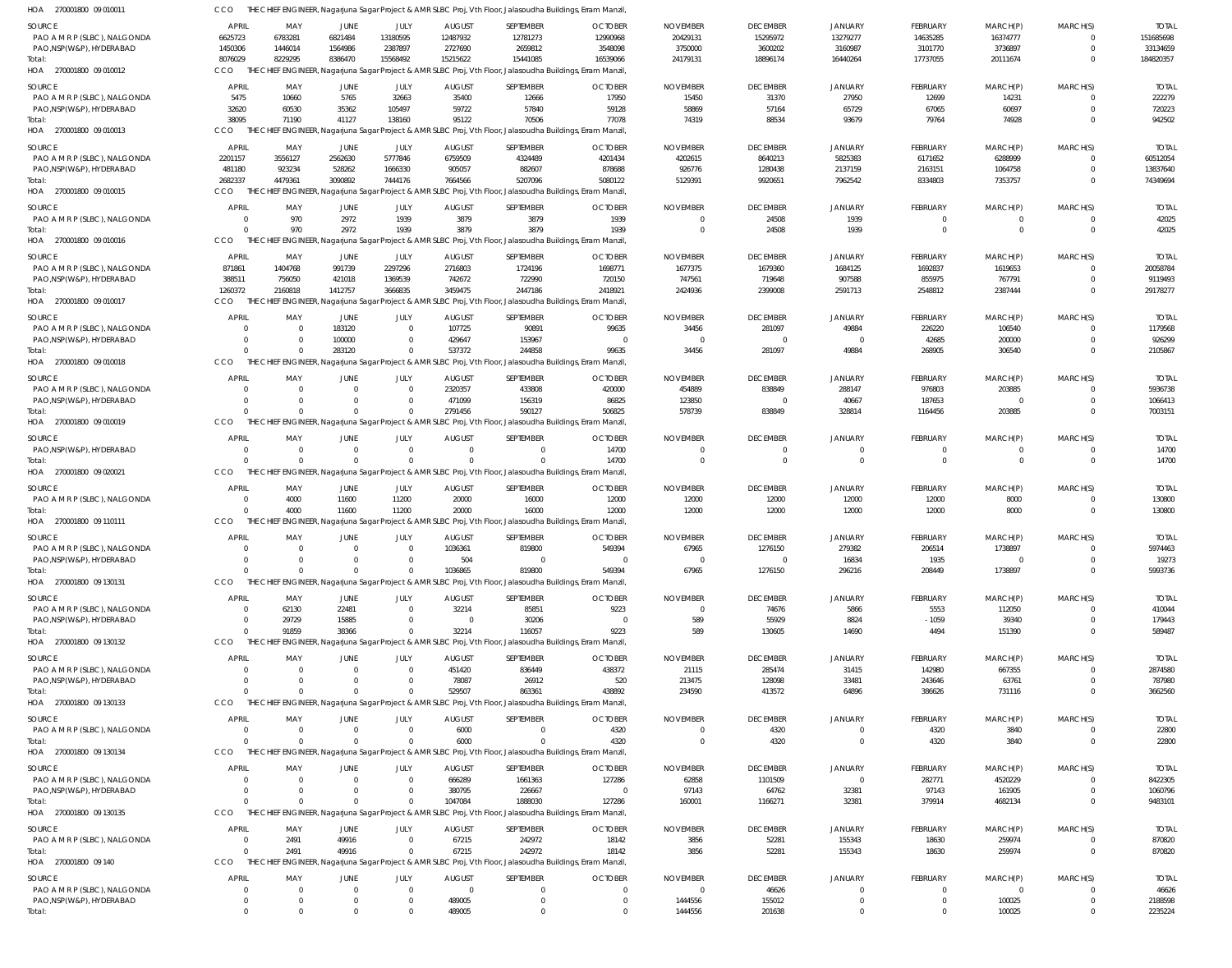| SOURCE                                 | <b>APRIL</b>            | MAY                        | JUNE                    | JULY            | <b>AUGUST</b>            | SEPTEMBER                                                                                                   | <b>OCTOBER</b>            | <b>NOVEMBER</b>                  | <b>DECEMBER</b>            | <b>JANUARY</b>            | FEBRUARY                      | MARCH(P)                   | MARCH(S)                   | <b>TOTAL</b>             |
|----------------------------------------|-------------------------|----------------------------|-------------------------|-----------------|--------------------------|-------------------------------------------------------------------------------------------------------------|---------------------------|----------------------------------|----------------------------|---------------------------|-------------------------------|----------------------------|----------------------------|--------------------------|
| PAO A M R P (SLBC), NALGONDA           | 6625723                 | 6783281                    | 6821484                 | 13180595        | 12487932                 | 12781273                                                                                                    | 12990968                  | 20429131                         | 15295972                   | 13279277                  | 14635285                      | 16374777                   | $\Omega$                   | 151685698                |
| PAO, NSP (W&P), HYDERABAD              | 1450306                 | 1446014                    | 1564986                 | 2387897         | 2727690                  | 2659812                                                                                                     | 3548098                   | 3750000                          | 3600202                    | 3160987                   | 3101770                       | 3736897                    | $\Omega$                   | 33134659                 |
| Total:                                 | 8076029                 | 8229295                    | 8386470                 | 15568492        | 15215622                 | 15441085                                                                                                    | 16539066                  | 24179131                         | 18896174                   | 16440264                  | 17737055                      | 20111674                   | $\overline{0}$             | 184820357                |
| HOA 270001800 09 010012                | CCO                     |                            |                         |                 |                          | THE CHIEF ENGINEER, Nagarjuna Sagar Project & AMR SLBC Proj, Vth Floor, Jalasoudha Buildings, Erram Manzil, |                           |                                  |                            |                           |                               |                            |                            |                          |
| SOURCE                                 | <b>APRIL</b>            | MAY                        | JUNE                    | JULY            | <b>AUGUST</b>            | SEPTEMBER                                                                                                   | <b>OCTOBER</b>            | <b>NOVEMBER</b>                  | <b>DECEMBER</b>            | <b>JANUARY</b>            | FEBRUARY                      | MARCH(P)                   | MARCH(S)                   | <b>TOTAL</b>             |
| PAO A M R P (SLBC), NALGONDA           | 5475                    | 10660                      | 5765                    | 32663           | 35400                    | 12666                                                                                                       | 17950                     | 15450                            | 31370                      | 27950                     | 12699                         | 14231                      | $\Omega$                   | 222279                   |
| PAO, NSP (W&P), HYDERABAD              | 32620                   | 60530                      | 35362                   | 105497          | 59722                    | 57840                                                                                                       | 59128                     | 58869                            | 57164                      | 65729                     | 67065                         | 60697                      | $\Omega$                   | 720223                   |
| Total:                                 | 38095                   | 71190                      | 41127                   | 138160          | 95122                    | 70506                                                                                                       | 77078                     | 74319                            | 88534                      | 93679                     | 79764                         | 74928                      | $\Omega$                   | 942502                   |
| HOA 270001800 09 010013                | CCO                     |                            |                         |                 |                          | THE CHIEF ENGINEER, Nagarjuna Sagar Project & AMR SLBC Proj, Vth Floor, Jalasoudha Buildings, Erram Manzil, |                           |                                  |                            |                           |                               |                            |                            |                          |
|                                        |                         |                            |                         |                 |                          |                                                                                                             |                           |                                  |                            |                           |                               |                            |                            |                          |
| SOURCE<br>PAO A M R P (SLBC), NALGONDA | <b>APRIL</b><br>2201157 | MAY<br>3556127             | JUNE<br>2562630         | JULY<br>5777846 | <b>AUGUST</b><br>6759509 | SEPTEMBER<br>4324489                                                                                        | <b>OCTOBER</b><br>4201434 | <b>NOVEMBER</b><br>4202615       | <b>DECEMBER</b><br>8640213 | <b>JANUARY</b><br>5825383 | FEBRUARY<br>6171652           | MARCH(P)<br>6288999        | MARCH(S)<br>$\Omega$       | <b>TOTAL</b><br>60512054 |
| PAO, NSP (W&P), HYDERABAD              | 481180                  | 923234                     | 528262                  | 1666330         | 905057                   | 882607                                                                                                      | 878688                    | 926776                           | 1280438                    | 2137159                   | 2163151                       | 1064758                    | $\mathbf{0}$               | 13837640                 |
| Total:                                 | 2682337                 | 4479361                    | 3090892                 | 7444176         | 7664566                  | 5207096                                                                                                     | 5080122                   | 5129391                          | 9920651                    | 7962542                   | 8334803                       | 7353757                    | $\Omega$                   | 74349694                 |
| HOA 270001800 09 010015                | CCO                     |                            |                         |                 |                          | THE CHIEF ENGINEER, Nagarjuna Sagar Project & AMR SLBC Proj, Vth Floor, Jalasoudha Buildings, Erram Manzil, |                           |                                  |                            |                           |                               |                            |                            |                          |
|                                        |                         |                            |                         |                 |                          |                                                                                                             |                           |                                  |                            |                           |                               |                            |                            |                          |
| SOURCE                                 | APRIL                   | MAY                        | <b>JUNE</b>             | JULY            | <b>AUGUST</b>            | SEPTEMBER                                                                                                   | <b>OCTOBER</b>            | <b>NOVEMBER</b>                  | <b>DECEMBER</b>            | <b>JANUARY</b>            | <b>FEBRUARY</b>               | MARCH(P)                   | MARCH(S)                   | <b>TOTAL</b>             |
| PAO A M R P (SLBC), NALGONDA           | $\Omega$<br>$\Omega$    | 970<br>970                 | 2972<br>2972            | 1939<br>1939    | 3879<br>3879             | 3879<br>3879                                                                                                | 1939                      | $\overline{0}$<br>$\overline{0}$ | 24508                      | 1939<br>1939              | $\overline{0}$<br>$\mathbf 0$ | $\mathbf 0$<br>$\mathbf 0$ | $\overline{0}$<br>$\Omega$ | 42025<br>42025           |
| Total:<br>HOA 270001800 09 010016      | CCO                     |                            |                         |                 |                          | THE CHIEF ENGINEER, Nagarjuna Sagar Project & AMR SLBC Proj, Vth Floor, Jalasoudha Buildings, Erram Manzil, | 1939                      |                                  | 24508                      |                           |                               |                            |                            |                          |
|                                        |                         |                            |                         |                 |                          |                                                                                                             |                           |                                  |                            |                           |                               |                            |                            |                          |
| SOURCE                                 | <b>APRIL</b>            | MAY                        | JUNE                    | JULY            | <b>AUGUST</b>            | SEPTEMBER                                                                                                   | <b>OCTOBER</b>            | <b>NOVEMBER</b>                  | <b>DECEMBER</b>            | <b>JANUARY</b>            | FEBRUARY                      | MARCH(P)                   | MARCH(S)                   | <b>TOTAL</b>             |
| PAO A M R P (SLBC), NALGONDA           | 871861                  | 1404768                    | 991739                  | 2297296         | 2716803                  | 1724196                                                                                                     | 1698771                   | 1677375                          | 1679360                    | 1684125                   | 1692837                       | 1619653                    | $\Omega$                   | 20058784                 |
| PAO, NSP (W&P), HYDERABAD              | 388511                  | 756050                     | 421018                  | 1369539         | 742672                   | 722990                                                                                                      | 720150                    | 747561                           | 719648                     | 907588                    | 855975                        | 767791                     | $\mathbf{0}$               | 9119493                  |
| Total:                                 | 1260372                 | 2160818                    | 1412757                 | 3666835         | 3459475                  | 2447186                                                                                                     | 2418921                   | 2424936                          | 2399008                    | 2591713                   | 2548812                       | 2387444                    | $\Omega$                   | 29178277                 |
| HOA 270001800 09 010017                | CCO                     |                            |                         |                 |                          | THE CHIEF ENGINEER, Nagarjuna Sagar Project & AMR SLBC Proj, Vth Floor, Jalasoudha Buildings, Erram Manzil, |                           |                                  |                            |                           |                               |                            |                            |                          |
| SOURCE                                 | APRIL                   | MAY                        | JUNE                    | JULY            | <b>AUGUST</b>            | SEPTEMBER                                                                                                   | <b>OCTOBER</b>            | <b>NOVEMBER</b>                  | <b>DECEMBER</b>            | <b>JANUARY</b>            | FEBRUARY                      | MARCH(P)                   | MARCH(S)                   | <b>TOTAL</b>             |
| PAO A M R P (SLBC), NALGONDA           | $\Omega$                | $\overline{0}$             | 183120                  | $\Omega$        | 107725                   | 90891                                                                                                       | 99635                     | 34456                            | 281097                     | 49884                     | 226220                        | 106540                     | $\Omega$                   | 1179568                  |
| PAO, NSP(W&P), HYDERABAD               | $\Omega$                | $\Omega$                   | 100000                  | $\Omega$        | 429647                   | 153967                                                                                                      | 0                         | $\overline{0}$                   | $\Omega$                   | $\Omega$                  | 42685                         | 200000                     | $\Omega$                   | 926299                   |
| Total:                                 | $\Omega$                | $\Omega$                   | 283120                  | $\Omega$        | 537372                   | 244858                                                                                                      | 99635                     | 34456                            | 281097                     | 49884                     | 268905                        | 306540                     | $\Omega$                   | 2105867                  |
| HOA 270001800 09 010018                | CCO                     |                            |                         |                 |                          | THE CHIEF ENGINEER, Nagarjuna Sagar Project & AMR SLBC Proj, Vth Floor, Jalasoudha Buildings, Erram Manzil, |                           |                                  |                            |                           |                               |                            |                            |                          |
| SOURCE                                 | APRIL                   | MAY                        | JUNE                    | JULY            | <b>AUGUST</b>            | SEPTEMBER                                                                                                   | <b>OCTOBER</b>            | <b>NOVEMBER</b>                  | <b>DECEMBER</b>            | <b>JANUARY</b>            | FEBRUARY                      | MARCH(P)                   | MARCH(S)                   | <b>TOTAL</b>             |
| PAO A M R P (SLBC), NALGONDA           | $\Omega$                | $\overline{0}$             | $\mathbf 0$             | $\Omega$        | 2320357                  | 433808                                                                                                      | 420000                    | 454889                           | 838849                     | 288147                    | 976803                        | 203885                     | $\Omega$                   | 5936738                  |
| PAO, NSP (W&P), HYDERABAD              | $\Omega$                | $\Omega$                   | $\Omega$                | $\Omega$        | 471099                   | 156319                                                                                                      | 86825                     | 123850                           | $\Omega$                   | 40667                     | 187653                        | $\mathbf 0$                | $\Omega$                   | 1066413                  |
| Total:                                 | $\Omega$                | $\Omega$                   | $\Omega$                | $\Omega$        | 2791456                  | 590127                                                                                                      | 506825                    | 578739                           | 838849                     | 328814                    | 1164456                       | 203885                     | $\overline{0}$             | 7003151                  |
| HOA 270001800 09 010019                | CCO                     |                            |                         |                 |                          | THE CHIEF ENGINEER, Nagarjuna Sagar Project & AMR SLBC Proj, Vth Floor, Jalasoudha Buildings, Erram Manzil, |                           |                                  |                            |                           |                               |                            |                            |                          |
| SOURCE                                 | APRIL                   | MAY                        | JUNE                    | JULY            | <b>AUGUST</b>            | SEPTEMBER                                                                                                   | <b>OCTOBER</b>            | <b>NOVEMBER</b>                  | <b>DECEMBER</b>            | <b>JANUARY</b>            | FEBRUARY                      | MARCH(P)                   | MARCH(S)                   | <b>TOTAL</b>             |
| PAO, NSP (W&P), HYDERABAD              | $\Omega$                | $\overline{0}$             | $\overline{0}$          | $\Omega$        | $\overline{0}$           | $\overline{0}$                                                                                              | 14700                     | 0                                | $\Omega$                   | $\Omega$                  | $\mathbf 0$                   | 0                          | $\Omega$                   | 14700                    |
| Total:                                 | $\Omega$                | $\overline{0}$             | $\Omega$                | $\Omega$        | $\Omega$                 | $\Omega$                                                                                                    | 14700                     | $\overline{0}$                   | $\overline{0}$             | $\Omega$                  | $\mathbf{0}$                  | $\mathbf{0}$               | $\Omega$                   | 14700                    |
| HOA 270001800 09 020021                | CCO                     |                            |                         |                 |                          | THE CHIEF ENGINEER, Nagarjuna Sagar Project & AMR SLBC Proj, Vth Floor, Jalasoudha Buildings, Erram Manzil, |                           |                                  |                            |                           |                               |                            |                            |                          |
|                                        | APRIL                   |                            |                         |                 |                          |                                                                                                             |                           |                                  |                            |                           |                               |                            |                            |                          |
| SOURCE<br>PAO A M R P (SLBC), NALGONDA | $\Omega$                | MAY<br>4000                | JUNE<br>11600           | JULY<br>11200   | <b>AUGUST</b><br>20000   | SEPTEMBER<br>16000                                                                                          | <b>OCTOBER</b><br>12000   | <b>NOVEMBER</b><br>12000         | <b>DECEMBER</b><br>12000   | <b>JANUARY</b><br>12000   | FEBRUARY<br>12000             | MARCH(P)<br>8000           | MARCH(S)<br>$\overline{0}$ | <b>TOTAL</b><br>130800   |
| Total:                                 | $\Omega$                | 4000                       | 11600                   | 11200           | 20000                    | 16000                                                                                                       | 12000                     | 12000                            | 12000                      | 12000                     | 12000                         | 8000                       | $\overline{0}$             | 130800                   |
| HOA 270001800 09 110111                | CCO                     |                            |                         |                 |                          | THE CHIEF ENGINEER, Nagarjuna Sagar Project & AMR SLBC Proj, Vth Floor, Jalasoudha Buildings, Erram Manzil, |                           |                                  |                            |                           |                               |                            |                            |                          |
|                                        |                         |                            |                         |                 |                          |                                                                                                             |                           |                                  |                            |                           |                               |                            |                            |                          |
| SOURCE                                 | APRIL                   | MAY                        | JUNE                    | JULY            | <b>AUGUST</b>            | SEPTEMBER                                                                                                   | <b>OCTOBER</b>            | <b>NOVEMBER</b>                  | <b>DECEMBER</b>            | <b>JANUARY</b>            | FEBRUARY                      | MARCH(P)                   | MARCH(S)                   | <b>TOTAL</b>             |
| PAO A M R P (SLBC), NALGONDA           | $\Omega$<br>$\Omega$    | $\overline{0}$<br>$\Omega$ | $\mathbf 0$             | $\Omega$        | 1036361                  | 819800                                                                                                      | 549394                    | 67965                            | 1276150                    | 279382                    | 206514                        | 1738897                    | $\Omega$                   | 5974463                  |
| PAO, NSP (W&P), HYDERABAD              | $\Omega$                | $\Omega$                   | $\Omega$<br>$\mathbf 0$ | $\cap$          | 504                      | $\Omega$<br>819800                                                                                          | $\cap$                    | $\Omega$                         | $\Omega$                   | 16834                     | 1935                          | $\Omega$                   | $\Omega$<br>$\overline{0}$ | 19273                    |
| Total:<br>HOA 270001800 09 130131      | CCO                     |                            |                         |                 | 1036865                  | THE CHIEF ENGINEER, Nagarjuna Sagar Project & AMR SLBC Proj, Vth Floor, Jalasoudha Buildings, Erram Manzil, | 549394                    | 67965                            | 1276150                    | 296216                    | 208449                        | 1738897                    |                            | 5993736                  |
|                                        |                         |                            |                         |                 |                          |                                                                                                             |                           |                                  |                            |                           |                               |                            |                            |                          |
| SOURCE                                 | APRIL                   | MAY                        | JUNE                    | JULY            | <b>AUGUST</b>            | SEPTEMBER                                                                                                   | <b>OCTOBER</b>            | <b>NOVEMBER</b>                  | <b>DECEMBER</b>            | <b>JANUARY</b>            | FEBRUARY                      | MARCH(P)                   | MARCH(S)                   | <b>TOTAL</b>             |
| PAO A M R P (SLBC), NALGONDA           | $\Omega$                | 62130                      | 22481                   | $\Omega$        | 32214                    | 85851                                                                                                       | 9223                      | 0                                | 74676                      | 5866                      | 5553                          | 112050                     | $\Omega$                   | 410044                   |
| PAO, NSP (W&P), HYDERABAD              | $\Omega$                | 29729                      | 15885                   | $\Omega$        | $\Omega$                 | 30206                                                                                                       | $\Omega$                  | 589                              | 55929                      | 8824                      | $-1059$                       | 39340                      | $\Omega$                   | 179443                   |
| Total:                                 | $\Omega$                | 91859                      | 38366                   | $\Omega$        | 32214                    | 116057                                                                                                      | 9223                      | 589                              | 130605                     | 14690                     | 4494                          | 151390                     | $\overline{0}$             | 589487                   |
| HOA 270001800 09 130132                | CCO                     |                            |                         |                 |                          | THE CHIEF ENGINEER, Nagarjuna Sagar Project & AMR SLBC Proj, Vth Floor, Jalasoudha Buildings, Erram Manzil, |                           |                                  |                            |                           |                               |                            |                            |                          |
| SOURCE                                 | APRIL                   | MAY                        | JUNE                    | JULY            | <b>AUGUST</b>            | SEPTEMBER                                                                                                   | <b>OCTOBER</b>            | <b>NOVEMBER</b>                  | <b>DECEMBER</b>            | <b>JANUARY</b>            | FEBRUARY                      | MARCH(P)                   | MARCH(S)                   | <b>TOTAL</b>             |
| PAO A M R P (SLBC), NALGONDA           |                         | $\Omega$                   | 0                       | $\Omega$        | 451420                   | 836449                                                                                                      | 438372                    | 21115                            | 285474                     | 31415                     | 142980                        | 667355                     |                            | 2874580                  |
| PAO, NSP (W&P), HYDERABAD              | $\Omega$                | $\Omega$                   | $\Omega$                |                 | 78087                    | 26912                                                                                                       | 520                       | 213475                           | 128098                     | 33481                     | 243646                        | 63761                      | $\Omega$                   | 787980                   |
| Total:                                 | $\Omega$                | $\Omega$                   | $\Omega$                |                 | 529507                   | 863361                                                                                                      | 438892                    | 234590                           | 413572                     | 64896                     | 386626                        | 731116                     | $\Omega$                   | 3662560                  |
| HOA 270001800 09 130133                | CCO                     |                            |                         |                 |                          | THE CHIEF ENGINEER, Nagarjuna Sagar Project & AMR SLBC Proj, Vth Floor, Jalasoudha Buildings, Erram Manzil, |                           |                                  |                            |                           |                               |                            |                            |                          |
| SOURCE                                 | <b>APRIL</b>            | MAY                        | JUNE                    | JULY            | <b>AUGUST</b>            | SEPTEMBER                                                                                                   | <b>OCTOBER</b>            | <b>NOVEMBER</b>                  | <b>DECEMBER</b>            | <b>JANUARY</b>            | FEBRUARY                      | MARCH(P)                   | MARCH(S)                   | <b>TOTAL</b>             |
| PAO A M R P (SLBC), NALGONDA           | $\Omega$                | $\overline{0}$             | $\overline{0}$          | $\Omega$        | 6000                     | $\Omega$                                                                                                    | 4320                      | 0                                | 4320                       | $\overline{0}$            | 4320                          | 3840                       | $\Omega$                   | 22800                    |
| Total:                                 | $\Omega$                | $\Omega$                   | $\Omega$                | $\Omega$        | 6000                     |                                                                                                             | 4320                      | $\overline{0}$                   | 4320                       | $\overline{0}$            | 4320                          | 3840                       | $\overline{0}$             | 22800                    |
| HOA 270001800 09 130134                | CCO                     |                            |                         |                 |                          | THE CHIEF ENGINEER, Nagarjuna Sagar Project & AMR SLBC Proj, Vth Floor, Jalasoudha Buildings, Erram Manzil, |                           |                                  |                            |                           |                               |                            |                            |                          |
| SOURCE                                 | APRIL                   | MAY                        | JUNE                    | JULY            | <b>AUGUST</b>            | SEPTEMBER                                                                                                   | <b>OCTOBER</b>            | <b>NOVEMBER</b>                  | <b>DECEMBER</b>            | <b>JANUARY</b>            | FEBRUARY                      | MARCH(P)                   | MARCH(S)                   | <b>TOTAL</b>             |
| PAO A M R P (SLBC), NALGONDA           | $\Omega$                | $\overline{0}$             | $\overline{0}$          | $\Omega$        | 666289                   | 1661363                                                                                                     | 127286                    | 62858                            | 1101509                    | $\Omega$                  | 282771                        | 4520229                    |                            | 8422305                  |
| PAO, NSP (W&P), HYDERABAD              | $\Omega$                | $\Omega$                   | $\Omega$                |                 | 380795                   | 226667                                                                                                      | 0                         | 97143                            | 64762                      | 32381                     | 97143                         | 161905                     | $\Omega$                   | 1060796                  |
| Total:                                 | $\Omega$                |                            | $\Omega$                |                 | 1047084                  | 1888030                                                                                                     | 127286                    | 160001                           | 1166271                    | 32381                     | 379914                        | 4682134                    | $\Omega$                   | 9483101                  |
| HOA 270001800 09 130135                | CCO                     |                            |                         |                 |                          | THE CHIEF ENGINEER, Nagarjuna Sagar Project & AMR SLBC Proj, Vth Floor, Jalasoudha Buildings, Erram Manzil, |                           |                                  |                            |                           |                               |                            |                            |                          |
| SOURCE                                 | APRIL                   | MAY                        | JUNE                    | JULY            | <b>AUGUST</b>            | SEPTEMBER                                                                                                   | <b>OCTOBER</b>            | <b>NOVEMBER</b>                  | <b>DECEMBER</b>            | <b>JANUARY</b>            | FEBRUARY                      | MARCH(P)                   | MARCH(S)                   | <b>TOTAL</b>             |
| PAO A M R P (SLBC), NALGONDA           | $\Omega$                | 2491                       | 49916                   | $\overline{0}$  | 67215                    | 242972                                                                                                      | 18142                     | 3856                             | 52281                      | 155343                    | 18630                         | 259974                     | $\mathbf{0}$               | 870820                   |
| Total:                                 | $\Omega$                | 2491                       | 49916                   | $\Omega$        | 67215                    | 242972                                                                                                      | 18142                     | 3856                             | 52281                      | 155343                    | 18630                         | 259974                     | $\overline{0}$             | 870820                   |
| HOA 270001800 09 140                   | CCO                     |                            |                         |                 |                          | THE CHIEF ENGINEER, Nagarjuna Sagar Project & AMR SLBC Proj, Vth Floor, Jalasoudha Buildings, Erram Manzil, |                           |                                  |                            |                           |                               |                            |                            |                          |
|                                        |                         |                            |                         |                 |                          |                                                                                                             |                           |                                  |                            |                           |                               |                            |                            |                          |
| SOURCE                                 | <b>APRIL</b>            | MAY                        | JUNE                    | JULY            | <b>AUGUST</b>            | SEPTEMBER                                                                                                   | <b>OCTOBER</b>            | <b>NOVEMBER</b>                  | <b>DECEMBER</b>            | <b>JANUARY</b>            | <b>FEBRUARY</b>               | MARCH(P)                   | MARCH(S)                   | <b>TOTAL</b>             |
| PAO A M R P (SLBC), NALGONDA           |                         | $\Omega$                   | 0                       | $\Omega$        | $\overline{0}$           | $\mathbf{0}$                                                                                                | 0                         | - 0                              | 46626                      | $\Omega$                  | $^{\circ}$                    | 0                          |                            | 46626                    |
| PAO, NSP(W&P), HYDERABAD               | $\Omega$                | $\overline{0}$             | 0                       |                 | 489005                   | $\mathbf 0$                                                                                                 | $\mathbf{0}$              | 1444556                          | 155012                     | $\Omega$                  | $\mathbf 0$                   | 100025                     | $\Omega$                   | 2188598                  |
| Total:                                 | $\Omega$                | $\Omega$                   | $\Omega$                |                 | 489005                   | $\mathbf{0}$                                                                                                | $\Omega$                  | 1444556                          | 201638                     | $\overline{0}$            | $\Omega$                      | 100025                     | $\Omega$                   | 2235224                  |

CCO THE CHIEF ENGINEER, Nagarjuna Sagar Project & AMR SLBC Proj, Vth Floor, Jalasoudha Buildings, Erram Manzil,

270001800 09 010011 HOA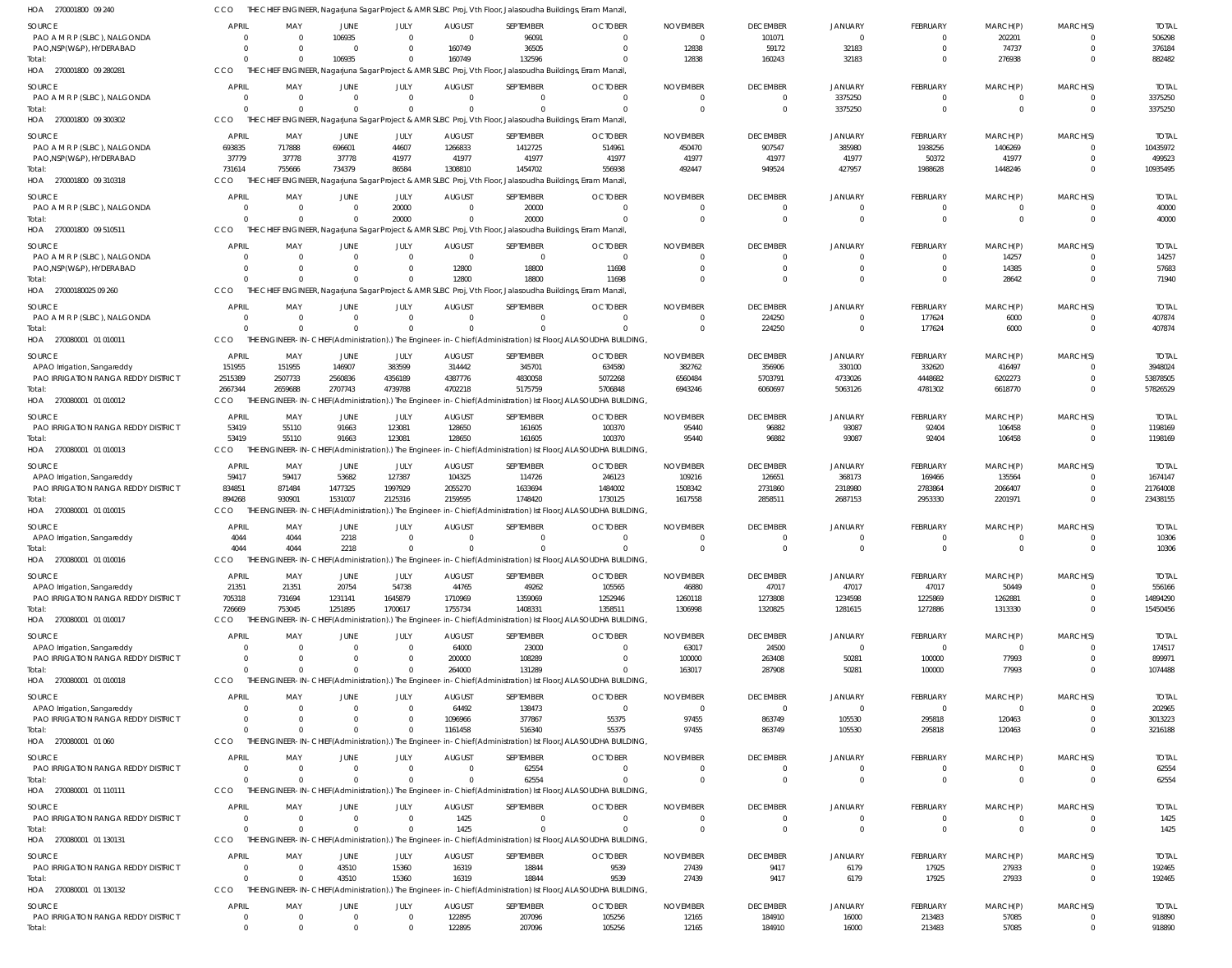| HOA 270001800 09.240                                     | CCO                            |                                     |                                  |                            |                               | THE CHIEF ENGINEER, Nagarjuna Sagar Project & AMR SLBC Proj, Vth Floor, Jalasoudha Buildings, Erram Manzil,           |                                                                                                                         |                                |                             |                            |                         |                         |                      |                         |
|----------------------------------------------------------|--------------------------------|-------------------------------------|----------------------------------|----------------------------|-------------------------------|-----------------------------------------------------------------------------------------------------------------------|-------------------------------------------------------------------------------------------------------------------------|--------------------------------|-----------------------------|----------------------------|-------------------------|-------------------------|----------------------|-------------------------|
| SOURCE                                                   | <b>APRIL</b>                   | MAY                                 | <b>JUNE</b>                      | JULY                       | <b>AUGUST</b>                 | SEPTEMBER                                                                                                             | <b>OCTOBER</b>                                                                                                          | <b>NOVEMBER</b>                | <b>DECEMBER</b>             | <b>JANUARY</b>             | <b>FEBRUARY</b>         | MARCH(P)                | MARCH(S)             | <b>TOTAL</b>            |
| PAO A M R P (SLBC), NALGONDA                             | $\Omega$                       | $\overline{\mathbf{0}}$             | 106935                           | $\Omega$                   | $\mathbf{0}$                  | 96091                                                                                                                 | $\Omega$                                                                                                                | $\overline{0}$                 | 101071                      | $\Omega$                   | 0                       | 202201                  |                      | 506298                  |
| PAO, NSP(W&P), HYDERABAD                                 | $\overline{0}$                 | $\Omega$                            | $\overline{0}$                   | $\Omega$                   | 160749                        | 36505                                                                                                                 | $\Omega$                                                                                                                | 12838                          | 59172                       | 32183                      | $\mathbf 0$             | 74737                   | $\Omega$             | 376184                  |
| Total:<br>HOA 270001800 09 280281                        | $\Omega$<br>CCO                | $\Omega$                            | 106935                           | $\Omega$                   | 160749                        | 132596<br>THE CHIEF ENGINEER, Nagarjuna Sagar Project & AMR SLBC Proj, Vth Floor, Jalasoudha Buildings, Erram Manzil, | $\Omega$                                                                                                                | 12838                          | 160243                      | 32183                      | $\Omega$                | 276938                  | $\Omega$             | 882482                  |
|                                                          |                                |                                     |                                  |                            |                               |                                                                                                                       |                                                                                                                         |                                |                             |                            |                         |                         |                      |                         |
| SOURCE<br>PAO A M R P (SLBC), NALGONDA                   | <b>APRIL</b><br>$\overline{0}$ | MAY<br>$\overline{\mathbf{0}}$      | JUNE<br>$\overline{0}$           | JULY<br>$\Omega$           | <b>AUGUST</b><br>$\mathbf{0}$ | SEPTEMBER<br>$\mathbf 0$                                                                                              | <b>OCTOBER</b><br>$\Omega$                                                                                              | <b>NOVEMBER</b><br>0           | <b>DECEMBER</b><br>$\Omega$ | <b>JANUARY</b><br>3375250  | <b>FEBRUARY</b><br>0    | MARCH(P)<br>0           | MARCH(S)             | <b>TOTAI</b><br>3375250 |
| Total:                                                   | $\Omega$                       | $\overline{0}$                      | $\Omega$                         | $\Omega$                   | $\Omega$                      | $\Omega$                                                                                                              | $\Omega$                                                                                                                | $\overline{0}$                 | $\overline{0}$              | 3375250                    | $\mathbf 0$             | $\mathbf 0$             | $\Omega$             | 3375250                 |
| HOA 270001800 09 300302                                  | CCO                            |                                     |                                  |                            |                               | THE CHIEF ENGINEER, Nagarjuna Sagar Project & AMR SLBC Proj, Vth Floor, Jalasoudha Buildings, Erram Manzil,           |                                                                                                                         |                                |                             |                            |                         |                         |                      |                         |
| <b>SOURCE</b>                                            | APRIL                          | MAY                                 | <b>JUNE</b>                      | JULY                       | <b>AUGUST</b>                 | SEPTEMBER                                                                                                             | <b>OCTOBER</b>                                                                                                          | <b>NOVEMBER</b>                | <b>DECEMBER</b>             | <b>JANUARY</b>             | <b>FEBRUARY</b>         | MARCH(P)                | MARCH(S)             | <b>TOTAI</b>            |
| PAO A M R P (SLBC), NALGONDA                             | 693835                         | 717888                              | 696601                           | 44607                      | 1266833                       | 1412725                                                                                                               | 514961                                                                                                                  | 450470                         | 907547                      | 385980                     | 1938256                 | 1406269                 |                      | 10435972                |
| PAO, NSP(W&P), HYDERABAD                                 | 37779                          | 37778                               | 37778                            | 41977                      | 41977                         | 41977                                                                                                                 | 41977                                                                                                                   | 41977                          | 41977                       | 41977                      | 50372                   | 41977                   |                      | 499523                  |
| Total:                                                   | 731614                         | 755666                              | 734379                           | 86584                      | 1308810                       | 1454702                                                                                                               | 556938                                                                                                                  | 492447                         | 949524                      | 427957                     | 1988628                 | 1448246                 | $\Omega$             | 10935495                |
| HOA 270001800 09 310318                                  | CCO                            |                                     |                                  |                            |                               | THE CHIEF ENGINEER, Nagarjuna Sagar Project & AMR SLBC Proj, Vth Floor, Jalasoudha Buildings, Erram Manzil,           |                                                                                                                         |                                |                             |                            |                         |                         |                      |                         |
| SOURCE                                                   | <b>APRIL</b>                   | MAY                                 | JUNE                             | JULY                       | <b>AUGUST</b>                 | SEPTEMBER                                                                                                             | <b>OCTOBER</b>                                                                                                          | <b>NOVEMBER</b>                | <b>DECEMBER</b>             | <b>JANUARY</b>             | FEBRUARY                | MARCH(P)                | MARCH(S)             | <b>TOTAL</b>            |
| PAO A M R P (SLBC), NALGONDA                             | $\overline{0}$                 | $\overline{\mathbf{0}}$             | $\overline{0}$                   | 20000                      | $\Omega$                      | 20000                                                                                                                 | $\Omega$                                                                                                                | $\Omega$                       | $\Omega$                    | $\Omega$                   | 0                       |                         |                      | 40000                   |
| Total:<br>HOA 270001800 09 510511                        | $\Omega$<br>CCO                | $\overline{0}$                      | $\mathbf 0$                      | 20000                      | $\Omega$                      | 20000<br>THE CHIEF ENGINEER, Nagarjuna Sagar Project & AMR SLBC Proj, Vth Floor, Jalasoudha Buildings, Erram Manzil,  | $\Omega$                                                                                                                | $\overline{0}$                 | $\Omega$                    | $\Omega$                   | $\mathbf 0$             | $\mathbf 0$             | $\Omega$             | 40000                   |
|                                                          |                                |                                     |                                  |                            |                               |                                                                                                                       |                                                                                                                         |                                |                             |                            |                         |                         |                      |                         |
| SOURCE                                                   | APRIL<br>$\Omega$              | MAY<br>- 0                          | JUNE<br>$\Omega$                 | JULY<br>$\Omega$           | <b>AUGUST</b><br>$\mathbf{0}$ | SEPTEMBER<br>$\overline{0}$                                                                                           | <b>OCTOBER</b><br>$\overline{0}$                                                                                        | <b>NOVEMBER</b><br>$\mathbf 0$ | <b>DECEMBER</b><br>$\Omega$ | <b>JANUARY</b><br>$\Omega$ | FEBRUARY                | MARCH(P)                | MARCH(S)             | <b>TOTAI</b><br>14257   |
| PAO A M R P (SLBC), NALGONDA<br>PAO, NSP(W&P), HYDERABAD | $\Omega$                       | $\Omega$                            | $\Omega$                         | $\Omega$                   | 12800                         | 18800                                                                                                                 | 11698                                                                                                                   | $\Omega$                       | $\Omega$                    | $\Omega$                   | 0<br>$\Omega$           | 14257<br>14385          | $\Omega$             | 57683                   |
| Total:                                                   | $\Omega$                       | $\Omega$                            | $\Omega$                         | $\Omega$                   | 12800                         | 18800                                                                                                                 | 11698                                                                                                                   | $\Omega$                       | $\Omega$                    | $\Omega$                   | $\Omega$                | 28642                   | $\Omega$             | 71940                   |
| HOA 27000180025 09 260                                   | CCO                            |                                     |                                  |                            |                               | THE CHIEF ENGINEER, Nagarjuna Sagar Project & AMR SLBC Proj, Vth Floor, Jalasoudha Buildings, Erram Manzil,           |                                                                                                                         |                                |                             |                            |                         |                         |                      |                         |
| SOURCE                                                   | <b>APRIL</b>                   | MAY                                 | JUNE                             | JULY                       | <b>AUGUST</b>                 | SEPTEMBER                                                                                                             | <b>OCTOBER</b>                                                                                                          | <b>NOVEMBER</b>                | <b>DECEMBER</b>             | <b>JANUARY</b>             | FEBRUARY                | MARCH(P)                | MARCH(S)             | <b>TOTAL</b>            |
| PAO A M R P (SLBC), NALGONDA                             | $\overline{0}$                 | $\overline{\mathbf{0}}$             | $\mathbf 0$                      | $\Omega$                   | $\mathbf{0}$                  | $\overline{0}$                                                                                                        | 0                                                                                                                       | 0                              | 224250                      | $\Omega$                   | 177624                  | 6000                    |                      | 407874                  |
| Total:                                                   | $\Omega$                       | $\Omega$                            | $\Omega$                         |                            | $\Omega$                      | $\Omega$                                                                                                              | $\Omega$                                                                                                                | $\Omega$                       | 224250                      | $\Omega$                   | 177624                  | 6000                    | $\Omega$             | 407874                  |
| HOA 270080001 01 010011                                  | CCO                            |                                     |                                  |                            |                               |                                                                                                                       | THE ENGINEER-IN-CHIEF(Administration).) The Engineer-in-Chief(Administration) Ist Floor, JALASOUDHA BUILDING,           |                                |                             |                            |                         |                         |                      |                         |
| SOURCE                                                   | APRIL                          | MAY                                 | JUNE                             | JULY                       | <b>AUGUST</b>                 | SEPTEMBER                                                                                                             | <b>OCTOBER</b>                                                                                                          | <b>NOVEMBER</b>                | <b>DECEMBER</b>             | <b>JANUARY</b>             | FEBRUARY                | MARCH(P)                | MARCH(S)             | <b>TOTAL</b>            |
| APAO Irrigation, Sangareddy                              | 151955                         | 151955                              | 146907                           | 383599                     | 314442                        | 345701                                                                                                                | 634580                                                                                                                  | 382762                         | 356906                      | 330100                     | 332620                  | 416497                  |                      | 3948024                 |
| PAO IRRIGATION RANGA REDDY DISTRICT                      | 2515389                        | 2507733                             | 2560836                          | 4356189                    | 4387776                       | 4830058                                                                                                               | 5072268                                                                                                                 | 6560484                        | 5703791                     | 4733026                    | 4448682                 | 6202273                 |                      | 53878505                |
| Total:<br>HOA 270080001 01 010012                        | 2667344<br>CCO                 | 2659688                             | 2707743                          | 4739788                    | 4702218                       | 5175759                                                                                                               | 5706848<br>THE ENGINEER-IN-CHIEF(Administration).) The Engineer-in-Chief(Administration) Ist Floor,JALASOUDHA BUILDING, | 6943246                        | 6060697                     | 5063126                    | 4781302                 | 6618770                 | $\Omega$             | 57826529                |
|                                                          |                                |                                     |                                  |                            |                               |                                                                                                                       |                                                                                                                         |                                |                             |                            |                         |                         |                      |                         |
| SOURCE<br>PAO IRRIGATION RANGA REDDY DISTRICT            | <b>APRIL</b><br>53419          | MAY<br>55110                        | JUNE<br>91663                    | JULY<br>123081             | <b>AUGUST</b><br>128650       | SEPTEMBER<br>161605                                                                                                   | <b>OCTOBER</b><br>100370                                                                                                | <b>NOVEMBER</b><br>95440       | <b>DECEMBER</b><br>96882    | <b>JANUARY</b><br>93087    | FEBRUARY<br>92404       | MARCH(P)<br>106458      | MARCH(S)             | <b>TOTAL</b><br>1198169 |
| Total:                                                   | 53419                          | 55110                               | 91663                            | 123081                     | 128650                        | 161605                                                                                                                | 100370                                                                                                                  | 95440                          | 96882                       | 93087                      | 92404                   | 106458                  | $\Omega$             | 1198169                 |
| HOA 270080001 01010013                                   | <b>CCO</b>                     |                                     |                                  |                            |                               |                                                                                                                       | THE ENGINEER-IN-CHIEF(Administration).) The Engineer-in-Chief(Administration) Ist Floor, JALASOUDHA BUILDING,           |                                |                             |                            |                         |                         |                      |                         |
| SOURCE                                                   | <b>APRIL</b>                   | MAY                                 | JUNE                             | JULY                       | <b>AUGUST</b>                 | SEPTEMBER                                                                                                             | <b>OCTOBER</b>                                                                                                          | <b>NOVEMBER</b>                | <b>DECEMBER</b>             | <b>JANUARY</b>             | FEBRUARY                | MARCH(P)                | MARCH(S)             | <b>TOTAI</b>            |
| APAO Irrigation, Sangareddy                              | 59417                          | 59417                               | 53682                            | 127387                     | 104325                        | 114726                                                                                                                | 246123                                                                                                                  | 109216                         | 126651                      | 368173                     | 169466                  | 135564                  |                      | 1674147                 |
| PAO IRRIGATION RANGA REDDY DISTRICT                      | 834851                         | 871484                              | 1477325                          | 1997929                    | 2055270                       | 1633694                                                                                                               | 1484002                                                                                                                 | 1508342                        | 2731860                     | 2318980                    | 2783864                 | 2066407                 | $\Omega$             | 21764008                |
| Total:                                                   | 894268                         | 930901                              | 1531007                          | 2125316                    | 2159595                       | 1748420                                                                                                               | 1730125                                                                                                                 | 1617558                        | 2858511                     | 2687153                    | 2953330                 | 2201971                 |                      | 23438155                |
| HOA 270080001 01 010015                                  | CCO                            |                                     |                                  |                            |                               |                                                                                                                       | THE ENGINEER-IN-CHIEF(Administration).) The Engineer-in-Chief(Administration) Ist Floor, JALASOUDHA BUILDING,           |                                |                             |                            |                         |                         |                      |                         |
| SOURCE                                                   | <b>APRIL</b>                   | MAY                                 | JUNE                             | JULY                       | <b>AUGUST</b>                 | SEPTEMBER                                                                                                             | <b>OCTOBER</b>                                                                                                          | <b>NOVEMBER</b>                | <b>DECEMBER</b>             | <b>JANUARY</b>             | FEBRUARY                | MARCH(P)                | MARCH(S)             | <b>TOTAL</b>            |
| APAO Irrigation, Sangareddy<br>Total:                    | 4044<br>4044                   | 4044<br>4044                        | 2218<br>2218                     | $\Omega$<br>$\Omega$       | 0<br>$\mathbf{0}$             | 0<br>$\Omega$                                                                                                         | $\Omega$<br>$\Omega$                                                                                                    | $\Omega$<br>$\Omega$           | $\Omega$<br>$\Omega$        | $\Omega$                   | $\Omega$                | $\Omega$                | $\Omega$             | 10306<br>10306          |
| HOA 270080001 01 010016                                  | CCO                            |                                     |                                  |                            |                               |                                                                                                                       | THE ENGINEER-IN-CHIEF(Administration).) The Engineer-in-Chief(Administration) Ist Floor, JALASOUDHA BUILDING,           |                                |                             |                            |                         |                         |                      |                         |
| <b>SOURCE</b>                                            | APRIL                          |                                     |                                  |                            |                               | SEPTEMBER                                                                                                             |                                                                                                                         |                                |                             |                            |                         |                         |                      | <b>TOTAL</b>            |
| APAO Irrigation, Sangareddy                              | 21351                          | MAY<br>21351                        | JUNE<br>20754                    | JULY<br>54738              | <b>AUGUST</b><br>44765        | 49262                                                                                                                 | <b>OCTOBER</b><br>105565                                                                                                | <b>NOVEMBER</b><br>46880       | <b>DECEMBER</b><br>47017    | <b>JANUARY</b><br>47017    | FEBRUARY<br>47017       | MARCH(P)<br>50449       | MARCH(S)             | 556166                  |
| PAO IRRIGATION RANGA REDDY DISTRICT                      | 705318                         | 731694                              | 1231141                          | 1645879                    | 1710969                       | 1359069                                                                                                               | 1252946                                                                                                                 | 1260118                        | 1273808                     | 1234598                    | 1225869                 | 1262881                 |                      | 14894290                |
| Total:                                                   | 726669                         | 753045                              | 1251895                          | 1700617                    | 1755734                       | 1408331                                                                                                               | 1358511                                                                                                                 | 1306998                        | 1320825                     | 1281615                    | 1272886                 | 1313330                 |                      | 15450456                |
| HOA 270080001 01 010017                                  | CCO                            |                                     |                                  |                            |                               |                                                                                                                       | THE ENGINEER-IN-CHIEF(Administration).) The Engineer-in-Chief(Administration) Ist Floor, JALASOUDHA BUILDING,           |                                |                             |                            |                         |                         |                      |                         |
| SOURCE                                                   | <b>APRIL</b>                   | MAY                                 | JUNE                             | JULY                       | <b>AUGUST</b>                 | SEPTEMBER                                                                                                             | <b>OCTOBER</b>                                                                                                          | <b>NOVEMBER</b>                | <b>DECEMBER</b>             | <b>JANUARY</b>             | FEBRUARY                | MARCH(P)                | MARCH(S)             | <b>TOTAL</b>            |
| APAO Irrigation, Sangareddy                              | $\Omega$                       | - 0                                 | $\mathbf 0$                      | $\Omega$                   | 64000                         | 23000                                                                                                                 | $\Omega$                                                                                                                | 63017                          | 24500                       | $\Omega$                   | 0                       | $\overline{0}$          |                      | 174517                  |
| PAO IRRIGATION RANGA REDDY DISTRICT<br>Total:            | $\Omega$<br>$\Omega$           | $\overline{\mathbf{0}}$<br>$\Omega$ | $\Omega$<br>$\Omega$             | $\Omega$                   | 200000<br>264000              | 108289<br>131289                                                                                                      | 0                                                                                                                       | 100000<br>163017               | 263408<br>287908            | 50281<br>50281             | 100000<br>100000        | 77993<br>77993          | $\Omega$<br>$\Omega$ | 899971<br>1074488       |
| HOA 270080001 01 010018                                  | CCO                            |                                     |                                  |                            |                               |                                                                                                                       | THE ENGINEER-IN-CHIEF(Administration).) The Engineer-in-Chief(Administration) Ist Floor, JALASOUDHA BUILDING,           |                                |                             |                            |                         |                         |                      |                         |
|                                                          |                                |                                     |                                  |                            |                               |                                                                                                                       |                                                                                                                         |                                |                             |                            |                         |                         |                      |                         |
| SOURCE<br>APAO Irrigation, Sangareddy                    | APRIL<br>$\Omega$              | MAY<br>$\overline{\mathbf{0}}$      | JUNE<br>$\overline{0}$           | JULY<br>$\Omega$           | <b>AUGUST</b><br>64492        | SEPTEMBER<br>138473                                                                                                   | <b>OCTOBER</b><br>$\overline{0}$                                                                                        | <b>NOVEMBER</b><br>- 0         | <b>DECEMBER</b><br>$\Omega$ | <b>JANUARY</b>             | FEBRUARY<br>$\mathbf 0$ | MARCH(P)<br>$\Omega$    | MARCH(S)             | <b>TOTAL</b><br>202965  |
| PAO IRRIGATION RANGA REDDY DISTRICT                      | $\overline{0}$                 | $\overline{\mathbf{0}}$             | 0                                | $\Omega$                   | 1096966                       | 377867                                                                                                                | 55375                                                                                                                   | 97455                          | 863749                      | 105530                     | 295818                  | 120463                  |                      | 3013223                 |
| Total:                                                   | $\Omega$                       | $\Omega$                            | $\Omega$                         |                            | 1161458                       | 516340                                                                                                                | 55375                                                                                                                   | 97455                          | 863749                      | 105530                     | 295818                  | 120463                  | $\Omega$             | 3216188                 |
| HOA 270080001 01 060                                     | CCO                            |                                     |                                  |                            |                               |                                                                                                                       | THE ENGINEER-IN-CHIEF(Administration).) The Engineer-in-Chief(Administration) Ist Floor, JALASOUDHA BUILDING,           |                                |                             |                            |                         |                         |                      |                         |
| <b>SOURCE</b>                                            | APRIL                          | MAY                                 | JUNE                             | JULY                       | <b>AUGUST</b>                 | SEPTEMBER                                                                                                             | <b>OCTOBER</b>                                                                                                          | <b>NOVEMBER</b>                | <b>DECEMBER</b>             | <b>JANUARY</b>             | FEBRUARY                | MARCH(P)                | MARCH(S)             | <b>TOTAL</b>            |
| PAO IRRIGATION RANGA REDDY DISTRICT                      | $\overline{\mathbf{0}}$        | $\overline{0}$                      | $\overline{0}$                   | $\Omega$                   | $\mathbf{0}$                  | 62554                                                                                                                 | $\overline{0}$                                                                                                          | $\overline{0}$                 | $\Omega$                    | $\Omega$                   | 0                       | 0                       |                      | 62554                   |
| Total:                                                   | $\Omega$                       | $\overline{0}$                      | $\Omega$                         |                            | $\Omega$                      | 62554                                                                                                                 | $\Omega$                                                                                                                | $\Omega$                       | $\Omega$                    | $\Omega$                   | $\mathbf 0$             | $\Omega$                | $\Omega$             | 62554                   |
| HOA 270080001 01 110111                                  | CCO                            |                                     |                                  |                            |                               |                                                                                                                       | THE ENGINEER-IN-CHIEF(Administration).) The Engineer-in-Chief(Administration) Ist Floor, JALASOUDHA BUILDING,           |                                |                             |                            |                         |                         |                      |                         |
| SOURCE                                                   | <b>APRIL</b>                   | MAY                                 | JUNE                             | JULY                       | <b>AUGUST</b>                 | SEPTEMBER                                                                                                             | <b>OCTOBER</b>                                                                                                          | <b>NOVEMBER</b>                | <b>DECEMBER</b>             | <b>JANUARY</b>             | FEBRUARY                | MARCH(P)                | MARCH(S)             | <b>TOTAL</b>            |
| PAO IRRIGATION RANGA REDDY DISTRICT<br>Total:            | $\overline{0}$<br>$\Omega$     | $\overline{\mathbf{0}}$<br>- 0      | $\overline{0}$<br>$\overline{0}$ | $\overline{0}$<br>$\Omega$ | 1425<br>1425                  | $\Omega$<br>$\Omega$                                                                                                  | $\Omega$<br>$\Omega$                                                                                                    | $\Omega$<br>$\overline{0}$     | $\Omega$<br>$\Omega$        | $\Omega$<br>$\Omega$       | $\Omega$<br>$\mathbf 0$ | $\Omega$<br>$\mathbf 0$ | $\Omega$             | 1425<br>1425            |
| HOA 270080001 01 130131                                  | CCO                            |                                     |                                  |                            |                               |                                                                                                                       | THE ENGINEER-IN-CHIEF(Administration).) The Engineer-in-Chief(Administration) Ist Floor, JALASOUDHA BUILDING,           |                                |                             |                            |                         |                         |                      |                         |
|                                                          |                                |                                     |                                  |                            |                               |                                                                                                                       |                                                                                                                         |                                |                             |                            |                         |                         |                      |                         |
| <b>SOURCE</b><br>PAO IRRIGATION RANGA REDDY DISTRICT     | <b>APRIL</b><br>$\overline{0}$ | MAY<br>$\overline{\mathbf{0}}$      | JUNE<br>43510                    | JULY<br>15360              | <b>AUGUST</b><br>16319        | SEPTEMBER<br>18844                                                                                                    | <b>OCTOBER</b><br>9539                                                                                                  | <b>NOVEMBER</b><br>27439       | <b>DECEMBER</b><br>9417     | <b>JANUARY</b><br>6179     | FEBRUARY<br>17925       | MARCH(P)<br>27933       | MARCH(S)             | <b>TOTAL</b><br>192465  |
| Total:                                                   | $\Omega$                       | $\Omega$                            | 43510                            | 15360                      | 16319                         | 18844                                                                                                                 | 9539                                                                                                                    | 27439                          | 9417                        | 6179                       | 17925                   | 27933                   | $\Omega$             | 192465                  |
| HOA 270080001 01 130132                                  | CCO                            |                                     |                                  |                            |                               |                                                                                                                       | THE ENGINEER-IN-CHIEF(Administration).) The Engineer-in-Chief(Administration) Ist Floor, JALASOUDHA BUILDING,           |                                |                             |                            |                         |                         |                      |                         |
| <b>SOURCE</b>                                            | <b>APRIL</b>                   | MAY                                 | JUNE                             | JULY                       | <b>AUGUST</b>                 | SEPTEMBER                                                                                                             | <b>OCTOBER</b>                                                                                                          | <b>NOVEMBER</b>                | <b>DECEMBER</b>             | <b>JANUARY</b>             | FEBRUARY                | MARCH(P)                | MARCH(S)             | <b>TOTAL</b>            |
| PAO IRRIGATION RANGA REDDY DISTRICT                      | $\overline{\mathbf{0}}$        | $\overline{0}$                      | $\overline{0}$                   | $\Omega$                   | 122895                        | 207096                                                                                                                | 105256                                                                                                                  | 12165                          | 184910                      | 16000                      | 213483                  | 57085                   | $\Omega$             | 918890                  |
| Total:                                                   | $\overline{0}$                 | $\Omega$                            | $\Omega$                         | $\Omega$                   | 122895                        | 207096                                                                                                                | 105256                                                                                                                  | 12165                          | 184910                      | 16000                      | 213483                  | 57085                   | $\Omega$             | 918890                  |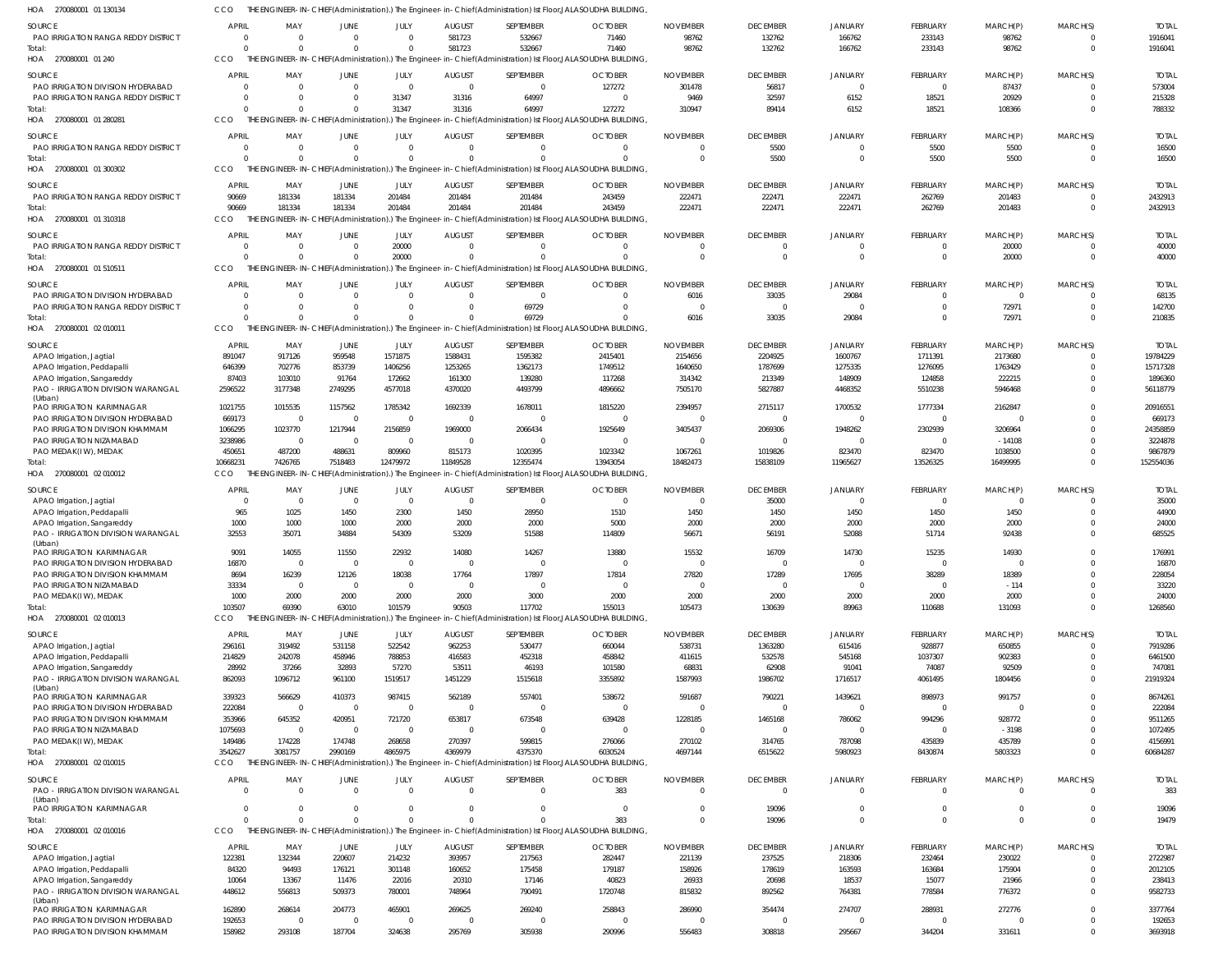| HOA<br>270080001 01 130134                                           |                        |                          |                          |                          |                         |                     | [HE ENGINEER-IN-CHIEF(Administration).) The Engineer-in-Chief(Administration) Ist Floor,JALASOUDHA BUILDING,  |                           |                           |                          |                           |                         |                      |                         |
|----------------------------------------------------------------------|------------------------|--------------------------|--------------------------|--------------------------|-------------------------|---------------------|---------------------------------------------------------------------------------------------------------------|---------------------------|---------------------------|--------------------------|---------------------------|-------------------------|----------------------|-------------------------|
| <b>SOURCE</b>                                                        | <b>APRIL</b>           | MAY                      | JUNE                     | JULY                     | <b>AUGUST</b>           | SEPTEMBER           | <b>OCTOBER</b>                                                                                                | <b>NOVEMBER</b>           | <b>DECEMBER</b>           | <b>JANUARY</b>           | <b>FEBRUARY</b>           | MARCH(P)                | MARCH(S)             | <b>TOTAI</b>            |
| PAO IRRIGATION RANGA REDDY DISTRICT                                  | $\Omega$               | $\Omega$                 | $\mathbf 0$              | $\Omega$                 | 581723                  | 532667              | 71460                                                                                                         | 98762                     | 132762                    | 166762                   | 233143                    | 98762                   | $\Omega$             | 1916041                 |
| Total                                                                | $\Omega$               | $\Omega$                 | $\Omega$                 | $\Omega$                 | 581723                  | 532667              | 71460                                                                                                         | 98762                     | 132762                    | 166762                   | 233143                    | 98762                   | $\Omega$             | 1916041                 |
| HOA 270080001 01 240                                                 | CCO                    |                          |                          |                          |                         |                     | THE ENGINEER-IN-CHIEF(Administration).) The Engineer-in-Chief(Administration) Ist Floor,JALASOUDHA BUILDING,  |                           |                           |                          |                           |                         |                      |                         |
| <b>SOURCE</b>                                                        | <b>APRIL</b>           | MAY                      | <b>JUNE</b>              | JULY                     | <b>AUGUST</b>           | SEPTEMBER           | <b>OCTOBER</b>                                                                                                | <b>NOVEMBER</b>           | <b>DECEMBER</b>           | JANUARY                  | <b>FEBRUARY</b>           | MARCH(P)                | MARCH(S)             | <b>TOTAI</b>            |
| PAO IRRIGATION DIVISION HYDERABAD                                    | $\Omega$               | $\Omega$                 | $\mathbf 0$              | $\mathbf 0$              | $\overline{0}$          | $\Omega$            | 127272                                                                                                        | 301478                    | 56817                     | $\overline{0}$           | $\overline{0}$            | 87437                   | $\Omega$             | 573004                  |
| PAO IRRIGATION RANGA REDDY DISTRICT                                  | $\Omega$               | 0                        | $\mathbf 0$              | 31347                    | 31316                   | 64997               | $\Omega$                                                                                                      | 9469                      | 32597                     | 6152                     | 18521                     | 20929                   | $\Omega$             | 215328                  |
| Total                                                                | $\Omega$               | $\Omega$                 | $\Omega$                 | 31347                    | 31316                   | 64997               | 127272                                                                                                        | 310947                    | 89414                     | 6152                     | 18521                     | 108366                  | $\Omega$             | 788332                  |
| HOA 270080001 01 280281                                              | CCO                    |                          |                          |                          |                         |                     | THE ENGINEER-IN-CHIEF(Administration).) The Engineer-in-Chief(Administration) Ist Floor,JALASOUDHA BUILDING,  |                           |                           |                          |                           |                         |                      |                         |
| <b>SOURCE</b>                                                        | <b>APRIL</b>           | MAY                      | JUNE                     | JULY                     | <b>AUGUST</b>           | SEPTEMBER           | <b>OCTOBER</b>                                                                                                | <b>NOVEMBER</b>           | <b>DECEMBER</b>           | <b>JANUARY</b>           | <b>FEBRUARY</b>           | MARCH(P)                | MARCH(S)             | <b>TOTAI</b>            |
| PAO IRRIGATION RANGA REDDY DISTRICT                                  | $\Omega$               | $\Omega$                 | $\mathbf 0$              | $\mathbf 0$              | $\overline{0}$          | $\Omega$            | $\Omega$                                                                                                      | $\Omega$                  | 5500                      | $\Omega$                 | 5500                      | 5500                    | $\Omega$             | 16500                   |
| Total                                                                | $\Omega$               | $\Omega$                 | $\Omega$                 | $\Omega$                 | $\Omega$                | $\cap$              | $\Omega$                                                                                                      |                           | 5500                      | $\Omega$                 | 5500                      | 5500                    | $\Omega$             | 16500                   |
| 270080001 01 300302<br>HOA                                           | CCO                    |                          |                          |                          |                         |                     | THE ENGINEER-IN-CHIEF(Administration).) The Engineer-in-Chief(Administration) Ist Floor, JALASOUDHA BUILDING, |                           |                           |                          |                           |                         |                      |                         |
| <b>SOURCE</b>                                                        | <b>APRIL</b>           | MAY                      | JUNE                     | JULY                     | <b>AUGUST</b>           | SEPTEMBER           | <b>OCTOBER</b>                                                                                                | <b>NOVEMBER</b>           | <b>DECEMBER</b>           | <b>JANUARY</b>           | FEBRUARY                  | MARCH(P)                | MARCH(S)             | <b>TOTAI</b>            |
| PAO IRRIGATION RANGA REDDY DISTRICT                                  | 90669                  | 181334                   | 181334                   | 201484                   | 201484                  | 201484              | 243459                                                                                                        | 222471                    | 222471                    | 222471                   | 262769                    | 201483                  | $\Omega$             | 2432913                 |
| Total                                                                | 90669                  | 181334                   | 181334                   | 201484                   | 201484                  | 201484              | 243459                                                                                                        | 222471                    | 222471                    | 222471                   | 262769                    | 201483                  | $\Omega$             | 2432913                 |
| 270080001 01 310318<br>HOA                                           | CCO                    |                          |                          |                          |                         |                     | THE ENGINEER-IN-CHIEF(Administration).) The Engineer-in-Chief(Administration) Ist Floor, JALASOUDHA BUILDING, |                           |                           |                          |                           |                         |                      |                         |
| <b>SOURCE</b>                                                        | <b>APRIL</b>           | MAY                      | JUNE                     | JULY                     | <b>AUGUST</b>           | SEPTEMBER           | <b>OCTOBER</b>                                                                                                | <b>NOVEMBER</b>           | <b>DECEMBER</b>           | JANUARY                  | FEBRUARY                  | MARCH(P)                | MARCH(S)             | <b>TOTAI</b>            |
| PAO IRRIGATION RANGA REDDY DISTRICT                                  | $\Omega$               | $\Omega$                 | $\overline{0}$           | 20000                    | $\overline{0}$          | $\Omega$            | $\Omega$                                                                                                      | $\Omega$                  | $\overline{0}$            |                          | $\mathbf 0$               | 20000                   | $\Omega$             | 40000                   |
| Total                                                                | $\Omega$               | $\Omega$                 | $\Omega$                 | 20000                    | $\Omega$                | $\Omega$            | $\Omega$                                                                                                      | $\Omega$                  | $\overline{0}$            | $\Omega$                 | $\mathbf 0$               | 20000                   | $\Omega$             | 40000                   |
| HOA 270080001 01 510511                                              | CCO                    |                          |                          |                          |                         |                     | THE ENGINEER-IN-CHIEF(Administration).) The Engineer-in-Chief(Administration) Ist Floor,JALASOUDHA BUILDING,  |                           |                           |                          |                           |                         |                      |                         |
| <b>SOURCE</b>                                                        | <b>APRIL</b>           | MAY                      | JUNE                     | JULY                     | <b>AUGUST</b>           | SEPTEMBER           | <b>OCTOBER</b>                                                                                                | <b>NOVEMBER</b>           | <b>DECEMBER</b>           | <b>JANUARY</b>           | <b>FEBRUARY</b>           | MARCH(P)                | MARCH(S)             | <b>TOTAI</b>            |
| PAO IRRIGATION DIVISION HYDERABAD                                    | $\mathbf{0}$           | $\overline{0}$           | $\mathbf 0$              | $\mathbf 0$              | $\mathbf{0}$            | $\Omega$            | $\Omega$                                                                                                      | 6016                      | 33035                     | 29084                    | $\mathbf 0$               | $\overline{0}$          | $\cap$               | 68135                   |
| PAO IRRIGATION RANGA REDDY DISTRICT                                  | $\Omega$               | $\Omega$                 | $\mathbf 0$              | $\Omega$                 | $\Omega$                | 69729               | $\Omega$                                                                                                      |                           | $\overline{0}$            | $\Omega$                 | $\mathbf 0$               | 72971                   | $\Omega$             | 142700                  |
| Total:                                                               | $\cap$                 | $\Omega$                 | $\Omega$                 | $\Omega$                 | $\Omega$                | 69729               | $\Omega$                                                                                                      | 6016                      | 33035                     | 29084                    | $\mathbf 0$               | 72971                   | $\Omega$             | 210835                  |
| 270080001 02 010011<br>HOA                                           | CCO                    |                          |                          |                          |                         |                     | THE ENGINEER-IN-CHIEF(Administration).) The Engineer-in-Chief(Administration) Ist Floor, JALASOUDHA BUILDING, |                           |                           |                          |                           |                         |                      |                         |
| <b>SOURCE</b>                                                        | <b>APRIL</b>           | MAY                      | JUNE                     | JULY                     | <b>AUGUST</b>           | SEPTEMBER           | <b>OCTOBER</b>                                                                                                | <b>NOVEMBER</b>           | <b>DECEMBER</b>           | <b>JANUARY</b>           | FEBRUARY                  | MARCH(P)                | MARCH(S)             | <b>TOTAI</b>            |
| APAO Irrigation, Jagtial                                             | 891047                 | 917126                   | 959548                   | 1571875                  | 1588431                 | 1595382             | 2415401                                                                                                       | 2154656                   | 2204925                   | 1600767                  | 1711391                   | 2173680                 | $\Omega$             | 19784229                |
| APAO Irrigation, Peddapalli                                          | 646399                 | 702776                   | 853739                   | 1406256                  | 1253265                 | 1362173             | 1749512                                                                                                       | 1640650                   | 1787699                   | 1275335                  | 1276095                   | 1763429                 | $\Omega$             | 15717328                |
| APAO Irrigation, Sangareddy                                          | 87403                  | 103010                   | 91764                    | 172662                   | 161300                  | 139280              | 117268                                                                                                        | 314342                    | 213349                    | 148909                   | 124858                    | 222215                  | $\Omega$<br>$\Omega$ | 1896360                 |
| PAO - IRRIGATION DIVISION WARANGAL<br>(Urban)                        | 2596522                | 3177348                  | 2749295                  | 4577018                  | 4370020                 | 4493799             | 4896662                                                                                                       | 7505170                   | 5827887                   | 4468352                  | 5510238                   | 5946468                 |                      | 56118779                |
| PAO IRRIGATION KARIMNAGAR                                            | 1021755                | 1015535                  | 1157562                  | 1785342                  | 1692339                 | 1678011             | 1815220                                                                                                       | 2394957                   | 2715117                   | 1700532                  | 1777334                   | 2162847                 |                      | 20916551                |
| PAO IRRIGATION DIVISION HYDERABAD                                    | 669173                 | $\Omega$                 | $\overline{0}$           | $\overline{0}$           | $\Omega$                | $\Omega$            | $\Omega$                                                                                                      |                           | $\overline{0}$            |                          | $\mathbf 0$               | $\Omega$                |                      | 669173                  |
| PAO IRRIGATION DIVISION KHAMMAM                                      | 1066295                | 1023770                  | 1217944                  | 2156859                  | 1969000                 | 2066434             | 1925649                                                                                                       | 3405437                   | 2069306                   | 1948262                  | 2302939                   | 3206964                 | $\cap$               | 24358859                |
| PAO IRRIGATION NIZAMABAD                                             | 3238986                | $\overline{0}$           | $\overline{0}$           | $\mathbf 0$              | $\Omega$                | - 0                 | $\overline{0}$                                                                                                |                           | $\overline{0}$            | $\Omega$                 | $\mathbf 0$               | $-14108$                |                      | 3224878                 |
| PAO MEDAK(IW), MEDAK<br>Total:                                       | 450651<br>10668231     | 487200<br>7426765        | 488631<br>7518483        | 809960<br>12479972       | 815173<br>11849528      | 1020395<br>12355474 | 1023342<br>13943054                                                                                           | 1067261<br>18482473       | 1019826<br>15838109       | 823470<br>11965627       | 823470<br>13526325        | 1038500<br>16499995     | $\Omega$             | 9867879<br>152554036    |
| HOA 270080001 02 010012                                              | CCO                    |                          |                          |                          |                         |                     | THE ENGINEER-IN-CHIEF(Administration).) The Engineer-in-Chief(Administration) Ist Floor, JALASOUDHA BUILDING, |                           |                           |                          |                           |                         |                      |                         |
|                                                                      |                        |                          |                          |                          |                         |                     |                                                                                                               |                           |                           |                          |                           |                         |                      |                         |
| SOURCE                                                               | <b>APRIL</b>           | MAY                      | JUNE                     | JULY                     | <b>AUGUST</b>           | SEPTEMBER           | <b>OCTOBER</b>                                                                                                | <b>NOVEMBER</b>           | <b>DECEMBER</b>           | <b>JANUARY</b>           | <b>FEBRUARY</b>           | MARCH(P)                | MARCH(S)<br>$\cap$   | <b>TOTAI</b>            |
| APAO Irrigation, Jagtial<br>APAO Irrigation, Peddapalli              | $\Omega$<br>965        | $\overline{0}$<br>1025   | $\mathbf 0$<br>1450      | $\overline{0}$<br>2300   | $\mathbf{0}$<br>1450    | $\Omega$<br>28950   | $\overline{0}$<br>1510                                                                                        | 1450                      | 35000<br>1450             | $\Omega$<br>1450         | $\overline{0}$<br>1450    | $\overline{0}$<br>1450  | $\Omega$             | 35000<br>44900          |
| APAO Irrigation, Sangareddy                                          | 1000                   | 1000                     | 1000                     | 2000                     | 2000                    | 2000                | 5000                                                                                                          | 2000                      | 2000                      | 2000                     | 2000                      | 2000                    | $\Omega$             | 24000                   |
| PAO - IRRIGATION DIVISION WARANGAL                                   | 32553                  | 35071                    | 34884                    | 54309                    | 53209                   | 51588               | 114809                                                                                                        | 56671                     | 56191                     | 52088                    | 51714                     | 92438                   | $\cap$               | 685525                  |
| (Urban)                                                              |                        |                          |                          |                          |                         |                     |                                                                                                               |                           |                           |                          |                           |                         |                      |                         |
| PAO IRRIGATION KARIMNAGAR                                            | 9091                   | 14055                    | 11550                    | 22932                    | 14080                   | 14267               | 13880                                                                                                         | 15532                     | 16709                     | 14730                    | 15235                     | 14930                   | $\Omega$             | 176991                  |
| PAO IRRIGATION DIVISION HYDERABAD<br>PAO IRRIGATION DIVISION KHAMMAM | 16870<br>8694          | $\Omega$<br>16239        | $\mathbf 0$<br>12126     | $\mathbf 0$<br>18038     | $\Omega$<br>17764       | $\Omega$<br>17897   | $\Omega$<br>17814                                                                                             | $\Omega$<br>27820         | $\overline{0}$<br>17289   | $\overline{0}$<br>17695  | $\overline{0}$<br>38289   | $\overline{0}$<br>18389 | $\Omega$<br>$\Omega$ | 16870<br>228054         |
| PAO IRRIGATION NIZAMABAD                                             | 33334                  | $\mathbf{0}$             | $\mathbf 0$              | $\mathbf 0$              | $\mathbf{0}$            | $\Omega$            | $\overline{0}$                                                                                                | $\Omega$                  | $\overline{0}$            | $\overline{0}$           | $\mathbf 0$               | $-114$                  | $\Omega$             | 33220                   |
| PAO MEDAK(I W), MEDAK                                                | 1000                   | 2000                     | 2000                     | 2000                     | 2000                    | 3000                | 2000                                                                                                          | 2000                      | 2000                      | 2000                     | 2000                      | 2000                    | $\Omega$             | 24000                   |
| Total                                                                | 103507                 | 69390                    | 63010                    | 101579                   | 90503                   | 117702              | 155013                                                                                                        | 105473                    | 130639                    | 89963                    | 110688                    | 131093                  | $\Omega$             | 1268560                 |
| HOA 270080001 02 010013                                              | CCO                    |                          |                          |                          |                         |                     | THE ENGINEER-IN-CHIEF(Administration).) The Engineer-in-Chief(Administration) Ist Floor, JALASOUDHA BUILDING, |                           |                           |                          |                           |                         |                      |                         |
| <b>SOURCE</b>                                                        | APRIL                  | MAY                      | JUNE                     | JULY                     | <b>AUGUST</b>           | SEPTEMBER           | <b>OCTOBER</b>                                                                                                | <b>NOVEMBER</b>           | <b>DECEMBER</b>           | <b>JANUARY</b>           | <b>FEBRUARY</b>           | MARCH(P)                | MARCH(S)             | <b>TOTAI</b>            |
| APAO Irrigation, Jagtial                                             | 296161                 | 319492                   | 531158                   | 522542                   | 962253                  | 530477              | 660044                                                                                                        | 538731                    | 1363280                   | 615416                   | 928877                    | 650855                  | $\Omega$             | 7919286                 |
| APAO Irrigation, Peddapalli                                          | 214829                 | 242078                   | 458946                   | 788853                   | 416583                  | 452318              | 458842                                                                                                        | 411615                    | 532578                    | 545168                   | 1037307                   | 902383                  | $\Omega$             | 6461500                 |
| APAO Irrigation, Sangareddy                                          | 28992                  | 37266                    | 32893                    | 57270                    | 53511                   | 46193               | 101580                                                                                                        | 68831                     | 62908                     | 91041                    | 74087                     | 92509                   | $\Omega$             | 747081                  |
| PAO - IRRIGATION DIVISION WARANGAL                                   | 862093                 | 1096712                  | 961100                   | 1519517                  | 1451229                 | 1515618             | 3355892                                                                                                       | 1587993                   | 1986702                   | 1716517                  | 4061495                   | 1804456                 | $\Omega$             | 21919324                |
| (Urban)<br>PAO IRRIGATION KARIMNAGAR                                 | 339323                 | 566629                   | 410373                   | 987415                   | 562189                  | 557401              | 538672                                                                                                        | 591687                    | 790221                    | 1439621                  | 898973                    | 991757                  |                      | 8674261                 |
| PAO IRRIGATION DIVISION HYDERABAD                                    | 222084                 | $\Omega$                 | $\overline{0}$           | $\overline{0}$           | $\Omega$                | - 0                 | $\Omega$                                                                                                      |                           | $\overline{0}$            | $\Omega$                 | $\mathbf 0$               | $\Omega$                | $\Omega$             | 222084                  |
| PAO IRRIGATION DIVISION KHAMMAM                                      | 353966                 | 645352                   | 420951                   | 721720                   | 653817                  | 673548              | 639428                                                                                                        | 1228185                   | 1465168                   | 786062                   | 994296                    | 928772                  | $\Omega$             | 9511265                 |
| PAO IRRIGATION NIZAMABAD                                             | 1075693                | $\Omega$                 | $\mathbf 0$              | $\overline{0}$           | $\Omega$                | $\Omega$            | $\Omega$                                                                                                      |                           | $\overline{0}$            | $\Omega$                 | $\Omega$                  | $-3198$                 | $\Omega$             | 1072495                 |
| PAO MEDAK(I W), MEDAK                                                | 149486                 | 174228                   | 174748                   | 268658                   | 270397                  | 599815              | 276066                                                                                                        | 270102                    | 314765                    | 787098                   | 435839                    | 435789                  | $\Omega$             | 4156991                 |
| Total:                                                               | 3542627                | 3081757                  | 2990169                  | 4865975                  | 4369979                 | 4375370             | 6030524                                                                                                       | 4697144                   | 6515622                   | 5980923                  | 8430874                   | 5803323                 | $\Omega$             | 60684287                |
| 270080001 02 010015<br>HOA                                           | CCO                    |                          |                          |                          |                         |                     | THE ENGINEER-IN-CHIEF(Administration).) The Engineer-in-Chief(Administration) Ist Floor, JALASOUDHA BUILDING, |                           |                           |                          |                           |                         |                      |                         |
| <b>SOURCE</b>                                                        | <b>APRIL</b>           | MAY                      | <b>JUNE</b>              | JULY                     | <b>AUGUST</b>           | SEPTEMBER           | <b>OCTOBER</b>                                                                                                | <b>NOVEMBER</b>           | <b>DECEMBER</b>           | <b>JANUARY</b>           | <b>FEBRUARY</b>           | MARCH(P)                | MARCH(S)             | <b>TOTAI</b>            |
| PAO - IRRIGATION DIVISION WARANGAL                                   | $\overline{0}$         | $\Omega$                 | $\mathbf 0$              | $\mathbf 0$              | $\mathbf 0$             | $\Omega$            | 383                                                                                                           | $\Omega$                  | $\overline{0}$            | $\overline{0}$           | $\mathbf 0$               | $\overline{0}$          | $\Omega$             | 383                     |
| (Urban)<br>PAO IRRIGATION KARIMNAGAR                                 | $\overline{0}$         | $\mathbf{0}$             | $\mathbf 0$              | $\mathbf{0}$             | $\mathbf{0}$            | $\Omega$            | $\Omega$                                                                                                      |                           | 19096                     | $\Omega$                 | $\mathbf 0$               | $\mathbf 0$             | $\Omega$             | 19096                   |
| Total                                                                | $\Omega$               | $\Omega$                 | $\Omega$                 | $\Omega$                 | $\Omega$                | $\Omega$            | 383                                                                                                           | $\Omega$                  | 19096                     | $\Omega$                 | $\mathbf 0$               | $\mathbf 0$             | $\Omega$             | 19479                   |
| HOA 270080001 02 010016                                              | CCO                    |                          |                          |                          |                         |                     | THE ENGINEER-IN-CHIEF(Administration).) The Engineer-in-Chief(Administration) Ist Floor,JALASOUDHA BUILDING,  |                           |                           |                          |                           |                         |                      |                         |
|                                                                      |                        |                          |                          |                          |                         |                     |                                                                                                               |                           |                           |                          |                           |                         |                      |                         |
| <b>SOURCE</b>                                                        | <b>APRIL</b><br>122381 | MAY<br>132344            | JUNE<br>220607           | JULY<br>214232           | <b>AUGUST</b><br>393957 | SEPTEMBER<br>217563 | <b>OCTOBER</b><br>282447                                                                                      | <b>NOVEMBER</b><br>221139 | <b>DECEMBER</b><br>237525 | <b>JANUARY</b><br>218306 | <b>FEBRUARY</b><br>232464 | MARCH(P)<br>230022      | MARCH(S)<br>$\Omega$ | <b>TOTAL</b><br>2722987 |
| APAO Irrigation, Jagtial<br>APAO Irrigation, Peddapalli              | 84320                  | 94493                    | 176121                   | 301148                   | 160652                  | 175458              | 179187                                                                                                        | 158926                    | 178619                    | 163593                   | 163684                    | 175904                  | $\Omega$             | 2012105                 |
| APAO Irrigation, Sangareddy                                          | 10064                  | 13367                    | 11476                    | 22016                    | 20310                   | 17146               | 40823                                                                                                         | 26933                     | 20698                     | 18537                    | 15077                     | 21966                   | $\Omega$             | 238413                  |
| PAO - IRRIGATION DIVISION WARANGAL                                   | 448612                 | 556813                   | 509373                   | 780001                   | 748964                  | 790491              | 1720748                                                                                                       | 815832                    | 892562                    | 764381                   | 778584                    | 776372                  | $\Omega$             | 9582733                 |
| (Urban)                                                              |                        |                          |                          |                          |                         |                     |                                                                                                               |                           |                           |                          |                           |                         |                      |                         |
| PAO IRRIGATION KARIMNAGAR                                            | 162890                 | 268614                   | 204773                   | 465901                   | 269625                  | 269240              | 258843                                                                                                        | 286990                    | 354474                    | 274707                   | 288931                    | 272776                  | $\Omega$             | 3377764                 |
| PAO IRRIGATION DIVISION HYDERABAD<br>PAO IRRIGATION DIVISION KHAMMAM | 192653<br>158982       | $\overline{0}$<br>293108 | $\overline{0}$<br>187704 | $\overline{0}$<br>324638 | $\mathbf{0}$<br>295769  | - 0<br>305938       | $\mathbf{0}$<br>290996                                                                                        | 556483                    | $\mathbf{0}$<br>308818    | $\Omega$<br>295667       | $\mathbf 0$<br>344204     | $\Omega$<br>331611      | $\Omega$<br>$\Omega$ | 192653<br>3693918       |
|                                                                      |                        |                          |                          |                          |                         |                     |                                                                                                               |                           |                           |                          |                           |                         |                      |                         |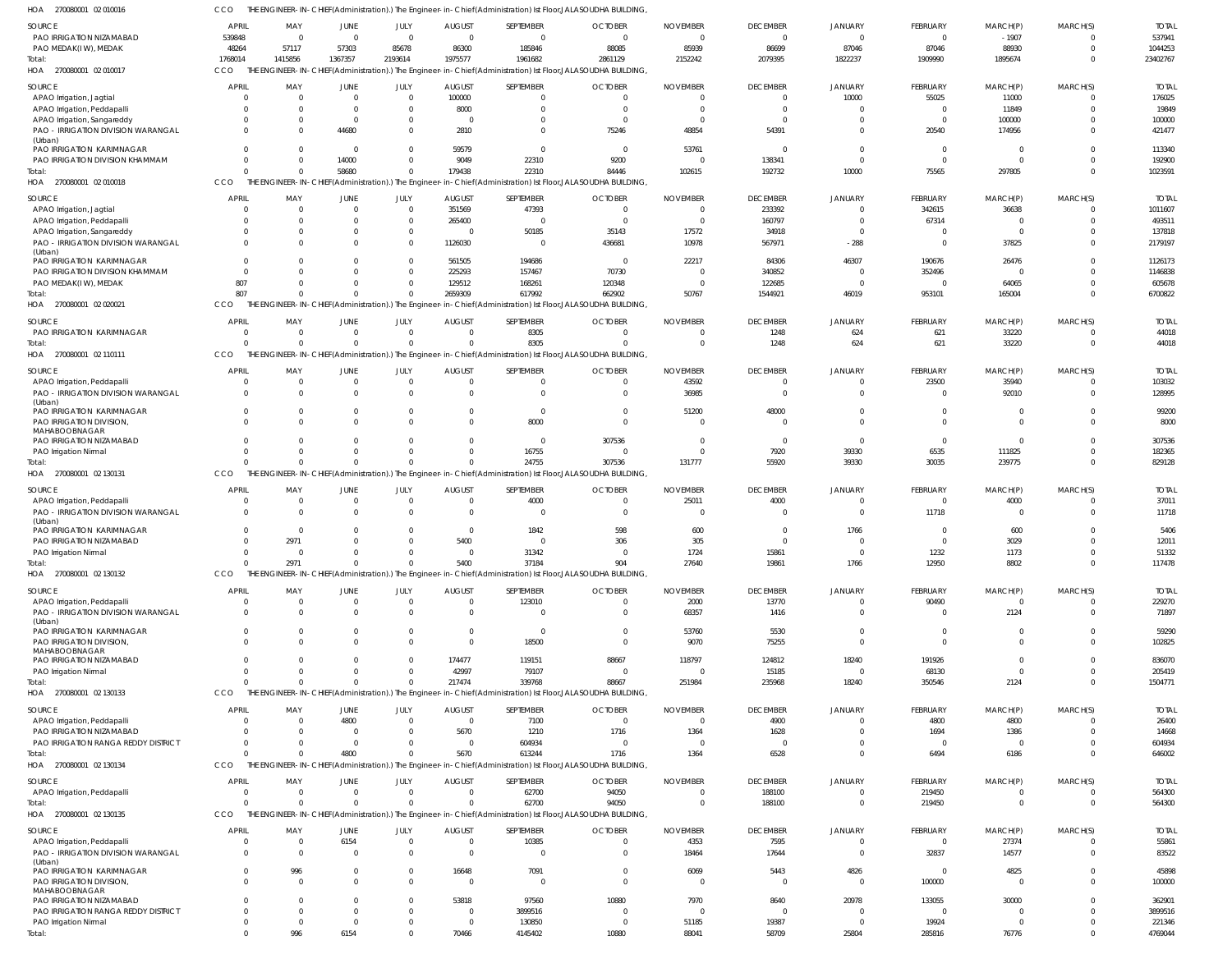270080001 02 010016 HOA CCO THE ENGINEER-IN-CHIEF(Administration).) The Engineer-in-Chief(Administration) Ist Floor,JALASOUDHA BUILDING,

| SOURCE                              | APRIL        | MAY            | JUNE           | JULY             | <b>AUGUST</b>             | SEPTEMBER      | <b>OCTOBER</b>                                                                                                | <b>NOVEMBER</b> | <b>DECEMBER</b> | JANUARY        | <b>FEBRUARY</b>          | MARCH(P)       | MARCH(S) | <b>TOTAL</b>      |
|-------------------------------------|--------------|----------------|----------------|------------------|---------------------------|----------------|---------------------------------------------------------------------------------------------------------------|-----------------|-----------------|----------------|--------------------------|----------------|----------|-------------------|
| PAO IRRIGATION NIZAMABAD            | 539848       | $\overline{0}$ | $\mathbf{0}$   | $\overline{0}$   | $\overline{0}$            | $\overline{0}$ | $\Omega$                                                                                                      | $\Omega$        | $\overline{0}$  | $\overline{0}$ | $\overline{\phantom{0}}$ | $-1907$        | $\Omega$ | 537941            |
| PAO MEDAK(IW), MEDAK                | 48264        | 57117          | 57303          | 85678            | 86300                     | 185846         | 88085                                                                                                         | 85939           | 86699           | 87046          | 87046                    | 88930          | $\Omega$ | 1044253           |
| Total:                              | 1768014      | 1415856        | 1367357        | 2193614          | 1975577                   | 1961682        | 2861129                                                                                                       | 2152242         | 2079395         | 1822237        | 1909990                  | 1895674        | $\Omega$ | 23402767          |
| HOA 270080001 02 010017             | <b>CCO</b>   |                |                |                  |                           |                | THE ENGINEER-IN-CHIEF(Administration).) The Engineer-in-Chief(Administration) Ist Floor, JALASOUDHA BUILDING, |                 |                 |                |                          |                |          |                   |
|                                     |              |                |                |                  |                           |                |                                                                                                               |                 |                 |                |                          |                |          |                   |
| SOURCE                              | <b>APRI</b>  | MAY            | JUNE           | JULY             | <b>AUGUST</b>             | SEPTEMBER      | <b>OCTOBER</b>                                                                                                | <b>NOVEMBER</b> | <b>DECEMBER</b> | <b>JANUARY</b> | FEBRUARY                 | MARCH(P)       | MARCH(S) | <b>TOTAL</b>      |
| APAO Irrigation, Jagtial            |              | $\Omega$       | $\Omega$       | $\Omega$         | 100000                    | $\Omega$       |                                                                                                               |                 |                 | 10000          | 55025                    | 11000          | $\Omega$ | 176025            |
| APAO Irrigation, Peddapalli         |              | $\Omega$       | $\Omega$       | $\Omega$         | 8000                      | $\Omega$       |                                                                                                               |                 |                 |                | $\overline{0}$           | 11849          |          | 19849             |
| APAO Irrigation, Sangareddy         |              | $\Omega$       | $\Omega$       | $\Omega$         |                           | $\Omega$       |                                                                                                               | - 0             |                 | $\Omega$       | $\Omega$                 | 100000         |          | 100000            |
| PAO - IRRIGATION DIVISION WARANGAL  |              | <sup>0</sup>   | 44680          | $\Omega$         | 2810                      | $\Omega$       | 75246                                                                                                         | 48854           | 54391           | $\Omega$       | 20540                    | 174956         |          | 421477            |
| (Urban)                             |              |                |                |                  |                           |                |                                                                                                               |                 |                 |                |                          |                |          |                   |
| PAO IRRIGATION KARIMNAGAR           |              | $\Omega$       | $\Omega$       | $\Omega$         | 59579                     | $\Omega$       | $\Omega$                                                                                                      | 53761           |                 | $\Omega$       | $\Omega$                 | $\Omega$       | $\Omega$ | 113340            |
|                                     |              |                |                |                  |                           |                |                                                                                                               |                 |                 |                |                          |                | $\Omega$ |                   |
| PAO IRRIGATION DIVISION KHAMMAM     |              | $\Omega$       | 14000          | $\Omega$         | 9049                      | 22310          | 9200                                                                                                          | - 0             | 138341          | $\Omega$       | $\Omega$                 | $\Omega$       |          | 192900            |
| Total:                              |              | $\Omega$       | 58680          | $\Omega$         | 179438                    | 22310          | 84446                                                                                                         | 102615          | 192732          | 10000          | 75565                    | 297805         | $\Omega$ | 1023591           |
| HOA 270080001 02 010018             | CCO          |                |                |                  |                           |                | THE ENGINEER-IN-CHIEF(Administration).) The Engineer-in-Chief(Administration) Ist Floor,JALASOUDHA BUILDING,  |                 |                 |                |                          |                |          |                   |
|                                     |              |                |                |                  |                           |                |                                                                                                               |                 |                 |                |                          |                |          |                   |
| SOURCE                              | <b>APRI</b>  | MAY            | JUNE           | JULY             | <b>AUGUST</b>             | SEPTEMBER      | <b>OCTOBER</b>                                                                                                | <b>NOVEMBER</b> | <b>DECEMBER</b> | JANUARY        | FEBRUARY                 | MARCH(P)       | MARCH(S) | <b>TOTAI</b>      |
| APAO Irrigation, Jagtial            | - 0          | $\Omega$       | $\Omega$       | $\overline{0}$   | 351569                    | 47393          | $\Omega$                                                                                                      | $\Omega$        | 233392          | $\overline{0}$ | 342615                   | 36638          | $\Omega$ | 1011607           |
| APAO Irrigation, Peddapalli         |              | $\Omega$       | $\Omega$       | $\mathbf 0$      | 265400                    | $\overline{0}$ | $\Omega$                                                                                                      | $\Omega$        | 160797          | $\overline{0}$ | 67314                    | 0              | $\Omega$ | 493511            |
| APAO Irrigation, Sangareddy         |              | $\Omega$       | $\Omega$       | $\mathbf 0$      |                           | 50185          | 35143                                                                                                         | 17572           | 34918           | $\Omega$       | $\overline{0}$           | $\Omega$       | $\Omega$ | 137818            |
| PAO - IRRIGATION DIVISION WARANGAL  |              | $\Omega$       | $\Omega$       | $\Omega$         | 1126030                   | $\overline{0}$ | 436681                                                                                                        | 10978           | 567971          | $-288$         | $\Omega$                 | 37825          | $\Omega$ | 2179197           |
| (Urban)                             |              |                |                |                  |                           |                |                                                                                                               |                 |                 |                |                          |                |          |                   |
| <b>PAO IRRIGATION KARIMNAGAR</b>    | $\Omega$     | $\Omega$       | $\Omega$       | $\Omega$         | 561505                    | 194686         | $\Omega$                                                                                                      | 22217           | 84306           | 46307          | 190676                   | 26476          | $\Omega$ | 1126173           |
|                                     |              | $\Omega$       | $\Omega$       | $\mathbf 0$      |                           |                |                                                                                                               |                 |                 |                |                          |                | $\Omega$ |                   |
| PAO IRRIGATION DIVISION KHAMMAM     | - 0          |                |                |                  | 225293                    | 157467         | 70730                                                                                                         | - 0             | 340852          | 0              | 352496                   | 0              |          | 1146838           |
| PAO MEDAK(IW), MEDAK                | 807          | $\Omega$       | $\Omega$       | $\mathbf 0$      | 129512                    | 168261         | 120348                                                                                                        | $\Omega$        | 122685          | $\overline{0}$ | $\circ$                  | 64065          | $\Omega$ | 605678            |
| Total:                              | 807          | $\Omega$       | $\Omega$       | $\Omega$         | 2659309                   | 617992         | 662902                                                                                                        | 50767           | 1544921         | 46019          | 953101                   | 165004         | $\Omega$ | 6700822           |
| HOA 270080001 02 020021             | <b>CCO</b>   |                |                |                  |                           |                | THE ENGINEER-IN-CHIEF(Administration).) The Engineer-in-Chief(Administration) Ist Floor, JALASOUDHA BUILDING, |                 |                 |                |                          |                |          |                   |
|                                     |              |                |                |                  |                           |                |                                                                                                               |                 |                 |                |                          |                |          |                   |
| SOURCE                              | <b>APRIL</b> | MAY            | <b>JUNE</b>    | JULY             | <b>AUGUST</b>             | SEPTEMBER      | <b>OCTOBER</b>                                                                                                | <b>NOVEMBER</b> | <b>DECEMBER</b> | JANUARY        | FEBRUARY                 | MARCH(P)       | MARCH(S) | <b>TOTAI</b>      |
| PAO IRRIGATION KARIMNAGAR           |              | $\Omega$       | $\Omega$       | $\Omega$         | $\Omega$                  | 8305           |                                                                                                               |                 | 1248            | 624            | 621                      | 33220          | $\Omega$ | 44018             |
| Total:                              |              | $\Omega$       | $\Omega$       | $\Omega$         | $\Omega$                  | 8305           | $\Omega$                                                                                                      |                 | 1248            | 624            | 621                      | 33220          | $\Omega$ | 44018             |
|                                     |              |                |                |                  |                           |                |                                                                                                               |                 |                 |                |                          |                |          |                   |
| HOA 270080001 02 110111             | CCO          |                |                |                  |                           |                | THE ENGINEER-IN-CHIEF(Administration).) The Engineer-in-Chief(Administration) Ist Floor,JALASOUDHA BUILDING,  |                 |                 |                |                          |                |          |                   |
| SOURCE                              | <b>APRIL</b> | MAY            | JUNE           | JULY             | <b>AUGUST</b>             | SEPTEMBER      | <b>OCTOBER</b>                                                                                                | <b>NOVEMBER</b> | <b>DECEMBER</b> | <b>JANUARY</b> | <b>FEBRUARY</b>          | MARCH(P)       | MARCH(S) | <b>TOTAL</b>      |
|                                     |              | $\Omega$       |                |                  |                           |                |                                                                                                               |                 |                 |                |                          |                |          |                   |
| APAO Irrigation, Peddapalli         | - 0          |                | $\mathbf{0}$   | $\overline{0}$   | $\Omega$                  | $\mathbf 0$    |                                                                                                               | 43592           | 0               | $\mathbf 0$    | 23500                    | 35940          | $\Omega$ | 103032            |
| PAO - IRRIGATION DIVISION WARANGAL  | $\Omega$     | $\Omega$       | $\Omega$       | $\mathbf{0}$     | $\Omega$                  | $\mathbf 0$    | $\Omega$                                                                                                      | 36985           | $\overline{0}$  | $\overline{0}$ | $\overline{0}$           | 92010          | $\Omega$ | 128995            |
| (Urban)                             |              |                |                |                  |                           |                |                                                                                                               |                 |                 |                |                          |                |          |                   |
| PAO IRRIGATION KARIMNAGAR           | $\Omega$     | $\Omega$       | $\mathbf{0}$   | $^{\circ}$       | $\Omega$                  | $\overline{0}$ | $\Omega$                                                                                                      | 51200           | 48000           | $\mathbf 0$    | $\overline{0}$           | 0              | $\Omega$ | 99200             |
| PAO IRRIGATION DIVISION,            | $\Omega$     | $\Omega$       | $\Omega$       | $\Omega$         | $\Omega$                  | 8000           | $\Omega$                                                                                                      | - 0             | $\Omega$        | $\Omega$       | $\Omega$                 | $\Omega$       | $\Omega$ | 8000              |
| MAHABOOBNAGAR                       |              |                |                |                  |                           |                |                                                                                                               |                 |                 |                |                          |                |          |                   |
| PAO IRRIGATION NIZAMABAD            | $\Omega$     | $\Omega$       | $\Omega$       | $\Omega$         | $\Omega$                  | $\overline{0}$ | 307536                                                                                                        | - 0             | $\overline{0}$  | $\overline{0}$ | $\Omega$                 | $\Omega$       | $\Omega$ | 307536            |
| PAO Irrigation Nirmal               |              | $\Omega$       | $\Omega$       | $\Omega$         | $\Omega$                  | 16755          |                                                                                                               | - 0             | 7920            | 39330          | 6535                     | 111825         | $\Omega$ | 182365            |
| Total:                              |              | $\Omega$       | $\Omega$       | $\Omega$         | $\Omega$                  | 24755          | 307536                                                                                                        | 131777          | 55920           | 39330          | 30035                    | 239775         | $\Omega$ | 829128            |
| HOA 270080001 02 130131             | CCO          |                |                |                  |                           |                | THE ENGINEER-IN-CHIEF(Administration).) The Engineer-in-Chief(Administration) Ist Floor,JALASOUDHA BUILDING,  |                 |                 |                |                          |                |          |                   |
|                                     |              |                |                |                  |                           |                |                                                                                                               |                 |                 |                |                          |                |          |                   |
| SOURCE                              | <b>APRIL</b> | MAY            | <b>JUNE</b>    | JULY             | <b>AUGUST</b>             | SEPTEMBER      | <b>OCTOBER</b>                                                                                                | <b>NOVEMBER</b> | <b>DECEMBER</b> | JANUARY        | <b>FEBRUARY</b>          | MARCH(P)       | MARCH(S) | <b>TOTAL</b>      |
| APAO Irrigation, Peddapalli         |              | $\Omega$       | $\mathbf{0}$   | $\Omega$         | $\Omega$                  | 4000           |                                                                                                               | 25011           | 4000            | $\Omega$       | $\overline{0}$           | 4000           |          | 37011             |
|                                     |              |                |                |                  |                           |                |                                                                                                               |                 |                 |                |                          |                |          |                   |
| PAO - IRRIGATION DIVISION WARANGAL  | $\Omega$     | $\Omega$       | $\Omega$       | $\Omega$         | $\Omega$                  | $\overline{0}$ | $\Omega$                                                                                                      | - 0             | $\Omega$        | $\Omega$       | 11718                    | $\overline{0}$ | $\Omega$ | 11718             |
| (Urban)                             |              |                |                |                  |                           |                |                                                                                                               |                 |                 |                |                          |                |          |                   |
| PAO IRRIGATION KARIMNAGAR           |              | $\Omega$       | $\Omega$       | $\Omega$         | $\Omega$                  | 1842           | 598                                                                                                           | 600             | $\Omega$        | 1766           | $\Omega$                 | 600            |          | 5406              |
| PAO IRRIGATION NIZAMABAD            |              | 2971           | $\Omega$       | $\Omega$         | 5400                      | $\Omega$       | 306                                                                                                           | 305             |                 |                | $\Omega$                 | 3029           |          | 12011             |
| PAO Irrigation Nirmal               |              | $\Omega$       | $\Omega$       | $\Omega$         | $\Omega$                  | 31342          |                                                                                                               | 1724            | 15861           | - 0            | 1232                     | 1173           | $\Omega$ | 51332             |
| Total:                              |              | 2971           |                |                  | 5400                      | 37184          | 904                                                                                                           | 27640           | 19861           | 1766           | 12950                    | 8802           |          | 117478            |
| HOA 270080001 02 130132             |              |                |                |                  |                           |                | THE ENGINEER-IN-CHIEF(Administration).) The Engineer-in-Chief(Administration) Ist Floor, JALASOUDHA BUILDING, |                 |                 |                |                          |                |          |                   |
|                                     | CCO          |                |                |                  |                           |                |                                                                                                               |                 |                 |                |                          |                |          |                   |
| SOURCE                              | <b>APRIL</b> | MAY            | JUNE           | JULY             | <b>AUGUST</b>             | SEPTEMBER      | <b>OCTOBER</b>                                                                                                | <b>NOVEMBER</b> | <b>DECEMBER</b> | JANUARY        | <b>FEBRUARY</b>          | MARCH(P)       | MARCH(S) | <b>TOTAL</b>      |
|                                     |              |                |                |                  |                           |                |                                                                                                               |                 | 13770           |                |                          |                |          |                   |
| APAO Irrigation, Peddapalli         | $\Omega$     | $\overline{0}$ | $\mathbf{0}$   | $\overline{0}$   | $\overline{0}$            | 123010         | $\Omega$                                                                                                      | 2000            |                 | $\mathbf 0$    | 90490                    | $\mathbf 0$    | $\Omega$ | 229270            |
| PAO - IRRIGATION DIVISION WARANGAL  |              | $\Omega$       | $\Omega$       | $\Omega$         | $\Omega$                  | $\overline{0}$ |                                                                                                               |                 |                 |                |                          |                | $\Omega$ | 71897             |
| (Urban)                             |              |                |                |                  |                           |                | $\Omega$                                                                                                      | 68357           | 1416            | $\Omega$       | $\overline{0}$           | 2124           |          |                   |
| PAO IRRIGATION KARIMNAGAR           | $\Omega$     |                |                |                  |                           |                |                                                                                                               |                 |                 |                |                          |                |          |                   |
| PAO IRRIGATION DIVISION,            |              | $\Omega$       | $\Omega$       | $\Omega$         | $\Omega$                  | $\overline{0}$ | $\Omega$                                                                                                      | 53760           | 5530            | $\overline{0}$ | $\overline{0}$           | $\mathbf 0$    | $\Omega$ | 59290             |
|                                     | $\Omega$     | $\Omega$       | $\Omega$       | $\mathbf 0$      | $\overline{0}$            | 18500          | $\Omega$                                                                                                      | 9070            | 75255           | $\overline{0}$ | $\overline{0}$           | $\mathbf 0$    | $\Omega$ | 102825            |
| MAHABOOBNAGAR                       |              |                |                |                  |                           |                |                                                                                                               |                 |                 |                |                          |                |          |                   |
| PAO IRRIGATION NIZAMABAD            |              | $\Omega$       | $\Omega$       | $\Omega$         | 174477                    | 119151         | 88667                                                                                                         | 118797          | 124812          | 18240          | 191926                   | 0              | $\Omega$ | 836070            |
| PAO Irrigation Nirmal               |              | $\Omega$       | $\Omega$       | $\mathbf 0$      | 42997                     | 79107          | $\Omega$                                                                                                      | - 0             | 15185           | $\overline{0}$ | 68130                    | $\mathbf 0$    | $\Omega$ | 205419            |
| Total:                              |              | $\Omega$       | $\Omega$       | $\Omega$         | 217474                    | 339768         | 88667                                                                                                         | 251984          | 235968          | 18240          | 350546                   | 2124           | $\Omega$ | 1504771           |
|                                     |              |                |                |                  |                           |                |                                                                                                               |                 |                 |                |                          |                |          |                   |
| HOA 270080001 02 130133             | <b>CCO</b>   |                |                |                  |                           |                | THE ENGINEER-IN-CHIEF(Administration).) The Engineer-in-Chief(Administration) Ist Floor,JALASOUDHA BUILDING,  |                 |                 |                |                          |                |          |                   |
|                                     | <b>APRIL</b> | MAY            | JUNE           |                  |                           | SEPTEMBER      | <b>OCTOBER</b>                                                                                                | <b>NOVEMBER</b> | <b>DECEMBER</b> | JANUARY        | FEBRUARY                 | MARCH(P)       | MARCH(S) | <b>TOTAL</b>      |
| SOURCE                              |              | $\Omega$       |                | JULY<br>$\Omega$ | <b>AUGUST</b><br>$\Omega$ |                |                                                                                                               | - 0             |                 | $\Omega$       |                          |                |          |                   |
| APAO Irrigation, Peddapalli         |              |                | 4800           |                  |                           | 7100           |                                                                                                               |                 | 4900            |                | 4800                     | 4800           |          | 26400             |
| PAO IRRIGATION NIZAMABAD            |              | $\Omega$       | $\Omega$       | $\Omega$         | 5670                      | 1210           | 1716                                                                                                          | 1364            | 1628            | $\Omega$       | 1694                     | 1386           |          | 14668             |
| PAO IRRIGATION RANGA REDDY DISTRICT |              | $\Omega$       | $\Omega$       | $\Omega$         | $\Omega$                  | 604934         |                                                                                                               | - 0             | $\Omega$        | $\mathbf 0$    | $\Omega$                 | $\mathbf 0$    |          | 604934            |
| Total:                              |              | $\Omega$       | 4800           | $\Omega$         | 5670                      | 613244         | 1716                                                                                                          | 1364            | 6528            | $\Omega$       | 6494                     | 6186           | $\Omega$ | 646002            |
| HOA 270080001 02 130134             | CCO          |                |                |                  |                           |                | THE ENGINEER-IN-CHIEF(Administration).) The Engineer-in-Chief(Administration) Ist Floor, JALASOUDHA BUILDING, |                 |                 |                |                          |                |          |                   |
|                                     |              |                |                |                  |                           |                |                                                                                                               |                 |                 |                |                          |                |          |                   |
| SOURCE                              | <b>APRIL</b> | MAY            | JUNE           | JULY             | <b>AUGUST</b>             | SEPTEMBER      | <b>OCTOBER</b>                                                                                                | <b>NOVEMBER</b> | <b>DECEMBER</b> | JANUARY        | <b>FEBRUARY</b>          | MARCH(P)       | MARCH(S) | <b>TOTAL</b>      |
| APAO Irrigation, Peddapalli         | $\Omega$     | $\Omega$       | $\overline{0}$ | $\overline{0}$   | $\Omega$                  | 62700          | 94050                                                                                                         | $\Omega$        | 188100          | $\mathbf 0$    | 219450                   | 0              | $\Omega$ | 564300            |
|                                     |              | $\Omega$       | $\Omega$       | $\Omega$         | $\Omega$                  |                |                                                                                                               | - 0             |                 | $\mathbf 0$    |                          | $\mathbf 0$    | $\Omega$ |                   |
| Total:                              |              |                |                |                  |                           | 62700          | 94050                                                                                                         |                 | 188100          |                | 219450                   |                |          | 564300            |
| HOA 270080001 02 130135             | CCO          |                |                |                  |                           |                | THE ENGINEER-IN-CHIEF(Administration).) The Engineer-in-Chief(Administration) Ist Floor,JALASOUDHA BUILDING,  |                 |                 |                |                          |                |          |                   |
|                                     |              |                |                |                  |                           |                |                                                                                                               |                 |                 |                |                          |                |          |                   |
| SOURCE                              | <b>APRIL</b> | MAY            | JUNE           | JULY             | <b>AUGUST</b>             | SEPTEMBER      | <b>OCTOBER</b>                                                                                                | <b>NOVEMBER</b> | <b>DECEMBER</b> | JANUARY        | FEBRUARY                 | MARCH(P)       | MARCH(S) | <b>TOTAL</b>      |
| APAO Irrigation, Peddapalli         |              | $\Omega$       | 6154           | $\Omega$         | $\Omega$                  | 10385          |                                                                                                               | 4353            | 7595            | $\Omega$       | $\overline{0}$           | 27374          | $\Omega$ | 55861             |
| PAO - IRRIGATION DIVISION WARANGAL  |              | $\Omega$       | $\Omega$       | $\mathbf 0$      | $\Omega$                  | $\overline{0}$ | $\Omega$                                                                                                      | 18464           | 17644           | $\overline{0}$ | 32837                    | 14577          | $\Omega$ | 83522             |
| (Urban)                             |              |                |                |                  |                           |                |                                                                                                               |                 |                 |                |                          |                |          |                   |
| PAO IRRIGATION KARIMNAGAR           |              | 996            | $\Omega$       | $\Omega$         | 16648                     | 7091           |                                                                                                               | 6069            | 5443            | 4826           | $\overline{0}$           | 4825           |          | 45898             |
| PAO IRRIGATION DIVISION,            |              | $\Omega$       | $\Omega$       | $\Omega$         | $\Omega$                  | $\overline{0}$ | $\Omega$                                                                                                      | $\Omega$        | $\Omega$        | $\overline{0}$ | 100000                   | $\mathbf 0$    | $\Omega$ | 100000            |
| MAHABOOBNAGAR                       |              |                |                |                  |                           |                |                                                                                                               |                 |                 |                |                          |                |          |                   |
| PAO IRRIGATION NIZAMABAD            |              | $\Omega$       | $\Omega$       | $\Omega$         | 53818                     | 97560          | 10880                                                                                                         | 7970            | 8640            | 20978          | 133055                   | 30000          |          | 362901            |
| PAO IRRIGATION RANGA REDDY DISTRICT |              | $\Omega$       | $\Omega$       | $\mathbf{0}$     | $\overline{0}$            | 3899516        |                                                                                                               | $\sqrt{ }$      | $\Omega$        | $\Omega$       | $\overline{0}$           | $\Omega$       |          | 3899516           |
|                                     |              | $\Omega$       | $\Omega$       | $\mathbf{0}$     | $\overline{0}$            | 130850         | $\Omega$                                                                                                      | 51185           | 19387           | $\overline{0}$ | 19924                    | $\mathbf 0$    |          |                   |
| PAO Irrigation Nirmal<br>Total:     |              | 996            | 6154           | $\Omega$         | 70466                     | 4145402        | 10880                                                                                                         | 88041           | 58709           | 25804          | 285816                   | 76776          | $\Omega$ | 221346<br>4769044 |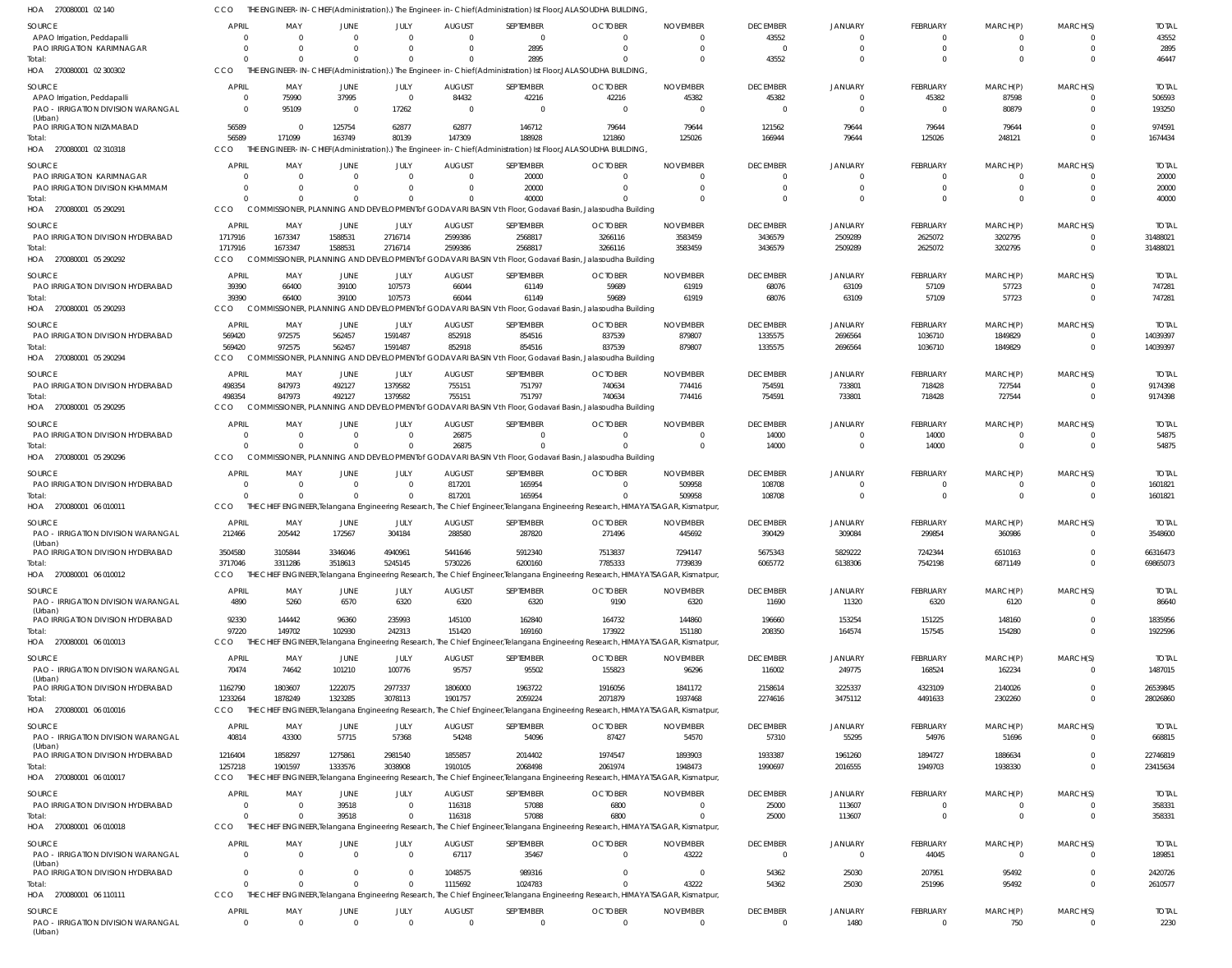| SOURCE<br>APAO Irrigation, Peddapalli                             | <b>APRIL</b><br>$\Omega$ | MAY<br>$\Omega$            | JUNE<br>- 0                | JULY<br>$\Omega$        | <b>AUGUST</b><br>$\overline{0}$ | SEPTEMBER<br>$\overline{0}$ | <b>OCTOBER</b><br>$\Omega$                                                                                                                  | <b>NOVEMBER</b><br>$\Omega$ | <b>DECEMBER</b><br>43552  | <b>JANUARY</b><br>$\Omega$ | <b>FEBRUARY</b><br>$\mathbf 0$ | MARCH(P)<br>$\mathbf 0$ | MARCH(S)<br>$\Omega$             | <b>TOTAL</b><br>43552 |
|-------------------------------------------------------------------|--------------------------|----------------------------|----------------------------|-------------------------|---------------------------------|-----------------------------|---------------------------------------------------------------------------------------------------------------------------------------------|-----------------------------|---------------------------|----------------------------|--------------------------------|-------------------------|----------------------------------|-----------------------|
| PAO IRRIGATION KARIMNAGAR                                         | $\Omega$                 | $\Omega$                   | $\Omega$                   | $\Omega$                | $\Omega$                        | 2895                        | $\Omega$                                                                                                                                    | $\Omega$                    | $\Omega$                  | $\Omega$                   | $\mathbf 0$                    | $\mathbf 0$             | $\Omega$                         | 2895                  |
| Total:                                                            | $\Omega$                 | $\Omega$                   | $\Omega$                   |                         | $\Omega$                        | 2895                        | $\Omega$                                                                                                                                    | $\Omega$                    | 43552                     | $\Omega$                   | $\Omega$                       | $\Omega$                | $\Omega$                         | 46447                 |
| HOA 270080001 02 300302                                           | <b>CCO</b>               |                            |                            |                         |                                 |                             | THE ENGINEER-IN-CHIEF(Administration).) The Engineer-in-Chief(Administration) Ist Floor,JALASOUDHA BUILDING,                                |                             |                           |                            |                                |                         |                                  |                       |
| SOURCE                                                            | <b>APRIL</b>             | MAY                        | <b>JUNE</b>                | JULY                    | <b>AUGUST</b>                   | SEPTEMBER                   | <b>OCTOBER</b>                                                                                                                              | <b>NOVEMBER</b>             | <b>DECEMBER</b>           | JANUARY                    | <b>FEBRUARY</b>                | MARCH(P)                | MARCH(S)                         | <b>TOTAL</b>          |
| APAO Irrigation, Peddapalli<br>PAO - IRRIGATION DIVISION WARANGAL | $\Omega$<br>$\Omega$     | 75990<br>95109             | 37995<br>$\overline{0}$    | $\overline{0}$<br>17262 | 84432<br>$\Omega$               | 42216<br>$\Omega$           | 42216<br>$\Omega$                                                                                                                           | 45382<br>$\Omega$           | 45382<br>$\Omega$         | $\Omega$<br>$\Omega$       | 45382<br>$\mathbf 0$           | 87598<br>80879          | $\Omega$<br>$\Omega$             | 506593<br>193250      |
| (Urban)<br>PAO IRRIGATION NIZAMABAD                               | 56589                    | $\overline{0}$             | 125754                     | 62877                   | 62877                           | 146712                      | 79644                                                                                                                                       | 79644                       | 121562                    | 79644                      | 79644                          | 79644                   | $\Omega$                         | 974591                |
| Total:                                                            | 56589                    | 171099                     | 163749                     | 80139                   | 147309                          | 188928                      | 121860                                                                                                                                      | 125026                      | 166944                    | 79644                      | 125026                         | 248121                  | $\Omega$                         | 1674434               |
| HOA 270080001 02 310318                                           | CCO                      |                            |                            |                         |                                 |                             | THE ENGINEER-IN-CHIEF(Administration).) The Engineer-in-Chief(Administration) Ist Floor, JALASOUDHA BUILDING                                |                             |                           |                            |                                |                         |                                  |                       |
| SOURCE                                                            | <b>APRIL</b>             | MAY                        | JUNE                       | JULY                    | <b>AUGUST</b>                   | SEPTEMBER                   | <b>OCTOBER</b>                                                                                                                              | <b>NOVEMBER</b>             | <b>DECEMBER</b>           | <b>JANUARY</b>             | <b>FEBRUARY</b>                | MARCH(P)                | MARCH(S)                         | <b>TOTAL</b>          |
| PAO IRRIGATION KARIMNAGAR                                         |                          | $\Omega$                   | $\Omega$                   | $\Omega$                | $\Omega$                        | 20000                       | $\Omega$                                                                                                                                    | $\Omega$                    | $\Omega$                  | $\Omega$                   | $\mathbf 0$                    | 0                       | $\Omega$                         | 20000                 |
| PAO IRRIGATION DIVISION KHAMMAM                                   |                          | $\Omega$                   | $\Omega$                   | $\Omega$                | $\Omega$                        | 20000                       | $\Omega$                                                                                                                                    | $\Omega$                    | $\Omega$                  | $\Omega$                   | $\mathbf 0$                    | $\mathbf 0$             | $\Omega$                         | 20000                 |
| Total:<br>HOA 270080001 05 290291                                 | $\Omega$<br>CCO          | $\Omega$                   | $\Omega$                   |                         | $\Omega$                        | 40000                       | COMMISSIONER, PLANNING AND DEVELOPMENT of GODAVARI BASIN Vth Floor, Godavari Basin, Jalasoudha Building                                     | $\Omega$                    | $\Omega$                  | $\Omega$                   | $\Omega$                       | $\Omega$                | $\Omega$                         | 40000                 |
|                                                                   |                          |                            |                            |                         |                                 |                             |                                                                                                                                             |                             |                           |                            |                                |                         |                                  |                       |
| SOURCE<br>PAO IRRIGATION DIVISION HYDERABAD                       | APRIL<br>1717916         | MAY                        | JUNE<br>1588531            | JULY                    | <b>AUGUST</b>                   | SEPTEMBER                   | <b>OCTOBER</b>                                                                                                                              | <b>NOVEMBER</b>             | <b>DECEMBER</b>           | JANUARY                    | <b>FEBRUARY</b>                | MARCH(P)                | MARCH(S)                         | <b>TOTAL</b>          |
| Total:                                                            | 1717916                  | 1673347<br>1673347         | 1588531                    | 2716714<br>2716714      | 2599386<br>2599386              | 2568817<br>2568817          | 3266116<br>3266116                                                                                                                          | 3583459<br>3583459          | 3436579<br>3436579        | 2509289<br>2509289         | 2625072<br>2625072             | 3202795<br>3202795      | $\overline{0}$<br>$\overline{0}$ | 31488021<br>31488021  |
| HOA 270080001 05 290292                                           | <b>CCO</b>               |                            |                            |                         |                                 |                             | COMMISSIONER, PLANNING AND DEVELOPMENT of GODAVARI BASIN Vth Floor, Godavari Basin, Jalasoudha Building                                     |                             |                           |                            |                                |                         |                                  |                       |
| SOURCE                                                            | <b>APRIL</b>             | MAY                        | JUNE                       | JULY                    | <b>AUGUST</b>                   | SEPTEMBER                   | <b>OCTOBER</b>                                                                                                                              | <b>NOVEMBER</b>             | <b>DECEMBER</b>           | <b>JANUARY</b>             | <b>FEBRUARY</b>                | MARCH(P)                | MARCH(S)                         | <b>TOTAL</b>          |
| PAO IRRIGATION DIVISION HYDERABAD                                 | 39390                    | 66400                      | 39100                      | 107573                  | 66044                           | 61149                       | 59689                                                                                                                                       | 61919                       | 68076                     | 63109                      | 57109                          | 57723                   | $\Omega$                         | 747281                |
| Total:                                                            | 39390                    | 66400                      | 39100                      | 107573                  | 66044                           | 61149                       | 59689                                                                                                                                       | 61919                       | 68076                     | 63109                      | 57109                          | 57723                   | $\Omega$                         | 747281                |
| HOA 270080001 05 290293                                           | CCO                      |                            |                            |                         |                                 |                             | COMMISSIONER, PLANNING AND DEVELOPMENT of GODAVARI BASIN Vth Floor, Godavari Basin, Jalasoudha Building                                     |                             |                           |                            |                                |                         |                                  |                       |
| SOURCE                                                            | APRIL                    | MAY                        | JUNE                       | JULY                    | <b>AUGUST</b>                   | SEPTEMBER                   | <b>OCTOBER</b>                                                                                                                              | <b>NOVEMBER</b>             | <b>DECEMBER</b>           | JANUARY                    | <b>FEBRUARY</b>                | MARCH(P)                | MARCH(S)                         | <b>TOTAL</b>          |
| PAO IRRIGATION DIVISION HYDERABAD                                 | 569420                   | 972575                     | 562457                     | 1591487                 | 852918                          | 854516                      | 837539                                                                                                                                      | 879807                      | 1335575                   | 2696564                    | 1036710                        | 1849829                 | $\overline{0}$                   | 14039397              |
| Total:                                                            | 569420                   | 972575                     | 562457                     | 1591487                 | 852918                          | 854516                      | 837539                                                                                                                                      | 879807                      | 1335575                   | 2696564                    | 1036710                        | 1849829                 | $\overline{0}$                   | 14039397              |
| HOA 270080001 05 290294                                           | CCO                      |                            |                            |                         |                                 |                             | COMMISSIONER, PLANNING AND DEVELOPMENT of GODAVARI BASIN Vth Floor, Godavari Basin, Jalasoudha Building                                     |                             |                           |                            |                                |                         |                                  |                       |
| SOURCE                                                            | <b>APRIL</b>             | MAY                        | JUNE                       | JULY                    | <b>AUGUST</b>                   | SEPTEMBER                   | <b>OCTOBER</b>                                                                                                                              | <b>NOVEMBER</b>             | <b>DECEMBER</b>           | JANUARY                    | <b>FEBRUARY</b>                | MARCH(P)                | MARCH(S)                         | <b>TOTAL</b>          |
| PAO IRRIGATION DIVISION HYDERABAD                                 | 498354                   | 847973                     | 492127                     | 1379582                 | 755151                          | 751797                      | 740634                                                                                                                                      | 774416                      | 754591                    | 733801                     | 718428                         | 727544                  | $\Omega$                         | 9174398               |
| Total:                                                            | 498354                   | 847973                     | 492127                     | 1379582                 | 755151                          | 751797                      | 740634                                                                                                                                      | 774416                      | 754591                    | 733801                     | 718428                         | 727544                  | $\Omega$                         | 9174398               |
| HOA 270080001 05 290295                                           | <b>CCO</b>               |                            |                            |                         |                                 |                             | COMMISSIONER, PLANNING AND DEVELOPMENT of GODAVARI BASIN Vth Floor, Godavari Basin, Jalasoudha Building                                     |                             |                           |                            |                                |                         |                                  |                       |
| SOURCE                                                            | <b>APRIL</b>             | MAY                        | JUNE                       | JULY                    | <b>AUGUST</b>                   | SEPTEMBER                   | <b>OCTOBER</b>                                                                                                                              | <b>NOVEMBER</b>             | <b>DECEMBER</b>           | <b>JANUARY</b>             | <b>FEBRUARY</b>                | MARCH(P)                | MARCH(S)                         | <b>TOTAL</b>          |
| PAO IRRIGATION DIVISION HYDERABAD                                 | $\Omega$                 | $\Omega$                   | $\Omega$                   | $\Omega$                | 26875                           | $\Omega$                    | $\Omega$                                                                                                                                    | $\Omega$                    | 14000                     | $\Omega$                   | 14000                          | 0                       | $\Omega$                         | 54875                 |
| Total:<br>HOA 270080001 05 290296                                 | $\Omega$<br>CCO          | $\Omega$<br>COMM           | $\Omega$                   | $\Omega$                | 26875                           |                             | ISSIONER, PLANNING AND DEVELOPMENTof GODAVARI BASIN Vth Floor, Godavari Basin, Jalasoudha Building                                          | $\Omega$                    | 14000                     | $\Omega$                   | 14000                          | $\mathbf 0$             | $\Omega$                         | 54875                 |
|                                                                   |                          |                            |                            |                         |                                 |                             |                                                                                                                                             |                             |                           |                            |                                |                         |                                  |                       |
| SOURCE                                                            | <b>APRIL</b>             | MAY                        | JUNE                       | JULY                    | <b>AUGUST</b>                   | SEPTEMBER                   | <b>OCTOBER</b>                                                                                                                              | <b>NOVEMBER</b>             | <b>DECEMBER</b>           | JANUARY                    | <b>FEBRUARY</b>                | MARCH(P)                | MARCH(S)                         | <b>TOTAL</b>          |
| PAO IRRIGATION DIVISION HYDERABAD<br>Total:                       | $\Omega$<br>$\Omega$     | $\overline{0}$<br>$\Omega$ | $\overline{0}$<br>$\Omega$ | $\Omega$<br>$\Omega$    | 817201<br>817201                | 165954<br>165954            | $\Omega$<br>$\Omega$                                                                                                                        | 509958<br>509958            | 108708<br>108708          | $\Omega$<br>$\Omega$       | $\mathbf 0$<br>$\overline{0}$  | 0<br>$\overline{0}$     | $\overline{0}$<br>$\Omega$       | 1601821<br>1601821    |
| HOA 270080001 06 010011                                           | CCO                      |                            |                            |                         |                                 |                             | THE CHIEF ENGINEER,Telangana Engineering Research, The Chief Engineer,Telangana Engineering Research, HIMAYATSAGAR, Kismatpur,              |                             |                           |                            |                                |                         |                                  |                       |
|                                                                   | <b>APRIL</b>             | MAY                        |                            |                         |                                 |                             |                                                                                                                                             |                             |                           |                            |                                |                         |                                  | <b>TOTAL</b>          |
| SOURCE<br><b>PAO - IRRIGATION DIVISION WARANGAL</b>               | 212466                   | 205442                     | JUNE<br>172567             | JULY<br>304184          | <b>AUGUST</b><br>288580         | SEPTEMBER<br>287820         | <b>OCTOBER</b><br>271496                                                                                                                    | <b>NOVEMBER</b><br>445692   | <b>DECEMBER</b><br>390429 | <b>JANUARY</b><br>309084   | FEBRUARY<br>299854             | MARCH(P)<br>360986      | MARCH(S)<br>$\Omega$             | 3548600               |
| (Urban)                                                           |                          |                            |                            |                         |                                 |                             |                                                                                                                                             |                             |                           |                            |                                |                         |                                  |                       |
| PAO IRRIGATION DIVISION HYDERABAD                                 | 3504580                  | 3105844                    | 3346046                    | 4940961                 | 5441646                         | 5912340                     | 7513837                                                                                                                                     | 7294147                     | 5675343                   | 5829222                    | 7242344                        | 6510163                 | $\Omega$                         | 66316473              |
| Total:<br>HOA 270080001 06 010012                                 | 3717046<br>CCO           | 3311286                    | 3518613                    | 5245145                 | 5730226                         | 6200160                     | 7785333<br>THE CHIEF ENGINEER, Telangana Engineering Research, The Chief Engineer, Telangana Engineering Research, HIMAYATSAGAR, Kismatpur, | 7739839                     | 6065772                   | 6138306                    | 7542198                        | 6871149                 | $\Omega$                         | 69865073              |
|                                                                   |                          |                            |                            |                         |                                 |                             |                                                                                                                                             |                             |                           |                            |                                |                         |                                  |                       |
| SOURCE                                                            | APRIL<br>4890            | MAY                        | JUNE                       | JULY                    | <b>AUGUST</b>                   | <b>SEPTEMBER</b>            | <b>OCTOBER</b>                                                                                                                              | <b>NOVEMBER</b>             | <b>DECEMBER</b>           | <b>JANUARY</b>             | <b>FEBRUARY</b>                | MARCH(P)                | MARCH(S)<br>$\overline{0}$       | <b>TOTAL</b>          |
| PAO - IRRIGATION DIVISION WARANGAL<br>(Urban)                     |                          | 5260                       | 6570                       | 6320                    | 6320                            | 6320                        | 9190                                                                                                                                        | 6320                        | 11690                     | 11320                      | 6320                           | 6120                    |                                  | 86640                 |
| PAO IRRIGATION DIVISION HYDERABAD                                 | 92330                    | 144442                     | 96360                      | 235993                  | 145100                          | 162840                      | 164732                                                                                                                                      | 144860                      | 196660                    | 153254                     | 151225                         | 148160                  | $\Omega$                         | 1835956               |
| Total:                                                            | 97220                    | 149702                     | 102930                     | 242313                  | 151420                          | 169160                      | 173922                                                                                                                                      | 151180                      | 208350                    | 164574                     | 157545                         | 154280                  | $\overline{0}$                   | 1922596               |
| HOA 270080001 06 010013                                           | CCO                      |                            |                            |                         |                                 |                             | THE CHIEF ENGINEER, Telangana Engineering Research, The Chief Engineer, Telangana Engineering Research, HIMAYATSAGAR, Kismatpur,            |                             |                           |                            |                                |                         |                                  |                       |
| SOURCE                                                            | APRIL                    | MAY                        | JUNE                       | JULY                    | <b>AUGUST</b>                   | SEPTEMBER                   | <b>OCTOBER</b>                                                                                                                              | <b>NOVEMBER</b>             | <b>DECEMBER</b>           | <b>JANUARY</b>             | <b>FEBRUARY</b>                | MARCH(P)                | MARCH(S)                         | <b>TOTAL</b>          |
| PAO - IRRIGATION DIVISION WARANGAL<br>(Urban)                     | 70474                    | 74642                      | 101210                     | 100776                  | 95757                           | 95502                       | 155823                                                                                                                                      | 96296                       | 116002                    | 249775                     | 168524                         | 162234                  | $\overline{0}$                   | 1487015               |
| PAO IRRIGATION DIVISION HYDERABAD                                 | 1162790                  | 1803607                    | 1222075                    | 2977337                 | 1806000                         | 1963722                     | 1916056                                                                                                                                     | 1841172                     | 2158614                   | 3225337                    | 4323109                        | 2140026                 | $\Omega$                         | 26539845              |
| Total:                                                            | 1233264                  | 1878249                    | 1323285                    | 3078113                 | 1901757                         | 2059224                     | 2071879                                                                                                                                     | 1937468                     | 2274616                   | 3475112                    | 4491633                        | 2302260                 | $\overline{0}$                   | 28026860              |
| HOA 270080001 06 010016                                           | CCO                      |                            |                            |                         |                                 |                             | THE CHIEF ENGINEER, Telangana Engineering Research, The Chief Engineer, Telangana Engineering Research, HIMAYATSAGAR, Kismatpur,            |                             |                           |                            |                                |                         |                                  |                       |
| SOURCE                                                            | APRIL                    | MAY                        | JUNE                       | JULY                    | <b>AUGUST</b>                   | SEPTEMBER                   | <b>OCTOBER</b>                                                                                                                              | <b>NOVEMBER</b>             | <b>DECEMBER</b>           | <b>JANUARY</b>             | <b>FEBRUARY</b>                | MARCH(P)                | MARCH(S)                         | <b>TOTAL</b>          |
| PAO - IRRIGATION DIVISION WARANGAL                                | 40814                    | 43300                      | 57715                      | 57368                   | 54248                           | 54096                       | 87427                                                                                                                                       | 54570                       | 57310                     | 55295                      | 54976                          | 51696                   | $\overline{0}$                   | 668815                |
| (Urban)<br>PAO IRRIGATION DIVISION HYDERABAD                      | 1216404                  | 1858297                    | 1275861                    | 2981540                 | 1855857                         | 2014402                     | 1974547                                                                                                                                     | 1893903                     | 1933387                   | 1961260                    | 1894727                        | 1886634                 | $\overline{0}$                   | 22746819              |
| Total:                                                            | 1257218                  | 1901597                    | 1333576                    | 3038908                 | 1910105                         | 2068498                     | 2061974                                                                                                                                     | 1948473                     | 1990697                   | 2016555                    | 1949703                        | 1938330                 | $\Omega$                         | 23415634              |
| HOA 270080001 06 010017                                           | CCO                      |                            |                            |                         |                                 |                             | THE CHIEF ENGINEER, Telangana Engineering Research, The Chief Engineer, Telangana Engineering Research, HIMAYATSAGAR, Kismatpur,            |                             |                           |                            |                                |                         |                                  |                       |
| SOURCE                                                            | <b>APRIL</b>             | MAY                        | <b>JUNE</b>                | JULY                    | <b>AUGUST</b>                   | SEPTEMBER                   | <b>OCTOBER</b>                                                                                                                              | <b>NOVEMBER</b>             | <b>DECEMBER</b>           | JANUARY                    | <b>FEBRUARY</b>                | MARCH(P)                | MARCH(S)                         | <b>TOTAL</b>          |
| PAO IRRIGATION DIVISION HYDERABAD                                 | $\Omega$                 | $\Omega$                   | 39518                      | $\overline{0}$          | 116318                          | 57088                       | 6800                                                                                                                                        | $\Omega$                    | 25000                     | 113607                     | 0                              | 0                       | $\overline{0}$                   | 358331                |
| Total:                                                            | $\Omega$                 | $\Omega$                   | 39518                      | $\Omega$                | 116318                          | 57088                       | 6800                                                                                                                                        | $\Omega$                    | 25000                     | 113607                     | $\mathbf 0$                    | $\overline{0}$          | $\overline{0}$                   | 358331                |
| HOA 270080001 06 010018                                           | <b>CCO</b>               |                            |                            |                         |                                 |                             | THE CHIEF ENGINEER, Telangana Engineering Research, The Chief Engineer, Telangana Engineering Research, HIMAYATSAGAR, Kismatpur,            |                             |                           |                            |                                |                         |                                  |                       |
| SOURCE                                                            | <b>APRIL</b>             | MAY                        | JUNE                       | JULY                    | <b>AUGUST</b>                   | SEPTEMBER                   | <b>OCTOBER</b>                                                                                                                              | <b>NOVEMBER</b>             | <b>DECEMBER</b>           | <b>JANUARY</b>             | <b>FEBRUARY</b>                | MARCH(P)                | MARCH(S)                         | <b>TOTAL</b>          |
| PAO - IRRIGATION DIVISION WARANGAL                                | $\Omega$                 | $\overline{0}$             | $\overline{0}$             | $\overline{0}$          | 67117                           | 35467                       | $\Omega$                                                                                                                                    | 43222                       | $\overline{0}$            | $\overline{0}$             | 44045                          | $\mathbf 0$             | $\Omega$                         | 189851                |
| (Urban)<br>PAO IRRIGATION DIVISION HYDERABAD                      | $\Omega$                 | $\overline{0}$             | $\Omega$                   | $\Omega$                | 1048575                         | 989316                      | $\Omega$                                                                                                                                    | $\overline{0}$              | 54362                     | 25030                      | 207951                         | 95492                   | $\overline{0}$                   | 2420726               |
| Total:                                                            | $\Omega$                 | $\Omega$                   | $\Omega$                   | $\Omega$                | 1115692                         | 1024783                     | $\Omega$                                                                                                                                    | 43222                       | 54362                     | 25030                      | 251996                         | 95492                   | $\Omega$                         | 2610577               |
| HOA 270080001 06 110111                                           | CCO                      |                            |                            |                         |                                 |                             | THE CHIEF ENGINEER,Telangana Engineering Research, The Chief Engineer,Telangana Engineering Research, HIMAYATSAGAR, Kismatpur,              |                             |                           |                            |                                |                         |                                  |                       |
| <b>SOURCE</b>                                                     | <b>APRIL</b>             | MAY                        | JUNE                       | <b>JULY</b>             | <b>AUGUST</b>                   | SEPTEMBER                   | <b>OCTOBER</b>                                                                                                                              | <b>NOVEMBER</b>             | <b>DECEMBER</b>           | JANUARY                    | <b>FEBRUARY</b>                | MARCH(P)                | MARCH(S)                         | <b>TOTAL</b>          |
| PAO - IRRIGATION DIVISION WARANGAL<br>(Urban)                     | $\overline{0}$           | $\overline{0}$             | $\overline{0}$             | $\overline{0}$          | $\mathbf{0}$                    | $\overline{0}$              | $\mathbf{0}$                                                                                                                                | $\mathbf{0}$                | $\overline{0}$            | 1480                       | $\mathbf 0$                    | 750                     | $\overline{0}$                   | 2230                  |

CCO THE ENGINEER-IN-CHIEF(Administration).) The Engineer-in-Chief(Administration) Ist Floor,JALASOUDHA BUILDING,

270080001 02 140 HOA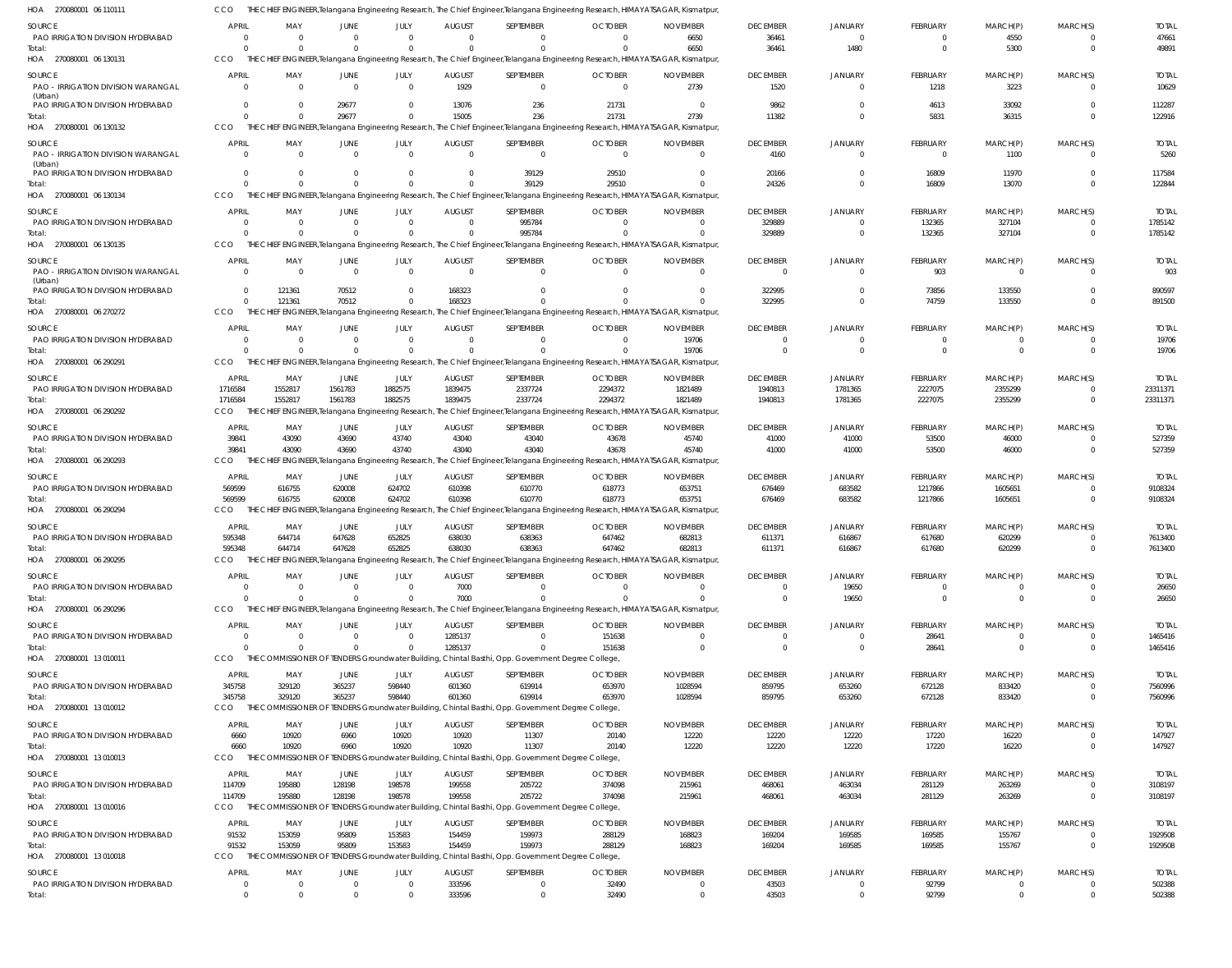| HOA 270080001 06 110111                             | <b>CCO</b>                       |                                                                |                      |                            |                           | THE CHIEF ENGINEER,Telangana Engineering Research, The Chief Engineer,Telangana Engineering Research, HIMAYATSAGAR, Kismatpur              |                            |                                  |                                  |                                  |                                   |                                  |                                  |                        |
|-----------------------------------------------------|----------------------------------|----------------------------------------------------------------|----------------------|----------------------------|---------------------------|--------------------------------------------------------------------------------------------------------------------------------------------|----------------------------|----------------------------------|----------------------------------|----------------------------------|-----------------------------------|----------------------------------|----------------------------------|------------------------|
| SOURCE                                              | APRIL                            | MAY                                                            | JUNE                 | JULY                       | <b>AUGUST</b>             | SEPTEMBER                                                                                                                                  | <b>OCTOBER</b>             | <b>NOVEMBER</b>                  | <b>DECEMBER</b>                  | <b>JANUARY</b>                   | <b>FEBRUARY</b>                   | MARCH(P)                         | MARCH(S)                         | <b>TOTAL</b>           |
| PAO IRRIGATION DIVISION HYDERABAD                   | $\Omega$                         | $\overline{0}$                                                 | $\Omega$             | $\Omega$                   | $\Omega$                  | 0                                                                                                                                          | $\Omega$                   | 6650                             | 36461                            | $\overline{0}$                   | $\overline{0}$                    | 4550                             | $\Omega$                         | 47661                  |
| Total:                                              | $\Omega$                         | $\Omega$                                                       | $\Omega$             | $\Omega$                   | $\Omega$                  | $\Omega$                                                                                                                                   | $\Omega$                   | 6650                             | 36461                            | 1480                             | $\overline{0}$                    | 5300                             | $\Omega$                         | 49891                  |
| HOA 270080001 06 130131                             | CCO                              |                                                                |                      |                            |                           | THE CHIEF ENGINEER, Telangana Engineering Research, The Chief Engineer, Telangana Engineering Research, HIMAYATSAGAR, Kismatpur,           |                            |                                  |                                  |                                  |                                   |                                  |                                  |                        |
| SOURCE<br><b>PAO - IRRIGATION DIVISION WARANGAL</b> | <b>APRIL</b><br>$\Omega$         | MAY<br>$\Omega$                                                | JUNE<br>$\Omega$     | JULY<br>$\Omega$           | <b>AUGUST</b><br>1929     | SEPTEMBER<br>$\mathbf 0$                                                                                                                   | <b>OCTOBER</b><br>$\Omega$ | <b>NOVEMBER</b><br>2739          | <b>DECEMBER</b><br>1520          | JANUARY<br>$\overline{0}$        | <b>FEBRUARY</b><br>1218           | MARCH(P)<br>3223                 | MARCH(S)<br>$\Omega$             | <b>TOTAL</b><br>10629  |
| (Urban)<br>PAO IRRIGATION DIVISION HYDERABAD        | $\Omega$                         | $\Omega$                                                       | 29677                | $\Omega$                   | 13076                     | 236                                                                                                                                        | 21731                      | $\Omega$                         | 9862                             | $\Omega$                         | 4613                              | 33092                            | $\Omega$                         | 112287                 |
| Total:                                              | $\Omega$                         | $\Omega$                                                       | 29677                | $\Omega$                   | 15005                     | 236                                                                                                                                        | 21731                      | 2739                             | 11382                            | $\Omega$                         | 5831                              | 36315                            | $\Omega$                         | 122916                 |
| HOA 270080001 06 130132                             | CCO                              |                                                                |                      |                            |                           | THE CHIEF ENGINEER, Telangana Engineering Research, The Chief Engineer, Telangana Engineering Research, HIMAYATSAGAR, Kismatpur            |                            |                                  |                                  |                                  |                                   |                                  |                                  |                        |
| SOURCE<br>PAO - IRRIGATION DIVISION WARANGAL        | <b>APRIL</b><br>$\Omega$         | MAY<br>- 0                                                     | JUNE<br>$\Omega$     | JULY<br>$\Omega$           | <b>AUGUST</b><br>$\Omega$ | SEPTEMBER<br>$\mathbf 0$                                                                                                                   | <b>OCTOBER</b><br>$\Omega$ | <b>NOVEMBER</b><br>$\Omega$      | <b>DECEMBER</b><br>4160          | <b>JANUARY</b><br>$\overline{0}$ | <b>FEBRUARY</b><br>$\overline{0}$ | MARCH(P)<br>1100                 | MARCH(S)<br>$\Omega$             | <b>TOTAL</b><br>5260   |
| (Urban)<br>PAO IRRIGATION DIVISION HYDERABAD        | $\Omega$                         | $\Omega$                                                       |                      | $\Omega$                   | $\Omega$                  | 39129                                                                                                                                      | 29510                      | $\Omega$                         | 20166                            | $\Omega$                         | 16809                             | 11970                            |                                  | 117584                 |
| Total:                                              | $\Omega$                         | $\cap$                                                         |                      |                            |                           | 39129                                                                                                                                      | 29510                      | $\Omega$                         | 24326                            | $\overline{0}$                   | 16809                             | 13070                            | $\Omega$                         | 122844                 |
| HOA 270080001 06 130134                             | CCO                              |                                                                |                      |                            |                           | THE CHIEF ENGINEER,Telangana Engineering Research, The Chief Engineer,Telangana Engineering Research, HIMAYATSAGAR, Kismatpur              |                            |                                  |                                  |                                  |                                   |                                  |                                  |                        |
| SOURCE                                              | <b>APRIL</b>                     | MAY                                                            | JUNE                 | JULY                       | <b>AUGUST</b>             | SEPTEMBER                                                                                                                                  | <b>OCTOBER</b>             | <b>NOVEMBER</b>                  | <b>DECEMBER</b>                  | JANUARY                          | FEBRUARY                          | MARCH(P)                         | MARCH(S)                         | <b>TOTAL</b>           |
| PAO IRRIGATION DIVISION HYDERABAD<br>Total:         | $\overline{0}$<br>$\Omega$       | $\overline{\mathbf{0}}$<br>$\Omega$                            | $\Omega$<br>$\Omega$ | $\Omega$<br>$\Omega$       | $\Omega$<br>$\Omega$      | 995784<br>995784                                                                                                                           | $\Omega$<br>$\Omega$       | $\Omega$<br>$\Omega$             | 329889<br>329889                 | $\Omega$<br>$\Omega$             | 132365<br>132365                  | 327104<br>327104                 | $\Omega$<br>$\overline{0}$       | 1785142<br>1785142     |
| HOA 270080001 06 130135                             | CCO                              |                                                                |                      |                            |                           | THE CHIEF ENGINEER, Telangana Engineering Research, The Chief Engineer, Telangana Engineering Research, HIMAYATSAGAR, Kismatpur            |                            |                                  |                                  |                                  |                                   |                                  |                                  |                        |
| SOURCE                                              | APRIL                            | MAY                                                            | JUNE                 | JULY                       | <b>AUGUST</b>             | SEPTEMBER                                                                                                                                  | <b>OCTOBER</b>             | <b>NOVEMBER</b>                  | <b>DECEMBER</b>                  | <b>JANUARY</b>                   | <b>FEBRUARY</b>                   | MARCH(P)                         | MARCH(S)                         | <b>TOTAL</b>           |
| PAO - IRRIGATION DIVISION WARANGAL<br>(Urban)       | $\Omega$                         | $\overline{0}$                                                 | $\Omega$             | $\Omega$                   | $\Omega$                  | $\mathbf 0$                                                                                                                                | $\Omega$                   | $\Omega$                         | $\overline{0}$                   | $\overline{0}$                   | 903                               | $\overline{0}$                   |                                  | 903                    |
| PAO IRRIGATION DIVISION HYDERABAD                   | $\Omega$                         | 121361                                                         | 70512                | $\Omega$                   | 168323                    | U                                                                                                                                          | $\Omega$                   | $\Omega$                         | 322995                           | $\Omega$                         | 73856                             | 133550                           |                                  | 890597                 |
| Total:<br>HOA 270080001 06 270272                   | $\Omega$<br>CCO                  | 121361                                                         | 70512                | $\Omega$                   | 168323                    | THE CHIEF ENGINEER, Telangana Engineering Research, The Chief Engineer, Telangana Engineering Research, HIMAYATSAGAR, Kismatpur            |                            |                                  | 322995                           | $\overline{0}$                   | 74759                             | 133550                           | $\Omega$                         | 891500                 |
|                                                     |                                  |                                                                |                      |                            |                           |                                                                                                                                            |                            |                                  |                                  |                                  |                                   |                                  |                                  |                        |
| SOURCE<br>PAO IRRIGATION DIVISION HYDERABAD         | APRIL<br>$\overline{0}$          | MAY<br>$\overline{\mathbf{0}}$                                 | JUNE<br>$\Omega$     | JULY<br>$\Omega$           | <b>AUGUST</b><br>$\Omega$ | SEPTEMBER<br>$\Omega$                                                                                                                      | <b>OCTOBER</b><br>$\Omega$ | <b>NOVEMBER</b><br>19706         | <b>DECEMBER</b><br>$\Omega$      | <b>JANUARY</b><br>$\Omega$       | <b>FEBRUARY</b><br>$\Omega$       | MARCH(P)<br>$\Omega$             | MARCH(S)<br>$\Omega$             | <b>TOTAL</b><br>19706  |
| Total:                                              | $\Omega$                         | $\Omega$                                                       | $\Omega$             | $\Omega$                   | $\Omega$                  |                                                                                                                                            | $\Omega$                   | 19706                            | $\Omega$                         | $\Omega$                         | $\overline{0}$                    | $\overline{0}$                   | $\Omega$                         | 19706                  |
| HOA 270080001 06 290291                             | CCO                              |                                                                |                      |                            |                           | THE CHIEF ENGINEER, Telangana Engineering Research, The Chief Engineer, Telangana Engineering Research, HIMAYATSAGAR, Kismatpur            |                            |                                  |                                  |                                  |                                   |                                  |                                  |                        |
| SOURCE                                              | APRIL                            | MAY                                                            | JUNE                 | JULY                       | <b>AUGUST</b>             | SEPTEMBER                                                                                                                                  | <b>OCTOBER</b>             | <b>NOVEMBER</b>                  | <b>DECEMBER</b>                  | <b>JANUARY</b>                   | FEBRUARY                          | MARCH(P)                         | MARCH(S)                         | <b>TOTAL</b>           |
| PAO IRRIGATION DIVISION HYDERABAD                   | 1716584                          | 1552817                                                        | 1561783              | 1882575                    | 1839475                   | 2337724                                                                                                                                    | 2294372                    | 1821489                          | 1940813                          | 1781365                          | 2227075                           | 2355299                          | $\Omega$                         | 23311371               |
| Total:<br>HOA 270080001 06 290292                   | 1716584<br>CCO                   | 1552817<br>THE CHIEF ENGINEER, Telangana Engineering Research, | 1561783              | 1882575                    | 1839475                   | 2337724<br>The Chief Engineer, Telangana Engineering Research, HIMAYATSAGAR, Kismatpur,                                                    | 2294372                    | 1821489                          | 1940813                          | 1781365                          | 2227075                           | 2355299                          | $\Omega$                         | 23311371               |
|                                                     | APRIL                            |                                                                |                      |                            |                           |                                                                                                                                            |                            |                                  |                                  |                                  |                                   |                                  |                                  |                        |
| <b>SOURCE</b><br>PAO IRRIGATION DIVISION HYDERABAD  | 39841                            | MAY<br>43090                                                   | JUNE<br>43690        | JULY<br>43740              | <b>AUGUST</b><br>43040    | SEPTEMBER<br>43040                                                                                                                         | <b>OCTOBER</b><br>43678    | <b>NOVEMBER</b><br>45740         | <b>DECEMBER</b><br>41000         | <b>JANUARY</b><br>41000          | <b>FEBRUARY</b><br>53500          | MARCH(P)<br>46000                | MARCH(S)<br>$\Omega$             | <b>TOTAL</b><br>527359 |
| Total:                                              | 39841                            | 43090                                                          | 43690                | 43740                      | 43040                     | 43040                                                                                                                                      | 43678                      | 45740                            | 41000                            | 41000                            | 53500                             | 46000                            | $\Omega$                         | 527359                 |
| HOA 270080001 06 290293                             | CCO                              | THE CHI                                                        |                      |                            |                           | ENGINEER, Telangana Engineering Research, The Chief Engineer, Telangana Engineering Research, HIMAYATSAGAR, Kismatpur                      |                            |                                  |                                  |                                  |                                   |                                  |                                  |                        |
| SOURCE                                              | APRIL                            | MAY                                                            | JUNE                 | JULY                       | <b>AUGUST</b>             | SEPTEMBER                                                                                                                                  | <b>OCTOBER</b>             | <b>NOVEMBER</b>                  | <b>DECEMBER</b>                  | <b>JANUARY</b>                   | FEBRUARY                          | MARCH(P)                         | MARCH(S)                         | <b>TOTAL</b>           |
| PAO IRRIGATION DIVISION HYDERABAD                   | 569599                           | 616755                                                         | 620008               | 624702                     | 610398                    | 610770                                                                                                                                     | 618773                     | 653751                           | 676469                           | 683582                           | 1217866                           | 1605651                          | $\overline{0}$<br>$\Omega$       | 9108324                |
| Total:<br>HOA 270080001 06 290294                   | 569599<br>CCO                    | 616755                                                         | 620008               | 624702                     | 610398                    | 610770<br>THE CHIEF ENGINEER, Telangana Engineering Research, The Chief Engineer, Telangana Engineering Research, HIMAYATSAGAR, Kismatpur, | 618773                     | 653751                           | 676469                           | 683582                           | 1217866                           | 1605651                          |                                  | 9108324                |
| SOURCE                                              | APRIL                            | MAY                                                            | JUNE                 | JULY                       | <b>AUGUST</b>             | SEPTEMBER                                                                                                                                  | <b>OCTOBER</b>             | <b>NOVEMBER</b>                  | <b>DECEMBER</b>                  | <b>JANUARY</b>                   | FEBRUARY                          | MARCH(P)                         | MARCH(S)                         | <b>TOTAL</b>           |
| PAO IRRIGATION DIVISION HYDERABAD                   | 595348                           | 644714                                                         | 647628               | 652825                     | 638030                    | 638363                                                                                                                                     | 647462                     | 682813                           | 611371                           | 616867                           | 617680                            | 620299                           | $\Omega$                         | 7613400                |
| Total:                                              | 595348                           | 644714                                                         | 647628               | 652825                     | 638030                    | 638363                                                                                                                                     | 647462                     | 682813                           | 611371                           | 616867                           | 617680                            | 620299                           | $\Omega$                         | 7613400                |
| HOA 270080001 06 290295                             | CCO                              |                                                                |                      |                            |                           | THE CHIEF ENGINEER, Telangana Engineering Research, The Chief Engineer, Telangana Engineering Research, HIMAYATSAGAR, Kismatpur,           |                            |                                  |                                  |                                  |                                   |                                  |                                  |                        |
| SOURCE                                              | APRIL                            | MAY                                                            | JUNE                 | JULY                       | <b>AUGUST</b>             | SEPTEMBER                                                                                                                                  | <b>OCTOBER</b>             | <b>NOVEMBER</b>                  | <b>DECEMBER</b>                  | <b>JANUARY</b>                   | <b>FEBRUARY</b>                   | MARCH(P)                         | MARCH(S)                         | <b>TOTAL</b>           |
| PAO IRRIGATION DIVISION HYDERABAD<br>Total:         | $\overline{0}$<br>$\Omega$       | $\overline{0}$<br>$\overline{0}$                               | $\Omega$<br>$\Omega$ | $\Omega$<br>$\Omega$       | 7000<br>7000              | 0<br>$\Omega$                                                                                                                              | $\Omega$<br>$\Omega$       | $\Omega$<br>$\Omega$             | $\overline{0}$<br>$\overline{0}$ | 19650<br>19650                   | $\overline{0}$<br>$\overline{0}$  | - 0<br>$\overline{0}$            | $\Omega$<br>$\Omega$             | 26650<br>26650         |
| HOA 270080001 06 290296                             | CCO                              |                                                                |                      |                            |                           | THE CHIEF ENGINEER, Telangana Engineering Research, The Chief Engineer, Telangana Engineering Research, HIMAYATSAGAR, Kismatpur,           |                            |                                  |                                  |                                  |                                   |                                  |                                  |                        |
| SOURCE                                              | <b>APRIL</b>                     | MAY                                                            | JUNE                 | JULY                       | <b>AUGUST</b>             | SEPTEMBER                                                                                                                                  | <b>OCTOBER</b>             | <b>NOVEMBER</b>                  | <b>DECEMBER</b>                  | <b>JANUARY</b>                   | <b>FEBRUARY</b>                   | MARCH(P)                         | MARCH(S)                         | <b>TOTAL</b>           |
| PAO IRRIGATION DIVISION HYDERABAD                   | $\Omega$                         | $\Omega$                                                       | $\Omega$             | $\Omega$                   | 1285137                   | 0                                                                                                                                          | 151638                     | $\overline{0}$                   | $\overline{0}$                   | $\overline{0}$                   | 28641                             | $\overline{0}$                   | $\overline{0}$                   | 1465416                |
| Total:                                              | $\Omega$                         | $\Omega$                                                       | $\Omega$             |                            | 1285137                   | $\Omega$                                                                                                                                   | 151638                     | $\overline{0}$                   | $\overline{0}$                   | $\overline{0}$                   | 28641                             | $\overline{0}$                   | $\overline{0}$                   | 1465416                |
| HOA 270080001 13 010011                             | CCO                              |                                                                |                      |                            |                           | THE COMMISSIONER OF TENDERS Groundwater Building, Chintal Basthi, Opp. Government Degree College,                                          |                            |                                  |                                  |                                  |                                   |                                  |                                  |                        |
| SOURCE                                              | APRIL                            | MAY                                                            | JUNE                 | JULY                       | <b>AUGUST</b>             | SEPTEMBER                                                                                                                                  | <b>OCTOBER</b>             | <b>NOVEMBER</b>                  | <b>DECEMBER</b>                  | <b>JANUARY</b>                   | <b>FEBRUARY</b>                   | MARCH(P)                         | MARCH(S)                         | <b>TOTAL</b>           |
| PAO IRRIGATION DIVISION HYDERABAD<br>Total:         | 345758<br>345758                 | 329120<br>329120                                               | 365237<br>365237     | 598440<br>598440           | 601360<br>601360          | 619914<br>619914                                                                                                                           | 653970<br>653970           | 1028594<br>1028594               | 859795<br>859795                 | 653260<br>653260                 | 672128<br>672128                  | 833420<br>833420                 | $\overline{0}$<br>$\overline{0}$ | 7560996<br>7560996     |
| HOA 270080001 13 010012                             | CCO                              |                                                                |                      |                            |                           | THE COMMISSIONER OF TENDERS Groundwater Building, Chintal Basthi, Opp. Government Degree College,                                          |                            |                                  |                                  |                                  |                                   |                                  |                                  |                        |
| SOURCE                                              | <b>APRIL</b>                     | MAY                                                            | JUNE                 | JULY                       | <b>AUGUST</b>             | SEPTEMBER                                                                                                                                  | <b>OCTOBER</b>             | <b>NOVEMBER</b>                  | <b>DECEMBER</b>                  | <b>JANUARY</b>                   | <b>FEBRUARY</b>                   | MARCH(P)                         | MARCH(S)                         | <b>TOTAL</b>           |
| PAO IRRIGATION DIVISION HYDERABAD                   | 6660                             | 10920                                                          | 6960                 | 10920                      | 10920                     | 11307                                                                                                                                      | 20140                      | 12220                            | 12220                            | 12220                            | 17220                             | 16220                            | $\Omega$                         | 147927                 |
| Total:                                              | 6660                             | 10920                                                          | 6960                 | 10920                      | 10920                     | 11307                                                                                                                                      | 20140                      | 12220                            | 12220                            | 12220                            | 17220                             | 16220                            | $\overline{0}$                   | 147927                 |
| HOA 270080001 13 010013                             | CCO                              |                                                                |                      |                            |                           | THE COMMISSIONER OF TENDERS Groundwater Building, Chintal Basthi, Opp. Government Degree College,                                          |                            |                                  |                                  |                                  |                                   |                                  |                                  |                        |
| <b>SOURCE</b>                                       | APRIL                            | MAY                                                            | JUNE                 | JULY                       | <b>AUGUST</b>             | SEPTEMBER                                                                                                                                  | <b>OCTOBER</b>             | <b>NOVEMBER</b>                  | <b>DECEMBER</b>                  | <b>JANUARY</b>                   | <b>FEBRUARY</b>                   | MARCH(P)                         | MARCH(S)                         | <b>TOTAL</b>           |
| PAO IRRIGATION DIVISION HYDERABAD<br>Total:         | 114709<br>114709                 | 195880<br>195880                                               | 128198<br>128198     | 198578<br>198578           | 199558<br>199558          | 205722<br>205722                                                                                                                           | 374098<br>374098           | 215961<br>215961                 | 468061<br>468061                 | 463034<br>463034                 | 281129<br>281129                  | 263269<br>263269                 | $\Omega$<br>$\overline{0}$       | 3108197<br>3108197     |
| HOA 270080001 13 010016                             | CCO                              |                                                                |                      |                            |                           | THE COMMISSIONER OF TENDERS Groundwater Building, Chintal Basthi, Opp. Government Degree College,                                          |                            |                                  |                                  |                                  |                                   |                                  |                                  |                        |
| SOURCE                                              | APRIL                            | MAY                                                            | JUNE                 | JULY                       | <b>AUGUST</b>             | SEPTEMBER                                                                                                                                  | <b>OCTOBER</b>             | <b>NOVEMBER</b>                  | <b>DECEMBER</b>                  | <b>JANUARY</b>                   | <b>FEBRUARY</b>                   | MARCH(P)                         | MARCH(S)                         | <b>TOTAL</b>           |
| PAO IRRIGATION DIVISION HYDERABAD                   | 91532                            | 153059                                                         | 95809                | 153583                     | 154459                    | 159973                                                                                                                                     | 288129                     | 168823                           | 169204                           | 169585                           | 169585                            | 155767                           | $\overline{0}$                   | 1929508                |
| Total:                                              | 91532                            | 153059                                                         | 95809                | 153583                     | 154459                    | 159973                                                                                                                                     | 288129                     | 168823                           | 169204                           | 169585                           | 169585                            | 155767                           | $\Omega$                         | 1929508                |
| HOA 270080001 13 010018                             | CCO                              |                                                                |                      |                            |                           | THE COMMISSIONER OF TENDERS Groundwater Building, Chintal Basthi, Opp. Government Degree College,                                          |                            |                                  |                                  |                                  |                                   |                                  |                                  |                        |
| SOURCE                                              | <b>APRIL</b>                     | MAY                                                            | JUNE                 | JULY                       | <b>AUGUST</b>             | SEPTEMBER                                                                                                                                  | <b>OCTOBER</b>             | <b>NOVEMBER</b>                  | <b>DECEMBER</b>                  | <b>JANUARY</b>                   | <b>FEBRUARY</b>                   | MARCH(P)                         | MARCH(S)                         | <b>TOTAL</b>           |
| PAO IRRIGATION DIVISION HYDERABAD<br>Total:         | $\overline{0}$<br>$\overline{0}$ | $\overline{0}$<br>$\Omega$                                     | $\mathbf{0}$         | $\overline{0}$<br>$\Omega$ | 333596<br>333596          | $\mathbf 0$<br>$\Omega$                                                                                                                    | 32490<br>32490             | $\overline{0}$<br>$\overline{0}$ | 43503<br>43503                   | $\overline{0}$<br>$\overline{0}$ | 92799<br>92799                    | $\overline{0}$<br>$\overline{0}$ | $\mathbf 0$<br>$\Omega$          | 502388<br>502388       |
|                                                     |                                  |                                                                |                      |                            |                           |                                                                                                                                            |                            |                                  |                                  |                                  |                                   |                                  |                                  |                        |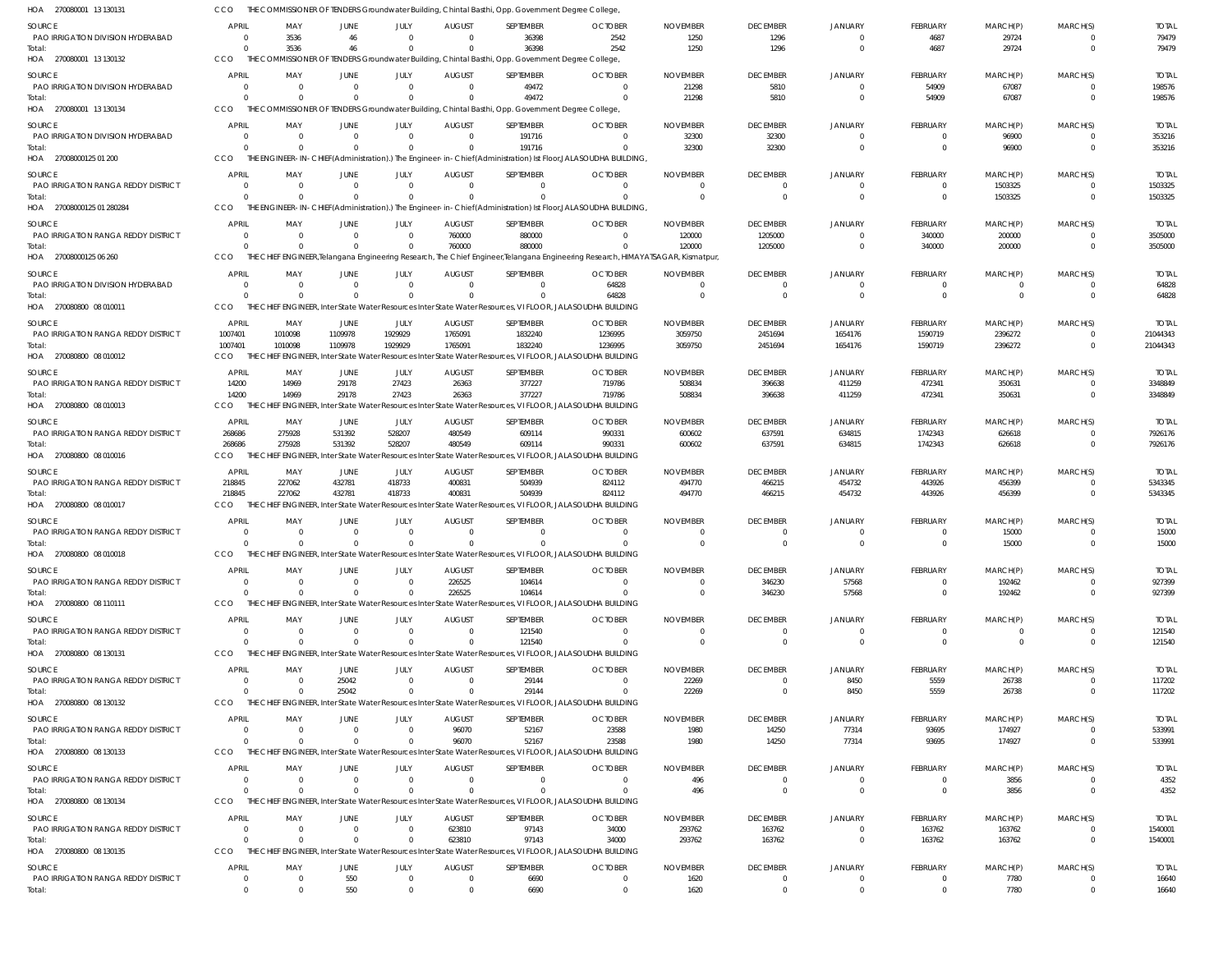| HOA 270080001 13130131                               |                                |                               |                        |                          |                           | THE COMMISSIONER OF TENDERS Groundwater Building, Chintal Basthi, Opp. Government Degree College,                      |                                                                                                                                  |                            |                                           |                                           |                             |                     |                                  |                          |
|------------------------------------------------------|--------------------------------|-------------------------------|------------------------|--------------------------|---------------------------|------------------------------------------------------------------------------------------------------------------------|----------------------------------------------------------------------------------------------------------------------------------|----------------------------|-------------------------------------------|-------------------------------------------|-----------------------------|---------------------|----------------------------------|--------------------------|
| <b>SOURCE</b>                                        | <b>APRIL</b>                   | MAY                           | JUNE                   | JULY                     | <b>AUGUST</b>             | SEPTEMBER                                                                                                              | <b>OCTOBER</b>                                                                                                                   | <b>NOVEMBER</b>            | <b>DECEMBER</b>                           | <b>JANUARY</b>                            | <b>FEBRUARY</b>             | MARCH(P)            | MARCH(S)                         | <b>TOTAL</b>             |
| PAO IRRIGATION DIVISION HYDERABAD                    | $\Omega$                       | 3536                          | 46                     | $\Omega$                 | $\Omega$                  | 36398                                                                                                                  | 2542                                                                                                                             | 1250                       | 1296                                      | $\overline{0}$                            | 4687                        | 29724               | $\overline{0}$                   | 79479                    |
| Total:<br>HOA 270080001 13 130132                    | $\Omega$<br>CCO                | 3536                          | 46                     | $\Omega$                 | $\Omega$                  | 36398<br>THE COMMISSIONER OF TENDERS Groundwater Building, Chintal Basthi, Opp. Government Degree College,             | 2542                                                                                                                             | 1250                       | 1296                                      | $\overline{0}$                            | 4687                        | 29724               | $\overline{0}$                   | 79479                    |
|                                                      |                                |                               |                        |                          |                           |                                                                                                                        |                                                                                                                                  |                            |                                           |                                           |                             |                     |                                  |                          |
| <b>SOURCE</b><br>PAO IRRIGATION DIVISION HYDERABAD   | <b>APRIL</b><br>$\overline{0}$ | MAY<br>$\Omega$               | JUNE<br>$\Omega$       | JULY<br>$\mathbf{0}$     | <b>AUGUST</b><br>$\Omega$ | SEPTEMBER<br>49472                                                                                                     | <b>OCTOBER</b><br>$\Omega$                                                                                                       | <b>NOVEMBER</b><br>21298   | <b>DECEMBER</b><br>5810                   | <b>JANUARY</b><br>$\overline{0}$          | <b>FEBRUARY</b><br>54909    | MARCH(P)<br>67087   | MARCH(S)<br>$\overline{0}$       | <b>TOTAL</b><br>198576   |
| Total:                                               | $\Omega$                       | $\Omega$                      |                        | $\Omega$                 |                           | 49472                                                                                                                  |                                                                                                                                  | 21298                      | 5810                                      | $\overline{0}$                            | 54909                       | 67087               | $\overline{0}$                   | 198576                   |
| HOA 270080001 13 130134                              | CCO                            |                               |                        |                          |                           | THE COMMISSIONER OF TENDERS Groundwater Building, Chintal Basthi, Opp. Government Degree College,                      |                                                                                                                                  |                            |                                           |                                           |                             |                     |                                  |                          |
| SOURCE                                               | <b>APRIL</b>                   | MAY                           | JUNE                   | JULY                     | <b>AUGUST</b>             | SEPTEMBER                                                                                                              | <b>OCTOBER</b>                                                                                                                   | <b>NOVEMBER</b>            | <b>DECEMBER</b>                           | <b>JANUARY</b>                            | <b>FEBRUARY</b>             | MARCH(P)            | MARCH(S)                         | <b>TOTAL</b>             |
| PAO IRRIGATION DIVISION HYDERABAD                    | $\overline{0}$                 | $\overline{0}$                | $\Omega$               | $\mathbf 0$              | $\Omega$                  | 191716                                                                                                                 | $\Omega$                                                                                                                         | 32300                      | 32300                                     | $\overline{0}$                            | $\Omega$                    | 96900               | $\Omega$                         | 353216                   |
| Total:                                               | $\Omega$                       | $\Omega$                      | $\Omega$               | $\Omega$                 | $\Omega$                  | 191716                                                                                                                 | $\Omega$                                                                                                                         | 32300                      | 32300                                     | $\overline{0}$                            | $\Omega$                    | 96900               | $\overline{0}$                   | 353216                   |
| HOA 27008000125 01 200                               | CCO                            |                               |                        |                          |                           |                                                                                                                        | THE ENGINEER-IN-CHIEF(Administration).) The Engineer-in-Chief(Administration) Ist Floor,JALASOUDHA BUILDING,                     |                            |                                           |                                           |                             |                     |                                  |                          |
| SOURCE                                               | <b>APRIL</b>                   | MAY                           | JUNE                   | JULY                     | <b>AUGUST</b>             | SEPTEMBER                                                                                                              | <b>OCTOBER</b>                                                                                                                   | <b>NOVEMBER</b>            | <b>DECEMBER</b>                           | <b>JANUARY</b>                            | <b>FEBRUARY</b>             | MARCH(P)            | MARCH(S)                         | <b>TOTAL</b>             |
| <b>PAO IRRIGATION RANGA REDDY DISTRICT</b>           | $\Omega$<br>$\Omega$           | $\overline{0}$<br>$\Omega$    | $\Omega$<br>$\Omega$   | $\mathbf{0}$<br>$\Omega$ | $\Omega$                  | $\overline{0}$<br>$\Omega$                                                                                             | $\Omega$                                                                                                                         |                            | $\overline{0}$<br>$\overline{0}$          | $\overline{0}$<br>$\overline{0}$          | $\Omega$<br>$\Omega$        | 1503325<br>1503325  | $\overline{0}$<br>$\overline{0}$ | 1503325<br>1503325       |
| Total:<br>HOA 27008000125 01 280284                  | CCO                            |                               |                        |                          |                           |                                                                                                                        | THE ENGINEER-IN-CHIEF(Administration).) The Engineer-in-Chief(Administration) Ist Floor,JALASOUDHA BUILDING,                     |                            |                                           |                                           |                             |                     |                                  |                          |
| <b>SOURCE</b>                                        | <b>APRIL</b>                   | MAY                           | JUNE                   |                          |                           | SEPTEMBER                                                                                                              | <b>OCTOBER</b>                                                                                                                   | <b>NOVEMBER</b>            |                                           |                                           |                             |                     |                                  | <b>TOTAL</b>             |
| PAO IRRIGATION RANGA REDDY DISTRICT                  | $\Omega$                       | $\Omega$                      | $\Omega$               | JULY<br>$\mathbf{0}$     | <b>AUGUST</b><br>760000   | 880000                                                                                                                 | $\Omega$                                                                                                                         | 120000                     | <b>DECEMBER</b><br>1205000                | <b>JANUARY</b><br>$\overline{0}$          | FEBRUARY<br>340000          | MARCH(P)<br>200000  | MARCH(S)<br>$\overline{0}$       | 3505000                  |
| Total:                                               | $\Omega$                       | $\Omega$                      | $\Omega$               | $\Omega$                 | 760000                    | 880000                                                                                                                 |                                                                                                                                  | 120000                     | 1205000                                   | $\overline{0}$                            | 340000                      | 200000              | $\overline{0}$                   | 3505000                  |
| HOA 27008000125 06 260                               | CCO                            |                               |                        |                          |                           |                                                                                                                        | THE CHIEF ENGINEER, Telangana Engineering Research, The Chief Engineer, Telangana Engineering Research, HIMAYATSAGAR, Kismatpur, |                            |                                           |                                           |                             |                     |                                  |                          |
| <b>SOURCE</b>                                        | <b>APRIL</b>                   | MAY                           | JUNE                   | JULY                     | <b>AUGUST</b>             | SEPTEMBER                                                                                                              | <b>OCTOBER</b>                                                                                                                   | <b>NOVEMBER</b>            | <b>DECEMBER</b>                           | <b>JANUARY</b>                            | <b>FEBRUARY</b>             | MARCH(P)            | MARCH(S)                         | <b>TOTAL</b>             |
| PAO IRRIGATION DIVISION HYDERABAD                    | $\overline{0}$                 | $\overline{0}$                | $\Omega$               | $\Omega$                 | $\Omega$                  | $\overline{0}$                                                                                                         | 64828                                                                                                                            | $\Omega$                   | $\overline{0}$                            | $\overline{0}$                            | $\Omega$                    | $\Omega$            | $\overline{0}$                   | 64828                    |
| Total:                                               | $\Omega$<br>CCO                | $\Omega$                      | $\Omega$               | $\Omega$                 |                           | $\Omega$<br>THE CHIEF ENGINEER, Inter State Water Resources Inter State Water Resources, VI FLOOR, JALASOUDHA BUILDING | 64828                                                                                                                            |                            | $\overline{0}$                            | $\overline{0}$                            | $\Omega$                    | $\Omega$            | $\Omega$                         | 64828                    |
| HOA 270080800 08 010011                              |                                |                               |                        |                          |                           |                                                                                                                        |                                                                                                                                  |                            |                                           |                                           |                             |                     |                                  |                          |
| SOURCE<br>PAO IRRIGATION RANGA REDDY DISTRICT        | <b>APRIL</b><br>1007401        | MAY<br>1010098                | <b>JUNE</b><br>1109978 | JULY<br>1929929          | <b>AUGUST</b><br>1765091  | SEPTEMBER<br>1832240                                                                                                   | <b>OCTOBER</b><br>1236995                                                                                                        | <b>NOVEMBER</b><br>3059750 | <b>DECEMBER</b><br>2451694                | <b>JANUARY</b><br>1654176                 | <b>FEBRUARY</b><br>1590719  | MARCH(P)<br>2396272 | MARCH(S)<br>$\Omega$             | <b>TOTAL</b><br>21044343 |
| Total:                                               | 1007401                        | 1010098                       | 1109978                | 1929929                  | 1765091                   | 1832240                                                                                                                | 1236995                                                                                                                          | 3059750                    | 2451694                                   | 1654176                                   | 1590719                     | 2396272             | $\overline{0}$                   | 21044343                 |
| HOA 270080800 08 010012                              | CCO                            |                               |                        |                          |                           | THE CHIEF ENGINEER, Inter State Water Resources Inter State Water Resources, VI FLOOR, JALASOUDHA BUILDING             |                                                                                                                                  |                            |                                           |                                           |                             |                     |                                  |                          |
| <b>SOURCE</b>                                        | <b>APRIL</b>                   | MAY                           | JUNE                   | JULY                     | <b>AUGUST</b>             | SEPTEMBER                                                                                                              | <b>OCTOBER</b>                                                                                                                   | <b>NOVEMBER</b>            | <b>DECEMBER</b>                           | <b>JANUARY</b>                            | <b>FEBRUARY</b>             | MARCH(P)            | MARCH(S)                         | <b>TOTAL</b>             |
| PAO IRRIGATION RANGA REDDY DISTRICT                  | 14200                          | 14969                         | 29178                  | 27423                    | 26363                     | 377227                                                                                                                 | 719786                                                                                                                           | 508834                     | 396638                                    | 411259                                    | 472341                      | 350631              | $\overline{0}$                   | 3348849                  |
| Total:                                               | 14200                          | 14969                         | 29178                  | 27423                    | 26363                     | 377227                                                                                                                 | 719786                                                                                                                           | 508834                     | 396638                                    | 411259                                    | 472341                      | 350631              | $\overline{0}$                   | 3348849                  |
| HOA 270080800 08 010013                              | CCO                            | <b>ENGINEER,</b><br>THE CHIEF |                        |                          |                           | Inter State Water Resources Inter State Water Resources, VI FLOOR, JALASOUDHA BUILDING                                 |                                                                                                                                  |                            |                                           |                                           |                             |                     |                                  |                          |
| <b>SOURCE</b>                                        | <b>APRIL</b>                   | MAY                           | <b>JUNE</b>            | JULY                     | <b>AUGUST</b>             | SEPTEMBER                                                                                                              | <b>OCTOBER</b>                                                                                                                   | <b>NOVEMBER</b>            | <b>DECEMBER</b>                           | <b>JANUARY</b>                            | <b>FEBRUARY</b>             | MARCH(P)            | MARCH(S)                         | <b>TOTAL</b>             |
| PAO IRRIGATION RANGA REDDY DISTRICT<br>Total:        | 268686<br>268686               | 275928<br>275928              | 531392<br>531392       | 528207<br>528207         | 480549<br>480549          | 609114<br>609114                                                                                                       | 990331<br>990331                                                                                                                 | 600602<br>600602           | 637591<br>637591                          | 634815<br>634815                          | 1742343<br>1742343          | 626618              | $\overline{0}$<br>$\overline{0}$ | 7926176<br>7926176       |
| HOA 270080800 08 010016                              | CCO                            |                               |                        |                          |                           | THE CHIEF ENGINEER, Inter State Water Resources Inter State Water Resources, VI FLOOR, JALASOUDHA BUILDING             |                                                                                                                                  |                            |                                           |                                           |                             | 626618              |                                  |                          |
|                                                      |                                |                               |                        |                          |                           |                                                                                                                        |                                                                                                                                  |                            |                                           |                                           |                             |                     |                                  |                          |
| <b>SOURCE</b><br>PAO IRRIGATION RANGA REDDY DISTRICT | <b>APRIL</b><br>218845         | MAY<br>227062                 | JUNE<br>432781         | JULY<br>418733           | <b>AUGUST</b><br>400831   | SEPTEMBER<br>504939                                                                                                    | <b>OCTOBER</b><br>824112                                                                                                         | <b>NOVEMBER</b><br>494770  | <b>DECEMBER</b><br>466215                 | <b>JANUARY</b><br>454732                  | <b>FEBRUARY</b><br>443926   | MARCH(P)<br>456399  | MARCH(S)<br>$\overline{0}$       | <b>TOTAL</b><br>5343345  |
| Total:                                               | 218845                         | 227062                        | 432781                 | 418733                   | 400831                    | 504939                                                                                                                 | 824112                                                                                                                           | 494770                     | 466215                                    | 454732                                    | 443926                      | 456399              | $\overline{0}$                   | 5343345                  |
| HOA 270080800 08 010017                              | CCO                            | THE CHIFI                     |                        |                          |                           | ENGINEER, Inter State Water Resources Inter State Water Resources, VI FLOOR, JALASOUDHA BUILDING                       |                                                                                                                                  |                            |                                           |                                           |                             |                     |                                  |                          |
| SOURCE                                               | <b>APRIL</b>                   | MAY                           | JUNE                   | JULY                     | <b>AUGUST</b>             | SEPTEMBER                                                                                                              | <b>OCTOBER</b>                                                                                                                   | <b>NOVEMBER</b>            | <b>DECEMBER</b>                           | <b>JANUARY</b>                            | <b>FEBRUARY</b>             | MARCH(P)            | MARCH(S)                         | <b>TOTAL</b>             |
| <b>PAO IRRIGATION RANGA REDDY DISTRICT</b>           | $\Omega$                       | $\Omega$                      | $\Omega$               | $\Omega$                 | $\Omega$                  | $\Omega$                                                                                                               | $\Omega$                                                                                                                         |                            | $\overline{0}$                            | $\Omega$                                  | $\Omega$                    | 15000               | $\Omega$                         | 15000                    |
| Total:<br>HOA 270080800 08 010018                    | $\Omega$<br>CCO                | $\Omega$                      | $\Omega$               | $\Omega$                 |                           | $\Omega$<br>THE CHIEF ENGINEER, Inter State Water Resources Inter State Water Resources, VI FLOOR, JALASOUDHA BUILDING |                                                                                                                                  | $\Omega$                   | $\Omega$                                  | $\Omega$                                  | $\Omega$                    | 15000               | $\Omega$                         | 15000                    |
|                                                      |                                |                               |                        |                          |                           |                                                                                                                        |                                                                                                                                  |                            |                                           |                                           |                             |                     |                                  |                          |
| <b>SOURCE</b>                                        | <b>APRIL</b><br>$\overline{0}$ | MAY<br>$\overline{0}$         | JUNE<br>- 0            | JULY<br>$\mathbf{0}$     | <b>AUGUST</b><br>226525   | SEPTEMBER                                                                                                              | <b>OCTOBER</b>                                                                                                                   | <b>NOVEMBER</b>            | <b>DECEMBER</b><br>346230                 | <b>JANUARY</b><br>57568                   | <b>FEBRUARY</b><br>$\Omega$ | MARCH(P)<br>192462  | MARCH(S)<br>$\circ$              | <b>TOTAL</b><br>927399   |
| PAO IRRIGATION RANGA REDDY DISTRICT<br>Total:        | $\Omega$                       | $\Omega$                      | $\Omega$               | 0                        | 226525                    | 104614<br>104614                                                                                                       | $\Omega$                                                                                                                         |                            | 346230                                    | 57568                                     | $\overline{0}$              | 192462              | $\overline{0}$                   | 927399                   |
| HOA 270080800 08 110111                              | CCO                            |                               |                        |                          |                           | THE CHIEF ENGINEER, Inter State Water Resources Inter State Water Resources, VI FLOOR, JALASOUDHA BUILDING             |                                                                                                                                  |                            |                                           |                                           |                             |                     |                                  |                          |
| SOURCE                                               | <b>APRIL</b>                   | MAY                           | JUNE                   | JULY                     | <b>AUGUST</b>             | SEPTEMBER                                                                                                              | <b>OCTOBER</b>                                                                                                                   | <b>NOVEMBER</b>            | <b>DECEMBER</b>                           | <b>JANUARY</b>                            | <b>FEBRUARY</b>             | MARCH(P)            | MARCH(S)                         | <b>TOTAL</b>             |
| <b>PAO IRRIGATION RANGA REDDY DISTRICT</b>           | $\Omega$                       | $\overline{0}$                | $\Omega$               | $\Omega$                 | $\Omega$                  | 121540                                                                                                                 | $\Omega$                                                                                                                         | - റ                        | $\overline{0}$                            | $\overline{0}$                            | $\Omega$                    | $\Omega$            | $\overline{0}$                   | 121540                   |
| Total:                                               | $\Omega$                       | $\Omega$                      | $\Omega$               | $\Omega$                 | $\Omega$                  | 121540                                                                                                                 | $\Omega$                                                                                                                         | $\Omega$                   | $\overline{0}$                            | $\overline{0}$                            | $\Omega$                    | $\Omega$            | $\overline{0}$                   | 121540                   |
| HOA 270080800 08 130131                              | CCO                            |                               |                        |                          |                           | THE CHIEF ENGINEER, Inter State Water Resources Inter State Water Resources, VI FLOOR, JALASOUDHA BUILDING             |                                                                                                                                  |                            |                                           |                                           |                             |                     |                                  |                          |
| <b>SOURCE</b>                                        | <b>APRIL</b>                   | MAY                           | JUNE                   | JULY                     | <b>AUGUST</b>             | SEPTEMBER                                                                                                              | <b>OCTOBER</b>                                                                                                                   | <b>NOVEMBER</b>            | <b>DECEMBER</b>                           | <b>JANUARY</b>                            | FEBRUARY                    | MARCH(P)            | MARCH(S)                         | <b>TOTAL</b>             |
| <b>PAO IRRIGATION RANGA REDDY DISTRICT</b><br>Total: | $\overline{0}$<br>$\Omega$     | - 0<br>$\Omega$               | 25042<br>25042         | $\mathbf 0$<br>$\Omega$  | $\Omega$                  | 29144<br>29144                                                                                                         | $\Omega$                                                                                                                         | 22269<br>22269             | $\overline{\mathbf{0}}$<br>$\overline{0}$ | 8450<br>8450                              | 5559<br>5559                | 26738<br>26738      | $\overline{0}$<br>$\overline{0}$ | 117202<br>117202         |
| HOA 270080800 08 130132                              | CCO                            |                               |                        |                          |                           | THE CHIEF ENGINEER, Inter State Water Resources Inter State Water Resources, VI FLOOR, JALASOUDHA BUILDING             |                                                                                                                                  |                            |                                           |                                           |                             |                     |                                  |                          |
| SOURCE                                               | <b>APRIL</b>                   | MAY                           | JUNE                   | JULY                     | <b>AUGUST</b>             | SEPTEMBER                                                                                                              | <b>OCTOBER</b>                                                                                                                   | <b>NOVEMBER</b>            | <b>DECEMBER</b>                           | <b>JANUARY</b>                            | FEBRUARY                    | MARCH(P)            | MARCH(S)                         | <b>TOTAL</b>             |
| <b>PAO IRRIGATION RANGA REDDY DISTRICT</b>           | $\overline{0}$                 | $\overline{0}$                | $\Omega$               | $\mathbf 0$              | 96070                     | 52167                                                                                                                  | 23588                                                                                                                            | 1980                       | 14250                                     | 77314                                     | 93695                       | 174927              | $\Omega$                         | 533991                   |
| Total:                                               | $\overline{0}$                 | $\Omega$                      | $\Omega$               | $\Omega$                 | 96070                     | 52167                                                                                                                  | 23588                                                                                                                            | 1980                       | 14250                                     | 77314                                     | 93695                       | 174927              | $\overline{\mathbf{0}}$          | 533991                   |
| HOA 270080800 08 130133                              | CCO                            |                               |                        |                          |                           | THE CHIEF ENGINEER, Inter State Water Resources Inter State Water Resources, VI FLOOR, JALASOUDHA BUILDING             |                                                                                                                                  |                            |                                           |                                           |                             |                     |                                  |                          |
| SOURCE                                               | <b>APRIL</b>                   | MAY                           | JUNE                   | JULY                     | <b>AUGUST</b>             | SEPTEMBER                                                                                                              | <b>OCTOBER</b>                                                                                                                   | <b>NOVEMBER</b>            | <b>DECEMBER</b>                           | <b>JANUARY</b>                            | <b>FEBRUARY</b>             | MARCH(P)            | MARCH(S)                         | <b>TOTAL</b>             |
| <b>PAO IRRIGATION RANGA REDDY DISTRICT</b>           | $\overline{0}$                 | - 0                           | - 0                    | $\mathbf 0$              | $\Omega$                  | $\mathbf 0$                                                                                                            |                                                                                                                                  | 496                        | $\overline{0}$                            | $\overline{0}$                            | $\Omega$                    | 3856                | $\circ$                          | 4352                     |
| Total:<br>HOA 270080800 08 130134                    | $\Omega$<br>CCO                | $\Omega$                      | $\Omega$               | $\Omega$                 |                           | $\Omega$<br>THE CHIEF ENGINEER, Inter State Water Resources Inter State Water Resources, VI FLOOR, JALASOUDHA BUILDING | $\Omega$                                                                                                                         | 496                        | $\overline{0}$                            | $\overline{\mathbf{0}}$                   | $\mathbf{0}$                | 3856                | $\overline{0}$                   | 4352                     |
|                                                      |                                |                               |                        |                          |                           |                                                                                                                        |                                                                                                                                  |                            |                                           |                                           |                             |                     |                                  |                          |
| SOURCE<br>PAO IRRIGATION RANGA REDDY DISTRICT        | <b>APRIL</b><br>- 0            | MAY<br>$\Omega$               | JUNE<br>$\Omega$       | JULY<br>$\mathbf 0$      | <b>AUGUST</b><br>623810   | SEPTEMBER<br>97143                                                                                                     | <b>OCTOBER</b><br>34000                                                                                                          | <b>NOVEMBER</b><br>293762  | <b>DECEMBER</b><br>163762                 | <b>JANUARY</b><br>$\overline{\mathbf{0}}$ | <b>FEBRUARY</b><br>163762   | MARCH(P)<br>163762  | MARCH(S)<br>$\overline{0}$       | <b>TOTAL</b><br>1540001  |
| Total:                                               | $\Omega$                       | $\Omega$                      | $\Omega$               | $\Omega$                 | 623810                    | 97143                                                                                                                  | 34000                                                                                                                            | 293762                     | 163762                                    | $\overline{0}$                            | 163762                      | 163762              | $\overline{0}$                   | 1540001                  |
| HOA 270080800 08 130135                              | CCO                            |                               |                        |                          |                           | THE CHIEF ENGINEER, Inter State Water Resources Inter State Water Resources, VI FLOOR, JALASOUDHA BUILDING             |                                                                                                                                  |                            |                                           |                                           |                             |                     |                                  |                          |
| <b>SOURCE</b>                                        | <b>APRIL</b>                   | MAY                           | JUNE                   | JULY                     | <b>AUGUST</b>             | SEPTEMBER                                                                                                              | <b>OCTOBER</b>                                                                                                                   | <b>NOVEMBER</b>            | <b>DECEMBER</b>                           | <b>JANUARY</b>                            | <b>FEBRUARY</b>             | MARCH(P)            | MARCH(S)                         | <b>TOTAL</b>             |
| PAO IRRIGATION RANGA REDDY DISTRICT                  | $\overline{0}$                 | $\overline{0}$                | 550                    | $\mathbf 0$              | $\Omega$                  | 6690                                                                                                                   | $\Omega$                                                                                                                         | 1620                       | $\overline{0}$                            | $\overline{0}$                            | $\mathbf{0}$                | 7780                | $\overline{0}$                   | 16640                    |
| Total:                                               | $\overline{0}$                 | $\Omega$                      | 550                    |                          |                           | 6690                                                                                                                   |                                                                                                                                  | 1620                       | $\Omega$                                  | $\Omega$                                  | $\Omega$                    | 7780                | $\Omega$                         | 16640                    |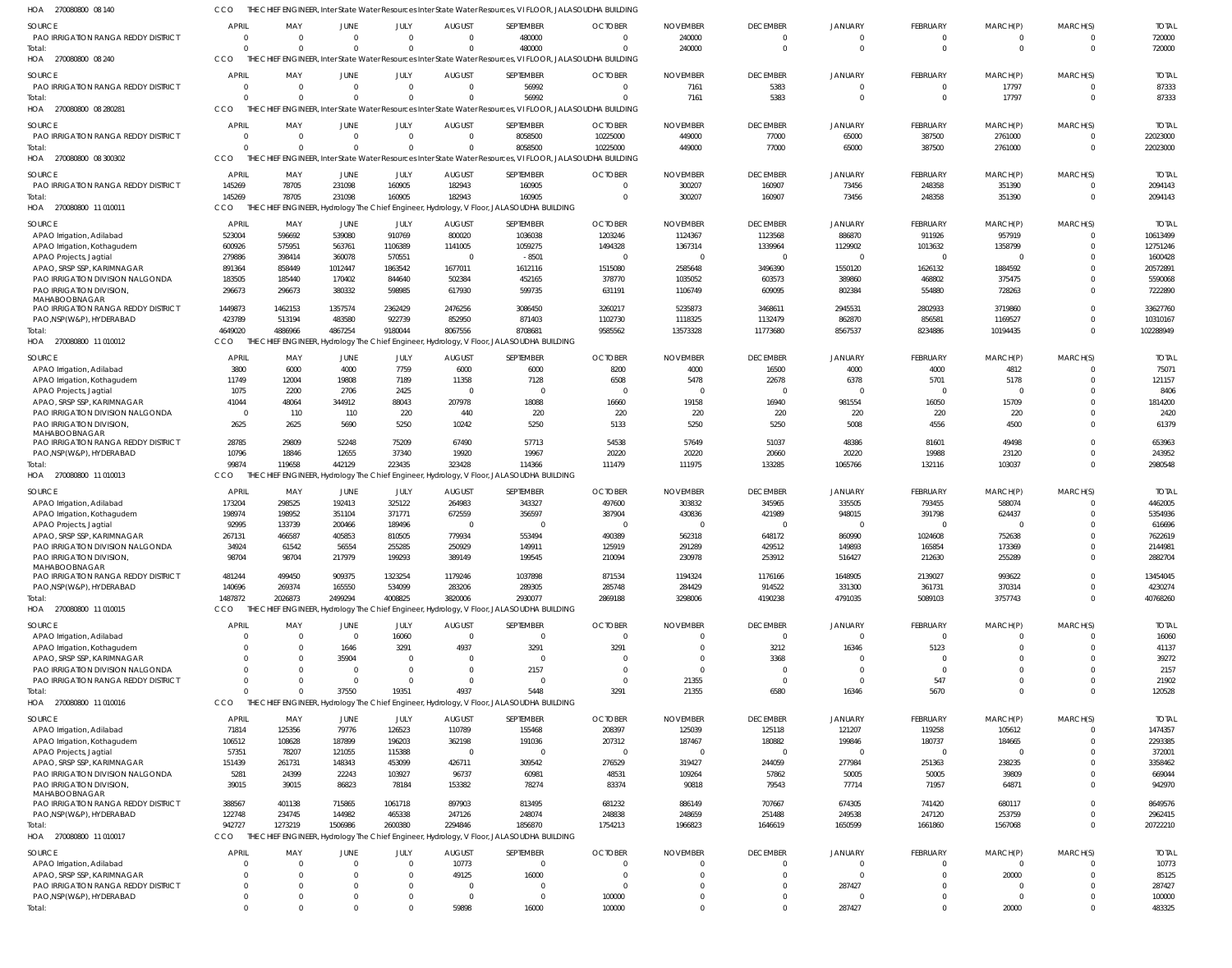|                                                                     |                                  |                  |                      |                          |                                  |                                                                                                            | ENGINEER, Inter State Water Resources Inter State Water Resources, VI FLOOR, JALASOUDHA BUILDING |                  |                                  |                           |                      |                       |                                  |                    |
|---------------------------------------------------------------------|----------------------------------|------------------|----------------------|--------------------------|----------------------------------|------------------------------------------------------------------------------------------------------------|--------------------------------------------------------------------------------------------------|------------------|----------------------------------|---------------------------|----------------------|-----------------------|----------------------------------|--------------------|
| <b>SOURCE</b>                                                       | <b>APRIL</b>                     | MAY              | <b>JUNE</b>          | JULY                     | <b>AUGUST</b>                    | SEPTEMBER                                                                                                  | <b>OCTOBER</b>                                                                                   | <b>NOVEMBER</b>  | <b>DECEMBER</b>                  | <b>JANUARY</b>            | <b>FEBRUARY</b>      | MARCH(P)              | MARCH(S)                         | <b>TOTAL</b>       |
| PAO IRRIGATION RANGA REDDY DISTRICT                                 | $\Omega$                         | $\Omega$         | $\Omega$             | $\Omega$                 | $\Omega$                         | 480000                                                                                                     | $\Omega$                                                                                         | 240000           | $\mathbf{0}$                     | $\overline{0}$            | $\Omega$             | $\Omega$              | $\mathbf{0}$                     | 720000             |
| Total:                                                              | $\Omega$                         |                  | $\Omega$             | $\Omega$                 | $\Omega$                         | 480000                                                                                                     | $\Omega$                                                                                         | 240000           | $\overline{0}$                   | $\Omega$                  | $\Omega$             | $\Omega$              | $\overline{0}$                   | 720000             |
| HOA 270080800 08 240                                                | <b>CCO</b>                       |                  |                      |                          |                                  | THE CHIEF ENGINEER, Inter State Water Resources Inter State Water Resources, VI FLOOR, JALASOUDHA BUILDING |                                                                                                  |                  |                                  |                           |                      |                       |                                  |                    |
| <b>SOURCE</b>                                                       | <b>APRIL</b>                     | MAY              | JUNE                 | JULY                     | <b>AUGUST</b>                    | SEPTEMBER                                                                                                  | <b>OCTOBER</b>                                                                                   | <b>NOVEMBER</b>  | <b>DECEMBER</b>                  | <b>JANUARY</b>            | <b>FEBRUARY</b>      | MARCH(P)              | MARCH(S)                         | <b>TOTAI</b>       |
| <b>PAO IRRIGATION RANGA REDDY DISTRICT</b>                          | $\circ$                          |                  | $\mathbf{0}$         | $\mathbf 0$              | $\mathbf{0}$                     | 56992                                                                                                      | $\mathbf{0}$                                                                                     | 7161             | 5383                             | $\overline{0}$            | $\Omega$             | 17797                 | $\circ$                          | 87333              |
| Total:                                                              | $\Omega$                         |                  | $\Omega$             | $\Omega$                 | U                                | 56992                                                                                                      | $\Omega$                                                                                         | 7161             | 5383                             | $\mathbf{0}$              | $\Omega$             | 17797                 | $\overline{0}$                   | 87333              |
| HOA 270080800 08 280281                                             | CCO                              |                  |                      |                          |                                  | THE CHIEF ENGINEER, Inter State Water Resources Inter State Water Resources, VI FLOOR, JALASOUDHA BUILDING |                                                                                                  |                  |                                  |                           |                      |                       |                                  |                    |
| SOURCE                                                              | <b>APRIL</b>                     | MAY              | JUNE                 | JULY                     | <b>AUGUST</b>                    | SEPTEMBER                                                                                                  | <b>OCTOBER</b>                                                                                   | <b>NOVEMBER</b>  | <b>DECEMBER</b>                  | <b>JANUARY</b>            | <b>FEBRUARY</b>      | MARCH(P)              | MARCH(S)                         | <b>TOTAL</b>       |
| PAO IRRIGATION RANGA REDDY DISTRICT                                 | $\Omega$                         | $\Omega$         | $\Omega$             | $\Omega$                 | $\Omega$                         | 8058500                                                                                                    | 10225000                                                                                         | 449000           | 77000                            | 65000                     | 387500               | 2761000               | $\Omega$                         | 22023000           |
| Total:                                                              | $\Omega$                         | $\Omega$         | $\Omega$             | $\Omega$                 | $\Omega$                         | 8058500                                                                                                    | 10225000                                                                                         | 449000           | 77000                            | 65000                     | 387500               | 2761000               | $\overline{0}$                   | 22023000           |
| HOA 270080800 08 300302                                             | <b>CCO</b>                       |                  |                      |                          |                                  | THE CHIEF ENGINEER, Inter State Water Resources Inter State Water Resources, VI FLOOR, JALASOUDHA BUILDING |                                                                                                  |                  |                                  |                           |                      |                       |                                  |                    |
| <b>SOURCE</b>                                                       | <b>APRIL</b>                     | MAY              | JUNE                 | JULY                     | <b>AUGUST</b>                    | SEPTEMBER                                                                                                  | <b>OCTOBER</b>                                                                                   | <b>NOVEMBER</b>  | <b>DECEMBER</b>                  | <b>JANUARY</b>            | <b>FEBRUARY</b>      | MARCH(P)              | MARCH(S)                         | <b>TOTAL</b>       |
| PAO IRRIGATION RANGA REDDY DISTRICT                                 | 145269                           | 78705            | 231098               | 160905                   | 182943                           | 160905                                                                                                     | $\Omega$                                                                                         | 300207           | 160907                           | 73456                     | 248358               | 351390                | - 0                              | 2094143            |
| Total:                                                              | 145269                           | 78705            | 231098               | 160905                   | 182943                           | 160905                                                                                                     | $\Omega$                                                                                         | 300207           | 160907                           | 73456                     | 248358               | 351390                | $\overline{0}$                   | 2094143            |
| HOA 270080800 11 010011                                             | CCO                              |                  |                      |                          |                                  | THE CHIEF ENGINEER, Hydrology The Chief Engineer, Hydrology, V Floor, JALASOUDHA BUILDING                  |                                                                                                  |                  |                                  |                           |                      |                       |                                  |                    |
| SOURCE                                                              | <b>APRIL</b>                     | MAY              | JUNE                 | JULY                     | <b>AUGUST</b>                    | SEPTEMBER                                                                                                  | <b>OCTOBER</b>                                                                                   | <b>NOVEMBER</b>  | <b>DECEMBER</b>                  | <b>JANUARY</b>            | <b>FEBRUARY</b>      | MARCH(P)              | MARCH(S)                         | <b>TOTAI</b>       |
| APAO Irrigation, Adilabad                                           | 523004                           | 596692           | 539080               | 910769                   | 800020                           | 1036038                                                                                                    | 1203246                                                                                          | 1124367          | 1123568                          | 886870                    | 911926               | 957919                | $\Omega$                         | 10613499           |
| APAO Irrigation, Kothagudem                                         | 600926                           | 575951           | 563761               | 1106389                  | 1141005                          | 1059275                                                                                                    | 1494328                                                                                          | 1367314          | 1339964                          | 1129902                   | 1013632              | 1358799               | $\Omega$                         | 12751246           |
| APAO Projects, Jagtial                                              | 279886                           | 398414           | 360078               | 570551                   | $\Omega$                         | $-8501$                                                                                                    | $\Omega$                                                                                         |                  | $\overline{0}$                   | $\circ$                   | $\Omega$             | $\Omega$              | $\Omega$                         | 1600428            |
| APAO, SRSP SSP, KARIMNAGAR                                          | 891364                           | 858449           | 1012447              | 1863542                  | 1677011                          | 1612116                                                                                                    | 1515080                                                                                          | 2585648          | 3496390                          | 1550120                   | 1626132              | 1884592               | $\Omega$                         | 20572891           |
| PAO IRRIGATION DIVISION NALGONDA<br><b>PAO IRRIGATION DIVISION.</b> | 183505                           | 185440           | 170402               | 844640                   | 502384                           | 452165                                                                                                     | 378770                                                                                           | 1035052          | 603573                           | 389860                    | 468802               | 375475                | $\overline{0}$<br>$\Omega$       | 5590068            |
| MAHABOOBNAGAR                                                       | 296673                           | 296673           | 380332               | 598985                   | 617930                           | 599735                                                                                                     | 631191                                                                                           | 1106749          | 609095                           | 802384                    | 554880               | 728263                |                                  | 7222890            |
| PAO IRRIGATION RANGA REDDY DISTRICT                                 | 1449873                          | 1462153          | 1357574              | 2362429                  | 2476256                          | 3086450                                                                                                    | 3260217                                                                                          | 5235873          | 3468611                          | 2945531                   | 2802933              | 3719860               | $\Omega$                         | 33627760           |
| PAO, NSP(W&P), HYDERABAD                                            | 423789                           | 513194           | 483580               | 922739                   | 852950                           | 871403                                                                                                     | 1102730                                                                                          | 1118325          | 1132479                          | 862870                    | 856581               | 1169527               | $\Omega$                         | 10310167           |
| Total:                                                              | 4649020                          | 4886966          | 4867254              | 9180044                  | 8067556                          | 8708681                                                                                                    | 9585562                                                                                          | 13573328         | 11773680                         | 8567537                   | 8234886              | 10194435              | $\overline{0}$                   | 102288949          |
| HOA 270080800 11 010012                                             | CCO                              |                  |                      |                          |                                  | THE CHIEF ENGINEER, Hydrology The Chief Engineer, Hydrology, V Floor, JALASOUDHA BUILDING                  |                                                                                                  |                  |                                  |                           |                      |                       |                                  |                    |
| <b>SOURCE</b>                                                       | <b>APRIL</b>                     | MAY              | JUNE                 | JULY                     | <b>AUGUST</b>                    | SEPTEMBER                                                                                                  | <b>OCTOBER</b>                                                                                   | <b>NOVEMBER</b>  | <b>DECEMBER</b>                  | <b>JANUARY</b>            | <b>FEBRUARY</b>      | MARCH(P)              | MARCH(S)                         | <b>TOTAI</b>       |
| APAO Irrigation, Adilabad                                           | 3800                             | 6000             | 4000                 | 7759                     | 6000                             | 6000                                                                                                       | 8200                                                                                             | 4000             | 16500                            | 4000                      | 4000                 | 4812                  | $\circ$                          | 7507               |
| APAO Irrigation, Kothagudem                                         | 11749                            | 12004            | 19808                | 7189                     | 11358                            | 7128                                                                                                       | 6508                                                                                             | 5478             | 22678                            | 6378                      | 5701                 | 5178                  | $\overline{0}$                   | 121157             |
| APAO Projects, Jagtial                                              | 1075                             | 2200             | 2706                 | 2425                     | $\Omega$                         | $\overline{0}$                                                                                             | $\Omega$                                                                                         |                  | $\overline{0}$                   | $\Omega$                  | $\Omega$             | $\Omega$              | $\overline{0}$                   | 8406               |
| APAO, SRSP SSP, KARIMNAGAR                                          | 41044                            | 48064            | 344912               | 88043                    | 207978                           | 18088                                                                                                      | 16660                                                                                            | 19158            | 16940                            | 981554                    | 16050                | 15709                 | $\Omega$                         | 1814200            |
| PAO IRRIGATION DIVISION NALGONDA<br>PAO IRRIGATION DIVISION,        | $\overline{0}$<br>2625           | 110<br>2625      | 110<br>5690          | 220<br>5250              | 440<br>10242                     | 220<br>5250                                                                                                | 220<br>5133                                                                                      | 220<br>5250      | 220<br>5250                      | 220<br>5008               | 220<br>4556          | 220<br>4500           | $\overline{0}$<br>$\Omega$       | 2420<br>61379      |
| MAHABOOBNAGAR                                                       |                                  |                  |                      |                          |                                  |                                                                                                            |                                                                                                  |                  |                                  |                           |                      |                       |                                  |                    |
| PAO IRRIGATION RANGA REDDY DISTRICT                                 | 28785                            | 29809            | 52248                | 75209                    | 67490                            | 57713                                                                                                      | 54538                                                                                            | 57649            | 51037                            | 48386                     | 81601                | 49498                 | $\overline{0}$                   | 653963             |
| PAO, NSP(W&P), HYDERABAD                                            | 10796                            | 18846            | 12655                | 37340                    | 19920                            | 19967                                                                                                      | 20220                                                                                            | 20220            | 20660                            | 20220                     | 19988                | 23120                 | $\Omega$                         | 243952             |
| Total:                                                              | 99874                            | 119658           | 442129               | 223435                   | 323428                           | 114366                                                                                                     | 111479                                                                                           | 111975           | 133285                           | 1065766                   | 132116               | 103037                | $\Omega$                         | 2980548            |
| HOA 270080800 11 010013                                             | CCO                              |                  |                      |                          |                                  | THE CHIEF ENGINEER, Hydrology The Chief Engineer, Hydrology, V Floor, JALASOUDHA BUILDING                  |                                                                                                  |                  |                                  |                           |                      |                       |                                  |                    |
| SOURCE                                                              | APRIL                            | MAY              | JUNE                 | JULY                     | <b>AUGUST</b>                    | SEPTEMBER                                                                                                  | <b>OCTOBER</b>                                                                                   | <b>NOVEMBER</b>  | <b>DECEMBER</b>                  | <b>JANUARY</b>            | FEBRUARY             | MARCH(P)              | MARCH(S)                         | <b>TOTAI</b>       |
| APAO Irrigation, Adilabad                                           |                                  |                  |                      |                          |                                  |                                                                                                            |                                                                                                  |                  |                                  |                           |                      |                       |                                  |                    |
|                                                                     | 173204                           | 298525           | 192413               | 325122                   | 264983                           | 343327                                                                                                     | 497600                                                                                           | 303832           | 345965                           | 335505                    | 793455               | 588074                | $\Omega$                         | 4462005            |
| APAO Irrigation, Kothagudem                                         | 198974                           | 198952           | 351104               | 371771                   | 672559                           | 356597                                                                                                     | 387904                                                                                           | 430836           | 421989                           | 948015                    | 391798               | 624437                | $\overline{0}$                   | 5354936            |
| APAO Projects, Jagtial                                              | 92995                            | 133739           | 200466               | 189496                   | $\Omega$                         | 0                                                                                                          | $\Omega$                                                                                         |                  | $\overline{0}$                   | $\circ$                   | - 0                  | - 0                   | $\Omega$                         | 616696             |
| APAO, SRSP SSP, KARIMNAGAR                                          | 267131                           | 466587           | 405853               | 810505                   | 779934                           | 553494                                                                                                     | 490389                                                                                           | 562318           | 648172                           | 860990                    | 1024608              | 752638                | $\Omega$                         | 7622619            |
| PAO IRRIGATION DIVISION NALGONDA                                    | 34924                            | 61542            | 56554                | 255285                   | 250929                           | 149911                                                                                                     | 125919                                                                                           | 291289           | 429512                           | 149893                    | 165854               | 173369                | $\Omega$                         | 2144981            |
| PAO IRRIGATION DIVISION<br>MAHABOOBNAGAR                            | 98704                            | 98/04            | 217979               | 199293                   | 389149                           | 199545                                                                                                     | 210094                                                                                           | 230978           | 253912                           | 516427                    | 212630               | 255289                |                                  | 2882704            |
| PAO IRRIGATION RANGA REDDY DISTRICT                                 | 481244                           | 499450           | 909375               | 1323254                  | 1179246                          | 1037898                                                                                                    | 871534                                                                                           | 1194324          | 1176166                          | 1648905                   | 2139027              | 993622                | $\Omega$                         | 13454045           |
| PAO, NSP(W&P), HYDERABAD                                            | 140696                           | 269374           | 165550               | 534099                   | 283206                           | 289305                                                                                                     | 285748                                                                                           | 284429           | 914522                           | 331300                    | 361731               | 370314                | $\overline{0}$                   | 4230274            |
| Total:                                                              | 1487872                          | 2026873          | 2499294              | 4008825                  | 3820006                          | 2930077                                                                                                    | 2869188                                                                                          | 3298006          | 4190238                          | 4791035                   | 5089103              | 3757743               | $\Omega$                         | 40768260           |
| HOA 270080800 11 010015                                             | CCO                              |                  |                      |                          |                                  | THE CHIEF ENGINEER, Hydrology The Chief Engineer, Hydrology, V Floor, JALASOUDHA BUILDING                  |                                                                                                  |                  |                                  |                           |                      |                       |                                  |                    |
| <b>SOURCE</b>                                                       | <b>APRIL</b>                     | MAY              | JUNE                 | JULY                     | <b>AUGUST</b>                    | SEPTEMBER                                                                                                  | <b>OCTOBER</b>                                                                                   | <b>NOVEMBER</b>  | <b>DECEMBER</b>                  | <b>JANUARY</b>            | FEBRUARY             | MARCH(P)              | MARCH(S)                         | <b>TOTAL</b>       |
| APAO Irrigation, Adilabad                                           | $\circ$                          |                  | $\overline{0}$       | 16060                    | $\overline{0}$                   | $\mathbf{0}$                                                                                               | $\mathbf{0}$                                                                                     |                  | $\overline{0}$                   | $\overline{0}$            | $\mathbf 0$          | $\Omega$              | $\circ$                          | 16060              |
| APAO Irrigation, Kothagudem                                         | $\Omega$                         |                  | 1646                 | 3291                     | 4937                             | 3291                                                                                                       | 3291                                                                                             |                  | 3212                             | 16346                     | 5123                 | $\Omega$              | $\Omega$                         | 41137              |
| APAO, SRSP SSP, KARIMNAGAR                                          | $\Omega$                         |                  | 35904                | $\Omega$                 |                                  | $\overline{0}$                                                                                             |                                                                                                  |                  | 3368                             | $\circ$                   | $\Omega$             | $\Omega$              | $\Omega$                         | 39272              |
| PAO IRRIGATION DIVISION NALGONDA                                    | $\Omega$<br>$\Omega$             |                  | $\Omega$<br>$\Omega$ | $\mathbf{0}$<br>$\Omega$ | $\Omega$<br>$\Omega$             | 2157<br>$\overline{0}$                                                                                     | $\Omega$<br>$\Omega$                                                                             |                  | $\circ$<br>$\overline{0}$        | $\circ$<br>$\overline{0}$ | $\Omega$             | $\Omega$<br>$\Omega$  | $\Omega$<br>$\overline{0}$       | 2157               |
| PAO IRRIGATION RANGA REDDY DISTRICT<br>Total:                       | $\Omega$                         |                  | 37550                | 19351                    | 4937                             | 5448                                                                                                       | 3291                                                                                             | 21355<br>21355   | 6580                             | 16346                     | 547<br>5670          | $\Omega$              | $\Omega$                         | 21902<br>120528    |
| HOA 270080800 11010016                                              | CCO                              |                  |                      |                          |                                  | THE CHIEF ENGINEER, Hydrology The Chief Engineer, Hydrology, V Floor, JALASOUDHA BUILDING                  |                                                                                                  |                  |                                  |                           |                      |                       |                                  |                    |
|                                                                     |                                  |                  |                      |                          |                                  |                                                                                                            |                                                                                                  |                  |                                  |                           |                      |                       |                                  |                    |
| SOURCE                                                              | <b>APRIL</b>                     | MAY              | JUNE                 | JULY                     | <b>AUGUST</b>                    | SEPTEMBER                                                                                                  | <b>OCTOBER</b>                                                                                   | <b>NOVEMBER</b>  | <b>DECEMBER</b>                  | <b>JANUARY</b>            | FEBRUARY             | MARCH(P)              | MARCH(S)<br>$\Omega$             | <b>TOTAL</b>       |
| APAO Irrigation, Adilabad<br>APAO Irrigation, Kothagudem            | 71814<br>106512                  | 125356<br>108628 | 79776<br>187899      | 126523<br>196203         | 110789<br>362198                 | 155468<br>191036                                                                                           | 208397<br>207312                                                                                 | 125039<br>187467 | 125118<br>180882                 | 121207<br>199846          | 119258<br>180737     | 105612<br>184665      | $\overline{0}$                   | 1474357<br>2293385 |
| APAO Projects, Jagtial                                              | 57351                            | 78207            | 121055               | 115388                   | $\Omega$                         | 0                                                                                                          | $\Omega$                                                                                         |                  | $\overline{0}$                   | $\circ$                   | $\Omega$             |                       | $\Omega$                         | 372001             |
| APAO, SRSP SSP, KARIMNAGAR                                          | 151439                           | 261731           | 148343               | 453099                   | 426711                           | 309542                                                                                                     | 276529                                                                                           | 319427           | 244059                           | 277984                    | 251363               | 238235                | $\Omega$                         | 3358462            |
| PAO IRRIGATION DIVISION NALGONDA                                    | 5281                             | 24399            | 22243                | 103927                   | 96737                            | 60981                                                                                                      | 48531                                                                                            | 109264           | 57862                            | 50005                     | 50005                | 39809                 | $\Omega$                         | 669044             |
| PAO IRRIGATION DIVISION                                             | 39015                            | 39015            | 86823                | 78184                    | 153382                           | 78274                                                                                                      | 83374                                                                                            | 90818            | 79543                            | 77714                     | 71957                | 64871                 | $\Omega$                         | 942970             |
| MAHABOOBNAGAR<br>PAO IRRIGATION RANGA REDDY DISTRICT                | 388567                           | 401138           | 715865               | 1061718                  | 897903                           | 813495                                                                                                     | 681232                                                                                           | 886149           | 707667                           | 674305                    | 741420               | 680117                | $\Omega$                         | 8649576            |
| PAO, NSP(W&P), HYDERABAD                                            | 122748                           | 234745           | 144982               | 465338                   | 247126                           | 248074                                                                                                     | 248838                                                                                           | 248659           | 251488                           | 249538                    | 247120               | 253759                | $\overline{0}$                   | 2962415            |
| Total:                                                              | 942727                           | 1273219          | 1506986              | 2600380                  | 2294846                          | 1856870                                                                                                    | 1754213                                                                                          | 1966823          | 1646619                          | 1650599                   | 1661860              | 1567068               | $\Omega$                         | 20722210           |
| HOA 270080800 11 010017                                             | CCO                              |                  |                      |                          |                                  | CHIEF ENGINEER, Hydrology The Chief Engineer, Hydrology, V Floor, JALASOUDHA BUILDING                      |                                                                                                  |                  |                                  |                           |                      |                       |                                  |                    |
| <b>SOURCE</b>                                                       | <b>APRIL</b>                     | MAY              | JUNE                 | JULY                     | <b>AUGUST</b>                    | SEPTEMBER                                                                                                  | <b>OCTOBER</b>                                                                                   | <b>NOVEMBER</b>  | <b>DECEMBER</b>                  | <b>JANUARY</b>            | FEBRUARY             |                       | MARCH(S)                         | <b>TOTAL</b>       |
| APAO Irrigation, Adilabad                                           | $\circ$                          |                  | $\Omega$             | $\mathbf{0}$             | 10773                            | $\mathbf{0}$                                                                                               | $\Omega$                                                                                         |                  | $\overline{0}$                   | $\overline{0}$            | $\Omega$             | MARCH(P)<br>$\Omega$  | $\circ$                          | 10773              |
| APAO, SRSP SSP, KARIMNAGAR                                          | $\Omega$                         |                  | 0                    | $\mathbf 0$              | 49125                            | 16000                                                                                                      | $\Omega$                                                                                         |                  | $\overline{0}$                   | $\circ$                   | $\Omega$             | 20000                 | $\overline{0}$                   | 85125              |
| PAO IRRIGATION RANGA REDDY DISTRICT                                 | $\overline{0}$                   |                  |                      | $\Omega$                 | 0                                | $\mathbf{0}$                                                                                               | $\Omega$                                                                                         |                  | $\overline{0}$                   | 287427                    | $\Omega$             | $\Omega$              | $\Omega$                         | 287427             |
| PAO, NSP(W&P), HYDERABAD<br>Total:                                  | $\overline{0}$<br>$\overline{0}$ |                  | 0<br>$\Omega$        | $\Omega$<br>$\mathbf 0$  | $\overline{\mathbf{0}}$<br>59898 | $\mathbf 0$<br>16000                                                                                       | 100000<br>100000                                                                                 | $\Omega$         | $\overline{0}$<br>$\overline{0}$ | $\circ$<br>287427         | $\Omega$<br>$\Omega$ | $\mathbf{0}$<br>20000 | $\overline{0}$<br>$\overline{0}$ | 100000<br>483325   |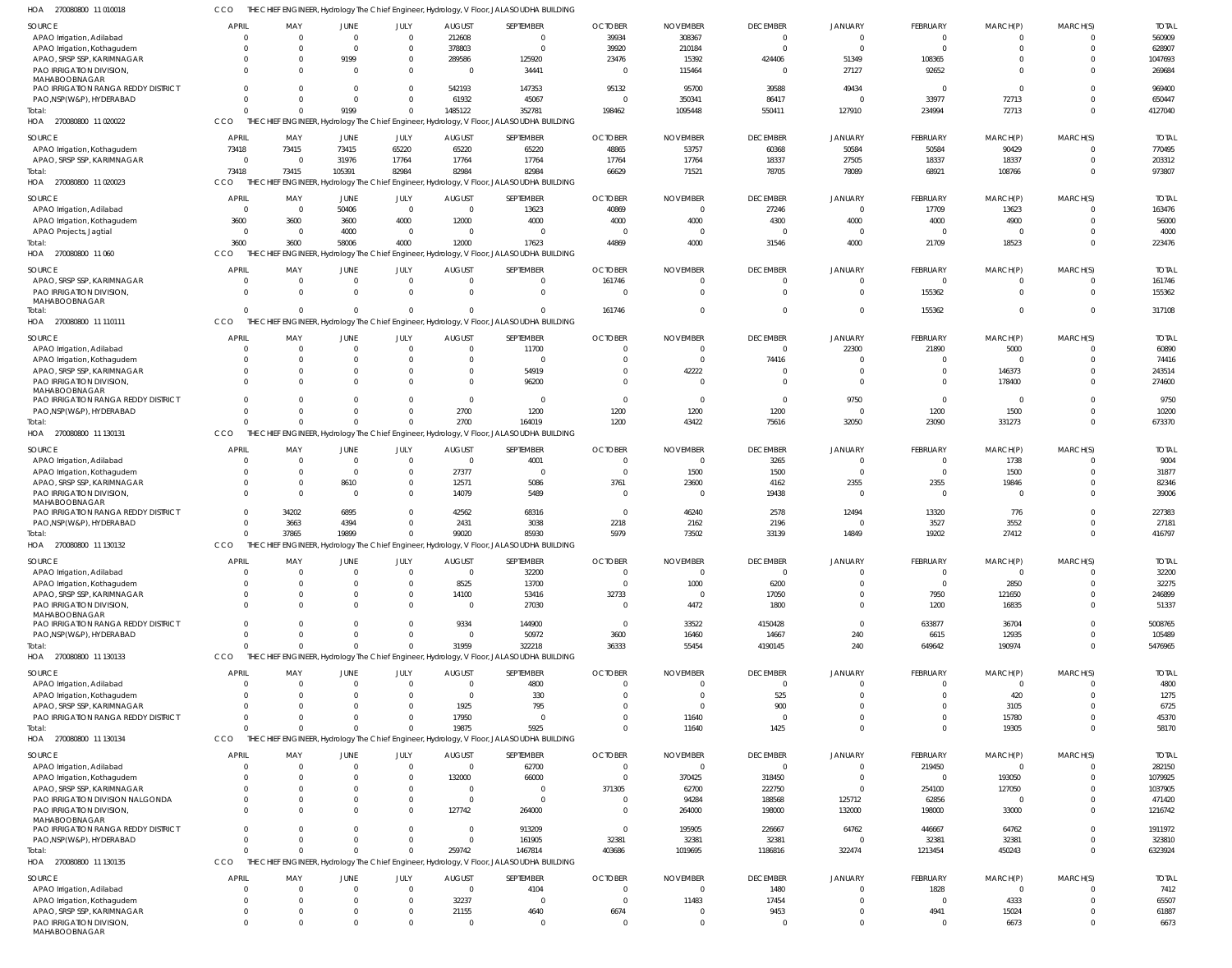CCO THE CHIEF ENGINEER, Hydrology The Chief Engineer, Hydrology, V Floor, JALASOUDHA BUILDING

| HOA<br>270080800 11 010018                           | CCO            |                      |                         |                      |                          | THE CHIEF ENGINEER, Hydrology The Chief Engineer, Hydrology, V Floor, JALASOUDHA BUILDING |                 |                  |                  |                   |                  |                 |          |                   |
|------------------------------------------------------|----------------|----------------------|-------------------------|----------------------|--------------------------|-------------------------------------------------------------------------------------------|-----------------|------------------|------------------|-------------------|------------------|-----------------|----------|-------------------|
| SOURCE                                               | <b>APRIL</b>   | MAY                  | JUNE                    | JULY                 | <b>AUGUST</b>            | SEPTEMBER                                                                                 | <b>OCTOBER</b>  | <b>NOVEMBER</b>  | <b>DECEMBER</b>  | JANUARY           | <b>FEBRUARY</b>  | MARCH(P)        | MARCH(S) | <b>TOTAL</b>      |
| APAO Irrigation, Adilabad                            | $\Omega$       | $\Omega$             | $\overline{0}$          | $\Omega$             | 212608                   | $\Omega$                                                                                  | 39934           | 308367           | $\mathbf 0$      | $\overline{0}$    | $\overline{0}$   | $\Omega$        |          | 560909            |
| APAO Irrigation, Kothagudem                          | $\Omega$       | $\Omega$             | $\mathbf{0}$            | $\Omega$             | 378803                   | $\Omega$                                                                                  | 39920           | 210184           | $\Omega$         | $\Omega$          | $\overline{0}$   | $\Omega$        | $\Omega$ | 628907            |
| APAO, SRSP SSP, KARIMNAGAR                           | $\Omega$       | $\mathbf{0}$         | 9199                    | $\mathbf{0}$         | 289586                   | 125920                                                                                    | 23476           | 15392            | 424406           | 51349             | 108365           |                 |          | 1047693           |
| PAO IRRIGATION DIVISION,                             | $\Omega$       | $\Omega$             | $\Omega$                | $\Omega$             | $\mathbf{0}$             | 34441                                                                                     | $\overline{0}$  | 115464           | $\Omega$         | 27127             | 92652            | $\Omega$        | $\Omega$ | 269684            |
| MAHABOOBNAGAR<br>PAO IRRIGATION RANGA REDDY DISTRICT |                | $\Omega$             | $\Omega$                | $\Omega$             | 542193                   | 147353                                                                                    | 95132           | 95700            | 39588            | 49434             | $\overline{0}$   | $\mathbf 0$     |          | 969400            |
| PAO, NSP (W&P), HYDERABAD                            | $\Omega$       | $\Omega$             | $\mathbf{0}$            | $\Omega$             | 61932                    | 45067                                                                                     | $\Omega$        | 350341           | 86417            | $\Omega$          | 33977            | 72713           | $\Omega$ | 650447            |
| Total:                                               |                | $\Omega$             | 9199                    | $\Omega$             | 1485122                  | 352781                                                                                    | 198462          | 1095448          | 550411           | 127910            | 234994           | 72713           | $\Omega$ | 4127040           |
| HOA 270080800 11 020022                              | CCO            |                      |                         |                      |                          | THE CHIEF ENGINEER, Hydrology The Chief Engineer, Hydrology, V Floor, JALASOUDHA BUILDING |                 |                  |                  |                   |                  |                 |          |                   |
|                                                      |                |                      |                         |                      |                          |                                                                                           |                 |                  |                  |                   |                  |                 |          |                   |
| SOURCE                                               | <b>APRIL</b>   | MAY                  | JUNE                    | JULY                 | <b>AUGUST</b>            | SEPTEMBER                                                                                 | <b>OCTOBER</b>  | <b>NOVEMBER</b>  | <b>DECEMBER</b>  | JANUARY           | <b>FEBRUARY</b>  | MARCH(P)        | MARCH(S) | <b>TOTAL</b>      |
| APAO Irrigation, Kothagudem                          | 73418          | 73415                | 73415                   | 65220                | 65220                    | 65220                                                                                     | 48865           | 53757            | 60368            | 50584             | 50584            | 90429           |          | 770495            |
| APAO, SRSP SSP, KARIMNAGAR                           | $\Omega$       | $\mathbf{0}$         | 31976                   | 17764                | 17764                    | 17764                                                                                     | 17764           | 17764            | 18337            | 27505             | 18337            | 18337           | $\Omega$ | 203312            |
| Total:                                               | 73418          | 73415                | 105391                  | 82984                | 82984                    | 82984                                                                                     | 66629           | 71521            | 78705            | 78089             | 68921            | 108766          | $\Omega$ | 973807            |
| 270080800 11 020023<br>HOA                           | CCO            |                      |                         |                      |                          | THE CHIEF ENGINEER, Hydrology The Chief Engineer, Hydrology, V Floor, JALASOUDHA BUILDING |                 |                  |                  |                   |                  |                 |          |                   |
| SOURCE                                               | <b>APRIL</b>   | MAY                  | JUNE                    | JULY                 | <b>AUGUST</b>            | SEPTEMBER                                                                                 | <b>OCTOBER</b>  | <b>NOVEMBER</b>  | <b>DECEMBER</b>  | JANUARY           | FEBRUARY         | MARCH(P)        | MARCH(S) | <b>TOTAL</b>      |
| APAO Irrigation, Adilabad                            | $\Omega$       | $\overline{0}$       | 50406                   | $\mathbf 0$          | $\mathbf{0}$             | 13623                                                                                     | 40869           | $\Omega$         | 27246            | $\overline{0}$    | 17709            | 13623           |          | 163476            |
| APAO Irrigation, Kothagudem                          | 3600           | 3600                 | 3600                    | 4000                 | 12000                    | 4000                                                                                      | 4000            | 4000             | 4300             | 4000              | 4000             | 4900            | $\Omega$ | 56000             |
| APAO Projects, Jagtial                               | $\Omega$       | $\mathbf{0}$         | 4000                    | $\Omega$             | $\mathbf{0}$             | $\Omega$                                                                                  | $\Omega$        | $\Omega$         | $\Omega$         | $\overline{0}$    | $\Omega$         | $\Omega$        |          | 4000              |
| Total:                                               | 3600           | 3600                 | 58006                   | 4000                 | 12000                    | 17623                                                                                     | 44869           | 4000             | 31546            | 4000              | 21709            | 18523           | $\Omega$ | 223476            |
| HOA 270080800 11 060                                 | <b>CCO</b>     |                      |                         |                      |                          | THE CHIEF ENGINEER, Hydrology The Chief Engineer, Hydrology, V Floor, JALASOUDHA BUILDING |                 |                  |                  |                   |                  |                 |          |                   |
| SOURCE                                               | <b>APRIL</b>   | MAY                  | JUNE                    | JULY                 | <b>AUGUST</b>            | SEPTEMBER                                                                                 | <b>OCTOBER</b>  | <b>NOVEMBER</b>  | <b>DECEMBER</b>  | JANUARY           | <b>FEBRUARY</b>  | MARCH(P)        | MARCH(S) | <b>TOTAL</b>      |
| APAO, SRSP SSP, KARIMNAGAR                           | $\overline{0}$ | $\mathbf{0}$         | $\overline{0}$          | $\Omega$             | $\mathbf{0}$             | $\Omega$                                                                                  | 161746          |                  | $\mathbf 0$      | $\Omega$          | $\overline{0}$   | 0               |          | 161746            |
| PAO IRRIGATION DIVISION,                             | $\Omega$       | $\Omega$             | $\overline{0}$          | $\Omega$             | $\mathbf{0}$             | $\Omega$                                                                                  | $\Omega$        | $\cap$           | $\Omega$         | $\Omega$          | 155362           | $\mathbf 0$     | $\Omega$ | 155362            |
| MAHABOOBNAGAR                                        |                |                      |                         |                      |                          |                                                                                           |                 |                  |                  |                   |                  |                 |          |                   |
| Total:                                               | $\Omega$       | $\Omega$             | $\overline{0}$          | $\Omega$             | $\Omega$                 | $\Omega$                                                                                  | 161746          |                  | $\Omega$         | $\overline{0}$    | 155362           | $\mathbf{0}$    | $\Omega$ | 317108            |
| 270080800 11 110111<br>HOA                           | CCO            |                      |                         |                      |                          | THE CHIEF ENGINEER, Hydrology The Chief Engineer, Hydrology, V Floor, JALASOUDHA BUILDING |                 |                  |                  |                   |                  |                 |          |                   |
| SOURCE                                               | <b>APRIL</b>   | MAY                  | JUNE                    | JULY                 | <b>AUGUST</b>            | SEPTEMBER                                                                                 | <b>OCTOBER</b>  | <b>NOVEMBER</b>  | <b>DECEMBER</b>  | JANUARY           | FEBRUARY         | MARCH(P)        | MARCH(S) | <b>TOTAL</b>      |
| APAO Irrigation, Adilabad                            | $\Omega$       | $\Omega$             | $\overline{0}$          | $\Omega$             | $\mathbf{0}$             | 11700                                                                                     | $\Omega$        | $\Omega$         | $\mathbf 0$      | 22300             | 21890            | 5000            |          | 60890             |
| APAO Irrigation, Kothagudem                          | $\Omega$       | $\Omega$             | $\mathbf 0$             | $\Omega$             | $\Omega$                 | $\Omega$                                                                                  | $\Omega$        | $\Omega$         | 74416            | $\Omega$          | $\mathbf 0$      | $\mathbf 0$     |          | 74416             |
| APAO, SRSP SSP, KARIMNAGAR                           | $\Omega$       | $\Omega$             | $\Omega$                | $\Omega$             | $\Omega$                 | 54919                                                                                     | $\Omega$        | 42222            | $\Omega$         | $\overline{0}$    | $\mathbf 0$      | 146373          |          | 243514            |
| PAO IRRIGATION DIVISION,                             | $\Omega$       | $\Omega$             | $\Omega$                |                      | $\Omega$                 | 96200                                                                                     | $\Omega$        | $\Omega$         | $\Omega$         | $\Omega$          | $\mathbf 0$      | 178400          | $\Omega$ | 274600            |
| MAHABOOBNAGAR                                        |                |                      |                         |                      |                          |                                                                                           |                 |                  |                  |                   |                  |                 |          |                   |
| PAO IRRIGATION RANGA REDDY DISTRICT                  | $\Omega$       | $\Omega$             | $\Omega$                | $\Omega$             | $\Omega$                 | $\Omega$                                                                                  | $\Omega$        | $\Omega$         | $\overline{0}$   | 9750              | $\overline{0}$   | $\Omega$        |          | 9750              |
| PAO, NSP (W&P), HYDERABAD                            | $\Omega$       | $\Omega$             | $\Omega$                | $\Omega$             | 2700                     | 1200                                                                                      | 1200            | 1200             | 1200             | $\overline{0}$    | 1200             | 1500            | $\Omega$ | 10200             |
| Total:                                               |                | $\Omega$             | $\Omega$                | $\Omega$             | 2700                     | 164019                                                                                    | 1200            | 43422            | 75616            | 32050             | 23090            | 331273          | $\Omega$ | 673370            |
| 270080800 11 130131<br>HOA                           | CCO            |                      |                         |                      |                          | THE CHIEF ENGINEER, Hydrology The Chief Engineer, Hydrology, V Floor, JALASOUDHA BUILDING |                 |                  |                  |                   |                  |                 |          |                   |
| SOURCE                                               | <b>APRIL</b>   | MAY                  | JUNE                    | JULY                 | <b>AUGUST</b>            | SEPTEMBER                                                                                 | <b>OCTOBER</b>  | <b>NOVEMBER</b>  | <b>DECEMBER</b>  | JANUARY           | <b>FEBRUARY</b>  | MARCH(P)        | MARCH(S) | <b>TOTAL</b>      |
| APAO Irrigation, Adilabad                            | $\Omega$       | $\Omega$             | $\overline{0}$          | $\Omega$             | $\mathbf{0}$             | 4001                                                                                      | $\Omega$        | $\Omega$         | 3265             | $\overline{0}$    | $\overline{0}$   | 1738            | $\Omega$ | 9004              |
| APAO Irrigation, Kothagudem                          | $\mathbf 0$    | $\mathbf{0}$         | $\overline{0}$          | $\mathbf{0}$         | 27377                    | $\overline{0}$                                                                            | $\Omega$        | 1500             | 1500             | $\overline{0}$    | $\overline{0}$   | 1500            | $\Omega$ | 31877             |
| APAO, SRSP SSP, KARIMNAGAR                           | $\Omega$       | $\mathbf{0}$         | 8610                    | $\Omega$             | 12571                    | 5086                                                                                      | 3761            | 23600            | 4162             | 2355              | 2355             | 19846           |          | 82346             |
| PAO IRRIGATION DIVISION,                             | $\Omega$       | $\Omega$             | $\overline{0}$          | $\Omega$             | 14079                    | 5489                                                                                      | $\Omega$        | - 0              | 19438            | $\Omega$          | $\overline{0}$   | $\mathbf 0$     | $\Omega$ | 39006             |
| MAHABOOBNAGAR                                        |                |                      |                         |                      |                          |                                                                                           |                 |                  |                  |                   |                  |                 |          |                   |
| PAO IRRIGATION RANGA REDDY DISTRICT                  | $\Omega$       | 34202                | 6895                    | $\Omega$             | 42562                    | 68316                                                                                     | $\Omega$        | 46240            | 2578             | 12494             | 13320            | 776             | $\Omega$ | 227383            |
| PAO, NSP(W&P), HYDERABAD                             | $\mathbf 0$    | 3663                 | 4394                    | $\Omega$<br>$\Omega$ | 2431                     | 3038                                                                                      | 2218            | 2162             | 2196             | $\Omega$          | 3527             | 3552            | $\Omega$ | 27181             |
| Total:<br>HOA 270080800 11 130132                    | $\Omega$       | 37865                | 19899                   |                      | 99020                    | 85930                                                                                     | 5979            | 73502            | 33139            | 14849             | 19202            | 27412           | $\Omega$ | 416797            |
|                                                      | CCO            |                      |                         |                      |                          | THE CHIEF ENGINEER, Hydrology The Chief Engineer, Hydrology, V Floor, JALASOUDHA BUILDING |                 |                  |                  |                   |                  |                 |          |                   |
| SOURCE                                               | <b>APRIL</b>   | MAY                  | JUNE                    | JULY                 | <b>AUGUST</b>            | SEPTEMBER                                                                                 | <b>OCTOBER</b>  | <b>NOVEMBER</b>  | <b>DECEMBER</b>  | JANUARY           | FEBRUARY         | MARCH(P)        | MARCH(S) | <b>TOTAL</b>      |
| APAO Irrigation, Adilabad                            | $\Omega$       | $\Omega$             | $\overline{0}$          | $\Omega$             | $\mathbf{0}$             | 32200                                                                                     | $\overline{0}$  | $\Omega$         | $\mathbf 0$      | $\Omega$          | $\overline{0}$   | $\mathbf 0$     |          | 32200             |
| APAO Irrigation, Kothagudem                          | $\Omega$       | $\Omega$             | $\Omega$                | $\Omega$             | 8525                     | 13700                                                                                     | $\Omega$        | 1000             | 6200             | $\overline{0}$    | $\overline{0}$   | 2850            | $\Omega$ | 32275             |
| APAO, SRSP SSP, KARIMNAGAR                           | $\Omega$       | $\Omega$             | $\mathbf{0}$            | $\Omega$             | 14100                    | 53416                                                                                     | 32733           | $\Omega$         | 17050            | $\overline{0}$    | 7950             | 121650          |          | 246899            |
| <b>PAO IRRIGATION DIVISION.</b>                      | $\Omega$       | $\Omega$             | $\Omega$                | $\Omega$             | $\mathbf{0}$             | 27030                                                                                     | $\overline{0}$  | 4472             | 1800             | $\overline{0}$    | 1200             | 16835           |          | 51337             |
| MAHABOOBNAGAR<br>PAO IRRIGATION RANGA REDDY DISTRICT |                | $\Omega$             | $\Omega$                |                      | 9334                     | 144900                                                                                    | $\overline{0}$  | 33522            | 4150428          | $\overline{0}$    | 633877           | 36704           |          | 5008765           |
| PAO, NSP (W&P), HYDERABAD                            | $\Omega$       | $\Omega$             | $\Omega$                | $\Omega$             | $\mathbf{0}$             | 50972                                                                                     | 3600            | 16460            | 14667            | 240               | 6615             | 12935           |          | 105489            |
| Total:                                               | O              | $\Omega$             | $\Omega$                | $\Omega$             | 31959                    | 322218                                                                                    | 36333           | 55454            | 4190145          | 240               | 649642           | 190974          | $\Omega$ | 5476965           |
| HOA 270080800 11 130133                              | CCO            |                      |                         |                      |                          | THE CHIEF ENGINEER, Hydrology The Chief Engineer, Hydrology, V Floor, JALASOUDHA BUILDING |                 |                  |                  |                   |                  |                 |          |                   |
|                                                      |                |                      |                         |                      |                          |                                                                                           |                 |                  |                  |                   |                  |                 |          |                   |
| <b>SOURCE</b>                                        | <b>APRIL</b>   | MAY                  | JUNE                    | JULY                 | <b>AUGUST</b>            | SEPTEMBER                                                                                 | <b>OCTOBER</b>  | <b>NOVEMBER</b>  | <b>DECEMBER</b>  | JANUARY           | <b>FEBRUARY</b>  | MARCH(P)        | MARCH(S) | <b>TOTAL</b>      |
| APAO Irrigation, Adilabad                            | 0              | $\overline{0}$       | $\overline{0}$          | $\Omega$             | $\mathbf{0}$             | 4800                                                                                      | $\Omega$        |                  | $\overline{0}$   | $\Omega$          | $\mathbf 0$      | 0               |          | 4800              |
| APAO Irrigation, Kothagudem                          | $\Omega$       | $\Omega$             | $\mathbf 0$             | $\Omega$             | $\mathbf{0}$             | 330                                                                                       | $\Omega$        |                  | 525              | $\Omega$          | $\mathbf 0$      | 420             | $\Omega$ | 1275              |
| APAO, SRSP SSP, KARIMNAGAR                           | $\Omega$       | $\Omega$             | $\Omega$                | $\Omega$             | 1925                     | 795                                                                                       | $\Omega$        | $\cap$           | 900              | $\Omega$          | $\mathbf 0$      | 3105            | $\Omega$ | 6725              |
| PAO IRRIGATION RANGA REDDY DISTRICT                  | $\Omega$       | $\Omega$             | $\Omega$                | $\Omega$             | 17950                    | $\Omega$                                                                                  | $\Omega$        | 11640            | $\overline{0}$   | $\Omega$          | $\mathbf 0$      | 15780           | $\Omega$ | 45370             |
| Total:                                               | U              | $\Omega$             | $\Omega$                | $\Omega$             | 19875                    | 5925                                                                                      | $\Omega$        | 11640            | 1425             | $\Omega$          | $\Omega$         | 19305           | $\Omega$ | 58170             |
| 270080800 11 130134<br>HOA                           | CCO            |                      |                         |                      |                          | THE CHIEF ENGINEER, Hydrology The Chief Engineer, Hydrology, V Floor, JALASOUDHA BUILDING |                 |                  |                  |                   |                  |                 |          |                   |
| SOURCE                                               | <b>APRIL</b>   | MAY                  | JUNE                    | JULY                 | <b>AUGUST</b>            | SEPTEMBER                                                                                 | <b>OCTOBER</b>  | <b>NOVEMBER</b>  | <b>DECEMBER</b>  | JANUARY           | <b>FEBRUARY</b>  | MARCH(P)        | MARCH(S) | <b>TOTAL</b>      |
| APAO Irrigation, Adilabad                            |                | $\Omega$             | $\overline{0}$          | $\Omega$             | $\mathbf{0}$             | 62700                                                                                     | $\Omega$        | $\Omega$         | $\mathbf 0$      | $\overline{0}$    | 219450           | $\Omega$        |          | 282150            |
| APAO Irrigation, Kothagudem                          |                | $\Omega$             | $\mathbf{0}$            | $\Omega$             | 132000                   | 66000                                                                                     | $\overline{0}$  | 370425           | 318450           | $\Omega$          | $\overline{0}$   | 193050          |          | 1079925           |
| APAO, SRSP SSP, KARIMNAGAR                           | $\Omega$       | $\Omega$             | $\Omega$                | $\Omega$             | $\overline{0}$           | $\Omega$                                                                                  | 371305          | 62700            | 222750           | $\Omega$          | 254100           | 127050          |          | 1037905           |
| PAO IRRIGATION DIVISION NALGONDA                     |                | $\Omega$             | $\mathbf 0$             | $\Omega$             | $\mathbf{0}$             | $\Omega$                                                                                  | $\overline{0}$  | 94284            | 188568           | 125712            | 62856            | $\mathbf 0$     |          | 471420            |
| PAO IRRIGATION DIVISION,                             | $\Omega$       | $\Omega$             | $\Omega$                | $\Omega$             | 127742                   | 264000                                                                                    | $\Omega$        | 264000           | 198000           | 132000            | 198000           | 33000           |          | 1216742           |
| MAHABOOBNAGAR                                        |                |                      |                         |                      |                          |                                                                                           |                 |                  |                  |                   |                  |                 |          |                   |
| PAO IRRIGATION RANGA REDDY DISTRICT                  | $\Omega$       | $\Omega$<br>$\Omega$ | $\mathbf 0$<br>$\Omega$ | $\Omega$<br>$\Omega$ | $\mathbf{0}$<br>$\Omega$ | 913209                                                                                    | $\overline{0}$  | 195905           | 226667           | 64762<br>$\Omega$ | 446667           | 64762           | $\Omega$ | 1911972           |
| PAO, NSP (W&P), HYDERABAD                            |                | $\Omega$             | $\Omega$                | $\Omega$             | 259742                   | 161905<br>1467814                                                                         | 32381<br>403686 | 32381<br>1019695 | 32381<br>1186816 | 322474            | 32381<br>1213454 | 32381<br>450243 | $\Omega$ | 323810<br>6323924 |
| Total:<br>HOA 270080800 11 130135                    | CCO            |                      |                         |                      |                          | THE CHIEF ENGINEER, Hydrology The Chief Engineer, Hydrology, V Floor, JALASOUDHA BUILDING |                 |                  |                  |                   |                  |                 |          |                   |
|                                                      |                |                      |                         |                      |                          |                                                                                           |                 |                  |                  |                   |                  |                 |          |                   |
| SOURCE                                               | <b>APRIL</b>   | MAY                  | JUNE                    | JULY                 | <b>AUGUST</b>            | SEPTEMBER                                                                                 | <b>OCTOBER</b>  | <b>NOVEMBER</b>  | <b>DECEMBER</b>  | JANUARY           | <b>FEBRUARY</b>  | MARCH(P)        | MARCH(S) | <b>TOTAL</b>      |
| APAO Irrigation, Adilabad                            |                | $\overline{0}$       | $\overline{0}$          | $\Omega$             | $\overline{0}$           | 4104                                                                                      | $\overline{0}$  | $\Omega$         | 1480             | $\Omega$          | 1828             | $\mathbf 0$     |          | 7412              |
| APAO Irrigation, Kothagudem                          | $\Omega$       | $\mathbf{0}$         | $\mathbf 0$             | $\Omega$             | 32237                    | $\Omega$                                                                                  | $\overline{0}$  | 11483            | 17454            | $\Omega$          | $\overline{0}$   | 4333            | $\Omega$ | 65507             |
| APAO, SRSP SSP, KARIMNAGAR                           | 0              | $\mathbf{0}$         | $\mathbf 0$             | $\Omega$             | 21155                    | 4640                                                                                      | 6674            |                  | 9453             | $\overline{0}$    | 4941             | 15024           |          | 61887             |
| PAO IRRIGATION DIVISION,<br>MAHABOOBNAGAR            | $\Omega$       | $\Omega$             | $\mathbf 0$             | $\Omega$             | $\mathbf{0}$             | $\Omega$                                                                                  | $\overline{0}$  |                  | $\mathbf 0$      | $\overline{0}$    | $\mathbf 0$      | 6673            | $\Omega$ | 6673              |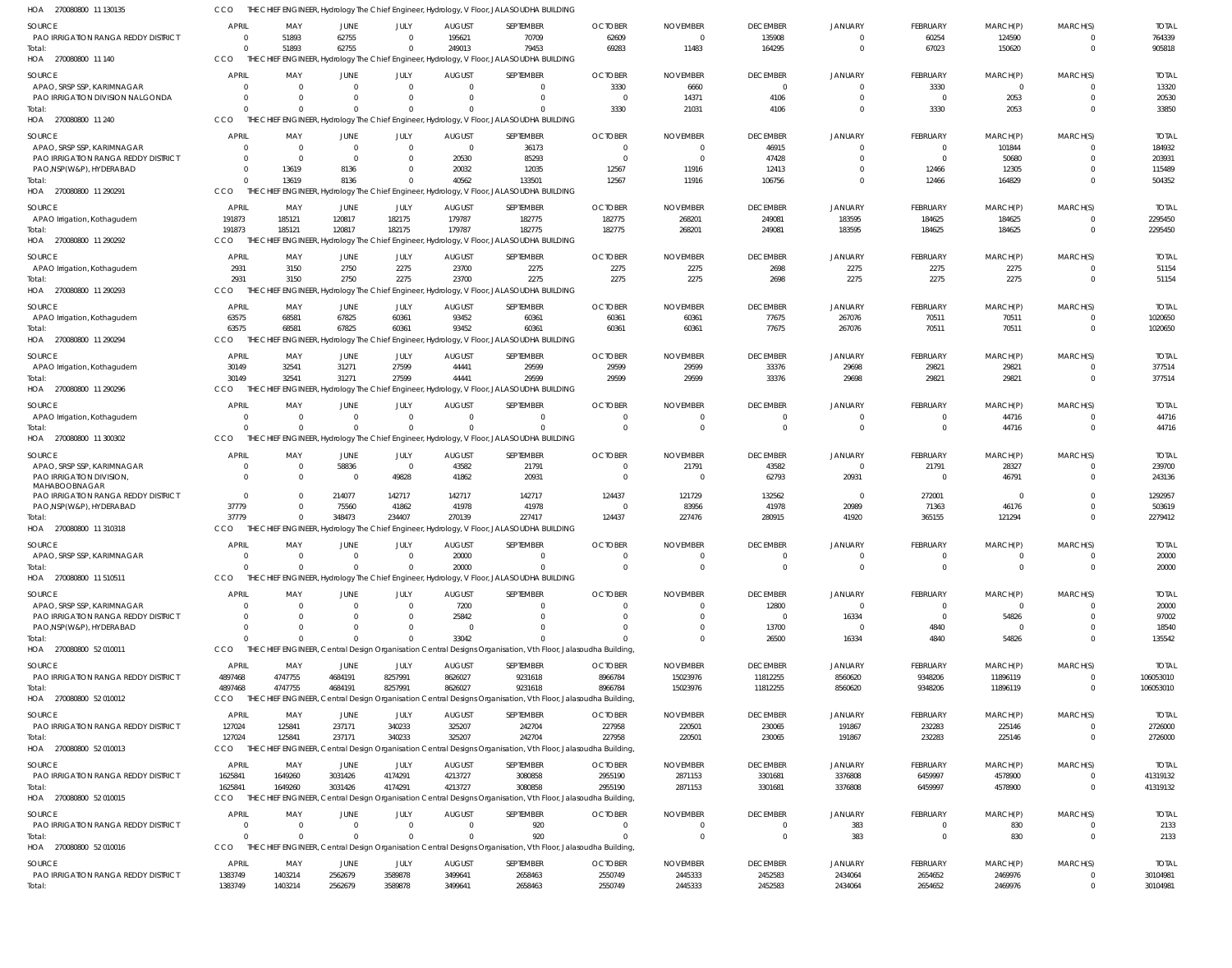| HOA 270080800 11 130135                                                  | CCO                  |                                |                            |                      |                          | THE CHIEF ENGINEER, Hydrology The Chief Engineer, Hydrology, V Floor, JALASOUDHA BUILDING                                |                           |                            |                            |                          |                        |                        |                            |                          |
|--------------------------------------------------------------------------|----------------------|--------------------------------|----------------------------|----------------------|--------------------------|--------------------------------------------------------------------------------------------------------------------------|---------------------------|----------------------------|----------------------------|--------------------------|------------------------|------------------------|----------------------------|--------------------------|
| SOURCE                                                                   | <b>APRIL</b>         | MAY                            | JUNE                       | JULY                 | <b>AUGUST</b>            | SEPTEMBER                                                                                                                | <b>OCTOBER</b>            | <b>NOVEMBER</b>            | <b>DECEMBER</b>            | <b>JANUARY</b>           | FEBRUARY               | MARCH(P)               | MARCH(S)                   | <b>TOTAI</b>             |
| PAO IRRIGATION RANGA REDDY DISTRICT                                      | $\overline{0}$       | 51893                          | 62755                      | $\Omega$             | 195621                   | 70709                                                                                                                    | 62609                     | $\Omega$                   | 135908                     | $\mathbf 0$              | 60254                  | 124590                 | $^{\circ}$                 | 764339                   |
| Total:                                                                   | $\Omega$             | 51893                          | 62755                      |                      | 249013                   | 79453                                                                                                                    | 69283                     | 11483                      | 164295                     | $\overline{0}$           | 67023                  | 150620                 | $\overline{0}$             | 905818                   |
| HOA 270080800 11 140                                                     | CCO                  |                                |                            |                      |                          | THE CHIEF ENGINEER, Hydrology The Chief Engineer, Hydrology, V Floor, JALASOUDHA BUILDING                                |                           |                            |                            |                          |                        |                        |                            |                          |
| <b>SOURCE</b>                                                            | <b>APRIL</b>         | MAY                            | JUNE                       | JULY                 | <b>AUGUST</b>            | <b>SEPTEMBER</b>                                                                                                         | <b>OCTOBER</b>            | <b>NOVEMBER</b>            | <b>DECEMBER</b>            | <b>JANUARY</b>           | FEBRUARY               | MARCH(P)               | MARCH(S)                   | <b>TOTAL</b>             |
| APAO, SRSP SSP, KARIMNAGAR<br>PAO IRRIGATION DIVISION NALGONDA           | $\Omega$<br>$\Omega$ | $\overline{0}$<br>- 0          | $\Omega$<br>$\Omega$       | $\Omega$<br>$\Omega$ | $\Omega$<br>$\Omega$     | $\mathbf{0}$<br>$\Omega$                                                                                                 | 3330<br>- 0               | 6660<br>14371              | $\overline{0}$<br>4106     | 0<br>$\mathbf 0$         | 3330<br>$\overline{0}$ | $\overline{0}$<br>2053 | - 0<br>$\overline{0}$      | 13320<br>20530           |
| Total:                                                                   | $\Omega$             | $\Omega$                       | $\Omega$                   | $\Omega$             | $\cup$                   | $\Omega$                                                                                                                 | 3330                      | 21031                      | 4106                       | $\overline{0}$           | 3330                   | 2053                   | $\overline{0}$             | 33850                    |
| HOA 270080800 11 240                                                     | CCO                  |                                |                            |                      |                          | THE CHIEF ENGINEER, Hydrology The Chief Engineer, Hydrology, V Floor, JALASOUDHA BUILDING                                |                           |                            |                            |                          |                        |                        |                            |                          |
| SOURCE                                                                   | <b>APRIL</b>         | MAY                            | JUNE                       | JULY                 | <b>AUGUST</b>            | SEPTEMBER                                                                                                                | <b>OCTOBER</b>            | <b>NOVEMBER</b>            | <b>DECEMBER</b>            | JANUARY                  | FEBRUARY               | MARCH(P)               | MARCH(S)                   | <b>TOTAL</b>             |
| APAO, SRSP SSP, KARIMNAGAR                                               | $\overline{0}$       | $\overline{0}$                 | $\overline{0}$             | $\Omega$             | $\overline{0}$           | 36173                                                                                                                    |                           |                            | 46915                      | $\Omega$                 | $\Omega$               | 101844                 | $\Omega$                   | 184932                   |
| PAO IRRIGATION RANGA REDDY DISTRICT                                      | $\Omega$             | - 0                            | $\Omega$                   |                      | 20530                    | 85293                                                                                                                    | - 0                       | - 0                        | 47428                      | $\Omega$                 | $\Omega$               | 50680                  | $\Omega$                   | 203931                   |
| PAO, NSP(W&P), HYDERABAD                                                 | $\overline{0}$       | 13619                          | 8136                       |                      | 20032                    | 12035                                                                                                                    | 12567                     | 11916                      | 12413                      | $\Omega$                 | 12466                  | 12305                  | $\Omega$                   | 115489                   |
| Total:                                                                   | $\Omega$             | 13619                          | 8136                       | $\Omega$             | 40562                    | 133501                                                                                                                   | 12567                     | 11916                      | 106756                     | $\overline{0}$           | 12466                  | 164829                 | $\overline{0}$             | 504352                   |
| HOA 270080800 11 290291                                                  | CCO                  |                                |                            |                      |                          | THE CHIEF ENGINEER, Hydrology The Chief Engineer, Hydrology, V Floor, JALASOUDHA BUILDING                                |                           |                            |                            |                          |                        |                        |                            |                          |
| <b>SOURCE</b>                                                            | <b>APRIL</b>         | MAY                            | JUNE                       | JULY                 | <b>AUGUST</b>            | <b>SEPTEMBER</b>                                                                                                         | <b>OCTOBER</b>            | <b>NOVEMBER</b>            | <b>DECEMBER</b>            | <b>JANUARY</b>           | FEBRUARY               | MARCH(P)               | MARCH(S)                   | <b>TOTAL</b>             |
| APAO Irrigation, Kothagudem                                              | 191873               | 185121                         | 120817                     | 182175               | 179787                   | 182775                                                                                                                   | 182775                    | 268201                     | 249081                     | 183595                   | 184625                 | 184625                 | - 0                        | 2295450                  |
| Total:<br>HOA 270080800 11 290292                                        | 191873<br>CCO        | 185121                         | 120817                     | 182175               | 179787                   | 182775<br>THE CHIEF ENGINEER, Hydrology The Chief Engineer, Hydrology, V Floor, JALASOUDHA BUILDING                      | 182775                    | 268201                     | 249081                     | 183595                   | 184625                 | 184625                 | $\overline{0}$             | 2295450                  |
|                                                                          |                      |                                |                            |                      |                          |                                                                                                                          |                           |                            |                            |                          |                        |                        |                            |                          |
| SOURCE                                                                   | APRIL                | MAY                            | JUNE<br>2750               | JULY<br>2275         | <b>AUGUST</b><br>23700   | SEPTEMBER<br>2275                                                                                                        | <b>OCTOBER</b>            | <b>NOVEMBER</b>            | <b>DECEMBER</b>            | <b>JANUARY</b>           | FEBRUARY               | MARCH(P)               | MARCH(S)<br>$\overline{0}$ | <b>TOTAL</b>             |
| APAO Irrigation, Kothagudem<br>Total:                                    | 2931<br>2931         | 3150<br>3150                   | 2750                       | 2275                 | 23700                    | 2275                                                                                                                     | 2275<br>2275              | 2275<br>2275               | 2698<br>2698               | 2275<br>2275             | 2275<br>2275           | 2275<br>2275           | $\overline{0}$             | 51154<br>51154           |
| HOA 270080800 11 290293                                                  | CCO                  |                                |                            |                      |                          | THE CHIEF ENGINEER, Hydrology The Chief Engineer, Hydrology, V Floor, JALASOUDHA BUILDING                                |                           |                            |                            |                          |                        |                        |                            |                          |
| <b>SOURCE</b>                                                            | <b>APRIL</b>         | MAY                            |                            | JULY                 | <b>AUGUST</b>            | SEPTEMBER                                                                                                                | <b>OCTOBER</b>            | <b>NOVEMBER</b>            | <b>DECEMBER</b>            |                          | FEBRUARY               | MARCH(P)               | MARCH(S)                   | <b>TOTAL</b>             |
| APAO Irrigation, Kothagudem                                              | 63575                | 68581                          | JUNE<br>67825              | 60361                | 93452                    | 60361                                                                                                                    | 60361                     | 60361                      | 77675                      | <b>JANUARY</b><br>267076 | 70511                  | 70511                  | $\overline{0}$             | 1020650                  |
| Total:                                                                   | 63575                | 68581                          | 67825                      | 60361                | 93452                    | 60361                                                                                                                    | 60361                     | 60361                      | 77675                      | 267076                   | 70511                  | 70511                  | $\overline{0}$             | 1020650                  |
| HOA 270080800 11 290294                                                  | CCO                  |                                |                            |                      |                          | THE CHIEF ENGINEER, Hydrology The Chief Engineer, Hydrology, V Floor, JALASOUDHA BUILDING                                |                           |                            |                            |                          |                        |                        |                            |                          |
| SOURCE                                                                   | <b>APRIL</b>         | MAY                            | JUNE                       | JULY                 | <b>AUGUST</b>            | SEPTEMBER                                                                                                                | <b>OCTOBER</b>            | <b>NOVEMBER</b>            | <b>DECEMBER</b>            | <b>JANUARY</b>           | FEBRUARY               | MARCH(P)               | MARCH(S)                   | <b>TOTAL</b>             |
| APAO Irrigation, Kothagudem                                              | 30149                | 32541                          | 31271                      | 27599                | 44441                    | 29599                                                                                                                    | 29599                     | 29599                      | 33376                      | 29698                    | 29821                  | 29821                  | $\overline{0}$             | 377514                   |
| Total:                                                                   | 30149                | 32541                          | 31271                      | 27599                | 44441                    | 29599                                                                                                                    | 29599                     | 29599                      | 33376                      | 29698                    | 29821                  | 29821                  | $\overline{0}$             | 377514                   |
| HOA 270080800 11 290296                                                  | CCO                  |                                |                            |                      |                          | THE CHIEF ENGINEER, Hydrology The Chief Engineer, Hydrology, V Floor, JALASOUDHA BUILDING                                |                           |                            |                            |                          |                        |                        |                            |                          |
| <b>SOURCE</b>                                                            | <b>APRIL</b>         | MAY                            | JUNE                       | JULY                 | <b>AUGUST</b>            | SEPTEMBER                                                                                                                | <b>OCTOBER</b>            | <b>NOVEMBER</b>            | <b>DECEMBER</b>            | <b>JANUARY</b>           | FEBRUARY               | MARCH(P)               | MARCH(S)                   | <b>TOTAL</b>             |
| APAO Irrigation, Kothagudem                                              | $\overline{0}$       | - 0                            | $\mathbf{0}$               | $\overline{0}$       | $\overline{0}$           | $\mathbf{0}$                                                                                                             | $\Omega$                  | $\Omega$                   | 0                          | 0                        | $\overline{0}$         | 44716                  | - 0                        | 44716                    |
| Total:                                                                   | $\Omega$             | $\Omega$                       | $\Omega$                   | $\Omega$             | $\Omega$                 | $\Omega$                                                                                                                 | $\Omega$                  | $\Omega$                   | $\overline{0}$             | $\overline{0}$           | $\mathbf 0$            | 44716                  | $\overline{0}$             | 44716                    |
| HOA 270080800 11 300302                                                  | CCO                  |                                |                            |                      |                          | THE CHIEF ENGINEER, Hydrology The Chief Engineer, Hydrology, V Floor, JALASOUDHA BUILDING                                |                           |                            |                            |                          |                        |                        |                            |                          |
| SOURCE                                                                   | <b>APRIL</b>         | MAY                            | JUNE                       | JULY                 | <b>AUGUST</b>            | SEPTEMBER                                                                                                                | <b>OCTOBER</b>            | <b>NOVEMBER</b>            | <b>DECEMBER</b>            | JANUARY                  | FEBRUARY               | MARCH(P)               | MARCH(S)                   | <b>TOTAL</b>             |
| APAO, SRSP SSP, KARIMNAGAR                                               | $\overline{0}$       | $\overline{\mathbf{0}}$        | 58836                      | $\overline{0}$       | 43582                    | 21791                                                                                                                    | $\Omega$                  | 21791                      | 43582                      | $\mathbf 0$              | 21791                  | 28327                  | $\overline{0}$             | 239700                   |
| PAO IRRIGATION DIVISION,<br>MAHABOOBNAGAR                                | $\Omega$             | - 0                            | - 0                        | 49828                | 41862                    | 20931                                                                                                                    |                           |                            | 62793                      | 20931                    | $\Omega$               | 46791                  | $\Omega$                   | 243136                   |
| PAO IRRIGATION RANGA REDDY DISTRICT                                      | $\overline{0}$       | $\Omega$                       | 214077                     | 142717               | 142717                   | 142717                                                                                                                   | 124437                    | 121729                     | 132562                     | $\overline{0}$           | 272001                 | $\Omega$               | $\Omega$                   | 1292957                  |
| PAO, NSP(W&P), HYDERABAD                                                 | 37779                | $\Omega$                       | 75560                      | 41862                | 41978                    | 41978                                                                                                                    |                           | 83956                      | 41978                      | 20989                    | 71363                  | 46176                  | $\overline{0}$             | 503619                   |
| Total:                                                                   | 37779                | - 0                            | 348473                     | 234407               | 270139                   | 227417                                                                                                                   | 124437                    | 227476                     | 280915                     | 41920                    | 365155                 | 121294                 | $\overline{0}$             | 2279412                  |
| HOA 270080800 11 310318                                                  | CCO                  |                                |                            |                      |                          | THE CHIEF ENGINEER, Hydrology The Chief Engineer, Hydrology, V Floor, JALASOUDHA BUILDING                                |                           |                            |                            |                          |                        |                        |                            |                          |
| SOURCE                                                                   | <b>APRIL</b>         | MAY                            | JUNE                       | JULY                 | <b>AUGUST</b>            | <b>SEPTEMBER</b>                                                                                                         | <b>OCTOBER</b>            | <b>NOVEMBER</b>            | <b>DECEMBER</b>            | <b>JANUARY</b>           | FEBRUARY               | MARCH(P)               | MARCH(S)                   | <b>TOTAL</b>             |
| APAO, SRSP SSP, KARIMNAGAR                                               | $\Omega$             |                                |                            |                      | 20000                    | 0                                                                                                                        |                           |                            |                            |                          |                        |                        |                            | 20000                    |
| Total:<br>HOA 270080800 11 510511                                        | $\Omega$<br>CCO      | $\Omega$                       | $\Omega$                   |                      | 20000                    | $\Omega$<br>THE CHIEF ENGINEER, Hydrology The Chief Engineer, Hydrology, V Floor, JALASOUDHA BUILDING                    | $\Omega$                  | $\Omega$                   | $\Omega$                   | $\Omega$                 | $\Omega$               | $\Omega$               | $\Omega$                   | 20000                    |
|                                                                          |                      |                                |                            |                      |                          |                                                                                                                          |                           |                            |                            |                          |                        |                        |                            |                          |
| SOURCE                                                                   | <b>APRIL</b>         | MAY                            | JUNE                       | JULY                 | <b>AUGUST</b>            | SEPTEMBER                                                                                                                | <b>OCTOBER</b>            | <b>NOVEMBER</b>            | <b>DECEMBER</b>            | <b>JANUARY</b>           | FEBRUARY               | MARCH(P)               | MARCH(S)                   | <b>TOTAL</b>             |
| APAO, SRSP SSP, KARIMNAGAR<br><b>PAO IRRIGATION RANGA REDDY DISTRICT</b> | $\Omega$<br>$\Omega$ | - 0<br>$\Omega$                | $\Omega$                   | $\Omega$             | 7200<br>25842            | $\Omega$                                                                                                                 |                           |                            | 12800<br>$\Omega$          | $\overline{0}$<br>16334  | $\Omega$<br>$\Omega$   | $\Omega$<br>54826      | $\Omega$<br>$\Omega$       | 20000<br>97002           |
| PAO, NSP (W&P), HYDERABAD                                                | $\Omega$             | $\Omega$                       |                            |                      | $\Omega$                 | $\Omega$                                                                                                                 |                           |                            | 13700                      | $\overline{0}$           | 4840                   | $\Omega$               | $\Omega$                   | 18540                    |
| Total:                                                                   | $\Omega$             | $\Omega$                       | $\Omega$                   |                      | 33042                    | $\Omega$                                                                                                                 |                           |                            | 26500                      | 16334                    | 4840                   | 54826                  | $\Omega$                   | 135542                   |
| HOA 270080800 52 010011                                                  | CCO                  |                                |                            |                      |                          | THE CHIEF ENGINEER, Central Design Organisation Central Designs Organisation, Vth Floor, Jalasoudha Building,            |                           |                            |                            |                          |                        |                        |                            |                          |
| SOURCE                                                                   | APRIL                | MAY                            | JUNE                       | JULY                 | <b>AUGUST</b>            | SEPTEMBER                                                                                                                | <b>OCTOBER</b>            | <b>NOVEMBER</b>            | <b>DECEMBER</b>            | <b>JANUARY</b>           | FEBRUARY               | MARCH(P)               | MARCH(S)                   | <b>TOTAL</b>             |
| PAO IRRIGATION RANGA REDDY DISTRICT                                      | 4897468              | 4747755                        | 4684191                    | 8257991              | 8626027                  | 9231618                                                                                                                  | 8966784                   | 15023976                   | 11812255                   | 8560620                  | 9348206                | 11896119               | $\overline{0}$             | 106053010                |
| Total:                                                                   | 4897468              | 4747755                        | 4684191                    | 8257991              | 8626027                  | 9231618                                                                                                                  | 8966784                   | 15023976                   | 11812255                   | 8560620                  | 9348206                | 11896119               | $\overline{\mathbf{0}}$    | 106053010                |
| HOA 270080800 52 010012                                                  | CCO                  |                                |                            |                      |                          | THE CHIEF ENGINEER, Central Design Organisation Central Designs Organisation, Vth Floor, Jalasoudha Building,            |                           |                            |                            |                          |                        |                        |                            |                          |
| SOURCE                                                                   | <b>APRIL</b>         | MAY                            | JUNE                       | JULY                 | <b>AUGUST</b>            | SEPTEMBER                                                                                                                | <b>OCTOBER</b>            | <b>NOVEMBER</b>            | <b>DECEMBER</b>            | <b>JANUARY</b>           | FEBRUARY               | MARCH(P)               | MARCH(S)                   | <b>TOTAL</b>             |
| <b>PAO IRRIGATION RANGA REDDY DISTRICT</b>                               | 127024               | 125841                         | 237171                     | 340233               | 325207                   | 242704                                                                                                                   | 227958                    | 220501                     | 230065                     | 191867                   | 232283                 | 225146                 | $\overline{0}$             | 2726000                  |
| Total:                                                                   | 127024               | 125841                         | 237171                     | 340233               | 325207                   | 242704                                                                                                                   | 227958                    | 220501                     | 230065                     | 191867                   | 232283                 | 225146                 | $\overline{0}$             | 2726000                  |
| HOA 270080800 52 010013                                                  | CCO                  |                                |                            |                      |                          | THE CHIEF ENGINEER, Central Design Organisation Central Designs Organisation, Vth Floor, Jalasoudha Building,            |                           |                            |                            |                          |                        |                        |                            |                          |
| SOURCE                                                                   | <b>APRIL</b>         | MAY                            | JUNE                       | JULY                 | <b>AUGUST</b>            | SEPTEMBER                                                                                                                | <b>OCTOBER</b>            | <b>NOVEMBER</b>            | <b>DECEMBER</b>            | <b>JANUARY</b>           | FEBRUARY               | MARCH(P)               | MARCH(S)                   | <b>TOTAL</b>             |
| PAO IRRIGATION RANGA REDDY DISTRICT                                      | 1625841              | 1649260                        | 3031426                    | 4174291              | 4213727                  | 3080858                                                                                                                  | 2955190                   | 2871153                    | 3301681                    | 3376808                  | 6459997                | 4578900                | $\overline{0}$             | 41319132                 |
| Total:<br>HOA 270080800 52 010015                                        | 1625841<br>CCO       | 1649260                        | 3031426                    | 4174291              | 4213727                  | 3080858<br>THE CHIEF ENGINEER, Central Design Organisation Central Designs Organisation, Vth Floor, Jalasoudha Building, | 2955190                   | 2871153                    | 3301681                    | 3376808                  | 6459997                | 4578900                | $\overline{\mathbf{0}}$    | 41319132                 |
|                                                                          |                      |                                |                            |                      |                          |                                                                                                                          |                           |                            |                            |                          |                        |                        |                            |                          |
| <b>SOURCE</b>                                                            | <b>APRIL</b>         | MAY                            | JUNE                       | JULY                 | <b>AUGUST</b>            | SEPTEMBER                                                                                                                | <b>OCTOBER</b>            | <b>NOVEMBER</b>            | <b>DECEMBER</b>            | <b>JANUARY</b>           | FEBRUARY               | MARCH(P)               | MARCH(S)                   | <b>TOTAL</b>             |
| <b>PAO IRRIGATION RANGA REDDY DISTRICT</b><br>Total:                     | $\Omega$<br>$\Omega$ | $\overline{\mathbf{0}}$<br>- 0 | $\overline{0}$<br>$\Omega$ | $\Omega$             | $\Omega$                 | 920<br>920                                                                                                               | $\Omega$                  |                            | 0<br>$\Omega$              | 383<br>383               | $\Omega$<br>$\Omega$   | 830<br>830             | $\overline{0}$<br>$\Omega$ | 2133<br>2133             |
| HOA 270080800 52 010016                                                  | <b>CCO</b>           | THE                            |                            |                      |                          | CHIEF ENGINEER, Central Design Organisation Central Designs Organisation, Vth Floor, Jalasoudha Building,                |                           |                            |                            |                          |                        |                        |                            |                          |
|                                                                          |                      |                                |                            |                      |                          |                                                                                                                          |                           |                            |                            |                          |                        |                        |                            |                          |
| SOURCE<br>PAO IRRIGATION RANGA REDDY DISTRICT                            | APRIL<br>1383749     | MAY<br>1403214                 | JUNE<br>2562679            | JULY<br>3589878      | <b>AUGUST</b><br>3499641 | SEPTEMBER<br>2658463                                                                                                     | <b>OCTOBER</b><br>2550749 | <b>NOVEMBER</b><br>2445333 | <b>DECEMBER</b><br>2452583 | JANUARY<br>2434064       | FEBRUARY<br>2654652    | MARCH(P)<br>2469976    | MARCH(S)<br>$\overline{0}$ | <b>TOTAL</b><br>30104981 |
| Total:                                                                   | 1383749              | 1403214                        | 2562679                    | 3589878              | 3499641                  | 2658463                                                                                                                  | 2550749                   | 2445333                    | 2452583                    | 2434064                  | 2654652                | 2469976                | $\Omega$                   | 30104981                 |
|                                                                          |                      |                                |                            |                      |                          |                                                                                                                          |                           |                            |                            |                          |                        |                        |                            |                          |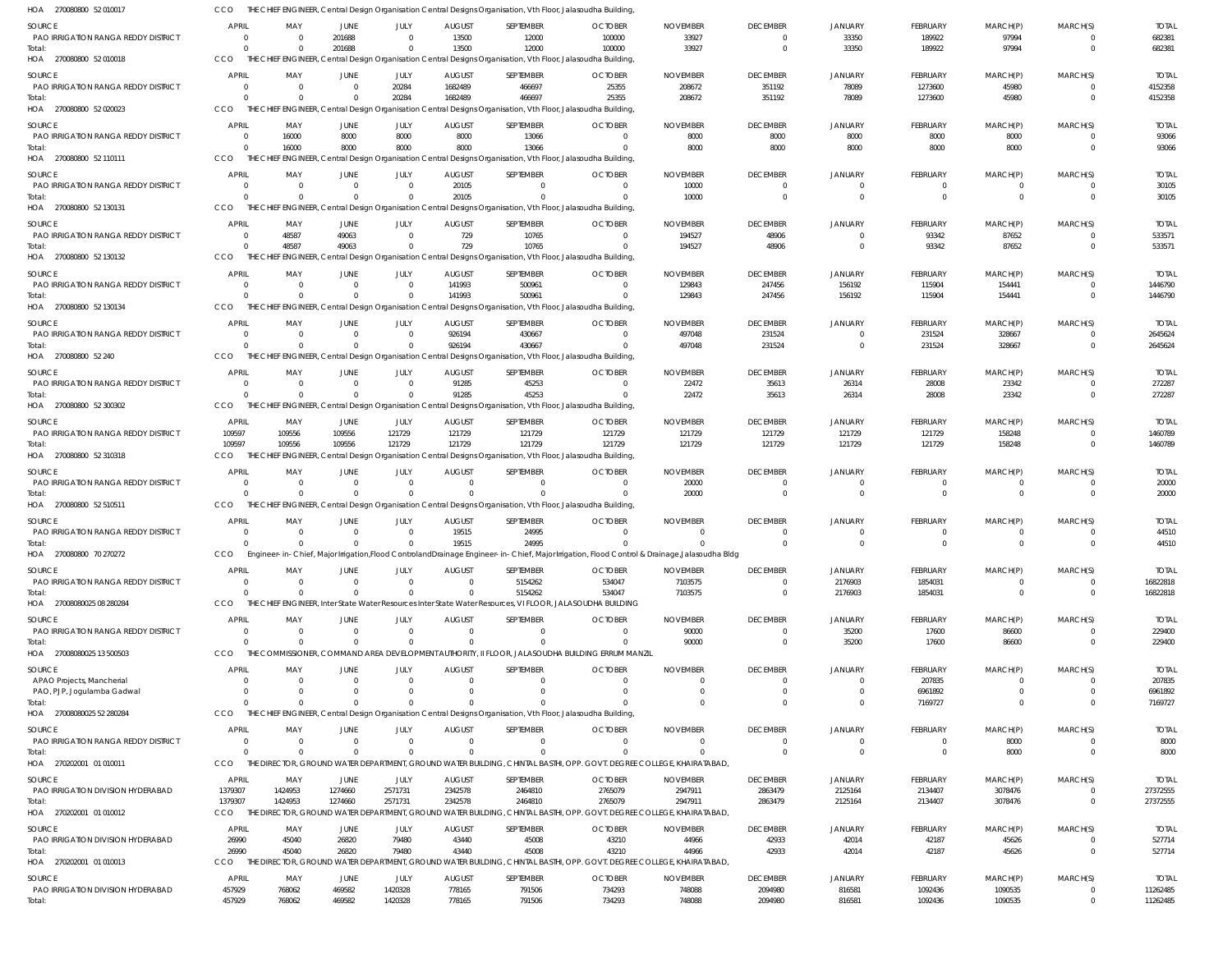| HOA 270080800 52 010017                              | CCO                                       |                                           |                               |                        |                                 | THE CHIEF ENGINEER, Central Design Organisation Central Designs Organisation, Vth Floor, Jalasoudha Building,           |                                                                                                                                            |                            |                             |                            |                            |                     |                      |                          |
|------------------------------------------------------|-------------------------------------------|-------------------------------------------|-------------------------------|------------------------|---------------------------------|-------------------------------------------------------------------------------------------------------------------------|--------------------------------------------------------------------------------------------------------------------------------------------|----------------------------|-----------------------------|----------------------------|----------------------------|---------------------|----------------------|--------------------------|
| <b>SOURCE</b>                                        | <b>APRIL</b>                              | MAY                                       | JUNE                          | JULY                   | <b>AUGUST</b>                   | SEPTEMBER                                                                                                               | <b>OCTOBER</b>                                                                                                                             | <b>NOVEMBER</b>            | <b>DECEMBER</b>             | <b>JANUARY</b>             | <b>FEBRUARY</b>            | MARCH(P)            | MARCH(S)             | <b>TOTAL</b>             |
| PAO IRRIGATION RANGA REDDY DISTRICT                  | - 0                                       | $\overline{\mathbf{0}}$                   | 201688                        | $\Omega$               | 13500                           | 12000                                                                                                                   | 100000                                                                                                                                     | 33927                      | $\Omega$                    | 33350                      | 189922                     | 97994               |                      | 682381                   |
| Total:<br>HOA 270080800 52 010018                    | $\Omega$<br>CCO                           | - 0                                       | 201688                        | $\Omega$               | 13500                           | 12000<br>THE CHIEF ENGINEER, Central Design Organisation Central Designs Organisation, Vth Floor, Jalasoudha Building,  | 100000                                                                                                                                     | 33927                      | $\Omega$                    | 33350                      | 189922                     | 97994               | $\Omega$             | 682381                   |
| <b>SOURCE</b>                                        | <b>APRIL</b>                              |                                           |                               |                        |                                 |                                                                                                                         |                                                                                                                                            |                            |                             |                            |                            |                     |                      | <b>TOTAL</b>             |
| PAO IRRIGATION RANGA REDDY DISTRICT                  | $\overline{\mathbf{0}}$                   | MAY<br>$\overline{0}$                     | JUNE<br>$\overline{0}$        | JULY<br>20284          | <b>AUGUST</b><br>1682489        | SEPTEMBER<br>466697                                                                                                     | <b>OCTOBER</b><br>25355                                                                                                                    | <b>NOVEMBER</b><br>208672  | <b>DECEMBER</b><br>351192   | <b>JANUARY</b><br>78089    | <b>FEBRUARY</b><br>1273600 | MARCH(P)<br>45980   | MARCH(S)<br>$\Omega$ | 4152358                  |
| Total:                                               | $\Omega$                                  | - 0                                       | $\Omega$                      | 20284                  | 1682489                         | 466697                                                                                                                  | 25355                                                                                                                                      | 208672                     | 351192                      | 78089                      | 1273600                    | 45980               | $\Omega$             | 4152358                  |
| HOA 270080800 52 020023                              | CCO                                       |                                           |                               |                        |                                 | THE CHIEF ENGINEER, Central Design Organisation Central Designs Organisation, Vth Floor, Jalasoudha Building,           |                                                                                                                                            |                            |                             |                            |                            |                     |                      |                          |
| SOURCE                                               | <b>APRIL</b>                              | MAY                                       | JUNE                          | JULY                   | <b>AUGUST</b>                   | SEPTEMBER                                                                                                               | <b>OCTOBER</b>                                                                                                                             | <b>NOVEMBER</b>            | <b>DECEMBER</b>             | <b>JANUARY</b>             | <b>FEBRUARY</b>            | MARCH(P)            | MARCH(S)             | <b>TOTAL</b>             |
| PAO IRRIGATION RANGA REDDY DISTRICT<br>Total:        | $\overline{\mathbf{0}}$<br>$\overline{0}$ | 16000<br>16000                            | 8000<br>8000                  | 8000<br>8000           | 8000<br>8000                    | 13066<br>13066                                                                                                          | $\Omega$<br>$\Omega$                                                                                                                       | 8000<br>8000               | 8000<br>8000                | 8000<br>8000               | 8000<br>8000               | 8000<br>8000        | $\Omega$             | 93066<br>93066           |
| HOA 270080800 52 110111                              | CCO                                       |                                           |                               |                        |                                 | THE CHIEF ENGINEER, Central Design Organisation Central Designs Organisation, Vth Floor, Jalasoudha Building,           |                                                                                                                                            |                            |                             |                            |                            |                     |                      |                          |
| <b>SOURCE</b>                                        | <b>APRIL</b>                              | MAY                                       | JUNE                          | JULY                   | <b>AUGUST</b>                   | SEPTEMBER                                                                                                               | <b>OCTOBER</b>                                                                                                                             | <b>NOVEMBER</b>            | <b>DECEMBER</b>             | <b>JANUARY</b>             | <b>FEBRUARY</b>            | MARCH(P)            | MARCH(S)             | <b>TOTAL</b>             |
| PAO IRRIGATION RANGA REDDY DISTRICT                  | $\overline{0}$                            | $\overline{\mathbf{0}}$                   | $\overline{0}$                | $\Omega$               | 20105                           | 0                                                                                                                       | $\Omega$                                                                                                                                   | 10000                      | $\Omega$                    | $\Omega$                   | 0                          | 0                   |                      | 30105                    |
| Total:                                               | $\Omega$                                  | $\Omega$                                  | $\Omega$                      | $\Omega$               | 20105                           | $\Omega$                                                                                                                | $\Omega$                                                                                                                                   | 10000                      | $\Omega$                    | $\Omega$                   | $\mathbf 0$                | $\Omega$            | $\Omega$             | 30105                    |
| HOA 270080800 52 130131                              | CCO                                       |                                           |                               |                        |                                 | THE CHIEF ENGINEER, Central Design Organisation Central Designs Organisation, Vth Floor, Jalasoudha Building,           |                                                                                                                                            |                            |                             |                            |                            |                     |                      |                          |
| <b>SOURCE</b><br>PAO IRRIGATION RANGA REDDY DISTRICT | <b>APRIL</b><br>$\overline{0}$            | MAY<br>48587                              | JUNE<br>49063                 | JULY<br>$\overline{0}$ | <b>AUGUST</b><br>729            | SEPTEMBER<br>10765                                                                                                      | <b>OCTOBER</b><br>$\Omega$                                                                                                                 | <b>NOVEMBER</b><br>194527  | <b>DECEMBER</b><br>48906    | <b>JANUARY</b><br>$\Omega$ | <b>FEBRUARY</b><br>93342   | MARCH(P)<br>87652   | MARCH(S)             | <b>TOTAL</b><br>533571   |
| Total:                                               | $\Omega$                                  | 48587                                     | 49063                         | $\Omega$               | 729                             | 10765                                                                                                                   | $\Omega$                                                                                                                                   | 194527                     | 48906                       | $\Omega$                   | 93342                      | 87652               | $\Omega$             | 533571                   |
| HOA 270080800 52 130132                              | CCO                                       |                                           |                               |                        |                                 | THE CHIEF ENGINEER, Central Design Organisation Central Designs Organisation, Vth Floor, Jalasoudha Building,           |                                                                                                                                            |                            |                             |                            |                            |                     |                      |                          |
| <b>SOURCE</b>                                        | <b>APRIL</b>                              | MAY                                       | JUNE                          | JULY                   | <b>AUGUST</b>                   | SEPTEMBER                                                                                                               | <b>OCTOBER</b>                                                                                                                             | <b>NOVEMBER</b>            | <b>DECEMBER</b>             | <b>JANUARY</b>             | FEBRUARY                   | MARCH(P)            | MARCH(S)             | <b>TOTAL</b>             |
| PAO IRRIGATION RANGA REDDY DISTRICT                  | $\overline{0}$                            | $\overline{0}$                            | $\overline{0}$                | $\Omega$               | 141993                          | 500961                                                                                                                  | $\Omega$                                                                                                                                   | 129843                     | 247456                      | 156192                     | 115904                     | 154441              | $\Omega$             | 1446790                  |
| Total:<br>HOA 270080800 52 130134                    | $\Omega$<br>CCO                           | $\Omega$                                  | $\overline{0}$                | $\Omega$               | 141993                          | 500961<br>THE CHIEF ENGINEER, Central Design Organisation Central Designs Organisation, Vth Floor, Jalasoudha Building, | $\Omega$                                                                                                                                   | 129843                     | 247456                      | 156192                     | 115904                     | 154441              | $\Omega$             | 1446790                  |
| <b>SOURCE</b>                                        | APRIL                                     | MAY                                       | JUNE                          | JULY                   | <b>AUGUST</b>                   | SEPTEMBER                                                                                                               | <b>OCTOBER</b>                                                                                                                             | <b>NOVEMBER</b>            | <b>DECEMBER</b>             | <b>JANUARY</b>             | <b>FEBRUARY</b>            | MARCH(P)            | MARCH(S)             | <b>TOTAL</b>             |
| PAO IRRIGATION RANGA REDDY DISTRICT                  | $\overline{\mathbf{0}}$                   | $\overline{\mathbf{0}}$                   | $\overline{0}$                | $\Omega$               | 926194                          | 430667                                                                                                                  | $\Omega$                                                                                                                                   | 497048                     | 231524                      | $\Omega$                   | 231524                     | 328667              |                      | 2645624                  |
| Total:                                               | $\Omega$                                  | $\Omega$                                  | $\Omega$                      | $\Omega$               | 926194                          | 430667                                                                                                                  | $\Omega$                                                                                                                                   | 497048                     | 231524                      | $\Omega$                   | 231524                     | 328667              | $\Omega$             | 2645624                  |
| HOA 270080800 52 240                                 | CCO                                       |                                           |                               |                        |                                 | THE CHIEF ENGINEER, Central Design Organisation Central Designs Organisation, Vth Floor, Jalasoudha Building,           |                                                                                                                                            |                            |                             |                            |                            |                     |                      |                          |
| <b>SOURCE</b>                                        | <b>APRIL</b>                              | MAY                                       | JUNE                          | JULY                   | <b>AUGUST</b>                   | SEPTEMBER                                                                                                               | <b>OCTOBER</b>                                                                                                                             | <b>NOVEMBER</b>            | <b>DECEMBER</b>             | <b>JANUARY</b>             | FEBRUARY                   | MARCH(P)            | MARCH(S)             | <b>TOTAL</b>             |
| PAO IRRIGATION RANGA REDDY DISTRICT<br>Total:        | $\overline{\mathbf{0}}$<br>$\Omega$       | $\overline{\mathbf{0}}$<br>$\overline{0}$ | $\overline{0}$<br>$\mathbf 0$ | $\Omega$<br>$\Omega$   | 91285<br>91285                  | 45253<br>45253                                                                                                          | $\Omega$<br>$\Omega$                                                                                                                       | 22472<br>22472             | 35613<br>35613              | 26314<br>26314             | 28008<br>28008             | 23342<br>23342      | $\Omega$             | 272287<br>272287         |
| HOA 270080800 52 300302                              | CCO                                       |                                           |                               |                        |                                 | THE CHIEF ENGINEER, Central Design Organisation Central Designs Organisation, Vth Floor, Jalasoudha Building,           |                                                                                                                                            |                            |                             |                            |                            |                     |                      |                          |
| <b>SOURCE</b>                                        | APRIL                                     | MAY                                       | JUNE                          | JULY                   | <b>AUGUST</b>                   | SEPTEMBER                                                                                                               | <b>OCTOBER</b>                                                                                                                             | <b>NOVEMBER</b>            | <b>DECEMBER</b>             | <b>JANUARY</b>             | FEBRUARY                   | MARCH(P)            | MARCH(S)             | <b>TOTAL</b>             |
| PAO IRRIGATION RANGA REDDY DISTRICT                  | 109597                                    | 109556                                    | 109556                        | 121729                 | 121729                          | 121729                                                                                                                  | 121729                                                                                                                                     | 121729                     | 121729                      | 121729                     | 121729                     | 158248              |                      | 1460789                  |
| Total:                                               | 109597                                    | 109556                                    | 109556                        | 121729                 | 121729                          | 121729                                                                                                                  | 121729                                                                                                                                     | 121729                     | 121729                      | 121729                     | 121729                     | 158248              | $\Omega$             | 1460789                  |
| HOA 270080800 52 310318                              | CCO                                       |                                           |                               |                        |                                 | THE CHIEF ENGINEER, Central Design Organisation Central Designs Organisation, Vth Floor, Jalasoudha Building,           |                                                                                                                                            |                            |                             |                            |                            |                     |                      |                          |
| <b>SOURCE</b><br>PAO IRRIGATION RANGA REDDY DISTRICT | <b>APRIL</b><br>$\overline{0}$            | MAY<br>$\overline{0}$                     | JUNE<br>$\overline{0}$        | JULY<br>$\Omega$       | <b>AUGUST</b><br>$\overline{0}$ | SEPTEMBER<br>$\overline{0}$                                                                                             | <b>OCTOBER</b><br>$\overline{0}$                                                                                                           | <b>NOVEMBER</b><br>20000   | <b>DECEMBER</b><br>$\Omega$ | <b>JANUARY</b><br>$\Omega$ | FEBRUARY<br>$\mathbf 0$    | MARCH(P)<br>0       | MARCH(S)<br>$\Omega$ | <b>TOTAL</b><br>20000    |
| Total:                                               | $\Omega$                                  | - 0                                       | $\Omega$                      |                        | $\Omega$                        | $\Omega$                                                                                                                | $\Omega$                                                                                                                                   | 20000                      | $\Omega$                    | $\Omega$                   | $\mathbf 0$                | $\Omega$            | $\Omega$             | 20000                    |
| HOA 270080800 52 510511                              | CCO                                       | THE                                       |                               |                        |                                 | CHIEF ENGINEER, Central Design Organisation Central Designs Organisation, Vth Floor, Jalasoudha Building,               |                                                                                                                                            |                            |                             |                            |                            |                     |                      |                          |
| SOURCE                                               | <b>APRIL</b>                              | MAY                                       | JUNE                          | JULY                   | <b>AUGUST</b>                   | SEPTEMBER                                                                                                               | <b>OCTOBER</b>                                                                                                                             | <b>NOVEMBER</b>            | <b>DECEMBER</b>             | <b>JANUARY</b>             | <b>FEBRUARY</b>            | MARCH(P)            | MARCH(S)             | <b>TOTAL</b>             |
| <b>PAO IRRIGATION RANGA REDDY DISTRICT</b>           | $\overline{\mathbf{0}}$<br>$\Omega$       | $\overline{\mathbf{0}}$<br>$\Omega$       | $\Omega$<br>$\Omega$          | $\Omega$<br>$\Omega$   | 19515<br>19515                  | 24995<br>24995                                                                                                          | $\Omega$                                                                                                                                   | $\Omega$                   | $\Omega$<br>$\Omega$        | $\cap$<br>$\Omega$         | $\Omega$                   | $\Omega$            | $\Omega$             | 44510                    |
| Total:<br>HOA 270080800 70 270272                    | CCO                                       |                                           |                               |                        |                                 |                                                                                                                         | Engineer-in-Chief, Major Irrigation,Flood ControlandDrainage Engineer-in-Chief, Major Irrigation, Flood Control & Drainage,Jalasoudha Bldg |                            |                             |                            |                            |                     |                      | 44510                    |
| SOURCE                                               | <b>APRIL</b>                              | MAY                                       | JUNE                          | JULY                   | <b>AUGUST</b>                   | SEPTEMBER                                                                                                               | <b>OCTOBER</b>                                                                                                                             | <b>NOVEMBER</b>            | <b>DECEMBER</b>             | <b>JANUARY</b>             | FEBRUARY                   | MARCH(P)            | MARCH(S)             | <b>TOTAL</b>             |
| PAO IRRIGATION RANGA REDDY DISTRICT                  | $\overline{\mathbf{0}}$                   | $\overline{\mathbf{0}}$                   | $\overline{0}$                | $\Omega$               | $\overline{0}$                  | 5154262                                                                                                                 | 534047                                                                                                                                     | 7103575                    | $\Omega$                    | 2176903                    | 1854031                    |                     |                      | 16822818                 |
| Total:                                               | $\Omega$                                  | $\overline{0}$                            | $\Omega$                      | $\Omega$               | $\Omega$                        | 5154262                                                                                                                 | 534047                                                                                                                                     | 7103575                    | $\Omega$                    | 2176903                    | 1854031                    | $\mathbf{0}$        | $\Omega$             | 16822818                 |
| HOA 27008080025 08 280284                            | CCO                                       |                                           |                               |                        |                                 | THE CHIEF ENGINEER, Inter State Water Resources Inter State Water Resources, VI FLOOR, JALASOUDHA BUILDING              |                                                                                                                                            |                            |                             |                            |                            |                     |                      |                          |
| SOURCE<br>PAO IRRIGATION RANGA REDDY DISTRICT        | <b>APRIL</b><br>- 0                       | MAY<br>$\overline{\mathbf{0}}$            | JUNE<br>$\overline{0}$        | JULY<br>$\Omega$       | <b>AUGUST</b><br>$\Omega$       | SEPTEMBER<br>$\overline{0}$                                                                                             | <b>OCTOBER</b><br>$\overline{0}$                                                                                                           | <b>NOVEMBER</b><br>90000   | <b>DECEMBER</b><br>$\Omega$ | <b>JANUARY</b><br>35200    | FEBRUARY<br>17600          | MARCH(P)<br>86600   | MARCH(S)             | <b>TOTAL</b><br>229400   |
| Total:                                               | $\Omega$                                  | $\Omega$                                  | $\Omega$                      | $\Omega$               | $\Omega$                        | $\Omega$                                                                                                                | $\Omega$                                                                                                                                   | 90000                      | $\Omega$                    | 35200                      | 17600                      | 86600               | $\Omega$             | 229400                   |
| HOA 27008080025 13 500503                            | CCO                                       |                                           |                               |                        |                                 |                                                                                                                         | THE COMMISSIONER, COMMAND AREA DEVELOPMENT AUTHORITY, II FLOOR, JALASOUDHA BUILDING ERRUM MANZIL                                           |                            |                             |                            |                            |                     |                      |                          |
| SOURCE                                               | <b>APRIL</b>                              | MAY                                       | JUNE                          | JULY                   | <b>AUGUST</b>                   | SEPTEMBER                                                                                                               | <b>OCTOBER</b>                                                                                                                             | <b>NOVEMBER</b>            | <b>DECEMBER</b>             | <b>JANUARY</b>             | FEBRUARY                   | MARCH(P)            | MARCH(S)             | <b>TOTAL</b>             |
| APAO Projects, Mancherial                            | $\overline{0}$                            | $\overline{\mathbf{0}}$                   | $\overline{0}$                | $\Omega$               | $\overline{0}$                  | $\Omega$                                                                                                                | $\Omega$                                                                                                                                   | $\mathbf 0$                | $\Omega$                    | $\Omega$                   | 207835                     | $\Omega$            |                      | 207835                   |
| PAO, PJP, Jogulamba Gadwal<br>Total:                 | $\overline{0}$<br>$\Omega$                | $\overline{0}$<br>- 0                     | 0<br>$\Omega$                 | $\Omega$               | $\Omega$<br>$\Omega$            | $\Omega$<br>$\Omega$                                                                                                    | $\Omega$<br>$\Omega$                                                                                                                       | 0<br>$\Omega$              | $\Omega$<br>$\Omega$        | $\Omega$<br>$\Omega$       | 6961892<br>7169727         | 0<br>0              | $\Omega$<br>$\Omega$ | 6961892<br>7169727       |
| HOA 27008080025 52 280284                            | CCO                                       |                                           |                               |                        |                                 | THE CHIEF ENGINEER, Central Design Organisation Central Designs Organisation, Vth Floor, Jalasoudha Building,           |                                                                                                                                            |                            |                             |                            |                            |                     |                      |                          |
| <b>SOURCE</b>                                        | <b>APRIL</b>                              | MAY                                       | JUNE                          | JULY                   | <b>AUGUST</b>                   | SEPTEMBER                                                                                                               | <b>OCTOBER</b>                                                                                                                             | <b>NOVEMBER</b>            | <b>DECEMBER</b>             | <b>JANUARY</b>             | FEBRUARY                   | MARCH(P)            | MARCH(S)             | <b>TOTAL</b>             |
| PAO IRRIGATION RANGA REDDY DISTRICT                  | $\overline{\mathbf{0}}$                   | $\overline{\mathbf{0}}$                   | $\overline{0}$                | $\Omega$               | $\Omega$                        | $\Omega$                                                                                                                | $\overline{0}$                                                                                                                             | $\overline{0}$             | $\Omega$                    | $\Omega$                   | $\mathbf 0$                | 8000                |                      | 8000                     |
| Total:<br>HOA 270202001 01 010011                    | $\Omega$<br>CCO                           | $\Omega$                                  | $\Omega$                      | $\Omega$               | $\Omega$                        | $\Omega$                                                                                                                | $\Omega$<br>THE DIRECTOR, GROUND WATER DEPARTMENT, GROUND WATER BUILDING, CHINTAL BASTHI, OPP. GOVT. DEGREE COLLEGE, KHAIRATABAD,          | $\Omega$                   | $\Omega$                    | $\Omega$                   | $\mathbf 0$                | 8000                | $\Omega$             | 8000                     |
|                                                      |                                           |                                           |                               |                        |                                 |                                                                                                                         |                                                                                                                                            |                            |                             |                            |                            |                     |                      |                          |
| SOURCE<br>PAO IRRIGATION DIVISION HYDERABAD          | <b>APRIL</b><br>1379307                   | MAY<br>1424953                            | JUNE<br>1274660               | JULY<br>2571731        | <b>AUGUST</b><br>2342578        | SEPTEMBER<br>2464810                                                                                                    | <b>OCTOBER</b><br>2765079                                                                                                                  | <b>NOVEMBER</b><br>2947911 | <b>DECEMBER</b><br>2863479  | <b>JANUARY</b><br>2125164  | FEBRUARY<br>2134407        | MARCH(P)<br>3078476 | MARCH(S)<br>$\Omega$ | <b>TOTAL</b><br>27372555 |
| Total:                                               | 1379307                                   | 1424953                                   | 1274660                       | 2571731                | 2342578                         | 2464810                                                                                                                 | 2765079                                                                                                                                    | 2947911                    | 2863479                     | 2125164                    | 2134407                    | 3078476             | $\Omega$             | 27372555                 |
| HOA 270202001 01 010012                              | <b>CCO</b>                                |                                           |                               |                        |                                 |                                                                                                                         | THE DIRECTOR, GROUND WATER DEPARTMENT, GROUND WATER BUILDING, CHINTAL BASTHI, OPP. GOVT. DEGREE COLLEGE, KHAIRATABAD,                      |                            |                             |                            |                            |                     |                      |                          |
| SOURCE                                               | <b>APRIL</b>                              | MAY                                       | JUNE                          | JULY                   | <b>AUGUST</b>                   | SEPTEMBER                                                                                                               | <b>OCTOBER</b>                                                                                                                             | <b>NOVEMBER</b>            | <b>DECEMBER</b>             | <b>JANUARY</b>             | FEBRUARY                   | MARCH(P)            | MARCH(S)             | <b>TOTAL</b>             |
| PAO IRRIGATION DIVISION HYDERABAD                    | 26990<br>26990                            | 45040<br>45040                            | 26820<br>26820                | 79480<br>79480         | 43440<br>43440                  | 45008<br>45008                                                                                                          | 43210<br>43210                                                                                                                             | 44966<br>44966             | 42933<br>42933              | 42014                      | 42187<br>42187             | 45626<br>45626      | $\Omega$             | 527714<br>527714         |
| Total:<br>HOA 270202001 01 010013                    | CCO                                       |                                           |                               |                        |                                 |                                                                                                                         | THE DIRECTOR, GROUND WATER DEPARTMENT, GROUND WATER BUILDING, CHINTAL BASTHI, OPP. GOVT. DEGREE COLLEGE, KHAIRATABAD,                      |                            |                             | 42014                      |                            |                     |                      |                          |
| <b>SOURCE</b>                                        | APRIL                                     | MAY                                       | JUNE                          | JULY                   | <b>AUGUST</b>                   | SEPTEMBER                                                                                                               | <b>OCTOBER</b>                                                                                                                             | <b>NOVEMBER</b>            | <b>DECEMBER</b>             | <b>JANUARY</b>             | FEBRUARY                   | MARCH(P)            | MARCH(S)             | <b>TOTAL</b>             |
| PAO IRRIGATION DIVISION HYDERABAD                    | 457929                                    | 768062                                    | 469582                        | 1420328                | 778165                          | 791506                                                                                                                  | 734293                                                                                                                                     | 748088                     | 2094980                     | 816581                     | 1092436                    | 1090535             |                      | 11262485                 |
| Total:                                               | 457929                                    | 768062                                    | 469582                        | 1420328                | 778165                          | 791506                                                                                                                  | 734293                                                                                                                                     | 748088                     | 2094980                     | 816581                     | 1092436                    | 1090535             |                      | 11262485                 |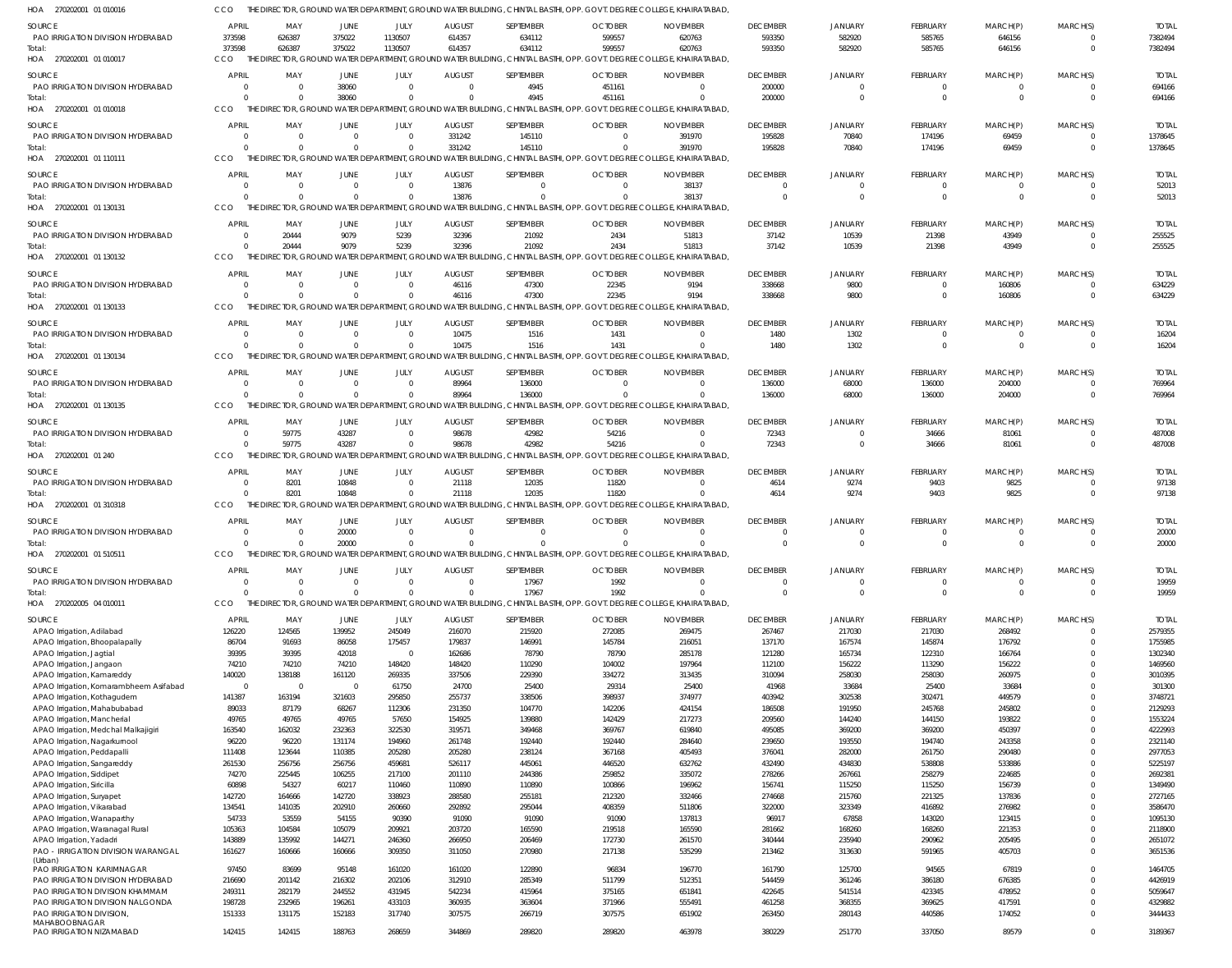270202001 01 010017 HOA 270202001 01 010018 270202001 01 110111 HOA 270202001 01 130131 270202001 01 130132 270202001 01 130133 HOA 270202001 01 130134 HOA 270202001 01 130135 270202001 01 240 HOA 270202001 01 310318 HOA 270202001 01 510511 270202005 04 010011 HOA HOA HOA HOA HOA HOA THE DIRECTOR, GROUND WATER DEPARTMENT, GROUND WATER BUILDING, CHINTAL BASTHI, OPP. GOVT. DEGREE COLLEGE, KHAIRATABAD, THE DIRECTOR, GROUND WATER DEPARTMENT, GROUND WATER BUILDING, CHINTAL BASTHI, OPP. GOVT. DEGREE COLLEGE, KHAIRATABAD, THE DIRECTOR, GROUND WATER DEPARTMENT, GROUND WATER BUILDING, CHINTAL BASTHI, OPP. GOVT. DEGREE COLLEGE, KHAIRATABAD, THE DIRECTOR, GROUND WATER DEPARTMENT, GROUND WATER BUILDING, CHINTAL BASTHI, OPP. GOVT. DEGREE COLLEGE, KHAIRATABAD, THE DIRECTOR, GROUND WATER DEPARTMENT, GROUND WATER BUILDING, CHINTAL BASTHI, OPP. GOVT. DEGREE COLLEGE, KHAIRATABAD, THE DIRECTOR, GROUND WATER DEPARTMENT, GROUND WATER BUILDING, CHINTAL BASTHI, OPP. GOVT. DEGREE COLLEGE, KHAIRATABAD, THE DIRECTOR, GROUND WATER DEPARTMENT, GROUND WATER BUILDING, CHINTAL BASTHI, OPP. GOVT. DEGREE COLLEGE, KHAIRATABAD, THE DIRECTOR, GROUND WATER DEPARTMENT, GROUND WATER BUILDING, CHINTAL BASTHI, OPP. GOVT. DEGREE COLLEGE, KHAIRATABAD, CCO THE DIRECTOR, GROUND WATER DEPARTMENT, GROUND WATER BUILDING, CHINTAL BASTHI, OPP. GOVT. DEGREE COLLEGE, KHAIRATABAD, THE DIRECTOR, GROUND WATER DEPARTMENT, GROUND WATER BUILDING, CHINTAL BASTHI, OPP. GOVT. DEGREE COLLEGE, KHAIRATABAD, THE DIRECTOR, GROUND WATER DEPARTMENT, GROUND WATER BUILDING, CHINTAL BASTHI, OPP. GOVT. DEGREE COLLEGE, KHAIRATABAD, THE DIRECTOR, GROUND WATER DEPARTMENT, GROUND WATER BUILDING, CHINTAL BASTHI, OPP. GOVT. DEGREE COLLEGE, KHAIRATABAD, CCO. **CCO CCO** CCO **CCO** CCO CCO. CCO CCO **CCO CCO**   $\Omega$   $\Omega$  $\Omega$   $\Omega$  $\Omega$   $\Omega$  $\Omega$   $\Omega$   $\bigcap$   $\Omega$   $\Omega$  $\Omega$   $\Omega$   $\Omega$   $\Omega$   $\Omega$   $\bigcap$   $\bigcap$   $\Omega$  $\bigcap$   $\bigcap$  $\bigcap$   $\Omega$   $\bigcap$   $\bigcap$   $\bigcap$   $\sqrt{2}$   $\Omega$   $\bigcap$  $\bigcap$   $\cap$   $\Omega$   $\Omega$   $\Omega$   $\Omega$   $\Omega$   $\Omega$   $\Omega$  $\Omega$   $\Omega$  $\Omega$   $\Omega$  PAO IRRIGATION DIVISION HYDERABAD PAO IRRIGATION DIVISION HYDERABAD PAO IRRIGATION DIVISION HYDERABAD PAO IRRIGATION DIVISION HYDERABAD PAO IRRIGATION DIVISION HYDERABAD PAO IRRIGATION DIVISION HYDERABAD PAO IRRIGATION DIVISION HYDERABAD PAO IRRIGATION DIVISION HYDERABAD PAO IRRIGATION DIVISION HYDERABAD PAO IRRIGATION DIVISION HYDERABAD PAO IRRIGATION DIVISION HYDERABAD PAO IRRIGATION DIVISION HYDERABAD APAO Irrigation, Adilabad APAO Irrigation, Bhoopalapally APAO Irrigation, Jagtial APAO Irrigation, Jangaon APAO Irrigation, Kamareddy APAO Irrigation, Komarambheem Asifabad APAO Irrigation, Kothagudem APAO Irrigation, Mahabubabad APAO Irrigation, Mancherial APAO Irrigation, Medchal Malkajigiri APAO Irrigation, Nagarkurnool APAO Irrigation, Peddapalli APAO Irrigation, Sangareddy APAO Irrigation, Siddipet APAO Irrigation, Siricilla APAO Irrigation, Suryapet APAO Irrigation, Vikarabad APAO Irrigation, Wanaparthy APAO Irrigation, Waranagal Rural APAO Irrigation, Yadadri PAO - IRRIGATION DIVISION WARANGAL (Urban) PAO IRRIGATION KARIMNAGAR PAO IRRIGATION DIVISION HYDERABAD PAO IRRIGATION DIVISION KHAMMAM PAO IRRIGATION DIVISION NALGONDA PAO IRRIGATION DIVISION, MAHABOOBNAGAR PAO IRRIGATION NIZAMABAD **SOURCE** SOURCE SOURCE SOURCE SOURCE **SOURCE SOURCE** SOURCE SOURCE SOURCE SOURCE **SOURCE** SOURCE APRIL **APRIL APRIL APRIL APRIL** APRIL APRIL APRIL APRIL APRIL APRIL APRIL APRIL  $\Omega$  MAY MAY MAY MAY MAY MAY MAY MAY MAY MAY MAY MAY MAY  $\Omega$  $\Omega$   $\Omega$  JUNE **JUNE** JUNE JUNE JUNE JUNE JUNE **JUNE** JUNE JUNE JUNE JUNE JUNE  $\Omega$   $\Omega$   $\Omega$   $\Omega$  JULY JULY JULY JULY JULY JULY JULY JULY JULY JULY JULY JULY JULY AUGUST AUGUST AUGUST AUGUST AUGUST AUGUST AUGUST **AUGUST** AUGUST AUGUST AUGUST AUGUST AUGUST  $\Omega$  SEPTEMBER SEPTEMBER SEPTEMBER SEPTEMBER SEPTEMBER SEPTEMBER SEPTEMBER **SEPTEMBER** SEPTEMBER SEPTEMBER SEPTEMBER SEPTEMBER SEPTEMBER  $\Omega$  $\Omega$  **OCTOBER OCTOBER OCTOBER OCTOBER OCTOBER** OCTOBER **OCTOBER OCTOBER** OCTOBER OCTOBER **OCTOBER** OCTOBER **OCTOBER**   $\Omega$   $\Omega$  $\Omega$   $\Omega$  NOVEMBER NOVEMBER NOVEMBER NOVEMBER NOVEMBER NOVEMBER NOVEMBER NOVEMBER NOVEMBER NOVEMBER NOVEMBER NOVEMBER NOVEMBER  $\Omega$   $\Omega$  DECEMBER **DECEMBER DECEMBER** DECEMBER **DECEMBER** DECEMBER DECEMBER DECEMBER DECEMBER DECEMBER DECEMBER DECEMBER DECEMBER  $\Omega$  **JANUARY** JANUARY **JANUARY** JANUARY **JANUARY** JANUARY JANUARY JANUARY JANUARY JANUARY **JANUARY JANUARY** JANUARY  $\Omega$   $\Omega$  $\Omega$  FEBRUARY FEBRUARY FEBRUARY FEBRUARY **FEBRUARY** FEBRUARY FEBRUARY FEBRUARY FEBRUARY FEBRUARY FEBRUARY FEBRUARY FEBRUARY  $\Omega$  MARCH(P) MARCH(P) MARCH(P) MARCH(P) MARCH(P) MARCH(P) MARCH(P) MARCH(P) MARCH(P) MARCH(P) MARCH(P) MARCH(P) MARCH(P)  $\Omega$   $\Omega$   $\Omega$   $\bigcap$   $\Omega$   $\bigcap$   $\bigcap$   $\Omega$   $\Omega$  MARCH(S) MARCH(S) MARCH(S) MARCH(S) MARCH(S) MARCH(S) MARCH(S) MARCH(S) MARCH(S) MARCH(S) MARCH(S) MARCH(S) MARCH(S) TOTAL TOTAL TOTAL TOTAL TOTAL TOTAL TOTAL TOTAL TOTAL TOTAL TOTAL TOTAL TOTAL Total: Total: Total: Total: Total: **Total** Total: Total: **Total** Total: Total: **Total** 

THE DIRECTOR, GROUND WATER DEPARTMENT, GROUND WATER BUILDING, CHINTAL BASTHI, OPP. GOVT. DEGREE COLLEGE, KHAIRATABAD,

270202001 01 010016 HOA

**CCO**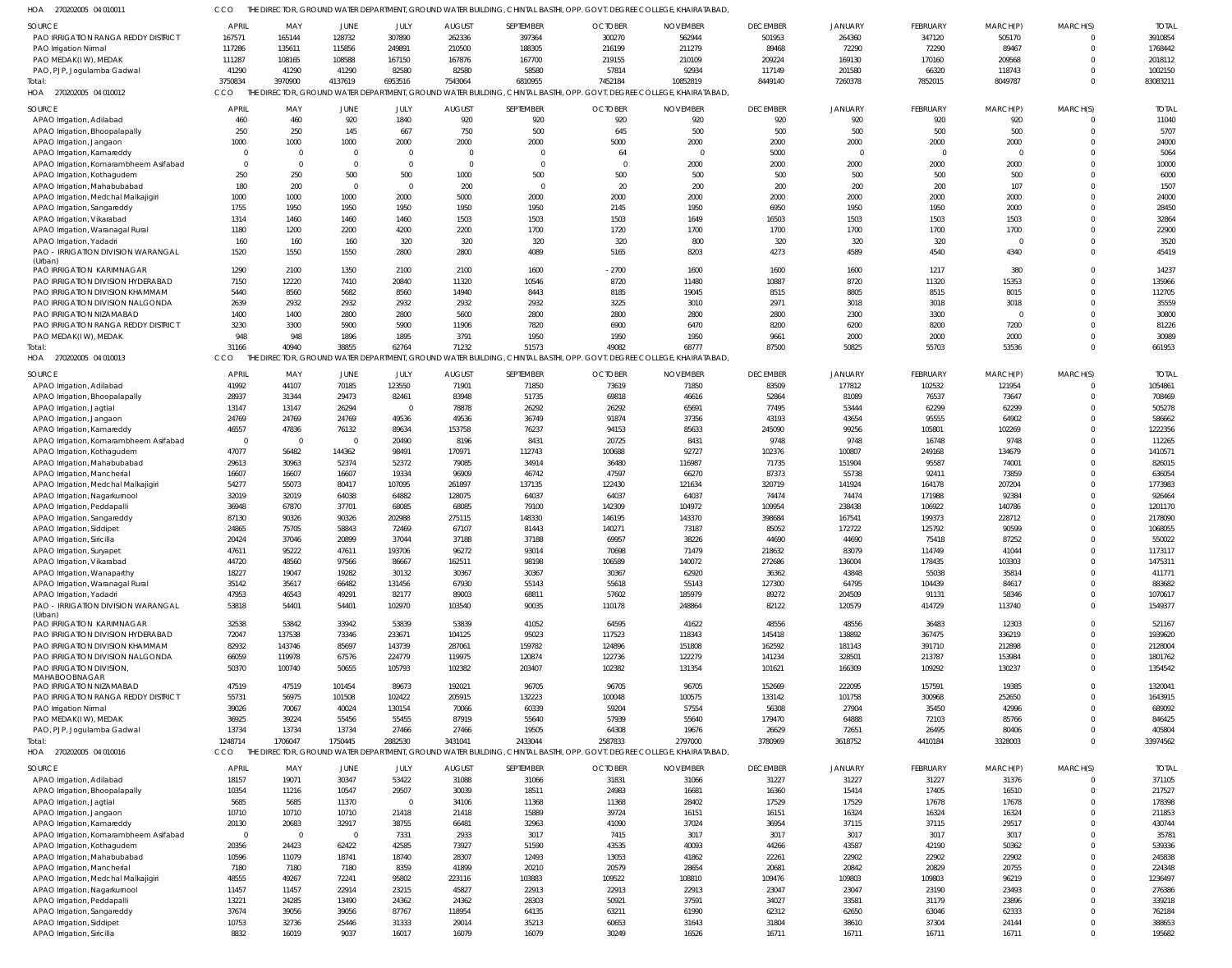270202005 04 010011 HOA CCO THE DIRECTOR, GROUND WATER DEPARTMENT, GROUND WATER BUILDING, CHINTAL BASTHI, OPP. GOVT. DEGREE COLLEGE, KHAIRATABAD,

| <b>SOURCE</b>                          | <b>APRIL</b>   | MAY            | JUNE           | JULY           | <b>AUGUST</b> | SEPTEMBER    | <b>OCTOBER</b> | <b>NOVEMBER</b>                                                                                                       | <b>DECEMBER</b> | <b>JANUARY</b> | <b>FEBRUARY</b> | MARCH(P)    | MARCH(S) | <b>TOTAI</b> |
|----------------------------------------|----------------|----------------|----------------|----------------|---------------|--------------|----------------|-----------------------------------------------------------------------------------------------------------------------|-----------------|----------------|-----------------|-------------|----------|--------------|
| PAO IRRIGATION RANGA REDDY DISTRICT    | 167571         | 165144         | 128732         | 307890         | 262336        | 397364       | 300270         | 562944                                                                                                                | 501953          | 264360         | 347120          | 505170      | $\Omega$ | 3910854      |
| PAO Irrigation Nirmal                  | 117286         | 135611         | 115856         | 249891         | 210500        | 188305       | 216199         | 211279                                                                                                                | 89468           | 72290          | 72290           | 89467       | $\Omega$ | 1768442      |
| PAO MEDAK(IW), MEDAK                   | 111287         | 108165         | 108588         | 167150         | 167876        | 167700       | 219155         | 210109                                                                                                                | 209224          | 169130         | 170160          | 209568      | $\Omega$ | 2018112      |
| PAO, PJP, Jogulamba Gadwal             | 41290          | 41290          | 41290          | 82580          | 82580         | 58580        | 57814          | 92934                                                                                                                 | 117149          | 201580         | 66320           | 118743      | $\Omega$ | 1002150      |
| Total:                                 | 3750834        | 3970900        | 4137619        | 6953516        | 7543064       | 6810955      | 7452184        | 10852819                                                                                                              | 8449140         | 7260378        | 7852015         | 8049787     | $\Omega$ | 83083211     |
|                                        |                |                |                |                |               |              |                |                                                                                                                       |                 |                |                 |             |          |              |
| 270202005 04 010012<br>HOA             | CCO            |                |                |                |               |              |                | THE DIRECTOR, GROUND WATER DEPARTMENT, GROUND WATER BUILDING, CHINTAL BASTHI, OPP. GOVT. DEGREE COLLEGE, KHAIRATABAD, |                 |                |                 |             |          |              |
| <b>SOURCE</b>                          | <b>APRIL</b>   | MAY            | <b>JUNE</b>    | JULY           | <b>AUGUST</b> | SEPTEMBER    | <b>OCTOBER</b> | <b>NOVEMBER</b>                                                                                                       | <b>DECEMBER</b> | <b>JANUARY</b> | <b>FEBRUARY</b> | MARCH(P)    | MARCH(S) | <b>TOTAL</b> |
|                                        | 460            | 460            | 920            | 1840           | 920           | 920          | 920            | 920                                                                                                                   | 920             | 920            | 920             | 920         |          | 11040        |
| APAO Irrigation, Adilabad              |                |                |                |                |               |              |                |                                                                                                                       |                 |                |                 |             |          |              |
| APAO Irrigation, Bhoopalapally         | 250            | 250            | 145            | 667            | 750           | 500          | 645            | 500                                                                                                                   | 500             | 500            | 500             | 500         | $\Omega$ | 5707         |
| APAO Irrigation, Jangaon               | 1000           | 1000           | 1000           | 2000           | 2000          | 2000         | 5000           | 2000                                                                                                                  | 2000            | 2000           | 2000            | 2000        | $\Omega$ | 24000        |
| APAO Irrigation, Kamareddy             | $\overline{0}$ | $\Omega$       | $\overline{0}$ | $\mathbf 0$    | $\Omega$      | $\mathsf{C}$ | 64             |                                                                                                                       | 5000            | $\Omega$       | $\overline{0}$  | $\mathbf 0$ |          | 5064         |
| APAO Irrigation, Komarambheem Asifabad | $\Omega$       | $\Omega$       | $\Omega$       | $\Omega$       | $\Omega$      | $\Omega$     | $\Omega$       | 2000                                                                                                                  | 2000            | 2000           | 2000            | 2000        |          | 10000        |
| APAO Irrigation, Kothagudem            | 250            | 250            | 500            | 500            | 1000          | 500          | 500            | 500                                                                                                                   | 500             | 500            | 500             | 500         |          | 6000         |
|                                        |                |                | - 0            |                |               | $\Omega$     |                |                                                                                                                       |                 |                |                 | 107         |          |              |
| APAO Irrigation, Mahabubabad           | 180            | 200            |                | $\overline{0}$ | 200           |              | 20             | 200                                                                                                                   | 200             | 200            | 200             |             |          | 1507         |
| APAO Irrigation, Medchal Malkajigiri   | 1000           | 1000           | 1000           | 2000           | 5000          | 2000         | 2000           | 2000                                                                                                                  | 2000            | 2000           | 2000            | 2000        |          | 24000        |
| APAO Irrigation, Sangareddy            | 1755           | 1950           | 1950           | 1950           | 1950          | 1950         | 2145           | 1950                                                                                                                  | 6950            | 1950           | 1950            | 2000        |          | 28450        |
| APAO Irrigation, Vikarabad             | 1314           | 1460           | 1460           | 1460           | 1503          | 1503         | 1503           | 1649                                                                                                                  | 16503           | 1503           | 1503            | 1503        |          | 32864        |
| APAO Irrigation, Waranagal Rural       | 1180           | 1200           | 2200           | 4200           | 2200          | 1700         | 1720           | 1700                                                                                                                  | 1700            | 1700           | 1700            | 1700        | $\Omega$ | 22900        |
| APAO Irrigation, Yadadri               | 160            | 160            | 160            | 320            | 320           | 320          | 320            | 800                                                                                                                   | 320             | 320            | 320             | $\Omega$    |          | 3520         |
|                                        |                |                |                |                |               |              |                |                                                                                                                       |                 |                |                 |             | $\Omega$ |              |
| PAO - IRRIGATION DIVISION WARANGAL     | 1520           | 1550           | 1550           | 2800           | 2800          | 4089         | 5165           | 8203                                                                                                                  | 4273            | 4589           | 4540            | 4340        |          | 45419        |
| (Urban)<br>PAO IRRIGATION KARIMNAGAR   | 1290           | 2100           | 1350           | 2100           | 2100          | 1600         | $-2700$        | 1600                                                                                                                  | 1600            | 1600           | 1217            | 380         |          | 14237        |
|                                        |                |                |                |                |               |              |                |                                                                                                                       |                 |                |                 |             |          |              |
| PAO IRRIGATION DIVISION HYDERABAD      | 7150           | 12220          | 7410           | 20840          | 11320         | 10546        | 8720           | 11480                                                                                                                 | 10887           | 8720           | 11320           | 15353       | $\Omega$ | 135966       |
| PAO IRRIGATION DIVISION KHAMMAM        | 5440           | 8560           | 5682           | 8560           | 14940         | 8443         | 8185           | 19045                                                                                                                 | 8515            | 8805           | 8515            | 8015        | $\Omega$ | 112705       |
| PAO IRRIGATION DIVISION NALGONDA       | 2639           | 2932           | 2932           | 2932           | 2932          | 2932         | 3225           | 3010                                                                                                                  | 2971            | 3018           | 3018            | 3018        |          | 35559        |
| PAO IRRIGATION NIZAMABAD               | 1400           | 1400           | 2800           | 2800           | 5600          | 2800         | 2800           | 2800                                                                                                                  | 2800            | 2300           | 3300            | $\mathbf 0$ |          | 30800        |
| PAO IRRIGATION RANGA REDDY DISTRICT    | 3230           | 3300           | 5900           | 5900           | 11906         | 7820         | 6900           | 6470                                                                                                                  | 8200            | 6200           | 8200            | 7200        |          | 81226        |
|                                        | 948            | 948            |                | 1895           | 3791          | 1950         |                | 1950                                                                                                                  |                 |                |                 |             |          |              |
| PAO MEDAK(IW), MEDAK                   |                |                | 1896           |                |               |              | 1950           |                                                                                                                       | 9661            | 2000           | 2000            | 2000        |          | 30989        |
| Total                                  | 31166          | 40940          | 38855          | 62764          | 71232         | 51573        | 49082          | 68777                                                                                                                 | 87500           | 50825          | 55703           | 53536       | $\Omega$ | 661953       |
| HOA<br>270202005 04 010013             | <b>CCO</b>     |                |                |                |               |              |                | THE DIRECTOR, GROUND WATER DEPARTMENT, GROUND WATER BUILDING, CHINTAL BASTHI, OPP. GOVT. DEGREE COLLEGE, KHAIRATABAD, |                 |                |                 |             |          |              |
|                                        |                |                |                |                |               |              |                |                                                                                                                       |                 |                |                 |             |          |              |
| SOURCE                                 | <b>APRIL</b>   | MAY            | JUNE           | JULY           | <b>AUGUST</b> | SEPTEMBER    | <b>OCTOBER</b> | <b>NOVEMBER</b>                                                                                                       | <b>DECEMBER</b> | JANUARY        | <b>FEBRUARY</b> | MARCH(P)    | MARCH(S) | <b>TOTAI</b> |
| APAO Irrigation, Adilabad              | 41992          | 44107          | 70185          | 123550         | 71901         | 71850        | 73619          | 71850                                                                                                                 | 83509           | 177812         | 102532          | 121954      | $\Omega$ | 1054861      |
| APAO Irrigation, Bhoopalapally         | 28937          | 31344          | 29473          | 82461          | 83948         | 51735        | 69818          | 46616                                                                                                                 | 52864           | 81089          | 76537           | 73647       | $\Omega$ | 708469       |
| APAO Irrigation, Jagtial               | 13147          | 13147          | 26294          | $\mathbf 0$    | 78878         | 26292        | 26292          | 65691                                                                                                                 | 77495           | 53444          | 62299           | 62299       | $\Omega$ | 505278       |
| APAO Irrigation, Jangaon               | 24769          | 24769          | 24769          | 49536          | 49536         | 36749        | 91874          | 37356                                                                                                                 | 43193           | 43654          | 95555           | 64902       | $\Omega$ | 586662       |
| APAO Irrigation, Kamareddy             | 46557          | 47836          | 76132          | 89634          | 153758        | 76237        | 94153          | 85633                                                                                                                 | 245090          | 99256          | 105801          | 102269      | $\Omega$ | 1222356      |
|                                        |                |                |                |                |               |              |                |                                                                                                                       |                 |                |                 |             |          |              |
| APAO Irrigation, Komarambheem Asifabad | $\Omega$       | $\overline{0}$ | $\overline{0}$ | 20490          | 8196          | 8431         | 20725          | 8431                                                                                                                  | 9748            | 9748           | 16748           | 9748        | $\Omega$ | 112265       |
| APAO Irrigation, Kothagudem            | 47077          | 56482          | 144362         | 98491          | 170971        | 112743       | 100688         | 92727                                                                                                                 | 102376          | 100807         | 249168          | 134679      | $\Omega$ | 1410571      |
| APAO Irrigation, Mahabubabad           | 29613          | 30963          | 52374          | 52372          | 79085         | 34914        | 36480          | 116987                                                                                                                | 71735           | 151904         | 95587           | 74001       | $\Omega$ | 826015       |
| APAO Irrigation, Mancherial            | 16607          | 16607          | 16607          | 19334          | 96909         | 46742        | 47597          | 66270                                                                                                                 | 87373           | 55738          | 92411           | 73859       | $\Omega$ | 636054       |
| APAO Irrigation, Medchal Malkajigiri   | 54277          | 55073          | 80417          | 107095         | 261897        | 137135       | 122430         | 121634                                                                                                                | 320719          | 141924         | 164178          | 207204      | $\Omega$ | 1773983      |
| APAO Irrigation, Nagarkurnool          | 32019          | 32019          | 64038          | 64882          | 128075        | 64037        | 64037          | 64037                                                                                                                 | 74474           | 74474          | 171988          | 92384       | $\Omega$ | 926464       |
|                                        |                |                |                |                |               |              |                |                                                                                                                       |                 |                |                 |             |          |              |
| APAO Irrigation, Peddapalli            | 36948          | 67870          | 37701          | 68085          | 68085         | 79100        | 142309         | 104972                                                                                                                | 109954          | 238438         | 106922          | 140786      |          | 1201170      |
| APAO Irrigation, Sangareddy            | 87130          | 90326          | 90326          | 202988         | 275115        | 148330       | 146195         | 143370                                                                                                                | 398684          | 167541         | 199373          | 228712      | $\Omega$ | 2178090      |
| APAO Irrigation, Siddipet              | 24865          | 75705          | 58843          | 72469          | 67107         | 81443        | 140271         | 73187                                                                                                                 | 85052           | 172722         | 125792          | 90599       | $\Omega$ | 1068055      |
| APAO Irrigation, Siricilla             | 20424          | 37046          | 20899          | 37044          | 37188         | 37188        | 69957          | 38226                                                                                                                 | 44690           | 44690          | 75418           | 87252       |          | 550022       |
| APAO Irrigation, Suryapet              | 47611          | 95222          | 47611          | 193706         | 96272         | 93014        | 70698          | 71479                                                                                                                 | 218632          | 83079          | 114749          | 41044       | $\Omega$ | 1173117      |
|                                        | 44720          | 48560          | 97566          | 86667          | 162511        | 98198        | 106589         | 140072                                                                                                                | 272686          |                | 178435          | 103303      | $\Omega$ | 1475311      |
| APAO Irrigation, Vikarabad             |                |                |                |                |               |              |                |                                                                                                                       |                 | 136004         |                 |             |          |              |
| APAO Irrigation, Wanaparthy            | 18227          | 19047          | 19282          | 30132          | 30367         | 30367        | 30367          | 62920                                                                                                                 | 36362           | 43848          | 55038           | 35814       | $\Omega$ | 411771       |
| APAO Irrigation, Waranagal Rural       | 35142          | 35617          | 66482          | 131456         | 67930         | 55143        | 55618          | 55143                                                                                                                 | 127300          | 64795          | 104439          | 84617       | $\Omega$ | 883682       |
| APAO Irrigation, Yadadri               | 47953          | 46543          | 49291          | 82177          | 89003         | 68811        | 57602          | 185979                                                                                                                | 89272           | 204509         | 91131           | 58346       | $\Omega$ | 1070617      |
| PAO - IRRIGATION DIVISION WARANGAL     | 53818          | 54401          | 54401          | 102970         | 103540        | 90035        | 110178         | 248864                                                                                                                | 82122           | 120579         | 414729          | 113740      | $\Omega$ | 1549377      |
| (Urban)                                |                |                |                |                |               |              |                |                                                                                                                       |                 |                |                 |             |          |              |
| <b>PAO IRRIGATION KARIMNAGAR</b>       | 32538          | 53842          | 33942          | 53839          | 53839         | 41052        | 64595          | 41622                                                                                                                 | 48556           | 48556          | 36483           | 12303       | $\Omega$ | 521167       |
| PAO IRRIGATION DIVISION HYDERABAD      | 72047          | 137538         | 73346          | 233671         | 104125        | 95023        | 117523         | 118343                                                                                                                | 145418          | 138892         | 367475          | 336219      | $\Omega$ | 1939620      |
| PAO IRRIGATION DIVISION KHAMMAM        | 82932          | 143746         | 85697          | 143739         | 287061        | 159782       | 124896         | 151808                                                                                                                | 162592          | 181143         | 391710          | 212898      | $\Omega$ | 2128004      |
| PAO IRRIGATION DIVISION NALGONDA       |                |                |                |                | 119975        |              |                |                                                                                                                       |                 | 328501         |                 |             | $\Omega$ |              |
|                                        | 66059          | 119978         | 67576          | 224779         |               | 120874       | 122736         | 122279                                                                                                                | 141234          |                | 213787          | 153984      |          | 1801762      |
| PAO IRRIGATION DIVISION,               | 50370          | 100740         | 50655          | 105793         | 102382        | 203407       | 102382         | 131354                                                                                                                | 101621          | 166309         | 109292          | 130237      | $\Omega$ | 1354542      |
| MAHABOOBNAGAR                          |                |                |                |                |               |              |                |                                                                                                                       |                 |                |                 |             |          |              |
| PAO IRRIGATION NIZAMABAD               | 47519          | 47519          | 101454         | 89673          | 192021        | 96705        | 96705          | 96705                                                                                                                 | 152669          | 222095         | 157591          | 19385       | $\Omega$ | 1320041      |
| PAO IRRIGATION RANGA REDDY DISTRICT    | 55731          | 56975          | 101508         | 102422         | 205915        | 132223       | 100048         | 100575                                                                                                                | 133142          | 101758         | 300968          | 252650      | $\Omega$ | 1643915      |
| PAO Irrigation Nirmal                  | 39026          | 70067          | 40024          | 130154         | 70066         | 60339        | 59204          | 57554                                                                                                                 | 56308           | 27904          | 35450           | 42996       | $\Omega$ | 689092       |
| PAO MEDAK(IW), MEDAK                   | 36925          | 39224          | 55456          | 55455          | 87919         | 55640        | 57939          | 55640                                                                                                                 | 179470          | 64888          | 72103           | 85766       | $\Omega$ | 846425       |
| PAO, PJP, Jogulamba Gadwal             | 13734          | 13734          | 13734          | 27466          | 27466         | 19505        | 64308          | 19676                                                                                                                 | 26629           | 72651          | 26495           | 80406       | $\Omega$ | 405804       |
| Total:                                 | 1248714        | 1706047        | 1750445        | 2882530        | 3431041       | 2433044      | 2587833        | 2797000                                                                                                               | 3780969         | 3618752        | 4410184         | 3328003     | $\Omega$ | 33974562     |
|                                        |                |                |                |                |               |              |                |                                                                                                                       |                 |                |                 |             |          |              |
| HOA 270202005 04 010016                | CCO            |                |                |                |               |              |                | THE DIRECTOR, GROUND WATER DEPARTMENT, GROUND WATER BUILDING, CHINTAL BASTHI, OPP. GOVT. DEGREE COLLEGE, KHAIRATABAD, |                 |                |                 |             |          |              |
| SOURCE                                 | <b>APRIL</b>   | MAY            | JUNE           | JULY           | <b>AUGUST</b> | SEPTEMBER    | <b>OCTOBER</b> | <b>NOVEMBER</b>                                                                                                       | <b>DECEMBER</b> | JANUARY        | FEBRUARY        | MARCH(P)    | MARCH(S) | <b>TOTAL</b> |
| APAO Irrigation, Adilabad              | 18157          | 19071          | 30347          | 53422          | 31088         | 31066        | 31831          | 31066                                                                                                                 | 31227           | 31227          | 31227           | 31376       |          | 371105       |
|                                        |                |                |                |                |               |              |                |                                                                                                                       |                 |                |                 |             |          |              |
| APAO Irrigation, Bhoopalapally         | 10354          | 11216          | 10547          | 29507          | 30039         | 18511        | 24983          | 16681                                                                                                                 | 16360           | 15414          | 17405           | 16510       | $\Omega$ | 217527       |
| APAO Irrigation, Jagtial               | 5685           | 5685           | 11370          | $\mathbf 0$    | 34106         | 11368        | 11368          | 28402                                                                                                                 | 17529           | 17529          | 17678           | 17678       | $\Omega$ | 178398       |
| APAO Irrigation, Jangaon               | 10710          | 10710          | 10710          | 21418          | 21418         | 15889        | 39724          | 16151                                                                                                                 | 16151           | 16324          | 16324           | 16324       |          | 211853       |
| APAO Irrigation, Kamareddy             | 20130          | 20683          | 32917          | 38755          | 66481         | 32963        | 41090          | 37024                                                                                                                 | 36954           | 37115          | 37115           | 29517       | $\Omega$ | 430744       |
| APAO Irrigation, Komarambheem Asifabad | $\overline{0}$ | $\overline{0}$ | $\overline{0}$ | 7331           | 2933          | 3017         | 7415           | 3017                                                                                                                  | 3017            | 3017           | 3017            | 3017        |          | 35781        |
|                                        |                |                |                |                |               |              |                |                                                                                                                       |                 |                |                 |             |          |              |
| APAO Irrigation, Kothagudem            | 20356          | 24423          | 62422          | 42585          | 73927         | 51590        | 43535          | 40093                                                                                                                 | 44266           | 43587          | 42190           | 50362       |          | 539336       |
| APAO Irrigation, Mahabubabad           | 10596          | 11079          | 18741          | 18740          | 28307         | 12493        | 13053          | 41862                                                                                                                 | 22261           | 22902          | 22902           | 22902       |          | 245838       |
| APAO Irrigation, Mancherial            | 7180           | 7180           | 7180           | 8359           | 41899         | 20210        | 20579          | 28654                                                                                                                 | 20681           | 20842          | 20829           | 20755       |          | 224348       |
| APAO Irrigation, Medchal Malkajigiri   | 48555          | 49267          | 72241          | 95802          | 223116        | 103883       | 109522         | 108810                                                                                                                | 109476          | 109803         | 109803          | 96219       |          | 1236497      |
| APAO Irrigation, Nagarkurnool          | 11457          | 11457          | 22914          | 23215          | 45827         | 22913        | 22913          | 22913                                                                                                                 | 23047           | 23047          | 23190           | 23493       |          | 276386       |
| APAO Irrigation, Peddapalli            | 13221          | 24285          | 13490          | 24362          | 24362         | 28303        | 50921          | 37591                                                                                                                 | 34027           | 33581          | 31179           | 23896       |          | 339218       |
|                                        |                |                |                |                |               |              |                |                                                                                                                       |                 |                |                 |             |          |              |
| APAO Irrigation, Sangareddy            | 37674          | 39056          | 39056          | 87767          | 118954        | 64135        | 63211          | 61990                                                                                                                 | 62312           | 62650          | 63046           | 62333       | $\Omega$ | 762184       |
| APAO Irrigation, Siddipet              | 10753          | 32736          | 25446          | 31333          | 29014         | 35213        | 60653          | 31643                                                                                                                 | 31804           | 38610          | 37304           | 24144       | $\Omega$ | 388653       |
| APAO Irrigation, Siricilla             | 8832           | 16019          | 9037           | 16017          | 16079         | 16079        | 30249          | 16526                                                                                                                 | 16711           | 16711          | 16711           | 16711       | $\Omega$ | 195682       |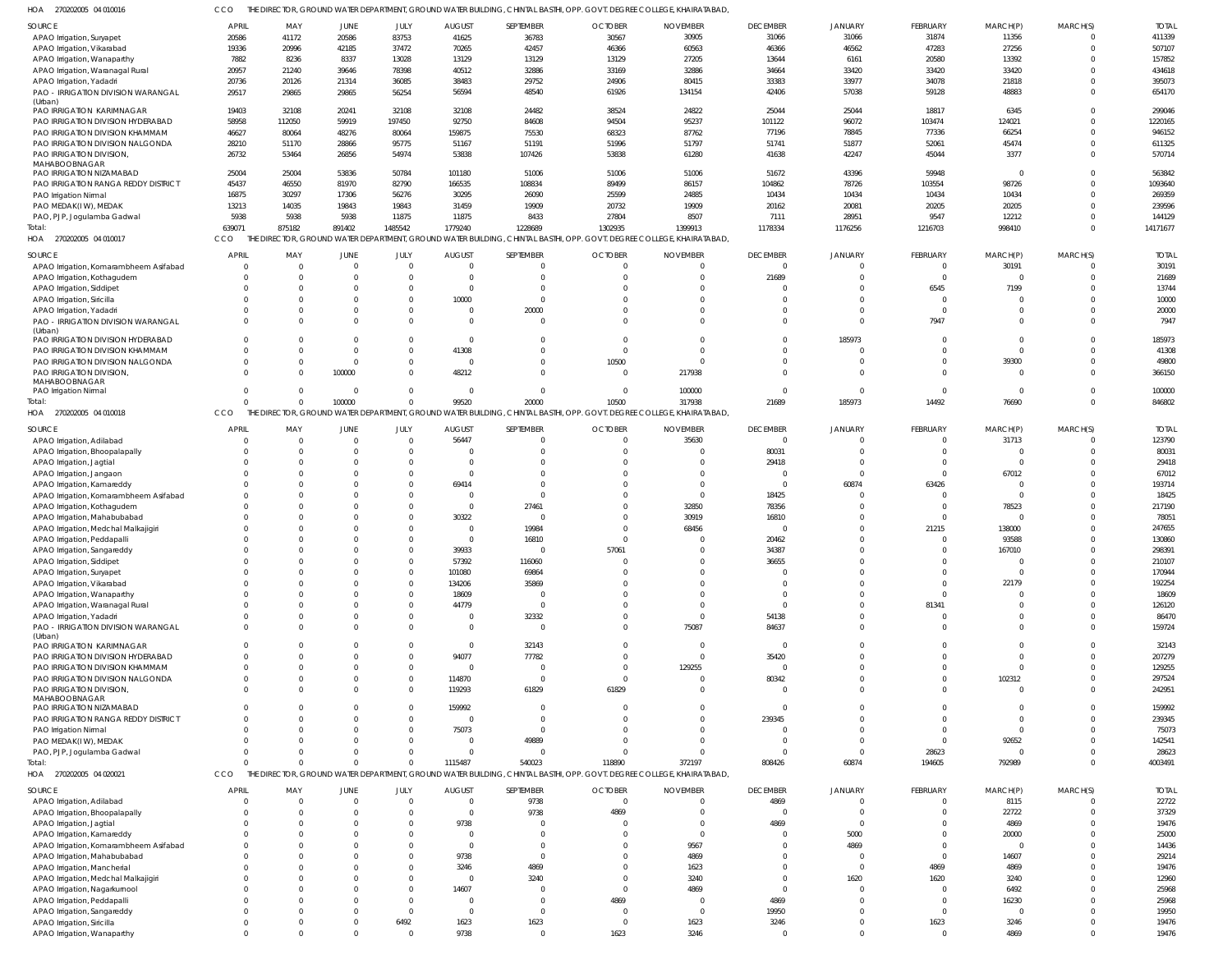| SOURCE                                                              | <b>APRIL</b>   | MAY                     | JUNE           | JULY           | <b>AUGUST</b>   | SEPTEMBER      | <b>OCTOBER</b>                                                                                                        | <b>NOVEMBER</b> | <b>DECEMBER</b> | <b>JANUARY</b> | FEBRUARY        | MARCH(P)          | MARCH(S)       | <b>TOTAL</b>     |
|---------------------------------------------------------------------|----------------|-------------------------|----------------|----------------|-----------------|----------------|-----------------------------------------------------------------------------------------------------------------------|-----------------|-----------------|----------------|-----------------|-------------------|----------------|------------------|
| APAO Irrigation, Suryapet                                           | 20586          | 41172                   | 20586          | 83753          | 41625           | 36783          | 30567                                                                                                                 | 30905           | 31066           | 31066          | 31874           | 11356             | $\overline{0}$ | 411339           |
| APAO Irrigation, Vikarabad                                          | 19336          | 20996                   | 42185          | 37472          | 70265           | 42457          | 46366                                                                                                                 | 60563           | 46366           | 46562          | 47283           | 27256             | $\Omega$       | 507107           |
| APAO Irrigation, Wanaparthy                                         | 7882           | 8236                    | 8337           | 13028          | 13129           | 13129          | 13129                                                                                                                 | 27205           | 13644           | 6161           | 20580           | 13392             | $\Omega$       | 157852           |
| APAO Irrigation, Waranagal Rural                                    | 20957          | 21240                   | 39646          | 78398          | 40512           | 32886          | 33169                                                                                                                 | 32886           | 34664           | 33420          | 33420           | 33420             | $\Omega$       | 434618           |
| APAO Irrigation, Yadadri                                            | 20736          | 20126                   | 21314          | 36085          | 38483           | 29752          | 24906                                                                                                                 | 80415           | 33383           | 33977          | 34078           | 21818             | $\Omega$       | 395073           |
| PAO - IRRIGATION DIVISION WARANGAL                                  | 29517          | 29865                   | 29865          | 56254          | 56594           | 48540          | 61926                                                                                                                 | 134154          | 42406           | 57038          | 59128           | 48883             | $\Omega$       | 654170           |
| (Urban)<br>PAO IRRIGATION KARIMNAGAR                                | 19403          | 32108                   | 20241          | 32108          | 32108           | 24482          | 38524                                                                                                                 | 24822           | 25044           | 25044          | 18817           | 6345              | $\Omega$       | 299046           |
| PAO IRRIGATION DIVISION HYDERABAD                                   | 58958          | 112050                  | 59919          | 197450         | 92750           | 84608          | 94504                                                                                                                 | 95237           | 101122          | 96072          | 103474          | 124021            | $\Omega$       | 1220165          |
|                                                                     |                |                         |                |                |                 |                |                                                                                                                       |                 |                 |                |                 |                   | $\Omega$       |                  |
| PAO IRRIGATION DIVISION KHAMMAM<br>PAO IRRIGATION DIVISION NALGONDA | 46627<br>28210 | 80064<br>51170          | 48276<br>28866 | 80064<br>95775 | 159875<br>51167 | 75530<br>51191 | 68323<br>51996                                                                                                        | 87762<br>51797  | 77196<br>51741  | 78845<br>51877 | 77336<br>52061  | 66254<br>45474    | $\Omega$       | 946152<br>611325 |
| PAO IRRIGATION DIVISION,                                            | 26732          |                         | 26856          | 54974          | 53838           | 107426         | 53838                                                                                                                 | 61280           | 41638           | 42247          | 45044           | 3377              | $\Omega$       | 570714           |
| MAHABOOBNAGAR                                                       |                | 53464                   |                |                |                 |                |                                                                                                                       |                 |                 |                |                 |                   |                |                  |
| PAO IRRIGATION NIZAMABAD                                            | 25004          | 25004                   | 53836          | 50784          | 101180          | 51006          | 51006                                                                                                                 | 51006           | 51672           | 43396          | 59948           | $\overline{0}$    | $\Omega$       | 563842           |
| PAO IRRIGATION RANGA REDDY DISTRICT                                 | 45437          | 46550                   | 81970          | 82790          | 166535          | 108834         | 89499                                                                                                                 | 86157           | 104862          | 78726          | 103554          | 98726             | $\Omega$       | 1093640          |
| PAO Irrigation Nirmal                                               | 16875          | 30297                   | 17306          | 56276          | 30295           | 26090          | 25599                                                                                                                 | 24885           | 10434           | 10434          | 10434           | 10434             | $\Omega$       | 269359           |
| PAO MEDAK(IW), MEDAK                                                | 13213          | 14035                   | 19843          | 19843          | 31459           | 19909          | 20732                                                                                                                 | 19909           | 20162           | 20081          | 20205           | 20205             | $\Omega$       | 239596           |
| PAO, PJP, Jogulamba Gadwal                                          | 5938           | 5938                    | 5938           | 11875          | 11875           | 8433           | 27804                                                                                                                 | 8507            | 7111            | 28951          | 9547            | 12212             | $\Omega$       | 144129           |
| Total:                                                              | 639071         | 875182                  | 891402         | 1485542        | 1779240         | 1228689        | 1302935                                                                                                               | 1399913         | 1178334         | 1176256        | 1216703         | 998410            | $\Omega$       | 14171677         |
| HOA 270202005 04 010017                                             | CCO            |                         |                |                |                 |                | THE DIRECTOR, GROUND WATER DEPARTMENT, GROUND WATER BUILDING, CHINTAL BASTHI, OPP. GOVT. DEGREE COLLEGE, KHAIRATABAD, |                 |                 |                |                 |                   |                |                  |
|                                                                     |                |                         |                |                |                 |                |                                                                                                                       |                 |                 |                |                 |                   |                |                  |
| SOURCE                                                              | APRIL          | MAY                     | JUNE           | JULY           | <b>AUGUST</b>   | SEPTEMBER      | <b>OCTOBER</b>                                                                                                        | <b>NOVEMBER</b> | <b>DECEMBER</b> | <b>JANUARY</b> | <b>FEBRUARY</b> | MARCH(P)          | MARCH(S)       | <b>TOTAI</b>     |
| APAO Irrigation, Komarambheem Asifabad                              | $\Omega$       | $\overline{\mathbf{0}}$ | $\Omega$       | $\Omega$       | $\Omega$        |                | $\Omega$                                                                                                              | $\Omega$        | $\Omega$        | $\Omega$       | $^{\circ}$      | 30191             | $\Omega$       | 30191            |
| APAO Irrigation, Kothagudem                                         | $\Omega$       | $\Omega$                |                | $\Omega$       | $\Omega$        | $\Omega$       | $\Omega$                                                                                                              | $\Omega$        | 21689           | $\Omega$       | $\mathbf 0$     | $\mathbf 0$       | $\Omega$       | 21689            |
| APAO Irrigation, Siddipet                                           | $\Omega$       | $\Omega$                |                | $\Omega$       | $\Omega$        |                | $\Omega$                                                                                                              | $\Omega$        | $\Omega$        | $\Omega$       | 6545            | 7199              | $\Omega$       | 13744            |
| APAO Irrigation, Siricilla                                          | $\Omega$       | $\Omega$                |                |                | 10000           | $\Omega$       | $\Omega$                                                                                                              | $\Omega$        | $\Omega$        | $\Omega$       | $\Omega$        | $\Omega$          |                | 10000            |
| APAO Irrigation, Yadadri                                            |                | $\Omega$                |                | $\Omega$       | $\overline{0}$  | 20000          | $\Omega$                                                                                                              | $\Omega$        | $\Omega$        | $\Omega$       | $\Omega$        | $\Omega$          | $\Omega$       | 20000            |
| PAO - IRRIGATION DIVISION WARANGAL                                  | $\Omega$       | $\Omega$                |                | $\Omega$       | $\Omega$        | $\Omega$       | $\Omega$                                                                                                              | $\Omega$        | $\Omega$        | $\Omega$       | 7947            | $\Omega$          | $\Omega$       | 7947             |
| (Urban)                                                             |                |                         |                |                |                 |                |                                                                                                                       |                 |                 |                |                 |                   |                |                  |
| PAO IRRIGATION DIVISION HYDERABAD                                   | $\Omega$       | $\Omega$                |                | $\Omega$       | $\overline{0}$  |                | $\Omega$                                                                                                              | $\Omega$        | $\Omega$        | 185973         | $\Omega$        | $\Omega$          | $\Omega$       | 185973           |
| PAO IRRIGATION DIVISION KHAMMAM                                     | $\Omega$       | $\Omega$                |                | $\Omega$       | 41308           | $\Omega$       | $\overline{0}$                                                                                                        | $\Omega$        | $\Omega$        | $\Omega$       | $\Omega$        | $\Omega$          |                | 41308            |
| PAO IRRIGATION DIVISION NALGONDA                                    | $\Omega$       | $\Omega$                | $\Omega$       | $\Omega$       | $\overline{0}$  | $\Omega$       | 10500                                                                                                                 | $\Omega$        | $\Omega$        | $\Omega$       | $\Omega$        | 39300             | $\Omega$       | 49800            |
| <b>PAO IRRIGATION DIVISION.</b>                                     | $\Omega$       | $\Omega$                | 100000         | $\Omega$       | 48212           | $\Omega$       | $\overline{0}$                                                                                                        | 217938          | $\Omega$        | $\Omega$       | $\Omega$        | $\Omega$          | $\Omega$       | 366150           |
| MAHABOOBNAGAR<br>PAO Irrigation Nirmal                              | $\Omega$       | $\Omega$                |                | $\Omega$       | $\Omega$        | $\Omega$       | $\overline{0}$                                                                                                        | 100000          | $\Omega$        | $\Omega$       | $\Omega$        | $\Omega$          | $\Omega$       | 100000           |
| Total:                                                              | $\Omega$       | $\Omega$                | 100000         | $\Omega$       | 99520           | 20000          | 10500                                                                                                                 | 317938          | 21689           | 185973         | 14492           | 76690             | $\Omega$       | 846802           |
| HOA 270202005 04 010018                                             | CCO            |                         |                |                |                 |                | THE DIRECTOR, GROUND WATER DEPARTMENT, GROUND WATER BUILDING, CHINTAL BASTHI, OPP. GOVT. DEGREE COLLEGE, KHAIRATABAD, |                 |                 |                |                 |                   |                |                  |
|                                                                     |                |                         |                |                |                 |                |                                                                                                                       |                 |                 |                |                 |                   |                |                  |
| SOURCE                                                              | <b>APRIL</b>   | MAY                     | JUNE           | JULY           | <b>AUGUST</b>   | SEPTEMBER      | <b>OCTOBER</b>                                                                                                        | <b>NOVEMBER</b> | <b>DECEMBER</b> | <b>JANUARY</b> | <b>FEBRUARY</b> | MARCH(P)          | MARCH(S)       | <b>TOTAI</b>     |
| APAO Irrigation, Adilabad                                           | $\Omega$       | $\overline{\mathbf{0}}$ | $\Omega$       | $\Omega$       | 56447           | 0              | $\overline{0}$                                                                                                        | 35630           | $\overline{0}$  | $\Omega$       | $\mathbf 0$     | 31713             | $\Omega$       | 123790           |
| APAO Irrigation, Bhoopalapally                                      | $\Omega$       | $\overline{0}$          |                | $\Omega$       | $\overline{0}$  | $\Omega$       | $^{\circ}$                                                                                                            | $\overline{0}$  | 80031           | $\Omega$       | $\Omega$        | $\mathbf 0$       | $\Omega$       | 80031            |
| APAO Irrigation, Jagtial                                            | $\Omega$       | $\Omega$                |                | $\Omega$       | $\overline{0}$  | U              | $\Omega$                                                                                                              | $\Omega$        | 29418           | $\Omega$       | $\Omega$        | $\Omega$          | $\Omega$       | 29418            |
| APAO Irrigation, Jangaon                                            | $\Omega$       | $\Omega$                |                | $\Omega$       | $\overline{0}$  |                | $\Omega$                                                                                                              | $\Omega$        | $\Omega$        | $\Omega$       | $\Omega$        | 67012             |                | 67012            |
| APAO Irrigation, Kamareddy                                          | $\Omega$       | $\Omega$                |                | $\Omega$       | 69414           | $\Omega$       | $\Omega$                                                                                                              | $\Omega$        | $\Omega$        | 60874          | 63426           | $\mathbf 0$       | $\Omega$       | 193714           |
| APAO Irrigation, Komarambheem Asifabad                              | $\Omega$       | $\Omega$                |                | $\Omega$       | $\overline{0}$  | $\Omega$       | $\Omega$                                                                                                              | $\overline{0}$  | 18425           | $\Omega$       | $\Omega$        | $\Omega$          | $\Omega$       | 18425            |
| APAO Irrigation, Kothagudem                                         | $\Omega$       | $\Omega$                |                | $\Omega$       | $\overline{0}$  | 27461          | $\Omega$                                                                                                              | 32850           | 78356           | $\Omega$       | $\Omega$        | 78523             | $\Omega$       | 217190           |
| APAO Irrigation, Mahabubabad                                        | $\Omega$       | $\Omega$                |                | $\Omega$       | 30322           | $\Omega$       | $\Omega$                                                                                                              | 30919           | 16810           | $\Omega$       | $\Omega$        | $\Omega$          | $\Omega$       | 78051            |
| APAO Irrigation, Medchal Malkajigiri                                | $\Omega$       | $\Omega$                |                | $\Omega$       | $\overline{0}$  | 19984          | $\Omega$                                                                                                              | 68456           | $\Omega$        | $\Omega$       | 21215           | 138000            | $\Omega$       | 247655           |
| APAO Irrigation, Peddapalli                                         | $\Omega$       | $\Omega$                |                | $\Omega$       | $\overline{0}$  | 16810          | $\Omega$                                                                                                              | $\Omega$        | 20462           | $\Omega$       | $\Omega$        | 93588             |                | 130860           |
| APAO Irrigation, Sangareddy                                         | $\Omega$       | $\Omega$                |                | $\Omega$       | 39933           | 0              | 57061                                                                                                                 | $\Omega$        | 34387           | $\Omega$       | $\Omega$        | 167010            |                | 298391           |
| APAO Irrigation, Siddipet                                           | $\Omega$       | $\Omega$                |                | $\Omega$       | 57392           | 116060         | $\Omega$                                                                                                              | $\Omega$        | 36655           | $\Omega$       | $\Omega$        | $\Omega$          | $\Omega$       | 210107           |
| APAO Irrigation, Suryapet                                           |                |                         |                |                | 101080          | 69864          |                                                                                                                       |                 |                 |                |                 | $\Omega$          |                | 170944           |
| APAO Irrigation, Vikarabad                                          |                | $\Omega$                |                | $\Omega$       | 134206          | 35869          | $\Omega$                                                                                                              | $\Omega$        | $\Omega$        |                | $\Omega$        | 22179             | $\Omega$       | 192254           |
| APAO Irrigation, Wanaparthy                                         | $\Omega$       | $\Omega$                |                | $\Omega$       | 18609           | 0              | $\Omega$                                                                                                              | $\Omega$        | $\Omega$        | $\Omega$       | $\Omega$        | $\Omega$          | $\Omega$       | 18609            |
| APAO Irrigation, Waranagal Rural                                    |                | $\Omega$                |                |                | 44779           | $\Omega$       | $\Omega$                                                                                                              | $\Omega$        | $\Omega$        | $\Omega$       | 81341           | $\Omega$          |                | 126120           |
| APAO Irrigation, Yadadri                                            | $\Omega$       | $\Omega$                |                | <sup>0</sup>   | $\overline{0}$  | 32332          | $\Omega$                                                                                                              | $\Omega$        | 54138           | $\Omega$       | $\mathbf 0$     | $\Omega$          | $\Omega$       | 86470            |
| PAO - IRRIGATION DIVISION WARANGAL                                  | $\Omega$       | $\Omega$                |                | $\Omega$       | $\overline{0}$  | $\mathbf 0$    | $\Omega$                                                                                                              | 75087           | 84637           | $\Omega$       | $\Omega$        | $\Omega$          | $\Omega$       | 159724           |
| (Urban)                                                             |                |                         |                |                |                 |                |                                                                                                                       |                 |                 |                |                 |                   |                |                  |
| PAO IRRIGATION KARIMNAGAR                                           | $\Omega$       | $\Omega$                |                |                | $\overline{0}$  | 32143          | $\mathbf 0$                                                                                                           | $\Omega$        | $\Omega$        | $\Omega$       | $\Omega$        | $\Omega$          | $\Omega$       | 32143            |
| PAO IRRIGATION DIVISION HYDERABAD                                   | $\Omega$       | $\Omega$                |                | $\Omega$       | 94077           | 77782          | $\Omega$                                                                                                              | $\overline{0}$  | 35420           | $\Omega$       | $\Omega$        | $\Omega$          | $\Omega$       | 207279           |
| PAO IRRIGATION DIVISION KHAMMAM                                     | $\Omega$       | $\Omega$                |                | $\Omega$       | $\overline{0}$  | $\mathbf 0$    | $\Omega$                                                                                                              | 129255          | $\Omega$        | $\Omega$       | $\Omega$        | $\Omega$          | $\Omega$       | 129255           |
| PAO IRRIGATION DIVISION NALGONDA                                    | $\Omega$       | $\Omega$                |                | $\Omega$       | 114870          | $\mathbf 0$    | $\overline{0}$                                                                                                        | $\overline{0}$  | 80342           | $\Omega$       | $\Omega$        | 102312            |                | 297524           |
| PAO IRRIGATION DIVISION,                                            | $\Omega$       | $\Omega$                |                | $\Omega$       | 119293          | 61829          | 61829                                                                                                                 | $\Omega$        | $\Omega$        | $\Omega$       | $\Omega$        | $\overline{0}$    | $\Omega$       | 242951           |
| MAHABOOBNAGAR                                                       |                |                         |                |                |                 |                |                                                                                                                       |                 |                 |                |                 |                   |                |                  |
| PAO IRRIGATION NIZAMABAD                                            | $\Omega$       | $\Omega$                |                | $\Omega$       | 159992          | 0              | $\Omega$                                                                                                              | $\Omega$        | $\Omega$        | $\Omega$       | $\Omega$        | $\Omega$          | $\Omega$       | 159992           |
| PAO IRRIGATION RANGA REDDY DISTRICT                                 | $\Omega$       | $\Omega$                |                | $\Omega$       | $\overline{0}$  | $\Omega$       | $\Omega$                                                                                                              | $\Omega$        | 239345          | $\Omega$       | $\Omega$        | $\Omega$          | $\Omega$       | 239345           |
| PAO Irrigation Nirmal                                               | $\Omega$       | $\Omega$                |                | $\Omega$       | 75073           | $\Omega$       | $\Omega$                                                                                                              | $\Omega$        | $\Omega$        | $\Omega$       | $\Omega$        | $\mathbf 0$       | $\Omega$       | 75073            |
| PAO MEDAK(IW), MEDAK                                                | $\Omega$       | $\Omega$                |                | $\Omega$       | $\overline{0}$  | 49889          | $\Omega$                                                                                                              | $\Omega$        | $\Omega$        | $\Omega$       | $\Omega$        | 92652             | $\Omega$       | 142541           |
| PAO, PJP, Jogulamba Gadwal                                          | $\Omega$       | $\Omega$                |                | $\Omega$       | $\overline{0}$  | 0              | $\Omega$                                                                                                              | $\Omega$        | $\Omega$        | $\Omega$       | 28623           | $\mathbf 0$       |                | 28623            |
| Total:                                                              | $\Omega$       | $\Omega$                |                |                | 1115487         | 540023         | 118890                                                                                                                | 372197          | 808426          | 60874          | 194605          | 792989            | $\Omega$       | 4003491          |
| HOA 270202005 04 020021                                             | CCO            |                         |                |                |                 |                | THE DIRECTOR, GROUND WATER DEPARTMENT, GROUND WATER BUILDING, CHINTAL BASTHI, OPP. GOVT. DEGREE COLLEGE, KHAIRATABAD, |                 |                 |                |                 |                   |                |                  |
| SOURCE                                                              | <b>APRIL</b>   | MAY                     | JUNE           | JULY           | <b>AUGUST</b>   | SEPTEMBER      | <b>OCTOBER</b>                                                                                                        | <b>NOVEMBER</b> | <b>DECEMBER</b> | <b>JANUARY</b> | FEBRUARY        | MARCH(P)          | MARCH(S)       | <b>TOTAL</b>     |
|                                                                     | $\Omega$       | $\overline{0}$          | $\Omega$       | $\Omega$       | $\overline{0}$  | 9738           | $\overline{0}$                                                                                                        | $\Omega$        | 4869            | $\Omega$       | $\Omega$        | 8115              | $\Omega$       | 22722            |
| APAO Irrigation, Adilabad                                           | $\Omega$       | $\overline{0}$          |                |                | $\Omega$        | 9738           | 4869                                                                                                                  | $\Omega$        | $\Omega$        | $\Omega$       | $\Omega$        | 22722             | $\Omega$       | 37329            |
| APAO Irrigation, Bhoopalapally                                      |                | $\Omega$                |                | $\Omega$       | 9738            |                | $\Omega$                                                                                                              | $\Omega$        | 4869            | $\Omega$       | $\Omega$        | 4869              | $\Omega$       | 19476            |
| APAO Irrigation, Jagtial                                            |                | $\Omega$                |                |                | $\Omega$        |                | $\Omega$                                                                                                              | $\Omega$        | $\Omega$        | 5000           | $\Omega$        |                   | $\Omega$       | 25000            |
| APAO Irrigation, Kamareddy                                          |                |                         |                |                | $\Omega$        |                |                                                                                                                       |                 | $\Omega$        | 4869           | $\Omega$        | 20000<br>$\Omega$ |                |                  |
| APAO Irrigation, Komarambheem Asifabad                              |                | $\Omega$                |                |                |                 | $\Omega$       | $\Omega$                                                                                                              | 9567            | $\Omega$        |                | $\Omega$        |                   | $\Omega$       | 14436            |
| APAO Irrigation, Mahabubabad                                        |                | $\Omega$                |                |                | 9738            |                | $\Omega$                                                                                                              | 4869            |                 | $\Omega$       |                 | 14607             |                | 29214            |
| APAO Irrigation, Mancherial                                         |                | $\Omega$                |                |                | 3246            | 4869           | $\Omega$                                                                                                              | 1623            | $\Omega$        | $\Omega$       | 4869            | 4869              | $\Omega$       | 19476            |
| APAO Irrigation, Medchal Malkajigiri                                |                | $\Omega$                |                |                | $\overline{0}$  | 3240           | $\Omega$                                                                                                              | 3240            | $\Omega$        | 1620           | 1620            | 3240              |                | 12960            |
| APAO Irrigation, Nagarkurnool                                       |                | $\Omega$                |                |                | 14607           |                | $\Omega$                                                                                                              | 4869            | $\Omega$        | $\Omega$       | $\Omega$        | 6492              | $\Omega$       | 25968            |
| APAO Irrigation, Peddapalli                                         |                | $\Omega$                |                |                | $\Omega$        | U              | 4869                                                                                                                  | - 0             | 4869            | $\Omega$       | $\Omega$        | 16230             |                | 25968            |
| APAO Irrigation, Sangareddy                                         | $\Omega$       | $\Omega$                |                | $\Omega$       | $\Omega$        | $\Omega$       | $\Omega$                                                                                                              | $\Omega$        | 19950           | $\Omega$       | $\Omega$        | $\Omega$          |                | 19950            |
| APAO Irrigation, Siricilla                                          | $\Omega$       | $\Omega$                |                | 6492           | 1623<br>9738    | 1623           | $\overline{0}$<br>1623                                                                                                | 1623            | 3246            | $\Omega$       | 1623            | 3246              |                | 19476            |
| APAO Irrigation, Wanaparthy                                         | $\Omega$       | $\Omega$                |                | $\Omega$       |                 | $\Omega$       |                                                                                                                       | 3246            | $\overline{0}$  | $\overline{0}$ | $\Omega$        | 4869              | $\Omega$       | 19476            |

270202005 04 010016 HOA CCO THE DIRECTOR, GROUND WATER DEPARTMENT, GROUND WATER BUILDING, CHINTAL BASTHI, OPP. GOVT. DEGREE COLLEGE, KHAIRATABAD,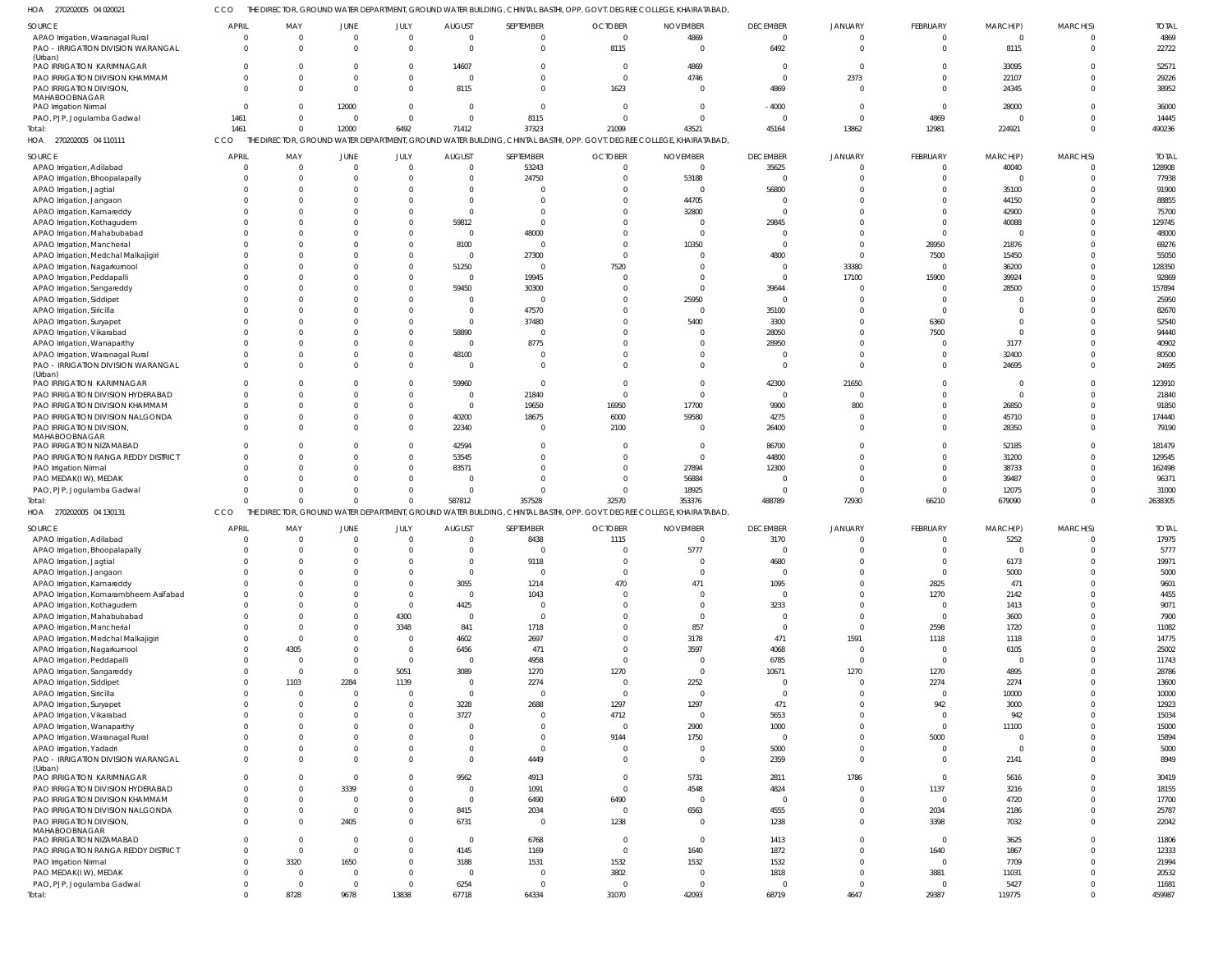270202005 04 020021 HOA

CCO THE DIRECTOR, GROUND WATER DEPARTMENT, GROUND WATER BUILDING, CHINTAL BASTHI, OPP. GOVT. DEGREE COLLEGE, KHAIRATABAD,

| SOURCE                                        | <b>APRIL</b>                   | MAY            | <b>JUNE</b> | JULY           | <b>AUGUST</b>  | SEPTEMBER      | <b>OCTOBER</b>                                                                                           | <b>NOVEMBER</b>                                                                                                       | <b>DECEMBER</b>  | <b>JANUARY</b> | FEBRUARY                         | MARCH(P)       | MARCH(S)                       | <b>TOTAL</b> |
|-----------------------------------------------|--------------------------------|----------------|-------------|----------------|----------------|----------------|----------------------------------------------------------------------------------------------------------|-----------------------------------------------------------------------------------------------------------------------|------------------|----------------|----------------------------------|----------------|--------------------------------|--------------|
| APAO Irrigation, Waranagal Rural              | $\overline{0}$                 | $\overline{0}$ | - 0         | $\overline{0}$ | $\mathsf{C}$   | 0              | $\overline{0}$                                                                                           | 4869                                                                                                                  | $\mathbf{0}$     | $\Omega$       | $\mathbf 0$                      | $\overline{0}$ | $\mathbf{0}$                   | 4869         |
| PAO - IRRIGATION DIVISION WARANGAL            | $\Omega$                       | $\Omega$       |             | $\overline{0}$ | $\mathsf{C}$   | 0              | 8115                                                                                                     | $\overline{0}$                                                                                                        | 6492             | $\Omega$       | $\mathbf 0$                      | 8115           | $\overline{0}$                 | 22722        |
| (Urban)<br>PAO IRRIGATION KARIMNAGAR          | $\mathbf{0}$                   | $\Omega$       |             | $\mathbf{0}$   | 14607          | 0              | $\overline{0}$                                                                                           | 4869                                                                                                                  | $\Omega$         | $\Omega$       | $\Omega$                         | 33095          | $\mathbf 0$                    | 52571        |
| PAO IRRIGATION DIVISION KHAMMAM               | $\Omega$                       | $\Omega$       |             | $\Omega$       | C              | $\Omega$       | $\overline{0}$                                                                                           | 4746                                                                                                                  | $\Omega$         | 2373           | $\Omega$                         | 22107          | $\mathbf 0$                    | 29226        |
|                                               | $\Omega$                       | $\Omega$       | $\cap$      | $\Omega$       | 8115           | $\Omega$       | 1623                                                                                                     | $\Omega$                                                                                                              |                  |                | $\Omega$                         |                | $\mathbf 0$                    | 38952        |
| PAO IRRIGATION DIVISION,<br>MAHABOOBNAGAR     |                                |                |             |                |                |                |                                                                                                          |                                                                                                                       | 4869             |                |                                  | 24345          |                                |              |
| PAO Irrigation Nirmal                         | $\Omega$                       | $\Omega$       | 12000       | $\Omega$       | $\mathsf{C}$   | $\Omega$       | $\overline{0}$                                                                                           | $\Omega$                                                                                                              | $-4000$          | $\Omega$       | $\Omega$                         | 28000          | $\Omega$                       | 36000        |
| PAO, PJP, Jogulamba Gadwal                    | 1461                           | $\mathbf{0}$   | $\Omega$    | $\mathbf{0}$   | $\mathsf{C}$   | 8115           | $\overline{0}$                                                                                           | $\Omega$                                                                                                              | $\Omega$         | $\Omega$       | 4869                             | $\Omega$       | $\mathbf 0$                    | 14445        |
| Total:                                        | 1461                           | $\mathbf{0}$   | 12000       | 6492           | 71412          | 37323          | 21099                                                                                                    | 43521                                                                                                                 | 45164            | 13862          | 12981                            | 224921         | $\overline{0}$                 | 490236       |
| HOA 270202005 04 110111                       | CCO                            |                |             |                |                |                |                                                                                                          | THE DIRECTOR, GROUND WATER DEPARTMENT, GROUND WATER BUILDING, CHINTAL BASTHI, OPP. GOVT. DEGREE COLLEGE, KHAIRATABAD, |                  |                |                                  |                |                                |              |
|                                               |                                |                |             |                |                |                |                                                                                                          |                                                                                                                       |                  |                |                                  |                |                                |              |
| SOURCE                                        | <b>APRIL</b>                   | MAY            | JUNE        | JULY           | <b>AUGUST</b>  | SEPTEMBER      | <b>OCTOBER</b>                                                                                           | <b>NOVEMBER</b>                                                                                                       | <b>DECEMBER</b>  | JANUARY        | FEBRUARY                         | MARCH(P)       | MARCH(S)                       | <b>TOTAL</b> |
| APAO Irrigation, Adilabad                     | $\Omega$                       | $\overline{0}$ | $\Omega$    | $\Omega$       | $\overline{0}$ | 53243          | $\overline{0}$                                                                                           | $\overline{0}$                                                                                                        | 35625            |                | $\mathbf 0$                      | 40040          | $\mathbf 0$                    | 128908       |
| APAO Irrigation, Bhoopalapally                | $\Omega$                       | $\overline{0}$ |             | $\Omega$       | $\mathsf{C}$   | 24750          | $\overline{0}$                                                                                           | 53188                                                                                                                 | $\Omega$         | $\Omega$       | $\Omega$                         | $\Omega$       | $\mathbf 0$                    | 77938        |
| APAO Irrigation, Jagtial                      | $\Omega$                       | $\Omega$       |             | $\Omega$       |                |                | $\Omega$                                                                                                 | $\overline{0}$                                                                                                        | 56800            |                |                                  | 35100          | $\Omega$                       | 91900        |
| APAO Irrigation, Jangaon                      | $\Omega$                       | $\Omega$       |             | $\Omega$       | $\Omega$       |                | $\Omega$                                                                                                 | 44705                                                                                                                 | $\Omega$         |                |                                  | 44150          | $\Omega$                       | 88855        |
| APAO Irrigation, Kamareddy                    |                                | $\Omega$       |             | $\Omega$       | $\Omega$       |                | $\Omega$                                                                                                 | 32800                                                                                                                 | $\Omega$         |                |                                  | 42900          | $\Omega$                       | 75700        |
| APAO Irrigation, Kothagudem                   | $\Omega$                       | $\Omega$       |             | $\Omega$       | 59812          |                | $\Omega$                                                                                                 | $\Omega$                                                                                                              | 29845            |                | $\Omega$                         | 40088          | $\Omega$                       | 129745       |
| APAO Irrigation, Mahabubabad                  | $\Omega$                       | $\Omega$       |             | $\Omega$       | $\mathsf{C}$   | 48000          | $\Omega$                                                                                                 | $\Omega$                                                                                                              | $\Omega$         |                | $\Omega$                         | $\Omega$       | $\Omega$                       | 48000        |
| APAO Irrigation, Mancherial                   |                                | $\Omega$       |             | $\Omega$       | 8100           |                | $\Omega$                                                                                                 | 10350                                                                                                                 | $\Omega$         | $\Omega$       | 28950                            | 21876          | $\Omega$                       | 69276        |
| APAO Irrigation, Medchal Malkajigiri          | $\Omega$                       | $\Omega$       |             | $\Omega$       | C              | 27300          | $\overline{0}$                                                                                           | $\Omega$                                                                                                              | 4800             | $\Omega$       | 7500                             | 15450          | $\Omega$                       | 55050        |
| APAO Irrigation, Nagarkurnoo                  | $\Omega$                       | $\Omega$       |             | $\Omega$       | 51250          | $\Omega$       | 7520                                                                                                     | C                                                                                                                     | $\Omega$         | 33380          | $\Omega$                         | 36200          | $\Omega$                       | 128350       |
| APAO Irrigation, Peddapalli                   | $\Omega$                       | $\Omega$       |             | $\Omega$       | $\mathsf{C}$   | 19945          | $\Omega$                                                                                                 | C                                                                                                                     | $\Omega$         | 17100          | 15900                            | 39924          | $\Omega$                       | 92869        |
| APAO Irrigation, Sangareddy                   | $\Omega$                       | $\Omega$       |             | $\Omega$       | 59450          | 30300          | $\Omega$                                                                                                 | $\Omega$                                                                                                              | 39644            |                | $\Omega$                         | 28500          | $\Omega$                       | 157894       |
|                                               |                                | $\Omega$       |             | $\Omega$       | C              |                | $\Omega$                                                                                                 | 25950                                                                                                                 | $\Omega$         |                | $\Omega$                         | $\Omega$       | $\Omega$                       | 25950        |
| APAO Irrigation, Siddipet                     |                                |                |             |                |                |                |                                                                                                          |                                                                                                                       |                  |                |                                  |                |                                |              |
| APAO Irrigation, Siricilla                    | $\Omega$                       | $\Omega$       |             | $\Omega$       | C              | 47570          | $\Omega$                                                                                                 | $\Omega$                                                                                                              | 35100            | $\Omega$       | $\Omega$                         | $\Omega$       | $\Omega$                       | 82670        |
| APAO Irrigation, Suryapet                     | $\Omega$                       | $\Omega$       |             | $\Omega$       | $\overline{0}$ | 37480          | $\Omega$                                                                                                 | 5400                                                                                                                  | 3300             |                | 6360                             | $\Omega$       | $\Omega$                       | 52540        |
| APAO Irrigation, Vikarabad                    | $\Omega$                       | $\Omega$       |             | $\Omega$       | 58890          |                | $\Omega$                                                                                                 | C                                                                                                                     | 28050            |                | 7500                             | $\Omega$       | $\Omega$                       | 94440        |
| APAO Irrigation, Wanaparthy                   | $\Omega$                       | $\Omega$       |             | $\Omega$       | $\overline{0}$ | 8775           | $\Omega$                                                                                                 | $\Omega$                                                                                                              | 28950            | $\Omega$       | $\Omega$                         | 3177           | $\Omega$                       | 40902        |
| APAO Irrigation, Waranagal Rural              | $\Omega$                       | $\Omega$       |             | $\Omega$       | 48100          |                | $\Omega$                                                                                                 | C                                                                                                                     | - 0              | $\Omega$       | $\Omega$                         | 32400          | $\Omega$                       | 80500        |
| PAO - IRRIGATION DIVISION WARANGAL            | $\Omega$                       | $\Omega$       |             | $\Omega$       | $\mathsf{C}$   |                | $\Omega$                                                                                                 | $\Omega$                                                                                                              | $\Omega$         | $\cap$         | $\Omega$                         | 24695          | $\Omega$                       | 24695        |
| (Urban)                                       |                                |                |             |                |                |                |                                                                                                          |                                                                                                                       |                  |                |                                  |                |                                |              |
| PAO IRRIGATION KARIMNAGAR                     | $\Omega$                       | $\Omega$       |             | $\Omega$       | 59960          | $\Omega$       | $\overline{0}$                                                                                           | $\Omega$                                                                                                              | 42300            | 21650          | $\Omega$                         | $\overline{0}$ | $\Omega$                       | 123910       |
| PAO IRRIGATION DIVISION HYDERABAD             | $\Omega$                       | $\Omega$       |             | $\Omega$       | - 0            | 21840          | $\overline{0}$                                                                                           | $\Omega$                                                                                                              | $\Omega$         |                | U                                | $\Omega$       | $\Omega$                       | 21840        |
| PAO IRRIGATION DIVISION KHAMMAM               | $\Omega$                       | $\Omega$       |             | $\Omega$       | $\overline{0}$ | 19650          | 16950                                                                                                    | 17700                                                                                                                 | 9900             | 800            | $\Omega$                         | 26850          | $\Omega$                       | 91850        |
| PAO IRRIGATION DIVISION NALGONDA              | $\Omega$                       | $\Omega$       |             | $\Omega$       | 40200          | 18675          | 6000                                                                                                     | 59580                                                                                                                 | 4275             | - 0            |                                  | 45710          | $\Omega$                       | 174440       |
| PAO IRRIGATION DIVISION,                      | $\Omega$                       | $\Omega$       |             | $\Omega$       | 22340          |                | 2100                                                                                                     | - 0                                                                                                                   | 26400            | $\Omega$       | $\Omega$                         | 28350          | $\Omega$                       | 79190        |
| MAHABOOBNAGAR                                 |                                |                |             |                |                |                |                                                                                                          |                                                                                                                       |                  | $\Omega$       | $\Omega$                         | 52185          | $\Omega$                       | 181479       |
|                                               |                                |                |             |                |                |                |                                                                                                          |                                                                                                                       |                  |                |                                  |                |                                |              |
| PAO IRRIGATION NIZAMABAD                      | $\Omega$                       | $\Omega$       |             | $\Omega$       | 42594          |                | 0                                                                                                        | $\Omega$                                                                                                              | 86700            |                |                                  |                |                                |              |
| PAO IRRIGATION RANGA REDDY DISTRICT           | $\Omega$                       | $\Omega$       |             | $\mathbf 0$    | 53545          |                | $\Omega$                                                                                                 | $\Omega$                                                                                                              | 44800            | $\Omega$       | $\Omega$                         | 31200          | $\Omega$                       | 129545       |
| <b>PAO Irrigation Nirmal</b>                  | $\Omega$                       | $\Omega$       |             | $\Omega$       | 83571          |                | $\Omega$                                                                                                 | 27894                                                                                                                 | 12300            | $\Omega$       | $\Omega$                         | 38733          | $\Omega$                       | 162498       |
| PAO MEDAK(IW), MEDAK                          | $\Omega$                       | $\Omega$       |             | $\Omega$       | - 0            |                | $\Omega$                                                                                                 | 56884                                                                                                                 |                  | $\cap$         | $\Omega$                         | 39487          | $\Omega$                       | 96371        |
| PAO, PJP, Jogulamba Gadwal                    | $\Omega$                       | $\Omega$       |             | $\Omega$       | $\mathsf{C}$   |                | $\overline{0}$                                                                                           | 18925                                                                                                                 | $\Omega$         | $\Omega$       | $\Omega$                         | 12075          | $\Omega$                       | 31000        |
| Total:                                        | $\cap$                         | $\Omega$       | $\Omega$    | $\Omega$       | 587812         | 357528         | 32570                                                                                                    | 353376                                                                                                                | 488789           | 72930          | 66210                            | 679090         | $\Omega$                       | 2638305      |
| HOA 270202005 04 130131                       | CCO                            |                |             |                |                |                | THE DIRECTOR, GROUND WATER DEPARTMENT, GROUND WATER BUILDING, CHINTAL BASTHI, OPP. GOVT. DEGREE COLLEGE, | KHAIRATABAD,                                                                                                          |                  |                |                                  |                |                                |              |
|                                               |                                |                |             |                |                |                |                                                                                                          |                                                                                                                       |                  |                |                                  |                |                                |              |
| SOURCE                                        | <b>APRIL</b>                   | MAY            | JUNE        | JULY           | <b>AUGUST</b>  | SEPTEMBER      | <b>OCTOBER</b>                                                                                           | <b>NOVEMBER</b>                                                                                                       | <b>DECEMBER</b>  | <b>JANUARY</b> | FEBRUARY                         | MARCH(P)       | MARCH(S)                       | <b>TOTAL</b> |
| APAO Irrigation, Adilabad                     | $\Omega$                       | 0              | $\Omega$    | $\overline{0}$ |                | 8438           | 1115                                                                                                     | $\overline{0}$                                                                                                        | 3170             | $\Omega$       | $\mathbf 0$                      | 5252           | $\mathbf 0$                    | 17975        |
| APAO Irrigation, Bhoopalapally                | $\overline{0}$                 | $\overline{0}$ | $\Omega$    | $\overline{0}$ | $\Omega$       | $\Omega$       | $\Omega$                                                                                                 | 5777                                                                                                                  | $\Omega$         | $\Omega$       | $\Omega$                         | $\Omega$       | $\mathbf 0$                    | 5777         |
| APAO Irrigation, Jagtial                      | $\sqrt{ }$                     | $\cap$         |             |                |                | 9118           | $\cap$                                                                                                   |                                                                                                                       | 4680             |                |                                  | 6173           | $\cap$                         | 19971        |
| APAO Irrigation, Jangaon                      | $\Omega$                       | $\Omega$       |             | $\Omega$       | - 0            | $\mathbf{0}$   | $\overline{0}$                                                                                           | $\Omega$                                                                                                              | $\Omega$         |                | $\overline{0}$                   | 5000           | $\mathbf 0$                    | 5000         |
| APAO Irrigation, Kamareddy                    | $\mathbf{0}$                   | $\mathbf{0}$   |             | $\mathbf 0$    | 3055           | 1214           | 470                                                                                                      | 471                                                                                                                   | 1095             | $\Omega$       | 2825                             | 471            | $\mathbf{0}$                   | 9601         |
| APAO Irrigation, Komarambheem Asifabad        | $\mathbf{0}$                   | $\Omega$       |             | $\Omega$       | C              | 1043           | $\overline{0}$                                                                                           | $\overline{0}$                                                                                                        | $\Omega$         | $\Omega$       | 1270                             | 2142           | $\mathbf{0}$                   | 4455         |
| APAO Irrigation, Kothagudem                   | $\mathbf{0}$                   | $\Omega$       |             | $\Omega$       | 4425           | $\mathbf{0}$   | 0                                                                                                        | 0                                                                                                                     | 3233             | $\Omega$       | $\overline{0}$                   | 1413           | $\mathbf 0$                    | 9071         |
| APAO Irrigation, Mahabubabad                  | $\mathbf 0$                    | $\Omega$       |             | 4300           | C              | $\mathbf 0$    | $\Omega$                                                                                                 | $\Omega$                                                                                                              | $\Omega$         | $\Omega$       | $\overline{0}$                   | 3600           | $\mathbf 0$                    | 7900         |
| APAO Irrigation, Mancherial                   | $\mathbf{0}$                   | $\Omega$       |             | 3348           | 841            | 1718           | 0                                                                                                        | 857                                                                                                                   | $\Omega$         | $\Omega$       | 2598                             | 1720           | $\mathbf 0$                    | 11082        |
| APAO Irrigation, Medchal Malkajigiri          | $\mathbf{0}$                   | 0              |             | $\Omega$       | 4602           | 2697           | 0                                                                                                        | 3178                                                                                                                  | 471              | 1591           | 1118                             | 1118           | $\mathbf 0$                    | 14775        |
| APAO Irrigation, Nagarkurnool                 | $\mathbf{0}$                   | 4305           |             | $\Omega$       | 6456           | 471            | $\overline{0}$                                                                                           | 3597                                                                                                                  | 4068             | $\Omega$       | $\overline{\mathbf{0}}$          | 6105           | $\mathbf 0$                    | 25002        |
| APAO Irrigation, Peddapalli                   | $\mathbf{0}$                   | $\overline{0}$ |             | $\Omega$       | C              | 4958           | $\overline{0}$                                                                                           | 0                                                                                                                     | 6785             | $\Omega$       | $\overline{0}$                   | $\overline{0}$ | $\mathbf 0$                    | 11743        |
| APAO Irrigation, Sangareddy                   | $\overline{0}$                 | $\overline{0}$ | $\Omega$    | 5051           | 3089           | 1270           | 1270                                                                                                     | $\overline{0}$                                                                                                        | 10671            | 1270           | 1270                             | 4895           | $\mathbf 0$                    | 28786        |
| APAO Irrigation, Siddipet                     | $\overline{0}$                 | 1103           | 2284        | 1139           | C              | 2274           | $\overline{0}$                                                                                           | 2252                                                                                                                  | $\Omega$         |                | 2274                             | 2274           | $\mathbf 0$                    | 13600        |
| APAO Irrigation, Siricilla                    | $\mathbf{0}$                   | $\overline{0}$ | $\Omega$    | $\Omega$       | C              | $\mathbf{0}$   | $\overline{0}$                                                                                           | $\overline{0}$                                                                                                        | $\Omega$         | $\Omega$       | $\overline{0}$                   | 10000          | $\mathbf 0$                    | 10000        |
| APAO Irrigation, Suryapet                     | $\mathbf{0}$                   | 0              |             | $\mathbf{0}$   | 3228           | 2688           | 1297                                                                                                     | 1297                                                                                                                  | 471              | $\Omega$       | 942                              | 3000           | $\mathbf 0$                    | 12923        |
|                                               | $\mathbf{0}$                   | $\mathbf{0}$   |             | $\Omega$       | 3727           | 0              | 4712                                                                                                     | $\overline{0}$                                                                                                        | 5653             | $\Omega$       | $\overline{0}$                   | 942            | $\mathbf 0$                    |              |
| APAO Irrigation, Vikarabad                    | $\mathbf{0}$                   | $\Omega$       |             | $\Omega$       |                |                | $\overline{0}$                                                                                           |                                                                                                                       |                  | $\Omega$       | $\overline{0}$                   |                | $\mathbf 0$                    | 15034        |
| APAO Irrigation, Wanaparthy                   | $\mathbf{0}$                   | $\Omega$       |             | <sup>0</sup>   |                | 0              |                                                                                                          | 2900                                                                                                                  | 1000<br>$\Omega$ | $\Omega$       |                                  | 11100          | $\mathbf 0$                    | 15000        |
| APAO Irrigation, Waranagal Rural              |                                |                |             | $\Omega$       |                | $\Omega$       | 9144                                                                                                     | 1750                                                                                                                  |                  | $\Omega$       | 5000                             | $\overline{0}$ |                                | 15894        |
| APAO Irrigation, Yadadri                      | $\mathbf{0}$<br>$\overline{0}$ | 0<br>0         |             | $\Omega$       | - 0            | 4449           | $\overline{0}$<br>$\overline{0}$                                                                         | $\overline{0}$<br>$\overline{0}$                                                                                      | 5000             | $\Omega$       | $\overline{0}$<br>$\overline{0}$ | $\overline{0}$ | $\mathbf{0}$<br>$\overline{0}$ | 5000         |
| PAO - IRRIGATION DIVISION WARANGAL<br>(Urban) |                                |                |             |                |                |                |                                                                                                          |                                                                                                                       | 2359             |                |                                  | 2141           |                                | 8949         |
| PAO IRRIGATION KARIMNAGAR                     | $\mathbf 0$                    | 0              | $\Omega$    | $\Omega$       | 9562           | 4913           | $\overline{0}$                                                                                           | 5731                                                                                                                  | 2811             | 1786           | $\overline{0}$                   | 5616           | $\mathbf 0$                    | 30419        |
| PAO IRRIGATION DIVISION HYDERABAD             | $\overline{0}$                 | $\mathbf{0}$   | 3339        | $\Omega$       | C              | 1091           | $\overline{0}$                                                                                           | 4548                                                                                                                  | 4824             | $\Omega$       | 1137                             | 3216           | $\mathbf 0$                    | 18155        |
| PAO IRRIGATION DIVISION KHAMMAM               | $\mathbf{0}$                   | $\mathbf{0}$   | - 0         | 0              | C              | 6490           | 6490                                                                                                     | $\overline{0}$                                                                                                        | $\Omega$         | $\Omega$       | $\overline{\mathbf{0}}$          | 4720           | $\mathbf 0$                    | 17700        |
| PAO IRRIGATION DIVISION NALGONDA              | $\mathbf{0}$                   | 0              | $\Omega$    | $\mathbf 0$    | 8415           | 2034           | $\overline{0}$                                                                                           | 6563                                                                                                                  | 4555             | $\Omega$       | 2034                             | 2186           | $\mathbf 0$                    | 25787        |
| PAO IRRIGATION DIVISION,                      | $\Omega$                       | $\Omega$       | 2405        | $^{\circ}$     | 6731           | $\overline{0}$ |                                                                                                          | $\Omega$                                                                                                              | 1238             | $\Omega$       | 3398                             | 7032           | $\mathbf{0}$                   |              |
| MAHABOOBNAGAR                                 |                                |                |             |                |                |                | 1238                                                                                                     |                                                                                                                       |                  |                |                                  |                |                                | 22042        |
| PAO IRRIGATION NIZAMABAD                      | $\mathbf{0}$                   | $\overline{0}$ | $\Omega$    | $\Omega$       | - C            | 6768           | $\overline{0}$                                                                                           | $\overline{0}$                                                                                                        | 1413             | $\Omega$       | $\overline{\mathbf{0}}$          | 3625           | $\mathbf 0$                    | 11806        |
| PAO IRRIGATION RANGA REDDY DISTRICT           | $\mathbf{0}$                   | $\overline{0}$ | $\Omega$    | $\mathbf 0$    | 4145           | 1169           | $\overline{0}$                                                                                           | 1640                                                                                                                  | 1872             | $\Omega$       | 1640                             | 1867           | $\mathbf 0$                    | 12333        |
| PAO Irrigation Nirmal                         | $\overline{0}$                 | 3320           | 1650        | 0              | 3188           | 1531           | 1532                                                                                                     | 1532                                                                                                                  | 1532             | $\Omega$       | $\overline{\mathbf{0}}$          | 7709           | $\mathbf 0$                    | 21994        |
| PAO MEDAK(IW), MEDAK                          | $\mathbf{0}$                   | 0              | - 0         | $\Omega$       | C              | 0              | 3802                                                                                                     | 0                                                                                                                     | 1818             | $\Omega$       | 3881                             | 11031          | $\mathbf 0$                    | 20532        |
| PAO, PJP, Jogulamba Gadwal                    | $\overline{0}$                 | $\overline{0}$ | $\Omega$    | $\Omega$       | 6254           | $\mathbf 0$    | $\overline{0}$                                                                                           | $\overline{0}$                                                                                                        | $\Omega$         | $\Omega$       | $\overline{0}$                   | 5427           | $\mathbf 0$                    | 11681        |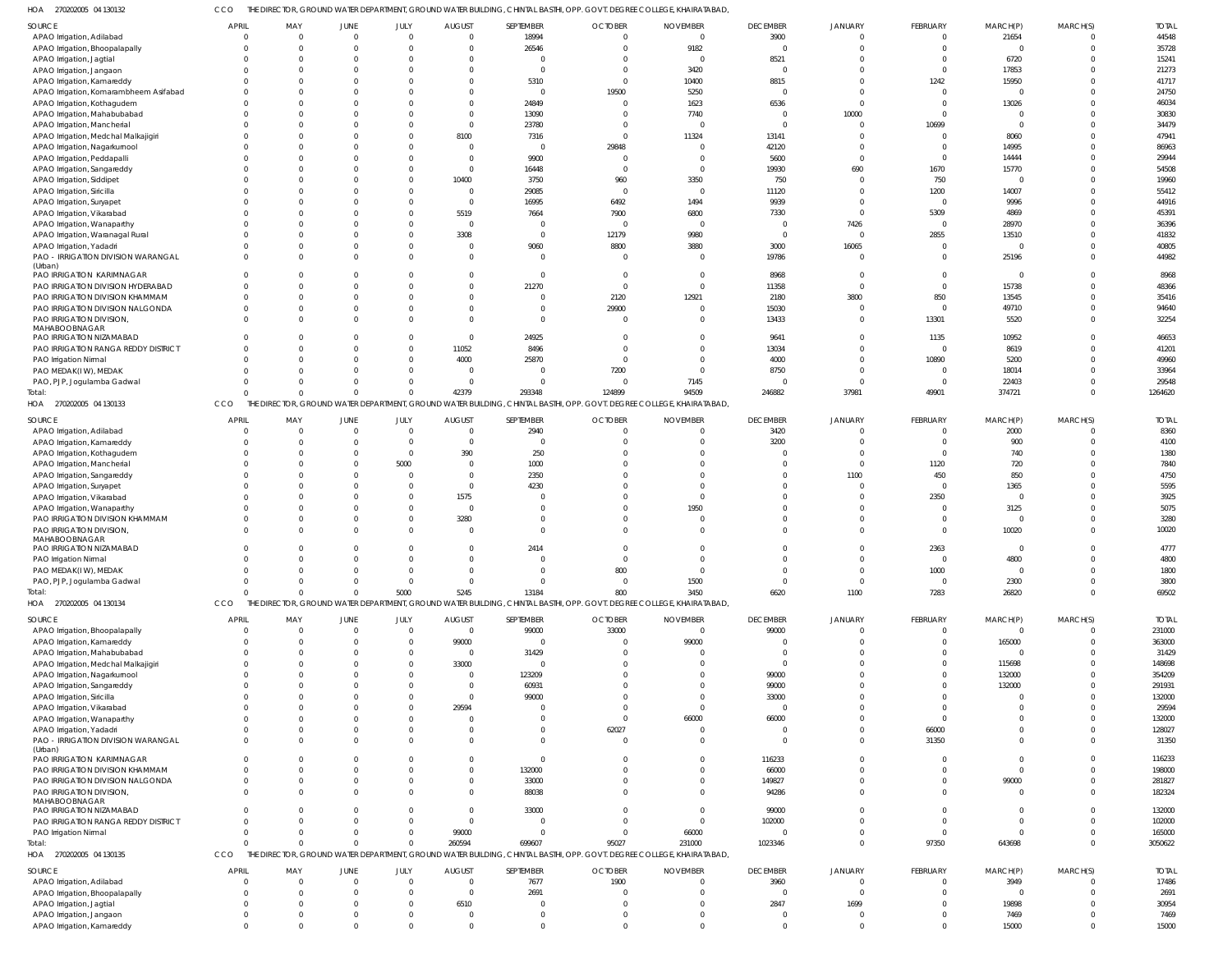270202005 04 130132 HOA CCO THE DIRECTOR, GROUND WATER DEPARTMENT, GROUND WATER BUILDING, CHINTAL BASTHI, OPP. GOVT. DEGREE COLLEGE, KHAIRATABAD,

| <b>SOURCE</b>                                          | <b>APRIL</b>               | MAY                   | <b>JUNE</b>             | JULY                       | <b>AUGUST</b>                 | SEPTEMBER        | <b>OCTOBER</b>                                                                                           | <b>NOVEMBER</b>                                                                                                       | <b>DECEMBER</b>  | JANUARY                    | FEBRUARY                | MARCH(P)      | MARCH(S)             | <b>TOTAL</b>  |
|--------------------------------------------------------|----------------------------|-----------------------|-------------------------|----------------------------|-------------------------------|------------------|----------------------------------------------------------------------------------------------------------|-----------------------------------------------------------------------------------------------------------------------|------------------|----------------------------|-------------------------|---------------|----------------------|---------------|
| APAO Irrigation, Adilabad                              | $\overline{0}$             | $\overline{0}$        | $\Omega$                | $\Omega$                   | $\mathsf{C}$                  | 18994            | $\overline{0}$                                                                                           | $\overline{0}$                                                                                                        | 3900             | $\Omega$                   | $\mathbf 0$             | 21654         | $\Omega$             | 44548         |
| APAO Irrigation, Bhoopalapally                         | $\Omega$                   | $\Omega$              |                         | $\Omega$                   |                               | 26546            | $^{\circ}$                                                                                               | 9182                                                                                                                  | $\Omega$         | $\Omega$                   | $\mathbf 0$             | $\Omega$      | $\Omega$             | 35728         |
| APAO Irrigation, Jagtial                               |                            | $\Omega$              |                         |                            |                               | $\Omega$         | $^{\circ}$                                                                                               | $\overline{0}$                                                                                                        | 8521             | $\Omega$                   | $\Omega$                | 6720          | $\Omega$             | 15241         |
| APAO Irrigation, Jangaon                               | $\Omega$                   | $\Omega$              |                         |                            |                               | $\Omega$         | $\Omega$                                                                                                 | 3420                                                                                                                  | $\Omega$         | $\Omega$                   | $\Omega$                | 17853         |                      | 21273         |
| APAO Irrigation, Kamareddy                             | $\Omega$                   | $\Omega$              |                         |                            |                               | 5310             | $\overline{0}$                                                                                           | 10400                                                                                                                 | 8815             | $\Omega$                   | 1242                    | 15950         |                      | 41717         |
| APAO Irrigation, Komarambheem Asifabad                 | $\Omega$                   | $\Omega$              |                         |                            |                               | $\Omega$         | 19500                                                                                                    | 5250                                                                                                                  |                  | $\Omega$                   | $\Omega$                |               |                      | 24750         |
| APAO Irrigation, Kothagudem                            |                            |                       |                         |                            |                               | 24849            | $\overline{0}$                                                                                           | 1623                                                                                                                  | 6536             | $\Omega$                   | $\Omega$                | 13026         |                      | 46034         |
| APAO Irrigation, Mahabubabad                           | $\Omega$                   | $\Omega$              |                         |                            |                               | 13090            | -0                                                                                                       | 7740                                                                                                                  | $\Omega$         | 10000                      | $\Omega$                |               |                      | 30830         |
| APAO Irrigation, Mancherial                            |                            | $\Omega$              |                         |                            |                               | 23780            | $\Omega$                                                                                                 | 0                                                                                                                     | $\Omega$         |                            | 10699                   | $\Omega$      |                      | 34479         |
| APAO Irrigation, Medchal Malkajigiri                   | $\Omega$                   | $\Omega$              |                         |                            | 8100                          | 7316             | $\Omega$                                                                                                 | 11324                                                                                                                 | 13141            |                            | $\Omega$                | 8060          |                      | 47941         |
| APAO Irrigation, Nagarkurnool                          |                            | $\mathsf{C}$          |                         |                            |                               | $\mathbf 0$      | 29848                                                                                                    | $\Omega$                                                                                                              | 42120            | $\Omega$                   | $\Omega$                | 14995         |                      | 86963         |
| APAO Irrigation, Peddapalli                            |                            | $\Omega$              |                         | <sup>0</sup>               |                               | 9900             | $^{\circ}$                                                                                               |                                                                                                                       | 5600             | $\Omega$                   | $\Omega$                | 14444         |                      | 29944         |
| APAO Irrigation, Sangareddy                            |                            | $\Omega$              |                         |                            |                               | 16448            | $\overline{0}$                                                                                           | $\Omega$                                                                                                              | 19930            | 690                        | 1670                    | 15770         |                      | 54508         |
| APAO Irrigation, Siddipet                              |                            | $\Omega$              |                         | $\Omega$                   | 10400                         | 3750             | 960                                                                                                      | 3350                                                                                                                  | 750              | $\Omega$                   | 750                     |               |                      | 19960         |
| APAO Irrigation, Siricilla                             |                            | $\mathsf{C}$          |                         |                            | $\mathsf{C}$                  | 29085            | $\overline{0}$                                                                                           | $\overline{0}$                                                                                                        | 11120            | $\Omega$                   | 1200                    | 14007         |                      | 55412         |
| APAO Irrigation, Suryapet                              |                            | $\Omega$              |                         | $\Omega$                   | - 0                           | 16995            | 6492                                                                                                     | 1494                                                                                                                  | 9939             | $\Omega$                   | $\Omega$                | 9996          |                      | 44916         |
| APAO Irrigation, Vikarabad                             |                            | $\Omega$              |                         |                            | 5519                          | 7664             | 7900                                                                                                     | 6800                                                                                                                  | 7330             | $\Omega$                   | 5309                    | 4869          |                      | 45391         |
| APAO Irrigation, Wanaparthy                            | $\Omega$                   | $\Omega$              |                         | $\Omega$                   | - (                           | 0                | $\overline{0}$                                                                                           | $\overline{0}$                                                                                                        |                  | 7426                       | $\Omega$                | 28970         |                      | 36396         |
| APAO Irrigation, Waranagal Rural                       | $\Omega$                   | $\Omega$              |                         |                            | 3308                          | $\Omega$         | 12179                                                                                                    | 9980                                                                                                                  | $\Omega$         | $\cap$                     | 2855                    | 13510         |                      | 41832         |
| APAO Irrigation, Yadadri                               | $\Omega$                   | $\Omega$              |                         | $\Omega$<br>$\Omega$       | - 0                           | 9060             | 8800                                                                                                     | 3880                                                                                                                  | 3000             | 16065                      | $\Omega$                | $\Omega$      | $\Omega$             | 40805         |
| PAO - IRRIGATION DIVISION WARANGAL<br>(Urban)          | $\Omega$                   | $\Omega$              |                         |                            |                               | $\Omega$         | $\overline{0}$                                                                                           | $\mathcal{L}$                                                                                                         | 19786            | $\Omega$                   | $\Omega$                | 25196         |                      | 44982         |
| PAO IRRIGATION KARIMNAGAR                              | $\Omega$                   | $\Omega$              |                         |                            |                               | $\mathbf 0$      | - 0                                                                                                      | $\Omega$                                                                                                              | 8968             | $\Omega$                   | $\Omega$                | $\mathbf 0$   |                      | 8968          |
| PAO IRRIGATION DIVISION HYDERABAD                      | $\Omega$                   | $\Omega$              |                         |                            |                               | 21270            | $\overline{0}$                                                                                           | $\Omega$                                                                                                              | 11358            | $\Omega$                   | $\Omega$                | 15738         |                      | 48366         |
| PAO IRRIGATION DIVISION KHAMMAM                        | $\Omega$                   | $\Omega$              |                         | $\Omega$                   |                               | $\Omega$         | 2120                                                                                                     | 12921                                                                                                                 | 2180             | 3800                       | 850                     | 13545         | $\Omega$             | 35416         |
| PAO IRRIGATION DIVISION NALGONDA                       | $\Omega$                   | $\Omega$              |                         | $\Omega$                   |                               | $\Omega$         | 29900                                                                                                    | $\Omega$                                                                                                              | 15030            |                            | $\Omega$                | 49710         |                      | 94640         |
| PAO IRRIGATION DIVISION,                               | $\Omega$                   | $\Omega$              |                         | $\Omega$                   |                               | $\Omega$         | $\overline{0}$                                                                                           | $\Omega$                                                                                                              | 13433            | $\Omega$                   | 13301                   | 5520          | $\Omega$             | 32254         |
| MAHABOOBNAGAR                                          |                            |                       |                         |                            |                               |                  |                                                                                                          |                                                                                                                       |                  |                            |                         |               |                      |               |
| PAO IRRIGATION NIZAMABAD                               | $\Omega$                   | $\Omega$              |                         | $\Omega$                   |                               | 24925            | $^{\circ}$                                                                                               | $\Omega$                                                                                                              | 9641             | $\Omega$                   | 1135                    | 10952         |                      | 46653         |
| PAO IRRIGATION RANGA REDDY DISTRICT                    | $\Omega$                   | $\Omega$              |                         | $\Omega$                   | 11052                         | 8496             | $\Omega$                                                                                                 | $\mathcal{L}$                                                                                                         | 13034            | $\Omega$                   | $\Omega$                | 8619          |                      | 41201         |
| PAO Irrigation Nirmal                                  | $\Omega$                   | $\Omega$              |                         | $\Omega$                   | 4000                          | 25870            | $\overline{0}$                                                                                           | $\Omega$                                                                                                              | 4000             | $\Omega$                   | 10890                   | 5200          | $\Omega$             | 49960         |
| PAO MEDAK(IW), MEDAK                                   | $\Omega$                   | $\Omega$              |                         | $\Omega$                   | - 0                           | $\Omega$         | 7200                                                                                                     | $\Omega$                                                                                                              | 8750             | $\Omega$                   | $\Omega$                | 18014         |                      | 33964         |
| PAO, PJP, Jogulamba Gadwal                             | $\Omega$                   | $\Omega$              |                         | <sup>0</sup>               | -C                            | $\Omega$         | $^{\circ}$                                                                                               | 7145                                                                                                                  |                  | $\Omega$                   | $\Omega$                | 22403         |                      | 29548         |
| Total:                                                 | $\Omega$                   | $\Omega$              | $\Omega$                | $\Omega$                   | 42379                         | 293348           | 124899                                                                                                   | 94509                                                                                                                 | 246882           | 37981                      | 49901                   | 374721        | $\Omega$             | 1264620       |
| HOA 270202005 04 130133                                | CCO                        |                       |                         |                            |                               |                  | THE DIRECTOR, GROUND WATER DEPARTMENT, GROUND WATER BUILDING, CHINTAL BASTHI, OPP. GOVT. DEGREE COLLEGE, | KHAIRATABAD,                                                                                                          |                  |                            |                         |               |                      |               |
| <b>SOURCE</b>                                          | <b>APRIL</b>               | MAY                   | JUNE                    | JULY                       | <b>AUGUST</b>                 | SEPTEMBER        | <b>OCTOBER</b>                                                                                           | <b>NOVEMBER</b>                                                                                                       | <b>DECEMBER</b>  | <b>JANUARY</b>             | FEBRUARY                | MARCH(P)      | MARCH(S)             | <b>TOTAL</b>  |
| APAO Irrigation, Adilabad                              | $\Omega$                   | $\overline{0}$        | $\Omega$                | $\overline{0}$             | $\overline{0}$                | 2940             | $\overline{0}$                                                                                           | $\overline{0}$                                                                                                        | 3420             |                            | $\mathbf 0$             | 2000          | $\Omega$             | 8360          |
| APAO Irrigation, Kamareddy                             | $\Omega$                   | $\Omega$              | $\Omega$                | $\Omega$                   | $\mathsf{C}$                  | $\Omega$         | $^{\circ}$                                                                                               | $\Omega$                                                                                                              | 3200             |                            | $\Omega$                | 900           | $\Omega$             | 4100          |
| APAO Irrigation, Kothagudem                            | $\Omega$                   | $\Omega$              | $\Omega$                | $\Omega$                   | 390                           | 250              | $\Omega$                                                                                                 | $\Omega$                                                                                                              |                  | $\Omega$                   | $\mathbf 0$             | 740           | $\Omega$             | 1380          |
| APAO Irrigation, Mancherial                            | $\Omega$                   | $\Omega$              |                         | 5000                       | $\Omega$                      | 1000             | $\Omega$                                                                                                 | $\Omega$                                                                                                              |                  | $\Omega$                   | 1120                    | 720           | $\Omega$             | 7840          |
| APAO Irrigation, Sangareddy                            | $\Omega$                   | $\Omega$              |                         | $\Omega$                   | $\Omega$                      | 2350             | $\Omega$                                                                                                 | $\Omega$                                                                                                              |                  | 1100                       | 450                     | 850           | $\Omega$             | 4750          |
| APAO Irrigation, Suryapet                              | $\Omega$                   | $\Omega$              |                         | $\Omega$                   | $\Omega$                      | 4230             | $\Omega$                                                                                                 | $\mathcal{L}$                                                                                                         |                  |                            | $\mathbf 0$             | 1365          |                      | 5595          |
| APAO Irrigation, Vikarabad                             |                            | $\Omega$              |                         | $\Omega$                   | 1575                          | 0                | $\Omega$                                                                                                 | $\Omega$                                                                                                              |                  | $\Omega$                   | 2350                    | $\Omega$      | $\Omega$             | 3925          |
| APAO Irrigation, Wanaparthy                            | $\Omega$                   | $\Omega$              |                         | $\Omega$                   | C                             | $\Omega$         | $\Omega$                                                                                                 | 1950                                                                                                                  |                  | $\Omega$                   | $\mathbf 0$             | 3125          | $\Omega$             | 5075          |
|                                                        |                            |                       |                         |                            |                               |                  |                                                                                                          |                                                                                                                       |                  |                            |                         |               |                      |               |
| PAO IRRIGATION DIVISION KHAMMAM                        | $\Omega$                   | $\Omega$              |                         | $\Omega$                   | 3280                          | $\Omega$         | $\Omega$                                                                                                 | $\Omega$                                                                                                              |                  |                            | $\Omega$                | $\mathbf 0$   | $\Omega$             | 3280          |
| PAO IRRIGATION DIVISION,                               | $\Omega$                   | $\Omega$              |                         | $\Omega$                   | - 0                           | $\Omega$         | $\Omega$                                                                                                 | $\Omega$                                                                                                              |                  |                            | $\Omega$                | 10020         | $\Omega$             | 10020         |
| MAHABOOBNAGAR                                          |                            |                       |                         |                            |                               |                  |                                                                                                          |                                                                                                                       |                  |                            |                         |               |                      |               |
| PAO IRRIGATION NIZAMABAD                               | $\Omega$                   | 0                     |                         | $\Omega$                   | - 0                           | 2414             | $\Omega$                                                                                                 | $\Omega$                                                                                                              |                  |                            | 2363                    | $\Omega$      | $\Omega$             | 4777          |
| PAO Irrigation Nirmal                                  | $\Omega$                   | $\Omega$              | $\Omega$                | $\Omega$                   | $\Omega$                      | $\Omega$         | $\Omega$                                                                                                 | $\Omega$                                                                                                              | $\cap$           | $\Omega$                   | $\Omega$                | 4800          | $\Omega$             | 4800          |
| PAO MEDAK(IW), MEDAK                                   | $\Omega$                   | $\Omega$              | - 0                     | $\Omega$                   | - 0                           | $\Omega$         | 800                                                                                                      | $\mathbf{0}$                                                                                                          | $\Omega$         | $\Omega$                   | 1000                    | $\Omega$      | $\Omega$             | 1800          |
| PAO, PJP, Jogulamba Gadwal                             | $\mathbf 0$                | $\Omega$              | $\Omega$                | $\Omega$                   | $\Omega$                      | $\Omega$         | $\overline{0}$                                                                                           | 1500                                                                                                                  | $\Omega$         | $\Omega$                   | $\mathbf{0}$            | 2300          | $\Omega$             | 3800          |
| Total:                                                 | $\Omega$                   | $\Omega$              | $\Omega$                | 5000                       | 5245                          | 13184            | 800                                                                                                      | 3450                                                                                                                  | 6620             | 1100                       | 7283                    | 26820         | $\Omega$             | 69502         |
| HOA 270202005 04 130134                                | CCO                        |                       |                         |                            |                               |                  |                                                                                                          | THE DIRECTOR, GROUND WATER DEPARTMENT, GROUND WATER BUILDING, CHINTAL BASTHI, OPP. GOVT. DEGREE COLLEGE, KHAIRATABAD, |                  |                            |                         |               |                      |               |
| <b>SOURCE</b>                                          | <b>APRIL</b>               | MAY                   | JUNE                    | JULY                       | <b>AUGUST</b>                 | SEPTEMBER        | <b>OCTOBER</b>                                                                                           | <b>NOVEMBER</b>                                                                                                       | <b>DECEMBER</b>  | JANUARY                    | FEBRUARY                | MARCH(P)      | MARCH(S)             | <b>TOTAL</b>  |
| APAO Irrigation, Bhoopalapally                         | $\overline{0}$             | $\overline{0}$        |                         | $\Omega$                   | $\mathbf{C}$                  | 99000            | 33000                                                                                                    | $\mathbf{0}$                                                                                                          | 99000            | $\Omega$                   | $\mathbf 0$             | $\mathbf 0$   | $\Omega$             | 231000        |
| APAO Irrigation, Kamareddy                             | $\Omega$                   | $\Omega$              |                         | $\Omega$                   | 99000                         | $\Omega$         | $^{\circ}$                                                                                               | 99000                                                                                                                 |                  | $\cap$                     | $\Omega$                | 165000        | $\Omega$             | 363000        |
| APAO Irrigation, Mahabubabad                           | $\Omega$                   | $\Omega$              |                         | $\Omega$                   | $\mathsf{C}$                  | 31429            | $^{\circ}$                                                                                               | $\mathbf 0$                                                                                                           | $\Omega$         | $\Omega$                   | $\Omega$                | $\mathbf 0$   |                      | 31429         |
| APAO Irrigation, Medchal Malkajigiri                   | $\Omega$                   | $\Omega$              |                         | $\Omega$                   | 33000                         | $\Omega$         | $\Omega$                                                                                                 | $\Omega$                                                                                                              | $\Omega$         | $\Omega$                   | $\Omega$                | 115698        |                      | 148698        |
| APAO Irrigation, Nagarkurnool                          |                            | $\Omega$              |                         | $\Omega$                   | $\mathsf{C}$                  | 123209           | $\Omega$                                                                                                 | $\Omega$                                                                                                              | 99000            | $\Omega$                   |                         | 132000        |                      | 354209        |
| APAO Irrigation, Sangareddy                            | $\Omega$                   | $\Omega$              |                         | $\Omega$                   | - 0                           | 60931            | $\Omega$                                                                                                 | $\Omega$                                                                                                              | 99000            | $\Omega$                   | $\Omega$                | 132000        |                      | 291931        |
| APAO Irrigation, Siricilla                             | $\Omega$                   | $\Omega$              |                         | <sup>0</sup>               | - 0                           | 99000            | $\Omega$                                                                                                 | $\Omega$                                                                                                              | 33000            | $\Omega$                   | $\Omega$                |               |                      | 132000        |
| APAO Irrigation, Vikarabad                             | $\Omega$                   | $\Omega$              |                         | $\Omega$                   | 29594                         |                  | $\Omega$                                                                                                 | $\Omega$                                                                                                              | $\Omega$         |                            | $\Omega$                |               |                      | 29594         |
| APAO Irrigation, Wanaparthy                            | $\Omega$                   | $\Omega$              |                         |                            |                               | 0                | $\overline{0}$                                                                                           | 66000                                                                                                                 | 66000            | $\Omega$                   | $\Omega$                |               |                      | 132000        |
| APAO Irrigation, Yadadri                               | $\Omega$                   | $\Omega$              |                         | $\Omega$                   |                               | $\Omega$         | 62027                                                                                                    | $\Omega$                                                                                                              |                  | $\Omega$                   | 66000                   | 0             |                      | 128027        |
| PAO - IRRIGATION DIVISION WARANGAL                     | $\Omega$                   | $\Omega$              |                         | $\Omega$                   |                               | $\Omega$         | $\overline{0}$                                                                                           | $\Omega$                                                                                                              | $\Omega$         | $\Omega$                   | 31350                   |               |                      | 31350         |
| (Urban)                                                |                            |                       |                         |                            |                               |                  |                                                                                                          |                                                                                                                       |                  |                            |                         |               | $\Omega$             |               |
| PAO IRRIGATION KARIMNAGAR                              | $\Omega$                   | $\Omega$              |                         |                            |                               | $\Omega$         | $\overline{0}$                                                                                           | $\Omega$                                                                                                              | 116233           | $\Omega$                   | $\Omega$                | $\Omega$      |                      | 116233        |
| PAO IRRIGATION DIVISION KHAMMAM                        | $\Omega$<br>$\Omega$       | $\Omega$<br>$\Omega$  |                         | $\Omega$<br>$\Omega$       |                               | 132000           | $\mathbf 0$<br>$\Omega$                                                                                  | $\Omega$<br>$\Omega$                                                                                                  | 66000            | $\Omega$<br>$\Omega$       | $\Omega$<br>$\Omega$    | $\Omega$      | $\cap$               | 198000        |
| PAO IRRIGATION DIVISION NALGONDA                       |                            |                       |                         |                            |                               | 33000            |                                                                                                          |                                                                                                                       | 149827           |                            |                         | 99000         |                      | 281827        |
| PAO IRRIGATION DIVISION,<br>MAHABOOBNAGAR              | $\Omega$                   | $\Omega$              |                         | $\Omega$                   |                               | 88038            | $\Omega$                                                                                                 | $\Omega$                                                                                                              | 94286            | $\Omega$                   | $\Omega$                | $\mathbf 0$   |                      | 182324        |
| PAO IRRIGATION NIZAMABAD                               | $\Omega$                   | $\Omega$              |                         | $\Omega$                   |                               | 33000            | $\Omega$                                                                                                 | $\Omega$                                                                                                              | 99000            | $\Omega$                   | $\Omega$                | 0             |                      | 132000        |
| PAO IRRIGATION RANGA REDDY DISTRICT                    | $\Omega$                   | $\Omega$              |                         | $\Omega$                   | $\mathsf{C}$                  | $\Omega$         | $\Omega$                                                                                                 | $\mathbf{0}$                                                                                                          | 102000           | $\Omega$                   | $\Omega$                | 0             |                      | 102000        |
| PAO Irrigation Nirmal                                  | $\Omega$                   | $\Omega$              |                         | $\Omega$                   | 99000                         | $\Omega$         | $\overline{0}$                                                                                           | 66000                                                                                                                 |                  | $\Omega$                   | $\Omega$                | $\Omega$      |                      | 165000        |
| Total:                                                 | $\Omega$                   | $\Omega$              |                         | $\Omega$                   | 260594                        | 699607           | 95027                                                                                                    | 231000                                                                                                                | 1023346          | $\Omega$                   | 97350                   | 643698        | $\Omega$             | 3050622       |
| HOA 270202005 04 130135                                | CCO                        |                       |                         |                            |                               |                  |                                                                                                          | THE DIRECTOR, GROUND WATER DEPARTMENT, GROUND WATER BUILDING, CHINTAL BASTHI, OPP. GOVT. DEGREE COLLEGE, KHAIRATABAD, |                  |                            |                         |               |                      |               |
|                                                        |                            |                       |                         |                            |                               |                  |                                                                                                          |                                                                                                                       |                  |                            |                         |               |                      |               |
| SOURCE                                                 | <b>APRIL</b>               | MAY                   | <b>JUNE</b><br>$\Omega$ | JULY                       | <b>AUGUST</b><br>$\mathsf{C}$ | SEPTEMBER        | <b>OCTOBER</b>                                                                                           | <b>NOVEMBER</b>                                                                                                       | <b>DECEMBER</b>  | <b>JANUARY</b><br>$\Omega$ | FEBRUARY                | MARCH(P)      | MARCH(S)<br>$\Omega$ | <b>TOTAL</b>  |
| APAO Irrigation, Adilabad                              | $\overline{0}$<br>$\Omega$ | $\overline{0}$<br>- 0 |                         | $\overline{0}$<br>$\Omega$ | $\Omega$                      | 7677             | 1900                                                                                                     | $\overline{0}$<br>$\Omega$                                                                                            | 3960<br>$\Omega$ | $\Omega$                   | $\mathbf 0$<br>$\Omega$ | 3949          | $\Omega$             | 17486         |
| APAO Irrigation, Bhoopalapally                         | $\Omega$                   | $\Omega$              |                         | $\Omega$                   |                               | 2691<br>$\Omega$ | -0                                                                                                       | $\Omega$                                                                                                              |                  |                            | $\Omega$                | $\mathbf 0$   | $\Omega$             | 2691          |
| APAO Irrigation, Jagtial                               | $\Omega$                   | $\Omega$              |                         | $\Omega$                   | 6510<br>- 0                   | $\Omega$         | $\overline{0}$<br>-0                                                                                     | $\Omega$                                                                                                              | 2847<br>$\Omega$ | 1699                       | $\Omega$                | 19898         | $\Omega$             | 30954         |
| APAO Irrigation, Jangaon<br>APAO Irrigation, Kamareddy | $\Omega$                   | $\Omega$              |                         | $\Omega$                   | $\Omega$                      | $\Omega$         | $\Omega$                                                                                                 | $\Omega$                                                                                                              | $\Omega$         | $\Omega$                   | $\Omega$                | 7469<br>15000 | $\Omega$             | 7469<br>15000 |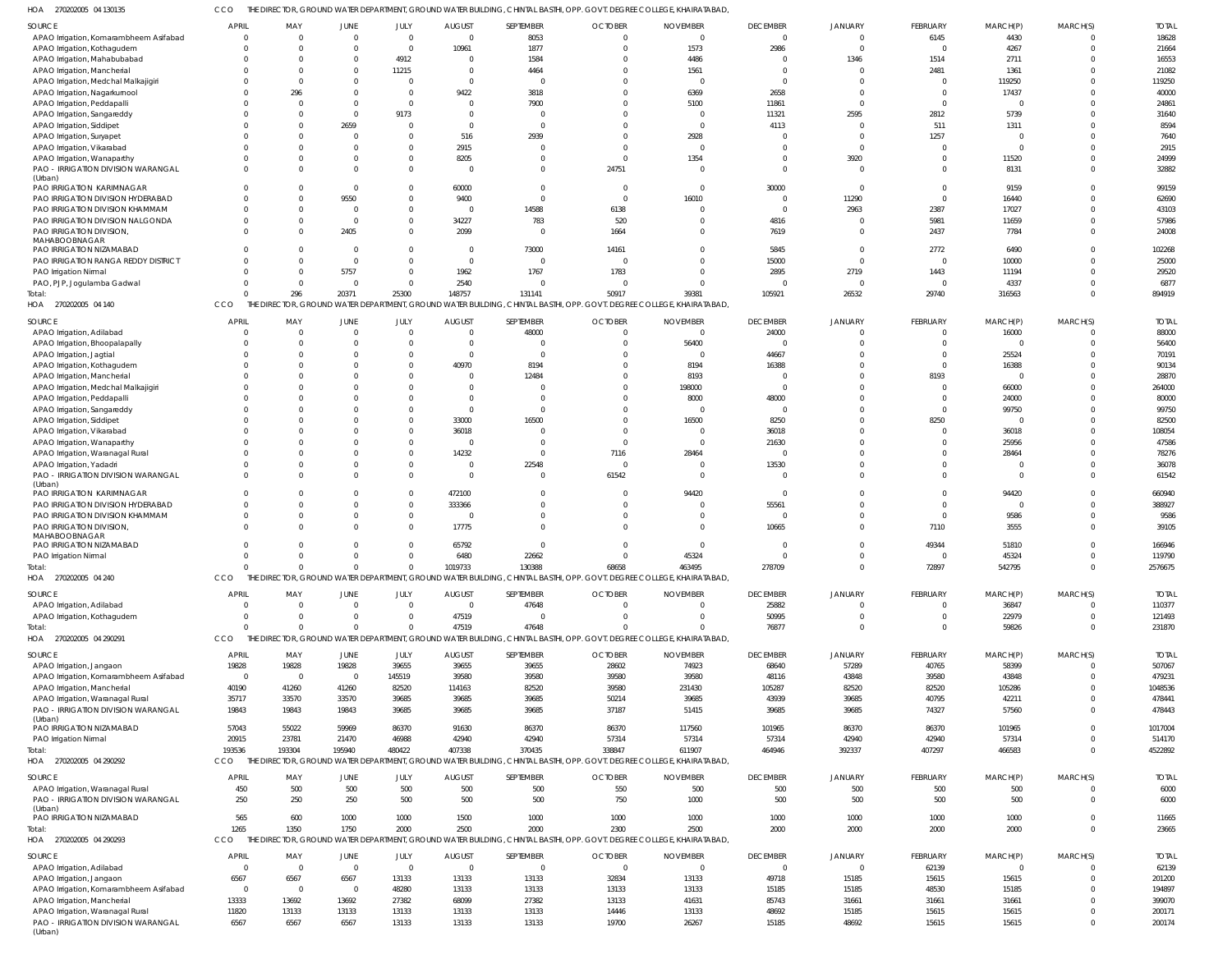270202005 04 130135 HOA CCO THE DIRECTOR, GROUND WATER DEPARTMENT, GROUND WATER BUILDING, CHINTAL BASTHI, OPP. GOVT. DEGREE COLLEGE, KHAIRATABAD,

| <b>SOURCE</b>                                 | <b>APRIL</b>   | MAY            | <b>JUNE</b>             | JULY                   | <b>AUGUST</b>             | SEPTEMBER          | <b>OCTOBER</b>                                                                                                                 | <b>NOVEMBER</b>             | <b>DECEMBER</b>          | JANUARY                   | FEBRUARY                | MARCH(P)          | MARCH(S)                   | <b>TOTAL</b>          |
|-----------------------------------------------|----------------|----------------|-------------------------|------------------------|---------------------------|--------------------|--------------------------------------------------------------------------------------------------------------------------------|-----------------------------|--------------------------|---------------------------|-------------------------|-------------------|----------------------------|-----------------------|
| APAO Irrigation, Komarambheem Asifabad        | -C             |                | $\Omega$                | $\overline{0}$         | $\overline{0}$            | 8053               | $\Omega$                                                                                                                       | $\Omega$                    | $\overline{0}$           | $\overline{0}$            | 6145                    | 4430              | $\overline{0}$             | 18628                 |
| APAO Irrigation, Kothagudem                   |                |                | $\Omega$                | $\overline{0}$         | 10961                     | 1877               | $\Omega$                                                                                                                       | 1573                        | 2986                     | $\Omega$                  | $\mathbf{0}$            | 4267              | $\Omega$                   | 21664                 |
| APAO Irrigation, Mahabubabad                  |                |                |                         | 4912                   |                           | 1584               |                                                                                                                                | 4486                        | $\Omega$                 | 1346                      | 1514                    | 2711              | $\Omega$                   | 16553                 |
| APAO Irrigation, Mancherial                   |                | $\Omega$       | 0                       | 11215                  | $\Omega$                  | 4464               |                                                                                                                                | 1561                        | $\Omega$                 | $\Omega$                  | 2481                    | 1361              | $\Omega$                   | 21082                 |
| APAO Irrigation, Medchal Malkajigiri          |                |                |                         | $\Omega$               | $\Omega$                  | $\Omega$           |                                                                                                                                |                             | $\overline{0}$           | $\Omega$                  | $\mathbf{0}$            | 119250            | $\Omega$                   | 119250                |
| APAO Irrigation, Nagarkurnool                 |                | 296            | 0                       | $\Omega$               | 9422                      | 3818               |                                                                                                                                | 6369                        | 2658                     | $\Omega$                  | $\Omega$                | 17437             | $\Omega$                   | 40000                 |
| APAO Irrigation, Peddapalli                   |                |                |                         | $\Omega$               |                           | 7900               |                                                                                                                                | 5100                        | 11861                    | $\Omega$                  | $\Omega$                | $\mathbf 0$       | $\Omega$                   | 24861                 |
| APAO Irrigation, Sangareddy                   |                |                | $\Omega$                | 9173                   |                           | $\Omega$           |                                                                                                                                |                             | 11321                    | 2595                      | 2812                    | 5739              | $\Omega$                   | 31640                 |
| APAO Irrigation, Siddipet                     |                |                | 2659                    | $\Omega$               |                           | $\Omega$           |                                                                                                                                |                             | 4113                     | $\Omega$                  | 511                     | 1311              | $\Omega$                   | 8594                  |
| APAO Irrigation, Suryapet                     |                |                | 0                       | $\Omega$               | 516                       | 2939               |                                                                                                                                | 2928                        | $\Omega$                 | $\Omega$                  | 1257                    | $\overline{0}$    | $\Omega$                   | 7640                  |
| APAO Irrigation, Vikarabad                    |                |                | $\Omega$                | $\Omega$               | 2915                      | $\Omega$           |                                                                                                                                |                             | $\Omega$                 | $\Omega$                  | $\Omega$                | $\mathbf 0$       | $\Omega$                   | 2915                  |
| APAO Irrigation, Wanaparthy                   |                |                | 0                       | $\Omega$<br>$\Omega$   | 8205                      | $\Omega$           | $\Omega$                                                                                                                       | 1354                        | $\Omega$<br>$\Omega$     | 3920<br>$\Omega$          | $\Omega$<br>$\Omega$    | 11520             | $\Omega$<br>$\Omega$       | 24999                 |
| PAO - IRRIGATION DIVISION WARANGAL<br>(Urban) |                |                | $\Omega$                |                        |                           | $\Omega$           | 24751                                                                                                                          |                             |                          |                           |                         | 8131              |                            | 32882                 |
| PAO IRRIGATION KARIMNAGAR                     |                |                | $\Omega$                | $\Omega$               | 60000                     | $\Omega$           | $\Omega$                                                                                                                       |                             | 30000                    | $\Omega$                  | $\mathbf 0$             | 9159              | $\Omega$                   | 99159                 |
| PAO IRRIGATION DIVISION HYDERABAD             |                |                | 9550                    | $\Omega$               | 9400                      | $\Omega$           | $\Omega$                                                                                                                       | 16010                       | $\overline{0}$           | 11290                     | $\Omega$                | 16440             | $\Omega$                   | 62690                 |
| PAO IRRIGATION DIVISION KHAMMAM               |                |                | $\Omega$                | $\mathbf 0$            |                           | 14588              | 6138                                                                                                                           |                             | $\Omega$                 | 2963                      | 2387                    | 17027             | $\Omega$                   | 43103                 |
| PAO IRRIGATION DIVISION NALGONDA              |                |                | $\Omega$                | $\Omega$               | 34227                     | 783                | 520                                                                                                                            |                             | 4816                     | $\Omega$                  | 5981                    | 11659             | $\Omega$                   | 57986                 |
| PAO IRRIGATION DIVISION,                      |                |                | 2405                    | $\Omega$               | 2099                      | $\Omega$           | 1664                                                                                                                           |                             | 7619                     | $\Omega$                  | 2437                    | 7784              | $\Omega$                   | 24008                 |
| MAHABOOBNAGAR<br>PAO IRRIGATION NIZAMABAD     |                |                | $\Omega$                | $\Omega$               | $\Omega$                  | 73000              | 14161                                                                                                                          |                             | 5845                     | $\Omega$                  | 2772                    | 6490              | $\Omega$                   | 102268                |
| PAO IRRIGATION RANGA REDDY DISTRICT           |                |                | $\Omega$                | $\Omega$               | $\Omega$                  | $\Omega$           | $\Omega$                                                                                                                       |                             | 15000                    | $\Omega$                  | $\mathbf{0}$            | 10000             | $\Omega$                   | 25000                 |
| PAO Irrigation Nirmal                         |                |                | 5757                    | $\Omega$               | 1962                      | 1767               | 1783                                                                                                                           |                             | 2895                     | 2719                      | 1443                    | 11194             | $\Omega$                   | 29520                 |
| PAO, PJP, Jogulamba Gadwal                    |                | $\Omega$       | $\Omega$                | $\Omega$               | 2540                      | $\Omega$           |                                                                                                                                |                             | $\Omega$                 | $\Omega$                  | $\overline{0}$          | 4337              | $\Omega$                   | 6877                  |
| Total:                                        |                | 296            | 20371                   | 25300                  | 148757                    | 131141             | 50917                                                                                                                          | 39381                       | 105921                   | 26532                     | 29740                   | 316563            | $\Omega$                   | 894919                |
| HOA 270202005 04 140                          | CCO            |                |                         |                        |                           |                    | THE DIRECTOR, GROUND WATER DEPARTMENT, GROUND WATER BUILDING, CHINTAL BASTHI, OPP. GOVT. DEGREE COLLEGE, KHAIRATABAD,          |                             |                          |                           |                         |                   |                            |                       |
|                                               |                |                |                         |                        |                           |                    |                                                                                                                                |                             |                          |                           |                         |                   |                            |                       |
| <b>SOURCE</b><br>APAO Irrigation, Adilabad    | <b>APRIL</b>   | MAY            | <b>JUNE</b><br>$\Omega$ | JULY<br>$\overline{0}$ | <b>AUGUST</b><br>$\Omega$ | SEPTEMBER<br>48000 | <b>OCTOBER</b><br>$\Omega$                                                                                                     | <b>NOVEMBER</b><br>$\Omega$ | <b>DECEMBER</b><br>24000 | JANUARY<br>$\overline{0}$ | FEBRUARY<br>$\mathbf 0$ | MARCH(P)<br>16000 | MARCH(S)<br>$\overline{0}$ | <b>TOTAL</b><br>88000 |
| APAO Irrigation, Bhoopalapally                |                | $\Omega$       | $\Omega$                | $\mathbf 0$            | $\Omega$                  | - 0                | $\Omega$                                                                                                                       | 56400                       | 0                        | $\Omega$                  | $\mathbf 0$             | $\mathbf 0$       | $\overline{0}$             | 56400                 |
| APAO Irrigation, Jagtial                      |                |                |                         | $\Omega$               | $\Omega$                  | $\Omega$           |                                                                                                                                |                             | 44667                    | $\Omega$                  | $\mathbf 0$             | 25524             | $\Omega$                   | 70191                 |
| APAO Irrigation, Kothagudem                   |                | $\Omega$       |                         | $\Omega$               | 40970                     | 8194               | $\Omega$                                                                                                                       | 8194                        | 16388                    | $\Omega$                  | $\mathbf 0$             | 16388             | $\Omega$                   | 90134                 |
| APAO Irrigation, Mancherial                   |                | $\Omega$       |                         | $\Omega$               |                           | 12484              |                                                                                                                                | 8193                        | - 0                      | $\Omega$                  | 8193                    | $^{\circ}$        | $\Omega$                   | 28870                 |
| APAO Irrigation, Medchal Malkajigiri          |                |                |                         | $\Omega$               | $\Omega$                  | $\Omega$           |                                                                                                                                | 198000                      | $\Omega$                 | $\Omega$                  | $\mathbf 0$             | 66000             | $\Omega$                   | 264000                |
| APAO Irrigation, Peddapalli                   |                |                |                         | $\Omega$               | $\Omega$                  | $\Omega$           |                                                                                                                                | 8000                        | 48000                    | $\Omega$                  | $\mathbf 0$             | 24000             | $\Omega$                   | 80000                 |
| APAO Irrigation, Sangareddy                   |                |                |                         | $\Omega$               |                           | $\Omega$           | $\Omega$                                                                                                                       |                             | $\Omega$                 | $\Omega$                  | $\mathbf 0$             | 99750             | $\Omega$                   | 99750                 |
| APAO Irrigation, Siddipet                     |                | 0              |                         | $\Omega$               | 33000                     | 16500              | $\Omega$                                                                                                                       | 16500                       | 8250                     | $\Omega$                  | 8250                    | 0                 | $\Omega$                   | 82500                 |
| APAO Irrigation, Vikarabad                    |                |                |                         | $\mathbf 0$            | 36018                     | $\Omega$           | $\Omega$                                                                                                                       |                             | 36018                    | $\Omega$                  | $\mathbf 0$             | 36018             | $\Omega$                   | 108054                |
| APAO Irrigation, Wanaparthy                   |                |                |                         | $\Omega$               |                           | $\Omega$           | $\Omega$                                                                                                                       |                             | 21630                    | $\Omega$                  | $\Omega$                | 25956             | $\Omega$                   | 47586                 |
| APAO Irrigation, Waranagal Rural              |                | 0              | $\Omega$                | $\Omega$               | 14232                     | $\Omega$           | 7116                                                                                                                           | 28464                       | $\Omega$                 | $\Omega$                  | $\Omega$                | 28464             | $\Omega$                   | 78276                 |
| APAO Irrigation, Yadadri                      |                | $\Omega$       | $\Omega$                | $\mathbf 0$            | $\Omega$                  | 22548              | $\Omega$                                                                                                                       |                             | 13530                    | $\Omega$                  | $\Omega$                | $\mathbf 0$       | $\Omega$                   | 36078                 |
| PAO - IRRIGATION DIVISION WARANGAL            |                |                | $\Omega$                | $\Omega$               | $\Omega$                  | $\Omega$           | 61542                                                                                                                          |                             | $\Omega$                 | $\Omega$                  | $\Omega$                | $\mathbf 0$       | $\Omega$                   | 61542                 |
| (Urban)<br>PAO IRRIGATION KARIMNAGAR          |                |                |                         | $\mathbf{0}$           | 472100                    | $\Omega$           |                                                                                                                                | 94420                       | 0                        | $\Omega$                  | $\Omega$                | 94420             | $\Omega$                   | 660940                |
| PAO IRRIGATION DIVISION HYDERABAD             |                | $\Omega$       | $\Omega$                | $\mathbf 0$            | 333366                    | $\Omega$           | $\Omega$                                                                                                                       |                             | 55561                    | $\Omega$                  | $\mathbf 0$             | $\mathbf 0$       | $\Omega$                   | 388927                |
| PAO IRRIGATION DIVISION KHAMMAM               |                |                | 0                       | $\mathbf 0$            |                           | $\Omega$           | $\Omega$                                                                                                                       |                             | $\Omega$                 | $\Omega$                  | $\mathbf 0$             | 9586              | $\Omega$                   | 9586                  |
| PAO IRRIGATION DIVISION,                      |                | $\Omega$       | $\Omega$                | $\mathbf 0$            | 17775                     | $\Omega$           | $\Omega$                                                                                                                       |                             | 10665                    | $\Omega$                  | 7110                    | 3555              | $\Omega$                   | 39105                 |
| MAHABOOBNAGAR                                 |                |                |                         |                        |                           |                    |                                                                                                                                |                             |                          |                           |                         |                   |                            |                       |
| PAO IRRIGATION NIZAMABAD                      |                |                | 0                       | $\Omega$               | 65792                     | $\Omega$           |                                                                                                                                |                             | $\Omega$                 | $\Omega$                  | 49344                   | 51810             | $\Omega$                   | 166946                |
| PAO Irrigation Nirmal                         |                | $\Omega$       | $\Omega$                | $\Omega$               | 6480                      | 22662              | $\Omega$                                                                                                                       | 45324                       | $\Omega$                 | $\Omega$                  | $\Omega$                | 45324             | $\Omega$                   | 119790                |
| Total:                                        | CCO            |                |                         |                        | 1019733                   | 130388             | 68658<br>THE DIRECTOR, GROUND WATER DEPARTMENT, GROUND WATER BUILDING, CHINTAL BASTHI, OPP. GOVT. DEGREE COLLEGE, KHAIRATABAD, | 463495                      | 278709                   | 0                         | 72897                   | 542795            | -0                         | 2576675               |
| HOA 270202005 04 240                          |                |                |                         |                        |                           |                    |                                                                                                                                |                             |                          |                           |                         |                   |                            |                       |
| <b>SOURCE</b>                                 | <b>APRIL</b>   | MAY            | <b>JUNE</b>             | JULY                   | <b>AUGUST</b>             | SEPTEMBER          | <b>OCTOBER</b>                                                                                                                 | <b>NOVEMBER</b>             | <b>DECEMBER</b>          | <b>JANUARY</b>            | FEBRUARY                | MARCH(P)          | MARCH(S)                   | <b>TOTAL</b>          |
| APAO Irrigation, Adilabad                     |                | $\Omega$       | $\Omega$                | $\mathbf 0$            | $\overline{0}$            | 47648              | $\Omega$                                                                                                                       |                             | 25882                    | $\overline{0}$            | $\mathbf 0$             | 36847             | $\Omega$                   | 110377                |
| APAO Irrigation, Kothagudem                   |                | $\Omega$       | $\Omega$                | $\mathbf 0$            | 47519                     | $\overline{0}$     | <sup>0</sup>                                                                                                                   |                             | 50995                    | $\Omega$                  | $\mathbf{0}$            | 22979             | $\Omega$                   | 121493                |
| Total:                                        |                |                | $\Omega$                | $\Omega$               | 47519                     | 47648              |                                                                                                                                |                             | 76877                    | $\Omega$                  | $\Omega$                | 59826             | $\Omega$                   | 231870                |
| HOA 270202005 04 290291                       | CCO            |                |                         |                        |                           |                    | THE DIRECTOR, GROUND WATER DEPARTMENT, GROUND WATER BUILDING, CHINTAL BASTHI, OPP. GOVT. DEGREE COLLEGE, KHAIRATABAD,          |                             |                          |                           |                         |                   |                            |                       |
| SOURCE                                        | <b>APRIL</b>   | MAY            | JUNE                    | JULY                   | <b>AUGUST</b>             | SEPTEMBER          | <b>OCTOBER</b>                                                                                                                 | <b>NOVEMBER</b>             | <b>DECEMBER</b>          | <b>JANUARY</b>            | FEBRUARY                | MARCH(P)          | MARCH(S)                   | <b>TOTAL</b>          |
| APAO Irrigation, Jangaon                      | 19828          | 19828          | 19828                   | 39655                  | 39655                     | 39655              | 28602                                                                                                                          | 74923                       | 68640                    | 57289                     | 40765                   | 58399             | $\overline{0}$             | 507067                |
| APAO Irrigation, Komarambheem Asifabad        | $\overline{0}$ | $\overline{0}$ | $\mathbf{0}$            | 145519                 | 39580                     | 39580              | 39580                                                                                                                          | 39580                       | 48116                    | 43848                     | 39580                   | 43848             | $\overline{0}$             | 479231                |
| APAO Irrigation, Mancherial                   | 40190          | 41260          | 41260                   | 82520                  | 114163                    | 82520              | 39580                                                                                                                          | 231430                      | 105287                   | 82520                     | 82520                   | 105286            | $\Omega$                   | 1048536               |
| APAO Irrigation, Waranagal Rural              | 35717          | 33570          | 33570                   | 39685                  | 39685                     | 39685              | 50214                                                                                                                          | 39685                       | 43939                    | 39685                     | 40795                   | 42211             | $\Omega$                   | 478441                |
| PAO - IRRIGATION DIVISION WARANGAL<br>(Urban) | 19843          | 19843          | 19843                   | 39685                  | 39685                     | 39685              | 37187                                                                                                                          | 51415                       | 39685                    | 39685                     | 74327                   | 57560             | $\Omega$                   | 478443                |
| PAO IRRIGATION NIZAMABAD                      | 57043          | 55022          | 59969                   | 86370                  | 91630                     | 86370              | 86370                                                                                                                          | 117560                      | 101965                   | 86370                     | 86370                   | 101965            | $\overline{0}$             | 1017004               |
| PAO Irrigation Nirmal                         | 20915          | 23781          | 21470                   | 46988                  | 42940                     | 42940              | 57314                                                                                                                          | 57314                       | 57314                    | 42940                     | 42940                   | 57314             | $\overline{0}$             | 514170                |
| Total:                                        | 193536         | 193304         | 195940                  | 480422                 | 407338                    | 370435             | 338847                                                                                                                         | 611907                      | 464946                   | 392337                    | 407297                  | 466583            | $\Omega$                   | 4522892               |
| HOA 270202005 04 290292                       | CCO            |                |                         |                        |                           |                    | THE DIRECTOR, GROUND WATER DEPARTMENT, GROUND WATER BUILDING, CHINTAL BASTHI, OPP. GOVT. DEGREE COLLEGE, KHAIRATABAD,          |                             |                          |                           |                         |                   |                            |                       |
| <b>SOURCE</b>                                 | <b>APRIL</b>   | MAY            | <b>JUNE</b>             | JULY                   | <b>AUGUST</b>             | SEPTEMBER          | <b>OCTOBER</b>                                                                                                                 | <b>NOVEMBER</b>             | <b>DECEMBER</b>          | <b>JANUARY</b>            | FEBRUARY                | MARCH(P)          | MARCH(S)                   | <b>TOTAL</b>          |
| APAO Irrigation, Waranagal Rural              | 450            | 500            | 500                     | 500                    | 500                       | 500                | 550                                                                                                                            | 500                         | 500                      | 500                       | 500                     | 500               | $\Omega$                   | 6000                  |
| PAO - IRRIGATION DIVISION WARANGAL            | 250            | 250            | 250                     | 500                    | 500                       | 500                | 750                                                                                                                            | 1000                        | 500                      | 500                       | 500                     | 500               | $\Omega$                   | 6000                  |
| (Urban)                                       |                |                |                         |                        |                           |                    |                                                                                                                                |                             |                          |                           |                         |                   |                            |                       |
| PAO IRRIGATION NIZAMABAD                      | 565            | 600            | 1000                    | 1000                   | 1500                      | 1000               | 1000                                                                                                                           | 1000                        | 1000                     | 1000                      | 1000                    | 1000              | $\overline{0}$             | 11665                 |
| Total:                                        | 1265           | 1350           | 1750                    | 2000                   | 2500                      | 2000               | 2300                                                                                                                           | 2500                        | 2000                     | 2000                      | 2000                    | 2000              | $\Omega$                   | 23665                 |
| HOA 270202005 04 290293                       | CCO            |                |                         |                        |                           |                    | THE DIRECTOR, GROUND WATER DEPARTMENT, GROUND WATER BUILDING, CHINTAL BASTHI, OPP. GOVT. DEGREE COLLEGE, KHAIRATABAD,          |                             |                          |                           |                         |                   |                            |                       |
| <b>SOURCE</b>                                 | <b>APRIL</b>   | MAY            | JUNE                    | JULY                   | <b>AUGUST</b>             | SEPTEMBER          | <b>OCTOBER</b>                                                                                                                 | <b>NOVEMBER</b>             | <b>DECEMBER</b>          | <b>JANUARY</b>            | FEBRUARY                | MARCH(P)          | MARCH(S)                   | <b>TOTAL</b>          |
| APAO Irrigation, Adilabad                     | $\Omega$       | $\overline{0}$ | $\mathbf{0}$            | $\overline{0}$         | $\overline{0}$            | $\overline{0}$     | $\overline{0}$                                                                                                                 | $\Omega$                    | $\overline{0}$           | $\overline{0}$            | 62139                   | $\mathbf 0$       | $\Omega$                   | 62139                 |
| APAO Irrigation, Jangaon                      | 6567           | 6567           | 6567                    | 13133                  | 13133                     | 13133              | 32834                                                                                                                          | 13133                       | 49718                    | 15185                     | 15615                   | 15615             | $\overline{0}$             | 201200                |
| APAO Irrigation, Komarambheem Asifabad        | $\mathbf{0}$   | $\overline{0}$ | $\mathbf{0}$            | 48280                  | 13133                     | 13133              | 13133                                                                                                                          | 13133                       | 15185                    | 15185                     | 48530                   | 15185             | $\Omega$                   | 194897                |
| APAO Irrigation, Mancherial                   | 13333          | 13692          | 13692                   | 27382                  | 68099                     | 27382              | 13133                                                                                                                          | 41631                       | 85743                    | 31661                     | 31661                   | 31661             | $\Omega$                   | 399070                |
| APAO Irrigation, Waranagal Rural              | 11820          | 13133          | 13133                   | 13133                  | 13133                     | 13133              | 14446                                                                                                                          | 13133                       | 48692                    | 15185                     | 15615                   | 15615             | $\overline{0}$             | 200171                |
| PAO - IRRIGATION DIVISION WARANGAL<br>(Urban) | 6567           | 6567           | 6567                    | 13133                  | 13133                     | 13133              | 19700                                                                                                                          | 26267                       | 15185                    | 48692                     | 15615                   | 15615             | $\Omega$                   | 200174                |
|                                               |                |                |                         |                        |                           |                    |                                                                                                                                |                             |                          |                           |                         |                   |                            |                       |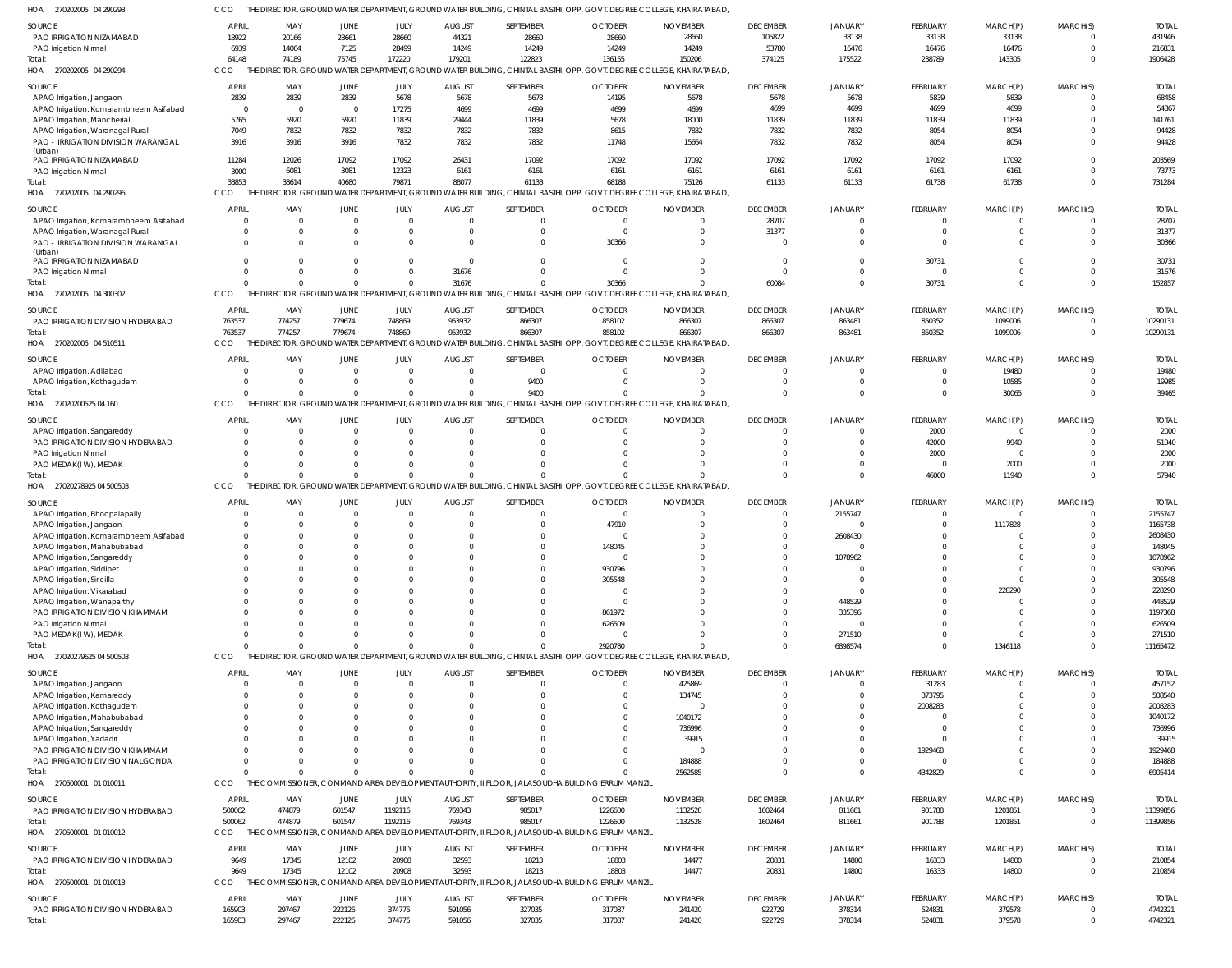270202005 04 290293 HOA 270202005 04 290294 HOA 270202005 04 290296 270202005 04 300302 HOA 270202005 04 510511 HOA 27020200525 04 160 HOA 27020278925 04 500503 HOA 27020279625 04 500503 HOA 270500001 01 010011 HOA 270500001 01 010012 HOA 270500001 01 010013 HOA HOA THE DIRECTOR, GROUND WATER DEPARTMENT, GROUND WATER BUILDING, CHINTAL BASTHI, OPP. GOVT. DEGREE COLLEGE, KHAIRATABAD, THE DIRECTOR, GROUND WATER DEPARTMENT, GROUND WATER BUILDING, CHINTAL BASTHI, OPP. GOVT. DEGREE COLLEGE, KHAIRATABAD, THE DIRECTOR, GROUND WATER DEPARTMENT, GROUND WATER BUILDING, CHINTAL BASTHI, OPP. GOVT. DEGREE COLLEGE, KHAIRATABAD, THE DIRECTOR, GROUND WATER DEPARTMENT, GROUND WATER BUILDING, CHINTAL BASTHI, OPP. GOVT. DEGREE COLLEGE, KHAIRATABAD, THE DIRECTOR, GROUND WATER DEPARTMENT, GROUND WATER BUILDING, CHINTAL BASTHI, OPP. GOVT. DEGREE COLLEGE, KHAIRATABAD, THE DIRECTOR, GROUND WATER DEPARTMENT, GROUND WATER BUILDING, CHINTAL BASTHI, OPP. GOVT. DEGREE COLLEGE, KHAIRATABAD, THE DIRECTOR, GROUND WATER DEPARTMENT, GROUND WATER BUILDING, CHINTAL BASTHI, OPP. GOVT. DEGREE COLLEGE, KHAIRATABAD, THE DIRECTOR, GROUND WATER DEPARTMENT, GROUND WATER BUILDING, CHINTAL BASTHI, OPP. GOVT. DEGREE COLLEGE, KHAIRATABAD, THE COMMISSIONER, COMMAND AREA DEVELOPMENT AUTHORITY, II FLOOR, JALASOUDHA BUILDING ERRUM MANZIL THE COMMISSIONER, COMMAND AREA DEVELOPMENT AUTHORITY, II FLOOR, JALASOUDHA BUILDING ERRUM MANZIL THE COMMISSIONER, COMMAND AREA DEVELOPMENT AUTHORITY, II FLOOR, JALASOUDHA BUILDING ERRUM MANZIL CCO CCO **CCO CCO** CCO **CCO CCO CCO CCO** CCO CCO 64148 33853  $\Omega$ 763537 0  $\Omega$ 0 0 500062 9649 74189 38614  $\Omega$ 774257 0  $\sqrt{2}$  $\Omega$  $\Omega$ 474879 17345 75745 40680  $\Omega$ 779674 0  $\Omega$  $\Omega$  $\Omega$ 601547 12102 172220 79871  $\Omega$ 748869  $\Omega$  $\cap$ 0  $\cap$ 1192116 20908 179201 88077 31676 953932 0  $\Omega$  $\Omega$  $\Omega$ 769343 32593 122823 61133 0 866307 9400 0 0 0 985017 18213 136155 68188 30366 858102 0 0 2920780 0 1226600 18803 150206 75126 0 866307 0 0 0 2562585 1132528 14477 374125 61133 60084 866307 0  $\cap$  $\Omega$  $\Omega$ 1602464 20831 175522 61133 0 863481 0  $\Omega$ 6898574  $\Omega$ 811661 14800 238789 61738 30731 850352 0 46000 0 4342829 901788 16333 143305 61738 0 1099006 30065 11940 1346118  $\Omega$ 1201851 14800  $\Omega$  $\Omega$ 0 0 0  $\bigcap$  $\Omega$  $\Omega$ 0  $\Omega$ 1906428 731284 152857 10290131 39465 57940 11165472 6905414 11399856 210854 PAO IRRIGATION NIZAMABAD PAO Irrigation Nirmal APAO Irrigation, Jangaon APAO Irrigation, Komarambheem Asifabad APAO Irrigation, Mancherial APAO Irrigation, Waranagal Rural PAO - IRRIGATION DIVISION WARANGAL (Urban) PAO IRRIGATION NIZAMABAD PAO Irrigation Nirmal APAO Irrigation, Komarambheem Asifabad APAO Irrigation, Waranagal Rural PAO - IRRIGATION DIVISION WARANGAL (Urban) PAO IRRIGATION NIZAMABAD PAO Irrigation Nirmal PAO IRRIGATION DIVISION HYDERABAD APAO Irrigation, Adilabad APAO Irrigation, Kothagudem APAO Irrigation, Sangareddy PAO IRRIGATION DIVISION HYDERABAD PAO Irrigation Nirmal PAO MEDAK(I W), MEDAK APAO Irrigation, Bhoopalapally APAO Irrigation, Jangaon APAO Irrigation, Komarambheem Asifabad APAO Irrigation, Mahabubabad APAO Irrigation, Sangareddy APAO Irrigation, Siddipet APAO Irrigation, Siricilla APAO Irrigation, Vikarabad APAO Irrigation, Wanaparthy PAO IRRIGATION DIVISION KHAMMAM PAO Irrigation Nirmal PAO MEDAK(I W), MEDAK APAO Irrigation, Jangaon APAO Irrigation, Kamareddy APAO Irrigation, Kothagudem APAO Irrigation, Mahabubabad APAO Irrigation, Sangareddy APAO Irrigation, Yadadri PAO IRRIGATION DIVISION KHAMMAM PAO IRRIGATION DIVISION NALGONDA PAO IRRIGATION DIVISION HYDERABAD PAO IRRIGATION DIVISION HYDERABAD PAO IRRIGATION DIVISION HYDERABAD SOURCE SOURCE SOURCE **SOURCE SOURCE** SOURCE SOURCE SOURCE **SOURCE SOURCE** SOURCE 18922 6939 2839 0 5765 7049 3916 11284 3000  $\Omega$ 0  $\Omega$  $\mathfrak{c}$  $\Omega$ 763537 0  $\Omega$ 0  $\Omega$  $\Omega$ 0  $\mathfrak{g}$ 0  $\Omega$  $\Omega$ 0  $\Omega$ 0  $\Omega$  $\Omega$ 0  $\Omega$ 0  $\Omega$  $\Omega$  $\mathbf{C}$  $\Omega$ 0  $\mathsf{C}$  $\Omega$ 0 500062 9649 165903 APRIL APRIL APRIL APRIL APRIL APRIL APRIL **APRIL APRIL** APRIL **APRIL** 20166 14064 2839 0 5920 7832 3916 12026 6081  $\Omega$ 0 0 0 0 774257 0  $\Omega$ 0  $\Omega$  $\Omega$ 0 0 0  $\Omega$  $\Omega$ 0  $\Omega$ 0 0 0 0 0 0  $\Omega$  $\Omega$ 0  $\bigcap$ 0 0  $\Omega$ 0 474879 17345 297467 MAY MAY MAY MAY MAY MAY MAY MAY MAY MAY MAY 28661 7125 2839 0 5920 7832 3916 17092 3081  $\Omega$ 0 0  $\overline{0}$ 0 779674 0  $\Omega$  $\mathbf 0$  $\Omega$  $\Omega$ 0  $\Omega$  $\mathfrak{g}$  $\Omega$  $\Omega$ 0  $\Omega$ 0  $\mathfrak{g}$  $\Omega$ 0  $\Omega$  $\mathbf 0$  $\Omega$  $\Omega$  $\mathbf{C}$  $\Omega$ 0  $\sqrt{2}$  $\Omega$ 0 601547 12102 222126 JUNE JUNE JUNE JUNE JUNE JUNE JUNE JUNE JUNE JUNE JUNE 28660 28499 5678 17275 11839 7832 7832 17092 12323  $\Omega$ 0  $\Omega$ 0  $\Omega$ 748869 0  $\Omega$ 0 0  $\Omega$ 0  $\Omega$ 0 0 0 0 0 0 0 0 0 0 0  $\Omega$ 0 0  $\sqrt{2}$ 0 0 0 0 1192116 20908 374775 JULY JULY JULY JULY JULY JULY JULY JULY JULY JULY JULY 44321 14249 5678 4699 29444 7832 7832 26431 6161  $\Omega$ 0 0  $\Omega$ 31676 953932 0  $\Omega$ 0  $\Omega$  $\Omega$ 0 0 0  $\Omega$  $\Omega$ 0  $\Omega$ 0  $\Omega$  $\Omega$ 0  $\Omega$ 0  $\Omega$ 0 0  $\Omega$ 0  $\Omega$  $\Omega$ 0 769343 32593 591056 AUGUST AUGUST AUGUST AUGUST AUGUST AUGUST AUGUST AUGUST AUGUST AUGUST AUGUST 28660 14249 5678 4699 11839 7832 7832 17092 6161  $\bigcap$ 0  $\Omega$ 0  $\Omega$ 866307 0 9400 0 0 0 0 0 0 0 0 0 0 0 0 0 0 0 0 0 0 0 0 0 0 0 0 985017 18213 327035 SEPTEMBER SEPTEMBER SEPTEMBER SEPTEMBER SEPTEMBER SEPTEMBER SEPTEMBER SEPTEMBER SEPTEMBER SEPTEMBER SEPTEMBER 28660 14249 14195 4699 5678 8615 11748 17092 6161  $\Omega$ 0 30366 0  $\Omega$ 858102 0  $\Omega$ 0 0  $\Omega$ 0  $\Omega$ 47910 0 148045 0 930796 305548 0 0 861972 626509 0 0 0 0 0 0 0 0 0 1226600 18803 317087 **OCTOBER** OCTOBER **OCTOBER OCTOBER OCTOBER OCTOBER** OCTOBER **OCTOBER OCTOBER OCTOBER OCTOBER** 28660 14249 5678 4699 18000 7832 15664 17092 6161  $\Omega$ 0  $\Omega$ 0  $\Omega$ 866307 0  $\Omega$ 0 0  $\Omega$ 0 0 0  $\Omega$ 0 0 0 0 0 0 0 0 0 425869 134745 0 1040172 736996 39915 0 184888 1132528 14477 241420 NOVEMBER NOVEMBER NOVEMBER NOVEMBER NOVEMBER NOVEMBER NOVEMBER NOVEMBER NOVEMBER NOVEMBER NOVEMBER 105822 53780 5678 4699 11839 7832 7832 17092 6161 28707 31377  $\Omega$ 0  $\Omega$ 866307 0  $\Omega$ 0 0  $\Omega$ 0 0 0  $\Omega$ 0 0 0 0 0 0 0 0 0 0 0 0  $\bigcap$ 0 0 0 0 1602464 20831 922729 DECEMBER DECEMBER DECEMBER DECEMBER DECEMBER DECEMBER DECEMBER DECEMBER DECEMBER DECEMBER **DECEMBER** 33138 16476 5678 4699 11839 7832 7832 17092 6161  $\Omega$ 0 0  $\mathfrak{o}$ 0 863481 0  $\Omega$ 0  $\Omega$  $\Omega$ 0 2155747  $\Omega$ 2608430  $\Omega$ 1078962  $\Omega$ 0  $\sqrt{2}$ 448529 335396  $\Omega$ 271510  $\Omega$  $\Omega$ 0  $\Omega$ 0  $\sqrt{2}$  $\Omega$ 0 811661 14800 378314 **JANUARY** JANUARY **JANUARY JANUARY** JANUARY JANUARY **JANUARY** JANUARY **JANUARY** JANUARY JANUARY 33138 16476 5839 4699 11839 8054 8054 17092 6161  $\Omega$ 0  $\Omega$ 30731  $\Omega$ 850352 0  $\Omega$ 2000 42000 2000 0  $\Omega$ 0  $\Omega$ 0 0 0 0 0 0 0 0 0 31283 373795 2008283  $\Omega$ 0 0 1929468 0 901788 16333 524831 FEBRUARY FEBRUARY FEBRUARY FEBRUARY FEBRUARY FEBRUARY FEBRUARY FEBRUARY FEBRUARY FEBRUARY **FFBRUARY** 33138 16476 5839 4699 11839 8054 8054 17092 6161  $\Omega$ 0 0 0 0 1099006 19480 10585 0 9940  $\Omega$ 2000  $\Omega$ 1117828  $\Omega$  $\Omega$ 0  $\Omega$  $\Omega$ 228290  $\Omega$ 0  $\Omega$ 0  $\Omega$  $\Omega$ 0  $\Omega$ 0  $\Omega$  $\Omega$ 0 1201851 14800 379578 MARCH(P) MARCH(P) MARCH(P) MARCH(P) MARCH(P) MARCH(P) MARCH(P) MARCH(P) MARCH(P) MARCH(P) MARCH(P) 0 0  $\Omega$  $\Omega$  $\Omega$  $\Omega$ 0  $\Omega$ 0  $\Omega$ 0  $\Omega$ 0  $\Omega$ 0 0  $\bigcap$ 0 0  $\Omega$ 0 0 0 0 0 0 0 0 0 0 0 0 0 0  $\Omega$ 0  $\Omega$ 0 0 0 0 0 0 0 MARCH(S) MARCH(S) MARCH(S) MARCH(S) MARCH(S) MARCH(S) MARCH(S) MARCH(S) MARCH(S) MARCH(S) MARCH(S) 431946 216831 68458 54867 141761 94428 94428 203569 73773 28707 31377 30366 30731 31676 10290131 19480 19985 2000 51940 2000 2000 2155747 1165738 2608430 148045 1078962 930796 305548 228290 448529 1197368 626509 271510 457152 508540 2008283 1040172 736996 39915 1929468 184888 11399856 210854 4742321 TOTAL TOTAL TOTAL TOTAL TOTAL TOTAL TOTAL TOTAL TOTAL TOTAL TOTAL Total: Total: **Total** Total: **Total** Total: **Total Total Total** Total:

165903

Total:

297467

222126

374775

591056

327035

317087

241420

922729

378314

524831

379578

 $\Omega$ 

4742321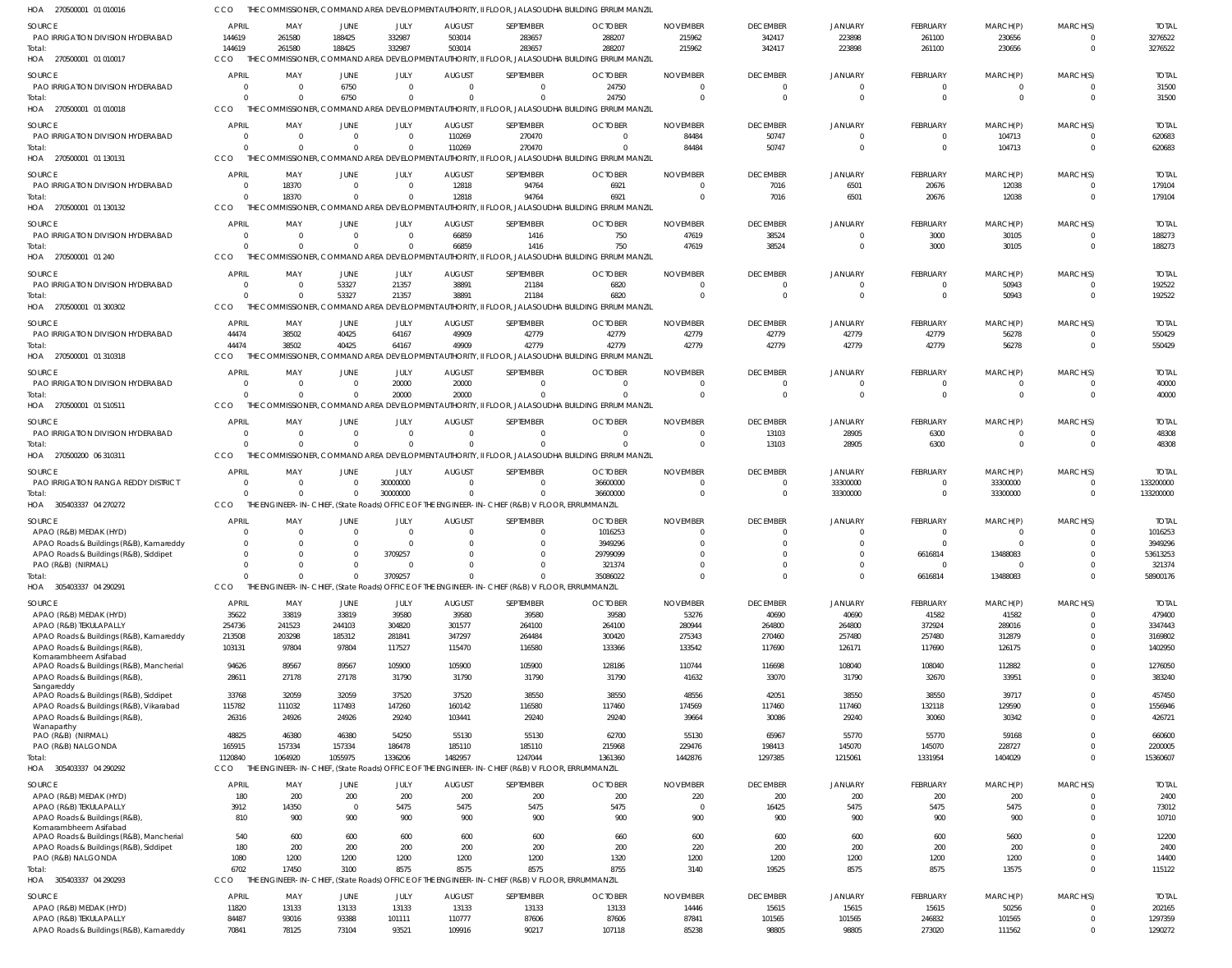270500001 01 010016 HOA 270500001 01 010017 270500001 01 010018 270500001 01 130131 270500001 01 130132 270500001 01 240 270500001 01 300302 270500001 01 310318 HOA 270500001 01 510511 270500200 06 310311 HOA 305403337 04 270272 305403337 04 290291 HOA 305403337 04 290292 HOA 305403337 04 290293 HOA HOA HOA HOA HOA HOA HOA HOA HOA THE COMMISSIONER, COMMAND AREA DEVELOPMENT AUTHORITY, II FLOOR, JALASOUDHA BUILDING ERRUM MANZIL THE COMMISSIONER, COMMAND AREA DEVELOPMENT AUTHORITY, II FLOOR, JALASOUDHA BUILDING ERRUM MANZIL THE COMMISSIONER, COMMAND AREA DEVELOPMENT AUTHORITY, II FLOOR, JALASOUDHA BUILDING ERRUM MANZIL THE COMMISSIONER, COMMAND AREA DEVELOPMENT AUTHORITY, II FLOOR, JALASOUDHA BUILDING ERRUM MANZIL THE COMMISSIONER, COMMAND AREA DEVELOPMENT AUTHORITY, II FLOOR, JALASOUDHA BUILDING ERRUM MANZIL THE COMMISSIONER, COMMAND AREA DEVELOPMENT AUTHORITY, II FLOOR, JALASOUDHA BUILDING ERRUM MANZIL THE COMMISSIONER, COMMAND AREA DEVELOPMENT AUTHORITY, II FLOOR, JALASOUDHA BUILDING ERRUM MANZIL THE COMMISSIONER, COMMAND AREA DEVELOPMENT AUTHORITY, II FLOOR, JALASOUDHA BUILDING ERRUM MANZIL THE COMMISSIONER, COMMAND AREA DEVELOPMENT AUTHORITY, II FLOOR, JALASOUDHA BUILDING ERRUM MANZIL THE COMMISSIONER, COMMAND AREA DEVELOPMENT AUTHORITY, II FLOOR, JALASOUDHA BUILDING ERRUM MANZIL THE ENGINEER-IN-CHIEF, (State Roads) OFFICE OF THE ENGINEER-IN-CHIEF (R&B) V FLOOR, ERRUMMANZIL THE ENGINEER-IN-CHIEF, (State Roads) OFFICE OF THE ENGINEER-IN-CHIEF (R&B) V FLOOR, ERRUMMANZIL THE ENGINEER-IN-CHIEF, (State Roads) OFFICE OF THE ENGINEER-IN-CHIEF (R&B) V FLOOR, ERRUMMANZIL THE ENGINEER-IN-CHIEF, (State Roads) OFFICE OF THE ENGINEER-IN-CHIEF (R&B) V FLOOR, ERRUMMANZIL CCO. **CCO CCO** C<sub>CO</sub> **CCO CCO** CCO **CCO CCO** C<sub>CO</sub> **CCO** CCO CCO 144619 0  $\Omega$ 0  $\Omega$  $\Omega$ 44474  $\Omega$  $\Omega$ 0  $\Omega$ 1120840 6702 261580 0  $\Omega$ 18370  $\Omega$  $\Omega$ 38502  $\Omega$ 0 0  $\bigcap$ 1064920 17450 188425 6750  $\Omega$ 0  $\Omega$ 53327 40425  $\Omega$ 0 0  $\Omega$ 1055975 3100 332987 0  $\bigcap$ 0  $\Omega$ 21357 64167 20000  $\Omega$ 30000000 3709257 1336206 8575 503014 0 110269 12818 66859 38891 49909 20000 0 0  $\Omega$ 1482957 8575 283657 0 270470 94764 1416 21184 42779  $\Omega$  $\Omega$ 0  $\bigcap$ 1247044 8575 288207 24750  $\bigcap$ 6921 750 6820 42779  $\bigcap$  $\Omega$ 36600000 35086022 1361360 8755 215962  $\Omega$ 84484 0 47619  $\Omega$ 42779  $\Omega$  $\Omega$ 0  $\bigcap$ 1442876 3140 342417 0 50747 7016 38524  $\Omega$ 42779  $\Omega$ 13103 0  $\Omega$ 1297385 19525 223898 0 0 6501  $\Omega$ 0 42779  $\Omega$ 28905 33300000  $\Omega$ 1215061 8575 261100  $\Omega$  $\bigcap$ 20676 3000  $\Omega$ 42779  $\Omega$ 6300 0 6616814 1331954 8575 230656 0 104713 12038 30105 50943 56278  $\Omega$ 0 33300000 13488083 1404029 13575 0  $\Omega$  $\bigcap$ 0  $\Omega$  $\bigcap$ 0  $\Omega$  $\Omega$ 0  $\Omega$ 0  $\Omega$ 3276522 31500 620683 179104 188273 192522 550429 40000 48308 133200000 58900176 15360607 115122 PAO IRRIGATION DIVISION HYDERABAD PAO IRRIGATION DIVISION HYDERABAD PAO IRRIGATION DIVISION HYDERABAD PAO IRRIGATION DIVISION HYDERABAD PAO IRRIGATION DIVISION HYDERABAD PAO IRRIGATION DIVISION HYDERABAD PAO IRRIGATION DIVISION HYDERABAD PAO IRRIGATION DIVISION HYDERABAD PAO IRRIGATION DIVISION HYDERABAD PAO IRRIGATION RANGA REDDY DISTRICT APAO (R&B) MEDAK (HYD) APAO Roads & Buildings (R&B), Kamareddy APAO Roads & Buildings (R&B), Siddipet PAO (R&B) (NIRMAL) APAO (R&B) MEDAK (HYD) APAO (R&B) TEKULAPALLY APAO Roads & Buildings (R&B), Kamareddy APAO Roads & Buildings (R&B), Komarambheem Asifabad APAO Roads & Buildings (R&B), Mancherial APAO Roads & Buildings (R&B), **Sangareddy** APAO Roads & Buildings (R&B), Siddipet APAO Roads & Buildings (R&B), Vikarabad APAO Roads & Buildings (R&B), Wanaparthy PAO (R&B) (NIRMAL) PAO (R&B) NALGONDA APAO (R&B) MEDAK (HYD) APAO (R&B) TEKULAPALLY APAO Roads & Buildings (R&B), Komarambheem Asifabad APAO Roads & Buildings (R&B), Mancherial APAO Roads & Buildings (R&B), Siddipet PAO (R&B) NALGONDA APAO (R&B) MEDAK (HYD) APAO (R&B) TEKULAPALLY APAO Roads & Buildings (R&B), Kamareddy SOURCE SOURCE SOURCE **SOURCE SOURCE** SOURCE **SOURCE SOURCE** SOURCE SOURCE SOURCE SOURCE **SOURCE SOURCE** 144619 0 0  $\Omega$  $\mathfrak{c}$ 0 44474 0 0 0  $\mathbf{C}$  $\Omega$ 0  $\Omega$ 35622 254736 213508 103131 94626 28611 33768 115782 26316 48825 165915 180 3912 810 540 180 1080 11820 84487 70841 APRIL **APRIL APRIL APRIL APRIL APRIL** APRIL **APRIL APRIL** APRIL **APRIL APRIL APRIL** APRIL 261580 0 0 18370 0  $\Omega$ 38502 0 0 0 0  $\Omega$ 0  $\Omega$ 33819 241523 203298 97804 89567 27178 32059 111032 24926 46380 157334 200 14350 900 600 200 1200 13133 93016 78125 MAY MAY MAY MAY MAY MAY MAY MAY MAY MAY MAY MAY MAY MAY 188425 6750 0  $\Omega$ 0 53327 40425 0 0 0  $\mathbf{C}$  $\Omega$ 0  $\Omega$ 33819 244103 185312 97804 89567 27178 32059 117493 24926 46380 157334 200  $\Omega$ 900 600 200 1200 13133 93388 73104 JUNE **JUNE** JUNE JUNE JUNE JUNE JUNE **JUNE** JUNE JUNE JUNE JUNE **JUNE** JUNE 332987 0 0  $\Omega$ 0 21357 64167 20000 0 30000000 0  $\bigcap$ 3709257  $\Omega$ 39580 304820 281841 117527 105900 31790 37520 147260 29240 54250 186478 200 5475 900 600 200 1200 13133 101111 93521 JULY JULY JULY JULY JULY JULY JULY JULY JULY JULY JULY JULY JULY JULY 503014 0 110269 12818 66859 38891 49909 20000 0 0 0  $\Omega$ 0 0 39580 301577 347297 115470 105900 31790 37520 160142 103441 55130 185110 200 5475 900 600 200 1200 13133 110777 109916 AUGUST **AUGUST** AUGUST AUGUST **AUGUST** AUGUST AUGUST **AUGUST** AUGUST AUGUST AUGUST AUGUST **AUGUST** AUGUST 283657 0 270470 94764 1416 21184 42779 0 0  $\sqrt{2}$ 0  $\sqrt{2}$ 0  $\Omega$ 39580 264100 264484 116580 105900 31790 38550 116580 29240 55130 185110 200 5475 900 600 200 1200 13133 87606 90217 SEPTEMBER **SEPTEMBER** SEPTEMBER SEPTEMBER SEPTEMBER SEPTEMBER SEPTEMBER **SEPTEMBER** SEPTEMBER SEPTEMBER SEPTEMBER SEPTEMBER SEPTEMBER SEPTEMBER 288207 24750  $\Omega$ 6921 750 6820 42779 0 0 36600000 1016253 3949296 29799099 321374 39580 264100 300420 133366 128186 31790 38550 117460 29240 62700 215968 200 5475 900 660 200 1320 13133 87606 107118 **OCTOBER OCTOBER** OCTOBER **OCTOBER OCTOBER** OCTOBER **OCTOBER OCTOBER OCTOBER OCTOBER OCTOBER** OCTOBER OCTOBER **OCTOBER** 215962 0 84484  $\Omega$ 47619  $\Omega$ 42779 0  $\Omega$ 0 0  $\Omega$ 0  $\Omega$ 53276 280944 275343 133542 110744 41632 48556 174569 39664 55130 229476 220  $\Omega$ 900 600 220 1200 14446 87841 85238 NOVEMBER NOVEMBER NOVEMBER NOVEMBER NOVEMBER NOVEMBER NOVEMBER NOVEMBER NOVEMBER NOVEMBER NOVEMBER NOVEMBER NOVEMBER NOVEMBER 342417 0 50747 7016 38524  $\Omega$ 42779 0 13103  $\bigcap$ 0  $\Omega$ 0  $\Omega$ 40690 264800 270460 117690 116698 33070 42051 117460 30086 65967 198413 200 16425 900 600 200 1200 15615 101565 98805 DECEMBER **DECEMBER** DECEMBER DECEMBER DECEMBER DECEMBER DECEMBER DECEMBER DECEMBER DECEMBER DECEMBER DECEMBER DECEMBER DECEMBER 223898 0 0 6501 0 0 42779 0 28905 33300000 0  $\Omega$ 0 0 40690 264800 257480 126171 108040 31790 38550 117460 29240 55770 145070 200 5475 900 600 200 1200 15615 101565 98805 **JANUARY** JANUARY JANUARY **JANUARY JANUARY** JANUARY **JANUARY** JANUARY **JANUARY JANUARY JANUARY** JANUARY JANUARY JANUARY 261100 0 0 20676 3000  $\Omega$ 42779 0 6300  $\Omega$ 0  $\sqrt{2}$ 6616814  $\Omega$ 41582 372924 257480 117690 108040 32670 38550 132118 30060 55770 145070 200 5475 900 600 200 1200 15615 246832 273020 **FEBRUARY FEBRUARY** FEBRUARY FEBRUARY **FEBRUARY** FEBRUARY FEBRUARY **FFBRUARY FEBRUARY** FEBRUARY FEBRUARY FEBRUARY FEBRUARY FEBRUARY 230656 0 104713 12038 30105 50943 56278 0  $\Omega$ 33300000 0  $\sqrt{2}$ 13488083 0 41582 289016 312879 126175 112882 33951 39717 129590 30342 59168 228727 200 5475 900 5600 200 1200 50256 101565 111562 MARCH(P) MARCH(P) MARCH(P) MARCH(P) MARCH(P) MARCH(P) MARCH(P) MARCH(P) MARCH(P) MARCH(P) MARCH(P) MARCH(P) MARCH(P) MARCH(P) 0 0 0 0 0 0 0 0 0 0 0  $\bigcap$ 0  $\Omega$  $\Omega$ 0  $\bigcap$ 0  $\bigcap$ 0 0 0  $\Omega$ 0  $\Omega$ 0  $\Omega$  $\Omega$  $\Omega$  $\Omega$  $\Omega$ 0 0  $\Omega$ MARCH(S) MARCH(S) MARCH(S) MARCH(S) MARCH(S) MARCH(S) MARCH(S) MARCH(S) MARCH(S) MARCH(S) MARCH(S) MARCH(S) MARCH(S) MARCH(S) 3276522 31500 620683 179104 188273 192522 550429 40000 48308 133200000 1016253 3949296 53613253 321374 479400 3347443 3169802 1402950 1276050 383240 457450 1556946 426721 660600 2200005 2400 73012 10710 12200 2400 14400 202165 1297359 1290272 TOTAL TOTAL TOTAL TOTAL TOTAL TOTAL TOTAL TOTAL TOTAL TOTAL TOTAL TOTAL TOTAL TOTAL Total: Total: Total: Total: Total: **Total** Total: Total: Total: Total: Total: **Total** Total:

**CCO**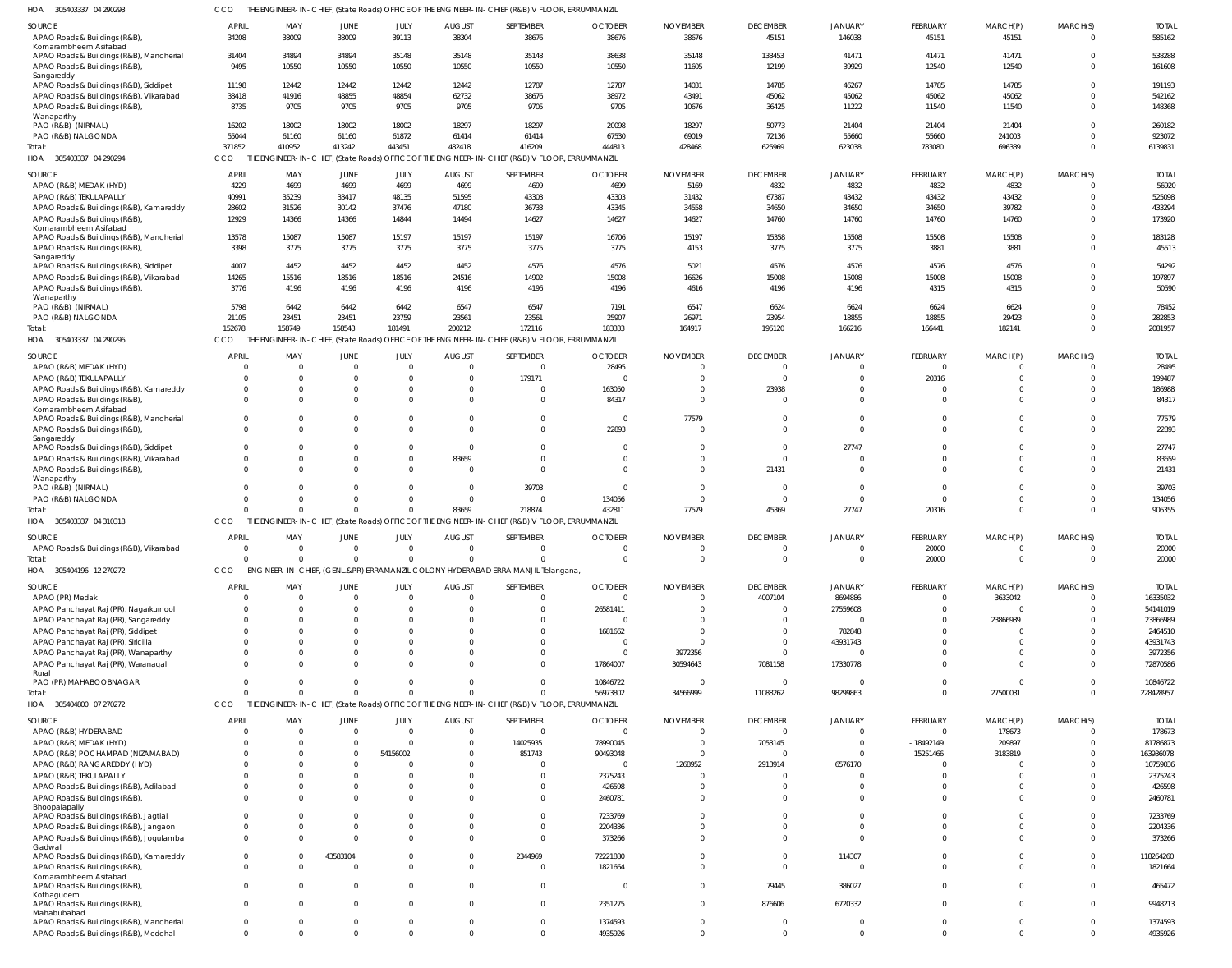| 305403337 04 290293 | CCO THE ENGINEER-IN-CHIEF, (State Roads) OFFICE OF THE ENGINEER-IN-CHIEF (R&B) V FLOOR, ERRUMMANZIL |
|---------------------|-----------------------------------------------------------------------------------------------------|

| 305403337 04 290293<br>HOA                                                        | <b>CCO</b>               |                 |                      |                         |                           | THE ENGINEER-IN-CHIEF, (State Roads) OFFICE OF THE ENGINEER-IN-CHIEF (R&B) V FLOOR, ERRUMMANZIL |                            |                               |                                   |                           |                                |                         |                      |                          |
|-----------------------------------------------------------------------------------|--------------------------|-----------------|----------------------|-------------------------|---------------------------|-------------------------------------------------------------------------------------------------|----------------------------|-------------------------------|-----------------------------------|---------------------------|--------------------------------|-------------------------|----------------------|--------------------------|
| SOURCE                                                                            | <b>APRIL</b>             | MAY             | JUNE                 | JULY                    | <b>AUGUST</b>             | SEPTEMBER                                                                                       | <b>OCTOBER</b>             | <b>NOVEMBER</b>               | <b>DECEMBER</b>                   | <b>JANUARY</b>            | FEBRUARY                       | MARCH(P)                | MARCH(S)             | <b>TOTAL</b>             |
| APAO Roads & Buildings (R&B),<br>Komarambheem Asifabad                            | 34208                    | 38009           | 38009                | 39113                   | 38304                     | 38676                                                                                           | 38676                      | 38676                         | 45151                             | 146038                    | 45151                          | 45151                   | $\Omega$             | 585162                   |
| APAO Roads & Buildings (R&B), Mancherial                                          | 31404                    | 34894           | 34894                | 35148                   | 35148                     | 35148                                                                                           | 38638                      | 35148                         | 133453                            | 41471                     | 41471                          | 41471                   | $\Omega$             | 538288                   |
| APAO Roads & Buildings (R&B)<br>Sangareddy                                        | 9495                     | 10550           | 10550                | 10550                   | 10550                     | 10550                                                                                           | 10550                      | 11605                         | 12199                             | 39929                     | 12540                          | 12540                   | $\Omega$             | 161608                   |
| APAO Roads & Buildings (R&B), Siddipet                                            | 11198                    | 12442           | 12442                | 12442                   | 12442                     | 12787                                                                                           | 12787                      | 14031                         | 14785                             | 46267                     | 14785                          | 14785                   | $\Omega$             | 191193                   |
| APAO Roads & Buildings (R&B), Vikarabad                                           | 38418                    | 41916           | 48855                | 48854                   | 62732                     | 38676                                                                                           | 38972                      | 43491                         | 45062                             | 45062                     | 45062                          | 45062                   | $\Omega$<br>$\Omega$ | 542162                   |
| APAO Roads & Buildings (R&B)<br>Wanaparthy                                        | 8735                     | 9705            | 9705                 | 9705                    | 9705                      | 9705                                                                                            | 9705                       | 10676                         | 36425                             | 11222                     | 11540                          | 11540                   |                      | 148368                   |
| PAO (R&B) (NIRMAL)                                                                | 16202                    | 18002           | 18002                | 18002                   | 18297                     | 18297                                                                                           | 20098                      | 18297                         | 50773                             | 21404                     | 21404                          | 21404                   | $\Omega$             | 260182                   |
| PAO (R&B) NALGONDA<br>Total:                                                      | 55044<br>371852          | 61160<br>410952 | 61160<br>413242      | 61872<br>443451         | 61414<br>482418           | 61414<br>416209                                                                                 | 67530<br>444813            | 69019<br>428468               | 72136<br>625969                   | 55660<br>623038           | 55660<br>783080                | 241003<br>696339        | $\Omega$<br>$\Omega$ | 923072<br>6139831        |
| HOA 305403337 04 290294                                                           | CCO                      |                 |                      |                         |                           | THE ENGINEER-IN-CHIEF, (State Roads) OFFICE OF THE ENGINEER-IN-CHIEF (R&B) V FLOOR, ERRUMMANZIL |                            |                               |                                   |                           |                                |                         |                      |                          |
| SOURCE                                                                            | <b>APRIL</b>             | MAY             | JUNE                 | JULY                    | <b>AUGUST</b>             | SEPTEMBER                                                                                       | <b>OCTOBER</b>             | <b>NOVEMBER</b>               | <b>DECEMBER</b>                   | <b>JANUARY</b>            | FEBRUARY                       | MARCH(P)                | MARCH(S)             | <b>TOTAI</b>             |
| APAO (R&B) MEDAK (HYD)                                                            | 4229                     | 4699            | 4699                 | 4699                    | 4699                      | 4699                                                                                            | 4699                       | 5169                          | 4832                              | 4832                      | 4832                           | 4832                    |                      | 56920                    |
| APAO (R&B) TEKULAPALLY<br>APAO Roads & Buildings (R&B), Kamareddy                 | 40991<br>28602           | 35239<br>31526  | 33417<br>30142       | 48135<br>37476          | 51595<br>47180            | 43303<br>36733                                                                                  | 43303<br>43345             | 31432<br>34558                | 67387<br>34650                    | 43432<br>34650            | 43432<br>34650                 | 43432<br>39782          | $\Omega$             | 525098<br>433294         |
| APAO Roads & Buildings (R&B)                                                      | 12929                    | 14366           | 14366                | 14844                   | 14494                     | 14627                                                                                           | 14627                      | 14627                         | 14760                             | 14760                     | 14760                          | 14760                   | $\Omega$             | 173920                   |
| Komarambheem Asifabad<br>APAO Roads & Buildings (R&B), Mancherial                 | 13578                    | 15087           | 15087                | 15197                   | 15197                     | 15197                                                                                           | 16706                      | 15197                         | 15358                             | 15508                     | 15508                          | 15508                   |                      | 183128                   |
| APAO Roads & Buildings (R&B)                                                      | 3398                     | 3775            | 3775                 | 3775                    | 3775                      | 3775                                                                                            | 3775                       | 4153                          | 3775                              | 3775                      | 3881                           | 3881                    | $\Omega$             | 45513                    |
| Sangareddy                                                                        | 4007                     |                 |                      |                         |                           |                                                                                                 |                            |                               |                                   |                           |                                |                         |                      |                          |
| APAO Roads & Buildings (R&B), Siddipet<br>APAO Roads & Buildings (R&B), Vikarabad | 14265                    | 4452<br>15516   | 4452<br>18516        | 4452<br>18516           | 4452<br>24516             | 4576<br>14902                                                                                   | 4576<br>15008              | 5021<br>16626                 | 4576<br>15008                     | 4576<br>15008             | 4576<br>15008                  | 4576<br>15008           | $\Omega$             | 54292<br>197897          |
| APAO Roads & Buildings (R&B)                                                      | 3776                     | 4196            | 4196                 | 4196                    | 4196                      | 4196                                                                                            | 4196                       | 4616                          | 4196                              | 4196                      | 4315                           | 4315                    | $\Omega$             | 50590                    |
| Wanaparthy<br>PAO (R&B) (NIRMAL)                                                  | 5798                     | 6442            | 6442                 | 6442                    | 6547                      | 6547                                                                                            | 7191                       | 6547                          | 6624                              | 6624                      | 6624                           | 6624                    |                      | 78452                    |
| PAO (R&B) NALGONDA                                                                | 21105                    | 23451           | 23451                | 23759                   | 23561                     | 23561                                                                                           | 25907                      | 26971                         | 23954                             | 18855                     | 18855                          | 29423                   |                      | 282853                   |
| Total:                                                                            | 152678                   | 158749          | 158543               | 181491                  | 200212                    | 172116                                                                                          | 183333                     | 164917                        | 195120                            | 166216                    | 166441                         | 182141                  | $\Omega$             | 2081957                  |
| HOA 305403337 04 290296                                                           | CCO.                     |                 |                      |                         |                           | THE ENGINEER-IN-CHIEF, (State Roads) OFFICE OF THE ENGINEER-IN-CHIEF (R&B) V FLOOR, ERRUMMANZIL |                            |                               |                                   |                           |                                |                         |                      |                          |
| SOURCE<br>APAO (R&B) MEDAK (HYD)                                                  | <b>APRIL</b><br>$\Omega$ | MAY             | JUNE<br>$\Omega$     | JULY<br>$\Omega$        | <b>AUGUST</b><br>$\Omega$ | SEPTEMBER<br>$\overline{0}$                                                                     | <b>OCTOBER</b><br>28495    | <b>NOVEMBER</b><br>$^{\circ}$ | <b>DECEMBER</b><br>$\overline{0}$ | <b>JANUARY</b>            | FEBRUARY<br>$\mathbf 0$        | MARCH(P)<br>$\mathbf 0$ | MARCH(S)<br>$\Omega$ | <b>TOTAI</b><br>28495    |
| APAO (R&B) TEKULAPALLY                                                            | $\Omega$                 |                 | $\Omega$             | 0                       | $\Omega$                  | 179171                                                                                          |                            | $\Omega$                      | $\overline{0}$                    | $\Omega$                  | 20316                          | $\mathbf 0$             | $\Omega$             | 199487                   |
| APAO Roads & Buildings (R&B), Kamareddy                                           | 0                        |                 |                      | $\Omega$                | $\Omega$                  | $\overline{0}$                                                                                  | 163050                     | $^{\circ}$                    | 23938                             | $\Omega$                  | 0                              | $\Omega$                | $\Omega$             | 186988                   |
| APAO Roads & Buildings (R&B)<br>Komarambheem Asifabad                             | $\Omega$                 |                 | $\Omega$             |                         | $\cap$                    | $\Omega$                                                                                        | 84317                      | $\Omega$                      | $\Omega$                          | $\Omega$                  | $\Omega$                       | $\Omega$                | $\cap$               | 84317                    |
| APAO Roads & Buildings (R&B), Mancherial                                          | $\Omega$                 |                 | $\Omega$             | 0                       | $\cap$                    | $\overline{0}$                                                                                  | - 0                        | 77579                         | $\Omega$                          | $\Omega$                  | $\mathbf 0$                    | $\Omega$                | $\Omega$             | 77579                    |
| APAO Roads & Buildings (R&B),<br>Sangareddy                                       | $\Omega$                 |                 | $\Omega$             | $\Omega$                | $\cap$                    | $\overline{0}$                                                                                  | 22893                      | $\Omega$                      | $\Omega$                          | $\Omega$                  | $\Omega$                       | $\Omega$                | $\Omega$             | 22893                    |
| APAO Roads & Buildings (R&B), Siddipet                                            | $\Omega$                 |                 | $\Omega$             | $\mathbf 0$             | $\Omega$                  | $\Omega$                                                                                        | $\Omega$                   | -0                            | $\Omega$                          | 27747                     | $\Omega$                       | $\Omega$                | $\Omega$             | 27747                    |
| APAO Roads & Buildings (R&B), Vikarabad                                           | $\mathbf 0$              |                 | $\Omega$             | $\mathbf 0$             | 83659                     | $\overline{0}$                                                                                  | $\Omega$                   | $\Omega$                      | $\Omega$                          |                           | $\mathbf 0$                    | 0                       | $\Omega$             | 83659                    |
| APAO Roads & Buildings (R&B)<br>Wanaparthy                                        | $\Omega$                 |                 | $\Omega$             | $\Omega$                | $\Omega$                  | $\overline{0}$                                                                                  |                            | $\Omega$                      | 21431                             | $\Omega$                  | $\Omega$                       | $\Omega$                | $\Omega$             | 21431                    |
| PAO (R&B) (NIRMAL)                                                                | $\Omega$                 |                 | $\Omega$             | 0                       | $\Omega$                  | 39703                                                                                           |                            | $\Omega$                      | $\overline{0}$                    | $\Omega$                  | $\mathbf 0$                    | 0                       | $\Omega$             | 39703                    |
| PAO (R&B) NALGONDA<br>Total:                                                      | $\Omega$<br>$\sqrt{ }$   | $\Omega$        | $\Omega$<br>$\Omega$ | $\Omega$<br>$\mathbf 0$ | $\Omega$<br>83659         | $\overline{0}$<br>218874                                                                        | 134056<br>432811           | $\overline{0}$<br>77579       | $\overline{0}$<br>45369           | $\Omega$<br>27747         | $\Omega$<br>20316              | $\Omega$<br>$\mathbf 0$ | $\Omega$<br>$\Omega$ | 134056<br>906355         |
| HOA 305403337 04 310318                                                           | CCO                      |                 |                      |                         |                           | THE ENGINEER-IN-CHIEF, (State Roads) OFFICE OF THE ENGINEER-IN-CHIEF (R&B) V FLOOR, ERRUMMANZIL |                            |                               |                                   |                           |                                |                         |                      |                          |
| SOURCE                                                                            | <b>APRIL</b>             | MAY             | JUNE                 | JULY                    | <b>AUGUST</b>             | SEPTEMBER                                                                                       | <b>OCTOBER</b>             | <b>NOVEMBER</b>               | <b>DECEMBER</b>                   | <b>JANUARY</b>            | <b>FEBRUARY</b>                | MARCH(P)                | MARCH(S)             | <b>TOTAL</b>             |
| APAO Roads & Buildings (R&B), Vikarabad                                           | $\Omega$                 | $\overline{0}$  | $\overline{0}$       | $\overline{0}$          | $\overline{0}$            | $\Omega$                                                                                        | $\Omega$                   | $\Omega$                      | $\overline{0}$                    |                           | 20000                          | $\Omega$                | $^{\circ}$           | 20000                    |
| Total:<br>HOA 305404196 12 270272                                                 | $\Omega$<br><b>CCO</b>   |                 | $\Omega$             | $\Omega$                | $\Omega$                  | $\Omega$<br>ENGINEER-IN-CHIEF, (GENL.&PR) ERRAMANZIL COLONY HYDERABAD ERRA MANJIL Telangana,    |                            | $\Omega$                      | $\Omega$                          | $\Omega$                  | 20000                          | $\Omega$                | $\Omega$             | 20000                    |
|                                                                                   |                          |                 |                      |                         |                           |                                                                                                 |                            |                               |                                   |                           |                                |                         |                      |                          |
| SOURCE<br>APAO (PR) Medak                                                         | <b>APRIL</b><br>C        | MAY             | JUNE<br>$\Omega$     | JULY<br>$\Omega$        | <b>AUGUST</b><br>- 0      | SEPTEMBER<br>$\overline{0}$                                                                     | <b>OCTOBER</b><br>$\Omega$ | <b>NOVEMBER</b><br>$\Omega$   | <b>DECEMBER</b><br>4007104        | <b>JANUARY</b><br>8694886 | <b>FEBRUARY</b><br>$\mathbf 0$ | MARCH(P)<br>3633042     | MARCH(S)             | <b>TOTAL</b><br>16335032 |
| APAO Panchayat Raj (PR), Nagarkurnool                                             | $\Omega$                 |                 |                      | $\Omega$                | - 0                       | $\Omega$                                                                                        | 26581411                   | $\Omega$                      | $\overline{0}$                    | 27559608                  | $\Omega$                       | $\mathbf 0$             |                      | 54141019                 |
| APAO Panchayat Raj (PR), Sangareddy                                               | $\Omega$                 |                 |                      |                         |                           | $\Omega$                                                                                        |                            | ſ                             | $\Omega$                          | $\Omega$                  | $\Omega$                       | 23866989                |                      | 23866989                 |
| APAO Panchayat Raj (PR), Siddipet<br>APAO Panchayat Raj (PR), Siricilla           | $\Omega$<br>$\Omega$     |                 |                      |                         |                           | $\Omega$<br>$\Omega$                                                                            | 1681662                    | $\Omega$<br>$\Omega$          | $\Omega$<br>$\Omega$              | 782848<br>43931743        | $\Omega$<br>$\Omega$           | $\Omega$                |                      | 2464510<br>43931743      |
| APAO Panchayat Raj (PR), Wanaparthy                                               | $\Omega$                 |                 |                      |                         |                           | $\Omega$                                                                                        | $\Omega$                   | 3972356                       | $\Omega$                          |                           | $\Omega$                       |                         |                      | 3972356                  |
| APAO Panchayat Raj (PR), Waranagal                                                | $\Omega$                 |                 |                      |                         |                           | $\Omega$                                                                                        | 17864007                   | 30594643                      | 7081158                           | 17330778                  | $\Omega$                       | $\Omega$                |                      | 72870586                 |
| Rural<br>PAO (PR) MAHABOOBNAGAR                                                   | $\Omega$                 |                 | $\Omega$             | <sup>0</sup>            |                           | $\Omega$                                                                                        | 10846722                   | - 0                           | $\overline{0}$                    | $\Omega$                  | $\Omega$                       | $\Omega$                |                      | 10846722                 |
| Total:                                                                            | $\Omega$                 |                 | $\Omega$             | $\Omega$                |                           | $\Omega$                                                                                        | 56973802                   | 34566999                      | 11088262                          | 98299863                  | $\Omega$                       | 27500031                | $\Omega$             | 228428957                |
| HOA 305404800 07 270272                                                           | <b>CCO</b>               |                 |                      |                         |                           | THE ENGINEER-IN-CHIEF, (State Roads) OFFICE OF THE ENGINEER-IN-CHIEF (R&B) V FLOOR, ERRUMMANZIL |                            |                               |                                   |                           |                                |                         |                      |                          |
| SOURCE                                                                            | <b>APRIL</b>             | MAY             | JUNE                 | JULY                    | <b>AUGUST</b><br>$\Omega$ | SEPTEMBER                                                                                       | <b>OCTOBER</b>             | <b>NOVEMBER</b>               | <b>DECEMBER</b>                   | <b>JANUARY</b>            | FEBRUARY                       | MARCH(P)                | MARCH(S)             | <b>TOTAI</b>             |
| APAO (R&B) HYDERABAD<br>APAO (R&B) MEDAK (HYD)                                    | $\Omega$<br>$\Omega$     |                 | $\Omega$<br>$\Omega$ | $\Omega$<br>$\Omega$    | $\Omega$                  | $\Omega$<br>14025935                                                                            | 78990045                   | $\Omega$<br>$\Omega$          | $\Omega$<br>7053145               | $\Omega$                  | $\Omega$<br>$-18492149$        | 178673<br>209897        |                      | 178673<br>81786873       |
| APAO (R&B) POCHAMPAD (NIZAMABAD)                                                  | $\Omega$                 |                 | $\Omega$             | 54156002                |                           | 851743                                                                                          | 90493048                   | $\Omega$                      | $\Omega$                          |                           | 15251466                       | 3183819                 |                      | 163936078                |
| APAO (R&B) RANGAREDDY (HYD)                                                       | $\Omega$                 |                 |                      |                         |                           | $\circ$                                                                                         | $\Omega$                   | 1268952                       | 2913914                           | 6576170                   | $\Omega$                       |                         |                      | 10759036                 |
| APAO (R&B) TEKULAPALLY<br>APAO Roads & Buildings (R&B), Adilabad                  | $\Omega$<br>$\Omega$     |                 |                      |                         |                           | $\Omega$<br>$\Omega$                                                                            | 2375243<br>426598          | $\Omega$<br>$\Omega$          | $\Omega$<br>$\Omega$              |                           | $\Omega$<br>$\Omega$           |                         |                      | 2375243<br>426598        |
| APAO Roads & Buildings (R&B),                                                     | $\Omega$                 |                 | <sup>0</sup>         |                         |                           | $\Omega$                                                                                        | 2460781                    | $\Omega$                      | $\Omega$                          | $\Omega$                  | $\Omega$                       |                         |                      | 2460781                  |
| Bhoopalapally<br>APAO Roads & Buildings (R&B), Jagtial                            | $\Omega$                 |                 |                      |                         |                           | $\Omega$                                                                                        | 7233769                    | $\Omega$                      | $\Omega$                          | $\Omega$                  |                                |                         |                      | 7233769                  |
| APAO Roads & Buildings (R&B), Jangaon                                             | $\Omega$                 |                 | <sup>0</sup>         | $\Omega$                |                           | $\Omega$                                                                                        | 2204336                    | $\Omega$                      | $\Omega$                          | $\Omega$                  | $\Omega$                       |                         |                      | 2204336                  |
| APAO Roads & Buildings (R&B), Jogulamba                                           | $\Omega$                 |                 | $\Omega$             |                         |                           | $\Omega$                                                                                        | 373266                     | $\Omega$                      | $\Omega$                          | $\Omega$                  | $\Omega$                       | $\Omega$                |                      | 373266                   |
| Gadwal<br>APAO Roads & Buildings (R&B), Kamareddy                                 | $\mathbf 0$              |                 | 43583104             | <sup>0</sup>            |                           | 2344969                                                                                         | 72221880                   | $\Omega$                      | $\Omega$                          | 114307                    | $\Omega$                       |                         |                      | 118264260                |
| APAO Roads & Buildings (R&B),                                                     | $\Omega$                 |                 | $\Omega$             | $\Omega$                | $\Omega$                  | $\overline{0}$                                                                                  | 1821664                    | $\Omega$                      | $\Omega$                          | $\Omega$                  | $\Omega$                       |                         |                      | 1821664                  |
| Komarambheem Asifabad<br>APAO Roads & Buildings (R&B),                            | $\Omega$                 |                 | $\Omega$             | $\Omega$                |                           | $\overline{0}$                                                                                  | $\Omega$                   | $\Omega$                      | 79445                             | 386027                    | $\Omega$                       | $\Omega$                |                      | 465472                   |
| Kothagudem                                                                        | $\Omega$                 |                 | $\Omega$             | $\Omega$                |                           | $\Omega$                                                                                        |                            | $\Omega$                      |                                   |                           | $\Omega$                       |                         |                      |                          |
| APAO Roads & Buildings (R&B),<br>Mahabubabad                                      |                          |                 |                      |                         |                           |                                                                                                 | 2351275                    |                               | 876606                            | 6720332                   |                                |                         |                      | 9948213                  |
| APAO Roads & Buildings (R&B), Mancherial                                          | $\mathbf{0}$             |                 | $\Omega$             | $\Omega$<br>$\Omega$    | $\Omega$                  | $\overline{0}$                                                                                  | 1374593                    | $\mathbf 0$                   | $\overline{0}$                    | $\Omega$<br>$\Omega$      | $\mathbf 0$                    | $\Omega$<br>$\Omega$    | $\Omega$             | 1374593                  |
| APAO Roads & Buildings (R&B), Medchal                                             | $\mathbf{0}$             |                 | $\Omega$             |                         |                           | $\overline{0}$                                                                                  | 4935926                    | $\Omega$                      | $\overline{0}$                    |                           | $\mathbf 0$                    |                         | $\Omega$             | 4935926                  |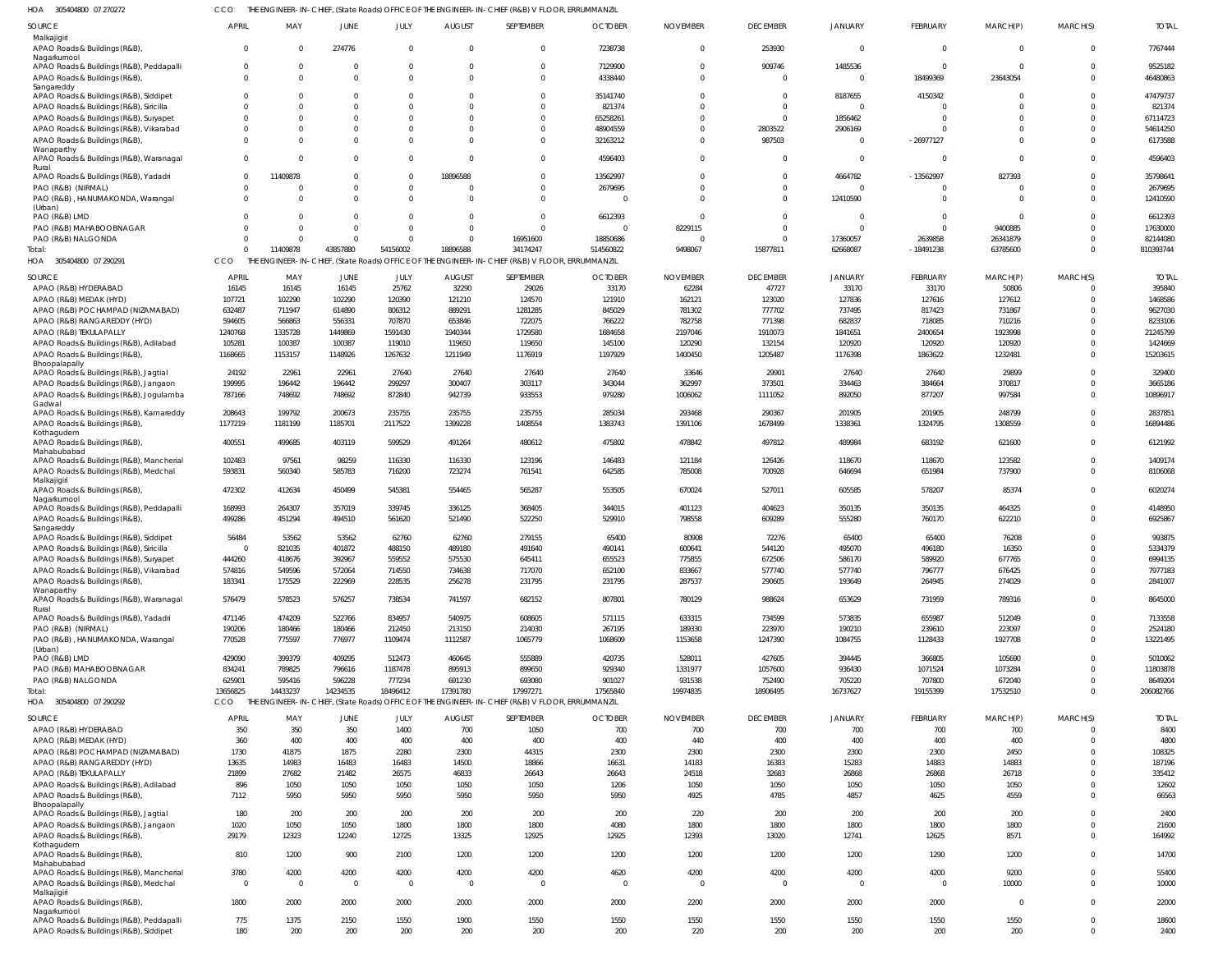305404800 07 270272 HOA CCO THE ENGINEER-IN-CHIEF, (State Roads) OFFICE OF THE ENGINEER-IN-CHIEF (R&B) V FLOOR, ERRUMMANZIL

| SOURCE                                                                             | APRIL          | MAY            | JUNE           | JULY                                           | AUGUST         | SEPTEMBER                                                                                       | <b>OCTOBER</b>         | <b>NOVEMBER</b>         | DECEMBER        | JANUARY        | <b>FEBRUARY</b> | MARCH(P)    | MARCH(S)                   | TOTAL         |
|------------------------------------------------------------------------------------|----------------|----------------|----------------|------------------------------------------------|----------------|-------------------------------------------------------------------------------------------------|------------------------|-------------------------|-----------------|----------------|-----------------|-------------|----------------------------|---------------|
| Malkajigiri<br>APAO Roads & Buildings (R&B),                                       | $\overline{0}$ | $\Omega$       | 274776         | $\Omega$                                       | $\Omega$       | $\mathbf 0$                                                                                     | 7238738                | $\overline{0}$          | 253930          | $\mathbf 0$    | $\Omega$        | $\Omega$    | $\mathbf 0$                | 7767444       |
| Nagarkurnool                                                                       |                |                |                |                                                |                |                                                                                                 |                        |                         |                 |                |                 |             |                            |               |
| APAO Roads & Buildings (R&B), Peddapalli                                           | $\overline{0}$ | $\Omega$       |                | $\Omega$                                       | $\Omega$       | $\Omega$                                                                                        | 7129900                | $\overline{0}$          | 909746          | 1485536        | $\Omega$        | $\Omega$    | $\Omega$                   | 9525182       |
| APAO Roads & Buildings (R&B),                                                      | $\overline{0}$ | $\Omega$       |                | $\Omega$                                       |                | $\Omega$                                                                                        | 4338440                | $\overline{0}$          | $\Omega$        | $\Omega$       | 18499369        | 23643054    | $\Omega$                   | 46480863      |
| Sangareddy<br>APAO Roads & Buildings (R&B), Siddipet                               | $\Omega$       | $\Omega$       |                | $\Omega$                                       |                | $\Omega$                                                                                        | 35141740               | $\mathbf{0}$            | $\Omega$        | 8187655        | 4150342         |             | $\Omega$                   | 47479737      |
| APAO Roads & Buildings (R&B), Siricilla                                            | $\overline{0}$ | $\Omega$       |                | <sup>0</sup>                                   |                | $\Omega$                                                                                        | 821374                 | $\Omega$                | $\Omega$        | $\Omega$       |                 |             | $\Omega$                   | 821374        |
| APAO Roads & Buildings (R&B), Suryapet                                             | $\overline{0}$ | $\Omega$       |                | $\Omega$                                       |                | $\Omega$                                                                                        | 65258261               | $\Omega$                | $\Omega$        | 1856462        |                 |             | $\Omega$                   | 67114723      |
| APAO Roads & Buildings (R&B), Vikarabad                                            | $\overline{0}$ | $\Omega$       |                | $\Omega$                                       |                | $\Omega$                                                                                        | 48904559               | $\Omega$                | 2803522         | 2906169        |                 |             | $\Omega$                   | 54614250      |
| APAO Roads & Buildings (R&B)                                                       | $\Omega$       | $\Omega$       |                | $\Omega$                                       |                | $\Omega$                                                                                        | 32163212               | $\Omega$                | 987503          | $\Omega$       | $-26977127$     |             | $\Omega$                   | 6173588       |
| Wanaparthy                                                                         |                |                |                |                                                |                |                                                                                                 |                        |                         |                 |                |                 |             |                            |               |
| APAO Roads & Buildings (R&B), Waranagal                                            | $\overline{0}$ | $\Omega$       | $\Omega$       | $\Omega$                                       |                | $\Omega$                                                                                        | 4596403                | $\Omega$                | $\cap$          | $\mathbf 0$    |                 | $\Omega$    | $\Omega$                   | 4596403       |
| Rural<br>APAO Roads & Buildings (R&B), Yadadri                                     | $\overline{0}$ | 11409878       | $\cap$         | $\Omega$                                       | 18896588       | $\Omega$                                                                                        | 13562997               | $\Omega$                | $\Omega$        | 4664782        | $-13562997$     | 827393      | $\Omega$                   | 35798641      |
| PAO (R&B) (NIRMAL)                                                                 | $\overline{0}$ | $\mathcal{L}$  |                | $\mathbf{0}$                                   |                | $\mathbf{0}$                                                                                    | 2679695                | $\Omega$                | $\Omega$        | $\Omega$       |                 |             | $\Omega$                   | 2679695       |
| PAO (R&B), HANUMAKONDA, Warangal                                                   | $\overline{0}$ | $\Omega$       |                | $\Omega$                                       |                | $\Omega$                                                                                        | $\Omega$               | $\Omega$                | $\Omega$        | 12410590       |                 | - 0         | $\Omega$                   | 12410590      |
| (Urban)                                                                            |                |                |                |                                                |                |                                                                                                 |                        |                         |                 |                |                 |             |                            |               |
| PAO (R&B) LMD                                                                      | $\Omega$       | $\Omega$       | $\Omega$       | $\Omega$                                       | - 0            | $\mathbf{0}$                                                                                    | 6612393                | $\Omega$                | $\Omega$        | $\overline{0}$ | $\Omega$        | $\Omega$    | $\Omega$                   | 6612393       |
| PAO (R&B) MAHABOOBNAGAR                                                            | $\Omega$       | $\Omega$       |                | $\Omega$                                       | $\Omega$       | $\Omega$                                                                                        | $\overline{0}$         | 8229115                 | $\Omega$        | $\mathbf 0$    | $\Omega$        | 9400885     | $\Omega$                   | 17630000      |
| PAO (R&B) NALGONDA                                                                 | $\Omega$       | $\Omega$       | $\Omega$       | $\Omega$                                       | $\Omega$       | 16951600                                                                                        | 18850686               | - 0                     | $\Omega$        | 17360057       | 2639858         | 26341879    | $\Omega$                   | 82144080      |
| Total:                                                                             | $\Omega$       | 11409878       | 43857880       | 54156002                                       | 18896588       | 34174247                                                                                        | 514560822              | 9498067                 | 15877811        | 62668087       | $-18491238$     | 63785600    | $\Omega$                   | 810393744     |
| HOA 305404800 07 290291                                                            | CCO            |                |                |                                                |                | THE ENGINEER-IN-CHIEF, (State Roads) OFFICE OF THE ENGINEER-IN-CHIEF (R&B) V FLOOR, ERRUMMANZIL |                        |                         |                 |                |                 |             |                            |               |
| SOURCE                                                                             | <b>APRIL</b>   | MAY            | <b>JUNE</b>    | JULY                                           | <b>AUGUST</b>  | SEPTEMBER                                                                                       | <b>OCTOBER</b>         | <b>NOVEMBER</b>         | <b>DECEMBER</b> | JANUARY        | FEBRUARY        | MARCH(P)    | MARCH(S)                   | <b>TOTAL</b>  |
| APAO (R&B) HYDERABAD                                                               | 16145          | 16145          | 16145          | 25762                                          | 32290          | 29026                                                                                           | 33170                  | 62284                   | 47727           | 33170          | 33170           | 50806       | $\Omega$                   | 395840        |
| APAO (R&B) MEDAK (HYD)                                                             | 107721         | 102290         | 102290         | 120390                                         | 121210         | 124570                                                                                          | 121910                 | 162121                  | 123020          | 127836         | 127616          | 127612      | $\Omega$                   | 1468586       |
| APAO (R&B) POCHAMPAD (NIZAMABAD)                                                   | 632487         | 711947         | 614890         | 806312                                         | 889291         | 1281285                                                                                         | 845029                 | 781302                  | 777702          | 737495         | 817423          | 731867      | $\Omega$                   | 9627030       |
| APAO (R&B) RANGAREDDY (HYD)                                                        | 594605         | 566863         | 556331         | 707870                                         | 653846         | 722075                                                                                          | 766222                 | 782758                  | 771398          | 682837         | 718085          | 710216      | $\Omega$                   | 8233106       |
| APAO (R&B) TEKULAPALLY                                                             | 1240768        | 1335728        | 1449869        | 1591430                                        | 1940344        | 1729580                                                                                         | 1684658                | 2197046                 | 1910073         | 1841651        | 2400654         | 1923998     | $\Omega$                   | 21245799      |
| APAO Roads & Buildings (R&B), Adilabad                                             | 105281         | 100387         | 100387         | 119010                                         | 119650         | 119650                                                                                          | 145100                 | 120290                  | 132154          | 120920         | 120920          | 120920      | $\Omega$                   | 1424669       |
| APAO Roads & Buildings (R&B)                                                       | 1168665        | 1153157        | 1148926        | 1267632                                        | 1211949        | 1176919                                                                                         | 1197929                | 1400450                 | 1205487         | 1176398        | 1863622         | 1232481     | $\Omega$                   | 15203615      |
| Bhoopalapally<br>APAO Roads & Buildings (R&B), Jagtial                             | 24192          | 22961          | 22961          | 27640                                          | 27640          | 27640                                                                                           | 27640                  | 33646                   | 29901           | 27640          | 27640           | 29899       | $\Omega$                   | 329400        |
| APAO Roads & Buildings (R&B), Jangaon                                              | 199995         | 196442         | 196442         | 299297                                         | 300407         | 303117                                                                                          | 343044                 | 362997                  | 373501          | 334463         | 384664          | 370817      | $\Omega$                   | 3665186       |
| APAO Roads & Buildings (R&B), Jogulamba                                            | 787166         | 748692         | 748692         | 872840                                         | 942739         | 933553                                                                                          | 979280                 | 1006062                 | 1111052         | 892050         | 877207          | 997584      | $\Omega$                   | 10896917      |
| Gadwal                                                                             |                |                |                |                                                |                |                                                                                                 |                        |                         |                 |                |                 |             |                            |               |
| APAO Roads & Buildings (R&B), Kamareddy                                            | 208643         | 199792         | 200673         | 235755                                         | 235755         | 235755                                                                                          | 285034                 | 293468                  | 290367          | 201905         | 201905          | 248799      | $\Omega$                   | 2837851       |
| APAO Roads & Buildings (R&B)<br>Kothagudem                                         | 1177219        | 1181199        | 1185701        | 2117522                                        | 1399228        | 1408554                                                                                         | 1383743                | 1391106                 | 1678499         | 1338361        | 1324795         | 1308559     | $\Omega$                   | 16894486      |
| APAO Roads & Buildings (R&B),                                                      | 400551         | 499685         | 403119         | 599529                                         | 491264         | 480612                                                                                          | 475802                 | 478842                  | 497812          | 489984         | 683192          | 621600      | $\Omega$                   | 6121992       |
| Mahabubabad                                                                        |                |                |                |                                                |                |                                                                                                 |                        |                         |                 |                |                 |             |                            |               |
| APAO Roads & Buildings (R&B), Mancherial                                           | 102483         | 97561          | 98259          | 116330                                         | 116330         | 123196                                                                                          | 146483                 | 121184                  | 126426          | 118670         | 118670          | 123582      | $\Omega$                   | 1409174       |
| APAO Roads & Buildings (R&B), Medchal                                              | 593831         | 560340         | 585783         | 716200                                         | 723274         | 761541                                                                                          | 642585                 | 785008                  | 700928          | 646694         | 651984          | 737900      | $\Omega$                   | 8106068       |
| Malkajigiri<br>APAO Roads & Buildings (R&B),                                       | 472302         | 412634         | 450499         | 545381                                         | 554465         | 565287                                                                                          | 553505                 | 670024                  | 527011          | 605585         | 578207          | 85374       | $\Omega$                   | 6020274       |
| Nagarkurnool                                                                       |                |                |                |                                                |                |                                                                                                 |                        |                         |                 |                |                 |             |                            |               |
| APAO Roads & Buildings (R&B), Peddapalli                                           | 168993         | 264307         | 357019         | 339745                                         | 336125         | 368405                                                                                          | 344015                 | 401123                  | 404623          | 350135         | 350135          | 464325      | $\Omega$                   | 4148950       |
| APAO Roads & Buildings (R&B),                                                      | 499286         | 451294         | 494510         | 561620                                         | 521490         | 522250                                                                                          | 529910                 | 798558                  | 609289          | 555280         | 760170          | 622210      | $\Omega$                   | 6925867       |
| Sangareddy<br>APAO Roads & Buildings (R&B), Siddipet                               | 56484          | 53562          | 53562          | 62760                                          | 62760          | 279155                                                                                          | 65400                  | 80908                   | 72276           | 65400          | 65400           | 76208       | $\Omega$                   | 993875        |
| APAO Roads & Buildings (R&B), Siricilla                                            | $\Omega$       | 821035         | 401872         | 488150                                         | 489180         | 491640                                                                                          | 490141                 | 600641                  | 544120          | 495070         | 496180          | 16350       | $\Omega$                   | 5334379       |
| APAO Roads & Buildings (R&B), Suryapet                                             | 444260         | 418676         | 392967         | 559552                                         | 575530         | 645411                                                                                          | 655523                 | 775855                  | 672506          | 586170         | 589920          | 677765      | $\Omega$                   | 6994135       |
| APAO Roads & Buildings (R&B), Vikarabad                                            | 574816         | 549596         | 572064         | 714550                                         | 734638         | 717070                                                                                          | 652100                 | 833667                  | 577740          | 577740         | 796777          | 676425      | $\Omega$                   | 7977183       |
| APAO Roads & Buildings (R&B),                                                      | 183341         | 175529         | 222969         | 228535                                         | 256278         | 231795                                                                                          | 231795                 | 287537                  | 290605          | 193649         | 264945          | 274029      | $\Omega$                   | 2841007       |
| Wanaparthy                                                                         |                |                |                |                                                |                |                                                                                                 |                        |                         |                 |                |                 |             |                            |               |
| APAO Roads & Buildings (R&B), Waranagal                                            | 576479         | 578523         | 576257         | 738534                                         | 741597         | 682152                                                                                          | 807801                 | 780129                  | 988624          | 653629         | 731959          | 789316      | $\Omega$                   | 8645000       |
| Rural<br>APAO Roads & Buildings (R&B), Yadadri                                     | 471146         | 474209         | 522766         | 834957                                         | 540975         | 608605                                                                                          | 571115                 | 633315                  | 734599          | 573835         | 655987          | 512049      | $\Omega$                   | 7133558       |
| PAO (R&B) (NIRMAL)                                                                 | 190206         | 180466         | 180466         | 212450                                         | 213150         | 214030                                                                                          | 267195                 | 189330                  | 223970          | 190210         | 239610          | 223097      | $\Omega$                   | 2524180       |
| PAO (R&B), HANUMAKONDA, Warangal                                                   | 770528         | 775597         | 776977         | 1109474                                        | 1112587        | 1065779                                                                                         | 1068609                | 1153658                 | 1247390         | 1084755        | 1128433         | 1927708     | $\Omega$                   | 13221495      |
| (Urban)                                                                            |                |                |                |                                                |                |                                                                                                 |                        |                         |                 |                |                 |             |                            |               |
| PAO (R&B) LMD                                                                      | 429090         | 399379         | 409295         | 512473                                         | 460645         | 555889                                                                                          | 420735                 | 528011                  | 427605          | 394445         | 366805          | 105690      | $\Omega$                   | 5010062       |
| PAO (R&B) MAHABOOBNAGAR                                                            | 834241         | 789825         | 796616         | 1187478                                        | 895913         | 899650                                                                                          | 929340                 | 1331977                 | 1057600         | 936430         | 1071524         | 1073284     | $\Omega$                   | 11803878      |
| PAO (R&B) NALGONDA                                                                 | 625901         | 595416         | 596228         | 777234                                         | 691230         | 693080                                                                                          | 901027                 | 931538                  | 752490          | 705220         | 707800          | 672040      | $\Omega$                   | 8649204       |
| Total:                                                                             | 13656825       | 14433237       | 14234535       | 18496412                                       | 17391780       | 17997271                                                                                        | 17565840               | 19974835                | 18906495        | 16737627       | 19155399        | 17532510    | $\Omega$                   | 206082766     |
| HOA 305404800 07 290292                                                            | CCO            |                |                | THE ENGINEER-IN-CHIEF, (State Roads) OFFICE OF |                | THE ENGINEER-IN-CHIEF (R&B) V FLOOR, ERRUMMANZIL                                                |                        |                         |                 |                |                 |             |                            |               |
| SOURCE                                                                             | <b>APRIL</b>   | MAY            | JUNE           | JULY                                           | <b>AUGUST</b>  | SEPTEMBER                                                                                       | <b>OCTOBER</b>         | <b>NOVEMBER</b>         | <b>DECEMBER</b> | <b>JANUARY</b> | FEBRUARY        | MARCH(P)    | MARCH(S)                   | <b>TOTAL</b>  |
| APAO (R&B) HYDERABAD                                                               | 350            | 350            | 350            | 1400                                           | 700            | 1050                                                                                            | 700                    | 700                     | 700             | 700            | 700             | 700         | $\Omega$                   | 8400          |
| APAO (R&B) MEDAK (HYD)                                                             | 360            | 400            | 400            | 400                                            | 400            | 400                                                                                             | 400                    | 440                     | 400             | 400            | 400             | 400         | $\Omega$                   | 4800          |
| APAO (R&B) POCHAMPAD (NIZAMABAD)                                                   | 1730           | 41875          | 1875           | 2280                                           | 2300           | 44315                                                                                           | 2300                   | 2300                    | 2300            | 2300           | 2300            | 2450        | $\Omega$                   | 108325        |
| APAO (R&B) RANGAREDDY (HYD)                                                        | 13635          | 14983          | 16483          | 16483                                          | 14500          | 18866                                                                                           | 16631                  | 14183                   | 16383           | 15283          | 14883           | 14883       | $\Omega$                   | 187196        |
| APAO (R&B) TEKULAPALLY                                                             | 21899          | 27682          | 21482          | 26575                                          | 46833          | 26643                                                                                           | 26643                  | 24518                   | 32683           | 26868          | 26868           | 26718       | $\Omega$                   | 335412        |
| APAO Roads & Buildings (R&B), Adilabad                                             | 896            | 1050           | 1050           | 1050                                           | 1050           | 1050                                                                                            | 1206                   | 1050                    | 1050            | 1050           | 1050            | 1050        | $\Omega$                   | 12602         |
| APAO Roads & Buildings (R&B),                                                      | 7112           | 5950           | 5950           | 5950                                           | 5950           | 5950                                                                                            | 5950                   | 4925                    | 4785            | 4857           | 4625            | 4559        | $\Omega$                   | 66563         |
| Bhoopalapally<br>APAO Roads & Buildings (R&B), Jagtial                             | 180            | 200            | 200            | 200                                            | 200            | 200                                                                                             | 200                    | 220                     | 200             | 200            | 200             | 200         | $\Omega$                   | 2400          |
| APAO Roads & Buildings (R&B), Jangaon                                              | 1020           | 1050           | 1050           | 1800                                           | 1800           | 1800                                                                                            | 4080                   | 1800                    | 1800            | 1800           | 1800            | 1800        | $\Omega$                   | 21600         |
| APAO Roads & Buildings (R&B),                                                      | 29179          | 12323          | 12240          | 12725                                          | 13325          | 12925                                                                                           | 12925                  | 12393                   | 13020           | 12741          | 12625           | 8571        | $\mathbf 0$                | 164992        |
| Kothagudem                                                                         |                |                |                |                                                |                |                                                                                                 |                        |                         |                 |                |                 |             |                            |               |
| APAO Roads & Buildings (R&B),                                                      | 810            | 1200           | 900            | 2100                                           | 1200           | 1200                                                                                            | 1200                   | 1200                    | 1200            | 1200           | 1290            | 1200        | $\mathbf 0$                | 14700         |
| Mahabubabad                                                                        | 3780           | 4200           | 4200           | 4200                                           | 4200           | 4200                                                                                            |                        | 4200                    | 4200            | 4200           | 4200            | 9200        | $\Omega$                   | 55400         |
| APAO Roads & Buildings (R&B), Mancherial<br>APAO Roads & Buildings (R&B), Medchal  | $\overline{0}$ | $\overline{0}$ | $\overline{0}$ | $\overline{0}$                                 | $\overline{0}$ | $\overline{0}$                                                                                  | 4620<br>$\overline{0}$ | $\overline{\mathbf{0}}$ | $\Omega$        | $\overline{0}$ | $\Omega$        | 10000       | $\mathbf 0$                | 10000         |
| Malkajigiri                                                                        |                |                |                |                                                |                |                                                                                                 |                        |                         |                 |                |                 |             |                            |               |
|                                                                                    |                |                |                |                                                |                |                                                                                                 |                        |                         |                 |                |                 |             |                            |               |
| APAO Roads & Buildings (R&B),                                                      | 1800           | 2000           | 2000           | 2000                                           | 2000           | 2000                                                                                            | 2000                   | 2200                    | 2000            | 2000           | 2000            | $\Omega$    | $\mathbf 0$                | 22000         |
| Nagarkurnool                                                                       |                |                |                |                                                |                |                                                                                                 |                        |                         |                 |                |                 |             |                            |               |
| APAO Roads & Buildings (R&B), Peddapalli<br>APAO Roads & Buildings (R&B), Siddipet | 775<br>180     | 1375<br>200    | 2150<br>200    | 1550<br>200                                    | 1900<br>200    | 1550<br>200                                                                                     | 1550<br>200            | 1550<br>220             | 1550<br>200     | 1550<br>200    | 1550<br>200     | 1550<br>200 | $\mathbf 0$<br>$\mathbf 0$ | 18600<br>2400 |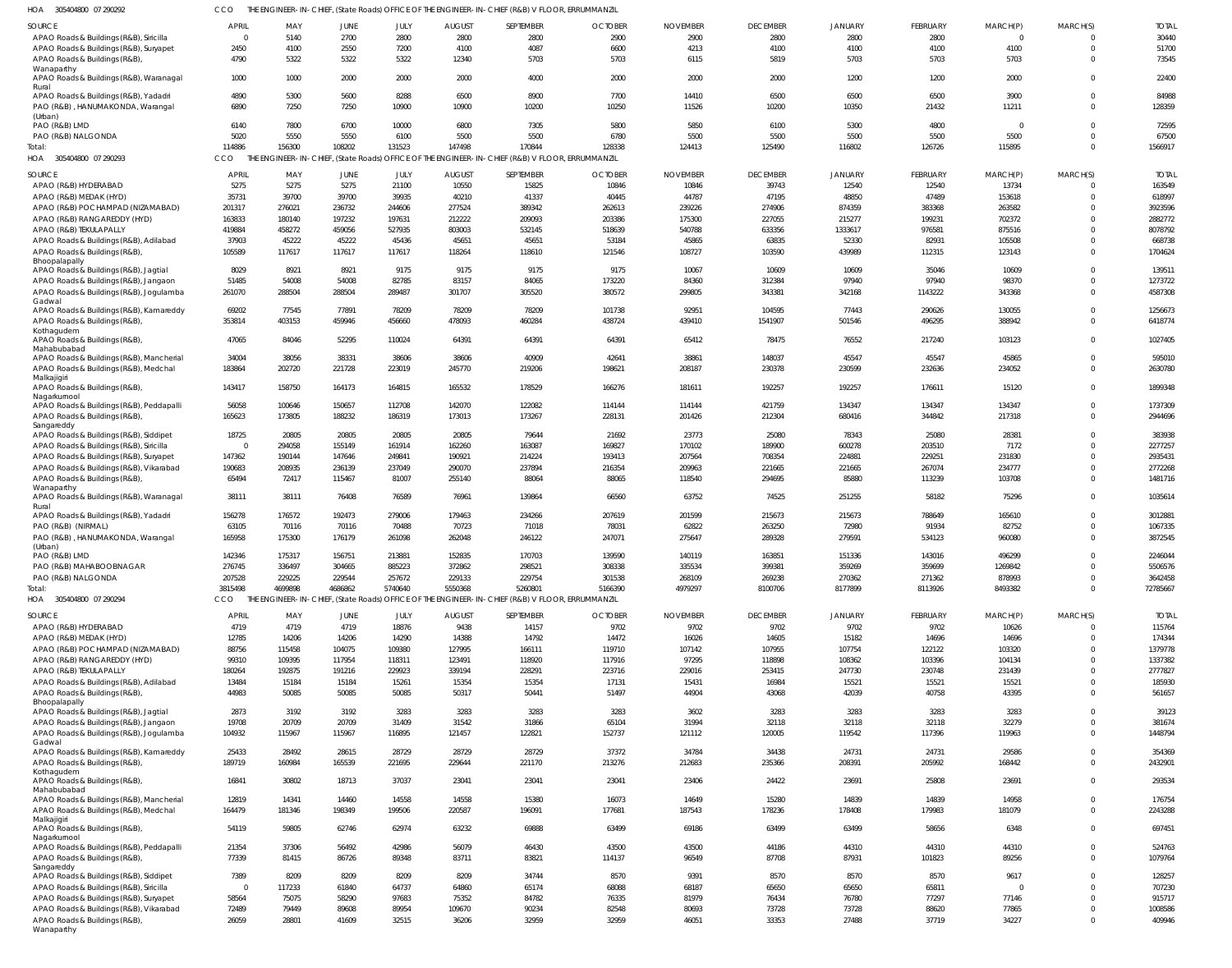| HOA 305404800 07 290292 | THE ENGINEER-IN-CHIEF, (State Roads) OFFICE OF THE ENGINEER-IN-CHIEF (R&B) V FLOOR, ERRUMMANZIL |
|-------------------------|-------------------------------------------------------------------------------------------------|

| SOURCE                                                 | <b>APRIL</b> | MAY     | JUNE    | JULY    | <b>AUGUST</b> | SEPTEMBER                                                                                       | <b>OCTOBER</b> | <b>NOVEMBER</b> | <b>DECEMBER</b> | <b>JANUARY</b> | FEBRUARY        | MARCH(P) | MARCH(S) | <b>TOTAI</b> |
|--------------------------------------------------------|--------------|---------|---------|---------|---------------|-------------------------------------------------------------------------------------------------|----------------|-----------------|-----------------|----------------|-----------------|----------|----------|--------------|
| APAO Roads & Buildings (R&B), Siricilla                | $\Omega$     | 5140    | 2700    | 2800    | 2800          | 2800                                                                                            | 2900           | 2900            | 2800            | 2800           | 2800            | $\Omega$ |          | 30440        |
| APAO Roads & Buildings (R&B), Suryapet                 | 2450         | 4100    | 2550    | 7200    | 4100          | 4087                                                                                            | 6600           | 4213            | 4100            | 4100           | 4100            | 4100     |          | 51700        |
| APAO Roads & Buildings (R&B),                          | 4790         | 5322    | 5322    | 5322    | 12340         | 5703                                                                                            | 5703           | 6115            | 5819            | 5703           | 5703            | 5703     |          | 73545        |
| Wanaparthy                                             |              |         |         |         |               |                                                                                                 |                |                 |                 |                |                 |          |          |              |
| APAO Roads & Buildings (R&B), Waranagal<br>Rural       | 1000         | 1000    | 2000    | 2000    | 2000          | 4000                                                                                            | 2000           | 2000            | 2000            | 1200           | 1200            | 2000     |          | 22400        |
| APAO Roads & Buildings (R&B), Yadadri                  | 4890         | 5300    | 5600    | 8288    | 6500          | 8900                                                                                            | 7700           | 14410           | 6500            | 6500           | 6500            | 3900     |          | 84988        |
| PAO (R&B), HANUMAKONDA, Warangal                       | 6890         | 7250    | 7250    | 10900   | 10900         | 10200                                                                                           | 10250          | 11526           | 10200           | 10350          | 21432           | 11211    |          | 128359       |
| (Urban)                                                |              |         |         |         |               |                                                                                                 |                |                 |                 |                |                 |          |          |              |
| PAO (R&B) LMD                                          | 6140         | 7800    | 6700    | 10000   | 6800          | 7305                                                                                            | 5800           | 5850            | 6100            | 5300           | 4800            | $\Omega$ |          | 72595        |
| PAO (R&B) NALGONDA                                     | 5020         | 5550    | 5550    | 6100    | 5500          | 5500                                                                                            | 6780           | 5500            | 5500            | 5500           | 5500            | 5500     |          | 67500        |
|                                                        |              |         |         |         |               |                                                                                                 |                |                 |                 |                |                 |          |          |              |
| lotal:                                                 | 114886       | 156300  | 108202  | 131523  | 147498        | 170844                                                                                          | 128338         | 124413          | 125490          | 116802         | 126726          | 115895   |          | 1566917      |
| HOA<br>305404800 07 290293                             | CCO          |         |         |         |               | THE ENGINEER-IN-CHIEF, (State Roads) OFFICE OF THE ENGINEER-IN-CHIEF (R&B) V FLOOR, ERRUMMANZIL |                |                 |                 |                |                 |          |          |              |
|                                                        | <b>APRIL</b> |         |         |         | <b>AUGUST</b> | SEPTEMBER                                                                                       | <b>OCTOBER</b> | <b>NOVEMBER</b> | <b>DECEMBER</b> | <b>JANUARY</b> | <b>FEBRUARY</b> | MARCH(P) | MARCH(S) | <b>TOTAI</b> |
| SOURCE                                                 |              | MAY     | JUNE    | JULY    |               |                                                                                                 |                |                 |                 |                |                 |          |          |              |
| APAO (R&B) HYDERABAD                                   | 5275         | 5275    | 5275    | 21100   | 10550         | 15825                                                                                           | 10846          | 10846           | 39743           | 12540          | 12540           | 13734    |          | 163549       |
| APAO (R&B) MEDAK (HYD)                                 | 35731        | 39700   | 39700   | 39935   | 40210         | 41337                                                                                           | 40445          | 44787           | 47195           | 48850          | 47489           | 153618   | $\Omega$ | 618997       |
| APAO (R&B) POCHAMPAD (NIZAMABAD)                       | 201317       | 276021  | 236732  | 244606  | 277524        | 389342                                                                                          | 262613         | 239226          | 274906          | 874359         | 383368          | 263582   |          | 3923596      |
| APAO (R&B) RANGAREDDY (HYD)                            | 163833       | 180140  | 197232  | 197631  | 212222        | 209093                                                                                          | 203386         | 175300          | 227055          | 215277         | 199231          | 702372   |          | 2882772      |
| APAO (R&B) TEKULAPALLY                                 | 419884       | 458272  | 459056  | 527935  | 803003        | 532145                                                                                          | 518639         | 540788          | 633356          | 1333617        | 976581          | 875516   |          | 8078792      |
| APAO Roads & Buildings (R&B), Adilabad                 | 37903        | 45222   | 45222   | 45436   | 45651         | 45651                                                                                           | 53184          | 45865           | 63835           | 52330          | 82931           | 105508   |          | 668738       |
|                                                        |              |         |         |         |               |                                                                                                 |                |                 |                 |                |                 |          | $\Omega$ |              |
| APAO Roads & Buildings (R&B),                          | 105589       | 117617  | 117617  | 117617  | 118264        | 118610                                                                                          | 121546         | 108727          | 103590          | 439989         | 112315          | 123143   |          | 1704624      |
| Bhoopalapally<br>APAO Roads & Buildings (R&B), Jagtial | 8029         | 8921    | 8921    | 9175    | 9175          | 9175                                                                                            | 9175           | 10067           | 10609           | 10609          | 35046           | 10609    | $\Omega$ | 139511       |
|                                                        |              |         |         |         |               |                                                                                                 |                |                 |                 |                |                 |          |          |              |
| APAO Roads & Buildings (R&B), Jangaon                  | 51485        | 54008   | 54008   | 82785   | 83157         | 84065                                                                                           | 173220         | 84360           | 312384          | 97940          | 97940           | 98370    | $\Omega$ | 1273722      |
| APAO Roads & Buildings (R&B), Jogulamba                | 261070       | 288504  | 288504  | 289487  | 301707        | 305520                                                                                          | 380572         | 299805          | 343381          | 342168         | 1143222         | 343368   | $\Omega$ | 4587308      |
| Gadwal                                                 |              |         |         |         |               |                                                                                                 |                |                 |                 |                |                 |          |          |              |
| APAO Roads & Buildings (R&B), Kamareddy                | 69202        | 77545   | 77891   | 78209   | 78209         | 78209                                                                                           | 101738         | 92951           | 104595          | 77443          | 290626          | 130055   |          | 1256673      |
| APAO Roads & Buildings (R&B),                          | 353814       | 403153  | 459946  | 456660  | 478093        | 460284                                                                                          | 438724         | 439410          | 1541907         | 501546         | 496295          | 388942   | $\Omega$ | 6418774      |
| Kothagudem                                             |              |         |         |         |               |                                                                                                 |                |                 |                 |                |                 |          |          |              |
| APAO Roads & Buildings (R&B),                          | 47065        | 84046   | 52295   | 110024  | 64391         | 64391                                                                                           | 64391          | 65412           | 78475           | 76552          | 217240          | 103123   | $\Omega$ | 1027405      |
| Mahabubabad                                            |              |         |         |         |               |                                                                                                 |                |                 |                 |                |                 |          |          |              |
| APAO Roads & Buildings (R&B), Mancherial               | 34004        | 38056   | 38331   | 38606   | 38606         | 40909                                                                                           | 42641          | 38861           | 148037          | 45547          | 45547           | 45865    | $\Omega$ | 595010       |
| APAO Roads & Buildings (R&B), Medchal                  | 183864       | 202720  | 221728  | 223019  | 245770        | 219206                                                                                          | 198621         | 208187          | 230378          | 230599         | 232636          | 234052   | $\Omega$ | 2630780      |
| Malkajigiri                                            |              |         |         |         |               |                                                                                                 |                |                 |                 |                |                 |          |          |              |
| APAO Roads & Buildings (R&B),                          | 143417       | 158750  | 164173  | 164815  | 165532        | 178529                                                                                          | 166276         | 181611          | 192257          | 192257         | 176611          | 15120    | $\Omega$ | 1899348      |
| Nagarkurnool                                           |              |         |         |         |               |                                                                                                 |                |                 |                 |                |                 |          |          |              |
| APAO Roads & Buildings (R&B), Peddapalli               | 56058        | 100646  | 150657  | 112708  | 142070        | 122082                                                                                          | 114144         | 114144          | 421759          | 134347         | 134347          | 134347   | $\Omega$ | 1737309      |
| APAO Roads & Buildings (R&B),                          | 165623       | 173805  | 188232  | 186319  | 173013        | 173267                                                                                          | 228131         | 201426          | 212304          | 680416         | 344842          | 217318   | $\Omega$ | 2944696      |
| Sangareddy                                             |              |         |         |         |               |                                                                                                 |                |                 |                 |                |                 |          |          |              |
| APAO Roads & Buildings (R&B), Siddipet                 | 18725        | 20805   | 20805   | 20805   | 20805         | 79644                                                                                           | 21692          | 23773           | 25080           | 78343          | 25080           | 28381    | $\Omega$ | 383938       |
| APAO Roads & Buildings (R&B), Siricilla                | $\Omega$     | 294058  | 155149  | 161914  | 162260        | 163087                                                                                          | 169827         | 170102          | 189900          | 600278         | 203510          | 7172     | $\Omega$ | 2277257      |
| APAO Roads & Buildings (R&B), Suryapet                 | 147362       | 190144  | 147646  | 249841  | 190921        | 214224                                                                                          | 193413         | 207564          | 708354          | 224881         | 229251          | 231830   |          | 2935431      |
| APAO Roads & Buildings (R&B), Vikarabad                | 190683       | 208935  | 236139  | 237049  | 290070        | 237894                                                                                          | 216354         | 209963          | 221665          | 221665         | 267074          | 234777   | $\Omega$ | 2772268      |
| APAO Roads & Buildings (R&B)                           | 65494        | 72417   | 115467  | 81007   | 255140        | 88064                                                                                           | 88065          | 118540          | 294695          | 85880          | 113239          | 103708   | $\Omega$ | 1481716      |
| Wanaparthy                                             |              |         |         |         |               |                                                                                                 |                |                 |                 |                |                 |          |          |              |
| APAO Roads & Buildings (R&B), Waranagal                | 38111        | 38111   | 76408   | 76589   | 76961         | 139864                                                                                          | 66560          | 63752           | 74525           | 251255         | 58182           | 75296    | $\Omega$ | 1035614      |
| Rural                                                  |              |         |         |         |               |                                                                                                 |                |                 |                 |                |                 |          |          |              |
| APAO Roads & Buildings (R&B), Yadadri                  | 156278       | 176572  | 192473  | 279006  | 179463        | 234266                                                                                          | 207619         | 201599          | 215673          | 215673         | 788649          | 165610   | $\Omega$ | 3012881      |
| PAO (R&B) (NIRMAL)                                     | 63105        | 70116   | 70116   | 70488   | 70723         | 71018                                                                                           | 78031          | 62822           | 263250          | 72980          | 91934           | 82752    |          | 1067335      |
|                                                        | 165958       | 175300  | 176179  | 261098  | 262048        | 246122                                                                                          | 247071         | 275647          | 289328          | 279591         | 534123          | 960080   |          | 3872545      |
| PAO (R&B), HANUMAKONDA, Warangal<br>(Urban)            |              |         |         |         |               |                                                                                                 |                |                 |                 |                |                 |          |          |              |
| PAO (R&B) LMD                                          | 142346       | 175317  | 156751  | 213881  | 152835        | 170703                                                                                          | 139590         | 140119          | 163851          | 151336         | 143016          | 496299   | $\Omega$ | 2246044      |
|                                                        |              |         |         |         |               |                                                                                                 |                |                 |                 |                |                 |          | $\Omega$ | 5506576      |
| PAO (R&B) MAHABOOBNAGAR                                | 276745       | 336497  | 304665  | 885223  | 372862        | 298521                                                                                          | 308338         | 335534          | 399381          | 359269         | 359699          | 1269842  |          |              |
| PAO (R&B) NALGONDA                                     | 207528       | 229225  | 229544  | 257672  | 229133        | 229754                                                                                          | 301538         | 268109          | 269238          | 270362         | 271362          | 878993   | $\Omega$ | 3642458      |
| Total:                                                 | 3815498      | 4699898 | 4686862 | 5740640 | 5550368       | 5260801                                                                                         | 5166390        | 4979297         | 8100706         | 8177899        | 8113926         | 8493382  | $\Omega$ | 72785667     |
| HOA 305404800 07 290294                                | CCO          |         |         |         |               | THE ENGINEER-IN-CHIEF, (State Roads) OFFICE OF THE ENGINEER-IN-CHIEF (R&B) V FLOOR, ERRUMMANZIL |                |                 |                 |                |                 |          |          |              |
|                                                        |              |         |         |         |               |                                                                                                 |                |                 |                 |                |                 |          |          |              |
| SOURCE                                                 | APRIL        | MAY     | JUNE    | JULY    | <b>AUGUST</b> | SEPTEMBER                                                                                       | <b>OCTOBER</b> | <b>NOVEMBER</b> | <b>DECEMBER</b> | <b>JANUARY</b> | <b>FEBRUARY</b> | MARCH(P) | MARCH(S) | <b>TOTAL</b> |
| APAO (R&B) HYDERABAD                                   | 4719         | 4719    | 4719    | 18876   | 9438          | 14157                                                                                           | 9702           | 9702            | 9702            | 9702           | 9702            | 10626    | $\Omega$ | 115764       |
| APAO (R&B) MEDAK (HYD)                                 | 12785        | 14206   | 14206   | 14290   | 14388         | 14792                                                                                           | 14472          | 16026           | 14605           | 15182          | 14696           | 14696    | $\Omega$ | 174344       |
| APAO (R&B) POCHAMPAD (NIZAMABAD)                       | 88756        | 115458  | 104075  | 109380  | 127995        | 166111                                                                                          | 119710         | 107142          | 107955          | 107754         | 122122          | 103320   | $\Omega$ | 1379778      |
| APAO (R&B) RANGAREDDY (HYD)                            | 99310        | 109395  | 117954  | 118311  | 123491        | 118920                                                                                          | 117916         | 97295           | 118898          | 108362         | 103396          | 104134   |          | 1337382      |
| APAO (R&B) TEKULAPALLY                                 | 180264       | 192875  | 191216  | 229923  | 339194        | 228291                                                                                          | 223716         | 229016          | 253415          | 247730         | 230748          | 231439   |          | 2777827      |
| APAO Roads & Buildings (R&B), Adilabad                 | 13484        | 15184   | 15184   | 15261   | 15354         | 15354                                                                                           | 17131          | 15431           | 16984           | 15521          | 15521           | 15521    | $\Omega$ | 185930       |
|                                                        |              |         |         |         |               |                                                                                                 |                |                 |                 |                |                 |          |          |              |
| APAO Roads & Buildings (R&B),                          | 44983        | 50085   | 50085   | 50085   | 50317         | 50441                                                                                           | 51497          | 44904           | 43068           | 42039          | 40758           | 43395    | $\Omega$ | 561657       |
| Bhoopalapally                                          | 2873         | 3192    | 3192    | 3283    | 3283          | 3283                                                                                            |                | 3602            |                 | 3283           |                 | 3283     | $\Omega$ | 39123        |
| APAO Roads & Buildings (R&B), Jagtial                  |              |         |         |         |               |                                                                                                 | 3283           |                 | 3283            |                | 3283            |          |          |              |
| APAO Roads & Buildings (R&B), Jangaon                  | 19708        | 20709   | 20709   | 31409   | 31542         | 31866                                                                                           | 65104          | 31994           | 32118           | 32118          | 32118           | 32279    | $\Omega$ | 381674       |
| APAO Roads & Buildings (R&B), Jogulamba                | 104932       | 115967  | 115967  | 116895  | 121457        | 122821                                                                                          | 152737         | 121112          | 120005          | 119542         | 117396          | 119963   | $\Omega$ | 1448794      |
| Gadwal                                                 |              |         |         |         |               |                                                                                                 |                |                 |                 |                |                 |          |          |              |
| APAO Roads & Buildings (R&B), Kamareddy                | 25433        | 28492   | 28615   | 28729   | 28729         | 28729                                                                                           | 37372          | 34784           | 34438           | 24731          | 24731           | 29586    | $\Omega$ | 354369       |
| APAO Roads & Buildings (R&B),                          | 189719       | 160984  | 165539  | 221695  | 229644        | 221170                                                                                          | 213276         | 212683          | 235366          | 208391         | 205992          | 168442   | $\Omega$ | 2432901      |
| Kothagudem                                             |              |         |         |         |               |                                                                                                 |                |                 |                 |                |                 |          |          |              |
| APAO Roads & Buildings (R&B),                          | 16841        | 30802   | 18713   | 37037   | 23041         | 23041                                                                                           | 23041          | 23406           | 24422           | 23691          | 25808           | 23691    | $\Omega$ | 293534       |
| Mahabubabad                                            |              |         |         |         |               |                                                                                                 |                |                 |                 | 14839          | 14839           | 14958    | $\Omega$ |              |
| APAO Roads & Buildings (R&B), Mancherial               | 12819        | 14341   | 14460   | 14558   | 14558         | 15380                                                                                           | 16073          | 14649           | 15280           |                |                 |          |          | 176754       |
| APAO Roads & Buildings (R&B), Medchal                  | 164479       | 181346  | 198349  | 199506  | 220587        | 196091                                                                                          | 177681         | 187543          | 178236          | 178408         | 179983          | 181079   | $\Omega$ | 2243288      |
| Malkajigiri                                            |              |         |         |         |               |                                                                                                 |                |                 |                 |                |                 |          |          |              |
| APAO Roads & Buildings (R&B),                          | 54119        | 59805   | 62746   | 62974   | 63232         | 69888                                                                                           | 63499          | 69186           | 63499           | 63499          | 58656           | 6348     | $\Omega$ | 697451       |
| Nagarkurnool                                           |              |         |         |         |               |                                                                                                 |                |                 |                 |                |                 |          | $\Omega$ |              |
| APAO Roads & Buildings (R&B), Peddapalli               | 21354        | 37306   | 56492   | 42986   | 56079         | 46430                                                                                           | 43500          | 43500           | 44186           | 44310          | 44310           | 44310    |          | 524763       |
| APAO Roads & Buildings (R&B),                          | 77339        | 81415   | 86726   | 89348   | 83711         | 83821                                                                                           | 114137         | 96549           | 87708           | 87931          | 101823          | 89256    | $\Omega$ | 1079764      |
| Sangareddy                                             |              |         |         |         |               |                                                                                                 |                |                 |                 |                |                 |          |          |              |
| APAO Roads & Buildings (R&B), Siddipet                 | 7389         | 8209    | 8209    | 8209    | 8209          | 34744                                                                                           | 8570           | 9391            | 8570            | 8570           | 8570            | 9617     | $\Omega$ | 128257       |
| APAO Roads & Buildings (R&B), Siricilla                | $\Omega$     | 117233  | 61840   | 64737   | 64860         | 65174                                                                                           | 68088          | 68187           | 65650           | 65650          | 65811           |          | $\Omega$ | 707230       |
| APAO Roads & Buildings (R&B), Suryapet                 | 58564        | 75075   | 58290   | 97683   | 75352         | 84782                                                                                           | 76335          | 81979           | 76434           | 76780          | 77297           | 77146    | $\Omega$ | 915717       |
| APAO Roads & Buildings (R&B), Vikarabad                | 72489        | 79449   | 89608   | 89954   | 109670        | 90234                                                                                           | 82548          | 80693           | 73728           | 73728          | 88620           | 77865    | $\Omega$ | 1008586      |
| APAO Roads & Buildings (R&B),                          | 26059        | 28801   | 41609   | 32515   | 36206         | 32959                                                                                           | 32959          | 46051           | 33353           | 27488          | 37719           | 34227    | $\Omega$ | 409946       |
| Wanaparthy                                             |              |         |         |         |               |                                                                                                 |                |                 |                 |                |                 |          |          |              |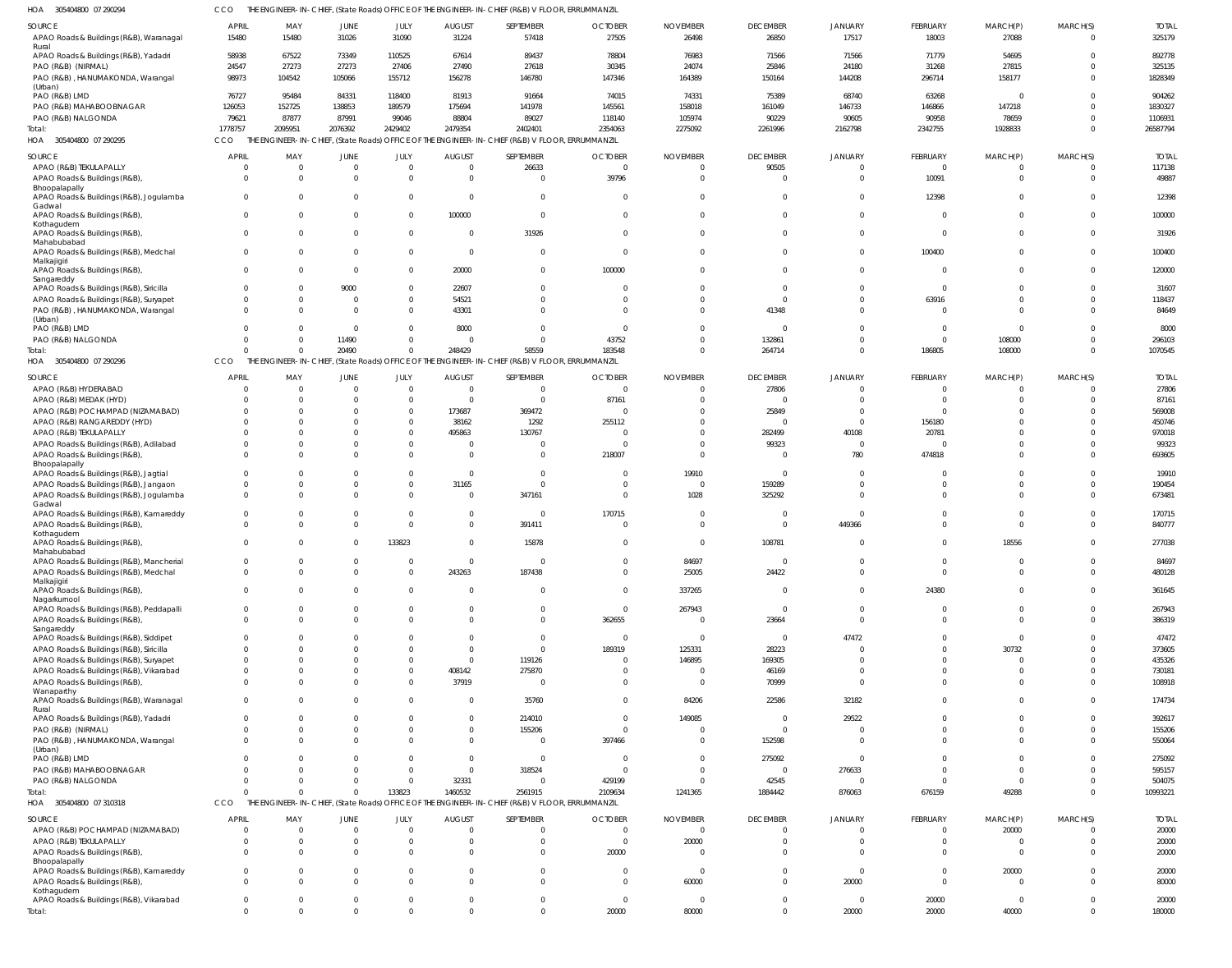| HOA<br>305404800 07 290294                                                        | CCO                  |                      |                         |                         |                      | THE ENGINEER-IN-CHIEF, (State Roads) OFFICE OF THE ENGINEER-IN-CHIEF (R&B) V FLOOR, ERRUMMANZIL |                         |                      |                      |                         |                |                   |                               |                  |
|-----------------------------------------------------------------------------------|----------------------|----------------------|-------------------------|-------------------------|----------------------|-------------------------------------------------------------------------------------------------|-------------------------|----------------------|----------------------|-------------------------|----------------|-------------------|-------------------------------|------------------|
| SOURCE                                                                            | <b>APRIL</b>         | MAY                  | <b>JUNE</b>             | JULY                    | <b>AUGUST</b>        | SEPTEMBER                                                                                       | <b>OCTOBER</b>          | <b>NOVEMBER</b>      | <b>DECEMBER</b>      | <b>JANUARY</b>          | FEBRUARY       | MARCH(P)          | MARCH(S)                      | <b>TOTAL</b>     |
| APAO Roads & Buildings (R&B), Waranagal                                           | 15480                | 15480                | 31026                   | 31090                   | 31224                | 57418                                                                                           | 27505                   | 26498                | 26850                | 17517                   | 18003          | 27088             | $\overline{0}$                | 325179           |
| Rural                                                                             |                      |                      |                         |                         |                      |                                                                                                 |                         |                      |                      |                         |                |                   |                               |                  |
| APAO Roads & Buildings (R&B), Yadadri                                             | 58938                | 67522                | 73349                   | 110525                  | 67614                | 89437                                                                                           | 78804                   | 76983                | 71566                | 71566                   | 71779          | 54695             | $\Omega$                      | 892778           |
| PAO (R&B) (NIRMAL)                                                                | 24547                | 27273                | 27273                   | 27406                   | 27490                | 27618                                                                                           | 30345                   | 24074                | 25846                | 24180                   | 31268          | 27815             | $\Omega$                      | 325135           |
| PAO (R&B), HANUMAKONDA, Warangal                                                  | 98973                | 104542               | 105066                  | 155712                  | 156278               | 146780                                                                                          | 147346                  | 164389               | 150164               | 144208                  | 296714         | 158177            | $\Omega$                      | 1828349          |
| (Urban)<br>PAO (R&B) LMD                                                          | 76727                | 95484                | 84331                   | 118400                  | 81913                | 91664                                                                                           | 74015                   | 74331                | 75389                | 68740                   | 63268          | $\Omega$          | $\Omega$                      | 904262           |
| PAO (R&B) MAHABOOBNAGAR                                                           | 126053               | 152725               | 138853                  | 189579                  | 175694               | 141978                                                                                          | 145561                  | 158018               | 161049               | 146733                  | 146866         | 147218            | $\Omega$                      | 1830327          |
| PAO (R&B) NALGONDA                                                                | 79621                | 87877                | 87991                   | 99046                   | 88804                | 89027                                                                                           | 118140                  | 105974               | 90229                | 90605                   | 90958          | 78659             | $\Omega$                      | 1106931          |
| Total:                                                                            | 1778757              | 2095951              | 2076392                 | 2429402                 | 2479354              | 2402401                                                                                         | 2354063                 | 2275092              | 2261996              | 2162798                 | 2342755        | 1928833           | $\Omega$                      | 26587794         |
| 305404800 07 290295<br>HOA                                                        | CCO                  |                      |                         |                         |                      | THE ENGINEER-IN-CHIEF, (State Roads) OFFICE OF THE ENGINEER-IN-CHIEF (R&B) V FLOOR, ERRUMMANZIL |                         |                      |                      |                         |                |                   |                               |                  |
|                                                                                   |                      |                      |                         |                         |                      |                                                                                                 |                         |                      |                      |                         |                |                   |                               |                  |
| SOURCE                                                                            | <b>APRIL</b>         | MAY                  | <b>JUNE</b>             | JULY                    | <b>AUGUST</b>        | SEPTEMBER                                                                                       | <b>OCTOBER</b>          | <b>NOVEMBER</b>      | <b>DECEMBER</b>      | <b>JANUARY</b>          | FEBRUARY       | MARCH(P)          | MARCH(S)                      | <b>TOTAL</b>     |
| APAO (R&B) TEKULAPALLY                                                            | $\sqrt{ }$           | $\Omega$             | $\mathbf{0}$            | $\mathbf 0$             | $\cap$               | 26633                                                                                           | $\mathbf 0$             | $\overline{0}$       | 90505                | $\Omega$                | $\overline{0}$ | - 0               | $\overline{0}$                | 117138           |
| APAO Roads & Buildings (R&B),                                                     | - 0                  | $\Omega$             | $\Omega$                | $\mathbf 0$             |                      | $\overline{0}$                                                                                  | 39796                   | $\Omega$             | $\Omega$             | $\Omega$                | 10091          | $\Omega$          | $\Omega$                      | 49887            |
| Bhoopalapally                                                                     | $\Omega$             |                      | $\Omega$                |                         |                      | $\overline{0}$                                                                                  |                         |                      | $\Omega$             | $\Omega$                |                | $\Omega$          | $\Omega$                      |                  |
| APAO Roads & Buildings (R&B), Jogulamba<br>Gadwal                                 |                      | $\Omega$             |                         | $\mathbf 0$             |                      |                                                                                                 | 0                       | $\mathbf 0$          |                      |                         | 12398          |                   |                               | 12398            |
| APAO Roads & Buildings (R&B),                                                     | $\Omega$             | $\Omega$             | $\Omega$                | $\mathbf 0$             | 100000               | $\overline{0}$                                                                                  | $\Omega$                | $\mathbf 0$          | $\Omega$             | $\Omega$                | $\Omega$       | $\Omega$          | $\Omega$                      | 100000           |
| Kothagudem                                                                        |                      |                      |                         |                         |                      |                                                                                                 |                         |                      |                      |                         |                |                   |                               |                  |
| APAO Roads & Buildings (R&B),                                                     | $\Omega$             | $\Omega$             | $\Omega$                | $\mathbf 0$             |                      | 31926                                                                                           | $\Omega$                | $\mathbf 0$          | $\Omega$             | $\Omega$                | $\Omega$       | $\Omega$          | $\mathbf 0$                   | 31926            |
| Mahabubabad                                                                       | $\Omega$             | $\Omega$             | $\Omega$                | $\mathbf 0$             |                      | $\overline{0}$                                                                                  | $\Omega$                | $\Omega$             | $\Omega$             | $\Omega$                |                | $\Omega$          | $\mathbf 0$                   | 100400           |
| APAO Roads & Buildings (R&B), Medchal<br>Malkajigiri                              |                      |                      |                         |                         |                      |                                                                                                 |                         |                      |                      |                         | 100400         |                   |                               |                  |
| APAO Roads & Buildings (R&B),                                                     | $\Omega$             | $\Omega$             | $\Omega$                | $\mathbf 0$             | 20000                | $\overline{0}$                                                                                  | 100000                  | $\Omega$             | $\Omega$             | $\Omega$                | $\Omega$       | $\Omega$          | $\Omega$                      | 120000           |
| Sangareddy                                                                        |                      |                      |                         |                         |                      |                                                                                                 |                         |                      |                      |                         |                |                   |                               |                  |
| APAO Roads & Buildings (R&B), Siricilla                                           |                      | $\Omega$             | 9000                    | $\mathbf 0$             | 22607                | $\overline{0}$                                                                                  | $\Omega$                | $\mathbf{0}$         | $\Omega$             | $\Omega$                | $\Omega$       | $\cap$            | $\overline{0}$                | 31607            |
| APAO Roads & Buildings (R&B), Suryapet                                            |                      | $\Omega$             | $\Omega$                | $\mathbf 0$             | 54521                | $\overline{0}$                                                                                  | 0                       | $\mathbf 0$          | $\Omega$             | $\Omega$                | 63916          |                   | $\overline{0}$                | 118437           |
| PAO (R&B), HANUMAKONDA, Warangal                                                  | $\Omega$             | $\Omega$             | $\Omega$                | $\mathbf 0$             | 43301                | $\Omega$                                                                                        | $\cup$                  | $\Omega$             | 41348                | $\Omega$                | $\Omega$       | $\Omega$          | $\Omega$                      | 84649            |
| (Urban)<br>PAO (R&B) LMD                                                          |                      |                      | $\Omega$                | $\Omega$                | 8000                 | $\Omega$                                                                                        | $\Omega$                | $\Omega$             | $\Omega$             | $\Omega$                | $\Omega$       | $\Omega$          | $\Omega$                      | 8000             |
| PAO (R&B) NALGONDA                                                                |                      |                      | 11490                   | $\mathbf 0$             |                      | $\Omega$                                                                                        | 43752                   | $\Omega$             | 132861               | $\Omega$                | $\Omega$       | 108000            | $\Omega$                      | 296103           |
| Total:                                                                            |                      | $\Omega$             | 20490                   | $\mathbf 0$             | 248429               | 58559                                                                                           | 183548                  | $\Omega$             | 264714               | $\Omega$                | 186805         | 108000            | $\Omega$                      | 1070545          |
| HOA 305404800 07 290296                                                           | CCO                  |                      |                         |                         |                      | THE ENGINEER-IN-CHIEF, (State Roads) OFFICE OF THE ENGINEER-IN-CHIEF (R&B) V FLOOR, ERRUMMANZIL |                         |                      |                      |                         |                |                   |                               |                  |
|                                                                                   |                      |                      |                         |                         |                      |                                                                                                 |                         |                      |                      |                         |                |                   |                               |                  |
| SOURCE                                                                            | <b>APRIL</b>         | MAY                  | <b>JUNE</b>             | JULY                    | <b>AUGUST</b>        | SEPTEMBER                                                                                       | <b>OCTOBER</b>          | <b>NOVEMBER</b>      | <b>DECEMBER</b>      | JANUARY                 | FEBRUARY       | MARCH(P)          | MARCH(S)                      | <b>TOTAL</b>     |
| APAO (R&B) HYDERABAD                                                              |                      |                      | $\Omega$                | $\Omega$                | $\cap$               | $\overline{0}$                                                                                  | $\Omega$                | $\Omega$             | 27806                |                         | $\Omega$       | $\Omega$          | $\Omega$                      | 27806            |
| APAO (R&B) MEDAK (HYD)                                                            |                      | $\Omega$             | $\Omega$                | $\Omega$                | $\Omega$             | $\overline{0}$                                                                                  | 87161                   | $\Omega$             | $\Omega$             |                         | $\Omega$       | $\Omega$          | $\Omega$                      | 87161            |
| APAO (R&B) POCHAMPAD (NIZAMABAD)                                                  |                      | $\Omega$             |                         | $\Omega$                | 173687               | 369472                                                                                          | 0                       | $\Omega$             | 25849                | $\Omega$                | $\Omega$       | $\Omega$          | $\Omega$                      | 569008           |
| APAO (R&B) RANGAREDDY (HYD)                                                       |                      | $\Omega$             | $\Omega$                | $\Omega$                | 38162                | 1292                                                                                            | 255112                  | $\Omega$             | $\Omega$             | $\Omega$                | 156180         |                   | $\Omega$                      | 450746           |
| APAO (R&B) TEKULAPALLY                                                            |                      |                      |                         | $\Omega$                | 495863               | 130767                                                                                          | $\Omega$                | $\Omega$             | 282499               | 40108                   | 20781          |                   | $\Omega$                      | 970018           |
| APAO Roads & Buildings (R&B), Adilabad                                            |                      | <sup>0</sup>         | $\Omega$                | $\Omega$                |                      | $\Omega$                                                                                        | $\cup$                  | $\Omega$             | 99323                |                         |                |                   | $\Omega$                      | 99323            |
| APAO Roads & Buildings (R&B),                                                     |                      | <sup>n</sup>         | $\Omega$                | $\Omega$                | $\Omega$             | $\Omega$                                                                                        | 218007                  | $\Omega$             | $\Omega$             | 780                     | 474818         | $\Omega$          | $\Omega$                      | 693605           |
| Bhoopalapally                                                                     | $\Omega$             | $\Omega$             | $\Omega$                | $\Omega$                |                      | $\Omega$                                                                                        | $\Omega$                | 19910                | $\Omega$             | $\Omega$                | <sup>0</sup>   | $\Omega$          | $\Omega$                      | 19910            |
| APAO Roads & Buildings (R&B), Jagtial<br>APAO Roads & Buildings (R&B), Jangaon    |                      | $\Omega$             |                         | $\mathbf 0$             | 31165                | $\Omega$                                                                                        | $\Omega$                | $\Omega$             | 159289               |                         | <sup>0</sup>   |                   | $\Omega$                      | 190454           |
| APAO Roads & Buildings (R&B), Jogulamba                                           | $\Omega$             | $\Omega$             | $\Omega$                | $\Omega$                | $\Omega$             | 347161                                                                                          | $\Omega$                | 1028                 | 325292               | $\Omega$                | $\Omega$       | $\Omega$          | $\Omega$                      | 673481           |
| Gadwal                                                                            |                      |                      |                         |                         |                      |                                                                                                 |                         |                      |                      |                         |                |                   |                               |                  |
| APAO Roads & Buildings (R&B), Kamareddy                                           | $\Omega$             | <sup>0</sup>         | 0                       | $\Omega$                |                      | $\overline{0}$                                                                                  | 170715                  | $\overline{0}$       | $\Omega$             | $\Omega$                | <sup>0</sup>   |                   | $\Omega$                      | 170715           |
| APAO Roads & Buildings (R&B),                                                     | $\Omega$             | $\Omega$             | $\Omega$                | $\Omega$                | $\Omega$             | 391411                                                                                          | $\Omega$                | $\Omega$             | $\Omega$             | 449366                  | $\Omega$       | $\Omega$          | $\Omega$                      | 840777           |
| Kothagudem                                                                        |                      |                      |                         |                         |                      |                                                                                                 |                         |                      |                      |                         |                |                   |                               |                  |
| APAO Roads & Buildings (R&B),                                                     |                      | $\Omega$             | $\Omega$                | 133823                  | $\Omega$             | 15878                                                                                           | $\Omega$                | $\Omega$             | 108781               | $\Omega$                | $\Omega$       | 18556             | $\Omega$                      | 277038           |
| Mahabubabad<br>APAO Roads & Buildings (R&B), Mancherial                           | $\Omega$             | $\Omega$             | $\mathbf 0$             | $\Omega$                | $\Omega$             | $\overline{0}$                                                                                  | $\Omega$                | 84697                | $\Omega$             |                         | $\mathbf 0$    | $\Omega$          | $\Omega$                      | 84697            |
| APAO Roads & Buildings (R&B), Medchal                                             | $\Omega$             | $\Omega$             | $\Omega$                | $\mathbf 0$             | 243263               | 187438                                                                                          | $\Omega$                | 25005                | 24422                | $\Omega$                | $\Omega$       | $\Omega$          | $\Omega$                      | 480128           |
| Malkajigiri                                                                       |                      |                      |                         |                         |                      |                                                                                                 |                         |                      |                      |                         |                |                   |                               |                  |
| APAO Roads & Buildings (R&B),                                                     | $\Omega$             | $\Omega$             | $\Omega$                | $\Omega$                |                      |                                                                                                 |                         |                      |                      |                         |                |                   |                               |                  |
| Nagarkurnool                                                                      |                      |                      |                         |                         | $\Omega$             | $\overline{0}$                                                                                  | $\Omega$                | 337265               | $\Omega$             | $\Omega$                | 24380          | $\Omega$          | $\Omega$                      | 361645           |
| APAO Roads & Buildings (R&B), Peddapalli                                          | $\Omega$             |                      |                         |                         |                      |                                                                                                 |                         |                      |                      |                         |                |                   |                               |                  |
| APAO Roads & Buildings (R&B),<br>Sangareddy                                       |                      | $\Omega$             | $\Omega$                | $\Omega$                |                      | $\overline{0}$                                                                                  | $\overline{0}$          | 267943               | $\Omega$             | $\Omega$                | $\Omega$       | $\Omega$          | $\Omega$                      | 267943           |
|                                                                                   | $\Omega$             | $\Omega$             | $\Omega$                | $\Omega$                | $\Omega$             | $\Omega$                                                                                        | 362655                  | $\Omega$             | 23664                | $\Omega$                | $\Omega$       | $\Omega$          | $\Omega$                      | 386319           |
|                                                                                   |                      |                      |                         | $\Omega$                |                      | $\overline{0}$                                                                                  | $\overline{0}$          | $\overline{0}$       | $\Omega$             | 47472                   | $\Omega$       | $\Omega$          | $\Omega$                      | 47472            |
| APAO Roads & Buildings (R&B), Siddipet                                            | $\Omega$             | $\Omega$             | <sup>0</sup>            | $\Omega$                | $\Omega$             | $\Omega$                                                                                        |                         |                      |                      |                         | $\Omega$       |                   | $\Omega$                      |                  |
| APAO Roads & Buildings (R&B), Siricilla<br>APAO Roads & Buildings (R&B), Suryapet |                      |                      |                         | $\Omega$                | $\Omega$             | 119126                                                                                          | 189319<br>0             | 125331<br>146895     | 28223<br>169305      | $\Omega$                | $\Omega$       | 30732<br>$\Omega$ | $\Omega$                      | 373605<br>435326 |
|                                                                                   |                      | <sup>0</sup>         |                         | $\Omega$                |                      |                                                                                                 | $\Omega$                | $\Omega$             |                      | $\Omega$                | $\Omega$       | $\Omega$          | $\Omega$                      |                  |
| APAO Roads & Buildings (R&B), Vikarabad                                           | $\Omega$             | <sup>0</sup>         | <sup>0</sup>            | $\Omega$                | 408142<br>37919      | 275870<br>$\overline{0}$                                                                        | $\Omega$                | $\Omega$             | 46169<br>70999       | $\Omega$                | $\Omega$       | $\Omega$          | $\Omega$                      | 730181<br>108918 |
| APAO Roads & Buildings (R&B),<br>Wanaparthy                                       |                      |                      |                         |                         |                      |                                                                                                 |                         |                      |                      |                         |                |                   |                               |                  |
| APAO Roads & Buildings (R&B), Waranagal                                           | $\Omega$             | $\Omega$             | $\Omega$                | $\Omega$                | $\Omega$             | 35760                                                                                           | $\Omega$                | 84206                | 22586                | 32182                   | $\Omega$       | $\Omega$          | $\Omega$                      | 174734           |
| Rural                                                                             |                      |                      |                         |                         |                      |                                                                                                 |                         |                      |                      |                         |                |                   |                               |                  |
| APAO Roads & Buildings (R&B), Yadadri                                             |                      |                      |                         | $\Omega$                |                      | 214010                                                                                          | $\Omega$                | 149085               | $\Omega$             | 29522                   | $\Omega$       | $\Omega$          | $\Omega$                      | 392617           |
| PAO (R&B) (NIRMAL)                                                                |                      | <sup>0</sup>         | $\Omega$                | $\Omega$                | $\Omega$             | 155206                                                                                          | $\Omega$                | $\Omega$             | $\Omega$             |                         | $\Omega$       | $\Omega$          | $\Omega$                      | 155206           |
| PAO (R&B), HANUMAKONDA, Warangal                                                  | $\Omega$             | $\Omega$             | $\Omega$                | $\Omega$                | $\Omega$             | $\overline{0}$                                                                                  | 397466                  | $\Omega$             | 152598               | $\Omega$                | $\Omega$       | $\Omega$          | $\Omega$                      | 550064           |
| (Urban)<br>PAO (R&B) LMD                                                          |                      | $\Omega$             | <sup>0</sup>            | $\Omega$                | $\Omega$             | $\overline{0}$                                                                                  | 0                       | $\Omega$             | 275092               | $\Omega$                | $\Omega$       | $\Omega$          | $\Omega$                      | 275092           |
| PAO (R&B) MAHABOOBNAGAR                                                           |                      | $\Omega$             |                         | $\Omega$                | $\Omega$             | 318524                                                                                          | $\Omega$                | $\Omega$             | $\Omega$             | 276633                  | $\Omega$       | $\Omega$          | $\Omega$                      | 595157           |
| PAO (R&B) NALGONDA                                                                |                      | $\Omega$             | $\Omega$                | $\Omega$                | 32331                | $\Omega$                                                                                        | 429199                  | $\Omega$             | 42545                |                         | $\Omega$       | $\Omega$          | $\Omega$                      | 504075           |
| Total:                                                                            |                      | $\Omega$             | $\Omega$                | 133823                  | 1460532              | 2561915                                                                                         | 2109634                 | 1241365              | 1884442              | 876063                  | 676159         | 49288             | $\Omega$                      | 10993221         |
| HOA 305404800 07 310318                                                           | CCO                  |                      |                         |                         |                      | THE ENGINEER-IN-CHIEF, (State Roads) OFFICE OF THE ENGINEER-IN-CHIEF (R&B) V FLOOR, ERRUMMANZIL |                         |                      |                      |                         |                |                   |                               |                  |
|                                                                                   |                      |                      |                         |                         |                      |                                                                                                 |                         |                      |                      |                         |                |                   |                               |                  |
| SOURCE                                                                            | <b>APRIL</b>         | MAY                  | JUNE                    | JULY                    | <b>AUGUST</b>        | SEPTEMBER                                                                                       | <b>OCTOBER</b>          | <b>NOVEMBER</b>      | <b>DECEMBER</b>      | <b>JANUARY</b>          | FEBRUARY       | MARCH(P)          | MARCH(S)                      | <b>TOTAL</b>     |
| APAO (R&B) POCHAMPAD (NIZAMABAD)                                                  | - 0                  | $\Omega$             | $\mathbf 0$             | $\mathbf 0$             |                      | $\overline{0}$                                                                                  | 0                       | $\overline{0}$       | $\Omega$             | $\Omega$                | $\overline{0}$ | 20000             | $\Omega$                      | 20000            |
| APAO (R&B) TEKULAPALLY                                                            | $\Omega$             | $\Omega$             | $\mathbf 0$             | $\mathbf 0$             |                      | $\overline{0}$                                                                                  | $\overline{0}$          | 20000                | $\Omega$             | $\Omega$                | $\mathbf{0}$   | $\Omega$          | $\overline{0}$                | 20000            |
| APAO Roads & Buildings (R&B),                                                     | $\Omega$             | $\Omega$             | $\Omega$                | $\Omega$                |                      | $\overline{0}$                                                                                  | 20000                   | $\Omega$             | $\Omega$             | $\Omega$                | $\Omega$       | $\Omega$          | $\Omega$                      | 20000            |
| Bhoopalapally<br>APAO Roads & Buildings (R&B), Kamareddy                          | $\Omega$             | $\Omega$             | $\Omega$                | $\Omega$                | $\Omega$             | $\overline{0}$                                                                                  | $\mathbf 0$             | $\overline{0}$       | $\Omega$             | $\Omega$                | $\Omega$       | 20000             | $\Omega$                      | 20000            |
| APAO Roads & Buildings (R&B),                                                     | $\Omega$             | $\Omega$             | $\Omega$                | $\Omega$                |                      | $\overline{0}$                                                                                  | $\Omega$                | 60000                | $\Omega$             | 20000                   | $\mathbf{0}$   | $\Omega$          | $\Omega$                      | 80000            |
| Kothagudem                                                                        |                      |                      |                         |                         |                      |                                                                                                 |                         |                      |                      |                         |                |                   |                               |                  |
| APAO Roads & Buildings (R&B), Vikarabad<br>Total:                                 | $\Omega$<br>$\Omega$ | $\Omega$<br>$\Omega$ | $\mathbf 0$<br>$\Omega$ | $\mathbf 0$<br>$\Omega$ | $\Omega$<br>$\Omega$ | $\overline{0}$<br>$\overline{0}$                                                                | $\overline{0}$<br>20000 | $\mathbf 0$<br>80000 | $\Omega$<br>$\Omega$ | $\overline{0}$<br>20000 | 20000<br>20000 | $\Omega$<br>40000 | $\overline{0}$<br>$\mathbf 0$ | 20000<br>180000  |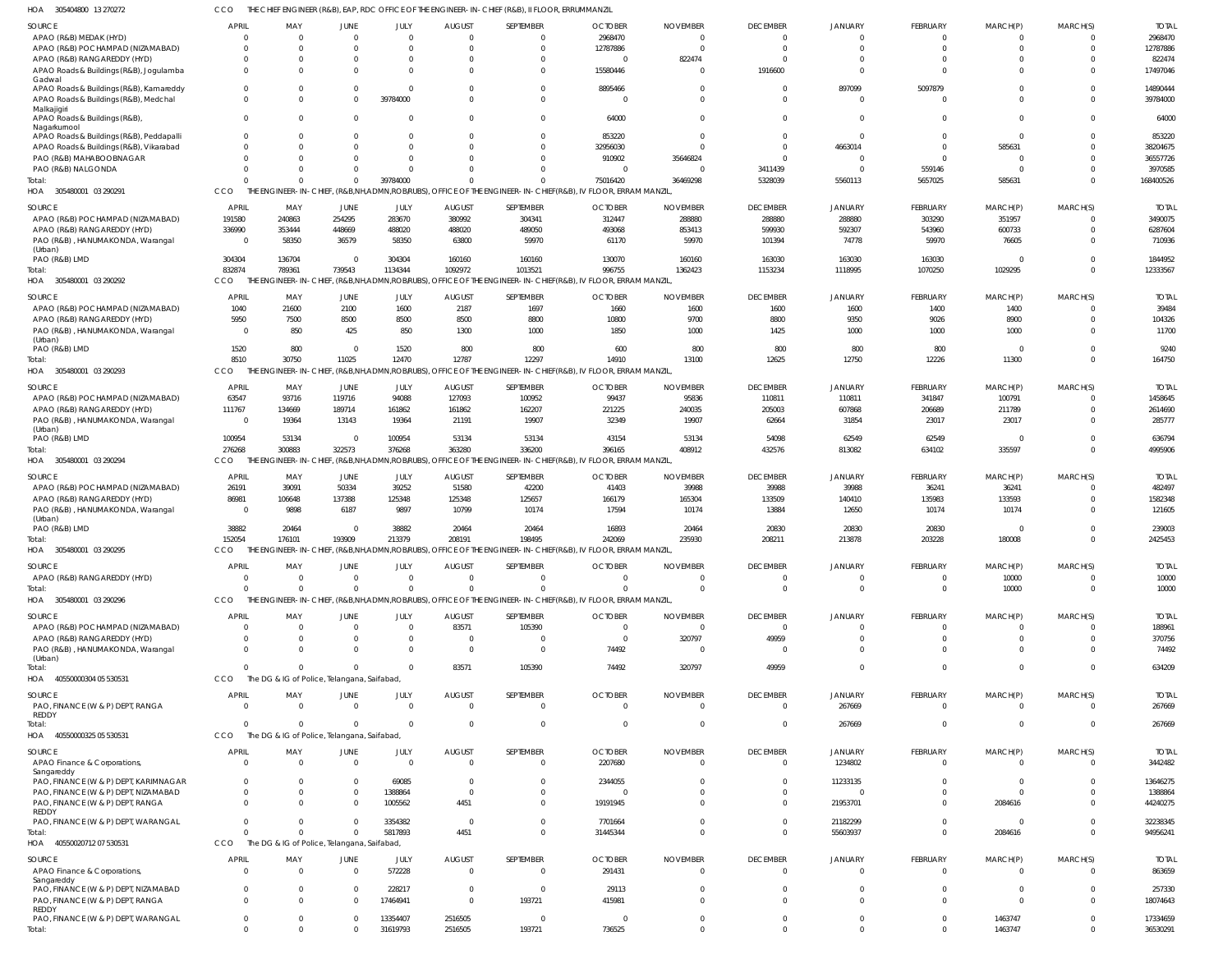305404800 13 270272 HOA CCO THE CHIEF ENGINEER (R&B), EAP, RDC OFFICE OF THE ENGINEER-IN-CHIEF (R&B), II FLOOR, ERRUMMANZIL

| <b>SOURCE</b>                                 | <b>APRIL</b>   | MAY                                           | JUNE        | JULY                 | <b>AUGUST</b>      | SEPTEMBER                                                                                                    | <b>OCTOBER</b> | <b>NOVEMBER</b> | <b>DECEMBER</b> | <b>JANUARY</b> | FEBRUARY       | MARCH(P)           | MARCH(S)       | <b>TOTAL</b>         |
|-----------------------------------------------|----------------|-----------------------------------------------|-------------|----------------------|--------------------|--------------------------------------------------------------------------------------------------------------|----------------|-----------------|-----------------|----------------|----------------|--------------------|----------------|----------------------|
| APAO (R&B) MEDAK (HYD)                        | $\overline{0}$ | $\Omega$                                      | $\Omega$    | $\mathbf{0}$         | $\Omega$           | $\overline{0}$                                                                                               | 2968470        | - 0             | $\Omega$        | $\Omega$       | $\Omega$       | $\mathbf{0}$       |                | 2968470              |
| APAO (R&B) POCHAMPAD (NIZAMABAD)              | $\Omega$       | $\Omega$                                      |             | $\Omega$             |                    | $\Omega$                                                                                                     | 12787886       | - 0             | $\Omega$        | $\Omega$       | $\Omega$       | $\Omega$           | $\Omega$       | 12787886             |
|                                               | $\Omega$       | $\Omega$                                      | $\Omega$    | 0                    |                    | $\Omega$                                                                                                     | - 0            | 822474          | $\Omega$        | $\Omega$       | $\overline{0}$ | $\mathbf 0$        | 0              | 822474               |
| APAO (R&B) RANGAREDDY (HYD)                   |                |                                               |             |                      |                    |                                                                                                              |                |                 |                 |                |                |                    |                |                      |
| APAO Roads & Buildings (R&B), Jogulamba       | $\Omega$       | $\Omega$                                      | $\Omega$    | $\Omega$             |                    | $\Omega$                                                                                                     | 15580446       | $\Omega$        | 1916600         | $\Omega$       | $\Omega$       | $\Omega$           | $\Omega$       | 17497046             |
| Gadwal                                        |                |                                               |             |                      |                    |                                                                                                              |                |                 |                 |                |                |                    |                |                      |
| APAO Roads & Buildings (R&B), Kamareddy       | $\Omega$       | $\Omega$                                      | $\Omega$    | <sup>0</sup>         |                    | $\Omega$                                                                                                     | 8895466        | - 0             | $\Omega$        | 897099         | 5097879        | $\Omega$           | $\Omega$       | 14890444             |
| APAO Roads & Buildings (R&B), Medchal         | $\Omega$       | $\Omega$                                      | $\Omega$    | 39784000             |                    | $\mathbf 0$                                                                                                  | - 0            | $\Omega$        | $\Omega$        | $\Omega$       | $\Omega$       | $\Omega$           | $\Omega$       | 39784000             |
| Malkajigiri                                   |                |                                               |             |                      |                    |                                                                                                              |                |                 |                 |                |                |                    |                |                      |
| APAO Roads & Buildings (R&B),                 | $\Omega$       | $\Omega$                                      | $\Omega$    |                      |                    | $\mathbf 0$                                                                                                  | 64000          |                 | $\Omega$        | $\Omega$       | $\Omega$       | $\mathbf 0$        | $\Omega$       | 64000                |
| Nagarkurnool                                  |                |                                               |             |                      |                    |                                                                                                              |                |                 |                 |                |                |                    |                |                      |
| APAO Roads & Buildings (R&B), Peddapalli      | $\Omega$       | $\Omega$                                      | $\Omega$    | 0                    |                    | $\Omega$                                                                                                     | 853220         | $\Omega$        | $\Omega$        | $\Omega$       | $\Omega$       | $\overline{0}$     | $\Omega$       | 853220               |
|                                               |                |                                               |             |                      |                    |                                                                                                              |                |                 |                 |                |                |                    |                |                      |
| APAO Roads & Buildings (R&B), Vikarabad       | $\Omega$       | $\Omega$                                      | $\Omega$    | $\Omega$             |                    | $\Omega$                                                                                                     | 32956030       |                 | $\Omega$        | 4663014        | $\Omega$       | 585631             | $\Omega$       | 38204675             |
| PAO (R&B) MAHABOOBNAGAR                       | $\Omega$       | $\Omega$                                      |             | <sup>0</sup>         |                    | $\Omega$                                                                                                     | 910902         | 35646824        | $\Omega$        | $\Omega$       | $\Omega$       | $\overline{0}$     |                | 36557726             |
| PAO (R&B) NALGONDA                            | $\Omega$       | $\Omega$                                      | $\Omega$    |                      |                    | $\Omega$                                                                                                     | - 0            | $\Omega$        | 3411439         | $\Omega$       | 559146         | $\overline{0}$     | $\Omega$       | 3970585              |
|                                               |                |                                               |             |                      |                    |                                                                                                              |                |                 |                 |                |                |                    |                |                      |
| Total:                                        | $\Omega$       | $\Omega$                                      | $\Omega$    | 39784000             |                    | $\Omega$                                                                                                     | 75016420       | 36469298        | 5328039         | 5560113        | 5657025        | 585631             | $\Omega$       | 168400526            |
| HOA 305480001 03 290291                       | CCO            |                                               |             |                      |                    | THE ENGINEER-IN-CHIEF, (R&B,NH,ADMN,ROBIRUBS), OFFICE OF THE ENGINEER-IN-CHIEF(R&B), IV FLOOR, ERRAM MANZIL  |                |                 |                 |                |                |                    |                |                      |
|                                               |                |                                               |             |                      |                    |                                                                                                              |                |                 |                 |                |                |                    |                |                      |
| SOURCE                                        | APRIL          | MAY                                           | JUNE        | JULY                 | <b>AUGUST</b>      | SEPTEMBER                                                                                                    | <b>OCTOBER</b> | <b>NOVEMBER</b> | <b>DECEMBER</b> | <b>JANUARY</b> | FEBRUARY       | MARCH(P)           | MARCH(S)       | <b>TOTA</b>          |
| APAO (R&B) POCHAMPAD (NIZAMABAD)              | 191580         | 240863                                        | 254295      | 283670               | 380992             | 304341                                                                                                       | 312447         | 288880          | 288880          | 288880         | 303290         | 351957             | $\Omega$       | 3490075              |
| APAO (R&B) RANGAREDDY (HYD)                   | 336990         | 353444                                        | 448669      | 488020               | 488020             | 489050                                                                                                       | 493068         | 853413          | 599930          | 592307         | 543960         | 600733             | $\Omega$       | 6287604              |
|                                               |                |                                               |             |                      |                    |                                                                                                              |                |                 |                 |                |                |                    |                |                      |
| PAO (R&B), HANUMAKONDA, Warangal              | - 0            | 58350                                         | 36579       | 58350                | 63800              | 59970                                                                                                        | 61170          | 59970           | 101394          | 74778          | 59970          | 76605              | <sup>0</sup>   | 710936               |
| (Urban)                                       |                |                                               |             |                      |                    |                                                                                                              |                |                 |                 |                |                |                    |                |                      |
| PAO (R&B) LMD                                 | 304304         | 136704                                        | $\Omega$    | 304304               | 160160             | 160160                                                                                                       | 130070         | 160160          | 163030          | 163030         | 163030         | $\Omega$           | $\Omega$       | 1844952              |
| Total:                                        | 832874         | 789361                                        | 739543      | 1134344              | 1092972            | 1013521                                                                                                      | 996755         | 1362423         | 1153234         | 1118995        | 1070250        | 1029295            | $\Omega$       | 12333567             |
|                                               |                |                                               |             |                      |                    |                                                                                                              |                |                 |                 |                |                |                    |                |                      |
| HOA 305480001 03 290292                       | CCO.           | THE ENGINEER-IN-CHIEF, (R&B,NH,ADMN,ROBRUBS), |             |                      |                    | OFFICE OF THE ENGINEER-IN-CHIEF(R&B), IV FLOOR, ERRAM MANZIL,                                                |                |                 |                 |                |                |                    |                |                      |
|                                               |                |                                               |             |                      |                    |                                                                                                              |                |                 |                 |                |                |                    |                |                      |
| <b>SOURCE</b>                                 | APRIL          | MAY                                           | JUNE        | JULY                 | <b>AUGUST</b>      | SEPTEMBER                                                                                                    | <b>OCTOBER</b> | <b>NOVEMBER</b> | <b>DECEMBER</b> | JANUARY        | FEBRUARY       | MARCH(P)           | MARCH(S)       | <b>TOTAL</b>         |
| APAO (R&B) POCHAMPAD (NIZAMABAD)              | 1040           | 21600                                         | 2100        | 1600                 | 2187               | 1697                                                                                                         | 1660           | 1600            | 1600            | 1600           | 1400           | 1400               | $\Omega$       | 39484                |
| APAO (R&B) RANGAREDDY (HYD)                   | 5950           | 7500                                          | 8500        | 8500                 | 8500               | 8800                                                                                                         | 10800          | 9700            | 8800            | 9350           | 9026           | 8900               | $\Omega$       | 104326               |
| PAO (R&B), HANUMAKONDA, Warangal              | - 0            | 850                                           | 425         | 850                  | 1300               | 1000                                                                                                         | 1850           | 1000            | 1425            | 1000           | 1000           | 1000               | $\Omega$       | 11700                |
|                                               |                |                                               |             |                      |                    |                                                                                                              |                |                 |                 |                |                |                    |                |                      |
| (Urban)                                       |                |                                               |             |                      |                    |                                                                                                              |                |                 |                 |                |                |                    |                |                      |
| PAO (R&B) LMD                                 | 1520           | 800                                           | $\Omega$    | 1520                 | 800                | 800                                                                                                          | 600            | 800             | 800             | 800            | 800            | $\overline{0}$     | $\Omega$       | 9240                 |
| Total:                                        | 8510           | 30750                                         | 11025       | 12470                | 12787              | 12297                                                                                                        | 14910          | 13100           | 12625           | 12750          | 12226          | 11300              | $\Omega$       | 164750               |
| HOA 305480001 03 290293                       | <b>CCO</b>     |                                               |             |                      |                    | THE ENGINEER-IN-CHIEF, (R&B,NH,ADMN,ROBIRUBS), OFFICE OF THE ENGINEER-IN-CHIEF(R&B), IV FLOOR, ERRAM MANZIL, |                |                 |                 |                |                |                    |                |                      |
|                                               |                |                                               |             |                      |                    |                                                                                                              |                |                 |                 |                |                |                    |                |                      |
| SOURCE                                        | <b>APRIL</b>   | MAY                                           | JUNE        | JULY                 | <b>AUGUST</b>      | SEPTEMBER                                                                                                    | <b>OCTOBER</b> | <b>NOVEMBER</b> | <b>DECEMBER</b> | JANUARY        | FEBRUARY       | MARCH(P)           | MARCH(S)       | <b>TOTAI</b>         |
|                                               |                |                                               |             |                      |                    |                                                                                                              |                |                 |                 |                |                |                    |                |                      |
| APAO (R&B) POCHAMPAD (NIZAMABAD)              | 63547          | 93716                                         | 119716      | 94088                | 127093             | 100952                                                                                                       | 99437          | 95836           | 110811          | 110811         | 341847         | 100791             | 0              | 1458645              |
| APAO (R&B) RANGAREDDY (HYD)                   | 111767         | 134669                                        | 189714      | 161862               | 161862             | 162207                                                                                                       | 221225         | 240035          | 205003          | 607868         | 206689         | 211789             |                | 2614690              |
| PAO (R&B), HANUMAKONDA, Warangal              | - 0            | 19364                                         | 13143       | 19364                | 21191              | 19907                                                                                                        | 32349          | 19907           | 62664           | 31854          | 23017          | 23017              | $\Omega$       | 285777               |
| (Urban)                                       |                |                                               |             |                      |                    |                                                                                                              |                |                 |                 |                |                |                    |                |                      |
|                                               | 100954         | 53134                                         | $\Omega$    | 100954               | 53134              | 53134                                                                                                        | 43154          | 53134           | 54098           | 62549          | 62549          | $\Omega$           | $\Omega$       | 636794               |
| PAO (R&B) LMD                                 |                |                                               |             |                      |                    |                                                                                                              |                |                 |                 |                |                |                    |                |                      |
| Total:                                        | 276268         | 300883                                        | 322573      | 376268               | 363280             | 336200                                                                                                       | 396165         | 408912          | 432576          | 813082         | 634102         | 335597             | $\Omega$       | 4995906              |
| HOA 305480001 03 290294                       | CCO            |                                               |             |                      |                    | THE ENGINEER-IN-CHIEF, (R&B,NH,ADMN,ROB/RUBS), OFFICE OF THE ENGINEER-IN-CHIEF(R&B), IV FLOOR, ERRAM MANZIL, |                |                 |                 |                |                |                    |                |                      |
|                                               |                |                                               |             |                      |                    |                                                                                                              |                |                 |                 |                |                |                    |                |                      |
| SOURCE                                        | <b>APRIL</b>   | MAY                                           | JUNE        | JULY                 | <b>AUGUST</b>      | SEPTEMBER                                                                                                    | <b>OCTOBER</b> | <b>NOVEMBER</b> | <b>DECEMBER</b> | <b>JANUARY</b> | FEBRUARY       | MARCH(P)           | MARCH(S)       | <b>TOTAL</b>         |
| APAO (R&B) POCHAMPAD (NIZAMABAD)              | 26191          | 39091                                         | 50334       | 39252                | 51580              | 42200                                                                                                        | 41403          | 39988           | 39988           | 39988          | 36241          | 36241              | $\Omega$       | 482497               |
|                                               |                |                                               |             |                      |                    |                                                                                                              |                |                 |                 |                |                |                    |                |                      |
| APAO (R&B) RANGAREDDY (HYD)                   | 86981          | 106648                                        | 137388      | 125348               | 125348             | 125657                                                                                                       | 166179         | 165304          | 133509          | 140410         | 135983         | 133593             | $\Omega$       | 1582348              |
| PAO (R&B), HANUMAKONDA, Warangal              | - 0            | 9898                                          | 6187        | 9897                 | 10799              | 10174                                                                                                        | 17594          | 10174           | 13884           | 12650          | 10174          | 10174              | $\Omega$       | 121605               |
| (Urban)                                       |                |                                               |             |                      |                    |                                                                                                              |                |                 |                 |                |                |                    |                |                      |
| PAO (R&B) LMD                                 | 38882          | 20464                                         | $\Omega$    | 38882                | 20464              | 20464                                                                                                        | 16893          | 20464           | 20830           | 20830          | 20830          | $\overline{0}$     | $\Omega$       | 239003               |
|                                               |                |                                               |             |                      |                    |                                                                                                              |                |                 |                 |                |                |                    | $\Omega$       |                      |
| Total:                                        | 152054         | 176101                                        | 193909      | 213379               | 208191             | 198495                                                                                                       | 242069         | 235930          | 208211          | 213878         | 203228         | 180008             |                | 2425453              |
| HOA 305480001 03 290295                       | <b>CCO</b>     |                                               |             |                      |                    | THE ENGINEER-IN-CHIEF, (R&B,NH,ADMN,ROB/RUBS), OFFICE OF THE ENGINEER-IN-CHIEF(R&B), IV FLOOR, ERRAM MANZIL, |                |                 |                 |                |                |                    |                |                      |
|                                               |                |                                               |             |                      |                    |                                                                                                              |                |                 |                 |                |                |                    |                |                      |
| SOURCE                                        | APRIL          | MAY                                           | JUNE        | JULY                 | <b>AUGUST</b>      | SEPTEMBER                                                                                                    | <b>OCTOBER</b> | <b>NOVEMBER</b> | <b>DECEMBER</b> | JANUARY        | FEBRUARY       | MARCH(P)           | MARCH(S)       | Total                |
| APAO (R&B) RANGAREDDY (HYD)                   | $\Omega$       | $\Omega$                                      | $\Omega$    | $\Omega$             | $\Omega$           | $\Omega$                                                                                                     | $\Omega$       | - 0             | $\Omega$        | $\Omega$       | $\Omega$       | 10000              |                | 10000                |
|                                               | $\Omega$       | $\Omega$                                      | $\Omega$    | $\Omega$             |                    | $\Omega$                                                                                                     |                | $\Omega$        | $\Omega$        | $\Omega$       | $\Omega$       | 10000              | $\Omega$       | 10000                |
| Total:                                        |                |                                               |             |                      |                    |                                                                                                              |                |                 |                 |                |                |                    |                |                      |
| HOA 305480001 03 290296                       | CCO            |                                               |             |                      |                    | THE ENGINEER-IN-CHIEF, (R&B,NH,ADMN,ROB/RUBS), OFFICE OF THE ENGINEER-IN-CHIEF(R&B), IV FLOOR, ERRAM MANZIL, |                |                 |                 |                |                |                    |                |                      |
|                                               |                |                                               |             |                      |                    |                                                                                                              |                |                 |                 |                |                |                    |                |                      |
| <b>SOURCE</b>                                 | <b>APRIL</b>   | MAY                                           | JUNE        | JULY                 | <b>AUGUST</b>      | SEPTEMBER                                                                                                    | <b>OCTOBER</b> | <b>NOVEMBER</b> | <b>DECEMBER</b> | JANUARY        | FEBRUARY       | MARCH(P)           | MARCH(S)       | <b>TOTAL</b>         |
| APAO (R&B) POCHAMPAD (NIZAMABAD)              | $\overline{0}$ | $\Omega$                                      | $\Omega$    | $\mathbf{0}$         | 83571              | 105390                                                                                                       | $\overline{0}$ | - 0             | $\overline{0}$  | $\mathbf 0$    | $\Omega$       | $\overline{0}$     |                | 188961               |
| APAO (R&B) RANGAREDDY (HYD)                   | $\Omega$       | $\Omega$                                      | $\Omega$    | $\mathbf 0$          | $\Omega$           | $\overline{0}$                                                                                               | $\overline{0}$ | 320797          | 49959           | $\Omega$       | $\Omega$       | $\mathbf 0$        | $\Omega$       | 370756               |
|                                               |                |                                               |             |                      |                    |                                                                                                              |                |                 |                 |                |                |                    |                |                      |
| PAO (R&B), HANUMAKONDA, Warangal              | $\Omega$       | $\Omega$                                      | $\Omega$    | $\mathbf 0$          | $\Omega$           | $\mathbf 0$                                                                                                  | 74492          | - 0             | $\overline{0}$  | $\Omega$       | $\Omega$       | $\mathbf 0$        | $\Omega$       | 74492                |
| (Urban)                                       |                |                                               |             |                      |                    |                                                                                                              |                |                 |                 |                |                |                    |                |                      |
| Total:                                        | $\Omega$       | $\Omega$                                      | $\Omega$    | $\Omega$             | 83571              | 105390                                                                                                       | 74492          | 320797          | 49959           | $\Omega$       | $\Omega$       | $\mathbf 0$        | $\Omega$       | 634209               |
| HOA 40550000304 05 530531                     | CCO            | The DG & IG of Police, Telangana, Saifabad    |             |                      |                    |                                                                                                              |                |                 |                 |                |                |                    |                |                      |
|                                               |                |                                               |             |                      |                    |                                                                                                              |                |                 |                 |                |                |                    |                |                      |
| SOURCE                                        | APRIL          | MAY                                           | JUNE        | JULY                 | <b>AUGUST</b>      | SEPTEMBER                                                                                                    | <b>OCTOBER</b> | <b>NOVEMBER</b> | <b>DECEMBER</b> | JANUARY        | FEBRUARY       | MARCH(P)           | MARCH(S)       | <b>TOTAL</b>         |
| PAO, FINANCE (W & P) DEPT, RANGA              | $\Omega$       | $\Omega$                                      | $\Omega$    | $\Omega$             | $\Omega$           | $\Omega$                                                                                                     | $\Omega$       | $\Omega$        | $\mathbf{0}$    | 267669         | $\Omega$       | $\Omega$           | $\Omega$       | 267669               |
| REDDY                                         |                |                                               |             |                      |                    |                                                                                                              |                |                 |                 |                |                |                    |                |                      |
| Total:                                        | $\Omega$       | $\Omega$                                      | $\Omega$    | $\Omega$             | $\Omega$           | $\overline{0}$                                                                                               | - 0            | $\Omega$        | $\overline{0}$  | 267669         | $\overline{0}$ | $\overline{0}$     | $\overline{0}$ | 267669               |
|                                               |                |                                               |             |                      |                    |                                                                                                              |                |                 |                 |                |                |                    |                |                      |
| HOA 40550000325 05 530531                     |                |                                               |             |                      |                    |                                                                                                              |                |                 |                 |                |                |                    |                |                      |
|                                               | CCO            | The DG & IG of Police, Telangana, Saifabad,   |             |                      |                    |                                                                                                              |                |                 |                 |                |                |                    |                |                      |
|                                               |                |                                               |             |                      |                    |                                                                                                              |                |                 |                 |                |                |                    |                | <b>TOTAL</b>         |
| SOURCE                                        | <b>APRIL</b>   | MAY                                           | JUNE        | JULY                 | <b>AUGUST</b>      | SEPTEMBER                                                                                                    | <b>OCTOBER</b> | <b>NOVEMBER</b> | <b>DECEMBER</b> | JANUARY        | FEBRUARY       | MARCH(P)           | MARCH(S)       |                      |
|                                               | $\Omega$       | $\Omega$                                      | $\Omega$    | $\Omega$             | $\Omega$           | $\mathbf 0$                                                                                                  | 2207680        | - 0             | $\overline{0}$  | 1234802        | $\mathbf 0$    | $\mathbf 0$        | $\Omega$       | 3442482              |
| APAO Finance & Corporations                   |                |                                               |             |                      |                    |                                                                                                              |                |                 |                 |                |                |                    |                |                      |
| Sangareddy                                    |                |                                               |             |                      |                    |                                                                                                              |                |                 |                 |                |                |                    |                |                      |
| PAO, FINANCE (W & P) DEPT, KARIMNAGAR         | $\Omega$       | $\Omega$                                      | $\Omega$    | 69085                | $\Omega$           | $\mathbf 0$                                                                                                  | 2344055        |                 | $\overline{0}$  | 11233135       | $\Omega$       | $\mathbf{0}$       |                | 13646275             |
| PAO, FINANCE (W & P) DEPT, NIZAMABAD          | $\overline{0}$ | $\Omega$                                      | $\Omega$    | 1388864              | $\Omega$           | $\mathbf 0$                                                                                                  | $\Omega$       |                 | $\mathbf{0}$    | $\mathbf 0$    | $\mathbf 0$    | $\overline{0}$     |                | 1388864              |
| PAO, FINANCE (W & P) DEPT, RANGA              | $\Omega$       | $\Omega$                                      |             | 1005562              | 4451               | $\mathbf 0$                                                                                                  | 19191945       |                 | $\Omega$        | 21953701       | $\mathbf 0$    | 2084616            |                | 44240275             |
|                                               |                |                                               |             |                      |                    |                                                                                                              |                |                 |                 |                |                |                    |                |                      |
| REDDY                                         |                |                                               |             |                      |                    |                                                                                                              |                |                 |                 |                |                |                    |                |                      |
| PAO, FINANCE (W & P) DEPT, WARANGAL           | $\Omega$       | $\Omega$                                      | $\Omega$    | 3354382              | $\overline{0}$     | $\mathbf 0$                                                                                                  | 7701664        |                 | $\Omega$        | 21182299       | $\mathbf 0$    | $\overline{0}$     | $\Omega$       | 32238345             |
| Total:                                        | $\Omega$       | $\Omega$                                      | $\Omega$    | 5817893              | 4451               | $\Omega$                                                                                                     | 31445344       | $\Omega$        | $\Omega$        | 55603937       | $\Omega$       | 2084616            | $\Omega$       | 94956241             |
| HOA 40550020712 07 530531                     | CCO            | The DG & IG of Police, Telangana, Saifabad,   |             |                      |                    |                                                                                                              |                |                 |                 |                |                |                    |                |                      |
|                                               |                |                                               |             |                      |                    |                                                                                                              |                |                 |                 |                |                |                    |                |                      |
| SOURCE                                        | <b>APRIL</b>   | MAY                                           | <b>JUNE</b> | JULY                 | <b>AUGUST</b>      | SEPTEMBER                                                                                                    | <b>OCTOBER</b> | <b>NOVEMBER</b> | <b>DECEMBER</b> | <b>JANUARY</b> | FEBRUARY       | MARCH(P)           | MARCH(S)       | <b>TOTAL</b>         |
|                                               |                |                                               |             |                      |                    |                                                                                                              |                |                 |                 |                |                |                    |                |                      |
| APAO Finance & Corporations,                  | $\Omega$       | $\Omega$                                      | $\Omega$    | 572228               | $\Omega$           | $\overline{0}$                                                                                               | 291431         | $\Omega$        | $\mathbf{0}$    | $\mathbf 0$    | $\Omega$       | $\mathbf{0}$       | $\Omega$       | 863659               |
| Sangareddy                                    |                |                                               |             |                      |                    |                                                                                                              |                |                 |                 |                |                |                    |                |                      |
| PAO, FINANCE (W & P) DEPT, NIZAMABAD          | $\overline{0}$ | $\Omega$                                      | $\Omega$    | 228217               | $\Omega$           | $\overline{0}$                                                                                               | 29113          |                 | $\Omega$        | $\Omega$       | $\Omega$       | $\mathbf 0$        | $\Omega$       | 257330               |
| PAO, FINANCE (W & P) DEPT, RANGA              | $\Omega$       | $\Omega$                                      | $\Omega$    | 17464941             | $\Omega$           | 193721                                                                                                       | 415981         |                 | $\Omega$        | $\Omega$       | $\Omega$       | $\Omega$           | $\Omega$       | 18074643             |
| REDDY                                         |                |                                               |             |                      |                    |                                                                                                              |                |                 |                 |                |                |                    |                |                      |
|                                               | $\overline{0}$ | $\mathbf{0}$                                  | $\Omega$    |                      |                    | $\overline{0}$                                                                                               | - 0            | - 0             | $\overline{0}$  | $\mathbf 0$    | $\mathbf 0$    |                    | $\mathbf{0}$   |                      |
| PAO, FINANCE (W & P) DEPT, WARANGAL<br>Total: | $\overline{0}$ | $\Omega$                                      |             | 13354407<br>31619793 | 2516505<br>2516505 | 193721                                                                                                       | 736525         |                 | $\Omega$        | $\Omega$       | $\Omega$       | 1463747<br>1463747 | $\Omega$       | 17334659<br>36530291 |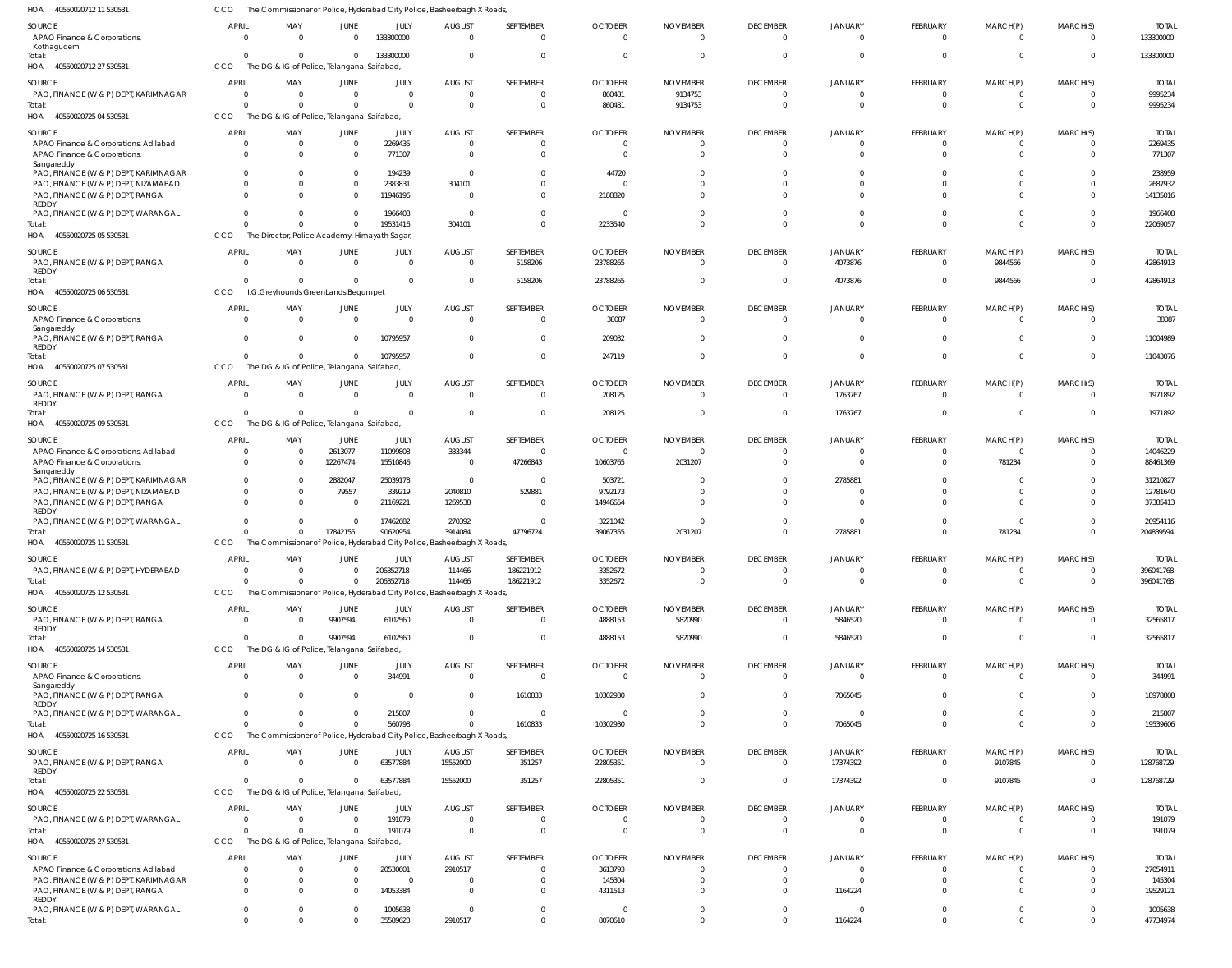40550020712 11 530531 HOA 40550020712 27 530531 40550020725 04 530531 40550020725 05 530531 40550020725 06 530531 40550020725 07 530531 40550020725 09 530531 40550020725 11 530531 40550020725 12 530531 40550020725 14 530531 40550020725 16 530531 40550020725 22 530531 40550020725 27 530531 HOA HOA HOA HOA HOA HOA HOA HOA HOA HOA HOA HOA The Commissioner of Police, Hyderabad City Police, Basheerbagh X Roads, The DG & IG of Police, Telangana, Saifabad, The DG & IG of Police, Telangana, Saifabad, The Director, Police Academy, Himayath Sagar, I.G.Greyhounds GreenLands Begumpet The DG & IG of Police, Telangana, Saifabad, The DG & IG of Police, Telangana, Saifabad The Commissioner of Police, Hyderabad City Police, Basheerbagh X Roads, The Commissioner of Police, Hyderabad City Police, Basheerbagh X Roads, The DG & IG of Police, Telangana, Saifabad, The Commissioner of Police, Hyderabad City Police, Basheerbagh X Roads, The DG & IG of Police, Telangana, Saifabad, The DG & IG of Police, Telangana, Saifabad, CCO **CCO CCO CCO** CCO **CCO** C<sub>CO</sub> CCO CCO CCO CCO **CCO** CCO 0  $\Omega$  $\Omega$  $\Omega$  $\Omega$ 0 0 0 0  $\Omega$ 0  $\theta$  $\Omega$ 0  $\Omega$  $\Omega$  $\overline{0}$  $\Omega$ 0 0 0 0 0 0 0 0 0  $\Omega$  $\Omega$ 0  $\Omega$ 0 17842155 0 9907594  $\Omega$ 0  $\theta$  $\Omega$ 133300000  $\bigcap$ 19531416  $\Omega$ 10795957 0 90620954 206352718 6102560 560798 63577884 191079 35589623 0  $\Omega$ 304101 0  $\Omega$ 0 3914084 114466 0  $\mathbf{0}$ 15552000 0 2910517  $\Omega$  $\Omega$  $\Omega$ 5158206  $\Omega$ 0 47796724 186221912 0 1610833 351257 0 0  $\Omega$ 860481 2233540 23788265 247119 208125 39067355 3352672 4888153 10302930 22805351 0 8070610 0 9134753  $\Omega$  $\Omega$  $\Omega$ 0 2031207 0 5820990  $\Omega$ 0 0 0 0  $\Omega$  $\Omega$  $\Omega$  $\Omega$ 0 0 0 0 0 0 0 0 0  $\Omega$  $\Omega$ 4073876  $\Omega$ 1763767 2785881 0 5846520 7065045 17374392 0 1164224  $\Omega$  $\Omega$ 0  $\Omega$  $\Omega$ 0 0 0 0  $\Omega$  $\Omega$ 0 0 0  $\Omega$ 0 9844566  $\Omega$ 0 781234 0 0 0 9107845 0 0 0  $\Omega$  $\Omega$  $\Omega$  $\Omega$ 0 0 0 0 0 0 0 0 133300000 9995234 22069057 42864913 11043076 1971892 204839594 396041768 32565817 19539606 128768729 191079 47734974 APAO Finance & Corporations, Kothagudem PAO, FINANCE (W & P) DEPT, KARIMNAGAR APAO Finance & Corporations, Adilabad APAO Finance & Corporations, Sangareddy PAO, FINANCE (W & P) DEPT, KARIMNAGAR PAO, FINANCE (W & P) DEPT, NIZAMABAD PAO, FINANCE (W & P) DEPT, RANGA REDDY PAO, FINANCE (W & P) DEPT, WARANGAL PAO, FINANCE (W & P) DEPT, RANGA REDDY APAO Finance & Corporations, **Sangareddy** PAO, FINANCE (W & P) DEPT, RANGA REDDY PAO, FINANCE (W & P) DEPT, RANGA REDDY APAO Finance & Corporations, Adilabad APAO Finance & Corporations, Sangareddy PAO, FINANCE (W & P) DEPT, KARIMNAGAR PAO, FINANCE (W & P) DEPT, NIZAMABAD PAO, FINANCE (W & P) DEPT, RANGA REDDY PAO, FINANCE (W & P) DEPT, WARANGAL PAO, FINANCE (W & P) DEPT, HYDERABAD PAO, FINANCE (W & P) DEPT, RANGA REDDY APAO Finance & Corporations, Sangareddy PAO, FINANCE (W & P) DEPT, RANGA REDDY PAO, FINANCE (W & P) DEPT, WARANGAL PAO, FINANCE (W & P) DEPT, RANGA REDDY PAO, FINANCE (W & P) DEPT, WARANGAL APAO Finance & Corporations, Adilabad PAO, FINANCE (W & P) DEPT, KARIMNAGAR PAO, FINANCE (W & P) DEPT, RANGA REDDY PAO, FINANCE (W & P) DEPT, WARANGAL SOURCE **SOURCE** SOURCE SOURCE SOURCE SOURCE **SOURCE** SOURCE SOURCE SOURCE SOURCE SOURCE SOURCE 0 0  $\Omega$ 0  $\Omega$ 0  $\Omega$  $\Omega$  $\Omega$ 0 0  $\Omega$ 0  $\Omega$ 0 0 0 0 0 0 0 0  $\Omega$ 0 0 0 0 0 0 APRIL APRIL APRIL APRIL **APRIL** APRIL APRIL **APRIL** APRIL **APRIL** APRIL APRIL **APRIL**  $\Omega$ 0  $\Omega$ 0  $\Omega$ 0  $\Omega$  $\Omega$  $\Omega$ 0 0  $\Omega$ 0  $\Omega$ 0 0 0 0 0 0 0 0 0 0 0 0 0 0 0 MAY MAY MAY MAY MAY MAY MAY MAY MAY MAY MAY MAY MAY 0 0  $\Omega$ 0  $\Omega$ 0  $\Omega$  $\Omega$  $\Omega$ 0 0  $\Omega$ 2613077 12267474 2882047 79557 0 0 0 9907594 0 0 0 0 0  $\Omega$ 0  $\Omega$ 0 JUNE JUNE JUNE JUNE JUNE JUNE JUNE JUNE JUNE JUNE JUNE JUNE JUNE 133300000  $\Omega$ 2269435 771307 194239 2383831 11946196 1966408  $\Omega$ 0 10795957  $\Omega$ 11099808 15510846 25039178 339219 21169221 17462682 206352718 6102560 344991  $\Omega$ 215807 63577884 191079 20530601 0 14053384 1005638 JULY JULY JULY JULY JULY JULY JULY JULY JULY JULY JULY JULY JULY 0 0  $\Omega$ 0  $\Omega$ 304101  $\Omega$  $\Omega$  $\Omega$ 0 0  $\Omega$ 333344  $\Omega$ 0 2040810 1269538 270392 114466 0 0 0 0 15552000 0 2910517 0 0 0 AUGUST AUGUST AUGUST AUGUST AUGUST AUGUST **AUGUST** AUGUST AUGUST AUGUST AUGUST AUGUST AUGUST  $\sqrt{0}$  $\Omega$  $\Omega$ 0  $\Omega$ 0  $\Omega$  $\Omega$ 5158206 0 0  $\Omega$ 0 47266843 0 529881 0 0 186221912 0 0 1610833 0 351257 0 0 0 0 0 SEPTEMBER SEPTEMBER SEPTEMBER SEPTEMBER SEPTEMBER SEPTEMBER SEPTEMBER SEPTEMBER SEPTEMBER SEPTEMBER SEPTEMBER SEPTEMBER SEPTEMBER  $\sqrt{0}$ 860481  $\Omega$ 0 44720 0 2188820 0 23788265 38087 209032 208125 0 10603765 503721 9792173 14946654 3221042 3352672 4888153 0 10302930 0 22805351 0 3613793 145304 4311513 0 OCTOBER OCTOBER OCTOBER OCTOBER **OCTOBER OCTOBER OCTOBER OCTOBER** OCTOBER **OCTOBER** OCTOBER OCTOBER OCTOBER  $\Omega$ 9134753  $\Omega$ 0  $\bigcap$ 0  $\Omega$ 0  $\Omega$ 0  $\Omega$  $\Omega$ 0 2031207 0 0 0 0 0 5820990 0 0 0 0 0  $\Omega$ 0 0 0 NOVEMBER NOVEMBER NOVEMBER NOVEMBER NOVEMBER NOVEMBER NOVEMBER NOVEMBER NOVEMBER NOVEMBER NOVEMBER NOVEMBER NOVEMBER  $\Omega$  $\Omega$  $\Omega$ 0  $\Omega$ 0  $\Omega$  $\Omega$  $\Omega$ 0 0  $\Omega$ 0  $\Omega$ 0 0 0 0 0 0 0 0  $\Omega$ 0  $\Omega$  $\Omega$ 0 0 0 DECEMBER DECEMBER DECEMBER DECEMBER DECEMBER DECEMBER **DECEMBER DECEMBER** DECEMBER **DECEMBER** DECEMBER DECEMBER DECEMBER 0 0  $\Omega$ 0  $\Omega$  $\mathbf{C}$  $\Omega$  $\Omega$ 4073876 0 0 1763767 0  $\Omega$ 2785881  $\Omega$  $\mathbf 0$  $\mathfrak{g}$ 0 5846520  $\mathbf 0$ 7065045 0 17374392 0 0 0 1164224 0 JANUARY JANUARY JANUARY JANUARY JANUARY JANUARY JANUARY JANUARY JANUARY JANUARY JANUARY JANUARY JANUARY  $\Omega$  $\Omega$  $\Omega$ 0  $\bigcap$ 0  $\sqrt{2}$ 0  $\Omega$ 0  $\Omega$  $\Omega$ 0  $\Omega$ 0  $\Omega$ 0 0 0 0 0 0 0 0 0  $\Omega$ 0 0 0 FEBRUARY FEBRUARY FEBRUARY FEBRUARY FEBRUARY FEBRUARY FEBRUARY FEBRUARY FEBRUARY FEBRUARY FEBRUARY FEBRUARY FEBRUARY 0 0  $\Omega$ 0 0 0  $\Omega$  $\Omega$ 9844566 0 0  $\Omega$ 0 781234 0 0 0  $\Omega$ 0 0 0 0 0 9107845 0 0 0 0 0 MARCH(P) MARCH(P) MARCH(P) MARCH(P) MARCH(P) MARCH(P) MARCH(P) MARCH(P) MARCH(P) MARCH(P) MARCH(P) MARCH(P) MARCH(P)  $\Omega$  $\Omega$  $\Omega$ 0  $\bigcap$ 0  $\Omega$  $\Omega$  $\Omega$ 0  $\Omega$  $\Omega$ 0  $\Omega$ 0  $\Omega$ 0 0 0  $\Omega$ 0 0  $\Omega$ 0 0  $\Omega$ 0 0 0 MARCH(S) MARCH(S) MARCH(S) MARCH(S) MARCH(S) MARCH(S) MARCH(S) MARCH(S) MARCH(S) MARCH(S) MARCH(S) MARCH(S) MARCH(S) 133300000 9995234 2269435 771307 238959 2687932 14135016 1966408 42864913 38087 11004989 1971892 14046229 88461369 31210827 12781640 37385413 20954116 396041768 32565817 344991 18978808 215807 128768729 191079 27054911 145304 19529121 1005638 TOTAL TOTAL TOTAL TOTAL TOTAL TOTAL TOTAL TOTAL TOTAL TOTAL TOTAL TOTAL TOTAL Total: Total: Total: Total: Total: Total: Total: Total: Total: Total: Total: Total: Total: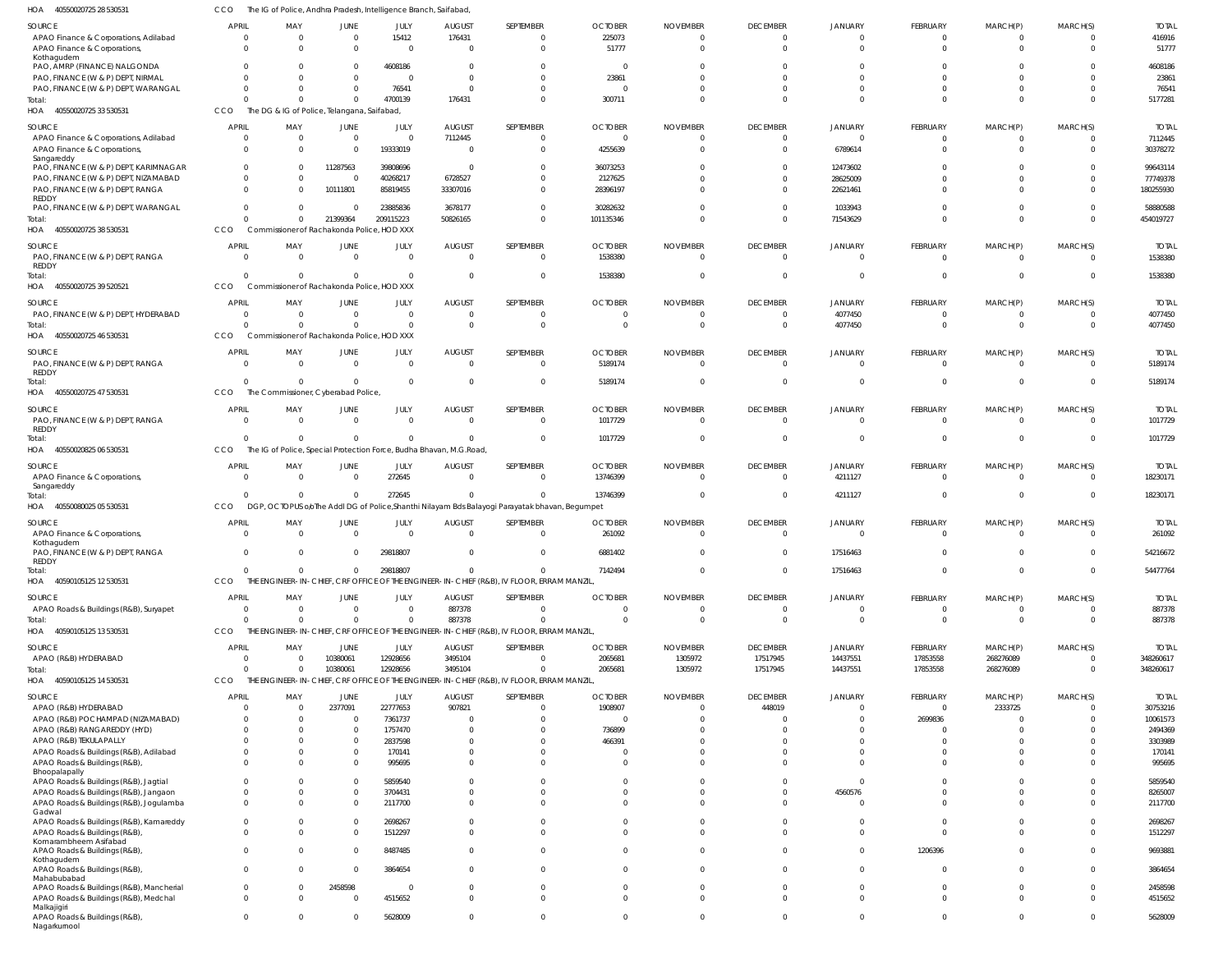| HOA<br>40550020725 28 530531                                                  | CCO                      | The IG of Police, Andhra Pradesh, Intelligence Branch, Saifabad,    |                      |                      |                           |                                                                                                          |                            |                             |                                            |                            |                                |                                |                            |                          |
|-------------------------------------------------------------------------------|--------------------------|---------------------------------------------------------------------|----------------------|----------------------|---------------------------|----------------------------------------------------------------------------------------------------------|----------------------------|-----------------------------|--------------------------------------------|----------------------------|--------------------------------|--------------------------------|----------------------------|--------------------------|
| SOURCE                                                                        | <b>APRIL</b>             | MAY                                                                 | JUNE                 | JULY                 | <b>AUGUST</b>             | SEPTEMBER                                                                                                | <b>OCTOBER</b>             | <b>NOVEMBER</b>             | <b>DECEMBER</b>                            | JANUARY                    | FEBRUARY                       | MARCH(P)                       | MARCH(S)                   | <b>TOTAL</b>             |
| APAO Finance & Corporations, Adilabad<br>APAO Finance & Corporations,         | $\Omega$<br>$\Omega$     | $\overline{0}$<br>$\Omega$                                          | $\Omega$<br>$\Omega$ | 15412<br>$\Omega$    | 176431<br>$\Omega$        | $\mathbf{0}$<br>$\mathbf 0$                                                                              | 225073<br>51777            | $\Omega$<br>$\Omega$        | 0<br>$\overline{0}$                        | $\overline{0}$<br>$\Omega$ | $\overline{0}$<br>$\mathbf{0}$ | $\mathbf{0}$<br>$\mathbf{0}$   | $\overline{0}$<br>$\Omega$ | 416916<br>51777          |
| Kothagudem<br>PAO, AMRP (FINANCE) NALGONDA                                    |                          | $\Omega$                                                            | $\Omega$             | 4608186              |                           |                                                                                                          | - 0                        |                             |                                            |                            | $\Omega$                       | 0                              | $\Omega$                   | 4608186                  |
| PAO, FINANCE (W & P) DEPT, NIRMAL                                             |                          | $\Omega$                                                            | $\Omega$             | $\Omega$             | -C                        | $\Omega$                                                                                                 | 23861                      |                             | $\Omega$                                   | $\Omega$                   | $\Omega$                       | $\Omega$                       | $\Omega$                   | 23861                    |
| PAO, FINANCE (W & P) DEPT, WARANGAL<br>Total:                                 |                          | $\Omega$<br>$\Omega$                                                |                      | 76541<br>4700139     | $\Omega$<br>176431        | $\Omega$<br>$\Omega$                                                                                     | - 0<br>300711              |                             | $\Omega$<br>$\Omega$                       | $\Omega$<br>$\Omega$       | $\mathbf{0}$<br>$\Omega$       | $\mathbf 0$<br>$\Omega$        | $\Omega$<br>$\Omega$       | 76541<br>5177281         |
| HOA<br>40550020725 33 530531                                                  | CCO                      | The DG & IG of Police, Telangana, Saifabad,                         |                      |                      |                           |                                                                                                          |                            |                             |                                            |                            |                                |                                |                            |                          |
| SOURCE                                                                        | <b>APRIL</b>             | MAY                                                                 | JUNE                 | JULY                 | <b>AUGUST</b>             | SEPTEMBER                                                                                                | <b>OCTOBER</b>             | <b>NOVEMBER</b>             | <b>DECEMBER</b>                            | JANUARY                    | FEBRUARY                       | MARCH(P)                       | MARCH(S)                   | <b>TOTAL</b>             |
| APAO Finance & Corporations, Adilabad                                         | $\Omega$<br>$\Omega$     | $\overline{0}$<br>$\Omega$                                          | $\Omega$<br>$\Omega$ | $\Omega$<br>19333019 | 7112445                   | $\mathbf{0}$<br>$\mathbf{0}$                                                                             | $\Omega$<br>4255639        |                             | $\overline{0}$<br>$\Omega$                 | $\Omega$<br>6789614        | $\overline{0}$<br>$\mathbf{0}$ | $\overline{0}$<br>$\mathbf{0}$ | $\Omega$<br>$\Omega$       | 7112445<br>30378272      |
| APAO Finance & Corporations,<br>Sangareddy                                    |                          |                                                                     |                      |                      |                           |                                                                                                          |                            |                             |                                            |                            |                                |                                |                            |                          |
| PAO, FINANCE (W & P) DEPT, KARIMNAGAR<br>PAO, FINANCE (W & P) DEPT, NIZAMABAD | $\Omega$<br>$\Omega$     | $\Omega$<br>$\Omega$                                                | 11287563<br>$\Omega$ | 39808696<br>40268217 | - 0<br>6728527            | $\Omega$<br>$\mathbf{0}$                                                                                 | 36073253<br>2127625        |                             | $\Omega$<br>$\Omega$                       | 12473602<br>28625009       | $\Omega$<br>$\Omega$           | $\Omega$<br>$\Omega$           | $\Omega$<br>$\Omega$       | 99643114<br>77749378     |
| PAO, FINANCE (W & P) DEPT, RANGA                                              | $\Omega$                 | - 0                                                                 | 10111801             | 85819455             | 33307016                  | $\Omega$                                                                                                 | 28396197                   |                             | $\Omega$                                   | 22621461                   | $\Omega$                       | $\Omega$                       | $\Omega$                   | 180255930                |
| <b>REDDY</b><br>PAO, FINANCE (W & P) DEPT, WARANGAL                           | $\Omega$                 | $\Omega$                                                            | - 0                  | 23885836             | 3678177                   | $\mathbf{0}$                                                                                             | 30282632                   |                             | $\Omega$                                   | 1033943                    | $\mathbf{0}$                   | $\mathbf 0$                    | $\overline{0}$             | 58880588                 |
| Total:                                                                        | $\Omega$                 | $\Omega$                                                            | 21399364             | 209115223            | 50826165                  | $\Omega$                                                                                                 | 101135346                  |                             | $\Omega$                                   | 71543629                   | $\mathbf 0$                    | $\mathbf{0}$                   | $\Omega$                   | 454019727                |
| HOA 40550020725 38 530531                                                     | CCO                      | Commissioner of Rachakonda Police, HOD XXX                          |                      |                      |                           |                                                                                                          |                            |                             |                                            |                            |                                |                                |                            |                          |
| SOURCE<br>PAO, FINANCE (W & P) DEPT, RANGA                                    | <b>APRIL</b><br>$\Omega$ | MAY<br>$\Omega$                                                     | JUNE<br>$\Omega$     | JULY<br>$\Omega$     | <b>AUGUST</b><br>$\Omega$ | SEPTEMBER<br>$\mathbf{0}$                                                                                | <b>OCTOBER</b><br>1538380  | <b>NOVEMBER</b><br>$\Omega$ | <b>DECEMBER</b><br>$\overline{\mathbf{0}}$ | JANUARY<br>$\Omega$        | FEBRUARY<br>$\overline{0}$     | MARCH(P)<br>$\overline{0}$     | MARCH(S)<br>$\overline{0}$ | <b>TOTAL</b><br>1538380  |
| <b>REDDY</b>                                                                  |                          |                                                                     |                      |                      |                           |                                                                                                          |                            |                             |                                            |                            |                                |                                |                            |                          |
| Total:<br>HOA<br>40550020725 39 520521                                        | $\Omega$<br>CCO          | $\Omega$<br>Commissioner of Rachakonda Police, HOD XXX              | $\Omega$             | $\Omega$             | - 0                       | $\mathbf 0$                                                                                              | 1538380                    |                             | $\Omega$                                   | $\Omega$                   | $\overline{0}$                 | $\overline{0}$                 | $\Omega$                   | 1538380                  |
| SOURCE                                                                        | <b>APRIL</b>             | MAY                                                                 | JUNE                 | JULY                 | <b>AUGUST</b>             | SEPTEMBER                                                                                                | <b>OCTOBER</b>             | <b>NOVEMBER</b>             | <b>DECEMBER</b>                            | <b>JANUARY</b>             | FEBRUARY                       | MARCH(P)                       | MARCH(S)                   | <b>TOTAL</b>             |
| PAO, FINANCE (W & P) DEPT, HYDERABAD                                          | $\overline{0}$           | $\overline{0}$                                                      | $\Omega$             | $\overline{0}$       | - 0                       | $\mathbf{0}$                                                                                             | $\Omega$                   | $\Omega$                    | $\overline{\mathbf{0}}$                    | 4077450                    | $\overline{0}$                 | $\overline{0}$                 | $\overline{0}$             | 4077450                  |
| Total:<br>HOA 40550020725 46 530531                                           | $\Omega$<br>CCO          | $\Omega$<br>Commissioner of Rachakonda Police, HOD XXX              |                      | $\Omega$             | -C                        | $\mathbf 0$                                                                                              |                            |                             | - 0                                        | 4077450                    | $\mathbf{0}$                   | $\mathbf{0}$                   | $\Omega$                   | 4077450                  |
| SOURCE                                                                        | <b>APRIL</b>             | MAY                                                                 | JUNE                 | JULY                 | <b>AUGUST</b>             | SEPTEMBER                                                                                                | <b>OCTOBER</b>             | <b>NOVEMBER</b>             | <b>DECEMBER</b>                            | JANUARY                    | FEBRUARY                       | MARCH(P)                       | MARCH(S)                   | <b>TOTAL</b>             |
| PAO, FINANCE (W & P) DEPT, RANGA                                              | $\Omega$                 | $\Omega$                                                            | $\Omega$             | $\Omega$             | $\Omega$                  | $\mathbf{0}$                                                                                             | 5189174                    | $\Omega$                    | $\overline{\mathbf{0}}$                    | $\Omega$                   | $\overline{0}$                 | $\Omega$                       | $\Omega$                   | 5189174                  |
| <b>REDDY</b><br>Total:                                                        | $\Omega$                 | $\Omega$                                                            | $\Omega$             | $\Omega$             | - 0                       | $\mathbf{0}$                                                                                             | 5189174                    | -0                          | $\Omega$                                   | $\Omega$                   | $\mathbf{0}$                   | $\overline{0}$                 | $\Omega$                   | 5189174                  |
| HOA 40550020725 47 530531                                                     | CCO                      | The Commissioner, Cyberabad Police,                                 |                      |                      |                           |                                                                                                          |                            |                             |                                            |                            |                                |                                |                            |                          |
| SOURCE                                                                        | <b>APRIL</b>             | MAY                                                                 | JUNE                 | JULY                 | <b>AUGUST</b>             | SEPTEMBER                                                                                                | <b>OCTOBER</b>             | <b>NOVEMBER</b>             | <b>DECEMBER</b>                            | <b>JANUARY</b>             | FEBRUARY                       | MARCH(P)                       | MARCH(S)                   | <b>TOTAL</b>             |
| PAO, FINANCE (W & P) DEPT, RANGA<br><b>REDDY</b>                              | $\Omega$                 | $\Omega$                                                            | - 0                  | $\Omega$             | - 0                       | $\mathbf{0}$                                                                                             | 1017729                    | -0                          | $\overline{\mathbf{0}}$                    | $\Omega$                   | $\overline{0}$                 | $\overline{0}$                 | $\Omega$                   | 1017729                  |
| Total:                                                                        | $\Omega$                 | $\overline{0}$                                                      | $\Omega$             | $\Omega$             | $\Omega$                  | $\mathbf 0$                                                                                              | 1017729                    |                             | $\Omega$                                   | $\Omega$                   | $\overline{0}$                 | $\overline{0}$                 | $\Omega$                   | 1017729                  |
| HOA<br>40550020825 06 530531                                                  | CCO                      | The IG of Police, Special Protection Force, Budha Bhavan, M.G.Road, |                      |                      |                           |                                                                                                          |                            |                             |                                            |                            |                                |                                |                            |                          |
| SOURCE<br>APAO Finance & Corporations,                                        | <b>APRIL</b>             | MAY<br>$\Omega$                                                     | JUNE<br>$\Omega$     | JULY<br>272645       | <b>AUGUST</b><br>- 0      | SEPTEMBER<br>$\mathbf{0}$                                                                                | <b>OCTOBER</b><br>13746399 | <b>NOVEMBER</b><br>$\Omega$ | <b>DECEMBER</b><br>$\overline{\mathbf{0}}$ | JANUARY<br>4211127         | FEBRUARY<br>$\overline{0}$     | MARCH(P)<br>$\Omega$           | MARCH(S)<br>$\overline{0}$ | <b>TOTAL</b><br>18230171 |
| Sangareddy                                                                    |                          |                                                                     |                      |                      |                           |                                                                                                          |                            |                             |                                            |                            |                                |                                |                            |                          |
| Total:<br>HOA<br>40550080025 05 530531                                        | $\Omega$<br>CCO          | $\Omega$<br><b>DGP</b>                                              | $\Omega$             | 272645               |                           | $\Omega$<br>OCTOPUS oloThe Addl DG of Police, Shanthi Nilayam Bds Balayogi Parayatak bhavan, Begumpet    | 13746399                   |                             | $\Omega$                                   | 4211127                    | $\overline{0}$                 | $\overline{0}$                 | $\Omega$                   | 18230171                 |
| SOURCE                                                                        | <b>APRIL</b>             | MAY                                                                 | JUNE                 | JULY                 | <b>AUGUST</b>             | SEPTEMBER                                                                                                | <b>OCTOBER</b>             | <b>NOVEMBER</b>             | <b>DECEMBER</b>                            | JANUARY                    | FEBRUARY                       | MARCH(P)                       | MARCH(S)                   | <b>TOTAL</b>             |
| APAO Finance & Corporations,                                                  | $\Omega$                 | $\Omega$                                                            |                      | $\Omega$             |                           | $\mathbf{0}$                                                                                             | 261092                     |                             | $\Omega$                                   | $\Omega$                   | $\overline{0}$                 | $\mathbf{0}$                   | $\Omega$                   | 261092                   |
| Kothagudem<br>PAO, FINANCE (W & P) DEPT, RANGA                                | $\Omega$                 | $\Omega$                                                            | $\cap$               | 29818807             | $\Omega$                  | $\Omega$                                                                                                 | 6881402                    |                             | $\Omega$                                   | 17516463                   | $\Omega$                       | $\Omega$                       | $\Omega$                   | 54216672                 |
| <b>REDDY</b><br>Total:                                                        | $\mathbf 0$              | $\overline{0}$                                                      | $\Omega$             | 29818807             | $\Omega$                  | $\mathbf 0$                                                                                              | 7142494                    | $\Omega$                    | $\overline{0}$                             | 17516463                   | $\mathbf{0}$                   | $\mathbf{0}$                   | $\overline{0}$             | 54477764                 |
| HOA 40590105125 12 530531                                                     | CCO                      |                                                                     |                      |                      |                           | THE ENGINEER-IN-CHIEF, CRF OFFICE OF THE ENGINEER-IN-CHIEF (R&B), IV FLOOR, ERRAM MANZIL                 |                            |                             |                                            |                            |                                |                                |                            |                          |
| SOURCE                                                                        | <b>APRIL</b>             | MAY                                                                 | <b>JUNE</b>          | JULY                 | <b>AUGUST</b>             | SEPTEMBER                                                                                                | <b>OCTOBER</b>             | <b>NOVEMBER</b>             | <b>DECEMBER</b>                            | <b>JANUARY</b>             | FEBRUARY                       | MARCH(P)                       | MARCH(S)                   | <b>TOTAL</b>             |
| APAO Roads & Buildings (R&B), Suryapet                                        | $\Omega$                 | $\Omega$                                                            | $\Omega$             | $\Omega$             | 887378                    | $\mathbf{0}$                                                                                             | $\Omega$                   | $\Omega$                    | $\overline{0}$                             | $\overline{0}$             | $\overline{0}$                 | $\overline{0}$                 | $\overline{0}$             | 887378                   |
| Total:<br>HOA<br>40590105125 13 530531                                        | $\Omega$<br>CCO          | $\Omega$                                                            |                      | $\Omega$             | 887378                    | $\Omega$<br>THE ENGINEER-IN-CHIEF, CRF OFFICE OF THE ENGINEER-IN-CHIEF (R&B), IV FLOOR, ERRAM MANZIL,    | $\Omega$                   | $\Omega$                    | $\overline{0}$                             | $\Omega$                   | $\Omega$                       | $\Omega$                       | $\overline{0}$             | 887378                   |
| SOURCE                                                                        | <b>APRIL</b>             | MAY                                                                 | JUNE                 | JULY                 | <b>AUGUST</b>             | SEPTEMBER                                                                                                | <b>OCTOBER</b>             | <b>NOVEMBER</b>             | <b>DECEMBER</b>                            | <b>JANUARY</b>             | <b>FEBRUARY</b>                | MARCH(P)                       | MARCH(S)                   | <b>TOTAL</b>             |
| APAO (R&B) HYDERABAD                                                          | $\Omega$                 | $\overline{0}$                                                      | 10380061             | 12928656             | 3495104                   | $\mathbf 0$                                                                                              | 2065681                    | 1305972                     | 17517945                                   | 14437551                   | 17853558                       | 268276089                      | $\overline{0}$             | 348260617                |
| Total:<br>HOA 40590105125 14 530531                                           | $\Omega$<br>CCO          | $\Omega$                                                            | 10380061             | 12928656             | 3495104                   | $\mathbf{0}$<br>THE ENGINEER-IN-CHIEF, CRF OFFICE OF THE ENGINEER-IN-CHIEF (R&B), IV FLOOR, ERRAM MANZIL | 2065681                    | 1305972                     | 17517945                                   | 14437551                   | 17853558                       | 268276089                      | $\overline{0}$             | 348260617                |
| SOURCE                                                                        | <b>APRIL</b>             | MAY                                                                 | JUNE                 | JULY                 | <b>AUGUST</b>             | SEPTEMBER                                                                                                | <b>OCTOBER</b>             | <b>NOVEMBER</b>             | <b>DECEMBER</b>                            | <b>JANUARY</b>             | FEBRUARY                       | MARCH(P)                       | MARCH(S)                   | <b>TOTAL</b>             |
| APAO (R&B) HYDERABAD                                                          | $\Omega$                 | $\Omega$                                                            | 2377091              | 22777653             | 907821                    | $\mathbf{0}$                                                                                             | 1908907                    | $\Omega$                    | 448019                                     | $\overline{0}$             | $\overline{0}$                 | 2333725                        | $\overline{0}$             | 30753216                 |
| APAO (R&B) POCHAMPAD (NIZAMABAD)                                              | $\Omega$                 | $\Omega$                                                            | - 0                  | 7361737              | - 0                       | $\mathbf 0$                                                                                              | $\Omega$                   | $\Omega$                    | $\Omega$                                   | $\Omega$                   | 2699836                        | $\overline{0}$                 | $\Omega$                   | 10061573                 |
| APAO (R&B) RANGAREDDY (HYD)<br>APAO (R&B) TEKULAPALLY                         | $\Omega$<br>$\Omega$     | $\Omega$<br>$\Omega$                                                | $\Omega$<br>$\Omega$ | 1757470              | $\mathsf{C}$              | $\Omega$<br>$\Omega$                                                                                     | 736899<br>466391           |                             | $\Omega$<br>$\Omega$                       | $\Omega$<br>$\overline{0}$ | $\Omega$<br>$\Omega$           | $\Omega$<br>$\Omega$           | $\Omega$<br>$\Omega$       | 2494369<br>3303989       |
| APAO Roads & Buildings (R&B), Adilabad                                        | $\Omega$                 | $\Omega$                                                            | $\Omega$             | 2837598<br>170141    | $\Omega$                  | $\Omega$                                                                                                 | -0                         |                             | $\Omega$                                   | $\Omega$                   | $\Omega$                       | $\Omega$                       | $\Omega$                   | 170141                   |
| APAO Roads & Buildings (R&B)                                                  | $\Omega$                 | $\Omega$                                                            | $\Omega$             | 995695               |                           | $\Omega$                                                                                                 | $\Omega$                   |                             | $\Omega$                                   | $\Omega$                   | $\Omega$                       | $\Omega$                       | $\Omega$                   | 995695                   |
| Bhoopalapally<br>APAO Roads & Buildings (R&B), Jagtial                        | $\Omega$                 | $\Omega$                                                            | $\Omega$             | 5859540              |                           | $\Omega$                                                                                                 | $\Omega$                   |                             | $\Omega$                                   | $\Omega$                   | $\Omega$                       | $\Omega$                       | $\Omega$                   | 5859540                  |
| APAO Roads & Buildings (R&B), Jangaon                                         | $\Omega$                 | $\Omega$                                                            |                      | 3704431              |                           | $\Omega$                                                                                                 | $\Omega$                   | $\Omega$                    | $\Omega$                                   | 4560576                    | $\Omega$                       | $\mathbf 0$                    | $\overline{0}$             | 8265007                  |
| APAO Roads & Buildings (R&B), Jogulamba<br>Gadwal                             | $\Omega$                 | $\Omega$                                                            | $\Omega$             | 2117700              |                           | $\Omega$                                                                                                 | $\Omega$                   |                             | $\Omega$                                   | $\Omega$                   | $\Omega$                       | $\Omega$                       | $\Omega$                   | 2117700                  |
| APAO Roads & Buildings (R&B), Kamareddy<br>APAO Roads & Buildings (R&B)       | $\mathbf 0$<br>$\Omega$  | $\Omega$<br>$\Omega$                                                | $\Omega$<br>$\Omega$ | 2698267<br>1512297   |                           | $\Omega$<br>$\Omega$                                                                                     |                            |                             | $\Omega$<br>$\Omega$                       | $\overline{0}$<br>$\Omega$ | $\overline{0}$<br>$\Omega$     | $\mathbf 0$<br>$\Omega$        | $\Omega$<br>$\overline{0}$ | 2698267                  |
| Komarambheem Asifabad                                                         |                          |                                                                     |                      |                      |                           |                                                                                                          |                            |                             |                                            |                            |                                |                                |                            | 1512297                  |
| APAO Roads & Buildings (R&B)<br>Kothagudem                                    | $\Omega$                 | $\Omega$                                                            | $\Omega$             | 8487485              |                           | $\Omega$                                                                                                 |                            |                             | $\overline{0}$                             | $\mathbf{0}$               | 1206396                        | $\mathbf 0$                    | $\mathbf{0}$               | 9693881                  |
| APAO Roads & Buildings (R&B),<br>Mahabubabad                                  | $\Omega$                 | $\Omega$                                                            | $\Omega$             | 3864654              |                           | $\Omega$                                                                                                 |                            |                             | $\Omega$                                   | $\overline{0}$             | $\Omega$                       | $\Omega$                       | $\Omega$                   | 3864654                  |
| APAO Roads & Buildings (R&B), Mancherial                                      | $\mathbf 0$              | $\Omega$                                                            | 2458598              | $\Omega$             |                           | $\Omega$                                                                                                 | $\Omega$                   | $\Omega$                    | $\overline{0}$                             | $\overline{0}$             | $\Omega$                       | $\Omega$                       | $\Omega$                   | 2458598                  |
| APAO Roads & Buildings (R&B), Medchal<br>Malkajigiri                          | $\Omega$                 | $\Omega$                                                            |                      | 4515652              | $\Omega$                  | $\Omega$                                                                                                 | $\Omega$                   |                             | $\Omega$                                   | $\Omega$                   | $\Omega$                       | $\Omega$                       | $\Omega$                   | 4515652                  |
| APAO Roads & Buildings (R&B),<br>Nagarkurnool                                 | $\mathbf 0$              | $\overline{0}$                                                      | $\Omega$             | 5628009              | $\Omega$                  | $\mathbf 0$                                                                                              | $\Omega$                   | $\Omega$                    | $\mathbf{0}$                               | $\mathbf{0}$               | $\mathbf{0}$                   | $\mathbf{0}$                   | $\overline{0}$             | 5628009                  |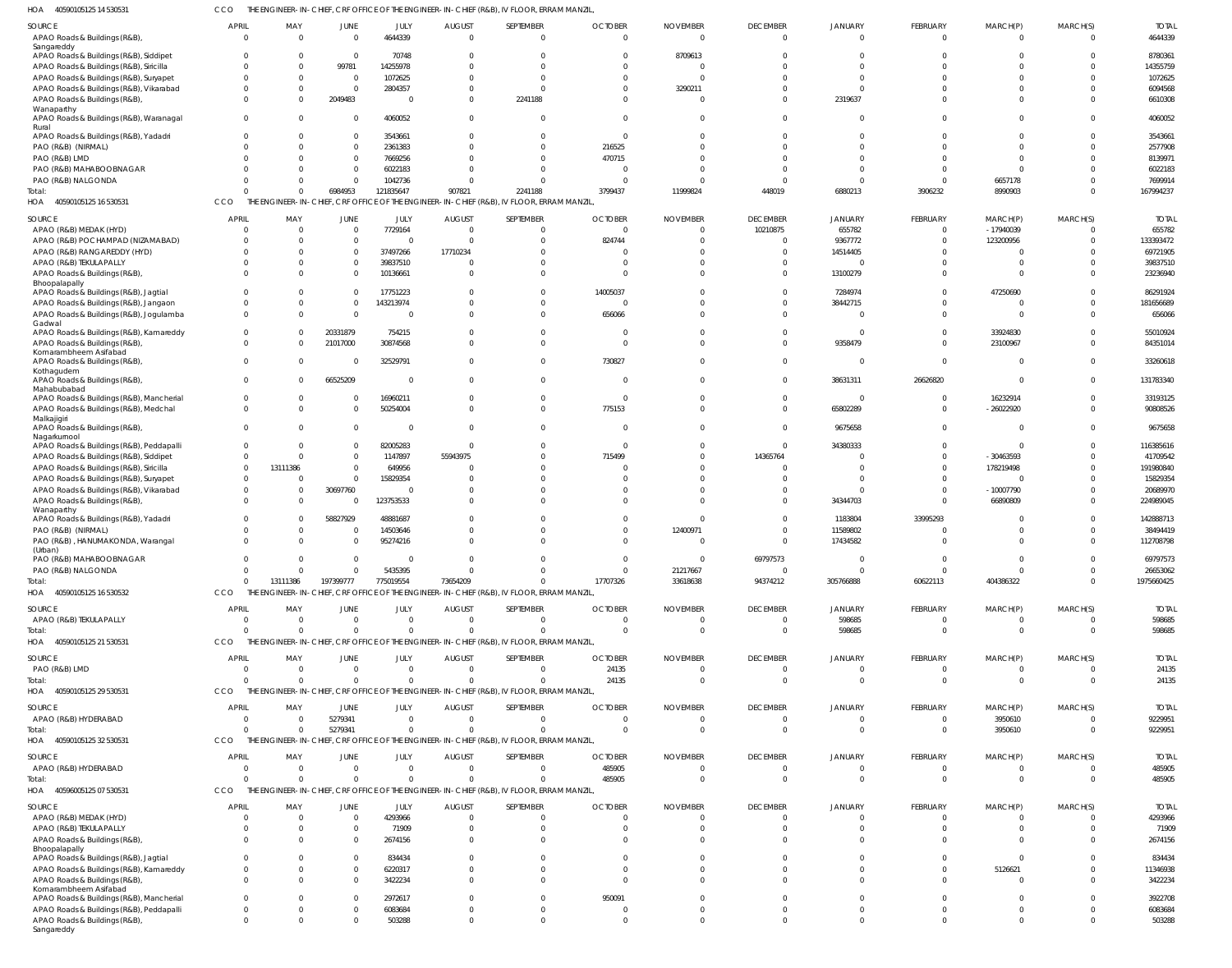40590105125 14 530531 HOA CCO THE ENGINEER-IN-CHIEF, CRF OFFICE OF THE ENGINEER-IN-CHIEF (R&B), IV FLOOR, ERRAM MANZIL,

| SOURCE                                                                            | <b>APRIL</b>               | MAY             | JUNE                          | JULY                       | <b>AUGUST</b>                   | SEPTEMBER                                                                                                | <b>OCTOBER</b>       | <b>NOVEMBER</b> | <b>DECEMBER</b>                   | <b>JANUARY</b>                 | FEBRUARY                    | MARCH(P)                     | MARCH(S)                   | <b>TOTAL</b>            |
|-----------------------------------------------------------------------------------|----------------------------|-----------------|-------------------------------|----------------------------|---------------------------------|----------------------------------------------------------------------------------------------------------|----------------------|-----------------|-----------------------------------|--------------------------------|-----------------------------|------------------------------|----------------------------|-------------------------|
| APAO Roads & Buildings (R&B),<br>Sangareddy                                       | $\Omega$                   |                 | $\Omega$                      | 4644339                    | $\Omega$                        | $\Omega$                                                                                                 | $\Omega$             | $\Omega$        | $\Omega$                          | $\Omega$                       | $\Omega$                    | $\Omega$                     | $\Omega$                   | 4644339                 |
| APAO Roads & Buildings (R&B), Siddipet                                            |                            |                 | $\Omega$                      | 70748                      |                                 | $\Omega$                                                                                                 |                      | 8709613         |                                   |                                |                             | $\Omega$                     |                            | 8780361                 |
| APAO Roads & Buildings (R&B), Siricilla<br>APAO Roads & Buildings (R&B), Suryapet | $\Omega$<br>- 0            |                 | 99781<br>$\Omega$             | 14255978<br>1072625        |                                 | $\Omega$<br>$\Omega$                                                                                     |                      |                 | $\Omega$                          |                                |                             |                              |                            | 14355759<br>1072625     |
| APAO Roads & Buildings (R&B), Vikarabad                                           | $\Omega$                   |                 | $\Omega$                      | 2804357                    |                                 | $\Omega$                                                                                                 |                      | 3290211         | $\Omega$                          | <sup>0</sup>                   |                             |                              |                            | 6094568                 |
| APAO Roads & Buildings (R&B),                                                     | $\Omega$                   |                 | 2049483                       | $\Omega$                   | $\Omega$                        | 2241188                                                                                                  |                      |                 | $\Omega$                          | 2319637                        | $\Omega$                    | $\Omega$                     |                            | 6610308                 |
| Wanaparthy<br>APAO Roads & Buildings (R&B), Waranagal<br>Rural                    | $\Omega$                   |                 | $\Omega$                      | 4060052                    | $\Omega$                        | $\Omega$                                                                                                 |                      |                 | $\Omega$                          | $\Omega$                       | $\Omega$                    | $\Omega$                     | $\Omega$                   | 4060052                 |
| APAO Roads & Buildings (R&B), Yadadri                                             |                            |                 | $\Omega$                      | 3543661                    |                                 | $\Omega$                                                                                                 |                      |                 | $\Omega$                          |                                | $\Omega$                    | $\Omega$                     |                            | 3543661                 |
| PAO (R&B) (NIRMAL)                                                                |                            |                 | $\Omega$<br>$\Omega$          | 2361383                    |                                 | $\Omega$                                                                                                 | 216525               |                 | $\Omega$<br>$\Omega$              | <sup>0</sup>                   |                             | $\Omega$                     |                            | 2577908                 |
| PAO (R&B) LMD<br>PAO (R&B) MAHABOOBNAGAR                                          |                            |                 | $\Omega$                      | 7669256<br>6022183         |                                 | $\Omega$<br>$\Omega$                                                                                     | 470715               |                 |                                   |                                |                             | $\Omega$                     |                            | 8139971<br>6022183      |
| PAO (R&B) NALGONDA                                                                |                            |                 | $\Omega$                      | 1042736                    |                                 | $\Omega$                                                                                                 |                      |                 | $\Omega$                          |                                | $\Omega$                    | 6657178                      |                            | 7699914                 |
| Total:                                                                            |                            |                 | 6984953                       | 121835647                  | 907821                          | 2241188                                                                                                  | 3799437              | 11999824        | 448019                            | 6880213                        | 3906232                     | 8990903                      | $\Omega$                   | 167994237               |
| HOA<br>40590105125 16 530531                                                      | <b>CCO</b>                 |                 |                               |                            |                                 | THE ENGINEER-IN-CHIEF, CRF OFFICE OF THE ENGINEER-IN-CHIEF (R&B), IV FLOOR, ERRAM MANZIL                 |                      |                 |                                   |                                |                             |                              |                            |                         |
| SOURCE<br>APAO (R&B) MEDAK (HYD)                                                  | <b>APRIL</b><br>$\Omega$   | MAY<br>$\Omega$ | JUNE<br>$\overline{0}$        | <b>JULY</b><br>7729164     | <b>AUGUST</b><br>$\Omega$       | SEPTEMBER<br>$\overline{0}$                                                                              | <b>OCTOBER</b>       | <b>NOVEMBER</b> | <b>DECEMBER</b><br>10210875       | JANUARY<br>655782              | FEBRUARY<br>$\Omega$        | MARCH(P)<br>$-17940039$      | MARCH(S)<br>$\Omega$       | <b>TOTAL</b><br>655782  |
| APAO (R&B) POCHAMPAD (NIZAMABAD)                                                  | - 0                        |                 | $\overline{0}$                | $\Omega$                   | $\Omega$                        | $\mathbf 0$                                                                                              | 824744               |                 | $\Omega$                          | 9367772                        | $\Omega$                    | 123200956                    | $\Omega$                   | 133393472               |
| APAO (R&B) RANGAREDDY (HYD)                                                       | $\Omega$                   |                 | $\Omega$                      | 37497266                   | 17710234                        | $\Omega$                                                                                                 |                      |                 | $\Omega$                          | 14514405                       | $\Omega$                    | $\overline{0}$               |                            | 69721905                |
| APAO (R&B) TEKULAPALLY                                                            | $\Omega$                   |                 | $\Omega$                      | 39837510                   | $\Omega$                        | $\Omega$                                                                                                 |                      |                 | $\Omega$<br>$\Omega$              | $\Omega$                       | $\Omega$                    | $\mathbf 0$                  | $\Omega$<br>$\Omega$       | 39837510                |
| APAO Roads & Buildings (R&B),<br>Bhoopalapally                                    |                            |                 | $\Omega$                      | 10136661                   | $\Omega$                        | $\Omega$                                                                                                 | $\Omega$             |                 |                                   | 13100279                       | $\Omega$                    | $\mathbf 0$                  |                            | 23236940                |
| APAO Roads & Buildings (R&B), Jagtial                                             | - 0                        |                 | $\mathbf{0}$                  | 17751223                   | $\Omega$                        | $\Omega$                                                                                                 | 14005037             |                 | $\Omega$                          | 7284974                        | $\Omega$                    | 47250690                     | $\Omega$                   | 86291924                |
| APAO Roads & Buildings (R&B), Jangaon<br>APAO Roads & Buildings (R&B), Jogulamba  | $\Omega$<br>$\Omega$       |                 | $\Omega$<br>$\Omega$          | 143213974<br>$\Omega$      | $\Omega$<br>$\Omega$            | $\Omega$<br>$\Omega$                                                                                     | 656066               |                 | $\Omega$<br>$\Omega$              | 38442715<br>$\Omega$           | $\Omega$<br>$\Omega$        | $\Omega$<br>$\overline{0}$   | $\Omega$<br>$\Omega$       | 181656689<br>656066     |
| Gadwal                                                                            |                            |                 |                               |                            |                                 |                                                                                                          |                      |                 |                                   |                                |                             |                              |                            |                         |
| APAO Roads & Buildings (R&B), Kamareddy<br>APAO Roads & Buildings (R&B),          | $\Omega$<br>$\Omega$       |                 | 20331879<br>21017000          | 754215<br>30874568         | $\Omega$<br>$\Omega$            | $\Omega$<br>$\Omega$                                                                                     | $\Omega$<br>$\Omega$ |                 | $\Omega$<br>$\Omega$              | 0<br>9358479                   | $\Omega$<br>$\Omega$        | 33924830<br>23100967         | $\Omega$<br>$\Omega$       | 55010924<br>84351014    |
| Komarambheem Asifabad                                                             |                            |                 |                               |                            |                                 |                                                                                                          |                      |                 |                                   |                                |                             |                              |                            |                         |
| APAO Roads & Buildings (R&B),<br>Kothagudem                                       | $\Omega$                   |                 |                               | 32529791                   | $\Omega$                        | $\Omega$                                                                                                 | 730827               |                 | $\Omega$                          | $\Omega$                       | $\mathbf 0$                 | $\overline{0}$               | $\Omega$                   | 33260618                |
| APAO Roads & Buildings (R&B),<br>Mahabubabad                                      | $\Omega$                   |                 | 66525209                      | $\Omega$                   | $\Omega$                        | $\mathbf 0$                                                                                              | $\Omega$             |                 | $\Omega$                          | 38631311                       | 26626820                    | $\overline{0}$               | $\Omega$                   | 131783340               |
| APAO Roads & Buildings (R&B), Mancherial                                          | $\Omega$                   |                 | $\Omega$                      | 16960211                   | $\Omega$                        | $\Omega$                                                                                                 | $\Omega$             |                 | $\Omega$                          | $\Omega$                       | $\Omega$                    | 16232914                     | $\Omega$                   | 33193125                |
| APAO Roads & Buildings (R&B), Medchal<br>Malkajigiri                              | $\Omega$                   |                 | $\Omega$                      | 50254004                   | $\Omega$                        | $\Omega$                                                                                                 | 775153               |                 | $\Omega$                          | 65802289                       | $\Omega$                    | $-26022920$                  | $\Omega$                   | 90808526                |
| APAO Roads & Buildings (R&B),<br>Nagarkurnool                                     | $\Omega$                   |                 | $\overline{0}$                | $\circ$                    | $\Omega$                        | $\mathbf 0$                                                                                              |                      |                 | $\Omega$                          | 9675658                        | $\Omega$                    | $\overline{0}$               | $\Omega$                   | 9675658                 |
| APAO Roads & Buildings (R&B), Peddapalli                                          | $\Omega$                   |                 | $\Omega$                      | 82005283                   | $\Omega$                        | $\Omega$                                                                                                 | $\Omega$             |                 | $\overline{0}$                    | 34380333                       | $\Omega$                    | $\mathbf 0$                  |                            | 116385616               |
| APAO Roads & Buildings (R&B), Siddipet                                            | $\Omega$                   |                 | $\Omega$                      | 1147897                    | 55943975                        | $\Omega$                                                                                                 | 715499               |                 | 14365764                          | $\Omega$                       | $\Omega$                    | $-30463593$                  |                            | 41709542                |
| APAO Roads & Buildings (R&B), Siricilla<br>APAO Roads & Buildings (R&B), Suryapet | $\Omega$<br>$\Omega$       | 13111386        | $\overline{0}$<br>$\Omega$    | 649956<br>15829354         |                                 | $\Omega$<br>$\Omega$                                                                                     |                      |                 | $\Omega$<br>$\Omega$              | $\Omega$                       | $\Omega$<br>$\Omega$        | 178219498<br>$\mathbf 0$     |                            | 191980840<br>15829354   |
| APAO Roads & Buildings (R&B), Vikarabad                                           | $\Omega$                   |                 | 30697760                      | $\Omega$                   | $\Omega$                        | $\mathbf 0$                                                                                              |                      |                 | $\Omega$                          | $\Omega$                       | $\Omega$                    | $-10007790$                  |                            | 20689970                |
| APAO Roads & Buildings (R&B),<br>Wanaparthy                                       | $\Omega$                   |                 |                               | 123753533                  | $\Omega$                        | $\Omega$                                                                                                 | $\Omega$             |                 | $\Omega$                          | 34344703                       | $\Omega$                    | 66890809                     | $\Omega$                   | 224989045               |
| APAO Roads & Buildings (R&B), Yadadri<br>PAO (R&B) (NIRMAL)                       | -0                         |                 | 58827929<br>$\Omega$          | 48881687<br>14503646       | $\Omega$                        | $\Omega$<br>$\Omega$                                                                                     | $\Omega$             | 12400971        | $\Omega$<br>$\Omega$              | 1183804<br>11589802            | 33995293<br>$\Omega$        | 0<br>$\Omega$                | $\Omega$                   | 142888713<br>38494419   |
| PAO (R&B), HANUMAKONDA, Warangal<br>(Urban)                                       | $\Omega$                   |                 | $\Omega$                      | 95274216                   | $\Omega$                        | $\Omega$                                                                                                 |                      |                 | $\Omega$                          | 17434582                       | $\Omega$                    | $\Omega$                     | $\Omega$                   | 112708798               |
| PAO (R&B) MAHABOOBNAGAR                                                           | $\Omega$                   |                 | $\Omega$                      |                            |                                 |                                                                                                          |                      |                 | 69797573                          |                                |                             |                              | $\Omega$                   | 69797573                |
| PAO (R&B) NALGONDA                                                                | $\Omega$                   |                 | $\Omega$                      | 5435395                    | $\Omega$                        | $\mathbf 0$                                                                                              | $\Omega$             | 21217667        | $\overline{0}$                    | $\Omega$                       | $\mathbf 0$                 | $\mathbf 0$                  | $\Omega$                   | 26653062                |
| Total:<br>HOA<br>40590105125 16 530532                                            | $\Omega$<br>CCO            | 13111386        | 197399777                     | 775019554                  | 73654209                        | $\Omega$<br>THE ENGINEER-IN-CHIEF, CRF OFFICE OF THE ENGINEER-IN-CHIEF (R&B), IV FLOOR, ERRAM MANZIL     | 17707326             | 33618638        | 94374212                          | 305766888                      | 60622113                    | 404386322                    | $\Omega$                   | 1975660425              |
|                                                                                   | <b>APRIL</b>               |                 |                               |                            |                                 |                                                                                                          | <b>OCTOBER</b>       | <b>NOVEMBER</b> |                                   |                                | FEBRUARY                    |                              |                            |                         |
| <b>SOURCE</b><br>APAO (R&B) TEKULAPALLY                                           | $\Omega$                   | MAY<br>$\Omega$ | <b>JUNE</b><br>$\overline{0}$ | JULY<br>$\overline{0}$     | <b>AUGUST</b><br>$\overline{0}$ | SEPTEMBER<br>$\overline{0}$                                                                              | $\Omega$             |                 | <b>DECEMBER</b><br>$\overline{0}$ | JANUARY<br>598685              | $\mathbf 0$                 | MARCH(P)<br>$\overline{0}$   | MARCH(S)<br>$\Omega$       | <b>TOTAL</b><br>598685  |
| Total:                                                                            | $\Omega$                   |                 | $\Omega$                      | $\overline{0}$             | $\Omega$                        | $\mathbf 0$                                                                                              | $\Omega$             | $\Omega$        | $\overline{0}$                    | 598685                         | $\overline{0}$              | $\mathbf 0$                  | $\Omega$                   | 598685                  |
| 40590105125 21 530531<br>HOA                                                      | <b>CCO</b>                 |                 |                               |                            |                                 | THE ENGINEER-IN-CHIEF, CRF OFFICE OF THE ENGINEER-IN-CHIEF (R&B), IV FLOOR, ERRAM MANZIL,                |                      |                 |                                   |                                |                             |                              |                            |                         |
| <b>SOURCE</b>                                                                     | <b>APRIL</b>               | MAY             | <b>JUNE</b>                   | JULY                       | <b>AUGUST</b>                   | SEPTEMBER                                                                                                | <b>OCTOBER</b>       | <b>NOVEMBER</b> | <b>DECEMBER</b>                   | <b>JANUARY</b>                 | FEBRUARY                    | MARCH(P)                     | MARCH(S)                   | <b>TOTAL</b>            |
| PAO (R&B) LMD                                                                     | $\overline{0}$<br>$\Omega$ | $\Omega$        | $\overline{0}$<br>$\Omega$    | $\overline{0}$<br>$\Omega$ | $\overline{0}$<br>$\Omega$      | $\overline{0}$<br>$\Omega$                                                                               | 24135<br>24135       | $\Omega$        | $\overline{0}$<br>$\Omega$        | $\overline{0}$<br>$\Omega$     | $\mathbf{0}$<br>$\mathbf 0$ | $^{\circ}$<br>$\overline{0}$ | $\overline{0}$<br>$\Omega$ | 24135<br>24135          |
| Total:<br>HOA 40590105125 29 530531                                               | CCO                        |                 |                               |                            |                                 | THE ENGINEER-IN-CHIEF, CRF OFFICE OF THE ENGINEER-IN-CHIEF (R&B), IV FLOOR, ERRAM MANZIL                 |                      |                 |                                   |                                |                             |                              |                            |                         |
| SOURCE                                                                            | <b>APRIL</b>               | MAY             | <b>JUNE</b>                   | JULY                       | <b>AUGUST</b>                   | SEPTEMBER                                                                                                | <b>OCTOBER</b>       | <b>NOVEMBER</b> | <b>DECEMBER</b>                   | <b>JANUARY</b>                 | FEBRUARY                    | MARCH(P)                     | MARCH(S)                   | <b>TOTAL</b>            |
| APAO (R&B) HYDERABAD                                                              | $\overline{0}$             | $\Omega$        | 5279341                       | $\overline{0}$             | $\overline{0}$                  | $\mathbf 0$                                                                                              |                      |                 | $\overline{0}$                    | $\overline{0}$                 | $\mathbf 0$                 | 3950610                      | $\Omega$                   | 9229951                 |
| Total:<br>HOA 40590105125 32 530531                                               | $\Omega$<br>CCO            |                 | 5279341                       | $\overline{0}$             | $\Omega$                        | $\mathbf 0$<br>THE ENGINEER-IN-CHIEF, CRF OFFICE OF THE ENGINEER-IN-CHIEF (R&B), IV FLOOR, ERRAM MANZIL, |                      | $\Omega$        | $\Omega$                          | $\Omega$                       | $\overline{0}$              | 3950610                      | $\Omega$                   | 9229951                 |
| <b>SOURCE</b>                                                                     | <b>APRIL</b>               | MAY             | <b>JUNE</b>                   | JULY                       | <b>AUGUST</b>                   | SEPTEMBER                                                                                                | <b>OCTOBER</b>       | <b>NOVEMBER</b> | <b>DECEMBER</b>                   | <b>JANUARY</b>                 | FEBRUARY                    | MARCH(P)                     | MARCH(S)                   | <b>TOTAL</b>            |
| APAO (R&B) HYDERABAD                                                              | $\Omega$                   | $\Omega$        | $\overline{0}$                | $\overline{0}$             | $\Omega$                        | $\mathbf 0$                                                                                              | 485905               |                 | $\overline{0}$                    | $\Omega$                       | $\mathbf 0$                 | $\mathbf 0$                  | $\Omega$                   | 485905                  |
| Total:                                                                            | $\Omega$                   | $\Omega$        | $\Omega$                      | $\mathbf 0$                | $\Omega$                        | $\mathbf 0$                                                                                              | 485905               | $\Omega$        | $\overline{0}$                    | $\Omega$                       | $\mathbf 0$                 | $\mathbf 0$                  | $\overline{0}$             | 485905                  |
| HOA<br>40596005125 07 530531                                                      | CCO                        |                 |                               |                            |                                 | THE ENGINEER-IN-CHIEF, CRF OFFICE OF THE ENGINEER-IN-CHIEF (R&B), IV FLOOR, ERRAM MANZIL                 |                      |                 |                                   |                                |                             |                              |                            |                         |
| SOURCE<br>APAO (R&B) MEDAK (HYD)                                                  | <b>APRIL</b><br>$\Omega$   | MAY             | <b>JUNE</b><br>$\overline{0}$ | JULY<br>4293966            | <b>AUGUST</b><br>$\overline{0}$ | SEPTEMBER<br>$\mathbf 0$                                                                                 | <b>OCTOBER</b>       | <b>NOVEMBER</b> | <b>DECEMBER</b><br>$\mathbf{0}$   | <b>JANUARY</b><br>$\mathbf{0}$ | FEBRUARY<br>$\mathbf 0$     | MARCH(P)<br>$\mathbf 0$      | MARCH(S)<br>$\Omega$       | <b>TOTAL</b><br>4293966 |
| APAO (R&B) TEKULAPALLY                                                            | $\Omega$                   |                 | $\overline{0}$                | 71909                      | $\Omega$                        | $\mathbf 0$                                                                                              |                      |                 | $\Omega$                          | $\Omega$                       | $\Omega$                    | $\mathbf 0$                  | $\Omega$                   | 71909                   |
| APAO Roads & Buildings (R&B),                                                     | $\Omega$                   |                 | $\Omega$                      | 2674156                    | $\Omega$                        | $\Omega$                                                                                                 |                      |                 | $\Omega$                          | $\Omega$                       | $\Omega$                    | $\mathbf 0$                  | $\Omega$                   | 2674156                 |
| Bhoopalapally<br>APAO Roads & Buildings (R&B), Jagtial                            | $\Omega$                   |                 | $\overline{0}$                | 834434                     | $\Omega$                        | $\Omega$                                                                                                 |                      |                 | $\Omega$                          | $\Omega$                       | $\Omega$                    | $\mathbf{0}$                 | $\Omega$                   | 834434                  |
| APAO Roads & Buildings (R&B), Kamareddy                                           | $\Omega$                   |                 | $\overline{0}$                | 6220317                    | $\Omega$                        | $\mathbf 0$                                                                                              |                      |                 | $\Omega$                          | $\Omega$                       | $\Omega$                    | 5126621                      | $\Omega$                   | 11346938                |
| APAO Roads & Buildings (R&B),<br>Komarambheem Asifabad                            | $\Omega$                   |                 | $\Omega$                      | 3422234                    | $\Omega$                        | $\Omega$                                                                                                 |                      |                 | $\Omega$                          | $\Omega$                       | $\Omega$                    | $\mathbf{0}$                 | $\Omega$                   | 3422234                 |
| APAO Roads & Buildings (R&B), Mancherial                                          | $\Omega$                   |                 | $\Omega$                      | 2972617                    | $\Omega$                        | $\Omega$                                                                                                 | 950091               |                 | $\Omega$                          | $\Omega$                       | $\Omega$                    | $\mathbf 0$                  | $\Omega$                   | 3922708                 |
| APAO Roads & Buildings (R&B), Peddapalli                                          | $\Omega$                   |                 | $\Omega$                      | 6083684                    | $\Omega$                        | $\mathbf 0$                                                                                              |                      |                 | $\Omega$                          | $\Omega$                       | $\Omega$                    | $\mathbf 0$                  | $\Omega$                   | 6083684                 |
| APAO Roads & Buildings (R&B),<br>Sangareddy                                       | $\Omega$                   |                 | $\Omega$                      | 503288                     | $\Omega$                        | $\mathbf 0$                                                                                              | $\Omega$             |                 | $\Omega$                          | $\Omega$                       | $\Omega$                    | $\mathbf 0$                  | $\Omega$                   | 503288                  |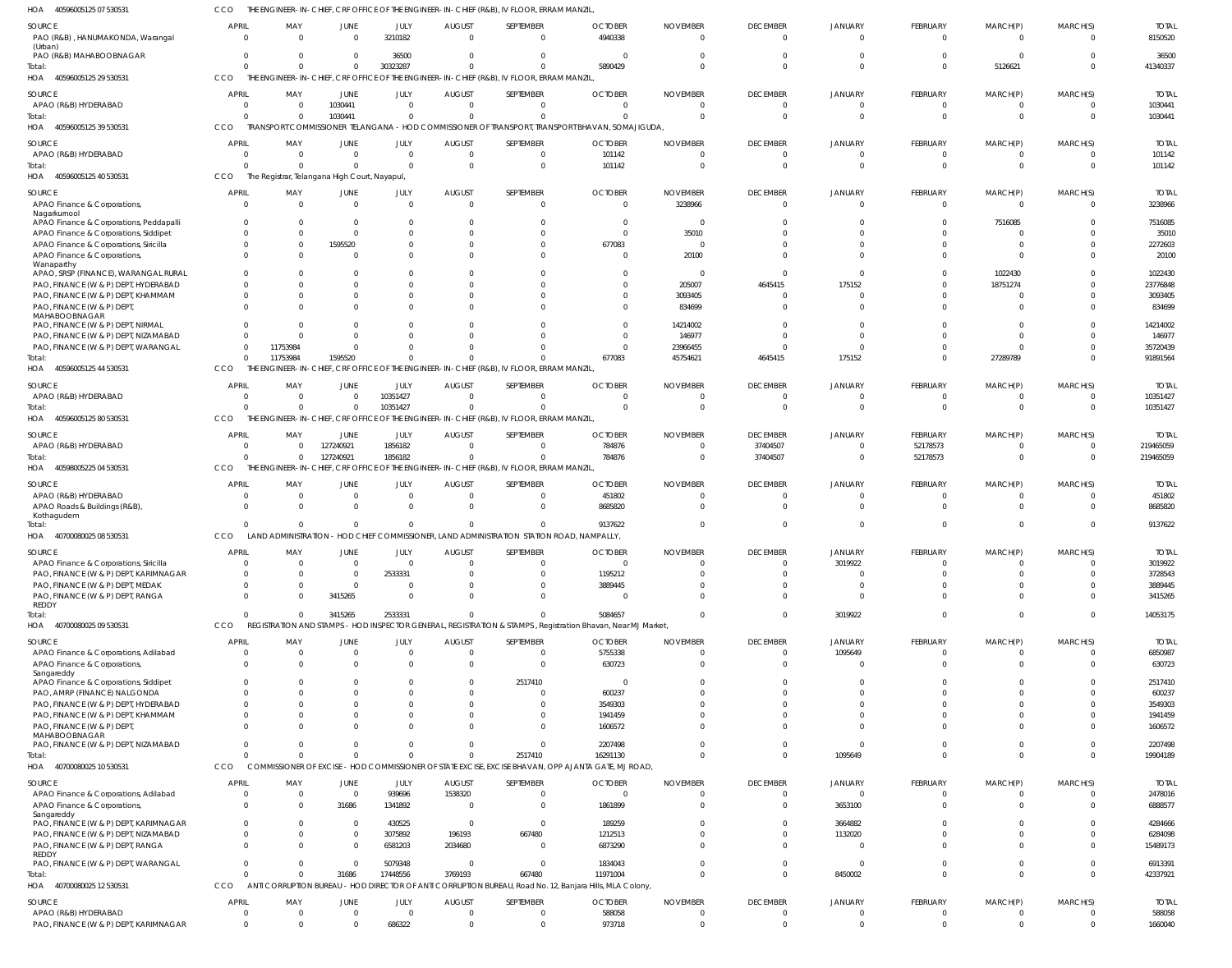CCO THE ENGINEER-IN-CHIEF, CRF OFFICE OF THE ENGINEER-IN-CHIEF (R&B), IV FLOOR, ERRAM MANZIL,

| HOA<br>40596005125 07 530531                                                    |                                  |                              |                                               |                         |                              | The ENGINEER-IN-CHIEF, CRF OFFICE OF THE ENGINEER-IN-CHIEF (R&B), IV FLOOR, ERRAM MANZIL              |                                                                                                                        |                             |                                   |                                  |                        |                               |                            |                         |
|---------------------------------------------------------------------------------|----------------------------------|------------------------------|-----------------------------------------------|-------------------------|------------------------------|-------------------------------------------------------------------------------------------------------|------------------------------------------------------------------------------------------------------------------------|-----------------------------|-----------------------------------|----------------------------------|------------------------|-------------------------------|----------------------------|-------------------------|
| SOURCE<br>PAO (R&B), HANUMAKONDA, Warangal                                      | <b>APRIL</b><br>$\Omega$         | MAY<br>$\Omega$              | <b>JUNE</b><br>$\Omega$                       | JULY<br>3210182         | <b>AUGUST</b><br>$\Omega$    | SEPTEMBER<br>$\Omega$                                                                                 | <b>OCTOBER</b><br>4940338                                                                                              | <b>NOVEMBER</b><br>$\Omega$ | <b>DECEMBER</b><br>$\Omega$       | <b>JANUARY</b><br>$\Omega$       | <b>FEBRUARY</b><br>- 0 | MARCH(P)<br>$\Omega$          | MARCH(S)<br>$\Omega$       | <b>TOTAL</b><br>8150520 |
| (Urban)<br>PAO (R&B) MAHABOOBNAGAR                                              | $\Omega$                         | $\Omega$                     | $\mathbf{0}$                                  | 36500                   | $\Omega$                     | $\Omega$                                                                                              |                                                                                                                        |                             | $\Omega$                          | $\Omega$                         |                        | $\Omega$                      | $\Omega$                   | 36500                   |
| Total:<br>HOA<br>40596005125 29 530531                                          | $\Omega$<br>CCO                  | $\Omega$                     | $\mathbf 0$                                   | 30323287                | $\Omega$                     | $\Omega$<br>THE ENGINEER-IN-CHIEF, CRF OFFICE OF THE ENGINEER-IN-CHIEF (R&B), IV FLOOR, ERRAM MANZIL  | 5890429                                                                                                                |                             | $\Omega$                          | $\Omega$                         | $\Omega$               | 5126621                       | $\Omega$                   | 41340337                |
| <b>SOURCE</b><br>APAO (R&B) HYDERABAD                                           | <b>APRIL</b><br>$\Omega$         | MAY<br>0                     | JUNE<br>1030441                               | JULY<br>$\Omega$        | <b>AUGUST</b><br>$\mathbf 0$ | SEPTEMBER<br>$\Omega$                                                                                 | <b>OCTOBER</b><br>0                                                                                                    | <b>NOVEMBER</b><br>$\Omega$ | <b>DECEMBER</b><br>0              | <b>JANUARY</b><br>$\overline{0}$ | FEBRUARY<br>$\Omega$   | MARCH(P)<br>$\overline{0}$    | MARCH(S)<br>$\Omega$       | <b>TOTAL</b><br>1030441 |
| Total:<br>HOA<br>40596005125 39 530531                                          | $\Omega$<br><b>CCO</b>           | $\mathbf{0}$                 | 1030441                                       | $\Omega$                | $\Omega$                     | $\Omega$                                                                                              | TRANSPORT COMMISSIONER TELANGANA - HOD COMMISSIONER OF TRANSPORT, TRANSPORT BHAVAN, SOMAJIGUDA,                        |                             | $\Omega$                          | $\Omega$                         | $\Omega$               | $\mathbf 0$                   | $\Omega$                   | 1030441                 |
| SOURCE                                                                          | <b>APRIL</b>                     | MAY                          | <b>JUNE</b>                                   | JULY                    | <b>AUGUST</b>                | SEPTEMBER                                                                                             | <b>OCTOBER</b>                                                                                                         | <b>NOVEMBER</b>             | <b>DECEMBER</b>                   | <b>JANUARY</b>                   | <b>FEBRUARY</b>        | MARCH(P)                      | MARCH(S)                   | <b>TOTAL</b>            |
| APAO (R&B) HYDERABAD<br>Total:                                                  | $\Omega$<br>$\Omega$             | $\Omega$<br>$\Omega$         | $\mathbf{0}$<br>$\Omega$                      | $\Omega$<br>$\Omega$    | $\mathbf 0$<br>$\Omega$      | $\Omega$<br>$\Omega$                                                                                  | 101142<br>101142                                                                                                       | $\Omega$<br>$\Omega$        | 0<br>$\Omega$                     | $\circ$<br>$\Omega$              | - 0<br>$\Omega$        | $\overline{0}$<br>$\mathbf 0$ | $\Omega$<br>$\Omega$       | 101142<br>101142        |
| 40596005125 40 530531<br>HOA                                                    | CCO                              |                              | The Registrar, Telangana High Court, Nayapul, |                         |                              |                                                                                                       |                                                                                                                        |                             |                                   |                                  |                        |                               |                            |                         |
| SOURCE<br>APAO Finance & Corporations,<br>Nagarkurnool                          | <b>APRIL</b><br>$\overline{0}$   | MAY<br>$\overline{0}$        | JUNE<br>$\mathbf{0}$                          | JULY<br>$\Omega$        | <b>AUGUST</b><br>$\mathbf 0$ | SEPTEMBER<br>$\Omega$                                                                                 | <b>OCTOBER</b><br>0                                                                                                    | <b>NOVEMBER</b><br>3238966  | <b>DECEMBER</b><br>$\overline{0}$ | <b>JANUARY</b><br>$\overline{0}$ | FEBRUARY<br>$\Omega$   | MARCH(P)<br>$\overline{0}$    | MARCH(S)<br>$\Omega$       | <b>TOTAL</b><br>3238966 |
| APAO Finance & Corporations, Peddapalli                                         | $\mathbf{0}$<br>$\Omega$         | 0<br>$\Omega$                | $\mathbf{0}$<br>$\mathbf{0}$                  |                         | $\Omega$<br>$\Omega$         | $\Omega$<br>$\Omega$                                                                                  | $\Omega$                                                                                                               | $\Omega$<br>35010           | $\Omega$<br>$\Omega$              | $\Omega$<br>$\Omega$             | $\Omega$<br>$\Omega$   | 7516085<br>$\mathbf 0$        |                            | 7516085<br>35010        |
| APAO Finance & Corporations, Siddipet<br>APAO Finance & Corporations, Siricilla | $\mathbf 0$                      | 0                            | 1595520                                       | $\Omega$                | $\Omega$                     | $\Omega$                                                                                              | 677083                                                                                                                 | $\Omega$                    | $\Omega$                          | $\Omega$                         | $\Omega$               | $\mathbf 0$                   | $\Omega$                   | 2272603                 |
| APAO Finance & Corporations,<br>Wanaparthy                                      | $\Omega$                         | $\Omega$                     | $\mathbf 0$                                   |                         | $\Omega$                     | $\Omega$                                                                                              |                                                                                                                        | 20100                       | $\Omega$                          | $\Omega$                         | $\Omega$               | $\mathbf 0$                   |                            | 20100                   |
| APAO, SRSP (FINANCE), WARANGAL RURAL<br>PAO, FINANCE (W & P) DEPT, HYDERABAD    | $\Omega$<br>$\Omega$             | 0<br>$\Omega$                | $\Omega$<br>$\Omega$                          |                         | $\Omega$<br>$\Omega$         | $\Omega$<br>$\Omega$                                                                                  | 0                                                                                                                      | $\Omega$<br>205007          | $\overline{0}$<br>4645415         | $\Omega$<br>175152               |                        | 1022430<br>18751274           | $\Omega$                   | 1022430<br>23776848     |
| PAO, FINANCE (W & P) DEPT, KHAMMAM                                              | $\Omega$                         | $\Omega$                     | $\Omega$                                      | $\Omega$                | $\Omega$                     | $\Omega$                                                                                              |                                                                                                                        | 3093405                     | $\Omega$                          | $\Omega$                         |                        | $\overline{0}$                |                            | 3093405                 |
| PAO, FINANCE (W & P) DEPT,<br>MAHABOOBNAGAR                                     | $\Omega$                         |                              | $\Omega$                                      |                         | $\Omega$                     | $\Omega$                                                                                              |                                                                                                                        | 834699                      | $\Omega$                          | $\Omega$                         | $\Omega$               | $\mathbf 0$                   |                            | 834699                  |
| PAO, FINANCE (W & P) DEPT, NIRMAL<br>PAO, FINANCE (W & P) DEPT, NIZAMABAD       | $\Omega$<br><sup>0</sup>         | $\Omega$<br>$\Omega$         | $\Omega$<br>$\Omega$                          |                         | $\Omega$<br>$\Omega$         | $\Omega$<br>$\Omega$                                                                                  | 0<br><sup>0</sup>                                                                                                      | 14214002<br>146977          | C<br>$\Omega$                     | $\Omega$<br>$\Omega$             |                        | $\Omega$<br>$\Omega$          |                            | 14214002<br>146977      |
| PAO, FINANCE (W & P) DEPT, WARANGAL                                             | $\Omega$                         | 11753984                     | $\mathbf{0}$                                  |                         | $\Omega$                     | $\Omega$                                                                                              | 0                                                                                                                      | 23966455                    | $\Omega$                          | $\Omega$                         | $\Omega$               | $\Omega$                      | $\Omega$                   | 35720439                |
| Total<br>HOA<br>40596005125 44 530531                                           | $\Omega$<br>CCO                  | 11753984                     | 1595520                                       | $\Omega$                | $\Omega$                     | $\Omega$<br>THE ENGINEER-IN-CHIEF, CRF OFFICE OF THE ENGINEER-IN-CHIEF (R&B), IV FLOOR, ERRAM MANZIL  | 677083                                                                                                                 | 45754621                    | 4645415                           | 175152                           | $\Omega$               | 27289789                      | $\Omega$                   | 91891564                |
| SOURCE                                                                          | <b>APRIL</b>                     | MAY                          | JUNE                                          | JULY                    | <b>AUGUST</b>                | SEPTEMBER                                                                                             | <b>OCTOBER</b>                                                                                                         | <b>NOVEMBER</b>             | <b>DECEMBER</b>                   | <b>JANUARY</b>                   | FEBRUARY               | MARCH(P)                      | MARCH(S)                   | <b>TOTAL</b>            |
| APAO (R&B) HYDERABAD                                                            | $\Omega$                         | $\Omega$                     | $\mathbf{0}$                                  | 10351427                | $\mathbf 0$                  | $\Omega$                                                                                              |                                                                                                                        | $\Omega$                    | $\overline{0}$                    | $\Omega$                         | $\Omega$               | $\overline{0}$                | $\Omega$                   | 10351427                |
| Total:<br>40596005125 80 530531<br>HOA                                          | $\Omega$<br>CCO                  | $\Omega$                     | $\Omega$                                      | 10351427                | $\Omega$                     | $\Omega$<br>THE ENGINEER-IN-CHIEF, CRF OFFICE OF THE ENGINEER-IN-CHIEF (R&B), IV FLOOR, ERRAM MANZIL, | $\Omega$                                                                                                               | $\Omega$                    | $\Omega$                          | $\Omega$                         | $\Omega$               | $\mathbf 0$                   | $\Omega$                   | 10351427                |
| SOURCE                                                                          | <b>APRIL</b>                     | MAY                          | JUNE                                          | JULY                    | <b>AUGUST</b>                | SEPTEMBER                                                                                             | <b>OCTOBER</b>                                                                                                         | <b>NOVEMBER</b>             | <b>DECEMBER</b>                   | <b>JANUARY</b>                   | FEBRUARY               | MARCH(P)                      | MARCH(S)                   | <b>TOTAL</b>            |
| APAO (R&B) HYDERABAD                                                            | $\Omega$<br>$\Omega$             | $\mathbf{0}$<br>$\mathbf{0}$ | 127240921<br>127240921                        | 1856182<br>1856182      | $\mathbf 0$<br>$\mathbf 0$   | $\Omega$<br>$\Omega$                                                                                  | 784876<br>784876                                                                                                       | $\Omega$<br>$\Omega$        | 37404507<br>37404507              | $\circ$<br>$\overline{0}$        | 52178573<br>52178573   | $\mathbf 0$<br>$\mathbf 0$    | $\Omega$<br>$\Omega$       | 219465059<br>219465059  |
| Total:<br>40598005225 04 530531<br>HOA                                          | CCO                              |                              |                                               |                         |                              | THE ENGINEER-IN-CHIEF, CRF OFFICE OF THE ENGINEER-IN-CHIEF (R&B), IV FLOOR, ERRAM MANZIL              |                                                                                                                        |                             |                                   |                                  |                        |                               |                            |                         |
| SOURCE                                                                          | <b>APRIL</b>                     | MAY                          | JUNE                                          | JULY                    | <b>AUGUST</b>                | SEPTEMBER                                                                                             | <b>OCTOBER</b>                                                                                                         | <b>NOVEMBER</b>             | <b>DECEMBER</b>                   | <b>JANUARY</b>                   | FEBRUARY               | MARCH(P)                      | MARCH(S)                   | <b>TOTAL</b>            |
| APAO (R&B) HYDERABAD<br>APAO Roads & Buildings (R&B),                           | $\Omega$<br>$\Omega$             | $\Omega$<br>$\Omega$         | 0<br>$\Omega$                                 | - 0<br>$\Omega$         | $\mathbf 0$<br>$\Omega$      | $\Omega$<br>$\Omega$                                                                                  | 451802<br>8685820                                                                                                      |                             | $\Omega$<br>$\Omega$              | $\Omega$<br>$\Omega$             | $\Omega$               | -0<br>$\Omega$                | $\Omega$<br>$\Omega$       | 451802<br>8685820       |
| Kothagudem<br>Total:                                                            | $\Omega$                         | $\Omega$                     | $\Omega$                                      | $\Omega$                | $\Omega$                     | $\Omega$                                                                                              | 9137622                                                                                                                |                             | $\Omega$                          | $\Omega$                         | $\Omega$               | $\Omega$                      | $\Omega$                   | 9137622                 |
| 40700080025 08 530531<br>HOA                                                    | CCO                              |                              |                                               |                         |                              | LAND ADMINISTRATION - HOD CHIEF COMMISSIONER, LAND ADMINISTRATION STATION ROAD, NAMPALLY,             |                                                                                                                        |                             |                                   |                                  |                        |                               |                            |                         |
| <b>SOURCE</b><br>APAO Finance & Corporations, Siricilla                         | <b>APRIL</b><br>$\Omega$         | MAY                          | JUNE<br>$\Omega$                              | <b>JULY</b><br>$\Omega$ | <b>AUGUST</b><br>$\Omega$    | SEPTEMBER<br>$\Omega$                                                                                 | <b>OCTOBER</b><br>$\Omega$                                                                                             | <b>NOVEMBER</b>             | <b>DECEMBER</b><br>$\Omega$       | <b>JANUARY</b><br>3019922        | <b>FEBRUARY</b>        | MARCH(P)<br>$\Omega$          | MARCH(S)<br>$\Omega$       | <b>TOTAL</b><br>3019922 |
| PAO, FINANCE (W & P) DEPT, KARIMNAGAR                                           | $\mathbf{0}$                     | $\Omega$                     | $\mathbf 0$                                   | 2533331                 | $\Omega$                     | $\Omega$                                                                                              | 1195212                                                                                                                |                             | $\Omega$                          | $\circ$                          | $\Omega$               | $\Omega$                      | $\Omega$                   | 3728543                 |
| PAO, FINANCE (W & P) DEPT, MEDAK<br>PAO, FINANCE (W & P) DEPT, RANGA            | $\Omega$<br>$\Omega$             | $\Omega$<br>$\Omega$         | $\mathbf{0}$<br>3415265                       | $\Omega$<br>$\Omega$    | $\Omega$<br>$\Omega$         | $\Omega$<br>$\Omega$                                                                                  | 3889445                                                                                                                |                             | $\Omega$<br>$\Omega$              | $\overline{0}$<br>$\Omega$       | $\Omega$<br>$\Omega$   | $\Omega$<br>$\Omega$          | $\Omega$                   | 3889445<br>3415265      |
| <b>REDDY</b>                                                                    | $\Omega$                         |                              |                                               |                         |                              | $\Omega$                                                                                              |                                                                                                                        |                             |                                   |                                  |                        |                               | $\Omega$                   |                         |
| Total:<br>HOA<br>40700080025 09 530531                                          | CCO                              | $\mathbf 0$                  | 3415265                                       | 2533331                 | $\mathbf 0$                  |                                                                                                       | 5084657<br>REGISTRATION AND STAMPS - HOD INSPECTOR GENERAL, REGISTRATION & STAMPS, Registration Bhavan, Near MJ Market | $\Omega$                    | $\Omega$                          | 3019922                          | $\Omega$               | $\mathbf 0$                   |                            | 14053175                |
| SOURCE                                                                          | <b>APRIL</b>                     | MAY                          | <b>JUNE</b>                                   | JULY                    | <b>AUGUST</b>                | SEPTEMBER                                                                                             | <b>OCTOBER</b>                                                                                                         | <b>NOVEMBER</b>             | <b>DECEMBER</b>                   | <b>JANUARY</b>                   | FEBRUARY               | MARCH(P)                      | MARCH(S)                   | <b>TOTAL</b>            |
| APAO Finance & Corporations, Adilabad<br>APAO Finance & Corporations,           | $\overline{0}$<br>$\Omega$       | 0<br>$\Omega$                | $\mathbf{0}$<br>$\mathbf 0$                   | $\Omega$<br>$\Omega$    | $\mathbf 0$<br>$\Omega$      | $\Omega$<br>$\Omega$                                                                                  | 5755338<br>630723                                                                                                      | $\Omega$                    | $\mathbf 0$<br>$\Omega$           | 1095649<br>$\Omega$              | $\Omega$<br>$\Omega$   | $\overline{0}$<br>$\Omega$    | $\Omega$<br>$\Omega$       | 6850987<br>630723       |
| Sangareddy<br>APAO Finance & Corporations, Siddipet                             | $\Omega$                         |                              | $\Omega$                                      |                         | $\Omega$                     | 2517410                                                                                               |                                                                                                                        |                             | $\Omega$                          | $\Omega$                         |                        |                               |                            | 2517410                 |
| PAO, AMRP (FINANCE) NALGONDA                                                    | $\Omega$                         | $\Omega$                     | $\Omega$                                      |                         | $\Omega$                     | $\Omega$                                                                                              | 600237                                                                                                                 | $\Omega$                    | $\Omega$                          | $\Omega$                         |                        |                               |                            | 600237                  |
| PAO, FINANCE (W & P) DEPT, HYDERABAD<br>PAO, FINANCE (W & P) DEPT, KHAMMAM      | $\Omega$<br>$\Omega$             | $\Omega$                     | $\Omega$<br>$\Omega$                          |                         | $\Omega$<br>$\Omega$         | $\Omega$<br>$\Omega$                                                                                  | 3549303<br>1941459                                                                                                     |                             | $\Omega$<br>$\Omega$              | $\Omega$<br>$\Omega$             |                        |                               |                            | 3549303<br>1941459      |
| PAO, FINANCE (W & P) DEPT,<br>MAHABOOBNAGAR                                     | $\Omega$                         |                              | $\Omega$                                      |                         | $\Omega$                     | $\Omega$                                                                                              | 1606572                                                                                                                |                             | $\Omega$                          | $\Omega$                         |                        | $\Omega$                      |                            | 1606572                 |
| PAO, FINANCE (W & P) DEPT, NIZAMABAD<br>Total:                                  | $\Omega$<br>$\Omega$             | <sup>0</sup><br>$\Omega$     | $\Omega$<br>$\Omega$                          | $\Omega$                | $\Omega$<br>$\Omega$         | $\Omega$<br>2517410                                                                                   | 2207498<br>16291130                                                                                                    | $\Omega$                    | $\Omega$<br>$\Omega$              | $\Omega$<br>1095649              | $\Omega$               | $\Omega$<br>$\Omega$          | $\Omega$<br>$\Omega$       | 2207498<br>19904189     |
| HOA<br>40700080025 10 530531                                                    | CCO                              |                              |                                               |                         |                              |                                                                                                       | COMMISSIONER OF EXCISE - HOD COMMISSIONER OF STATE EXCISE, EXCISE BHAVAN, OPP AJANTA GATE, MJ ROAD,                    |                             |                                   |                                  |                        |                               |                            |                         |
| SOURCE                                                                          | <b>APRIL</b>                     | MAY                          | JUNE                                          | JULY                    | <b>AUGUST</b>                | SEPTEMBER                                                                                             | <b>OCTOBER</b>                                                                                                         | <b>NOVEMBER</b>             | <b>DECEMBER</b>                   | <b>JANUARY</b>                   | FEBRUARY               | MARCH(P)                      | MARCH(S)                   | <b>TOTAL</b>            |
| APAO Finance & Corporations, Adilabad<br>APAO Finance & Corporations,           | $\overline{0}$<br>$\overline{0}$ | 0<br>0                       | $\mathbf{0}$<br>31686                         | 939696<br>1341892       | 1538320<br>$\overline{0}$    | $\Omega$<br>$\Omega$                                                                                  | 0<br>1861899                                                                                                           | $\Omega$<br>$\Omega$        | $\mathbf 0$<br>$\overline{0}$     | $\overline{0}$<br>3653100        | $\Omega$<br>$\Omega$   | $\overline{0}$<br>$\mathbf 0$ | $\Omega$<br>$\Omega$       | 2478016<br>6888577      |
| Sangareddy                                                                      |                                  |                              |                                               |                         |                              |                                                                                                       |                                                                                                                        |                             |                                   |                                  |                        |                               |                            |                         |
| PAO, FINANCE (W & P) DEPT, KARIMNAGAR<br>PAO, FINANCE (W & P) DEPT, NIZAMABAD   | $^{\circ}$<br>$\mathbf 0$        | 0<br>0                       | $\mathbf{0}$<br>$\mathbf 0$                   | 430525<br>3075892       | $\overline{0}$<br>196193     | $\overline{0}$<br>667480                                                                              | 189259<br>1212513                                                                                                      | $\Omega$<br>$\Omega$        | $\Omega$<br>$\Omega$              | 3664882<br>1132020               | $\Omega$<br>$\Omega$   | $\mathbf{0}$<br>$\Omega$      | $\Omega$<br>$\Omega$       | 4284666<br>6284098      |
| PAO, FINANCE (W & P) DEPT, RANGA<br>REDDY                                       | $\Omega$                         | $\Omega$                     | $\Omega$                                      | 6581203                 | 2034680                      | $\overline{0}$                                                                                        | 6873290                                                                                                                | $\Omega$                    | $\Omega$                          | $\Omega$                         | $\Omega$               | $\Omega$                      | $\Omega$                   | 15489173                |
| PAO, FINANCE (W & P) DEPT, WARANGAL                                             | $\Omega$                         | $\Omega$                     | $\mathbf{0}$                                  | 5079348                 | $\Omega$                     | $\overline{0}$                                                                                        | 1834043                                                                                                                | $\Omega$                    | $\Omega$                          | $\overline{0}$                   | $\Omega$               | $\mathbf 0$                   | $\Omega$                   | 6913391                 |
| Total:<br>40700080025 12 530531<br>HOA                                          | $\Omega$<br>CCO                  | $\Omega$                     | 31686                                         | 17448556                | 3769193                      | 667480                                                                                                | 11971004<br>ANTI CORRUPTION BUREAU - HOD DIRECTOR OF ANTI CORRUPTION BUREAU, Road No. 12, Banjara Hills, MLA Colony,   | $\Omega$                    | $\Omega$                          | 8450002                          | $\Omega$               | $\Omega$                      | $\Omega$                   | 42337921                |
| SOURCE                                                                          | <b>APRIL</b>                     | MAY                          | JUNE                                          | JULY                    | <b>AUGUST</b>                | SEPTEMBER                                                                                             | <b>OCTOBER</b>                                                                                                         | <b>NOVEMBER</b>             | <b>DECEMBER</b>                   | <b>JANUARY</b>                   | FEBRUARY               | MARCH(P)                      | MARCH(S)                   | <b>TOTAL</b>            |
| APAO (R&B) HYDERABAD<br>PAO, FINANCE (W & P) DEPT, KARIMNAGAR                   | $\mathbf{0}$<br>$\mathbf{0}$     | 0<br>0                       | $\mathbf{0}$<br>$\Omega$                      | $\Omega$<br>686322      | $\mathbf 0$<br>$\mathbf 0$   | $\Omega$<br>$\Omega$                                                                                  | 588058<br>973718                                                                                                       | $\Omega$<br>$\mathbf 0$     | $\overline{0}$<br>$\mathbf{0}$    | $\overline{0}$<br>$\overline{0}$ | - 0<br>$\Omega$        | -0<br>$\overline{0}$          | $\Omega$<br>$\overline{0}$ | 588058<br>1660040       |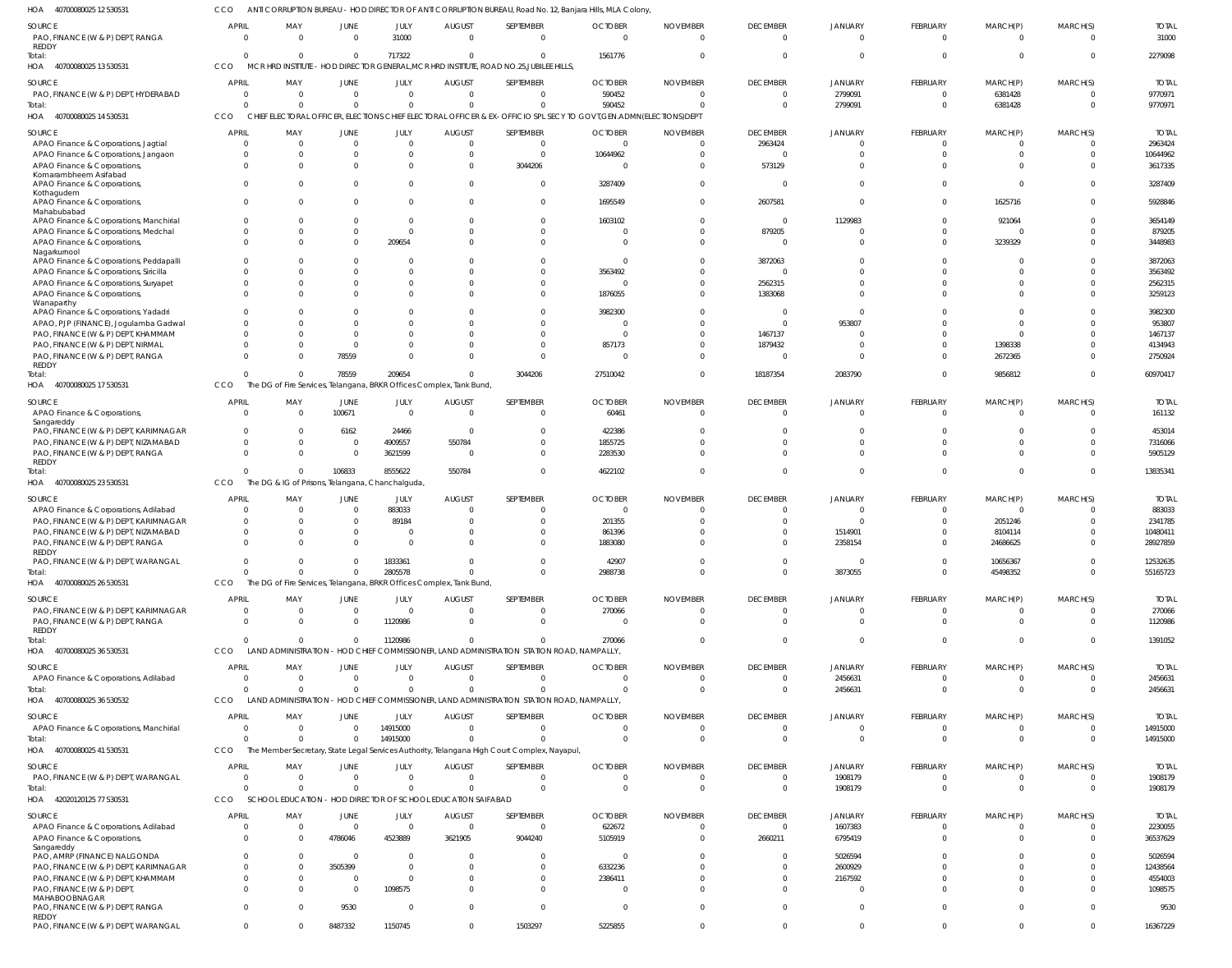ANTI CORRUPTION BUREAU - HOD DIRECTOR OF ANTI CORRUPTION BUREAU, Road No. 12, Banjara Hills, MLA Colony, CCO

| HOA<br>40700080025 12 530531                                                   |                          |                                                  |                         |                        |                                                                      |                                                                                                         | ANTI CORRUPTION BUREAU - HOD DIRECTOR OF ANTI CORRUPTION BUREAU, Road No. 12, Banjara Hills, MLA Colony,           |                             |                                   |                            |                      |                      |                          |                         |
|--------------------------------------------------------------------------------|--------------------------|--------------------------------------------------|-------------------------|------------------------|----------------------------------------------------------------------|---------------------------------------------------------------------------------------------------------|--------------------------------------------------------------------------------------------------------------------|-----------------------------|-----------------------------------|----------------------------|----------------------|----------------------|--------------------------|-------------------------|
| SOURCE<br>PAO, FINANCE (W & P) DEPT, RANGA<br>REDDY                            | <b>APRIL</b><br>$\Omega$ | MAY<br>$\Omega$                                  | JUNE<br>$\overline{0}$  | JULY<br>31000          | <b>AUGUST</b><br>$\Omega$                                            | SEPTEMBER<br>$\overline{0}$                                                                             | <b>OCTOBER</b><br>$\Omega$                                                                                         | <b>NOVEMBER</b><br>$\Omega$ | <b>DECEMBER</b><br>$\overline{0}$ | JANUARY<br>$\Omega$        | FEBRUARY<br>$\Omega$ | MARCH(P)<br>$\Omega$ | MARCH(S)<br>$\Omega$     | <b>TOTAL</b><br>31000   |
| Total:<br>40700080025 13 530531<br>HOA                                         | $\Omega$<br>CCO          |                                                  | $\Omega$                | 717322                 | $\Omega$                                                             | $\mathbf{0}$<br>MCR HRD INSTITUTE - HOD DIRECTOR GENERAL, MCR HRD INSTITUTE, ROAD NO.25, JUBILEE HILLS, | 1561776                                                                                                            |                             | $\Omega$                          | $\Omega$                   | $\Omega$             | $\Omega$             | $\Omega$                 | 2279098                 |
| SOURCE                                                                         | <b>APRIL</b>             | MAY                                              | JUNE                    | JULY                   | <b>AUGUST</b>                                                        | SEPTEMBER                                                                                               | <b>OCTOBER</b>                                                                                                     | <b>NOVEMBER</b>             | <b>DECEMBER</b>                   | JANUARY                    | FEBRUARY             | MARCH(P)             | MARCH(S)                 | <b>TOTAL</b>            |
| PAO, FINANCE (W & P) DEPT, HYDERABAD                                           | $\overline{0}$           | $\Omega$                                         | $\overline{0}$          | $\mathbf 0$            | $\Omega$                                                             | $\mathbf{0}$                                                                                            | 590452                                                                                                             | - 0                         | $\overline{0}$                    | 2799091                    | $\mathbf 0$          | 6381428              | $\Omega$                 | 9770971                 |
| Total:                                                                         | $\Omega$                 |                                                  | $\Omega$                | $\mathbf 0$            | $\Omega$                                                             | $\mathbf 0$                                                                                             | 590452                                                                                                             |                             | $\overline{0}$                    | 2799091                    | $\mathbf{0}$         | 6381428              | $\mathbf 0$              | 9770971                 |
| 40700080025 14 530531<br>HOA                                                   | CCO                      |                                                  |                         |                        |                                                                      |                                                                                                         | CHIEF ELECTORAL OFFICER, ELECTIONS CHIEF ELECTORAL OFFICER & EX-OFFICIO SPL SECY TO GOVT, GEN.ADMN(ELECTIONS) DEPT |                             |                                   |                            |                      |                      |                          |                         |
|                                                                                |                          |                                                  |                         |                        |                                                                      |                                                                                                         |                                                                                                                    |                             |                                   |                            |                      |                      |                          |                         |
| SOURCE<br>APAO Finance & Corporations, Jagtial                                 | <b>APRIL</b><br>$\Omega$ | MAY<br>$\Omega$                                  | JUNE<br>$\Omega$        | JULY<br>$\overline{0}$ | <b>AUGUST</b><br>$\Omega$                                            | SEPTEMBER<br>$\overline{0}$                                                                             | <b>OCTOBER</b><br>$\Omega$                                                                                         | <b>NOVEMBER</b><br>$\cap$   | <b>DECEMBER</b><br>2963424        | JANUARY<br>$\Omega$        | FEBRUARY<br>-0       | MARCH(P)<br>-0       | MARCH(S)<br>$\Omega$     | <b>TOTAL</b><br>2963424 |
| APAO Finance & Corporations, Jangaon                                           | $\Omega$                 |                                                  | $\Omega$                | $\Omega$               | $\Omega$                                                             | $\overline{0}$                                                                                          | 10644962                                                                                                           |                             | $\overline{0}$                    | $\Omega$                   | $\Omega$             | $\Omega$             |                          | 10644962                |
| APAO Finance & Corporations                                                    | $\Omega$                 |                                                  | $\Omega$                | $\Omega$               | $\Omega$                                                             | 3044206                                                                                                 |                                                                                                                    |                             | 573129                            | $\Omega$                   | $\Omega$             | $\Omega$             |                          | 3617335                 |
| Komarambheem Asifabad                                                          |                          |                                                  |                         |                        |                                                                      |                                                                                                         |                                                                                                                    |                             |                                   |                            |                      |                      |                          |                         |
| APAO Finance & Corporations,<br>Kothagudem                                     | $\Omega$                 |                                                  | $\Omega$                | $\Omega$               | $\Omega$                                                             | $\overline{0}$                                                                                          | 3287409                                                                                                            |                             | $\overline{0}$                    | $\Omega$                   | $\Omega$             | $\Omega$             | $\Omega$                 | 3287409                 |
| APAO Finance & Corporations,                                                   | $\Omega$                 |                                                  | $\Omega$                | $\Omega$               | $\Omega$                                                             | $\overline{0}$                                                                                          | 1695549                                                                                                            |                             | 2607581                           | $\Omega$                   | $\Omega$             | 1625716              | $\Omega$                 | 5928846                 |
| Mahabubabad<br>APAO Finance & Corporations, Manchiria                          | $\Omega$                 |                                                  | $\Omega$                | $\Omega$               |                                                                      | $\mathbf 0$                                                                                             | 1603102                                                                                                            |                             | $\overline{0}$                    | 1129983                    |                      | 921064               |                          | 3654149                 |
| APAO Finance & Corporations, Medchal                                           | $\Omega$                 |                                                  | $\Omega$                | $\Omega$               | U                                                                    | $\Omega$                                                                                                |                                                                                                                    |                             | 879205                            | $\Omega$                   | - 0                  | $\Omega$             | $\Omega$                 | 879205                  |
| APAO Finance & Corporations,                                                   | $\Omega$                 |                                                  | $\Omega$                | 209654                 |                                                                      | $\Omega$                                                                                                | $\cap$                                                                                                             |                             | $\overline{0}$                    | $\Omega$                   | $\Omega$             | 3239329              |                          | 3448983                 |
| Nagarkurnool                                                                   |                          |                                                  |                         |                        |                                                                      |                                                                                                         |                                                                                                                    |                             |                                   |                            |                      |                      |                          |                         |
| APAO Finance & Corporations, Peddapalli                                        | $\Omega$                 |                                                  | $\Omega$                | $\Omega$               |                                                                      | $\Omega$                                                                                                |                                                                                                                    |                             | 3872063                           | $\Omega$                   | $\Omega$             | $\Omega$             |                          | 3872063                 |
| APAO Finance & Corporations, Siricilla                                         | $\Omega$                 |                                                  | <sup>0</sup>            | $\Omega$               |                                                                      | $\Omega$                                                                                                | 3563492                                                                                                            |                             | $\Omega$                          |                            |                      | $\Omega$             |                          | 3563492                 |
| APAO Finance & Corporations, Suryapet                                          | $\Omega$                 |                                                  | <sup>0</sup>            | $\Omega$               |                                                                      | $\Omega$                                                                                                |                                                                                                                    |                             | 2562315                           | $\Omega$                   | $\Omega$             | $\Omega$             |                          | 2562315                 |
| APAO Finance & Corporations,<br>Wanaparthy                                     | $\Omega$                 |                                                  | $\Omega$                |                        |                                                                      | $\Omega$                                                                                                | 1876055                                                                                                            |                             | 1383068                           | $\Omega$                   | $\Omega$             | $\Omega$             |                          | 3259123                 |
| APAO Finance & Corporations, Yadadri                                           | $\Omega$                 |                                                  | <sup>0</sup>            |                        |                                                                      | $\Omega$                                                                                                | 3982300                                                                                                            |                             | $\overline{0}$                    | $\Omega$                   |                      | $\Omega$             |                          | 3982300                 |
| APAO, PJP (FINANCE), Jogulamba Gadwal                                          | $\Omega$                 |                                                  | <sup>0</sup>            |                        |                                                                      | $\Omega$                                                                                                |                                                                                                                    |                             | $\overline{0}$                    | 953807                     |                      | - 0                  |                          | 953807                  |
| PAO, FINANCE (W & P) DEPT, KHAMMAM                                             | $\Omega$                 |                                                  | <sup>0</sup>            | $\Omega$               |                                                                      | $\Omega$                                                                                                |                                                                                                                    |                             | 1467137                           | $\Omega$                   |                      | $\Omega$             |                          | 1467137                 |
| PAO, FINANCE (W & P) DEPT, NIRMAL                                              | $\Omega$                 |                                                  | $\Omega$                | $\Omega$               |                                                                      | $\Omega$                                                                                                | 857173                                                                                                             |                             | 1879432                           | $\Omega$                   |                      | 1398338              |                          | 4134943                 |
| PAO, FINANCE (W & P) DEPT, RANGA                                               | $\Omega$                 |                                                  | 78559                   | $\Omega$               | $\Omega$                                                             | $\Omega$                                                                                                |                                                                                                                    |                             | $\Omega$                          | $\Omega$                   |                      | 2672365              |                          | 2750924                 |
| <b>REDDY</b>                                                                   |                          |                                                  |                         |                        |                                                                      |                                                                                                         |                                                                                                                    |                             |                                   |                            |                      |                      |                          |                         |
| Total:                                                                         | $\Omega$                 |                                                  | 78559                   | 209654                 | $\Omega$                                                             | 3044206                                                                                                 | 27510042                                                                                                           |                             | 18187354                          | 2083790                    | $\Omega$             | 9856812              | $\Omega$                 | 60970417                |
| HOA 40700080025 17 530531                                                      | CCO                      |                                                  |                         |                        | The DG of Fire Services, Telangana, BRKR Offices Complex, Tank Bund, |                                                                                                         |                                                                                                                    |                             |                                   |                            |                      |                      |                          |                         |
| SOURCE                                                                         | <b>APRIL</b>             | MAY                                              | JUNE                    | JULY                   | <b>AUGUST</b>                                                        | SEPTEMBER                                                                                               | <b>OCTOBER</b>                                                                                                     | <b>NOVEMBER</b>             | <b>DECEMBER</b>                   | JANUARY                    | FEBRUARY             | MARCH(P)             | MARCH(S)                 | <b>TOTAL</b>            |
| APAO Finance & Corporations,                                                   | $\overline{0}$           |                                                  | 100671                  | $\overline{0}$         | $\Omega$                                                             | $\overline{0}$                                                                                          | 60461                                                                                                              |                             | $\overline{0}$                    | $\Omega$                   | $\Omega$             | $\mathbf 0$          | $\Omega$                 | 161132                  |
| Sangareddy                                                                     |                          |                                                  |                         |                        |                                                                      |                                                                                                         |                                                                                                                    |                             |                                   |                            |                      |                      |                          |                         |
| PAO, FINANCE (W & P) DEPT, KARIMNAGAR                                          | $\Omega$                 |                                                  | 6162                    | 24466                  | - 0                                                                  | $\mathbf 0$                                                                                             | 422386                                                                                                             |                             | $\Omega$                          | $\Omega$                   | $\Omega$             | $\Omega$             |                          | 453014                  |
| PAO, FINANCE (W & P) DEPT, NIZAMABAD                                           | $\Omega$                 |                                                  | $\overline{\mathbf{0}}$ | 4909557                | 550784                                                               | $\mathbf{0}$                                                                                            | 1855725                                                                                                            |                             | $\Omega$                          | $\Omega$                   | $\Omega$             | $\Omega$             | $\Omega$                 | 7316066                 |
| PAO, FINANCE (W & P) DEPT, RANGA<br><b>REDDY</b>                               | $\Omega$                 |                                                  | $\overline{\mathbf{0}}$ | 3621599                | - 0                                                                  | $\overline{0}$                                                                                          | 2283530                                                                                                            |                             | $\Omega$                          | $\Omega$                   | $\Omega$             | $\Omega$             | $\Omega$                 | 5905129                 |
| Total:                                                                         | $\Omega$                 |                                                  | 106833                  | 8555622                | 550784                                                               | $\Omega$                                                                                                | 4622102                                                                                                            |                             | $\Omega$                          | $\Omega$                   | $\Omega$             | $\Omega$             | $\Omega$                 | 13835341                |
| HOA 40700080025 23 530531                                                      | CCO                      | The DG & IG of Prisons, Telangana, Chanchalguda, |                         |                        |                                                                      |                                                                                                         |                                                                                                                    |                             |                                   |                            |                      |                      |                          |                         |
|                                                                                |                          |                                                  |                         |                        |                                                                      |                                                                                                         |                                                                                                                    |                             |                                   |                            |                      |                      |                          |                         |
| SOURCE                                                                         | APRIL                    | MAY                                              | JUNE                    | JULY                   | <b>AUGUST</b>                                                        | SEPTEMBER<br>$\Omega$                                                                                   | <b>OCTOBER</b>                                                                                                     | <b>NOVEMBER</b>             | <b>DECEMBER</b><br>$\Omega$       | <b>JANUARY</b><br>$\Omega$ | FEBRUARY             | MARCH(P)             | MARCH(S)<br><sup>0</sup> | <b>TOTAI</b>            |
| APAO Finance & Corporations, Adilabad<br>PAO, FINANCE (W & P) DEPT, KARIMNAGAR | $\Omega$<br>$\Omega$     |                                                  | $\Omega$<br>$\Omega$    | 883033<br>89184        | $\Omega$                                                             | $\Omega$                                                                                                | 201355                                                                                                             |                             | $\Omega$                          | $\Omega$                   |                      | $\Omega$<br>2051246  |                          | 883033<br>2341785       |
| PAO, FINANCE (W & P) DEPT, NIZAMABAD                                           | $\Omega$                 |                                                  | 0                       | $\Omega$               |                                                                      | $\Omega$                                                                                                | 861396                                                                                                             |                             | $\Omega$                          | 1514901                    |                      | 8104114              |                          | 10480411                |
| PAO, FINANCE (W & P) DEPT, RANGA                                               | $\Omega$                 |                                                  | $\Omega$                | $\Omega$               |                                                                      | $\Omega$                                                                                                | 1883080                                                                                                            |                             | $\Omega$                          | 2358154                    |                      | 24686625             | <sup>0</sup>             | 28927859                |
| REDDY                                                                          |                          |                                                  |                         |                        |                                                                      |                                                                                                         |                                                                                                                    |                             |                                   |                            |                      |                      |                          |                         |
| PAO, FINANCE (W & P) DEPT, WARANGAL                                            | $\Omega$                 |                                                  | $\Omega$                | 1833361                | $\Omega$                                                             | $\overline{0}$                                                                                          | 42907                                                                                                              |                             | $\overline{0}$                    | $\Omega$                   | $\Omega$             | 10656367             | 0                        | 12532635                |
| Total:                                                                         | $\Omega$                 |                                                  | $\Omega$                | 2805578                | $\Omega$                                                             | $\Omega$                                                                                                | 2988738                                                                                                            |                             | $\mathbf{0}$                      | 3873055                    | $\Omega$             | 45498352             | $\Omega$                 | 55165723                |
| HOA 40700080025 26 530531                                                      | CCO                      |                                                  |                         |                        | The DG of Fire Services, Telangana, BRKR Offices Complex, Tank Bund, |                                                                                                         |                                                                                                                    |                             |                                   |                            |                      |                      |                          |                         |
| SOURCE                                                                         | APRIL                    | MAY                                              | <b>JUNE</b>             | JULY                   | <b>AUGUST</b>                                                        | SEPTEMBER                                                                                               | <b>OCTOBER</b>                                                                                                     | <b>NOVEMBER</b>             | <b>DECEMBER</b>                   | JANUARY                    | FEBRUARY             | MARCH(P)             | MARCH(S)                 | <b>TOTAL</b>            |
| PAO, FINANCE (W & P) DEPT, KARIMNAGAR                                          | 0                        | $\Omega$                                         | $\overline{0}$          | $\mathbf{0}$           | $\Omega$                                                             | $\mathbf 0$                                                                                             | 270066                                                                                                             | - 0                         | $\overline{0}$                    | $\mathbf{0}$               | $\mathbf{0}$         | $\overline{0}$       | $\Omega$                 | 270066                  |
| PAO, FINANCE (W & P) DEPT, RANGA                                               | $\Omega$                 |                                                  | $\Omega$                | 1120986                | $\Omega$                                                             | $\mathbf{0}$                                                                                            |                                                                                                                    | $\Omega$                    | $\overline{0}$                    | $\mathbf 0$                | $\mathbf 0$          | $\mathbf 0$          | $\Omega$                 | 1120986                 |
| REDDY                                                                          |                          |                                                  |                         |                        |                                                                      |                                                                                                         |                                                                                                                    |                             |                                   |                            |                      |                      |                          |                         |
| Total:                                                                         | $\Omega$                 | $\Omega$                                         | $\overline{0}$          | 1120986                | $\Omega$                                                             | $\Omega$                                                                                                | 270066                                                                                                             |                             | $\Omega$                          | $\mathbf 0$                | $\Omega$             | $\mathbf 0$          | $\Omega$                 | 1391052                 |
| HOA 40700080025 36 530531                                                      | <b>CCO</b>               |                                                  |                         |                        |                                                                      |                                                                                                         | LAND ADMINISTRATION - HOD CHIEF COMMISSIONER, LAND ADMINISTRATION STATION ROAD, NAMPALLY,                          |                             |                                   |                            |                      |                      |                          |                         |
| SOURCE                                                                         | <b>APRIL</b>             | MAY                                              | JUNE                    | JULY                   | <b>AUGUST</b>                                                        | SEPTEMBER                                                                                               | <b>OCTOBER</b>                                                                                                     | <b>NOVEMBER</b>             | <b>DECEMBER</b>                   | <b>JANUARY</b>             | FEBRUARY             | MARCH(P)             | MARCH(S)                 | <b>TOTAL</b>            |
| APAO Finance & Corporations, Adilabad                                          | $\Omega$                 | $\Omega$                                         | $\Omega$                | $\Omega$               | $\Omega$                                                             | $\Omega$                                                                                                |                                                                                                                    | - 0                         | $\mathbf{0}$                      | 2456631                    | -0                   | -0                   | $\Omega$                 | 2456631                 |
| Total:                                                                         | $\Omega$                 |                                                  | $\Omega$                | $\Omega$               | $\Omega$                                                             | $\Omega$                                                                                                |                                                                                                                    | $\Omega$                    | $\overline{0}$                    | 2456631                    | $\Omega$             | $\overline{0}$       | $\mathbf 0$              | 2456631                 |
| HOA 40700080025 36 530532                                                      | CCO                      |                                                  |                         |                        |                                                                      |                                                                                                         | LAND ADMINISTRATION - HOD CHIEF COMMISSIONER, LAND ADMINISTRATION STATION ROAD, NAMPALLY,                          |                             |                                   |                            |                      |                      |                          |                         |
|                                                                                |                          |                                                  |                         |                        |                                                                      |                                                                                                         |                                                                                                                    |                             |                                   |                            |                      |                      |                          |                         |
| SOURCE                                                                         | <b>APRIL</b>             | MAY                                              | JUNE                    | JULY                   | <b>AUGUST</b>                                                        | SEPTEMBER                                                                                               | <b>OCTOBER</b>                                                                                                     | <b>NOVEMBER</b>             | <b>DECEMBER</b>                   | JANUARY                    | FEBRUARY             | MARCH(P)             | MARCH(S)                 | <b>TOTAL</b>            |
| APAO Finance & Corporations, Manchirial                                        | 0                        | $\Omega$                                         | $\overline{0}$          | 14915000               | $\Omega$                                                             | $\mathbf 0$                                                                                             |                                                                                                                    | $\Omega$                    | $\overline{0}$                    | $\mathbf{0}$               | $\mathbf 0$          | $\mathbf{0}$         | 0                        | 14915000                |
| Total:                                                                         | $\Omega$                 |                                                  | $\Omega$                | 14915000               | $\Omega$                                                             | $\Omega$                                                                                                |                                                                                                                    | $\Omega$                    | $\overline{0}$                    | $\mathbf 0$                | $\mathbf 0$          | $\mathbf 0$          | $\overline{0}$           | 14915000                |
| HOA 40700080025 41 530531                                                      | CCO                      |                                                  |                         |                        |                                                                      | The Member Secretary, State Legal Services Authority, Telangana High Court Complex, Nayapul,            |                                                                                                                    |                             |                                   |                            |                      |                      |                          |                         |
| SOURCE                                                                         | <b>APRIL</b>             | MAY                                              | JUNE                    | JULY                   | <b>AUGUST</b>                                                        | SEPTEMBER                                                                                               | <b>OCTOBER</b>                                                                                                     | <b>NOVEMBER</b>             | <b>DECEMBER</b>                   | JANUARY                    | FEBRUARY             | MARCH(P)             | MARCH(S)                 | <b>TOTAL</b>            |
| PAO, FINANCE (W & P) DEPT, WARANGAL                                            | $\Omega$                 | $\Omega$                                         | $\Omega$                | $\Omega$               | $\Omega$                                                             | $\Omega$                                                                                                | $\Omega$                                                                                                           | $\Omega$                    | $\mathbf{0}$                      | 1908179                    | $\Omega$             | $\mathbf{0}$         | $\Omega$                 | 1908179                 |
| Total:                                                                         | $\Omega$                 | $\Omega$                                         | $\Omega$                | $\Omega$               | $\Omega$                                                             | $\Omega$                                                                                                | $\Omega$                                                                                                           | $\Omega$                    | $\overline{0}$                    | 1908179                    | $\Omega$             | $\mathbf 0$          | $\Omega$                 | 1908179                 |
| HOA 42020120125 77 530531                                                      | CCO                      | SCHOOL EDUCATION                                 |                         |                        | - HOD DIRECTOR OF SCHOOL EDUCATION SAIFABAD                          |                                                                                                         |                                                                                                                    |                             |                                   |                            |                      |                      |                          |                         |
| SOURCE                                                                         | <b>APRIL</b>             | MAY                                              | JUNE                    | JULY                   | <b>AUGUST</b>                                                        | SEPTEMBER                                                                                               | <b>OCTOBER</b>                                                                                                     | <b>NOVEMBER</b>             | <b>DECEMBER</b>                   | JANUARY                    | FEBRUARY             | MARCH(P)             | MARCH(S)                 | <b>TOTAL</b>            |
| APAO Finance & Corporations, Adilabad                                          | $\overline{0}$           | - 0                                              | $\overline{0}$          | $\mathbf 0$            | $\overline{0}$                                                       | $\mathbf 0$                                                                                             | 622672                                                                                                             | $\Omega$                    | $\overline{0}$                    | 1607383                    | $\mathbf 0$          | $\mathbf 0$          | $\mathbf 0$              | 2230055                 |
| APAO Finance & Corporations                                                    | $\Omega$                 |                                                  | 4786046                 | 4523889                | 3621905                                                              | 9044240                                                                                                 | 5105919                                                                                                            |                             | 2660211                           | 6795419                    | $\mathbf 0$          | $\mathbf 0$          | $\Omega$                 | 36537629                |
| Sangareddy                                                                     |                          |                                                  |                         |                        |                                                                      |                                                                                                         |                                                                                                                    |                             |                                   |                            |                      |                      |                          |                         |
| PAO, AMRP (FINANCE) NALGONDA                                                   | $\Omega$                 |                                                  | $\Omega$                | $\mathbf{0}$           | $\Omega$                                                             | $\Omega$                                                                                                |                                                                                                                    |                             | $\Omega$                          | 5026594                    | $\Omega$             | $\Omega$             | $\Omega$                 | 5026594                 |
|                                                                                |                          |                                                  |                         |                        | $\Omega$                                                             | $\overline{0}$                                                                                          | 6332236                                                                                                            |                             | $\Omega$                          | 2600929                    | $\Omega$             | $\Omega$             | $\Omega$                 | 12438564                |
| PAO, FINANCE (W & P) DEPT, KARIMNAGAR                                          | $\Omega$                 |                                                  | 3505399                 | $\mathbf{0}$           |                                                                      |                                                                                                         |                                                                                                                    |                             |                                   |                            |                      |                      |                          |                         |
| PAO, FINANCE (W & P) DEPT, KHAMMAM                                             | $\Omega$                 |                                                  | $\Omega$                | $\mathbf{0}$           | $\Omega$                                                             | $\Omega$                                                                                                | 2386411                                                                                                            |                             | $\Omega$                          | 2167592                    | $\Omega$             | $\Omega$             | <sup>0</sup>             | 4554003                 |
| PAO, FINANCE (W & P) DEPT                                                      | $\Omega$                 |                                                  | $\Omega$                | 1098575                | $\Omega$                                                             | $\Omega$                                                                                                | - 0                                                                                                                |                             | $\Omega$                          | $\overline{0}$             | $\Omega$             | $\Omega$             | <sup>0</sup>             | 1098575                 |
| MAHABOOBNAGAR                                                                  | $\Omega$                 |                                                  |                         |                        | $\Omega$                                                             |                                                                                                         |                                                                                                                    |                             |                                   |                            | $\Omega$             | $\Omega$             | $\Omega$                 |                         |
| PAO, FINANCE (W & P) DEPT, RANGA<br>REDDY                                      |                          |                                                  | 9530                    | $\mathbf{0}$           |                                                                      | $\mathbf{0}$                                                                                            |                                                                                                                    |                             | $\overline{0}$                    | $\overline{0}$             |                      |                      |                          | 9530                    |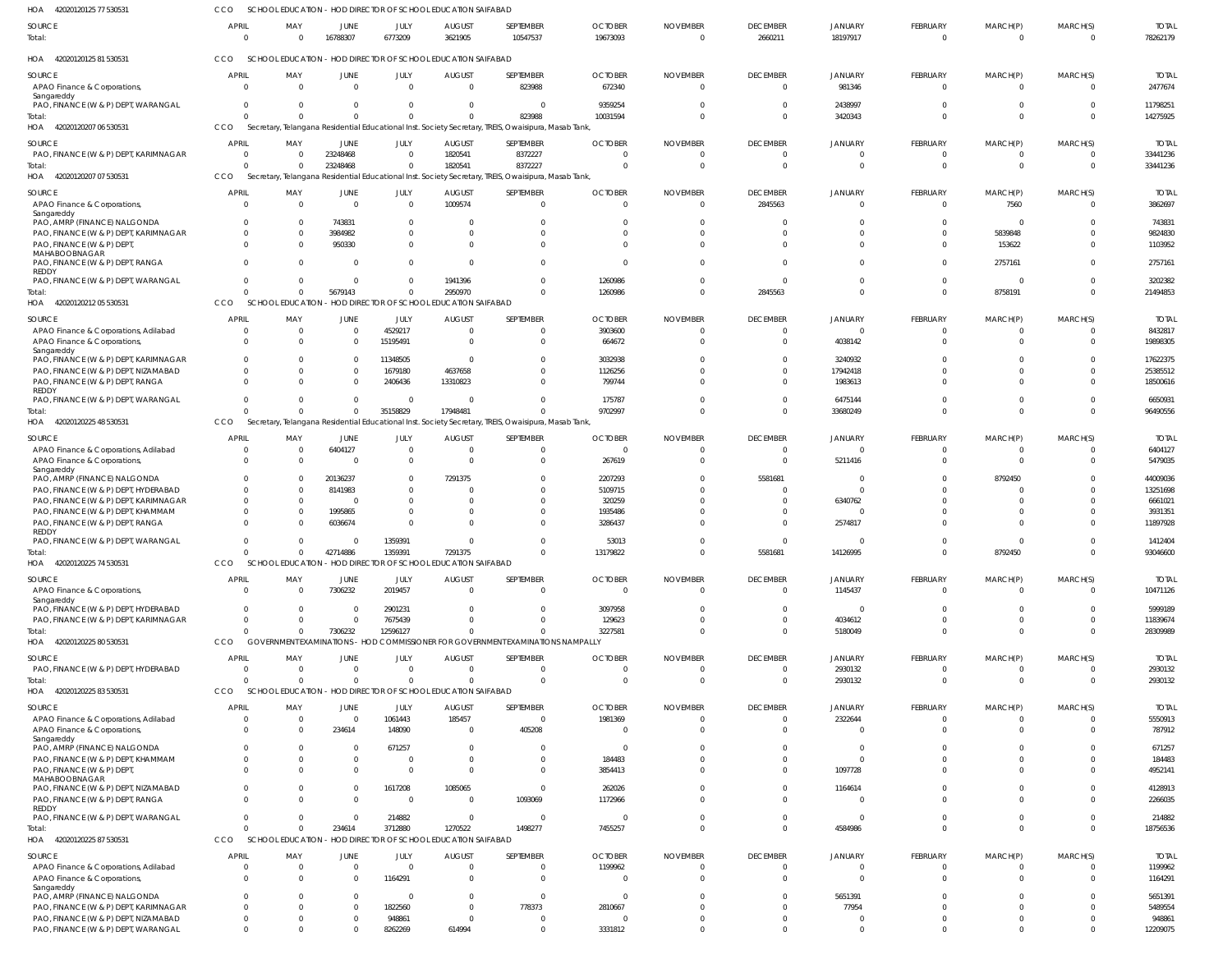| HOA 42020120125 77 530531                                                           | CCO                      | SCHOOL EDUCATION - HOD DIRECTOR OF SCHOOL EDUCATION SAIFABAD |                                  |                            |                                                        |                                                                                                                 |                            |                             |                                   |                           |                             |                      |                      |                          |
|-------------------------------------------------------------------------------------|--------------------------|--------------------------------------------------------------|----------------------------------|----------------------------|--------------------------------------------------------|-----------------------------------------------------------------------------------------------------------------|----------------------------|-----------------------------|-----------------------------------|---------------------------|-----------------------------|----------------------|----------------------|--------------------------|
| SOURCE<br>Total:                                                                    | APRIL<br>$\Omega$        | MAY<br>$\Omega$                                              | JUNE<br>16788307                 | JULY<br>6773209            | <b>AUGUST</b><br>3621905                               | SEPTEMBER<br>10547537                                                                                           | <b>OCTOBER</b><br>19673093 | <b>NOVEMBER</b><br>$\Omega$ | <b>DECEMBER</b><br>2660211        | JANUARY<br>18197917       | <b>FEBRUARY</b><br>$\Omega$ | MARCH(P)<br>$\Omega$ | MARCH(S)<br>$\Omega$ | <b>TOTAL</b><br>78262179 |
| HOA 42020120125 81 530531                                                           | CCO                      | SCHOOL EDUCATION - HOD DIRECTOR OF SCHOOL EDUCATION SAIFABAD |                                  |                            |                                                        |                                                                                                                 |                            |                             |                                   |                           |                             |                      |                      |                          |
| SOURCE<br>APAO Finance & Corporations,<br>Sangareddy                                | <b>APRIL</b><br>$\Omega$ | MAY<br>$\overline{0}$                                        | JUNE<br>$\overline{0}$           | JULY<br>$\overline{0}$     | <b>AUGUST</b><br>$\overline{0}$                        | SEPTEMBER<br>823988                                                                                             | <b>OCTOBER</b><br>672340   | <b>NOVEMBER</b><br>- 0      | <b>DECEMBER</b><br>$\overline{0}$ | JANUARY<br>981346         | FEBRUARY<br>$\Omega$        | MARCH(P)<br>$\Omega$ | MARCH(S)<br>$\Omega$ | <b>TOTAL</b><br>2477674  |
| PAO, FINANCE (W & P) DEPT, WARANGAL                                                 | $\Omega$                 | $\Omega$                                                     | $\Omega$                         | - 0                        | 0                                                      | $\mathbf 0$                                                                                                     | 9359254                    |                             | $\Omega$                          | 2438997                   | $\Omega$                    | $\Omega$             | $\Omega$             | 11798251                 |
| Total:<br>HOA 42020120207 06 530531                                                 | $\Omega$<br>CCO          | $\Omega$                                                     | $\Omega$                         | $\Omega$                   | $\Omega$                                               | 823988<br>Secretary, Telangana Residential Educational Inst. Society Secretary, TREIS, Owaisipura, Masab Tank   | 10031594                   |                             | $\Omega$                          | 3420343                   | $\Omega$                    | $\Omega$             | $\Omega$             | 14275925                 |
| SOURCE                                                                              | APRIL                    | MAY                                                          | JUNE                             | JULY                       | <b>AUGUST</b>                                          | SEPTEMBER                                                                                                       | <b>OCTOBER</b>             | <b>NOVEMBER</b>             | <b>DECEMBER</b>                   | <b>JANUARY</b>            | FEBRUARY                    | MARCH(P)             | MARCH(S)             | <b>TOTAL</b>             |
| PAO, FINANCE (W & P) DEPT, KARIMNAGAR                                               | $\Omega$                 | $\Omega$                                                     | 23248468                         | $\Omega$                   | 1820541                                                | 8372227                                                                                                         |                            |                             | 0                                 | $\Omega$                  | - ( )                       | - 0                  | $\Omega$             | 33441236                 |
| Total:<br>HOA 42020120207 07 530531                                                 | $\Omega$<br>CCO          | $\Omega$                                                     | 23248468                         | $\Omega$                   | 1820541                                                | 8372227<br>Secretary, Telangana Residential Educational Inst. Society Secretary, TREIS, Owaisipura, Masab Tank, |                            |                             | $\mathbf 0$                       | $\Omega$                  | $\Omega$                    | $\Omega$             | $\overline{0}$       | 33441236                 |
|                                                                                     | <b>APRIL</b>             |                                                              |                                  |                            |                                                        |                                                                                                                 | <b>OCTOBER</b>             |                             |                                   |                           |                             |                      | MARCH(S)             |                          |
| SOURCE<br>APAO Finance & Corporations,<br>Sangareddy                                | $\Omega$                 | MAY<br>$\overline{0}$                                        | JUNE<br>$\overline{0}$           | JULY<br>$\overline{0}$     | <b>AUGUST</b><br>1009574                               | SEPTEMBER<br>$\mathbf 0$                                                                                        | -C                         | <b>NOVEMBER</b><br>- 0      | <b>DECEMBER</b><br>2845563        | JANUARY<br>$\mathbf{0}$   | FEBRUARY<br>$\Omega$        | MARCH(P)<br>7560     | $\overline{0}$       | <b>TOTAL</b><br>3862697  |
| PAO, AMRP (FINANCE) NALGONDA<br>PAO, FINANCE (W & P) DEPT, KARIMNAGAR               | $\Omega$<br>$\Omega$     | $\Omega$<br>$\overline{0}$                                   | 743831<br>3984982                | - 0<br>$\Omega$            | - 0<br>0                                               | 0<br>$\Omega$                                                                                                   |                            |                             | $\Omega$<br>$\Omega$              | $\Omega$<br>$\Omega$      | $\Omega$<br>$\Omega$        | $\Omega$<br>5839848  | $\Omega$<br>$\Omega$ | 743831<br>9824830        |
| PAO, FINANCE (W & P) DEPT,<br>MAHABOOBNAGAR                                         | $\Omega$                 | $\Omega$                                                     | 950330                           | $\Omega$                   | $\overline{0}$                                         | $\Omega$                                                                                                        |                            |                             | $\Omega$                          | $\Omega$                  | $\Omega$                    | 153622               | $\Omega$             | 1103952                  |
| PAO, FINANCE (W & P) DEPT, RANGA<br>REDDY                                           | $\Omega$                 | $\Omega$                                                     | $\Omega$                         | $\Omega$                   | $\Omega$                                               | $\Omega$                                                                                                        |                            |                             | $\Omega$                          | $\Omega$                  | $\Omega$                    | 2757161              | $\Omega$             | 2757161                  |
| PAO, FINANCE (W & P) DEPT, WARANGAL                                                 | $\Omega$                 | $\Omega$                                                     | $\overline{0}$                   | $\Omega$                   | 1941396                                                | $\Omega$                                                                                                        | 1260986                    |                             | $\Omega$                          | $\Omega$                  | $\Omega$                    | $\overline{0}$       | $\Omega$             | 3202382                  |
| Total:<br>HOA 4202012021205530531                                                   | $\Omega$<br>CCO          | $\Omega$<br>SCHOOL EDUCATION                                 | 5679143                          | $\Omega$                   | 2950970<br>- HOD DIRECTOR OF SCHOOL EDUCATION SAIFABAD | $\Omega$                                                                                                        | 1260986                    |                             | 2845563                           | $\Omega$                  | $\Omega$                    | 8758191              | $\Omega$             | 21494853                 |
| SOURCE                                                                              | <b>APRIL</b>             | MAY                                                          | JUNE                             | JULY                       | <b>AUGUST</b>                                          | SEPTEMBER                                                                                                       | <b>OCTOBER</b>             | <b>NOVEMBER</b>             | <b>DECEMBER</b>                   | JANUARY                   | FEBRUARY                    | MARCH(P)             | MARCH(S)             | <b>TOTAL</b>             |
| APAO Finance & Corporations, Adilabad                                               | $\Omega$                 | $\overline{0}$                                               | $\overline{0}$                   | 4529217                    | - 0                                                    | 0                                                                                                               | 3903600                    |                             | 0                                 | $\Omega$                  |                             | $\left($             | $\Omega$             | 8432817                  |
| APAO Finance & Corporations,<br>Sangareddy                                          | $\Omega$                 | $\Omega$                                                     | $\Omega$                         | 15195491                   | 0                                                      | U                                                                                                               | 664672                     |                             | $\Omega$                          | 4038142                   | $\Omega$                    | $\Omega$             | $\Omega$             | 19898305                 |
| PAO, FINANCE (W & P) DEPT, KARIMNAGAR                                               | $\Omega$                 | $\Omega$                                                     | $\overline{0}$                   | 11348505                   | 0                                                      | $\Omega$                                                                                                        | 3032938                    |                             | $\Omega$                          | 3240932                   |                             | $\Omega$             | $\Omega$             | 17622375                 |
| PAO, FINANCE (W & P) DEPT, NIZAMABAD<br>PAO, FINANCE (W & P) DEPT, RANGA            | $\Omega$<br>$\Omega$     | $\Omega$<br>$\Omega$                                         | $\Omega$<br>$\Omega$             | 1679180<br>2406436         | 4637658<br>13310823                                    | $\Omega$                                                                                                        | 1126256<br>799744          |                             | $\Omega$                          | 17942418<br>1983613       | $\Omega$                    | $\Omega$<br>$\Omega$ | $\Omega$<br>$\Omega$ | 25385512<br>18500616     |
| REDDY                                                                               |                          |                                                              |                                  |                            |                                                        |                                                                                                                 |                            |                             |                                   |                           |                             |                      |                      |                          |
| PAO, FINANCE (W & P) DEPT, WARANGAL<br>Total:                                       | $\Omega$                 | $\Omega$                                                     | $\overline{0}$<br>$\overline{0}$ | - 0<br>35158829            | $\Omega$<br>17948481                                   |                                                                                                                 | 175787<br>9702997          |                             | $\Omega$<br>$\Omega$              | 6475144<br>33680249       | $\Omega$                    | $\Omega$<br>$\Omega$ | $\Omega$<br>$\Omega$ | 6650931<br>96490556      |
| HOA 42020120225 48 530531                                                           | CCO                      |                                                              |                                  |                            |                                                        | Secretary, Telangana Residential Educational Inst. Society Secretary, TREIS, Owaisipura, Masab Tank             |                            |                             |                                   |                           |                             |                      |                      |                          |
| SOURCE                                                                              | <b>APRIL</b>             | MAY                                                          | JUNE                             | JULY                       | <b>AUGUST</b>                                          | SEPTEMBER                                                                                                       | <b>OCTOBER</b>             | <b>NOVEMBER</b>             | <b>DECEMBER</b>                   | JANUARY                   | FEBRUARY                    | MARCH(P)             | MARCH(S)             | <b>TOTAL</b>             |
| APAO Finance & Corporations, Adilabad<br>APAO Finance & Corporations,<br>Sangareddy | $\Omega$<br>$\Omega$     | $\overline{0}$<br>$\Omega$                                   | 6404127<br>$\Omega$              | $\overline{0}$<br>$\Omega$ | 0<br>$\Omega$                                          | $\mathbf 0$<br>0                                                                                                | - 0<br>267619              |                             | $\overline{0}$<br>$\mathbf 0$     | $\overline{0}$<br>5211416 | $\Omega$<br>$\Omega$        | $\Omega$<br>$\Omega$ | $\Omega$<br>$\Omega$ | 6404127<br>5479035       |
| PAO, AMRP (FINANCE) NALGONDA                                                        | $\Omega$                 | $\mathbf{0}$                                                 | 20136237                         | $\Omega$                   | 7291375                                                | U                                                                                                               | 2207293                    |                             | 5581681                           | $\overline{0}$            |                             | 8792450              | $\Omega$             | 44009036                 |
| PAO, FINANCE (W & P) DEPT, HYDERABAD<br>PAO, FINANCE (W & P) DEPT, KARIMNAGAR       | $\Omega$<br>$\Omega$     | $\overline{0}$<br>$\Omega$                                   | 8141983<br>- 0                   | $\Omega$<br>- 0            | $\Omega$<br>$\Omega$                                   | U                                                                                                               | 5109715<br>320259          |                             | 0<br>$\Omega$                     | $\Omega$<br>6340762       |                             | $\Omega$<br>$\Omega$ |                      | 13251698<br>6661021      |
| PAO, FINANCE (W & P) DEPT, KHAMMAM                                                  | $\Omega$                 | $\overline{0}$                                               | 1995865                          | - 0                        | $\Omega$                                               | 0                                                                                                               | 1935486                    |                             | $\Omega$                          | $\overline{0}$            |                             | $\Omega$             | $\Omega$             | 3931351                  |
| PAO, FINANCE (W & P) DEPT, RANGA<br>REDDY                                           | $\Omega$                 | $\Omega$                                                     | 6036674                          | $\Omega$                   | $\Omega$                                               | 0                                                                                                               | 3286437                    |                             | $\Omega$                          | 2574817                   |                             | $\Omega$             | $\Omega$             | 11897928                 |
| PAO, FINANCE (W & P) DEPT, WARANGAL                                                 | $\Omega$                 | $\Omega$                                                     | $\Omega$                         | 1359391                    | $\Omega$                                               | 0                                                                                                               | 53013                      |                             | $\Omega$                          | $\Omega$                  |                             | $\Omega$             | $\Omega$             | 1412404                  |
| 42020120225 74 530531<br>HOA                                                        | CCO                      | SCHOOL EDUCATION - HOD DIRECTOR OF SCHOOL EDUCATION SAIFABAD | 42714886                         | 1359391                    | 7291375                                                |                                                                                                                 | 13179822                   |                             | 5581681                           | 14126995                  |                             | 8792450              |                      | 93046600                 |
| SOURCE                                                                              | <b>APRIL</b>             | MAY                                                          | JUNE                             | JULY                       | <b>AUGUST</b>                                          | SEPTEMBER                                                                                                       | <b>OCTOBER</b>             | <b>NOVEMBER</b>             | <b>DECEMBER</b>                   | JANUARY                   | FEBRUARY                    | MARCH(P)             | MARCH(S)             | <b>TOTAL</b>             |
| APAO Finance & Corporations,<br>Sangareddy                                          | $\Omega$                 | $\Omega$                                                     | 7306232                          | 2019457                    | $\Omega$                                               | $\Omega$                                                                                                        | $\mathsf{C}$               | $\Omega$                    | $\mathbf 0$                       | 1145437                   | $\Omega$                    | $\Omega$             | 0                    | 10471126                 |
| PAO, FINANCE (W & P) DEPT, HYDERABAD<br>PAO, FINANCE (W & P) DEPT, KARIMNAGAR       | $\Omega$                 | $\Omega$<br>$\Omega$                                         | $\Omega$<br>$\overline{0}$       | 2901231<br>7675439         | $\Omega$<br>$\Omega$                                   | 0                                                                                                               | 3097958<br>129623          |                             | $\Omega$<br>0                     | $\Omega$<br>4034612       | $\Omega$                    | - 0<br>$\Omega$      | -C<br>$\Omega$       | 5999189<br>11839674      |
| Total:                                                                              | $\Omega$                 |                                                              | 7306232                          | 12596127                   |                                                        |                                                                                                                 | 3227581                    |                             | U                                 | 5180049                   | $\Omega$                    | $\Omega$             | $\Omega$             | 28309989                 |
| HOA 42020120225 80 530531                                                           | CCO                      |                                                              |                                  |                            |                                                        | GOVERNMENT EXAMINATIONS - HOD COMMISSIONER FOR GOVERNMENT EXAMINATIONS NAMPALLY                                 |                            |                             |                                   |                           |                             |                      |                      |                          |
| SOURCE<br>PAO, FINANCE (W & P) DEPT, HYDERABAD                                      | <b>APRIL</b>             | MAY<br>$\overline{0}$                                        | JUNE<br>$\Omega$                 | JULY<br>$\Omega$           | <b>AUGUST</b>                                          | SEPTEMBER                                                                                                       | <b>OCTOBER</b>             | <b>NOVEMBER</b><br>- 0      | <b>DECEMBER</b>                   | JANUARY                   | FEBRUARY                    | MARCH(P)             | MARCH(S)             | <b>TOTAL</b>             |
| Total:                                                                              | $\Omega$<br>$\Omega$     | $\Omega$                                                     | $\Omega$                         | $\Omega$                   | 0<br>$\Omega$                                          | $\Omega$<br>$\mathbf 0$                                                                                         | - 0                        |                             | $\mathbf 0$<br>$\mathbf 0$        | 2930132<br>2930132        | $\Omega$<br>$\Omega$        | $\Omega$<br>$\Omega$ | 0<br>$\overline{0}$  | 2930132<br>2930132       |
| HOA 42020120225 83 530531                                                           | CCO                      | <b>SCHOOL EDUCATION</b>                                      |                                  |                            | - HOD DIRECTOR OF SCHOOL EDUCATION SAIFABAD            |                                                                                                                 |                            |                             |                                   |                           |                             |                      |                      |                          |
| SOURCE                                                                              | <b>APRIL</b>             | MAY                                                          | JUNE                             | JULY                       | <b>AUGUST</b>                                          | SEPTEMBER                                                                                                       | <b>OCTOBER</b>             | <b>NOVEMBER</b>             | <b>DECEMBER</b>                   | JANUARY                   | FEBRUARY                    | MARCH(P)             | MARCH(S)             | <b>TOTAL</b>             |
| APAO Finance & Corporations, Adilabad<br>APAO Finance & Corporations,               | - 0<br>$\Omega$          | $\overline{0}$<br>$\Omega$                                   | $\overline{0}$<br>234614         | 1061443<br>148090          | 185457<br>- 0                                          | $\Omega$<br>405208                                                                                              | 1981369                    |                             | $\Omega$<br>$\Omega$              | 2322644<br>$\Omega$       | $\Omega$<br>$\Omega$        | - 0<br>$\Omega$      | $\Omega$<br>$\Omega$ | 5550913<br>787912        |
| Sangareddy                                                                          |                          | $\Omega$                                                     | $\Omega$                         | 671257                     | - 0                                                    | 0                                                                                                               |                            |                             | 0                                 | $\mathbf{0}$              |                             | $\Omega$             | $\Omega$             | 671257                   |
| PAO, AMRP (FINANCE) NALGONDA<br>PAO, FINANCE (W & P) DEPT, KHAMMAM                  | $\Omega$                 | $\Omega$                                                     | $\Omega$                         | - 0                        | $\overline{0}$                                         | 0                                                                                                               | 184483                     |                             | 0                                 | $\Omega$                  |                             | $\Omega$             | $\Omega$             | 184483                   |
| PAO, FINANCE (W & P) DEPT,<br>MAHABOOBNAGAR                                         | $\Omega$                 |                                                              | $\Omega$                         | $\Omega$                   | $\Omega$                                               | U                                                                                                               | 3854413                    |                             | 0                                 | 1097728                   |                             | $\Omega$             | $\Omega$             | 4952141                  |
| PAO, FINANCE (W & P) DEPT, NIZAMABAD                                                |                          | $\Omega$                                                     | $\Omega$                         | 1617208                    | 1085065                                                | 0                                                                                                               | 262026                     |                             | 0                                 | 1164614                   |                             | $\Omega$             | $\Omega$             | 4128913                  |
| PAO, FINANCE (W & P) DEPT, RANGA<br>REDDY                                           | $\Omega$                 | $\Omega$                                                     | $\Omega$                         | - 0                        | $\Omega$                                               | 1093069                                                                                                         | 1172966                    |                             | $\Omega$                          | $\Omega$                  |                             | $\Omega$             | $\Omega$             | 2266035                  |
| PAO, FINANCE (W & P) DEPT, WARANGAL                                                 | $\Omega$                 | $\Omega$                                                     | $\Omega$                         | 214882                     | 0                                                      | 0                                                                                                               |                            |                             | $\Omega$                          | $\overline{0}$            | $\Omega$                    | $\Omega$             | $\Omega$             | 214882                   |
| Total:<br>HOA 42020120225 87 530531                                                 | $\Omega$<br>CCO          | $\Omega$<br><b>SCHOOL EDUCATION</b>                          | 234614                           | 3712880                    | 1270522<br>- HOD DIRECTOR OF SCHOOL EDUCATION SAIFABAD | 1498277                                                                                                         | 7455257                    |                             | $\Omega$                          | 4584986                   | $\Omega$                    | $\Omega$             | $\Omega$             | 18756536                 |
| SOURCE                                                                              | <b>APRIL</b>             | MAY                                                          | JUNE                             | JULY                       | <b>AUGUST</b>                                          | SEPTEMBER                                                                                                       | <b>OCTOBER</b>             | <b>NOVEMBER</b>             | <b>DECEMBER</b>                   | <b>JANUARY</b>            | FEBRUARY                    | MARCH(P)             | MARCH(S)             | <b>TOTAL</b>             |
| APAO Finance & Corporations, Adilabad                                               | $\Omega$                 | $\overline{0}$                                               | $\overline{0}$                   | $\Omega$                   | 0                                                      | 0                                                                                                               | 1199962                    |                             | 0                                 | $\overline{0}$            | $\Omega$                    | $\Omega$             | $\Omega$             | 1199962                  |
| APAO Finance & Corporations,<br>Sangareddy                                          | $\Omega$                 | $\Omega$                                                     | $\Omega$                         | 1164291                    | $\Omega$                                               | $\Omega$                                                                                                        |                            |                             | $\Omega$                          | $\Omega$                  | $\Omega$                    | $\Omega$             | $\Omega$             | 1164291                  |
| PAO, AMRP (FINANCE) NALGONDA                                                        | $\Omega$                 | $\Omega$                                                     | $\Omega$                         | - 0                        | $\overline{0}$                                         | $\Omega$                                                                                                        | - 0                        |                             | $\Omega$                          | 5651391                   |                             |                      | $\Omega$             | 5651391                  |
| PAO, FINANCE (W & P) DEPT, KARIMNAGAR<br>PAO, FINANCE (W & P) DEPT, NIZAMABAD       | $\Omega$<br>$\Omega$     | $\Omega$                                                     | $\Omega$<br>$\Omega$             | 1822560<br>948861          | $\overline{0}$<br>$\overline{0}$                       | 778373<br>0                                                                                                     | 2810667                    |                             | $\Omega$                          | 77954<br>$\Omega$         |                             | $\Omega$             | $\Omega$<br>$\Omega$ | 5489554<br>948861        |
| PAO, FINANCE (W & P) DEPT, WARANGAL                                                 | $\overline{0}$           |                                                              | $\Omega$                         | 8262269                    | 614994                                                 | $\mathbf 0$                                                                                                     | 3331812                    |                             | $\Omega$                          | $\overline{0}$            | $\Omega$                    | $\Omega$             | $\Omega$             | 12209075                 |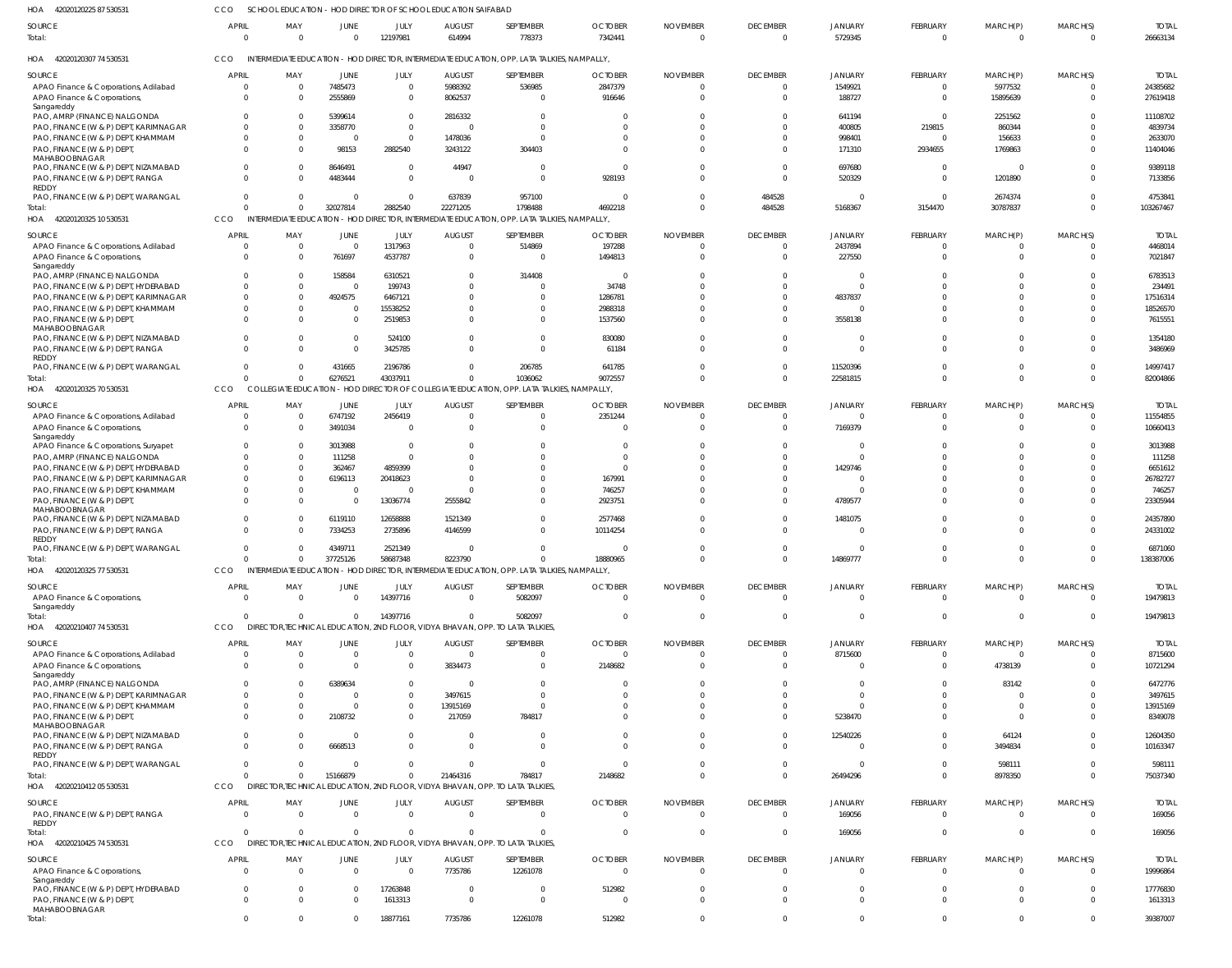| 42020120225 87 530531<br>HOA                                                | CCO                      | SCHOOL EDUCATION - HOD DIRECTOR OF SCHOOL EDUCATION SAIFABAD |                        |                         |                         |                                                                                                        |                           |                             |                                |                    |                         |                      |                            |                          |
|-----------------------------------------------------------------------------|--------------------------|--------------------------------------------------------------|------------------------|-------------------------|-------------------------|--------------------------------------------------------------------------------------------------------|---------------------------|-----------------------------|--------------------------------|--------------------|-------------------------|----------------------|----------------------------|--------------------------|
| SOURCE<br>Total:                                                            | <b>APRIL</b><br>$\Omega$ | MAY<br>$\overline{0}$                                        | JUNE<br>$\overline{0}$ | JULY<br>12197981        | <b>AUGUST</b><br>614994 | SEPTEMBER<br>778373                                                                                    | <b>OCTOBER</b><br>7342441 | <b>NOVEMBER</b><br>$\Omega$ | <b>DECEMBER</b><br>$\mathbf 0$ | JANUARY<br>5729345 | FEBRUARY<br>$\mathbf 0$ | MARCH(P)<br>$\Omega$ | MARCH(S)<br>$\overline{0}$ | <b>TOTAL</b><br>26663134 |
| HOA 42020120307 74 530531                                                   | CCO                      |                                                              |                        |                         |                         | INTERMEDIATE EDUCATION - HOD DIRECTOR, INTERMEDIATE EDUCATION, OPP. LATA TALKIES, NAMPALLY,            |                           |                             |                                |                    |                         |                      |                            |                          |
| SOURCE                                                                      | APRIL                    | MAY                                                          | JUNE                   | JULY                    | <b>AUGUST</b>           | SEPTEMBER                                                                                              | <b>OCTOBER</b>            | <b>NOVEMBER</b>             | <b>DECEMBER</b>                | JANUARY            | FEBRUARY                | MARCH(P)             | MARCH(S)                   | <b>TOTAL</b>             |
| APAO Finance & Corporations, Adilabad<br>APAO Finance & Corporations,       | $\Omega$<br>$\Omega$     | $\overline{0}$<br>$\Omega$                                   | 7485473<br>2555869     | $\Omega$<br>$\Omega$    | 5988392<br>8062537      | 536985<br>$\Omega$                                                                                     | 2847379<br>916646         |                             | $\Omega$<br>$\Omega$           | 1549921<br>188727  | $\Omega$<br>$\Omega$    | 5977532<br>15895639  | $\Omega$<br>$\mathbf 0$    | 24385682<br>27619418     |
| Sangareddy                                                                  |                          |                                                              |                        |                         |                         |                                                                                                        |                           |                             |                                |                    |                         |                      |                            |                          |
| PAO, AMRP (FINANCE) NALGONDA                                                | $\Omega$                 | $\Omega$                                                     | 5399614                | $\Omega$                | 2816332                 |                                                                                                        |                           |                             |                                | 641194             | $\cup$                  | 2251562              | $\Omega$                   | 11108702                 |
| PAO, FINANCE (W & P) DEPT, KARIMNAGAR                                       |                          | $\Omega$                                                     | 3358770                | $\Omega$                | $\Omega$                |                                                                                                        |                           |                             |                                | 400805             | 219815                  | 860344               |                            | 4839734                  |
| PAO, FINANCE (W & P) DEPT, KHAMMAM                                          | $\Omega$                 | $\Omega$                                                     | - 0                    | $\Omega$                | 1478036                 |                                                                                                        |                           |                             |                                | 998401             |                         | 156633               | $\Omega$                   | 2633070                  |
| PAO, FINANCE (W & P) DEPT,                                                  | $\Omega$                 | U                                                            | 98153                  | 2882540                 | 3243122                 | 304403                                                                                                 |                           |                             |                                | 171310             | 2934655                 | 1769863              | $\Omega$                   | 11404046                 |
| MAHABOOBNAGAR<br>PAO, FINANCE (W & P) DEPT, NIZAMABAD                       | $\Omega$                 | $\Omega$                                                     | 8646491                | $\Omega$                | 44947                   | $\Omega$                                                                                               | $\cup$                    |                             |                                | 697680             | $\cup$                  |                      | $\Omega$                   | 9389118                  |
| PAO, FINANCE (W & P) DEPT, RANGA                                            | $\Omega$                 | $\Omega$                                                     | 4483444                | $\Omega$                | $\overline{0}$          | $\Omega$                                                                                               | 928193                    |                             | $\Omega$                       | 520329             | $\cup$                  | 1201890              | $\Omega$                   | 7133856                  |
| REDDY                                                                       |                          |                                                              |                        |                         |                         |                                                                                                        |                           |                             |                                |                    |                         |                      |                            |                          |
| PAO, FINANCE (W & P) DEPT, WARANGAL                                         | $\Omega$                 | $\Omega$                                                     | $\Omega$               | $\Omega$                | 637839                  | 957100                                                                                                 | - (                       |                             | 484528                         |                    | $\cup$                  | 2674374              | $\Omega$                   | 475384                   |
| Total:<br>HOA 42020120325 10 530531                                         | $\Omega$<br>CCO          | $\Omega$                                                     | 32027814               | 2882540                 | 22271205                | 1798488<br>INTERMEDIATE EDUCATION - HOD DIRECTOR, INTERMEDIATE EDUCATION, OPP. LATA TALKIES, NAMPALLY, | 4692218                   |                             | 484528                         | 5168367            | 3154470                 | 30787837             | $\Omega$                   | 103267467                |
|                                                                             |                          |                                                              |                        |                         |                         |                                                                                                        |                           |                             |                                |                    |                         |                      |                            |                          |
| SOURCE                                                                      | <b>APRIL</b>             | MAY                                                          | JUNE                   | JULY                    | <b>AUGUST</b>           | SEPTEMBER                                                                                              | <b>OCTOBER</b>            | <b>NOVEMBER</b>             | <b>DECEMBER</b>                | JANUARY            | FEBRUARY                | MARCH(P)             | MARCH(S)                   | <b>TOTAL</b>             |
| APAO Finance & Corporations, Adilabad                                       | $\Omega$                 | $\overline{0}$                                               | $\mathbf 0$            | 1317963                 | $\overline{0}$          | 514869                                                                                                 | 197288                    |                             | 0                              | 2437894            | $\Omega$                |                      | - 0                        | 4468014                  |
| APAO Finance & Corporations,                                                | $\Omega$                 | $\Omega$                                                     | 761697                 | 4537787                 | $\overline{0}$          | $\mathbf 0$                                                                                            | 1494813                   |                             | $\Omega$                       | 227550             | $\Omega$                | $\Omega$             | $\Omega$                   | 7021847                  |
| Sangareddy<br>PAO, AMRP (FINANCE) NALGONDA                                  | $\Omega$                 | - 0                                                          | 158584                 | 6310521                 | $\mathbf 0$             | 314408                                                                                                 | - 0                       |                             | U                              | 0                  |                         |                      | $\Omega$                   | 6783513                  |
| PAO, FINANCE (W & P) DEPT, HYDERABAD                                        | $\Omega$                 | $\Omega$                                                     | $\mathbf 0$            | 199743                  | $\Omega$                | $\Omega$                                                                                               | 34748                     |                             | $\Omega$                       | $\Omega$           | $\Omega$                |                      | $\Omega$                   | 234491                   |
| PAO, FINANCE (W & P) DEPT, KARIMNAGAR                                       | $\Omega$                 | $\overline{0}$                                               | 4924575                | 6467121                 | $\Omega$                | 0                                                                                                      | 1286781                   |                             | U                              | 4837837            | $\Omega$                |                      | $\Omega$                   | 17516314                 |
| PAO, FINANCE (W & P) DEPT, KHAMMAM                                          | $\Omega$                 | $\Omega$                                                     | 0                      | 15538252                | $\Omega$                | U                                                                                                      | 2988318                   |                             | U                              | $\Omega$           |                         |                      | $\Omega$                   | 18526570                 |
| PAO, FINANCE (W & P) DEPT,                                                  | $\Omega$                 | $\Omega$                                                     | $\Omega$               | 2519853                 | $\Omega$                | $\Omega$                                                                                               | 1537560                   |                             | $\Omega$                       | 3558138            | $\Omega$                | $\Omega$             | $\Omega$                   | 7615551                  |
| MAHABOOBNAGAR                                                               |                          |                                                              |                        |                         |                         |                                                                                                        |                           |                             |                                |                    |                         |                      |                            |                          |
| PAO, FINANCE (W & P) DEPT, NIZAMABAD                                        |                          | $\Omega$                                                     | $\overline{0}$         | 524100                  | $\Omega$                | $\Omega$                                                                                               | 830080                    |                             | $\Omega$                       | $\Omega$           |                         |                      | $\Omega$                   | 1354180                  |
| PAO, FINANCE (W & P) DEPT, RANGA                                            | $\Omega$                 | $\Omega$                                                     | $\Omega$               | 3425785                 | $\Omega$                | $\Omega$                                                                                               | 61184                     |                             | $\Omega$                       | $\Omega$           | $\Omega$                | $\Omega$             | $\Omega$                   | 3486969                  |
| REDDY<br>PAO, FINANCE (W & P) DEPT, WARANGAL                                | $\Omega$                 | $\Omega$                                                     | 431665                 | 2196786                 | $\Omega$                | 206785                                                                                                 | 641785                    |                             | $\Omega$                       | 11520396           | $\Omega$                | $\Omega$             | $\Omega$                   | 14997417                 |
| Total:                                                                      | $\Omega$                 | $\Omega$                                                     | 6276521                | 43037911                | $\Omega$                | 1036062                                                                                                | 9072557                   |                             | $\Omega$                       | 22581815           | $\Omega$                | $\Omega$             | $\Omega$                   | 82004866                 |
| HOA 42020120325 70 530531                                                   | CCO                      |                                                              |                        |                         |                         | COLLEGIATE EDUCATION - HOD DIRECTOR OF COLLEGIATE EDUCATION, OPP. LATA TALKIES, NAMPALLY,              |                           |                             |                                |                    |                         |                      |                            |                          |
|                                                                             |                          |                                                              |                        |                         |                         |                                                                                                        |                           |                             |                                |                    |                         |                      |                            |                          |
| SOURCE                                                                      | <b>APRIL</b>             | MAY                                                          | JUNE                   | JULY                    | <b>AUGUST</b>           | SEPTEMBER                                                                                              | <b>OCTOBER</b>            | <b>NOVEMBER</b>             | <b>DECEMBER</b>                | JANUARY            | FEBRUARY                | MARCH(P)             | MARCH(S)                   | <b>TOTAL</b>             |
| APAO Finance & Corporations, Adilabad                                       | $\Omega$                 | $\mathbf 0$                                                  | 6747192                | 2456419                 | - 0                     | 0                                                                                                      | 2351244                   |                             | $\Omega$                       | $\Omega$           |                         |                      | $\Omega$                   | 11554855                 |
| APAO Finance & Corporations,<br>Sangareddy                                  | $\Omega$                 | $\Omega$                                                     | 3491034                | $\Omega$                | $\Omega$                | $\Omega$                                                                                               | - 0                       |                             | 0                              | 7169379            |                         |                      | $\Omega$                   | 10660413                 |
| APAO Finance & Corporations, Suryapet                                       | $\Omega$                 | $\Omega$                                                     | 3013988                | $\Omega$                | $\Omega$                | U                                                                                                      | $\cup$                    |                             | U                              | $\overline{0}$     |                         |                      | $\Omega$                   | 3013988                  |
| PAO, AMRP (FINANCE) NALGONDA                                                |                          | $\Omega$                                                     | 111258                 | $\Omega$                | $\Omega$                |                                                                                                        | $\cup$                    |                             |                                | $\Omega$           |                         |                      | O                          | 111258                   |
| PAO, FINANCE (W & P) DEPT, HYDERABAD                                        |                          | $\Omega$                                                     | 362467                 | 4859399                 | - 0                     |                                                                                                        |                           |                             |                                | 1429746            |                         |                      | $\Omega$                   | 6651612                  |
| PAO, FINANCE (W & P) DEPT, KARIMNAGAR                                       | $\Omega$                 | $\Omega$                                                     | 6196113                | 20418623                | $\Omega$                |                                                                                                        | 167991                    |                             |                                | $\Omega$           |                         |                      | $\Omega$                   | 26782727                 |
| PAO, FINANCE (W & P) DEPT, KHAMMAM                                          | $\Omega$                 | $\Omega$                                                     | $\overline{0}$         |                         | $\Omega$                |                                                                                                        | 746257                    |                             |                                |                    |                         |                      | $\Omega$                   | 746257                   |
| PAO, FINANCE (W & P) DEPT,                                                  |                          | $\Omega$                                                     | $\Omega$               | 13036774                | 2555842                 |                                                                                                        | 2923751                   |                             |                                | 4789577            |                         |                      | $\Omega$                   | 23305944                 |
| MAHABOOBNAGAR                                                               |                          |                                                              |                        |                         |                         |                                                                                                        |                           |                             |                                |                    |                         |                      |                            |                          |
| PAO, FINANCE (W & P) DEPT, NIZAMABAD                                        | $\Omega$                 | $\Omega$<br>$\Omega$                                         | 6119110                | 12658888                | 1521349                 | $\Omega$<br>U                                                                                          | 2577468                   |                             | U<br>U                         | 1481075            |                         |                      | $\Omega$<br>$\Omega$       | 24357890                 |
| PAO, FINANCE (W & P) DEPT, RANGA<br>REDDY                                   |                          |                                                              | 7334253                | 2735896                 | 4146599                 |                                                                                                        | 10114254                  |                             |                                |                    |                         |                      |                            | 24331002                 |
| PAO, FINANCE (W & P) DEPT, WARANGAL                                         |                          |                                                              | 4349711                | 2521349                 | $\Omega$                | $\Omega$                                                                                               |                           |                             |                                |                    |                         |                      | $\Omega$                   | 6871060                  |
| Total:                                                                      | $\Omega$                 | $\mathbf 0$                                                  | 37725126               | 58687348                | 8223790                 | $\Omega$                                                                                               | 18880965                  |                             | $\Omega$                       | 14869777           | $\Omega$                | $\Omega$             | $\overline{0}$             | 138387006                |
| HOA 42020120325 77 530531                                                   | CCO                      |                                                              |                        |                         |                         | INTERMEDIATE EDUCATION - HOD DIRECTOR, INTERMEDIATE EDUCATION, OPP. LATA TALKIES, NAMPALLY,            |                           |                             |                                |                    |                         |                      |                            |                          |
| SOURCE                                                                      | APRIL                    | MAY                                                          | JUNE                   | <b>JULY</b>             | <b>AUGUST</b>           | SEPTEMBER                                                                                              | <b>OCTOBER</b>            | <b>NOVEMBER</b>             | <b>DECEMBER</b>                | JANUARY            | FEBRUARY                | MARCH(P)             | MARCH(S)                   | <b>TOTAL</b>             |
| APAO Finance & Corporations,                                                | $\Omega$                 | - 0                                                          | $\overline{0}$         | 14397716                | $\overline{0}$          | 5082097                                                                                                | $\Omega$                  |                             | $\Omega$                       | $\Omega$           | $\Omega$                | $\Omega$             | - 0                        | 19479813                 |
| Sangareddy                                                                  |                          |                                                              |                        |                         |                         |                                                                                                        |                           |                             |                                |                    |                         |                      |                            |                          |
| Total:                                                                      | $\Omega$                 | $\Omega$                                                     | $\overline{0}$         | 14397716                | $\Omega$                | 5082097                                                                                                |                           |                             | $\Omega$                       | $\Omega$           | $\Omega$                | $\Omega$             | $\overline{0}$             | 19479813                 |
| HOA 42020210407 74 530531                                                   | CCO                      |                                                              |                        |                         |                         | DIRECTOR, TECHNICAL EDUCATION, 2ND FLOOR, VIDYA BHAVAN, OPP. TO LATA TALKIES                           |                           |                             |                                |                    |                         |                      |                            |                          |
| SOURCE                                                                      | APRIL                    | MAY                                                          | JUNE                   | <b>JULY</b>             | <b>AUGUST</b>           | SEPTEMBER                                                                                              | <b>OCTOBER</b>            | <b>NOVEMBER</b>             | <b>DECEMBER</b>                | JANUARY            | FEBRUARY                | MARCH(P)             | MARCH(S)                   | <b>TOTAL</b>             |
| APAO Finance & Corporations, Adilabad                                       | $\Omega$                 | $\mathbf 0$                                                  | $\Omega$               | $\Omega$                | $\overline{0}$          | 0                                                                                                      | $\Omega$                  |                             | $\Omega$                       | 8715600            | $\Omega$                | $\Omega$             | $\Omega$                   | 8715600                  |
| APAO Finance & Corporations,                                                | $\Omega$                 | $\Omega$                                                     | $\Omega$               | $\Omega$                | 3834473                 | $\Omega$                                                                                               | 2148682                   |                             | <sup>0</sup>                   | 0                  | $\cup$                  | 4738139              | $\Omega$                   | 10721294                 |
| Sangareddy                                                                  |                          |                                                              |                        |                         | - 0                     |                                                                                                        |                           |                             |                                |                    |                         |                      |                            |                          |
| PAO, AMRP (FINANCE) NALGONDA                                                | $\Omega$                 | 0<br>$\Omega$                                                | 6389634<br>$\Omega$    | $\Omega$                | 3497615                 |                                                                                                        |                           |                             |                                | $\Omega$           |                         | 83142                | $\Omega$                   | 6472776<br>3497615       |
| PAO, FINANCE (W & P) DEPT, KARIMNAGAR<br>PAO, FINANCE (W & P) DEPT, KHAMMAM |                          | 0                                                            | $\Omega$               | - 0                     | 13915169                |                                                                                                        |                           |                             |                                | $\Omega$           |                         | $\Omega$             | $\Omega$                   | 13915169                 |
| PAO, FINANCE (W & P) DEPT,                                                  | $\Omega$                 | $\Omega$                                                     | 2108732                | $\Omega$                | 217059                  | 784817                                                                                                 |                           |                             |                                | 5238470            |                         | $\Omega$             | $\Omega$                   | 8349078                  |
| MAHABOOBNAGAR                                                               |                          |                                                              |                        |                         |                         |                                                                                                        |                           |                             |                                |                    |                         |                      |                            |                          |
| PAO, FINANCE (W & P) DEPT, NIZAMABAD                                        |                          | $\Omega$                                                     | - 0                    | $\Omega$                | - 0                     |                                                                                                        |                           |                             |                                | 12540226           |                         | 64124                | $\Omega$                   | 12604350                 |
| PAO, FINANCE (W & P) DEPT, RANGA                                            | $\Omega$                 | $\Omega$                                                     | 6668513                |                         | $\Omega$                |                                                                                                        |                           |                             |                                | 0                  |                         | 3494834              | $\Omega$                   | 10163347                 |
| REDDY<br>PAO, FINANCE (W & P) DEPT, WARANGAL                                | $\Omega$                 | $\Omega$                                                     | $\Omega$               |                         | -0                      | $\Omega$                                                                                               | $\Omega$                  |                             |                                | $\Omega$           |                         | 598111               | $\Omega$                   | 598111                   |
| Total:                                                                      | $\Omega$                 | $\Omega$                                                     | 15166879               |                         | 21464316                | 784817                                                                                                 | 2148682                   |                             | $\Omega$                       | 26494296           | $\Omega$                | 8978350              | $\Omega$                   | 75037340                 |
| HOA 42020210412 05 530531                                                   | CCO                      |                                                              |                        |                         |                         | DIRECTOR, TECHNICAL EDUCATION, 2ND FLOOR, VIDYA BHAVAN, OPP. TO LATA TALKIES                           |                           |                             |                                |                    |                         |                      |                            |                          |
|                                                                             |                          |                                                              |                        |                         |                         |                                                                                                        |                           |                             |                                |                    |                         |                      |                            |                          |
| SOURCE                                                                      | APRIL                    | MAY                                                          | JUNE                   | <b>JULY</b>             | <b>AUGUST</b>           | SEPTEMBER                                                                                              | <b>OCTOBER</b>            | <b>NOVEMBER</b>             | <b>DECEMBER</b>                | JANUARY            | FEBRUARY                | MARCH(P)             | MARCH(S)                   | <b>TOTAL</b>             |
| PAO, FINANCE (W & P) DEPT, RANGA<br>REDDY                                   | $\Omega$                 | $\Omega$                                                     | $\Omega$               | $\Omega$                | $\Omega$                | $\mathbf 0$                                                                                            | $\Omega$                  |                             | $\Omega$                       | 169056             | $\Omega$                | $\Omega$             | $\overline{0}$             | 169056                   |
| Total:                                                                      | $\Omega$                 | $\Omega$                                                     | $\Omega$               |                         | $\Omega$                | $\Omega$                                                                                               |                           |                             | $\Omega$                       | 169056             | $\Omega$                | $\Omega$             | $\overline{0}$             | 169056                   |
| HOA 42020210425 74 530531                                                   | CCO                      |                                                              |                        |                         |                         | DIRECTOR, TECHNICAL EDUCATION, 2ND FLOOR, VIDYA BHAVAN, OPP. TO LATA TALKIES                           |                           |                             |                                |                    |                         |                      |                            |                          |
|                                                                             | <b>APRIL</b>             |                                                              |                        |                         | <b>AUGUST</b>           | SEPTEMBER                                                                                              | <b>OCTOBER</b>            | <b>NOVEMBER</b>             |                                |                    |                         |                      |                            | <b>TOTAI</b>             |
| SOURCE<br>APAO Finance & Corporations,                                      | $\Omega$                 | MAY<br>$\Omega$                                              | JUNE<br>$\Omega$       | <b>JULY</b><br>$\Omega$ | 7735786                 | 12261078                                                                                               | $\Omega$                  |                             | <b>DECEMBER</b><br>$\Omega$    | JANUARY<br>0       | FEBRUARY<br>$\cup$      | MARCH(P)             | MARCH(S)<br>$\Omega$       | 19996864                 |
| Sangareddy                                                                  |                          |                                                              |                        |                         |                         |                                                                                                        |                           |                             |                                |                    |                         |                      |                            |                          |
| PAO, FINANCE (W & P) DEPT, HYDERABAD                                        | $\Omega$                 | $\Omega$                                                     | $\Omega$               | 17263848                | - 0                     | 0                                                                                                      | 512982                    |                             |                                | $\Omega$           | $\Omega$                |                      | $\Omega$                   | 17776830                 |
| PAO, FINANCE (W & P) DEPT,                                                  | $\Omega$                 | $\Omega$                                                     | $\Omega$               | 1613313                 | $\overline{0}$          | $\Omega$                                                                                               |                           |                             | 0                              | $\Omega$           | $\Omega$                | $\Omega$             | $\Omega$                   | 1613313                  |
| MAHABOOBNAGAR<br>Total:                                                     | $\Omega$                 | $\Omega$                                                     | $\Omega$               | 18877161                | 7735786                 | 12261078                                                                                               | 512982                    |                             |                                | $\Omega$           |                         |                      | $\Omega$                   | 39387007                 |
|                                                                             |                          |                                                              |                        |                         |                         |                                                                                                        |                           |                             |                                |                    |                         |                      |                            |                          |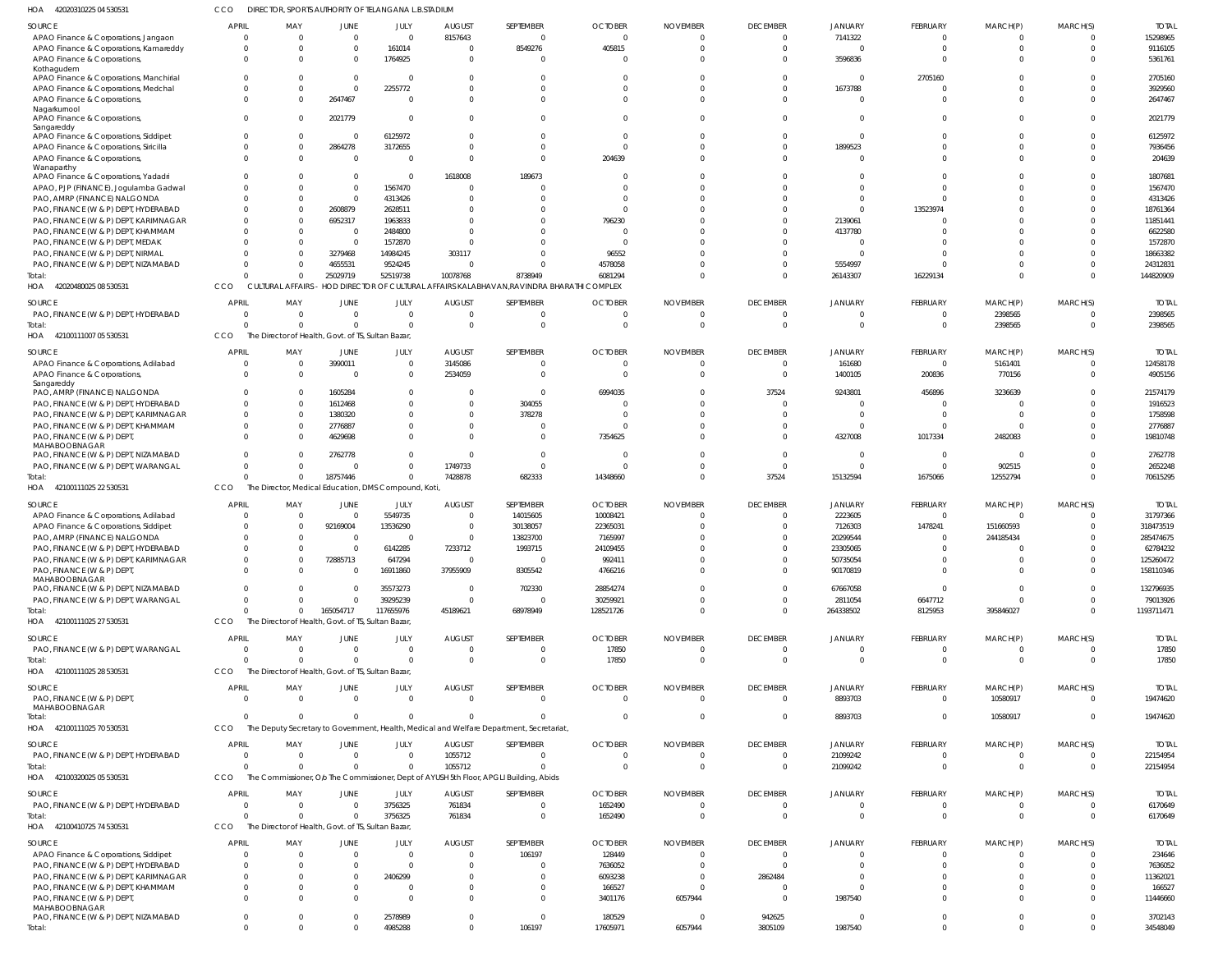42020310225 04 530531 HOA 42020480025 08 530531 42100111007 05 530531 42100111025 22 530531 HOA 42100111025 27 530531 42100111025 28 530531 42100111025 70 530531 42100320025 05 530531 HOA 42100410725 74 530531 HOA HOA HOA HOA HOA HOA DIRECTOR, SPORTS AUTHORITY OF TELANGANA L.B.STADIUM CULTURAL AFFAIRS - HOD DIRECTOR OF CULTURAL AFFAIRS KALABHAVAN,RAVINDRA BHARATHI COMPLEX The Director of Health, Govt. of TS, Sultan Bazar, The Director, Medical Education, DMS Compound, Koti, The Director of Health, Govt. of TS, Sultan Bazar, The Director of Health, Govt. of TS, Sultan Bazar, The Deputy Secretary to Government, Health, Medical and Welfare Department, Secretariat, The Commissioner, O/o The Commissioner, Dept of AYUSH 5th Floor, APGLI Building, Abids The Director of Health, Govt. of TS, Sultan Bazar, CCO CCO **CCO** CCO CCO **CCO** CCO CCO CCO.  $\Omega$ 0 0  $\Omega$ 0  $\Omega$  $\Omega$ 0 0  $\Omega$ 0 0  $\Omega$ 0  $\Omega$ 0 0 0 25029719 0 18757446 165054717 0  $\Omega$ 0 0 0 52519738 0 0 117655976 0  $\Omega$  $\Omega$ 3756325 4985288 10078768 0 7428878 45189621 0  $\Omega$ 1055712 761834 0 8738949 0 682333 68978949  $\Omega$  $\Omega$ 0 0 106197 6081294 0 14348660 128521726 17850  $\Omega$ 0 1652490 17605971  $\Omega$  $\Omega$ 0  $\Omega$  $\Omega$  $\Omega$ 0 0 6057944  $\Omega$ 0 37524  $\Omega$ 0  $\Omega$ 0 0 3805109 26143307 0 15132594 264338502 0 8893703 21099242 0 1987540 16229134 0 1675066 8125953 0  $\Omega$ 0 0 0  $\Omega$ 2398565 12552794 395846027 0 10580917 0 0 0  $\Omega$ 0 0  $\Omega$ 0  $\Omega$ 0 0 0 144820909 2398565 70615295 1193711471 17850 19474620 22154954 6170649 34548049 APAO Finance & Corporations, Jangaon APAO Finance & Corporations, Kamareddy APAO Finance & Corporations, Kothagudem APAO Finance & Corporations, Manchirial APAO Finance & Corporations, Medchal APAO Finance & Corporations, Nagarkurnool APAO Finance & Corporations, Sangareddy APAO Finance & Corporations, Siddipet APAO Finance & Corporations, Siricilla APAO Finance & Corporations, Wanaparthy APAO Finance & Corporations, Yadadri APAO, PJP (FINANCE), Jogulamba Gadwal PAO, AMRP (FINANCE) NALGONDA PAO, FINANCE (W & P) DEPT, HYDERABAD PAO, FINANCE (W & P) DEPT, KARIMNAGAR PAO, FINANCE (W & P) DEPT, KHAMMAM PAO, FINANCE (W & P) DEPT, MEDAK PAO, FINANCE (W & P) DEPT, NIRMAL PAO, FINANCE (W & P) DEPT, NIZAMABAD PAO, FINANCE (W & P) DEPT, HYDERABAD APAO Finance & Corporations, Adilabad APAO Finance & Corporations, Sangareddy PAO, AMRP (FINANCE) NALGONDA PAO, FINANCE (W & P) DEPT, HYDERABAD PAO, FINANCE (W & P) DEPT, KARIMNAGAR PAO, FINANCE (W & P) DEPT, KHAMMAM PAO, FINANCE (W & P) DEPT, MAHABOOBNAGAR PAO, FINANCE (W & P) DEPT, NIZAMABAD PAO, FINANCE (W & P) DEPT, WARANGAL APAO Finance & Corporations, Adilabad APAO Finance & Corporations, Siddipet PAO, AMRP (FINANCE) NALGONDA PAO, FINANCE (W & P) DEPT, HYDERABAD PAO, FINANCE (W & P) DEPT, KARIMNAGAR PAO, FINANCE (W & P) DEPT, MAHABOOBNAGAR PAO, FINANCE (W & P) DEPT, NIZAMABAD PAO, FINANCE (W & P) DEPT, WARANGAL PAO, FINANCE (W & P) DEPT, WARANGAL PAO, FINANCE (W & P) DEPT, MAHABOOBNAGAR PAO, FINANCE (W & P) DEPT, HYDERABAD PAO, FINANCE (W & P) DEPT, HYDERABAD APAO Finance & Corporations, Siddipet PAO, FINANCE (W & P) DEPT, HYDERABAD PAO, FINANCE (W & P) DEPT, KARIMNAGAR PAO, FINANCE (W & P) DEPT, KHAMMAM PAO, FINANCE (W & P) DEPT, MAHABOOBNAGAR PAO, FINANCE (W & P) DEPT, NIZAMABAD SOURCE SOURCE **SOURCE** SOURCE SOURCE **SOURCE** SOURCE **SOURCE** SOURCE 0 0  $\Omega$ 0  $\Omega$ 0 0 0 0 0  $\Omega$  $\Omega$  $\Omega$ 0  $\Omega$ 0  $\Omega$  $\Omega$ 0  $\Omega$ 0  $\Omega$ 0 0  $\Omega$ 0  $\Omega$  $\Omega$  $\Omega$ 0 0 0 0  $\Omega$ 0  $\Omega$ 0  $\Omega$ 0 0 0 0 0 0 0  $\Omega$ 0 APRIL APRIL APRIL APRIL APRIL APRIL APRIL APRIL **APRIL** 0 0 0 0 0 0 0 0 0 0 0  $\Omega$  $\Omega$ 0 0 0  $\Omega$  $\bigcap$ 0  $\Omega$ 0 0 0 0  $\sqrt{0}$ 0 0  $\sqrt{0}$  $\Omega$ 0 0 0 0  $\Omega$ 0  $\Omega$ 0  $\Omega$ 0 0 0 0 0 0 0 0 0 MAY MAY MAY MAY MAY MAY MAY MAY MAY 0 0  $\Omega$ 0  $\Omega$ 2647467 2021779 0 2864278 0 0 0  $\Omega$ 2608879 6952317 0  $\Omega$ 3279468 4655531 0 3990011  $\Omega$ 1605284 1612468 1380320 2776887 4629698 2762778 0  $\mathfrak{c}$ 92169004 0  $\Omega$ 72885713 0  $\Omega$  $\mathbf 0$  $\Omega$ 0 0 0 0  $\Omega$ 0 0 0 0 JUNE JUNE JUNE **JUNE** JUNE JUNE JUNE JUNE JUNE  $\Omega$ 161014 1764925 0 2255772 0  $\Omega$ 6125972 3172655 0  $\sqrt{2}$ 1567470 4313426 2628511 1963833 2484800 1572870 14984245 9524245 0 0  $\Omega$ 0  $\Omega$  $\bigcap$ 0  $\Omega$  $\Omega$  $\Omega$ 5549735 13536290  $\bigcap$ 6142285 647294 16911860 35573273 39295239 0  $\bigcap$ 0 3756325 0  $\Omega$ 2406299 0 0 2578989 JULY JULY JULY JULY JULY JULY JULY JULY JULY 8157643 0  $\Omega$ 0  $\Omega$ 0 0 0 0 0 1618008  $\Omega$ 0 0  $\Omega$ 0  $\Omega$ 303117 0  $\Omega$ 3145086 2534059 0 0  $\Omega$ 0  $\Omega$  $\Omega$ 1749733 0 0  $\Omega$ 7233712  $\Omega$ 37955909  $\Omega$ 0  $\Omega$ 0 1055712 761834 0  $\Omega$ 0 0 0 0 AUGUST AUGUST AUGUST AUGUST AUGUST AUGUST AUGUST AUGUST AUGUST  $\Omega$ 8549276  $\Omega$ 0  $\Omega$ 0  $\Omega$  $\Omega$ 0 0 189673  $\Omega$ 0 0  $\Omega$ 0 0 0 0  $\Omega$  $\Omega$  $\Omega$ 0 304055 378278 0  $\Omega$ 0 0 14015605 30138057 13823700 1993715  $\Omega$ 8305542 702330 0  $\Omega$  $\Omega$ 0  $\Omega$ 106197  $\bigcap$ 0 0 0 0 SEPTEMBER SEPTEMBER SEPTEMBER **SEPTEMBER** SEPTEMBER SEPTEMBER SEPTEMBER SEPTEMBER SEPTEMBER  $\Omega$ 405815  $\Omega$ 0  $\Omega$ 0  $\Omega$  $\Omega$ 0 204639 0  $\Omega$  $\Omega$ 0 796230 0 0 06552 4578058  $\Omega$  $\Omega$  $\Omega$ 6994035  $\Omega$  $\Omega$ 0 7354625 0 0 10008421 22365031 7165997 24109455 992411 4766216 28854274 30259921 17850  $\Omega$ 0 1652490 128449 7636052 6093238 166527 3401176 180529 **OCTOBER OCTOBER OCTOBER OCTOBER** OCTOBER **OCTOBER** OCTOBER **OCTOBER OCTOBER** 0 0  $\Omega$ 0  $\sqrt{2}$ 0  $\Omega$  $\Omega$ 0 0 0  $\Omega$ 0 0  $\bigcap$ 0 0  $\bigcap$ 0  $\bigcap$ 0  $\Omega$ 0 0  $\bigcap$ 0  $\Omega$ 0  $\Omega$ 0  $\Omega$  $\bigcap$  $\Omega$  $\sqrt{2}$ 0  $\bigcap$ 0  $\Omega$  $\Omega$ 0 0 0 0 0 0 6057944 0 NOVEMBER NOVEMBER NOVEMBER NOVEMBER NOVEMBER NOVEMBER NOVEMBER NOVEMBER NOVEMBER  $\Omega$ 0  $\Omega$ 0  $\Omega$ 0 0 0 0 0  $\Omega$ 0  $\Omega$ 0  $\Omega$ 0  $\Omega$  $\bigcap$ 0  $\Omega$ 0  $\Omega$ 37524  $\Omega$  $\bigcap$ 0  $\Omega$  $\Omega$  $\bigcap$ 0 0  $\Omega$  $\Omega$  $\Omega$ 0  $\Omega$ 0  $\Omega$  $\Omega$  $\Omega$  $\bigcap$ 0  $\cap$ 2862484 0 0 942625 DECEMBER DECEMBER DECEMBER **DECEMBER** DECEMBER DECEMBER DECEMBER DECEMBER DECEMBER 7141322 0 3596836 0 1673788 0  $\Omega$ 0 1899523 0  $\mathfrak{g}$ 0  $\Omega$ 0 2139061 4137780 0  $\Omega$ 5554997  $\Omega$ 161680 1400105 9243801 0  $\Omega$ 0 4327008  $\mathfrak{g}$ 0 2223605 7126303 20299544 23305065 50735054 90170819 67667058 2811054  $\Omega$ 8893703 21099242  $\Omega$ 0 0 0  $\Omega$ 1987540 0 JANUARY JANUARY JANUARY JANUARY JANUARY JANUARY JANUARY JANUARY JANUARY 0 0  $\Omega$ 2705160  $\Omega$ 0  $\Omega$  $\Omega$  $\sqrt{2}$ 0 0  $\Omega$ 0 13523974  $\sqrt{2}$ 0  $\Omega$  $\Omega$ 0  $\Omega$ 0 200836 456896 0  $\Omega$ 0 1017334  $\Omega$  $\Omega$ 0 1478241 0  $\Omega$  $\Omega$ 0 0 6647712  $\Omega$ 0 0 0 0  $\Omega$ 0 0  $\Omega$  $\Omega$ FEBRUARY FEBRUARY FEBRUARY **FFBRUARY** FEBRUARY FEBRUARY FEBRUARY FEBRUARY FEBRUARY  $\Omega$ 0  $\Omega$ 0  $\Omega$ 0  $\Omega$  $\Omega$  $\Omega$ 0  $\Omega$  $\Omega$  $\Omega$ 0  $\Omega$ 0  $\Omega$  $\Omega$ 0 2398565 5161401 770156 3236639  $\Omega$  $\Omega$ 0 2482083  $\Omega$ 902515 0 151660593 244185434  $\Omega$  $\Omega$  $\mathbf 0$  $\Omega$ 0  $\Omega$ 10580917 0  $\Omega$ 0  $\Omega$ 0 0 0 0 MARCH(P) MARCH(P) MARCH(P) MARCH(P) MARCH(P) MARCH(P) MARCH(P) MARCH(P) MARCH(P)  $\Omega$ 0  $\Omega$ 0  $\Omega$ 0  $\Omega$  $\Omega$ 0 0  $\bigcap$  $\Omega$  $\Omega$ 0  $\bigcap$ 0  $\Omega$  $\bigcap$ 0  $\bigcap$ 0  $\Omega$ 0 0  $\bigcap$ 0  $\Omega$  $\Omega$  $\Omega$ 0 0  $\Omega$  $\Omega$  $\Omega$ 0  $\Omega$ 0  $\Omega$ 0 0 0 0 0 0  $\Omega$ 0 0 MARCH(S) MARCH(S) MARCH(S) MARCH(S) MARCH(S) MARCH(S) MARCH(S) MARCH(S) MARCH(S) 15298965 9116105 5361761 2705160 3929560 2647467 2021779 6125972 7936456 204639 1807681 1567470 4313426 18761364 11851441 6622580 1572870 18663382 24312831 2398565 12458178 4905156 21574179 1916523 1758598 2776887 19810748 2762778 2652248 31797366 318473519 285474675 62784232 125260472 158110346 132796935 79013926 17850 19474620 22154954 6170649 234646 7636052 11362021 166527 11446660 3702143 TOTAL TOTAL TOTAL TOTAL TOTAL TOTAL TOTAL TOTAL TOTAL Total: Total: Total: Total: Total: Total: Total: Total: Total: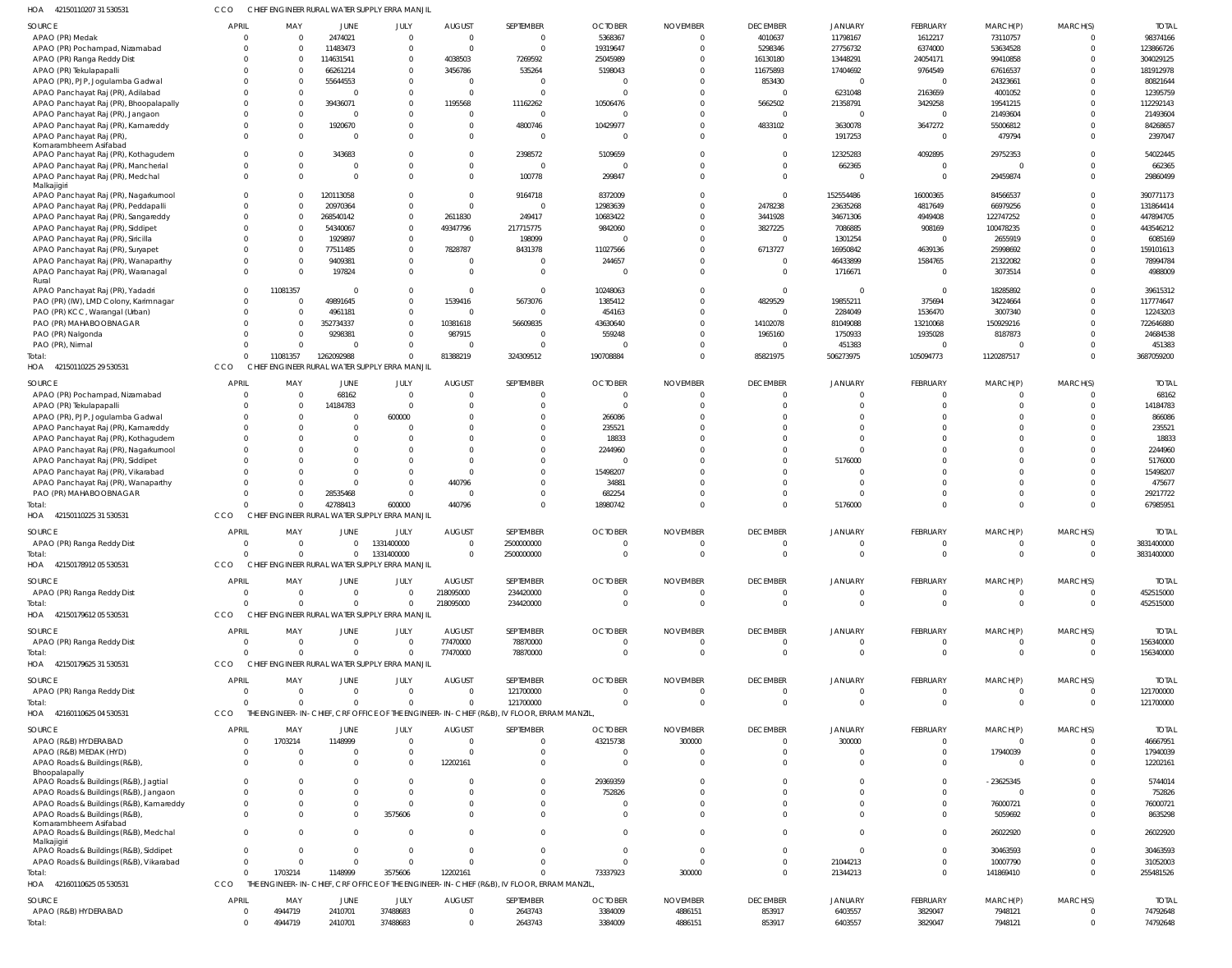| HOA<br>42150110207 31 530531                           | ссо            |                |                | CHIEF ENGINEER RURAL WATER SUPPLY ERRA MANJIL |                         |                                                                                          |                |                 |                         |                |                |             |                         |              |
|--------------------------------------------------------|----------------|----------------|----------------|-----------------------------------------------|-------------------------|------------------------------------------------------------------------------------------|----------------|-----------------|-------------------------|----------------|----------------|-------------|-------------------------|--------------|
| SOURCE                                                 | <b>APRIL</b>   | MAY            | JUNE           | JULY                                          | <b>AUGUST</b>           | SEPTEMBER                                                                                | <b>OCTOBER</b> | <b>NOVEMBER</b> | <b>DECEMBER</b>         | <b>JANUARY</b> | FEBRUARY       | MARCH(P)    | MARCH(S)                | <b>TOTAL</b> |
| APAO (PR) Medak                                        | $\Omega$       | $\overline{0}$ | 2474021        | $\overline{0}$                                | $\overline{0}$          | $\overline{0}$                                                                           | 5368367        | $\Omega$        | 4010637                 | 11798167       | 1612217        | 73110757    | $\mathbf 0$             | 98374166     |
| APAO (PR) Pochampad, Nizamabad                         | $\Omega$       | $\Omega$       | 11483473       | $\overline{0}$                                | $\overline{0}$          | $\Omega$                                                                                 | 19319647       | $\Omega$        | 5298346                 | 27756732       | 6374000        | 53634528    | $\mathbf 0$             | 123866726    |
| APAO (PR) Ranga Reddy Dist                             | $\Omega$       | - 0            | 114631541      | $\mathbf 0$                                   | 4038503                 | 7269592                                                                                  | 25045989       | $\Omega$        | 16130180                | 13448291       | 24054171       | 99410858    | $\Omega$                | 304029125    |
| APAO (PR) Tekulapapalli                                |                | $\Omega$       | 66261214       | $\overline{0}$                                | 3456786                 | 535264                                                                                   | 5198043        | $\Omega$        | 11675893                | 17404692       | 9764549        | 67616537    | $\Omega$                | 181912978    |
| APAO (PR), PJP, Jogulamba Gadwal                       |                | $\Omega$       | 55644553       | $\overline{0}$                                | $\overline{0}$          | $\Omega$                                                                                 | $\Omega$       | $\Omega$        | 853430                  | $\Omega$       | -0             | 24323661    | $\Omega$                | 80821644     |
| APAO Panchayat Raj (PR), Adilabad                      |                | $\Omega$       | $\Omega$       | $\overline{0}$                                | $\overline{0}$          | $\Omega$                                                                                 | $\Omega$       | $\Omega$        | $\overline{0}$          | 6231048        | 2163659        | 4001052     | $\Omega$                | 12395759     |
| APAO Panchayat Raj (PR), Bhoopalapally                 |                | $\Omega$       | 39436071       | $\overline{0}$                                | 1195568                 | 11162262                                                                                 | 10506476       | $\Omega$        | 5662502                 | 21358791       | 3429258        | 19541215    | $\Omega$                | 112292143    |
| APAO Panchayat Raj (PR), Jangaon                       | $\Omega$       | $\Omega$       | $\overline{0}$ | $\overline{0}$                                | $\overline{0}$          | $\Omega$                                                                                 | $\Omega$       | $\Omega$        | $\overline{0}$          |                | $\mathbf 0$    | 21493604    | $\Omega$                | 21493604     |
| APAO Panchayat Raj (PR), Kamareddy                     | $\Omega$       | $\overline{0}$ | 1920670        | $\overline{0}$                                | $\overline{0}$          | 4800746                                                                                  | 10429977       | $\Omega$        | 4833102                 | 3630078        | 3647272        | 55006812    | $\Omega$                | 84268657     |
| APAO Panchayat Raj (PR)<br>Komarambheem Asifabad       |                | $\Omega$       | $\Omega$       | $\Omega$                                      | $\overline{0}$          | $\Omega$                                                                                 | $\Omega$       | $\Omega$        | $\overline{\mathbf{0}}$ | 1917253        | $\mathbf 0$    | 479794      | $\Omega$                | 2397047      |
| APAO Panchayat Raj (PR), Kothagudem                    |                | $\Omega$       | 343683         | $\Omega$                                      | $\overline{0}$          | 2398572                                                                                  | 5109659        | 0               | $\overline{0}$          | 12325283       | 4092895        | 29752353    | $\Omega$                | 54022445     |
| APAO Panchayat Raj (PR), Mancherial                    | $\Omega$       | $\Omega$       | $\Omega$       | $\Omega$                                      | $\overline{0}$          | $\Omega$                                                                                 | $\Omega$       | $\Omega$        | $\Omega$                | 662365         | $\mathbf 0$    | $\Omega$    | $\Omega$                | 662365       |
| APAO Panchayat Raj (PR), Medchal                       | $\Omega$       | $\Omega$       | $\Omega$       | $\Omega$                                      | $\overline{0}$          | 100778                                                                                   | 299847         | $\Omega$        | $\overline{0}$          | $\Omega$       | $\overline{0}$ | 29459874    | $\mathbf 0$             | 29860499     |
| Malkajigiri                                            |                |                |                |                                               |                         |                                                                                          |                |                 |                         |                |                |             |                         |              |
| APAO Panchayat Raj (PR), Nagarkurnool                  | $\Omega$       | $\Omega$       | 120113058      | $\overline{0}$                                | $\overline{0}$          | 9164718                                                                                  | 8372009        | $\Omega$        | $\overline{0}$          | 152554486      | 16000365       | 84566537    | $\Omega$                | 390771173    |
| APAO Panchayat Raj (PR), Peddapalli                    | $\Omega$       | $\Omega$       | 20970364       | $\overline{0}$                                | $\overline{0}$          | $\overline{0}$                                                                           | 12983639       | $\Omega$        | 2478238                 | 23635268       | 4817649        | 66979256    | $\Omega$                | 131864414    |
| APAO Panchayat Raj (PR), Sangareddy                    | $\Omega$       | $\Omega$       | 268540142      | $\mathbf{0}$                                  | 2611830                 | 249417                                                                                   | 10683422       | $\Omega$        | 3441928                 | 34671306       | 4949408        | 122747252   | $\Omega$                | 447894705    |
| APAO Panchayat Raj (PR), Siddipet                      |                | $\Omega$       | 54340067       | $\overline{0}$                                | 49347796                | 217715775                                                                                | 9842060        | $\Omega$        | 3827225                 | 7086885        | 908169         | 100478235   | $\Omega$                | 443546212    |
| APAO Panchayat Raj (PR), Siricilla                     |                | $\Omega$       | 1929897        | $\overline{0}$                                | $\overline{0}$          | 198099                                                                                   | -0             | $\Omega$        | $\overline{0}$          | 1301254        | $^{\circ}$     | 2655919     | $\Omega$                | 6085169      |
| APAO Panchayat Raj (PR), Suryapet                      |                | $\Omega$       | 77511485       | $\overline{0}$                                | 7828787                 | 8431378                                                                                  | 11027566       | $\Omega$        | 6713727                 | 16950842       | 4639136        | 25998692    | $\Omega$                | 159101613    |
| APAO Panchayat Raj (PR), Wanaparthy                    | $\Omega$       | $\Omega$       | 9409381        | $\mathbf 0$                                   | $\overline{0}$          | $\Omega$                                                                                 | 244657         | $\Omega$        | $\overline{0}$          | 46433899       | 1584765        | 21322082    | $\Omega$                | 78994784     |
| APAO Panchayat Raj (PR), Waranagal                     | $\Omega$       | $\Omega$       | 197824         | $\Omega$                                      | $\Omega$                | $\Omega$                                                                                 | $\Omega$       | $\Omega$        | $\overline{0}$          | 1716671        | $\mathbf 0$    | 3073514     | $\Omega$                | 4988009      |
| Rural<br>APAO Panchayat Raj (PR), Yadadri              | $\Omega$       | 11081357       | $\Omega$       | $\overline{0}$                                | $\circ$                 | $\Omega$                                                                                 | 10248063       | $\Omega$        | $\overline{0}$          |                | $\overline{0}$ | 18285892    | $\Omega$                | 39615312     |
| PAO (PR) (IW), LMD Colony, Karimnagar                  | $\Omega$       | $\Omega$       | 49891645       | $\mathbf 0$                                   | 1539416                 | 5673076                                                                                  | 1385412        | 0               | 4829529                 | 19855211       | 375694         | 34224664    | $\Omega$                | 117774647    |
| PAO (PR) KCC, Warangal (Urban)                         | $\Omega$       | $\Omega$       | 4961181        | $\mathbf 0$                                   | $\overline{0}$          | $\Omega$                                                                                 | 454163         | $\Omega$        | $\Omega$                | 2284049        | 1536470        | 3007340     | $\Omega$                | 12243203     |
| PAO (PR) MAHABOOBNAGAR                                 | $\Omega$       | - 0            | 352734337      | $\overline{0}$                                | 10381618                | 56609835                                                                                 | 43630640       | $\Omega$        | 14102078                | 81049088       | 13210068       | 150929216   | $\Omega$                | 722646880    |
| PAO (PR) Nalgonda                                      |                | $\Omega$       | 9298381        | $\overline{0}$                                | 987915                  | $\Omega$                                                                                 | 559248         | $\Omega$        | 1965160                 | 1750933        | 1935028        | 8187873     | $\Omega$                | 24684538     |
| PAO (PR), Nirmal                                       | $\Omega$       | $\Omega$       | $\Omega$       | $\Omega$                                      | $\Omega$                | $\Omega$                                                                                 | 0              | $\Omega$        | $\overline{0}$          | 451383         | -0             |             | $\Omega$                | 451383       |
| Total                                                  | $\Omega$       | 11081357       | 1262092988     | $\Omega$                                      | 81388219                | 324309512                                                                                | 190708884      | $\Omega$        | 85821975                | 506273975      | 105094773      | 1120287517  | $\Omega$                | 3687059200   |
| 42150110225 29 530531<br>HOA                           | CCO            |                |                | CHIEF ENGINEER RURAL WATER SUPPLY ERRA MANJIL |                         |                                                                                          |                |                 |                         |                |                |             |                         |              |
|                                                        |                |                |                |                                               |                         |                                                                                          |                |                 |                         |                |                |             |                         |              |
| SOURCE                                                 | <b>APRIL</b>   | MAY            | JUNE           | JULY                                          | <b>AUGUST</b>           | SEPTEMBER                                                                                | <b>OCTOBER</b> | <b>NOVEMBER</b> | <b>DECEMBER</b>         | <b>JANUARY</b> | FEBRUARY       | MARCH(P)    | MARCH(S)                | <b>TOTAI</b> |
| APAO (PR) Pochampad, Nizamabad                         | $\mathbf 0$    | $\overline{0}$ | 68162          | $\overline{0}$                                | $\overline{0}$          | $\mathbf{0}$                                                                             | $\overline{0}$ | $\mathbf 0$     | $\overline{0}$          | $\Omega$       | $\mathbf 0$    | $\mathbf 0$ | $\overline{0}$          | 68162        |
| APAO (PR) Tekulapapalli                                | $\Omega$       | $\overline{0}$ | 14184783       | $\circ$                                       | $\overline{0}$          | $\Omega$                                                                                 | 0              | $\Omega$        | $\Omega$                |                | $\mathbf 0$    | $\Omega$    | $\overline{0}$          | 14184783     |
| APAO (PR), PJP, Jogulamba Gadwal                       | $\Omega$       | $\Omega$       | $\overline{0}$ | 600000                                        | $\circ$                 | $\Omega$                                                                                 | 266086         | $\Omega$        | $\Omega$                |                | $\mathbf 0$    | $\Omega$    | $\Omega$                | 866086       |
| APAO Panchayat Raj (PR), Kamareddy                     | $\Omega$       | $\Omega$       | $\overline{0}$ | $\Omega$                                      | $\Omega$                | $\Omega$                                                                                 | 235521         | -0              | $\Omega$                | $\Omega$       | $\Omega$       | $\Omega$    | $\Omega$                | 235521       |
| APAO Panchayat Raj (PR), Kothagudem                    | $\Omega$       | $\Omega$       | $\Omega$       | $\Omega$                                      | $\Omega$                | $\Omega$                                                                                 | 18833          | $\Omega$        | $\Omega$                | $\Omega$       | $\Omega$       | $\Omega$    | $\Omega$                | 18833        |
| APAO Panchayat Raj (PR), Nagarkurnool                  | $\Omega$       | $\Omega$       | $\Omega$       | $\Omega$                                      | $\Omega$                | $\Omega$                                                                                 | 2244960        | $\Omega$        | $\Omega$                | $\Omega$       | $\Omega$       | $\Omega$    | $\Omega$                | 2244960      |
| APAO Panchayat Raj (PR), Siddipet                      | $\Omega$       |                | $\Omega$       | $\Omega$                                      | $\Omega$                | $\Omega$                                                                                 | $\overline{0}$ | $\Omega$        | $\Omega$                | 5176000        | $\Omega$       | $\Omega$    | $\Omega$                | 5176000      |
| APAO Panchayat Raj (PR), Vikarabad                     | $\Omega$       | $\Omega$       | $\Omega$       | $\overline{0}$                                | $\overline{0}$          | $\Omega$                                                                                 | 15498207       | $\Omega$        | $\Omega$                |                | $\Omega$       | $\Omega$    | $\Omega$                | 15498207     |
| APAO Panchayat Raj (PR), Wanaparthy                    | $\Omega$       | $\Omega$       | $\overline{0}$ | $\overline{0}$                                | 440796                  | $\Omega$                                                                                 | 34881          | $\Omega$        | $\Omega$                | $\Omega$       | $\mathbf 0$    | $\Omega$    | $\Omega$                | 475677       |
| PAO (PR) MAHABOOBNAGAR                                 | $\Omega$       | $\Omega$       | 28535468       | $\overline{0}$                                | $\overline{0}$          | $\Omega$                                                                                 | 682254         | $\Omega$        | $\Omega$                |                | $\mathbf 0$    | $\Omega$    | $\Omega$                | 29217722     |
| Total                                                  | $\Omega$       | $\Omega$       | 42788413       | 600000                                        | 440796                  | $\Omega$                                                                                 | 18980742       | $\Omega$        | $\Omega$                | 5176000        | $\mathbf 0$    | $\Omega$    | $\overline{0}$          | 67985951     |
| 42150110225 31 530531<br>HOA                           | CCO            |                |                | CHIEF ENGINEER RURAL WATER SUPPLY ERRA MANJIL |                         |                                                                                          |                |                 |                         |                |                |             |                         |              |
| SOURCE                                                 | <b>APRIL</b>   | MAY            | <b>JUNE</b>    | JULY                                          | <b>AUGUST</b>           | SEPTEMBER                                                                                | <b>OCTOBER</b> | <b>NOVEMBER</b> | <b>DECEMBER</b>         | <b>JANUARY</b> | FEBRUARY       | MARCH(P)    | MARCH(S)                | <b>TOTAI</b> |
| APAO (PR) Ranga Reddy Dist                             | $\mathbf 0$    | $\overline{0}$ | $\overline{0}$ | 1331400000                                    | $\overline{0}$          | 2500000000                                                                               | $\Omega$       | $\Omega$        | $\overline{0}$          | $\Omega$       | $\mathbf 0$    | $\Omega$    | $\Omega$                | 3831400000   |
| Total:                                                 | $\mathbf 0$    | $\overline{0}$ | $\overline{0}$ | 1331400000                                    | $\overline{0}$          | 2500000000                                                                               | $\cap$         | $\Omega$        | $\overline{0}$          |                | $\cap$         |             | $\overline{0}$          | 3831400000   |
| 42150178912 05 530531<br>HOA                           | CCO            |                |                | CHIEF ENGINEER RURAL WATER SUPPLY ERRA MANJIL |                         |                                                                                          |                |                 |                         |                |                |             |                         |              |
| SOURCE                                                 | <b>APRIL</b>   | MAY            | JUNE           | JULY                                          | <b>AUGUST</b>           | SEPTEMBER                                                                                | <b>OCTOBER</b> | <b>NOVEMBER</b> | <b>DECEMBER</b>         | JANUARY        | FEBRUARY       | MARCH(P)    | MARCH(S)                | <b>TOTAL</b> |
| APAO (PR) Ranga Reddy Dist                             | $\mathbf{0}$   | $\Omega$       | $\overline{0}$ | $\overline{0}$                                | 218095000               | 234420000                                                                                | $\overline{0}$ | 0               | $\overline{\mathbf{0}}$ | $\overline{0}$ | $\overline{0}$ | 0           | $^{\circ}$              | 452515000    |
| lotal                                                  | $\Omega$       | $\Omega$       | $\overline{0}$ | $\Omega$                                      | 218095000               | 234420000                                                                                | $\overline{0}$ | 0               | $\overline{0}$          | $\Omega$       | $\mathbf 0$    | $\Omega$    | $\overline{\mathbf{0}}$ | 452515000    |
| HOA 4215017961205530531                                | CCO            |                |                | CHIEF ENGINEER RURAL WATER SUPPLY ERRA MANJIL |                         |                                                                                          |                |                 |                         |                |                |             |                         |              |
|                                                        |                |                |                |                                               |                         |                                                                                          |                |                 |                         |                |                |             |                         |              |
| SOURCE                                                 | <b>APRIL</b>   | MAY            | JUNE           | JULY                                          | <b>AUGUST</b>           | SEPTEMBER                                                                                | <b>OCTOBER</b> | <b>NOVEMBER</b> | <b>DECEMBER</b>         | <b>JANUARY</b> | FEBRUARY       | MARCH(P)    | MARCH(S)                | <b>TOTAL</b> |
| APAO (PR) Ranga Reddy Dist                             | $\Omega$       | $\Omega$       | $\overline{0}$ | $\Omega$                                      | 77470000                | 78870000                                                                                 | $\overline{0}$ | 0               | $\overline{0}$          | $\Omega$       | $^{\circ}$     | -0          | $^{\circ}$              | 156340000    |
| Total:                                                 | $\Omega$       | $\Omega$       | $\Omega$       | $\overline{0}$                                | 77470000                | 78870000                                                                                 | $\Omega$       | 0               | $\overline{\mathbf{0}}$ | $\Omega$       | $\mathbf 0$    | $\Omega$    | $\overline{\mathbf{0}}$ | 156340000    |
| HOA 42150179625 31 530531                              | CCO            |                |                | CHIEF ENGINEER RURAL WATER SUPPLY ERRA MANJIL |                         |                                                                                          |                |                 |                         |                |                |             |                         |              |
| SOURCE                                                 | <b>APRIL</b>   | MAY            | <b>JUNE</b>    | JULY                                          | <b>AUGUST</b>           | SEPTEMBER                                                                                | <b>OCTOBER</b> | <b>NOVEMBER</b> | <b>DECEMBER</b>         | <b>JANUARY</b> | FEBRUARY       | MARCH(P)    | MARCH(S)                | <b>TOTAI</b> |
| APAO (PR) Ranga Reddy Dist                             | $\overline{0}$ | - 0            | $\overline{0}$ | $\overline{0}$                                | $\overline{\mathbf{0}}$ | 121700000                                                                                | $\Omega$       | 0               | $\overline{0}$          | $\Omega$       | $\mathbf 0$    | -0          | $^{\circ}$              | 121700000    |
| Total:                                                 | $\Omega$       | $\Omega$       | $\overline{0}$ | $\Omega$                                      | $\overline{0}$          | 121700000                                                                                | $\overline{0}$ | 0               | $\overline{0}$          | $\Omega$       | $\mathbf 0$    | $\mathbf 0$ | $\overline{\mathbf{0}}$ | 121700000    |
| HOA<br>42160110625 04 530531                           | CCO            |                |                |                                               |                         | THE ENGINEER-IN-CHIEF, CRF OFFICE OF THE ENGINEER-IN-CHIEF (R&B), IV FLOOR, ERRAM MANZIL |                |                 |                         |                |                |             |                         |              |
|                                                        |                |                |                |                                               |                         |                                                                                          |                |                 |                         |                |                |             |                         |              |
| SOURCE                                                 | <b>APRIL</b>   | MAY            | <b>JUNE</b>    | JULY                                          | <b>AUGUST</b>           | SEPTEMBER                                                                                | <b>OCTOBER</b> | <b>NOVEMBER</b> | <b>DECEMBER</b>         | <b>JANUARY</b> | FEBRUARY       | MARCH(P)    | MARCH(S)                | <b>TOTAL</b> |
| APAO (R&B) HYDERABAD                                   | $\overline{0}$ | 1703214        | 1148999        | $\overline{0}$                                | $\overline{\mathbf{0}}$ | $\overline{0}$                                                                           | 43215738       | 300000          | $\overline{0}$          | 300000         | $\mathbf 0$    | $\mathbf 0$ | 0                       | 46667951     |
| APAO (R&B) MEDAK (HYD)                                 | $\Omega$       | $\Omega$       | $\mathbf{0}$   | $\overline{0}$                                | $\overline{0}$          | $\Omega$                                                                                 | $\Omega$       | 0               | $\overline{0}$          |                | $\mathbf 0$    | 17940039    | $\mathbf 0$             | 17940039     |
| APAO Roads & Buildings (R&B),                          | $\Omega$       | $\Omega$       | $\Omega$       | $\Omega$                                      | 12202161                | $\Omega$                                                                                 | $\Omega$       | $\Omega$        | $\Omega$                |                | $\mathbf 0$    | $\Omega$    | $\Omega$                | 12202161     |
| Bhoopalapally<br>APAO Roads & Buildings (R&B), Jagtial | - 0            | $\Omega$       | $\Omega$       | $\overline{0}$                                | $\Omega$                | $\mathbf 0$                                                                              | 29369359       | $\Omega$        | $\Omega$                | $\Omega$       | $\mathbf 0$    | $-23625345$ | $\Omega$                | 5744014      |
| APAO Roads & Buildings (R&B), Jangaon                  | $\Omega$       | $\Omega$       | $\mathbf{0}$   | $\overline{0}$                                | $\Omega$                | $\Omega$                                                                                 | 752826         | $\Omega$        | $\Omega$                | $\Omega$       | $^{\circ}$     | $\Omega$    | $\Omega$                | 752826       |
| APAO Roads & Buildings (R&B), Kamareddy                | $\Omega$       | $\Omega$       | $\overline{0}$ | $\Omega$                                      | $\Omega$                | $\Omega$                                                                                 | $\Omega$       | $\Omega$        | $\Omega$                | $\Omega$       | $\mathbf 0$    | 76000721    | $\Omega$                | 76000721     |
| APAO Roads & Buildings (R&B),                          | $\Omega$       | $\Omega$       | $\overline{0}$ | 3575606                                       | $\Omega$                | $\Omega$                                                                                 | $\Omega$       | $\Omega$        | $\Omega$                | $\Omega$       | $^{\circ}$     | 5059692     | $\Omega$                | 8635298      |
| Komarambheem Asifabad                                  |                |                |                |                                               |                         |                                                                                          |                |                 |                         |                |                |             |                         |              |
| APAO Roads & Buildings (R&B), Medchal                  | $\Omega$       | $\Omega$       | $\overline{0}$ | - 0                                           | $\Omega$                | $\Omega$                                                                                 | $\Omega$       | $\Omega$        | $\Omega$                | $\Omega$       | $\mathbf 0$    | 26022920    | $\Omega$                | 26022920     |
| Malkajigiri                                            |                |                |                |                                               |                         |                                                                                          |                |                 |                         |                |                |             |                         |              |
| APAO Roads & Buildings (R&B), Siddipet                 | $\Omega$       | $\Omega$       | $\overline{0}$ | $\overline{0}$                                | $\overline{0}$          | $\Omega$                                                                                 | 0              | 0               | $\overline{0}$          | $\Omega$       | $^{\circ}$     | 30463593    | 0                       | 30463593     |
| APAO Roads & Buildings (R&B), Vikarabad                | $\Omega$       | $\Omega$       | $\Omega$       | $\Omega$                                      | $\Omega$                | $\Omega$                                                                                 | $\Omega$       | $\Omega$        | $\overline{0}$          | 21044213       | $\mathbf 0$    | 10007790    | $\mathbf 0$             | 31052003     |
| Total:                                                 | $\Omega$       | 1703214        | 1148999        | 3575606                                       | 12202161                | $\Omega$                                                                                 | 73337923       | 300000          | - 0                     | 21344213       | $\mathbf 0$    | 141869410   | $\overline{0}$          | 255481526    |
| 42160110625 05 530531<br>HOA                           | CCO            |                |                |                                               |                         | THE ENGINEER-IN-CHIEF, CRF OFFICE OF THE ENGINEER-IN-CHIEF (R&B), IV FLOOR, ERRAM MANZIL |                |                 |                         |                |                |             |                         |              |
| SOURCE                                                 | <b>APRIL</b>   | MAY            | JUNE           | JULY                                          | <b>AUGUST</b>           | SEPTEMBER                                                                                | <b>OCTOBER</b> | <b>NOVEMBER</b> | <b>DECEMBER</b>         | <b>JANUARY</b> | FEBRUARY       | MARCH(P)    | MARCH(S)                | <b>TOTAL</b> |
| APAO (R&B) HYDERABAD                                   |                | 4944719        | 2410701        | 37488683                                      | $\overline{0}$          | 2643743                                                                                  | 3384009        | 4886151         | 853917                  | 6403557        | 3829047        | 7948121     | 0                       | 74792648     |
| Total:                                                 | $\Omega$       | 4944719        | 2410701        | 37488683                                      | $\overline{0}$          | 2643743                                                                                  | 3384009        | 4886151         | 853917                  | 6403557        | 3829047        | 7948121     | $\overline{0}$          | 74792648     |
|                                                        |                |                |                |                                               |                         |                                                                                          |                |                 |                         |                |                |             |                         |              |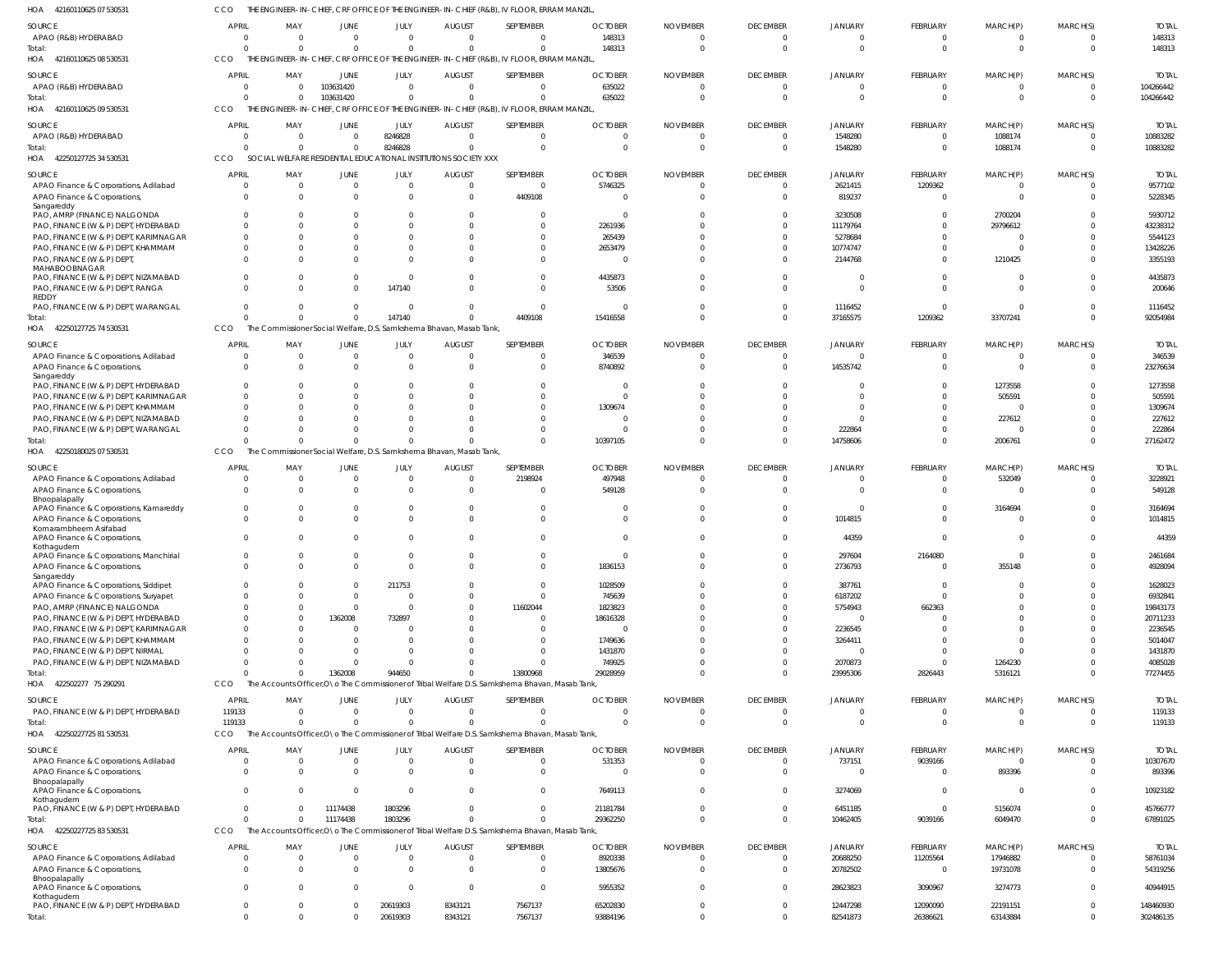CCO THE ENGINEER-IN-CHIEF, CRF OFFICE OF THE ENGINEER-IN-CHIEF (R&B), IV FLOOR, ERRAM MANZIL,

| HOA<br>42160110625 07 530531                                          |                          |                 |                         |                          |                                                                     | THE ENGINEER-IN-CHIEF, CRF OFFICE OF THE ENGINEER-IN-CHIEF (R&B), IV FLOOR, ERRAM MANZIL         |                          |                             |                             |                           |                             |                          |                      |                        |
|-----------------------------------------------------------------------|--------------------------|-----------------|-------------------------|--------------------------|---------------------------------------------------------------------|--------------------------------------------------------------------------------------------------|--------------------------|-----------------------------|-----------------------------|---------------------------|-----------------------------|--------------------------|----------------------|------------------------|
| <b>SOURCE</b>                                                         | APRIL                    | MAY             | <b>JUNE</b>             | JULY                     | <b>AUGUST</b>                                                       | SEPTEMBER                                                                                        | <b>OCTOBER</b>           | <b>NOVEMBER</b>             | <b>DECEMBER</b>             | JANUARY                   | <b>FEBRUARY</b>             | MARCH(P)                 | MARCH(S)             | <b>TOTAL</b>           |
| APAO (R&B) HYDERABAD                                                  | $\Omega$                 | $\Omega$        | $\Omega$                | $\Omega$                 | $\Omega$                                                            | $\overline{0}$                                                                                   | 148313                   | $\Omega$                    | $\Omega$                    | $\Omega$                  | $\overline{0}$              | $\mathbf{0}$             | $\Omega$             | 148313                 |
| Total:                                                                |                          | $\Omega$        | $\Omega$                | $\mathbf 0$              | $\Omega$                                                            | $\mathbf 0$                                                                                      | 148313                   | $\Omega$                    | $\Omega$                    | $\Omega$                  | $\overline{0}$              | $\mathbf{0}$             | $\Omega$             | 148313                 |
| 42160110625 08 530531<br>HOA                                          | CCO                      |                 |                         |                          |                                                                     | THE ENGINEER-IN-CHIEF, CRF OFFICE OF THE ENGINEER-IN-CHIEF (R&B), IV FLOOR, ERRAM MANZIL         |                          |                             |                             |                           |                             |                          |                      |                        |
|                                                                       |                          |                 |                         |                          |                                                                     |                                                                                                  |                          |                             |                             |                           |                             |                          |                      |                        |
| SOURCE<br>APAO (R&B) HYDERABAD                                        | <b>APRIL</b><br>- 0      | MAY<br>$\Omega$ | JUNE<br>103631420       | JULY<br>$\mathbf 0$      | <b>AUGUST</b><br>$\overline{0}$                                     | SEPTEMBER<br>$\mathbf{0}$                                                                        | <b>OCTOBER</b>           | <b>NOVEMBER</b><br>$\Omega$ | <b>DECEMBER</b><br>$\Omega$ | JANUARY<br>$\overline{0}$ | FEBRUARY<br>$\overline{0}$  | MARCH(P)<br>$\mathbf{0}$ | MARCH(S)<br>$\Omega$ | <b>TOTAL</b>           |
| Total:                                                                |                          | $\Omega$        | 103631420               | $\mathbf 0$              | $\Omega$                                                            | $\mathbf 0$                                                                                      | 635022<br>635022         |                             | $\Omega$                    | $\Omega$                  | $\overline{0}$              | $\mathbf{0}$             | $\Omega$             | 104266442<br>104266442 |
| 42160110625 09 530531<br>HOA                                          | CCO                      |                 |                         |                          |                                                                     | THE ENGINEER-IN-CHIEF, CRF OFFICE OF THE ENGINEER-IN-CHIEF (R&B), IV FLOOR, ERRAM MANZIL         |                          |                             |                             |                           |                             |                          |                      |                        |
|                                                                       |                          |                 |                         |                          |                                                                     |                                                                                                  |                          |                             |                             |                           |                             |                          |                      |                        |
| SOURCE                                                                | <b>APRIL</b>             | MAY             | JUNE                    | JULY                     | <b>AUGUST</b>                                                       | SEPTEMBER                                                                                        | <b>OCTOBER</b>           | <b>NOVEMBER</b>             | <b>DECEMBER</b>             | JANUARY                   | <b>FEBRUARY</b>             | MARCH(P)                 | MARCH(S)             | <b>TOTAL</b>           |
| APAO (R&B) HYDERABAD                                                  | - 0                      | $\Omega$        | $\mathbf 0$             | 8246828                  | $\overline{0}$                                                      | $\overline{0}$                                                                                   | $\cap$                   | - 0                         | $\Omega$                    | 1548280                   | $\overline{0}$              | 1088174                  | $\Omega$             | 10883282               |
| Total:                                                                |                          | $\Omega$        | $\mathbf 0$             | 8246828                  | $\Omega$                                                            | $\mathbf{0}$                                                                                     | $\cap$                   | - 0                         | $\Omega$                    | 1548280                   | $\overline{0}$              | 1088174                  | $\Omega$             | 10883282               |
| HOA 42250127725 34 530531                                             | CCO                      |                 |                         |                          | SOCIAL WELFARE RESIDENTIAL EDUCATIONAL INSTITUTIONS SOCIETY XXX     |                                                                                                  |                          |                             |                             |                           |                             |                          |                      |                        |
| SOURCE                                                                | APRIL                    | MAY             | <b>JUNE</b>             | JULY                     | <b>AUGUST</b>                                                       | SEPTEMBER                                                                                        | <b>OCTOBER</b>           | <b>NOVEMBER</b>             | <b>DECEMBER</b>             | <b>JANUARY</b>            | <b>FEBRUARY</b>             | MARCH(P)                 | MARCH(S)             | <b>TOTAI</b>           |
| APAO Finance & Corporations, Adilabad                                 |                          | $\Omega$        | $\mathbf 0$             | $\overline{0}$           | $\overline{0}$                                                      | $\mathbf{0}$                                                                                     | 5746325                  |                             | $\overline{0}$              | 2621415                   | 1209362                     | $\mathbf{0}$             | $\Omega$             | 9577102                |
| APAO Finance & Corporations,                                          |                          | $\Omega$        | $\Omega$                | $\overline{0}$           | $\overline{0}$                                                      | 4409108                                                                                          | - 0                      |                             | $\Omega$                    | 819237                    | $\overline{0}$              | $\mathbf 0$              | $\Omega$             | 5228345                |
| Sangareddy<br>PAO, AMRP (FINANCE) NALGONDA                            |                          |                 |                         | $\Omega$                 | $\Omega$                                                            | $\overline{0}$                                                                                   | - 0                      |                             | $\Omega$                    | 3230508                   | $\Omega$                    | 2700204                  | $\cap$               | 5930712                |
| PAO, FINANCE (W & P) DEPT, HYDERABAD                                  |                          | <sup>0</sup>    |                         | $\Omega$                 | $\Omega$                                                            | $\mathbf 0$                                                                                      | 2261936                  |                             | $\Omega$                    | 11179764                  | $\Omega$                    | 29796612                 | $\cap$               | 43238312               |
| PAO, FINANCE (W & P) DEPT, KARIMNAGAR                                 |                          | 0               |                         | $\Omega$                 | $\Omega$                                                            | $\mathbf 0$                                                                                      | 265439                   |                             | $\Omega$                    | 5278684                   | $\Omega$                    | $\mathbf{0}$             | $\cap$               | 5544123                |
| PAO, FINANCE (W & P) DEPT, KHAMMAM                                    |                          |                 |                         | $\Omega$                 | $\Omega$                                                            | $\Omega$                                                                                         | 2653479                  |                             |                             | 10774747                  | $\Omega$                    | $\Omega$                 | $\cap$               | 13428226               |
| PAO, FINANCE (W & P) DEPT,                                            |                          |                 |                         | $\Omega$                 |                                                                     | $\mathbf 0$                                                                                      |                          |                             |                             | 2144768                   | $\Omega$                    | 1210425                  |                      | 3355193                |
| MAHABOOBNAGAR                                                         |                          |                 |                         |                          |                                                                     |                                                                                                  |                          |                             |                             |                           |                             |                          |                      |                        |
| PAO, FINANCE (W & P) DEPT, NIZAMABAD                                  |                          |                 | $\Omega$                | $\Omega$                 |                                                                     | $\mathbf 0$                                                                                      | 4435873                  |                             |                             | $\Omega$                  | $\Omega$                    | $\Omega$                 | $\cap$               | 4435873                |
| PAO, FINANCE (W & P) DEPT, RANGA                                      | $\Omega$                 | $\Omega$        | $\Omega$                | 147140                   | $\Omega$                                                            | $\overline{0}$                                                                                   | 53506                    |                             | $\cap$                      | $\Omega$                  | $\Omega$                    | $\Omega$                 | $\cap$               | 200646                 |
| REDDY<br>PAO, FINANCE (W & P) DEPT, WARANGAL                          |                          | <sup>0</sup>    | $\Omega$                | $\Omega$                 | $\Omega$                                                            | $\mathbf{0}$                                                                                     | - 0                      |                             | $\Omega$                    | 1116452                   | $\overline{0}$              | $\Omega$                 | $\cap$               | 1116452                |
| Total:                                                                |                          | $\Omega$        | $\Omega$                | 147140                   | $\Omega$                                                            | 4409108                                                                                          | 15416558                 |                             | $\Omega$                    | 37165575                  | 1209362                     | 33707241                 | $\Omega$             | 92054984               |
| 42250127725 74 530531<br>HOA                                          | CCO                      |                 |                         |                          | The Commissioner Social Welfare, D.S. Samkshema Bhavan, Masab Tank, |                                                                                                  |                          |                             |                             |                           |                             |                          |                      |                        |
|                                                                       |                          |                 |                         |                          |                                                                     |                                                                                                  |                          |                             |                             |                           |                             |                          |                      |                        |
| SOURCE<br>APAO Finance & Corporations, Adilabad                       | <b>APRIL</b><br>$\Omega$ | MAY<br>$\Omega$ | <b>JUNE</b><br>$\Omega$ | JULY<br>$\overline{0}$   | <b>AUGUST</b><br>$\Omega$                                           | SEPTEMBER<br>$\mathbf 0$                                                                         | <b>OCTOBER</b><br>346539 | <b>NOVEMBER</b><br>- 0      | <b>DECEMBER</b><br>$\Omega$ | JANUARY<br>$\Omega$       | <b>FEBRUARY</b><br>$\Omega$ | MARCH(P)<br>$\Omega$     | MARCH(S)<br>$\Omega$ | <b>TOTAI</b><br>346539 |
| APAO Finance & Corporations,                                          |                          | $\Omega$        | $\Omega$                | $\Omega$                 | $\Omega$                                                            | $\overline{0}$                                                                                   | 8740892                  |                             | $\Omega$                    | 14535742                  | $\Omega$                    | $\overline{0}$           | $\Omega$             | 23276634               |
| Sangareddy                                                            |                          |                 |                         |                          |                                                                     |                                                                                                  |                          |                             |                             |                           |                             |                          |                      |                        |
| PAO, FINANCE (W & P) DEPT, HYDERABAD                                  |                          | $\Omega$        |                         | $\Omega$                 |                                                                     | $\Omega$                                                                                         | - 0                      |                             |                             | $\Omega$                  | $\Omega$                    | 1273558                  |                      | 1273558                |
| PAO, FINANCE (W & P) DEPT, KARIMNAGAR                                 |                          | $\Omega$        |                         | $\Omega$                 |                                                                     | $\Omega$                                                                                         | $\Omega$                 |                             |                             | $\Omega$                  | $\Omega$                    | 505591                   |                      | 505591                 |
| PAO, FINANCE (W & P) DEPT, KHAMMAM                                    |                          | $\Omega$        |                         | $\Omega$                 | <sup>0</sup>                                                        | $\Omega$                                                                                         | 1309674                  |                             |                             | $\cap$                    | $\Omega$                    | $\Omega$                 | $\cap$               | 1309674                |
| PAO, FINANCE (W & P) DEPT, NIZAMABAD                                  |                          | $\Omega$        |                         | $\Omega$<br>$\Omega$     | $\Omega$                                                            | $\Omega$<br>$\Omega$                                                                             | - 0<br>- 0               |                             |                             | $\cap$                    | $\Omega$<br>$\Omega$        | 227612<br>$\Omega$       | $\Omega$             | 227612                 |
| PAO, FINANCE (W & P) DEPT, WARANGAL<br>Total:                         |                          | $\Omega$        | $\Omega$                | $\Omega$                 | $\Omega$                                                            | $\mathbf 0$                                                                                      | 10397105                 |                             | $\Omega$                    | 222864<br>14758606        | $\Omega$                    | 2006761                  | $\Omega$             | 222864<br>27162472     |
| HOA 42250180025 07 530531                                             | CCO                      |                 |                         |                          | The Commissioner Social Welfare, D.S. Samkshema Bhavan, Masab Tank, |                                                                                                  |                          |                             |                             |                           |                             |                          |                      |                        |
|                                                                       |                          |                 |                         |                          |                                                                     |                                                                                                  |                          |                             |                             |                           |                             |                          |                      |                        |
| SOURCE                                                                | <b>APRIL</b>             | MAY             | <b>JUNE</b>             | JULY                     | <b>AUGUST</b>                                                       | SEPTEMBER                                                                                        | <b>OCTOBER</b>           | <b>NOVEMBER</b>             | <b>DECEMBER</b>             | JANUARY                   | <b>FEBRUARY</b>             | MARCH(P)                 | MARCH(S)             | <b>TOTAL</b>           |
|                                                                       |                          |                 |                         |                          |                                                                     |                                                                                                  |                          |                             |                             |                           |                             |                          |                      |                        |
| APAO Finance & Corporations, Adilabad                                 | - 0                      | $\Omega$        | 0                       | $\overline{0}$           | $\overline{0}$                                                      | 2198924                                                                                          | 497948                   |                             | $\Omega$                    | $\Omega$                  | $\overline{0}$              | 532049                   | $\Omega$             | 3228921                |
| APAO Finance & Corporations,<br>Bhoopalapally                         |                          | $\Omega$        | $\Omega$                | $\mathbf 0$              | $\overline{0}$                                                      | $\overline{0}$                                                                                   | 549128                   |                             | $\Omega$                    | $\Omega$                  | $\Omega$                    | $\overline{0}$           | $\Omega$             | 549128                 |
| APAO Finance & Corporations, Kamareddy                                |                          | $\Omega$        | $\mathbf 0$             | $\overline{0}$           | $\Omega$                                                            | $\mathbf{0}$                                                                                     |                          |                             | $\Omega$                    | $\Omega$                  | $\overline{0}$              | 3164694                  | $\Omega$             | 3164694                |
| APAO Finance & Corporations,                                          |                          | $\Omega$        | $\Omega$                | $\Omega$                 | $\Omega$                                                            | $\overline{0}$                                                                                   |                          |                             |                             | 1014815                   | $\Omega$                    | $\mathbf{0}$             | $\Omega$             | 1014815                |
| Komarambheem Asifabad                                                 |                          |                 |                         |                          |                                                                     |                                                                                                  |                          |                             |                             |                           |                             |                          |                      |                        |
| APAO Finance & Corporations,<br>Kothagudem                            |                          |                 |                         | $\Omega$                 | $\Omega$                                                            | $\Omega$                                                                                         |                          |                             |                             | 44359                     | $\Omega$                    | $\Omega$                 |                      | 44359                  |
| APAO Finance & Corporations, Manchirial                               |                          | $\cap$          |                         | $\cap$                   |                                                                     | $\cap$                                                                                           |                          |                             | $\bigcap$                   | 297604                    | 2164080                     |                          | $\cap$               | 2461684                |
| APAO Finance & Corporations,                                          |                          | $\Omega$        | $\Omega$                | $\overline{0}$           | $\Omega$                                                            | $\overline{0}$                                                                                   | 1836153                  |                             | $\Omega$                    | 2736793                   | $\overline{0}$              | 355148                   | $\Omega$             | 4928094                |
| Sangareddy                                                            |                          |                 | $\Omega$                |                          | $\Omega$                                                            |                                                                                                  |                          |                             | $\cap$                      |                           |                             | $\Omega$                 | $\cap$               |                        |
| APAO Finance & Corporations, Siddipet                                 |                          |                 | $\mathbf 0$             | 211753<br>$\overline{0}$ | $\Omega$                                                            | $\overline{0}$<br>$\mathbf{0}$                                                                   | 1028509                  |                             |                             | 387761                    | $\overline{0}$<br>$\Omega$  | $\Omega$                 |                      | 1628023                |
| APAO Finance & Corporations, Suryapet<br>PAO, AMRP (FINANCE) NALGONDA |                          | 0               | $\Omega$                | $\overline{0}$           | $\Omega$                                                            | 11602044                                                                                         | 745639<br>1823823        |                             |                             | 6187202<br>5754943        | 662363                      | $\Omega$                 |                      | 6932841<br>19843173    |
| PAO, FINANCE (W & P) DEPT, HYDERABAD                                  |                          |                 | 1362008                 | 732897                   | $\Omega$                                                            | $\overline{0}$                                                                                   | 18616328                 |                             |                             | $\Omega$                  | 0                           | $\Omega$                 |                      | 20711233               |
| PAO, FINANCE (W & P) DEPT, KARIMNAGAR                                 |                          |                 | 0                       | $\Omega$                 |                                                                     | $\mathbf 0$                                                                                      | - 0                      |                             |                             | 2236545                   | $\Omega$                    |                          |                      | 2236545                |
| PAO, FINANCE (W & P) DEPT, KHAMMAM                                    |                          |                 |                         | $\Omega$                 |                                                                     | $\mathbf 0$                                                                                      | 1749636                  |                             |                             | 3264411                   | n                           | $\Omega$                 |                      | 5014047                |
| PAO, FINANCE (W & P) DEPT, NIRMAL                                     |                          |                 |                         | $\Omega$                 |                                                                     | $\mathbf 0$                                                                                      | 1431870                  |                             |                             | $\Omega$                  | $\Omega$                    | $\Omega$                 |                      | 1431870                |
| PAO, FINANCE (W & P) DEPT, NIZAMABAD                                  |                          | <sup>0</sup>    | 0                       | $\Omega$                 | <sup>0</sup>                                                        | $\overline{0}$                                                                                   | 749925                   |                             | $\Omega$                    | 2070873                   | $\overline{0}$              | 1264230                  | $\Omega$             | 4085028                |
| Total:                                                                |                          | U               | 1362008                 | 944650                   | $\Omega$                                                            | 13800968                                                                                         | 29028959                 |                             | $\Omega$                    | 23995306                  | 2826443                     | 5316121                  | $\Omega$             | 77274455               |
| HOA 422502277 75 290291                                               | CCO                      |                 |                         |                          |                                                                     | The Accounts Officer, O \o The Commissioner of Tribal Welfare D.S. Samkshema Bhavan, Masab Tank, |                          |                             |                             |                           |                             |                          |                      |                        |
| SOURCE                                                                | <b>APRIL</b>             | MAY             | JUNE                    | JULY                     | <b>AUGUST</b>                                                       | SEPTEMBER                                                                                        | <b>OCTOBER</b>           | <b>NOVEMBER</b>             | <b>DECEMBER</b>             | JANUARY                   | <b>FEBRUARY</b>             | MARCH(P)                 | MARCH(S)             | <b>TOTAL</b>           |
| PAO, FINANCE (W & P) DEPT, HYDERABAD                                  | 119133                   | $\Omega$        | $\mathbf 0$             | $\Omega$                 | $\Omega$                                                            | $\overline{0}$                                                                                   | $\Omega$                 | $\Omega$                    | $\Omega$                    | $\Omega$                  | $\overline{0}$              | $\mathbf{0}$             | $\Omega$             | 119133                 |
| Total:                                                                | 119133                   | $\Omega$        | $\Omega$                | $\Omega$                 | $\Omega$                                                            | $\Omega$                                                                                         | $\cap$                   | $\Omega$                    | $\Omega$                    | $\Omega$                  | $\Omega$                    | $\Omega$                 | $\Omega$             | 119133                 |
| HOA<br>42250227725 81 530531                                          | CCO                      |                 |                         |                          |                                                                     | The Accounts Officer, O \o The Commissioner of Tribal Welfare D.S. Samkshema Bhavan, Masab Tank, |                          |                             |                             |                           |                             |                          |                      |                        |
| SOURCE                                                                | <b>APRIL</b>             | MAY             | <b>JUNE</b>             | JULY                     | <b>AUGUST</b>                                                       | SEPTEMBER                                                                                        | <b>OCTOBER</b>           | <b>NOVEMBER</b>             | <b>DECEMBER</b>             | <b>JANUARY</b>            | <b>FEBRUARY</b>             | MARCH(P)                 | MARCH(S)             | <b>TOTAL</b>           |
| APAO Finance & Corporations, Adilabad                                 | - 0                      | $\Omega$        | $\mathbf 0$             | $\overline{0}$           | $\overline{0}$                                                      | $\overline{0}$                                                                                   | 531353                   | - 0                         | $\overline{0}$              | 737151                    | 9039166                     | $\overline{0}$           | $\Omega$             | 10307670               |
| APAO Finance & Corporations,                                          |                          | $\Omega$        | $\mathbf 0$             | $\overline{0}$           | $\Omega$                                                            | $\overline{0}$                                                                                   |                          |                             | $\Omega$                    | $\Omega$                  | $\overline{0}$              | 893396                   | $\Omega$             | 893396                 |
| Bhoopalapally                                                         | $\Omega$                 | $\Omega$        |                         |                          | $\Omega$                                                            |                                                                                                  |                          | $\Omega$                    | $\Omega$                    |                           |                             |                          | $\Omega$             |                        |
| APAO Finance & Corporations,<br>Kothagudem                            |                          |                 | $\mathbf 0$             | $\overline{0}$           |                                                                     | $\overline{0}$                                                                                   | 7649113                  |                             |                             | 3274069                   | $\overline{0}$              | $\mathbf{0}$             |                      | 10923182               |
| PAO, FINANCE (W & P) DEPT, HYDERABAD                                  | $\Omega$                 | $\Omega$        | 11174438                | 1803296                  | $^{\circ}$                                                          | $\overline{0}$                                                                                   | 21181784                 | $\Omega$                    | $\Omega$                    | 6451185                   | $\overline{0}$              | 5156074                  | $\Omega$             | 45766777               |
| Total:                                                                |                          | $\Omega$        | 11174438                | 1803296                  | $\Omega$                                                            | $\Omega$                                                                                         | 29362250                 | $\Omega$                    | $\Omega$                    | 10462405                  | 9039166                     | 6049470                  | $\Omega$             | 67891025               |
| HOA 42250227725 83 530531                                             | CCO                      |                 |                         |                          |                                                                     | The Accounts Officer, O \o The Commissioner of Tribal Welfare D.S. Samkshema Bhavan, Masab Tank, |                          |                             |                             |                           |                             |                          |                      |                        |
| SOURCE                                                                | <b>APRIL</b>             | MAY             | JUNE                    | JULY                     | <b>AUGUST</b>                                                       | SEPTEMBER                                                                                        | <b>OCTOBER</b>           | <b>NOVEMBER</b>             | <b>DECEMBER</b>             | <b>JANUARY</b>            | <b>FEBRUARY</b>             | MARCH(P)                 | MARCH(S)             | <b>TOTAL</b>           |
| APAO Finance & Corporations, Adilabad                                 | - 0                      | $\Omega$        | 0                       | $\overline{0}$           | $\Omega$                                                            | $\mathbf{0}$                                                                                     | 8920338                  | - 0                         | $\Omega$                    | 20688250                  | 11205564                    | 17946882                 | $\Omega$             | 58761034               |
| APAO Finance & Corporations,                                          | $\Omega$                 | $\Omega$        | $\Omega$                | $\Omega$                 | $\Omega$                                                            | $\mathbf{0}$                                                                                     | 13805676                 | $\Omega$                    | $\Omega$                    | 20782502                  | $\overline{0}$              | 19731078                 | $\Omega$             | 54319256               |
| Bhoopalapally                                                         |                          | <sup>0</sup>    | $\Omega$                | $\Omega$                 | $\Omega$                                                            | $\mathbf{0}$                                                                                     |                          | $\Omega$                    | $\Omega$                    |                           |                             |                          | $\Omega$             |                        |
| APAO Finance & Corporations,<br>Kothagudem                            |                          |                 |                         |                          |                                                                     |                                                                                                  | 5955352                  |                             |                             | 28623823                  | 3090967                     | 3274773                  |                      | 40944915               |
| PAO, FINANCE (W & P) DEPT, HYDERABAD<br>Total:                        | $\Omega$<br>$\Omega$     | 0<br>$\Omega$   | $\mathbf 0$<br>$\Omega$ | 20619303<br>20619303     | 8343121<br>8343121                                                  | 7567137<br>7567137                                                                               | 65202830<br>93884196     | $\Omega$                    | $\overline{0}$<br>$\Omega$  | 12447298<br>82541873      | 12090090<br>26386621        | 22191151<br>63143884     | $\Omega$<br>$\Omega$ | 148460930<br>302486135 |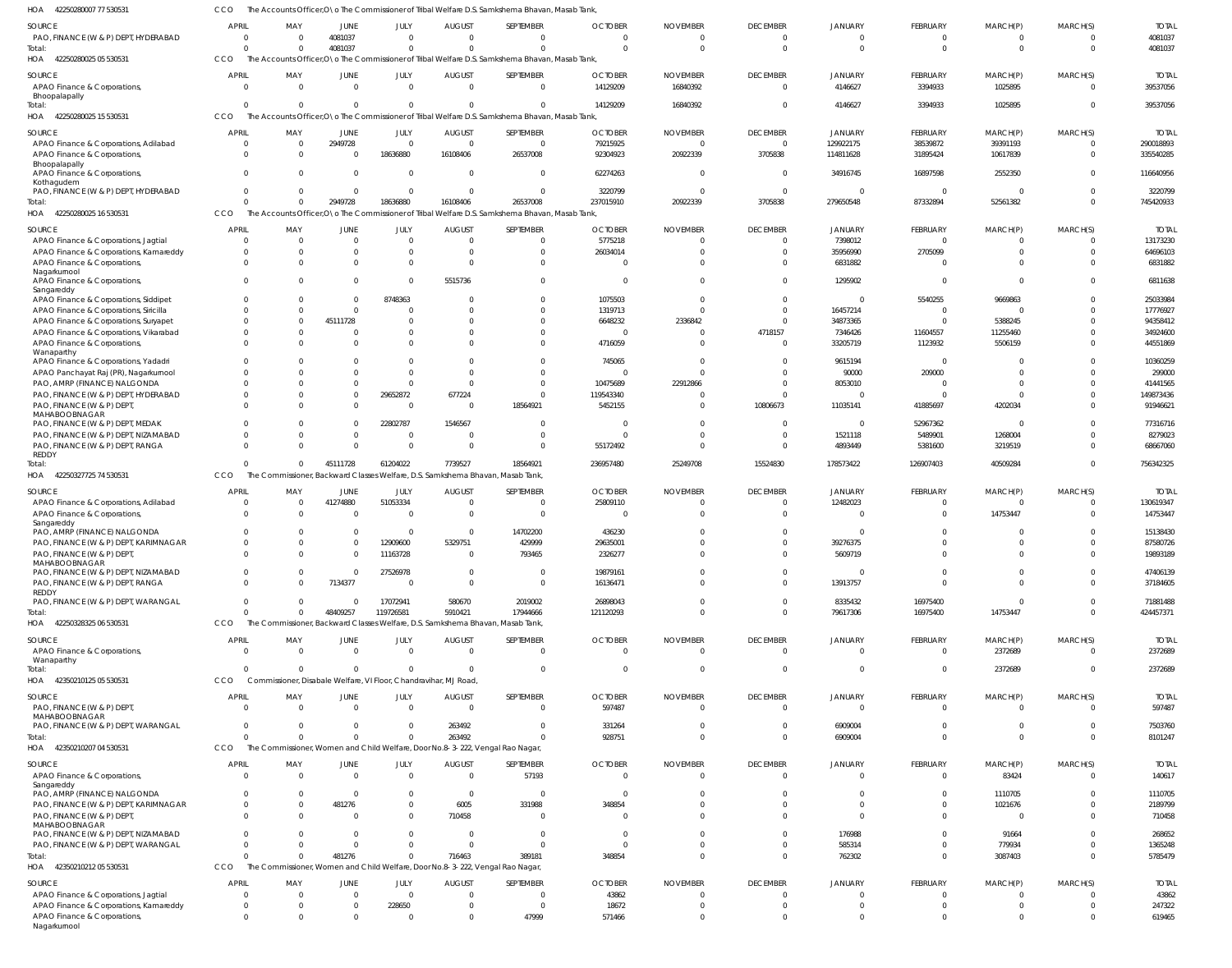| PAO, FINANCE (W & P) DEPT, HYDERABAD          | $\Omega$       | $\Omega$                                                                       | 4081037        |              |                |                                                                                                  | $\Omega$       | $\Omega$        | $\Omega$        | $\Omega$                | $\Omega$        | $\Omega$     | $\Omega$       |  |
|-----------------------------------------------|----------------|--------------------------------------------------------------------------------|----------------|--------------|----------------|--------------------------------------------------------------------------------------------------|----------------|-----------------|-----------------|-------------------------|-----------------|--------------|----------------|--|
| Total:                                        | $\Omega$       | $\Omega$                                                                       | 4081037        |              |                |                                                                                                  | $\Omega$       | $\Omega$        | $\Omega$        | $\Omega$                | $\Omega$        | $\mathbf{0}$ | $\Omega$       |  |
| HOA<br>42250280025 05 530531                  | CCO            |                                                                                |                |              |                | The Accounts Officer, O \o The Commissioner of Tribal Welfare D.S. Samkshema Bhavan, Masab Tank, |                |                 |                 |                         |                 |              |                |  |
|                                               |                |                                                                                |                |              |                |                                                                                                  |                |                 |                 |                         |                 |              |                |  |
| SOURCE                                        | <b>APRIL</b>   | MAY                                                                            | JUNE           | JULY         | <b>AUGUST</b>  | SEPTEMBER                                                                                        | <b>OCTOBER</b> | <b>NOVEMBER</b> | <b>DECEMBER</b> | <b>JANUARY</b>          | FEBRUARY        | MARCH(P)     | MARCH(S)       |  |
| APAO Finance & Corporations,<br>Bhoopalapally | $\Omega$       | $\Omega$                                                                       | $\Omega$       | $\Omega$     | $\Omega$       | $\Omega$                                                                                         | 14129209       | 16840392        | $\Omega$        | 4146627                 | 3394933         | 1025895      | $\Omega$       |  |
| Total:                                        | <sup>0</sup>   | $\Omega$                                                                       | $\Omega$       | $\Omega$     | $\Omega$       | <sup>0</sup>                                                                                     | 14129209       | 16840392        | $\Omega$        | 4146627                 | 3394933         | 1025895      | $\Omega$       |  |
| 42250280025 15 530531<br>HOA                  | CCO            |                                                                                |                |              |                | The Accounts Officer, O \o The Commissioner of Tribal Welfare D.S. Samkshema Bhavan, Masab Tank  |                |                 |                 |                         |                 |              |                |  |
|                                               |                |                                                                                |                |              |                |                                                                                                  |                |                 |                 |                         |                 |              |                |  |
| SOURCE                                        | <b>APRIL</b>   | MAY                                                                            | JUNE           | JULY         | <b>AUGUST</b>  | SEPTEMBER                                                                                        | <b>OCTOBER</b> | <b>NOVEMBER</b> | <b>DECEMBER</b> | JANUARY                 | FEBRUARY        | MARCH(P)     | MARCH(S)       |  |
| APAO Finance & Corporations, Adilabad         | $\overline{0}$ | $\mathbf 0$                                                                    | 2949728        | $\mathbf{0}$ | $\overline{0}$ | $\Omega$                                                                                         | 79215925       | $\Omega$        | $\overline{0}$  | 129922175               | 38539872        | 39391193     |                |  |
| APAO Finance & Corporations,                  | $\Omega$       | $\mathbf 0$                                                                    | $\mathbf{0}$   | 18636880     | 16108406       | 26537008                                                                                         | 92304923       | 20922339        | 3705838         | 114811628               | 31895424        | 10617839     | $\Omega$       |  |
| Bhoopalapally                                 |                |                                                                                |                |              |                |                                                                                                  |                |                 |                 |                         |                 |              |                |  |
| APAO Finance & Corporations,                  | $\Omega$       | $\mathbf 0$                                                                    | $\Omega$       | $\Omega$     | $\Omega$       | $\Omega$                                                                                         | 62274263       | $\Omega$        | - 0             | 34916745                | 16897598        | 2552350      | $\Omega$       |  |
| Kothagudem                                    | $\Omega$       | $\Omega$                                                                       | $\Omega$       | $\Omega$     | $\Omega$       | $\Omega$                                                                                         |                | $\Omega$        | - 0             | - 0                     | $\Omega$        | $\Omega$     | $\Omega$       |  |
| PAO, FINANCE (W & P) DEPT, HYDERABAD          | $\Omega$       | $\Omega$                                                                       |                |              |                |                                                                                                  | 3220799        |                 |                 |                         |                 |              | $\Omega$       |  |
| Total:                                        |                |                                                                                | 2949728        | 18636880     | 16108406       | 26537008                                                                                         | 237015910      | 20922339        | 3705838         | 279650548               | 87332894        | 52561382     |                |  |
| 42250280025 16 530531<br>HOA                  | <b>CCO</b>     |                                                                                |                |              |                | The Accounts Officer, O \o The Commissioner of Tribal Welfare D.S. Samkshema Bhavan, Masab Tank, |                |                 |                 |                         |                 |              |                |  |
| SOURCE                                        | <b>APRIL</b>   | MAY                                                                            | <b>JUNE</b>    | JULY         | <b>AUGUST</b>  | SEPTEMBER                                                                                        | <b>OCTOBER</b> | <b>NOVEMBER</b> | <b>DECEMBER</b> | <b>JANUARY</b>          | FEBRUARY        | MARCH(P)     | MARCH(S)       |  |
| APAO Finance & Corporations, Jagtial          | $\Omega$       | $\Omega$                                                                       | $\Omega$       | $\Omega$     | $\Omega$       | $\Omega$                                                                                         | 5775218        | $\Omega$        | $\Omega$        | 7398012                 | $\Omega$        | $\Omega$     |                |  |
| APAO Finance & Corporations, Kamareddy        | $\Omega$       | $\Omega$                                                                       | $\Omega$       | $\Omega$     | $\Omega$       | 0                                                                                                | 26034014       | $\Omega$        | $\Omega$        | 35956990                | 2705099         | $\Omega$     |                |  |
| APAO Finance & Corporations,                  | $\Omega$       | $\Omega$                                                                       | $\Omega$       | $\Omega$     | $\Omega$       | <sup>0</sup>                                                                                     | $\Omega$       | $\Omega$        | $\Omega$        | 6831882                 | $\Omega$        | $\Omega$     |                |  |
| Nagarkurnool                                  |                |                                                                                |                |              |                |                                                                                                  |                |                 |                 |                         |                 |              |                |  |
| APAO Finance & Corporations,                  | $\Omega$       | $\Omega$                                                                       | $\Omega$       | $\Omega$     | 5515736        |                                                                                                  | $\Omega$       | $\Omega$        | $\Omega$        | 1295902                 | $\Omega$        | $\Omega$     |                |  |
| Sangareddy                                    |                |                                                                                |                |              |                |                                                                                                  |                |                 |                 |                         |                 |              |                |  |
| APAO Finance & Corporations, Siddipet         | <sup>0</sup>   | $\Omega$                                                                       | $\mathbf 0$    | 8748363      | $\Omega$       | $\Omega$                                                                                         | 1075503        | $\Omega$        | $\Omega$        | - 0                     | 5540255         | 9669863      |                |  |
| APAO Finance & Corporations, Siricilla        |                | 0                                                                              | $\Omega$       | <sup>0</sup> | $\cup$         |                                                                                                  | 1319713        | $\sqrt{ }$      | $\Omega$        | 16457214                | $\Omega$        | $\Omega$     |                |  |
| APAO Finance & Corporations, Suryapet         | O              | $\Omega$                                                                       | 45111728       | 0            | $\Omega$       | O                                                                                                | 6648232        | 2336842         | $\Omega$        | 34873365                | $\Omega$        | 5388245      |                |  |
| APAO Finance & Corporations, Vikarabad        |                | $\Omega$                                                                       | $\Omega$       | 0            | $\Omega$       |                                                                                                  | $\Omega$       | $\Omega$        | 4718157         | 7346426                 | 11604557        | 11255460     |                |  |
| APAO Finance & Corporations,                  | <sup>0</sup>   | $\Omega$                                                                       | $\Omega$       | <sup>0</sup> | $\Omega$       | <sup>0</sup>                                                                                     | 4716059        | $\sqrt{ }$      | $\Omega$        | 33205719                | 1123932         | 5506159      |                |  |
| Wanaparthy                                    |                |                                                                                |                |              |                |                                                                                                  |                |                 |                 |                         |                 |              |                |  |
| APAO Finance & Corporations, Yadadri          |                |                                                                                | 0              |              | $\cup$         | <sup>0</sup>                                                                                     | 745065         | $\Omega$        | $\Omega$        | 9615194                 | $\Omega$        | $\Omega$     |                |  |
| APAO Panchayat Raj (PR), Nagarkurnool         |                | <sup>0</sup>                                                                   | $\Omega$       | $\Omega$     | $\Omega$       |                                                                                                  | $\Omega$       |                 | $\Omega$        | 90000                   | 209000          | $\Omega$     |                |  |
| PAO, AMRP (FINANCE) NALGONDA                  |                | <sup>0</sup>                                                                   | $\Omega$       | $\Omega$     | $\Omega$       |                                                                                                  | 10475689       | 22912866        | $\Omega$        | 8053010                 | $\Omega$        | $\Omega$     |                |  |
| PAO, FINANCE (W & P) DEPT, HYDERABAD          |                | 0                                                                              | $\Omega$       | 29652872     | 677224         |                                                                                                  | 119543340      | ſ               | $\Omega$        | $\Omega$                | $\Omega$        | $\sqrt{ }$   |                |  |
| PAO, FINANCE (W & P) DEPT,                    |                | <sup>0</sup>                                                                   | $\Omega$       | $\Omega$     | $\Omega$       | 18564921                                                                                         | 5452155        | $\Omega$        | 10806673        | 11035141                | 41885697        | 4202034      |                |  |
| MAHABOOBNAGAR                                 |                |                                                                                |                |              |                |                                                                                                  |                |                 |                 |                         |                 |              |                |  |
| PAO, FINANCE (W & P) DEPT, MEDAK              | <sup>0</sup>   | $\Omega$                                                                       | $\Omega$       | 22802787     | 1546567        | O                                                                                                | $\Omega$       | $\Omega$        | $\Omega$        | - 0                     | 52967362        | $\Omega$     |                |  |
| PAO, FINANCE (W & P) DEPT, NIZAMABAD          | $\Omega$       | 0                                                                              | $\Omega$       | $\Omega$     | $\Omega$       | <sup>0</sup>                                                                                     | $\Omega$       | $\Omega$        | 0               | 1521118                 | 5489901         | 1268004      |                |  |
| PAO, FINANCE (W & P) DEPT, RANGA              | $\Omega$       | $\Omega$                                                                       | $\Omega$       | $\Omega$     | $\Omega$       | $\Omega$                                                                                         | 55172492       | $\Omega$        | $\Omega$        | 4893449                 | 5381600         | 3219519      |                |  |
| REDDY                                         |                |                                                                                |                |              |                |                                                                                                  |                |                 |                 |                         |                 |              |                |  |
| Total:                                        |                | $\Omega$                                                                       | 45111728       | 61204022     | 7739527        | 18564921                                                                                         | 236957480      | 25249708        | 15524830        | 178573422               | 126907403       | 40509284     | $\Omega$       |  |
| 42250327725 74 530531<br>HOA                  | CCO            | The Commissioner, Backward Classes Welfare, D.S. Samkshema Bhavan, Masab Tank, |                |              |                |                                                                                                  |                |                 |                 |                         |                 |              |                |  |
| SOURCE                                        | <b>APRIL</b>   | MAY                                                                            | JUNE           | JULY         | <b>AUGUST</b>  | SEPTEMBER                                                                                        | <b>OCTOBER</b> | <b>NOVEMBER</b> | <b>DECEMBER</b> | <b>JANUARY</b>          | FEBRUARY        | MARCH(P)     | MARCH(S)       |  |
| APAO Finance & Corporations, Adilabad         | $\Omega$       | 0                                                                              | 41274880       | 51053334     | 0              | 0                                                                                                | 25809110       | 0               | 0               | 12482023                | 0               | $\Omega$     | $\Omega$       |  |
| APAO Finance & Corporations,                  | $\Omega$       | $\mathbf 0$                                                                    | $\overline{0}$ | $\Omega$     | $\overline{0}$ | $\overline{0}$                                                                                   | $\mathbf 0$    | $\Omega$        | $\overline{0}$  | - 0                     | 0               | 14753447     | $\Omega$       |  |
| Sangareddy                                    |                |                                                                                |                |              |                |                                                                                                  |                |                 |                 |                         |                 |              |                |  |
| PAO, AMRP (FINANCE) NALGONDA                  |                | $\Omega$                                                                       | $^{\circ}$     | 0            | 0              | 14702200                                                                                         | 436230         | C               |                 | - 0                     | $\Omega$        | 0            |                |  |
| PAO, FINANCE (W & P) DEPT, KARIMNAGAR         | $\Omega$       | $\Omega$                                                                       | $\Omega$       | 12909600     | 5329751        | 429999                                                                                           | 29635001       | $\Omega$        |                 | 39276375                |                 | $\Omega$     |                |  |
| PAO, FINANCE (W & P) DEPT,                    | $\Omega$       | $\Omega$                                                                       | $\Omega$       | 11163728     | 0              | 793465                                                                                           | 2326277        | $\Omega$        | $\Omega$        | 5609719                 | $\Omega$        | $\Omega$     |                |  |
| MAHABOOBNAGAR                                 |                |                                                                                |                |              |                |                                                                                                  |                |                 |                 |                         |                 |              |                |  |
| PAO, FINANCE (W & P) DEPT, NIZAMABAD          | $\Omega$       | $\Omega$                                                                       | $\mathbf{0}$   | 27526978     | 0              | $\Omega$                                                                                         | 19879161       | $\Omega$        | $\Omega$        | - 0                     | $\Omega$        | $\Omega$     | $\Omega$       |  |
| PAO, FINANCE (W & P) DEPT, RANGA              |                |                                                                                | 7134377        |              |                | - 0                                                                                              | 16136471       |                 |                 | 13913757                | - 0             |              |                |  |
| REDDY                                         |                |                                                                                |                |              |                |                                                                                                  |                |                 |                 |                         |                 |              |                |  |
| PAO, FINANCE (W & P) DEPT, WARANGAL           | $^{\circ}$     | $\mathbf{0}$                                                                   | 0              | 17072941     | 580670         | 2019002                                                                                          | 26898043       | $\Omega$        | $\overline{0}$  | 8335432                 | 16975400        | $^{\circ}$   | $\Omega$       |  |
| Total:                                        | $\Omega$       | $\Omega$                                                                       | 48409257       | 119726581    | 5910421        | 17944666                                                                                         | 121120293      | $\Omega$        | $\overline{0}$  | 79617306                | 16975400        | 14753447     | $\overline{0}$ |  |
| HOA 42250328325 06 530531                     | CCO            | The Commissioner, Backward Classes Welfare, D.S. Samkshema Bhavan, Masab Tank, |                |              |                |                                                                                                  |                |                 |                 |                         |                 |              |                |  |
|                                               | <b>APRIL</b>   |                                                                                |                |              |                | SEPTEMBER                                                                                        | <b>OCTOBER</b> |                 |                 |                         | <b>FEBRUARY</b> |              |                |  |
| SOURCE                                        |                | MAY                                                                            | JUNE           | JULY         | <b>AUGUST</b>  |                                                                                                  |                | <b>NOVEMBER</b> | <b>DECEMBER</b> | <b>JANUARY</b>          |                 | MARCH(P)     | MARCH(S)       |  |
| APAO Finance & Corporations,<br>Wanaparthy    | - 0            | $\mathbf{0}$                                                                   | $\overline{0}$ | $\mathbf{0}$ | $\overline{0}$ | 0                                                                                                | $\overline{0}$ | $^{\circ}$      | $\overline{0}$  | - 0                     | $\mathbf 0$     | 2372689      | - 0            |  |
| Total:                                        | $\Omega$       | 0                                                                              | $\Omega$       | $\Omega$     | $\Omega$       | $\Omega$                                                                                         | 0              | - 0             | $\overline{0}$  | - 0                     | $^{\circ}$      | 2372689      | $\overline{0}$ |  |
| HOA 42350210125 05 530531                     | CCO            | Commissioner, Disabale Welfare, VI Floor, Chandravihar, MJ Road,               |                |              |                |                                                                                                  |                |                 |                 |                         |                 |              |                |  |
|                                               |                |                                                                                |                |              |                |                                                                                                  |                |                 |                 |                         |                 |              |                |  |
| SOURCE                                        | APRIL          | MAY                                                                            | JUNE           | JULY         | <b>AUGUST</b>  | SEPTEMBER                                                                                        | <b>OCTOBER</b> | <b>NOVEMBER</b> | <b>DECEMBER</b> | <b>JANUARY</b>          | FEBRUARY        | MARCH(P)     | MARCH(S)       |  |
| PAO, FINANCE (W & P) DEPT,                    | - 0            | $\mathbf{0}$                                                                   | $\overline{0}$ | $\mathbf{0}$ | $\overline{0}$ | - 0                                                                                              | 597487         | $\Omega$        | $\overline{0}$  | $\overline{\mathbf{0}}$ | $\mathbf 0$     | $^{\circ}$   | - 0            |  |
| MAHABOOBNAGAR                                 |                |                                                                                |                |              |                |                                                                                                  |                |                 |                 |                         |                 |              |                |  |
| PAO, FINANCE (W & P) DEPT, WARANGAL           | 0              | 0                                                                              | 0              | 0            | 263492         | - 0                                                                                              | 331264         | - 0             | $\overline{0}$  | 6909004                 | 0               | $^{\circ}$   | $\overline{0}$ |  |
| Total:                                        | $\Omega$       | $\Omega$                                                                       | $\Omega$       | $\Omega$     | 263492         | $\Omega$                                                                                         | 928751         | $^{\circ}$      | $\overline{0}$  | 6909004                 | $\mathbf 0$     | $\mathbf 0$  | $\overline{0}$ |  |
| HOA 42350210207 04 530531                     | CCO            | The Commissioner, Women and Child Welfare, Door No.8-3-222, Vengal Rao Nagar,  |                |              |                |                                                                                                  |                |                 |                 |                         |                 |              |                |  |
| SOURCE                                        | <b>APRIL</b>   | MAY                                                                            | JUNE           | JULY         | <b>AUGUST</b>  | SEPTEMBER                                                                                        | <b>OCTOBER</b> | <b>NOVEMBER</b> | <b>DECEMBER</b> | <b>JANUARY</b>          | FEBRUARY        | MARCH(P)     | MARCH(S)       |  |
| APAO Finance & Corporations,                  | $\Omega$       | $\mathbf 0$                                                                    | $\overline{0}$ | 0            | $\overline{0}$ | 57193                                                                                            | $\mathbf 0$    | $^{\circ}$      | $\overline{0}$  | - 0                     | $\mathbf 0$     | 83424        | - 0            |  |
| Sangareddy                                    |                |                                                                                |                |              |                |                                                                                                  |                |                 |                 |                         |                 |              |                |  |
| PAO, AMRP (FINANCE) NALGONDA                  | 0              | 0                                                                              | $\overline{0}$ | 0            | $\overline{0}$ | $\Omega$                                                                                         | $\mathbf 0$    | 0               | $\Omega$        | 0                       | 0               | 1110705      |                |  |
| PAO, FINANCE (W & P) DEPT, KARIMNAGAR         | $\mathbf{0}$   | $\mathbf 0$                                                                    | 481276         | 0            | 6005           | 331988                                                                                           | 348854         | $^{\circ}$      | 0               | - 0                     | 0               | 1021676      |                |  |
| PAO, FINANCE (W & P) DEPT,                    | $\mathbf{0}$   | $\mathbf 0$                                                                    | 0              | $\Omega$     | 710458         | $\Omega$                                                                                         | 0              | $\Omega$        | $\Omega$        | - 0                     | 0               | - 0          |                |  |
| MAHABOOBNAGAR                                 |                |                                                                                |                |              |                |                                                                                                  |                |                 |                 |                         |                 |              |                |  |
| PAO, FINANCE (W & P) DEPT, NIZAMABAD          | $\overline{0}$ | 0                                                                              | 0              | 0            | 0              | 0                                                                                                | $\overline{0}$ | $\overline{0}$  | $\overline{0}$  | 176988                  | $\overline{0}$  | 91664        | $\mathbf 0$    |  |
| PAO, FINANCE (W & P) DEPT, WARANGAL           | $\mathbf 0$    | $\mathbf 0$                                                                    | $\mathbf 0$    | $\Omega$     | $\mathbf 0$    | $\Omega$                                                                                         | $\Omega$       | $\mathbf 0$     | $\Omega$        | 585314                  | $\overline{0}$  | 779934       | $\mathbf{0}$   |  |

TOTAL

MARCH(S)

TOTAL

TOTAL

TOTAL

TOTAL

TOTAL

TOTAL

 

TOTAL

The Accounts Officer,O\o The Commissioner of Tribal Welfare D.S. Samkshema Bhavan, Masab Tank,

AUGUST

NOVEMBER

JANUARY

FEBRUARY

MARCH(P)

DECEMBER

OCTOBER

SEPTEMBER

JULY

42250280007 77 530531 HOA

SOURCE

CCO

APRIL

MAY

JUNE

42350210212 05 530531 HOA The Commissioner, Women and Child Welfare, Door No.8-3-222, Vengal Rao Nagar, CCO  $\,$  0  $\,$  APAO Finance & Corporations, Jagtial APAO Finance & Corporations, Kamareddy APAO Finance & Corporations, Nagarkurnool SOURCE  $\,$  0  $\,$  APRIL  $\,$  0  $\,$   $\,$  0  $\,$ MAY  $\,$  0  $\,$  $\mathbf 0$ JUNE JULY AUGUST  $\,$  0  $\,$  SEPTEMBER OCTOBER  $\,$  0  $\,$  NOVEMBER  $\,$  0  $\,$  $\mathbf 0$ DECEMBER  $\,$  0  $\,$  JANUARY FEBRUARY MARCH(P)  $\,$  0  $\,$  MARCH(S) TOTAL Total: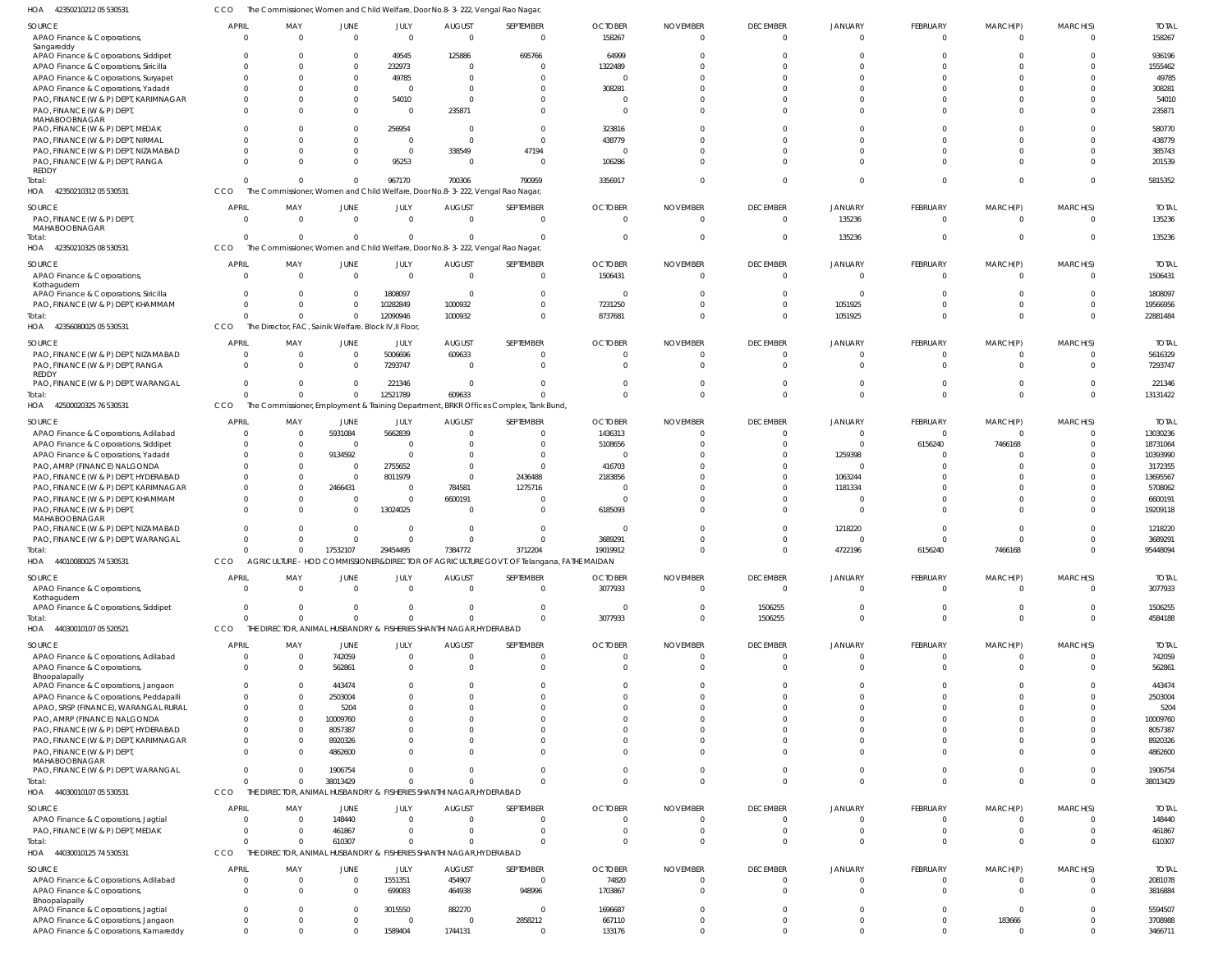42350210212 05 530531 HOA CCO The Commissioner, Women and Child Welfare, Door No.8-3-222, Vengal Rao Nagar,

| השו<br><b>TEUJULIULILUJ JUUJU</b>                                        |                                |                                                        |                                |                         |                                                                                 | material, worright and Critic World's, Door No.0-5-222, Vorigantao Nagar,                 |                                  |                                   |                             |                          |                            |                            |                         |                        |
|--------------------------------------------------------------------------|--------------------------------|--------------------------------------------------------|--------------------------------|-------------------------|---------------------------------------------------------------------------------|-------------------------------------------------------------------------------------------|----------------------------------|-----------------------------------|-----------------------------|--------------------------|----------------------------|----------------------------|-------------------------|------------------------|
| SOURCE                                                                   | <b>APRIL</b>                   | MAY                                                    | JUNE                           | JULY                    | <b>AUGUST</b>                                                                   | SEPTEMBER                                                                                 | <b>OCTOBER</b>                   | <b>NOVEMBER</b>                   | <b>DECEMBER</b>             | <b>JANUARY</b>           | FEBRUARY                   | MARCH(P)                   | MARCH(S)                | <b>TOTAL</b>           |
| APAO Finance & Corporations,                                             | $\Omega$                       | $\overline{0}$                                         | $\overline{0}$                 | $\overline{0}$          | $\overline{0}$                                                                  | $\overline{0}$                                                                            | 158267                           | $\Omega$                          | $\Omega$                    | $\Omega$                 | $\Omega$                   | $\overline{0}$             | $\Omega$                | 158267                 |
| Sangareddy<br>APAO Finance & Corporations, Siddipet                      | $\Omega$                       | $\Omega$                                               | $^{\circ}$                     | 49545                   | 125886                                                                          | 695766                                                                                    | 64999                            | $\Omega$                          |                             |                          |                            |                            | -0                      | 936196                 |
| APAO Finance & Corporations, Siricilla                                   | $\Omega$                       | $\Omega$                                               | $\mathbf 0$                    | 232973                  | $\overline{0}$                                                                  | $\Omega$                                                                                  | 1322489                          | $\Omega$                          |                             |                          |                            |                            | $\Omega$                | 1555462                |
| APAO Finance & Corporations, Suryapet                                    | $\Omega$                       | $\Omega$                                               | $^{\circ}$                     | 49785                   | - 0                                                                             | <sup>0</sup>                                                                              | $\overline{0}$                   | $\Omega$                          |                             |                          |                            |                            | $\Omega$                | 49785                  |
| APAO Finance & Corporations, Yadadri                                     | $\Omega$                       | $\Omega$                                               | $\Omega$                       | $\Omega$                | - 0                                                                             |                                                                                           | 308281                           | $\cap$                            |                             |                          |                            |                            | $\Omega$                | 308281                 |
| PAO, FINANCE (W & P) DEPT, KARIMNAGAR                                    | $\Omega$                       | $\Omega$                                               | $\Omega$                       | 54010                   | $\Omega$                                                                        |                                                                                           | $\overline{0}$                   | $\Omega$                          |                             |                          |                            |                            | $\Omega$                | 54010                  |
| PAO, FINANCE (W & P) DEPT,<br>MAHABOOBNAGAR                              | $\Omega$                       | $\Omega$                                               | $\Omega$                       | $\Omega$                | 235871                                                                          | $\Omega$                                                                                  | $\Omega$                         | $\Omega$                          | $\cap$                      |                          |                            |                            | $\Omega$                | 235871                 |
| PAO, FINANCE (W & P) DEPT, MEDAK                                         |                                | $\Omega$                                               | $^{\circ}$                     | 256954                  | 0                                                                               | $\Omega$                                                                                  | 323816                           | $\Omega$                          |                             |                          |                            |                            | $\Omega$                | 580770                 |
| PAO, FINANCE (W & P) DEPT, NIRMAL                                        | $\Omega$<br>$\Omega$           | $\Omega$                                               | $\mathbf 0$                    | - 0                     | $\Omega$                                                                        | $\Omega$                                                                                  | 438779                           | $\Omega$<br>$\Omega$              |                             |                          |                            |                            | $\Omega$<br>$\Omega$    | 438779                 |
| PAO, FINANCE (W & P) DEPT, NIZAMABAD<br>PAO, FINANCE (W & P) DEPT, RANGA | $\Omega$                       | $\Omega$<br>$\Omega$                                   | $\Omega$<br>$\Omega$           | $\overline{0}$<br>95253 | 338549<br>0                                                                     | 47194<br>$\Omega$                                                                         | $\overline{0}$<br>106286         | $\cap$                            |                             |                          |                            |                            | $\Omega$                | 385743<br>201539       |
| <b>REDDY</b>                                                             |                                |                                                        |                                |                         |                                                                                 |                                                                                           |                                  |                                   |                             |                          |                            |                            |                         |                        |
| Total:                                                                   | $\Omega$                       | $\Omega$                                               | $\overline{0}$                 | 967170                  | 700306                                                                          | 790959                                                                                    | 3356917                          | $\Omega$                          | $\Omega$                    |                          |                            | $\Omega$                   | $\Omega$                | 5815352                |
| HOA 42350210312 05 530531                                                | CCO                            |                                                        |                                |                         |                                                                                 | The Commissioner, Women and Child Welfare, Door No.8-3-222, Vengal Rao Nagar,             |                                  |                                   |                             |                          |                            |                            |                         |                        |
| SOURCE<br>PAO, FINANCE (W & P) DEPT,<br>MAHABOOBNAGAR                    | <b>APRIL</b><br>$\Omega$       | MAY<br>$\overline{0}$                                  | <b>JUNE</b><br>$\overline{0}$  | JULY<br>$\Omega$        | <b>AUGUST</b><br>$\overline{0}$                                                 | SEPTEMBER<br>$\overline{0}$                                                               | <b>OCTOBER</b><br>$\overline{0}$ | <b>NOVEMBER</b><br>$\overline{0}$ | <b>DECEMBER</b><br>$\Omega$ | <b>JANUARY</b><br>135236 | FEBRUARY<br>$\overline{0}$ | MARCH(P)<br>$\overline{0}$ | MARCH(S)<br>$\mathbf 0$ | <b>TOTAL</b><br>135236 |
| Total:<br>HOA 42350210325 08 530531                                      | $\Omega$<br>CCO                | $\overline{0}$                                         | $\overline{0}$                 | $\Omega$                | 0                                                                               | $\Omega$<br>The Commissioner, Women and Child Welfare, Door No.8-3-222, Vengal Rao Nagar, | $\overline{0}$                   | $\overline{0}$                    | $\Omega$                    | 135236                   | $\Omega$                   | $\overline{0}$             | $\mathbf{0}$            | 135236                 |
| SOURCE                                                                   | <b>APRIL</b>                   | MAY                                                    | <b>JUNE</b>                    | JULY                    | <b>AUGUST</b>                                                                   | SEPTEMBER                                                                                 | <b>OCTOBER</b>                   | <b>NOVEMBER</b>                   | <b>DECEMBER</b>             | <b>JANUARY</b>           | FEBRUARY                   | MARCH(P)                   | MARCH(S)                | <b>TOTAL</b>           |
| APAO Finance & Corporations,                                             | $\Omega$                       | $\overline{0}$                                         | $\overline{0}$                 | $\Omega$                | $\overline{0}$                                                                  | $\overline{0}$                                                                            | 1506431                          | $\Omega$                          | $\Omega$                    | - 0                      | $\Omega$                   | $\Omega$                   | $\Omega$                | 1506431                |
| Kothagudem<br>APAO Finance & Corporations, Siricilla                     | $\Omega$                       | $\overline{0}$                                         | $\overline{0}$                 | 1808097                 | $\overline{0}$                                                                  | $\overline{0}$                                                                            | $\Omega$                         | $\Omega$                          | $\cap$                      |                          |                            | $\Omega$                   | $\Omega$                | 1808097                |
| PAO, FINANCE (W & P) DEPT, KHAMMAM                                       | $\Omega$                       | $\Omega$                                               | $\mathbf 0$                    | 10282849                | 1000932                                                                         | $\Omega$                                                                                  | 7231250                          | $\Omega$                          | $\Omega$                    | 1051925                  |                            |                            | $\Omega$                | 19566956               |
| Total:                                                                   | $\Omega$                       | $\Omega$                                               | $\mathbf 0$                    | 12090946                | 1000932                                                                         | $\Omega$                                                                                  | 8737681                          | $\Omega$                          | $\Omega$                    | 1051925                  | $\Omega$                   | $\Omega$                   | $\Omega$                | 22881484               |
| HOA<br>42356080025 05 530531                                             | CCO                            | The Director, FAC, Sainik Welfare. Block IV, Il Floor, |                                |                         |                                                                                 |                                                                                           |                                  |                                   |                             |                          |                            |                            |                         |                        |
| SOURCE                                                                   | <b>APRIL</b>                   | MAY                                                    | JUNE                           | JULY                    | <b>AUGUST</b>                                                                   | SEPTEMBER                                                                                 | <b>OCTOBER</b>                   | <b>NOVEMBER</b>                   | <b>DECEMBER</b>             | <b>JANUARY</b>           | <b>FEBRUARY</b>            | MARCH(P)                   | MARCH(S)                | <b>TOTAL</b>           |
| PAO, FINANCE (W & P) DEPT, NIZAMABAD                                     | $\Omega$                       | $\overline{0}$                                         | $\overline{0}$                 | 5006696                 | 609633                                                                          | $\Omega$                                                                                  | $\overline{0}$                   | $\Omega$                          | $\Omega$                    | - 0                      | $\Omega$                   | 0                          | $\mathbf 0$             | 5616329                |
| PAO, FINANCE (W & P) DEPT, RANGA                                         | $\Omega$                       | $\Omega$                                               | $\mathbf 0$                    | 7293747                 | $\overline{0}$                                                                  | $\Omega$                                                                                  | $\Omega$                         | $\Omega$                          | $\cap$                      |                          |                            | $\Omega$                   | $\Omega$                | 7293747                |
| <b>REDDY</b>                                                             | $\Omega$                       |                                                        |                                |                         |                                                                                 | $\Omega$                                                                                  | $\Omega$                         | $\Omega$                          | $\cap$                      |                          |                            | $\Omega$                   | $\Omega$                |                        |
| PAO, FINANCE (W & P) DEPT, WARANGAL<br>Total:                            | $\Omega$                       | $\overline{0}$<br>$\Omega$                             | $\overline{0}$<br>$\mathbf{0}$ | 221346<br>12521789      | $\overline{0}$<br>609633                                                        | $\Omega$                                                                                  | $\Omega$                         | $\Omega$                          | $\Omega$                    | $\Omega$                 | $\Omega$                   | $\Omega$                   | $\Omega$                | 221346<br>13131422     |
| HOA 42500020325 76 530531                                                | CCO                            |                                                        |                                |                         |                                                                                 | The Commissioner, Employment & Training Department, BRKR Offices Complex, Tank Bund,      |                                  |                                   |                             |                          |                            |                            |                         |                        |
| SOURCE                                                                   | <b>APRIL</b>                   | MAY                                                    | JUNE                           | JULY                    | <b>AUGUST</b>                                                                   | SEPTEMBER                                                                                 | <b>OCTOBER</b>                   | <b>NOVEMBER</b>                   | <b>DECEMBER</b>             | <b>JANUARY</b>           | FEBRUARY                   | MARCH(P)                   | MARCH(S)                | <b>TOTAL</b>           |
| APAO Finance & Corporations, Adilabad                                    | $\Omega$                       | $\overline{0}$                                         | 5931084                        | 5662839                 | - 0                                                                             | $\Omega$                                                                                  | 1436313                          | $\Omega$                          | $\Omega$                    |                          | $\Omega$                   | $\Omega$                   | $\Omega$                | 13030236               |
| APAO Finance & Corporations, Siddipet                                    | $\Omega$                       | $\overline{0}$                                         | $\overline{0}$                 | - 0                     | $\Omega$                                                                        | $\Omega$                                                                                  | 5108656                          | $\Omega$                          | $\Omega$                    | $\Omega$                 | 6156240                    | 7466168                    | $\Omega$                | 18731064               |
| APAO Finance & Corporations, Yadadri                                     | $\Omega$<br><sup>0</sup>       | $\Omega$<br>$\Omega$                                   | 9134592<br>$\overline{0}$      | $\Omega$                | $\Omega$<br>$\Omega$                                                            | $\Omega$<br>$\Omega$                                                                      | $\Omega$                         | $\Omega$<br>$\cap$                |                             | 1259398                  |                            |                            | $\Omega$                | 10393990<br>3172355    |
| PAO, AMRP (FINANCE) NALGONDA<br>PAO, FINANCE (W & P) DEPT, HYDERABAD     | $\Omega$                       | $\Omega$                                               | $\overline{0}$                 | 2755652<br>8011979      | $\Omega$                                                                        | 2436488                                                                                   | 416703<br>2183856                |                                   |                             | 1063244                  |                            |                            | $\Omega$                | 13695567               |
| PAO, FINANCE (W & P) DEPT, KARIMNAGAR                                    | $\Omega$                       | $\mathbf{0}$                                           | 2466431                        | - 0                     | 784581                                                                          | 1275716                                                                                   | $\overline{0}$                   | $\Omega$                          |                             | 1181334                  |                            |                            | $\Omega$                | 5708062                |
| PAO, FINANCE (W & P) DEPT, KHAMMAM                                       | $\Omega$                       | $\Omega$                                               | $\overline{0}$                 | $\Omega$                | 6600191                                                                         | $\Omega$                                                                                  | $\Omega$                         | $\Omega$                          |                             |                          |                            |                            | $\Omega$                | 6600191                |
| PAO, FINANCE (W & P) DEPT,<br>MAHABOOBNAGAR                              | $\Omega$                       | $\Omega$                                               | $\overline{0}$                 | 13024025                | $\overline{0}$                                                                  | $\Omega$                                                                                  | 6185093                          | $\Omega$                          |                             | - 0                      |                            |                            | $\Omega$                | 19209118               |
| PAO, FINANCE (W & P) DEPT, NIZAMABAD                                     | $\Omega$                       | $\Omega$                                               | $\overline{0}$                 | - 0                     | $\overline{0}$                                                                  | $\Omega$                                                                                  | - 0                              | $\Omega$                          |                             | 1218220                  |                            |                            |                         | 1218220                |
| PAO, FINANCE (W & P) DEPT, WARANGAL                                      | $\Omega$                       | n                                                      | $\Omega$                       | $\Omega$                | $\Omega$                                                                        | $\Omega$                                                                                  | 3689291                          | $\cap$                            |                             |                          |                            |                            |                         | 3689291                |
| Total:<br>44010080025 74 530531<br>HOA                                   | $\overline{0}$<br>CCO          | $\Omega$                                               | 17532107                       | 29454495                | 7384772                                                                         | 3712204                                                                                   | 19019912                         | $\Omega$                          | $\Omega$                    | 4722196                  | 6156240                    | 7466168                    | $\Omega$                | 95448094               |
|                                                                          |                                | AGRICULIURE -                                          |                                |                         |                                                                                 | HOD COMMISSIONER&DIRECTOR OF AGRICULTURE GOVT. OF Telangana, FATHE MAIDAN                 |                                  |                                   |                             |                          |                            |                            |                         |                        |
| SOURCE                                                                   | <b>APRIL</b>                   | MAY                                                    | JUNE                           | JULY                    | <b>AUGUST</b>                                                                   | SEPTEMBER                                                                                 | <b>OCTOBER</b>                   | <b>NOVEMBER</b>                   | <b>DECEMBER</b>             | <b>JANUARY</b>           | FEBRUARY                   | MARCH(P)                   | MARCH(S)                | <b>TOTAL</b>           |
| APAO Finance & Corporations,<br>Kothagudem                               | $\Omega$                       | $\overline{0}$                                         | $\overline{0}$                 | $\Omega$                | $\overline{0}$                                                                  | $\overline{0}$                                                                            | 3077933                          | $\overline{0}$                    | $\Omega$                    | $\Omega$                 | $\overline{0}$             | $\overline{0}$             | $\overline{0}$          | 3077933                |
| APAO Finance & Corporations, Siddipet                                    | $\overline{0}$                 | $\overline{0}$                                         | $\mathbf 0$                    | - 0                     | $\overline{0}$                                                                  | $\overline{0}$                                                                            | $\overline{\mathbf{0}}$          | $\overline{0}$                    | 1506255                     | $\Omega$                 | $\Omega$                   | $\mathbf 0$                | $\Omega$                | 1506255                |
| Total:                                                                   | $\Omega$                       | $\overline{0}$                                         | $\mathbf{0}$                   | $\Omega$                | $\Omega$                                                                        | $\Omega$                                                                                  | 3077933                          | $\overline{0}$                    | 1506255                     | $\Omega$                 | $\Omega$                   | $\Omega$                   | $\mathbf 0$             | 4584188                |
| HOA 44030010107 05 520521                                                | CCO                            |                                                        |                                |                         | THE DIRECTOR, ANIMAL HUSBANDRY & FISHERIES SHANTHI NAGAR, HYDERABAD             |                                                                                           |                                  |                                   |                             |                          |                            |                            |                         |                        |
| SOURCE                                                                   | <b>APRIL</b>                   | MAY                                                    | JUNE                           | JULY                    | <b>AUGUST</b>                                                                   | SEPTEMBER                                                                                 | <b>OCTOBER</b>                   | <b>NOVEMBER</b>                   | <b>DECEMBER</b>             | JANUARY                  | <b>FEBRUARY</b>            | MARCH(P)                   | MARCH(S)                | <b>TOTAL</b>           |
| APAO Finance & Corporations, Adilabad                                    | $\Omega$                       | $\overline{0}$                                         | 742059                         | $\Omega$                | $\overline{0}$                                                                  | $\Omega$                                                                                  | $\overline{0}$                   | $\Omega$                          | $\Omega$                    |                          | $\Omega$                   | $\overline{0}$             | $\Omega$                | 742059                 |
| APAO Finance & Corporations,<br>Bhoopalapally                            | $\Omega$                       | $\overline{0}$                                         | 562861                         | $\Omega$                | $\Omega$                                                                        | $\Omega$                                                                                  | $\Omega$                         | $\Omega$                          | $\Omega$                    |                          | $\Omega$                   | $\Omega$                   | $\Omega$                | 562861                 |
| APAO Finance & Corporations, Jangaon                                     | $\Omega$                       | $\Omega$                                               | 443474                         |                         | $\Omega$                                                                        | $\Omega$                                                                                  | $\Omega$                         | $\Omega$                          |                             |                          |                            |                            |                         | 443474                 |
| APAO Finance & Corporations, Peddapalli                                  | $\Omega$                       | $\Omega$                                               | 2503004                        | $\Omega$                | $\Omega$                                                                        | $\Omega$                                                                                  | $\Omega$                         | $\Omega$                          |                             |                          |                            | $\Omega$                   | $\Omega$                | 2503004                |
| APAO, SRSP (FINANCE), WARANGAL RURAL                                     | $\Omega$                       | $\Omega$                                               | 5204                           |                         | $\Omega$                                                                        | <sup>0</sup>                                                                              | $\Omega$                         | $\Omega$                          |                             |                          |                            |                            |                         | 5204                   |
| PAO, AMRP (FINANCE) NALGONDA                                             | $\Omega$                       | $\Omega$                                               | 10009760                       |                         | $\Omega$                                                                        | $\Omega$                                                                                  | $\cap$                           | $\Omega$                          |                             |                          |                            |                            | $\Omega$                | 10009760               |
| PAO, FINANCE (W & P) DEPT, HYDERABAD                                     | $\Omega$                       | $\Omega$                                               | 8057387                        |                         | -C                                                                              |                                                                                           | $\Omega$                         | $\Omega$                          |                             |                          |                            |                            |                         | 8057387                |
| PAO, FINANCE (W & P) DEPT, KARIMNAGAR                                    | $\Omega$<br>$\Omega$           | $\Omega$<br>$\Omega$                                   | 8920326                        |                         | $\Omega$<br>$\Omega$                                                            | <sup>0</sup><br>$\Omega$                                                                  | $\Omega$<br>$\Omega$             | $\Omega$<br>$\Omega$              |                             |                          |                            | $\Omega$                   | $\Omega$                | 8920326                |
| PAO, FINANCE (W & P) DEPT,<br>MAHABOOBNAGAR                              |                                |                                                        | 4862600                        |                         |                                                                                 |                                                                                           |                                  |                                   |                             |                          |                            |                            |                         | 4862600                |
| PAO, FINANCE (W & P) DEPT, WARANGAL                                      | $\Omega$                       | $\Omega$                                               | 1906754                        | $\Omega$                | $\Omega$                                                                        | $\Omega$                                                                                  | $\Omega$                         | $\Omega$                          | $\Omega$                    | $\Omega$                 | $\Omega$                   | $\Omega$                   | $\Omega$                | 1906754                |
| Total:<br>HOA 44030010107 05 530531                                      | $\Omega$<br>CCO                | $\Omega$                                               | 38013429                       | $\Omega$                | $\Omega$<br>THE DIRECTOR, ANIMAL HUSBANDRY & FISHERIES SHANTHI NAGAR, HYDERABAD | $\Omega$                                                                                  | $\Omega$                         | $\Omega$                          | $\Omega$                    | $\Omega$                 | $\Omega$                   | $\Omega$                   | $\Omega$                | 38013429               |
|                                                                          |                                |                                                        |                                |                         |                                                                                 |                                                                                           |                                  |                                   |                             |                          |                            |                            |                         |                        |
| SOURCE<br>APAO Finance & Corporations, Jagtial                           | <b>APRIL</b><br>$\overline{0}$ | MAY<br>$\overline{0}$                                  | JUNE<br>148440                 | JULY<br>- 0             | <b>AUGUST</b><br>$\Omega$                                                       | SEPTEMBER<br>$\Omega$                                                                     | <b>OCTOBER</b><br>$\overline{0}$ | <b>NOVEMBER</b><br>$\overline{0}$ | <b>DECEMBER</b><br>$\Omega$ | <b>JANUARY</b>           | FEBRUARY<br>$\Omega$       | MARCH(P)<br>0              | MARCH(S)<br>$\Omega$    | <b>TOTAL</b><br>148440 |
| PAO, FINANCE (W & P) DEPT, MEDAK                                         | $\Omega$                       | $\overline{0}$                                         | 461867                         | $\Omega$                | $\Omega$                                                                        | $\mathbf{0}$                                                                              | $\overline{0}$                   | $\overline{0}$                    | $\Omega$                    | $\Omega$                 | $\Omega$                   | $\overline{0}$             | $\mathbf 0$             | 461867                 |
| Total:                                                                   | $\Omega$                       | $\Omega$                                               | 610307                         |                         | $\Omega$                                                                        | $\Omega$                                                                                  | $\Omega$                         | $\Omega$                          | $\Omega$                    | $\Omega$                 | $\Omega$                   | $\Omega$                   | $\Omega$                | 610307                 |
| HOA 44030010125 74 530531                                                | CCO                            |                                                        |                                |                         | THE DIRECTOR, ANIMAL HUSBANDRY & FISHERIES SHANTHI NAGAR, HYDERABAD             |                                                                                           |                                  |                                   |                             |                          |                            |                            |                         |                        |
| SOURCE                                                                   | <b>APRIL</b>                   | MAY                                                    | JUNE                           | JULY                    | <b>AUGUST</b>                                                                   | SEPTEMBER                                                                                 | <b>OCTOBER</b>                   | <b>NOVEMBER</b>                   | <b>DECEMBER</b>             | JANUARY                  | FEBRUARY                   | MARCH(P)                   | MARCH(S)                | <b>TOTAL</b>           |
| APAO Finance & Corporations, Adilabad                                    | $\overline{0}$                 | $\overline{0}$                                         | $\overline{0}$                 | 1551351                 | 454907                                                                          | $\Omega$                                                                                  | 74820                            | $\Omega$                          | $\Omega$                    |                          | $\Omega$                   | $\Omega$                   | $\Omega$                | 2081078                |
| APAO Finance & Corporations,<br>Bhoopalapally                            | $\Omega$                       | $\Omega$                                               | $^{\circ}$                     | 699083                  | 464938                                                                          | 948996                                                                                    | 1703867                          | $\overline{0}$                    | $\Omega$                    | $\Omega$                 | $\Omega$                   | $\Omega$                   | $\Omega$                | 3816884                |
| APAO Finance & Corporations, Jagtial                                     | $\Omega$                       | $\Omega$                                               | $\Omega$                       | 3015550                 | 882270                                                                          | $\Omega$                                                                                  | 1696687                          | $\Omega$                          | $\Omega$                    | $\Omega$                 | $\Omega$                   | $\Omega$                   | $\Omega$                | 5594507                |
| APAO Finance & Corporations, Jangaon                                     | $\overline{0}$                 | $\mathbf{0}$                                           | $\mathbf{0}$                   | $\Omega$                | $\overline{0}$                                                                  | 2858212                                                                                   | 667110                           | $\overline{0}$                    | $\Omega$                    | $\Omega$                 | $\mathbf{0}$               | 183666                     | $\Omega$                | 3708988                |
| APAO Finance & Corporations, Kamareddy                                   | $\mathbf{0}$                   | $\Omega$                                               | $\Omega$                       | 1589404                 | 1744131                                                                         | $\Omega$                                                                                  | 133176                           | $\Omega$                          | $\Omega$                    | $\Omega$                 | $\Omega$                   | $\mathbf 0$                | $\Omega$                | 3466711                |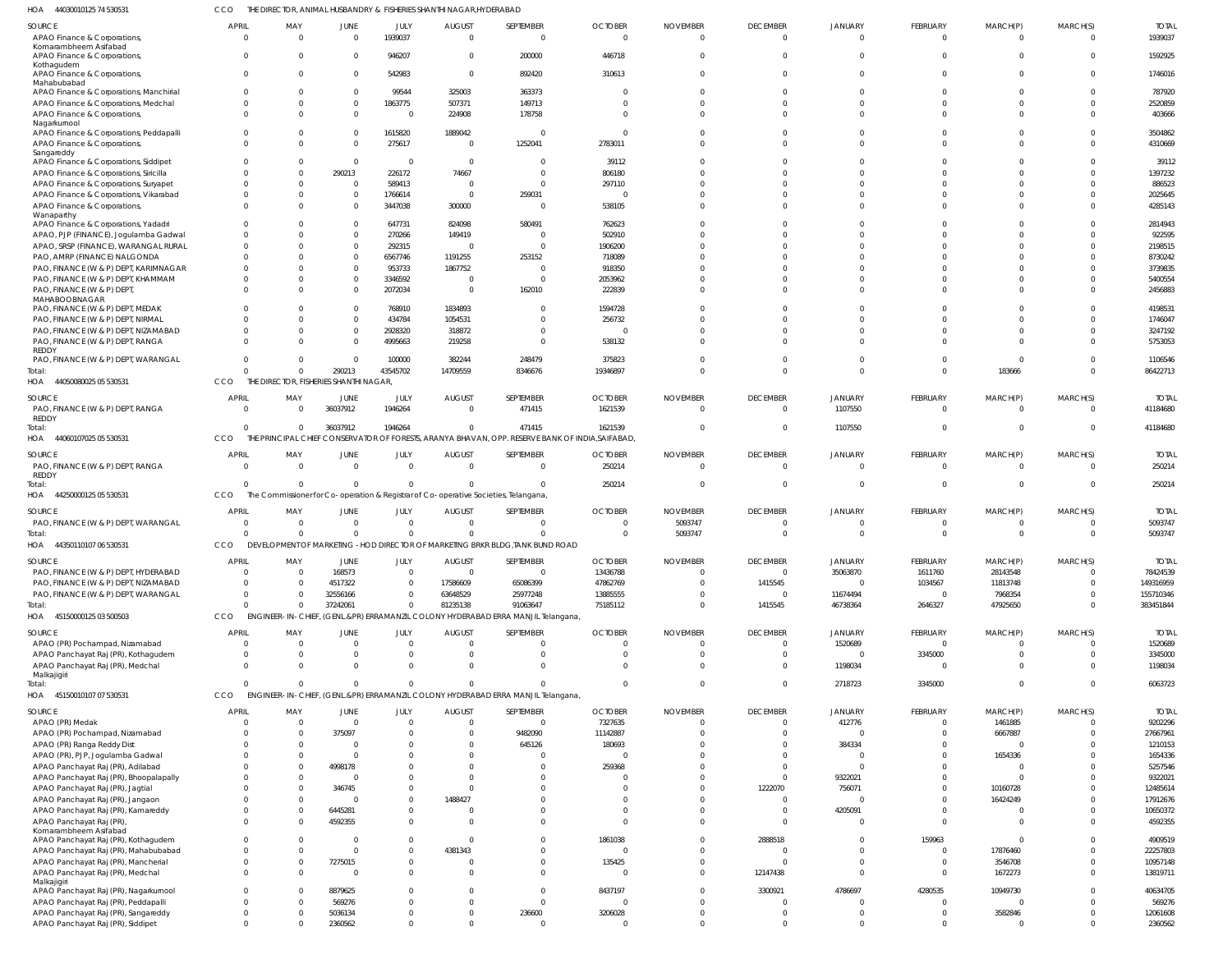44030010125 74 530531 HOA CCO THE DIRECTOR, ANIMAL HUSBANDRY & FISHERIES SHANTHI NAGAR,HYDERABAD

|                                                                               | <b>APRIL</b>       |                                                                                    |                          |                      |                               |                                                                                                  |                            |                             |                                   |                            |                                |                            |                            |                         |
|-------------------------------------------------------------------------------|--------------------|------------------------------------------------------------------------------------|--------------------------|----------------------|-------------------------------|--------------------------------------------------------------------------------------------------|----------------------------|-----------------------------|-----------------------------------|----------------------------|--------------------------------|----------------------------|----------------------------|-------------------------|
| SOURCE<br>APAO Finance & Corporations,                                        | $\Omega$           | MAY<br>$\Omega$                                                                    | JUNE<br>$\overline{0}$   | JULY<br>1939037      | <b>AUGUST</b><br>$\mathbf{0}$ | SEPTEMBER<br>$\overline{0}$                                                                      | <b>OCTOBER</b><br>$\Omega$ | <b>NOVEMBER</b><br>$\Omega$ | <b>DECEMBER</b><br>$\overline{0}$ | <b>JANUARY</b><br>$\Omega$ | <b>FEBRUARY</b><br>$\mathbf 0$ | MARCH(P)<br>$\overline{0}$ | MARCH(S)<br>$\Omega$       | <b>TOTAL</b><br>1939037 |
| Komarambheem Asifabad                                                         |                    |                                                                                    |                          |                      |                               |                                                                                                  |                            |                             |                                   |                            |                                |                            |                            |                         |
| APAO Finance & Corporations,                                                  | $\Omega$           | $\Omega$                                                                           | $\mathbf 0$              | 946207               | $\mathbf{0}$                  | 200000                                                                                           | 446718                     | $\Omega$                    | $\Omega$                          | $\Omega$                   | $\mathbf 0$                    | $\mathbf 0$                | $\Omega$                   | 1592925                 |
| Kothagudem                                                                    |                    |                                                                                    |                          |                      |                               |                                                                                                  |                            |                             |                                   |                            |                                |                            |                            |                         |
| APAO Finance & Corporations,<br>Mahabubabad                                   | $\Omega$           | $\Omega$                                                                           | $\Omega$                 | 542983               | $\overline{0}$                | 892420                                                                                           | 310613                     | $\Omega$                    | $\Omega$                          | $\Omega$                   | $\Omega$                       | $\mathbf 0$                | $\Omega$                   | 1746016                 |
| APAO Finance & Corporations, Manchirial                                       | $\Omega$           | $\Omega$                                                                           | $\Omega$                 | 99544                | 325003                        | 363373                                                                                           | $\Omega$                   | $\Omega$                    | $\Omega$                          | $\Omega$                   | $\Omega$                       | $\Omega$                   | $\Omega$                   | 787920                  |
| APAO Finance & Corporations, Medchal                                          | $\Omega$           | $\Omega$                                                                           | $\overline{0}$           | 1863775              | 507371                        | 149713                                                                                           | $\Omega$                   | $\Omega$                    | $\Omega$                          | $\Omega$                   | $\Omega$                       | $\Omega$                   | $\Omega$                   | 2520859                 |
| APAO Finance & Corporations,                                                  | $\Omega$           | $\Omega$                                                                           | $\Omega$                 | - 0                  | 224908                        | 178758                                                                                           | $\Omega$                   | $\Omega$                    | $\Omega$                          | $\Omega$                   | $\Omega$                       | $\Omega$                   | $\Omega$                   | 403666                  |
| Nagarkurnool                                                                  |                    |                                                                                    |                          |                      |                               |                                                                                                  |                            |                             |                                   |                            |                                |                            |                            |                         |
| APAO Finance & Corporations, Peddapalli                                       | $\Omega$           | $\Omega$                                                                           | $\Omega$                 | 1615820              | 1889042                       | $\Omega$                                                                                         | $\Omega$                   | $\Omega$                    | $\Omega$                          | $\Omega$                   | $\Omega$                       | $\Omega$                   | $\Omega$                   | 3504862                 |
| APAO Finance & Corporations,<br>Sangareddy                                    | $\Omega$           | $\Omega$                                                                           | $\Omega$                 | 275617               | $\overline{0}$                | 1252041                                                                                          | 2783011                    | $\Omega$                    | $\Omega$                          | $\Omega$                   | $\Omega$                       | $\Omega$                   | $\Omega$                   | 4310669                 |
| APAO Finance & Corporations, Siddipet                                         | $\Omega$           | $\Omega$                                                                           | $\overline{0}$           | - 0                  | $\overline{0}$                | $\Omega$                                                                                         | 39112                      | $\Omega$                    | $\Omega$                          | $\Omega$                   | $\Omega$                       | $\Omega$                   | $\Omega$                   | 39112                   |
| APAO Finance & Corporations, Siricilla                                        | $\Omega$           | $\Omega$                                                                           | 290213                   | 226172               | 74667                         | $\Omega$                                                                                         | 806180                     | $\Omega$                    | $\Omega$                          | $\Omega$                   | $\Omega$                       | $\Omega$                   | $\Omega$                   | 1397232                 |
| APAO Finance & Corporations, Suryapet                                         | $\Omega$           | $\Omega$                                                                           | $\overline{0}$           | 589413               | 0                             | $\Omega$                                                                                         | 297110                     | $\Omega$                    | $\Omega$                          | $\Omega$                   | $\Omega$                       | $\Omega$                   | $\Omega$                   | 886523                  |
| APAO Finance & Corporations, Vikarabad                                        |                    | $\Omega$                                                                           | $\mathbf{0}$             | 1766614              | $\overline{0}$                | 259031                                                                                           | 0                          | $\Omega$                    | $\Omega$                          | $\Omega$                   | $\Omega$                       | $\Omega$                   | $\Omega$                   | 2025645                 |
| APAO Finance & Corporations,                                                  | $\Omega$           | $\Omega$                                                                           | $\mathbf 0$              | 3447038              | 300000                        | $\Omega$                                                                                         | 538105                     | $\Omega$                    | $\Omega$                          | $\Omega$                   | $\Omega$                       | $\Omega$                   | $\Omega$                   | 4285143                 |
| Wanaparthy                                                                    | $\Omega$           | $\Omega$                                                                           | $\Omega$                 | 647731               | 824098                        | 580491                                                                                           | 762623                     | $\Omega$                    | $\Omega$                          | $\Omega$                   | $\Omega$                       | $\Omega$                   | $\Omega$                   | 2814943                 |
| APAO Finance & Corporations, Yadadri<br>APAO, PJP (FINANCE), Jogulamba Gadwal | $\Omega$           | $\Omega$                                                                           | $\overline{0}$           | 270266               | 149419                        |                                                                                                  | 502910                     | $\Omega$                    | $\Omega$                          | $\Omega$                   | $\Omega$                       | $\Omega$                   | $\Omega$                   | 922595                  |
| APAO, SRSP (FINANCE), WARANGAL RURAL                                          |                    | $\Omega$                                                                           | $\Omega$                 | 292315               | $\overline{0}$                | $\Omega$                                                                                         | 1906200                    | $\Omega$                    | $\Omega$                          | $\Omega$                   | $\Omega$                       | $\Omega$                   | $\Omega$                   | 2198515                 |
| PAO, AMRP (FINANCE) NALGONDA                                                  | $\Omega$           | $\Omega$                                                                           | $\Omega$                 | 6567746              | 1191255                       | 253152                                                                                           | 718089                     | $\Omega$                    | $\Omega$                          | $\Omega$                   | $\Omega$                       | $\Omega$                   | $\Omega$                   | 8730242                 |
| PAO, FINANCE (W & P) DEPT, KARIMNAGAR                                         |                    | $\Omega$                                                                           | $\Omega$                 | 953733               | 1867752                       | $\Omega$                                                                                         | 918350                     | $\Omega$                    |                                   | $\cap$                     | $\Omega$                       | $\Omega$                   | $\Omega$                   | 3739835                 |
| PAO, FINANCE (W & P) DEPT, KHAMMAM                                            | $\Omega$           | $\Omega$                                                                           | $\mathbf 0$              | 3346592              | $\Omega$                      |                                                                                                  | 2053962                    | $\Omega$                    | $\Omega$                          | $\Omega$                   | $\Omega$                       | $\Omega$                   | $\Omega$                   | 5400554                 |
| PAO, FINANCE (W & P) DEPT,                                                    | $\Omega$           | $\Omega$                                                                           | $\Omega$                 | 2072034              | $\overline{0}$                | 162010                                                                                           | 222839                     | $\Omega$                    | $\Omega$                          | $\Omega$                   | $\Omega$                       | $\Omega$                   | $\Omega$                   | 2456883                 |
| MAHABOOBNAGAR                                                                 |                    |                                                                                    |                          |                      |                               |                                                                                                  |                            |                             |                                   |                            |                                |                            |                            |                         |
| PAO, FINANCE (W & P) DEPT, MEDAK                                              |                    | $\Omega$                                                                           | $\overline{0}$           | 768910               | 1834893                       | $\Omega$                                                                                         | 1594728                    | $\Omega$                    | $\Omega$                          | $\Omega$                   | $\Omega$                       | $\Omega$                   | $\Omega$                   | 4198531                 |
| PAO, FINANCE (W & P) DEPT, NIRMAL                                             |                    | $\Omega$                                                                           | $\Omega$                 | 434784               | 1054531                       | $\Omega$                                                                                         | 256732                     | $\Omega$                    | $\Omega$                          | $\Omega$                   | $\Omega$                       | $\Omega$                   | $\Omega$                   | 1746047                 |
| PAO, FINANCE (W & P) DEPT, NIZAMABAD                                          | $\Box$<br>$\Omega$ | $\Omega$<br>$\Omega$                                                               | $\mathbf 0$<br>$\Omega$  | 2928320              | 318872                        | $\Omega$<br>$\Omega$                                                                             | - 0                        | $\Omega$<br>$\Omega$        | $\Omega$<br>$\Omega$              | $\Omega$<br>$\Omega$       | $\Omega$<br>$\Omega$           | $\Omega$<br>$\Omega$       | $\Omega$<br>$\Omega$       | 3247192                 |
| PAO, FINANCE (W & P) DEPT, RANGA<br><b>REDDY</b>                              |                    |                                                                                    |                          | 4995663              | 219258                        |                                                                                                  | 538132                     |                             |                                   |                            |                                |                            |                            | 5753053                 |
| PAO, FINANCE (W & P) DEPT, WARANGAL                                           | $\Omega$           | $\Omega$                                                                           | $\Omega$                 | 100000               | 382244                        | 248479                                                                                           | 375823                     | $\Omega$                    | $\Omega$                          | $\Omega$                   | $\Omega$                       | $\overline{0}$             | $\Omega$                   | 1106546                 |
| lotal:                                                                        | $\Omega$           | $\Omega$                                                                           | 290213                   | 43545702             | 14709559                      | 8346676                                                                                          | 19346897                   | $\Omega$                    | $\Omega$                          | $\Omega$                   | $\Omega$                       | 183666                     | $\Omega$                   | 86422713                |
| HOA 44050080025 05 530531                                                     | CCO                | THE DIRECTOR, FISHERIES SHANTHI NAGAR,                                             |                          |                      |                               |                                                                                                  |                            |                             |                                   |                            |                                |                            |                            |                         |
| SOURCE                                                                        | <b>APRIL</b>       | MAY                                                                                | JUNE                     | JULY                 | <b>AUGUST</b>                 | SEPTEMBER                                                                                        | <b>OCTOBER</b>             | <b>NOVEMBER</b>             | <b>DECEMBER</b>                   | JANUARY                    | <b>FEBRUARY</b>                | MARCH(P)                   | MARCH(S)                   | total                   |
| PAO, FINANCE (W & P) DEPT, RANGA                                              | $\Omega$           | $\Omega$                                                                           | 36037912                 | 1946264              | $\Omega$                      | 471415                                                                                           | 1621539                    | $\Omega$                    | $\overline{\mathbf{0}}$           | 1107550                    | $\Omega$                       | $\Omega$                   | $\overline{0}$             | 41184680                |
| REDDY                                                                         |                    |                                                                                    |                          |                      |                               |                                                                                                  |                            |                             |                                   |                            |                                |                            |                            |                         |
| Total:                                                                        | $\Omega$           | $\Omega$                                                                           | 36037912                 | 1946264              | $\Omega$                      | 471415                                                                                           | 1621539                    | $\Omega$                    | $\Omega$                          | 1107550                    | $\Omega$                       | $\Omega$                   | $\Omega$                   | 41184680                |
| HOA 44060107025 05 530531                                                     | CCO                |                                                                                    |                          |                      |                               | THE PRINCIPAL CHIEF CONSERVATOR OF FORESTS, ARANYA BHAVAN, OPP. RESERVE BANK OF INDIA, SAIFABAD, |                            |                             |                                   |                            |                                |                            |                            |                         |
| SOURCE                                                                        | APRIL              | MAY                                                                                | JUNE                     | <b>JULY</b>          | <b>AUGUST</b>                 | SEPTEMBER                                                                                        | <b>OCTOBER</b>             | <b>NOVEMBER</b>             | <b>DECEMBER</b>                   | JANUARY                    | <b>FEBRUARY</b>                | MARCH(P)                   | MARCH(S)                   | <b>TOTAL</b>            |
| PAO, FINANCE (W & P) DEPT, RANGA                                              | $\Omega$           | $\Omega$                                                                           | $\Omega$                 | $\Omega$             | $\Omega$                      | $\overline{0}$                                                                                   | 250214                     | $\Omega$                    | $\Omega$                          | $\Omega$                   | $\overline{0}$                 | $\Omega$                   | $\Omega$                   | 250214                  |
| REDDY<br>lotal:                                                               |                    | $\Omega$                                                                           | $\Omega$                 | $\Omega$             | $\Omega$                      | $\Omega$                                                                                         | 250214                     | 0                           | $\overline{0}$                    | $\overline{0}$             | $\mathbf 0$                    | $\mathbf 0$                | $\Omega$                   | 250214                  |
| HOA 44250000125 05 530531                                                     | CCO                | The Commissioner for Co-operation & Registrar of Co-operative Societies, Telangana |                          |                      |                               |                                                                                                  |                            |                             |                                   |                            |                                |                            |                            |                         |
|                                                                               |                    |                                                                                    |                          |                      |                               |                                                                                                  |                            |                             |                                   |                            |                                |                            |                            |                         |
| SOURCE                                                                        | <b>APRIL</b>       | MAY                                                                                | JUNE                     | JULY                 | <b>AUGUST</b>                 | SEPTEMBER                                                                                        | <b>OCTOBER</b>             | <b>NOVEMBER</b>             | <b>DECEMBER</b>                   | JANUARY                    | <b>FEBRUARY</b>                | MARCH(P)                   | MARCH(S)                   | total                   |
| PAO, FINANCE (W & P) DEPT, WARANGAL                                           | $\Omega$           | $\Omega$<br>$\Omega$                                                               | $\Omega$<br>$\Omega$     | $\Omega$<br>$\Omega$ | $\Omega$<br>$\Omega$          | U<br>0                                                                                           | $\Omega$<br>$\Omega$       | 5093747                     | $\Omega$<br>$\overline{0}$        | $\Omega$                   | $\Omega$<br>$\mathbf 0$        | $\Omega$                   | $\Omega$<br>$\Omega$       | 5093747<br>5093747      |
| Total:<br>HOA 44350110107 06 530531                                           | CCO                |                                                                                    |                          |                      |                               | DEVELOPMENT OF MARKETING - HOD DIRECTOR OF MARKETING BRKR BLDG, TANK BUND ROAD                   |                            | 5093747                     |                                   |                            |                                |                            |                            |                         |
|                                                                               |                    |                                                                                    |                          |                      |                               |                                                                                                  |                            |                             |                                   |                            |                                |                            |                            |                         |
| <b>SOURCE</b>                                                                 | <b>APRII</b>       |                                                                                    |                          |                      |                               |                                                                                                  |                            |                             |                                   |                            |                                |                            |                            |                         |
| PAO, FINANCE (W & P) DEPT, HYDERABAD                                          |                    | MAY                                                                                | <b>JUNE</b>              | JULY.                | <b>AUGUST</b>                 | <b>SEPTEMBER</b>                                                                                 | <b>OCTOBER</b>             | <b>NOVEMBER</b>             | <b>DECEMBER</b>                   | JANUARY                    | <b>FFBRUARY</b>                | MARCH(P)                   | MARCH(S)                   | <b>TOTAL</b>            |
| PAO, FINANCE (W & P) DEPT, NIZAMABAD                                          | $\Omega$           | $\Omega$                                                                           | 168573                   | $\Omega$             | $\overline{0}$                | $\Omega$                                                                                         | 13436788                   | $\Omega$                    | $\Omega$                          | 35063870                   | 1611760                        | 28143548                   | $\Omega$                   | 78424539                |
|                                                                               | $\Omega$           | $\Omega$                                                                           | 4517322                  | $\Omega$             | 17586609                      | 65086399                                                                                         | 47862769                   | $\Omega$                    | 1415545                           | $\Omega$                   | 1034567                        | 11813748                   | $\Omega$                   | 149316959               |
| PAO, FINANCE (W & P) DEPT, WARANGAL                                           | $\Omega$           | $\Omega$                                                                           | 32556166                 | - 0                  | 63648529                      | 25977248                                                                                         | 13885555                   | $\Omega$                    | $\overline{0}$                    | 11674494                   | 0                              | 7968354                    | $\Omega$                   | 155710346               |
| Total:                                                                        | $\Omega$           | $\Omega$                                                                           | 37242061                 | - 0                  | 81235138                      | 91063647                                                                                         | 75185112                   | $\Omega$                    | 1415545                           | 46738364                   | 2646327                        | 47925650                   | $\Omega$                   | 383451844               |
| HOA 45150000125 03 500503                                                     | CCO                |                                                                                    |                          |                      |                               | ENGINEER-IN-CHIEF, (GENL.&PR) ERRAMANZIL COLONY HYDERABAD ERRA MANJIL Telangana,                 |                            |                             |                                   |                            |                                |                            |                            |                         |
| SOURCE                                                                        | <b>APRIL</b>       | MAY                                                                                | JUNE                     | JULY                 | <b>AUGUST</b>                 | SEPTEMBER                                                                                        | <b>OCTOBER</b>             | <b>NOVEMBER</b>             | <b>DECEMBER</b>                   | <b>JANUARY</b>             | FEBRUARY                       | MARCH(P)                   | MARCH(S)                   | <b>TOTAL</b>            |
| APAO (PR) Pochampad, Nizamabad                                                | $\Omega$           | $\Omega$                                                                           | $\Omega$                 | $\Omega$             | $\overline{0}$                | $\Omega$                                                                                         | 0                          | $\Omega$                    | $\overline{0}$                    | 1520689                    | $\overline{0}$                 | $\Omega$                   | $\Omega$                   | 1520689                 |
| APAO Panchayat Raj (PR), Kothagudem                                           | $\Omega$           | $\Omega$                                                                           | $\Omega$                 | $\Omega$             | $\Omega$                      | 0                                                                                                | $\Omega$                   | $\Omega$                    | $\Omega$                          | $\Omega$                   | 3345000                        | $\Omega$                   | $\Omega$                   | 3345000                 |
| APAO Panchayat Raj (PR), Medchal                                              | $\Omega$           | $\Omega$                                                                           | $\Omega$                 | $\Omega$             | $\Omega$                      | $\Omega$                                                                                         | $\Omega$                   | $\Omega$                    | $\overline{0}$                    | 1198034                    | $\overline{0}$                 | $\Omega$                   | $\Omega$                   | 1198034                 |
| Malkajigiri<br>Total:                                                         | $\Omega$           | $\Omega$                                                                           | $\Omega$                 |                      | $\Omega$                      | $\Omega$                                                                                         | $\Omega$                   | $\Omega$                    | $\mathbf{0}$                      | 2718723                    | 3345000                        | $\mathbf{0}$               | $\Omega$                   | 6063723                 |
| HOA<br>45150010107 07 530531                                                  | CCO                |                                                                                    |                          |                      |                               | ENGINEER-IN-CHIEF, (GENL.&PR) ERRAMANZIL COLONY HYDERABAD ERRA MANJIL Telangana,                 |                            |                             |                                   |                            |                                |                            |                            |                         |
|                                                                               |                    |                                                                                    |                          |                      |                               |                                                                                                  |                            |                             |                                   |                            |                                |                            |                            |                         |
| SOURCE                                                                        | <b>APRIL</b>       | MAY                                                                                | JUNE                     | JULY<br>$\Omega$     | <b>AUGUST</b>                 | SEPTEMBER                                                                                        | <b>OCTOBER</b>             | <b>NOVEMBER</b><br>$\Omega$ | <b>DECEMBER</b>                   | <b>JANUARY</b>             | <b>FEBRUARY</b>                | MARCH(P)                   | MARCH(S)                   | <b>TOTAL</b>            |
| APAO (PR) Medak                                                               |                    | $\overline{0}$<br>$\Omega$                                                         | $\overline{0}$           | - 0                  | $\overline{0}$<br>$\Omega$    | $\overline{0}$                                                                                   | 7327635                    | $\Omega$                    | $\overline{0}$<br>$\Omega$        | 412776                     | $\mathbf 0$                    | 1461885                    | $\overline{0}$<br>$\Omega$ | 9202296                 |
| APAO (PR) Pochampad, Nizamabad                                                |                    | $\Omega$                                                                           | 375097<br>$\overline{0}$ | $\Omega$             | $\Omega$                      | 9482090<br>645126                                                                                | 11142887                   | $\Omega$                    | $\Omega$                          | $\overline{0}$             | $\mathbf 0$<br>$\Omega$        | 6667887<br>$\mathbf 0$     |                            | 27667961                |
| APAO (PR) Ranga Reddy Dist                                                    |                    | $\Omega$                                                                           | $\Omega$                 |                      | $\Omega$                      |                                                                                                  | 180693<br>0                | $\Omega$                    | $\Omega$                          | 384334<br>$\Omega$         | $\Omega$                       |                            |                            | 1210153<br>1654336      |
| APAO (PR), PJP, Jogulamba Gadwal<br>APAO Panchayat Raj (PR), Adilabad         |                    | $\Omega$                                                                           | 4998178                  |                      | $\Omega$                      |                                                                                                  | 259368                     | $\Omega$                    | $\Omega$                          | $\Omega$                   | $\Omega$                       | 1654336<br>$\overline{0}$  |                            | 5257546                 |
| APAO Panchayat Raj (PR), Bhoopalapally                                        |                    | $\Omega$                                                                           | $\Omega$                 | - 0                  | $\Omega$                      |                                                                                                  | $\Omega$                   | $\Omega$                    | $\Omega$                          | 9322021                    | $\Omega$                       | $\Omega$                   |                            | 9322021                 |
| APAO Panchayat Raj (PR), Jagtial                                              |                    | $\Omega$                                                                           | 346745                   | $\Omega$             | $\Omega$                      |                                                                                                  | $\Omega$                   | $\Omega$                    | 1222070                           | 756071                     | $\Omega$                       | 10160728                   |                            | 12485614                |
| APAO Panchayat Raj (PR), Jangaon                                              |                    | $\Omega$                                                                           | $\Omega$                 | $\Omega$             | 1488427                       |                                                                                                  | $\Omega$                   | $\Omega$                    | $\Omega$                          | $\Omega$                   | $\Omega$                       | 16424249                   | <sup>0</sup>               | 17912676                |
| APAO Panchayat Raj (PR), Kamareddy                                            |                    | $\Omega$                                                                           | 6445281                  | $\Omega$             | $\Omega$                      |                                                                                                  | $\Omega$                   | $\Omega$                    | $\overline{0}$                    | 4205091                    | $\Omega$                       | $\mathbf 0$                | $\Omega$                   | 10650372                |
| APAO Panchayat Raj (PR),                                                      |                    | $\Omega$                                                                           | 4592355                  | $\Omega$             | $\Omega$                      | 0                                                                                                | $\Omega$                   | $\Omega$                    | $\Omega$                          | $\Omega$                   | $\Omega$                       | $\mathbf 0$                | $\Omega$                   | 4592355                 |
| Komarambheem Asifabad                                                         |                    |                                                                                    | $\Omega$                 | $\Omega$             | $\Omega$                      | $\Omega$                                                                                         |                            | $\Omega$                    |                                   | $\Omega$                   |                                | $\Omega$                   | $\Omega$                   |                         |
| APAO Panchayat Raj (PR), Kothagudem                                           | $\Omega$           | $\Omega$                                                                           | $\overline{0}$           | $\Omega$             | 4381343                       | $\Omega$                                                                                         | 1861038<br>0               | $\Omega$                    | 2888518<br>$\Omega$               | $\Omega$                   | 159963<br>$\overline{0}$       | 17876460                   | $\Omega$                   | 4909519                 |
| APAO Panchayat Raj (PR), Mahabubabad                                          | $\Omega$           | $\Omega$                                                                           | 7275015                  | $\Omega$             | $\overline{0}$                | $\Omega$                                                                                         | 135425                     | $\Omega$                    | $\Omega$                          | $\overline{0}$             | $\overline{0}$                 | 3546708                    | $\Omega$                   | 22257803<br>10957148    |
| APAO Panchayat Raj (PR), Mancherial<br>APAO Panchayat Raj (PR), Medchal       | $\Omega$           | $\Omega$                                                                           | $\Omega$                 | - 0                  | $\Omega$                      |                                                                                                  | $\Omega$                   | $\Omega$                    | 12147438                          | $\Omega$                   | $\mathbf{0}$                   | 1672273                    | $\Omega$                   | 13819711                |
| Malkajigiri                                                                   |                    |                                                                                    |                          |                      |                               |                                                                                                  |                            |                             |                                   |                            |                                |                            |                            |                         |
| APAO Panchayat Raj (PR), Nagarkurnool                                         |                    | $\Omega$                                                                           | 8879625                  | - 0                  | $\Omega$                      | $\Omega$                                                                                         | 8437197                    | $\Omega$                    | 3300921                           | 4786697                    | 4280535                        | 10949730                   |                            | 40634705                |
| APAO Panchayat Raj (PR), Peddapalli                                           | $\Omega$           | $\Omega$                                                                           | 569276                   | $\Omega$             | $\Omega$                      | $\Omega$                                                                                         | 0                          | $\Omega$                    | $\Omega$                          | $\Omega$                   | 0                              | $\overline{0}$             | $\Omega$                   | 569276                  |
| APAO Panchayat Raj (PR), Sangareddy<br>APAO Panchayat Raj (PR), Siddipet      | $\mathbf 0$        | $\Omega$<br>$\Omega$                                                               | 5036134<br>2360562       | - 0<br>$\Omega$      | 0<br>$\Omega$                 | 236600<br>$\overline{0}$                                                                         | 3206028<br>$\overline{0}$  | $\Omega$<br>$\Omega$        | $\overline{0}$<br>$\Omega$        | $\Omega$<br>$\overline{0}$ | $\mathbf{0}$<br>$\Omega$       | 3582846<br>$\mathbf 0$     | $\Omega$<br>$\Omega$       | 12061608<br>2360562     |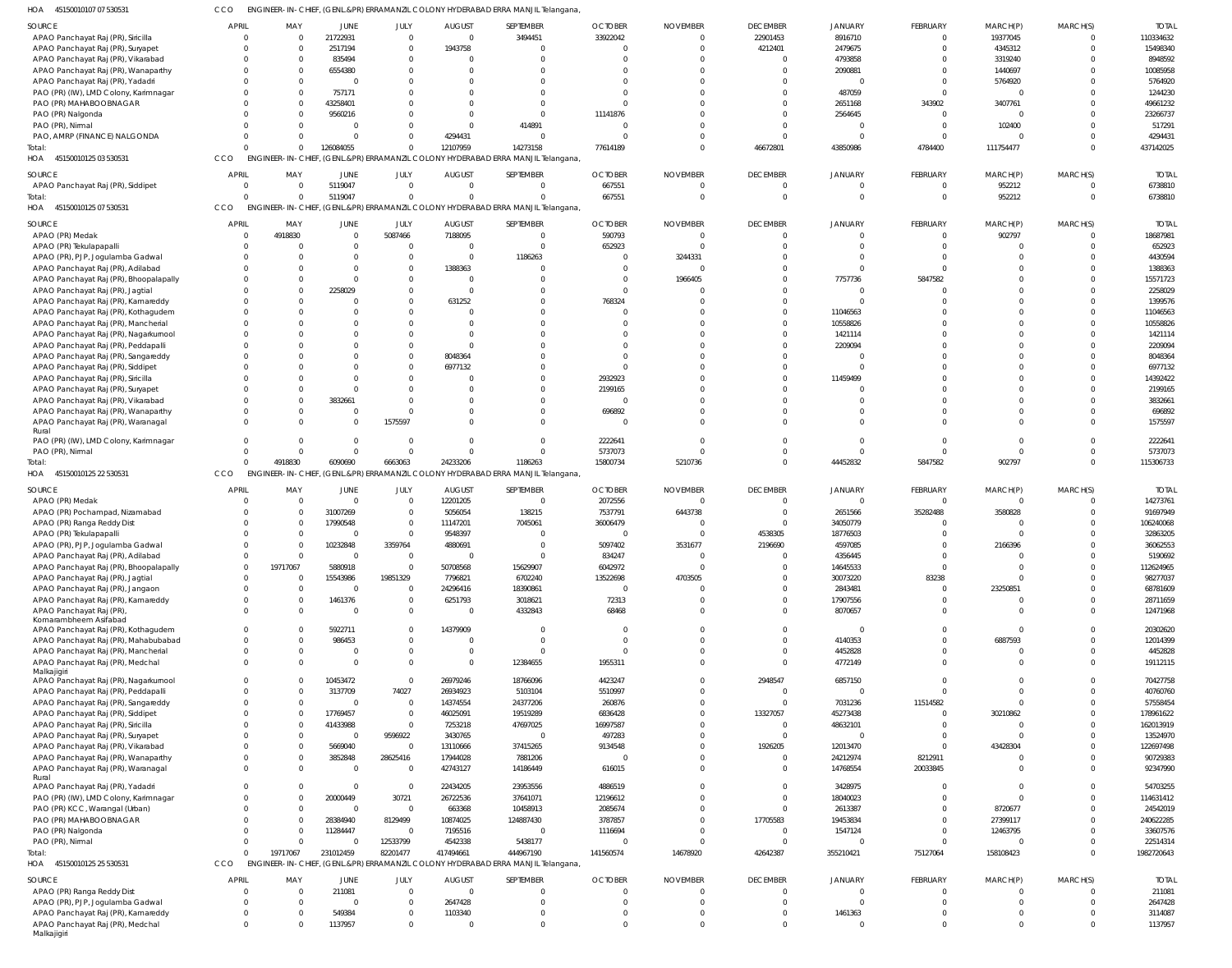| 45150010107 07 530531<br><b>HOA</b>   | CCO          |          |              |             |               | ENGINEER-IN-CHIEF, (GENL.&PR) ERRAMANZIL COLONY HYDERABAD ERRA MANJIL Telangana, |                |                 |                 |                |          |           |
|---------------------------------------|--------------|----------|--------------|-------------|---------------|----------------------------------------------------------------------------------|----------------|-----------------|-----------------|----------------|----------|-----------|
| SOURCE                                | APRIL        | MAY      | <b>JUNE</b>  | JULY        | <b>AUGUST</b> | SEPTEMBER                                                                        | <b>OCTOBER</b> | <b>NOVEMBER</b> | <b>DECEMBER</b> | <b>JANUARY</b> | FEBRUARY | MARCH(P)  |
| APAO Panchayat Raj (PR), Siricilla    |              | $\Omega$ | 21722931     | $\Omega$    |               | 3494451                                                                          | 33922042       |                 | 22901453        | 8916710        |          | 19377045  |
| APAO Panchayat Raj (PR), Suryapet     |              |          | 2517194      | $\Omega$    | 1943758       |                                                                                  |                |                 | 4212401         | 2479675        |          | 4345312   |
| APAO Panchayat Raj (PR), Vikarabad    |              |          | 835494       |             |               |                                                                                  |                |                 |                 | 4793858        |          | 3319240   |
| APAO Panchayat Raj (PR), Wanaparthy   |              |          | 6554380      |             |               |                                                                                  |                |                 |                 | 2090881        |          | 1440697   |
| APAO Panchayat Raj (PR), Yadadri      |              |          |              |             |               |                                                                                  |                |                 |                 |                |          | 5764920   |
| PAO (PR) (IW), LMD Colony, Karimnagar |              |          | 757171       |             |               |                                                                                  |                |                 |                 | 487059         |          |           |
| PAO (PR) MAHABOOBNAGAR                |              |          | 43258401     |             |               |                                                                                  |                |                 |                 | 2651168        | 343902   | 3407761   |
| PAO (PR) Nalgonda                     |              |          | 9560216      |             |               |                                                                                  | 11141876       |                 |                 | 2564645        |          |           |
| PAO (PR), Nirmal                      |              |          |              |             |               | 414891                                                                           |                |                 |                 |                |          | 102400    |
| PAO, AMRP (FINANCE) NALGONDA          |              |          |              |             | 4294431       |                                                                                  |                |                 |                 |                |          |           |
| Total:                                |              |          | 126084055    |             | 12107959      | 14273158                                                                         | 77614189       |                 | 46672801        | 43850986       | 4784400  | 111754477 |
| 45150010125 03 530531<br><b>HOA</b>   | CCO          |          |              |             |               | ENGINEER-IN-CHIEF, (GENL.&PR) ERRAMANZIL COLONY HYDERABAD ERRA MANJIL Telangana, |                |                 |                 |                |          |           |
| SOURCE                                | <b>APRIL</b> | MAY      | JUNE         | <b>JULY</b> | <b>AUGUST</b> | SEPTEMBER                                                                        | <b>OCTOBER</b> | <b>NOVEMBER</b> | <b>DECEMBER</b> | <b>JANUARY</b> | FEBRUARY | MARCH(P)  |
| APAO Panchayat Raj (PR), Siddipet     |              |          | 5119047      |             |               |                                                                                  | 667551         |                 |                 |                |          | 952212    |
| Total:                                |              |          | 5119047      |             |               |                                                                                  | 667551         |                 |                 |                |          | 952212    |
| 45150010125 07 530531<br><b>HOA</b>   | CCO          |          |              |             |               | ENGINEER-IN-CHIEF, (GENL.&PR) ERRAMANZIL COLONY HYDERABAD ERRA MANJIL Telangana, |                |                 |                 |                |          |           |
| SOURCE                                | APRIL        | MAY      | <b>JUNE</b>  | <b>JULY</b> | <b>AUGUST</b> | SEPTEMBER                                                                        | <b>OCTOBER</b> | <b>NOVEMBER</b> | <b>DECEMBER</b> | <b>JANUARY</b> | FEBRUARY | MARCH(P)  |
| APAO (PR) Medak                       |              | 4918830  | <sup>0</sup> | 5087466     | 7188095       |                                                                                  | 590793         |                 |                 |                |          | 902797    |
| APAO (PR) Tekulapapalli               |              |          |              |             |               |                                                                                  | 652923         |                 |                 |                |          |           |

APAO Panchayat Raj (PR), Waranagal

  $\mathbf 0$ 

  $\,$  0  $\,$ 

   

APAO Panchayat Raj (PR), Yadadri PAO (PR) (IW), LMD Colony, Karimnagar

Rural

| <b>SOURCE</b>                          | <b>APRIL</b> | MAY      | JUNE           | JULY     | <b>AUGUST</b> | SEPTEMBER                                                                        | <b>OCTOBER</b> | <b>NOVEMBER</b> | <b>DECEMBER</b> | <b>JANUARY</b> | <b>FEBRUARY</b> | MARCH(P)       | MARCH(S) | <b>TOTAL</b> |
|----------------------------------------|--------------|----------|----------------|----------|---------------|----------------------------------------------------------------------------------|----------------|-----------------|-----------------|----------------|-----------------|----------------|----------|--------------|
| APAO (PR) Medak                        | $\cap$       | 4918830  | $\Omega$       | 5087466  | 7188095       | $\Omega$                                                                         | 590793         | $\Omega$        | $\Omega$        | $\Omega$       | $\Omega$        | 902797         | $\Omega$ | 18687981     |
| APAO (PR) Tekulapapalli                |              |          | $\Omega$       | $\Omega$ | $\Omega$      | $\Omega$                                                                         | 652923         | $\sqrt{ }$      | $\Omega$        |                | $\Omega$        | $\Omega$       | $\Omega$ | 652923       |
| APAO (PR), PJP, Jogulamba Gadwal       |              |          | $\Omega$       | $\Omega$ | $\Omega$      | 1186263                                                                          | $\Omega$       | 3244331         |                 |                | $\Omega$        | $\Omega$       |          | 4430594      |
| APAO Panchayat Raj (PR), Adilabad      |              |          | $\Omega$       | $\Omega$ | 1388363       | $\Omega$                                                                         | $\Omega$       | $\cup$          |                 |                | $\Omega$        |                |          | 1388363      |
| APAO Panchayat Raj (PR), Bhoopalapally |              |          | $\Omega$       | $\Omega$ | $\Omega$      | $\Omega$                                                                         | $\Omega$       | 1966405         |                 | 7757736        | 5847582         |                |          | 15571723     |
| APAO Panchayat Raj (PR), Jagtial       |              |          | 2258029        | $\Omega$ | $\sqrt{ }$    | $\Omega$                                                                         | $\Omega$       |                 |                 | $\Omega$       | $\Omega$        |                |          | 2258029      |
| APAO Panchayat Raj (PR), Kamareddy     |              |          | $\Omega$       | $\Omega$ | 631252        | $\Omega$                                                                         | 768324         |                 |                 |                | $\Omega$        |                |          | 1399576      |
| APAO Panchayat Raj (PR), Kothagudem    |              |          | $\Omega$       | $\Omega$ | $\Omega$      | $\Omega$                                                                         | $\Omega$       |                 |                 | 11046563       |                 |                |          | 11046563     |
| APAO Panchayat Raj (PR), Mancherial    |              |          | $\Omega$       | $\Omega$ | $\sqrt{ }$    | $\Omega$                                                                         | $\sqrt{ }$     |                 |                 | 10558826       |                 |                |          | 10558826     |
| APAO Panchayat Raj (PR), Nagarkurnool  |              |          | $\Omega$       | $\Omega$ | $\sqrt{ }$    | $\Omega$                                                                         | $\sqrt{ }$     |                 |                 | 1421114        |                 |                |          | 1421114      |
| APAO Panchayat Raj (PR), Peddapalli    |              |          | $\Omega$       | $\Omega$ | $\Omega$      | $\Omega$                                                                         | $\sqrt{ }$     |                 |                 | 2209094        | $\Omega$        | $\Omega$       |          | 2209094      |
| APAO Panchayat Raj (PR), Sangareddy    |              |          | $\Omega$       | $\Omega$ | 8048364       | $\Omega$                                                                         | $\sqrt{ }$     |                 |                 |                | $\Omega$        | $\Omega$       |          | 8048364      |
| APAO Panchayat Raj (PR), Siddipet      |              |          | $\Omega$       | $\Omega$ | 6977132       | $\Omega$                                                                         | $\sqrt{ }$     |                 |                 |                | $\Omega$        | $\Omega$       | $\Omega$ | 6977132      |
| APAO Panchayat Raj (PR), Siricilla     |              |          | $\Omega$       | $\Omega$ | $\cup$        | $\Omega$                                                                         | 2932923        |                 |                 | 11459499       |                 | $\Omega$       |          | 14392422     |
| APAO Panchayat Raj (PR), Suryapet      |              |          | $\Omega$       | $\Omega$ | $\Omega$      | $\Omega$                                                                         | 2199165        |                 |                 |                |                 | $\Omega$       | $\Omega$ | 2199165      |
| APAO Panchayat Raj (PR), Vikarabad     |              | $\Omega$ | 3832661        | $\cap$   | $\Omega$      | $\Omega$                                                                         | $\Omega$       | $\sqrt{ }$      |                 |                | $\Omega$        | $\Omega$       |          | 3832661      |
| APAO Panchayat Raj (PR), Wanaparthy    |              | $\Omega$ | $\Omega$       | $\cap$   | $\Omega$      | $\Omega$                                                                         | 696892         | $\Omega$        |                 |                | $\Omega$        | $\Omega$       | $\Omega$ | 696892       |
| APAO Panchayat Raj (PR), Waranagal     |              |          | $\mathbf 0$    | 1575597  | $\Omega$      | $\Omega$                                                                         | $\Omega$       | $\Omega$        |                 |                | $\Omega$        | $\Omega$       | $\Omega$ | 1575597      |
| Rural                                  |              |          |                |          |               |                                                                                  |                |                 |                 |                |                 |                |          |              |
| PAO (PR) (IW), LMD Colony, Karimnagar  |              |          | $\Omega$       | $\Omega$ | $\Omega$      | $\Omega$                                                                         | 2222641        | $\sqrt{ }$      |                 |                | $\Omega$        | $\Omega$       | $\Omega$ | 2222641      |
| PAO (PR), Nirmal                       |              | $\Omega$ | $\Omega$       | $\Omega$ | $\Omega$      | $\Omega$                                                                         | 5737073        | $\Omega$        |                 |                | $\Omega$        | $\Omega$       | $\Omega$ | 5737073      |
| Total:                                 | $\cap$       | 4918830  | 6090690        | 6663063  | 24233206      | 1186263                                                                          | 15800734       | 5210736         |                 | 44452832       | 5847582         | 902797         | $\Omega$ | 115306733    |
| 45150010125 22 530531<br>HOA           | CCO          |          |                |          |               | ENGINEER-IN-CHIEF, (GENL.&PR) ERRAMANZIL COLONY HYDERABAD ERRA MANJIL Telangana, |                |                 |                 |                |                 |                |          |              |
| <b>SOURCE</b>                          | <b>APRII</b> | MAY      | <b>JUNE</b>    | JULY     | <b>AUGUST</b> | <b>SEPTEMBER</b>                                                                 | <b>OCTOBER</b> | <b>NOVEMBER</b> | <b>DECEMBER</b> | <b>JANUARY</b> | <b>FEBRUARY</b> | MARCH(P)       | MARCH(S) | <b>TOTAL</b> |
| APAO (PR) Medak                        |              | $\Omega$ | $\Omega$       | $\Omega$ | 12201205      | $\Omega$                                                                         | 2072556        | $\Omega$        | $\Omega$        |                | $\Omega$        | $\Omega$       | $\Omega$ | 14273761     |
| APAO (PR) Pochampad, Nizamabad         |              |          | 31007269       | $\Omega$ | 5056054       | 138215                                                                           | 7537791        | 6443738         | $\Omega$        | 2651566        | 35282488        | 3580828        |          | 91697949     |
| APAO (PR) Ranga Reddy Dist             |              |          | 17990548       | $\Omega$ | 11147201      | 7045061                                                                          | 36006479       | $\Omega$        | $\Omega$        | 34050779       | $\Omega$        | $\Omega$       |          | 106240068    |
| APAO (PR) Tekulapapalli                |              |          | $\overline{0}$ | $\Omega$ | 9548397       | $\Omega$                                                                         | $\mathbf 0$    | $\Omega$        | 4538305         | 18776503       | $\Omega$        | $\Omega$       |          | 32863205     |
| APAO (PR), PJP, Jogulamba Gadwal       |              |          | 10232848       | 3359764  | 4880691       | $\Omega$                                                                         | 5097402        | 3531677         | 2196690         | 4597085        | $\Omega$        | 2166396        |          | 36062553     |
| APAO Panchayat Raj (PR), Adilabad      |              | $\Omega$ | $\Omega$       | $\Omega$ | $\sqrt{ }$    | $\Omega$                                                                         | 834247         |                 | $\Omega$        | 4356445        | $\Omega$        | $\Omega$       |          | 5190692      |
| APAO Panchayat Raj (PR), Bhoopalapally |              | 19717067 | 5880918        | $\Omega$ | 50708568      | 15629907                                                                         | 6042972        |                 |                 | 14645533       | $\Omega$        | $\Omega$       |          | 112624965    |
| APAO Panchayat Raj (PR), Jagtial       |              |          | 15543986       | 19851329 | 7796821       | 6702240                                                                          | 13522698       | 4703505         |                 | 30073220       | 83238           | $\Omega$       |          | 98277037     |
| APAO Panchayat Raj (PR), Jangaon       |              | $\Omega$ | $\overline{0}$ | $\Omega$ | 24296416      | 18390861                                                                         | 0              |                 |                 | 2843481        | $\Omega$        | 23250851       |          | 68781609     |
| APAO Panchayat Raj (PR), Kamareddy     |              | $\Omega$ | 1461376        | $\Omega$ | 6251793       | 3018621                                                                          | 72313          |                 |                 | 17907556       | $\Omega$        | $\Omega$       | $\Omega$ | 28711659     |
| APAO Panchayat Raj (PR),               |              | $\Omega$ | $\Omega$       | $\Omega$ | $\Omega$      | 4332843                                                                          | 68468          | $\sqrt{ }$      | $\Omega$        | 8070657        | $\Omega$        | $\Omega$       | $\Omega$ | 12471968     |
| Komarambheem Asifabad                  |              |          |                |          |               |                                                                                  |                |                 |                 |                |                 |                |          |              |
| APAO Panchayat Raj (PR), Kothagudem    |              |          | 5922711        | $\Omega$ | 14379909      | $\Omega$                                                                         | $\Omega$       | $\sqrt{ }$      | $\Omega$        |                | $\Omega$        | $\overline{0}$ | $\Omega$ | 20302620     |
| APAO Panchayat Raj (PR), Mahabubabad   |              |          | 986453         | $\Omega$ | $\Omega$      | $\Omega$                                                                         | $\Omega$       | $\Omega$        | $\Omega$        | 4140353        | $\Omega$        | 6887593        |          | 12014399     |
| APAO Panchayat Raj (PR), Mancherial    |              |          | $\mathbf 0$    | $\Omega$ | $\mathbf 0$   | $\Omega$                                                                         | $\Omega$       | $\Omega$        |                 | 4452828        | $\Omega$        | $\Omega$       |          | 4452828      |
| APAO Panchayat Raj (PR), Medchal       |              |          | $\Omega$       | $\Omega$ | $\Omega$      | 12384655                                                                         | 1955311        | $\Omega$        |                 | 4772149        | $\Omega$        | $\Omega$       |          | 19112115     |
| Malkajigiri                            |              |          |                |          |               |                                                                                  |                |                 |                 |                |                 |                |          |              |
| APAO Panchayat Raj (PR), Nagarkurnool  |              |          | 10453472       | $\Omega$ | 26979246      | 18766096                                                                         | 4423247        | $\Omega$        | 2948547         | 6857150        | $\Omega$        | $\Omega$       |          | 70427758     |
| APAO Panchayat Raj (PR), Peddapalli    |              |          | 3137709        | 74027    | 26934923      | 5103104                                                                          | 5510997        | $\Omega$        | $\Omega$        | - 0            | $\Omega$        | $\Omega$       |          | 40760760     |
| APAO Panchayat Raj (PR), Sangareddy    |              |          | $\overline{0}$ | $\Omega$ | 14374554      | 24377206                                                                         | 260876         | $\Omega$        |                 | 7031236        | 11514582        | $\Omega$       |          | 57558454     |
| APAO Panchayat Raj (PR), Siddipet      |              |          | 17769457       | $\Omega$ | 46025091      | 19519289                                                                         | 6836428        | $\Omega$        | 13327057        | 45273438       | $\Omega$        | 30210862       |          | 178961622    |
| APAO Panchayat Raj (PR), Siricilla     |              |          | 41433988       | $\Omega$ | 7253218       | 47697025                                                                         | 16997587       | $\sqrt{ }$      | $\Omega$        | 48632101       | $\Omega$        | $\Omega$       |          | 162013919    |
| APAO Panchayat Raj (PR), Suryapet      |              |          | $\Omega$       | 9596922  | 3430765       | $\Omega$                                                                         | 497283         | $\sqrt{ }$      | $\Omega$        |                |                 | $\Omega$       |          | 13524970     |
| APAO Panchayat Raj (PR), Vikarabad     |              |          | 5669040        | $\Omega$ | 13110666      | 37415265                                                                         | 9134548        | $\sqrt{ }$      | 1926205         | 12013470       | $\Omega$        | 43428304       |          | 122697498    |
| APAO Panchayat Raj (PR), Wanaparthy    |              |          | 3852848        | 28625416 | 17944028      | 7881206                                                                          | $\Omega$       | $\Omega$        | $\Omega$        | 24212974       | 8212911         | $\Omega$       |          | 90729383     |
|                                        |              |          |                |          |               |                                                                                  |                |                 |                 |                |                 |                |          |              |

 $\,$  0  $\,$ 

MARCH(S)

TOTAL

TOTAL

 $\,$  0  $\,$ 

 $\overline{0}$ 

MARCH(S)

| PAO (PR) KCC, Warangal (Urban)                  |              |          |           |          | 663368        | 10458913                                                                         | 2085674        |                 |                 | 2613387        |                 | 8720677   |          | 24542019     |
|-------------------------------------------------|--------------|----------|-----------|----------|---------------|----------------------------------------------------------------------------------|----------------|-----------------|-----------------|----------------|-----------------|-----------|----------|--------------|
| PAO (PR) MAHABOOBNAGAR                          |              |          | 28384940  | 8129499  | 10874025      | 124887430                                                                        | 3787857        |                 | 17705583        | 19453834       |                 | 27399117  |          | 240622285    |
| PAO (PR) Nalgonda                               |              |          | 11284447  |          | 7195516       |                                                                                  | 1116694        |                 |                 | 1547124        |                 | 12463795  |          | 33607576     |
| PAO (PR), Nirmal                                |              |          |           | 12533799 | 4542338       | 5438177                                                                          |                |                 |                 |                |                 |           |          | 22514314     |
| Total:                                          |              | 19717067 | 231012459 | 82201477 | 417494661     | 444967190                                                                        | 141560574      | 14678920        | 42642387        | 355210421      | 75127064        | 158108423 |          | 1982720643   |
| 45150010125 25 530531<br>HOA                    | CCO          |          |           |          |               | ENGINEER-IN-CHIEF, (GENL.&PR) ERRAMANZIL COLONY HYDERABAD ERRA MANJIL Telangana, |                |                 |                 |                |                 |           |          |              |
| SOURCE                                          | <b>APRIL</b> | MAY      | JUNE      | JULY     | <b>AUGUST</b> | SEPTEMBER                                                                        | <b>OCTOBER</b> | <b>NOVEMBER</b> | <b>DECEMBER</b> | <b>JANUARY</b> | <b>FEBRUARY</b> | MARCH(P)  | MARCH(S) | <b>TOTAL</b> |
| APAO (PR) Ranga Reddy Dist                      |              |          | 211081    |          |               |                                                                                  |                |                 |                 |                |                 |           |          | 211081       |
| APAO (PR), PJP, Jogulamba Gadwal                |              |          |           |          | 2647428       |                                                                                  |                |                 |                 |                |                 |           |          | 2647428      |
| APAO Panchayat Raj (PR), Kamareddy              |              |          | 549384    |          | 1103340       |                                                                                  |                |                 |                 | 1461363        |                 |           |          | 3114087      |
| APAO Panchayat Raj (PR), Medchal<br>Malkajigiri |              |          | 1137957   |          |               |                                                                                  |                |                 |                 |                |                 |           |          | 1137957      |
|                                                 |              |          |           |          |               |                                                                                  |                |                 |                 |                |                 |           |          |              |

 

  $\,$  0  $\,$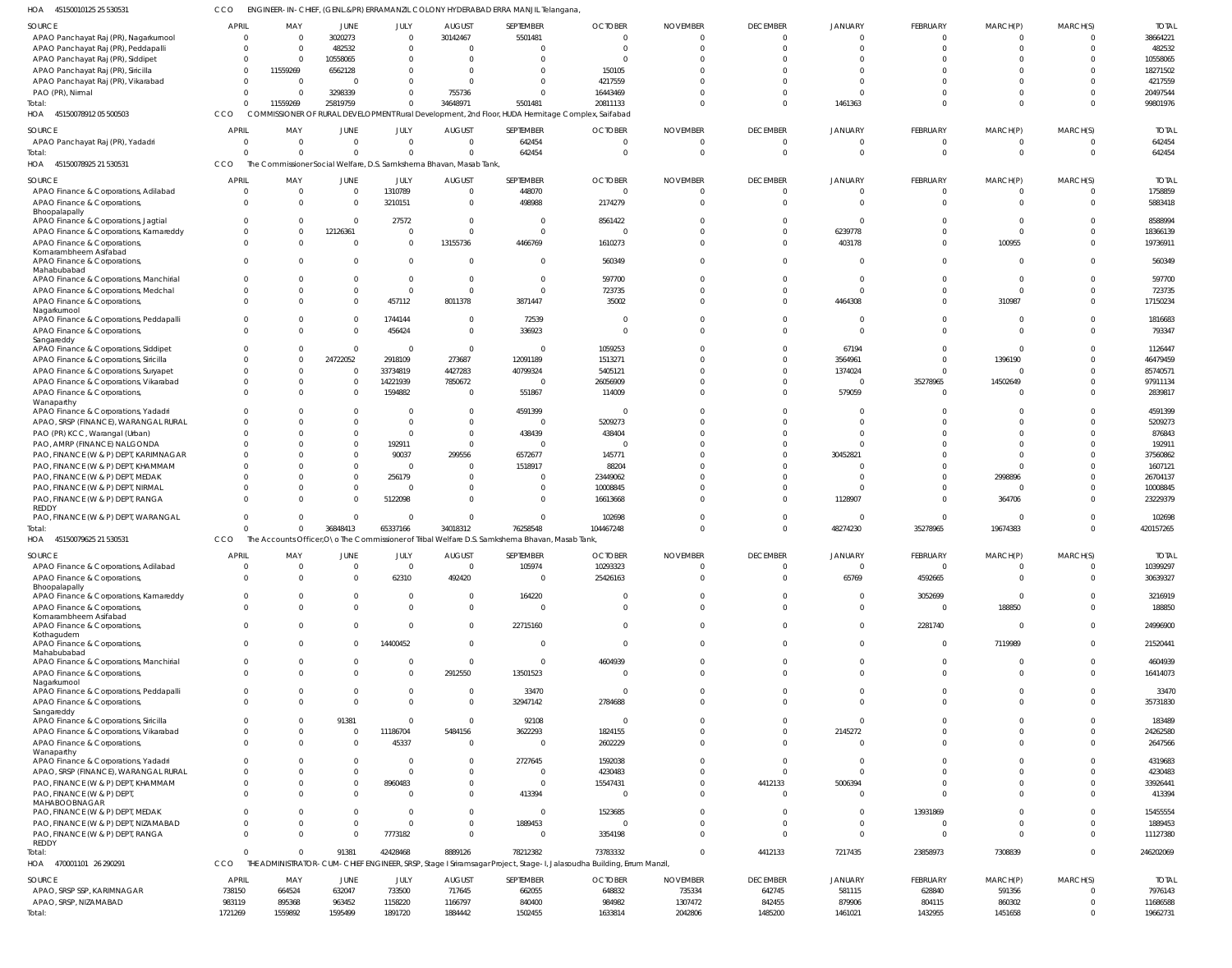|  | HOA 45150010125 25 530531 | CCO | ENGINEER-IN-CHIEF, (GENL.&PR) ERRAMANZIL COLONY HYDERABAD ERRA MANJIL Telangana, |
|--|---------------------------|-----|----------------------------------------------------------------------------------|
|--|---------------------------|-----|----------------------------------------------------------------------------------|

| <b>SOURCE</b>                              | <b>APRIL</b>      | MAY                                                                 | JUNE              | JULY               | <b>AUGUST</b>      | SEPTEMBER                                                                                        | <b>OCTOBER</b>                                                                                                       | <b>NOVEMBER</b>    | <b>DECEMBER</b>   | JANUARY           | FEBRUARY          | MARCH(P)          | MARCH(S)                   | <b>TOTAL</b>         |
|--------------------------------------------|-------------------|---------------------------------------------------------------------|-------------------|--------------------|--------------------|--------------------------------------------------------------------------------------------------|----------------------------------------------------------------------------------------------------------------------|--------------------|-------------------|-------------------|-------------------|-------------------|----------------------------|----------------------|
| APAO Panchayat Raj (PR), Nagarkurnool      | $\overline{0}$    | - 0                                                                 | 3020273           | $\Omega$           | 30142467           | 5501481                                                                                          | - 0                                                                                                                  |                    | $\overline{0}$    | $\Omega$          | $\overline{0}$    | $\overline{0}$    | $\overline{0}$             | 38664221             |
| APAO Panchayat Raj (PR), Peddapalli        | $\Omega$          | $\Omega$                                                            | 482532            | $\overline{0}$     |                    | $\mathbf 0$                                                                                      |                                                                                                                      |                    | $\Omega$          |                   | $\Omega$          | $\Omega$          | $\Omega$                   | 482532               |
| APAO Panchayat Raj (PR), Siddipet          | $\Omega$          | 0                                                                   | 10558065          | $\Omega$           | - 0                | $\Omega$                                                                                         |                                                                                                                      |                    | $\Omega$          |                   | $\Omega$          | $\Omega$          | $\Omega$                   | 10558065             |
|                                            | $\Omega$          |                                                                     |                   | $\Omega$           | - 0                | $\Omega$                                                                                         | 150105                                                                                                               |                    | $\Omega$          |                   | $\Omega$          | $\Omega$          | $\Omega$                   | 18271502             |
| APAO Panchayat Raj (PR), Siricilla         |                   | 11559269                                                            | 6562128           |                    |                    |                                                                                                  |                                                                                                                      |                    |                   |                   |                   |                   |                            |                      |
| APAO Panchayat Raj (PR), Vikarabad         | $\Omega$          | $\Omega$                                                            | $\sqrt{ }$        | $\Omega$           | - 0                | $\Omega$                                                                                         | 4217559                                                                                                              |                    | $\Omega$          | $\Omega$          | $\Omega$          | $\Omega$          | $\Omega$                   | 4217559              |
| PAO (PR), Nirmal                           | $\Omega$          | - 0                                                                 | 3298339           | $\Omega$           | 755736             | $\Omega$                                                                                         | 16443469                                                                                                             |                    | $\Omega$          | $\Omega$          | $\Omega$          | $\Omega$          | $\Omega$                   | 20497544             |
| Total:                                     | $\Omega$          | 11559269                                                            | 25819759          | $\Omega$           | 34648971           | 5501481                                                                                          | 20811133                                                                                                             |                    | $\Omega$          | 1461363           | $\Omega$          | $\Omega$          | $\Omega$                   | 99801976             |
| HOA 45150078912 05 500503                  | CCO               |                                                                     |                   |                    |                    | COMMISSIONER OF RURAL DEVELOPMENT Rural Development, 2nd Floor, HUDA Hermitage Complex, Saifabad |                                                                                                                      |                    |                   |                   |                   |                   |                            |                      |
|                                            |                   |                                                                     |                   |                    |                    |                                                                                                  |                                                                                                                      |                    |                   |                   |                   |                   |                            |                      |
| SOURCE                                     | <b>APRIL</b>      | MAY                                                                 | JUNE              | JULY               | <b>AUGUST</b>      | SEPTEMBER                                                                                        | <b>OCTOBER</b>                                                                                                       | <b>NOVEMBER</b>    | <b>DECEMBER</b>   | JANUARY           | FEBRUARY          | MARCH(P)          | MARCH(S)                   | <b>TOTAL</b>         |
| APAO Panchayat Raj (PR), Yadadri           | $\Omega$          | - 0                                                                 | $\Omega$          | $\Omega$           | $\Omega$           | 642454                                                                                           | $\sqrt{ }$                                                                                                           |                    | $\Omega$          | $\Omega$          | $\Omega$          | $\Omega$          | $\overline{0}$             | 642454               |
|                                            |                   |                                                                     |                   |                    |                    |                                                                                                  |                                                                                                                      |                    |                   |                   |                   |                   |                            |                      |
| Total:                                     | $\Omega$          | $\Omega$                                                            | $\Omega$          | $\Omega$           |                    | 642454                                                                                           |                                                                                                                      |                    | $\Omega$          | $\Omega$          | $\Omega$          | $\Omega$          | $\Omega$                   | 642454               |
| HOA<br>45150078925 21 530531               | CCO               | The Commissioner Social Welfare, D.S. Samkshema Bhavan, Masab Tank, |                   |                    |                    |                                                                                                  |                                                                                                                      |                    |                   |                   |                   |                   |                            |                      |
|                                            |                   |                                                                     |                   |                    |                    |                                                                                                  |                                                                                                                      |                    |                   |                   |                   |                   |                            |                      |
| SOURCE                                     | <b>APRIL</b>      | MAY                                                                 | <b>JUNE</b>       | JULY               | <b>AUGUST</b>      | SEPTEMBER                                                                                        | <b>OCTOBER</b>                                                                                                       | <b>NOVEMBER</b>    | <b>DECEMBER</b>   | <b>JANUARY</b>    | FEBRUARY          | MARCH(P)          | MARCH(S)                   | <b>TOTAL</b>         |
| APAO Finance & Corporations, Adilabad      | $\Omega$          | $\Omega$                                                            | $\Omega$          | 1310789            | $\Omega$           | 448070                                                                                           | $\sqrt{ }$                                                                                                           |                    | $\Omega$          | $\Omega$          | $\overline{0}$    | $\mathbf{0}$      | $\Omega$                   | 1758859              |
| APAO Finance & Corporations,               | $\Omega$          | - 0                                                                 | $\Omega$          | 3210151            | $\Omega$           | 498988                                                                                           | 2174279                                                                                                              |                    | $\Omega$          | $\Omega$          | $\Omega$          | $\overline{0}$    | $\Omega$                   | 5883418              |
| Bhoopalapally                              |                   |                                                                     |                   |                    |                    |                                                                                                  |                                                                                                                      |                    |                   |                   |                   |                   |                            |                      |
| APAO Finance & Corporations, Jagtial       | $\Omega$          | $\Omega$                                                            | $\Omega$          | 27572              | $\Omega$           | $\mathbf{0}$                                                                                     | 8561422                                                                                                              |                    | $\Omega$          | $\Omega$          | $\Omega$          | $\Omega$          | $\Omega$                   | 8588994              |
|                                            |                   |                                                                     |                   |                    |                    |                                                                                                  |                                                                                                                      |                    |                   |                   |                   |                   |                            |                      |
| APAO Finance & Corporations, Kamareddy     | $\Omega$          | $\Omega$                                                            | 12126361          | $\overline{0}$     | - 0                | $\Omega$                                                                                         |                                                                                                                      |                    | $\Omega$          | 6239778           | $\Omega$          | $\Omega$          | $\Omega$                   | 18366139             |
| APAO Finance & Corporations,               | $\Omega$          | $\Omega$                                                            | $\Omega$          | $\overline{0}$     | 13155736           | 4466769                                                                                          | 1610273                                                                                                              |                    | $\Omega$          | 403178            | $\Omega$          | 100955            | $\Omega$                   | 19736911             |
| Komarambheem Asifabad                      |                   |                                                                     |                   |                    |                    |                                                                                                  |                                                                                                                      |                    |                   |                   |                   |                   |                            |                      |
| APAO Finance & Corporations,               | $\Omega$          | $\Omega$                                                            | $\Omega$          | $\Omega$           | - 0                | $\Omega$                                                                                         | 560349                                                                                                               |                    | $\Omega$          | $\Omega$          | $\Omega$          | $\overline{0}$    | $\Omega$                   | 560349               |
| Mahabubabad                                |                   |                                                                     |                   |                    |                    |                                                                                                  |                                                                                                                      |                    |                   |                   |                   |                   |                            |                      |
| APAO Finance & Corporations, Manchirial    | $\Omega$          | $\Omega$                                                            | $\Omega$          | $\Omega$           | - 0                | $\mathbf{0}$                                                                                     | 597700                                                                                                               |                    | $\Omega$          | $\Omega$          | $\Omega$          | $\Omega$          | $\Omega$                   | 597700               |
| APAO Finance & Corporations, Medchal       | $\Omega$          | $\Omega$                                                            | $\Omega$          | $\overline{0}$     | - 0                | $\Omega$                                                                                         | 723735                                                                                                               |                    | $\Omega$          | $\Omega$          | $\Omega$          | $\Omega$          | $\Omega$                   | 723735               |
|                                            | $\Omega$          |                                                                     |                   |                    |                    |                                                                                                  |                                                                                                                      |                    |                   |                   |                   |                   |                            |                      |
| APAO Finance & Corporations,               |                   | $\Omega$                                                            | $\Omega$          | 457112             | 8011378            | 3871447                                                                                          | 35002                                                                                                                |                    | $\Omega$          | 4464308           | $\Omega$          | 310987            | $\Omega$                   | 17150234             |
| Nagarkurnool                               |                   |                                                                     |                   |                    |                    |                                                                                                  |                                                                                                                      |                    |                   |                   |                   |                   |                            |                      |
| APAO Finance & Corporations, Peddapalli    | $\Omega$          | $\Omega$                                                            | $\Omega$          | 1744144            | $\Omega$           | 72539                                                                                            | - 0                                                                                                                  |                    | $\Omega$          | $\Omega$          | $\Omega$          | $\overline{0}$    | $\Omega$                   | 1816683              |
| APAO Finance & Corporations,               | $\Omega$          | $\Omega$                                                            | $\Omega$          | 456424             | $\Omega$           | 336923                                                                                           | $\sqrt{ }$                                                                                                           |                    | $\Omega$          | $\Omega$          | $\Omega$          | $\Omega$          | $\Omega$                   | 793347               |
| Sangareddy                                 |                   |                                                                     |                   |                    |                    |                                                                                                  |                                                                                                                      |                    |                   |                   |                   |                   |                            |                      |
| APAO Finance & Corporations, Siddipet      | $\Omega$          | $\Omega$                                                            | $\overline{0}$    | $\overline{0}$     | $\Omega$           | $\overline{0}$                                                                                   | 1059253                                                                                                              |                    | $\Omega$          | 67194             | $\Omega$          | $\overline{0}$    | $\Omega$                   | 1126447              |
| APAO Finance & Corporations, Siricilla     | $\Omega$          | $\Omega$                                                            | 24722052          | 2918109            | 273687             | 12091189                                                                                         | 1513271                                                                                                              |                    | $\Omega$          | 3564961           | $\Omega$          | 1396190           | $\Omega$                   | 46479459             |
| APAO Finance & Corporations, Suryapet      | $\Omega$          | $\Omega$                                                            | $\Omega$          | 33734819           | 4427283            | 40799324                                                                                         | 5405121                                                                                                              |                    | $\Omega$          | 1374024           | $\Omega$          | $\overline{0}$    | $\Omega$                   | 85740571             |
|                                            |                   |                                                                     |                   |                    |                    |                                                                                                  |                                                                                                                      |                    |                   |                   |                   |                   |                            |                      |
| APAO Finance & Corporations, Vikarabad     | $\Omega$          | $\Omega$                                                            | $\Omega$          | 14221939           | 7850672            | $\overline{0}$                                                                                   | 26056909                                                                                                             |                    | $\Omega$          | $\Omega$          | 35278965          | 14502649          | $\Omega$                   | 97911134             |
| APAO Finance & Corporations,               | $\Omega$          | $\Omega$                                                            | $\Omega$          | 1594882            | $\Omega$           | 551867                                                                                           | 114009                                                                                                               |                    | $\Omega$          | 579059            | $\overline{0}$    | $\Omega$          | $\Omega$                   | 2839817              |
| Wanaparthy                                 |                   |                                                                     |                   |                    |                    |                                                                                                  |                                                                                                                      |                    |                   |                   |                   |                   |                            |                      |
| APAO Finance & Corporations, Yadadri       | $\Omega$          | $\Omega$                                                            | $\Omega$          | $\Omega$           | $\Omega$           | 4591399                                                                                          |                                                                                                                      |                    | $\Omega$          |                   | $\Omega$          | $\Omega$          | $\Omega$                   | 4591399              |
| APAO, SRSP (FINANCE), WARANGAL RURAL       | $\Omega$          | $\Omega$                                                            | $\Omega$          | $\Omega$           | $\Omega$           | $\overline{0}$                                                                                   | 5209273                                                                                                              |                    | $\Omega$          |                   | $\Omega$          | $\Omega$          | $\Omega$                   | 5209273              |
|                                            | $\Omega$          | $\Omega$                                                            |                   | $\Omega$           | $\Omega$           |                                                                                                  |                                                                                                                      |                    | $\Omega$          | $\Omega$          | $\Omega$          | $\Omega$          | $\Omega$                   |                      |
| PAO (PR) KCC, Warangal (Urban)             |                   |                                                                     | $\Omega$          |                    |                    | 438439                                                                                           | 438404                                                                                                               |                    |                   |                   |                   |                   |                            | 876843               |
| PAO, AMRP (FINANCE) NALGONDA               | $\Omega$          | $\Omega$                                                            | $\Omega$          | 192911             | $\Omega$           | $\mathbf 0$                                                                                      |                                                                                                                      |                    | $\Omega$          | $\Omega$          | $\Omega$          | $\Omega$          | $\Omega$                   | 192911               |
| PAO, FINANCE (W & P) DEPT, KARIMNAGAR      | <sup>0</sup>      | $\Omega$                                                            | $\Omega$          | 90037              | 299556             | 6572677                                                                                          | 145771                                                                                                               |                    | $\Omega$          | 30452821          | $\Omega$          | $\Omega$          | $\Omega$                   | 37560862             |
| PAO, FINANCE (W & P) DEPT, KHAMMAM         | $\Omega$          | $\Omega$                                                            | $\Omega$          | $\Omega$           | - 0                | 1518917                                                                                          | 88204                                                                                                                |                    |                   |                   | $\Omega$          | $\Omega$          | $\Omega$                   | 1607121              |
|                                            | $\Omega$          | $\Omega$                                                            |                   |                    |                    |                                                                                                  |                                                                                                                      |                    | $\Omega$          | $\Omega$          | $\Omega$          |                   | $\Omega$                   |                      |
| PAO, FINANCE (W & P) DEPT, MEDAK           |                   |                                                                     | $\Omega$          | 256179             | $\Omega$           | $\Omega$                                                                                         | 23449062                                                                                                             |                    |                   |                   |                   | 2998896           |                            | 26704137             |
| PAO, FINANCE (W & P) DEPT, NIRMAL          | $\Omega$          | $\Omega$                                                            | $\Omega$          | $\Omega$           |                    | $\Omega$                                                                                         | 10008845                                                                                                             |                    | $\Omega$          |                   | $\Omega$          | $\overline{0}$    | $\Omega$                   | 10008845             |
| PAO, FINANCE (W & P) DEPT, RANGA           | $\Omega$          | $\Omega$                                                            | $\Omega$          | 5122098            |                    | $\Omega$                                                                                         | 16613668                                                                                                             |                    | $\Omega$          | 1128907           | $\Omega$          | 364706            | $\Omega$                   | 23229379             |
| REDDY                                      |                   |                                                                     |                   |                    |                    |                                                                                                  |                                                                                                                      |                    |                   |                   |                   |                   |                            |                      |
| PAO, FINANCE (W & P) DEPT, WARANGAL        | $\overline{0}$    | $\Omega$                                                            | $\Omega$          | $\Omega$           | - 0                | $\mathbf{0}$                                                                                     | 102698                                                                                                               |                    | $\Omega$          | $^{\circ}$        | $\overline{0}$    | $\overline{0}$    | $\Omega$                   | 102698               |
| Total                                      | $\Omega$          | $\Omega$                                                            | 36848413          | 65337166           | 34018312           | 76258548                                                                                         | 104467248                                                                                                            |                    | $\Omega$          | 48274230          | 35278965          | 19674383          | $\overline{0}$             | 420157265            |
|                                            |                   |                                                                     |                   |                    |                    |                                                                                                  |                                                                                                                      |                    |                   |                   |                   |                   |                            |                      |
| HOA 45150079625 21 530531                  | <b>CCO</b>        |                                                                     |                   |                    |                    | The Accounts Officer, ONo The Commissioner of Tribal Welfare D.S. Samkshema Bhavan, Masab Tank   |                                                                                                                      |                    |                   |                   |                   |                   |                            |                      |
| SOURCE                                     | <b>APRIL</b>      | MAY                                                                 | JUNE              | JULY               | <b>AUGUST</b>      | SEPTEMBER                                                                                        | <b>OCTOBER</b>                                                                                                       | <b>NOVEMBER</b>    | <b>DECEMBER</b>   | <b>JANUARY</b>    | FEBRUARY          | MARCH(P)          | MARCH(S)                   | <b>TOTAL</b>         |
|                                            |                   |                                                                     |                   |                    |                    |                                                                                                  |                                                                                                                      |                    |                   |                   |                   |                   |                            |                      |
| APAO Finance & Corporations, Adilabad      |                   |                                                                     |                   |                    |                    | 105974                                                                                           | 10293323                                                                                                             |                    |                   |                   |                   |                   |                            | 10399297             |
| APAO Finance & Corporations,               | $\Omega$          | $\Omega$                                                            | $\Omega$          | 62310              | 492420             | $\mathbf{0}$                                                                                     |                                                                                                                      |                    |                   | 65769             | 4592665           | $\Omega$          |                            | 30639327             |
| Bhoopalapally                              |                   |                                                                     |                   |                    |                    |                                                                                                  | 25426163                                                                                                             |                    | $\Omega$          |                   |                   |                   | $\Omega$                   |                      |
| APAO Finance & Corporations, Kamareddy     | $\overline{0}$    |                                                                     |                   |                    |                    |                                                                                                  |                                                                                                                      |                    |                   |                   |                   |                   |                            |                      |
| APAO Finance & Corporations,               |                   | $\Omega$                                                            |                   | $\overline{0}$     | $\Omega$           | 164220                                                                                           |                                                                                                                      |                    | $\Omega$          | $\overline{0}$    | 3052699           | $\overline{0}$    | $\Omega$                   | 3216919              |
|                                            | $\Omega$          | $\Omega$                                                            | $\Omega$          | $\Omega$           | $\Omega$           | $\Omega$                                                                                         |                                                                                                                      |                    | $\Omega$          | $\Omega$          | $\Omega$          |                   | $\Omega$                   |                      |
|                                            |                   |                                                                     |                   |                    |                    |                                                                                                  |                                                                                                                      |                    |                   |                   |                   | 188850            |                            | 188850               |
| Komarambheem Asifabad                      |                   |                                                                     |                   |                    |                    |                                                                                                  |                                                                                                                      |                    |                   |                   |                   |                   |                            |                      |
| APAO Finance & Corporations,               | $\Omega$          | $\Omega$                                                            | $\Omega$          | $\Omega$           | $\Omega$           | 22715160                                                                                         |                                                                                                                      |                    | $\Omega$          | $\mathbf 0$       | 2281740           | $\Omega$          | $\Omega$                   | 24996900             |
| Kothagudem                                 | $\Omega$          | $\Omega$                                                            | $\Omega$          |                    | $\Omega$           | $\Omega$                                                                                         |                                                                                                                      |                    | $\Omega$          | $\Omega$          | $\Omega$          |                   | $\Omega$                   |                      |
| APAO Finance & Corporations,               |                   |                                                                     |                   | 14400452           |                    |                                                                                                  |                                                                                                                      |                    |                   |                   |                   | 7119989           |                            | 21520441             |
| Mahabubabad                                |                   |                                                                     |                   |                    |                    |                                                                                                  |                                                                                                                      |                    |                   |                   |                   |                   |                            |                      |
| APAO Finance & Corporations, Manchirial    | $\Omega$          | $\Omega$                                                            | $\Omega$          | $\Omega$           | $\Omega$           | $\Omega$                                                                                         | 4604939                                                                                                              |                    | $\Omega$          | $\Omega$          | $\Omega$          | $\Omega$          | $\Omega$                   | 4604939              |
| APAO Finance & Corporations,               | $\Omega$          | $\Omega$                                                            |                   | $\Omega$           | 2912550            | 13501523                                                                                         |                                                                                                                      |                    | $\Omega$          | $\Omega$          | $\Omega$          | $\Omega$          | $\Omega$                   | 16414073             |
| Nagarkurnool                               |                   |                                                                     |                   |                    |                    |                                                                                                  |                                                                                                                      |                    |                   |                   |                   |                   |                            |                      |
| APAO Finance & Corporations, Peddapalli    | $\Omega$          | $\Omega$                                                            |                   | $\Omega$           | $\Omega$           | 33470                                                                                            | $\sqrt{ }$                                                                                                           |                    | $\Omega$          | $\Omega$          | $\Omega$          | $\Omega$          | $\Omega$                   | 33470                |
|                                            | $\Omega$          | $\Omega$                                                            | $\Omega$          | $\Omega$           | $\Omega$           | 32947142                                                                                         | 2784688                                                                                                              |                    | $\Omega$          | $\Omega$          | $\Omega$          | $\Omega$          | $\Omega$                   | 35731830             |
| APAO Finance & Corporations,<br>Sangareddy |                   |                                                                     |                   |                    |                    |                                                                                                  |                                                                                                                      |                    |                   |                   |                   |                   |                            |                      |
|                                            | $\Omega$          | $\Omega$                                                            | 91381             | $\Omega$           | $\Omega$           | 92108                                                                                            |                                                                                                                      |                    |                   | $\Omega$          | $\Omega$          | $\Omega$          | $\Omega$                   | 183489               |
| APAO Finance & Corporations, Siricilla     |                   |                                                                     |                   |                    |                    |                                                                                                  |                                                                                                                      |                    |                   |                   |                   |                   |                            |                      |
| APAO Finance & Corporations, Vikarabad     | $\Omega$          | $\Omega$                                                            | $\Omega$          | 11186704           | 5484156            | 3622293                                                                                          | 1824155                                                                                                              |                    | $\Omega$          | 2145272           | $\Omega$          | $\Omega$          | $\Omega$                   | 24262580             |
| APAO Finance & Corporations,               | $\Omega$          | $\Omega$                                                            | $\Omega$          | 45337              | $\Omega$           | $\Omega$                                                                                         | 2602229                                                                                                              |                    | $\Omega$          | $\Omega$          | $\Omega$          | $\Omega$          | $\Omega$                   | 2647566              |
| Wanaparthy                                 |                   |                                                                     |                   |                    |                    |                                                                                                  |                                                                                                                      |                    |                   |                   |                   |                   |                            |                      |
| APAO Finance & Corporations, Yadadri       | $\Omega$          | $\Omega$                                                            | $\Omega$          | $\Omega$           | $\Omega$           | 2727645                                                                                          | 1592038                                                                                                              |                    | $\Omega$          | $\Omega$          | $\Omega$          | $\Omega$          | $\Omega$                   | 4319683              |
| APAO, SRSP (FINANCE), WARANGAL RURAL       | $\Omega$          | $\Omega$                                                            | $\Omega$          | $\Omega$           |                    | $\Omega$                                                                                         | 4230483                                                                                                              |                    | $\Omega$          | $\Omega$          | $\Omega$          | $\Omega$          | $\Omega$                   | 4230483              |
|                                            | $\Omega$          | $\Omega$                                                            | $\Omega$          | 8960483            |                    | $\Omega$                                                                                         | 15547431                                                                                                             |                    |                   |                   | $\Omega$          | $\Omega$          | $\Omega$                   |                      |
| PAO, FINANCE (W & P) DEPT, KHAMMAM         |                   |                                                                     |                   |                    |                    |                                                                                                  |                                                                                                                      |                    | 4412133           | 5006394           |                   |                   |                            | 33926441             |
| PAO, FINANCE (W & P) DEPT                  | $\Omega$          | $\Omega$                                                            |                   | $\Omega$           |                    | 413394                                                                                           |                                                                                                                      |                    | $\Omega$          | $\Omega$          | $\Omega$          | $\Omega$          | $\Omega$                   | 413394               |
| MAHABOOBNAGAR                              |                   |                                                                     |                   |                    |                    |                                                                                                  |                                                                                                                      |                    |                   |                   |                   |                   |                            |                      |
| PAO, FINANCE (W & P) DEPT, MEDAK           | $\Omega$          | $\Omega$                                                            | $\Omega$          | $\Omega$           | $\Omega$           | $\Omega$                                                                                         | 1523685                                                                                                              |                    | $\Omega$          | $\Omega$          | 13931869          | $\Omega$          | $\Omega$                   | 15455554             |
| PAO, FINANCE (W & P) DEPT, NIZAMABAD       | $\Omega$          | $\Omega$                                                            |                   | $\Omega$           | $\Omega$           | 1889453                                                                                          | $\sqrt{ }$                                                                                                           |                    | $\Omega$          | $\Omega$          | $\Omega$          | $\Omega$          | $\Omega$                   | 1889453              |
| PAO, FINANCE (W & P) DEPT, RANGA           | $\Omega$          | $\Omega$                                                            | $\Omega$          | 7773182            | $\Omega$           | $\Omega$                                                                                         | 3354198                                                                                                              |                    | $\Omega$          | $\Omega$          | $\Omega$          | $\Omega$          | $\Omega$                   | 11127380             |
| REDDY                                      |                   |                                                                     |                   |                    |                    |                                                                                                  |                                                                                                                      |                    |                   |                   |                   |                   |                            |                      |
| Total:                                     | $\Omega$          | $\Omega$                                                            | 91381             | 42428468           | 8889126            | 78212382                                                                                         | 73783332                                                                                                             |                    | 4412133           | 7217435           | 23858973          | 7308839           | $\Omega$                   | 246202069            |
|                                            |                   |                                                                     |                   |                    |                    |                                                                                                  |                                                                                                                      |                    |                   |                   |                   |                   |                            |                      |
| HOA 470001101 26 290291                    | CCO               |                                                                     |                   |                    |                    |                                                                                                  | THE ADMINISTRATOR-CUM-CHIEF ENGINEER, SRSP, Stage I Sriramsagar Project, Stage-I, Jalasoudha Building, Errum Manzil, |                    |                   |                   |                   |                   |                            |                      |
| SOURCE                                     | <b>APRIL</b>      | MAY                                                                 | JUNE              |                    |                    | SEPTEMBER                                                                                        | <b>OCTOBER</b>                                                                                                       | <b>NOVEMBER</b>    |                   | <b>JANUARY</b>    | FEBRUARY          |                   | MARCH(S)                   | <b>TOTAL</b>         |
|                                            |                   |                                                                     |                   | JULY               | <b>AUGUST</b>      |                                                                                                  |                                                                                                                      |                    | <b>DECEMBER</b>   |                   |                   | MARCH(P)          |                            |                      |
| APAO, SRSP SSP, KARIMNAGAR                 | 738150            | 664524                                                              | 632047            | 733500             | 717645             | 662055                                                                                           | 648832                                                                                                               | 735334             | 642745            | 581115            | 628840            | 591356            | $\Omega$                   | 7976143              |
| APAO, SRSP, NIZAMABAD<br>Total:            | 983119<br>1721269 | 895368<br>1559892                                                   | 963452<br>1595499 | 1158220<br>1891720 | 1166797<br>1884442 | 840400<br>1502455                                                                                | 984982<br>1633814                                                                                                    | 1307472<br>2042806 | 842455<br>1485200 | 879906<br>1461021 | 804115<br>1432955 | 860302<br>1451658 | $\overline{0}$<br>$\Omega$ | 11686588<br>19662731 |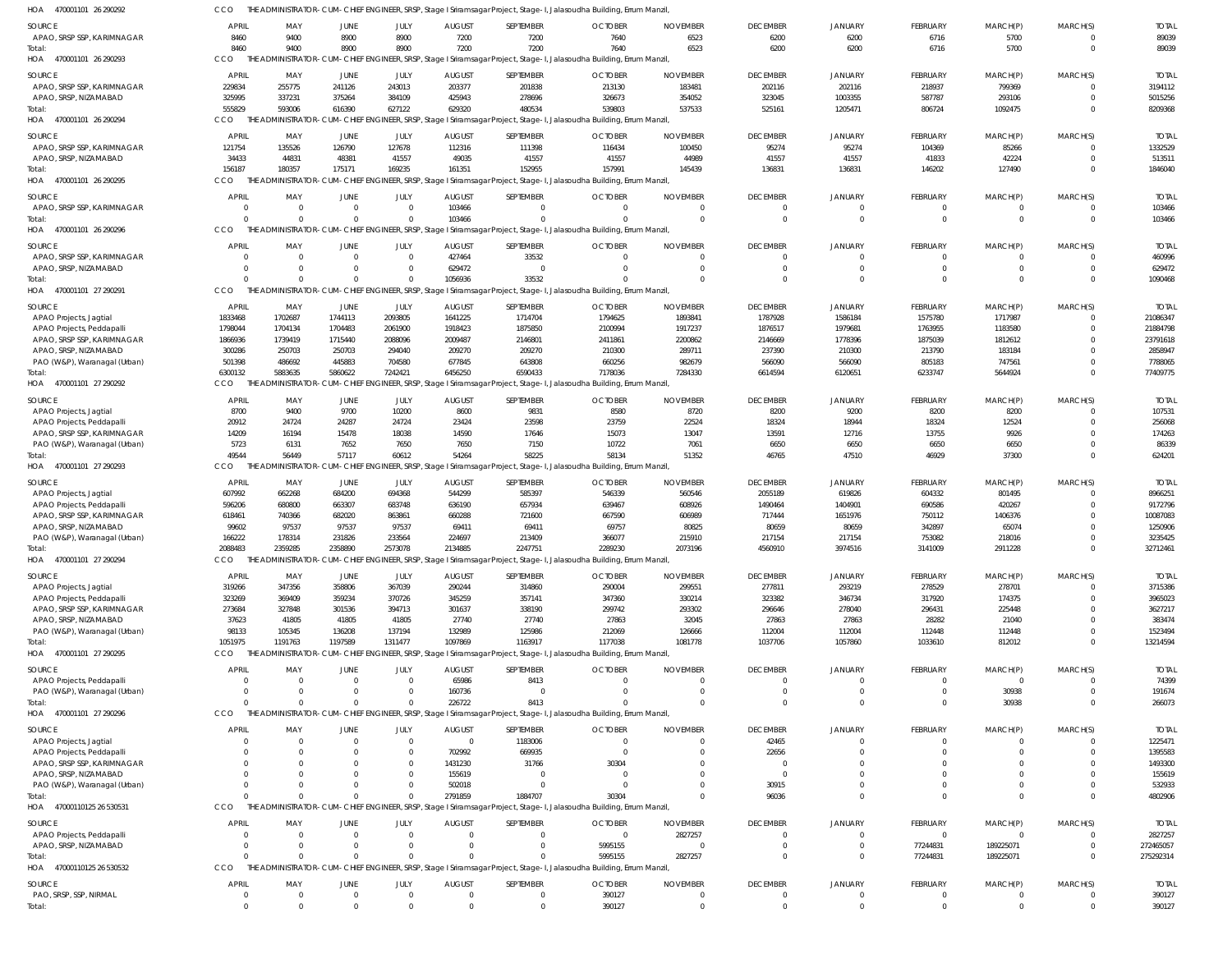470001101 26 290292 HOA 470001101 26 290293 HOA 470001101 26 290294 HOA 470001101 26 290295 470001101 26 290296 HOA 470001101 27 290291 HOA 470001101 27 290292 HOA 470001101 27 290293 HOA 470001101 27 290294 HOA 470001101 27 290295 HOA 470001101 27 290296 HOA 47000110125 26 530531 HOA 47000110125 26 530532 HOA HOA THE ADMINISTRATOR-CUM-CHIEF ENGINEER, SRSP, Stage I Sriramsagar Project, Stage-I, Jalasoudha Building, Errum Manzil, THE ADMINISTRATOR-CUM-CHIEF ENGINEER, SRSP, Stage I Sriramsagar Project, Stage-I, Jalasoudha Building, Errum Manzil, THE ADMINISTRATOR-CUM-CHIEF ENGINEER, SRSP, Stage I Sriramsagar Project, Stage-I, Jalasoudha Building, Errum Manzil, THE ADMINISTRATOR-CUM-CHIEF ENGINEER, SRSP, Stage I Sriramsagar Project, Stage-I, Jalasoudha Building, Errum Manzil, THE ADMINISTRATOR-CUM-CHIEF ENGINEER, SRSP, Stage I Sriramsagar Project, Stage-I, Jalasoudha Building, Errum Manzil, THE ADMINISTRATOR-CUM-CHIEF ENGINEER, SRSP, Stage I Sriramsagar Project, Stage-I, Jalasoudha Building, Errum Manzil, THE ADMINISTRATOR-CUM-CHIEF ENGINEER, SRSP, Stage I Sriramsagar Project, Stage-I, Jalasoudha Building, Errum Manzil, THE ADMINISTRATOR-CUM-CHIEF ENGINEER, SRSP, Stage I Sriramsagar Project, Stage-I, Jalasoudha Building, Errum Manzil, THE ADMINISTRATOR-CUM-CHIEF ENGINEER, SRSP, Stage I Sriramsagar Project, Stage-I, Jalasoudha Building, Errum Manzil, THE ADMINISTRATOR-CUM-CHIEF ENGINEER, SRSP, Stage I Sriramsagar Project, Stage-I, Jalasoudha Building, Errum Manzil, THE ADMINISTRATOR-CUM-CHIEF ENGINEER, SRSP, Stage I Sriramsagar Project, Stage-I, Jalasoudha Building, Errum Manzil, THE ADMINISTRATOR-CUM-CHIEF ENGINEER, SRSP, Stage I Sriramsagar Project, Stage-I, Jalasoudha Building, Errum Manzil, CCO. CCO **CCO CCO CCO** CCO CCO CCO CCO **CCO CCO CCO** 8460 555829 156187 0  $\theta$ 6300132 49544 2088483 1051975 0 0  $\Omega$ 0 9400 593006 180357 0  $\Omega$ 5883635 56449 2359285 1191763 0 0  $\Omega$ 0 8900 616390 175171 0  $\Omega$ 5860622 57117 2358890 1197589 0 0  $\Omega$ 0 8900 627122 169235  $\Omega$  $\Omega$ 7242421 60612 2573078 1311477 0 0  $\bigcap$ 0 7200 629320 161351 103466 1056936 6456250 54264 2134885 1097869 226722 2791859 0 0 7200 480534 152955 0 33532 6590433 58225 2247751 1163917 8413 1884707  $\Omega$ 0 7640 539803 157991 0  $\Omega$ 7178036 58134 2289230 1177038 0 30304 5995155 390127 6523 537533 145439 0  $\Omega$ 7284330 51352 2073196 1081778 0 0 2827257 0 6200 525161 136831 0  $\Omega$ 6614594 46765 4560910 1037706 0 96036 0 0 6200 1205471 136831 0 0 6120651 47510 3974516 1057860 0 0 0 0 6716 806724 146202 0 0 6233747 46929 3141009 1033610 0 0 77244831 0 5700 1092475 127490 0 0 5644924 37300 2911228 812012 30938 0 189225071  $\mathbf 0$ 0 0  $\Omega$ 0  $\Omega$  $\Omega$ 0  $\Omega$ 0 0 0 0 0 89039 8209368 1846040 103466 1090468 77409775 624201 32712461 13214594 266073 4802906 275292314 390127 APAO, SRSP SSP, KARIMNAGAR APAO, SRSP SSP, KARIMNAGAR APAO, SRSP, NIZAMABAD APAO, SRSP SSP, KARIMNAGAR APAO, SRSP, NIZAMABAD APAO, SRSP SSP, KARIMNAGAR APAO, SRSP SSP, KARIMNAGAR APAO, SRSP, NIZAMABAD APAO Projects, Jagtial APAO Projects, Peddapalli APAO, SRSP SSP, KARIMNAGAR APAO, SRSP, NIZAMABAD PAO (W&P), Waranagal (Urban) APAO Projects, Jagtial APAO Projects, Peddapalli APAO, SRSP SSP, KARIMNAGAR PAO (W&P), Waranagal (Urban) APAO Projects, Jagtial APAO Projects, Peddapalli APAO, SRSP SSP, KARIMNAGAR APAO, SRSP, NIZAMABAD PAO (W&P), Waranagal (Urban) APAO Projects, Jagtial APAO Projects, Peddapalli APAO, SRSP SSP, KARIMNAGAR APAO, SRSP, NIZAMABAD PAO (W&P), Waranagal (Urban) APAO Projects, Peddapalli PAO (W&P), Waranagal (Urban) APAO Projects, Jagtial APAO Projects, Peddapalli APAO, SRSP SSP, KARIMNAGAR APAO, SRSP, NIZAMABAD PAO (W&P), Waranagal (Urban) APAO Projects, Peddapalli APAO, SRSP, NIZAMABAD PAO, SRSP, SSP, NIRMAL SOURCE SOURCE SOURCE SOURCE SOURCE **SOURCE SOURCE SOURCE** SOURCE SOURCE **SOURCE SOURCE** SOURCE 8460 229834 325995 121754 34433  $\Omega$ 0 0 1833468 1798044 1866936 300286 501398 8700 20912 14209 5723 607992 596206 618461 99602 166222 319266 323269 273684 37623 98133 0  $\Omega$ 0  $\Omega$  $\Omega$ 0  $\Omega$  $\mathfrak{c}$  $\Omega$  $\Omega$ APRIL APRIL APRIL APRIL **APRIL** APRIL APRIL **APRIL** APRIL APRIL APRIL APRIL APRIL 9400 255775 337231 135526 44831  $\Omega$ 0 0 1702687 1704134 1739419 250703 486692 9400 24724 16194 6131 662268 680800 740366 97537 178314 347356 369409 327848 41805 105345 0 0 0  $\Omega$  $\Omega$ 0  $\Omega$ 0 0 0 MAY MAY MAY MAY MAY MAY MAY MAY MAY MAY MAY MAY MAY 8900 241126 375264 126790 48381  $\Omega$  $\mathbf 0$  $\Omega$ 1744113 1704483 1715440 250703 445883 9700 24287 15478 7652 684200 663307 682020 97537 231826 358806 359234 301536 41805 136208 0  $\Omega$ 0  $\Omega$  $\Omega$ 0  $\Omega$ 0  $\theta$  $\Omega$ JUNE JUNE JUNE JUNE **JUNE** JUNE JUNE JUNE **JUNE** JUNE JUNE JUNE JUNE 8900 243013 384109 127678 41557  $\Omega$ 0  $\Omega$ 2093805 2061900 2088096 294040 704580 10200 24724 18038 7650 694368 683748 863861 97537 233564 367039 370726 394713 41805 137194 0  $\Omega$ 0 0  $\Omega$ 0  $\bigcap$ 0  $\Omega$ 0 JULY JULY JULY JULY JULY JULY JULY JULY JULY JULY JULY JULY JULY 7200 203377 425943 112316 49035 103466 427464 629472 1641225 1918423 2009487 209270 677845 8600 23424 14590 7650 544299 636190 660288 69411 224697 290244 345259 301637 27740 132989 65986 160736 0 702992 1431230 155619 502018 0 0  $\Omega$ AUGUST **AUGUST** AUGUST AUGUST **AUGUST** AUGUST AUGUST **AUGUST AUGUST AUGUST AUGUST** AUGUST AUGUST 7200 201838 278696 111398 41557  $\Omega$ 33532  $\Omega$ 1714704 1875850 2146801 209270 643808 9831 23598 17646 7150 585397 657934 721600 69411 213409 314860 357141 338190 27740 125986 8413  $\Omega$ 1183006 669935 31766 0  $\bigcap$ 0  $\Omega$  $\Omega$ SEPTEMBER SEPTEMBER SEPTEMBER SEPTEMBER SEPTEMBER SEPTEMBER SEPTEMBER SEPTEMBER **SEPTEMBER** SEPTEMBER SEPTEMBER SEPTEMBER SEPTEMBER 7640 213130 326673 116434 41557  $\Omega$ 0  $\Omega$ 1794625 2100994 2411861 210300 660256 8580 23759 15073 10722 546339 639467 667590 69757 366077 290004 347360 299742 27863 212069 0  $\Omega$ 0 0 30304 0  $\bigcap$ 0 5995155 390127 OCTOBER **OCTOBER** OCTOBER **OCTOBER** OCTOBER **OCTOBER OCTOBER OCTOBER** OCTOBER OCTOBER OCTOBER **OCTOBER OCTOBER** 6523 183481 354052 100450 44989  $\Omega$ 0  $\Omega$ 1893841 1917237 2200862 289711 982679 8720 22524 13047 7061 560546 608926 606989 80825 215910 299551 330214 293302 32045 126666 0  $\Omega$ 0  $\Omega$  $\Omega$ 0  $\Omega$ 2827257  $\Omega$  $\Omega$ NOVEMBER NOVEMBER NOVEMBER NOVEMBER NOVEMBER NOVEMBER NOVEMBER NOVEMBER NOVEMBER NOVEMBER NOVEMBER NOVEMBER NOVEMBER 6200 202116 323045 95274 41557  $\Omega$ 0  $\Omega$ 1787928 1876517 2146669 237390 566090 8200 18324 13591 6650 2055189 1490464 717444 80659 217154 277811 323382 296646 27863 112004 0  $\Omega$ 42465 22656  $\Omega$ 0 30915 0  $\Omega$  $\Omega$ DECEMBER **DECEMBER** DECEMBER DECEMBER **DECEMBER** DECEMBER DECEMBER **DECEMBER DECEMBER DECEMBER DECEMBER** DECEMBER DECEMBER 6200 202116 1003355 95274 41557  $\Omega$ 0  $\Omega$ 1586184 1979681 1778396 210300 566090 9200 18944 12716 6650 619826 1404901 1651976 80659 217154 293219 346734 278040 27863 112004 0  $\Omega$ 0  $\Omega$  $\Omega$ 0  $\Omega$ 0 0  $\Omega$ JANUARY JANUARY JANUARY **JANUARY** JANUARY JANUARY JANUARY JANUARY JANUARY JANUARY JANUARY JANUARY JANUARY 6716 218937 587787 104369 41833  $\Omega$ 0  $\Omega$ 1575780 1763955 1875039 213790 805183 8200 18324 13755 6650 604332 690586 750112 342897 753082 278529 317920 296431 28282 112448 0  $\Omega$ 0  $\Omega$  $\Omega$ 0  $\Omega$ 0 77244831  $\Omega$ FEBRUARY **FEBRUARY** FEBRUARY FEBRUARY FEBRUARY FEBRUARY FEBRUARY FEBRUARY FEBRUARY FEBRUARY FEBRUARY FEBRUARY FEBRUARY 5700 799369 293106 85266 42224  $\Omega$ 0  $\Omega$ 1717987 1183580 1812612 183184 747561 8200 12524 9926 6650 801495 420267 1406376 65074 218016 278701 174375 225448 21040 112448 0 30938 0  $\Omega$ 0 0  $\Omega$ 0 189225071  $\Omega$ MARCH(P) MARCH(P) MARCH(P) MARCH(P) MARCH(P) MARCH(P) MARCH(P) MARCH(P) MARCH(P) MARCH(P) MARCH(P) MARCH(P) MARCH(P)  $\Omega$ 0 0  $\bigcap$ 0  $\cap$ 0  $\Omega$  $\Omega$ 0 0  $\Omega$  $\Omega$  $\Omega$ 0 0  $\Omega$ 0  $\Omega$ 0  $\Omega$  $\Omega$ 0  $\Omega$ 0  $\Omega$  $\Omega$ 0  $\Omega$ 0  $\Omega$  $\Omega$ 0  $\Omega$ 0  $\Omega$  $\Omega$ MARCH(S) MARCH(S) MARCH(S) MARCH(S) MARCH(S) MARCH(S) MARCH(S) MARCH(S) MARCH(S) MARCH(S) MARCH(S) MARCH(S) MARCH(S) 89039 3194112 5015256 1332529 513511 103466 460996 629472 21086347 21884798 23791618 2858947 7788065 107531 256068 174263 86339 8966251 9172796 10087083 1250906 3235425 3715386 3965023 3627217 383474 1523494 74399 191674 1225471 1395583 1493300 155619 532933 2827257 272465057 390127 TOTAL TOTAL TOTAL TOTAL TOTAL TOTAL TOTAL TOTAL TOTAL TOTAL TOTAL TOTAL TOTAL Total: Total: Total: Total: Total: Total: Total: Total: Total: Total: Total: Total: Total:

THE ADMINISTRATOR-CUM-CHIEF ENGINEER, SRSP, Stage I Sriramsagar Project, Stage-I, Jalasoudha Building, Errum Manzil,

CCO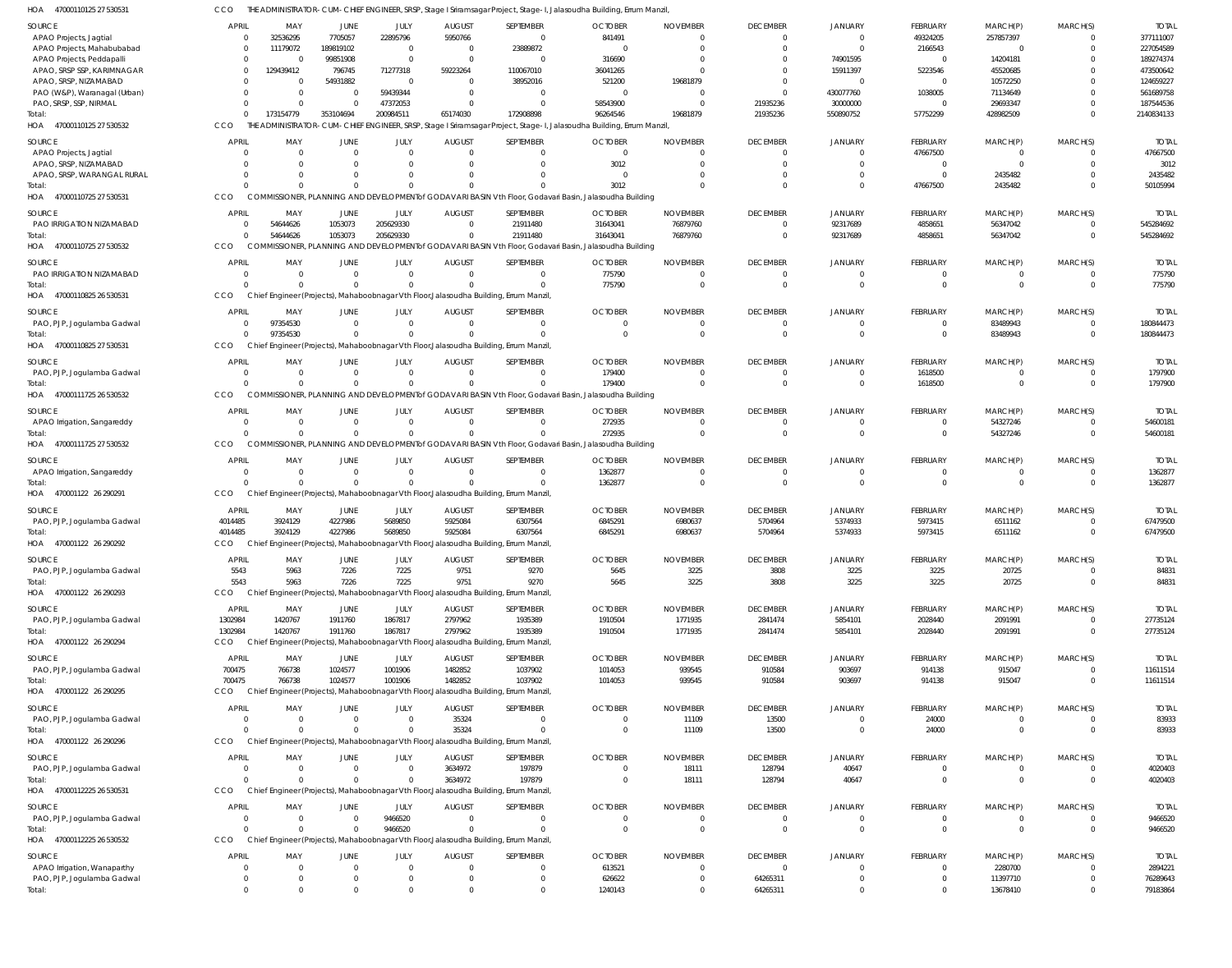47000110125 27 530531 HOA THE ADMINISTRATOR-CUM-CHIEF ENGINEER, SRSP, Stage I Sriramsagar Project, Stage-I, Jalasoudha Building, Errum Manzil, CCO

| $\overline{\phantom{a}}$<br><b>TIOUUTIOILU LI JJUJJ</b> | 〜〜〜            |                |                |                |                | ili viəliyətlər. Sonra Shibi biyotlubu işətiyətlərinin bağarı rojust, ətağu-i, ədiasədən a ballanığ, bilanı manbi |                                                                                                                      |                 |                      |                |                 |                |                |                      |
|---------------------------------------------------------|----------------|----------------|----------------|----------------|----------------|-------------------------------------------------------------------------------------------------------------------|----------------------------------------------------------------------------------------------------------------------|-----------------|----------------------|----------------|-----------------|----------------|----------------|----------------------|
| SOURCE                                                  | <b>APRIL</b>   | MAY            | JUNE           | JULY           | <b>AUGUST</b>  | SEPTEMBER                                                                                                         | <b>OCTOBER</b>                                                                                                       | <b>NOVEMBER</b> | <b>DECEMBER</b>      | <b>JANUARY</b> | FEBRUARY        | MARCH(P)       | MARCH(S)       | <b>TOTAL</b>         |
| APAO Projects, Jagtial                                  | $\Omega$       | 32536295       | 7705057        | 22895796       | 5950766        | $\Omega$                                                                                                          | 841491                                                                                                               | $\Omega$        | $\Omega$             | $\overline{0}$ | 49324205        | 257857397      | $\mathbf 0$    | 377111007            |
| APAO Projects, Mahabubabad                              | 0              | 11179072       | 189819102      | $\Omega$       | $\overline{0}$ | 23889872                                                                                                          | $\Omega$                                                                                                             | $\Omega$        | $\Omega$             | $\Omega$       | 2166543         | $\overline{0}$ | $\mathbf 0$    | 227054589            |
|                                                         |                |                |                | $\Omega$       |                |                                                                                                                   |                                                                                                                      |                 |                      |                |                 |                |                |                      |
| APAO Projects, Peddapalli                               | $\mathbf{0}$   | $\Omega$       | 99851908       |                | $\Omega$       | $\Omega$                                                                                                          | 316690                                                                                                               |                 | $\Omega$             | 74901595       | $\Omega$        | 14204181       | $\Omega$       | 189274374            |
| APAO, SRSP SSP, KARIMNAGAR                              | $\Omega$       | 129439412      | 796745         | 71277318       | 59223264       | 110067010                                                                                                         | 36041265                                                                                                             |                 |                      | 15911397       | 5223546         | 45520685       | $\Omega$       | 473500642            |
| APAO, SRSP, NIZAMABAD                                   |                | $\mathbf 0$    | 54931882       | $\Omega$       | $\overline{0}$ | 38952016                                                                                                          | 521200                                                                                                               | 19681879        | $\Omega$             | $\Omega$       | $\Omega$        | 10572250       | $\Omega$       | 124659227            |
| PAO (W&P), Waranagal (Urban)                            |                | $\Omega$       | $\mathbf 0$    | 59439344       | $\overline{0}$ | $\Omega$                                                                                                          | $\Omega$                                                                                                             |                 | $\Omega$             | 430077760      | 1038005         | 71134649       | $\Omega$       | 561689758            |
| PAO, SRSP, SSP, NIRMAL                                  |                | $\Omega$       | $\Omega$       | 47372053       | $\Omega$       | $\Omega$                                                                                                          | 58543900                                                                                                             |                 | 21935236             | 30000000       | $\Omega$        | 29693347       | $\Omega$       | 187544536            |
| Total:                                                  | $\Omega$       | 173154779      | 353104694      | 200984511      | 65174030       | 172908898                                                                                                         | 96264546                                                                                                             | 19681879        | 21935236             | 550890752      | 57752299        | 428982509      | $\Omega$       | 2140834133           |
| HOA 47000110125 27 530532                               | CCO            |                |                |                |                |                                                                                                                   | THE ADMINISTRATOR-CUM-CHIEF ENGINEER, SRSP, Stage I Sriramsagar Project, Stage-I, Jalasoudha Building, Errum Manzil, |                 |                      |                |                 |                |                |                      |
|                                                         |                |                |                |                |                |                                                                                                                   |                                                                                                                      |                 |                      |                |                 |                |                |                      |
| <b>SOURCE</b>                                           | <b>APRIL</b>   | MAY            | JUNE           | JULY           | <b>AUGUST</b>  | SEPTEMBER                                                                                                         | <b>OCTOBER</b>                                                                                                       | <b>NOVEMBER</b> | <b>DECEMBER</b>      | <b>JANUARY</b> | FEBRUARY        | MARCH(P)       | MARCH(S)       | <b>TOTAL</b>         |
| APAO Projects, Jagtial                                  | $\overline{0}$ | $\overline{0}$ | $\overline{0}$ | $\Omega$       | $\overline{0}$ | $\Omega$                                                                                                          | $\overline{\mathbf{0}}$                                                                                              |                 | $\mathbf 0$          | $\Omega$       | 47667500        | 0              | $\Omega$       | 47667500             |
| APAO, SRSP, NIZAMABAD                                   | $\Omega$       | $\Omega$       | $\Omega$       | $\Omega$       | $\Omega$       | $\Omega$                                                                                                          | 3012                                                                                                                 | $\Omega$        | $\Omega$             | $\Omega$       | $\overline{0}$  | $\Omega$       | $\mathbf 0$    | 3012                 |
| APAO, SRSP, WARANGAL RURAL                              | $\Omega$       | $\mathbf{0}$   | $\mathbf 0$    | $\Omega$       | $\Omega$       | $\Omega$                                                                                                          | $\Omega$                                                                                                             |                 | $\Omega$             | $\overline{0}$ | $\mathbf 0$     | 2435482        | $\Omega$       | 2435482              |
|                                                         |                |                |                |                |                |                                                                                                                   |                                                                                                                      |                 |                      |                |                 |                |                |                      |
| Total:                                                  | $\Omega$       | $\Omega$       | $\Omega$       | $\Omega$       | $\Omega$       | $\Omega$                                                                                                          | 3012                                                                                                                 |                 | $\Omega$             | $\Omega$       | 47667500        | 2435482        | $\Omega$       | 50105994             |
| HOA 47000110725 27 530531                               | CCO            |                |                |                |                |                                                                                                                   | COMMISSIONER, PLANNING AND DEVELOPMENT of GODAVARI BASIN Vth Floor, Godavari Basin, Jalasoudha Building              |                 |                      |                |                 |                |                |                      |
| <b>SOURCE</b>                                           | <b>APRIL</b>   | MAY            | JUNE           | JULY           | <b>AUGUST</b>  | SEPTEMBER                                                                                                         | <b>OCTOBER</b>                                                                                                       | <b>NOVEMBER</b> | <b>DECEMBER</b>      | <b>JANUARY</b> | FEBRUARY        | MARCH(P)       | MARCH(S)       | <b>TOTAL</b>         |
|                                                         | $\mathbf{0}$   | 54644626       |                |                | $\Omega$       |                                                                                                                   |                                                                                                                      | 76879760        | $\mathbf 0$          | 92317689       |                 |                | $\Omega$       | 545284692            |
| PAO IRRIGATION NIZAMABAD                                |                |                | 1053073        | 205629330      |                | 21911480                                                                                                          | 31643041                                                                                                             |                 |                      |                | 4858651         | 56347042       |                |                      |
| Total:                                                  | $\Omega$       | 54644626       | 1053073        | 205629330      | $\Omega$       | 21911480                                                                                                          | 31643041                                                                                                             | 76879760        | $\Omega$             | 92317689       | 4858651         | 56347042       | $\mathbf 0$    | 545284692            |
| 47000110725 27 530532<br>HOA                            | CCO            |                |                |                |                |                                                                                                                   | COMMISSIONER, PLANNING AND DEVELOPMENT of GODAVARI BASIN Vth Floor, Godavari Basin, Jalasoudha Building              |                 |                      |                |                 |                |                |                      |
| SOURCE                                                  | <b>APRIL</b>   | MAY            | JUNE           | JULY           | <b>AUGUST</b>  | SEPTEMBER                                                                                                         | <b>OCTOBER</b>                                                                                                       | <b>NOVEMBER</b> | <b>DECEMBER</b>      | JANUARY        | FEBRUARY        | MARCH(P)       | MARCH(S)       | <b>TOTAL</b>         |
|                                                         |                |                |                |                |                |                                                                                                                   |                                                                                                                      |                 |                      |                |                 |                |                |                      |
| PAO IRRIGATION NIZAMABAD                                | $\mathbf{0}$   | $\mathbf 0$    | $\mathbf 0$    | $\Omega$       | $\overline{0}$ | $\Omega$                                                                                                          | 775790                                                                                                               | $\Omega$        | $\overline{0}$       | $\overline{0}$ | $\overline{0}$  | 0              | $\mathbf 0$    | 775790               |
| Total:                                                  | $\Omega$       | $\Omega$       | $\mathbf{0}$   | $\Omega$       | $\Omega$       | $\Omega$                                                                                                          | 775790                                                                                                               | $\Omega$        | $\Omega$             | $\Omega$       | $\mathbf 0$     | $\mathbf 0$    | $\mathbf 0$    | 775790               |
| 47000110825 26 530531<br>HOA                            | CCO            |                |                |                |                | Chief Engineer (Projects), Mahaboobnagar Vth Floor, Jalasoudha Building, Errum Manzil,                            |                                                                                                                      |                 |                      |                |                 |                |                |                      |
|                                                         |                |                |                |                |                |                                                                                                                   |                                                                                                                      |                 |                      |                |                 |                |                |                      |
| SOURCE                                                  | <b>APRIL</b>   | MAY            | JUNE           | JULY           | <b>AUGUST</b>  | SEPTEMBER                                                                                                         | <b>OCTOBER</b>                                                                                                       | <b>NOVEMBER</b> | <b>DECEMBER</b>      | <b>JANUARY</b> | FEBRUARY        | MARCH(P)       | MARCH(S)       | <b>TOTAL</b>         |
| PAO, PJP, Jogulamba Gadwal                              | 0              | 97354530       | $\mathbf{0}$   | $\Omega$       | $\overline{0}$ | $\Omega$                                                                                                          | $\Omega$                                                                                                             | $\Omega$        | $\mathbf 0$          | $\Omega$       | 0               | 83489943       | $\mathbf 0$    | 180844473            |
| Total:                                                  | $\mathbf{0}$   | 97354530       | $\Omega$       | $\Omega$       | $\Omega$       | $\Omega$                                                                                                          | $\Omega$                                                                                                             | $\Omega$        | $\Omega$             | $\Omega$       | $\mathbf 0$     | 83489943       | $\mathbf{0}$   | 180844473            |
| HOA 47000110825 27 530531                               | CCO            |                |                |                |                | Chief Engineer (Projects), Mahaboobnagar Vth Floor, Jalasoudha Building, Errum Manzil,                            |                                                                                                                      |                 |                      |                |                 |                |                |                      |
|                                                         |                |                |                |                |                |                                                                                                                   |                                                                                                                      |                 |                      |                |                 |                |                |                      |
| <b>SOURCE</b>                                           | <b>APRIL</b>   | MAY            | JUNE           | JULY           | <b>AUGUST</b>  | SEPTEMBER                                                                                                         | <b>OCTOBER</b>                                                                                                       | <b>NOVEMBER</b> | <b>DECEMBER</b>      | <b>JANUARY</b> | FEBRUARY        | MARCH(P)       | MARCH(S)       | <b>TOTAL</b>         |
| PAO, PJP, Jogulamba Gadwal                              | $\mathbf{0}$   | $\mathbf 0$    | $\mathbf 0$    | $\Omega$       | $\overline{0}$ | $\Omega$                                                                                                          | 179400                                                                                                               |                 | $\mathbf 0$          | $\overline{0}$ | 1618500         | $\Omega$       | $\Omega$       | 1797900              |
| Total:                                                  | $\Omega$       | $\Omega$       | $\mathbf{0}$   | $\Omega$       | $\Omega$       | $\Omega$                                                                                                          | 179400                                                                                                               | $\Omega$        | $\overline{0}$       | $\Omega$       | 1618500         | $\mathbf 0$    | $\mathbf 0$    | 1797900              |
| HOA 47000111725 26 530532                               | <b>CCO</b>     |                |                |                |                |                                                                                                                   | COMMISSIONER, PLANNING AND DEVELOPMENT of GODAVARI BASIN Vth Floor, Godavari Basin, Jalasoudha Building              |                 |                      |                |                 |                |                |                      |
|                                                         |                |                |                |                |                |                                                                                                                   |                                                                                                                      |                 |                      |                |                 |                |                |                      |
| <b>SOURCE</b>                                           | <b>APRIL</b>   | MAY            | JUNE           | JULY           | <b>AUGUST</b>  | SEPTEMBER                                                                                                         | <b>OCTOBER</b>                                                                                                       | <b>NOVEMBER</b> | <b>DECEMBER</b>      | JANUARY        | FEBRUARY        | MARCH(P)       | MARCH(S)       | <b>TOTAL</b>         |
| APAO Irrigation, Sangareddy                             | $\overline{0}$ | $\Omega$       | $\mathbf{0}$   | $\Omega$       | $\Omega$       | $\Omega$                                                                                                          | 272935                                                                                                               | $\Omega$        | $\mathbf 0$          | $\overline{0}$ | 0               | 54327246       | $\Omega$       | 54600181             |
| Total:                                                  | $\Omega$       | $\Omega$       | $\Omega$       | $\Omega$       | $\Omega$       | $\Omega$                                                                                                          | 272935                                                                                                               | $\Omega$        | $\Omega$             | $\Omega$       | $\mathbf 0$     | 54327246       | $\mathbf 0$    | 54600181             |
| HOA 47000111725 27 530532                               | CCO            |                |                |                |                |                                                                                                                   | COMMISSIONER, PLANNING AND DEVELOPMENT of GODAVARI BASIN Vth Floor, Godavari Basin, Jalasoudha Building              |                 |                      |                |                 |                |                |                      |
|                                                         |                |                |                |                |                |                                                                                                                   |                                                                                                                      |                 |                      |                |                 |                |                |                      |
| SOURCE                                                  | <b>APRIL</b>   | MAY            | JUNE           | JULY           | <b>AUGUST</b>  | SEPTEMBER                                                                                                         | <b>OCTOBER</b>                                                                                                       | <b>NOVEMBER</b> | <b>DECEMBER</b>      | JANUARY        | FEBRUARY        | MARCH(P)       | MARCH(S)       | <b>TOTAL</b>         |
| APAO Irrigation, Sangareddy                             | $\mathbf{0}$   | $\mathbf 0$    | $\overline{0}$ | $\Omega$       | $\overline{0}$ | $\Omega$                                                                                                          | 1362877                                                                                                              | $\Omega$        | $\mathbf 0$          | $\overline{0}$ | $\mathbf 0$     | $^{\circ}$     | $\mathbf 0$    | 1362877              |
| Total:                                                  | $\Omega$       | $\Omega$       | $\mathbf 0$    | $\Omega$       | $\Omega$       | $\Omega$                                                                                                          | 1362877                                                                                                              | $\Omega$        | $\Omega$             | $\Omega$       | $\mathbf 0$     | $\mathbf 0$    | $\mathbf 0$    | 1362877              |
| 470001122 26 290291<br>HOA                              | CCO            |                |                |                |                | Chief Engineer (Projects), Mahaboobnagar Vth Floor, Jalasoudha Building, Errum Manzil,                            |                                                                                                                      |                 |                      |                |                 |                |                |                      |
|                                                         |                |                |                |                |                |                                                                                                                   |                                                                                                                      |                 |                      |                |                 |                |                |                      |
| SOURCE                                                  | <b>APRIL</b>   | MAY            | JUNE           | JULY           | <b>AUGUST</b>  | SEPTEMBER                                                                                                         | <b>OCTOBER</b>                                                                                                       | <b>NOVEMBER</b> | <b>DECEMBER</b>      | JANUARY        | FEBRUARY        | MARCH(P)       | MARCH(S)       | <b>TOTAL</b>         |
| PAO, PJP, Jogulamba Gadwal                              | 4014485        | 3924129        | 4227986        | 5689850        | 5925084        | 6307564                                                                                                           | 6845291                                                                                                              | 6980637         | 5704964              | 5374933        | 5973415         | 6511162        | $\Omega$       | 67479500             |
| Total:                                                  | 4014485        | 3924129        | 4227986        | 5689850        | 5925084        | 6307564                                                                                                           | 6845291                                                                                                              | 6980637         | 5704964              | 5374933        | 5973415         | 6511162        | $\Omega$       | 67479500             |
|                                                         |                |                |                |                |                |                                                                                                                   |                                                                                                                      |                 |                      |                |                 |                |                |                      |
| HOA 470001122 26 290292                                 | CCO            |                |                |                |                | Chief Engineer (Projects), Mahaboobnagar Vth Floor, Jalasoudha Building, Errum Manzil,                            |                                                                                                                      |                 |                      |                |                 |                |                |                      |
| SOURCE                                                  | APRIL          | MAY            | <b>JUNE</b>    | JULY           | <b>AUGUST</b>  | SEPTEMBER                                                                                                         | <b>OCTOBER</b>                                                                                                       | <b>NOVEMBER</b> | <b>DECEMBER</b>      | <b>JANUARY</b> | <b>FEBRUARY</b> | MARCH(P)       | MARCH(S)       | <b>TOTAL</b>         |
| PAO, PJP, Jogulamba Gadwal                              | 5543           | 5963           | 7226           | 7225           | 9751           | 9270                                                                                                              | 5645                                                                                                                 | 3225            | 3808                 | 3225           | 3225            | 20725          | $\mathbf{0}$   | 84831                |
|                                                         |                |                |                |                |                |                                                                                                                   |                                                                                                                      |                 |                      |                |                 |                |                |                      |
| Total:                                                  | 5543           | 5963           | 7226           | 7225           | 9751           | 9270                                                                                                              | 5645                                                                                                                 | 3225            | 3808                 | 3225           | 3225            | 20725          | $\mathbf 0$    | 84831                |
| HOA 470001122 26 290293                                 | CCO            |                |                |                |                | Chief Engineer (Projects), Mahaboobnagar Vth Floor, Jalasoudha Building, Errum Manzil,                            |                                                                                                                      |                 |                      |                |                 |                |                |                      |
| SOURCE                                                  | <b>APRIL</b>   | MAY            | JUNE           | JULY           | <b>AUGUST</b>  | SEPTEMBER                                                                                                         | <b>OCTOBER</b>                                                                                                       | <b>NOVEMBER</b> | <b>DECEMBER</b>      | <b>JANUARY</b> | <b>FEBRUARY</b> | MARCH(P)       | MARCH(S)       | <b>TOTAL</b>         |
|                                                         |                |                |                | 1867817        | 2797962        |                                                                                                                   |                                                                                                                      |                 |                      |                |                 |                | $\Omega$       |                      |
| PAO, PJP, Jogulamba Gadwal                              | 1302984        | 1420767        | 1911760        |                |                | 1935389                                                                                                           | 1910504                                                                                                              | 1771935         | 2841474              | 5854101        | 2028440         | 2091991        |                | 27735124             |
| Total:                                                  | 1302984        | 1420767        | 1911760        | 1867817        | 2797962        | 1935389                                                                                                           | 1910504                                                                                                              | 1771935         | 2841474              | 5854101        | 2028440         | 2091991        | $\mathbf 0$    | 27735124             |
| HOA 470001122 26 290294                                 | CCO            |                |                |                |                | Chief Engineer (Projects), Mahaboobnagar Vth Floor, Jalasoudha Building, Errum Manzil,                            |                                                                                                                      |                 |                      |                |                 |                |                |                      |
| SOURCE                                                  | <b>APRIL</b>   | MAY            | JUNE           | JULY           | <b>AUGUST</b>  | SEPTEMBER                                                                                                         | <b>OCTOBER</b>                                                                                                       | <b>NOVEMBER</b> | <b>DECEMBER</b>      | JANUARY        | <b>FEBRUARY</b> | MARCH(P)       | MARCH(S)       | <b>TOTAL</b>         |
|                                                         |                |                |                |                |                |                                                                                                                   |                                                                                                                      |                 |                      |                |                 |                |                |                      |
| PAO, PJP, Jogulamba Gadwal                              | 700475         | 766738         | 1024577        | 1001906        | 1482852        | 1037902                                                                                                           | 1014053                                                                                                              | 939545          | 910584               | 903697         | 914138          | 915047         | $\mathbf 0$    | 11611514             |
| Total:                                                  |                | 766738         | 1024577        | 1001906        | 1482852        | 1037902                                                                                                           | 1014053                                                                                                              | 939545          | 910584               | 903697         | 914138          | 915047         | $\mathbf 0$    | 11611514             |
| HOA 470001122 26 290295                                 | 700475         |                |                |                |                | Chief Engineer (Projects), Mahaboobnagar Vth Floor, Jalasoudha Building, Errum Manzil,                            |                                                                                                                      |                 |                      |                |                 |                |                |                      |
|                                                         | CCO            |                |                |                |                |                                                                                                                   |                                                                                                                      |                 |                      |                |                 |                |                |                      |
|                                                         |                |                |                |                |                |                                                                                                                   |                                                                                                                      |                 |                      |                |                 |                |                |                      |
| SOURCE                                                  | <b>APRIL</b>   | MAY            | JUNE           | JULY           | <b>AUGUST</b>  | SEPTEMBER                                                                                                         | <b>OCTOBER</b>                                                                                                       | <b>NOVEMBER</b> | <b>DECEMBER</b>      | <b>JANUARY</b> | FEBRUARY        | MARCH(P)       | MARCH(S)       | <b>TOTAL</b>         |
| PAO, PJP, Jogulamba Gadwal                              | $\mathbf{0}$   | $\mathbf{0}$   | $\overline{0}$ | $\Omega$       | 35324          | $\Omega$                                                                                                          | $\overline{0}$                                                                                                       | 11109           | 13500                | $\overline{0}$ | 24000           | $\Omega$       | $\mathbf{0}$   | 83933                |
| Total:                                                  | $\Omega$       | $\Omega$       | $\Omega$       | $\Omega$       | 35324          | $\Omega$                                                                                                          | $\Omega$                                                                                                             | 11109           | 13500                | $\overline{0}$ | 24000           | $\mathbf 0$    | $\mathbf 0$    | 83933                |
| HOA 470001122 26 290296                                 | CCO            |                |                |                |                | Chief Engineer (Projects), Mahaboobnagar Vth Floor, Jalasoudha Building, Errum Manzil,                            |                                                                                                                      |                 |                      |                |                 |                |                |                      |
|                                                         |                |                |                |                |                |                                                                                                                   |                                                                                                                      |                 |                      |                |                 |                |                |                      |
| SOURCE                                                  | <b>APRIL</b>   | MAY            | <b>JUNE</b>    | <b>JULY</b>    | <b>AUGUST</b>  | SEPTEMBER                                                                                                         | <b>OCTOBER</b>                                                                                                       | <b>NOVEMBER</b> | <b>DECEMBER</b>      | JANUARY        | FEBRUARY        | MARCH(P)       | MARCH(S)       | <b>TOTAL</b>         |
| PAO, PJP, Jogulamba Gadwal                              | $\mathbf{0}$   | $\mathbf 0$    | $\mathbf{0}$   | $\Omega$       | 3634972        | 197879                                                                                                            | 0                                                                                                                    | 18111           | 128794               | 40647          | 0               | 0              | $\mathbf{0}$   | 4020403              |
| Total:                                                  | $\Omega$       | $\Omega$       | $\mathbf 0$    | $\Omega$       | 3634972        | 197879                                                                                                            | $\overline{0}$                                                                                                       | 18111           | 128794               | 40647          | $\mathbf 0$     | $\mathbf 0$    | $\mathbf 0$    | 4020403              |
| HOA 47000112225 26 530531                               | CCO            |                |                |                |                | Chief Engineer (Projects), Mahaboobnagar Vth Floor, Jalasoudha Building, Errum Manzil,                            |                                                                                                                      |                 |                      |                |                 |                |                |                      |
|                                                         |                |                |                |                |                |                                                                                                                   |                                                                                                                      |                 |                      |                |                 |                |                |                      |
| SOURCE                                                  | <b>APRIL</b>   | MAY            | JUNE           | JULY           | <b>AUGUST</b>  | SEPTEMBER                                                                                                         | <b>OCTOBER</b>                                                                                                       | <b>NOVEMBER</b> | <b>DECEMBER</b>      | JANUARY        | FEBRUARY        | MARCH(P)       | MARCH(S)       | <b>TOTAL</b>         |
| PAO, PJP, Jogulamba Gadwal                              | $\mathbf{0}$   | $\mathbf 0$    | $\mathbf 0$    | 9466520        | $\overline{0}$ | $\Omega$                                                                                                          | $\Omega$                                                                                                             | $\Omega$        | $\mathbf 0$          | $\overline{0}$ | $\mathbf 0$     | $\Omega$       | $\overline{0}$ | 9466520              |
| Total:                                                  | $\Omega$       | $\Omega$       | $\mathbf 0$    | 9466520        | $\Omega$       | $\Omega$                                                                                                          | $\Omega$                                                                                                             | $\Omega$        | $\mathbf 0$          | $\overline{0}$ | $\mathbf 0$     | $\mathbf 0$    | $\mathbf 0$    | 9466520              |
| HOA 47000112225 26 530532                               | CCO            |                |                |                |                | Chief Engineer (Projects), Mahaboobnagar Vth Floor, Jalasoudha Building, Errum Manzil,                            |                                                                                                                      |                 |                      |                |                 |                |                |                      |
|                                                         |                |                |                |                |                |                                                                                                                   |                                                                                                                      |                 |                      |                |                 |                |                |                      |
| SOURCE                                                  | <b>APRIL</b>   | MAY            | <b>JUNE</b>    | JULY           | <b>AUGUST</b>  | SEPTEMBER                                                                                                         | <b>OCTOBER</b>                                                                                                       | <b>NOVEMBER</b> | <b>DECEMBER</b>      | JANUARY        | FEBRUARY        | MARCH(P)       | MARCH(S)       | <b>TOTAL</b>         |
| APAO Irrigation, Wanaparthy                             | $\mathbf{0}$   | $\mathbf 0$    | $\mathbf{0}$   | $\Omega$       | $\overline{0}$ | $\Omega$                                                                                                          | 613521                                                                                                               | $\Omega$        | $\overline{0}$       | $\overline{0}$ | $\mathbf 0$     | 2280700        | $\mathbf 0$    | 2894221              |
|                                                         | $\mathbf 0$    | $\mathbf 0$    | $\mathbf{0}$   | $\overline{0}$ | $\overline{0}$ | $\overline{0}$                                                                                                    | 626622                                                                                                               |                 |                      | $\overline{0}$ | $\mathbf 0$     | 11397710       | $\mathbf 0$    |                      |
| PAO, PJP, Jogulamba Gadwal<br>Total:                    | $\mathbf 0$    | $\mathbf 0$    | $\Omega$       | $\Omega$       | $\mathbf{0}$   | $\Omega$                                                                                                          | 1240143                                                                                                              | 0               | 64265311<br>64265311 | $\overline{0}$ | $\Omega$        | 13678410       | $\mathbf 0$    | 76289643<br>79183864 |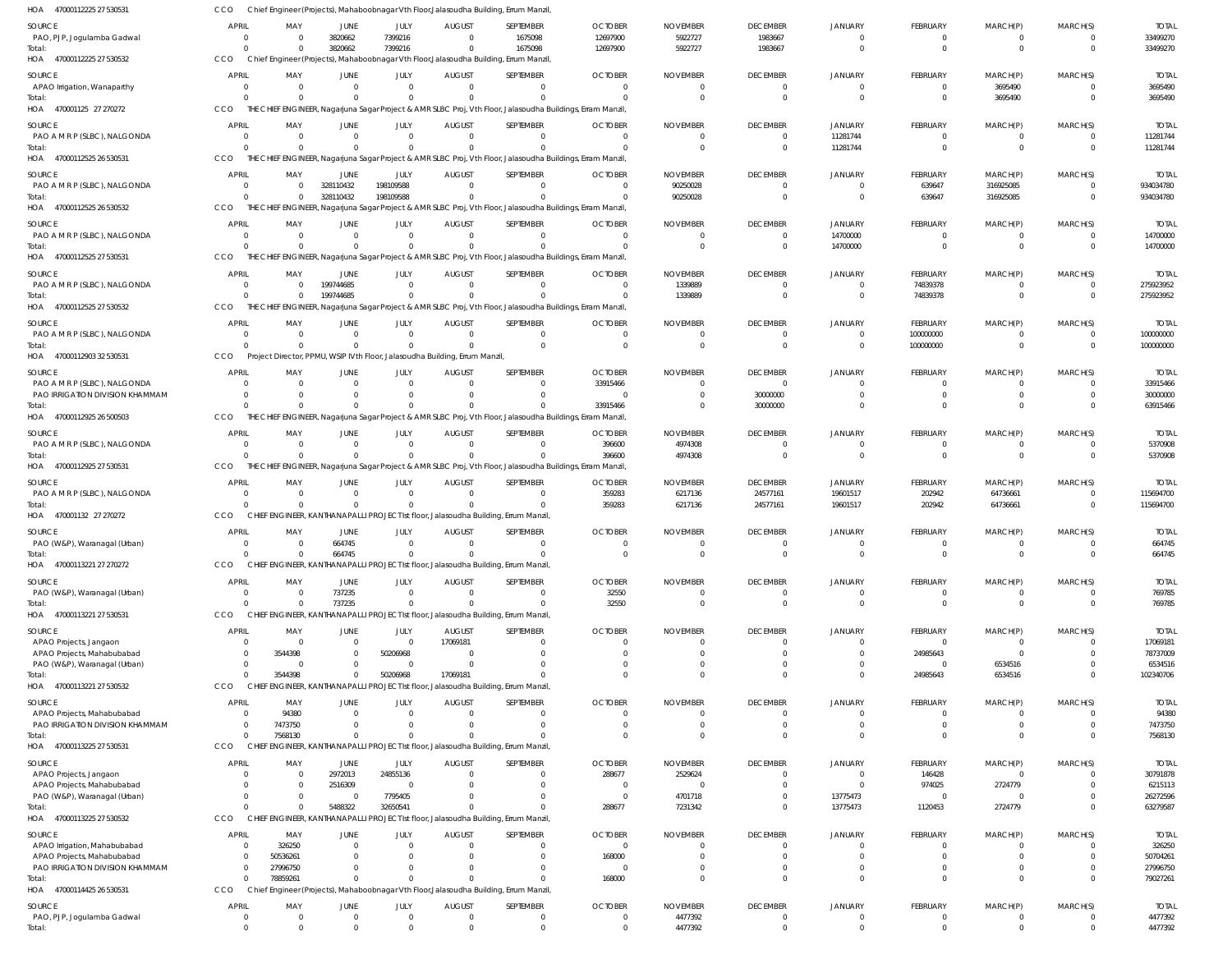47000112225 27 530531 HOA 47000112225 27 530532 HOA 470001125 27 270272 47000112525 26 530531 HOA 47000112525 26 530532 47000112525 27 530531 47000112525 27 530532 HOA 47000112903 32 530531 HOA 47000112925 26 500503 HOA 47000112925 27 530531 470001132 27 270272 47000113221 27 270272 HOA 47000113221 27 530531 HOA 47000113221 27 530532 HOA 47000113225 27 530531 HOA 47000113225 27 530532 HOA 47000114425 26 530531 HOA HOA HOA HOA HOA HOA Chief Engineer (Projects), Mahaboobnagar Vth Floor,Jalasoudha Building, Errum Manzil, CCO Chief Engineer (Projects), Mahaboobnagar Vth Floor,Jalasoudha Building, Errum Manzil, THE CHIEF ENGINEER, Nagarjuna Sagar Project & AMR SLBC Proj, Vth Floor, Jalasoudha Buildings, Erram Manzil, THE CHIEF ENGINEER, Nagarjuna Sagar Project & AMR SLBC Proj, Vth Floor, Jalasoudha Buildings, Erram Manzil, THE CHIEF ENGINEER, Nagarjuna Sagar Project & AMR SLBC Proj, Vth Floor, Jalasoudha Buildings, Erram Manzil, THE CHIEF ENGINEER, Nagarjuna Sagar Project & AMR SLBC Proj, Vth Floor, Jalasoudha Buildings, Erram Manzil, THE CHIEF ENGINEER, Nagarjuna Sagar Project & AMR SLBC Proj, Vth Floor, Jalasoudha Buildings, Erram Manzil, Project Director, PPMU, WSIP IVth Floor, Jalasoudha Building, Errum Manzil, THE CHIEF ENGINEER, Nagarjuna Sagar Project & AMR SLBC Proj, Vth Floor, Jalasoudha Buildings, Erram Manzil, THE CHIEF ENGINEER, Nagarjuna Sagar Project & AMR SLBC Proj, Vth Floor, Jalasoudha Buildings, Erram Manzil, CHIEF ENGINEER, KANTHANAPALLI PROJECT Ist floor, Jalasoudha Building, Errum Manzil, CHIEF ENGINEER, KANTHANAPALLI PROJECT Ist floor, Jalasoudha Building, Errum Manzil, CHIEF ENGINEER, KANTHANAPALLI PROJECT Ist floor, Jalasoudha Building, Errum Manzil, CHIEF ENGINEER, KANTHANAPALLI PROJECT Ist floor, Jalasoudha Building, Errum Manzil, CHIEF ENGINEER, KANTHANAPALLI PROJECT Ist floor, Jalasoudha Building, Errum Manzil, CHIEF ENGINEER, KANTHANAPALLI PROJECT Ist floor, Jalasoudha Building, Errum Manzil, Chief Engineer (Projects), Mahaboobnagar Vth Floor,Jalasoudha Building, Errum Manzil, CCO CCO CCO CCO. CCO CCO CCO **CCO CCO CCO CCO** CCO CCO C<sub>CO</sub> CCO **CCO** 0 0  $\Omega$ 0  $\Omega$  $\Omega$ 0  $\Omega$  $\Omega$  $\Omega$ 0  $\Omega$  $\Omega$ 0  $\Omega$  $\Omega$ 0 0 0  $\Omega$ 0  $\Omega$  $\Omega$ 0 0  $\Omega$ 0 0  $\Omega$ 3544398 7568130 0 78859261 0 3820662 0  $\Omega$ 328110432  $\Omega$ 199744685 0 0  $\Omega$  $\Omega$ 664745 737235 0 0 5488322  $\Omega$ 0 7399216 0  $\bigcap$ 198109588  $\Omega$  $\bigcap$ 0  $\bigcap$  $\Omega$  $\Omega$  $\Omega$  $\Omega$ 50206968 0 32650541  $\Omega$  $\Omega$ 0 0 0 0  $\Omega$  $\Omega$ 0 0 0  $\Omega$ 0  $\Omega$ 17069181 0 0  $\Omega$  $\,$  0  $\,$ 1675098 0  $\bigcap$ 0  $\Omega$  $\bigcap$ 0 0  $\Omega$  $\Omega$ 0 0 0 0 0  $\sqrt{2}$ 0 12697900  $\Omega$  $\Omega$ 0  $\Omega$ 0 0 33915466 396600 359283 0 32550 0 0 288677 168000  $\Omega$ 5922727 0  $\Omega$ 90250028  $\Omega$ 1339889 0 0 4974308 6217136 0  $\Omega$  $\Omega$ 0 7231342  $\Omega$ 4477392 1983667  $\Omega$  $\Omega$ 0  $\Omega$  $\Omega$ 0 30000000  $\Omega$ 24577161 0  $\Omega$  $\Omega$ 0  $\Omega$  $\Omega$ 0 0 0 11281744 0 14700000 0 0 0 0 19601517 0  $\Omega$ 0 0 13775473  $\Omega$ 0 0  $\Omega$  $\bigcap$ 639647  $\Omega$ 74839378 100000000 0 0 202942 0  $\Omega$ 24985643 0 1120453  $\sqrt{2}$ 0 0 3695490 0 316925085  $\Omega$ 0 0 0  $\Omega$ 64736661 0  $\Omega$ 6534516 0 2724779  $\Omega$ 0 0 0  $\bigcap$ 0  $\Omega$  $\Omega$ 0 0 0  $\Omega$ 0 0  $\Omega$ 0  $\Omega$  $\Omega$ 0 33499270 3695490 11281744 934034780 14700000 275923952 100000000 63915466 5370908 115694700 664745 769785 102340706 7568130 63279587 79027261 4477392 PAO, PJP, Jogulamba Gadwal APAO Irrigation, Wanaparthy PAO A M R P (SLBC), NALGONDA PAO A M R P (SLBC), NALGONDA PAO A M R P (SLBC), NALGONDA PAO A M R P (SLBC), NALGONDA PAO A M R P (SLBC), NALGONDA PAO A M R P (SLBC), NALGONDA PAO IRRIGATION DIVISION KHAMMAM PAO A M R P (SLBC), NALGONDA PAO A M R P (SLBC), NALGONDA PAO (W&P), Waranagal (Urban) PAO (W&P), Waranagal (Urban) APAO Projects, Jangaon APAO Projects, Mahabubabad PAO (W&P), Waranagal (Urban) APAO Projects, Mahabubabad PAO IRRIGATION DIVISION KHAMMAM APAO Projects, Jangaon APAO Projects, Mahabubabad PAO (W&P), Waranagal (Urban) APAO Irrigation, Mahabubabad APAO Projects, Mahabubabad PAO IRRIGATION DIVISION KHAMMAM PAO, PJP, Jogulamba Gadwal SOURCE SOURCE SOURCE SOURCE SOURCE SOURCE **SOURCE** SOURCE **SOURCE** SOURCE SOURCE **SOURCE SOURCE** SOURCE **SOURCE SOURCE** SOURCE 0 0 0  $\Omega$ 0 0 0 0  $\Omega$ 0 0  $\Omega$ 0 0  $\Omega$ 0 0  $\Omega$ 0  $\Omega$ 0 0 0 0 0 APRIL APRIL APRIL APRIL **APRIL** APRIL APRIL APRIL APRIL **APRIL** APRIL APRIL APRIL APRIL APRIL APRIL APRIL  $\Omega$ 0 0  $\Omega$ 0 0 0 0  $\Omega$ 0 0  $\Omega$ 0 0 3544398 0 94380 7473750 0 0 0 326250 50536261 27996750 0 MAY MAY MAY MAY MAY MAY MAY MAY MAY MAY MAY MAY MAY MAY MAY MAY MAY 3820662 0 0 328110432 0 199744685 0 0  $\Omega$ 0 0 664745 737235 0  $\Omega$ 0 0  $\Omega$ 2972013 2516309 0  $\Omega$  $\Omega$ 0 0 JUNE **JUNE** JUNE JUNE JUNE JUNE JUNE **JUNE** JUNE JUNE JUNE JUNE JUNE JUNE JUNE JUNE JUNE 7399216 0 0 198109588 0 0  $\Omega$ 0  $\Omega$ 0 0  $\Omega$ 0 0 50206968  $\Omega$  $\Omega$  $\bigcap$ 24855136 0 7795405  $\Omega$  $\Omega$ 0  $\Omega$ JULY JULY JULY JULY JULY JULY JULY JULY JULY JULY JULY JULY JULY JULY JULY JULY JULY 0 0 0  $\Omega$ 0 0 0 0  $\Omega$ 0 0  $\Omega$ 0 17069181  $\Omega$ 0 0  $\Omega$ 0  $\Omega$ 0 0  $\Omega$ 0 0 AUGUST **AUGUST** AUGUST AUGUST AUGUST AUGUST AUGUST **AUGUST** AUGUST AUGUST AUGUST AUGUST **AUGUST** AUGUST AUGUST **AUGUST** AUGUST 1675098 0  $\Omega$  $\Omega$ 0  $\Omega$  $\sqrt{2}$ 0  $\sqrt{2}$  $\Omega$ 0  $\sqrt{2}$ 0 0  $\sqrt{2}$ 0 0 0 0  $\sqrt{2}$ 0  $\Omega$  $\bigcap$ 0  $\Omega$ SEPTEMBER SEPTEMBER SEPTEMBER SEPTEMBER SEPTEMBER SEPTEMBER SEPTEMBER **SEPTEMBER** SEPTEMBER SEPTEMBER SEPTEMBER SEPTEMBER SEPTEMBER SEPTEMBER SEPTEMBER SEPTEMBER SEPTEMBER 12697900 0  $\Omega$  $\Omega$ 0  $\Omega$  $\bigcap$ 33915466  $\sqrt{2}$ 396600 359283  $\Omega$ 32550 0  $\Omega$ 0  $\Omega$ 0 288677  $\Omega$ 0  $\Omega$ 168000 0  $\Omega$ OCTOBER OCTOBER **OCTOBER** OCTOBER **OCTOBER OCTOBER OCTOBER OCTOBER OCTOBER OCTOBER OCTOBER OCTOBER OCTOBER** OCTOBER OCTOBER **OCTOBER** OCTOBER 5922727 0  $\Omega$ 90250028 0 1339889 0 0  $\Omega$ 4974308 6217136  $\Omega$ 0 0  $\Omega$ 0 0 0 2529624  $\bigcap$ 4701718  $\Omega$  $\Omega$ 0 4477392 NOVEMBER NOVEMBER NOVEMBER NOVEMBER NOVEMBER NOVEMBER NOVEMBER NOVEMBER NOVEMBER NOVEMBER NOVEMBER NOVEMBER NOVEMBER NOVEMBER NOVEMBER NOVEMBER NOVEMBER 1983667 0  $\Omega$  $\Omega$ 0  $\Omega$ 0 0 30000000 0 24577161  $\Omega$ 0 0  $\Omega$ 0 0 0 0  $\cap$ 0  $\Omega$  $\Omega$ 0 0 DECEMBER **DECEMBER** DECEMBER DECEMBER DECEMBER DECEMBER DECEMBER DECEMBER DECEMBER **DECEMBER** DECEMBER DECEMBER **DECEMBER** DECEMBER DECEMBER DECEMBER DECEMBER 0 0 11281744  $\Omega$ 14700000 0  $\Omega$ 0  $\Omega$  $\mathfrak{g}$ 19601517  $\Omega$ 0 0  $\Omega$ 0  $\Omega$  $\sqrt{2}$ 0  $\Omega$ 13775473 0 0 0 0 JANUARY JANUARY JANUARY JANUARY JANUARY JANUARY JANUARY JANUARY JANUARY JANUARY **JANUARY** JANUARY JANUARY JANUARY JANUARY JANUARY JANUARY  $\Omega$ 0  $\Omega$ 639647 0 74839378 100000000 0  $\Omega$ 0 202942  $\Omega$ 0 0 24985643 0  $\Omega$  $\sqrt{2}$ 146428 974025 0  $\Omega$  $\Omega$ 0 0 FEBRUARY **FEBRUARY** FEBRUARY FEBRUARY FEBRUARY FEBRUARY FEBRUARY **FFBRUARY** FEBRUARY FEBRUARY FEBRUARY FEBRUARY FEBRUARY FEBRUARY FEBRUARY FEBRUARY FEBRUARY  $\Omega$ 3695490  $\Omega$ 316925085 0 0  $\sqrt{2}$ 0  $\Omega$ 0 64736661  $\Omega$ 0 0  $\Omega$ 6534516  $\sqrt{2}$  $\sqrt{2}$ 0 2724779 0  $\Omega$  $\Omega$ 0 0 MARCH(P) MARCH(P) MARCH(P) MARCH(P) MARCH(P) MARCH(P) MARCH(P) MARCH(P) MARCH(P) MARCH(P) MARCH(P) MARCH(P) MARCH(P) MARCH(P) MARCH(P) MARCH(P) MARCH(P)  $\Omega$ 0 0 0 0  $\Omega$ 0 0  $\Omega$ 0 0  $\sqrt{2}$ 0 0  $\Omega$ 0  $\Omega$ 0 0  $\Omega$ 0  $\Omega$  $\Omega$ 0  $\Omega$ MARCH(S) MARCH(S) MARCH(S) MARCH(S) MARCH(S) MARCH(S) MARCH(S) MARCH(S) MARCH(S) MARCH(S) MARCH(S) MARCH(S) MARCH(S) MARCH(S) MARCH(S) MARCH(S) MARCH(S) 33499270 3695490 11281744 934034780 14700000 275923952 100000000 33915466 30000000 5370908 115694700 664745 769785 17069181 78737009 6534516 94380 7473750 30791878 6215113 26272596 326250 50704261 27996750 4477392 TOTAL TOTAL TOTAL TOTAL TOTAL TOTAL TOTAL TOTAL TOTAL TOTAL TOTAL TOTAL TOTAL TOTAL TOTAL TOTAL TOTAL Total: Total: Total: Total: Total: Total: Total: Total: Total: Total: Total: Total: Total: Total: Total: Total: Total: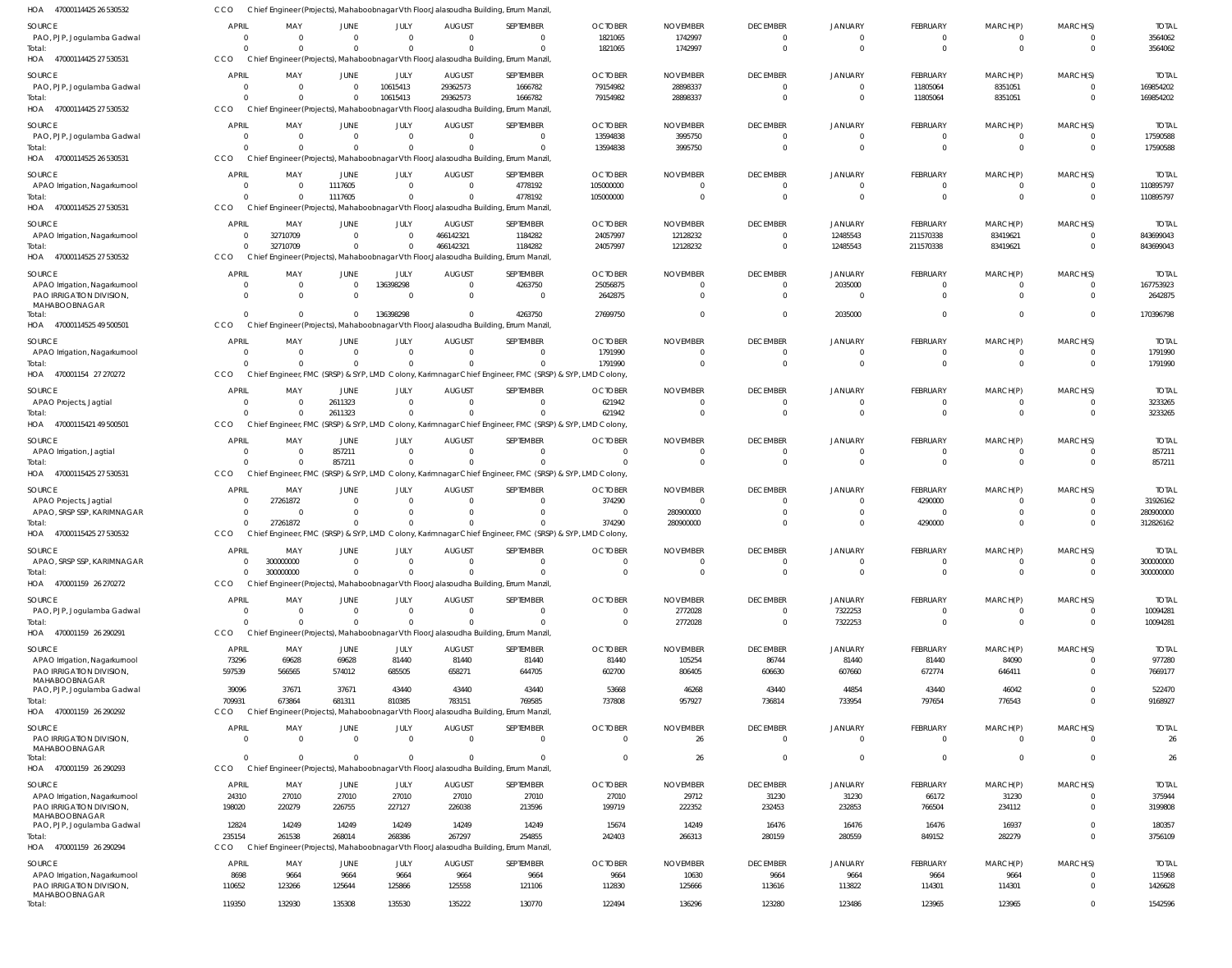| HOA 47000114425 26 530532                                 | CCO                            |                        |                               |                            |                            | Chief Engineer (Projects), Mahaboobnagar Vth Floor, Jalasoudha Building, Errum Manzil                  |                            |                             |                                     |                                  |                            |                      |                      |                           |
|-----------------------------------------------------------|--------------------------------|------------------------|-------------------------------|----------------------------|----------------------------|--------------------------------------------------------------------------------------------------------|----------------------------|-----------------------------|-------------------------------------|----------------------------------|----------------------------|----------------------|----------------------|---------------------------|
| <b>SOURCE</b>                                             | <b>APRIL</b>                   | MAY                    | <b>JUNE</b>                   | JULY                       | <b>AUGUST</b>              | SEPTEMBER                                                                                              | <b>OCTOBER</b>             | <b>NOVEMBER</b>             | <b>DECEMBER</b>                     | <b>JANUARY</b>                   | <b>FEBRUARY</b>            | MARCH(P)             | MARCH(S)             | <b>TOTAL</b>              |
| PAO, PJP, Jogulamba Gadwal                                | $\overline{0}$                 | $\Omega$               | $\overline{0}$                | $\mathbf{0}$               | $\Omega$                   | $\mathbf 0$                                                                                            | 1821065                    | 1742997                     | $\overline{0}$                      | $\overline{0}$                   | $\mathbf 0$                | 0                    | $\Omega$             | 3564062                   |
| Total:<br>HOA 47000114425 27 530531                       | $\Omega$<br>CCO                | $\Omega$               | $\Omega$                      | $\Omega$                   |                            | $\Omega$<br>Chief Engineer (Projects), Mahaboobnagar Vth Floor, Jalasoudha Building, Errum Manzil      | 1821065                    | 1742997                     | $\overline{0}$                      | $\Omega$                         | $\overline{0}$             | $\mathbf 0$          | $\Omega$             | 3564062                   |
| <b>SOURCE</b>                                             | <b>APRIL</b>                   | MAY                    | <b>JUNE</b>                   | JULY                       | <b>AUGUST</b>              | SEPTEMBER                                                                                              | <b>OCTOBER</b>             | <b>NOVEMBER</b>             | <b>DECEMBER</b>                     | <b>JANUARY</b>                   | FEBRUARY                   | MARCH(P)             | MARCH(S)             | <b>TOTAI</b>              |
| PAO, PJP, Jogulamba Gadwal                                | $\overline{0}$                 | $\Omega$               | $\overline{0}$                | 10615413                   | 29362573                   | 1666782                                                                                                | 79154982                   | 28898337                    | $\overline{0}$                      | $\overline{0}$                   | 11805064                   | 8351051              | $\Omega$             | 169854202                 |
| Total:                                                    | $\Omega$                       |                        | $\mathbf{0}$                  | 10615413                   | 29362573                   | 1666782                                                                                                | 79154982                   | 28898337                    | $\overline{0}$                      | $\Omega$                         | 11805064                   | 8351051              | $\Omega$             | 169854202                 |
| HOA 47000114425 27 530532                                 | CCO                            |                        |                               |                            |                            | Chief Engineer (Projects), Mahaboobnagar Vth Floor, Jalasoudha Building, Errum Manzil                  |                            |                             |                                     |                                  |                            |                      |                      |                           |
| SOURCE                                                    | <b>APRIL</b>                   | MAY                    | <b>JUNE</b>                   | JULY                       | <b>AUGUST</b>              | SEPTEMBER                                                                                              | <b>OCTOBER</b>             | <b>NOVEMBER</b>             | <b>DECEMBER</b>                     | <b>JANUARY</b>                   | FEBRUARY                   | MARCH(P)             | MARCH(S)             | <b>TOTAI</b>              |
| PAO, PJP, Jogulamba Gadwal<br>Total:                      | 0<br>$\Omega$                  | $\Omega$               | $\overline{0}$<br>$\Omega$    | $\overline{0}$<br>$\Omega$ | $\Omega$                   | $\overline{0}$<br>$\Omega$                                                                             | 13594838<br>13594838       | 3995750<br>3995750          | $\overline{0}$<br>$\overline{0}$    | $\overline{0}$<br>$\Omega$       | 0<br>$\overline{0}$        | 0<br>$\mathbf 0$     | $\Omega$<br>$\Omega$ | 17590588<br>17590588      |
| HOA 47000114525 26 530531                                 | CCO                            |                        |                               |                            |                            | Chief Engineer (Projects), Mahaboobnagar Vth Floor, Jalasoudha Building, Errum Manzil                  |                            |                             |                                     |                                  |                            |                      |                      |                           |
| SOURCE                                                    | <b>APRIL</b>                   | MAY                    | <b>JUNE</b>                   | JULY                       | <b>AUGUST</b>              | SEPTEMBER                                                                                              | <b>OCTOBER</b>             | <b>NOVEMBER</b>             | <b>DECEMBER</b>                     | <b>JANUARY</b>                   | FEBRUARY                   | MARCH(P)             | MARCH(S)             | <b>TOTAL</b>              |
| APAO Irrigation, Nagarkurnool                             | $\mathbf{0}$                   | $\Omega$               | 1117605                       | $\mathbf 0$                | $\Omega$                   | 4778192                                                                                                | 105000000                  |                             | $\overline{0}$                      | $\Omega$                         | $\mathbf 0$                | 0                    | $\Omega$             | 110895797                 |
| Total:                                                    | $\Omega$<br>CCO                |                        | 1117605                       | $\mathbf 0$                |                            | 4778192                                                                                                | 105000000                  |                             | $\overline{0}$                      | $\Omega$                         | $\overline{0}$             | $\mathbf 0$          | $\Omega$             | 110895797                 |
| HOA 47000114525 27 530531                                 |                                |                        |                               |                            |                            | Chief Engineer (Projects), Mahaboobnagar Vth Floor, Jalasoudha Building, Errum Manzil                  |                            |                             |                                     |                                  |                            |                      |                      |                           |
| SOURCE<br>APAO Irrigation, Nagarkurnool                   | <b>APRIL</b><br>$\overline{0}$ | MAY<br>32710709        | <b>JUNE</b><br>$\overline{0}$ | JULY<br>$\Omega$           | <b>AUGUST</b><br>466142321 | SEPTEMBER<br>1184282                                                                                   | <b>OCTOBER</b><br>24057997 | <b>NOVEMBER</b><br>12128232 | <b>DECEMBER</b><br>$\overline{0}$   | <b>JANUARY</b><br>12485543       | FEBRUARY<br>211570338      | MARCH(P)<br>83419621 | MARCH(S)<br>$\Omega$ | <b>TOTAI</b><br>843699043 |
| Total:                                                    | $\Omega$                       | 32710709               | $\mathbf{0}$                  | $\mathbf 0$                | 466142321                  | 1184282                                                                                                | 24057997                   | 12128232                    | $\overline{0}$                      | 12485543                         | 211570338                  | 83419621             | $\Omega$             | 843699043                 |
| HOA 47000114525 27 530532                                 | CCO                            |                        |                               |                            |                            | Chief Engineer (Projects), Mahaboobnagar Vth Floor, Jalasoudha Building, Errum Manzil                  |                            |                             |                                     |                                  |                            |                      |                      |                           |
| SOURCE                                                    | <b>APRIL</b>                   | MAY                    | <b>JUNE</b>                   | JULY                       | <b>AUGUST</b>              | SEPTEMBER                                                                                              | <b>OCTOBER</b>             | <b>NOVEMBER</b>             | <b>DECEMBER</b>                     | <b>JANUARY</b>                   | FEBRUARY                   | MARCH(P)             | MARCH(S)             | <b>TOTAI</b>              |
| APAO Irrigation, Nagarkurnool                             | 0<br>$\Omega$                  | $\Omega$<br>$\Omega$   | $\overline{0}$<br>$\Omega$    | 136398298<br>$\Omega$      | $\Omega$<br>$\Omega$       | 4263750<br>$\overline{0}$                                                                              | 25056875                   | $\Omega$                    | $\overline{0}$<br>$\Omega$          | 2035000<br>$\Omega$              | $\mathbf 0$<br>$\mathbf 0$ | 0<br>$\Omega$        | $\Omega$             | 167753923<br>2642875      |
| PAO IRRIGATION DIVISION,<br>MAHABOOBNAGAR                 |                                |                        |                               |                            |                            |                                                                                                        | 2642875                    |                             |                                     |                                  |                            |                      |                      |                           |
| Total:                                                    | $\Omega$                       | $\Omega$               | $\mathbf{0}$                  | 136398298                  |                            | 4263750                                                                                                | 27699750                   |                             | $\Omega$                            | 2035000                          | $\Omega$                   | $\Omega$             | $\Omega$             | 170396798                 |
| HOA 47000114525 49 500501                                 | CCO                            |                        |                               |                            |                            | Chief Engineer (Projects), Mahaboobnagar Vth Floor, Jalasoudha Building, Errum Manzil                  |                            |                             |                                     |                                  |                            |                      |                      |                           |
| <b>SOURCE</b><br>APAO Irrigation, Nagarkurnool            | <b>APRIL</b><br>0              | MAY<br>$\Omega$        | <b>JUNE</b><br>$\overline{0}$ | JULY<br>$\mathbf{0}$       | <b>AUGUST</b><br>$\Omega$  | SEPTEMBER<br>$^{\circ}$                                                                                | <b>OCTOBER</b><br>1791990  | <b>NOVEMBER</b><br>$\Omega$ | <b>DECEMBER</b><br>$\overline{0}$   | <b>JANUARY</b><br>$\overline{0}$ | FEBRUARY<br>0              | MARCH(P)<br>0        | MARCH(S)<br>$\Omega$ | <b>TOTAL</b><br>1791990   |
| Total:                                                    | $\Omega$                       | $\Omega$               | $\Omega$                      | $\mathbf 0$                | $\Omega$                   | $\Omega$                                                                                               | 1791990                    | $\Omega$                    | $\overline{0}$                      | $\Omega$                         | $\overline{0}$             | $\mathbf{0}$         | $\Omega$             | 1791990                   |
| HOA 470001154 27 270272                                   | CCO                            |                        |                               |                            |                            | Chief Engineer, FMC (SRSP) & SYP, LMD Colony, Karimnagar Chief Engineer, FMC (SRSP) & SYP, LMD Colony, |                            |                             |                                     |                                  |                            |                      |                      |                           |
| SOURCE                                                    | <b>APRIL</b>                   | MAY                    | JUNE                          | JULY                       | <b>AUGUST</b>              | SEPTEMBER                                                                                              | <b>OCTOBER</b>             | <b>NOVEMBER</b>             | <b>DECEMBER</b>                     | JANUARY                          | FEBRUARY                   | MARCH(P)             | MARCH(S)             | <b>TOTAL</b>              |
| APAO Projects, Jagtial                                    | $\overline{0}$<br>$\Omega$     | $\Omega$               | 2611323                       | $\mathbf 0$<br>$\mathbf 0$ | $\Omega$                   | $\mathbf 0$<br>$\Omega$                                                                                | 621942<br>621942           | $\Omega$                    | $\overline{0}$<br>$\Omega$          | $\overline{0}$<br>$\Omega$       | $\mathbf 0$<br>$\mathbf 0$ | 0<br>$\Omega$        | $\Omega$             | 3233265                   |
| Total:<br>47000115421 49 500501<br>HOA                    | CCO                            |                        | 2611323                       |                            |                            | Chief Engineer, FMC (SRSP) & SYP, LMD Colony, Karimnagar Chief Engineer, FMC (SRSP) & SYP, LMD Colony, |                            |                             |                                     |                                  |                            |                      |                      | 3233265                   |
| SOURCE                                                    | <b>APRIL</b>                   | MAY                    | <b>JUNE</b>                   | JULY                       | <b>AUGUST</b>              | SEPTEMBER                                                                                              | <b>OCTOBER</b>             | <b>NOVEMBER</b>             | <b>DECEMBER</b>                     | <b>JANUARY</b>                   | FEBRUARY                   | MARCH(P)             | MARCH(S)             | <b>TOTAL</b>              |
| APAO Irrigation, Jagtial                                  | $\overline{0}$                 | $\Omega$               | 857211                        | $\Omega$                   | $\Omega$                   | $\Omega$                                                                                               | $\Omega$                   | $\Omega$                    | $\overline{0}$                      | $\Omega$                         | $\mathbf 0$                | 0                    | $\Omega$             | 857211                    |
| Total:                                                    | $\Omega$                       | $\Omega$               | 857211                        | $\mathbf 0$                | $\Omega$                   | $\Omega$                                                                                               | $\Omega$                   | $\Omega$                    | $\overline{0}$                      | $\Omega$                         | $\overline{0}$             | $\mathbf 0$          | $\Omega$             | 857211                    |
| HOA 47000115425 27 530531                                 | CCO                            |                        |                               |                            |                            | Chief Engineer, FMC (SRSP) & SYP, LMD Colony, Karimnagar Chief Engineer, FMC (SRSP) & SYP, LMD Colony, |                            |                             |                                     |                                  |                            |                      |                      |                           |
| SOURCE                                                    | <b>APRIL</b>                   | MAY<br>27261872        | <b>JUNE</b><br>$\Omega$       | JULY<br>$\Omega$           | <b>AUGUST</b><br>$\Omega$  | SEPTEMBER<br>$\Omega$                                                                                  | <b>OCTOBER</b><br>374290   | <b>NOVEMBER</b><br>- (      | <b>DECEMBER</b><br>$\overline{0}$   | <b>JANUARY</b><br>$\Omega$       | FEBRUARY                   | MARCH(P)<br>$\Omega$ | MARCH(S)             | <b>TOTAL</b>              |
| APAO Projects, Jagtial<br>APAO, SRSP SSP, KARIMNAGAR      | 0<br>$\mathbf{0}$              | $\Omega$               | $\Omega$                      | $\Omega$                   |                            | $\Omega$                                                                                               | - 0                        | 280900000                   | $\Omega$                            |                                  | 4290000<br>$\mathbf 0$     |                      |                      | 31926162<br>280900000     |
| Total:                                                    | $\Omega$                       | 27261872               | $\Omega$                      | $\Omega$                   |                            |                                                                                                        | 374290                     | 280900000                   | $\Omega$                            | $\Omega$                         | 4290000                    | $\Omega$             |                      | 312826162                 |
| HOA 47000115425 27 530532                                 | CCO                            |                        |                               |                            |                            | Chief Engineer, FMC (SRSP) & SYP, LMD Colony, Karimnagar Chief Engineer, FMC (SRSP) & SYP, LMD Colony, |                            |                             |                                     |                                  |                            |                      |                      |                           |
| SOURCE                                                    | APRIL                          | MAY                    | JUNE                          | JULY                       | <b>AUGUST</b>              | SEPTEMBER                                                                                              | OCTOBER                    | <b>NOVEMBER</b>             | <b>DECEMBER</b>                     | JANUAR'                          | FEBRUARY                   | MARCH(P)             | MARCH(S)             | <b>TOTAI</b>              |
| APAO, SRSP SSP, KARIMNAGAR<br>Total:                      | $\mathbf{0}$<br>$\Omega$       | 300000000<br>300000000 | $\overline{0}$<br>$\Omega$    | $\Omega$<br>$\Omega$       | $\Omega$                   | $^{\circ}$<br>$\Omega$                                                                                 | $\Omega$<br>$\Omega$       | $\Omega$<br>$\Omega$        | $\overline{\mathbf{0}}$<br>$\Omega$ | $\Omega$<br>$\Omega$             | 0<br>$\mathbf 0$           | $\Omega$             | $\Omega$<br>$\Omega$ | 300000000<br>300000000    |
| HOA 470001159 26 270272                                   | <b>CCO</b>                     |                        |                               |                            |                            | Chief Engineer (Projects), Mahaboobnagar Vth Floor, Jalasoudha Building, Errum Manzil                  |                            |                             |                                     |                                  |                            |                      |                      |                           |
| SOURCE                                                    | <b>APRIL</b>                   | MAY                    | <b>JUNE</b>                   | JULY                       | <b>AUGUST</b>              | SEPTEMBER                                                                                              | <b>OCTOBER</b>             | <b>NOVEMBER</b>             | <b>DECEMBER</b>                     | <b>JANUARY</b>                   | FEBRUARY                   | MARCH(P)             | MARCH(S)             | <b>TOTAI</b>              |
| PAO, PJP, Jogulamba Gadwal                                | $\overline{0}$                 | $\Omega$               | $\overline{0}$                | $\Omega$                   | $\Omega$                   | $\overline{0}$                                                                                         |                            | 2772028                     | $\overline{0}$                      | 7322253                          | $\mathbf 0$                | 0                    |                      | 10094281                  |
| Total:<br>HOA 470001159 26 290291                         | $\Omega$<br>CCO                |                        | $\Omega$                      | $\Omega$                   |                            | $\Omega$<br>Chief Engineer (Projects), Mahaboobnagar Vth Floor, Jalasoudha Building, Errum Manzil      | $\Omega$                   | 2772028                     | $\overline{0}$                      | 7322253                          | $\mathbf 0$                | $\mathbf 0$          | $\Omega$             | 10094281                  |
|                                                           |                                |                        |                               |                            |                            |                                                                                                        |                            |                             |                                     |                                  |                            |                      |                      |                           |
| SOURCE<br>APAO Irrigation, Nagarkurnool                   | <b>APRIL</b><br>73296          | MAY<br>69628           | JUNE<br>69628                 | JULY<br>81440              | <b>AUGUST</b><br>81440     | SEPTEMBER<br>81440                                                                                     | <b>OCTOBER</b><br>81440    | <b>NOVEMBER</b><br>105254   | <b>DECEMBER</b><br>86744            | <b>JANUARY</b><br>81440          | <b>FEBRUARY</b><br>81440   | MARCH(P)<br>84090    | MARCH(S)<br>$\Omega$ | <b>TOTAL</b><br>977280    |
| PAO IRRIGATION DIVISION,                                  | 597539                         | 566565                 | 574012                        | 685505                     | 658271                     | 644705                                                                                                 | 602700                     | 806405                      | 606630                              | 607660                           | 672774                     | 646411               | $\Omega$             | 7669177                   |
| MAHABOOBNAGAR<br>PAO, PJP, Jogulamba Gadwal               | 39096                          | 37671                  | 37671                         | 43440                      | 43440                      | 43440                                                                                                  | 53668                      | 46268                       | 43440                               | 44854                            | 43440                      | 46042                | $\Omega$             | 522470                    |
| Total:                                                    | 709931                         | 673864                 | 681311                        | 810385                     | 783151                     | 769585                                                                                                 | 737808                     | 957927                      | 736814                              | 733954                           | 797654                     | 776543               | $\Omega$             | 9168927                   |
| HOA 470001159 26 290292                                   | CCO.                           |                        |                               |                            |                            | Chief Engineer (Projects), Mahaboobnagar Vth Floor, Jalasoudha Building, Errum Manzil                  |                            |                             |                                     |                                  |                            |                      |                      |                           |
| SOURCE                                                    | <b>APRIL</b>                   | MAY                    | <b>JUNE</b>                   | JULY                       | <b>AUGUST</b>              | SEPTEMBER                                                                                              | <b>OCTOBER</b>             | <b>NOVEMBER</b>             | <b>DECEMBER</b>                     | <b>JANUARY</b>                   | FEBRUARY                   | MARCH(P)             | MARCH(S)             | <b>TOTAL</b>              |
| PAO IRRIGATION DIVISION,<br>MAHABOOBNAGAR                 | $\overline{0}$                 | $\Omega$               | $\overline{0}$                | $\Omega$                   | $\Omega$                   | $\overline{0}$                                                                                         | $\Omega$                   | 26                          | $\overline{0}$                      | $\overline{0}$                   | $\overline{0}$             | $\mathbf 0$          | $\Omega$             | 26                        |
| Total:                                                    | $\Omega$                       |                        | $\Omega$                      | $\Omega$                   |                            | $\overline{0}$                                                                                         | $\Omega$                   | 26                          | $\overline{0}$                      | $\overline{0}$                   | $\overline{0}$             | $\mathbf 0$          | $\Omega$             | 26                        |
| HOA 470001159 26 290293                                   | CCO                            |                        |                               |                            |                            | Chief Engineer (Projects), Mahaboobnagar Vth Floor, Jalasoudha Building, Errum Manzil                  |                            |                             |                                     |                                  |                            |                      |                      |                           |
| SOURCE                                                    | <b>APRIL</b>                   | MAY                    | <b>JUNE</b>                   | JULY                       | <b>AUGUST</b>              | SEPTEMBER                                                                                              | <b>OCTOBER</b>             | <b>NOVEMBER</b>             | <b>DECEMBER</b>                     | <b>JANUARY</b>                   | FEBRUARY                   | MARCH(P)             | MARCH(S)             | <b>TOTAL</b>              |
| APAO Irrigation, Nagarkurnool<br>PAO IRRIGATION DIVISION, | 24310<br>198020                | 27010<br>220279        | 27010<br>226755               | 27010<br>227127            | 27010<br>226038            | 27010<br>213596                                                                                        | 27010<br>199719            | 29712<br>222352             | 31230<br>232453                     | 31230<br>232853                  | 66172<br>766504            | 31230<br>234112      | $\Omega$<br>$\Omega$ | 375944<br>3199808         |
| MAHABOOBNAGAR                                             |                                |                        |                               |                            |                            |                                                                                                        |                            |                             |                                     |                                  |                            |                      |                      |                           |
| PAO, PJP, Jogulamba Gadwal<br>Total:                      | 12824<br>235154                | 14249<br>261538        | 14249<br>268014               | 14249<br>268386            | 14249<br>267297            | 14249<br>254855                                                                                        | 15674<br>242403            | 14249<br>266313             | 16476<br>280159                     | 16476<br>280559                  | 16476<br>849152            | 16937<br>282279      | $\Omega$<br>$\Omega$ | 180357<br>3756109         |
| HOA 470001159 26 290294                                   | CCO                            |                        |                               |                            |                            | Chief Engineer (Projects), Mahaboobnagar Vth Floor, Jalasoudha Building, Errum Manzil                  |                            |                             |                                     |                                  |                            |                      |                      |                           |
| <b>SOURCE</b>                                             | <b>APRIL</b>                   | MAY                    | JUNE                          | JULY                       | <b>AUGUST</b>              | SEPTEMBER                                                                                              | <b>OCTOBER</b>             | <b>NOVEMBER</b>             | <b>DECEMBER</b>                     | JANUARY                          | FEBRUARY                   | MARCH(P)             | MARCH(S)             | <b>TOTAL</b>              |
| APAO Irrigation, Nagarkurnool                             | 8698                           | 9664                   | 9664                          | 9664                       | 9664                       | 9664                                                                                                   | 9664                       | 10630                       | 9664                                | 9664                             | 9664                       | 9664                 |                      | 115968                    |
| PAO IRRIGATION DIVISION,<br>MAHABOOBNAGAR                 | 110652                         | 123266                 | 125644                        | 125866                     | 125558                     | 121106                                                                                                 | 112830                     | 125666                      | 113616                              | 113822                           | 114301                     | 114301               | $\Omega$             | 1426628                   |
| Total:                                                    | 119350                         | 132930                 | 135308                        | 135530                     | 135222                     | 130770                                                                                                 | 122494                     | 136296                      | 123280                              | 123486                           | 123965                     | 123965               | $\Omega$             | 1542596                   |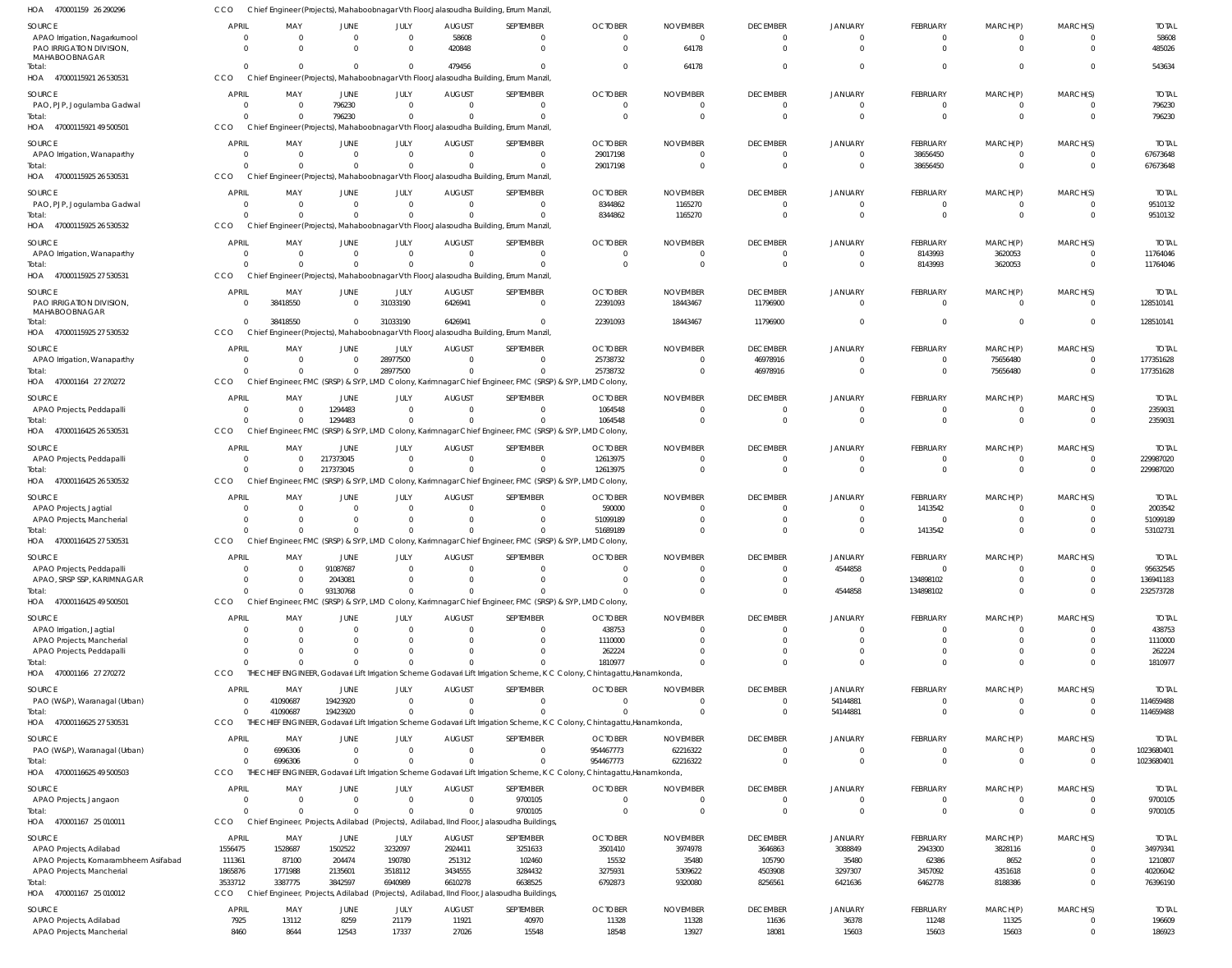| HOA<br>470001159 26 290296           |              |                |                |                |                | Chief Engineer (Projects), Mahaboobnagar Vth Floor, Jalasoudha Building, Errum Manzil                  |                                                                                                                           |                 |                 |                |                |                |                |              |
|--------------------------------------|--------------|----------------|----------------|----------------|----------------|--------------------------------------------------------------------------------------------------------|---------------------------------------------------------------------------------------------------------------------------|-----------------|-----------------|----------------|----------------|----------------|----------------|--------------|
| <b>SOURCE</b>                        | <b>APRIL</b> | MAY            | <b>JUNE</b>    | JULY           | <b>AUGUST</b>  | SEPTEMBER                                                                                              | <b>OCTOBER</b>                                                                                                            | <b>NOVEMBER</b> | <b>DECEMBER</b> | <b>JANUARY</b> | FEBRUARY       | MARCH(P)       | MARCH(S)       | <b>TOTAL</b> |
| APAO Irrigation, Nagarkurnool        | $\Omega$     | $\overline{0}$ | $\mathbf{0}$   | $\mathbf 0$    | 58608          | - 0                                                                                                    | $\overline{0}$                                                                                                            | $\Omega$        | $\overline{0}$  | $\mathbf 0$    | $^{\circ}$     | $\mathbf{0}$   | $\Omega$       | 58608        |
| PAO IRRIGATION DIVISION              | $\Omega$     | $\Omega$       | $\Omega$       | $\mathbf 0$    | 420848         | $\Omega$                                                                                               | $\Omega$                                                                                                                  | 64178           | $\overline{0}$  | $\Omega$       | $\overline{0}$ | $\mathbf{0}$   | $\Omega$       | 485026       |
| MAHABOOBNAGAR                        |              |                |                |                |                |                                                                                                        |                                                                                                                           |                 |                 |                |                |                |                |              |
| Total:                               | $\cap$       | $\Omega$       | $\Omega$       | $\mathbf{0}$   | 479456         | $\Omega$                                                                                               | $\Omega$                                                                                                                  | 64178           | $\overline{0}$  | $\Omega$       | $\mathbf 0$    | $\mathbf{0}$   | $\Omega$       | 543634       |
| HOA 47000115921 26 530531            | CCO          |                |                |                |                | Chief Engineer (Projects), Mahaboobnagar Vth Floor, Jalasoudha Building, Errum Manzil                  |                                                                                                                           |                 |                 |                |                |                |                |              |
| SOURCE                               | <b>APRIL</b> | MAY            | <b>JUNE</b>    | JULY           | <b>AUGUST</b>  | SEPTEMBER                                                                                              | <b>OCTOBER</b>                                                                                                            | <b>NOVEMBER</b> | <b>DECEMBER</b> | JANUARY        | FEBRUARY       | MARCH(P)       | MARCH(S)       | <b>TOTAL</b> |
| PAO, PJP, Jogulamba Gadwal           | $\Omega$     | $\Omega$       | 796230         | $\overline{0}$ | $\Omega$       | $\mathbf{0}$                                                                                           | $\Omega$                                                                                                                  |                 | $\overline{0}$  | $\mathbf 0$    | $^{\circ}$     | $\mathbf{0}$   | $\Omega$       | 796230       |
| Total:                               |              | $\Omega$       | 796230         | $\overline{0}$ |                | $\Omega$                                                                                               | $\Omega$                                                                                                                  | $\Omega$        | $\overline{0}$  | $\Omega$       | $\overline{0}$ | $\mathbf{0}$   | $\overline{0}$ | 796230       |
| HOA 47000115921 49 500501            | CCO          |                |                |                |                | Chief Engineer (Projects), Mahaboobnagar Vth Floor, Jalasoudha Building, Errum Manzil                  |                                                                                                                           |                 |                 |                |                |                |                |              |
|                                      |              |                |                |                |                |                                                                                                        |                                                                                                                           |                 |                 |                |                |                |                |              |
| SOURCE                               | APRIL        | MAY            | <b>JUNE</b>    | JULY           | <b>AUGUST</b>  | SEPTEMBER                                                                                              | <b>OCTOBER</b>                                                                                                            | <b>NOVEMBER</b> | <b>DECEMBER</b> | JANUARY        | FEBRUARY       | MARCH(P)       | MARCH(S)       | <b>TOTAL</b> |
| APAO Irrigation, Wanaparthy          | $\Omega$     | $\Omega$       | $\mathbf{0}$   | $\overline{0}$ | $\Omega$       | $\Omega$                                                                                               | 29017198                                                                                                                  | $\Omega$        | $\overline{0}$  | $\mathbf 0$    | 38656450       | $\mathbf{0}$   | $\overline{0}$ | 67673648     |
| Total:                               |              | $\Omega$       | $\Omega$       | $\mathbf 0$    | $\Omega$       | $\Omega$                                                                                               | 29017198                                                                                                                  | $\Omega$        | $\overline{0}$  | $\Omega$       | 38656450       | $\mathbf{0}$   | $\Omega$       | 67673648     |
| 47000115925 26 530531<br>HOA         | CCO          |                |                |                |                | Chief Engineer (Projects), Mahaboobnagar Vth Floor, Jalasoudha Building, Errum Manzil                  |                                                                                                                           |                 |                 |                |                |                |                |              |
| SOURCE                               | <b>APRIL</b> | MAY            | JUNE           | JULY           | <b>AUGUST</b>  | SEPTEMBER                                                                                              | <b>OCTOBER</b>                                                                                                            | <b>NOVEMBER</b> | <b>DECEMBER</b> | JANUARY        | FEBRUARY       | MARCH(P)       | MARCH(S)       | <b>TOTAL</b> |
| PAO, PJP, Jogulamba Gadwal           | - 0          | $\Omega$       | $\mathbf{0}$   | $\overline{0}$ | $\overline{0}$ | $\mathbf 0$                                                                                            | 8344862                                                                                                                   | 1165270         | $\overline{0}$  | $\mathbf 0$    | $\overline{0}$ | $\overline{0}$ | $\overline{0}$ | 9510132      |
| Total:                               | $\cap$       | $\Omega$       | $\Omega$       | $\mathbf 0$    |                | $\Omega$                                                                                               | 8344862                                                                                                                   | 1165270         | $\overline{0}$  | $\Omega$       | $\overline{0}$ | $\overline{0}$ | $\Omega$       | 9510132      |
| 47000115925 26 530532<br>HOA         | CCO          |                |                |                |                | Chief Engineer (Projects), Mahaboobnagar Vth Floor, Jalasoudha Building, Errum Manzil                  |                                                                                                                           |                 |                 |                |                |                |                |              |
|                                      |              |                |                |                |                |                                                                                                        |                                                                                                                           |                 |                 |                |                |                |                |              |
| SOURCE                               | <b>APRIL</b> | MAY            | <b>JUNE</b>    | JULY           | <b>AUGUST</b>  | SEPTEMBER                                                                                              | <b>OCTOBER</b>                                                                                                            | <b>NOVEMBER</b> | <b>DECEMBER</b> | JANUARY        | FEBRUARY       | MARCH(P)       | MARCH(S)       | <b>TOTAL</b> |
| APAO Irrigation, Wanaparthy          | $\Omega$     | $\Omega$       | $\mathbf 0$    | $\Omega$       | $\Omega$       | $\Omega$                                                                                               | $\Omega$                                                                                                                  | $\Omega$        | $\overline{0}$  | $\Omega$       | 8143993        | 3620053        | $\overline{0}$ | 11764046     |
| Total:                               |              | $\Omega$       | $\Omega$       | $\mathbf{0}$   |                | $\Omega$                                                                                               | $\Omega$                                                                                                                  | $\Omega$        | $\overline{0}$  | $\Omega$       | 8143993        | 3620053        | $\overline{0}$ | 11764046     |
| HOA 47000115925 27 530531            | CCO          |                |                |                |                | Chief Engineer (Projects), Mahaboobnagar Vth Floor, Jalasoudha Building, Errum Manzil,                 |                                                                                                                           |                 |                 |                |                |                |                |              |
| SOURCE                               | <b>APRIL</b> | MAY            | <b>JUNE</b>    | JULY           | <b>AUGUST</b>  | SEPTEMBER                                                                                              | <b>OCTOBER</b>                                                                                                            | <b>NOVEMBER</b> | <b>DECEMBER</b> | JANUARY        | FEBRUARY       | MARCH(P)       | MARCH(S)       | <b>TOTAL</b> |
| PAO IRRIGATION DIVISION,             |              | 38418550       | $\mathbf{0}$   | 31033190       | 6426941        | $\mathbf 0$                                                                                            | 22391093                                                                                                                  | 18443467        | 11796900        | $\mathbf 0$    | $\overline{0}$ | $\mathbf 0$    | $\Omega$       | 128510141    |
| MAHABOOBNAGAR                        |              |                |                |                |                |                                                                                                        |                                                                                                                           |                 |                 |                |                |                |                |              |
| Total:                               | $\Omega$     | 38418550       | $\overline{0}$ | 31033190       | 6426941        | $\mathbf 0$                                                                                            | 22391093                                                                                                                  | 18443467        | 11796900        | $\Omega$       | $\mathbf 0$    | $\overline{0}$ | $\overline{0}$ | 128510141    |
| HOA 47000115925 27 530532            | CCO          |                |                |                |                | Chief Engineer (Projects), Mahaboobnagar Vth Floor, Jalasoudha Building, Errum Manzil,                 |                                                                                                                           |                 |                 |                |                |                |                |              |
|                                      |              |                |                |                |                |                                                                                                        |                                                                                                                           |                 |                 |                |                |                |                |              |
| SOURCE                               | APRIL        | MAY            | JUNE           | JULY           | <b>AUGUST</b>  | SEPTEMBER                                                                                              | <b>OCTOBER</b>                                                                                                            | <b>NOVEMBER</b> | <b>DECEMBER</b> | JANUARY        | FEBRUARY       | MARCH(P)       | MARCH(S)       | <b>TOTAI</b> |
| APAO Irrigation, Wanaparthy          |              | $\Omega$       | $\mathbf{0}$   | 28977500       | $\Omega$       | $\Omega$                                                                                               | 25738732                                                                                                                  | $\Omega$        | 46978916        | $\Omega$       | $^{\circ}$     | 75656480       | $\overline{0}$ | 177351628    |
| Total:                               |              | $\Omega$       | $\mathbf 0$    | 28977500       | $\Omega$       | $\Omega$                                                                                               | 25738732                                                                                                                  | $\Omega$        | 46978916        | $\Omega$       | $\mathbf{0}$   | 75656480       | $\overline{0}$ | 177351628    |
| HOA 470001164 27 270272              | CCO          |                |                |                |                | Chief Engineer, FMC (SRSP) & SYP, LMD Colony, Karimnagar Chief Engineer, FMC (SRSP) & SYP, LMD Colony, |                                                                                                                           |                 |                 |                |                |                |                |              |
| SOURCE                               | <b>APRIL</b> | MAY            | JUNE           | JULY           | <b>AUGUST</b>  | SEPTEMBER                                                                                              | <b>OCTOBER</b>                                                                                                            | <b>NOVEMBER</b> | <b>DECEMBER</b> | JANUARY        | FEBRUARY       | MARCH(P)       | MARCH(S)       | <b>TOTAL</b> |
| APAO Projects, Peddapalli            | $\Omega$     | $\Omega$       | 1294483        | $\overline{0}$ | $\Omega$       | $\Omega$                                                                                               | 1064548                                                                                                                   | $\Omega$        | $\overline{0}$  | $\mathbf 0$    | $\overline{0}$ | $\mathbf 0$    | $\overline{0}$ | 2359031      |
| Total:                               |              | $\Omega$       | 1294483        | $\mathbf 0$    |                | $\Omega$                                                                                               | 1064548                                                                                                                   |                 | $\overline{0}$  | $\Omega$       | $\overline{0}$ | $\mathbf{0}$   | $\Omega$       | 2359031      |
| HOA<br>47000116425 26 530531         | CCO          |                |                |                |                | Chief Engineer, FMC (SRSP) & SYP, LMD Colony, Karimnagar Chief Engineer, FMC (SRSP) & SYP, LMD Colony, |                                                                                                                           |                 |                 |                |                |                |                |              |
|                                      |              |                |                |                |                |                                                                                                        |                                                                                                                           |                 |                 |                |                |                |                |              |
| SOURCE                               | <b>APRIL</b> | MAY            | <b>JUNE</b>    | JULY           | <b>AUGUST</b>  | SEPTEMBER                                                                                              | <b>OCTOBER</b>                                                                                                            | <b>NOVEMBER</b> | <b>DECEMBER</b> | JANUARY        | FEBRUARY       | MARCH(P)       | MARCH(S)       | <b>TOTAL</b> |
| APAO Projects, Peddapalli            | $\Omega$     | $\Omega$       | 217373045      | $\overline{0}$ | $\Omega$       | $\Omega$                                                                                               | 12613975                                                                                                                  | $\Omega$        | $\mathbf{0}$    | $\Omega$       | $^{\circ}$     | $\Omega$       | $\overline{0}$ | 229987020    |
| Total:                               |              | $\Omega$       | 217373045      | $\overline{0}$ |                | $\Omega$                                                                                               | 12613975                                                                                                                  | $\Omega$        | $\overline{0}$  | $\Omega$       | $\mathbf 0$    | $\mathbf{0}$   | $\overline{0}$ | 229987020    |
| HOA 47000116425 26 530532            | CCO          |                |                |                |                | Chief Engineer, FMC (SRSP) & SYP, LMD Colony, Karimnagar Chief Engineer, FMC (SRSP) & SYP, LMD Colony, |                                                                                                                           |                 |                 |                |                |                |                |              |
| SOURCE                               | <b>APRIL</b> | MAY            | <b>JUNE</b>    | JULY           | <b>AUGUST</b>  | SEPTEMBER                                                                                              | <b>OCTOBER</b>                                                                                                            | <b>NOVEMBER</b> | <b>DECEMBER</b> | JANUARY        | FEBRUARY       | MARCH(P)       | MARCH(S)       | <b>TOTAL</b> |
| APAO Projects, Jagtial               |              | $\Omega$       | $\mathbf{0}$   | $\overline{0}$ | $\overline{0}$ | $\mathbf{0}$                                                                                           | 590000                                                                                                                    |                 | $\overline{0}$  | $\mathbf 0$    | 1413542        | $\mathbf{0}$   | $\Omega$       | 2003542      |
| APAO Projects, Mancherial            |              | $\Omega$       | $\mathbf{0}$   | $\overline{0}$ | $\Omega$       | $\Omega$                                                                                               | 51099189                                                                                                                  |                 | $\overline{0}$  |                | $\overline{0}$ | $\mathbf{0}$   | $\Omega$       | 51099189     |
| Total:                               |              |                | $\Omega$       | $\Omega$       |                | $\Omega$                                                                                               | 51689189                                                                                                                  |                 | $\Omega$        | $\Omega$       | 1413542        | $\mathbf 0$    | $\Omega$       | 53102731     |
| HOA 47000116425 27 530531            | CCO          |                |                |                |                | Chief Engineer, FMC (SRSP) & SYP, LMD Colony, Karimnagar Chief Engineer, FMC (SRSP) & SYP, LMD Colony, |                                                                                                                           |                 |                 |                |                |                |                |              |
|                                      |              |                |                |                |                |                                                                                                        |                                                                                                                           |                 |                 |                |                |                |                |              |
| SOURCE                               | <b>APRIL</b> | MAY            | <b>JUNE</b>    | JULY           | AUGUST         | SEPTEMBER                                                                                              | <b>OCTOBER</b>                                                                                                            | <b>NOVEMBER</b> | <b>DECEMBER</b> | <b>JANUARY</b> | FEBRUARY       | MARCH(P)       | MARCH(S)       | <b>TOTAL</b> |
| APAO Projects, Peddapalli            | $\Omega$     | $\Omega$       | 91087687       | $\Omega$       | $\Omega$       | - 0                                                                                                    | $\Omega$                                                                                                                  | $\Omega$        | $\Omega$        | 4544858        | $\mathbf 0$    | $\Omega$       | $\Omega$       | 95632545     |
| APAO, SRSP SSP, KARIMNAGAR           |              |                | 2043081        | $\Omega$       |                | $\Omega$                                                                                               | $\Omega$                                                                                                                  | $\Omega$        | $\overline{0}$  | $\mathbf 0$    | 134898102      | $\mathbf 0$    | $\Omega$       | 136941183    |
| Total:                               |              | $\Omega$       | 93130768       | $\Omega$       |                |                                                                                                        | $\cap$                                                                                                                    | $\Omega$        | $\Omega$        | 4544858        | 134898102      | $\Omega$       | $\Omega$       | 232573728    |
| 47000116425 49 500501<br>HOA         | CCO          |                |                |                |                | Chief Engineer, FMC (SRSP) & SYP, LMD Colony, Karimnagar Chief Engineer, FMC (SRSP) & SYP, LMD Colony, |                                                                                                                           |                 |                 |                |                |                |                |              |
| SOURCE                               | <b>APRIL</b> | MAY            | JUNE           | JULY           | <b>AUGUST</b>  | SEPTEMBER                                                                                              | <b>OCTOBER</b>                                                                                                            | <b>NOVEMBER</b> | <b>DECEMBER</b> | JANUARY        | FEBRUARY       | MARCH(P)       | MARCH(S)       | <b>TOTAL</b> |
| APAO Irrigation, Jagtial             |              | $\Omega$       | $\mathbf 0$    | $\mathbf 0$    | $\mathbf 0$    | $\mathbf{0}$                                                                                           | 438753                                                                                                                    | $\Omega$        | $\overline{0}$  | $\mathbf 0$    | $\overline{0}$ | $\overline{0}$ | $\Omega$       | 438753       |
| APAO Projects, Mancherial            |              | $\Omega$       | $\mathbf{0}$   | $\mathbf 0$    | $\Omega$       | $\mathbf{0}$                                                                                           | 1110000                                                                                                                   |                 | $\mathbf 0$     | $\mathbf 0$    | $\overline{0}$ | $\mathbf{0}$   | $\Omega$       | 1110000      |
| APAO Projects, Peddapalli            |              | $\Omega$       | $\Omega$       | $\Omega$       |                | $\Omega$                                                                                               | 262224                                                                                                                    |                 | $\Omega$        | $\mathbf 0$    | $\mathbf 0$    | $\mathbf 0$    | $\Omega$       | 262224       |
| Total:                               |              | $\Omega$       | $\Omega$       | $\Omega$       |                |                                                                                                        | 1810977                                                                                                                   |                 | $\Omega$        | $\Omega$       | $\mathbf 0$    | $\mathbf 0$    | $\Omega$       | 1810977      |
| HOA 470001166 27 270272              | CCO          |                |                |                |                |                                                                                                        | THE CHIEF ENGINEER, Godavari Lift Irrigation Scheme Godavari Lift Irrigation Scheme, K C Colony, Chintagattu, Hanamkonda, |                 |                 |                |                |                |                |              |
|                                      |              |                |                |                |                |                                                                                                        |                                                                                                                           |                 |                 |                |                |                |                |              |
| SOURCE                               | <b>APRIL</b> | MAY            | JUNE           | JULY           | <b>AUGUST</b>  | SEPTEMBER                                                                                              | <b>OCTOBER</b>                                                                                                            | <b>NOVEMBER</b> | <b>DECEMBER</b> | JANUARY        | FEBRUARY       | MARCH(P)       | MARCH(S)       | <b>TOTAL</b> |
| PAO (W&P), Waranagal (Urban)         |              | 41090687       | 19423920       | $\mathbf{0}$   | $\Omega$       | $\Omega$                                                                                               | $\Omega$                                                                                                                  | $\Omega$        | $\overline{0}$  | 54144881       | $\mathbf 0$    | $\mathbf{0}$   | $\overline{0}$ | 114659488    |
| Total:                               | $\Omega$     | 41090687       | 19423920       | $\Omega$       |                | $\Omega$                                                                                               | <sup>0</sup>                                                                                                              | $\overline{0}$  | $\overline{0}$  | 54144881       | $\overline{0}$ | $\mathbf{0}$   | $\overline{0}$ | 114659488    |
| HOA 47000116625 27 530531            | CCO          |                |                |                |                |                                                                                                        | THE CHIEF ENGINEER, Godavari Lift Irrigation Scheme Godavari Lift Irrigation Scheme, K C Colony, Chintagattu, Hanamkonda, |                 |                 |                |                |                |                |              |
| SOURCE                               | <b>APRIL</b> | MAY            | <b>JUNE</b>    | JULY           | <b>AUGUST</b>  | SEPTEMBER                                                                                              | <b>OCTOBER</b>                                                                                                            | <b>NOVEMBER</b> | <b>DECEMBER</b> | JANUARY        | FEBRUARY       | MARCH(P)       | MARCH(S)       | <b>TOTAL</b> |
| PAO (W&P), Waranagal (Urban)         |              | 6996306        | $\mathbf 0$    | $\mathbf{0}$   | $\Omega$       | $\Omega$                                                                                               | 954467773                                                                                                                 | 62216322        | $\overline{0}$  | $\mathbf 0$    | $\overline{0}$ | $\mathbf{0}$   | $\overline{0}$ | 1023680401   |
| Total:                               |              | 6996306        | $\mathbf 0$    | $\mathbf 0$    | $\Omega$       | $\Omega$                                                                                               | 954467773                                                                                                                 | 62216322        | $\overline{0}$  | $\mathbf 0$    | $\overline{0}$ | $\overline{0}$ | $\overline{0}$ | 1023680401   |
| HOA 47000116625 49 500503            | CCO          |                |                |                |                | THE CHIEF ENGINEER, Godavari Lift Irrigation Scheme Godavari Lift Irrigation Scheme, K C Colony        | , Chintagattu, Hanamkonda,                                                                                                |                 |                 |                |                |                |                |              |
|                                      |              |                |                |                |                |                                                                                                        |                                                                                                                           |                 |                 |                |                |                |                |              |
| SOURCE                               | <b>APRIL</b> | MAY            | <b>JUNE</b>    | JULY           | <b>AUGUST</b>  | SEPTEMBER                                                                                              | <b>OCTOBER</b>                                                                                                            | <b>NOVEMBER</b> | <b>DECEMBER</b> | JANUARY        | FEBRUARY       | MARCH(P)       | MARCH(S)       | <b>TOTAL</b> |
| APAO Projects, Jangaon               | $\Omega$     | $\Omega$       | $\mathbf{0}$   | $\overline{0}$ | $\Omega$       | 9700105                                                                                                | $\Omega$                                                                                                                  | $\Omega$        | $\overline{0}$  | $\mathbf 0$    | $\overline{0}$ | $\overline{0}$ | $\overline{0}$ | 9700105      |
| Total:                               |              | $\Omega$       | $\Omega$       | $\Omega$       | $\Omega$       | 9700105                                                                                                | $\Omega$                                                                                                                  | $\Omega$        | $\overline{0}$  | $\Omega$       | $\overline{0}$ | $\mathbf{0}$   | $\overline{0}$ | 9700105      |
| HOA 470001167 25 010011              | CCO          |                |                |                |                | Chief Engineer, Projects, Adilabad (Projects), Adilabad, IInd Floor, Jalasoudha Buildings,             |                                                                                                                           |                 |                 |                |                |                |                |              |
| SOURCE                               | <b>APRIL</b> | MAY            | JUNE           | JULY           | <b>AUGUST</b>  | SEPTEMBER                                                                                              | <b>OCTOBER</b>                                                                                                            | <b>NOVEMBER</b> | <b>DECEMBER</b> | JANUARY        | FEBRUARY       | MARCH(P)       | MARCH(S)       | <b>TOTAL</b> |
| APAO Projects, Adilabad              | 1556475      | 1528687        | 1502522        | 3232097        | 2924411        | 3251633                                                                                                | 3501410                                                                                                                   | 3974978         | 3646863         | 3088849        | 2943300        | 3828116        | $\Omega$       | 34979341     |
| APAO Projects, Komarambheem Asifabad | 111361       | 87100          | 204474         | 190780         | 251312         | 102460                                                                                                 | 15532                                                                                                                     | 35480           | 105790          | 35480          | 62386          | 8652           | $\Omega$       | 1210807      |
| APAO Projects, Mancherial            | 1865876      | 1771988        | 2135601        | 3518112        | 3434555        | 3284432                                                                                                | 3275931                                                                                                                   | 5309622         | 4503908         | 3297307        | 3457092        | 4351618        | $\Omega$       | 40206042     |
| Total:                               | 3533712      | 3387775        | 3842597        | 6940989        | 6610278        | 6638525                                                                                                | 6792873                                                                                                                   | 9320080         | 8256561         | 6421636        | 6462778        | 8188386        | $\Omega$       | 76396190     |
| HOA 470001167 25 010012              | CCO          |                |                |                |                | Chief Engineer, Projects, Adilabad (Projects), Adilabad, IInd Floor, Jalasoudha Buildings,             |                                                                                                                           |                 |                 |                |                |                |                |              |
|                                      |              |                |                |                |                |                                                                                                        |                                                                                                                           |                 |                 |                |                |                |                |              |
| SOURCE                               |              |                |                |                |                |                                                                                                        |                                                                                                                           |                 |                 |                |                |                |                |              |
|                                      | <b>APRIL</b> | MAY            | JUNE           | JULY           | <b>AUGUST</b>  | SEPTEMBER                                                                                              | <b>OCTOBER</b>                                                                                                            | <b>NOVEMBER</b> | <b>DECEMBER</b> | JANUARY        | FEBRUARY       | MARCH(P)       | MARCH(S)       | <b>TOTAL</b> |
| APAO Projects, Adilabad              | 7925         | 13112          | 8259           | 21179<br>17337 | 11921<br>27026 | 40970                                                                                                  | 11328<br>18548                                                                                                            | 11328<br>13927  | 11636           | 36378          | 11248          | 11325<br>15603 | $\overline{0}$ | 196609       |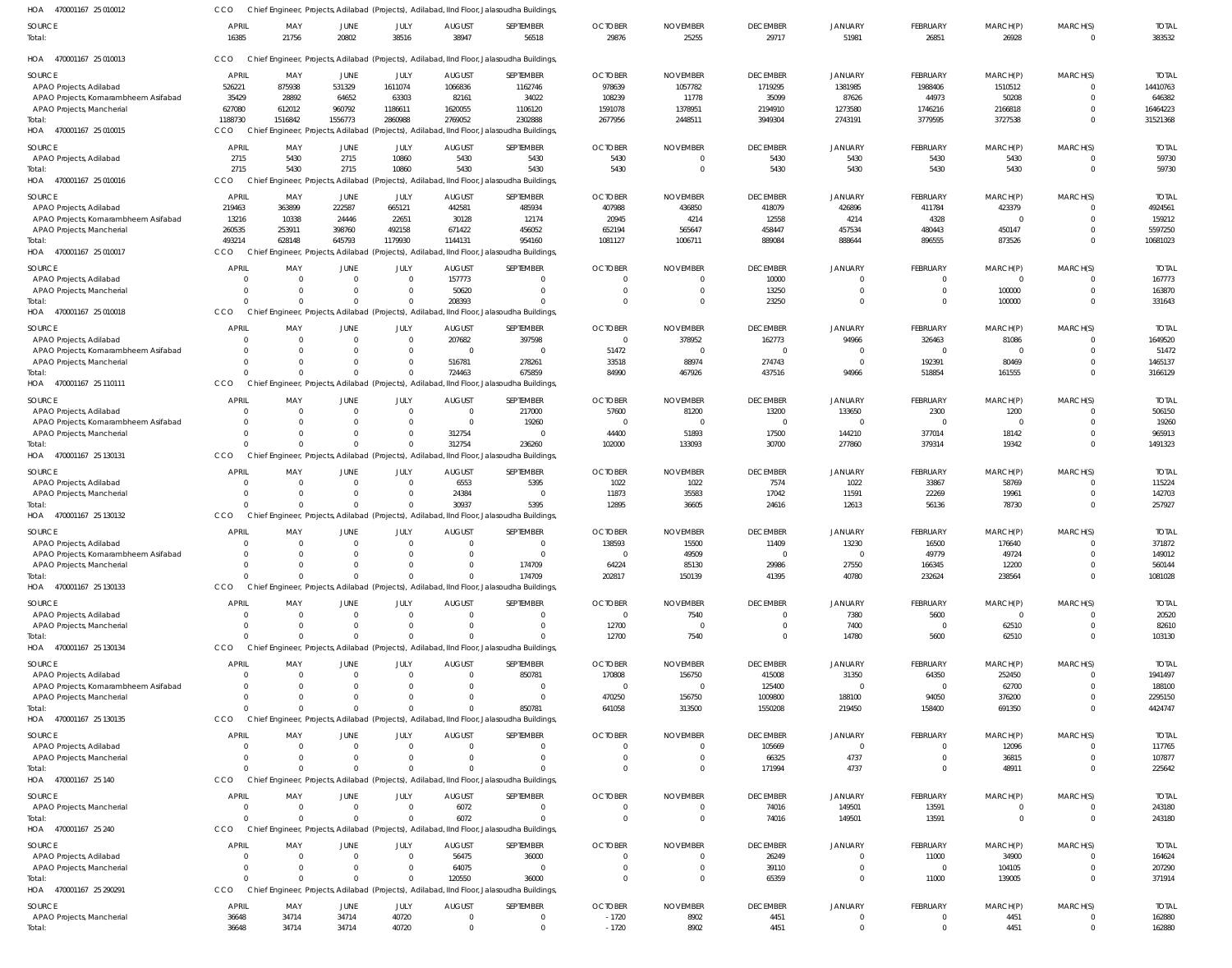| HOA<br>470001167 25 010012                                        | CCO                      |                                                                  |                         |                        |                           | Chief Engineer, Projects, Adilabad (Projects), Adilabad, IInd Floor, Jalasoudha Buildings,            |                                |                         |                                |                        |                      |                         |                                |                        |
|-------------------------------------------------------------------|--------------------------|------------------------------------------------------------------|-------------------------|------------------------|---------------------------|-------------------------------------------------------------------------------------------------------|--------------------------------|-------------------------|--------------------------------|------------------------|----------------------|-------------------------|--------------------------------|------------------------|
| SOURCE                                                            | <b>APRIL</b>             | MAY                                                              | JUNE                    | JULY                   | <b>AUGUST</b>             | SEPTEMBER                                                                                             | <b>OCTOBER</b>                 | <b>NOVEMBER</b>         | <b>DECEMBER</b>                | <b>JANUARY</b>         | FEBRUARY             | MARCH(P)                | MARCH(S)                       | <b>TOTAL</b>           |
| Total:                                                            | 16385                    | 21756                                                            | 20802                   | 38516                  | 38947                     | 56518                                                                                                 | 29876                          | 25255                   | 29717                          | 51981                  | 26851                | 26928                   | $\overline{0}$                 | 383532                 |
| HOA 470001167 25 010013                                           | <b>CCO</b>               |                                                                  |                         |                        |                           | Chief Engineer, Projects, Adilabad (Projects), Adilabad, IInd Floor, Jalasoudha Buildings,            |                                |                         |                                |                        |                      |                         |                                |                        |
| SOURCE                                                            | <b>APRIL</b>             | MAY                                                              | JUNE                    | JULY                   | <b>AUGUST</b>             | SEPTEMBER                                                                                             | <b>OCTOBER</b>                 | <b>NOVEMBER</b>         | <b>DECEMBER</b>                | <b>JANUARY</b>         | FEBRUARY             | MARCH(P)                | MARCH(S)                       | <b>TOTAL</b>           |
| APAO Projects, Adilabad                                           | 526221                   | 875938                                                           | 531329                  | 1611074                | 1066836                   | 1162746                                                                                               | 978639                         | 1057782                 | 1719295                        | 1381985                | 1988406              | 1510512                 | $\Omega$                       | 14410763               |
| APAO Projects, Komarambheem Asifabad                              | 35429                    | 28892                                                            | 64652                   | 63303                  | 82161                     | 34022                                                                                                 | 108239                         | 11778                   | 35099                          | 87626                  | 44973                | 50208                   | $\Omega$                       | 646382                 |
| APAO Projects, Mancherial                                         | 627080                   | 612012                                                           | 960792                  | 1186611                | 1620055                   | 1106120                                                                                               | 1591078                        | 1378951                 | 2194910                        | 1273580                | 1746216              | 2166818                 | $\Omega$                       | 16464223               |
| Total:<br>HOA 470001167 25 010015                                 | 1188730<br>CCO           | 1516842                                                          | 1556773                 | 2860988                | 2769052                   | 2302888<br>Chief Engineer, Projects, Adilabad (Projects), Adilabad, IInd Floor, Jalasoudha Buildings, | 2677956                        | 2448511                 | 3949304                        | 2743191                | 3779595              | 3727538                 | $\Omega$                       | 31521368               |
|                                                                   |                          |                                                                  |                         |                        |                           |                                                                                                       |                                |                         |                                |                        |                      |                         |                                |                        |
| <b>SOURCE</b>                                                     | <b>APRIL</b>             | MAY                                                              | <b>JUNE</b>             | JULY                   | <b>AUGUST</b>             | SEPTEMBER                                                                                             | <b>OCTOBER</b>                 | <b>NOVEMBER</b>         | <b>DECEMBER</b>                | <b>JANUARY</b>         | <b>FEBRUARY</b>      | MARCH(P)                | MARCH(S)                       | <b>TOTAL</b>           |
| APAO Projects, Adilabad                                           | 2715                     | 5430                                                             | 2715                    | 10860                  | 5430                      | 5430                                                                                                  | 5430                           | $\Omega$<br>$\Omega$    | 5430                           | 5430                   | 5430                 | 5430                    | $\overline{0}$<br>$\Omega$     | 59730                  |
| Total:<br>HOA<br>470001167 25 010016                              | 2715<br>CCO              | 5430<br>Chief Engineer, Projects, Adilabad (Projects), Adilabad, | 2715                    | 10860                  | 5430                      | 5430<br>IInd Floor, Jalasoudha Buildings,                                                             | 5430                           |                         | 5430                           | 5430                   | 5430                 | 5430                    |                                | 59730                  |
|                                                                   |                          |                                                                  |                         |                        |                           |                                                                                                       |                                |                         |                                |                        |                      |                         |                                |                        |
| <b>SOURCE</b>                                                     | <b>APRIL</b>             | MAY                                                              | <b>JUNE</b>             | JULY                   | <b>AUGUST</b>             | SEPTEMBER                                                                                             | <b>OCTOBER</b>                 | <b>NOVEMBER</b>         | <b>DECEMBER</b>                | <b>JANUARY</b>         | FEBRUARY             | MARCH(P)                | MARCH(S)                       | <b>TOTAL</b>           |
| APAO Projects, Adilabad                                           | 219463                   | 363899                                                           | 222587<br>24446         | 665121                 | 442581                    | 485934                                                                                                | 407988                         | 436850                  | 418079                         | 426896                 | 411784               | 423379<br>$\mathbf{0}$  | $\Omega$<br>$\Omega$           | 4924561                |
| APAO Projects, Komarambheem Asifabad<br>APAO Projects, Mancherial | 13216<br>260535          | 10338<br>253911                                                  | 398760                  | 22651<br>492158        | 30128<br>671422           | 12174<br>456052                                                                                       | 20945<br>652194                | 4214<br>565647          | 12558<br>458447                | 4214<br>457534         | 4328<br>480443       | 450147                  | $\Omega$                       | 159212<br>5597250      |
| Total:                                                            | 493214                   | 628148                                                           | 645793                  | 1179930                | 1144131                   | 954160                                                                                                | 1081127                        | 1006711                 | 889084                         | 888644                 | 896555               | 873526                  | $\Omega$                       | 10681023               |
| HOA 470001167 25 010017                                           | CCO                      |                                                                  |                         |                        |                           | Chief Engineer, Projects, Adilabad (Projects), Adilabad, IInd Floor, Jalasoudha Buildings,            |                                |                         |                                |                        |                      |                         |                                |                        |
|                                                                   |                          |                                                                  |                         |                        |                           |                                                                                                       |                                |                         |                                |                        |                      |                         |                                |                        |
| SOURCE<br>APAO Projects, Adilabad                                 | <b>APRIL</b><br>$\Omega$ | MAY<br>$\Omega$                                                  | JUNE<br>$\Omega$        | JULY<br>$\overline{0}$ | <b>AUGUST</b><br>157773   | SEPTEMBER<br>$\Omega$                                                                                 | <b>OCTOBER</b>                 | <b>NOVEMBER</b>         | <b>DECEMBER</b><br>10000       | JANUARY<br>$\Omega$    | FEBRUARY<br>$\Omega$ | MARCH(P)<br>$\Omega$    | MARCH(S)<br>$\Omega$           | <b>TOTAL</b><br>167773 |
| APAO Projects, Mancherial                                         | $\Omega$                 | $\Omega$                                                         | $\Omega$                | $\Omega$               | 50620                     | $\overline{0}$                                                                                        | $\Omega$                       |                         | 13250                          | $\overline{0}$         | $\mathbf 0$          | 100000                  | $\overline{0}$                 | 163870                 |
| Total:                                                            | $\Omega$                 | $\Omega$                                                         | $\Omega$                | $\Omega$               | 208393                    | $\Omega$                                                                                              |                                |                         | 23250                          | $\Omega$               | $\Omega$             | 100000                  | $\Omega$                       | 331643                 |
| HOA 470001167 25 010018                                           | CCO                      | Chief Engineer, Projects, Adilabad (Projects), Adilabad,         |                         |                        |                           | IInd Floor, Jalasoudha Buildings,                                                                     |                                |                         |                                |                        |                      |                         |                                |                        |
| <b>SOURCE</b>                                                     | <b>APRIL</b>             | MAY                                                              | JUNE                    | JULY                   | <b>AUGUST</b>             | SEPTEMBER                                                                                             | <b>OCTOBER</b>                 | <b>NOVEMBER</b>         | <b>DECEMBER</b>                | <b>JANUARY</b>         | FEBRUARY             | MARCH(P)                | MARCH(S)                       | <b>TOTAL</b>           |
| APAO Projects, Adilabad                                           | $\Omega$                 | $\Omega$                                                         | $\Omega$                | $\overline{0}$         | 207682                    | 397598                                                                                                | $\Omega$                       | 378952                  | 162773                         | 94966                  | 326463               | 81086                   | $\Omega$                       | 1649520                |
| APAO Projects, Komarambheem Asifabad                              | $\Omega$                 | $\Omega$                                                         | $\Omega$                | $\mathbf 0$            | $\Omega$                  | $\overline{0}$                                                                                        | 51472                          | $\Omega$                | $\overline{0}$                 | $\Omega$               | $\mathbf{0}$         | $\mathbf 0$             | $\Omega$                       | 51472                  |
| APAO Projects, Mancherial                                         | $\Omega$                 | $\Omega$                                                         | $\Omega$                | $\Omega$               | 516781                    | 278261                                                                                                | 33518                          | 88974                   | 274743                         | $\overline{0}$         | 192391               | 80469                   | $\Omega$                       | 1465137                |
| Total:                                                            | $\Omega$                 | $\Omega$                                                         | $\Omega$                | $\Omega$               | 724463                    | 675859                                                                                                | 84990                          | 467926                  | 437516                         | 94966                  | 518854               | 161555                  | $\Omega$                       | 3166129                |
| HOA 470001167 25 110111                                           | CCO                      |                                                                  |                         |                        |                           | Chief Engineer, Projects, Adilabad (Projects), Adilabad, IInd Floor, Jalasoudha Buildings,            |                                |                         |                                |                        |                      |                         |                                |                        |
| SOURCE                                                            | <b>APRIL</b>             | MAY                                                              | JUNE                    | JULY                   | <b>AUGUST</b>             | SEPTEMBER                                                                                             | <b>OCTOBER</b>                 | <b>NOVEMBER</b>         | <b>DECEMBER</b>                | <b>JANUARY</b>         | FEBRUARY             | MARCH(P)                | MARCH(S)                       | <b>TOTAL</b>           |
| APAO Projects, Adilabad                                           | $\Omega$                 | $\Omega$                                                         | $\Omega$                | $\overline{0}$         | $\Omega$                  | 217000                                                                                                | 57600                          | 81200                   | 13200                          | 133650                 | 2300                 | 1200                    | $\Omega$                       | 506150                 |
| APAO Projects, Komarambheem Asifabad                              | $\Omega$                 | $\Omega$                                                         | $\Omega$                | $\overline{0}$         | $\Omega$                  | 19260                                                                                                 | $\Omega$                       | $\Omega$                | $\overline{0}$                 | $\overline{0}$         | $\overline{0}$       | $\overline{0}$          | $\Omega$                       | 19260                  |
| APAO Projects, Mancherial                                         | $\Omega$                 | $\Omega$                                                         | $\Omega$                | $\Omega$               | 312754                    | $\Omega$                                                                                              | 44400                          | 51893                   | 17500                          | 144210                 | 377014               | 18142                   | $\Omega$                       | 965913                 |
| Total:                                                            | $\Omega$                 | $\Omega$                                                         | $\Omega$                | $\Omega$               | 312754                    | 236260                                                                                                | 102000                         | 133093                  | 30700                          | 277860                 | 379314               | 19342                   | $\Omega$                       | 1491323                |
| HOA 470001167 25 130131                                           | CCO                      |                                                                  |                         |                        |                           | Chief Engineer, Projects, Adilabad (Projects), Adilabad, IInd Floor, Jalasoudha Buildings,            |                                |                         |                                |                        |                      |                         |                                |                        |
| SOURCE                                                            | <b>APRIL</b>             | MAY                                                              | JUNE                    | JULY                   | <b>AUGUST</b>             | SEPTEMBER                                                                                             | <b>OCTOBER</b>                 | <b>NOVEMBER</b>         | <b>DECEMBER</b>                | <b>JANUARY</b>         | <b>FEBRUARY</b>      | MARCH(P)                | MARCH(S)                       | <b>TOTAL</b>           |
| APAO Projects, Adilabad                                           | 0                        | $\overline{0}$                                                   | $\Omega$                | $\overline{0}$         | 6553                      | 5395                                                                                                  | 1022                           | 1022                    | 7574                           | 1022                   | 33867                | 58769                   | $\Omega$                       | 115224                 |
| APAO Projects, Mancherial                                         | $\Omega$                 | $\Omega$                                                         | $\Omega$                | $\Omega$               | 24384                     | $\overline{0}$                                                                                        | 11873                          | 35583                   | 17042                          | 11591                  | 22269                | 19961                   | $\Omega$                       | 142703                 |
| Total:                                                            | $\Omega$                 | $\Omega$                                                         | $\Omega$                | $\Omega$               | 30937                     | 5395                                                                                                  | 12895                          | 36605                   | 24616                          | 12613                  | 56136                | 78730                   | $\Omega$                       | 257927                 |
| HOA 470001167 25 130132                                           | CCO                      | Chief Engineer, Projects, Adilabad (Projects), Adilabad,         |                         |                        |                           | IInd Floor, Jalasoudha Buildings,                                                                     |                                |                         |                                |                        |                      |                         |                                |                        |
| SOURCE                                                            | <b>APRIL</b>             | MAY                                                              | JUNE                    | JULY                   | <b>AUGUST</b>             | SEPTEMBER                                                                                             | <b>OCTOBER</b>                 | <b>NOVEMBER</b>         | <b>DECEMBER</b>                | <b>JANUARY</b>         | FEBRUARY             | MARCH(P)                | MARCH(S)                       | <b>TOTAL</b>           |
| APAO Projects, Adilabad                                           | $\Omega$                 | $\Omega$                                                         | $\Omega$                | $\Omega$               | $\Omega$                  | $\Omega$                                                                                              | 138593                         | 15500                   | 11409                          | 13230                  | 16500                | 176640                  | $\Omega$                       | 371872                 |
| APAO Projects, Komarambheem Asifabad                              |                          |                                                                  |                         |                        |                           |                                                                                                       |                                | 49509                   |                                |                        | 49779                | 49724                   |                                | 149012                 |
| APAO Projects, Mancherial<br>Total:                               | $\Omega$<br>$\Omega$     | $\Omega$<br>$\Omega$                                             | $\Omega$                | $\Omega$               |                           | 174709<br>174709                                                                                      | 64224<br>202817                | 85130<br>150139         | 29986<br>41395                 | 27550<br>40780         | 166345<br>232624     | 12200<br>238564         | $\overline{0}$<br>$\mathbf{0}$ | 560144<br>1081028      |
| HOA 470001167 25 130133                                           | CCO                      |                                                                  |                         |                        |                           | Chief Engineer, Projects, Adilabad (Projects), Adilabad, IInd Floor, Jalasoudha Buildings,            |                                |                         |                                |                        |                      |                         |                                |                        |
|                                                                   |                          |                                                                  |                         |                        |                           |                                                                                                       |                                |                         |                                |                        |                      |                         |                                |                        |
| SOURCE                                                            | APRIL<br>$\Omega$        | MAY<br>$\Omega$                                                  | <b>JUNE</b><br>$\Omega$ | JULY<br>$\Omega$       | <b>AUGUST</b><br>$\Omega$ | SEPTEMBER<br>$\overline{0}$                                                                           | <b>OCTOBER</b><br>$\mathbf{0}$ | <b>NOVEMBER</b><br>7540 | <b>DECEMBER</b><br>$\mathbf 0$ | <b>JANUARY</b><br>7380 | <b>FEBRUARY</b>      | MARCH(P)<br>$\mathbf 0$ | MARCH(S)<br>$\Omega$           | <b>TOTAL</b><br>20520  |
| APAO Projects, Adilabad<br>APAO Projects, Mancherial              | 0                        | $\Omega$                                                         | $\Omega$                | $\Omega$               | $\Omega$                  | $\overline{0}$                                                                                        | 12700                          | $\overline{0}$          | $\overline{0}$                 | 7400                   | 5600<br>$\mathbf 0$  | 62510                   | $\overline{0}$                 | 82610                  |
| Total:                                                            | $\Omega$                 | $\Omega$                                                         | $\Omega$                | $\Omega$               |                           | $\Omega$                                                                                              | 12700                          | 7540                    | $\Omega$                       | 14780                  | 5600                 | 62510                   | $\Omega$                       | 103130                 |
| HOA 470001167 25 130134                                           | CCO                      |                                                                  |                         |                        |                           | Chief Engineer, Projects, Adilabad (Projects), Adilabad, IInd Floor, Jalasoudha Buildings,            |                                |                         |                                |                        |                      |                         |                                |                        |
| SOURCE                                                            | APRIL                    | MAY                                                              | JUNE                    | JULY                   | <b>AUGUST</b>             | SEPTEMBER                                                                                             | <b>OCTOBER</b>                 | <b>NOVEMBER</b>         | <b>DECEMBER</b>                | <b>JANUARY</b>         | <b>FEBRUARY</b>      | MARCH(P)                | MARCH(S)                       | <b>TOTAL</b>           |
| APAO Projects, Adilabad                                           | $\Omega$                 | $\Omega$                                                         | $\Omega$                | $\Omega$               | $\Omega$                  | 850781                                                                                                | 170808                         | 156750                  | 415008                         | 31350                  | 64350                | 252450                  | $\Omega$                       | 1941497                |
| APAO Projects, Komarambheem Asifabad                              | $\Omega$                 | $\Omega$                                                         |                         | $\Omega$               | $\Omega$                  | $\overline{0}$                                                                                        | $\Omega$                       |                         | 125400                         | $\overline{0}$         | $\overline{0}$       | 62700                   | $\Omega$                       | 188100                 |
| APAO Projects, Mancherial                                         | $\Omega$                 | $\Omega$                                                         | $\Omega$                | $\Omega$               |                           | $\Omega$                                                                                              | 470250                         | 156750                  | 1009800                        | 188100                 | 94050                | 376200                  | $\Omega$                       | 2295150                |
| Total:                                                            | $\Omega$                 | $\Omega$                                                         | $\Omega$                | $\Omega$               |                           | 850781                                                                                                | 641058                         | 313500                  | 1550208                        | 219450                 | 158400               | 691350                  | $\Omega$                       | 4424747                |
| HOA 470001167 25 130135                                           | CCO                      |                                                                  |                         |                        |                           | Chief Engineer, Projects, Adilabad (Projects), Adilabad, IInd Floor, Jalasoudha Buildings,            |                                |                         |                                |                        |                      |                         |                                |                        |
| SOURCE                                                            | <b>APRIL</b>             | MAY                                                              | JUNE                    | JULY                   | <b>AUGUST</b>             | SEPTEMBER                                                                                             | <b>OCTOBER</b>                 | <b>NOVEMBER</b>         | <b>DECEMBER</b>                | <b>JANUARY</b>         | FEBRUARY             | MARCH(P)                | MARCH(S)                       | <b>TOTAL</b>           |
| APAO Projects, Adilabad                                           | $\Omega$                 | $\Omega$                                                         | $\Omega$                | $\Omega$               | $\Omega$                  | $\overline{0}$                                                                                        | $\Omega$                       |                         | 105669                         | $\overline{0}$         | 0                    | 12096                   | $\Omega$                       | 117765                 |
| APAO Projects, Mancherial                                         | $\overline{0}$           | $\Omega$                                                         | $\Omega$                | $\Omega$               | $\Omega$                  | $\overline{0}$                                                                                        | $\Omega$                       |                         | 66325                          | 4737                   | $\mathbf{0}$         | 36815                   | $\overline{0}$                 | 107877                 |
| Total:                                                            | $\Omega$                 | $\Omega$                                                         | $\Omega$                | $\Omega$               |                           | $\Omega$                                                                                              |                                |                         | 171994                         | 4737                   | $\mathbf 0$          | 48911                   | $\Omega$                       | 225642                 |
| HOA 470001167 25 140                                              | CCO                      |                                                                  |                         |                        |                           | Chief Engineer, Projects, Adilabad (Projects), Adilabad, IInd Floor, Jalasoudha Buildings,            |                                |                         |                                |                        |                      |                         |                                |                        |
| SOURCE                                                            | APRIL                    | MAY                                                              | JUNE                    | JULY                   | <b>AUGUST</b>             | SEPTEMBER                                                                                             | <b>OCTOBER</b>                 | <b>NOVEMBER</b>         | <b>DECEMBER</b>                | <b>JANUARY</b>         | FEBRUARY             | MARCH(P)                | MARCH(S)                       | <b>TOTAL</b>           |
| APAO Projects, Mancherial                                         | $\mathbf 0$              | $\Omega$                                                         | $\Omega$                | $\overline{0}$         | 6072                      | $\Omega$                                                                                              |                                |                         | 74016                          | 149501                 | 13591                | 0                       | $\Omega$                       | 243180                 |
| Total:                                                            | $\Omega$                 | $\Omega$                                                         | $\Omega$                | $\Omega$               | 6072                      | $\Omega$                                                                                              | $\Omega$                       | $\Omega$                | 74016                          | 149501                 | 13591                | $\mathbf{0}$            | $\overline{0}$                 | 243180                 |
| HOA 470001167 25 240                                              | <b>CCO</b>               |                                                                  |                         |                        |                           | Chief Engineer, Projects, Adilabad (Projects), Adilabad, IInd Floor, Jalasoudha Buildings,            |                                |                         |                                |                        |                      |                         |                                |                        |
| SOURCE                                                            | <b>APRIL</b>             | MAY                                                              | JUNE                    | JULY                   | <b>AUGUST</b>             | SEPTEMBER                                                                                             | <b>OCTOBER</b>                 | <b>NOVEMBER</b>         | <b>DECEMBER</b>                | <b>JANUARY</b>         | <b>FEBRUARY</b>      | MARCH(P)                | MARCH(S)                       | <b>TOTAL</b>           |
| APAO Projects, Adilabad                                           | 0                        | $\overline{0}$                                                   | $\Omega$                | $\overline{0}$         | 56475                     | 36000                                                                                                 | $\Omega$                       |                         | 26249                          | $\mathbf 0$            | 11000                | 34900                   | $\Omega$                       | 164624                 |
| APAO Projects, Mancherial                                         | $\Omega$                 | $\Omega$                                                         | $\Omega$                | $\Omega$               | 64075                     | $\overline{0}$                                                                                        | $\Omega$                       |                         | 39110                          | $\overline{0}$         | $\mathbf 0$          | 104105                  | $\overline{0}$                 | 207290                 |
| Total:                                                            | $\Omega$                 | $\Omega$                                                         | $\Omega$                | $\Omega$               | 120550                    | 36000                                                                                                 | $\Omega$                       |                         | 65359                          | $\overline{0}$         | 11000                | 139005                  | $\overline{0}$                 | 371914                 |
| HOA 470001167 25 290291                                           | CCO                      |                                                                  |                         |                        |                           | Chief Engineer, Projects, Adilabad (Projects), Adilabad, IInd Floor, Jalasoudha Buildings,            |                                |                         |                                |                        |                      |                         |                                |                        |
| SOURCE                                                            | <b>APRIL</b>             | MAY                                                              | JUNE                    | JULY                   | <b>AUGUST</b>             | SEPTEMBER                                                                                             | <b>OCTOBER</b>                 | <b>NOVEMBER</b>         | <b>DECEMBER</b>                | <b>JANUARY</b>         | <b>FEBRUARY</b>      | MARCH(P)                | MARCH(S)                       | <b>TOTAL</b>           |
| APAO Projects, Mancherial                                         | 36648                    | 34714                                                            | 34714                   | 40720                  | $\Omega$                  | $\overline{0}$                                                                                        | $-1720$                        | 8902                    | 4451                           | $\mathbf 0$            | 0                    | 4451                    | $^{\circ}$                     | 162880                 |
| Total:                                                            | 36648                    | 34714                                                            | 34714                   | 40720                  | $\Omega$                  | $\overline{0}$                                                                                        | $-1720$                        | 8902                    | 4451                           | $\overline{0}$         | $\mathbf 0$          | 4451                    | $\mathbf 0$                    | 162880                 |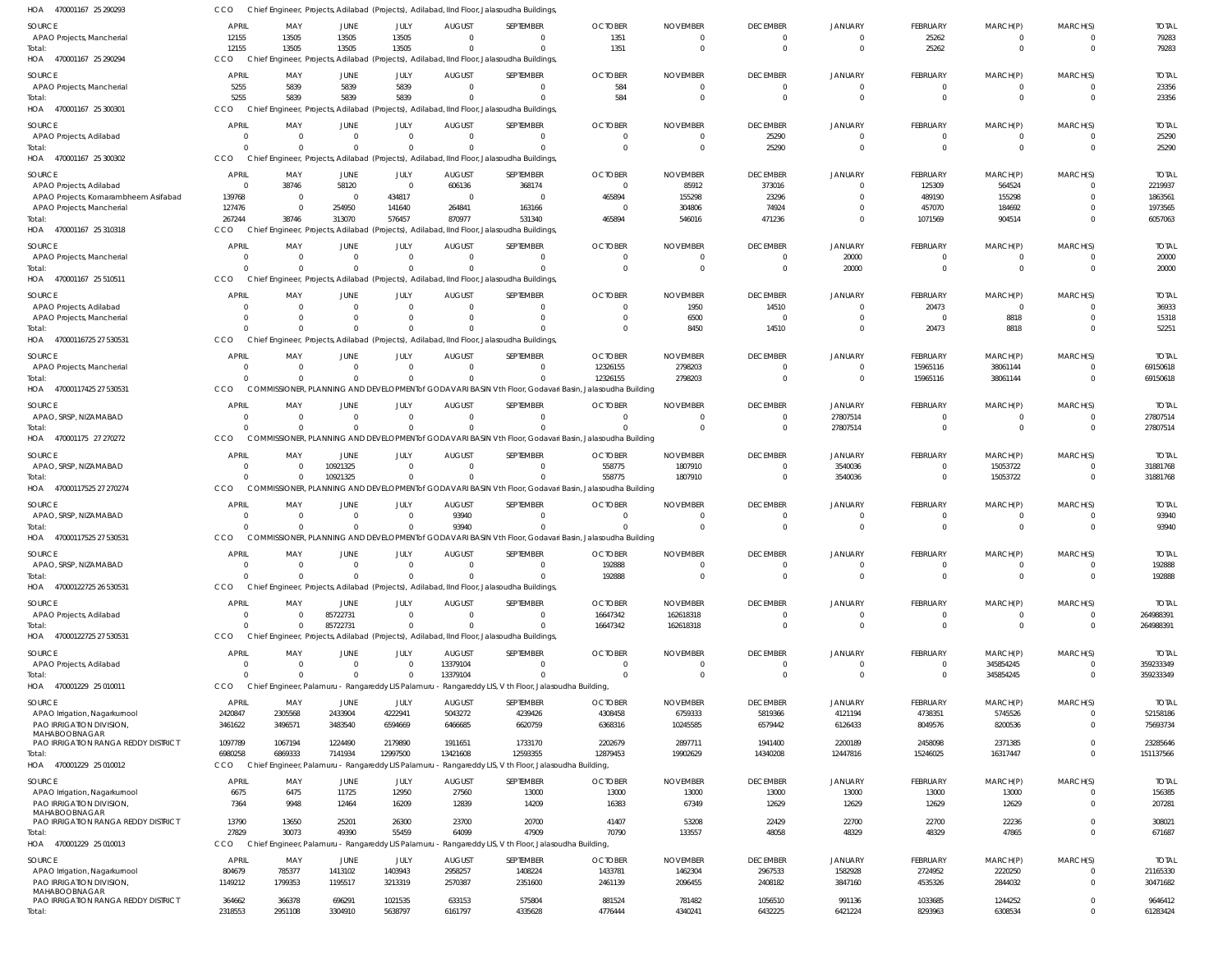| HOA 470001167 25 290293                              | cco                          |                    |                                                    |                            |                           | Chief Engineer, Projects, Adilabad (Projects), Adilabad, IInd Floor, Jalasoudha Buildings               |                          |                            |                                   |                           |                            |                            |                         |                          |
|------------------------------------------------------|------------------------------|--------------------|----------------------------------------------------|----------------------------|---------------------------|---------------------------------------------------------------------------------------------------------|--------------------------|----------------------------|-----------------------------------|---------------------------|----------------------------|----------------------------|-------------------------|--------------------------|
| <b>SOURCE</b>                                        | <b>APRIL</b>                 | MAY                | JUNE                                               | JULY                       | <b>AUGUST</b>             | SEPTEMBER                                                                                               | <b>OCTOBER</b>           | <b>NOVEMBER</b>            | <b>DECEMBER</b>                   | <b>JANUARY</b>            | FEBRUARY                   | MARCH(P)                   | MARCH(S)                | <b>TOTAL</b>             |
| APAO Projects, Mancherial                            | 12155                        | 13505              | 13505                                              | 13505                      | $\Omega$                  | $^{\circ}$                                                                                              | 1351                     | $\Omega$                   | 0                                 | $\overline{0}$            | 25262                      | $^{\circ}$                 | $\Omega$                | 79283                    |
| Total:                                               | 12155                        | 13505              | 13505                                              | 13505                      | $\Omega$                  | $\Omega$                                                                                                | 1351                     | $\Omega$                   | $\overline{0}$                    | $\overline{0}$            | 25262                      | $\mathbf 0$                | $\Omega$                | 79283                    |
| HOA 470001167 25 290294                              | CCO                          |                    |                                                    |                            |                           | Chief Engineer, Projects, Adilabad (Projects), Adilabad, IInd Floor, Jalasoudha Buildings,              |                          |                            |                                   |                           |                            |                            |                         |                          |
| SOURCE                                               | <b>APRIL</b>                 | MAY                | JUNE                                               | JULY                       | <b>AUGUST</b>             | SEPTEMBER                                                                                               | <b>OCTOBER</b>           | <b>NOVEMBER</b>            | <b>DECEMBER</b>                   | <b>JANUARY</b>            | FEBRUARY                   | MARCH(P)                   | MARCH(S)                | <b>TOTAL</b>             |
| APAO Projects, Mancherial                            | 5255                         | 5839               | 5839                                               | 5839                       | $\mathbf{0}$              | $\overline{0}$                                                                                          | 584                      | $\Omega$                   | $\overline{0}$                    | $\overline{0}$            | $\mathbf 0$                | $\mathbf 0$                | $\mathbf 0$             | 23356                    |
| Total:                                               | 5255                         | 5839               | 5839                                               | 5839                       | $\Omega$                  | $\mathbf 0$                                                                                             | 584                      |                            | $\overline{0}$                    | $\overline{0}$            | $\Omega$                   | $\Omega$                   | $\Omega$                | 23356                    |
| HOA 470001167 25 300301                              | CCO                          |                    |                                                    |                            |                           | Chief Engineer, Projects, Adilabad (Projects), Adilabad, IInd Floor, Jalasoudha Buildings               |                          |                            |                                   |                           |                            |                            |                         |                          |
| SOURCE                                               | <b>APRIL</b>                 | MAY                | JUNE                                               | JULY                       | <b>AUGUST</b>             | SEPTEMBER                                                                                               | <b>OCTOBER</b>           | <b>NOVEMBER</b>            | <b>DECEMBER</b>                   | <b>JANUARY</b>            | FEBRUARY                   | MARCH(P)                   | MARCH(S)                | <b>TOTAL</b>             |
| APAO Projects, Adilabad                              | $\mathbf{0}$                 | $\Omega$           | $\mathbf{0}$                                       | $\overline{0}$             | $\Omega$                  | $\mathbf 0$                                                                                             | $\Omega$                 | $\Omega$                   | 25290                             | $\mathbf{0}$              | -0                         | $^{\circ}$                 | $\Omega$                | 25290                    |
| Total:                                               | $\Omega$                     | $\Omega$           | $\Omega$                                           | $\Omega$                   | $\Omega$                  | $\mathbf 0$                                                                                             | $\Omega$                 | $\Omega$                   | 25290                             | $\overline{0}$            | $\mathbf 0$                | $\mathbf 0$                | $\overline{0}$          | 25290                    |
| HOA 470001167 25 300302                              | CCO                          |                    |                                                    |                            |                           | Chief Engineer, Projects, Adilabad (Projects), Adilabad, IInd Floor, Jalasoudha Buildings               |                          |                            |                                   |                           |                            |                            |                         |                          |
| SOURCE                                               | <b>APRIL</b>                 | MAY                | JUNE                                               | JULY                       | <b>AUGUST</b>             | SEPTEMBER                                                                                               | <b>OCTOBER</b>           | <b>NOVEMBER</b>            | <b>DECEMBER</b>                   | JANUARY                   | FEBRUARY                   | MARCH(P)                   | MARCH(S)                | <b>TOTAL</b>             |
| APAO Projects, Adilabad                              | $\overline{0}$               | 38746              | 58120                                              | $\overline{\mathbf{0}}$    | 606136                    | 368174                                                                                                  | - 0                      | 85912                      | 373016                            | $\mathbf{0}$              | 125309                     | 564524                     | $\Omega$                | 2219937                  |
| APAO Projects, Komarambheem Asifabad                 | 139768                       | $\Omega$           | $\overline{\mathbf{0}}$                            | 434817                     | $\overline{0}$            | $\overline{0}$                                                                                          | 465894                   | 155298                     | 23296                             | $\overline{0}$            | 489190                     | 155298                     | $\Omega$                | 1863561                  |
| APAO Projects, Mancherial                            | 127476                       | $\Omega$           | 254950                                             | 141640                     | 264841                    | 163166                                                                                                  |                          | 304806                     | 74924                             | $\mathbf{0}$              | 457070                     | 184692                     | $\Omega$                | 1973565                  |
| Total:                                               | 267244                       | 38746              | 313070                                             | 576457                     | 870977                    | 531340                                                                                                  | 465894                   | 546016                     | 471236                            | $\overline{0}$            | 1071569                    | 904514                     | $\Omega$                | 6057063                  |
| HOA 470001167 25 310318                              | CCO                          |                    |                                                    |                            |                           | Chief Engineer, Projects, Adilabad (Projects), Adilabad, IInd Floor, Jalasoudha Buildings,              |                          |                            |                                   |                           |                            |                            |                         |                          |
| SOURCE                                               | <b>APRIL</b>                 | MAY                | JUNE                                               | JULY                       | <b>AUGUST</b>             | SEPTEMBER                                                                                               | <b>OCTOBER</b>           | <b>NOVEMBER</b>            | <b>DECEMBER</b>                   | <b>JANUARY</b>            | FEBRUARY                   | MARCH(P)                   | MARCH(S)                | <b>TOTAL</b>             |
| APAO Projects, Mancherial                            | 0                            | $\Omega$           | $\overline{0}$                                     | $\mathbf 0$                | $\Omega$                  | $\mathbf 0$                                                                                             | $\Omega$                 | $\Omega$                   | $\overline{0}$                    | 20000                     | 0                          | $^{\circ}$                 | 0                       | 20000                    |
| Total:                                               | $\Omega$                     | $\Omega$           | $\Omega$                                           | $\Omega$                   | $\Omega$                  | $\Omega$                                                                                                | $\Omega$                 | $\Omega$                   | $\overline{0}$                    | 20000                     | $\Omega$                   | $\mathbf 0$                | $\Omega$                | 20000                    |
| HOA 470001167 25 510511                              | CCO                          |                    |                                                    |                            |                           | Chief Engineer, Projects, Adilabad (Projects), Adilabad, IInd Floor, Jalasoudha Buildings,              |                          |                            |                                   |                           |                            |                            |                         |                          |
| SOURCE                                               | <b>APRIL</b>                 | MAY                | <b>JUNE</b>                                        | JULY                       | <b>AUGUST</b>             | SEPTEMBER                                                                                               | <b>OCTOBER</b>           | <b>NOVEMBER</b>            | <b>DECEMBER</b>                   | <b>JANUARY</b>            | FEBRUARY                   | MARCH(P)                   | MARCH(S)                | <b>TOTAL</b>             |
| APAO Projects, Adilabad                              | 0                            | $\Omega$           | $\overline{0}$                                     | $\overline{0}$             | $\overline{0}$            | $\overline{0}$                                                                                          |                          | 1950                       | 14510                             | $\overline{0}$            | 20473                      | $\overline{0}$             | $\Omega$                | 36933                    |
| APAO Projects, Mancherial                            | 0                            | $\Omega$           | 0                                                  | $\mathbf 0$                | $\Omega$                  | $\mathbf 0$                                                                                             |                          | 6500                       | $\overline{0}$                    | $\overline{0}$            | $\overline{0}$             | 8818                       | $\Omega$                | 15318                    |
| Total:<br>HOA 47000116725 27 530531                  | $\Omega$<br>CCO              |                    | $\Omega$                                           | $\Omega$                   | $\Omega$                  | $\Omega$<br>Chief Engineer, Projects, Adilabad (Projects), Adilabad, IInd Floor, Jalasoudha Buildings   | $\Omega$                 | 8450                       | 14510                             | $\overline{0}$            | 20473                      | 8818                       | $\Omega$                | 52251                    |
|                                                      |                              |                    |                                                    |                            |                           |                                                                                                         |                          |                            |                                   |                           |                            |                            |                         |                          |
| SOURCE                                               | <b>APRIL</b>                 | MAY                | <b>JUNE</b>                                        | JULY                       | <b>AUGUST</b>             | SEPTEMBER                                                                                               | <b>OCTOBER</b>           | <b>NOVEMBER</b>            | <b>DECEMBER</b>                   | <b>JANUARY</b>            | FEBRUARY                   | MARCH(P)                   | MARCH(S)                | <b>TOTAL</b>             |
| APAO Projects, Mancherial                            | $\Omega$                     | $\Omega$<br>$\cap$ | $\overline{0}$<br>$\Omega$                         | $\mathbf 0$                | $\Omega$                  | $\mathbf 0$<br>$\Omega$                                                                                 | 12326155                 | 2798203                    | $\overline{0}$                    | $\overline{0}$            | 15965116                   | 38061144                   |                         | 69150618                 |
| Total:<br>HOA 47000117425 27 530531                  | $\Omega$<br>CCO              |                    |                                                    | $\mathbf 0$                | $\Omega$                  | COMMISSIONER, PLANNING AND DEVELOPMENT of GODAVARI BASIN Vth Floor, Godavari Basin, Jalasoudha Building | 12326155                 | 2798203                    | $\overline{0}$                    | $\overline{0}$            | 15965116                   | 38061144                   | $\Omega$                | 69150618                 |
|                                                      |                              |                    |                                                    |                            |                           |                                                                                                         |                          |                            |                                   |                           |                            |                            |                         |                          |
| SOURCE                                               | <b>APRIL</b>                 | MAY                | <b>JUNE</b>                                        | JULY                       | <b>AUGUST</b>             | SEPTEMBER                                                                                               | <b>OCTOBER</b>           | <b>NOVEMBER</b>            | <b>DECEMBER</b>                   | JANUARY                   | FEBRUARY                   | MARCH(P)                   | MARCH(S)                | <b>TOTAL</b>             |
| APAO, SRSP, NIZAMABAD                                | $\overline{0}$<br>$\Omega$   | $\Omega$           | $\overline{0}$<br>$\overline{0}$                   | $\mathbf 0$<br>$\mathbf 0$ | $\Omega$<br>$\Omega$      | $\overline{0}$<br>$\mathbf 0$                                                                           | - 0                      |                            | $\overline{0}$<br>$\overline{0}$  | 27807514<br>27807514      | $\mathbf 0$<br>$\mathbf 0$ | $\mathbf 0$<br>$\mathbf 0$ | $\mathbf 0$<br>$\Omega$ | 27807514<br>27807514     |
| Total:<br>HOA 470001175 27 270272                    | CCO                          |                    |                                                    |                            |                           | COMMISSIONER, PLANNING AND DEVELOPMENT of GODAVARI BASIN Vth Floor, Godavari Basin, Jalasoudha Building |                          |                            |                                   |                           |                            |                            |                         |                          |
|                                                      |                              |                    |                                                    |                            |                           |                                                                                                         |                          |                            |                                   |                           |                            |                            |                         |                          |
| SOURCE<br>APAO, SRSP, NIZAMABAD                      | <b>APRIL</b><br>$\mathbf{0}$ | MAY<br>$\Omega$    | <b>JUNE</b><br>10921325                            | JULY<br>$\overline{0}$     | <b>AUGUST</b><br>$\Omega$ | SEPTEMBER<br>$\mathbf 0$                                                                                | <b>OCTOBER</b><br>558775 | <b>NOVEMBER</b><br>1807910 | <b>DECEMBER</b><br>$\overline{0}$ | <b>JANUARY</b><br>3540036 | FEBRUARY<br>0              | MARCH(P)<br>15053722       | MARCH(S)<br>$\mathbf 0$ | <b>TOTAL</b><br>31881768 |
| Total:                                               | $\Omega$                     |                    | 10921325                                           | $\mathbf 0$                | $\Omega$                  | $\Omega$                                                                                                | 558775                   | 1807910                    | $\overline{0}$                    | 3540036                   | $\Omega$                   | 15053722                   | $\Omega$                | 31881768                 |
| HOA 47000117525 27 270274                            | CCO                          |                    |                                                    |                            |                           | COMMISSIONER, PLANNING AND DEVELOPMENT of GODAVARI BASIN Vth Floor, Godavari Basin, Jalasoudha Building |                          |                            |                                   |                           |                            |                            |                         |                          |
| SOURCE                                               | <b>APRIL</b>                 | MAY                | <b>JUNE</b>                                        | JULY                       | <b>AUGUST</b>             | SEPTEMBER                                                                                               | <b>OCTOBER</b>           | <b>NOVEMBER</b>            | <b>DECEMBER</b>                   | <b>JANUARY</b>            | FEBRUARY                   | MARCH(P)                   | MARCH(S)                | <b>TOTAL</b>             |
| APAO, SRSP, NIZAMABAD                                | 0                            | $\Omega$           | $\overline{0}$                                     | $\overline{0}$             | 93940                     | $\mathbf 0$                                                                                             |                          |                            | $\overline{0}$                    | $\overline{0}$            | $\mathbf 0$                | $^{\circ}$                 | $\Omega$                | 93940                    |
| Total:                                               | $\Omega$                     |                    | $\overline{0}$                                     | $\mathbf 0$                | 93940                     | $\mathbf 0$                                                                                             |                          | $\Omega$                   | $\overline{0}$                    | $\overline{0}$            | $\mathbf 0$                | $\mathbf 0$                | $\Omega$                | 93940                    |
| HOA 47000117525 27 530531                            | <b>CCO</b>                   |                    |                                                    |                            |                           | COMMISSIONER, PLANNING AND DEVELOPMENT of GODAVARI BASIN Vth Floor, Godavari Basin, Jalasoudha Building |                          |                            |                                   |                           |                            |                            |                         |                          |
| <b>SOURCE</b>                                        | <b>APRIL</b>                 | MAY                | <b>JUNE</b>                                        | JULY                       | <b>AUGUST</b>             | SEPTEMBER                                                                                               | <b>OCTOBER</b>           | <b>NOVEMBER</b>            | <b>DECEMBER</b>                   | <b>JANUARY</b>            | <b>FEBRUARY</b>            | MARCH(P)                   | MARCH(S)                | <b>TOTAL</b>             |
| APAO, SRSP, NIZAMABAD                                | $\mathbf 0$                  |                    | $\Omega$                                           | $\Omega$                   |                           | $\mathbf{0}$                                                                                            | 192888                   |                            | $\Omega$                          | $\Omega$                  | $\mathbf 0$                | $\mathbf 0$                | $\mathbf{0}$            | 192888                   |
| Total:                                               | $\Omega$                     | $\cap$             | $\Omega$                                           | $\Omega$                   | $\Omega$                  | $\Omega$                                                                                                | 192888                   | $\Omega$                   | $\overline{0}$                    | $\overline{0}$            | $\Omega$                   | $\mathbf 0$                | $\Omega$                | 192888                   |
| HOA 47000122725 26 530531                            | CCO                          |                    |                                                    |                            |                           | Chief Engineer, Projects, Adilabad (Projects), Adilabad, IInd Floor, Jalasoudha Buildings,              |                          |                            |                                   |                           |                            |                            |                         |                          |
| SOURCE                                               | <b>APRIL</b>                 | MAY                | JUNE                                               | JULY                       | <b>AUGUST</b>             | SEPTEMBER                                                                                               | <b>OCTOBER</b>           | <b>NOVEMBER</b>            | <b>DECEMBER</b>                   | <b>JANUARY</b>            | FEBRUARY                   | MARCH(P)                   | MARCH(S)                | <b>TOTAL</b>             |
| APAO Projects, Adilabad                              | $\overline{0}$               | $\Omega$           | 85722731                                           | $\overline{0}$             | $\overline{0}$            | $\overline{0}$                                                                                          | 16647342                 | 162618318                  | $\overline{0}$                    | $\overline{0}$            | $\mathbf 0$                | $\mathbf 0$                | $\overline{0}$          | 264988391                |
| Total:                                               | $\Omega$                     | $\cap$             | 85722731                                           | $\mathbf 0$                | $\Omega$                  | $\mathbf 0$                                                                                             | 16647342                 | 162618318                  | $\overline{0}$                    | $\overline{0}$            | $\Omega$                   | $\mathbf 0$                | $\Omega$                | 264988391                |
| HOA 47000122725 27 530531                            | CCO                          |                    |                                                    |                            |                           | Chief Engineer, Projects, Adilabad (Projects), Adilabad, IInd Floor, Jalasoudha Buildings               |                          |                            |                                   |                           |                            |                            |                         |                          |
| SOURCE                                               | <b>APRIL</b>                 | MAY                | JUNE                                               | JULY                       | <b>AUGUST</b>             | SEPTEMBER                                                                                               | <b>OCTOBER</b>           | <b>NOVEMBER</b>            | <b>DECEMBER</b>                   | JANUARY                   | FEBRUARY                   | MARCH(P)                   | MARCH(S)                | <b>TOTAL</b>             |
| APAO Projects, Adilabad                              | $\overline{0}$               | $\Omega$           | $\overline{0}$                                     | $\overline{0}$             | 13379104                  | $\mathbf 0$                                                                                             | $\Omega$                 | $\Omega$                   | $\overline{0}$                    | $\mathbf{0}$              | $^{\circ}$                 | 345854245                  | $\Omega$                | 359233349                |
| Total:                                               | $\Omega$                     | $\cap$             | $\Omega$                                           | $\Omega$                   | 13379104                  | $\Omega$                                                                                                | $\Omega$                 | $\Omega$                   | $\overline{0}$                    | $\overline{0}$            | $\mathbf 0$                | 345854245                  | $\mathbf 0$             | 359233349                |
| HOA 470001229 25 010011                              | CCO                          |                    | Chief Engineer, Palamuru - Rangareddy LIS Palamuru |                            |                           | - Rangareddy LIS, V th Floor, Jalasoudha Building,                                                      |                          |                            |                                   |                           |                            |                            |                         |                          |
| SOURCE                                               | <b>APRIL</b>                 | MAY                | JUNE                                               | JULY                       | <b>AUGUST</b>             | SEPTEMBER                                                                                               | <b>OCTOBER</b>           | <b>NOVEMBER</b>            | <b>DECEMBER</b>                   | <b>JANUARY</b>            | FEBRUARY                   | MARCH(P)                   | MARCH(S)                | <b>TOTAL</b>             |
| APAO Irrigation, Nagarkurnool                        | 2420847                      | 2305568            | 2433904                                            | 4222941                    | 5043272                   | 4239426                                                                                                 | 4308458                  | 6759333                    | 5819366                           | 4121194                   | 4738351                    | 5745526                    | $\Omega$                | 52158186                 |
| PAO IRRIGATION DIVISION,                             | 3461622                      | 3496571            | 3483540                                            | 6594669                    | 6466685                   | 6620759                                                                                                 | 6368316                  | 10245585                   | 6579442                           | 6126433                   | 8049576                    | 8200536                    | $\Omega$                | 75693734                 |
| MAHABOOBNAGAR<br>PAO IRRIGATION RANGA REDDY DISTRICT | 1097789                      | 1067194            | 1224490                                            | 2179890                    | 1911651                   | 1733170                                                                                                 | 2202679                  | 2897711                    | 1941400                           | 2200189                   | 2458098                    | 2371385                    | $\Omega$                | 23285646                 |
| Total:                                               | 6980258                      | 6869333            | 7141934                                            | 12997500                   | 13421608                  | 12593355                                                                                                | 12879453                 | 19902629                   | 14340208                          | 12447816                  | 15246025                   | 16317447                   | $\Omega$                | 151137566                |
| HOA 470001229 25 010012                              | CCO                          |                    | Chief Engineer, Palamuru - Rangareddy LIS Palamuru |                            |                           | - Rangareddy LIS, V th Floor, Jalasoudha Building,                                                      |                          |                            |                                   |                           |                            |                            |                         |                          |
|                                                      |                              |                    |                                                    |                            |                           |                                                                                                         |                          |                            |                                   |                           |                            |                            |                         |                          |
| SOURCE<br>APAO Irrigation, Nagarkurnool              | <b>APRIL</b><br>6675         | MAY<br>6475        | JUNE<br>11725                                      | JULY<br>12950              | <b>AUGUST</b><br>27560    | SEPTEMBER<br>13000                                                                                      | <b>OCTOBER</b><br>13000  | <b>NOVEMBER</b><br>13000   | <b>DECEMBER</b><br>13000          | <b>JANUARY</b><br>13000   | FEBRUARY<br>13000          | MARCH(P)<br>13000          | MARCH(S)<br>$\mathbf 0$ | <b>TOTAL</b><br>156385   |
| PAO IRRIGATION DIVISION,                             | 7364                         | 9948               | 12464                                              | 16209                      | 12839                     | 14209                                                                                                   | 16383                    | 67349                      | 12629                             | 12629                     | 12629                      | 12629                      | $\Omega$                | 207281                   |
| MAHABOOBNAGAR                                        |                              |                    |                                                    |                            |                           |                                                                                                         |                          |                            |                                   |                           |                            |                            |                         |                          |
| PAO IRRIGATION RANGA REDDY DISTRICT                  | 13790                        | 13650              | 25201                                              | 26300                      | 23700                     | 20700                                                                                                   | 41407                    | 53208                      | 22429                             | 22700                     | 22700                      | 22236                      | $\Omega$                | 308021                   |
| Total:                                               | 27829                        | 30073              | 49390                                              | 55459                      | 64099                     | 47909                                                                                                   | 70790                    | 133557                     | 48058                             | 48329                     | 48329                      | 47865                      | $\Omega$                | 671687                   |
| HOA 470001229 25 010013                              | CCO                          |                    |                                                    |                            |                           | Chief Engineer, Palamuru - Rangareddy LIS Palamuru - Rangareddy LIS, V th Floor, Jalasoudha Building,   |                          |                            |                                   |                           |                            |                            |                         |                          |
| SOURCE                                               | <b>APRIL</b>                 | MAY                | JUNE                                               | JULY                       | <b>AUGUST</b>             | SEPTEMBER                                                                                               | <b>OCTOBER</b>           | <b>NOVEMBER</b>            | <b>DECEMBER</b>                   | <b>JANUARY</b>            | FEBRUARY                   | MARCH(P)                   | MARCH(S)                | <b>TOTAL</b>             |
| APAO Irrigation, Nagarkurnool                        | 804679                       | 785377             | 1413102                                            | 1403943                    | 2958257                   | 1408224                                                                                                 | 1433781                  | 1462304                    | 2967533                           | 1582928                   | 2724952                    | 2220250                    | $\Omega$                | 21165330                 |
| PAO IRRIGATION DIVISION,<br>MAHABOOBNAGAR            | 1149212                      | 1799353            | 1195517                                            | 3213319                    | 2570387                   | 2351600                                                                                                 | 2461139                  | 2096455                    | 2408182                           | 3847160                   | 4535326                    | 2844032                    | $\Omega$                | 30471682                 |
| PAO IRRIGATION RANGA REDDY DISTRICT                  | 364662                       | 366378             | 696291                                             | 1021535                    | 633153                    | 575804                                                                                                  | 881524                   | 781482                     | 1056510                           | 991136                    | 1033685                    | 1244252                    | $\Omega$                | 9646412                  |
| Total:                                               | 2318553                      | 2951108            | 3304910                                            | 5638797                    | 6161797                   | 4335628                                                                                                 | 4776444                  | 4340241                    | 6432225                           | 6421224                   | 8293963                    | 6308534                    | $\Omega$                | 61283424                 |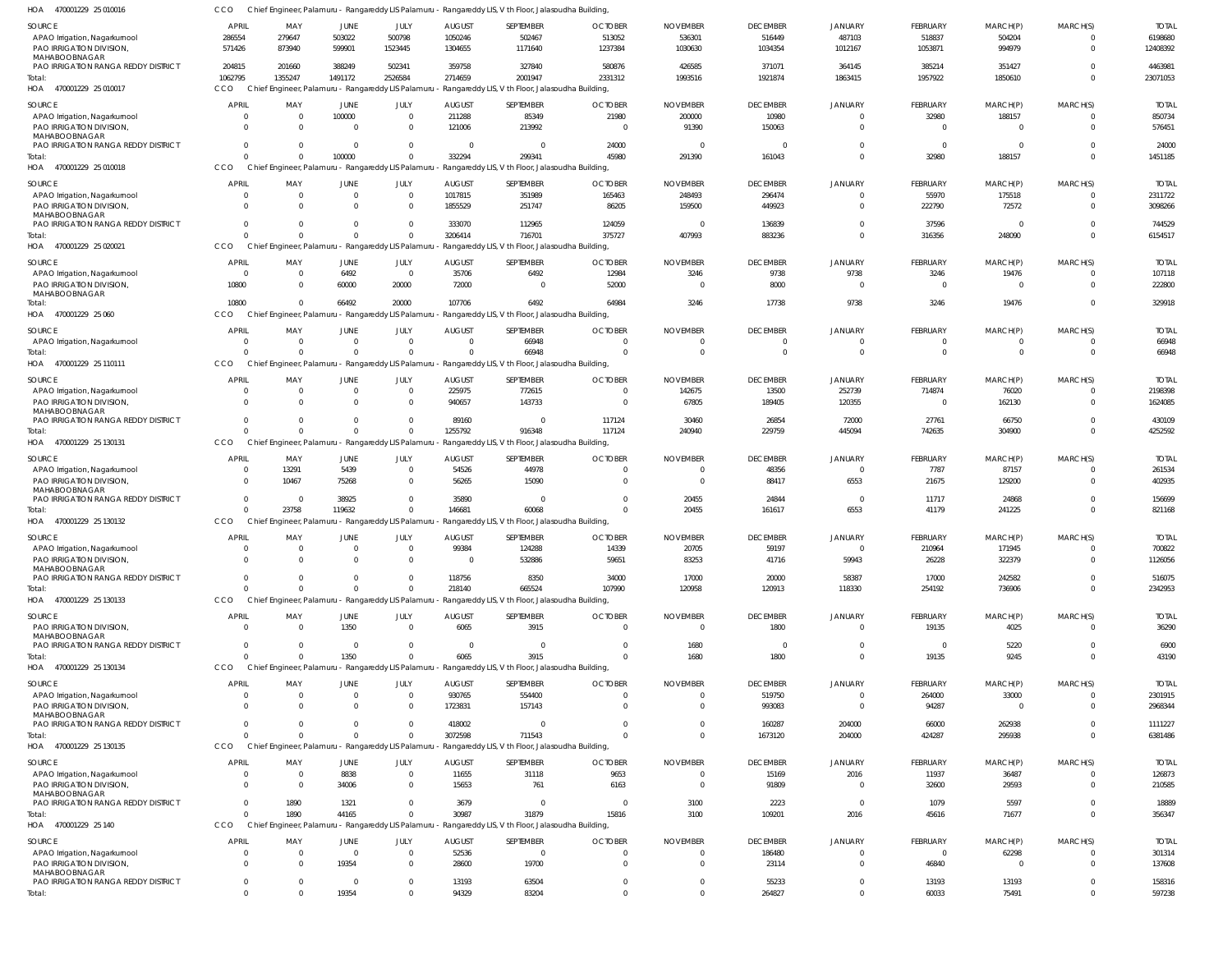| SOURCE                                               | <b>APRIL</b>   | MAY                                                | JUNE           | JULY           | <b>AUGUST</b>  | SEPTEMBER                                                                                             | <b>OCTOBER</b> | <b>NOVEMBER</b> | <b>DECEMBER</b> | <b>JANUARY</b>          | FEBRUARY       | MARCH(P)       | MARCH(S)    | <b>TOTAL</b> |
|------------------------------------------------------|----------------|----------------------------------------------------|----------------|----------------|----------------|-------------------------------------------------------------------------------------------------------|----------------|-----------------|-----------------|-------------------------|----------------|----------------|-------------|--------------|
| APAO Irrigation, Nagarkurnool                        | 286554         | 279647                                             | 503022         | 500798         | 1050246        | 502467                                                                                                | 513052         | 536301          | 516449          | 487103                  | 518837         | 504204         | $\Omega$    | 6198680      |
| PAO IRRIGATION DIVISION,                             | 571426         | 873940                                             | 599901         | 1523445        | 1304655        | 1171640                                                                                               | 1237384        | 1030630         | 1034354         | 1012167                 | 1053871        | 994979         | $\Omega$    | 12408392     |
| MAHABOOBNAGAR                                        |                |                                                    |                |                |                |                                                                                                       |                |                 |                 |                         |                |                |             |              |
| PAO IRRIGATION RANGA REDDY DISTRICT                  | 204815         | 201660                                             | 388249         | 502341         | 359758         | 327840                                                                                                | 580876         | 426585          | 371071          | 364145                  | 385214         | 351427         |             | 4463981      |
| Total:                                               | 1062795        | 1355247                                            | 1491172        | 2526584        | 2714659        | 2001947                                                                                               | 2331312        | 1993516         | 1921874         | 1863415                 | 1957922        | 1850610        | $\Omega$    | 23071053     |
| HOA 470001229 25 010017                              | CCO            | Chief Engineer, Palamuru - Rangareddy LIS Palamuru |                |                |                | - Rangareddy LIS, V th Floor, Jalasoudha Building,                                                    |                |                 |                 |                         |                |                |             |              |
|                                                      |                |                                                    |                |                |                |                                                                                                       |                |                 |                 |                         |                |                |             |              |
| SOURCE                                               | <b>APRIL</b>   | MAY                                                | <b>JUNE</b>    | JULY           | <b>AUGUST</b>  | SEPTEMBER                                                                                             | <b>OCTOBER</b> | <b>NOVEMBER</b> | <b>DECEMBER</b> | <b>JANUARY</b>          | FEBRUARY       | MARCH(P)       | MARCH(S)    | <b>TOTAI</b> |
| APAO Irrigation, Nagarkurnool                        | $\Omega$       | $\Omega$                                           | 100000         | $\mathbf 0$    | 211288         | 85349                                                                                                 | 21980          | 200000          | 10980           | $\overline{0}$          | 32980          | 188157         | $\Omega$    | 850734       |
| PAO IRRIGATION DIVISION,                             | $\Omega$       |                                                    | $\Omega$       | $\mathbf 0$    | 121006         | 213992                                                                                                | $\overline{0}$ | 91390           | 150063          | $\mathbf 0$             | $\mathbf 0$    | $\mathbf 0$    | $\Omega$    | 576451       |
| MAHABOOBNAGAR                                        |                |                                                    |                |                |                |                                                                                                       |                |                 |                 |                         |                |                |             |              |
| PAO IRRIGATION RANGA REDDY DISTRICT                  | $\Omega$       |                                                    | $\mathbf{0}$   | $\mathbf 0$    | $\Omega$       | $\overline{0}$                                                                                        | 24000          | $\Omega$        | - 0             | $\overline{0}$          | $\mathbf 0$    | $\overline{0}$ | $\Omega$    | 24000        |
| Total:                                               | $\cap$         |                                                    | 100000         | $\mathbf 0$    | 332294         | 299341                                                                                                | 45980          | 291390          | 161043          | $\overline{0}$          | 32980          | 188157         | $\Omega$    | 1451185      |
| 470001229 25 010018<br>HOA                           | CCO            | Chief Engineer, Palamuru - Rangareddy LIS Palamuru |                |                |                | - Rangareddy LIS, V th Floor, Jalasoudha Building,                                                    |                |                 |                 |                         |                |                |             |              |
|                                                      |                |                                                    |                |                |                |                                                                                                       |                |                 |                 |                         |                |                |             |              |
| SOURCE                                               | <b>APRIL</b>   | MAY                                                | JUNE           | JULY           | <b>AUGUST</b>  | SEPTEMBER                                                                                             | <b>OCTOBER</b> | <b>NOVEMBER</b> | <b>DECEMBER</b> | JANUARY                 | FEBRUARY       | MARCH(P)       | MARCH(S)    | <b>TOTAI</b> |
| APAO Irrigation, Nagarkurnool                        | - 0            | $\Omega$                                           | $\overline{0}$ | $\overline{0}$ | 1017815        | 351989                                                                                                | 165463         | 248493          | 296474          | $\mathbf 0$             | 55970          | 175518         | $\Omega$    | 2311722      |
| PAO IRRIGATION DIVISION                              | $\Omega$       | $\Omega$                                           | $\Omega$       | $\mathbf 0$    | 1855529        | 251747                                                                                                | 86205          | 159500          | 449923          | $^{\circ}$              | 222790         | 72572          | $\Omega$    | 3098266      |
| MAHABOOBNAGAR                                        |                |                                                    |                |                |                |                                                                                                       |                |                 |                 |                         |                |                |             |              |
| PAO IRRIGATION RANGA REDDY DISTRICT                  | $\Omega$       | $\Omega$                                           | $\Omega$       | $\mathbf 0$    | 333070         | 112965                                                                                                | 124059         |                 | 136839          | $\mathbf 0$             | 37596          | $^{\circ}$     | $\Omega$    | 744529       |
| Total:                                               | $\Omega$       | $\Omega$                                           |                | $\Omega$       | 3206414        | 716701                                                                                                | 375727         | 407993          | 883236          | $\overline{0}$          | 316356         | 248090         | $\Omega$    | 6154517      |
| HOA 470001229 25 020021                              | CCO            | Chief Engineer, Palamuru - Rangareddy LIS Palamuru |                |                |                | - Rangareddy LIS, V th Floor, Jalasoudha Building,                                                    |                |                 |                 |                         |                |                |             |              |
|                                                      |                |                                                    |                |                |                |                                                                                                       |                |                 |                 |                         |                |                |             |              |
| SOURCE                                               | <b>APRIL</b>   | MAY                                                | JUNE           | JULY           | <b>AUGUST</b>  | SEPTEMBER                                                                                             | <b>OCTOBER</b> | <b>NOVEMBER</b> | <b>DECEMBER</b> | <b>JANUARY</b>          | FEBRUARY       | MARCH(P)       | MARCH(S)    | <b>TOTAL</b> |
| APAO Irrigation, Nagarkurnool                        | - 0            |                                                    | 6492           | $\overline{0}$ | 35706          | 6492                                                                                                  | 12984          | 3246            | 9738            | 9738                    | 3246           | 19476          | $\Omega$    | 107118       |
| PAO IRRIGATION DIVISION,                             | 10800          |                                                    | 60000          | 20000          | 72000          | $\overline{0}$                                                                                        | 52000          |                 | 8000            | $\Omega$                | $\mathbf 0$    | $\mathbf 0$    | $\Omega$    | 222800       |
| MAHABOOBNAGAR                                        |                |                                                    |                |                |                |                                                                                                       |                |                 |                 |                         |                |                |             |              |
| Total:                                               | 10800          | $\cap$                                             | 66492          | 20000          | 107706         | 6492                                                                                                  | 64984          | 3246            | 17738           | 9738                    | 3246           | 19476          | $\Omega$    | 329918       |
| 470001229 25 060<br>HOA                              | CCO            | Chief Engineer, Palamuru                           |                |                |                | - Rangareddy LIS Palamuru - Rangareddy LIS, V th Floor, Jalasoudha Building,                          |                |                 |                 |                         |                |                |             |              |
|                                                      |                |                                                    |                |                |                |                                                                                                       |                |                 |                 |                         |                |                |             |              |
| SOURCE                                               | <b>APRIL</b>   | MAY                                                | JUNE           | JULY           | <b>AUGUST</b>  | SEPTEMBER                                                                                             | <b>OCTOBER</b> | <b>NOVEMBER</b> | <b>DECEMBER</b> | <b>JANUARY</b>          | FEBRUARY       | MARCH(P)       | MARCH(S)    | <b>TOTAL</b> |
| APAO Irrigation, Nagarkurnool                        | $\Omega$       | $\Omega$                                           | $\overline{0}$ | $\overline{0}$ | $\overline{0}$ | 66948                                                                                                 | $\Omega$       | $\Omega$        | $\overline{0}$  | $\Omega$                | -0             | 0              | $\Omega$    | 66948        |
| Total:                                               | $\Omega$       | $\Omega$                                           | $\Omega$       | $\Omega$       | $\Omega$       | 66948                                                                                                 | $\Omega$       | $\Omega$        | $\overline{0}$  | $\overline{\mathbf{0}}$ | $\mathbf{0}$   | $\mathbf 0$    | $\Omega$    | 66948        |
| HOA 470001229 25 110111                              | CCO            |                                                    |                |                |                | Chief Engineer, Palamuru - Rangareddy LIS Palamuru - Rangareddy LIS, V th Floor, Jalasoudha Building, |                |                 |                 |                         |                |                |             |              |
|                                                      |                |                                                    |                |                |                |                                                                                                       |                |                 |                 |                         |                |                |             |              |
| SOURCE                                               | <b>APRIL</b>   | MAY                                                | <b>JUNE</b>    | JULY           | <b>AUGUST</b>  | SEPTEMBER                                                                                             | <b>OCTOBER</b> | <b>NOVEMBER</b> | <b>DECEMBER</b> | JANUARY                 | FEBRUARY       | MARCH(P)       | MARCH(S)    | <b>TOTAL</b> |
| APAO Irrigation, Nagarkurnool                        | - 0            | - 0                                                | 0              | $\mathbf 0$    | 225975         | 772615                                                                                                | $\Omega$       | 142675          | 13500           | 252739                  | 714874         | 76020          | $\Omega$    | 2198398      |
| PAO IRRIGATION DIVISION,                             | $\Omega$       |                                                    | $\Omega$       | $\mathbf 0$    | 940657         | 143733                                                                                                | $\overline{0}$ | 67805           | 189405          | 120355                  | $\mathbf 0$    | 162130         | $\Omega$    | 1624085      |
| MAHABOOBNAGAR                                        |                |                                                    |                |                |                |                                                                                                       |                |                 |                 |                         |                |                |             |              |
| PAO IRRIGATION RANGA REDDY DISTRICT                  | $\overline{0}$ |                                                    | $\mathbf{0}$   | $\mathbf 0$    | 89160          | $\mathbf 0$                                                                                           | 117124         | 30460           | 26854           | 72000                   | 27761          | 66750          | $\Omega$    | 430109       |
| Total:                                               | $\Omega$       | $\Omega$                                           | $\Omega$       | $\mathbf 0$    | 1255792        | 916348                                                                                                | 117124         | 240940          | 229759          | 445094                  | 742635         | 304900         | $\Omega$    | 4252592      |
| HOA 470001229 25 130131                              | CCO            | Chief Engineer, Palamuru - Rangareddy LIS Palamuru |                |                |                | - Rangareddy LIS, V th Floor, Jalasoudha Building,                                                    |                |                 |                 |                         |                |                |             |              |
|                                                      |                |                                                    |                |                |                |                                                                                                       |                |                 |                 |                         |                |                |             |              |
| SOURCE                                               | <b>APRIL</b>   | MAY                                                | JUNE           | JULY           | <b>AUGUST</b>  | SEPTEMBER                                                                                             | <b>OCTOBER</b> | <b>NOVEMBER</b> | <b>DECEMBER</b> | <b>JANUARY</b>          | FEBRUARY       | MARCH(P)       | MARCH(S)    | <b>TOTAI</b> |
| APAO Irrigation, Nagarkurnool                        | $\Omega$       | 13291                                              | 5439           | $\overline{0}$ | 54526          | 44978                                                                                                 | $\Omega$       |                 | 48356           | $\mathbf 0$             | 7787           | 87157          | $\Omega$    | 261534       |
| PAO IRRIGATION DIVISION,                             | $\Omega$       | 10467                                              | 75268          | $\mathbf 0$    | 56265          | 15090                                                                                                 | $\Omega$       | $\Omega$        | 88417           | 6553                    | 21675          | 129200         | $\Omega$    | 402935       |
| MAHABOOBNAGAR                                        |                |                                                    |                |                |                |                                                                                                       |                |                 |                 |                         |                |                |             |              |
| PAO IRRIGATION RANGA REDDY DISTRICT                  | $\overline{0}$ | $\Omega$                                           | 38925          | $\mathbf 0$    | 35890          | $\overline{0}$                                                                                        | <sup>0</sup>   | 20455           | 24844           | $\mathbf 0$             | 11717          | 24868          | $\Omega$    | 156699       |
| Total:                                               | $\Omega$       | 23758                                              | 119632         | $\mathbf 0$    | 146681         | 60068                                                                                                 | $\Omega$       | 20455           | 161617          | 6553                    | 41179          | 241225         | $\Omega$    | 821168       |
| HOA 470001229 25 130132                              | CCO            | Chief Engineer, Palamuru - Rangareddy LIS Palamuru |                |                |                | - Rangareddy LIS, V th Floor, Jalasoudha Building,                                                    |                |                 |                 |                         |                |                |             |              |
|                                                      |                |                                                    |                |                |                |                                                                                                       |                |                 |                 |                         |                |                |             |              |
| SOURCE                                               | <b>APRIL</b>   | MAY                                                | JUNE           | JULY           | <b>AUGUST</b>  | SEPTEMBER                                                                                             | <b>OCTOBER</b> | <b>NOVEMBER</b> | <b>DECEMBER</b> | <b>JANUARY</b>          | FEBRUARY       | MARCH(P)       | MARCH(S)    | <b>TOTAL</b> |
| APAO Irrigation, Nagarkurnool                        | $\overline{0}$ | $\Omega$                                           | $\mathbf{0}$   | $\overline{0}$ | 99384          | 124288                                                                                                | 14339          | 20705           | 59197           | $\overline{0}$          | 210964         | 171945         | $\Omega$    | 700822       |
| PAO IRRIGATION DIVISION                              | $\Omega$       | $\Omega$                                           | $\Omega$       | $\Omega$       | $\cap$         | 532886                                                                                                | 59651          | 83253           | 41716           | 59943                   | 26228          | 322379         | $\Omega$    | 1126056      |
| MAHABOOBNAGAR                                        |                |                                                    |                |                |                |                                                                                                       |                |                 |                 |                         |                |                |             |              |
| PAO IRRIGATION RANGA REDDY DISTRICT                  | $\Omega$       |                                                    | 0              | $\overline{0}$ | 118756         | 8350                                                                                                  | 34000          | 17000           | 20000           | 58387                   | 17000          | 242582         | $\Omega$    | 516075       |
| Total:                                               | $\Omega$       |                                                    | $\Omega$       | $\mathbf 0$    | 218140         | 665524                                                                                                | 107990         | 120958          | 120913          | 118330                  | 254192         | 736906         | $\mathbf 0$ | 2342953      |
| HOA 470001229 25 130133                              | CCO            |                                                    |                |                |                | Chief Engineer, Palamuru - Rangareddy LIS Palamuru - Rangareddy LIS, V th Floor, Jalasoudha Building, |                |                 |                 |                         |                |                |             |              |
|                                                      |                |                                                    |                |                |                |                                                                                                       |                |                 |                 |                         |                |                |             |              |
| <b>SOURCE</b>                                        | <b>APRIL</b>   | MAY                                                | JUNE           | JULY           | <b>AUGUST</b>  | SEPTEMBER                                                                                             | <b>OCTOBER</b> | <b>NOVEMBER</b> | <b>DECEMBER</b> | <b>JANUARY</b>          | FEBRUARY       | MARCH(P)       | MARCH(S)    | <b>TOTAL</b> |
| PAO IRRIGATION DIVISION,                             | $\Omega$       | $\Omega$                                           | 1350           | $\mathbf 0$    | 6065           | 3915                                                                                                  | $\Omega$       | $\Omega$        | 1800            | $^{\circ}$              | 19135          | 4025           | $\Omega$    | 36290        |
| MAHABOOBNAGAR<br>PAO IRRIGATION RANGA REDDY DISTRICT | $\Omega$       | $\Omega$                                           | $\Omega$       | $\Omega$       | $\Omega$       | $\overline{0}$                                                                                        | $\Omega$       | 1680            | $\overline{0}$  | $\mathbf 0$             | $\mathbf 0$    | 5220           |             | 6900         |
|                                                      | $\Omega$       | $\Omega$                                           |                | $\Omega$       |                | 3915                                                                                                  | $\Omega$       |                 |                 | $\overline{0}$          |                |                | $\Omega$    | 43190        |
| Total:                                               |                |                                                    | 1350           |                | 6065           |                                                                                                       |                | 1680            | 1800            |                         | 19135          | 9245           |             |              |
| HOA 470001229 25 130134                              | CCO            | Chief Engineer, Palamuru                           |                |                |                | - Rangareddy LIS Palamuru - Rangareddy LIS, V th Floor, Jalasoudha Building,                          |                |                 |                 |                         |                |                |             |              |
| SOURCE                                               | <b>APRIL</b>   | MAY                                                | <b>JUNE</b>    | JULY           | <b>AUGUST</b>  | SEPTEMBER                                                                                             | <b>OCTOBER</b> | <b>NOVEMBER</b> | <b>DECEMBER</b> | <b>JANUARY</b>          | FEBRUARY       | MARCH(P)       | MARCH(S)    | <b>TOTAL</b> |
| APAO Irrigation, Nagarkurnool                        | - 0            |                                                    | $\mathbf{0}$   | $\overline{0}$ | 930765         | 554400                                                                                                | $\overline{0}$ | $\Omega$        | 519750          | $\overline{0}$          | 264000         | 33000          | $\mathbf 0$ | 2301915      |
| PAO IRRIGATION DIVISION,                             | $\Omega$       |                                                    | $\Omega$       | $\overline{0}$ |                | 157143                                                                                                | $\Omega$       |                 |                 | $\overline{0}$          |                | $\overline{0}$ | $\Omega$    |              |
| MAHABOOBNAGAR                                        |                |                                                    |                |                | 1723831        |                                                                                                       |                |                 | 993083          |                         | 94287          |                |             | 2968344      |
| PAO IRRIGATION RANGA REDDY DISTRICT                  | $\Omega$       |                                                    | $\Omega$       | $\mathbf 0$    | 418002         | $\mathbf 0$                                                                                           | $\Omega$       | $\Omega$        | 160287          | 204000                  | 66000          | 262938         | $\Omega$    | 1111227      |
|                                                      | $\Omega$       |                                                    | $\Omega$       | $\Omega$       | 3072598        | 711543                                                                                                | $\Omega$       | $\Omega$        | 1673120         | 204000                  | 424287         | 295938         | $\Omega$    | 6381486      |
| Total:                                               |                |                                                    |                |                |                |                                                                                                       |                |                 |                 |                         |                |                |             |              |
| HOA 470001229 25 130135                              | CCO            | Chief Engineer, Palamuru - Rangareddy LIS Palamuru |                |                |                | - Rangareddy LIS, V th Floor, Jalasoudha Building,                                                    |                |                 |                 |                         |                |                |             |              |
| SOURCE                                               | <b>APRIL</b>   | MAY                                                | JUNE           | JULY           | <b>AUGUST</b>  | SEPTEMBER                                                                                             | <b>OCTOBER</b> | <b>NOVEMBER</b> | <b>DECEMBER</b> | JANUARY                 | FEBRUARY       | MARCH(P)       | MARCH(S)    | <b>TOTAL</b> |
| APAO Irrigation, Nagarkurnool                        | - 0            | $\Omega$                                           | 8838           | $\overline{0}$ | 11655          | 31118                                                                                                 | 9653           | $\Omega$        | 15169           | 2016                    | 11937          | 36487          | $\Omega$    | 126873       |
| PAO IRRIGATION DIVISION,                             | $\Omega$       | $\Omega$                                           | 34006          | $\mathbf 0$    | 15653          | 761                                                                                                   | 6163           | $\Omega$        | 91809           | $^{\circ}$              | 32600          | 29593          | $\Omega$    | 210585       |
| MAHABOOBNAGAR                                        |                |                                                    |                |                |                |                                                                                                       |                |                 |                 |                         |                |                |             |              |
| PAO IRRIGATION RANGA REDDY DISTRICT                  | $\Omega$       | 1890                                               | 1321           | $\Omega$       | 3679           | $\overline{0}$                                                                                        | $\Omega$       | 3100            | 2223            | $^{\circ}$              | 1079           | 5597           | $\Omega$    | 18889        |
| Total:                                               | $\Omega$       | 1890                                               | 44165          | $\Omega$       | 30987          | 31879                                                                                                 | 15816          | 3100            | 109201          | 2016                    | 45616          | 71677          | $\mathbf 0$ | 356347       |
|                                                      | CCO            |                                                    |                |                |                |                                                                                                       |                |                 |                 |                         |                |                |             |              |
| HOA 470001229 25 140                                 |                |                                                    |                |                |                | Chief Engineer, Palamuru - Rangareddy LIS Palamuru - Rangareddy LIS, V th Floor, Jalasoudha Building, |                |                 |                 |                         |                |                |             |              |
| SOURCE                                               | <b>APRIL</b>   | MAY                                                | JUNE           | JULY           | <b>AUGUST</b>  | SEPTEMBER                                                                                             | <b>OCTOBER</b> | <b>NOVEMBER</b> | <b>DECEMBER</b> | <b>JANUARY</b>          | FEBRUARY       | MARCH(P)       | MARCH(S)    | <b>TOTAL</b> |
| APAO Irrigation, Nagarkurnool                        | - 0            | $\Omega$                                           | $\overline{0}$ | $\overline{0}$ | 52536          | $\overline{0}$                                                                                        | $\mathbf{0}$   | $\Omega$        | 186480          | $\mathbf 0$             | $\overline{0}$ | 62298          | 0           | 301314       |
| PAO IRRIGATION DIVISION,                             | $\Omega$       |                                                    | 19354          | $\mathbf 0$    | 28600          | 19700                                                                                                 | $\overline{0}$ | $\Omega$        | 23114           | $\overline{0}$          | 46840          | $\mathbf 0$    | $\Omega$    | 137608       |
| MAHABOOBNAGAR                                        |                |                                                    |                |                |                |                                                                                                       |                |                 |                 |                         |                |                |             |              |
| PAO IRRIGATION RANGA REDDY DISTRICT                  | $\mathbf 0$    | $\Omega$                                           | $\mathbf 0$    | $\mathbf 0$    | 13193          | 63504                                                                                                 | $\overline{0}$ | $\overline{0}$  | 55233           | $\overline{0}$          | 13193          | 13193          | $\mathbf 0$ | 158316       |
| Total:                                               | $\Omega$       |                                                    | 19354          | $\Omega$       | 94329          | 83204                                                                                                 | $\Omega$       | $\Omega$        | 264827          | $\overline{0}$          | 60033          | 75491          | $\Omega$    | 597238       |
|                                                      |                |                                                    |                |                |                |                                                                                                       |                |                 |                 |                         |                |                |             |              |

CCO Chief Engineer, Palamuru - Rangareddy LIS Palamuru - Rangareddy LIS, V th Floor, Jalasoudha Building,

470001229 25 010016 HOA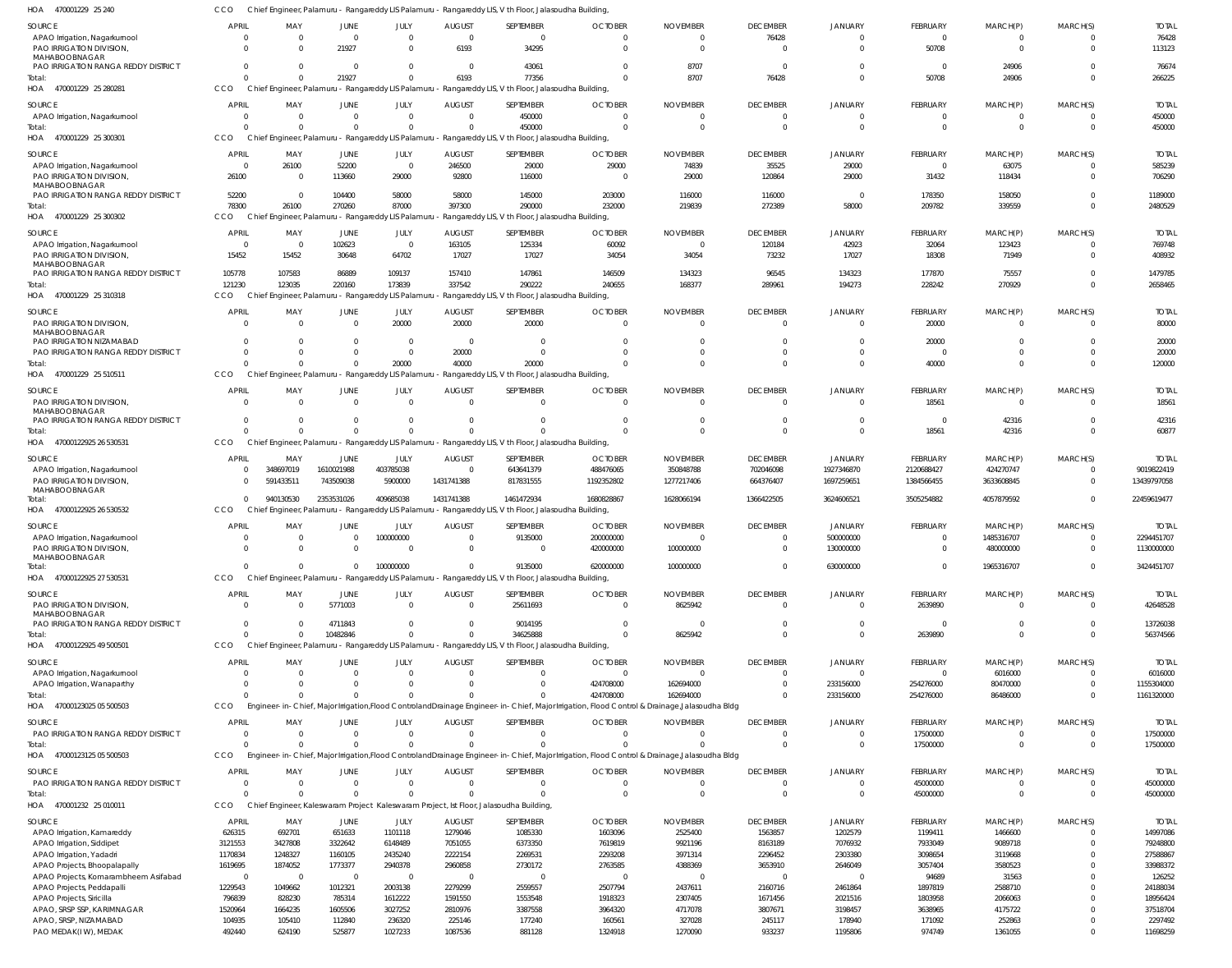| SOURCE                                                  | APRIL                      | MAY                                 | JUNE                       | JULY                   | <b>AUGUST</b>              | SEPTEMBER                                                                                             | <b>OCTOBER</b>                                                                                                                                | <b>NOVEMBER</b>          | <b>DECEMBER</b>          | <b>JANUARY</b>          | FEBRUARY                       | MARCH(P)             | MARCH(S)             | <b>TOTAL</b>             |
|---------------------------------------------------------|----------------------------|-------------------------------------|----------------------------|------------------------|----------------------------|-------------------------------------------------------------------------------------------------------|-----------------------------------------------------------------------------------------------------------------------------------------------|--------------------------|--------------------------|-------------------------|--------------------------------|----------------------|----------------------|--------------------------|
| APAO Irrigation, Nagarkurnool                           | $\overline{\mathbf{0}}$    | $\overline{\mathbf{0}}$             | $\overline{0}$             | $\Omega$               | $\overline{0}$             | $\overline{0}$                                                                                        | $\overline{0}$                                                                                                                                | $\Omega$                 | 76428                    | $\Omega$                | $\mathbf 0$                    |                      |                      | 76428                    |
| PAO IRRIGATION DIVISION,<br>MAHABOOBNAGAR               | $\Omega$                   | - 0                                 | 21927                      | $\Omega$               | 6193                       | 34295                                                                                                 | $\Omega$                                                                                                                                      | $\Omega$                 | $\Omega$                 | $\Omega$                | 50708                          | $\Omega$             | $\Omega$             | 113123                   |
| PAO IRRIGATION RANGA REDDY DISTRICT                     | $\Omega$                   | $\Omega$                            | $\Omega$                   | $\Omega$               | $\overline{0}$             | 43061                                                                                                 | $\Omega$                                                                                                                                      | 8707                     | $\Omega$                 | $\Omega$                | $\Omega$                       | 24906                |                      | 76674                    |
| Total:                                                  | $\Omega$                   | $\Omega$                            | 21927                      | $\Omega$               | 6193                       | 77356                                                                                                 | $\Omega$                                                                                                                                      | 8707                     | 76428                    | $\Omega$                | 50708                          | 24906                | $\Omega$             | 266225                   |
| HOA 470001229 25 280281                                 | CCO                        |                                     |                            |                        |                            | Chief Engineer, Palamuru - Rangareddy LIS Palamuru - Rangareddy LIS, V th Floor, Jalasoudha Building, |                                                                                                                                               |                          |                          |                         |                                |                      |                      |                          |
| SOURCE                                                  | APRIL                      | MAY                                 | JUNE                       | JULY                   | <b>AUGUST</b>              | SEPTEMBER                                                                                             | <b>OCTOBER</b>                                                                                                                                | <b>NOVEMBER</b>          | <b>DECEMBER</b>          | <b>JANUARY</b>          | FEBRUARY                       | MARCH(P)             | MARCH(S)             | <b>TOTAL</b>             |
| APAO Irrigation, Nagarkurnool                           | $\overline{0}$<br>$\Omega$ | $\overline{\mathbf{0}}$<br>$\Omega$ | $\overline{0}$<br>$\Omega$ | $\Omega$<br>$\cap$     | $\overline{0}$<br>$\Omega$ | 450000<br>450000                                                                                      | $\overline{0}$<br>$\Omega$                                                                                                                    | $\Omega$<br>$\Omega$     | $\Omega$<br>$\Omega$     | $\Omega$<br>$\Omega$    | $\mathbf 0$<br>$\mathbf 0$     | $\Omega$             | $\Omega$             | 450000<br>450000         |
| Total:<br>HOA 470001229 25 300301                       | CCO                        |                                     |                            |                        |                            | Chief Engineer, Palamuru - Rangareddy LIS Palamuru - Rangareddy LIS, V th Floor, Jalasoudha Building, |                                                                                                                                               |                          |                          |                         |                                |                      |                      |                          |
|                                                         |                            |                                     |                            |                        |                            |                                                                                                       |                                                                                                                                               |                          |                          |                         |                                |                      |                      |                          |
| SOURCE<br>APAO Irrigation, Nagarkurnool                 | APRIL<br>- 0               | MAY<br>26100                        | JUNE<br>52200              | JULY<br>$\overline{0}$ | <b>AUGUST</b><br>246500    | SEPTEMBER<br>29000                                                                                    | <b>OCTOBER</b><br>29000                                                                                                                       | <b>NOVEMBER</b><br>74839 | <b>DECEMBER</b><br>35525 | <b>JANUARY</b><br>29000 | <b>FEBRUARY</b><br>$\mathbf 0$ | MARCH(P)<br>63075    | MARCH(S)             | <b>TOTAI</b><br>585239   |
| PAO IRRIGATION DIVISION,                                | 26100                      | $\overline{\mathbf{0}}$             | 113660                     | 29000                  | 92800                      | 116000                                                                                                | $\overline{0}$                                                                                                                                | 29000                    | 120864                   | 29000                   | 31432                          | 118434               | $\Omega$             | 706290                   |
| MAHABOOBNAGAR                                           |                            |                                     |                            |                        |                            |                                                                                                       |                                                                                                                                               |                          |                          |                         |                                |                      |                      |                          |
| PAO IRRIGATION RANGA REDDY DISTRICT<br>Total:           | 52200<br>78300             | $\overline{\mathbf{0}}$<br>26100    | 104400<br>270260           | 58000<br>87000         | 58000<br>397300            | 145000<br>290000                                                                                      | 203000<br>232000                                                                                                                              | 116000<br>219839         | 116000<br>272389         | $\Omega$<br>58000       | 178350<br>209782               | 158050<br>339559     | $\Omega$             | 1189000<br>2480529       |
| HOA 470001229 25 300302                                 | CCO                        |                                     |                            |                        |                            | Chief Engineer, Palamuru - Rangareddy LIS Palamuru - Rangareddy LIS, V th Floor, Jalasoudha Building, |                                                                                                                                               |                          |                          |                         |                                |                      |                      |                          |
| SOURCE                                                  | APRIL                      | MAY                                 | JUNE                       | JULY                   | <b>AUGUST</b>              | SEPTEMBER                                                                                             | <b>OCTOBER</b>                                                                                                                                | <b>NOVEMBER</b>          | <b>DECEMBER</b>          | <b>JANUARY</b>          | FEBRUARY                       | MARCH(P)             | MARCH(S)             | <b>TOTAL</b>             |
| APAO Irrigation, Nagarkurnool                           | $\overline{\mathbf{0}}$    | $\overline{\mathbf{0}}$             | 102623                     | $\overline{0}$         | 163105                     | 125334                                                                                                | 60092                                                                                                                                         | $\overline{0}$           | 120184                   | 42923                   | 32064                          | 123423               | $\Omega$             | 769748                   |
| PAO IRRIGATION DIVISION,                                | 15452                      | 15452                               | 30648                      | 64702                  | 17027                      | 17027                                                                                                 | 34054                                                                                                                                         | 34054                    | 73232                    | 17027                   | 18308                          | 71949                | $\Omega$             | 408932                   |
| MAHABOOBNAGAR<br>PAO IRRIGATION RANGA REDDY DISTRICT    | 105778                     | 107583                              | 86889                      | 109137                 | 157410                     | 147861                                                                                                | 146509                                                                                                                                        | 134323                   | 96545                    | 134323                  | 177870                         | 75557                |                      | 1479785                  |
| Total:                                                  | 121230                     | 123035                              | 220160                     | 173839                 | 337542                     | 290222                                                                                                | 240655                                                                                                                                        | 168377                   | 289961                   | 194273                  | 228242                         | 270929               | $\Omega$             | 2658465                  |
| HOA 470001229 25 310318                                 | CCO                        |                                     |                            |                        |                            | Chief Engineer, Palamuru - Rangareddy LIS Palamuru - Rangareddy LIS, V th Floor, Jalasoudha Building, |                                                                                                                                               |                          |                          |                         |                                |                      |                      |                          |
| SOURCE                                                  | <b>APRIL</b>               | MAY                                 | JUNE                       | JULY                   | <b>AUGUST</b>              | SEPTEMBER                                                                                             | <b>OCTOBER</b>                                                                                                                                | <b>NOVEMBER</b>          | <b>DECEMBER</b>          | <b>JANUARY</b>          | <b>FEBRUARY</b>                | MARCH(P)             | MARCH(S)             | <b>TOTAI</b>             |
| PAO IRRIGATION DIVISION,                                | $\Omega$                   | $\Omega$                            | $\overline{0}$             | 20000                  | 20000                      | 20000                                                                                                 | $\Omega$                                                                                                                                      | $\Omega$                 | $\Omega$                 | $\Omega$                | 20000                          |                      |                      | 80000                    |
| MAHABOOBNAGAR<br>PAO IRRIGATION NIZAMABAD               | $\Omega$                   | $\Omega$                            | $\Omega$                   | $\Omega$               | $\overline{0}$             | $\Omega$                                                                                              | $\Omega$                                                                                                                                      | C                        | $\Omega$                 | $\Omega$                | 20000                          |                      |                      | 20000                    |
| PAO IRRIGATION RANGA REDDY DISTRICT                     | $\Omega$                   | $\Omega$                            | $\Omega$                   | $\Omega$               | 20000                      | $\Omega$                                                                                              | $\cap$                                                                                                                                        | $\Omega$                 | $\Omega$                 | $\Omega$                | $\Omega$                       |                      | $\Omega$             | 20000                    |
| Total:                                                  | $\Omega$                   | $\Omega$                            | $\overline{0}$             | 20000                  | 40000                      | 20000                                                                                                 | $\Omega$                                                                                                                                      | $\Omega$                 | $\Omega$                 | $\Omega$                | 40000                          | $\Omega$             | $\Omega$             | 120000                   |
| HOA 470001229 25 510511                                 | CCO                        |                                     |                            |                        |                            | Chief Engineer, Palamuru - Rangareddy LIS Palamuru - Rangareddy LIS, V th Floor, Jalasoudha Building, |                                                                                                                                               |                          |                          |                         |                                |                      |                      |                          |
| SOURCE                                                  | <b>APRIL</b>               | MAY                                 | JUNE                       | JULY                   | <b>AUGUST</b>              | SEPTEMBER                                                                                             | <b>OCTOBER</b>                                                                                                                                | <b>NOVEMBER</b>          | <b>DECEMBER</b>          | <b>JANUARY</b>          | <b>FEBRUARY</b>                | MARCH(P)             | MARCH(S)             | <b>TOTAL</b>             |
| PAO IRRIGATION DIVISION,<br>MAHABOOBNAGAR               | $\Omega$                   | $\overline{\mathbf{0}}$             | $\overline{0}$             | $\Omega$               | $\overline{0}$             | $\overline{0}$                                                                                        | $\Omega$                                                                                                                                      | $\Omega$                 | $\Omega$                 | $\Omega$                | 18561                          | $\mathbf 0$          |                      | 18561                    |
| PAO IRRIGATION RANGA REDDY DISTRICT                     | $\Omega$                   | $\overline{\mathbf{0}}$             | $\Omega$                   | $\Omega$               | $\Omega$                   | $\Omega$                                                                                              | $\Omega$                                                                                                                                      | $\overline{0}$           | $\Omega$                 | $\Omega$                | $\mathbf{0}$                   | 42316                |                      | 42316                    |
| Total:                                                  | $\Omega$                   | $\Omega$                            | $\Omega$                   |                        | $\Omega$                   |                                                                                                       | $\Omega$                                                                                                                                      | $\Omega$                 | $\Omega$                 | $\Omega$                | 18561                          | 42316                | $\Omega$             | 60877                    |
| HOA 47000122925 26 530531                               | CCO                        |                                     |                            |                        |                            | Chief Engineer, Palamuru - Rangareddy LIS Palamuru - Rangareddy LIS, V th Floor, Jalasoudha Building, |                                                                                                                                               |                          |                          |                         |                                |                      |                      |                          |
| SOURCE                                                  | <b>APRIL</b>               | MAY                                 | JUNE                       | JULY                   | <b>AUGUST</b>              | SEPTEMBER                                                                                             | <b>OCTOBER</b>                                                                                                                                | <b>NOVEMBER</b>          | <b>DECEMBER</b>          | JANUARY                 | FEBRUARY                       | MARCH(P)             | MARCH(S)             | <b>TOTAI</b>             |
| APAO Irrigation, Nagarkurnool                           | $\Omega$                   | 348697019                           | 1610021988                 | 403785038              | $\overline{0}$             | 643641379                                                                                             | 488476065                                                                                                                                     | 350848788                | 702046098                | 1927346870              | 2120688427                     | 424270747            | $\Omega$             | 9019822419               |
| PAO IRRIGATION DIVISION,<br>MAHABOOBNAGAR               | $\Omega$                   | 591433511                           | 743509038                  | 5900000                | 1431741388                 | 817831555                                                                                             | 1192352802                                                                                                                                    | 1277217406               | 664376407                | 1697259651              | 1384566455                     | 3633608845           | $\overline{0}$       | 13439797058              |
| Total:                                                  | $\Omega$                   | 940130530                           | 2353531026                 | 409685038              | 1431741388                 | 1461472934                                                                                            | 1680828867                                                                                                                                    | 1628066194               | 1366422505               | 3624606521              | 3505254882                     | 4057879592           | $\Omega$             | 22459619477              |
| HOA 47000122925 26 530532                               | CCO                        |                                     |                            |                        |                            | Chief Engineer, Palamuru - Rangareddy LIS Palamuru - Rangareddy LIS, V th Floor, Jalasoudha Building, |                                                                                                                                               |                          |                          |                         |                                |                      |                      |                          |
| SOURCE                                                  | <b>APRIL</b>               | MAY                                 | JUNE                       | JULY                   | <b>AUGUST</b>              | SEPTEMBER                                                                                             | <b>OCTOBER</b>                                                                                                                                | <b>NOVEMBER</b>          | <b>DECEMBER</b>          | <b>JANUARY</b>          | <b>FEBRUARY</b>                | MARCH(P)             | MARCH(S)             | <b>TOTAI</b>             |
| APAO Irrigation, Nagarkurnool                           | $\Omega$                   | $\overline{0}$                      | $\overline{0}$             | 100000000              | $\overline{0}$             | 9135000                                                                                               | 200000000                                                                                                                                     | $\overline{0}$           | $\Omega$                 | 500000000               | $\Omega$                       | 1485316707           | $\Omega$             | 2294451707               |
| PAO IRRIGATION DIVISION,<br>MAHABOOBNAGAR               | $\Omega$                   | $\Omega$                            | $\Omega$                   | $\Omega$               | $\Omega$                   | $\Omega$                                                                                              | 420000000                                                                                                                                     | 100000000                | $\Omega$                 | 130000000               | $\Omega$                       | 480000000            | $\Omega$             | 1130000000               |
| Total:                                                  | $\cap$                     | $\sqrt{ }$                          | $\Omega$                   | 100000000              | $\cap$                     | 9135000                                                                                               | 620000000                                                                                                                                     | 100000000                | $\cap$                   | 630000000               | $\cap$                         | 1965316707           | $\cap$               | 3424451707               |
| HOA 47000122925 27 530531                               | <b>CCO</b>                 |                                     |                            |                        |                            | Chief Engineer, Palamuru - Rangareddy LIS Palamuru - Rangareddy LIS, V th Floor, Jalasoudha Building, |                                                                                                                                               |                          |                          |                         |                                |                      |                      |                          |
| SOURCE                                                  | <b>APRIL</b>               | MAY                                 | JUNE                       | JULY                   | <b>AUGUST</b>              | SEPTEMBER                                                                                             | <b>OCTOBER</b>                                                                                                                                | <b>NOVEMBER</b>          | <b>DECEMBER</b>          | <b>JANUARY</b>          | <b>FEBRUARY</b>                | MARCH(P)             | MARCH(S)             | <b>TOTAL</b>             |
| PAO IRRIGATION DIVISION                                 | $\Omega$                   | $\overline{0}$                      | 5771003                    | $\overline{0}$         | $\Omega$                   | 25611693                                                                                              | $\overline{0}$                                                                                                                                | 8625942                  | $\Omega$                 | $\Omega$                | 2639890                        | $\Omega$             |                      | 42648528                 |
| MAHABOOBNAGAR<br>PAO IRRIGATION RANGA REDDY DISTRICT    | $\Omega$                   | $\Omega$                            | 4711843                    |                        | $\Omega$                   | 9014195                                                                                               | $\Omega$                                                                                                                                      | - 0                      | $\Omega$                 |                         | $\Omega$                       |                      |                      | 13726038                 |
| Total:                                                  | $\Omega$                   | $\Omega$                            | 10482846                   |                        | $\Omega$                   | 34625888                                                                                              | $\Omega$                                                                                                                                      | 8625942                  | $\Omega$                 | $\Omega$                | 2639890                        | $\Omega$             |                      | 56374566                 |
| HOA 47000122925 49 500501                               | CCO                        |                                     |                            |                        |                            | Chief Engineer, Palamuru - Rangareddy LIS Palamuru - Rangareddy LIS, V th Floor, Jalasoudha Building, |                                                                                                                                               |                          |                          |                         |                                |                      |                      |                          |
| SOURCE                                                  | <b>APRIL</b>               | MAY                                 | JUNE                       | JULY                   | <b>AUGUST</b>              | SEPTEMBER                                                                                             | <b>OCTOBER</b>                                                                                                                                | <b>NOVEMBER</b>          | <b>DECEMBER</b>          | <b>JANUARY</b>          | FEBRUARY                       | MARCH(P)             | MARCH(S)             | <b>TOTAI</b>             |
| APAO Irrigation, Nagarkurnool                           | $\Omega$                   | $\overline{\mathbf{0}}$             | 0                          |                        | $\Omega$                   | 0                                                                                                     | 0                                                                                                                                             | 0                        | $\Omega$                 |                         | 0                              | 6016000              |                      | 6016000                  |
| APAO Irrigation, Wanaparthy<br>Total:                   | $\Omega$<br>$\Omega$       | $\overline{0}$<br>- 0               | $\Omega$<br>$\Omega$       |                        | $\Omega$<br>$\Omega$       | $\mathbf 0$<br>$\Omega$                                                                               | 424708000<br>424708000                                                                                                                        | 162694000<br>162694000   | $\Omega$<br>$\Omega$     | 233156000<br>233156000  | 254276000<br>254276000         | 80470000<br>86486000 | $\Omega$<br>$\Omega$ | 1155304000<br>1161320000 |
| HOA 47000123025 05 500503                               | <b>CCO</b>                 |                                     |                            |                        |                            |                                                                                                       | Engineer-in-Chief, Major Irrigation, Flood Controland Drainage Engineer-in-Chief, Major Irrigation, Flood Control & Drainage, Jalasoudha Bldg |                          |                          |                         |                                |                      |                      |                          |
| SOURCE                                                  | <b>APRIL</b>               | MAY                                 | JUNE                       | JULY                   | <b>AUGUST</b>              | SEPTEMBER                                                                                             | <b>OCTOBER</b>                                                                                                                                | <b>NOVEMBER</b>          | <b>DECEMBER</b>          | <b>JANUARY</b>          | <b>FEBRUARY</b>                | MARCH(P)             | MARCH(S)             | <b>TOTAL</b>             |
| PAO IRRIGATION RANGA REDDY DISTRICT                     | $\overline{0}$             | $\overline{\mathbf{0}}$             | $\overline{0}$             | $\Omega$               | $\Omega$                   | $\Omega$                                                                                              | $\Omega$                                                                                                                                      | $\Omega$                 | - 0                      |                         | 17500000                       |                      |                      | 17500000                 |
| Total:                                                  | $\Omega$                   | $\Omega$                            | $\Omega$                   | $\Omega$               | $\Omega$                   |                                                                                                       |                                                                                                                                               |                          | $\Omega$                 | $\Omega$                | 17500000                       | $\Omega$             |                      | 17500000                 |
| HOA 47000123125 05 500503                               | CCO                        |                                     |                            |                        |                            |                                                                                                       | Engineer-in-Chief, Major Irrigation, Flood Controland Drainage Engineer-in-Chief, Major Irrigation, Flood Control & Drainage, Jalasoudha Bldg |                          |                          |                         |                                |                      |                      |                          |
| SOURCE                                                  | <b>APRIL</b>               | MAY                                 | JUNE                       | JULY                   | <b>AUGUST</b>              | SEPTEMBER                                                                                             | <b>OCTOBER</b>                                                                                                                                | <b>NOVEMBER</b>          | <b>DECEMBER</b>          | <b>JANUARY</b>          | <b>FEBRUARY</b>                | MARCH(P)             | MARCH(S)             | <b>TOTAL</b>             |
| PAO IRRIGATION RANGA REDDY DISTRICT                     | $\overline{0}$             | $\overline{\mathbf{0}}$             | $\mathbf 0$                | $\Omega$               | $\overline{0}$             | 0                                                                                                     | 0                                                                                                                                             | 0                        | $\Omega$                 |                         | 45000000                       |                      |                      | 45000000                 |
| Total:                                                  | $\Omega$                   | $\Omega$                            | $\Omega$                   |                        | $\Omega$                   | $\Omega$                                                                                              | $\Omega$                                                                                                                                      | $\overline{0}$           | $\Omega$                 | $\Omega$                | 45000000                       | $\Omega$             | $\Omega$             | 45000000                 |
| HOA 470001232 25 010011                                 | CCO                        |                                     |                            |                        |                            | Chief Engineer, Kaleswaram Project Kaleswaram Project, Ist Floor, Jalasoudha Building                 |                                                                                                                                               |                          |                          |                         |                                |                      |                      |                          |
| SOURCE                                                  | APRIL                      | MAY                                 | JUNE                       | JULY                   | <b>AUGUST</b>              | SEPTEMBER                                                                                             | <b>OCTOBER</b>                                                                                                                                | <b>NOVEMBER</b>          | <b>DECEMBER</b>          | <b>JANUARY</b>          | <b>FEBRUARY</b>                | MARCH(P)             | MARCH(S)             | <b>TOTAI</b>             |
| APAO Irrigation, Kamareddy<br>APAO Irrigation, Siddipet | 626315<br>3121553          | 692701<br>3427808                   | 651633<br>3322642          | 1101118<br>6148489     | 1279046<br>7051055         | 1085330<br>6373350                                                                                    | 1603096<br>7619819                                                                                                                            | 2525400<br>9921196       | 1563857<br>8163189       | 1202579<br>7076932      | 1199411<br>7933049             | 1466600<br>9089718   |                      | 14997086<br>79248800     |
| APAO Irrigation, Yadadri                                | 1170834                    | 1248327                             | 1160105                    | 2435240                | 2222154                    | 2269531                                                                                               | 2293208                                                                                                                                       | 3971314                  | 2296452                  | 2303380                 | 3098654                        | 3119668              |                      | 27588867                 |
| APAO Projects, Bhoopalapally                            | 1619695                    | 1874052                             | 1773377                    | 2940378                | 2960858                    | 2730172                                                                                               | 2763585                                                                                                                                       | 4388369                  | 3653910                  | 2646049                 | 3057404                        | 3580523              |                      | 33988372                 |
| APAO Projects, Komarambheem Asifabad                    | $\overline{\mathbf{0}}$    | $\overline{\phantom{0}}$            | $\overline{0}$             | $\Omega$               | $\Omega$                   | $\overline{0}$                                                                                        | 0                                                                                                                                             | - 0                      | - 0                      |                         | 94689                          | 31563                |                      | 126252                   |
| APAO Projects, Peddapalli                               | 1229543                    | 1049662                             | 1012321                    | 2003138                | 2279299                    | 2559557                                                                                               | 2507794                                                                                                                                       | 2437611                  | 2160716                  | 2461864                 | 1897819                        | 2588710              |                      | 24188034                 |
| APAO Projects, Siricilla<br>APAO, SRSP SSP, KARIMNAGAR  | 796839<br>1520964          | 828230<br>1664235                   | 785314<br>1605506          | 1612222<br>3027252     | 1591550<br>2810976         | 1553548<br>3387558                                                                                    | 1918323                                                                                                                                       | 2307405<br>4717078       | 1671456                  | 2021516<br>3198457      | 1803958<br>3638965             | 2066063<br>4175722   |                      | 18956424<br>37518704     |
| APAO, SRSP, NIZAMABAD                                   | 104935                     | 105410                              | 112840                     | 236320                 | 225146                     | 177240                                                                                                | 3964320<br>160561                                                                                                                             | 327028                   | 3807671<br>245117        | 178940                  | 171092                         | 252863               |                      | 2297492                  |
|                                                         |                            |                                     | 525877                     | 1027233                | 1087536                    | 881128                                                                                                | 1324918                                                                                                                                       | 1270090                  | 933237                   | 1195806                 | 974749                         | 1361055              |                      | 11698259                 |
| PAO MEDAK(IW), MEDAK                                    | 492440                     | 624190                              |                            |                        |                            |                                                                                                       |                                                                                                                                               |                          |                          |                         |                                |                      |                      |                          |

CCO Chief Engineer, Palamuru - Rangareddy LIS Palamuru - Rangareddy LIS, V th Floor, Jalasoudha Building,

470001229 25 240 HOA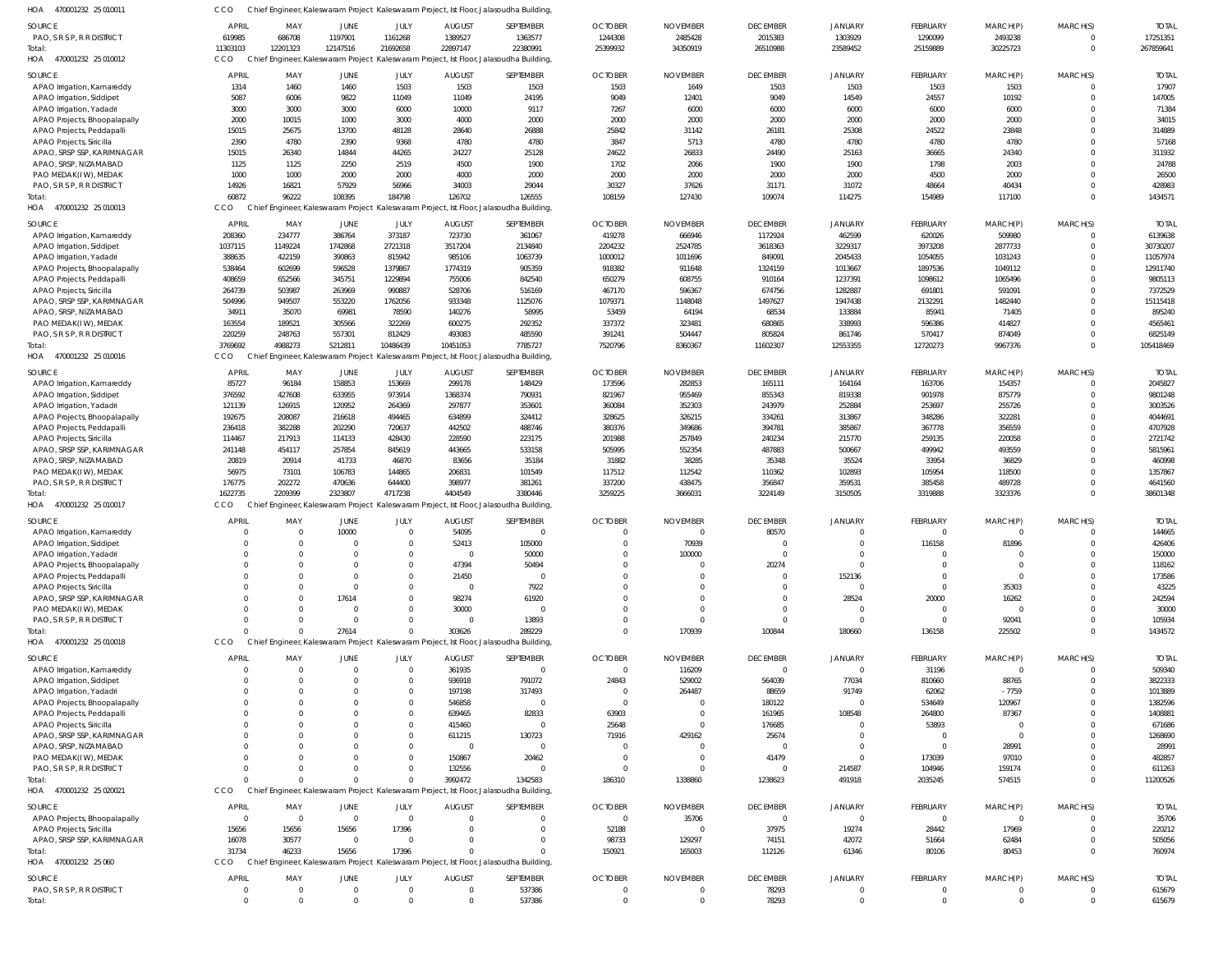| HOA<br>470001232 25 01001                          | cco                  |                    |                        |                      |                   | Chief Engineer, Kaleswaram Project Kaleswaram Project, Ist Floor, Jalasoudha Building             |                                  |                                  |                      |                |                  |                      |                      |                  |
|----------------------------------------------------|----------------------|--------------------|------------------------|----------------------|-------------------|---------------------------------------------------------------------------------------------------|----------------------------------|----------------------------------|----------------------|----------------|------------------|----------------------|----------------------|------------------|
| SOURCE                                             | <b>APRIL</b>         | MAY                | JUNE                   | JULY                 | <b>AUGUST</b>     | SEPTEMBER                                                                                         | <b>OCTOBER</b>                   | <b>NOVEMBER</b>                  | <b>DECEMBER</b>      | <b>JANUARY</b> | FEBRUARY         | MARCH(P)             | MARCH(S)             | <b>TOTAI</b>     |
| PAO, S R S P, R R DISTRICT                         | 619985               | 686708             | 1197901                | 1161268              | 1389527           | 1363577                                                                                           | 1244308                          | 2485428                          | 2015383              | 1303929        | 1290099          | 2493238              | $\Omega$             | 17251351         |
| Total                                              | 11303103             | 12201323           | 12147516               | 21692658             | 22897147          | 22380991                                                                                          | 25399932                         | 34350919                         | 26510988             | 23589452       | 25159889         | 30225723             | $\Omega$             | 267859641        |
| 470001232 25 010012<br>HOA                         | <b>CCO</b>           |                    |                        |                      |                   | Chief Engineer, Kaleswaram Project Kaleswaram Project, Ist Floor, Jalasoudha Building,            |                                  |                                  |                      |                |                  |                      |                      |                  |
| SOURCE                                             | <b>APRIL</b>         | MAY                | JUNE                   | JULY                 | <b>AUGUST</b>     | SEPTEMBER                                                                                         | <b>OCTOBER</b>                   | <b>NOVEMBER</b>                  | <b>DECEMBER</b>      | <b>JANUARY</b> | FEBRUARY         | MARCH(P)             | MARCH(S)             | <b>TOTAI</b>     |
| APAO Irrigation, Kamareddy                         | 1314                 | 1460               | 1460                   | 1503                 | 1503              | 1503                                                                                              | 1503                             | 1649                             | 1503                 | 1503           | 1503             | 1503                 | $\Omega$             | 17907            |
| APAO Irrigation, Siddipet                          | 5087                 | 6006               | 9822                   | 11049                | 11049             | 24195                                                                                             | 9049                             | 12401                            | 9049                 | 14549          | 24557            | 10192                | $\Omega$             | 147005           |
| APAO Irrigation, Yadadri                           | 3000                 | 3000               | 3000                   | 6000                 | 10000             | 9117                                                                                              | 7267                             | 6000                             | 6000                 | 6000           | 6000             | 6000                 | $\Omega$             | 71384            |
| APAO Projects, Bhoopalapally                       | 2000                 | 10015              | 1000                   | 3000                 | 4000              | 2000                                                                                              | 2000                             | 2000                             | 2000                 | 2000           | 2000             | 2000                 | $\Omega$             | 34015            |
| APAO Projects, Peddapalli                          | 15015                | 25675              | 13700                  | 48128                | 28640             | 26888                                                                                             | 25842                            | 31142                            | 26181                | 25308          | 24522            | 23848                | $\Omega$             | 314889           |
| APAO Projects, Siricilla                           | 2390                 | 4780               | 2390                   | 9368                 | 4780              | 4780                                                                                              | 3847                             | 5713                             | 4780                 | 4780           | 4780             | 4780                 | $\Omega$             | 57168            |
| APAO, SRSP SSP, KARIMNAGAR                         | 15015                | 26340              | 14844                  | 44265                | 24227             | 25128                                                                                             | 24622                            | 26833                            | 24490                | 25163          | 36665            | 24340                | $\Omega$             | 311932           |
| APAO, SRSP, NIZAMABAD                              | 1125                 | 1125               | 2250                   | 2519                 | 4500              | 1900                                                                                              | 1702                             | 2066                             | 1900                 | 1900           | 1798             | 2003                 | $\Omega$             | 24788            |
| PAO MEDAK(IW), MEDAK                               | 1000                 | 1000               | 2000                   | 2000                 | 4000              | 2000                                                                                              | 2000                             | 2000                             | 2000                 | 2000           | 4500             | 2000                 | $\Omega$             | 26500            |
| PAO, S R S P, R R DISTRICT                         | 14926                | 16821              | 57929                  | 56966                | 34003             | 29044                                                                                             | 30327                            | 37626                            | 31171                | 31072          | 48664            | 40434                | $\Omega$             | 428983           |
| Total                                              | 60872                | 96222              | 108395                 | 184798               | 126702            | 126555                                                                                            | 108159                           | 127430                           | 109074               | 114275         | 154989           | 117100               | $\Omega$             | 1434571          |
| 470001232 25 010013<br>HOA                         | CCO                  |                    |                        |                      |                   | Chief Engineer, Kaleswaram Project Kaleswaram Project, Ist Floor, Jalasoudha Building,            |                                  |                                  |                      |                |                  |                      |                      |                  |
| SOURCE                                             | <b>APRIL</b>         | MAY                | <b>JUNE</b>            | JULY                 | <b>AUGUST</b>     | SEPTEMBER                                                                                         | <b>OCTOBER</b>                   | <b>NOVEMBER</b>                  | <b>DECEMBER</b>      | <b>JANUARY</b> | FEBRUARY         | MARCH(P)             | MARCH(S)             | <b>TOTAI</b>     |
| APAO Irrigation, Kamareddy                         | 208360               | 234777             | 386764                 | 373187               | 723730            | 361067                                                                                            | 419278                           | 666946                           | 1172924              | 462599         | 620026           | 509980               | $\Omega$             | 6139638          |
| APAO Irrigation, Siddipet                          | 1037115              | 1149224            | 1742868                | 2721318              | 3517204           | 2134840                                                                                           | 2204232                          | 2524785                          | 3618363              | 3229317        | 3973208          | 2877733              | $\Omega$             | 30730207         |
| APAO Irrigation, Yadadri                           | 388635               | 422159             | 390863                 | 815942               | 985106            | 1063739                                                                                           | 1000012                          | 1011696                          | 849091               | 2045433        | 1054055          | 1031243              | $\Omega$             | 11057974         |
| APAO Projects, Bhoopalapally                       | 538464               | 602699             | 596528                 | 1379867              | 1774319           | 905359                                                                                            | 918382                           | 911648                           | 1324159              | 1013667        | 1897536          | 1049112              | $\Omega$             | 12911740         |
| APAO Projects, Peddapalli                          | 408659               | 652566             | 345751                 | 1229894              | 755006            | 842540                                                                                            | 650279                           | 608755                           | 910164               | 1237391        | 1098612          | 1065496              | $\Omega$             | 9805113          |
| APAO Projects, Siricilla                           | 264739               | 503987             | 263969                 | 990887               | 528706            | 516169                                                                                            | 467170                           | 596367                           | 674756               | 1282887        | 691801           | 591091               | $\Omega$             | 7372529          |
| APAO, SRSP SSP, KARIMNAGAR                         | 504996               | 949507             | 553220                 | 1762056              | 933348            | 1125076                                                                                           | 1079371                          | 1148048                          | 1497627              | 1947438        | 2132291          | 1482440              | $\Omega$             | 15115418         |
| APAO, SRSP, NIZAMABAD                              | 34911                | 35070              | 69981                  | 78590                | 140276            | 58995                                                                                             | 53459                            | 64194                            | 68534                | 133884         | 85941            | 71405                | $\Omega$             | 895240           |
| PAO MEDAK(IW), MEDAK                               | 163554               | 189521             | 305566                 | 322269               | 600275            | 292352                                                                                            | 337372                           | 323481                           | 680865               | 338993         | 596386           | 414827               | $\Omega$             | 4565461          |
| PAO, S R S P, R R DISTRICT                         | 220259               | 248763             | 557301                 | 812429               | 493083            | 485590                                                                                            | 391241                           | 504447                           | 805824               | 861746         | 570417           | 874049               | $\Omega$             | 6825149          |
| Total:<br>470001232 25 010016                      | 3769692<br>CCO       | 4988273            | 5212811                | 10486439             | 10451053          | 7785727                                                                                           | 7520796                          | 8360367                          | 11602307             | 12553355       | 12720273         | 9967376              | $\Omega$             | 105418469        |
| HOA                                                |                      |                    |                        |                      |                   | Chief Engineer, Kaleswaram Project Kaleswaram Project, Ist Floor, Jalasoudha Building,            |                                  |                                  |                      |                |                  |                      |                      |                  |
| SOURCE                                             | <b>APRIL</b>         | MAY                | JUNE                   | JULY                 | <b>AUGUST</b>     | SEPTEMBER                                                                                         | <b>OCTOBER</b>                   | <b>NOVEMBER</b>                  | <b>DECEMBER</b>      | <b>JANUARY</b> | FEBRUARY         | MARCH(P)             | MARCH(S)             | <b>TOTAI</b>     |
| APAO Irrigation, Kamareddy                         | 85727                | 96184              | 158853                 | 153669               | 299178            | 148429                                                                                            | 173596                           | 282853                           | 165111               | 164164         | 163706           | 154357               | $\Omega$             | 2045827          |
| APAO Irrigation, Siddipet                          | 376592               | 427608             | 633955                 | 973914               | 1368374           | 790931                                                                                            | 821967                           | 955469                           | 855343               | 819338         | 901978           | 875779               | $\Omega$             | 9801248          |
| APAO Irrigation, Yadadri                           | 121139               | 126915             | 120952                 | 264369               | 297877            | 353601                                                                                            | 360084                           | 352303                           | 243979               | 252884         | 253697           | 255726               | $\Omega$             | 3003526          |
| APAO Projects, Bhoopalapally                       | 192675               | 208087             | 216618                 | 494465               | 634899            | 324412                                                                                            | 328625                           | 326215                           | 334261               | 313867         | 348286           | 322281               | $\Omega$             | 4044691          |
| APAO Projects, Peddapalli                          | 236418               | 382288             | 202290                 | 720637               | 442502            | 488746                                                                                            | 380376                           | 349686                           | 394781               | 385867         | 367778           | 356559               | $\Omega$             | 4707928          |
| APAO Projects, Siricilla                           | 114467               | 217913             | 114133                 | 428430               | 228590            | 223175                                                                                            | 201988                           | 257849                           | 240234               | 215770         | 259135           | 220058               | $\Omega$             | 2721742          |
| APAO, SRSP SSP, KARIMNAGAR                         | 241148               | 454117             | 257854                 | 845619               | 443665            | 533158                                                                                            | 505995                           | 552354                           | 487883               | 500667         | 499942           | 493559               | $\Omega$             | 5815961          |
| APAO, SRSP, NIZAMABAD                              | 20819                | 20914              | 41733                  | 46870                | 83656             | 35184                                                                                             | 31882                            | 38285                            | 35348                | 35524          | 33954            | 36829                | $\Omega$             | 460998           |
| PAO MEDAK(IW), MEDAK                               | 56975                | 73101              | 106783                 | 144865               | 206831            | 101549                                                                                            | 117512                           | 112542                           | 110362               | 102893         | 105954           | 118500               | $\Omega$             | 1357867          |
| PAO, S R S P, R R DISTRICT                         | 176775               | 202272             | 470636                 | 644400               | 398977            | 381261                                                                                            | 337200                           | 438475                           | 356847               | 359531         | 385458           | 489728               | $\Omega$<br>$\Omega$ | 4641560          |
| HOA<br>470001232 25 010017                         | 1622735<br>CCO       | 2209399            | 2323807                | 4717238              | 4404549           | 3380446<br>Chief Engineer, Kaleswaram Project Kaleswaram Project, Ist Floor, Jalasoudha Building, | 3259225                          | 3666031                          | 3224149              | 3150505        | 3319888          | 3323376              |                      | 38601348         |
|                                                    |                      |                    |                        |                      |                   |                                                                                                   |                                  |                                  |                      |                |                  |                      |                      |                  |
| SOURCE                                             | <b>APRIL</b>         | MAY                | <b>JUNE</b>            | JULY                 | <b>AUGUST</b>     | SEPTEMBER                                                                                         | <b>OCTOBER</b>                   | <b>NOVEMBER</b>                  | <b>DECEMBER</b>      | <b>JANUARY</b> | FEBRUARY         | MARCH(P)             | MARCH(S)             | <b>TOTAI</b>     |
| APAO Irrigation, Kamareddy                         | $\Omega$             | $\Omega$           | 10000                  | $\Omega$             | 54095             | $\cap$                                                                                            | $\Omega$                         | $\Omega$                         | 80570                |                | $\Omega$         | $\Omega$             | $\Omega$             | 144665           |
| APAO Irrigation, Siddipet                          | $\Omega$             | $\Omega$           | $\overline{0}$         | $\mathbf{0}$         | 52413             | 105000                                                                                            | $\Omega$                         | 70939                            | $\Omega$             | $\Omega$       | 116158           | 81896                | $\Omega$             | 426406           |
| APAO Irrigation, Yadadri                           | $\mathbf 0$          | $\overline{0}$     | $\overline{0}$         | $^{\circ}$           | $\mathbf{0}$      | 50000                                                                                             | $\mathbf{0}$                     | 100000                           | $\overline{0}$       | $^{\circ}$     |                  |                      | $\overline{0}$       | 150000           |
| APAO Projects, Bhoopalapally                       | $\Omega$             | - 0                |                        | 0                    | 47394             | 50494                                                                                             |                                  | $\Omega$                         | 20274                | $\Omega$       |                  | $\mathbf 0$          |                      | 118162           |
| APAO Projects, Peddapalli                          | $\Omega$             | $\Omega$           |                        | $\Omega$             | 21450             |                                                                                                   | $\Omega$                         | $\Omega$                         |                      | 152136         | $\Omega$         | $\Omega$             | $\Omega$             | 173586           |
| APAO Projects, Siricilla                           | $\Omega$             | - 0                | $\Omega$               | 0                    | $\overline{0}$    | 7922                                                                                              |                                  | $\Omega$<br>$\Omega$             | $\Omega$             | $\Omega$       | $\mathbf 0$      | 35303                | $\Omega$             | 43225            |
| APAO, SRSP SSP, KARIMNAGAR                         | $\Omega$<br>$\Omega$ | $\Omega$           | 17614                  | $\Omega$<br>$\Omega$ | 98274             | 61920<br>$\Omega$                                                                                 |                                  | $\Omega$                         | $\Omega$<br>$\Omega$ | 28524          | 20000            | 16262<br>$\mathbf 0$ | $\Omega$             | 242594<br>30000  |
| PAO MEDAK(IW), MEDAK<br>PAO, S R S P, R R DISTRICT | $\Omega$             | - 0<br>$\Omega$    | $^{\circ}$<br>$\Omega$ | 0                    | 30000<br>$\Omega$ | 13893                                                                                             | $\Omega$                         | $\Omega$                         | $\Omega$             | $\Omega$       | 0<br>$\Omega$    | 92041                |                      | 105934           |
| Total:                                             | $\Omega$             | $\Omega$           | 27614                  | $\Omega$             | 303626            | 289229                                                                                            | $\Omega$                         | 170939                           | 100844               | 180660         | 136158           | 225502               | $\Omega$             | 1434572          |
| HOA<br>470001232 25 010018                         | CCO                  |                    |                        |                      |                   | Chief Engineer, Kaleswaram Project Kaleswaram Project, Ist Floor, Jalasoudha Building             |                                  |                                  |                      |                |                  |                      |                      |                  |
|                                                    |                      |                    |                        |                      |                   |                                                                                                   |                                  |                                  |                      |                |                  |                      |                      |                  |
| SOURCE                                             | <b>APRIL</b>         | MAY                | JUNE                   | JULY                 | <b>AUGUST</b>     | SEPTEMBER                                                                                         | <b>OCTOBER</b>                   | <b>NOVEMBER</b>                  | <b>DECEMBER</b>      | <b>JANUARY</b> | FEBRUARY         | MARCH(P)             | MARCH(S)             | <b>TOTAL</b>     |
| APAO Irrigation, Kamareddy                         | $\Omega$             | $\overline{0}$     | $\Omega$               | $\overline{0}$       | 361935            | $\overline{0}$                                                                                    | $\overline{0}$                   | 116209                           | $\Omega$             | $\Omega$       | 31196            | $\overline{0}$       |                      | 509340           |
| APAO Irrigation, Siddipet                          | $\Omega$             | $\Omega$           |                        | 0                    | 936918            | 791072                                                                                            | 24843                            | 529002                           | 564039               | 77034          | 810660           | 88765                | $\Omega$             | 3822333          |
| APAO Irrigation, Yadadri                           | $\Omega$             | $\Omega$           |                        | 0                    | 197198            | 317493                                                                                            | $\overline{0}$                   | 264487                           | 88659                | 91749          | 62062            | $-7759$              | $\cap$               | 1013889          |
| APAO Projects, Bhoopalapally                       | $\Omega$             | $\Omega$           |                        | 0                    | 546858            | $\Omega$                                                                                          | $\overline{0}$                   | $\overline{0}$                   | 180122               | $\Omega$       | 534649           | 120967               |                      | 1382596          |
| APAO Projects, Peddapalli                          | $\Omega$             | $\Omega$           |                        | 0                    | 639465            | 82833                                                                                             | 63903                            | $\Omega$                         | 161965               | 108548         | 264800           | 87367                |                      | 1408881          |
| APAO Projects, Siricilla                           | $\Omega$             | $\Omega$           |                        | $\Omega$             | 415460            | $\Omega$                                                                                          | 25648                            | $\overline{0}$                   | 176685               |                | 53893            | $\mathbf 0$          |                      | 671686           |
| APAO, SRSP SSP, KARIMNAGAR                         | $\Omega$             | $\Omega$<br>$\cap$ |                        | 0                    | 611215            | 130723<br>$\Omega$                                                                                | 71916                            | 429162<br>$\Omega$               | 25674<br>$\Omega$    | $\cap$         | 0                | $\mathbf 0$          | $\cap$               | 1268690          |
| APAO, SRSP, NIZAMABAD                              | $\Omega$             | $\Omega$           |                        | $\Omega$             | $\overline{0}$    |                                                                                                   | $\overline{0}$                   |                                  |                      | $\Omega$       | $\mathbf 0$      | 28991                | $\Omega$             | 28991            |
| PAO MEDAK(IW), MEDAK<br>PAO, S R S P, R R DISTRICT | $\Omega$<br>$\Omega$ | $\Omega$           |                        | 0<br>$\Omega$        | 150867<br>132556  | 20462<br>$\Omega$                                                                                 | $\overline{0}$<br>$\overline{0}$ | $\overline{0}$<br>$\overline{0}$ | 41479<br>$\Omega$    | 214587         | 173039<br>104946 | 97010<br>159174      | $\Omega$             | 482857<br>611263 |
| lotal                                              | $\Omega$             |                    |                        |                      | 3992472           | 1342583                                                                                           | 186310                           | 1338860                          | 1238623              | 491918         | 2035245          | 574515               | $\Omega$             | 11200526         |
| HOA<br>470001232 25 020021                         | CCO                  |                    |                        |                      |                   | Chief Engineer, Kaleswaram Project Kaleswaram Project, Ist Floor, Jalasoudha Building,            |                                  |                                  |                      |                |                  |                      |                      |                  |
|                                                    |                      |                    |                        |                      |                   |                                                                                                   |                                  |                                  |                      |                |                  |                      |                      |                  |
| SOURCE                                             | <b>APRIL</b>         | MAY                | <b>JUNE</b>            | JULY                 | <b>AUGUST</b>     | SEPTEMBER                                                                                         | <b>OCTOBER</b>                   | <b>NOVEMBER</b>                  | <b>DECEMBER</b>      | <b>JANUARY</b> | FEBRUARY         | MARCH(P)             | MARCH(S)             | <b>TOTAI</b>     |
| APAO Projects, Bhoopalapally                       | $^{\circ}$           | $\overline{0}$     | $\overline{0}$         | $\overline{0}$       | $\Omega$          |                                                                                                   | $\overline{0}$                   | 35706                            | $\Omega$             | $\Omega$       | $\mathbf 0$      | $\Omega$             | $\Omega$             | 35706            |
| APAO Projects, Siricilla                           | 15656                | 15656              | 15656                  | 17396                |                   |                                                                                                   | 52188                            | $\overline{0}$                   | 37975                | 19274          | 28442            | 17969                | $\Omega$             | 220212           |
| APAO, SRSP SSP, KARIMNAGAR                         | 16078                | 30577              | $\overline{0}$         | $\overline{0}$       |                   |                                                                                                   | 98733                            | 129297                           | 74151                | 42072          | 51664            | 62484                | $\Omega$             | 505056           |
| Total:                                             | 31734<br>CCO         | 46233              | 15656                  | 17396                |                   |                                                                                                   | 150921                           | 165003                           | 112126               | 61346          | 80106            | 80453                | $\Omega$             | 760974           |
| HOA<br>470001232 25 060                            |                      |                    |                        |                      |                   | Chief Engineer, Kaleswaram Project Kaleswaram Project, Ist Floor, Jalasoudha Building,            |                                  |                                  |                      |                |                  |                      |                      |                  |
| SOURCE                                             | <b>APRIL</b>         | MAY                | JUNE                   | JULY                 | <b>AUGUST</b>     | SEPTEMBER                                                                                         | <b>OCTOBER</b>                   | <b>NOVEMBER</b>                  | <b>DECEMBER</b>      | <b>JANUARY</b> | FEBRUARY         | MARCH(P)             | MARCH(S)             | <b>TOTAL</b>     |
| PAO, S R S P, R R DISTRICT                         | 0                    | $\overline{0}$     | $\overline{0}$         | $\overline{0}$       | $\overline{0}$    | 537386                                                                                            | $\overline{0}$                   | $\overline{0}$                   | 78293                |                | 0                | 0                    | $\Omega$             | 615679           |
| Total:                                             | $\mathbf 0$          | $\Omega$           | $\Omega$               | $\mathbf{0}$         | $\mathbf 0$       | 537386                                                                                            | $\mathbf{0}$                     | $\mathbf{0}$                     | 78293                | $\Omega$       | $\mathbf{0}$     | $\mathbf{0}$         | $\Omega$             | 615679           |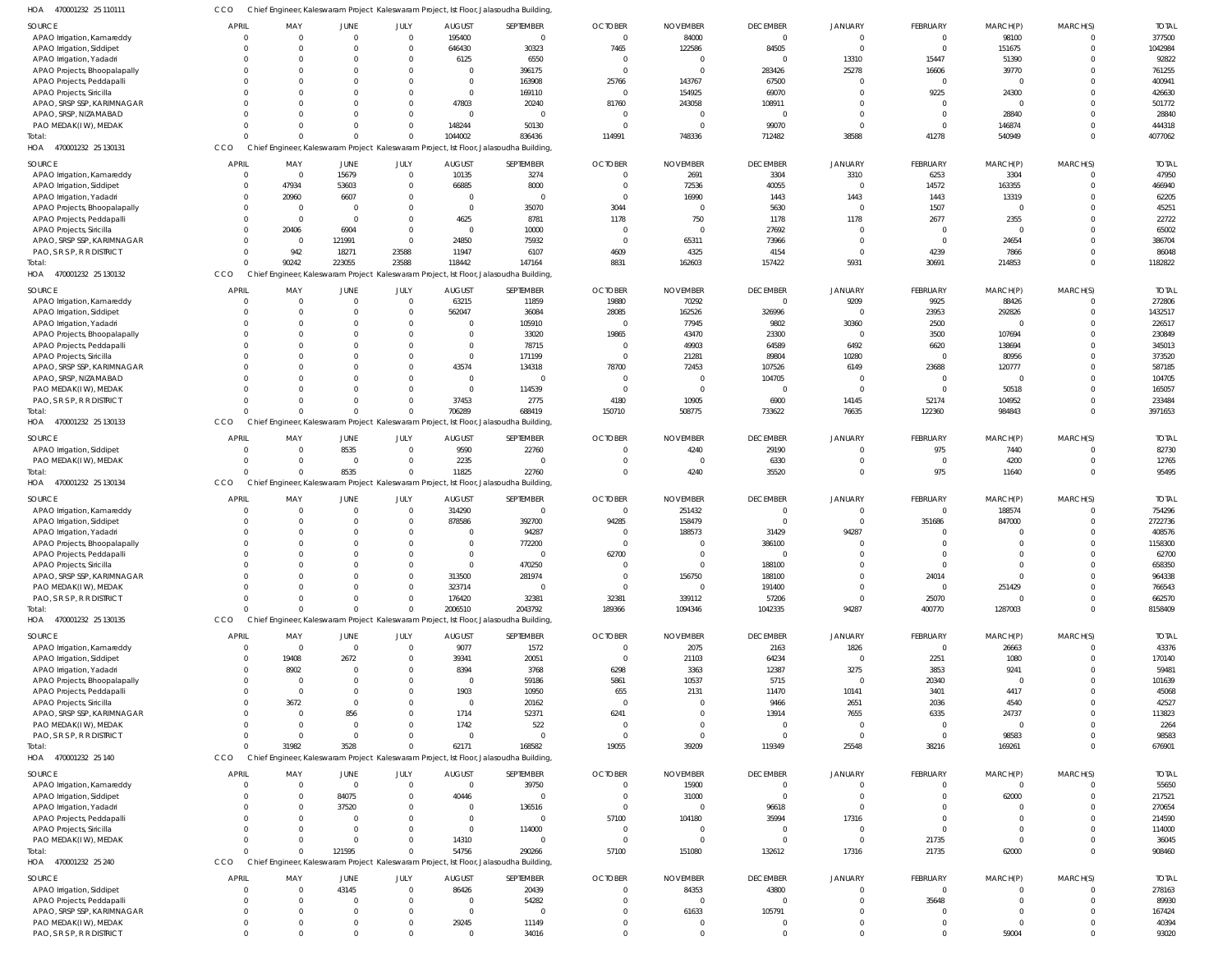470001232 25 110111 HOA 470001232 25 130131 HOA 470001232 25 130132 HOA 470001232 25 130133 HOA 470001232 25 130134 HOA 470001232 25 130135 470001232 25 140 HOA 470001232 25 240 HOA HOA Chief Engineer, Kaleswaram Project Kaleswaram Project, Ist Floor, Jalasoudha Building, Chief Engineer, Kaleswaram Project Kaleswaram Project, Ist Floor, Jalasoudha Building, Kaleswaram Project, Ist Floor, Jalasoudha Building, Chief Engineer, Kaleswaram Project Kaleswaram Project, Ist Floor, Jalasoudha Building, Chief Engineer, Kaleswaram Project Kaleswaram Project, Ist Floor, Jalasoudha Building, Chief Engineer, Kaleswaram Project Kaleswaram Project, Ist Floor, Jalasoudha Building, Chief Engineer, Kaleswaram Project Kaleswaram Project, Ist Floor, Jalasoudha Building, Chief Engineer, Kaleswaram Project Kaleswaram Project, Ist Floor, Jalasoudha Building, CCO CCO CCO Chief Engineer, Kaleswaram Project **CCO CCO CCO CCO CCO** 0 0 0  $\Omega$ 0 0 0 0 90242  $\Omega$ 0 0 31982 0 0 223055  $\Omega$ 8535 0 3528 121595  $\Omega$ 23588  $\Omega$  $\Omega$ 0  $\Omega$ 0 1044002 118442 706289 11825 2006510 62171 54756 836436 147164 688419 22760 2043792 168582 290266 114991 8831 150710 0 189366 19055 57100 748336 162603 508775 4240 1094346 39209 151080 712482 157422 733622 35520 1042335 119349 132612 38588 5931 76635 0 94287 25548 17316 41278 30691 122360 975 400770 38216 21735 540949 214853 984843 11640 1287003 169261 62000 0  $\Omega$  $\Omega$ 0 0  $\Omega$ 0 4077062 1182822 3971653 95495 8158409 676901 908460 APAO Irrigation, Kamareddy APAO Irrigation, Siddipet APAO Irrigation, Yadadri APAO Projects, Bhoopalapally APAO Projects, Peddapalli APAO Projects, Siricilla APAO, SRSP SSP, KARIMNAGAR APAO, SRSP, NIZAMABAD PAO MEDAK(I W), MEDAK APAO Irrigation, Kamareddy APAO Irrigation, Siddipet APAO Irrigation, Yadadri APAO Projects, Bhoopalapally APAO Projects, Peddapalli APAO Projects, Siricilla APAO, SRSP SSP, KARIMNAGAR PAO, S R S P, R R DISTRICT APAO Irrigation, Kamareddy APAO Irrigation, Siddipet APAO Irrigation, Yadadri APAO Projects, Bhoopalapally APAO Projects, Peddapalli APAO Projects, Siricilla APAO, SRSP SSP, KARIMNAGAR APAO, SRSP, NIZAMABAD PAO MEDAK(I W), MEDAK PAO, S R S P, R R DISTRICT APAO Irrigation, Siddipet PAO MEDAK(I W), MEDAK APAO Irrigation, Kamareddy APAO Irrigation, Siddipet APAO Irrigation, Yadadri APAO Projects, Bhoopalapally APAO Projects, Peddapalli APAO Projects, Siricilla APAO, SRSP SSP, KARIMNAGAR PAO MEDAK(I W), MEDAK PAO, S R S P, R R DISTRICT APAO Irrigation, Kamareddy APAO Irrigation, Siddipet APAO Irrigation, Yadadri APAO Projects, Bhoopalapally APAO Projects, Peddapalli APAO Projects, Siricilla APAO, SRSP SSP, KARIMNAGAR PAO MEDAK(I W), MEDAK PAO, S R S P, R R DISTRICT APAO Irrigation, Kamareddy APAO Irrigation, Siddipet APAO Irrigation, Yadadri APAO Projects, Peddapalli APAO Projects, Siricilla PAO MEDAK(I W), MEDAK APAO Irrigation, Siddipet APAO Projects, Peddapalli APAO, SRSP SSP, KARIMNAGAR PAO MEDAK(I W), MEDAK PAO, S R S P, R R DISTRICT SOURCE SOURCE **SOURCE** SOURCE SOURCE SOURCE **SOURCE** SOURCE 0  $\mathbf{C}$  $\Omega$ 0  $\mathsf{C}$  $\sqrt{2}$ 0  $\Omega$ 0 0  $\Omega$ 0  $\Omega$ 0 0  $\Omega$ 0  $\Omega$ 0 0  $\Omega$ 0  $\Omega$ 0 0  $\Omega$ 0  $\Omega$  $\mathfrak{c}$  $\Omega$  $\Omega$  $\mathbf{C}$  $\Omega$ 0  $\Omega$  $\Omega$ 0  $\cap$  $\mathfrak{c}$ 0  $\Omega$ 0  $\Omega$ 0 0  $\Omega$ 0  $\Omega$ 0  $\Omega$  $\Omega$ 0  $\cap$  $\mathfrak{c}$  $\Omega$  $\Omega$ 0 APRIL APRIL APRIL APRIL APRIL APRIL APRIL **APRIL** 0 0  $\Omega$ 0 0  $\Omega$ 0  $\Omega$ 0 0 47934 20960  $\Omega$ 0 20406  $\Omega$ 942  $\Omega$ 0  $\Omega$  $\Omega$ 0  $\Omega$ 0 0  $\Omega$ 0  $\Omega$ 0  $\Omega$ 0 0  $\Omega$ 0  $\Omega$  $\bigcap$ 0  $\Omega$ 0 19408 8902 0  $\Omega$ 3672 0  $\bigcap$ 0  $\Omega$ 0 0 0 0 0 0 0  $\sqrt{0}$ 0  $\Omega$ MAY MAY MAY MAY MAY MAY MAY MAY 0 0  $\Omega$  $\mathbf 0$  $\Omega$  $\Omega$ 0  $\Omega$ 0 15679 53603 6607  $\Omega$  $\overline{0}$ 6904 121991 18271  $\Omega$  $\mathbf 0$  $\Omega$  $\Omega$ 0  $\Omega$  $\overline{0}$  $\Omega$  $\Omega$ 0 8535  $\mathfrak{c}$  $\Omega$ 0  $\mathbf{C}$  $\Omega$ 0  $\Omega$  $\Omega$ 0  $\Omega$ 0 2672  $\Omega$ 0  $\Omega$  $\overline{0}$ 856  $\Omega$ 0  $\Omega$ 84075 37520  $\Omega$ 0  $\Omega$ 43145  $\Omega$  $\Omega$ 0  $\Omega$ JUNE JUNE JUNE JUNE JUNE JUNE JUNE **JUNE**  $\Omega$ 0  $\Omega$ 0 0 0 0  $\sqrt{2}$ 0 0  $\Omega$ 0  $\Omega$ 0  $\Omega$  $\bigcap$ 23588 0 0  $\Omega$  $\bigcap$ 0  $\cap$ 0 0 0 0  $\Omega$ 0  $\Omega$  $\Omega$ 0  $\Omega$ 0  $\Omega$  $\bigcap$ 0  $\sqrt{2}$ 0  $\Omega$  $\Omega$ 0  $\Omega$ 0  $\Omega$ 0 0 0 0  $\Omega$  $\bigcap$ 0  $\Omega$ 0  $\Omega$  $\Omega$ 0 JULY JULY JULY JULY JULY JULY JULY JULY 195400 646430 6125 0 0  $\Omega$ 47803  $\Omega$ 148244 10135 66885 0  $\Omega$ 4625  $\Omega$ 24850 11947 63215 562047 0 0 0  $\Omega$ 43574 0  $\Omega$ 37453 9590 2235 314290 878586 0  $\Omega$ 0  $\Omega$ 313500 323714 176420 9077 39341 8394 0 1903 0 1714 1742 0  $\Omega$ 40446 0 0 0 14310 86426 0  $\Omega$ 29245  $\Omega$ AUGUST AUGUST AUGUST AUGUST AUGUST **AUGUST** AUGUST **AUGUST**  $\Omega$ 30323 6550 396175 163908 169110 20240  $\bigcap$ 50130 3274 8000 0 35070 8781 10000 75932 6107 11859 36084 105910 33020 78715 171199 134318  $\Omega$ 114539 2775 22760 0  $\Omega$ 392700 94287 772200 0 470250 281974 0 32381 1572 20051 3768 59186 10950 20162 52371 522 0 39750 0 136516  $\sqrt{2}$ 114000  $\bigcap$ 20439 54282  $\Omega$ 11149 34016 SEPTEMBER SEPTEMBER SEPTEMBER SEPTEMBER SEPTEMBER SEPTEMBER SEPTEMBER **SEPTEMBER**  $\Omega$ 7465  $\Omega$ 0 25766 0 81760  $\Omega$ 0  $\Omega$  $\Omega$ 0 3044 1178  $\Omega$ 0 4609 19880 28085  $\Omega$ 19865 0  $\Omega$ 78700  $\Omega$ 0 4180  $\Omega$ 0  $\Omega$ 94285 0  $\Omega$ 62700  $\Omega$  $\bigcap$ 0 32381 0  $\Omega$ 6298 5861 655 0 6241  $\bigcap$ 0  $\Omega$ 0 0 57100 0 0 0  $\Omega$  $\Omega$ 0 OCTOBER OCTOBER OCTOBER OCTOBER OCTOBER OCTOBER **OCTOBER** OCTOBER 84000 122586  $\Omega$ 0 143767 154925 243058  $\Omega$ 0 2691 72536 16990  $\sqrt{2}$ 750  $\Omega$ 65311 4325 70292 162526 77945 43470 49903 21281 72453 0  $\bigcap$ 10905 4240 0 251432 158479 188573  $\Omega$ 0  $\Omega$ 156750 0 339112 2075 21103 3363 10537 2131 0 0  $\bigcap$ 0 15900 31000  $\Omega$ 104180 0  $\Omega$ 84353  $\Omega$ 61633 0  $\Omega$ NOVEMBER NOVEMBER NOVEMBER NOVEMBER NOVEMBER NOVEMBER NOVEMBER NOVEMBER 0 84505  $\Omega$ 283426 67500 69070 108911  $\Omega$ 99070 3304 40055 1443 5630 1178 27692 73966 4154  $\cap$ 326996 9802 23300 64589 89804 107526 104705  $\Omega$ 6900 29190 6330  $\Omega$  $\bigcap$ 31429 386100 0 188100 188100 191400 57206 2163 64234 12387 5715 11470 9466 13914  $\Omega$ 0  $\Omega$ 0 96618 35994 0  $\cap$ 43800  $\Omega$ 105791 0  $\Omega$ DECEMBER DECEMBER DECEMBER DECEMBER DECEMBER DECEMBER DECEMBER **DECEMBER** 0 0 13310 25278 0  $\Omega$ 0  $\Omega$ 0 3310  $\Omega$ 1443  $\Omega$ 1178 0 0 0 9209 0 30360  $\bigcap$ 6492 10280 6149 0  $\sqrt{2}$ 14145  $\Omega$ 0  $\Omega$  $\Omega$ 94287  $\Omega$ 0 0  $\Omega$ 0  $\Omega$ 1826  $\Omega$ 3275 0 10141 2651 7655 0 0  $\Omega$ 0  $\Omega$ 17316 0  $\Omega$ 0 0  $\Omega$ 0  $\Omega$ JANUARY JANUARY JANUARY JANUARY JANUARY JANUARY JANUARY JANUARY 0 0 15447 16606  $\Omega$ 9225 0  $\Omega$ 0 6253 14572 1443 1507 2677  $\Omega$ 0 4239 9925 23953 2500 3500 6620  $\sqrt{2}$ 23688  $\Omega$ 0 52174 975 0 0 351686 0  $\sqrt{2}$ 0 0 24014 0 25070 0 2251 3853 20340 3401 2036 6335  $\Omega$ 0  $\Omega$ 0  $\Omega$  $\bigcap$ 0 21735 0 35648  $\Omega$ 0 FEBRUARY FEBRUARY FEBRUARY FEBRUARY FEBRUARY FEBRUARY FEBRUARY FEBRUARY 98100 151675 51390 39770  $\Omega$ 24300 0 28840 146874 3304 163355 13319  $\Omega$ 2355  $\Omega$ 24654 7866 88426 292826  $\Omega$ 107694 138694 80956 120777 0 50518 104952 7440 4200 188574 847000 0  $\Omega$ 0  $\Omega$  $\Omega$ 251429  $\Omega$ 26663 1080 9241 0 4417 4540 24737  $\Omega$ 98583  $\Omega$ 62000 0  $\Omega$ 0  $\Omega$ 0 0  $\Omega$ 0 59004 MARCH(P) MARCH(P) MARCH(P) MARCH(P) MARCH(P) MARCH(P) MARCH(P) MARCH(P) 0 0  $\Omega$ 0  $\Omega$  $\bigcap$ 0  $\Omega$ 0  $\Omega$  $\Omega$ 0  $\cap$ 0  $\Omega$  $\bigcap$ 0  $\cap$ 0  $\Omega$  $\bigcap$ 0  $\Omega$ 0  $\Omega$  $\bigcap$ 0  $\sqrt{2}$ 0  $\Omega$  $\Omega$ 0  $\cap$ 0  $\Omega$  $\bigcap$ 0  $\cap$ 0  $\Omega$  $\Omega$ 0  $\Omega$ 0  $\Omega$  $\bigcap$ 0  $\sqrt{2}$ 0  $\Omega$  $\bigcap$ 0  $\Omega$ 0  $\Omega$  $\Omega$ 0 MARCH(S) MARCH(S) MARCH(S) MARCH(S) MARCH(S) MARCH(S) MARCH(S) MARCH(S) 377500 1042984 92822 761255 400941 426630 501772 28840 444318 47950 466940 62205 45251 22722 65002 386704 86048 272806 1432517 226517 230849 345013 373520 587185 104705 165057 233484 82730 12765 754296 2722736 408576 1158300 62700 658350 964338 766543 662570 43376 170140 59481 101639 45068 42527 113823 2264 98583 55650 217521 270654 214590 114000 36045 278163 89930 167424 40394 93020 TOTAL TOTAL TOTAL TOTAL TOTAL TOTAL TOTAL TOTAL Total: Total: Total: Total: Total: Total: **Total** 

 $\Omega$ 

 $\sqrt{2}$ 

 $\Omega$ 

 $\Omega$ 

 $\sqrt{2}$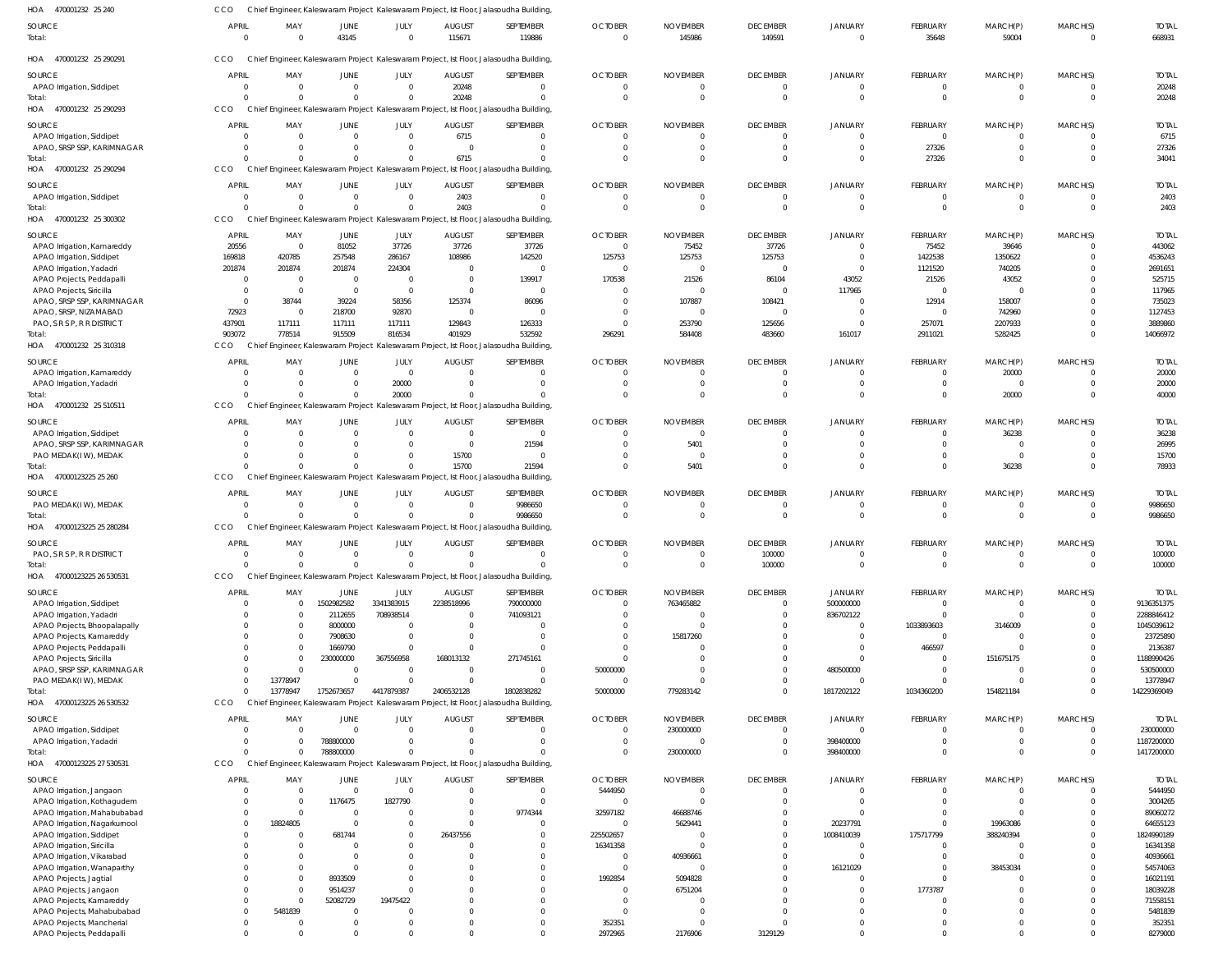| HOA<br>470001232 25 240                                   | CCO                      |                                |                              |                               |                                 | Chief Engineer, Kaleswaram Project Kaleswaram Project, Ist Floor, Jalasoudha Building,                 |                            |                           |                                   |                            |                                |                            |                             |                          |
|-----------------------------------------------------------|--------------------------|--------------------------------|------------------------------|-------------------------------|---------------------------------|--------------------------------------------------------------------------------------------------------|----------------------------|---------------------------|-----------------------------------|----------------------------|--------------------------------|----------------------------|-----------------------------|--------------------------|
| <b>SOURCE</b><br>Total:                                   | <b>APRIL</b><br>$\Omega$ | MAY<br>$\Omega$                | <b>JUNE</b><br>43145         | JULY<br>$\Omega$              | <b>AUGUST</b><br>115671         | SEPTEMBER<br>119886                                                                                    | <b>OCTOBER</b><br>$\Omega$ | <b>NOVEMBER</b><br>145986 | <b>DECEMBER</b><br>149591         | <b>JANUARY</b><br>$\Omega$ | <b>FEBRUARY</b><br>35648       | MARCH(P)<br>59004          | MARCH(S)<br>$\mathbf{0}$    | <b>TOTAL</b><br>668931   |
| HOA 470001232 25 290291                                   | CCO                      |                                |                              |                               |                                 | Chief Engineer, Kaleswaram Project Kaleswaram Project, Ist Floor, Jalasoudha Building,                 |                            |                           |                                   |                            |                                |                            |                             |                          |
| SOURCE                                                    | <b>APRIL</b>             | MAY                            | <b>JUNE</b>                  | JULY                          | <b>AUGUST</b>                   | SEPTEMBER                                                                                              | <b>OCTOBER</b>             | <b>NOVEMBER</b>           | <b>DECEMBER</b>                   | <b>JANUARY</b>             | <b>FEBRUARY</b>                | MARCH(P)                   | MARCH(S)                    | <b>TOTAL</b>             |
| APAO Irrigation, Siddipet                                 |                          | $\overline{0}$                 | $\mathbf{0}$                 | $\overline{0}$                | 20248                           | $\mathbf 0$                                                                                            | $\Omega$                   |                           | $\overline{0}$                    | $\Omega$                   | 0                              | $^{\circ}$                 | $^{\circ}$                  | 20248                    |
| Total:<br>HOA 470001232 25 290293                         | CCO                      | $\Omega$                       | $\Omega$                     | $\Omega$                      | 20248                           | $\mathbf{0}$<br>Chief Engineer, Kaleswaram Project Kaleswaram Project, Ist Floor, Jalasoudha Building, |                            |                           | $\overline{0}$                    | $\Omega$                   | $\mathbf 0$                    | $\overline{0}$             | $\overline{0}$              | 20248                    |
| SOURCE                                                    | APRIL                    | MAY                            | <b>JUNE</b>                  | JULY                          | <b>AUGUST</b>                   | SEPTEMBER                                                                                              | <b>OCTOBER</b>             | <b>NOVEMBER</b>           | <b>DECEMBER</b>                   | <b>JANUARY</b>             | <b>FEBRUARY</b>                | MARCH(P)                   | MARCH(S)                    | <b>TOTAL</b>             |
| APAO Irrigation, Siddipet                                 |                          | $\Omega$                       | $\Omega$                     | $\Omega$                      | 6715                            | 0                                                                                                      | $\Omega$                   |                           | $\overline{0}$                    | $\Omega$                   | $\mathbf 0$                    | $^{\circ}$                 | $\Omega$                    | 6715                     |
| APAO, SRSP SSP, KARIMNAGAR                                |                          | $\Omega$                       | $\Omega$                     | $\Omega$                      | $\Omega$                        | $\Omega$                                                                                               | - 0                        |                           | $\overline{0}$                    | $\Omega$                   | 27326                          | $\mathbf 0$                | $\Omega$                    | 27326                    |
| Total:                                                    |                          | $\Omega$                       | $\Omega$                     | $\Omega$                      | 6715                            | $\Omega$                                                                                               | - 0                        |                           | $\Omega$                          | $\Omega$                   | 27326                          | $\Omega$                   | $\Omega$                    | 34041                    |
| HOA 470001232 25 290294                                   | CCO                      |                                |                              |                               |                                 | Chief Engineer, Kaleswaram Project Kaleswaram Project, Ist Floor, Jalasoudha Building                  |                            |                           |                                   |                            |                                |                            |                             |                          |
| SOURCE                                                    | <b>APRIL</b>             | MAY                            | JUNE                         | JULY                          | <b>AUGUST</b>                   | SEPTEMBER                                                                                              | <b>OCTOBER</b>             | <b>NOVEMBER</b>           | <b>DECEMBER</b>                   | <b>JANUARY</b>             | <b>FEBRUARY</b>                | MARCH(P)                   | MARCH(S)                    | <b>TOTAL</b>             |
| APAO Irrigation, Siddipet                                 |                          | $\overline{0}$                 | $\mathbf{0}$                 | $\overline{0}$                | 2403                            | $\overline{0}$                                                                                         | - 0                        |                           | $\overline{0}$                    | $\Omega$                   | $\mathbf 0$                    | $^{\circ}$                 | $^{\circ}$                  | 2403                     |
| Total:<br>HOA 470001232 25 300302                         | CCO                      | $\Omega$                       | $\Omega$                     | $\Omega$                      | 2403                            | $\mathbf{0}$<br>Chief Engineer, Kaleswaram Project Kaleswaram Project, Ist Floor, Jalasoudha Building, | $\Omega$                   |                           | $\overline{0}$                    | $\Omega$                   | $\mathbf 0$                    | $\overline{0}$             | $\overline{0}$              | 2403                     |
|                                                           |                          |                                |                              |                               |                                 |                                                                                                        |                            |                           |                                   |                            |                                |                            |                             |                          |
| SOURCE<br>APAO Irrigation, Kamareddy                      | <b>APRIL</b><br>20556    | MAY<br>$\overline{\mathbf{0}}$ | JUNE<br>81052                | JULY<br>37726                 | <b>AUGUST</b><br>37726          | SEPTEMBER<br>37726                                                                                     | <b>OCTOBER</b><br>$\Omega$ | <b>NOVEMBER</b><br>75452  | <b>DECEMBER</b><br>37726          | <b>JANUARY</b><br>$\Omega$ | <b>FEBRUARY</b><br>75452       | MARCH(P)<br>39646          | MARCH(S)<br>$\Omega$        | <b>TOTAL</b><br>443062   |
| APAO Irrigation, Siddipet                                 | 169818                   | 420785                         | 257548                       | 286167                        | 108986                          | 142520                                                                                                 | 125753                     | 125753                    | 125753                            | $\Omega$                   | 1422538                        | 1350622                    | $\Omega$                    | 4536243                  |
| APAO Irrigation, Yadadri                                  | 201874                   | 201874                         | 201874                       | 224304                        | $\Omega$                        | $\mathbf 0$                                                                                            | $\Omega$                   |                           | $\overline{0}$                    | $\Omega$                   | 1121520                        | 740205                     | $\Omega$                    | 2691651                  |
| APAO Projects, Peddapalli                                 | - 0                      | - 0                            | $\mathbf{0}$                 | $\overline{0}$                | $\overline{0}$                  | 139917                                                                                                 | 170538                     | 21526                     | 86104                             | 43052                      | 21526                          | 43052                      | $\Omega$                    | 525715                   |
| APAO Projects, Siricilla                                  | $\Omega$                 | $\Omega$                       | $\mathbf{0}$                 | $\overline{0}$                | $\overline{0}$                  | 0                                                                                                      | - 0                        |                           | $\overline{0}$                    | 117965                     | $\mathbf 0$                    | $\Omega$                   | $\Omega$                    | 117965                   |
| APAO, SRSP SSP, KARIMNAGAR<br>APAO, SRSP, NIZAMABAD       | $\Omega$<br>72923        | 38744<br>$\Omega$              | 39224<br>218700              | 58356<br>92870                | 125374<br>$\overline{0}$        | 86096<br>0                                                                                             | - 0<br>- 0                 | 107887                    | 108421<br>$\overline{0}$          | $\Omega$<br>$\Omega$       | 12914<br>0                     | 158007<br>742960           | $\Omega$<br>$\Omega$        | 735023<br>1127453        |
| PAO, S R S P, R R DISTRICT                                | 437901                   | 117111                         | 117111                       | 117111                        | 129843                          | 126333                                                                                                 | $\Omega$                   | 253790                    | 125656                            | $\Omega$                   | 257071                         | 2207933                    | $\Omega$                    | 3889860                  |
| Total:                                                    | 903072                   | 778514                         | 915509                       | 816534                        | 401929                          | 532592                                                                                                 | 296291                     | 584408                    | 483660                            | 161017                     | 2911021                        | 5282425                    | $\Omega$                    | 14066972                 |
| HOA 470001232 25 310318                                   | CCO                      |                                |                              |                               |                                 | Chief Engineer, Kaleswaram Project Kaleswaram Project, Ist Floor, Jalasoudha Building,                 |                            |                           |                                   |                            |                                |                            |                             |                          |
| SOURCE                                                    | <b>APRIL</b>             | MAY                            | JUNE                         | JULY                          | <b>AUGUST</b>                   | SEPTEMBER                                                                                              | <b>OCTOBER</b>             | <b>NOVEMBER</b>           | <b>DECEMBER</b>                   | <b>JANUARY</b>             | <b>FEBRUARY</b>                | MARCH(P)                   | MARCH(S)                    | <b>TOTAL</b>             |
| APAO Irrigation, Kamareddy                                |                          | $\Omega$                       | $\mathbf{0}$                 | $\overline{0}$                | $\Omega$                        | $\mathbf 0$                                                                                            | - 0                        |                           | $\overline{0}$                    | $\Omega$                   | 0                              | 20000                      | $^{\circ}$                  | 20000                    |
| APAO Irrigation, Yadadri                                  |                          | $\Omega$<br>$\Omega$           | $\mathbf{0}$<br>$\Omega$     | 20000                         | $\Omega$<br>$\Omega$            | $\mathbf 0$<br>$\Omega$                                                                                | $\Omega$                   |                           | $\overline{0}$<br>$\Omega$        | $\Omega$<br>$\Omega$       | $\mathbf 0$<br>$\mathbf 0$     | $\overline{0}$             | $\mathbf 0$<br>$\mathbf 0$  | 20000                    |
| Total:<br>470001232 25 510511<br>HOA                      | CCO                      |                                |                              | 20000                         |                                 | Chief Engineer, Kaleswaram Project Kaleswaram Project, Ist Floor, Jalasoudha Building,                 |                            |                           |                                   |                            |                                | 20000                      |                             | 40000                    |
| SOURCE                                                    | <b>APRIL</b>             | MAY                            | <b>JUNE</b>                  | JULY                          | <b>AUGUST</b>                   | SEPTEMBER                                                                                              | <b>OCTOBER</b>             | <b>NOVEMBER</b>           | <b>DECEMBER</b>                   | <b>JANUARY</b>             | <b>FEBRUARY</b>                | MARCH(P)                   | MARCH(S)                    | <b>TOTAL</b>             |
| APAO Irrigation, Siddipet                                 |                          | $\Omega$                       | $\Omega$                     | $\mathbf{0}$                  | $\overline{0}$                  | $\overline{0}$                                                                                         |                            |                           | $\Omega$                          | $\Omega$                   | 0                              | 36238                      | $\Omega$                    | 36238                    |
| APAO, SRSP SSP, KARIMNAGAR                                |                          | $\Omega$                       | $\Omega$                     | $\Omega$                      | $\Omega$                        | 21594                                                                                                  | - 0                        | 5401                      | $\Omega$                          | $\Omega$                   |                                | $\overline{0}$             | $\Omega$                    | 26995                    |
| PAO MEDAK(IW), MEDAK                                      |                          | $\Omega$                       | $\Omega$                     | $\Omega$                      | 15700                           | $\Omega$                                                                                               |                            |                           | $\Omega$                          | $\Omega$                   | $\Omega$                       | $\Omega$                   | $\Omega$                    | 15700                    |
| Total:<br>HOA 47000123225 25 260                          | CCO                      | $\Omega$                       | $\Omega$                     | $\Omega$                      | 15700                           | 21594<br>Chief Engineer, Kaleswaram Project Kaleswaram Project, Ist Floor, Jalasoudha Building         | $\Omega$                   | 5401                      | $\Omega$                          | $\Omega$                   | $\Omega$                       | 36238                      | $\Omega$                    | 78933                    |
|                                                           |                          |                                |                              |                               |                                 |                                                                                                        |                            |                           |                                   |                            |                                |                            |                             |                          |
| SOURCE<br>PAO MEDAK(IW), MEDAK                            | <b>APRIL</b>             | MAY<br>$\overline{0}$          | <b>JUNE</b><br>$\mathbf{0}$  | JULY<br>$\overline{0}$        | <b>AUGUST</b><br>$\overline{0}$ | SEPTEMBER<br>9986650                                                                                   | <b>OCTOBER</b><br>- 0      | <b>NOVEMBER</b>           | <b>DECEMBER</b><br>$\overline{0}$ | <b>JANUARY</b><br>$\Omega$ | <b>FEBRUARY</b><br>$\mathbf 0$ | MARCH(P)<br>$\overline{0}$ | MARCH(S)<br>$^{\circ}$      | <b>TOTAL</b><br>9986650  |
| Total                                                     |                          | $\Omega$                       | $\Omega$                     | $\overline{0}$                | $\Omega$                        | 9986650                                                                                                | $\Omega$                   |                           | $\overline{0}$                    | $\Omega$                   | $\mathbf 0$                    | $\overline{0}$             | $\overline{0}$              | 9986650                  |
| HOA 47000123225 25 280284                                 | CCO                      |                                |                              |                               |                                 | Chief Engineer, Kaleswaram Project Kaleswaram Project, Ist Floor, Jalasoudha Building,                 |                            |                           |                                   |                            |                                |                            |                             |                          |
| SOURCE                                                    | <b>APRIL</b>             | MAY                            | JUNE                         | JULY                          | <b>AUGUST</b>                   | SEPTEMBER                                                                                              | <b>OCTOBER</b>             | <b>NOVEMBER</b>           | <b>DECEMBER</b>                   | <b>JANUARY</b>             | <b>FEBRUARY</b>                | MARCH(P)                   | MARCH(S)                    | <b>TOTAL</b>             |
| PAO, S R S P, R R DISTRICT                                |                          |                                |                              |                               |                                 |                                                                                                        |                            |                           | 100000                            |                            |                                |                            |                             | 100000                   |
| Total                                                     |                          |                                | $\Omega$                     | $\Omega$                      |                                 | $\Omega$                                                                                               |                            |                           | 100000                            | $\Omega$                   | $\Omega$                       | $\mathbf 0$                | $\Omega$                    | 100000                   |
| HOA<br>47000123225 26 530531                              | <b>CCO</b>               |                                |                              |                               |                                 | Chief Engineer, Kaleswaram Project Kaleswaram Project, Ist Floor, Jalasoudha Building,                 |                            |                           |                                   |                            |                                |                            |                             |                          |
| SOURCE                                                    | <b>APRIL</b>             | MAY                            | JUNE                         | JULY                          | <b>AUGUST</b>                   | SEPTEMBER                                                                                              | <b>OCTOBER</b>             | <b>NOVEMBER</b>           | <b>DECEMBER</b>                   | <b>JANUARY</b>             | <b>FEBRUARY</b>                | MARCH(P)                   | MARCH(S)                    | <b>TOTAL</b>             |
| APAO Irrigation, Siddipet                                 | - 0                      | $\Omega$                       | 1502982582                   | 3341383915                    | 2238518996                      | 790000000                                                                                              | $\Omega$                   | 763465882                 | $\overline{0}$                    | 500000000                  | $\mathbf 0$                    | $\overline{0}$             | $\overline{0}$              | 9136351375               |
| APAO Irrigation, Yadadri<br>APAO Projects, Bhoopalapally  |                          | 0<br>$\mathbf 0$               | 2112655<br>8000000           | 708938514<br>$\overline{0}$   | $\Omega$<br>$\Omega$            | 741093121<br>$\overline{0}$                                                                            | $\Omega$<br>- 0            |                           | $\overline{0}$<br>$\Omega$        | 836702122<br>$\Omega$      | $\mathbf 0$<br>1033893603      | $\Omega$<br>3146009        | $\mathbf 0$<br>$\mathbf{0}$ | 2288846412<br>1045039612 |
| APAO Projects, Kamareddy                                  |                          | $\Omega$                       | 7908630                      | $\overline{0}$                | $\Omega$                        | $\mathbb O$                                                                                            | $\Omega$                   | 15817260                  | $\Omega$                          | $\Omega$                   | $\mathbf 0$                    | $\mathbf 0$                | $\Omega$                    | 23725890                 |
| APAO Projects, Peddapalli                                 |                          | $\mathbf 0$                    | 1669790                      | $\mathbf 0$                   | $\Omega$                        | $\mathbf 0$                                                                                            | $\Omega$                   |                           | $\Omega$                          | $\Omega$                   | 466597                         | $\Omega$                   | $\Omega$                    | 2136387                  |
| APAO Projects, Siricilla                                  |                          | $\Omega$                       | 230000000                    | 367556958                     | 168013132                       | 271745161                                                                                              |                            |                           | $\Omega$                          | $\Omega$                   | 0                              | 151675175                  | $\mathbf{0}$                | 1188990426               |
| APAO, SRSP SSP, KARIMNAGAR                                |                          | $\Omega$                       | $\mathbf{0}$                 | $\overline{0}$                | $\overline{0}$                  | $\overline{0}$                                                                                         | 50000000                   |                           | $\Omega$                          | 480500000                  | $\mathbf 0$                    | $\overline{0}$             | $\mathbf 0$                 | 530500000                |
| PAO MEDAK(IW), MEDAK<br>Total:                            | $\Omega$                 | 13778947<br>13778947           | $\mathbf{0}$<br>1752673657   | $\mathbf{0}$<br>4417879387    | $\Omega$<br>2406532128          | $\mathbf{0}$<br>1802838282                                                                             | $\Omega$<br>50000000       | 779283142                 | $\overline{0}$<br>$\overline{0}$  | $\Omega$<br>1817202122     | $\Omega$<br>1034360200         | $\Omega$<br>154821184      | $\mathbf{0}$<br>$\mathbf 0$ | 13778947<br>14229369049  |
| HOA<br>47000123225 26 530532                              | CCO                      |                                |                              |                               |                                 | Chief Engineer, Kaleswaram Project Kaleswaram Project, Ist Floor, Jalasoudha Building,                 |                            |                           |                                   |                            |                                |                            |                             |                          |
| SOURCE                                                    | <b>APRIL</b>             | MAY                            | JUNE                         | JULY                          | <b>AUGUST</b>                   | SEPTEMBER                                                                                              | <b>OCTOBER</b>             | <b>NOVEMBER</b>           | <b>DECEMBER</b>                   | <b>JANUARY</b>             | <b>FEBRUARY</b>                | MARCH(P)                   | MARCH(S)                    | <b>TOTAL</b>             |
| APAO Irrigation, Siddipet                                 |                          | $\Omega$                       | $\Omega$                     | $\Omega$                      | $\Omega$                        | $\mathbf 0$                                                                                            | $\Omega$                   | 230000000                 | $\overline{0}$                    | $\Omega$                   | $\mathbf 0$                    | $\overline{0}$             | $\mathbf 0$                 | 230000000                |
| APAO Irrigation, Yadadri                                  |                          | $\Omega$                       | 788800000                    | $\Omega$                      | $\Omega$                        | $\mathbf 0$                                                                                            | $\Omega$                   |                           | $\mathbf{0}$                      | 398400000                  | $\Omega$                       | $\mathbf 0$                | $\mathbf 0$                 | 1187200000               |
| Total:                                                    |                          | $\Omega$                       | 788800000                    | $\Omega$                      | $\Omega$                        | $\Omega$                                                                                               | $\Omega$                   | 230000000                 | $\overline{0}$                    | 398400000                  | $\Omega$                       | $\Omega$                   | $\mathbf 0$                 | 1417200000               |
| HOA<br>47000123225 27 530531                              | CCO                      |                                |                              |                               |                                 | Chief Engineer, Kaleswaram Project Kaleswaram Project, Ist Floor, Jalasoudha Building,                 |                            |                           |                                   |                            |                                |                            |                             |                          |
| SOURCE                                                    | <b>APRIL</b>             | MAY<br>$\Omega$                | JUNE<br>$\mathbf{0}$         | JULY<br>$\overline{0}$        | <b>AUGUST</b><br>$\overline{0}$ | SEPTEMBER<br>$\mathbf 0$                                                                               | <b>OCTOBER</b><br>5444950  | <b>NOVEMBER</b>           | <b>DECEMBER</b><br>$\overline{0}$ | <b>JANUARY</b><br>$\Omega$ | <b>FEBRUARY</b><br>$\mathbf 0$ | MARCH(P)<br>$^{\circ}$     | MARCH(S)<br>$^{\circ}$      | <b>TOTAL</b><br>5444950  |
| APAO Irrigation, Jangaon<br>APAO Irrigation, Kothagudem   |                          | $\Omega$                       | 1176475                      | 1827790                       | $\overline{0}$                  | $\overline{0}$                                                                                         | $\Omega$                   |                           | $\overline{0}$                    | $\Omega$                   | $\Omega$                       | $\mathbf 0$                | $\mathbf 0$                 | 3004265                  |
| APAO Irrigation, Mahabubabad                              |                          | $\overline{0}$                 | $\overline{0}$               | $\mathbf{0}$                  | $\mathbf 0$                     | 9774344                                                                                                | 32597182                   | 46688746                  | $\Omega$                          | $\Omega$                   | $\Omega$                       | $\Omega$                   | $\Omega$                    | 89060272                 |
| APAO Irrigation, Nagarkurnool                             |                          | 18824805                       | $\mathbf{0}$                 | $\mathbf 0$                   | $\Omega$                        | $\overline{0}$                                                                                         | $\Omega$                   | 5629441                   | $\Omega$                          | 20237791                   | $\Omega$                       | 19963086                   | $\Omega$                    | 64655123                 |
| APAO Irrigation, Siddipet                                 |                          |                                | 681744                       | $\mathbf 0$                   | 26437556                        | $\mathbf 0$                                                                                            | 225502657                  |                           | $\overline{0}$                    | 1008410039                 | 175717799                      | 388240394                  | $\mathbf 0$                 | 1824990189               |
| APAO Irrigation, Siricilla                                |                          | $\Omega$<br>$\Omega$           | $\Omega$<br>$\mathbf{0}$     | $\Omega$<br>$\Omega$          | $\Omega$<br>U                   | $\mathbf 0$<br>$\mathbf 0$                                                                             | 16341358<br>- 0            |                           | $\Omega$<br>$\Omega$              | $\Omega$<br>$\Omega$       | $\mathbf 0$<br>0               | $\Omega$<br>$\mathbf 0$    | $\Omega$<br>$\Omega$        | 16341358                 |
| APAO Irrigation, Vikarabad<br>APAO Irrigation, Wanaparthy |                          | $\Omega$                       | $\mathbf{0}$                 | $\Omega$                      | $\Omega$                        | $\mathbf 0$                                                                                            | $\Omega$                   | 40936661                  | $\Omega$                          | 16121029                   | $\Omega$                       | 38453034                   | $\Omega$                    | 40936661<br>54574063     |
| APAO Projects, Jagtial                                    |                          | $\Omega$                       | 8933509                      | $\Omega$                      | $\Omega$                        | $\mathbf 0$                                                                                            | 1992854                    | 5094828                   | $\Omega$                          |                            | $\Omega$                       | $\Omega$                   | $\Omega$                    | 16021191                 |
| APAO Projects, Jangaon                                    |                          | $\Omega$                       | 9514237                      | $\Omega$                      | $\Omega$                        | $\mathbf 0$                                                                                            | $\Omega$                   | 6751204                   | $\Omega$                          | $\Omega$                   | 1773787                        | $\Omega$                   | $\Omega$                    | 18039228                 |
| APAO Projects, Kamareddy                                  |                          | $\Omega$                       | 52082729                     | 19475422                      | $\Omega$                        | $\mathbf{0}$                                                                                           | $\Omega$                   |                           | $\Omega$                          | $\Omega$                   | $\Omega$                       | $\Omega$                   | $\Omega$                    | 71558151                 |
| APAO Projects, Mahabubabad<br>APAO Projects, Mancherial   | $\Omega$                 | 5481839<br>0                   | $\mathbf{0}$<br>$\mathbf{0}$ | $\overline{0}$<br>$\mathbf 0$ | $\Omega$<br>$\mathbf 0$         | $\mathbf 0$<br>$\mathbf{0}$                                                                            | $\Omega$<br>352351         |                           | $\Omega$<br>$\overline{0}$        | $\Omega$<br>$\Omega$       | $\Omega$<br>0                  | $\Omega$<br>$\mathbf 0$    | $\Omega$<br>$\mathbf 0$     | 5481839<br>352351        |
| APAO Projects, Peddapalli                                 | $\Omega$                 | $\mathbf 0$                    | $\Omega$                     | $\Omega$                      | $\Omega$                        | $\Omega$                                                                                               | 2972965                    | 2176906                   | 3129129                           | $\Omega$                   | $\Omega$                       | $\Omega$                   | $\Omega$                    | 8279000                  |
|                                                           |                          |                                |                              |                               |                                 |                                                                                                        |                            |                           |                                   |                            |                                |                            |                             |                          |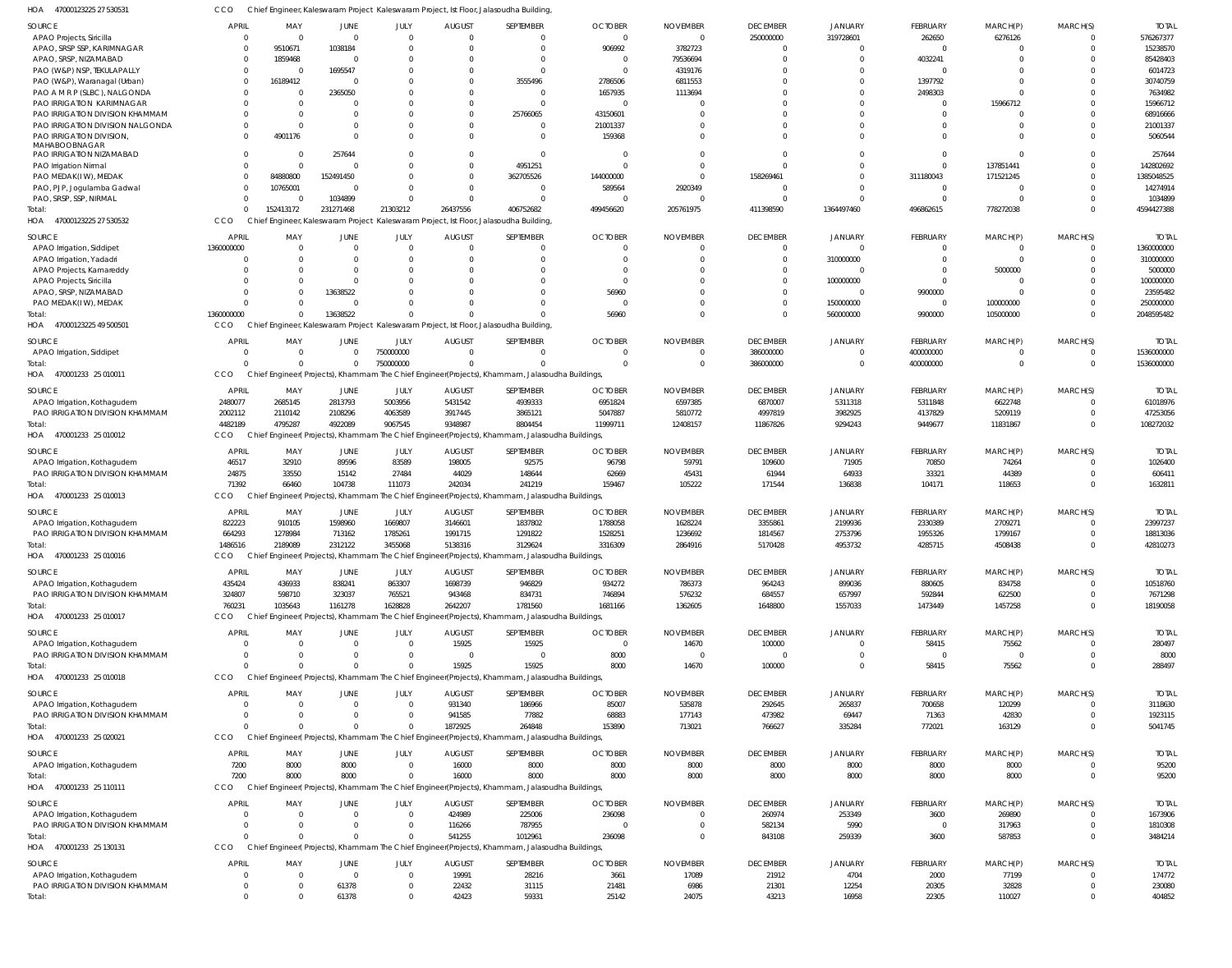| 47000123225 27 530531<br>HOA                                 | CCO                  |                 |                               |                         |                          | Chief Engineer, Kaleswaram Project Kaleswaram Project, Ist Floor, Jalasoudha Building          |                        |                 |                          |                 |                  |                         |                            |                        |
|--------------------------------------------------------------|----------------------|-----------------|-------------------------------|-------------------------|--------------------------|------------------------------------------------------------------------------------------------|------------------------|-----------------|--------------------------|-----------------|------------------|-------------------------|----------------------------|------------------------|
| SOURCE                                                       | <b>APRIL</b>         | MAY             | JUNE                          | JULY                    | <b>AUGUST</b>            | SEPTEMBER                                                                                      | <b>OCTOBER</b>         | <b>NOVEMBER</b> | <b>DECEMBER</b>          | JANUARY         | FEBRUARY         | MARCH(P)                | MARCH(S)                   | <b>TOTAL</b>           |
| APAO Projects, Siricilla                                     | $\Omega$             | $\Omega$        | $\overline{0}$                | $\mathbf{0}$            | $\Omega$                 | $\mathbf 0$                                                                                    | $\Omega$               | $\cap$          | 250000000                | 319728601       | 262650           | 6276126                 | $\overline{0}$             | 576267377              |
| APAO, SRSP SSP, KARIMNAGAR                                   | $\mathbf{0}$         | 9510671         | 1038184                       | $\Omega$                | $\Omega$                 | $\mathbf 0$                                                                                    | 906992                 | 3782723         | $\mathbf{0}$             | 0               | 0                | 0                       | $\Omega$                   | 15238570               |
| APAO, SRSP, NIZAMABAD                                        | $\Omega$             | 1859468         | $\Omega$                      | $\Omega$                |                          | $\Omega$                                                                                       | - 0                    | 79536694        | $\overline{0}$           | $\Omega$        | 4032241          | $\Omega$                | $\Omega$                   | 85428403               |
| PAO (W&P) NSP, TEKULAPALLY                                   | $\mathbf{0}$         | $\Omega$        | 1695547                       | $\Omega$                |                          | $\mathbf{0}$                                                                                   | $\Omega$               | 4319176         |                          |                 | $\mathbf 0$      | $\Omega$                |                            | 6014723                |
| PAO (W&P), Waranagal (Urban)                                 | $\Omega$             | 16189412        | $\Omega$                      |                         | <sup>0</sup>             | 3555496                                                                                        | 2786506                | 6811553         |                          | $\Omega$        | 1397792          | $\Omega$                | $\Omega$                   | 30740759               |
| PAO A M R P (SLBC), NALGONDA                                 | $\Omega$             |                 | 2365050                       | $\Omega$                |                          | 0                                                                                              | 1657935                | 1113694         |                          |                 | 2498303          | $\Omega$                | $\Omega$                   | 7634982                |
| PAO IRRIGATION KARIMNAGAR<br>PAO IRRIGATION DIVISION KHAMMAM | $\Omega$             | $\Omega$        | $\Omega$                      | $\Omega$<br>$\Omega$    | <sup>0</sup><br>$\Omega$ | $\Omega$<br>25766065                                                                           | 43150601               |                 |                          |                 | 0<br>$\mathbf 0$ | 15966712<br>$\mathbf 0$ |                            | 15966712<br>68916666   |
| PAO IRRIGATION DIVISION NALGONDA                             | $\Omega$             |                 | $\Omega$                      | $\Omega$                | <sup>0</sup>             | $^{\circ}$                                                                                     | 21001337               |                 | $\Omega$                 |                 | $\Omega$         | $\Omega$                | $\Omega$                   | 21001337               |
| PAO IRRIGATION DIVISION,                                     | $\Omega$             | 4901176         | $\Omega$                      | $\Omega$                | $\Omega$                 | $\mathbf 0$                                                                                    | 159368                 |                 | $\Omega$                 |                 | $\Omega$         | $\Omega$                | $\Omega$                   | 5060544                |
| MAHABOOBNAGAR                                                |                      |                 |                               |                         |                          |                                                                                                |                        |                 |                          |                 |                  |                         |                            |                        |
| PAO IRRIGATION NIZAMABAD                                     | $\Omega$             |                 | 257644                        | $\Omega$                | 0                        | $\mathbf{0}$                                                                                   |                        |                 | $\Omega$                 |                 | $\mathbf 0$      | $\mathbf 0$             | $\Omega$                   | 257644                 |
| PAO Irrigation Nirmal                                        | $\Omega$             | $\Omega$        | $\Omega$                      | $\Omega$                | $\Omega$                 | 4951251                                                                                        |                        |                 | $\Omega$                 |                 | $\mathbf 0$      | 137851441               | $\Omega$                   | 142802692              |
| PAO MEDAK(IW), MEDAK                                         | $\Omega$             | 84880800        | 152491450                     | $\Omega$                | $\Omega$                 | 362705526                                                                                      | 144000000              |                 | 158269461                |                 | 311180043        | 171521245               | $\Omega$                   | 1385048525             |
| PAO, PJP, Jogulamba Gadwal                                   | $\Omega$             | 10765001        | $\Omega$                      | $\Omega$                | $\Omega$                 | $\mathbf{0}$                                                                                   | 589564                 | 2920349         | $\Omega$                 |                 | $\overline{0}$   | $\mathbf 0$             | $\Omega$                   | 14274914               |
| PAO, SRSP, SSP, NIRMAL                                       | $\Omega$             |                 | 1034899                       | $\Omega$                | $\Omega$                 | $\Omega$                                                                                       |                        |                 | $\Omega$                 |                 | $\mathbf 0$      | $\Omega$                | $\Omega$                   | 1034899                |
| Total:                                                       | $\Omega$             | 152413172       | 231271468                     | 21303212                | 26437556                 | 406752682                                                                                      | 499456620              | 205761975       | 411398590                | 1364497460      | 496862615        | 778272038               | $\Omega$                   | 4594427388             |
| HOA 47000123225 27 530532                                    | CCO                  |                 |                               |                         |                          | Chief Engineer, Kaleswaram Project Kaleswaram Project, Ist Floor, Jalasoudha Building          |                        |                 |                          |                 |                  |                         |                            |                        |
| SOURCE                                                       | <b>APRIL</b>         | MAY             | JUNE                          | JULY                    | <b>AUGUST</b>            | SEPTEMBER                                                                                      | <b>OCTOBER</b>         | <b>NOVEMBER</b> | <b>DECEMBER</b>          | JANUARY         | FEBRUARY         | MARCH(P)                | MARCH(S)                   | <b>TOTAL</b>           |
| APAO Irrigation, Siddipet                                    | 1360000000           | - 0             | $\overline{0}$                | $\overline{0}$          | $\Omega$                 | $\mathbf{0}$                                                                                   |                        |                 | $\mathbf{0}$             | $\Omega$        | $\mathbf 0$      | 0                       | $\overline{0}$             | 1360000000             |
| APAO Irrigation, Yadadri                                     | $\Omega$             |                 | $\Omega$                      | $\Omega$                |                          | $\mathbf 0$                                                                                    |                        |                 | $\overline{0}$           | 310000000       | $\mathbf 0$      | $\mathbf 0$             | $\Omega$                   | 310000000              |
| APAO Projects, Kamareddy                                     | $\Omega$             |                 | $\Omega$                      | $\Omega$                |                          | $\mathbf 0$                                                                                    |                        |                 | $\Omega$                 |                 | $\mathbf 0$      | 5000000                 | $\Omega$                   | 5000000                |
| APAO Projects, Siricilla                                     | 0                    |                 | $\Omega$                      | $\Omega$                |                          | $\Omega$                                                                                       |                        |                 | $\overline{0}$           | 100000000       | $\mathbf 0$      | $\overline{0}$          | $\Omega$                   | 100000000              |
| APAO, SRSP, NIZAMABAD                                        | $\Omega$             |                 | 13638522                      | $\Omega$                |                          | $\Omega$                                                                                       | 56960                  |                 | $\Omega$                 | $\Omega$        | 9900000          | $\mathbf 0$             | $\Omega$                   | 23595482               |
| PAO MEDAK(IW), MEDAK                                         | $\Omega$             |                 | $\overline{0}$                | $\Omega$                |                          | $\Omega$                                                                                       |                        |                 | $\overline{0}$           | 150000000       | $\overline{0}$   | 100000000               | $\Omega$                   | 250000000              |
| Total:                                                       | 1360000000           |                 | 13638522                      | $\cap$                  |                          | $\Omega$                                                                                       | 56960                  |                 | $\Omega$                 | 560000000       | 9900000          | 105000000               | $\Omega$                   | 2048595482             |
| 47000123225 49 500501<br>HOA                                 | CCO                  |                 |                               |                         |                          | Chief Engineer, Kaleswaram Project Kaleswaram Project, Ist Floor, Jalasoudha Building          |                        |                 |                          |                 |                  |                         |                            |                        |
| SOURCE                                                       | <b>APRIL</b>         | MAY             | JUNE                          | JULY                    | <b>AUGUST</b>            | SEPTEMBER                                                                                      | <b>OCTOBER</b>         | <b>NOVEMBER</b> | <b>DECEMBER</b>          | JANUARY         | FEBRUARY         | MARCH(P)                | MARCH(S)                   | <b>TOTAL</b>           |
| APAO Irrigation, Siddipet                                    | 0                    | $\Omega$        | $\overline{0}$                | 750000000               | $\Omega$                 | $\Omega$                                                                                       |                        |                 | 386000000                | $\Omega$        | 400000000        | 0                       | $\overline{0}$             | 1536000000             |
| Total:                                                       | $\Omega$             | $\Omega$        | $\mathbf{0}$                  | 750000000               | $\Omega$                 | $\Omega$                                                                                       | $\Omega$               | $\Omega$        | 386000000                | $\Omega$        | 400000000        | $\mathbf 0$             | $\overline{0}$             | 1536000000             |
| HOA 470001233 25 010011                                      | CCO                  |                 |                               |                         |                          | Chief Engineer(Projects), Khammam The Chief Engineer(Projects), Khammam, Jalasoudha Buildings, |                        |                 |                          |                 |                  |                         |                            |                        |
| SOURCE                                                       | <b>APRIL</b>         | MAY             | JUNE                          | JULY                    | <b>AUGUST</b>            | SEPTEMBER                                                                                      | <b>OCTOBER</b>         | <b>NOVEMBER</b> | <b>DECEMBER</b>          | JANUARY         | FEBRUARY         | MARCH(P)                | MARCH(S)                   | <b>TOTAL</b>           |
| APAO Irrigation, Kothagudem                                  | 2480077              | 2685145         | 2813793                       | 5003956                 | 5431542                  | 4939333                                                                                        | 6951824                | 6597385         | 6870007                  | 5311318         | 5311848          | 6622748                 | $\Omega$                   | 61018976               |
| PAO IRRIGATION DIVISION KHAMMAM                              | 2002112              | 2110142         | 2108296                       | 4063589                 | 3917445                  | 3865121                                                                                        | 5047887                | 5810772         | 4997819                  | 3982925         | 4137829          | 5209119                 | $\Omega$                   | 47253056               |
| Total:                                                       | 4482189              | 4795287         | 4922089                       | 9067545                 | 9348987                  | 8804454                                                                                        | 11999711               | 12408157        | 11867826                 | 9294243         | 9449677          | 11831867                | $\Omega$                   | 108272032              |
| HOA<br>470001233 25 010012                                   | CCO                  |                 |                               |                         |                          | Chief Engineer(Projects), Khammam The Chief Engineer(Projects), Khammam, Jalasoudha Buildings, |                        |                 |                          |                 |                  |                         |                            |                        |
|                                                              |                      |                 |                               |                         |                          |                                                                                                |                        |                 |                          |                 |                  |                         |                            |                        |
| SOURCE                                                       | <b>APRIL</b>         | MAY             | JUNE                          | JULY                    | <b>AUGUST</b>            | SEPTEMBER                                                                                      | <b>OCTOBER</b>         | <b>NOVEMBER</b> | <b>DECEMBER</b>          | JANUARY         | FEBRUARY         | MARCH(P)                | MARCH(S)                   | <b>TOTAL</b>           |
| APAO Irrigation, Kothagudem                                  | 46517                | 32910           | 89596                         | 83589                   | 198005                   | 92575                                                                                          | 96798                  | 59791           | 109600                   | 71905           | 70850            | 74264                   | $\Omega$<br>$\Omega$       | 1026400                |
| PAO IRRIGATION DIVISION KHAMMAM<br>Total:                    | 24875<br>71392       | 33550<br>66460  | 15142<br>104738               | 27484<br>111073         | 44029<br>242034          | 148644<br>241219                                                                               | 62669<br>159467        | 45431<br>105222 | 61944<br>171544          | 64933<br>136838 | 33321<br>104171  | 44389<br>118653         | $\Omega$                   | 606411<br>1632811      |
| HOA 470001233 25 010013                                      | CCO                  |                 |                               |                         |                          | Chief Engineer(Projects), Khammam The Chief Engineer(Projects), Khammam, Jalasoudha Buildings, |                        |                 |                          |                 |                  |                         |                            |                        |
|                                                              |                      |                 |                               |                         |                          |                                                                                                |                        |                 |                          |                 |                  |                         |                            |                        |
| SOURCE                                                       | <b>APRIL</b>         | MAY             | JUNE                          | JULY                    | <b>AUGUST</b>            | SEPTEMBER                                                                                      | <b>OCTOBER</b>         | <b>NOVEMBER</b> | <b>DECEMBER</b>          | JANUARY         | FEBRUARY         | MARCH(P)                | MARCH(S)                   | <b>TOTAL</b>           |
| APAO Irrigation, Kothagudem                                  | 822223               | 910105          | 1598960                       | 1669807                 | 3146601                  | 1837802                                                                                        | 1788058                | 1628224         | 3355861                  | 2199936         | 2330389          | 2709271                 | $\Omega$                   | 23997237               |
| PAO IRRIGATION DIVISION KHAMMAM                              | 664293               | 1278984         | 713162                        | 1785261                 | 1991715                  | 1291822                                                                                        | 1528251                | 1236692         | 1814567                  | 2753796         | 1955326          | 1799167                 | $\Omega$                   | 18813036               |
| Total:                                                       | 1486516              | 2189089         | 2312122                       | 3455068                 | 5138316                  | 3129624                                                                                        | 3316309                | 2864916         | 5170428                  | 4953732         | 4285715          | 4508438                 | $\Omega$                   | 42810273               |
| HOA 470001233 25 010016                                      | CCO                  |                 |                               |                         |                          | Chief Engineer(Projects), Khammam The Chief Engineer(Projects), Khammam, Jalasoudha Buildings, |                        |                 |                          |                 |                  |                         |                            |                        |
| SOURCE                                                       | APRIL                | MAY             | JUNE                          | JULY                    | <b>AUGUST</b>            | SEPTEMBER                                                                                      | <b>OCTOBER</b>         | <b>NOVEMBER</b> | <b>DECEMBER</b>          | <b>JANUARY</b>  | FEBRUARY         | MARCH(P)                | MARCH(S)                   | <b>TOTAL</b>           |
| APAO Irrigation, Kothagudem                                  | 435424               | 436933          | 838241                        | 863307                  | 1698739                  | 946829                                                                                         | 934272                 | 786373          | 964243                   | 899036          | 880605           | 834758                  | $\overline{0}$             | 10518760               |
| PAO IRRIGATION DIVISION KHAMMAM                              | 324807               | 598710          | 323037                        | 765521                  | 943468                   | 834731                                                                                         | 746894                 | 576232          | 684557                   | 657997          | 592844           | 622500                  | $\overline{0}$             | 7671298                |
| Total:                                                       | 760231               | 1035643         | 1161278                       | 1628828                 | 2642207                  | 1781560                                                                                        | 1681166                | 1362605         | 1648800                  | 1557033         | 1473449          | 1457258                 | $\Omega$                   | 18190058               |
| HOA 470001233 25 010017                                      | CCO                  |                 |                               |                         |                          | Chief Engineer(Projects), Khammam The Chief Engineer(Projects), Khammam, Jalasoudha Buildings, |                        |                 |                          |                 |                  |                         |                            |                        |
| SOURCE                                                       | APRIL                | MAY             | <b>JUNE</b>                   | JULY                    | <b>AUGUST</b>            | SEPTEMBER                                                                                      | <b>OCTOBER</b>         | <b>NOVEMBER</b> | <b>DECEMBER</b>          | JANUARY         | FEBRUARY         | MARCH(P)                | MARCH(S)                   | <b>TOTAL</b>           |
| APAO Irrigation, Kothagudem                                  | $\Omega$             | - 0             | $\overline{0}$                | $\overline{0}$          | 15925                    | 15925                                                                                          | $\Omega$               | 14670           | 100000                   | $\mathbf 0$     | 58415            | 75562                   | $\Omega$                   | 280497                 |
| PAO IRRIGATION DIVISION KHAMMAM                              | $\Omega$             |                 | $\Omega$                      | $\mathbf 0$             | $\Omega$                 | $\overline{0}$                                                                                 | 8000                   | - 0             | $\overline{0}$           | $\mathbf 0$     | $\overline{0}$   | $\mathbf{0}$            | $\Omega$                   | 8000                   |
| Total:                                                       | $\Omega$             |                 | $\Omega$                      | $\Omega$                | 15925                    | 15925                                                                                          | 8000                   | 14670           | 100000                   | $\mathbf 0$     | 58415            | 75562                   | $\Omega$                   | 288497                 |
| HOA 470001233 25 010018                                      | CCO                  |                 |                               |                         |                          | Chief Engineer(Projects), Khammam The Chief Engineer(Projects), Khammam, Jalasoudha Buildings, |                        |                 |                          |                 |                  |                         |                            |                        |
|                                                              |                      |                 |                               |                         |                          |                                                                                                |                        |                 |                          |                 |                  |                         |                            |                        |
| SOURCE                                                       | APRIL                | MAY             | <b>JUNE</b>                   | JULY                    | <b>AUGUST</b>            | SEPTEMBER                                                                                      | <b>OCTOBER</b>         | <b>NOVEMBER</b> | <b>DECEMBER</b>          | JANUARY         | FEBRUARY         | MARCH(P)                | MARCH(S)                   | <b>TOTAL</b>           |
| APAO Irrigation, Kothagudem                                  | 0                    | $\Omega$        | $\overline{0}$                | $\overline{0}$          | 931340                   | 186966                                                                                         | 85007                  | 535878          | 292645                   | 265837          | 700658           | 120299                  | $\Omega$                   | 3118630                |
| PAO IRRIGATION DIVISION KHAMMAM                              | $\Omega$<br>$\Omega$ | $\Omega$        | $\mathbf{0}$<br>$\Omega$      | $\mathbf 0$<br>$\Omega$ | 941585                   | 77882<br>264848                                                                                | 68883                  | 177143          | 473982                   | 69447           | 71363            | 42830                   | $\overline{0}$<br>$\Omega$ | 1923115                |
| Total:<br>HOA 470001233 25 020021                            | CCO                  |                 |                               |                         | 1872925                  | Chief Engineer(Projects), Khammam The Chief Engineer(Projects), Khammam, Jalasoudha Buildings, | 153890                 | 713021          | 766627                   | 335284          | 772021           | 163129                  |                            | 5041745                |
|                                                              |                      |                 |                               |                         |                          |                                                                                                |                        |                 |                          |                 |                  |                         |                            |                        |
| SOURCE                                                       | <b>APRIL</b>         | MAY             | JUNE                          | JULY                    | <b>AUGUST</b>            | SEPTEMBER                                                                                      | <b>OCTOBER</b>         | <b>NOVEMBER</b> | <b>DECEMBER</b>          | JANUARY         | FEBRUARY         | MARCH(P)                | MARCH(S)                   | <b>TOTAL</b>           |
| APAO Irrigation, Kothagudem                                  | 7200                 | 8000            | 8000                          | $\overline{0}$          | 16000                    | 8000                                                                                           | 8000                   | 8000            | 8000                     | 8000            | 8000             | 8000                    | $\overline{0}$             | 95200                  |
| Total:                                                       | 7200                 | 8000            | 8000                          | $\Omega$                | 16000                    | 8000                                                                                           | 8000                   | 8000            | 8000                     | 8000            | 8000             | 8000                    | $\Omega$                   | 95200                  |
| HOA 470001233 25 110111                                      | CCO                  |                 |                               |                         |                          | Chief Engineer(Projects), Khammam The Chief Engineer(Projects), Khammam, Jalasoudha Buildings, |                        |                 |                          |                 |                  |                         |                            |                        |
| SOURCE                                                       | APRIL                | MAY             | <b>JUNE</b>                   | JULY                    | <b>AUGUST</b>            | SEPTEMBER                                                                                      | <b>OCTOBER</b>         | <b>NOVEMBER</b> | <b>DECEMBER</b>          | JANUARY         | FEBRUARY         | MARCH(P)                | MARCH(S)                   | <b>TOTAL</b>           |
| APAO Irrigation, Kothagudem                                  | $\mathbf{0}$         | $\Omega$        | $\overline{0}$                | $\mathbf{0}$            | 424989                   | 225006                                                                                         | 236098                 | $\Omega$        | 260974                   | 253349          | 3600             | 269890                  | $\overline{0}$             | 1673906                |
| PAO IRRIGATION DIVISION KHAMMAM                              | $\Omega$             | $\Omega$        | $\mathbf{0}$                  | $\mathbf{0}$            | 116266                   | 787955                                                                                         | $\Omega$               | $\Omega$        | 582134                   | 5990            | $\overline{0}$   | 317963                  | $\overline{0}$             | 1810308                |
| Total:                                                       | $\Omega$             | $\cap$          | $\Omega$                      | $\Omega$                | 541255                   | 1012961                                                                                        | 236098                 | $\Omega$        | 843108                   | 259339          | 3600             | 587853                  | $\Omega$                   | 3484214                |
| HOA 470001233 25 130131                                      | CCO                  |                 |                               |                         |                          | Chief Engineer(Projects), Khammam The Chief Engineer(Projects), Khammam, Jalasoudha Buildings, |                        |                 |                          |                 |                  |                         |                            |                        |
|                                                              | <b>APRIL</b>         |                 |                               |                         |                          |                                                                                                |                        | <b>NOVEMBER</b> |                          |                 |                  |                         |                            |                        |
| SOURCE<br>APAO Irrigation, Kothagudem                        | $\overline{0}$       | MAY<br>$\Omega$ | <b>JUNE</b><br>$\overline{0}$ | JULY<br>$\mathbf 0$     | <b>AUGUST</b><br>19991   | SEPTEMBER<br>28216                                                                             | <b>OCTOBER</b><br>3661 | 17089           | <b>DECEMBER</b><br>21912 | JANUARY<br>4704 | FEBRUARY<br>2000 | MARCH(P)<br>77199       | MARCH(S)<br>$\overline{0}$ | <b>TOTAL</b><br>174772 |
| PAO IRRIGATION DIVISION KHAMMAM                              | $\mathbf{0}$         |                 | 61378                         | $\mathbf{0}$            | 22432                    | 31115                                                                                          | 21481                  | 6986            | 21301                    | 12254           | 20305            | 32828                   | $\overline{0}$             | 230080                 |
| Total:                                                       | $\Omega$             |                 | 61378                         | $\mathbf 0$             | 42423                    | 59331                                                                                          | 25142                  | 24075           | 43213                    | 16958           | 22305            | 110027                  | $\Omega$                   | 404852                 |
|                                                              |                      |                 |                               |                         |                          |                                                                                                |                        |                 |                          |                 |                  |                         |                            |                        |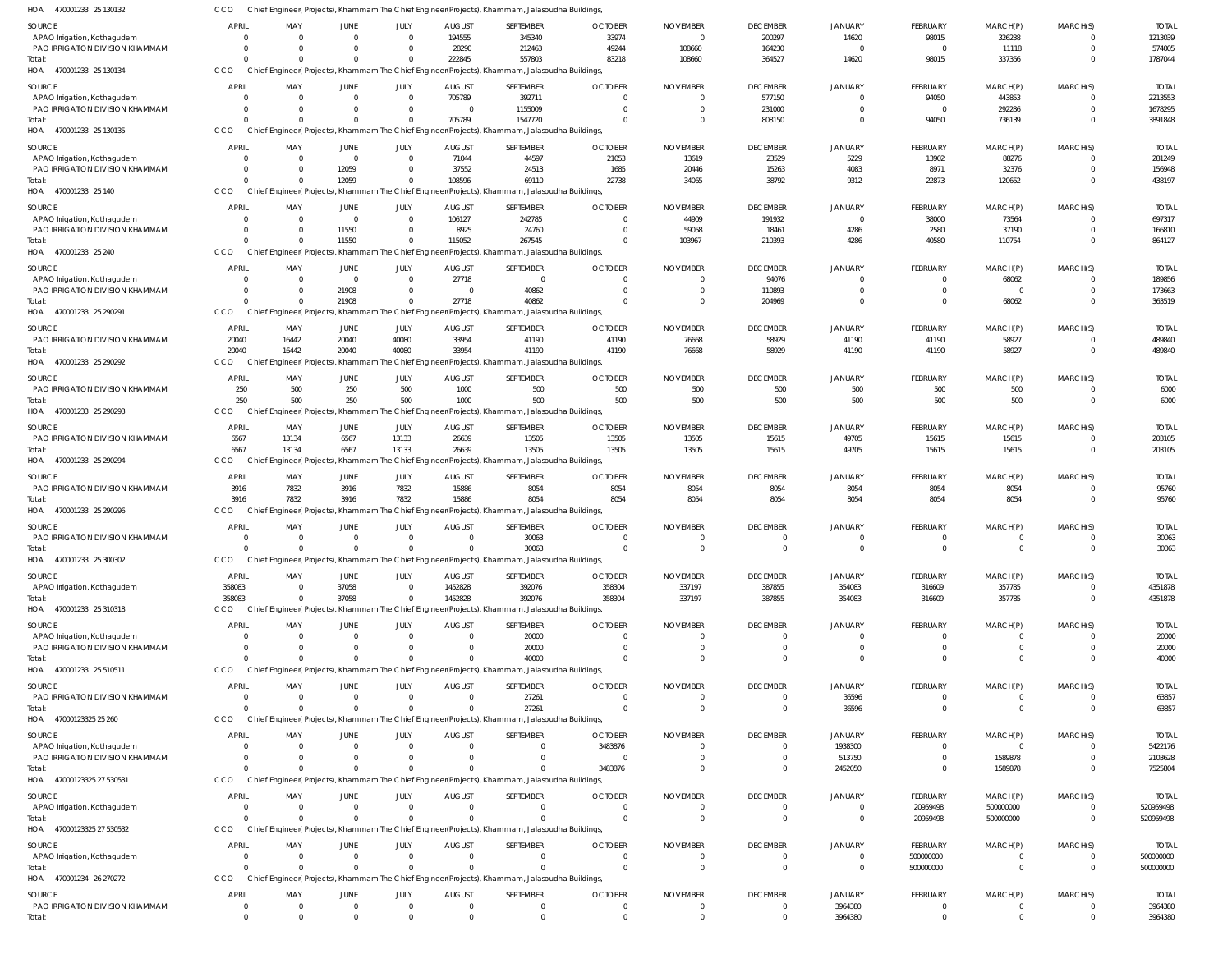470001233 25 130132 HOA 470001233 25 130134 470001233 25 130135 HOA 470001233 25 140 HOA 470001233 25 240 HOA 470001233 25 290291 470001233 25 290292 470001233 25 290293 470001233 25 290294 470001233 25 290296 HOA 470001233 25 300302 HOA 470001233 25 310318 HOA 470001233 25 510511 47000123325 25 260 HOA 47000123325 27 530531 47000123325 27 530532 HOA 470001234 26 270272 HOA HOA HOA HOA HOA HOA HOA HOA Chief Engineer( Projects), Khammam The Chief Engineer(Projects), Khammam, Jalasoudha Buildings, Chief Engineer( Projects), Khammam The Chief Engineer(Projects), Khammam, Jalasoudha Buildings, Chief Engineer( Projects), Khammam The Chief Engineer(Projects), Khammam, Jalasoudha Buildings, Chief Engineer( Projects), Khammam The Chief Engineer(Projects), Khammam, Jalasoudha Buildings, Chief Engineer( Projects), Khammam The Chief Engineer(Projects), Khammam, Jalasoudha Buildings, Chief Engineer( Projects), Khammam The Chief Engineer(Projects), Khammam, Jalasoudha Buildings, Chief Engineer( Projects), Khammam The Chief Engineer(Projects), Khammam, Jalasoudha Buildings, Chief Engineer( Projects), Khammam The Chief Engineer(Projects), Khammam, Jalasoudha Buildings, Chief Engineer( Projects), Khammam The Chief Engineer(Projects), Khammam, Jalasoudha Buildings, Chief Engineer( Projects), Khammam The Chief Engineer(Projects), Khammam, Jalasoudha Buildings, Chief Engineer( Projects), Khammam The Chief Engineer(Projects), Khammam, Jalasoudha Buildings, Chief Engineer( Projects), Khammam The Chief Engineer(Projects), Khammam, Jalasoudha Buildings, Chief Engineer( Projects), Khammam The Chief Engineer(Projects), Khammam, Jalasoudha Buildings, Chief Engineer( Projects), Khammam The Chief Engineer(Projects), Khammam, Jalasoudha Buildings, Chief Engineer( Projects), Khammam The Chief Engineer(Projects), Khammam, Jalasoudha Buildings, Chief Engineer( Projects), Khammam The Chief Engineer(Projects), Khammam, Jalasoudha Buildings, Chief Engineer( Projects), Khammam The Chief Engineer(Projects), Khammam, Jalasoudha Buildings, CCO **CCO CCO CCO** CCO CCO CCO **CCO** CCO CCO CCO **CCO** CCO **CCO CCO CCO** C<sub>CO</sub>  $\Omega$  $\Omega$  $\Omega$  $\Omega$  $\Omega$ 20040 250 6567 3916  $\Omega$ 358083  $\Omega$  $\Omega$  $\Omega$  $\Omega$ 0 0 0  $\Omega$ 0  $\bigcap$  $\Omega$ 16442 500 13134 7832  $\Omega$ 0  $\Omega$  $\Omega$ 0  $\bigcap$ 0 0  $\Omega$  $\Omega$ 12059 11550 21908 20040 250 6567 3916  $\Omega$ 37058  $\Omega$  $\Omega$ 0  $\theta$ 0 0  $\bigcap$  $\Omega$ 0  $\bigcap$  $\Omega$ 40080 500 13133 7832  $\Omega$  $\Omega$  $\Omega$  $\Omega$  $\Omega$  $\bigcap$ 0  $\Omega$ 222845 705789 108596 115052 27718 33954 1000 26639 15886 0 1452828 0  $\Omega$ 0  $\Omega$ 0 0 557803 1547720 69110 267545 40862 41190 500 13505 8054 30063 392076 40000 27261 0  $\bigcap$ 0 0 83218  $\Omega$ 22738  $\Omega$  $\Omega$ 41190 500 13505 8054  $\Omega$ 358304  $\Omega$  $\Omega$ 3483876  $\Omega$ 0 0 108660  $\Omega$ 34065 103967  $\Omega$ 76668 500 13505 8054  $\Omega$ 337197  $\Omega$  $\Omega$ 0  $\bigcap$ 0 0 364527 808150 38792 210393 204969 58929 500 15615 8054  $\Omega$ 387855 0  $\Omega$ 0  $\Omega$ 0 0 14620  $\Omega$ 9312 4286  $\Omega$ 41190 500 49705 8054  $\Omega$ 354083 0 36596 2452050  $\Omega$ 0 3964380 98015 94050 22873 40580  $\sqrt{2}$ 41190 500 15615 8054  $\Omega$ 316609  $\Omega$  $\Omega$  $\Omega$ 20959498 500000000  $\Omega$ 337356 736139 120652 110754 68062 58927 500 15615 8054  $\Omega$ 357785 0 0 1589878 500000000 0 0  $\Omega$ 0 0  $\Omega$  $\cap$ 0 0  $\cap$ 0  $\Omega$  $\Omega$  $\Omega$  $\Omega$  $\Omega$  $\bigcap$ 0 0 1787044 3891848 438197 864127 363519 489840 6000 203105 95760 30063 4351878 40000 63857 7525804 520959498 500000000 3964380 APAO Irrigation, Kothagudem PAO IRRIGATION DIVISION KHAMMAM APAO Irrigation, Kothagudem PAO IRRIGATION DIVISION KHAMMAM APAO Irrigation, Kothagudem PAO IRRIGATION DIVISION KHAMMAM APAO Irrigation, Kothagudem PAO IRRIGATION DIVISION KHAMMAM APAO Irrigation, Kothagudem PAO IRRIGATION DIVISION KHAMMAM PAO IRRIGATION DIVISION KHAMMAM PAO IRRIGATION DIVISION KHAMMAM PAO IRRIGATION DIVISION KHAMMAM PAO IRRIGATION DIVISION KHAMMAM PAO IRRIGATION DIVISION KHAMMAM APAO Irrigation, Kothagudem APAO Irrigation, Kothagudem PAO IRRIGATION DIVISION KHAMMAM PAO IRRIGATION DIVISION KHAMMAM APAO Irrigation, Kothagudem PAO IRRIGATION DIVISION KHAMMAM APAO Irrigation, Kothagudem APAO Irrigation, Kothagudem PAO IRRIGATION DIVISION KHAMMAM SOURCE SOURCE **SOURCE** SOURCE SOURCE SOURCE **SOURCE** SOURCE SOURCE **SOURCE** SOURCE **SOURCE SOURCE** SOURCE SOURCE SOURCE SOURCE 0 0 0 0 0  $\Omega$ 0 0  $\Omega$ 0 20040 250 6567 3916 0 358083  $\Omega$  $\mathfrak{g}$  $\Omega$  $\Omega$ 0 0 0 0 APRIL APRIL **APRIL** APRIL APRIL **APRIL** APRIL APRIL APRIL APRIL **APPIL APRIL** APRIL APRIL APRIL APRIL **APRIL** 0 0 0 0 0 0 0 0  $\sqrt{0}$ 0 16442 500 13134 7832 0 0  $\Omega$ 0  $\Omega$  $\Omega$ 0  $\Omega$  $\Omega$ 0 MAY MAY MAY MAY MAY MAY MAY MAY MAY MAY MA<sub>V</sub> MAY MAY MAY MAY MAY MAY  $\Omega$ 0 0 0 0 12059 0 11550  $\Omega$ 21908 20040 250 6567 3916 0 37058  $\Omega$ 0  $\Omega$  $\Omega$ 0  $\Omega$ 0 0 JUNE JUNE JUNE **JUNE** JUNE JUNE JUNE JUNE JUNE JUNE JUNE JUNE JUNE JUNE JUNE JUNE **JUNE**  $\Omega$ 0 0  $\Omega$ 0  $\Omega$ 0  $\Omega$  $\Omega$ 0 40080 500 13133 7832 0 0  $\Omega$  $\Omega$  $\Omega$  $\Omega$ 0 0  $\Omega$ 0 JULY JULY JULY JULY JULY JULY JULY JULY JULY JULY JULY JULY JULY JULY JULY JULY JULY 194555 28290 705789  $\Omega$ 71044 37552 106127 8925 27718 0 33954 1000 26639 15886 0 1452828  $\Omega$ 0 0  $\Omega$ 0 0 0 0 AUGUST AUGUST AUGUST **AUGUST** AUGUST AUGUST AUGUST AUGUST AUGUST AUGUST **AUGUST** AUGUST AUGUST AUGUST AUGUST AUGUST **AUGUST** 345340 212463 392711 1155009 44597 24513 242785 24760  $\Omega$ 40862 41190 500 13505 8054 30063 392076 20000 20000 27261  $\Omega$ 0  $\Omega$  $\Omega$ 0 SEPTEMBER SEPTEMBER SEPTEMBER **SEPTEMBER** SEPTEMBER SEPTEMBER SEPTEMBER SEPTEMBER SEPTEMBER SEPTEMBER **SEPTEMBER** SEPTEMBER SEPTEMBER SEPTEMBER SEPTEMBER SEPTEMBER **SEPTEMBER** 33974 49244 0 0 21053 1685 0  $\Omega$  $\Omega$ 0 41190 500 13505 8054  $\Omega$ 358304  $\sqrt{2}$ 0  $\Omega$ 3483876 0  $\Omega$  $\Omega$ 0 **OCTOBER OCTOBER OCTOBER** OCTOBER OCTOBER **OCTOBER OCTOBER** OCTOBER **OCTOBER** OCTOBER OCTOBER **OCTOBER OCTOBER OCTOBER** OCTOBER OCTOBER **OCTOBER**  $\bigcap$ 108660  $\Omega$  $\Omega$ 13619 20446 44909 59058  $\Omega$ 0 76668 500 13505 8054 0 337197  $\sqrt{2}$ 0 0 0 0 0 0 0 NOVEMBER NOVEMBER NOVEMBER NOVEMBER NOVEMBER NOVEMBER NOVEMBER NOVEMBER NOVEMBER NOVEMBER NOVEMBER NOVEMBER NOVEMBER NOVEMBER NOVEMBER NOVEMBER NOVEMBER 200297 164230 577150 231000 23529 15263 191932 18461 94076 110893 58929 500 15615 8054 0 387855  $\bigcap$ 0  $\Omega$ 0 0  $^{\circ}$ 0 0 DECEMBER DECEMBER DECEMBER **DECEMBER** DECEMBER DECEMBER DECEMBER **DECEMBER** DECEMBER DECEMBER **DECEMBER** DECEMBER DECEMBER DECEMBER DECEMBER DECEMBER **DECEMBER** 14620 0 0 0 5229 4083 0 4286  $\Omega$ 0 41190 500 49705 8054 0 354083  $\Omega$ 0 36596 1938300 513750  $\mathsf{C}$  $\Omega$ 3964380 **JANUARY** JANUARY **JANUARY** JANUARY JANUARY **JANUARY** JANUARY JANUARY **JANUARY** JANUARY JANUARY **JANUARY** JANUARY JANUARY JANUARY JANUARY JANUARY 98015 0 94050  $\Omega$ 13902 8971 38000 2580  $\Omega$ 0 41190 500 15615 8054 0 316609  $\Omega$ 0  $\Omega$  $\sqrt{2}$ 0 20959498 500000000 0 FEBRUARY FEBRUARY FEBRUARY **FEBRUARY** FEBRUARY FEBRUARY FEBRUARY FEBRUARY FEBRUARY FEBRUARY FEBRUARY FEBRUARY FEBRUARY FEBRUARY FEBRUARY FEBRUARY **FEBRUARY** 326238 11118 443853 292286 88276 32376 73564 37190 68062 0 58927 500 15615 8054 0 357785  $\sqrt{2}$ 0  $\Omega$  $\sqrt{2}$ 1589878 500000000  $\Omega$ 0 MARCH(P) MARCH(P) MARCH(P) MARCH(P) MARCH(P) MARCH(P) MARCH(P) MARCH(P) MARCH(P) MARCH(P) MARCH(P) MARCH(P) MARCH(P) MARCH(P) MARCH(P) MARCH(P) MARCH(P)  $\Omega$ 0  $\Omega$  $\Omega$ 0  $\Omega$ 0  $^{\circ}$  $\Omega$ 0  $\Omega$ 0 0 0 0 0 0 0  $\Omega$ 0 0 0 0 0 MARCH(S) MARCH(S) MARCH(S) MARCH(S) MARCH(S) MARCH(S) MARCH(S) MARCH(S) MARCH(S) MARCH(S) MARCH(S) MARCH(S) MARCH(S) MARCH(S) MARCH(S) MARCH(S) MARCH(S) 1213039 574005 2213553 1678295 281249 156948 697317 166810 189856 173663 489840 6000 203105 95760 30063 4351878 20000 20000 63857 5422176 2103628 520959498 500000000 3964380 TOTAL TOTAL TOTAL TOTAL TOTAL TOTAL TOTAL TOTAL TOTAL TOTAL TOTAL TOTAL TOTAL TOTAL TOTAL TOTAL TOTAL Total: Total: **Total** Total: Total: Total: Total: Total: Total: Total: Total: Total: Total: Total: Total: Total: Total: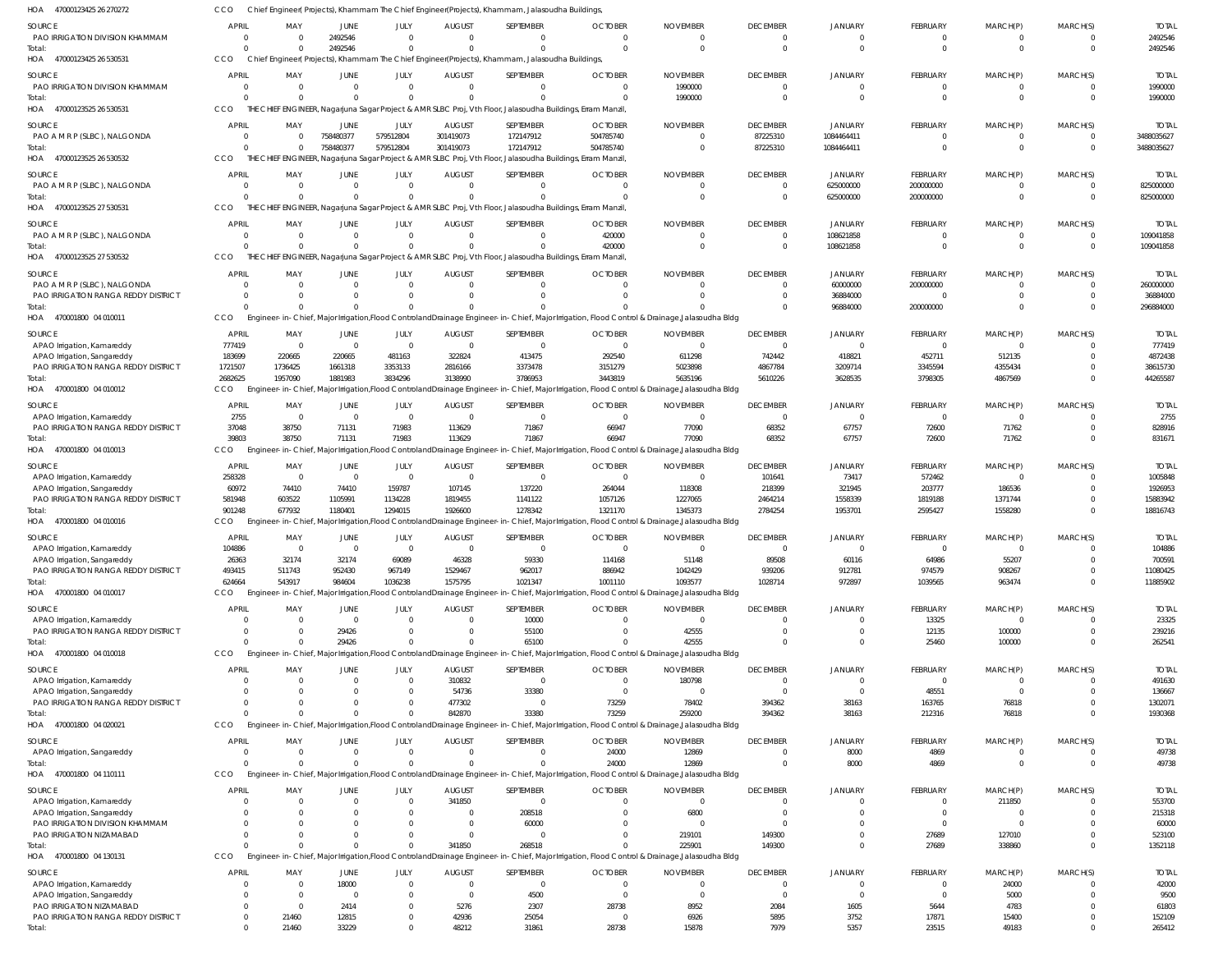| HOA<br>47000123425 26 270272                  |                |                |                      |                |                  | Chief Engineer( Projects), Khammam The Chief Engineer(Projects), Khammam, Jalasoudha Buildings,                        |                                                                                                                                               |                 |                 |                |                 |                |                                  |                  |
|-----------------------------------------------|----------------|----------------|----------------------|----------------|------------------|------------------------------------------------------------------------------------------------------------------------|-----------------------------------------------------------------------------------------------------------------------------------------------|-----------------|-----------------|----------------|-----------------|----------------|----------------------------------|------------------|
| <b>SOURCE</b>                                 | <b>APRIL</b>   | MAY            | <b>JUNE</b>          | JULY           | <b>AUGUST</b>    | SEPTEMBER                                                                                                              | <b>OCTOBER</b>                                                                                                                                | <b>NOVEMBER</b> | <b>DECEMBER</b> | <b>JANUARY</b> | <b>FEBRUARY</b> | MARCH(P)       | MARCH(S)                         | <b>TOTAL</b>     |
| PAO IRRIGATION DIVISION KHAMMAM               | - 0            | $\Omega$       | 2492546              | $\Omega$       | $\Omega$         | $\Omega$                                                                                                               | $\Omega$                                                                                                                                      | $\Omega$        | $\mathbf{0}$    | $\mathbf{0}$   | $\Omega$        | $\Omega$       | $\overline{0}$                   | 2492546          |
| Total:                                        |                | $\Omega$       | 2492546              | $\mathbf 0$    | $\Omega$         | $\Omega$                                                                                                               | $\Omega$                                                                                                                                      | $\Omega$        | $\mathbf 0$     | $\Omega$       | $\Omega$        | $\Omega$       | $\overline{0}$                   | 2492546          |
| 47000123425 26 530531<br>HOA                  | <b>CCO</b>     |                |                      |                |                  | Chief Engineer(Projects), Khammam The Chief Engineer(Projects), Khammam, Jalasoudha Buildings,                         |                                                                                                                                               |                 |                 |                |                 |                |                                  |                  |
| SOURCE                                        | <b>APRIL</b>   | MAY            | <b>JUNE</b>          | JULY           | <b>AUGUST</b>    | SEPTEMBER                                                                                                              | <b>OCTOBER</b>                                                                                                                                | <b>NOVEMBER</b> | <b>DECEMBER</b> | <b>JANUARY</b> | <b>FEBRUARY</b> | MARCH(P)       | MARCH(S)                         | <b>TOTAI</b>     |
| PAO IRRIGATION DIVISION KHAMMAM               |                | $\Omega$       | $\mathbf 0$          | $\overline{0}$ | $\Omega$         | $\Omega$                                                                                                               | $\overline{0}$                                                                                                                                | 1990000         | $\overline{0}$  | 0              | $\Omega$        | $\Omega$       | $\overline{0}$                   | 1990000          |
| Total:                                        |                |                | $\Omega$             | $\Omega$       |                  | $\cap$                                                                                                                 |                                                                                                                                               | 1990000         | $\mathbf{0}$    | $\Omega$       | $\Omega$        | $\Omega$       | $\Omega$                         | 1990000          |
| HOA<br>47000123525 26 530531                  | <b>CCO</b>     |                |                      |                |                  | THE CHIEF ENGINEER, Nagarjuna Sagar Project & AMR SLBC Proj, Vth Floor, Jalasoudha Buildings, Erram Manzil             |                                                                                                                                               |                 |                 |                |                 |                |                                  |                  |
| SOURCE                                        | <b>APRIL</b>   | MAY            | <b>JUNE</b>          | JULY           | <b>AUGUST</b>    | SEPTEMBER                                                                                                              | <b>OCTOBER</b>                                                                                                                                | <b>NOVEMBER</b> | <b>DECEMBER</b> | <b>JANUARY</b> | FEBRUARY        | MARCH(P)       | MARCH(S)                         | <b>TOTAL</b>     |
| PAO A M R P (SLBC), NALGONDA                  |                | $\Omega$       | 758480377            | 579512804      | 301419073        | 172147912                                                                                                              | 504785740                                                                                                                                     | $\Omega$        | 87225310        | 1084464411     | $\Omega$        | $\Omega$       | $\overline{0}$                   | 3488035627       |
| Total:                                        |                | $\Omega$       | 758480377            | 579512804      | 301419073        | 172147912                                                                                                              | 504785740                                                                                                                                     | $\Omega$        | 87225310        | 1084464411     | $\Omega$        | $\Omega$       | $\overline{0}$                   | 3488035627       |
| HOA 47000123525 26 530532                     | CCO            |                |                      |                |                  | THE CHIEF ENGINEER, Nagarjuna Sagar Project & AMR SLBC Proj, Vth Floor, Jalasoudha Buildings, Erram Manzil             |                                                                                                                                               |                 |                 |                |                 |                |                                  |                  |
|                                               |                |                |                      |                |                  |                                                                                                                        |                                                                                                                                               |                 |                 |                |                 |                |                                  |                  |
| SOURCE                                        | APRIL          | MAY            | <b>JUNE</b>          | JULY           | <b>AUGUST</b>    | SEPTEMBER                                                                                                              | <b>OCTOBER</b>                                                                                                                                | <b>NOVEMBER</b> | <b>DECEMBER</b> | <b>JANUARY</b> | <b>FEBRUARY</b> | MARCH(P)       | MARCH(S)                         | <b>TOTAI</b>     |
| PAO A M R P (SLBC), NALGONDA                  |                | $\Omega$       | $\mathbf 0$          | $\overline{0}$ | $\mathbf 0$      | $\Omega$                                                                                                               | $\Omega$                                                                                                                                      | $\Omega$        | $^{\circ}$      | 625000000      | 200000000       | $\Omega$       | $\overline{0}$                   | 825000000        |
| Total:<br>HOA 47000123525 27 530531           | <b>CCO</b>     | $\Omega$       | $\Omega$             | $\mathbf 0$    | $\Omega$         | $\Omega$<br>THE CHIEF ENGINEER, Nagarjuna Sagar Project & AMR SLBC Proj, Vth Floor, Jalasoudha Buildings, Erram Manzil |                                                                                                                                               | $\Omega$        | $\mathbf 0$     | 625000000      | 200000000       | $\Omega$       | $\overline{0}$                   | 825000000        |
|                                               |                |                |                      |                |                  |                                                                                                                        |                                                                                                                                               |                 |                 |                |                 |                |                                  |                  |
| SOURCE                                        | <b>APRIL</b>   | MAY            | <b>JUNE</b>          | JULY           | <b>AUGUST</b>    | SEPTEMBER                                                                                                              | <b>OCTOBER</b>                                                                                                                                | <b>NOVEMBER</b> | <b>DECEMBER</b> | <b>JANUARY</b> | FEBRUARY        | MARCH(P)       | MARCH(S)                         | <b>TOTAL</b>     |
| PAO A M R P (SLBC), NALGONDA                  |                | $\Omega$       | $\mathbf 0$          | $\mathbf 0$    | $\Omega$         | $\Omega$                                                                                                               | 420000                                                                                                                                        | $\Omega$        | $\mathbf 0$     | 108621858      | $\Omega$        | $\Omega$       | $\overline{0}$                   | 109041858        |
| Total:                                        |                | $\Omega$       | $\Omega$             | $\Omega$       | $\Omega$         | $\Omega$                                                                                                               | 420000                                                                                                                                        |                 | $\mathbf 0$     | 108621858      | $\Omega$        | $\Omega$       | $\Omega$                         | 109041858        |
| 47000123525 27 530532<br>HOA                  | CCO            |                |                      |                |                  | THE CHIEF ENGINEER, Nagarjuna Sagar Project & AMR SLBC Proj, Vth Floor, Jalasoudha Buildings, Erram Manzil             |                                                                                                                                               |                 |                 |                |                 |                |                                  |                  |
| SOURCE                                        | <b>APRIL</b>   | MAY            | JUNE                 | JULY           | <b>AUGUST</b>    | SEPTEMBER                                                                                                              | <b>OCTOBER</b>                                                                                                                                | <b>NOVEMBER</b> | <b>DECEMBER</b> | <b>JANUARY</b> | FEBRUARY        | MARCH(P)       | MARCH(S)                         | <b>TOTA</b>      |
| PAO A M R P (SLBC), NALGONDA                  |                |                | $\Omega$             | $\mathbf{0}$   |                  | $\cap$                                                                                                                 |                                                                                                                                               | $\Omega$        | $\mathbf{0}$    | 60000000       | 200000000       | $\Omega$       | $\overline{0}$                   | 260000000        |
| PAO IRRIGATION RANGA REDDY DISTRICT           |                | $\Omega$       | $\mathbf 0$          | $\mathbf 0$    | $\Omega$         | $\Omega$                                                                                                               |                                                                                                                                               |                 | 0               | 36884000       | $\Omega$        | $\Omega$       | $\overline{0}$                   | 36884000         |
| Total:                                        |                |                | $\Omega$             | $\Omega$       |                  |                                                                                                                        |                                                                                                                                               |                 | $\Omega$        | 96884000       | 200000000       | $\Omega$       | $\Omega$                         | 296884000        |
| HOA 470001800 04 010011                       | CCO            |                |                      |                |                  |                                                                                                                        | Engineer-in-Chief, Major Irrigation, Flood Controland Drainage Engineer-in-Chief, Major Irrigation, Flood Control & Drainage, Jalasoudha Bldg |                 |                 |                |                 |                |                                  |                  |
| SOURCE                                        | <b>APRIL</b>   | MAY            | JUNE                 | JULY           | <b>AUGUST</b>    | SEPTEMBER                                                                                                              | <b>OCTOBER</b>                                                                                                                                | <b>NOVEMBER</b> | <b>DECEMBER</b> | <b>JANUARY</b> | FEBRUARY        | MARCH(P)       | MARCH(S)                         | <b>TOTAI</b>     |
| APAO Irrigation, Kamareddy                    | 777419         | $\Omega$       | $\mathbf 0$          | $\mathbf{0}$   | $\Omega$         | $\Omega$                                                                                                               | $\Omega$                                                                                                                                      | $\Omega$        | $\overline{0}$  | $\Omega$       | $\Omega$        | $\Omega$       | $\Omega$                         | 777419           |
| APAO Irrigation, Sangareddy                   | 183699         | 220665         | 220665               | 481163         | 322824           | 413475                                                                                                                 | 292540                                                                                                                                        | 611298          | 742442          | 418821         | 452711          | 512135         | $\Omega$                         | 4872438          |
| PAO IRRIGATION RANGA REDDY DISTRICT           | 1721507        | 1736425        | 1661318              | 3353133        | 2816166          | 3373478                                                                                                                | 3151279                                                                                                                                       | 5023898         | 4867784         | 3209714        | 3345594         | 4355434        | C                                | 38615730         |
| Total:                                        | 2682625        | 1957090        | 1881983              | 3834296        | 3138990          | 3786953                                                                                                                | 3443819                                                                                                                                       | 5635196         | 5610226         | 3628535        | 3798305         | 4867569        | $\Omega$                         | 44265587         |
| 470001800 04 010012<br>HOA                    | CCO            |                |                      |                |                  |                                                                                                                        | Engineer-in-Chief, Major Irrigation,Flood ControlandDrainage Engineer-in-Chief, Major Irrigation, Flood Control & Drainage,Jalasoudha Bldg    |                 |                 |                |                 |                |                                  |                  |
|                                               |                |                |                      |                |                  |                                                                                                                        |                                                                                                                                               |                 |                 |                |                 |                |                                  |                  |
| SOURCE                                        | <b>APRIL</b>   | MAY            | <b>JUNE</b>          | JULY           | <b>AUGUST</b>    | SEPTEMBER                                                                                                              | <b>OCTOBER</b>                                                                                                                                | <b>NOVEMBER</b> | <b>DECEMBER</b> | <b>JANUARY</b> | FEBRUARY        | MARCH(P)       | MARCH(S)                         | <b>TOTA</b>      |
| APAO Irrigation, Kamareddy                    | 2755           | $\Omega$       | $\mathbf 0$          | $\overline{0}$ | $\Omega$         | $\Omega$                                                                                                               | $\Omega$                                                                                                                                      | $\Omega$        | $\overline{0}$  | $\overline{0}$ | $\Omega$        | $\Omega$       | $\overline{0}$<br>$\overline{0}$ | 2755             |
| PAO IRRIGATION RANGA REDDY DISTRICT<br>Total: | 37048<br>39803 | 38750<br>38750 | 71131<br>71131       | 71983<br>71983 | 113629<br>113629 | 71867<br>71867                                                                                                         | 66947<br>66947                                                                                                                                | 77090<br>77090  | 68352<br>68352  | 67757<br>67757 | 72600<br>72600  | 71762<br>71762 | $\Omega$                         | 828916<br>831671 |
| HOA 470001800 04 010013                       | CCO            |                |                      |                |                  |                                                                                                                        | Engineer-in-Chief, Major Irrigation, Flood Controland Drainage Engineer-in-Chief, Major Irrigation, Flood Control & Drainage, Jalasoudha Bldg |                 |                 |                |                 |                |                                  |                  |
|                                               |                |                |                      |                |                  |                                                                                                                        |                                                                                                                                               |                 |                 |                |                 |                |                                  |                  |
| SOURCE                                        | <b>APRIL</b>   | MAY            | JUNE                 | JULY           | <b>AUGUST</b>    | SEPTEMBER                                                                                                              | <b>OCTOBER</b>                                                                                                                                | <b>NOVEMBER</b> | <b>DECEMBER</b> | <b>JANUARY</b> | FEBRUARY        | MARCH(P)       | MARCH(S)                         | <b>TOTAI</b>     |
| APAO Irrigation, Kamareddy                    | 258328         | $\Omega$       | 0                    | $\overline{0}$ | $\Omega$         | $\Omega$                                                                                                               | $\Omega$                                                                                                                                      | $\Omega$        | 101641          | 73417          | 572462          | $\Omega$       | $\Omega$                         | 1005848          |
| APAO Irrigation, Sangareddy                   | 60972          | 74410          | 74410                | 159787         | 107145           | 137220                                                                                                                 | 264044                                                                                                                                        | 118308          | 218399          | 321945         | 203777          | 186536         | $\Omega$                         | 1926953          |
| PAO IRRIGATION RANGA REDDY DISTRICT           | 581948         | 603522         | 1105991              | 1134228        | 1819455          | 1141122                                                                                                                | 1057126                                                                                                                                       | 1227065         | 2464214         | 1558339        | 1819188         | 1371744        | $\Omega$                         | 15883942         |
| Total:                                        | 901248         | 677932         | 1180401              | 1294015        | 1926600          | 1278342                                                                                                                | 1321170                                                                                                                                       | 1345373         | 2784254         | 1953701        | 2595427         | 1558280        | $\Omega$                         | 18816743         |
| HOA 470001800 04 010016                       | CCO            |                |                      |                |                  |                                                                                                                        | Engineer-in-Chief, Major Irrigation,Flood ControlandDrainage Engineer-in-Chief, Major Irrigation, Flood Control & Drainage,Jalasoudha Bldg    |                 |                 |                |                 |                |                                  |                  |
| SOURCE                                        | <b>APRIL</b>   | MAY            | <b>JUNE</b>          | JULY           | <b>AUGUST</b>    | SEPTEMBER                                                                                                              | <b>OCTOBER</b>                                                                                                                                | <b>NOVEMBER</b> | <b>DECEMBER</b> | <b>JANUARY</b> | <b>FEBRUARY</b> | MARCH(P)       | MARCH(S)                         | <b>TOTAI</b>     |
| APAO Irrigation, Kamareddy                    | 104886         | $\Omega$       | $\mathbf 0$          | $\mathbf 0$    | $\Omega$         | $\Omega$                                                                                                               | $\Omega$                                                                                                                                      | $\Omega$        | $\overline{0}$  | $\Omega$       | $\Omega$        | $\Omega$       | $\overline{0}$                   | 104886           |
| APAO Irrigation, Sangareddy                   | 26363          | 32174          | 32174                | 69089          | 46328            | 59330                                                                                                                  | 114168                                                                                                                                        | 51148           | 89508           | 60116          | 64986           | 55207          | C                                | 70059            |
| PAO IRRIGATION RANGA REDDY DISTRICT           | 493415         | 511743         | 952430               | 967149         | 1529467          | 962017                                                                                                                 | 886942                                                                                                                                        | 1042429         | 939206          | 912781         | 974579          | 908267         | $\Omega$                         | 11080425         |
| Total:                                        | 624664         | 543917         | 984604               | 1036238        | 1575795          | 1021347                                                                                                                | 1001110                                                                                                                                       | 1093577         | 1028714         | 972897         | 1039565         | 963474         | $\overline{0}$                   | 11885902         |
| 470001800 04 010017<br>HOA                    | CCO            |                |                      |                |                  |                                                                                                                        | Engineer-in-Chief, Major Irrigation, Flood Controland Drainage Engineer-in-Chief, Major Irrigation, Flood Control & Drainage, Jalasoudha Bldg |                 |                 |                |                 |                |                                  |                  |
| SOURCE                                        | <b>APRIL</b>   | MAY            | JUNE                 | JULY           | <b>AUGUST</b>    | SEPTEMBER                                                                                                              | <b>OCTOBER</b>                                                                                                                                | <b>NOVEMBER</b> | <b>DECEMBER</b> | <b>JANUARY</b> | <b>FEBRUARY</b> | MARCH(P)       | MARCH(S)                         | <b>TOTAL</b>     |
| APAO Irrigation, Kamareddy                    |                | $\Omega$       | $\mathbf 0$          | $\mathbf 0$    | $\Omega$         | 10000                                                                                                                  | $\Omega$                                                                                                                                      | $\Omega$        | $\mathbf{0}$    | $\mathbf{0}$   | 13325           | $\Omega$       | $\Omega$                         | 23325            |
| PAO IRRIGATION RANGA REDDY DISTRICT           |                | $\Omega$       | 29426                | $\mathbf 0$    |                  | 55100                                                                                                                  |                                                                                                                                               | 42555           | $\Omega$        | 0              | 12135           | 100000         | $\overline{0}$                   | 239216           |
| Total:                                        |                | $\Omega$       | 29426                | $\Omega$       | $\Omega$         | 65100                                                                                                                  |                                                                                                                                               | 42555           | $\Omega$        | $\Omega$       | 25460           | 100000         | $\Omega$                         | 262541           |
| HOA 470001800 04 010018                       | <b>CCO</b>     |                |                      |                |                  |                                                                                                                        | Engineer-in-Chief, Major Irrigation, Flood Controland Drainage Engineer-in-Chief, Major Irrigation, Flood Control & Drainage, Jalasoudha Bldg |                 |                 |                |                 |                |                                  |                  |
| SOURCE                                        | <b>APRIL</b>   | MAY            | JUNE                 | JULY           | <b>AUGUST</b>    | SEPTEMBER                                                                                                              | <b>OCTOBER</b>                                                                                                                                | <b>NOVEMBER</b> | <b>DECEMBER</b> | JANUARY        | FEBRUARY        | MARCH(P)       | MARCH(S)                         | <b>TOTAL</b>     |
| APAO Irrigation, Kamareddy                    |                | $\Omega$       | $\mathbf 0$          | $\overline{0}$ | 310832           | $\overline{0}$                                                                                                         | $\overline{0}$                                                                                                                                | 180798          | $\overline{0}$  | $\overline{0}$ | $\overline{0}$  | $\overline{0}$ | C                                | 491630           |
| APAO Irrigation, Sangareddy                   |                | $\Omega$       | $\Omega$             | $\mathbf 0$    | 54736            | 33380                                                                                                                  | $\Omega$                                                                                                                                      | $\Omega$        | $\overline{0}$  | $\overline{0}$ | 48551           | $\Omega$       | $\Omega$                         | 136667           |
| PAO IRRIGATION RANGA REDDY DISTRICT           |                | <sup>0</sup>   | $\Omega$             | $\mathbf 0$    | 477302           | $\Omega$                                                                                                               | 73259                                                                                                                                         | 78402           | 394362          | 38163          | 163765          | 76818          | $\Omega$                         | 1302071          |
| Total:                                        |                | $\Omega$       | $\Omega$             | $\mathbf 0$    | 842870           | 33380                                                                                                                  | 73259                                                                                                                                         | 259200          | 394362          | 38163          | 212316          | 76818          | $\Omega$                         | 1930368          |
| 470001800 04 020021<br>HOA                    | <b>CCO</b>     |                |                      |                |                  |                                                                                                                        | Engineer-in-Chief, Major Irrigation, Flood Controland Drainage Engineer-in-Chief, Major Irrigation, Flood Control & Drainage, Jalasoudha Bldg |                 |                 |                |                 |                |                                  |                  |
| SOURCE                                        | <b>APRIL</b>   | MAY            | <b>JUNE</b>          | JULY           | <b>AUGUST</b>    | SEPTEMBER                                                                                                              | <b>OCTOBER</b>                                                                                                                                | <b>NOVEMBER</b> | <b>DECEMBER</b> | <b>JANUARY</b> | FEBRUARY        | MARCH(P)       | MARCH(S)                         | <b>TOTAL</b>     |
| APAO Irrigation, Sangareddy                   |                | $\Omega$       | $\mathbf 0$          | $\overline{0}$ | $\mathbf 0$      | $\Omega$                                                                                                               | 24000                                                                                                                                         | 12869           | $\mathbf{0}$    | 8000           | 4869            | - 0            | $\mathbf{0}$                     | 49738            |
| Total:                                        |                | $\Omega$       | $\Omega$             | $\Omega$       |                  | $\Omega$                                                                                                               | 24000                                                                                                                                         | 12869           | $\mathbf{0}$    | 8000           | 4869            | $\Omega$       | $\overline{0}$                   | 49738            |
| HOA 470001800 04 110111                       | CCO            |                |                      |                |                  |                                                                                                                        | Engineer-in-Chief, Major Irrigation, Flood Controland Drainage Engineer-in-Chief, Major Irrigation, Flood Control & Drainage, Jalasoudha Bldg |                 |                 |                |                 |                |                                  |                  |
|                                               |                |                |                      |                |                  |                                                                                                                        |                                                                                                                                               |                 |                 |                |                 |                |                                  |                  |
| SOURCE                                        | <b>APRIL</b>   | MAY            | <b>JUNE</b>          | JULY           | <b>AUGUST</b>    | SEPTEMBER                                                                                                              | <b>OCTOBER</b>                                                                                                                                | <b>NOVEMBER</b> | <b>DECEMBER</b> | <b>JANUARY</b> | FEBRUARY        | MARCH(P)       | MARCH(S)                         | <b>TOTAL</b>     |
| APAO Irrigation, Kamareddy                    |                | $\Omega$       | $\mathbf 0$          | $\mathbf 0$    | 341850           | $\Omega$                                                                                                               |                                                                                                                                               | $\overline{0}$  | $\mathbf{0}$    | 0              | $\Omega$        | 211850         | $\Omega$                         | 553700           |
| APAO Irrigation, Sangareddy                   |                | $\Omega$       |                      | $\mathbf 0$    | 0                | 208518                                                                                                                 |                                                                                                                                               | 6800            | 0               | $\Omega$       | $\Omega$        | $\overline{0}$ | $\Omega$                         | 215318           |
| PAO IRRIGATION DIVISION KHAMMAM               |                | 0              | 0                    | $\mathbf 0$    | 0                | 60000                                                                                                                  |                                                                                                                                               |                 | $\Omega$        | $\Omega$       | $\Omega$        | $\Omega$       | $\Omega$                         | 60000            |
| PAO IRRIGATION NIZAMABAD                      |                | <sup>0</sup>   | $\Omega$<br>$\Omega$ | $\Omega$       | $\Omega$         | $\Omega$                                                                                                               |                                                                                                                                               | 219101          | 149300          | $\mathbf{0}$   | 27689           | 127010         | $\Omega$<br>$\Omega$             | 523100           |
| Total:<br>470001800 04 130131<br>HOA          | CCO            |                |                      | $\mathbf 0$    | 341850           | 268518                                                                                                                 | Engineer-in-Chief, Major Irrigation, Flood Controland Drainage Engineer-in-Chief, Major Irrigation, Flood Control & Drainage, Jalasoudha Bldg | 225901          | 149300          | $\mathbf 0$    | 27689           | 338860         |                                  | 1352118          |
|                                               |                |                |                      |                |                  |                                                                                                                        |                                                                                                                                               |                 |                 |                |                 |                |                                  |                  |
| SOURCE                                        | <b>APRIL</b>   | MAY            | JUNE                 | JULY           | <b>AUGUST</b>    | SEPTEMBER                                                                                                              | <b>OCTOBER</b>                                                                                                                                | <b>NOVEMBER</b> | <b>DECEMBER</b> | <b>JANUARY</b> | FEBRUARY        | MARCH(P)       | MARCH(S)                         | <b>TOTAL</b>     |
| APAO Irrigation, Kamareddy                    |                | $\Omega$       | 18000                | $\mathbf 0$    | $\mathbf 0$      | $\overline{0}$                                                                                                         | $\Omega$                                                                                                                                      | $\Omega$        | 0               | 0              | $\Omega$        | 24000          | $\Omega$                         | 42000            |
| APAO Irrigation, Sangareddy                   |                | $\Omega$       | $\mathbf 0$          | $\mathbf 0$    | $\Omega$         | 4500                                                                                                                   | $\Omega$                                                                                                                                      | $\Omega$        | $\overline{0}$  | $\overline{0}$ | $\Omega$        | 5000           | C                                | 9500             |
| PAO IRRIGATION NIZAMABAD                      |                | $\Omega$       | 2414                 | $\mathbf 0$    | 5276             | 2307                                                                                                                   | 28738                                                                                                                                         | 8952            | 2084            | 1605           | 5644            | 4783           | $\Omega$                         | 61803            |
| PAO IRRIGATION RANGA REDDY DISTRICT           |                | 21460          | 12815                | $\mathbf 0$    | 42936            | 25054                                                                                                                  | $\overline{0}$                                                                                                                                | 6926            | 5895            | 3752           | 17871           | 15400          | $\mathbf 0$                      | 152109           |
| Total:                                        | $\Omega$       | 21460          | 33229                | $\mathbf 0$    | 48212            | 31861                                                                                                                  | 28738                                                                                                                                         | 15878           | 7979            | 5357           | 23515           | 49183          | $\Omega$                         | 265412           |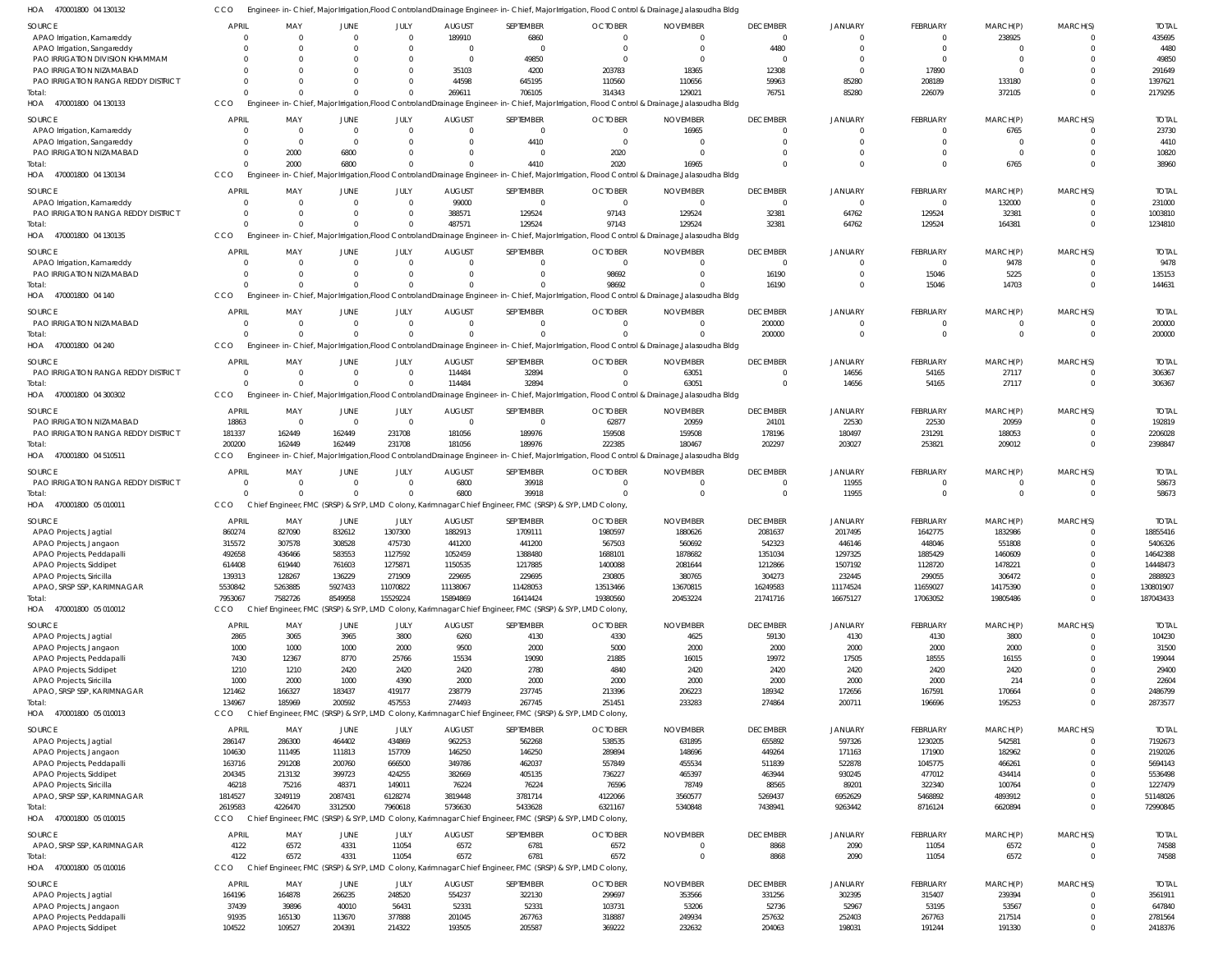470001800 04 130132 HOA CCO Engineer-in-Chief, Major Irrigation,Flood ControlandDrainage Engineer-in-Chief, Major Irrigation, Flood Control & Drainage,Jalasoudha Bldg

| $\overline{\phantom{a}}$<br><b>TIUDU LUUU UT LUU LU</b> |                |          |             |                |               |                                                                                                        | -111-Chici, major imganon, rood Commolandolantage Engineer-111-Chici, major imganon, ritood Commor & Diamage,Jalasoddha Didg |                                                                                                                                               |                 |                |                 |          |                |              |
|---------------------------------------------------------|----------------|----------|-------------|----------------|---------------|--------------------------------------------------------------------------------------------------------|------------------------------------------------------------------------------------------------------------------------------|-----------------------------------------------------------------------------------------------------------------------------------------------|-----------------|----------------|-----------------|----------|----------------|--------------|
| <b>SOURCE</b>                                           | <b>APRIL</b>   | MAY      | JUNE        | JULY           | <b>AUGUST</b> | SEPTEMBER                                                                                              | <b>OCTOBER</b>                                                                                                               | <b>NOVEMBER</b>                                                                                                                               | <b>DECEMBER</b> | <b>JANUARY</b> | FEBRUARY        | MARCH(P) | MARCH(S)       | <b>TOTAL</b> |
| APAO Irrigation, Kamareddy                              | $\Omega$       | $\Omega$ | $\Omega$    | $\Omega$       | 189910        | 6860                                                                                                   | $\Omega$                                                                                                                     | $\Omega$                                                                                                                                      | $\Omega$        | $\Omega$       | $\Omega$        | 238925   | $\Omega$       | 435695       |
|                                                         |                |          |             |                |               |                                                                                                        |                                                                                                                              |                                                                                                                                               |                 |                |                 |          |                |              |
| APAO Irrigation, Sangareddy                             | $\Omega$       |          |             | $\Omega$       | - 0           | $\overline{0}$                                                                                         | $\mathbf 0$                                                                                                                  | $\Omega$                                                                                                                                      | 4480            |                | $\Omega$        | $\Omega$ | $\Omega$       | 4480         |
| PAO IRRIGATION DIVISION KHAMMAM                         | $\Omega$       | $\Omega$ |             | $\Omega$       | $\Omega$      | 49850                                                                                                  | $\Omega$                                                                                                                     | $\Omega$                                                                                                                                      | - 0             |                | $\Omega$        | $\Omega$ | $\Omega$       | 49850        |
| PAO IRRIGATION NIZAMABAD                                | $\Omega$       |          |             | $\Omega$       | 35103         | 4200                                                                                                   | 203783                                                                                                                       | 18365                                                                                                                                         | 12308           |                | 17890           | $\Omega$ | $\Omega$       | 291649       |
| PAO IRRIGATION RANGA REDDY DISTRICT                     | $\Omega$       |          |             | $\Omega$       | 44598         | 645195                                                                                                 | 110560                                                                                                                       | 110656                                                                                                                                        | 59963           | 85280          | 208189          | 133180   | $\Omega$       | 1397621      |
| Total:                                                  | $\Omega$       |          | $\Omega$    | $\Omega$       | 269611        | 706105                                                                                                 | 314343                                                                                                                       | 129021                                                                                                                                        | 76751           | 85280          | 226079          | 372105   | $\Omega$       | 2179295      |
|                                                         |                |          |             |                |               |                                                                                                        |                                                                                                                              |                                                                                                                                               |                 |                |                 |          |                |              |
| HOA 470001800 04 130133                                 | <b>CCO</b>     |          |             |                |               |                                                                                                        |                                                                                                                              | Engineer-in-Chief, Major Irrigation, Flood Controland Drainage Engineer-in-Chief, Major Irrigation, Flood Control & Drainage, Jalasoudha Bldg |                 |                |                 |          |                |              |
| SOURCE                                                  | <b>APRIL</b>   | MAY      | <b>JUNE</b> | JULY           | <b>AUGUST</b> | SEPTEMBER                                                                                              | <b>OCTOBER</b>                                                                                                               | <b>NOVEMBER</b>                                                                                                                               | <b>DECEMBER</b> | <b>JANUARY</b> | FEBRUARY        | MARCH(P) | MARCH(S)       | <b>TOTAL</b> |
|                                                         |                |          |             |                |               |                                                                                                        |                                                                                                                              |                                                                                                                                               |                 |                |                 |          |                |              |
| APAO Irrigation, Kamareddy                              | 0              | $\Omega$ | $\Omega$    | $\Omega$       | $\Omega$      | $\overline{0}$                                                                                         | $\mathbf 0$                                                                                                                  | 16965                                                                                                                                         |                 |                | $\Omega$        | 6765     | 0              | 23730        |
| APAO Irrigation, Sangareddy                             | $\mathbf 0$    | $\Omega$ | $\Omega$    | $\Omega$       | $\cap$        | 4410                                                                                                   | $\overline{0}$                                                                                                               | $\Omega$                                                                                                                                      |                 |                | $\Omega$        | $\Omega$ | $\Omega$       | 4410         |
| PAO IRRIGATION NIZAMABAD                                | $\mathbf 0$    | 2000     | 6800        | $\Omega$       | $\Omega$      | $\overline{\phantom{0}}$                                                                               | 2020                                                                                                                         | $\Omega$                                                                                                                                      |                 |                | $\Omega$        | $\Omega$ | $\Omega$       | 10820        |
| Total:                                                  | $\Omega$       | 2000     | 6800        | $\Omega$       | $\Omega$      | 4410                                                                                                   | 2020                                                                                                                         | 16965                                                                                                                                         |                 |                | $\Omega$        | 6765     | $\Omega$       | 38960        |
| HOA 470001800 04 130134                                 | <b>CCO</b>     |          |             |                |               |                                                                                                        |                                                                                                                              | Engineer-in-Chief, Major Irrigation, Flood Controland Drainage Engineer-in-Chief, Major Irrigation, Flood Control & Drainage, Jalasoudha Bldg |                 |                |                 |          |                |              |
|                                                         |                |          |             |                |               |                                                                                                        |                                                                                                                              |                                                                                                                                               |                 |                |                 |          |                |              |
| <b>SOURCE</b>                                           | <b>APRIL</b>   | MAY      | JUNE        | JULY           | <b>AUGUST</b> | SEPTEMBER                                                                                              | <b>OCTOBER</b>                                                                                                               | <b>NOVEMBER</b>                                                                                                                               | <b>DECEMBER</b> | <b>JANUARY</b> | <b>FEBRUARY</b> | MARCH(P) | MARCH(S)       | <b>TOTAI</b> |
| APAO Irrigation, Kamareddy                              | $\Omega$       |          | $\Omega$    | $\Omega$       | 99000         | - 0                                                                                                    | $\mathbf 0$                                                                                                                  | $\Omega$                                                                                                                                      | $\Omega$        | $\Omega$       | $\Omega$        | 132000   | $\Omega$       | 231000       |
| PAO IRRIGATION RANGA REDDY DISTRICT                     | $\Omega$       | $\Omega$ | $\Omega$    | $\Omega$       | 388571        | 129524                                                                                                 | 97143                                                                                                                        | 129524                                                                                                                                        | 32381           | 64762          | 129524          | 32381    | $\Omega$       | 1003810      |
|                                                         |                |          |             |                |               |                                                                                                        |                                                                                                                              |                                                                                                                                               |                 |                |                 |          |                |              |
| Total:                                                  | $\Omega$       |          | $\Omega$    | $\Omega$       | 487571        | 129524                                                                                                 | 97143                                                                                                                        | 129524                                                                                                                                        | 32381           | 64762          | 129524          | 164381   | $\Omega$       | 1234810      |
| HOA 470001800 04 130135                                 | <b>CCO</b>     |          |             |                |               |                                                                                                        |                                                                                                                              | Engineer-in-Chief, Major Irrigation, Flood Controland Drainage Engineer-in-Chief, Major Irrigation, Flood Control & Drainage, Jalasoudha Bldg |                 |                |                 |          |                |              |
|                                                         |                |          |             |                |               |                                                                                                        |                                                                                                                              |                                                                                                                                               |                 |                |                 |          |                |              |
| SOURCE                                                  | <b>APRIL</b>   | MAY      | JUNE        | JULY           | <b>AUGUST</b> | SEPTEMBER                                                                                              | <b>OCTOBER</b>                                                                                                               | <b>NOVEMBER</b>                                                                                                                               | <b>DECEMBER</b> | <b>JANUARY</b> | <b>FEBRUARY</b> | MARCH(P) | MARCH(S)       | <b>TOTAI</b> |
| APAO Irrigation, Kamareddy                              | 0              | $\Omega$ | $\Omega$    | $\overline{0}$ | $\Omega$      | $\overline{0}$                                                                                         | $\mathbf 0$                                                                                                                  | 0                                                                                                                                             | $\Omega$        |                | $\overline{0}$  | 9478     | $\mathbf{0}$   | 9478         |
| PAO IRRIGATION NIZAMABAD                                | $\mathbf 0$    | $\Omega$ | $\Omega$    | $\Omega$       | $\Omega$      | $\Omega$                                                                                               | 98692                                                                                                                        | $\Omega$                                                                                                                                      | 16190           |                | 15046           | 5225     | $\Omega$       | 135153       |
| Total:                                                  | $\Omega$       | $\Omega$ | $\Omega$    | $\Omega$       | $\Omega$      | $\Omega$                                                                                               | 98692                                                                                                                        | $\Omega$                                                                                                                                      | 16190           |                | 15046           | 14703    | $\Omega$       | 144631       |
| 470001800 04 140<br>HOA                                 | CCO            |          |             |                |               |                                                                                                        |                                                                                                                              | Engineer-in-Chief, Major Irrigation, Flood Controland Drainage Engineer-in-Chief, Major Irrigation, Flood Control & Drainage, Jalasoudha Bldg |                 |                |                 |          |                |              |
|                                                         |                |          |             |                |               |                                                                                                        |                                                                                                                              |                                                                                                                                               |                 |                |                 |          |                |              |
| <b>SOURCE</b>                                           | <b>APRIL</b>   | MAY      | JUNE        | JULY           | <b>AUGUST</b> | SEPTEMBER                                                                                              | <b>OCTOBER</b>                                                                                                               | <b>NOVEMBER</b>                                                                                                                               | <b>DECEMBER</b> | <b>JANUARY</b> | FEBRUARY        | MARCH(P) | MARCH(S)       | <b>TOTAL</b> |
| PAO IRRIGATION NIZAMABAD                                | $\Omega$       | $\Omega$ | $\Omega$    | $\overline{0}$ | $\Omega$      | $\Omega$                                                                                               | $\mathbf 0$                                                                                                                  | $\Omega$                                                                                                                                      | 200000          |                | $\Omega$        | $\Omega$ | $\Omega$       | 200000       |
|                                                         |                |          |             |                |               |                                                                                                        |                                                                                                                              |                                                                                                                                               |                 |                |                 |          |                |              |
| Total:                                                  | $\Omega$       |          | $\Omega$    | $\Omega$       | $\cap$        | $\Omega$                                                                                               | $\Omega$                                                                                                                     | $\Omega$                                                                                                                                      | 200000          |                | $\Omega$        | $\Omega$ | $\Omega$       | 200000       |
| HOA 470001800 04 240                                    | CCO            |          |             |                |               |                                                                                                        |                                                                                                                              | Engineer-in-Chief, Major Irrigation, Flood Controland Drainage Engineer-in-Chief, Major Irrigation, Flood Control & Drainage, Jalasoudha Bldg |                 |                |                 |          |                |              |
|                                                         |                |          |             |                |               |                                                                                                        |                                                                                                                              |                                                                                                                                               |                 |                |                 |          |                |              |
| <b>SOURCE</b>                                           | <b>APRIL</b>   | MAY      | JUNE        | <b>JULY</b>    | <b>AUGUST</b> | SEPTEMBER                                                                                              | <b>OCTOBER</b>                                                                                                               | <b>NOVEMBER</b>                                                                                                                               | <b>DECEMBER</b> | <b>JANUARY</b> | <b>FEBRUARY</b> | MARCH(P) | MARCH(S)       | <b>TOTAL</b> |
| PAO IRRIGATION RANGA REDDY DISTRICT                     | $\overline{0}$ | $\Omega$ | $\Omega$    | $\overline{0}$ | 114484        | 32894                                                                                                  | $\mathbf 0$                                                                                                                  | 63051                                                                                                                                         |                 | 14656          | 54165           | 27117    | 0              | 306367       |
| Total                                                   | $\Omega$       | $\Omega$ | $\Omega$    | $\Omega$       | 114484        | 32894                                                                                                  | $\Omega$                                                                                                                     | 63051                                                                                                                                         |                 | 14656          | 54165           | 27117    | 0              | 306367       |
| HOA 470001800 04 300302                                 | CCO            |          |             |                |               |                                                                                                        |                                                                                                                              | Engineer-in-Chief, Major Irrigation, Flood Controland Drainage Engineer-in-Chief, Major Irrigation, Flood Control & Drainage, Jalasoudha Bldg |                 |                |                 |          |                |              |
|                                                         |                |          |             |                |               |                                                                                                        |                                                                                                                              |                                                                                                                                               |                 |                |                 |          |                |              |
| SOURCE                                                  | <b>APRIL</b>   | MAY      | JUNE        | JULY           | <b>AUGUST</b> | SEPTEMBER                                                                                              | <b>OCTOBER</b>                                                                                                               | <b>NOVEMBER</b>                                                                                                                               | <b>DECEMBER</b> | <b>JANUARY</b> | <b>FEBRUARY</b> | MARCH(P) | MARCH(S)       | <b>TOTAI</b> |
| PAO IRRIGATION NIZAMABAD                                | 18863          | - 0      | $\Omega$    | $\overline{0}$ | $\Omega$      | - 0                                                                                                    | 62877                                                                                                                        | 20959                                                                                                                                         | 24101           | 22530          | 22530           | 20959    | $\Omega$       | 192819       |
|                                                         |                |          |             |                |               |                                                                                                        |                                                                                                                              |                                                                                                                                               |                 |                |                 |          |                |              |
| PAO IRRIGATION RANGA REDDY DISTRICT                     | 181337         | 162449   | 162449      | 231708         | 181056        | 189976                                                                                                 | 159508                                                                                                                       | 159508                                                                                                                                        | 178196          | 180497         | 231291          | 188053   | $\Omega$       | 2206028      |
| Total:                                                  | 200200         | 162449   | 162449      | 231708         | 181056        | 189976                                                                                                 | 222385                                                                                                                       | 180467                                                                                                                                        | 202297          | 203027         | 253821          | 209012   | $\Omega$       | 2398847      |
| HOA 470001800 04 510511                                 | CCO            |          |             |                |               |                                                                                                        |                                                                                                                              | Engineer-in-Chief, Major Irrigation, Flood Controland Drainage Engineer-in-Chief, Major Irrigation, Flood Control & Drainage, Jalasoudha Bldg |                 |                |                 |          |                |              |
|                                                         |                |          |             |                |               |                                                                                                        |                                                                                                                              |                                                                                                                                               |                 |                |                 |          |                |              |
| <b>SOURCE</b>                                           | <b>APRIL</b>   | MAY      | JUNE        | <b>JULY</b>    | <b>AUGUST</b> | SEPTEMBER                                                                                              | <b>OCTOBER</b>                                                                                                               | <b>NOVEMBER</b>                                                                                                                               | <b>DECEMBER</b> | <b>JANUARY</b> | FEBRUARY        | MARCH(P) | MARCH(S)       | <b>TOTAL</b> |
| PAO IRRIGATION RANGA REDDY DISTRICT                     | 0              | $\Omega$ | $\Omega$    | $\overline{0}$ | 6800          | 39918                                                                                                  | $\mathbf 0$                                                                                                                  | 0                                                                                                                                             | - 0             | 11955          | $\overline{0}$  | $\Omega$ | $\mathbf{0}$   | 58673        |
| Total                                                   | $\Omega$       | $\Omega$ | $\Omega$    | $\Omega$       | 6800          | 39918                                                                                                  | $\Omega$                                                                                                                     | $\mathbf 0$                                                                                                                                   | $\Omega$        | 11955          | $\Omega$        | $\Omega$ | $\overline{0}$ | 58673        |
| HOA 470001800 05 010011                                 | CCO            |          |             |                |               | Chief Engineer, FMC (SRSP) & SYP, LMD Colony, Karimnagar Chief Engineer, FMC (SRSP) & SYP, LMD Colony, |                                                                                                                              |                                                                                                                                               |                 |                |                 |          |                |              |
|                                                         |                |          |             |                |               |                                                                                                        |                                                                                                                              |                                                                                                                                               |                 |                |                 |          |                |              |
| <b>SOURCE</b>                                           | <b>APRIL</b>   | MAY      | JUNE        | JULY           | <b>AUGUST</b> | SEPTEMBER                                                                                              | <b>OCTOBER</b>                                                                                                               | <b>NOVEMBER</b>                                                                                                                               | <b>DECEMBER</b> | <b>JANUARY</b> | FEBRUARY        | MARCH(P) | MARCH(S)       | <b>TOTAL</b> |
| APAO Projects, Jagtial                                  | 860274         | 827090   | 832612      | 1307300        | 1882913       | 1709111                                                                                                | 1980597                                                                                                                      | 1880626                                                                                                                                       | 2081637         | 2017495        | 1642775         | 1832986  | $\Omega$       | 18855416     |
|                                                         |                |          |             |                |               |                                                                                                        |                                                                                                                              |                                                                                                                                               |                 |                |                 |          |                |              |
| APAO Projects, Jangaon                                  | 315572         | 307578   | 308528      | 475730         | 441200        | 441200                                                                                                 | 567503                                                                                                                       | 560692                                                                                                                                        | 542323          | 446146         | 448046          | 551808   |                | 5406326      |
| APAO Projects, Peddapalli                               | 492658         | 436466   | 583553      | 1127592        | 1052459       | 1388480                                                                                                | 1688101                                                                                                                      | 1878682                                                                                                                                       | 1351034         | 1297325        | 1885429         | 1460609  | $\Omega$       | 14642388     |
| APAO Projects, Siddipet                                 | 614408         | 619440   | 761603      | 1275871        | 1150535       | 1217885                                                                                                | 1400088                                                                                                                      | 2081644                                                                                                                                       | 1212866         | 1507192        | 1128720         | 1478221  | $\mathbf 0$    | 14448473     |
| <b>APAO Projects, Siricilla</b>                         | 139313         | 128267   | 136229      | 271909         | 229695        | 229695                                                                                                 | 230805                                                                                                                       | 380765                                                                                                                                        | 304273          | 232445         | 299055          | 306472   | $\Omega$       | 2888923      |
| APAO, SRSP SSP, KARIMNAGAR                              | 5530842        | 5263885  | 5927433     | 11070822       | 11138067      | 11428053                                                                                               | 13513466                                                                                                                     | 13670815                                                                                                                                      | 16249583        | 11174524       | 11659027        | 14175390 | $\Omega$       | 130801907    |
|                                                         |                |          |             |                |               |                                                                                                        |                                                                                                                              |                                                                                                                                               |                 |                |                 |          |                |              |
| Total:                                                  | 7953067        | 7582726  | 8549958     | 15529224       | 15894869      | 16414424                                                                                               | 19380560                                                                                                                     | 20453224                                                                                                                                      | 21741716        | 16675127       | 17063052        | 19805486 | $\Omega$       | 187043433    |
| HOA 470001800 05 010012                                 | CCO            |          |             |                |               | Chief Engineer, FMC (SRSP) & SYP, LMD Colony, Karimnagar Chief Engineer, FMC (SRSP) & SYP, LMD Colony, |                                                                                                                              |                                                                                                                                               |                 |                |                 |          |                |              |
|                                                         |                |          |             |                |               |                                                                                                        |                                                                                                                              |                                                                                                                                               |                 |                |                 |          |                |              |
| <b>SOURCE</b>                                           | <b>APRIL</b>   | MAY      | <b>JUNE</b> | JULY           | <b>AUGUST</b> | SEPTEMBER                                                                                              | <b>OCTOBER</b>                                                                                                               | <b>NOVEMBER</b>                                                                                                                               | <b>DECEMBER</b> | <b>JANUARY</b> | FEBRUARY        | MARCH(P) | MARCH(S)       | <b>TOTAL</b> |
| APAO Projects, Jagtial                                  | 2865           | 3065     | 3965        | 3800           | 6260          | 4130                                                                                                   | 4330                                                                                                                         | 4625                                                                                                                                          | 59130           | 4130           | 4130            | 3800     | $\mathbf{0}$   | 104230       |
| APAO Projects, Jangaon                                  | 1000           | 1000     | 1000        | 2000           | 9500          | 2000                                                                                                   | 5000                                                                                                                         | 2000                                                                                                                                          | 2000            | 2000           | 2000            | 2000     | $\mathbf{0}$   | 31500        |
| APAO Projects, Peddapalli                               | 7430           | 12367    | 8770        | 25766          | 15534         | 19090                                                                                                  | 21885                                                                                                                        | 16015                                                                                                                                         | 19972           | 17505          | 18555           | 16155    | $\Omega$       | 199044       |
|                                                         |                |          |             |                |               |                                                                                                        |                                                                                                                              |                                                                                                                                               |                 |                |                 |          |                |              |
| APAO Projects, Siddipet                                 | 1210           | 1210     | 2420        | 2420           | 2420          | 2780                                                                                                   | 4840                                                                                                                         | 2420                                                                                                                                          | 2420            | 2420           | 2420            | 2420     | $\Omega$       | 29400        |
| APAO Projects, Siricilla                                | 1000           | 2000     | 1000        | 4390           | 2000          | 2000                                                                                                   | 2000                                                                                                                         | 2000                                                                                                                                          | 2000            | 2000           | 2000            | 214      | $\Omega$       | 22604        |
| APAO, SRSP SSP, KARIMNAGAR                              | 121462         | 166327   | 183437      | 419177         | 238779        | 237745                                                                                                 | 213396                                                                                                                       | 206223                                                                                                                                        | 189342          | 172656         | 167591          | 170664   | $\mathbf{0}$   | 2486799      |
| Total:                                                  | 134967         | 185969   | 200592      | 457553         | 274493        | 267745                                                                                                 | 251451                                                                                                                       | 233283                                                                                                                                        | 274864          | 200711         | 196696          | 195253   | $\Omega$       | 2873577      |
| HOA<br>470001800 05 010013                              | CCO            |          |             |                |               | Chief Engineer, FMC (SRSP) & SYP, LMD Colony, Karimnagar Chief Engineer, FMC (SRSP) & SYP, LMD Colony, |                                                                                                                              |                                                                                                                                               |                 |                |                 |          |                |              |
|                                                         |                |          |             |                |               |                                                                                                        |                                                                                                                              |                                                                                                                                               |                 |                |                 |          |                |              |
| SOURCE                                                  | <b>APRIL</b>   | MAY      | JUNE        | JULY           | <b>AUGUST</b> | SEPTEMBER                                                                                              | <b>OCTOBER</b>                                                                                                               | <b>NOVEMBER</b>                                                                                                                               | <b>DECEMBER</b> | <b>JANUARY</b> | FEBRUARY        | MARCH(P) | MARCH(S)       | <b>TOTAL</b> |
| APAO Projects, Jagtial                                  | 286147         | 286300   | 464402      | 434869         | 962253        | 562268                                                                                                 | 538535                                                                                                                       | 631895                                                                                                                                        | 655892          | 597326         | 1230205         | 542581   | $\Omega$       | 7192673      |
|                                                         |                |          |             |                |               |                                                                                                        |                                                                                                                              |                                                                                                                                               |                 |                |                 |          |                |              |
| APAO Projects, Jangaon                                  | 104630         | 111495   | 111813      | 157709         | 146250        | 146250                                                                                                 | 289894                                                                                                                       | 148696                                                                                                                                        | 449264          | 171163         | 171900          | 182962   | $\Omega$       | 2192026      |
| APAO Projects, Peddapalli                               | 163716         | 291208   | 200760      | 666500         | 349786        | 462037                                                                                                 | 557849                                                                                                                       | 455534                                                                                                                                        | 511839          | 522878         | 1045775         | 466261   | $\Omega$       | 5694143      |
| APAO Projects, Siddipet                                 | 204345         | 213132   | 399723      | 424255         | 382669        | 405135                                                                                                 | 736227                                                                                                                       | 465397                                                                                                                                        | 463944          | 930245         | 477012          | 434414   | $\Omega$       | 5536498      |
| APAO Projects, Siricilla                                | 46218          | 75216    | 48371       | 149011         | 76224         | 76224                                                                                                  | 76596                                                                                                                        | 78749                                                                                                                                         | 88565           | 89201          | 322340          | 100764   | $\Omega$       | 1227479      |
|                                                         |                |          |             |                |               |                                                                                                        |                                                                                                                              |                                                                                                                                               |                 |                |                 |          |                |              |
| APAO, SRSP SSP, KARIMNAGAR                              | 1814527        | 3249119  | 2087431     | 6128274        | 3819448       | 3781714                                                                                                | 4122066                                                                                                                      | 3560577                                                                                                                                       | 5269437         | 6952629        | 5468892         | 4893912  | $\mathbf{0}$   | 51148026     |
| Total:                                                  | 2619583        | 4226470  | 3312500     | 7960618        | 5736630       | 5433628                                                                                                | 6321167                                                                                                                      | 5340848                                                                                                                                       | 7438941         | 9263442        | 8716124         | 6620894  | $\Omega$       | 72990845     |
| HOA 470001800 05 010015                                 | CCO            |          |             |                |               | Chief Engineer, FMC (SRSP) & SYP, LMD Colony, Karimnagar Chief Engineer, FMC (SRSP) & SYP, LMD Colony, |                                                                                                                              |                                                                                                                                               |                 |                |                 |          |                |              |
|                                                         |                |          |             |                |               |                                                                                                        |                                                                                                                              |                                                                                                                                               |                 |                |                 |          |                |              |
| SOURCE                                                  | <b>APRIL</b>   | MAY      | JUNE        | JULY           | <b>AUGUST</b> | SEPTEMBER                                                                                              | <b>OCTOBER</b>                                                                                                               | <b>NOVEMBER</b>                                                                                                                               | <b>DECEMBER</b> | <b>JANUARY</b> | FEBRUARY        | MARCH(P) | MARCH(S)       | <b>TOTAL</b> |
| APAO, SRSP SSP, KARIMNAGAR                              | 4122           | 6572     | 4331        | 11054          | 6572          | 6781                                                                                                   | 6572                                                                                                                         | $\mathbf 0$                                                                                                                                   | 8868            | 2090           | 11054           | 6572     | $\overline{0}$ | 74588        |
| Total:                                                  | 4122           | 6572     | 4331        | 11054          | 6572          | 6781                                                                                                   | 6572                                                                                                                         | $\mathbf 0$                                                                                                                                   | 8868            | 2090           | 11054           | 6572     | $\overline{0}$ | 74588        |
| 470001800 05 010016<br>HOA                              | CCO            |          |             |                |               | Chief Engineer, FMC (SRSP) & SYP, LMD Colony, Karimnagar Chief Engineer, FMC (SRSP) & SYP, LMD Colony, |                                                                                                                              |                                                                                                                                               |                 |                |                 |          |                |              |
|                                                         |                |          |             |                |               |                                                                                                        |                                                                                                                              |                                                                                                                                               |                 |                |                 |          |                |              |
| SOURCE                                                  | <b>APRIL</b>   | MAY      | JUNE        | JULY           | <b>AUGUST</b> | SEPTEMBER                                                                                              | <b>OCTOBER</b>                                                                                                               | <b>NOVEMBER</b>                                                                                                                               | <b>DECEMBER</b> | <b>JANUARY</b> | FEBRUARY        | MARCH(P) | MARCH(S)       | <b>TOTAL</b> |
| APAO Projects, Jagtial                                  | 164196         | 164878   | 266235      | 248520         | 554237        | 322130                                                                                                 | 299697                                                                                                                       | 353566                                                                                                                                        | 331256          | 302395         | 315407          | 239394   | $\Omega$       | 3561911      |
|                                                         |                |          |             |                |               |                                                                                                        |                                                                                                                              |                                                                                                                                               |                 |                |                 |          |                |              |
| APAO Projects, Jangaon                                  | 37439          | 39896    | 40010       | 56431          | 52331         | 52331                                                                                                  | 103731                                                                                                                       | 53206                                                                                                                                         | 52736           | 52967          | 53195           | 53567    | $\mathbf{0}$   | 647840       |
| APAO Projects, Peddapalli                               | 91935          | 165130   | 113670      | 377888         | 201045        | 267763                                                                                                 | 318887                                                                                                                       | 249934                                                                                                                                        | 257632          | 252403         | 267763          | 217514   | $\Omega$       | 2781564      |
|                                                         |                |          | 204391      | 214322         | 193505        | 205587                                                                                                 | 369222                                                                                                                       | 232632                                                                                                                                        | 204063          | 198031         | 191244          | 191330   | $\mathbf 0$    | 2418376      |
| APAO Projects, Siddipet                                 | 104522         | 109527   |             |                |               |                                                                                                        |                                                                                                                              |                                                                                                                                               |                 |                |                 |          |                |              |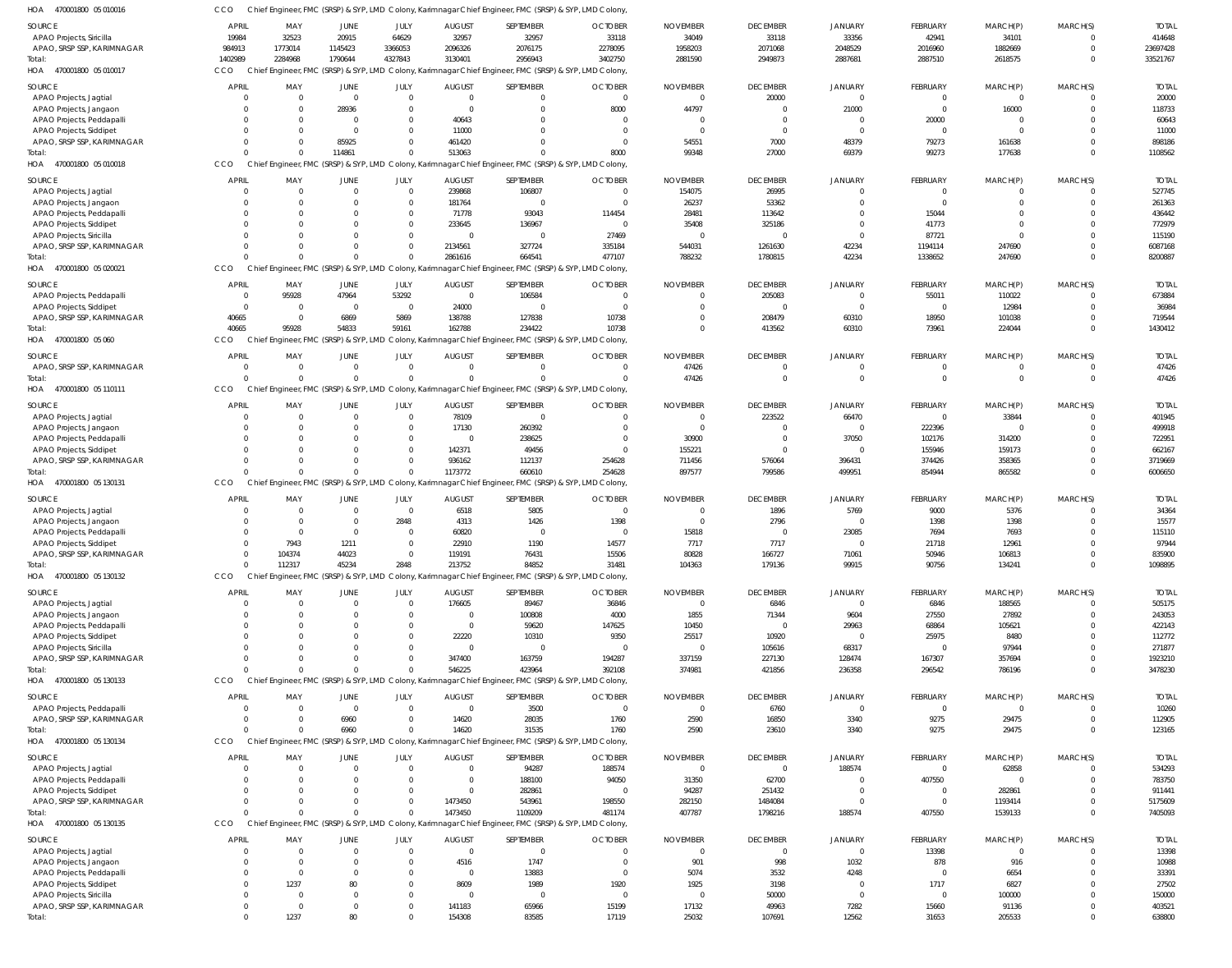| HOA<br>470001800 05 010016                             | CCO                  |                  |                                       |                         |                    | Chief Engineer, FMC (SRSP) & SYP, LMD Colony, Karimnagar Chief Engineer, FMC (SRSP) & SYP, LMD Colony, |                |                 |                 |                |                 |                 |                      |                  |
|--------------------------------------------------------|----------------------|------------------|---------------------------------------|-------------------------|--------------------|--------------------------------------------------------------------------------------------------------|----------------|-----------------|-----------------|----------------|-----------------|-----------------|----------------------|------------------|
| <b>SOURCE</b>                                          | APRIL                | MAY              | <b>JUNE</b>                           | JULY                    | <b>AUGUST</b>      | SEPTEMBER                                                                                              | <b>OCTOBER</b> | <b>NOVEMBER</b> | <b>DECEMBER</b> | <b>JANUARY</b> | FEBRUARY        | MARCH(P)        | MARCH(S)             | <b>TOTAI</b>     |
| APAO Projects, Siricilla                               | 19984                | 32523            | 20915                                 | 64629                   | 32957              | 32957                                                                                                  | 33118          | 34049           | 33118           | 33356          | 42941           | 34101           | $\Omega$             | 414648           |
| APAO, SRSP SSP, KARIMNAGAR                             | 984913               | 1773014          | 1145423                               | 3366053                 | 2096326            | 2076175                                                                                                | 2278095        | 1958203         | 2071068         | 2048529        | 2016960         | 1882669         | $\Omega$             | 23697428         |
| Total:                                                 | 1402989              | 2284968          | 1790644                               | 4327843                 | 3130401            | 2956943                                                                                                | 3402750        | 2881590         | 2949873         | 2887681        | 2887510         | 2618575         | $\Omega$             | 33521767         |
| HOA<br>470001800 05 010017                             | CCO                  |                  |                                       |                         |                    | Chief Engineer, FMC (SRSP) & SYP, LMD Colony, Karimnagar Chief Engineer, FMC (SRSP) & SYP, LMD Colony, |                |                 |                 |                |                 |                 |                      |                  |
|                                                        |                      |                  |                                       |                         |                    |                                                                                                        |                |                 |                 |                |                 |                 |                      |                  |
| SOURCE                                                 | <b>APRIL</b>         | MAY              | <b>JUNE</b>                           | JULY                    | <b>AUGUST</b>      | SEPTEMBER                                                                                              | <b>OCTOBER</b> | <b>NOVEMBER</b> | <b>DECEMBER</b> | <b>JANUARY</b> | FEBRUARY        | MARCH(P)        | MARCH(S)             | <b>TOTAI</b>     |
| APAO Projects, Jagtial                                 |                      | $\Omega$         | $\overline{0}$                        | $\mathbf{0}$            | $\mathbf 0$        | $\mathbf{0}$                                                                                           | $\overline{0}$ | - 0             | 20000           | $\overline{0}$ | $\overline{0}$  | $^{\circ}$      | $\Omega$             | 20000            |
| APAO Projects, Jangaon                                 |                      |                  | 28936                                 | $\mathbf 0$             | $\Omega$           | $\Omega$                                                                                               | 8000           | 44797           | $\overline{0}$  | 21000          | $\overline{0}$  | 16000           | $\Omega$             | 118733           |
| APAO Projects, Peddapalli                              |                      | $\Omega$         | $\overline{0}$                        | $\mathbf{0}$            | 40643              | $\Omega$                                                                                               |                |                 | $\Omega$        | $\Omega$       | 20000           | $\mathbf 0$     | $\cap$               | 60643            |
| APAO Projects, Siddipet                                |                      |                  | $\Omega$                              | $\mathbf{0}$            | 11000              | $\Omega$                                                                                               | $\Omega$       | $\Omega$        | $\overline{0}$  | $\overline{0}$ | $\overline{0}$  | $\mathbf 0$     | $\Omega$             | 11000            |
| APAO, SRSP SSP, KARIMNAGAR                             | $\Omega$             |                  | 85925                                 | $\mathbf 0$             | 461420             | $\Omega$                                                                                               | $\Omega$       | 54551           | 7000            | 48379          | 79273           | 161638          | $\Omega$             | 898186           |
| Total                                                  |                      | $\Omega$         | 114861                                | $\mathbf 0$             | 513063             | $\Omega$                                                                                               | 8000           | 99348           | 27000           | 69379          | 99273           | 177638          | $\Omega$             | 1108562          |
| HOA<br>470001800 05 010018                             | CCO                  |                  |                                       |                         |                    | Chief Engineer, FMC (SRSP) & SYP, LMD Colony, Karimnagar Chief Engineer, FMC (SRSP) & SYP, LMD Colony, |                |                 |                 |                |                 |                 |                      |                  |
| <b>SOURCE</b>                                          | <b>APRIL</b>         | MAY              | <b>JUNE</b>                           | JULY                    | <b>AUGUST</b>      | SEPTEMBER                                                                                              | <b>OCTOBER</b> | <b>NOVEMBER</b> | <b>DECEMBER</b> | JANUARY        | FEBRUARY        | MARCH(P)        | MARCH(S)             | <b>TOTAI</b>     |
| APAO Projects, Jagtial                                 | $\Omega$             | $\Omega$         | $\overline{0}$                        | $\mathbf 0$             | 239868             | 106807                                                                                                 | $\Omega$       | 154075          | 26995           | $\Omega$       | $\overline{0}$  | 0               | $\Omega$             | 527745           |
| APAO Projects, Jangaon                                 |                      | $\Omega$         | $\Omega$                              | $\mathbf 0$             | 181764             |                                                                                                        | $\Omega$       | 26237           | 53362           | $\Omega$       | $\mathbf 0$     | $\Omega$        | $\Omega$             | 261363           |
| APAO Projects, Peddapalli                              |                      |                  | $\Omega$                              | $\mathbf 0$             | 71778              | 93043                                                                                                  | 114454         | 28481           | 113642          | $\Omega$       | 15044           | $\Omega$        | $\Omega$             | 436442           |
| APAO Projects, Siddipet                                | $\cap$               | $\Omega$         | $\Omega$                              | $\mathbf 0$             | 233645             | 136967                                                                                                 | $\Omega$       | 35408           | 325186          | $\Omega$       | 41773           | $\Omega$        | $\cap$               | 772979           |
|                                                        |                      |                  | $\Omega$                              | $\mathbf 0$             | $\Omega$           | C                                                                                                      | 27469          | $\Omega$        | $\mathbf 0$     | $\Omega$       | 87721           | $\Omega$        | $\Omega$             | 115190           |
| APAO Projects, Siricilla<br>APAO, SRSP SSP, KARIMNAGAR | $\Omega$             | $\Omega$         | $\Omega$                              | $\mathbf 0$             |                    | 327724                                                                                                 |                | 544031          |                 | 42234          |                 | 247690          | $\Omega$             | 6087168          |
|                                                        |                      |                  | $\Omega$                              | $\Omega$                | 2134561<br>2861616 | 664541                                                                                                 | 335184         |                 | 1261630         |                | 1194114         |                 | $\Omega$             |                  |
| Total:                                                 |                      |                  |                                       |                         |                    |                                                                                                        | 477107         | 788232          | 1780815         | 42234          | 1338652         | 247690          |                      | 8200887          |
| HOA<br>470001800 05 020021                             | CCO                  |                  |                                       |                         |                    | Chief Engineer, FMC (SRSP) & SYP, LMD Colony, Karimnagar Chief Engineer, FMC (SRSP) & SYP, LMD Colony, |                |                 |                 |                |                 |                 |                      |                  |
| <b>SOURCE</b>                                          | <b>APRIL</b>         | MAY              | <b>JUNE</b>                           | JULY                    | <b>AUGUST</b>      | SEPTEMBER                                                                                              | <b>OCTOBER</b> | <b>NOVEMBER</b> | <b>DECEMBER</b> | <b>JANUARY</b> | FEBRUARY        | MARCH(P)        | MARCH(S)             | <b>TOTAI</b>     |
| APAO Projects, Peddapalli                              | $\Omega$             | 95928            | 47964                                 | 53292                   | $\overline{0}$     | 106584                                                                                                 | $\Omega$       |                 | 205083          | $\overline{0}$ | 55011           | 110022          | $\Omega$             | 673884           |
| APAO Projects, Siddipet                                | $\Omega$             | $\overline{0}$   | $\overline{0}$                        | $\overline{0}$          | 24000              | $\overline{0}$                                                                                         | $\Omega$       |                 | $\overline{0}$  | $\overline{0}$ | $\overline{0}$  | 12984           | $\Omega$             | 36984            |
| APAO, SRSP SSP, KARIMNAGAR                             | 40665                | $\overline{0}$   | 6869                                  | 5869                    | 138788             | 127838                                                                                                 | 10738          |                 | 208479          | 60310          | 18950           | 101038          | $\Omega$             | 719544           |
| Total                                                  | 40665                | 95928            | 54833                                 | 59161                   | 162788             | 234422                                                                                                 | 10738          |                 | 413562          | 60310          | 73961           | 224044          | $\Omega$             | 1430412          |
| HOA<br>470001800 05 060                                | <b>CCO</b>           |                  | Chief Engineer, FMC (SRSP) & SYP, LMD |                         |                    | Colony, Karimnagar Chief Engineer, FMC (SRSP) & SYP, LMD Colony,                                       |                |                 |                 |                |                 |                 |                      |                  |
|                                                        |                      |                  |                                       |                         |                    |                                                                                                        |                |                 |                 |                |                 |                 |                      |                  |
| SOURCE                                                 | <b>APRIL</b>         | MAY              | JUNE                                  | JULY                    | <b>AUGUST</b>      | SEPTEMBER                                                                                              | <b>OCTOBER</b> | <b>NOVEMBER</b> | <b>DECEMBER</b> | <b>JANUARY</b> | FEBRUARY        | MARCH(P)        | MARCH(S)             | <b>TOTAL</b>     |
| APAO, SRSP SSP, KARIMNAGAR                             | $\Omega$             | $\Omega$         | $\overline{0}$                        | $\mathbf 0$             | $\Omega$           | $\Omega$                                                                                               | $\Omega$       | 47426           | $\mathbf 0$     | $\overline{0}$ | $\mathbf 0$     | $\mathbf 0$     | $\Omega$             | 47426            |
| Total                                                  |                      | $\Omega$         | $\Omega$                              | $\mathbf 0$             | $\Omega$           |                                                                                                        | $\Omega$       | 47426           | $\Omega$        | $\Omega$       | $\overline{0}$  | $\mathbf 0$     | $\Omega$             | 47426            |
| 470001800 05 110111<br>HOA                             | CCO                  |                  |                                       |                         |                    | Chief Engineer, FMC (SRSP) & SYP, LMD Colony, Karimnagar Chief Engineer, FMC (SRSP) & SYP, LMD Colony, |                |                 |                 |                |                 |                 |                      |                  |
| SOURCE                                                 | <b>APRIL</b>         | MAY              | JUNE                                  | JULY                    | <b>AUGUST</b>      | SEPTEMBER                                                                                              | <b>OCTOBER</b> | <b>NOVEMBER</b> | <b>DECEMBER</b> | <b>JANUARY</b> | FEBRUARY        | MARCH(P)        | MARCH(S)             | <b>TOTAI</b>     |
| APAO Projects, Jagtial                                 |                      | $\Omega$         | $\overline{0}$                        | $\mathbf 0$             | 78109              | $\Omega$                                                                                               |                | - 0             | 223522          | 66470          | $\overline{0}$  | 33844           | $\Omega$             | 401945           |
| APAO Projects, Jangaon                                 |                      | $\Omega$         | $\mathbf{0}$                          | $\mathbf{0}$            | 17130              | 260392                                                                                                 |                | $\Omega$        | $\Omega$        | $\overline{0}$ | 222396          | $\mathbf 0$     | $\Omega$             | 499918           |
| APAO Projects, Peddapalli                              |                      | $\Omega$         | $\Omega$                              | $\mathbf 0$             | $\mathbf 0$        | 238625                                                                                                 |                | 30900           | $\overline{0}$  | 37050          | 102176          | 314200          | $\Omega$             | 722951           |
| APAO Projects, Siddipet                                |                      | 0                | $\Omega$                              | $\mathbf 0$             | 142371             | 49456                                                                                                  |                | 155221          | $\Omega$        | $\Omega$       | 155946          | 159173          | $\Omega$             | 662167           |
| APAO, SRSP SSP, KARIMNAGAR                             |                      |                  | $\Omega$                              | $\mathbf 0$             | 936162             | 112137                                                                                                 | 254628         | 711456          | 576064          | 396431         | 374426          | 358365          | $\cap$               | 3719669          |
| Total                                                  |                      |                  | $\Omega$                              | $\mathbf 0$             | 1173772            | 660610                                                                                                 | 254628         | 897577          | 799586          | 499951         | 854944          | 865582          | $\Omega$             | 6006650          |
|                                                        |                      |                  |                                       |                         |                    |                                                                                                        |                |                 |                 |                |                 |                 |                      |                  |
|                                                        |                      |                  |                                       |                         |                    |                                                                                                        |                |                 |                 |                |                 |                 |                      |                  |
| HOA<br>470001800 05 130131                             | CCO                  |                  |                                       |                         |                    | Chief Engineer, FMC (SRSP) & SYP, LMD Colony, Karimnagar Chief Engineer, FMC (SRSP) & SYP, LMD Colony, |                |                 |                 |                |                 |                 |                      |                  |
| SOURCE                                                 | <b>APRIL</b>         | MAY              | JUNE                                  | JULY                    | <b>AUGUST</b>      | SEPTEMBER                                                                                              | <b>OCTOBER</b> | <b>NOVEMBER</b> | <b>DECEMBER</b> | JANUARY        | FEBRUARY        | MARCH(P)        | MARCH(S)             | <b>TOTAI</b>     |
| APAO Projects, Jagtial                                 | $\Omega$             | $\Omega$         | $\overline{0}$                        | $\overline{0}$          | 6518               | 5805                                                                                                   | $\Omega$       | - 0             | 1896            | 5769           | 9000            | 5376            | $\Omega$             | 34364            |
| APAO Projects, Jangaon                                 |                      | $\Omega$         | $\overline{0}$                        | 2848                    | 4313               | 1426                                                                                                   | 1398           | $\Omega$        | 2796            | $\Omega$       | 1398            | 1398            | $\Omega$             | 15577            |
| APAO Projects, Peddapalli                              |                      | $\Omega$         | $\Omega$                              | $^{\circ}$              | 60820              | - 0                                                                                                    | $\cap$         | 15818           | 0               | 23085          | 7694            | 7693            | $\cap$               | 115110           |
| APAO Projects, Siddipet                                | $\Omega$             | 7943             | 1211                                  | $\mathbf 0$             | 22910              | 1190                                                                                                   | 14577          | 7717            | 7717            | $\Omega$       | 21718           | 12961           | $\Omega$             | 97944            |
| APAO, SRSP SSP, KARIMNAGAR                             |                      | 104374           | 44023                                 | $\mathbf 0$             | 119191             | 76431                                                                                                  | 15506          | 80828           | 166727          | 71061          | 50946           | 106813          | $\mathbf 0$          | 835900           |
| Total                                                  | $\Omega$             | 112317           | 45234                                 | 2848                    | 213752             | 84852                                                                                                  | 31481          | 104363          | 179136          | 99915          | 90756           | 134241          | $\Omega$             | 1098895          |
| 470001800 05 130132                                    | <b>CCO</b>           |                  |                                       |                         |                    |                                                                                                        |                |                 |                 |                |                 |                 |                      |                  |
| HOA                                                    |                      |                  |                                       |                         |                    | Chief Engineer, FMC (SRSP) & SYP, LMD Colony, Karimnagar Chief Engineer, FMC (SRSP) & SYP, LMD Colony, |                |                 |                 |                |                 |                 |                      |                  |
| SOURCE                                                 | <b>APRIL</b>         | MAY              | <b>JUNE</b>                           | JULY                    | <b>AUGUST</b>      | SEPTEMBER                                                                                              | <b>OCTOBER</b> | <b>NOVEMBER</b> | <b>DECEMBER</b> | JANUARY        | <b>FEBRUARY</b> | MARCH(P)        | MARCH(S)             | <b>TOTAL</b>     |
| APAO Projects, Jagtial                                 |                      |                  | $\overline{0}$                        | $\mathbf 0$             | 176605             | 89467                                                                                                  | 36846          | $\Omega$        | 6846            | $\overline{0}$ | 6846            | 188565          |                      | 505175           |
| APAO Projects, Jangaon                                 |                      |                  | $\Omega$                              | $\mathbf 0$             | $\mathbf 0$        | 100808                                                                                                 | 4000           | 1855            | 71344           | 9604           | 27550           | 27892           | $\Omega$             | 243053           |
| APAO Projects, Peddapalli                              |                      |                  | $\Omega$                              | $\mathbf 0$             | $\mathbf 0$        | 59620                                                                                                  | 147625         | 10450           | $\overline{0}$  | 29963          | 68864           | 105621          | $\Omega$             | 422143           |
| APAO Projects, Siddipet                                |                      |                  |                                       | $\mathbf 0$             | 22220              | 10310                                                                                                  | 9350           | 25517           | 10920           | $\overline{0}$ | 25975           | 8480            | $\Omega$             | 112772           |
| APAO Projects, Siricilla                               |                      |                  | $\Omega$                              | $\mathbf{0}$            | $\mathbf 0$        | $\mathbf 0$                                                                                            | $\Omega$       |                 | 105616          | 68317          | $\mathbf 0$     | 97944           | $\cap$               | 271877           |
| APAO, SRSP SSP, KARIMNAGAR                             |                      |                  | $\Omega$                              | $\mathbf 0$             | 347400             | 163759                                                                                                 | 194287         | 337159          | 227130          | 128474         | 167307          | 357694          | $\Omega$             | 1923210          |
| Total:                                                 |                      |                  | $\Omega$                              | $\mathbf 0$             | 546225             | 423964                                                                                                 | 392108         | 374981          | 421856          | 236358         | 296542          | 786196          | $\Omega$             | 3478230          |
| 470001800 05 130133<br>HOA                             | CCO                  |                  |                                       |                         |                    | Chief Engineer, FMC (SRSP) & SYP, LMD Colony, Karimnagar Chief Engineer, FMC (SRSP) & SYP, LMD Colony, |                |                 |                 |                |                 |                 |                      |                  |
|                                                        |                      |                  |                                       |                         |                    |                                                                                                        |                |                 |                 |                |                 |                 |                      |                  |
| SOURCE                                                 | <b>APRIL</b>         | MAY              | JUNE                                  | JULY                    | <b>AUGUST</b>      | SEPTEMBER                                                                                              | <b>OCTOBER</b> | <b>NOVEMBER</b> | <b>DECEMBER</b> | JANUARY        | <b>FEBRUARY</b> | MARCH(P)        | MARCH(S)             | <b>TOTAL</b>     |
| APAO Projects, Peddapalli                              | $\Omega$             | $\Omega$         | $\overline{0}$                        | $\mathbf 0$             | $\mathbf 0$        | 3500                                                                                                   | $\Omega$       | $\Omega$        | 6760            | $\Omega$       | $\overline{0}$  | $\mathbf 0$     | $\Omega$             | 10260            |
| APAO, SRSP SSP, KARIMNAGAR                             | $\Omega$             | $\Omega$         | 6960                                  | $\mathbf 0$             | 14620              | 28035                                                                                                  | 1760           | 2590            | 16850           | 3340           | 9275            | 29475           | $\Omega$             | 112905           |
| Total:                                                 |                      |                  | 6960                                  | $\mathbf 0$             | 14620              | 31535                                                                                                  | 1760           | 2590            | 23610           | 3340           | 9275            | 29475           | $\Omega$             | 123165           |
| HOA<br>470001800 05 130134                             | CCO                  |                  |                                       |                         |                    | Chief Engineer, FMC (SRSP) & SYP, LMD Colony, Karimnagar Chief Engineer, FMC (SRSP) & SYP, LMD Colony, |                |                 |                 |                |                 |                 |                      |                  |
| SOURCE                                                 | <b>APRIL</b>         | MAY              | JUNE                                  | JULY                    | <b>AUGUST</b>      | SEPTEMBER                                                                                              | <b>OCTOBER</b> | <b>NOVEMBER</b> | <b>DECEMBER</b> | JANUARY        | <b>FEBRUARY</b> | MARCH(P)        | MARCH(S)             | <b>TOTAL</b>     |
| APAO Projects, Jagtial                                 |                      | $\Omega$         | $\overline{0}$                        | $\mathbf 0$             | $\mathbf 0$        | 94287                                                                                                  | 188574         | $\Omega$        | $\overline{0}$  | 188574         | $\overline{0}$  | 62858           | $\Omega$             | 534293           |
| APAO Projects, Peddapalli                              |                      | 0                | $\Omega$                              | $\mathbf 0$             | $\mathbf 0$        | 188100                                                                                                 | 94050          | 31350           | 62700           | $\Omega$       | 407550          | $\mathbf 0$     | $\Omega$             | 783750           |
| APAO Projects, Siddipet                                |                      |                  | $\Omega$                              | $\mathbf 0$             | $\Omega$           | 282861                                                                                                 | - 0            | 94287           | 251432          | $\Omega$       | $\mathbf 0$     | 282861          | $\Omega$             | 911441           |
| APAO, SRSP SSP, KARIMNAGAR                             |                      |                  | $\Omega$                              | $\mathbf 0$             | 1473450            | 543961                                                                                                 | 198550         | 282150          | 1484084         | $\Omega$       | $\mathbf 0$     | 1193414         | $\Omega$             | 5175609          |
| Total:                                                 |                      |                  | $\Omega$                              | $\mathbf 0$             | 1473450            | 1109209                                                                                                | 481174         | 407787          | 1798216         | 188574         | 407550          | 1539133         | $\Omega$             | 7405093          |
| HOA<br>470001800 05 130135                             | CCO                  |                  |                                       |                         |                    | Chief Engineer, FMC (SRSP) & SYP, LMD Colony, Karimnagar Chief Engineer, FMC (SRSP) & SYP, LMD Colony, |                |                 |                 |                |                 |                 |                      |                  |
|                                                        |                      |                  |                                       |                         |                    |                                                                                                        |                |                 |                 |                |                 |                 |                      |                  |
| SOURCE                                                 | <b>APRIL</b>         | MAY              | <b>JUNE</b>                           | JULY                    | <b>AUGUST</b>      | SEPTEMBER                                                                                              | <b>OCTOBER</b> | <b>NOVEMBER</b> | <b>DECEMBER</b> | <b>JANUARY</b> | <b>FEBRUARY</b> | MARCH(P)        | MARCH(S)             | <b>TOTAI</b>     |
| APAO Projects, Jagtial                                 |                      |                  | $\overline{0}$                        | $\mathbf 0$             | $\Omega$           | $\Omega$                                                                                               | $\Omega$       | - 0             | $\mathbf 0$     | $\overline{0}$ | 13398           | $\mathbf 0$     | $\Omega$             | 13398            |
| APAO Projects, Jangaon                                 |                      | $\Omega$         | $\Omega$                              | $\mathbf 0$             | 4516               | 1747                                                                                                   | $\Omega$       | 901             | 998             | 1032           | 878             | 916             | $\Omega$             | 10988            |
| APAO Projects, Peddapalli                              |                      | $\Omega$         | $\Omega$                              | $\mathbf 0$             | $\Omega$           | 13883                                                                                                  | $\Omega$       | 5074            | 3532            | 4248           | $\overline{0}$  | 6654            | $\Omega$             | 33391            |
| APAO Projects, Siddipet                                |                      | 1237             | 80                                    | $\mathbf 0$             | 8609               | 1989                                                                                                   | 1920           | 1925            | 3198            | $\overline{0}$ | 1717            | 6827            |                      | 27502            |
| APAO Projects, Siricilla                               | $\Omega$             | $\Omega$         | $\Omega$                              | $\mathbf 0$             | $\Omega$           | $^{\circ}$                                                                                             | $\Omega$       | $\Omega$        | 50000           | $\Omega$       | $\overline{0}$  | 100000          | $\Omega$             | 150000           |
| APAO, SRSP SSP, KARIMNAGAR<br>Total:                   | $\Omega$<br>$\Omega$ | $\Omega$<br>1237 | $\overline{0}$<br>80                  | $\mathbf 0$<br>$\Omega$ | 141183<br>154308   | 65966<br>83585                                                                                         | 15199<br>17119 | 17132<br>25032  | 49963<br>107691 | 7282<br>12562  | 15660<br>31653  | 91136<br>205533 | $\Omega$<br>$\Omega$ | 403521<br>638800 |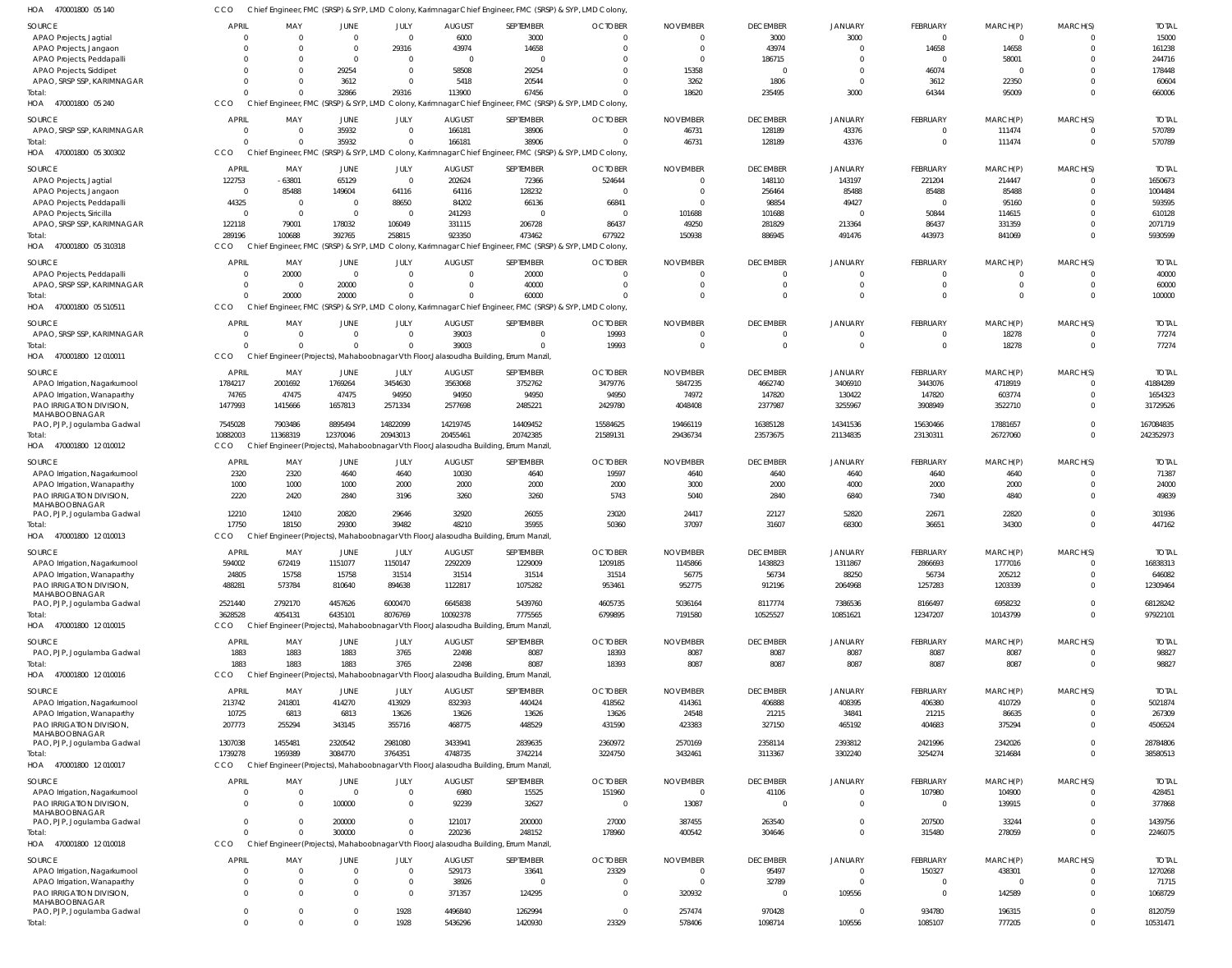| HOA<br>470001800 05 140                                 | CCO             |                                       |                         |                 |                                                                                        | Chief Engineer, FMC (SRSP) & SYP, LMD Colony, Karimnagar Chief Engineer, FMC (SRSP) & SYP, LMD Colony  |                         |                         |                 |                        |                  |                  |                      |                       |
|---------------------------------------------------------|-----------------|---------------------------------------|-------------------------|-----------------|----------------------------------------------------------------------------------------|--------------------------------------------------------------------------------------------------------|-------------------------|-------------------------|-----------------|------------------------|------------------|------------------|----------------------|-----------------------|
| SOURCE                                                  | APRIL           | MAY                                   | <b>JUNE</b>             | JULY            | <b>AUGUST</b>                                                                          | SEPTEMBER                                                                                              | <b>OCTOBER</b>          | <b>NOVEMBER</b>         | <b>DECEMBER</b> | <b>JANUARY</b>         | FEBRUARY         | MARCH(P)         | MARCH(S)             | <b>TOTAL</b>          |
| APAO Projects, Jagtial                                  | $\Omega$        | $\Omega$                              | $\overline{\mathbf{0}}$ | $\overline{0}$  | 6000                                                                                   | 3000                                                                                                   | $\Omega$                | $\Omega$                | 3000            | 3000                   | $\Omega$         | $\Omega$         | $\Omega$             | 15000                 |
| APAO Projects, Jangaon                                  |                 | $\Omega$                              | $\overline{0}$          | 29316           | 43974                                                                                  | 14658                                                                                                  | $\Omega$                | $\overline{0}$          | 43974           | $\Omega$               | 14658            | 14658            | $\Omega$             | 161238                |
| APAO Projects, Peddapalli                               | $\Omega$        | $\Omega$                              | $\overline{0}$          | $\overline{0}$  | $\overline{0}$                                                                         | $\Omega$                                                                                               |                         | $\overline{0}$          | 186715          | $\Omega$               | $\Omega$         | 58001            |                      | 244716                |
| APAO Projects, Siddipet                                 |                 | $\Omega$                              | 29254                   | $\overline{0}$  | 58508                                                                                  | 29254                                                                                                  | $\Omega$                | 15358                   | 0               | $\Omega$               | 46074            |                  |                      | 178448                |
| APAO, SRSP SSP, KARIMNAGAR                              | $\Omega$        | $\Omega$                              | 3612                    | $\overline{0}$  | 5418                                                                                   | 20544                                                                                                  | $\Omega$                | 3262                    | 1806            | $\Omega$               | 3612             | 22350            |                      | 60604                 |
| Total:                                                  | $\Omega$        | $\Omega$                              | 32866                   | 29316           | 113900                                                                                 | 67456                                                                                                  | $\Omega$                | 18620                   | 235495          | 3000                   | 64344            | 95009            | $\Omega$             | 660006                |
| 470001800 05 240<br>HOA                                 | CCO             | Chief Engineer, FMC (SRSP) & SYP, LMD |                         |                 |                                                                                        | Colony, Karimnagar Chief Engineer, FMC (SRSP) & SYP, LMD Colony,                                       |                         |                         |                 |                        |                  |                  |                      |                       |
| SOURCE                                                  | <b>APRIL</b>    | MAY                                   | JUNE                    | JULY            | <b>AUGUST</b>                                                                          | SEPTEMBER                                                                                              | <b>OCTOBER</b>          | <b>NOVEMBER</b>         | <b>DECEMBER</b> | <b>JANUARY</b>         | FEBRUARY         | MARCH(P)         | MARCH(S)             | <b>TOTAL</b>          |
| APAO, SRSP SSP, KARIMNAGAR                              | $\Omega$        | $\overline{0}$                        | 35932                   | $\overline{0}$  | 166181                                                                                 | 38906                                                                                                  | $\overline{0}$          | 46731                   | 128189          | 43376                  | $\Omega$         | 111474           | $\Omega$             | 570789                |
| Total:                                                  | $\Omega$        | $\Omega$                              | 35932                   | $\Omega$        | 166181                                                                                 | 38906                                                                                                  | $\Omega$                | 46731                   | 128189          | 43376                  | $\Omega$         | 111474           | $\mathbf{0}$         | 570789                |
| HOA 470001800 05 300302                                 | CCO             |                                       |                         |                 |                                                                                        | Chief Engineer, FMC (SRSP) & SYP, LMD Colony, Karimnagar Chief Engineer, FMC (SRSP) & SYP, LMD Colony, |                         |                         |                 |                        |                  |                  |                      |                       |
| SOURCE                                                  | <b>APRIL</b>    | MAY                                   | <b>JUNE</b>             | JULY            | <b>AUGUST</b>                                                                          | SEPTEMBER                                                                                              | <b>OCTOBER</b>          | <b>NOVEMBER</b>         | <b>DECEMBER</b> | <b>JANUARY</b>         | FEBRUARY         | MARCH(P)         | MARCH(S)             | <b>TOTAL</b>          |
| APAO Projects, Jagtial                                  | 122753          | $-63801$                              | 65129                   | $\overline{0}$  | 202624                                                                                 | 72366                                                                                                  | 524644                  | $\Omega$                | 148110          | 143197                 | 221204           | 214447           | $\Omega$             | 1650673               |
| APAO Projects, Jangaon                                  | $\Omega$        | 85488                                 | 149604                  | 64116           | 64116                                                                                  | 128232                                                                                                 | $\overline{0}$          | $\overline{0}$          | 256464          | 85488                  | 85488            | 85488            | $\Omega$             | 1004484               |
| APAO Projects, Peddapalli                               | 44325           | $\overline{\mathbf{0}}$               | $\overline{0}$          | 88650           | 84202                                                                                  | 66136                                                                                                  | 66841                   | $\Omega$                | 98854           | 49427                  | $\Omega$         | 95160            |                      | 593595                |
| APAO Projects, Siricilla                                | $\Omega$        | $\overline{\mathbf{0}}$               | $\overline{0}$          | $\overline{0}$  | 241293                                                                                 | $\Omega$                                                                                               | $\overline{0}$          | 101688                  | 101688          | $\Omega$               | 50844            | 114615           |                      | 610128                |
| APAO, SRSP SSP, KARIMNAGAR                              | 122118          | 79001                                 | 178032                  | 106049          | 331115                                                                                 | 206728                                                                                                 | 86437                   | 49250                   | 281829          | 213364                 | 86437            | 331359           |                      | 2071719               |
| Total:                                                  | 289196          | 100688                                | 392765                  | 258815          | 923350                                                                                 | 473462                                                                                                 | 677922                  | 150938                  | 886945          | 491476                 | 443973           | 841069           | $\Omega$             | 5930599               |
| HOA 470001800 05 310318                                 | CCO             | Chief Engineer, FMC (SRSP) & SYP, LMD |                         |                 |                                                                                        | Colony, Karimnagar Chief Engineer, FMC (SRSP) & SYP, LMD Colony,                                       |                         |                         |                 |                        |                  |                  |                      |                       |
| SOURCE                                                  | <b>APRIL</b>    | MAY                                   | <b>JUNE</b>             | JULY            | <b>AUGUST</b>                                                                          | SEPTEMBER                                                                                              | <b>OCTOBER</b>          | <b>NOVEMBER</b>         | <b>DECEMBER</b> | <b>JANUARY</b>         | FEBRUARY         | MARCH(P)         | MARCH(S)             | <b>TOTAL</b>          |
| APAO Projects, Peddapalli                               | $\cap$          | 20000                                 | $\overline{\mathbf{0}}$ | $\overline{0}$  | $\overline{0}$                                                                         | 20000                                                                                                  | $\mathbf 0$             | $\Omega$                | 0               | O                      | $\Omega$         |                  | $\Omega$             | 40000                 |
| APAO, SRSP SSP, KARIMNAGAR                              | $\Omega$        | $\overline{\mathbf{0}}$               | 20000                   | $\Omega$        | $\overline{0}$                                                                         | 40000                                                                                                  | $\Omega$                | $\overline{0}$          | $\mathbf{0}$    | $\mathbf 0$            | $\Omega$         | $\Omega$         | $\Omega$             | 60000                 |
| Total:                                                  | $\Omega$        | 20000                                 | 20000                   | $\Omega$        | $\Omega$                                                                               | 60000                                                                                                  | $\Omega$                | $\Omega$                | $\Omega$        | $\Omega$               |                  |                  | $\Omega$             | 100000                |
| HOA 470001800 05 510511                                 | CCO             |                                       |                         |                 |                                                                                        | Chief Engineer, FMC (SRSP) & SYP, LMD Colony, Karimnagar Chief Engineer, FMC (SRSP) & SYP, LMD Colony  |                         |                         |                 |                        |                  |                  |                      |                       |
| SOURCE                                                  | <b>APRIL</b>    | MAY                                   | JUNE                    | JULY            | <b>AUGUST</b>                                                                          | SEPTEMBER                                                                                              | <b>OCTOBER</b>          | <b>NOVEMBER</b>         | <b>DECEMBER</b> | <b>JANUARY</b>         | FEBRUARY         | MARCH(P)         | MARCH(S)             | <b>TOTAL</b>          |
| APAO, SRSP SSP, KARIMNAGAR                              | $\Omega$        | $\overline{\mathbf{0}}$               | $\overline{\mathbf{0}}$ | $\overline{0}$  | 39003                                                                                  | $\Omega$                                                                                               | 19993                   | $\overline{0}$          | 0               | $\Omega$               | $\Omega$         | 18278            | $\Omega$             | 77274                 |
| Total:                                                  | $\Omega$        | $\Omega$                              | $\Omega$                | $\Omega$        | 39003                                                                                  | $\cap$                                                                                                 | 19993                   | $\overline{0}$          | $\mathbf 0$     | $\overline{0}$         | $\Omega$         | 18278            | $\mathbf{0}$         | 77274                 |
| HOA 470001800 12010011                                  | CCO             |                                       |                         |                 | Chief Engineer (Projects), Mahaboobnagar Vth Floor, Jalasoudha Building, Errum Manzil, |                                                                                                        |                         |                         |                 |                        |                  |                  |                      |                       |
| SOURCE                                                  | APRIL           | MAY                                   | JUNE                    | JULY            | <b>AUGUST</b>                                                                          | SEPTEMBER                                                                                              | <b>OCTOBER</b>          | <b>NOVEMBER</b>         | <b>DECEMBER</b> | <b>JANUARY</b>         | FEBRUARY         | MARCH(P)         | MARCH(S)             | <b>TOTAL</b>          |
| APAO Irrigation, Nagarkurnool                           | 1784217         | 2001692                               | 1769264                 | 3454630         | 3563068                                                                                | 3752762                                                                                                | 3479776                 | 5847235                 | 4662740         | 3406910                | 3443076          | 4718919          | $\Omega$             | 41884289              |
| APAO Irrigation, Wanaparthy                             | 74765           | 47475                                 | 47475                   | 94950           | 94950                                                                                  | 94950                                                                                                  | 94950                   | 74972                   | 147820          | 130422                 | 147820           | 603774           | $\Omega$             | 1654323               |
| PAO IRRIGATION DIVISION,                                | 1477993         | 1415666                               | 1657813                 | 2571334         | 2577698                                                                                | 2485221                                                                                                | 2429780                 | 4048408                 | 2377987         | 3255967                | 3908949          | 3522710          | $\Omega$             | 31729526              |
| MAHABOOBNAGAR                                           |                 |                                       |                         |                 |                                                                                        |                                                                                                        |                         |                         |                 |                        |                  |                  |                      |                       |
| PAO, PJP, Jogulamba Gadwal                              | 7545028         | 7903486                               | 8895494                 | 14822099        | 14219745                                                                               | 14409452                                                                                               | 15584625                | 19466119                | 16385128        | 14341536               | 15630466         | 17881657         | $\Omega$             | 167084835             |
| Total:                                                  | 10882003        | 11368319                              | 12370046                | 20943013        | 20455461                                                                               | 20742385                                                                                               | 21589131                | 29436734                | 23573675        | 21134835               | 23130311         | 26727060         | $\Omega$             | 242352973             |
| HOA 470001800 12010012                                  | CCO             |                                       |                         |                 | Chief Engineer (Projects), Mahaboobnagar Vth Floor, Jalasoudha Building, Errum Manzil, |                                                                                                        |                         |                         |                 |                        |                  |                  |                      |                       |
| SOURCE                                                  | <b>APRIL</b>    | MAY                                   | JUNE                    | JULY            | <b>AUGUST</b>                                                                          | SEPTEMBER                                                                                              | <b>OCTOBER</b>          | <b>NOVEMBER</b>         | <b>DECEMBER</b> | <b>JANUARY</b>         | FEBRUARY         | MARCH(P)         | MARCH(S)             | <b>TOTAL</b>          |
| APAO Irrigation, Nagarkurnool                           | 2320            | 2320                                  | 4640                    | 4640            | 10030                                                                                  | 4640                                                                                                   | 19597                   | 4640                    | 4640            | 4640                   | 4640             | 4640             | $\Omega$             | 71387                 |
| APAO Irrigation, Wanaparthy                             | 1000            | 1000                                  | 1000                    | 2000            | 2000                                                                                   | 2000                                                                                                   | 2000                    | 3000                    | 2000            | 4000                   | 2000             | 2000             | $\Omega$             | 24000                 |
| PAO IRRIGATION DIVISION,                                | 2220            | 2420                                  | 2840                    | 3196            | 3260                                                                                   | 3260                                                                                                   | 5743                    | 5040                    | 2840            | 6840                   | 7340             | 4840             | $\Omega$             | 49839                 |
| MAHABOOBNAGAR<br>PAO, PJP, Joqulamba Gadwal             |                 |                                       |                         |                 |                                                                                        |                                                                                                        |                         |                         |                 |                        |                  |                  | $\Omega$             |                       |
| Total:                                                  | 12210<br>17750  | 12410<br>18150                        | 20820<br>29300          | 29646<br>39482  | 32920<br>48210                                                                         | 26055<br>35955                                                                                         | 23020<br>50360          | 24417<br>37097          | 22127<br>31607  | 52820<br>68300         | 22671<br>36651   | 22820<br>34300   | $\Omega$             | 301936<br>447162      |
| 470001800 12 010013<br>HOA                              | CCO             |                                       |                         |                 | Chief Engineer (Projects), Mahaboobnagar Vth Floor, Jalasoudha Building, Errum Manzil, |                                                                                                        |                         |                         |                 |                        |                  |                  |                      |                       |
|                                                         |                 |                                       |                         |                 |                                                                                        |                                                                                                        |                         |                         |                 |                        |                  |                  |                      |                       |
| <b>SOURCE</b>                                           | APRIL           | MAY                                   | JUNE                    | JULY            | <b>AUGUST</b>                                                                          | <b>SEPTEMBER</b>                                                                                       | <b>OCTOBER</b>          | <b>NOVEMBER</b>         | <b>DECEMBER</b> | <b>JANUARY</b>         | <b>FEBRUARY</b>  | MARCH(P)         | MARCH(S)             | <b>TOTAL</b>          |
| APAO Irrigation, Nagarkurnool                           | 594002          | 672419                                | 1151077                 | 1150147         | 2292209                                                                                | 1229009                                                                                                | 1209185                 | 1145866                 | 1438823         | 1311867                | 2866693          | 1777016          | $\Omega$             | 16838313              |
| APAO Irrigation, Wanaparthy                             | 24805           | 15758                                 | 15758                   | 31514           | 31514                                                                                  | 31514                                                                                                  | 31514                   | 56775                   | 56734           | 88250                  | 56734            | 205212           | $\Omega$             | 646082                |
| PAO IRRIGATION DIVISION,<br>MAHABOOBNAGAR               | 488281          | 573784                                | 810640                  | 894638          | 1122817                                                                                | 1075282                                                                                                | 953461                  | 952775                  | 912196          | 2064968                | 1257283          | 1203339          | $\Omega$             | 12309464              |
| PAO, PJP, Jogulamba Gadwal                              | 2521440         | 2792170                               | 4457626                 | 6000470         | 6645838                                                                                | 5439760                                                                                                | 4605735                 | 5036164                 | 8117774         | 7386536                | 8166497          | 6958232          | $\Omega$             | 68128242              |
| Total:                                                  | 3628528         | 4054131                               | 6435101                 | 8076769         | 10092378                                                                               | 7775565                                                                                                | 6799895                 | 7191580                 | 10525527        | 10851621               | 12347207         | 10143799         | $\mathbf 0$          | 97922101              |
| HOA 470001800 12010015                                  | CCO             |                                       |                         |                 | Chief Engineer (Projects), Mahaboobnagar Vth Floor, Jalasoudha Building, Errum Manzil, |                                                                                                        |                         |                         |                 |                        |                  |                  |                      |                       |
|                                                         | <b>APRIL</b>    |                                       |                         |                 |                                                                                        |                                                                                                        |                         |                         | <b>DECEMBER</b> |                        |                  |                  |                      |                       |
| SOURCE<br>PAO, PJP, Jogulamba Gadwal                    | 1883            | MAY<br>1883                           | JUNE<br>1883            | JULY<br>3765    | <b>AUGUST</b><br>22498                                                                 | SEPTEMBER<br>8087                                                                                      | <b>OCTOBER</b><br>18393 | <b>NOVEMBER</b><br>8087 | 8087            | <b>JANUARY</b><br>8087 | FEBRUARY<br>8087 | MARCH(P)<br>8087 | MARCH(S)             | <b>TOTAL</b><br>98827 |
| Total:                                                  | 1883            | 1883                                  | 1883                    | 3765            | 22498                                                                                  | 8087                                                                                                   | 18393                   | 8087                    | 8087            | 8087                   | 8087             | 8087             | $\Omega$             | 98827                 |
| HOA 470001800 12010016                                  | CCO             |                                       |                         |                 | Chief Engineer (Projects), Mahaboobnagar Vth Floor, Jalasoudha Building, Errum Manzil, |                                                                                                        |                         |                         |                 |                        |                  |                  |                      |                       |
|                                                         |                 |                                       |                         |                 |                                                                                        |                                                                                                        |                         |                         |                 |                        |                  |                  |                      |                       |
| SOURCE                                                  | APRIL           | MAY                                   | JUNE                    | JULY            | <b>AUGUST</b>                                                                          | SEPTEMBER                                                                                              | <b>OCTOBER</b>          | <b>NOVEMBER</b>         | <b>DECEMBER</b> | <b>JANUARY</b>         | FEBRUARY         | MARCH(P)         | MARCH(S)             | <b>TOTAL</b>          |
| APAO Irrigation, Nagarkurnool                           | 213742          | 241801                                | 414270                  | 413929          | 832393                                                                                 | 440424                                                                                                 | 418562                  | 414361                  | 406888          | 408395                 | 406380           | 410729           | 0                    | 5021874               |
| APAO Irrigation, Wanaparthy<br>PAO IRRIGATION DIVISION, | 10725<br>207773 | 6813<br>255294                        | 6813<br>343145          | 13626<br>355716 | 13626<br>468775                                                                        | 13626<br>448529                                                                                        | 13626<br>431590         | 24548<br>423383         | 21215<br>327150 | 34841<br>465192        | 21215<br>404683  | 86635<br>375294  | $\Omega$<br>$\Omega$ | 267309<br>4506524     |
| MAHABOOBNAGAR                                           |                 |                                       |                         |                 |                                                                                        |                                                                                                        |                         |                         |                 |                        |                  |                  |                      |                       |
| PAO, PJP, Jogulamba Gadwal                              | 1307038         | 1455481                               | 2320542                 | 2981080         | 3433941                                                                                | 2839635                                                                                                | 2360972                 | 2570169                 | 2358114         | 2393812                | 2421996          | 2342026          | $\Omega$             | 28784806              |
| Total:                                                  | 1739278         | 1959389                               | 3084770                 | 3764351         | 4748735                                                                                | 3742214                                                                                                | 3224750                 | 3432461                 | 3113367         | 3302240                | 3254274          | 3214684          | $\mathbf 0$          | 38580513              |
| HOA 470001800 12010017                                  | <b>CCO</b>      |                                       |                         |                 | Chief Engineer (Projects), Mahaboobnagar Vth Floor, Jalasoudha Building, Errum Manzil, |                                                                                                        |                         |                         |                 |                        |                  |                  |                      |                       |
| SOURCE                                                  | APRIL           | MAY                                   | <b>JUNE</b>             | JULY            | <b>AUGUST</b>                                                                          | SEPTEMBER                                                                                              | <b>OCTOBER</b>          | <b>NOVEMBER</b>         | <b>DECEMBER</b> | JANUARY                | FEBRUARY         | MARCH(P)         | MARCH(S)             | <b>TOTAL</b>          |
| APAO Irrigation, Nagarkurnool                           |                 | $\overline{0}$                        | $\overline{0}$          | $\overline{0}$  | 6980                                                                                   | 15525                                                                                                  | 151960                  | $\overline{0}$          | 41106           | O                      | 107980           | 104900           |                      | 428451                |
| PAO IRRIGATION DIVISION,                                | $\Omega$        | $\Omega$                              | 100000                  | $\overline{0}$  | 92239                                                                                  | 32627                                                                                                  | $\overline{0}$          | 13087                   | $\mathbf 0$     | $\mathbf 0$            | $\Omega$         | 139915           | $\mathbf 0$          | 377868                |
| MAHABOOBNAGAR                                           |                 |                                       |                         |                 |                                                                                        |                                                                                                        |                         |                         |                 |                        |                  |                  |                      |                       |
| PAO, PJP, Jogulamba Gadwal                              | $\Omega$        | $\overline{0}$                        | 200000                  | $\mathbf 0$     | 121017                                                                                 | 200000                                                                                                 | 27000                   | 387455                  | 263540          | $\mathbf 0$            | 207500           | 33244            | $\Omega$             | 1439756               |
| Total:                                                  | $\Omega$        |                                       | 300000                  | $\Omega$        | 220236                                                                                 | 248152                                                                                                 | 178960                  | 400542                  | 304646          | $\mathbf 0$            | 315480           | 278059           | $\Omega$             | 2246075               |
| HOA 470001800 12010018                                  | CCO             |                                       |                         |                 | Chief Engineer (Projects), Mahaboobnagar Vth Floor, Jalasoudha Building, Errum Manzil, |                                                                                                        |                         |                         |                 |                        |                  |                  |                      |                       |
| SOURCE                                                  | APRIL           | MAY                                   | JUNE                    | JULY            | <b>AUGUST</b>                                                                          | SEPTEMBER                                                                                              | <b>OCTOBER</b>          | <b>NOVEMBER</b>         | <b>DECEMBER</b> | <b>JANUARY</b>         | FEBRUARY         | MARCH(P)         | MARCH(S)             | <b>TOTAL</b>          |
| APAO Irrigation, Nagarkurnool                           | $\Omega$        | $\overline{0}$                        | $\overline{0}$          | $\overline{0}$  | 529173                                                                                 | 33641                                                                                                  | 23329                   | $\overline{0}$          | 95497           | $\mathbf 0$            | 150327           | 438301           | 0                    | 1270268               |
| APAO Irrigation, Wanaparthy                             | $\Omega$        | $\Omega$                              | $\overline{0}$          | $\overline{0}$  | 38926                                                                                  | - 0                                                                                                    | $\mathbf 0$             | $\overline{0}$          | 32789           | $\mathbf 0$            | $\Omega$         |                  | $\Omega$             | 71715                 |
| PAO IRRIGATION DIVISION,                                | $\Omega$        | $\Omega$                              | $\overline{0}$          | $\overline{0}$  | 371357                                                                                 | 124295                                                                                                 | $\overline{0}$          | 320932                  | $\overline{0}$  | 109556                 | $\Omega$         | 142589           | 0                    | 1068729               |
| MAHABOOBNAGAR                                           |                 |                                       |                         |                 |                                                                                        |                                                                                                        |                         |                         |                 |                        |                  |                  |                      |                       |
| PAO, PJP, Jogulamba Gadwal                              | $\overline{0}$  | $\overline{0}$                        | $\overline{0}$          | 1928            | 4496840                                                                                | 1262994                                                                                                | $\overline{0}$          | 257474                  | 970428          | 0                      | 934780           | 196315           | $\mathbf 0$          | 8120759               |
| Total:                                                  | $\Omega$        | $\Omega$                              | $\Omega$                | 1928            | 5436296                                                                                | 1420930                                                                                                | 23329                   | 578406                  | 1098714         | 109556                 | 1085107          | 777205           | $\Omega$             | 10531471              |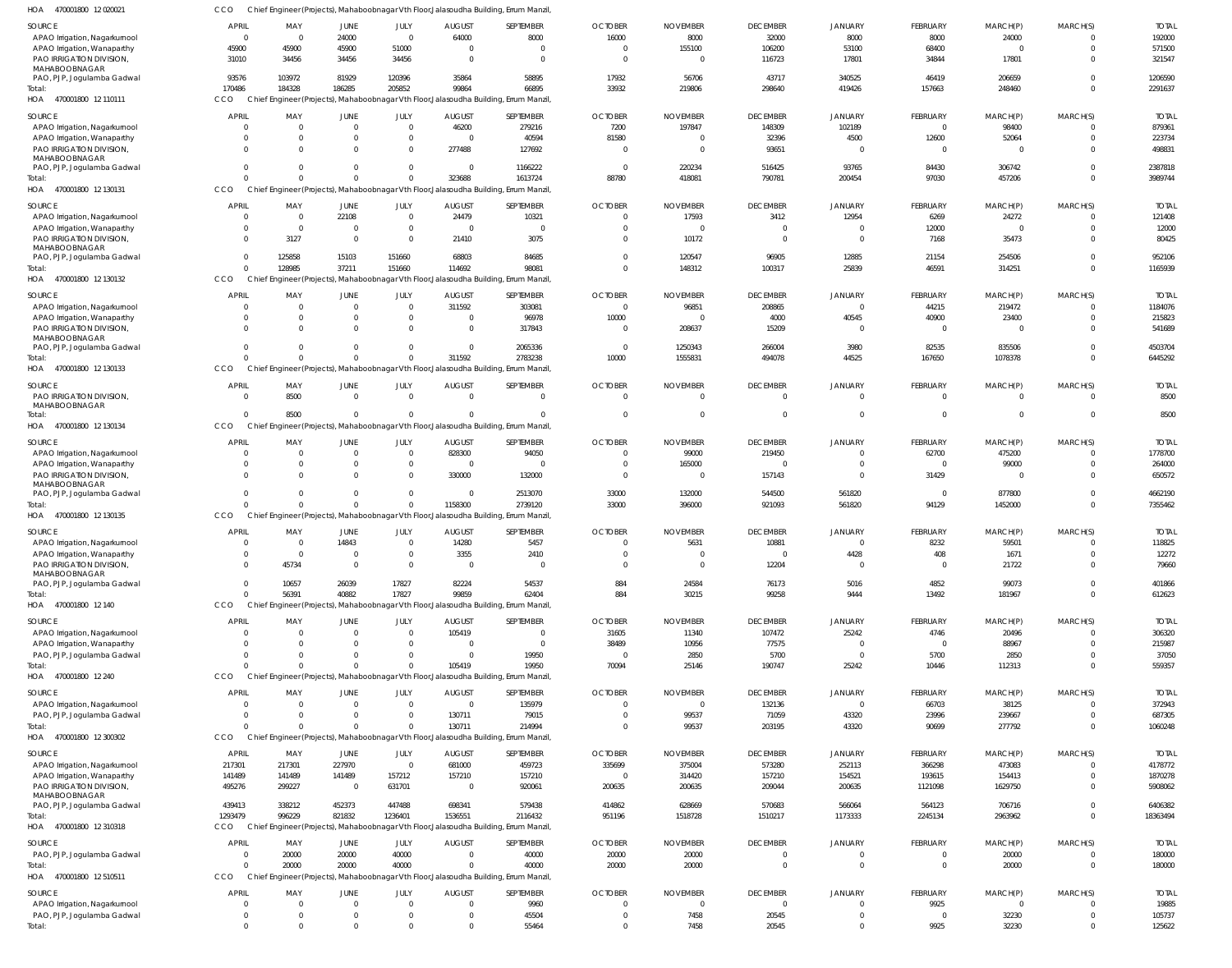| HOA 470001800 12020021                                       | ссо                              | Chief Engineer (Projects), Mahaboobnagar Vth Floor, Jalasoudha Building, Errum Manzil          |                            |                            |                      |                       |                            |                  |                      |                                  |                        |                 |                              |                        |
|--------------------------------------------------------------|----------------------------------|------------------------------------------------------------------------------------------------|----------------------------|----------------------------|----------------------|-----------------------|----------------------------|------------------|----------------------|----------------------------------|------------------------|-----------------|------------------------------|------------------------|
| <b>SOURCE</b>                                                | APRIL                            | MAY                                                                                            | <b>JUNE</b>                | JULY                       | <b>AUGUST</b>        | SEPTEMBER             | <b>OCTOBER</b>             | <b>NOVEMBER</b>  | <b>DECEMBER</b>      | <b>JANUARY</b>                   | FEBRUARY               | MARCH(P)        | MARCH(S)                     | <b>TOTAL</b>           |
| APAO Irrigation, Nagarkurnool                                | $\overline{0}$                   | $\overline{0}$                                                                                 | 24000                      | $\mathbf{0}$               | 64000                | 8000                  | 16000                      | 8000             | 32000                | 8000                             | 8000                   | 24000           | $\mathbf 0$                  | 192000                 |
| APAO Irrigation, Wanaparthy                                  | 45900                            | 45900                                                                                          | 45900                      | 51000                      | $\mathbf 0$          | $\Omega$              | $\Omega$                   | 155100           | 106200               | 53100                            | 68400                  | $\Omega$        | $\mathbf 0$                  | 571500                 |
| PAO IRRIGATION DIVISION<br>MAHABOOBNAGAR                     | 31010                            | 34456                                                                                          | 34456                      | 34456                      | $\Omega$             | $\Omega$              | $\Omega$                   | $\Omega$         | 116723               | 17801                            | 34844                  | 17801           | $^{\circ}$                   | 321547                 |
| PAO, PJP, Joqulamba Gadwal                                   | 93576                            | 103972                                                                                         | 81929                      | 120396                     | 35864                | 58895                 | 17932                      | 56706            | 43717                | 340525                           | 46419                  | 206659          | $\mathbf 0$                  | 1206590                |
| Total:                                                       | 170486                           | 184328                                                                                         | 186285                     | 205852                     | 99864                | 66895                 | 33932                      | 219806           | 298640               | 419426                           | 157663                 | 248460          | $\mathbf{0}$                 | 2291637                |
| HOA 470001800 12 110111                                      | CCO                              | Chief Engineer (Projects), Mahaboobnagar Vth Floor, Jalasoudha Building, Errum Manzil          |                            |                            |                      |                       |                            |                  |                      |                                  |                        |                 |                              |                        |
| SOURCE                                                       | <b>APRIL</b>                     | MAY                                                                                            | <b>JUNE</b>                | JULY                       | <b>AUGUST</b>        | SEPTEMBER             | <b>OCTOBER</b>             | <b>NOVEMBER</b>  | <b>DECEMBER</b>      | <b>JANUARY</b>                   | FEBRUARY               | MARCH(P)        | MARCH(S)                     | <b>TOTAL</b>           |
| APAO Irrigation, Nagarkurnool                                | - 0                              |                                                                                                | 0                          | $\mathbf{0}$               | 46200                | 279216                | 7200                       | 197847           | 148309               | 102189                           | $\overline{0}$         | 98400           | $\mathbf 0$                  | 879361                 |
| APAO Irrigation, Wanaparthy                                  | $\Omega$                         |                                                                                                | 0                          | $\mathbf 0$                | $\Omega$             | 40594                 | 81580                      | $\Omega$         | 32396                | 4500                             | 12600                  | 52064           | $\mathbf{0}$                 | 223734                 |
| PAO IRRIGATION DIVISION<br>MAHABOOBNAGAR                     | $\Omega$                         |                                                                                                | $\Omega$                   | $\mathbf 0$                | 277488               | 127692                | $\overline{0}$             | $\Omega$         | 93651                | $\overline{0}$                   | $\Omega$               | $\Omega$        | $\Omega$                     | 498831                 |
| PAO, PJP, Jogulamba Gadwal                                   | $\overline{0}$                   |                                                                                                | $\Omega$                   | $\mathbf 0$                | $\mathbf 0$          | 1166222               | $\overline{0}$             | 220234           | 516425               | 93765                            | 84430                  | 306742          | $\mathbf 0$                  | 2387818                |
| Total:                                                       | $\Omega$                         |                                                                                                | $\Omega$                   | $\mathbf 0$                | 323688               | 1613724               | 88780                      | 418081           | 790781               | 200454                           | 97030                  | 457206          | $\mathbf 0$                  | 3989744                |
| HOA 470001800 12 130131                                      | CCO                              | Chief Engineer (Projects), Mahaboobnagar Vth Floor, Jalasoudha Building, Errum Manzil          |                            |                            |                      |                       |                            |                  |                      |                                  |                        |                 |                              |                        |
| SOURCE                                                       | <b>APRIL</b>                     | MAY                                                                                            | <b>JUNE</b>                | JULY                       | <b>AUGUST</b>        | SEPTEMBER             | <b>OCTOBER</b>             | <b>NOVEMBER</b>  | <b>DECEMBER</b>      | <b>JANUARY</b>                   | FEBRUARY               | MARCH(P)        | MARCH(S)                     | <b>TOTAL</b>           |
| APAO Irrigation, Nagarkurnool                                | $\overline{0}$                   | $\Omega$                                                                                       | 22108                      | $\mathbf 0$                | 24479                | 10321                 | $\Omega$                   | 17593            | 3412                 | 12954                            | 6269                   | 24272           | $\mathbf 0$                  | 121408                 |
| APAO Irrigation, Wanaparthy                                  | - 0                              | $\Omega$                                                                                       | 0                          | $\mathbf 0$                | $\Omega$             | $\Omega$              | $\Omega$                   | $\Omega$         | $\overline{0}$       | $\overline{0}$                   | 12000                  | $\Omega$        | $\mathbf{0}$                 | 12000                  |
| PAO IRRIGATION DIVISION,                                     | $\Omega$                         | 3127                                                                                           | $\mathbf 0$                | $\mathbf 0$                | 21410                | 3075                  | $\Omega$                   | 10172            | $\overline{0}$       | $\overline{0}$                   | 7168                   | 35473           | $\Omega$                     | 80425                  |
| MAHABOOBNAGAR<br>PAO, PJP, Jogulamba Gadwal                  | $\mathbf 0$                      | 125858                                                                                         | 15103                      | 151660                     | 68803                | 84685                 | $\Omega$                   | 120547           | 96905                | 12885                            | 21154                  | 254506          | $\mathbf{0}$                 | 952106                 |
| Total:                                                       | $\Omega$                         | 128985                                                                                         | 37211                      | 151660                     | 114692               | 98081                 | $\Omega$                   | 148312           | 100317               | 25839                            | 46591                  | 314251          | $\mathbf 0$                  | 1165939                |
| HOA 470001800 12 130132                                      | CCO                              | Chief Engineer (Projects), Mahaboobnagar Vth Floor, Jalasoudha Building, Errum Manzil          |                            |                            |                      |                       |                            |                  |                      |                                  |                        |                 |                              |                        |
| SOURCE                                                       | <b>APRIL</b>                     | MAY                                                                                            | <b>JUNE</b>                | JULY                       | <b>AUGUST</b>        | SEPTEMBER             | <b>OCTOBER</b>             | <b>NOVEMBER</b>  | <b>DECEMBER</b>      | <b>JANUARY</b>                   | FEBRUARY               | MARCH(P)        | MARCH(S)                     | <b>TOTAL</b>           |
| APAO Irrigation, Nagarkurnool                                | - 0                              | $\Omega$                                                                                       | $\mathbf 0$                | $\mathbf{0}$               | 311592               | 303081                | $\overline{0}$             | 96851            | 208865               | $\overline{0}$                   | 44215                  | 219472          | $\overline{0}$               | 1184076                |
| APAO Irrigation, Wanaparthy                                  | - 0                              |                                                                                                | 0                          | $\mathbf 0$                | $\Omega$             | 96978                 | 10000                      | $\Omega$         | 4000                 | 40545                            | 40900                  | 23400           | $\mathbf 0$                  | 215823                 |
| PAO IRRIGATION DIVISION                                      | $\Omega$                         |                                                                                                | $\Omega$                   | $\mathbf 0$                | $\mathbf 0$          | 317843                | $\overline{0}$             | 208637           | 15209                | $\overline{0}$                   | $\overline{0}$         | $\overline{0}$  | $\mathbf 0$                  | 541689                 |
| MAHABOOBNAGAR<br>PAO, PJP, Jogulamba Gadwal                  | $\circ$                          |                                                                                                | $\mathbf 0$                | $\mathbf 0$                | $\Omega$             | 2065336               | $\overline{0}$             | 1250343          | 266004               | 3980                             | 82535                  | 835506          | $\mathbf{0}$                 | 4503704                |
| Total:                                                       | $\Omega$                         | $\Omega$                                                                                       | $\Omega$                   | $\Omega$                   | 311592               | 2783238               | 10000                      | 1555831          | 494078               | 44525                            | 167650                 | 1078378         | $\mathbf 0$                  | 6445292                |
| HOA 470001800 12 130133                                      | CCO                              | Chief Engineer (Projects), Mahaboobnagar Vth Floor, Jalasoudha Building, Errum Manzil          |                            |                            |                      |                       |                            |                  |                      |                                  |                        |                 |                              |                        |
| <b>SOURCE</b>                                                | <b>APRIL</b>                     | MAY                                                                                            | <b>JUNE</b>                | JULY                       | <b>AUGUST</b>        | SEPTEMBER             | <b>OCTOBER</b>             | <b>NOVEMBER</b>  | <b>DECEMBER</b>      | <b>JANUARY</b>                   | <b>FEBRUARY</b>        | MARCH(P)        | MARCH(S)                     | <b>TOTAL</b>           |
| PAO IRRIGATION DIVISION                                      | $\overline{0}$                   | 8500                                                                                           | $\mathbf 0$                | $\mathbf 0$                | $\Omega$             | $\Omega$              | $\Omega$                   | $\Omega$         | $\overline{0}$       | $\overline{0}$                   | $\Omega$               | $\Omega$        | $\overline{0}$               | 8500                   |
| MAHABOOBNAGAR                                                |                                  |                                                                                                |                            |                            |                      |                       |                            |                  |                      |                                  |                        |                 |                              |                        |
| Total:<br>HOA 470001800 12 130134                            | $\Omega$<br>CCO                  | 8500<br>Chief Engineer (Projects), Mahaboobnagar Vth Floor, Jalasoudha Building, Errum Manzil  | $\Omega$                   | $\Omega$                   | $\Omega$             | $\Omega$              | $\Omega$                   | $\Omega$         | $\mathbf{0}$         | $\mathbf 0$                      | $\Omega$               | $\Omega$        | $\mathbf{0}$                 | 8500                   |
|                                                              |                                  |                                                                                                |                            |                            |                      |                       |                            |                  |                      |                                  |                        |                 |                              |                        |
| SOURCE                                                       | <b>APRIL</b>                     | MAY<br>$\Omega$                                                                                | <b>JUNE</b><br>$\mathbf 0$ | JULY<br>$\mathbf{0}$       | <b>AUGUST</b>        | SEPTEMBER             | <b>OCTOBER</b><br>$\Omega$ | <b>NOVEMBER</b>  | <b>DECEMBER</b>      | <b>JANUARY</b><br>$\overline{0}$ | FEBRUARY               | MARCH(P)        | MARCH(S)<br>$\overline{0}$   | <b>TOTAL</b>           |
| APAO Irrigation, Nagarkurnool<br>APAO Irrigation, Wanaparthy | - 0<br>- 0                       |                                                                                                | 0                          | $\mathbf 0$                | 828300<br>$^{\circ}$ | 94050<br>$\Omega$     | $\Omega$                   | 99000<br>165000  | 219450<br>0          | 0                                | 62700<br>$\Omega$      | 475200<br>99000 | $\mathbf{0}$                 | 1778700<br>264000      |
| PAO IRRIGATION DIVISION,                                     | $\Omega$                         |                                                                                                | $\Omega$                   | $\mathbf{0}$               | 330000               | 132000                | $\mathbf 0$                | $\Omega$         | 157143               | $\mathbf{0}$                     | 31429                  | $\Omega$        | $\mathbf 0$                  | 650572                 |
| MAHABOOBNAGAR                                                |                                  |                                                                                                |                            |                            |                      |                       |                            |                  |                      |                                  |                        |                 |                              |                        |
| PAO, PJP, Jogulamba Gadwal                                   | $\overline{0}$                   |                                                                                                | $\mathbf 0$                | $\mathbf{0}$               | $\mathbf 0$          | 2513070               | 33000                      | 132000           | 544500               | 561820                           | $\overline{0}$         | 877800          | $\mathbf 0$                  | 4662190                |
| Total:<br>HOA 470001800 12 130135                            | $\Omega$<br>CCO                  | Chief Engineer (Projects), Mahaboobnagar Vth Floor, Jalasoudha Building, Errum Manzil          | $\Omega$                   | $\mathbf{0}$               | 1158300              | 2739120               | 33000                      | 396000           | 921093               | 561820                           | 94129                  | 1452000         | $\mathbf 0$                  | 7355462                |
|                                                              |                                  |                                                                                                |                            |                            |                      |                       |                            |                  |                      |                                  |                        |                 |                              |                        |
| <b>SOURCE</b>                                                | <b>APRIL</b>                     | MAY<br>$\Omega$                                                                                | <b>JUNE</b>                | JULY<br>$\mathbf 0$        | <b>AUGUST</b>        | SEPTEMBER             | <b>OCTOBER</b><br>$\Omega$ | <b>NOVEMBER</b>  | <b>DECEMBER</b>      | <b>JANUARY</b><br>$\Omega$       | FEBRUARY               | MARCH(P)        | MARCH(S)<br>$\Omega$         | <b>TOTAL</b>           |
| APAO Irrigation, Nagarkurnool<br>APAO Irrigation, Wanaparthy | $\overline{0}$<br>$\overline{0}$ | $\overline{0}$                                                                                 | 14843<br>$\mathbf 0$       | $\mathbf{0}$               | 14280<br>3355        | 5457<br>2410          | $\Omega$                   | 5631<br>$\Omega$ | 10881<br>$\mathbf 0$ | 4428                             | 8232<br>408            | 59501<br>1671   | $\overline{0}$               | 118825<br>12272        |
| PAO IRRIGATION DIVISION                                      | $\Omega$                         | 45734                                                                                          | $\Omega$                   | $\mathbf 0$                | $\Omega$             | $\Omega$              | $\Omega$                   | $\Omega$         | 12204                | $\mathbf 0$                      | $\Omega$               | 21722           | $\mathbf{0}$                 | 79660                  |
| MAHABOOBNAGAR                                                |                                  |                                                                                                |                            |                            |                      |                       |                            |                  |                      |                                  |                        |                 |                              |                        |
| PAO, PJP, Jogulamba Gadwal                                   | $\mathbf{0}$                     | 10657                                                                                          | 26039                      | 17827                      | 82224                | 54537                 | 884                        | 24584            | 76173                | 5016                             | 4852                   | 99073           | $\mathbf 0$                  | 401866                 |
| Total:<br>HOA 470001800 12 140                               | $\Omega$<br>CCO                  | 56391<br>Chief Engineer (Projects), Mahaboobnagar Vth Floor, Jalasoudha Building, Errum Manzil | 40882                      | 17827                      | 99859                | 62404                 | 884                        | 30215            | 99258                | 9444                             | 13492                  | 181967          | $\mathbf 0$                  | 612623                 |
|                                                              |                                  |                                                                                                |                            |                            |                      |                       |                            |                  |                      |                                  |                        |                 |                              |                        |
| SOURCE                                                       | <b>APRIL</b>                     | MAY                                                                                            | <b>JUNE</b>                | JULY<br>$\mathbf{0}$       | <b>AUGUST</b>        | SEPTEMBER<br>$\Omega$ | <b>OCTOBER</b>             | <b>NOVEMBER</b>  | <b>DECEMBER</b>      | <b>JANUARY</b>                   | FEBRUARY               | MARCH(P)        | MARCH(S)                     | <b>TOTAL</b><br>306320 |
| APAO Irrigation, Nagarkurnool<br>APAO Irrigation, Wanaparthy | - 0<br>-0                        |                                                                                                | 0                          | $\mathbf{0}$               | 105419<br>$^{\circ}$ | $\overline{0}$        | 31605<br>38489             | 11340<br>10956   | 107472<br>77575      | 25242<br>$\overline{0}$          | 4746<br>$\overline{0}$ | 20496<br>88967  | $\mathbf{0}$<br>$\mathbf{0}$ | 215987                 |
| PAO, PJP, Jogulamba Gadwal                                   | $\Omega$                         |                                                                                                | 0                          | $\mathbf 0$                | $\mathbf 0$          | 19950                 | $\overline{0}$             | 2850             | 5700                 | $\overline{0}$                   | 5700                   | 2850            | $\mathbf{0}$                 | 37050                  |
| Total:                                                       | $\Omega$                         |                                                                                                | $\Omega$                   | $\Omega$                   | 105419               | 19950                 | 70094                      | 25146            | 190747               | 25242                            | 10446                  | 112313          | $\mathbf 0$                  | 559357                 |
| HOA 470001800 12 240                                         | CCO                              | Chief Engineer (Projects), Mahaboobnagar Vth Floor, Jalasoudha Building, Errum Manzil,         |                            |                            |                      |                       |                            |                  |                      |                                  |                        |                 |                              |                        |
| SOURCE                                                       | <b>APRIL</b>                     | MAY                                                                                            | <b>JUNE</b>                | JULY                       | <b>AUGUST</b>        | SEPTEMBER             | <b>OCTOBER</b>             | <b>NOVEMBER</b>  | <b>DECEMBER</b>      | JANUARY                          | FEBRUARY               | MARCH(P)        | MARCH(S)                     | <b>TOTAL</b>           |
| APAO Irrigation, Nagarkurnool                                | $\Omega$                         | $\Omega$                                                                                       | $\Omega$                   | $\mathbf 0$                | $\Omega$             | 135979                | $\Omega$                   | $\Omega$         | 132136               | $\overline{0}$                   | 66703                  | 38125           | $\mathbf{0}$                 | 372943                 |
| PAO, PJP, Jogulamba Gadwal                                   | $\Omega$                         | $\Omega$                                                                                       | $\Omega$                   | $\mathbf 0$                | 130711               | 79015                 | $\Omega$                   | 99537            | 71059                | 43320                            | 23996                  | 239667          | $\mathbf{0}$                 | 687305                 |
| Total:                                                       | $\Omega$                         | $\Omega$                                                                                       | $\Omega$                   | $\mathbf 0$                | 130711               | 214994                |                            | 99537            | 203195               | 43320                            | 90699                  | 277792          | $\mathbf{0}$                 | 1060248                |
| HOA 470001800 12 300302                                      | CCO                              | Chief Engineer (Projects), Mahaboobnagar Vth Floor, Jalasoudha Building, Errum Manzil          |                            |                            |                      |                       |                            |                  |                      |                                  |                        |                 |                              |                        |
| SOURCE                                                       | <b>APRIL</b>                     | MAY                                                                                            | <b>JUNE</b>                | JULY                       | <b>AUGUST</b>        | SEPTEMBER             | <b>OCTOBER</b>             | <b>NOVEMBER</b>  | <b>DECEMBER</b>      | <b>JANUARY</b>                   | <b>FEBRUARY</b>        | MARCH(P)        | MARCH(S)                     | <b>TOTAL</b>           |
| APAO Irrigation, Nagarkurnool                                | 217301                           | 217301                                                                                         | 227970                     | $\mathbf{0}$               | 681000               | 459723                | 335699                     | 375004           | 573280               | 252113                           | 366298                 | 473083          | $\mathbf{0}$                 | 4178772                |
| APAO Irrigation, Wanaparthy                                  | 141489                           | 141489                                                                                         | 141489                     | 157212                     | 157210               | 157210                | $\overline{0}$             | 314420           | 157210               | 154521                           | 193615                 | 154413          | $\mathbf{0}$                 | 1870278                |
| PAO IRRIGATION DIVISION,<br>MAHABOOBNAGAR                    | 495276                           | 299227                                                                                         | $\overline{0}$             | 631701                     | $\overline{0}$       | 920061                | 200635                     | 200635           | 209044               | 200635                           | 1121098                | 1629750         | $\mathbf 0$                  | 5908062                |
| PAO, PJP, Jogulamba Gadwal                                   | 439413                           | 338212                                                                                         | 452373                     | 447488                     | 698341               | 579438                | 414862                     | 628669           | 570683               | 566064                           | 564123                 | 706716          | $\mathbf 0$                  | 6406382                |
| Total:                                                       | 1293479                          | 996229                                                                                         | 821832                     | 1236401                    | 1536551              | 2116432               | 951196                     | 1518728          | 1510217              | 1173333                          | 2245134                | 2963962         | $\mathbf 0$                  | 18363494               |
| HOA 470001800 12 310318                                      | <b>CCO</b>                       | Chief Engineer (Projects), Mahaboobnagar Vth Floor, Jalasoudha Building, Errum Manzil          |                            |                            |                      |                       |                            |                  |                      |                                  |                        |                 |                              |                        |
| SOURCE                                                       | <b>APRIL</b>                     | MAY                                                                                            | JUNE                       | JULY                       | <b>AUGUST</b>        | SEPTEMBER             | <b>OCTOBER</b>             | <b>NOVEMBER</b>  | <b>DECEMBER</b>      | <b>JANUARY</b>                   | <b>FEBRUARY</b>        | MARCH(P)        | MARCH(S)                     | <b>TOTAL</b>           |
| PAO, PJP, Jogulamba Gadwal                                   | - 0                              | 20000                                                                                          | 20000                      | 40000                      | $\Omega$             | 40000                 | 20000                      | 20000            | $\mathbf{0}$         | 0                                | $\Omega$               | 20000           | $\Omega$                     | 180000                 |
| Total:                                                       | $\Omega$                         | 20000                                                                                          | 20000                      | 40000                      |                      | 40000                 | 20000                      | 20000            | $\mathbf 0$          | $\mathbf{0}$                     | $\overline{0}$         | 20000           | 0                            | 180000                 |
| HOA 470001800 12 510511                                      | <b>CCO</b>                       | Chief Engineer (Projects), Mahaboobnagar Vth Floor, Jalasoudha Building, Errum Manzil          |                            |                            |                      |                       |                            |                  |                      |                                  |                        |                 |                              |                        |
| SOURCE                                                       | <b>APRIL</b>                     | MAY                                                                                            | <b>JUNE</b>                | JULY                       | <b>AUGUST</b>        | SEPTEMBER             | <b>OCTOBER</b>             | <b>NOVEMBER</b>  | <b>DECEMBER</b>      | <b>JANUARY</b>                   | FEBRUARY               | MARCH(P)        | MARCH(S)                     | <b>TOTAL</b>           |
| APAO Irrigation, Nagarkurnool                                | - 0                              | - 0                                                                                            | 0                          | $\mathbf{0}$               | $\mathbf 0$          | 9960                  | $\Omega$                   | $\overline{0}$   | $\overline{0}$       | $\mathbf{0}$                     | 9925                   | $\overline{0}$  | $\mathbf{0}$                 | 19885                  |
| PAO, PJP, Jogulamba Gadwal                                   | $\overline{0}$<br>$\Omega$       |                                                                                                | 0<br>$\Omega$              | $\mathbf 0$<br>$\mathbf 0$ | $\Omega$<br>$\Omega$ | 45504<br>55464        | $\Omega$<br>0              | 7458<br>7458     | 20545<br>20545       | $\mathbf{0}$<br>$\mathbf 0$      | $\overline{0}$<br>9925 | 32230<br>32230  | $\mathbf{0}$<br>$\mathbf 0$  | 105737                 |
| Total:                                                       |                                  |                                                                                                |                            |                            |                      |                       |                            |                  |                      |                                  |                        |                 |                              | 125622                 |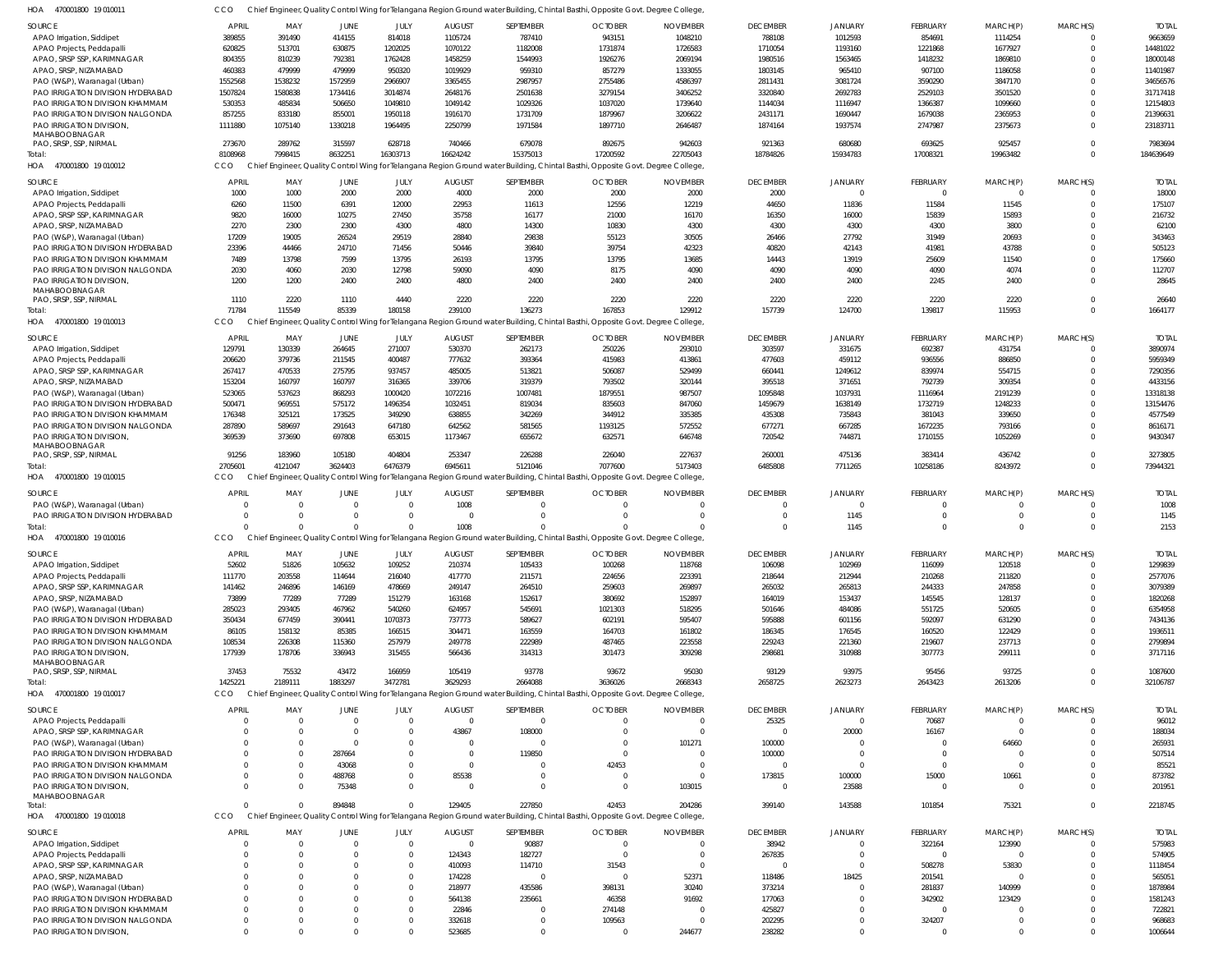| SOURCE                                                       | <b>APRIL</b>         | MAY      | JUNE        | JULY                 | <b>AUGUST</b>    | SEPTEMBER                                                                                                                       | <b>OCTOBER</b> | <b>NOVEMBER</b>    | <b>DECEMBER</b>  | <b>JANUARY</b>       | <b>FEBRUARY</b> | MARCH(P)      | MARCH(S) | <b>TOTAI</b>      |
|--------------------------------------------------------------|----------------------|----------|-------------|----------------------|------------------|---------------------------------------------------------------------------------------------------------------------------------|----------------|--------------------|------------------|----------------------|-----------------|---------------|----------|-------------------|
| APAO Irrigation, Siddipet                                    | 389855               | 391490   | 414155      | 814018               | 1105724          | 787410                                                                                                                          | 943151         | 1048210            | 788108           | 1012593              | 854691          | 1114254       |          | 9663659           |
| APAO Projects, Peddapalli                                    | 620825               | 513701   | 630875      | 1202025              | 1070122          | 1182008                                                                                                                         | 1731874        | 1726583            | 1710054          | 1193160              | 1221868         | 1677927       |          | 14481022          |
| APAO, SRSP SSP, KARIMNAGAR                                   | 804355               | 810239   | 792381      | 1762428              | 1458259          | 1544993                                                                                                                         | 1926276        | 2069194            | 1980516          | 1563465              | 1418232         | 1869810       |          | 18000148          |
| APAO, SRSP, NIZAMABAD                                        | 460383               | 479999   | 479999      | 950320               | 1019929          | 959310                                                                                                                          | 857279         | 1333055            | 1803145          | 965410               | 907100          | 1186058       |          | 11401987          |
| PAO (W&P), Waranagal (Urban)                                 | 1552568              | 1538232  | 1572959     | 2966907              | 3365455          | 2987957                                                                                                                         | 2755486        | 4586397            | 2811431          | 3081724              | 3590290         | 3847170       |          | 34656576          |
| PAO IRRIGATION DIVISION HYDERABAD                            | 1507824              | 1580838  | 1734416     | 3014874              | 2648176          | 2501638                                                                                                                         | 3279154        | 3406252            | 3320840          | 2692783              | 2529103         | 3501520       |          | 31717418          |
| <b>PAO IRRIGATION DIVISION KHAMMAM</b>                       | 530353               | 485834   | 506650      | 1049810              | 1049142          | 1029326                                                                                                                         | 1037020        | 1739640            | 1144034          | 1116947              | 1366387         | 1099660       |          | 12154803          |
| PAO IRRIGATION DIVISION NALGONDA                             | 857255               | 833180   | 855001      | 1950118              | 1916170          | 1731709                                                                                                                         | 1879967        | 3206622            | 2431171          | 1690447              | 1679038         | 2365953       |          | 21396631          |
| PAO IRRIGATION DIVISION,                                     | 1111880              | 1075140  | 1330218     | 1964495              | 2250799          | 1971584                                                                                                                         | 1897710        | 2646487            | 1874164          | 1937574              | 2747987         | 2375673       |          | 23183711          |
| MAHABOOBNAGAR                                                |                      |          |             |                      |                  |                                                                                                                                 |                |                    |                  |                      |                 |               |          |                   |
| PAO, SRSP, SSP, NIRMAL                                       | 273670               | 289762   | 315597      | 628718               | 740466           | 679078                                                                                                                          | 892675         | 942603             | 921363           | 680680               | 693625          | 925457        |          | 7983694           |
| Total:                                                       | 8108968              | 7998415  | 8632251     | 16303713             | 16624242         | 15375013                                                                                                                        | 17200592       | 22705043           | 18784826         | 15934783             | 17008321        | 19963482      |          | 184639649         |
| HOA<br>470001800 19 010012                                   | CCO                  |          |             |                      |                  | Chief Engineer, Quality Control Wing for Telangana Region Ground water Building, Chintal Basthi, Opposite Govt. Degree College  |                |                    |                  |                      |                 |               |          |                   |
|                                                              |                      |          |             |                      |                  |                                                                                                                                 |                |                    |                  |                      |                 |               |          |                   |
| <b>SOURCE</b>                                                | <b>APRIL</b>         | MAY      | JUNE        | JULY                 | <b>AUGUST</b>    | SEPTEMBER                                                                                                                       | <b>OCTOBER</b> | <b>NOVEMBER</b>    | <b>DECEMBER</b>  | <b>JANUARY</b>       | <b>FEBRUARY</b> | MARCH(P)      | MARCH(S) | <b>TOTAI</b>      |
| APAO Irrigation, Siddipet                                    | 1000                 | 1000     | 2000        | 2000                 | 4000             | 2000                                                                                                                            | 2000           | 2000               | 2000             |                      | $\Omega$        |               |          | 18000             |
| APAO Projects, Peddapalli                                    | 6260                 | 11500    | 6391        | 12000                | 22953            | 11613                                                                                                                           | 12556          | 12219              | 44650            | 11836                | 11584           | 11545         | $\Omega$ | 175107            |
| APAO, SRSP SSP, KARIMNAGAR                                   | 9820                 | 16000    | 10275       | 27450                | 35758            | 16177                                                                                                                           | 21000          | 16170              | 16350            | 16000                | 15839           | 15893         |          | 216732            |
| APAO, SRSP, NIZAMABAD                                        | 2270                 | 2300     | 2300        | 4300                 | 4800             | 14300                                                                                                                           | 10830          | 4300               | 4300             | 4300                 | 4300            | 3800          |          | 62100             |
| PAO (W&P), Waranagal (Urban)                                 | 17209                | 19005    | 26524       | 29519                | 28840            | 29838                                                                                                                           | 55123          | 30505              | 26466            | 27792                | 31949           | 20693         |          | 343463            |
| PAO IRRIGATION DIVISION HYDERABAD                            | 23396                | 44466    | 24710       | 71456                | 50446            | 39840                                                                                                                           | 39754          | 42323              | 40820            | 42143                | 41981           | 43788         |          | 505123            |
| PAO IRRIGATION DIVISION KHAMMAM                              | 7489                 | 13798    | 7599        | 13795                | 26193            | 13795                                                                                                                           | 13795          | 13685              | 14443            | 13919                | 25609           | 11540         |          | 175660            |
| <b>PAO IRRIGATION DIVISION NALGONDA</b>                      | 2030                 | 4060     | 2030        | 12798                | 59090            | 4090                                                                                                                            | 8175           | 4090               | 4090             | 4090                 | 4090            | 4074          |          | 112707            |
| PAO IRRIGATION DIVISION,                                     | 1200                 | 1200     | 2400        | 2400                 | 4800             | 2400                                                                                                                            | 2400           | 2400               | 2400             | 2400                 | 2245            | 2400          |          | 28645             |
| MAHABOOBNAGAR                                                |                      |          |             |                      |                  |                                                                                                                                 |                |                    |                  |                      |                 |               |          |                   |
| PAO, SRSP, SSP, NIRMAL                                       | 1110                 | 2220     | 1110        | 4440                 | 2220             | 2220                                                                                                                            | 2220           | 2220               | 2220             | 2220                 | 2220            | 2220          |          | 26640             |
| Total:                                                       | 71784                | 115549   | 85339       | 180158               | 239100           | 136273                                                                                                                          | 167853         | 129912             | 157739           | 124700               | 139817          | 115953        | $\Omega$ | 1664177           |
| HOA 470001800 19 010013                                      | CCO                  |          |             |                      |                  | Chief Engineer, Quality Control Wing for Telangana Region Ground water Building, Chintal Basthi, Opposite Govt. Degree College, |                |                    |                  |                      |                 |               |          |                   |
| SOURCE                                                       | <b>APRIL</b>         | MAY      | JUNE        | JULY                 | <b>AUGUST</b>    | SEPTEMBER                                                                                                                       | <b>OCTOBER</b> | <b>NOVEMBER</b>    | <b>DECEMBER</b>  | <b>JANUARY</b>       | FEBRUARY        | MARCH(P)      | MARCH(S) | <b>TOTAI</b>      |
|                                                              | 129791               | 130339   | 264645      | 271007               | 530370           | 262173                                                                                                                          | 250226         | 293010             | 303597           | 331675               | 692387          | 431754        |          | 3890974           |
| APAO Irrigation, Siddipet                                    |                      | 379736   |             | 400487               | 777632           |                                                                                                                                 | 415983         | 413861             | 477603           | 459112               | 936556          | 886850        |          | 5959349           |
| APAO Projects, Peddapalli                                    | 206620               |          | 211545      |                      |                  | 393364                                                                                                                          |                |                    |                  |                      |                 |               |          |                   |
| APAO, SRSP SSP, KARIMNAGAR                                   | 267417               | 470533   | 275795      | 937457               | 485005           | 513821                                                                                                                          | 506087         | 529499             | 660441           | 1249612              | 839974          | 554715        |          | 7290356           |
| APAO, SRSP, NIZAMABAD                                        | 153204               | 160797   | 160797      | 316365               | 339706           | 319379                                                                                                                          | 793502         | 320144             | 395518           | 371651               | 792739          | 309354        |          | 4433156           |
| PAO (W&P), Waranagal (Urban)                                 | 523065               | 537623   | 868293      | 1000420              | 1072216          | 1007481                                                                                                                         | 1879551        | 987507             | 1095848          | 1037931              | 1116964         | 2191239       |          | 13318138          |
| PAO IRRIGATION DIVISION HYDERABAD                            | 500471               | 969551   | 575172      | 1496354              | 1032451          | 819034                                                                                                                          | 835603         | 847060             | 1459679          | 1638149              | 1732719         | 1248233       |          | 13154476          |
| PAO IRRIGATION DIVISION KHAMMAM                              | 176348               | 325121   | 173525      | 349290               | 638855           | 342269                                                                                                                          | 344912         | 335385             | 435308           | 735843               | 381043          | 339650        |          | 4577549           |
| PAO IRRIGATION DIVISION NALGONDA                             | 287890               | 589697   | 291643      | 647180               | 642562           | 581565                                                                                                                          | 1193125        | 572552             | 677271           | 667285               | 1672235         | 793166        |          | 8616171           |
| PAO IRRIGATION DIVISION,                                     | 369539               | 373690   | 697808      | 653015               | 1173467          | 655672                                                                                                                          | 632571         | 646748             | 720542           | 744871               | 1710155         | 1052269       |          | 9430347           |
| MAHABOOBNAGAR                                                |                      |          |             |                      |                  |                                                                                                                                 |                |                    |                  |                      |                 |               |          |                   |
| PAO, SRSP, SSP, NIRMAL                                       | 91256                | 183960   | 105180      | 404804               | 253347           | 226288                                                                                                                          | 226040         | 227637             | 260001           | 475136               | 383414          | 436742        |          | 3273805           |
| Total:                                                       | 2705601              | 4121047  | 3624403     | 6476379              | 6945611          | 5121046                                                                                                                         | 7077600        | 5173403            | 6485808          | 7711265              | 10258186        | 8243972       | $\Omega$ | 73944321          |
|                                                              |                      |          |             |                      |                  |                                                                                                                                 |                |                    |                  |                      |                 |               |          |                   |
| HOA 470001800 19 010015                                      | CCO                  |          |             |                      |                  | Chief Engineer, Quality Control Wing for Telangana Region Ground water Building, Chintal Basthi, Opposite Govt. Degree College, |                |                    |                  |                      |                 |               |          |                   |
|                                                              |                      |          |             |                      |                  |                                                                                                                                 |                |                    |                  |                      |                 |               |          |                   |
| <b>SOURCE</b>                                                | <b>APRIL</b>         | MAY      | <b>JUNE</b> | JULY                 | <b>AUGUST</b>    | SEPTEMBER                                                                                                                       | <b>OCTOBER</b> | <b>NOVEMBER</b>    | <b>DECEMBER</b>  | <b>JANUARY</b>       | <b>FEBRUARY</b> | MARCH(P)      | MARCH(S) | <b>TOTAI</b>      |
| PAO (W&P), Waranagal (Urban)                                 | $\Omega$             | $\Omega$ |             | $\Omega$             | 1008             | 0                                                                                                                               | $\Omega$       | $\Omega$           | $\Omega$         |                      | $\Omega$        |               |          | 1008              |
| PAO IRRIGATION DIVISION HYDERABAD                            | $\Omega$             | $\Omega$ | $\Omega$    | $\Omega$             | $\mathsf{C}$     | $\Omega$                                                                                                                        | $\Omega$       | $\Omega$           | $\Omega$         | 1145                 | $\Omega$        | $\Omega$      | $\Omega$ | 1145              |
| Total:                                                       | $\Omega$             | $\Omega$ | $\Omega$    | $\Omega$             | 1008             |                                                                                                                                 |                |                    | $\Omega$         | 1145                 | $\Omega$        | $\Omega$      | $\Omega$ | 2153              |
| HOA 470001800 19 010016                                      | CCO                  |          |             |                      |                  | Chief Engineer, Quality Control Wing for Telangana Region Ground water Building, Chintal Basthi, Opposite Govt. Degree College  |                |                    |                  |                      |                 |               |          |                   |
| <b>SOURCE</b>                                                | <b>APRIL</b>         | MAY      | <b>JUNE</b> | JULY                 | <b>AUGUST</b>    | SEPTEMBER                                                                                                                       | <b>OCTOBER</b> | <b>NOVEMBER</b>    | <b>DECEMBER</b>  | <b>JANUARY</b>       | <b>FEBRUARY</b> | MARCH(P)      | MARCH(S) | <b>TOTAI</b>      |
|                                                              | 52602                | 51826    | 105632      | 109252               | 210374           | 105433                                                                                                                          | 100268         | 118768             | 106098           | 102969               | 116099          |               |          | 1299839           |
| APAO Irrigation, Siddipet                                    | 111770               |          | 114644      |                      |                  |                                                                                                                                 |                |                    |                  |                      |                 | 120518        |          |                   |
| APAO Projects, Peddapalli                                    |                      | 203558   |             | 216040               | 417770           | 211571                                                                                                                          | 224656         | 223391             | 218644           | 212944               | 210268          | 211820        |          | 2577076           |
| APAO, SRSP SSP, KARIMNAGAR                                   | 141462               | 246896   | 146169      | 478669               | 249147           | 264510                                                                                                                          | 259603         | 269897             | 265032           | 265813               | 244333          | 247858        |          | 3079389           |
| APAO, SRSP, NIZAMABAD                                        | 73899                | 77289    | 77289       | 151279               | 163168           | 152617                                                                                                                          | 380692         | 152897             | 164019           | 153437               | 145545          | 128137        |          | 1820268           |
| PAO (W&P), Waranagal (Urban)                                 | 285023               | 293405   | 467962      | 540260               | 624957           | 545691                                                                                                                          | 1021303        | 518295             | 501646           | 484086               | 551725          | 520605        |          | 6354958           |
| PAO IRRIGATION DIVISION HYDERABAD                            | 350434               | 677459   | 390441      | 1070373              | 737773           | 589627                                                                                                                          | 602191         | 595407             | 595888           | 601156               | 592097          | 631290        |          | 7434136           |
| PAO IRRIGATION DIVISION KHAMMAM                              | 86105                | 158132   | 85385       | 166515               | 304471           | 163559                                                                                                                          | 164703         | 161802             | 186345           | 176545               | 160520          | 122429        |          | 1936511           |
| <b>PAO IRRIGATION DIVISION NALGONDA</b>                      | 108534               | 226308   | 115360      | 257979               | 249778           | 222989                                                                                                                          | 487465         | 223558             | 229243           | 221360               | 219607          | 237713        |          | 2799894           |
| PAO IRRIGATION DIVISION,                                     | 177939               | 178706   | 336943      | 315455               | 566436           | 314313                                                                                                                          | 301473         | 309298             | 298681           | 310988               | 307773          | 299111        |          | 3717116           |
| <b>MAHABOOBNAGAR</b><br>PAO, SRSP, SSP, NIRMAL               | 37453                | 75532    | 43472       | 166959               | 105419           | 93778                                                                                                                           | 93672          | 95030              | 93129            | 93975                | 95456           | 93725         |          | 1087600           |
|                                                              |                      |          |             |                      |                  |                                                                                                                                 |                |                    |                  |                      |                 |               | $\Omega$ |                   |
| Total:                                                       | 1425221              | 2189111  | 1883297     | 3472781              | 3629293          | 2664088                                                                                                                         | 3636026        | 2668343            | 2658725          | 2623273              | 2643423         | 2613206       |          | 32106787          |
| HOA 470001800 19 010017                                      | CCO                  |          |             |                      |                  | Chief Engineer, Quality Control Wing for Telangana Region Ground water Building, Chintal Basthi, Opposite Govt. Degree College, |                |                    |                  |                      |                 |               |          |                   |
| <b>SOURCE</b>                                                | <b>APRIL</b>         | MAY      | JUNE        | JULY                 | <b>AUGUST</b>    | SEPTEMBER                                                                                                                       | <b>OCTOBER</b> | <b>NOVEMBER</b>    | <b>DECEMBER</b>  | <b>JANUARY</b>       | FEBRUARY        | MARCH(P)      | MARCH(S) | Total             |
| APAO Projects, Peddapalli                                    | $\Omega$             | $\Omega$ | $\Omega$    | $\Omega$             | $\mathsf{C}$     | $\mathbf 0$                                                                                                                     | - 0            | $\overline{0}$     | 25325            |                      | 70687           |               |          | 96012             |
| APAO, SRSP SSP, KARIMNAGAR                                   |                      | $\Omega$ | $\Omega$    | $\Omega$             | 43867            | 108000                                                                                                                          | $\Omega$       | $\Omega$           | $\Omega$         | 20000                | 16167           | 0             |          | 188034            |
| PAO (W&P), Waranagal (Urban)                                 | $\Omega$             | $\Omega$ |             | $\Omega$             | - 0              |                                                                                                                                 | - 0            | 101271             | 100000           | $\Omega$             | $\Omega$        | 64660         |          | 265931            |
| PAO IRRIGATION DIVISION HYDERABAD                            | $\Omega$             | $\Omega$ | 287664      | $\Omega$             | $\mathsf{C}$     | 119850                                                                                                                          | $\Omega$       | $\mathcal{L}$      | 100000           | $\Omega$             | $\Omega$        | 0             |          | 507514            |
| PAO IRRIGATION DIVISION KHAMMAM                              | $\Omega$             | $\Omega$ | 43068       | $\Omega$             | $\Omega$         | 0                                                                                                                               | 42453          | $\Omega$           | $\Omega$         | $\Omega$             | $\Omega$        | $\Omega$      |          | 85521             |
| PAO IRRIGATION DIVISION NALGONDA                             | $\Omega$             | $\Omega$ | 488768      | $\Omega$             | 85538            | 0                                                                                                                               | $\overline{0}$ | $\Omega$           | 173815           | 100000               | 15000           | 10661         |          | 873782            |
| PAO IRRIGATION DIVISION,                                     | $\Omega$             | $\Omega$ | 75348       | $\Omega$             |                  | $\Omega$                                                                                                                        | $\overline{0}$ | 103015             | $\Omega$         | 23588                | $\Omega$        | $\Omega$      |          | 201951            |
| MAHABOOBNAGAR                                                |                      |          |             |                      |                  |                                                                                                                                 |                |                    |                  |                      |                 |               |          |                   |
| Total:                                                       | $\Omega$             | $\Omega$ | 894848      | $\Omega$             | 129405           | 227850                                                                                                                          | 42453          | 204286             | 399140           | 143588               | 101854          | 75321         | $\Omega$ | 2218745           |
| HOA 470001800 19 010018                                      | CCO                  |          |             |                      |                  | Chief Engineer, Quality Control Wing for Telangana Region Ground water Building, Chintal Basthi, Opposite Govt. Degree College, |                |                    |                  |                      |                 |               |          |                   |
|                                                              |                      |          |             |                      |                  |                                                                                                                                 |                |                    |                  |                      |                 |               |          |                   |
| SOURCE                                                       | <b>APRIL</b>         | MAY      | JUNE        | JULY                 | <b>AUGUST</b>    | SEPTEMBER                                                                                                                       | <b>OCTOBER</b> | <b>NOVEMBER</b>    | <b>DECEMBER</b>  | <b>JANUARY</b>       | FEBRUARY        | MARCH(P)      | MARCH(S) | Total             |
| APAO Irrigation, Siddipet                                    | $\Omega$             | $\Omega$ | $\Omega$    | $\Omega$             |                  | 90887                                                                                                                           | $\Omega$       | $\Omega$           | 38942            |                      | 322164          | 123990        |          | 575983            |
| APAO Projects, Peddapalli                                    |                      | $\Omega$ |             | $\Omega$             | 124343           | 182727                                                                                                                          | $\Omega$       | $\Omega$           | 267835           | $\Omega$             | $\mathbf 0$     | $\Omega$      |          | 574905            |
| APAO, SRSP SSP, KARIMNAGAR                                   | $\Omega$             | $\Omega$ |             | $\Omega$             | 410093           | 114710                                                                                                                          | 31543          | $\mathcal{L}$      | $\Omega$         | $\Omega$             | 508278          | 53830         |          | 1118454           |
| APAO, SRSP, NIZAMABAD                                        |                      | -C       |             | $\Omega$             | 174228           | $\Omega$                                                                                                                        | $\Omega$       | 52371              | 118486           | 18425                | 201541          |               |          | 565051            |
| PAO (W&P), Waranagal (Urban)                                 | $\Omega$             | $\Omega$ |             | $\Omega$             | 218977           | 435586                                                                                                                          | 398131         | 30240              | 373214           |                      | 281837          | 140999        |          | 1878984           |
| PAO IRRIGATION DIVISION HYDERABAD                            | $\Omega$             | $\Omega$ |             | $\Omega$             | 564138           | 235661                                                                                                                          | 46358          | 91692              | 177063           | $\Omega$             | 342902          | 123429        |          | 1581243           |
| PAO IRRIGATION DIVISION KHAMMAM                              | $\Omega$             | $\Omega$ |             | $\Omega$             | 22846            |                                                                                                                                 | 274148         | $\mathcal{L}$      | 425827           | $\Omega$             |                 |               |          | 722821            |
| PAO IRRIGATION DIVISION NALGONDA<br>PAO IRRIGATION DIVISION, | $\Omega$<br>$\Omega$ | 0        |             | $\Omega$<br>$\Omega$ | 332618<br>523685 | $\Omega$                                                                                                                        | 109563         | $\Omega$<br>244677 | 202295<br>238282 | $\Omega$<br>$\Omega$ | 324207          | 0<br>$\Omega$ |          | 968683<br>1006644 |

CCO Chief Engineer, Quality Control Wing for Telangana Region Ground water Building, Chintal Basthi, Opposite Govt. Degree College,

470001800 19 010011 HOA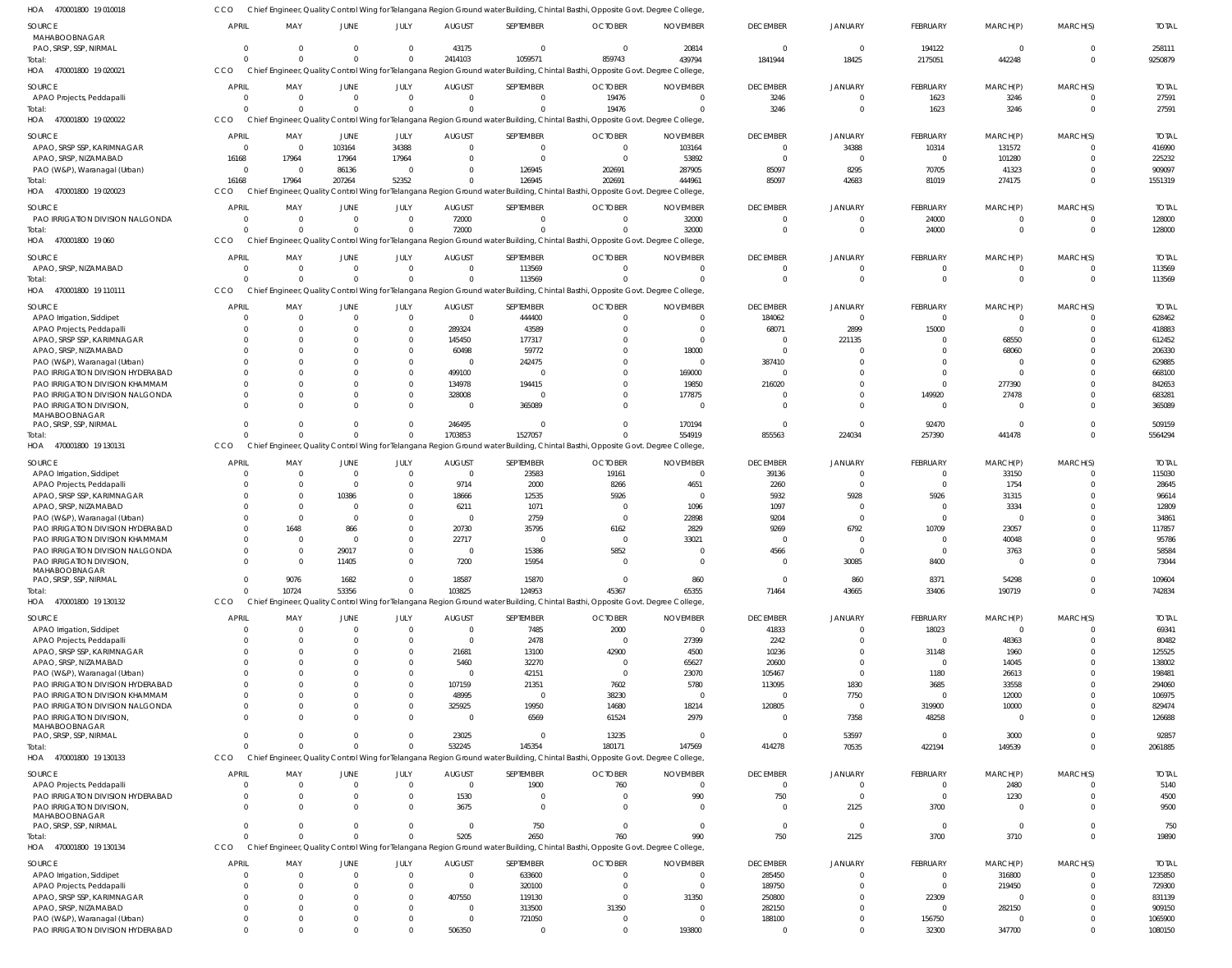470001800 19 010018 HOA 470001800 19 020021 470001800 19 020022 HOA 470001800 19 020023 470001800 19 060 470001800 19 110111 470001800 19 130131 470001800 19 130132 470001800 19 130133 470001800 19 130134 HOA HOA HOA HOA HOA HOA HOA HOA Chief Engineer, Quality Control Wing for Telangana Region Ground water Building, Chintal Basthi, Opposite Govt. Degree College, Chief Engineer, Quality Control Wing for Telangana Region Ground water Building, Chintal Basthi, Opposite Govt. Degree College, Chief Engineer, Quality Control Wing for Telangana Region Ground water Building, Chintal Basthi, Opposite Govt. Degree College, Chief Engineer, Quality Control Wing for Telangana Region Ground water Building, Chintal Basthi, Opposite Govt. Degree College, Chief Engineer, Quality Control Wing for Telangana Region Ground water Building, Chintal Basthi, Opposite Govt. Degree College, Chief Engineer, Quality Control Wing for Telangana Region Ground water Building, Chintal Basthi, Opposite Govt. Degree College, Chief Engineer, Quality Control Wing for Telangana Region Ground water Building, Chintal Basthi, Opposite Govt. Degree College, Chief Engineer, Quality Control Wing for Telangana Region Ground water Building, Chintal Basthi, Opposite Govt. Degree College, Chief Engineer, Quality Control Wing for Telangana Region Ground water Building, Chintal Basthi, Opposite Govt. Degree College, Chief Engineer, Quality Control Wing for Telangana Region Ground water Building, Chintal Basthi, Opposite Govt. Degree College, **CCO** CCO **CCO CCO CCO CCO CCO CCO CCO**  $\Omega$  $\Omega$ 16168  $\Omega$  $\theta$ 0  $\mathsf{C}$  $\sqrt{2}$ 0 0 0 17964  $\Omega$  $\Omega$ 0 10724  $\Omega$ 0  $\Omega$ 0 207264 0  $\theta$ 0 53356  $\Omega$  $\Omega$  $\bigcap$  $\Omega$ 52352  $\Omega$  $\Omega$ 0  $\Omega$  $\Omega$  $\Omega$ 2414103  $\,$  0  $\,$ 0 72000  $\Omega$ 1703853 103825 532245 5205 1059571 0 126945  $\Omega$ 113569 1527057 124953 145354 2650 859743 19476 202691  $\Omega$  $\Omega$ 0 45367 180171 760 439794  $\bigcap$ 444961 32000  $\Omega$ 554919 65355 147569 990 1841944 3246 85097  $\Omega$  $\Omega$ 855563 71464 414278 750 18425 0 42683 0 0 224034 43665 70535 2125 2175051 1623 81019 24000  $\Omega$ 257390 33406 422194 3700 442248 3246 274175 0 0 441478 190719 149539 3710  $\Omega$  $\Omega$ 0  $^{\circ}$  $\Omega$ 0 0 0  $\Omega$ 9250879 27591 1551319 128000 113569 5564294 742834 2061885 19890 MAHABOOBNAGAR PAO, SRSP, SSP, NIRMAL APAO Projects, Peddapalli APAO, SRSP SSP, KARIMNAGAR APAO, SRSP, NIZAMABAD PAO (W&P), Waranagal (Urban) PAO IRRIGATION DIVISION NALGONDA APAO, SRSP, NIZAMABAD APAO Irrigation, Siddipet APAO Projects, Peddapalli APAO, SRSP SSP, KARIMNAGAR APAO, SRSP, NIZAMABAD PAO (W&P), Waranagal (Urban) PAO IRRIGATION DIVISION HYDERABAD PAO IRRIGATION DIVISION KHAMMAM PAO IRRIGATION DIVISION NALGONDA PAO IRRIGATION DIVISION, MAHABOOBNAGAR PAO, SRSP, SSP, NIRMAL APAO Irrigation, Siddipet APAO Projects, Peddapalli APAO, SRSP SSP, KARIMNAGAR APAO, SRSP, NIZAMABAD PAO (W&P), Waranagal (Urban) PAO IRRIGATION DIVISION HYDERABAD PAO IRRIGATION DIVISION KHAMMAM PAO IRRIGATION DIVISION NALGONDA PAO IRRIGATION DIVISION, MAHABOOBNAGAR PAO, SRSP, SSP, NIRMAL APAO Irrigation, Siddipet APAO Projects, Peddapalli APAO, SRSP SSP, KARIMNAGAR APAO, SRSP, NIZAMABAD PAO (W&P), Waranagal (Urban) PAO IRRIGATION DIVISION HYDERABAD PAO IRRIGATION DIVISION KHAMMAM PAO IRRIGATION DIVISION NALGONDA PAO IRRIGATION DIVISION, MAHABOOBNAGAR PAO, SRSP, SSP, NIRMAL APAO Projects, Peddapalli PAO IRRIGATION DIVISION HYDERABAD PAO IRRIGATION DIVISION, MAHABOOBNAGAR PAO, SRSP, SSP, NIRMAL APAO Irrigation, Siddipet APAO Projects, Peddapalli APAO, SRSP SSP, KARIMNAGAR APAO, SRSP, NIZAMABAD PAO (W&P), Waranagal (Urban) SOURCE SOURCE **SOURCE** SOURCE SOURCE SOURCE SOURCE SOURCE **SOURCE** SOURCE 0 0  $\sqrt{2}$ 16168  $\Omega$ 0 0 0 0 0 0  $\Omega$  $\Omega$ 0  $\Omega$  $\Omega$  $\Omega$ 0  $\Omega$  $\Omega$ 0  $\Omega$ 0 0  $\Omega$ 0 0 0  $\Omega$ 0  $\Omega$  $\sqrt{2}$  $\Omega$  $\Omega$ 0  $\Omega$ 0  $\Omega$ 0  $\Omega$ 0 0  $\sqrt{2}$ 0  $\Omega$ 0 APRIL APRIL APRIL APRIL APRIL APRIL **APRIL APRIL** APRIL **APRIL** 0 0  $\Omega$ 17964  $\Omega$ 0  $\Omega$ 0 0 0 0 0  $\Omega$ 0  $\sqrt{2}$ 0  $\Omega$ 0  $\Omega$  $\Omega$ 0  $\sqrt{2}$ 1648  $\Omega$  $\Omega$ 0 9076  $\Omega$  $\Omega$ 0 0 0  $\Omega$  $\Omega$ 0  $\Omega$ 0  $\Omega$ 0 0 0  $\Omega$  $\Omega$ 0  $\Omega$ 0 MAY MAY MAY MAY MAY MAY MAY MAY MAY MAY 0 0 103164 17964 86136 0 0  $\Omega$ 0  $\Omega$ 0  $\Omega$  $\Omega$  $\mathbf{C}$  $\Omega$ 0  $\Omega$ 0  $\Omega$ 10386 0  $\sqrt{2}$ 866 0 29017 11405 1682  $\Omega$  $\Omega$ 0  $\Omega$ 0  $\Omega$  $\Omega$ 0  $\Omega$ 0  $\Omega$ 0 0 0  $\mathsf{C}$  $\Omega$ 0  $\Omega$ 0 JUNE JUNE JUNE **JUNE** JUNE JUNE **JUNE** JUNE JUNE JUNE 0 0 34388 17964  $\Omega$ 0 0  $\Omega$ 0  $\Omega$ 0  $\Omega$  $\Omega$ 0  $\bigcap$ 0  $\Omega$ 0  $\Omega$  $\bigcap$ 0  $\bigcap$ 0  $\Omega$  $\bigcap$ 0  $\Omega$  $\Omega$  $\Omega$ 0  $\Omega$ 0  $\Omega$  $\Omega$ 0  $\bigcap$ 0  $\bigcap$ 0  $\Omega$ 0 0  $\bigcap$ 0  $\Omega$ 0 JULY JULY JULY JULY JULY JULY JULY JULY JULY JULY 43175 0 0 0  $\Omega$ 72000 0  $\Omega$ 289324 145450 60498  $\Omega$ 499100 134978 328008 0 246495 0 9714 18666 6211  $\Omega$ 20730 22717 0 7200 18587  $\Omega$  $\Omega$ 21681 5460 0 107159 48995 325925  $\Omega$ 23025  $\Omega$ 1530 3675 0 0  $\Omega$ 407550  $\Omega$ 0 AUGUST AUGUST AUGUST **AUGUST** AUGUST AUGUST **AUGUST** AUGUST AUGUST AUGUST 0 0  $\Omega$ 0 126945 0 113569 444400 43589 177317 59772 242475  $\sqrt{2}$ 194415 0 365089 0 23583 2000 12535 1071 2759 35795  $\Omega$ 15386 15954 15870 7485 2478 13100 32270 42151 21351  $\sqrt{2}$ 19950 6569 0 1900 0  $\Omega$ 750 633600 320100 119130 313500 721050 SEPTEMBER SEPTEMBER SEPTEMBER SEPTEMBER SEPTEMBER SEPTEMBER SEPTEMBER SEPTEMBER SEPTEMBER SEPTEMBER 0 19476 0 0 202691 0  $\Omega$ 0 0 0 0 0 0 0 0 0  $\Omega$ 19161 8266 5926 0 0 6162  $\Omega$ 5852 0  $\Omega$ 2000  $\Omega$ 42900  $\Omega$ 0 7602 38230 14680 61524 13235 760 0  $\Omega$ 0  $\Omega$  $\Omega$ 0 31350 0 **OCTOBER** OCTOBER **OCTOBER** OCTOBER OCTOBER OCTOBER OCTOBER **OCTOBER OCTOBER** OCTOBER 20814 0 103164 53892 287905 32000  $\Omega$  $\sqrt{2}$ 0 0 18000 0 169000 19850 177875 0 170194 0 4651 0 1096 22898 2829 33021 0 0 860 0 27399 4500 65627 23070 5780 0 18214 2979 0  $\sqrt{2}$ 990  $\Omega$ 0 0  $\bigcap$ 31350  $\sqrt{2}$ 0 NOVEMBER NOVEMBER NOVEMBER NOVEMBER NOVEMBER NOVEMBER NOVEMBER NOVEMBER NOVEMBER NOVEMBER 0 3246  $\bigcap$ 0 85097 0 0 184062 68071 0 0 387410  $\bigcap$ 216020  $\bigcap$ 0  $\bigcap$ 39136 2260 5932 1097 9204 9269  $\Omega$ 4566 0 0 41833 2242 10236 20600 105467 113095  $\bigcap$ 120805  $\Omega$ 0  $\bigcap$ 750 0 0 285450 189750 250800 282150 188100 DECEMBER DECEMBER DECEMBER **DECEMBER** DECEMBER DECEMBER **DECEMBER** DECEMBER DECEMBER DECEMBER 0 0 34388 0 8295  $\mathfrak{c}$  $\Omega$  $\sqrt{2}$ 2899 221135  $\mathfrak{g}$  $\Omega$  $\Omega$ 0  $\Omega$ 0  $\Omega$ 0 0 5928  $\mathbf{C}$ 0 6792 0  $\sqrt{2}$ 30085 860  $\Omega$  $\Omega$ 0 0 0 1830 7750  $\mathbf{C}$ 7358 53597  $\Omega$ 0 2125 0 0  $\Omega$ 0  $\Omega$ 0 JANUARY JANUARY JANUARY JANUARY JANUARY JANUARY JANUARY JANUARY JANUARY JANUARY 194122 1623 10314 0 70705 24000  $\Omega$  $\sqrt{2}$ 15000 0 0  $\Omega$  $\Omega$ 0 149920 0 92470 0 0 5926 0  $\sqrt{2}$ 10709 0 0 8400 8371 18023  $\Omega$ 31148 0 1180 3685  $\Omega$ 319900 48258 0  $\Omega$ 0 3700 0 0  $\Omega$ 22309  $\sqrt{2}$ 156750 FEBRUARY FEBRUARY FEBRUARY **FEBRUARY** FEBRUARY FEBRUARY FEBRUARY FEBRUARY FEBRUARY FEBRUARY 0 3246 131572 101280 41323 0  $\Omega$  $\Omega$  $\overline{0}$ 68550 68060  $\Omega$ 0 277390 27478 0  $\Omega$ 33150 1754 31315 3334  $\sqrt{2}$ 23057 40048 3763 0 54298 0 48363 1960 14045 26613 33558 12000 10000  $\Omega$ 3000 2480 1230 0  $\overline{0}$ 316800 219450 0 282150 0 MARCH(P) MARCH(P) MARCH(P) MARCH(P) MARCH(P) MARCH(P) MARCH(P) MARCH(P) MARCH(P) MARCH(P) 0  $\Omega$ 0 0  $\Omega$ 0 0 0 0  $\Omega$ 0 0  $\bigcap$ 0  $\bigcap$ 0  $\Omega$ 0  $\Omega$  $\bigcap$ 0  $\bigcap$ 0 0 0 0  $\Omega$ 0  $\Omega$ 0  $\Omega$ 0 0 0 0  $\Omega$ 0  $\sqrt{2}$ 0  $^{\circ}$ 0  $^{\circ}$  $\bigcap$ 0  $\Omega$ 0 MARCH(S) MARCH(S) MARCH(S) MARCH(S) MARCH(S) MARCH(S) MARCH(S) MARCH(S) MARCH(S) MARCH(S) 258111 27591 416990 225232 909097 128000 113569 628462 418883 612452 206330 629885 668100 842653 683281 365089 509159 115030 28645 96614 12809 34861 117857 95786 58584 73044 109604 69341 80482 125525 138002 198481 294060 106975 829474 126688 92857 5140 4500 9500 750 1235850 729300 831139 909150 1065900 TOTAL TOTAL TOTAL TOTAL TOTAL TOTAL TOTAL TOTAL TOTAL TOTAL Total: Total: Total: Total: Total: Total: Total: Total: Total:

**CCO** 

PAO IRRIGATION DIVISION HYDERABAD

 $\Omega$ 

 $\Omega$ 

0

 $\Omega$ 

506350

 $\Omega$ 

 $\Omega$ 

193800

 $\Omega$ 

 $\Omega$ 

32300

347700

 $\Omega$ 

1080150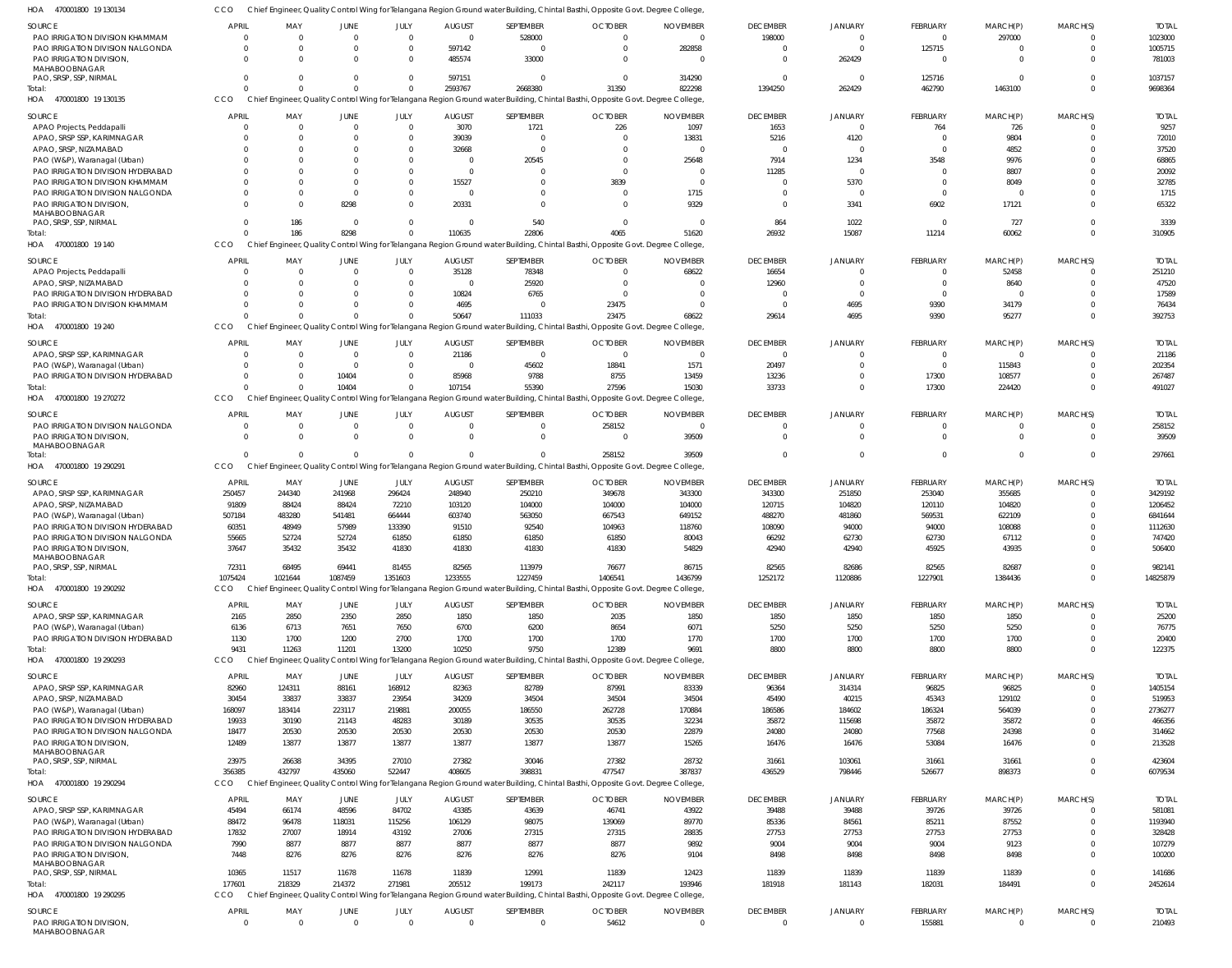CCO Chief Engineer, Quality Control Wing for Telangana Region Ground water Building, Chintal Basthi, Opposite Govt. Degree College,

| HOA<br>470001800 19 130134                                          |                    |                      |                         |                            |                   |                            | Chief Engineer, Quality Control Wing for Telangana Region Ground water Building, Chintal Basthi, Opposite Govt. Degree College  |                      |                           |                          |                            |                           |                      |                    |
|---------------------------------------------------------------------|--------------------|----------------------|-------------------------|----------------------------|-------------------|----------------------------|---------------------------------------------------------------------------------------------------------------------------------|----------------------|---------------------------|--------------------------|----------------------------|---------------------------|----------------------|--------------------|
| SOURCE                                                              | <b>APRIL</b>       | MAY                  | <b>JUNE</b>             | JULY                       | <b>AUGUST</b>     | SEPTEMBER                  | <b>OCTOBER</b>                                                                                                                  | <b>NOVEMBER</b>      | <b>DECEMBER</b>           | <b>JANUARY</b>           | <b>FEBRUARY</b>            | MARCH(P)                  | MARCH(S)             | <b>TOTAI</b>       |
| PAO IRRIGATION DIVISION KHAMMAM                                     | $\Omega$           | $\Omega$             | $\overline{0}$          | $\overline{0}$             | $\Omega$          | 528000                     | $\mathbf{0}$                                                                                                                    | $\Omega$             | 198000                    | $\overline{0}$           | $\overline{0}$             | 297000                    | $\Omega$             | 1023000            |
| PAO IRRIGATION DIVISION NALGONDA                                    | $\Omega$           | $\Omega$             | $\Omega$                | $\mathbf{0}$               | 597142            | $\overline{0}$             | $\mathbf 0$                                                                                                                     | 282858               | $\overline{0}$            | $\Omega$                 | 125715                     | 0                         | $\Omega$             | 1005715            |
| PAO IRRIGATION DIVISION,                                            | $\Omega$           | $\Omega$             | $\Omega$                | $\overline{0}$             | 485574            | 33000                      | $\mathbf 0$                                                                                                                     | $\Omega$             | 0                         | 262429                   | $\overline{0}$             | $\overline{0}$            | $\Omega$             | 781003             |
| MAHABOOBNAGAR                                                       |                    |                      |                         |                            |                   |                            |                                                                                                                                 |                      |                           |                          |                            |                           | $\Omega$             |                    |
| PAO, SRSP, SSP, NIRMAL<br>Total:                                    | $\Omega$           | $\Omega$<br>$\Omega$ | $\Omega$<br>$\Omega$    | $\mathbf 0$<br>$\mathbf 0$ | 597151<br>2593767 | - 0<br>2668380             | $\mathbf 0$<br>31350                                                                                                            | 314290<br>822298     | $\overline{0}$<br>1394250 | $\overline{0}$<br>262429 | 125716<br>462790           | $\overline{0}$<br>1463100 | $\Omega$             | 1037157<br>9698364 |
| HOA<br>470001800 19 130135                                          | CCO                |                      |                         |                            |                   |                            | Chief Engineer, Quality Control Wing for Telangana Region Ground water Building, Chintal Basthi, Opposite Govt. Degree College  |                      |                           |                          |                            |                           |                      |                    |
|                                                                     |                    |                      |                         |                            |                   |                            |                                                                                                                                 |                      |                           |                          |                            |                           |                      |                    |
| <b>SOURCE</b>                                                       | <b>APRIL</b>       | MAY                  | <b>JUNE</b>             | JULY                       | <b>AUGUST</b>     | SEPTEMBER                  | <b>OCTOBER</b>                                                                                                                  | <b>NOVEMBER</b>      | <b>DECEMBER</b>           | <b>JANUARY</b>           | FEBRUARY                   | MARCH(P)                  | MARCH(S)             | <b>TOTAL</b>       |
| APAO Projects, Peddapalli                                           | $\Omega$           | $\Omega$             | $\overline{\mathbf{0}}$ | $\overline{0}$             | 3070              | 1721                       | 226                                                                                                                             | 1097                 | 1653                      | $\overline{0}$           | 764                        | 726                       |                      | 9257               |
| APAO, SRSP SSP, KARIMNAGAR                                          | $\Omega$           | $\Omega$             | $\Omega$                | $\mathbf{0}$               | 39039             | $\overline{0}$             | $\mathbf{0}$                                                                                                                    | 13831                | 5216                      | 4120                     | $\overline{0}$             | 9804                      | $\Omega$             | 72010              |
| APAO, SRSP, NIZAMABAD                                               | $\Omega$           | $\Omega$             | $\Omega$                | $\mathbf{0}$               | 32668             | $\overline{0}$             | $\Omega$                                                                                                                        | $\Omega$             | 0                         | $\Omega$                 | $\mathbf 0$                | 4852                      | $\cap$               | 37520              |
| PAO (W&P), Waranagal (Urban)                                        | $\Omega$           | $\Omega$             | $\Omega$                | $\Omega$                   | $\Omega$          | 20545                      | $\mathbf 0$                                                                                                                     | 25648                | 7914                      | 1234                     | 3548                       | 9976                      | $\cap$               | 68865              |
| PAO IRRIGATION DIVISION HYDERABAD                                   | $\Omega$<br>$\cap$ | $\Omega$<br>$\Omega$ | $\Omega$<br>$\Omega$    | $\Omega$<br>$\Omega$       | $\Omega$          | $\Omega$                   | $\Omega$                                                                                                                        | $\Omega$<br>$\Omega$ | 11285                     | $\circ$                  | $\mathbf 0$                | 8807                      | $\Omega$<br>$\Omega$ | 20092              |
| PAO IRRIGATION DIVISION KHAMMAM<br>PAO IRRIGATION DIVISION NALGONDA | $\Omega$           | $\Omega$             | - 0                     | $\Omega$                   | 15527<br>$\Omega$ | $\overline{0}$<br>$\Omega$ | 3839<br>$\mathbf{0}$                                                                                                            | 1715                 | 0<br>$\Omega$             | 5370<br>$\circ$          | $\mathbf 0$<br>$\mathbf 0$ | 8049<br>$\overline{0}$    | $\Omega$             | 32785<br>1715      |
| PAO IRRIGATION DIVISION                                             | $\Omega$           | $\Omega$             | 8298                    | $\Omega$                   | 20331             | $\Omega$                   | $\mathbf 0$                                                                                                                     | 9329                 | 0                         | 3341                     | 6902                       | 17121                     | $\Omega$             | 65322              |
| MAHABOOBNAGAR                                                       |                    |                      |                         |                            |                   |                            |                                                                                                                                 |                      |                           |                          |                            |                           |                      |                    |
| PAO, SRSP, SSP, NIRMAL                                              | $\Omega$           | 186                  | $\overline{\mathbf{0}}$ | $\overline{0}$             | $\Omega$          | 540                        | $\mathbf 0$                                                                                                                     | - 0                  | 864                       | 1022                     | $\mathbf 0$                | 727                       | $\Omega$             | 3339               |
| Total:                                                              | $\cap$             | 186                  | 8298                    | $\overline{0}$             | 110635            | 22806                      | 4065                                                                                                                            | 51620                | 26932                     | 15087                    | 11214                      | 60062                     | $\Omega$             | 310905             |
| HOA<br>470001800 19 140                                             | CCO                |                      |                         |                            |                   |                            | Chief Engineer, Quality Control Wing for Telangana Region Ground water Building, Chintal Basthi, Opposite Govt. Degree College, |                      |                           |                          |                            |                           |                      |                    |
| SOURCE                                                              | <b>APRIL</b>       | MAY                  | <b>JUNE</b>             | JULY                       | <b>AUGUST</b>     | SEPTEMBER                  | <b>OCTOBER</b>                                                                                                                  | <b>NOVEMBER</b>      | <b>DECEMBER</b>           | <b>JANUARY</b>           | FEBRUARY                   | MARCH(P)                  | MARCH(S)             | <b>TOTAI</b>       |
| APAO Projects, Peddapalli                                           | $\Omega$           | $\Omega$             | $\Omega$                | $\overline{0}$             | 35128             | 78348                      | $\mathbf{0}$                                                                                                                    | 68622                | 16654                     | - 0                      | $^{\circ}$                 | 52458                     | $\Omega$             | 251210             |
| APAO, SRSP, NIZAMABAD                                               | $\Omega$           | $\Omega$             | $\Omega$                | $\Omega$                   | $\Omega$          | 25920                      | $\mathbf 0$                                                                                                                     | $\Omega$             | 12960                     | $\Omega$                 | $\mathbf 0$                | 8640                      | $\Omega$             | 47520              |
| PAO IRRIGATION DIVISION HYDERABAD                                   | $\Omega$           | $\Omega$             | $\Omega$                | $\mathbf{0}$               | 10824             | 6765                       | $\mathbf{0}$                                                                                                                    | $\Omega$             | 0                         | $\Omega$                 | $^{\circ}$                 | $\overline{0}$            | $\Omega$             | 17589              |
| PAO IRRIGATION DIVISION KHAMMAM                                     | $\Omega$           | $\Omega$             | $\Omega$                | $\Omega$                   | 4695              | $\Omega$                   | 23475                                                                                                                           | $\Omega$             | $\Omega$                  | 4695                     | 9390                       | 34179                     | $\Omega$             | 76434              |
| Total:                                                              |                    | $\Omega$             | $\Omega$                | $\Omega$                   | 50647             | 111033                     | 23475                                                                                                                           | 68622                | 29614                     | 4695                     | 9390                       | 95277                     | $\Omega$             | 392753             |
| HOA<br>470001800 19 240                                             | CCO                |                      |                         |                            |                   |                            | Chief Engineer, Quality Control Wing for Telangana Region Ground water Building, Chintal Basthi, Opposite Govt. Degree College, |                      |                           |                          |                            |                           |                      |                    |
| <b>SOURCE</b>                                                       | <b>APRIL</b>       | MAY                  | <b>JUNE</b>             | JULY                       | <b>AUGUST</b>     | SEPTEMBER                  | <b>OCTOBER</b>                                                                                                                  | <b>NOVEMBER</b>      | <b>DECEMBER</b>           | <b>JANUARY</b>           | FEBRUARY                   | MARCH(P)                  | MARCH(S)             | <b>TOTAI</b>       |
| APAO, SRSP SSP, KARIMNAGAR                                          | $\Omega$           | $\overline{0}$       | $\overline{\mathbf{0}}$ | $\overline{0}$             | 21186             | $\overline{0}$             | $\overline{0}$                                                                                                                  | $\overline{0}$       | $\overline{0}$            | $\overline{0}$           | $\mathbf 0$                | 0                         |                      | 21186              |
| PAO (W&P), Waranagal (Urban)                                        | $\Omega$           | $\Omega$             | - 0                     | $\overline{0}$             | $\Omega$          | 45602                      | 18841                                                                                                                           | 1571                 | 20497                     | $\overline{0}$           | $\overline{0}$             | 115843                    | $\Omega$             | 202354             |
| PAO IRRIGATION DIVISION HYDERABAD                                   | $\Omega$           | $\overline{0}$       | 10404                   | $\overline{0}$             | 85968             | 9788                       | 8755                                                                                                                            | 13459                | 13236                     | $\overline{0}$           | 17300                      | 108577                    | $\Omega$             | 267487             |
| Total:                                                              | $\cap$             | $\Omega$             | 10404                   | $\Omega$                   | 107154            | 55390                      | 27596                                                                                                                           | 15030                | 33733                     | $\overline{0}$           | 17300                      | 224420                    | $\Omega$             | 491027             |
| 470001800 19 270272<br>HOA                                          | CCO                |                      |                         |                            |                   |                            | Chief Engineer, Quality Control Wing for Telangana Region Ground water Building, Chintal Basthi, Opposite Govt. Degree College, |                      |                           |                          |                            |                           |                      |                    |
| <b>SOURCE</b>                                                       | <b>APRIL</b>       | MAY                  | JUNE                    | JULY                       | <b>AUGUST</b>     | SEPTEMBER                  | <b>OCTOBER</b>                                                                                                                  | <b>NOVEMBER</b>      | <b>DECEMBER</b>           | <b>JANUARY</b>           | FEBRUARY                   | MARCH(P)                  | MARCH(S)             | <b>TOTAI</b>       |
| PAO IRRIGATION DIVISION NALGONDA                                    | $\Omega$           | $\Omega$             | $\overline{\mathbf{0}}$ | $\overline{0}$             | $\Omega$          | $\overline{0}$             | 258152                                                                                                                          | $\overline{0}$       | $\mathbf 0$               | $\overline{0}$           | $\mathbf 0$                | 0                         | $\Omega$             | 258152             |
| PAO IRRIGATION DIVISION                                             | $\Omega$           | $\Omega$             | $\Omega$                | $\Omega$                   | $\Omega$          | - 0                        | $\mathbf 0$                                                                                                                     | 39509                | $\mathbf 0$               | $\Omega$                 | $\mathbf 0$                | $\overline{0}$            | $\Omega$             | 39509              |
| MAHABOOBNAGAR                                                       |                    |                      |                         |                            |                   |                            |                                                                                                                                 |                      |                           |                          |                            |                           |                      |                    |
| Total:                                                              |                    | $\Omega$             | $\Omega$                | $\Omega$                   | $\Omega$          | $\Omega$                   | 258152                                                                                                                          | 39509                | $\mathbf 0$               | $\Omega$                 | $\overline{0}$             | $\mathbf 0$               | $\Omega$             | 297661             |
| HOA<br>470001800 19 290291                                          | CCO                |                      |                         |                            |                   |                            | Chief Engineer, Quality Control Wing for Telangana Region Ground water Building, Chintal Basthi, Opposite Govt. Degree College, |                      |                           |                          |                            |                           |                      |                    |
| SOURCE                                                              | APRIL              | MAY                  | JUNE                    | JULY                       | <b>AUGUST</b>     | SEPTEMBER                  | <b>OCTOBER</b>                                                                                                                  | <b>NOVEMBER</b>      | <b>DECEMBER</b>           | <b>JANUARY</b>           | FEBRUARY                   | MARCH(P)                  | MARCH(S)             | <b>TOTAI</b>       |
| APAO, SRSP SSP, KARIMNAGAR                                          | 250457             | 244340               | 241968                  | 296424                     | 248940            | 250210                     | 349678                                                                                                                          | 343300               | 343300                    | 251850                   | 253040                     | 355685                    |                      | 3429192            |
| APAO, SRSP, NIZAMABAD                                               | 91809              | 88424                | 88424                   | 72210                      | 103120            | 104000                     | 104000                                                                                                                          | 104000               | 120715                    | 104820                   | 120110                     | 104820                    | $\Omega$             | 1206452            |
| PAO (W&P), Waranagal (Urban)                                        | 507184             | 483280               | 541481                  | 664444                     | 603740            | 563050                     | 667543                                                                                                                          | 649152               | 488270                    | 481860                   | 569531                     | 622109                    |                      | 6841644            |
| PAO IRRIGATION DIVISION HYDERABAD                                   | 60351              | 48949                | 57989                   | 133390                     | 91510             | 92540                      | 104963                                                                                                                          | 118760               | 108090                    | 94000                    | 94000                      | 108088                    |                      | 1112630            |
| PAO IRRIGATION DIVISION NALGONDA                                    | 55665              | 52724                | 52724                   | 61850                      | 61850             | 61850                      | 61850                                                                                                                           | 80043                | 66292                     | 62730                    | 62730                      | 67112                     |                      | 747420             |
| PAO IRRIGATION DIVISION,                                            | 37647              | 35432                | 35432                   | 41830                      | 41830             | 41830                      | 41830                                                                                                                           | 54829                | 42940                     | 42940                    | 45925                      | 43935                     | $\Omega$             | 506400             |
| MAHABOOBNAGAR<br>PAO, SRSP, SSP, NIRMAL                             | 72311              | 68495                | 69441                   | 81455                      | 82565             | 113979                     | 76677                                                                                                                           | 86715                | 82565                     | 82686                    | 82565                      | 82687                     | $\Omega$             | 982141             |
| Total:                                                              | 1075424            | 1021644              | 1087459                 | 1351603                    | 1233555           | 1227459                    | 1406541                                                                                                                         | 1436799              | 1252172                   | 1120886                  | 1227901                    | 1384436                   | $\Omega$             | 14825879           |
| HOA 470001800 19 290292                                             | CCO                |                      |                         |                            |                   |                            | Chief Engineer, Quality Control Wing for Telangana Region Ground water Building, Chintal Basthi, Opposite Govt. Degree College, |                      |                           |                          |                            |                           |                      |                    |
|                                                                     |                    |                      |                         |                            |                   |                            |                                                                                                                                 |                      |                           |                          |                            |                           |                      |                    |
| <b>SOURCE</b>                                                       | APRIL              | MAY                  | <b>JUNE</b>             | JULY                       | <b>AUGUST</b>     | SEPTEMBER                  | <b>OCTOBER</b>                                                                                                                  | <b>NOVEMBER</b>      | <b>DECEMBER</b>           | <b>JANUARY</b>           | FEBRUARY                   | MARCH(P)                  | MARCH(S)<br>$\Omega$ | <b>TOTAL</b>       |
| APAO, SRSP SSP, KARIMNAGAR                                          | 2165<br>6136       | 2850<br>6713         | 2350                    | 2850                       | 1850              | 1850<br>6200               | 2035<br>8654                                                                                                                    | 1850<br>6071         | 1850                      | 1850                     | 1850                       | 1850                      | $\Omega$             | 25200              |
| PAO (W&P), Waranagal (Urban)<br>PAO IRRIGATION DIVISION HYDERABAD   | 1130               | 1700                 | 7651<br>1200            | 7650<br>2700               | 6700<br>1700      | 1700                       | 1700                                                                                                                            | 1770                 | 5250<br>1700              | 5250<br>1700             | 5250<br>1700               | 5250<br>1700              | $\Omega$             | 76775<br>20400     |
| Total:                                                              | 9431               | 11263                | 11201                   | 13200                      | 10250             | 9750                       | 12389                                                                                                                           | 9691                 | 8800                      | 8800                     | 8800                       | 8800                      | $\Omega$             | 122375             |
| 470001800 19 290293<br>HOA                                          | CCO                |                      |                         |                            |                   |                            | Chief Engineer, Quality Control Wing for Telangana Region Ground water Building, Chintal Basthi, Opposite Govt. Degree College, |                      |                           |                          |                            |                           |                      |                    |
|                                                                     |                    |                      |                         |                            |                   |                            |                                                                                                                                 |                      |                           |                          |                            |                           |                      |                    |
| SOURCE                                                              | <b>APRIL</b>       | MAY                  | <b>JUNE</b>             | JULY                       | <b>AUGUST</b>     | SEPTEMBER                  | <b>OCTOBER</b>                                                                                                                  | <b>NOVEMBER</b>      | <b>DECEMBER</b>           | <b>JANUARY</b>           | FEBRUARY                   | MARCH(P)                  | MARCH(S)             | <b>TOTAL</b>       |
| APAO, SRSP SSP, KARIMNAGAR<br>APAO, SRSP, NIZAMABAD                 | 82960<br>30454     | 124311<br>33837      | 88161<br>33837          | 168912<br>23954            | 82363<br>34209    | 82789<br>34504             | 87991<br>34504                                                                                                                  | 83339<br>34504       | 96364<br>45490            | 314314<br>40215          | 96825<br>45343             | 96825<br>129102           | $\Omega$<br>$\Omega$ | 1405154<br>519953  |
|                                                                     | 168097             | 183414               | 223117                  | 219881                     | 200055            | 186550                     | 262728                                                                                                                          | 170884               | 186586                    | 184602                   | 186324                     | 564039                    | $\Omega$             | 2736277            |
| PAO (W&P), Waranagal (Urban)<br>PAO IRRIGATION DIVISION HYDERABAD   | 19933              | 30190                | 21143                   | 48283                      | 30189             | 30535                      | 30535                                                                                                                           | 32234                | 35872                     | 115698                   | 35872                      | 35872                     | $\Omega$             | 466356             |
| PAO IRRIGATION DIVISION NALGONDA                                    | 18477              | 20530                | 20530                   | 20530                      | 20530             | 20530                      | 20530                                                                                                                           | 22879                | 24080                     | 24080                    | 77568                      | 24398                     | $\Omega$             | 314662             |
| PAO IRRIGATION DIVISION,                                            | 12489              | 13877                | 13877                   | 13877                      | 13877             | 13877                      | 13877                                                                                                                           | 15265                | 16476                     | 16476                    | 53084                      | 16476                     | $\Omega$             | 213528             |
| MAHABOOBNAGAR                                                       |                    |                      |                         |                            |                   |                            |                                                                                                                                 |                      |                           |                          |                            |                           |                      |                    |
| PAO, SRSP, SSP, NIRMAL                                              | 23975              | 26638                | 34395                   | 27010                      | 27382             | 30046                      | 27382                                                                                                                           | 28732                | 31661                     | 103061                   | 31661                      | 31661                     | $\Omega$             | 423604             |
| Total:                                                              | 356385             | 432797               | 435060                  | 522447                     | 408605            | 398831                     | 477547                                                                                                                          | 387837               | 436529                    | 798446                   | 526677                     | 898373                    | $\Omega$             | 6079534            |
| 470001800 19 290294<br>HOA                                          | CCO                |                      |                         |                            |                   |                            | Chief Engineer, Quality Control Wing for Telangana Region Ground water Building, Chintal Basthi, Opposite Govt. Degree College, |                      |                           |                          |                            |                           |                      |                    |
| <b>SOURCE</b>                                                       | APRIL              | MAY                  | <b>JUNE</b>             | JULY                       | <b>AUGUST</b>     | SEPTEMBER                  | <b>OCTOBER</b>                                                                                                                  | <b>NOVEMBER</b>      | <b>DECEMBER</b>           | <b>JANUARY</b>           | FEBRUARY                   | MARCH(P)                  | MARCH(S)             | <b>TOTAL</b>       |
| APAO, SRSP SSP, KARIMNAGAR                                          | 45494              | 66174                | 48596                   | 84702                      | 43385             | 43639                      | 46741                                                                                                                           | 43922                | 39488                     | 39488                    | 39726                      | 39726                     | $\Omega$             | 581081             |
| PAO (W&P), Waranagal (Urban)                                        | 88472              | 96478                | 118031                  | 115256                     | 106129            | 98075                      | 139069                                                                                                                          | 89770                | 85336                     | 84561                    | 85211                      | 87552                     | $\Omega$             | 1193940            |
| PAO IRRIGATION DIVISION HYDERABAD                                   | 17832              | 27007                | 18914                   | 43192                      | 27006             | 27315                      | 27315                                                                                                                           | 28835                | 27753                     | 27753                    | 27753                      | 27753                     | $\Omega$             | 328428             |
| PAO IRRIGATION DIVISION NALGONDA                                    | 7990               | 8877                 | 8877                    | 8877                       | 8877              | 8877                       | 8877                                                                                                                            | 9892                 | 9004                      | 9004                     | 9004                       | 9123                      | $\Omega$             | 107279             |
| PAO IRRIGATION DIVISION                                             | 7448               | 8276                 | 8276                    | 8276                       | 8276              | 8276                       | 8276                                                                                                                            | 9104                 | 8498                      | 8498                     | 8498                       | 8498                      | $\Omega$             | 100200             |
| MAHABOOBNAGAR<br>PAO, SRSP, SSP, NIRMAL                             | 10365              | 11517                | 11678                   | 11678                      | 11839             | 12991                      | 11839                                                                                                                           | 12423                | 11839                     | 11839                    | 11839                      | 11839                     | $\Omega$             | 141686             |
| Total:                                                              | 177601             | 218329               | 214372                  | 271981                     | 205512            | 199173                     | 242117                                                                                                                          | 193946               | 181918                    | 181143                   | 182031                     | 184491                    | $\Omega$             | 2452614            |
| 470001800 19 290295<br>HOA                                          | CCO                |                      |                         |                            |                   |                            | Chief Engineer, Quality Control Wing for Telangana Region Ground water Building, Chintal Basthi, Opposite Govt. Degree College, |                      |                           |                          |                            |                           |                      |                    |
| <b>SOURCE</b>                                                       | <b>APRIL</b>       | MAY                  | <b>JUNE</b>             | JULY                       | <b>AUGUST</b>     | SEPTEMBER                  | <b>OCTOBER</b>                                                                                                                  | <b>NOVEMBER</b>      | <b>DECEMBER</b>           | <b>JANUARY</b>           | FEBRUARY                   | MARCH(P)                  | MARCH(S)             | <b>TOTAL</b>       |
| PAO IRRIGATION DIVISION                                             | $\Omega$           | $\Omega$             | $\overline{0}$          | $\overline{0}$             | $\overline{0}$    | $\overline{0}$             | 54612                                                                                                                           | $\mathbf 0$          | $\overline{0}$            | $\overline{0}$           | 155881                     | $\overline{0}$            | $\overline{0}$       | 210493             |
|                                                                     |                    |                      |                         |                            |                   |                            |                                                                                                                                 |                      |                           |                          |                            |                           |                      |                    |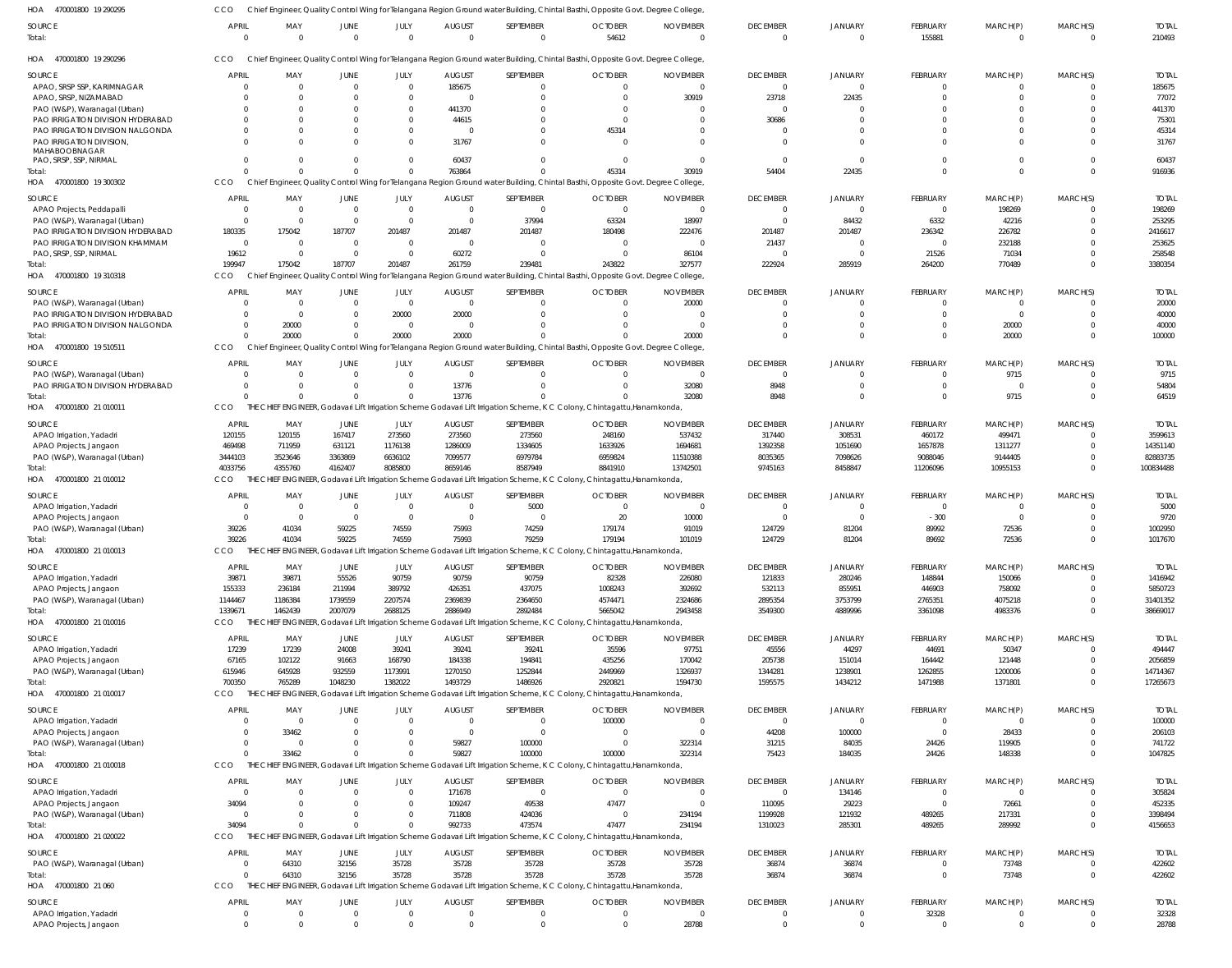| HOA 470001800 19 290295                   |                                |                          |                               |                        |                               |                                                                                                  | Chief Engineer, Quality Control Wing for Telangana Region Ground water Building, Chintal Basthi, Opposite Govt. Degree College           |                             |                             |                            |                            |                            |                      |                         |
|-------------------------------------------|--------------------------------|--------------------------|-------------------------------|------------------------|-------------------------------|--------------------------------------------------------------------------------------------------|------------------------------------------------------------------------------------------------------------------------------------------|-----------------------------|-----------------------------|----------------------------|----------------------------|----------------------------|----------------------|-------------------------|
| SOURCE<br>Total:                          | <b>APRIL</b><br>$\overline{0}$ | MAY<br>$\overline{0}$    | <b>JUNE</b><br>$\overline{0}$ | JULY<br>$\overline{0}$ | <b>AUGUST</b><br>$\mathbf{0}$ | SEPTEMBER<br>$\overline{0}$                                                                      | <b>OCTOBER</b><br>54612                                                                                                                  | <b>NOVEMBER</b><br>$\Omega$ | <b>DECEMBER</b><br>$\Omega$ | <b>JANUARY</b><br>$\Omega$ | <b>FEBRUARY</b><br>155881  | MARCH(P)<br>$\overline{0}$ | MARCH(S)<br>$\Omega$ | <b>TOTAI</b><br>210493  |
| 470001800 19 290296<br>HOA                | CCO                            |                          |                               |                        |                               |                                                                                                  | Chief Engineer, Quality Control Wing for Telangana Region Ground water Building, Chintal Basthi, Opposite Govt. Degree College,          |                             |                             |                            |                            |                            |                      |                         |
| <b>SOURCE</b>                             | <b>APRIL</b>                   | MAY                      | JUNE                          | JULY                   | <b>AUGUST</b>                 | SEPTEMBER                                                                                        | <b>OCTOBER</b>                                                                                                                           | <b>NOVEMBER</b>             | <b>DECEMBER</b>             | JANUARY                    | <b>FEBRUARY</b>            | MARCH(P)                   | MARCH(S)             | <b>TOTAL</b>            |
| APAO, SRSP SSP, KARIMNAGAR                | $\Omega$                       | $\overline{0}$           | $\overline{0}$                | $\Omega$               | 185675                        | $\mathbf 0$                                                                                      | $\overline{0}$                                                                                                                           | $\mathbf 0$                 | $\overline{0}$              | $\Omega$                   | $\overline{0}$             | $\overline{0}$             | $\Omega$             | 185675                  |
| APAO, SRSP, NIZAMABAD                     | $\Omega$                       | $\overline{0}$           | $\Omega$                      | $\Omega$               | 0                             | 0                                                                                                | $\mathbf{0}$                                                                                                                             | 30919                       | 23718                       | 22435                      | $\overline{0}$             | $\Omega$                   | $\Omega$             | 77072                   |
| PAO (W&P), Waranagal (Urban)              | $\Omega$                       | $\Omega$                 | -0                            | - 0                    | 441370                        |                                                                                                  | 0                                                                                                                                        | $\Omega$                    | $\Omega$                    | $\Omega$                   | $\Omega$                   |                            |                      | 441370                  |
| PAO IRRIGATION DIVISION HYDERABAD         | $\Omega$                       | $\Omega$                 | $\Omega$                      | $\Omega$               | 44615                         |                                                                                                  | 0                                                                                                                                        | $\Omega$                    | 30686                       | $\Omega$                   | $\Omega$                   | $\Omega$                   | $\Omega$             | 75301                   |
| PAO IRRIGATION DIVISION NALGONDA          | $\Omega$                       | $\Omega$                 | $\Omega$                      | $\Omega$               | 0                             |                                                                                                  | 45314                                                                                                                                    | $\Omega$                    | $\Omega$                    | $\Omega$                   | $\Omega$                   | $\Omega$                   |                      | 45314                   |
| PAO IRRIGATION DIVISION,<br>MAHABOOBNAGAR | $\Omega$                       | $\Omega$                 | $\Omega$                      | $\Omega$               | 31767                         |                                                                                                  | $\Omega$                                                                                                                                 | $\Omega$                    | $\Omega$                    | $\Omega$                   | $\Omega$                   | $\Omega$                   | $\Omega$             | 31767                   |
| PAO, SRSP, SSP, NIRMAL                    | $\Omega$<br>$\Omega$           | $\Omega$<br>$\Omega$     | $\Omega$<br>$\Omega$          | $\Omega$               | 60437                         |                                                                                                  | $\Omega$                                                                                                                                 | $\Omega$                    | $\Omega$                    | $\Omega$                   | $\Omega$<br>$\overline{0}$ | $\Omega$<br>$\overline{0}$ | $\Omega$<br>$\Omega$ | 60437                   |
| Total:<br>HOA 470001800 19 300302         | CCO                            |                          |                               |                        | 763864                        |                                                                                                  | 45314<br>Chief Engineer, Quality Control Wing for Telangana Region Ground water Building, Chintal Basthi, Opposite Govt. Degree College, | 30919                       | 54404                       | 22435                      |                            |                            |                      | 916936                  |
|                                           |                                |                          |                               |                        |                               |                                                                                                  |                                                                                                                                          |                             |                             |                            |                            |                            |                      |                         |
| SOURCE                                    | <b>APRIL</b>                   | MAY                      | JUNE                          | JULY                   | <b>AUGUST</b>                 | SEPTEMBER                                                                                        | <b>OCTOBER</b>                                                                                                                           | <b>NOVEMBER</b>             | <b>DECEMBER</b>             | JANUARY                    | <b>FEBRUARY</b>            | MARCH(P)                   | MARCH(S)             | <b>TOTAI</b>            |
| APAO Projects, Peddapalli                 | $\overline{0}$                 | $\overline{0}$           | $\overline{0}$                | $\overline{0}$         | $\overline{0}$                | $\Omega$                                                                                         | $\overline{0}$                                                                                                                           | $\overline{0}$              | $\Omega$                    | $\Omega$                   | $\overline{0}$             | 198269                     | $\Omega$             | 198269                  |
| PAO (W&P), Waranagal (Urban)              | $\overline{0}$                 | $\overline{0}$           | $\overline{0}$                | $\Omega$               | $\overline{0}$                | 37994                                                                                            | 63324                                                                                                                                    | 18997                       | $\Omega$                    | 84432                      | 6332                       | 42216                      | $\Omega$             | 253295                  |
| PAO IRRIGATION DIVISION HYDERABAD         | 180335                         | 175042                   | 187707                        | 201487                 | 201487                        | 201487                                                                                           | 180498                                                                                                                                   | 222476                      | 201487                      | 201487                     | 236342                     | 226782                     |                      | 2416617                 |
| PAO IRRIGATION DIVISION KHAMMAM           | $\Omega$                       | - 0                      | $\overline{0}$                | $\Omega$<br>$\Omega$   | $\overline{0}$                | $\Omega$<br>$\Omega$                                                                             | 0                                                                                                                                        | 0                           | 21437<br>$\Omega$           | $\Omega$<br>$\Omega$       | $\overline{0}$             | 232188                     | $\Omega$             | 253625                  |
| PAO, SRSP, SSP, NIRMAL<br>Total:          | 19612<br>199947                | $\overline{0}$<br>175042 | $\overline{0}$<br>187707      | 201487                 | 60272<br>261759               | 239481                                                                                           | $\Omega$<br>243822                                                                                                                       | 86104<br>327577             | 222924                      | 285919                     | 21526<br>264200            | 71034<br>770489            | $\Omega$             | 258548<br>3380354       |
| HOA 470001800 19 310318                   | CCO                            |                          |                               |                        |                               |                                                                                                  | Chief Engineer, Quality Control Wing for Telangana Region Ground water Building, Chintal Basthi, Opposite Govt. Degree College           |                             |                             |                            |                            |                            |                      |                         |
| SOURCE                                    | <b>APRIL</b>                   | MAY                      | JUNE                          | JULY                   | <b>AUGUST</b>                 | SEPTEMBER                                                                                        | <b>OCTOBER</b>                                                                                                                           | <b>NOVEMBER</b>             | <b>DECEMBER</b>             | <b>JANUARY</b>             | <b>FEBRUARY</b>            | MARCH(P)                   | MARCH(S)             | <b>TOTAI</b>            |
| PAO (W&P), Waranagal (Urban)              | $\Omega$                       | $\overline{0}$           | 0                             | $\overline{0}$         | $\overline{0}$                | 0                                                                                                | $\mathbf{0}$                                                                                                                             | 20000                       | $\Omega$                    | $\Omega$                   | $\overline{0}$             | - 0                        | $\Omega$             | 20000                   |
| PAO IRRIGATION DIVISION HYDERABAD         | $\Omega$                       | $\overline{0}$           | 0                             | 20000                  | 20000                         |                                                                                                  | $\Omega$                                                                                                                                 | $\overline{0}$              | $\Omega$                    | $\Omega$                   | $\overline{0}$             | $\overline{0}$             | $\Omega$             | 40000                   |
| PAO IRRIGATION DIVISION NALGONDA          | $\overline{0}$                 | 20000                    | $\mathbf 0$                   | $\overline{0}$         | 0                             |                                                                                                  |                                                                                                                                          | $\Omega$                    | $\Omega$                    | $\Omega$                   | $\overline{0}$             | 20000                      | $\Omega$             | 40000                   |
| Total:                                    | $\Omega$                       | 20000                    | $\Omega$                      | 20000                  | 20000                         |                                                                                                  |                                                                                                                                          | 20000                       | $\Omega$                    | $\Omega$                   | $\overline{0}$             | 20000                      | $\Omega$             | 100000                  |
| HOA 470001800 19510511                    | CCO                            |                          |                               |                        |                               |                                                                                                  | Chief Engineer, Quality Control Wing for Telangana Region Ground water Building, Chintal Basthi, Opposite Govt. Degree College           |                             |                             |                            |                            |                            |                      |                         |
| SOURCE                                    | <b>APRIL</b>                   | MAY                      | JUNE                          | JULY                   | <b>AUGUST</b>                 | SEPTEMBER                                                                                        | <b>OCTOBER</b>                                                                                                                           | <b>NOVEMBER</b>             | <b>DECEMBER</b>             | JANUARY                    | <b>FEBRUARY</b>            | MARCH(P)                   | MARCH(S)             | <b>TOTAI</b>            |
| PAO (W&P), Waranagal (Urban)              | $\Omega$                       | $\Omega$                 | $\Omega$                      | $\Omega$               | $\overline{0}$                | $\Omega$                                                                                         | $\Omega$                                                                                                                                 | 0                           | $\Omega$                    | $\Omega$                   | $\overline{0}$             | 9715                       | $\Omega$             | 9715                    |
| PAO IRRIGATION DIVISION HYDERABAD         | $\Omega$                       | $\Omega$                 | $\Omega$                      | $\Omega$               | 13776                         | $\Omega$                                                                                         | $\Omega$                                                                                                                                 | 32080                       | 8948                        | $\Omega$                   | $\overline{0}$             | $\overline{0}$             | $\Omega$             | 54804                   |
| Total:                                    | $\Omega$                       | $\Omega$                 | $\mathbf{0}$                  | $\Omega$               | 13776                         |                                                                                                  |                                                                                                                                          | 32080                       | 8948                        | $\Omega$                   | $\overline{0}$             | 9715                       | $\Omega$             | 64519                   |
| HOA 470001800 21 010011                   | CCO                            |                          |                               |                        |                               |                                                                                                  | THE CHIEF ENGINEER, Godavari Lift Irrigation Scheme Godavari Lift Irrigation Scheme, K C Colony, Chintagattu, Hanamkonda                 |                             |                             |                            |                            |                            |                      |                         |
| SOURCE                                    | APRIL                          | MAY                      | JUNE                          | JULY                   | <b>AUGUST</b>                 | SEPTEMBER                                                                                        | <b>OCTOBER</b>                                                                                                                           | <b>NOVEMBER</b>             | <b>DECEMBER</b>             | JANUARY                    | <b>FEBRUARY</b>            | MARCH(P)                   | MARCH(S)             | <b>TOTAI</b>            |
| APAO Irrigation, Yadadri                  | 120155                         | 120155                   | 167417                        | 273560                 | 273560                        | 273560                                                                                           | 248160                                                                                                                                   | 537432                      | 317440                      | 308531                     | 460172                     | 499471                     |                      | 3599613                 |
| APAO Projects, Jangaon                    | 469498                         | 711959                   | 631121                        | 1176138                | 1286009                       | 1334605                                                                                          | 1633926                                                                                                                                  | 1694681                     | 1392358                     | 1051690                    | 1657878                    | 1311277                    |                      | 14351140                |
| PAO (W&P), Waranagal (Urban)              | 3444103                        | 3523646                  | 3363869                       | 6636102                | 7099577                       | 6979784                                                                                          | 6959824                                                                                                                                  | 11510388                    | 8035365                     | 7098626                    | 9088046                    | 9144405                    | $\Omega$             | 82883735                |
| Total:                                    | 4033756                        | 4355760                  | 4162407                       | 8085800                | 8659146                       | 8587949                                                                                          | 8841910                                                                                                                                  | 13742501                    | 9745163                     | 8458847                    | 11206096                   | 10955153                   | $\Omega$             | 100834488               |
| HOA 470001800 21 010012                   | CCO                            | THE                      |                               |                        |                               |                                                                                                  | CHIEF ENGINEER, Godavari Lift Irrigation Scheme Godavari Lift Irrigation Scheme, K C Colony, Chintagattu, Hanamkonda                     |                             |                             |                            |                            |                            |                      |                         |
| SOURCE                                    | <b>APRIL</b>                   | MAY                      | JUNE                          | JULY                   | <b>AUGUST</b>                 | SEPTEMBER                                                                                        | <b>OCTOBER</b>                                                                                                                           | <b>NOVEMBER</b>             | <b>DECEMBER</b>             | JANUARY                    | <b>FEBRUARY</b>            | MARCH(P)                   | MARCH(S)             | <b>TOTAI</b>            |
| APAO Irrigation, Yadadri                  | $\Omega$                       | $\overline{0}$           | 0                             | $\Omega$               | $\overline{0}$                | 5000                                                                                             | $\overline{0}$                                                                                                                           | 0                           | $\Omega$                    | $\Omega$                   | $\overline{0}$             | $\overline{0}$             | $\Omega$             | 5000                    |
| APAO Projects, Jangaon                    | $\Omega$                       | $\overline{0}$           | $\overline{0}$                | $\overline{0}$         | $\overline{0}$                | $\Omega$                                                                                         | 20                                                                                                                                       | 10000                       | $\Omega$                    | $\Omega$                   | $-300$                     | $\overline{0}$             | $\Omega$             | 9720                    |
| PAO (W&P), Waranagal (Urban)              | 39226                          | 41034                    | 59225                         | 74559                  | 75993                         | 74259                                                                                            | 179174                                                                                                                                   | 91019                       | 124729                      | 81204                      | 89992                      | 72536                      |                      | 1002950                 |
| Total:<br>HOA 470001800 21 010013         | 39226<br>CCO                   | 41034                    | 59225                         | 74559                  | 75993                         | 79259                                                                                            | 179194<br>THE CHIEF ENGINEER, Godavari Lift Irrigation Scheme Godavari Lift Irrigation Scheme, K C Colony, Chintagattu, Hanamkonda       | 101019                      | 124729                      | 81204                      | 89692                      | 72536                      | $\Omega$             | 1017670                 |
|                                           |                                |                          |                               |                        |                               |                                                                                                  |                                                                                                                                          |                             |                             |                            |                            |                            |                      |                         |
| <b>SOURCE</b><br>APAO Irrigation, Yadadri | <b>APRIL</b><br>39871          | MAY<br>39871             | JUNE<br>55526                 | JULY<br>90759          | <b>AUGUST</b><br>90759        | SEPTEMBER<br>90759                                                                               | <b>OCTOBER</b><br>82328                                                                                                                  | <b>NOVEMBER</b><br>226080   | <b>DECEMBER</b><br>121833   | JANUARY<br>280246          | <b>FEBRUARY</b><br>148844  | MARCH(P)<br>150066         | MARCH(S)<br>$\Omega$ | <b>TOTAL</b><br>1416942 |
| APAO Projects, Jangaon                    | 155333                         | 236184                   | 211994                        | 389792                 | 426351                        | 437075                                                                                           | 1008243                                                                                                                                  | 392692                      | 532113                      | 855951                     | 446903                     | 758092                     | $\Omega$             | 5850723                 |
| PAO (W&P), Waranagal (Urban)              | 1144467                        | 1186384                  | 1739559                       | 2207574                | 2369839                       | 2364650                                                                                          | 4574471                                                                                                                                  | 2324686                     | 2895354                     | 3753799                    | 2765351                    | 4075218                    | $\Omega$             | 31401352                |
| Total:                                    | 1339671                        | 1462439                  | 2007079                       | 2688125                | 2886949                       | 2892484                                                                                          | 5665042                                                                                                                                  | 2943458                     | 3549300                     | 4889996                    | 3361098                    | 4983376                    | $\Omega$             | 38669017                |
| HOA 470001800 21 010016                   | <b>CCO</b>                     |                          |                               |                        |                               | THE CHIEF ENGINEER, Godavari Lift Irrigation Scheme Godavari Lift Irrigation Scheme, K C Colony, | Chintagattu, Hanamkonda                                                                                                                  |                             |                             |                            |                            |                            |                      |                         |
| SOURCE                                    | APRIL                          | MAY                      | JUNE                          | JULY                   | <b>AUGUST</b>                 | SEPTEMBER                                                                                        | <b>OCTOBER</b>                                                                                                                           | <b>NOVEMBER</b>             | <b>DECEMBER</b>             | JANUARY                    | FEBRUARY                   | MARCH(P)                   | MARCH(S)             | <b>TOTAL</b>            |
| APAO Irrigation, Yadadri                  | 17239                          | 17239                    | 24008                         | 39241                  | 39241                         | 39241                                                                                            | 35596                                                                                                                                    | 97751                       | 45556                       | 44297                      | 44691                      | 50347                      | $\Omega$             | 494447                  |
| APAO Projects, Jangaon                    | 67165                          | 102122                   | 91663                         | 168790                 | 184338                        | 194841                                                                                           | 435256                                                                                                                                   | 170042                      | 205738                      | 151014                     | 164442                     | 121448                     | $\Omega$             | 2056859                 |
| PAO (W&P), Waranagal (Urban)              | 615946                         | 645928                   | 932559                        | 1173991                | 1270150                       | 1252844                                                                                          | 2449969                                                                                                                                  | 1326937                     | 1344281                     | 1238901                    | 1262855                    | 1200006                    | $\Omega$             | 14714367                |
| Total:                                    | 700350                         | 765289                   | 1048230                       | 1382022                | 1493729                       | 1486926                                                                                          | 2920821                                                                                                                                  | 1594730                     | 1595575                     | 1434212                    | 1471988                    | 1371801                    | $\Omega$             | 17265673                |
| HOA 470001800 21 010017                   | CCO                            |                          |                               |                        |                               |                                                                                                  | THE CHIEF ENGINEER, Godavari Lift Irrigation Scheme Godavari Lift Irrigation Scheme, K C Colony, Chintagattu, Hanamkonda                 |                             |                             |                            |                            |                            |                      |                         |
| SOURCE                                    | <b>APRIL</b>                   | MAY                      | JUNE                          | JULY                   | <b>AUGUST</b>                 | SEPTEMBER                                                                                        | <b>OCTOBER</b>                                                                                                                           | <b>NOVEMBER</b>             | <b>DECEMBER</b>             | JANUARY                    | <b>FEBRUARY</b>            | MARCH(P)                   | MARCH(S)             | <b>TOTAL</b>            |
| APAO Irrigation, Yadadri                  | $\Omega$                       | $\overline{0}$           | $\mathbf 0$                   | $\Omega$               | 0                             | 0                                                                                                | 100000                                                                                                                                   | $\mathbf 0$                 | $\overline{0}$              | $\Omega$                   | $\overline{0}$             | $\overline{0}$             |                      | 100000                  |
| APAO Projects, Jangaon                    | $\Omega$                       | 33462                    | $\Omega$                      | $\Omega$               | $\overline{0}$                | $\Omega$                                                                                         | $\overline{0}$                                                                                                                           | $\overline{0}$              | 44208                       | 100000                     | $\overline{0}$             | 28433                      | $\Omega$             | 206103                  |
| PAO (W&P), Waranagal (Urban)              | $\Omega$                       | $\overline{0}$           | $\Omega$                      | $\Omega$               | 59827                         | 100000                                                                                           | $\Omega$                                                                                                                                 | 322314                      | 31215                       | 84035                      | 24426                      | 119905                     | $\Omega$             | 741722                  |
| Total:                                    | $\Omega$                       | 33462                    | $\Omega$                      |                        | 59827                         | 100000                                                                                           | 100000                                                                                                                                   | 322314                      | 75423                       | 184035                     | 24426                      | 148338                     | $\Omega$             | 1047825                 |
| HOA 470001800 21 010018                   | CCO                            |                          |                               |                        |                               |                                                                                                  | THE CHIEF ENGINEER, Godavari Lift Irrigation Scheme Godavari Lift Irrigation Scheme, K C Colony, Chintagattu, Hanamkonda                 |                             |                             |                            |                            |                            |                      |                         |
| SOURCE                                    | <b>APRIL</b>                   | MAY                      | <b>JUNE</b>                   | JULY                   | <b>AUGUST</b>                 | SEPTEMBER                                                                                        | <b>OCTOBER</b>                                                                                                                           | <b>NOVEMBER</b>             | <b>DECEMBER</b>             | JANUARY                    | <b>FEBRUARY</b>            | MARCH(P)                   | MARCH(S)             | <b>TOTAI</b>            |
| APAO Irrigation, Yadadri                  | $\Omega$                       | $\overline{0}$           | 0                             | $\Omega$               | 171678                        | $\overline{0}$                                                                                   | $\overline{0}$                                                                                                                           | $\overline{0}$              | $\overline{0}$              | 134146                     | $\overline{0}$             | $\overline{0}$             | $\Omega$             | 305824                  |
| APAO Projects, Jangaon                    | 34094                          | $\Omega$                 | $\Omega$                      | $\Omega$               | 109247                        | 49538                                                                                            | 47477                                                                                                                                    | $\overline{0}$              | 110095                      | 29223                      | $\overline{0}$             | 72661                      | $\Omega$             | 452335                  |
| PAO (W&P), Waranagal (Urban)              | $\Omega$                       | $\Omega$                 | $\Omega$                      | $\Omega$               | 711808                        | 424036                                                                                           | $\overline{0}$                                                                                                                           | 234194                      | 1199928                     | 121932                     | 489265                     | 217331                     | $\Omega$             | 3398494                 |
| Total:                                    | 34094                          | $\Omega$                 | $\Omega$                      |                        | 992733                        | 473574                                                                                           | 47477                                                                                                                                    | 234194                      | 1310023                     | 285301                     | 489265                     | 289992                     | $\Omega$             | 4156653                 |
| HOA 470001800 21 020022                   | CCO                            | THE                      |                               |                        |                               |                                                                                                  | CHIEF ENGINEER, Godavari Lift Irrigation Scheme Godavari Lift Irrigation Scheme, K C Colony, Chintagattu, Hanamkonda                     |                             |                             |                            |                            |                            |                      |                         |
| <b>SOURCE</b>                             | APRIL                          | MAY                      | JUNE                          | JULY                   | <b>AUGUST</b>                 | SEPTEMBER                                                                                        | <b>OCTOBER</b>                                                                                                                           | <b>NOVEMBER</b>             | <b>DECEMBER</b>             | <b>JANUARY</b>             | <b>FEBRUARY</b>            | MARCH(P)                   | MARCH(S)             | <b>TOTAL</b>            |
| PAO (W&P), Waranagal (Urban)              | $\overline{0}$                 | 64310                    | 32156                         | 35728                  | 35728                         | 35728                                                                                            | 35728                                                                                                                                    | 35728                       | 36874                       | 36874                      | $\overline{0}$             | 73748                      | $\overline{0}$       | 422602                  |
| Total:                                    | $\Omega$                       | 64310                    | 32156                         | 35728                  | 35728                         | 35728                                                                                            | 35728                                                                                                                                    | 35728                       | 36874                       | 36874                      | $\overline{0}$             | 73748                      | $\Omega$             | 422602                  |
| HOA 470001800 21 060                      | CCO                            |                          |                               |                        |                               |                                                                                                  | THE CHIEF ENGINEER, Godavari Lift Irrigation Scheme Godavari Lift Irrigation Scheme, K C Colony, Chintagattu, Hanamkonda                 |                             |                             |                            |                            |                            |                      |                         |
| SOURCE                                    | <b>APRIL</b>                   | MAY                      | JUNE                          | JULY                   | <b>AUGUST</b>                 | SEPTEMBER                                                                                        | <b>OCTOBER</b>                                                                                                                           | <b>NOVEMBER</b>             | <b>DECEMBER</b>             | JANUARY                    | FEBRUARY                   | MARCH(P)                   | MARCH(S)             | <b>TOTAL</b>            |
| APAO Irrigation, Yadadri                  | $\overline{0}$                 | $\overline{0}$           | $\mathbf{0}$                  | $\Omega$               | $\overline{0}$                | $\mathbf{0}$                                                                                     | $\overline{0}$                                                                                                                           | $\overline{0}$              | $\mathbf{0}$                | $\mathbf{0}$               | 32328                      | $\overline{0}$             | $\Omega$             | 32328                   |
| APAO Projects, Jangaon                    | $\overline{0}$                 | $\overline{0}$           | $\overline{0}$                | $\Omega$               | $\mathbf 0$                   | $\mathbf 0$                                                                                      | $\mathbf 0$                                                                                                                              | 28788                       | $\overline{0}$              | $\overline{0}$             | $\overline{0}$             | $\overline{0}$             | $\overline{0}$       | 28788                   |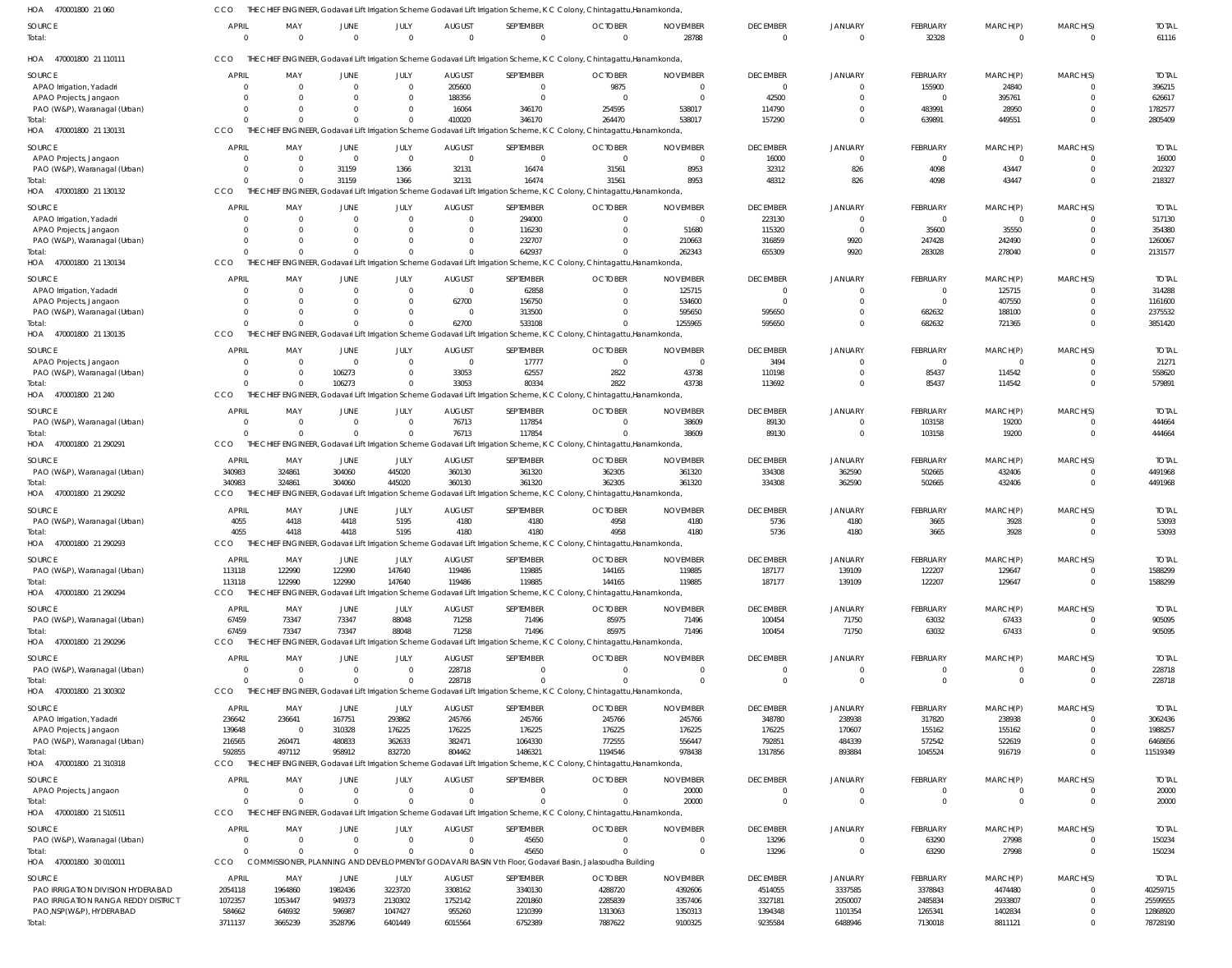| HOA<br>470001800 21 060                                | CCO                      |                 |                          |                         |                                 | THE CHIEF ENGINEER, Godavari Lift Irrigation Scheme Godavari Lift Irrigation Scheme, K C Colony, Chintagattu, Hanamkonda,             |                            |                             |                                   |                                  |                         |                         |                      |                         |
|--------------------------------------------------------|--------------------------|-----------------|--------------------------|-------------------------|---------------------------------|---------------------------------------------------------------------------------------------------------------------------------------|----------------------------|-----------------------------|-----------------------------------|----------------------------------|-------------------------|-------------------------|----------------------|-------------------------|
| SOURCE<br>Total:                                       | <b>APRIL</b><br>$\Omega$ | MAY<br>$\Omega$ | JUNE<br>$\Omega$         | JULY<br>$\Omega$        | <b>AUGUST</b><br>$\Omega$       | SEPTEMBER<br>$\mathbf{0}$                                                                                                             | <b>OCTOBER</b><br>$\Omega$ | <b>NOVEMBER</b><br>28788    | <b>DECEMBER</b><br>$\overline{0}$ | <b>JANUARY</b><br>$\overline{0}$ | FEBRUARY<br>32328       | MARCH(P)<br>$\Omega$    | MARCH(S)<br>$\Omega$ | <b>TOTAL</b><br>61116   |
| HOA 470001800 21 110111                                | CCO                      |                 |                          |                         |                                 | THE CHIEF ENGINEER, Godavari Lift Irrigation Scheme Godavari Lift Irrigation Scheme, K C Colony, Chintagattu, Hanamkonda,             |                            |                             |                                   |                                  |                         |                         |                      |                         |
| SOURCE                                                 | APRIL                    | MAY             | JUNE                     | JULY                    | <b>AUGUST</b>                   | SEPTEMBER                                                                                                                             | <b>OCTOBER</b>             | <b>NOVEMBER</b>             | <b>DECEMBER</b>                   | <b>JANUARY</b>                   | FEBRUARY                | MARCH(P)                | MARCH(S)             | <b>TOTAI</b>            |
| APAO Irrigation, Yadadri                               | $\Omega$                 | $\Omega$        | $\Omega$                 | $\Omega$                | 205600                          | $\mathbf{0}$                                                                                                                          | 9875                       |                             | $\overline{0}$                    | $\Omega$                         | 155900                  | 24840                   |                      | 396215                  |
| APAO Projects, Jangaon                                 | $\Omega$                 |                 | <sup>0</sup>             | $\Omega$                | 188356                          | $\Omega$                                                                                                                              |                            | $\Omega$                    | 42500                             | $\Omega$                         | $\Omega$                | 395761                  | <sup>0</sup>         | 626617                  |
| PAO (W&P), Waranagal (Urban)                           | $\Omega$                 |                 | $\Omega$                 | $\Omega$                | 16064                           | 346170                                                                                                                                | 254595                     | 538017                      | 114790                            | $\Omega$                         | 483991                  | 28950                   |                      | 1782577                 |
| Total:<br>HOA 470001800 21 130131                      | $\Omega$<br><b>CCO</b>   |                 | $\Omega$                 | $\Omega$                | 410020                          | 346170<br>THE CHIEF ENGINEER, Godavari Lift Irrigation Scheme Godavari Lift Irrigation Scheme, K C Colony, Chintagattu, Hanamkonda,   | 264470                     | 538017                      | 157290                            | $\Omega$                         | 639891                  | 449551                  | $\Omega$             | 2805409                 |
| SOURCE                                                 | APRIL                    | MAY             | JUNE                     | JULY                    | <b>AUGUST</b>                   | SEPTEMBER                                                                                                                             | <b>OCTOBER</b>             | <b>NOVEMBER</b>             | <b>DECEMBER</b>                   | JANUARY                          | FEBRUARY                | MARCH(P)                | MARCH(S)             | <b>TOTAI</b>            |
| APAO Projects, Jangaon                                 | $\Omega$                 | $\Omega$        | - 0                      | $\overline{\mathbf{0}}$ | $\overline{0}$                  | $\overline{0}$                                                                                                                        | $\Omega$                   | $\Omega$                    | 16000                             | $\mathbf{0}$                     | $\overline{0}$          | $^{\circ}$              |                      | 16000                   |
| PAO (W&P), Waranagal (Urban)                           | $\Omega$                 | - 0             | 31159                    | 1366                    | 32131                           | 16474                                                                                                                                 | 31561                      | 8953                        | 32312                             | 826                              | 4098                    | 43447                   | $\Omega$             | 202327                  |
| Total:                                                 | $\Omega$                 |                 | 31159                    | 1366                    | 32131                           | 16474                                                                                                                                 | 31561                      | 8953                        | 48312                             | 826                              | 4098                    | 43447                   | $\Omega$             | 218327                  |
| HOA 470001800 21 130132                                | <b>CCO</b>               |                 |                          |                         |                                 | THE CHIEF ENGINEER, Godavari Lift Irrigation Scheme Godavari Lift Irrigation Scheme, K C Colony, Chintagattu, Hanamkonda,             |                            |                             |                                   |                                  |                         |                         |                      |                         |
| SOURCE                                                 | APRIL                    | MAY             | JUNE                     | JULY                    | <b>AUGUST</b>                   | SEPTEMBER                                                                                                                             | <b>OCTOBER</b>             | <b>NOVEMBER</b>             | <b>DECEMBER</b>                   | <b>JANUARY</b>                   | FEBRUARY                | MARCH(P)                | MARCH(S)             | <b>TOTAI</b>            |
| APAO Irrigation, Yadadri                               | $\Omega$                 | $\Omega$        | $\Omega$                 | $\Omega$                | $\Omega$                        | 294000                                                                                                                                |                            |                             | 223130                            | $\mathbf{0}$                     | 0                       | $\Omega$                |                      | 517130                  |
| APAO Projects, Jangaon<br>PAO (W&P), Waranagal (Urban) | $\Omega$<br>$\Omega$     |                 | <sup>0</sup><br>$\Omega$ | $\Omega$<br>$\Omega$    | $\Omega$<br>$\Omega$            | 116230<br>232707                                                                                                                      |                            | 51680<br>210663             | 115320<br>316859                  | $\mathbf{0}$<br>9920             | 35600<br>247428         | 35550<br>242490         | $\Omega$             | 354380<br>1260067       |
| Total:                                                 |                          |                 | $\Omega$                 | $\Omega$                |                                 | 642937                                                                                                                                |                            | 262343                      | 655309                            | 9920                             | 283028                  | 278040                  | $\Omega$             | 2131577                 |
| HOA 470001800 21 130134                                | <b>CCO</b>               |                 |                          |                         |                                 | THE CHIEF ENGINEER, Godavari Lift Irrigation Scheme Godavari Lift Irrigation Scheme, K C Colony, Chintagattu, Hanamkonda,             |                            |                             |                                   |                                  |                         |                         |                      |                         |
| SOURCE                                                 | APRIL                    | MAY             | JUNE                     | JULY                    | <b>AUGUST</b>                   | SEPTEMBER                                                                                                                             | <b>OCTOBER</b>             | <b>NOVEMBER</b>             | <b>DECEMBER</b>                   | <b>JANUARY</b>                   | FEBRUARY                | MARCH(P)                | MARCH(S)             | <b>TOTAI</b>            |
| APAO Irrigation, Yadadri                               | $\Omega$                 | $\Omega$        | 0                        | $\Omega$                | $\overline{0}$                  | 62858                                                                                                                                 | $\Omega$                   | 125715                      | 0                                 | $\overline{0}$                   | $^{\circ}$              | 125715                  |                      | 314288                  |
| APAO Projects, Jangaon                                 | $\Omega$                 | $\Omega$        | $\Omega$                 | $\Omega$                | 62700                           | 156750                                                                                                                                | <sup>0</sup>               | 534600                      | $\overline{0}$                    | $\Omega$                         | $\mathbf 0$             | 407550                  | $\Omega$             | 1161600                 |
| PAO (W&P), Waranagal (Urban)                           | $\Omega$                 | $\Omega$        | $\Omega$                 | $\Omega$                | $\overline{0}$                  | 313500                                                                                                                                |                            | 595650                      | 595650                            | $\Omega$                         | 682632                  | 188100                  | 0                    | 2375532                 |
| Total:                                                 |                          |                 | $\Omega$                 | $\Omega$                | 62700                           | 533108                                                                                                                                |                            | 1255965                     | 595650                            | $\Omega$                         | 682632                  | 721365                  | $\Omega$             | 3851420                 |
| HOA 470001800 21 130135                                | CCO                      |                 |                          |                         |                                 | THE CHIEF ENGINEER, Godavari Lift Irrigation Scheme Godavari Lift Irrigation Scheme, K C Colony, Chintagattu, Hanamkonda,             |                            |                             |                                   |                                  |                         |                         |                      |                         |
| SOURCE                                                 | <b>APRIL</b>             | MAY             | JUNE                     | JULY                    | <b>AUGUST</b>                   | SEPTEMBER                                                                                                                             | <b>OCTOBER</b>             | <b>NOVEMBER</b>             | <b>DECEMBER</b>                   | <b>JANUARY</b>                   | FEBRUARY                | MARCH(P)                | MARCH(S)             | <b>TOTAI</b>            |
| APAO Projects, Jangaon                                 | $\Omega$<br>$\Omega$     | $\Omega$        | $\Omega$<br>106273       | $\Omega$<br>$\Omega$    | $\Omega$<br>33053               | 17777<br>62557                                                                                                                        | $\Omega$                   | $\Omega$<br>43738           | 3494<br>110198                    | $\Omega$<br>$\Omega$             | $\Omega$<br>85437       | $\Omega$<br>114542      | 0<br>$\Omega$        | 21271<br>558620         |
| PAO (W&P), Waranagal (Urban)<br>Total:                 |                          |                 | 106273                   | $\Omega$                | 33053                           | 80334                                                                                                                                 | 2822<br>2822               | 43738                       | 113692                            | $\Omega$                         | 85437                   | 114542                  | $\Omega$             | 579891                  |
| HOA 470001800 21 240                                   | <b>CCO</b>               |                 |                          |                         |                                 | THE CHIEF ENGINEER, Godavari Lift Irrigation Scheme Godavari Lift Irrigation Scheme, K C Colony, Chintagattu, Hanamkonda              |                            |                             |                                   |                                  |                         |                         |                      |                         |
| SOURCE                                                 | APRIL                    | MAY             | JUNE                     | JULY                    | <b>AUGUST</b>                   | SEPTEMBER                                                                                                                             | <b>OCTOBER</b>             | <b>NOVEMBER</b>             | <b>DECEMBER</b>                   | <b>JANUARY</b>                   | <b>FEBRUARY</b>         | MARCH(P)                | MARCH(S)             | <b>TOTAI</b>            |
| PAO (W&P), Waranagal (Urban)                           | $\Omega$                 | $\Omega$        | $\overline{0}$           | $\Omega$                | 76713                           | 117854                                                                                                                                | $\Omega$                   | 38609                       | 89130                             | $\overline{0}$                   | 103158                  | 19200                   | $\Omega$             | 444664                  |
| Total:                                                 | $\sqrt{ }$               | $\Omega$        | $\Omega$                 | $\Omega$                | 76713                           | 117854                                                                                                                                |                            | 38609                       | 89130                             | $\mathbf 0$                      | 103158                  | 19200                   | $\Omega$             | 444664                  |
| HOA 470001800 21 290291                                | CCO                      | THE             |                          |                         |                                 | CHIEF ENGINEER, Godavari Lift Irrigation Scheme Godavari Lift Irrigation Scheme, K C Colony, Chintagattu, Hanamkonda                  |                            |                             |                                   |                                  |                         |                         |                      |                         |
| SOURCE                                                 | <b>APRIL</b>             | MAY             | JUNE                     | JULY                    | <b>AUGUST</b>                   | SEPTEMBER                                                                                                                             | <b>OCTOBER</b>             | <b>NOVEMBER</b>             | <b>DECEMBER</b>                   | <b>JANUARY</b>                   | <b>FEBRUARY</b>         | MARCH(P)                | MARCH(S)             | <b>TOTAI</b>            |
| PAO (W&P), Waranagal (Urban)                           | 340983                   | 324861          | 304060                   | 445020                  | 360130                          | 361320                                                                                                                                | 362305                     | 361320                      | 334308                            | 362590                           | 502665                  | 432406                  | 0                    | 4491968                 |
| Total:<br>HOA 470001800 21 290292                      | 340983<br>CCO            | 324861<br>THE - | 304060                   | 445020                  | 360130                          | 361320<br>CHIEF ENGINEER, Godavari Lift Irrigation Scheme Godavari Lift Irrigation Scheme, K C Colony, Chintagattu, Hanamkonda        | 362305                     | 361320                      | 334308                            | 362590                           | 502665                  | 432406                  | $\Omega$             | 4491968                 |
|                                                        |                          |                 |                          |                         |                                 |                                                                                                                                       |                            |                             |                                   |                                  |                         |                         |                      |                         |
| SOURCE                                                 | APRIL                    | MAY             | JUNE                     | JULY                    | <b>AUGUST</b>                   | SEPTEMBER                                                                                                                             | <b>OCTOBER</b>             | <b>NOVEMBER</b>             | <b>DECEMBER</b>                   | <b>JANUARY</b>                   | FEBRUARY                | MARCH(P)                | MARCH(S)             | <b>TOTAL</b>            |
| PAO (W&P), Waranagal (Urban)<br>Total:                 | 4055<br>4055             | 4418<br>4418    | 4418<br>4418             | 5195<br>5195            | 4180<br>4180                    | 4180<br>4180                                                                                                                          | 4958<br>4958               | 4180<br>4180                | 5736<br>5736                      | 4180<br>4180                     | 3665<br>3665            | 3928<br>3928            | $\Omega$<br>$\Omega$ | 53093<br>53093          |
| HOA 470001800 21 290293                                | CCO                      |                 |                          |                         |                                 | THE CHIEF ENGINEER, Godavari Lift Irrigation Scheme Godavari Lift Irrigation Scheme, K C Colony, Chintagattu, Hanamkonda,             |                            |                             |                                   |                                  |                         |                         |                      |                         |
| SOURCE                                                 | APRIL                    | MAY             | JUNE                     | JULY                    | <b>AUGUST</b>                   | SEPTEMBER                                                                                                                             | <b>OCTOBER</b>             | <b>NOVEMBER</b>             | <b>DECEMBER</b>                   | <b>JANUARY</b>                   | <b>FEBRUARY</b>         | MARCH(P)                | MARCH(S)             | <b>TOTAL</b>            |
| PAO (W&P), Waranagal (Urban)                           | 113118                   | 122990          | 122990                   | 147640                  | 119486                          | 119885                                                                                                                                | 144165                     | 119885                      | 187177                            | 139109                           | 122207                  | 129647                  |                      | 1588299                 |
| Total:                                                 | 113118                   | 122990          | 122990                   | 147640                  | 119486                          | 119885                                                                                                                                | 144165                     | 119885                      | 187177                            | 139109                           | 122207                  | 129647                  | $\Omega$             | 1588299                 |
| HOA 470001800 21 290294                                | CCO                      |                 |                          |                         |                                 | THE CHIEF ENGINEER, Godavari Lift Irrigation Scheme Godavari Lift Irrigation Scheme, K C Colony, Chintagattu, Hanamkonda,             |                            |                             |                                   |                                  |                         |                         |                      |                         |
| SOURCE                                                 | APRIL                    | MAY             | JUNE                     | JULY                    | <b>AUGUST</b>                   | SEPTEMBER                                                                                                                             | <b>OCTOBER</b>             | <b>NOVEMBER</b>             | <b>DECEMBER</b>                   | <b>JANUARY</b>                   | FEBRUARY                | MARCH(P)                | MARCH(S)             | <b>TOTAL</b>            |
| PAO (W&P), Waranagal (Urban)                           | 67459                    | 73347           | 73347                    | 88048                   | 71258                           | 71496                                                                                                                                 | 85975                      | 71496                       | 100454                            | 71750                            | 63032                   | 67433                   |                      | 905095                  |
| Total:                                                 | 67459                    | 73347           | 73347                    | 88048                   | 71258                           | 71496                                                                                                                                 | 85975                      | 71496                       | 100454                            | 71750                            | 63032                   | 67433                   | $\Omega$             | 905095                  |
| HOA 470001800 21 290296                                | CCO                      | THF             |                          |                         |                                 | CHIEF ENGINEER, Godavari Lift Irrigation Scheme Godavari Lift Irrigation Scheme, K C Colony, Chintagattu, Hanamkonda                  |                            |                             |                                   |                                  |                         |                         |                      |                         |
| SOURCE                                                 | <b>APRIL</b>             | MAY             | <b>JUNE</b>              | JULY                    | <b>AUGUST</b>                   | SEPTEMBER                                                                                                                             | <b>OCTOBER</b>             | <b>NOVEMBER</b>             | <b>DECEMBER</b>                   | <b>JANUARY</b>                   | FEBRUARY                | MARCH(P)                | MARCH(S)             | <b>TOTAL</b>            |
| PAO (W&P), Waranagal (Urban)<br>Total:                 | $\Omega$<br>$\Omega$     | $\Omega$        | $\mathbf{0}$<br>$\Omega$ | $\Omega$<br>$\Omega$    | 228718<br>228718                | $\mathbf 0$<br>$\Omega$                                                                                                               | $\Omega$                   | $\Omega$<br>$\Omega$        | $\overline{0}$<br>$\Omega$        | $\overline{0}$<br>$\Omega$       | $\mathbf 0$<br>$\Omega$ | $\mathbf 0$<br>$\Omega$ | $\Omega$<br>$\Omega$ | 228718<br>228718        |
| HOA 470001800 21 300302                                | CCO                      |                 |                          |                         |                                 | THE CHIEF ENGINEER, Godavari Lift Irrigation Scheme Godavari Lift Irrigation Scheme, K C Colony, Chintagattu, Hanamkonda,             |                            |                             |                                   |                                  |                         |                         |                      |                         |
|                                                        |                          |                 |                          |                         |                                 |                                                                                                                                       |                            |                             |                                   |                                  |                         |                         |                      |                         |
| SOURCE<br>APAO Irrigation, Yadadri                     | <b>APRIL</b><br>236642   | MAY<br>236641   | JUNE<br>167751           | JULY<br>293862          | <b>AUGUST</b><br>245766         | SEPTEMBER<br>245766                                                                                                                   | <b>OCTOBER</b><br>245766   | <b>NOVEMBER</b><br>245766   | <b>DECEMBER</b><br>348780         | JANUARY<br>238938                | FEBRUARY<br>317820      | MARCH(P)<br>238938      | MARCH(S)<br>$\Omega$ | <b>TOTAL</b><br>3062436 |
| APAO Projects, Jangaon                                 | 139648                   | $\Omega$        | 310328                   | 176225                  | 176225                          | 176225                                                                                                                                | 176225                     | 176225                      | 176225                            | 170607                           | 155162                  | 155162                  | 0                    | 1988257                 |
| PAO (W&P), Waranagal (Urban)                           | 216565                   | 260471          | 480833                   | 362633                  | 382471                          | 1064330                                                                                                                               | 772555                     | 556447                      | 792851                            | 484339                           | 572542                  | 522619                  | $\Omega$             | 6468656                 |
| Total:                                                 | 592855                   | 497112          | 958912                   | 832720                  | 804462                          | 1486321                                                                                                                               | 1194546                    | 978438                      | 1317856                           | 893884                           | 1045524                 | 916719                  | $\Omega$             | 11519349                |
| HOA 470001800 21 310318                                | CCO                      |                 |                          |                         |                                 | THE CHIEF ENGINEER, Godavari Lift Irrigation Scheme Godavari Lift Irrigation Scheme, K C Colony, Chintagattu, Hanamkonda,             |                            |                             |                                   |                                  |                         |                         |                      |                         |
| <b>SOURCE</b>                                          | APRIL                    | MAY             | <b>JUNE</b>              | JULY                    | <b>AUGUST</b>                   | SEPTEMBER                                                                                                                             | <b>OCTOBER</b>             | <b>NOVEMBER</b>             | <b>DECEMBER</b>                   | <b>JANUARY</b>                   | FEBRUARY                | MARCH(P)                | MARCH(S)             | <b>TOTAL</b>            |
| APAO Projects, Jangaon                                 | $\Omega$                 | $\Omega$        | $\mathbf 0$              | $\Omega$                | $\Omega$                        | $\mathbf{0}$                                                                                                                          |                            | 20000                       | $\mathbf 0$                       | 0                                | -0                      | $\Omega$                | 0                    | 20000                   |
| Total:<br>HOA 470001800 21 510511                      | $\Omega$<br><b>CCO</b>   |                 | $\Omega$                 | $\Omega$                | $\Omega$                        | $\Omega$<br>THE CHIEF ENGINEER, Godavari Lift Irrigation Scheme Godavari Lift Irrigation Scheme, K C Colony, Chintagattu, Hanamkonda, |                            | 20000                       | $\overline{0}$                    | $\overline{0}$                   | $\mathbf 0$             | $\Omega$                | $\Omega$             | 20000                   |
|                                                        |                          |                 |                          |                         |                                 |                                                                                                                                       |                            |                             |                                   |                                  |                         |                         |                      |                         |
| SOURCE<br>PAO (W&P), Waranagal (Urban)                 | APRIL<br>$\overline{0}$  | MAY<br>$\Omega$ | JUNE<br>$\overline{0}$   | JULY<br>$\overline{0}$  | <b>AUGUST</b><br>$\overline{0}$ | SEPTEMBER<br>45650                                                                                                                    | <b>OCTOBER</b><br>$\Omega$ | <b>NOVEMBER</b><br>$\Omega$ | <b>DECEMBER</b><br>13296          | <b>JANUARY</b><br>$\overline{0}$ | FEBRUARY<br>63290       | MARCH(P)<br>27998       | MARCH(S)             | <b>TOTAL</b><br>150234  |
| Total:                                                 | $\Omega$                 | $\Omega$        | $\Omega$                 | $\Omega$                | $\Omega$                        | 45650                                                                                                                                 |                            | $\Omega$                    | 13296                             | $\mathbf 0$                      | 63290                   | 27998                   | $\Omega$             | 150234                  |
| HOA 470001800 30 010011                                | CCO                      |                 |                          |                         |                                 | COMMISSIONER, PLANNING AND DEVELOPMENT of GODAVARI BASIN Vth Floor, Godavari Basin, Jalasoudha Building                               |                            |                             |                                   |                                  |                         |                         |                      |                         |
| SOURCE                                                 | APRIL                    | MAY             | JUNE                     | JULY                    | <b>AUGUST</b>                   | SEPTEMBER                                                                                                                             | <b>OCTOBER</b>             | <b>NOVEMBER</b>             | <b>DECEMBER</b>                   | <b>JANUARY</b>                   | FEBRUARY                | MARCH(P)                | MARCH(S)             | <b>TOTAI</b>            |
| PAO IRRIGATION DIVISION HYDERABAD                      | 2054118                  | 1964860         | 1982436                  | 3223720                 | 3308162                         | 3340130                                                                                                                               | 4288720                    | 4392606                     | 4514055                           | 3337585                          | 3378843                 | 4474480                 | U                    | 40259715                |
| PAO IRRIGATION RANGA REDDY DISTRICT                    | 1072357                  | 1053447         | 949373                   | 2130302                 | 1752142                         | 2201860                                                                                                                               | 2285839                    | 3357406                     | 3327181                           | 2050007                          | 2485834                 | 2933807                 |                      | 25599555                |
| PAO, NSP(W&P), HYDERABAD                               | 584662                   | 646932          | 596987                   | 1047427                 | 955260                          | 1210399                                                                                                                               | 1313063                    | 1350313                     | 1394348                           | 1101354                          | 1265341                 | 1402834                 | $\Omega$             | 12868920                |
| Total:                                                 | 3711137                  | 3665239         | 3528796                  | 6401449                 | 6015564                         | 6752389                                                                                                                               | 7887622                    | 9100325                     | 9235584                           | 6488946                          | 7130018                 | 8811121                 |                      | 78728190                |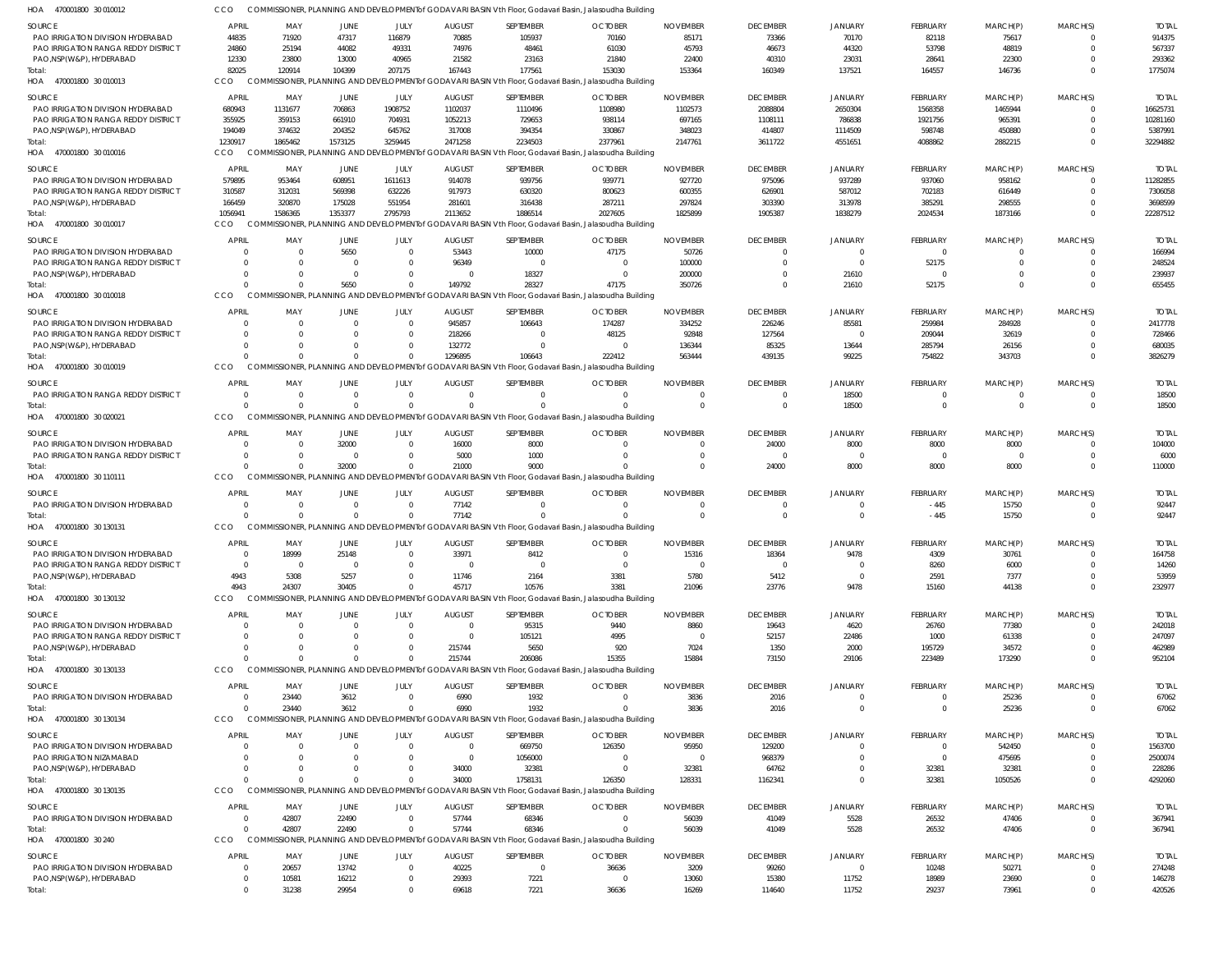| <b>SOURCE</b>                                                            | <b>APRIL</b>           | MAY            | JUNE            | JULY                       | <b>AUGUST</b>                    | SEPTEMBER            | <b>OCTOBER</b>                                                                                                    | <b>NOVEMBER</b>      | <b>DECEMBER</b>    | <b>JANUARY</b>    | FEBRUARY                   | MARCH(P)             | MARCH(S) | <b>TOTAL</b>             |
|--------------------------------------------------------------------------|------------------------|----------------|-----------------|----------------------------|----------------------------------|----------------------|-------------------------------------------------------------------------------------------------------------------|----------------------|--------------------|-------------------|----------------------------|----------------------|----------|--------------------------|
| PAO IRRIGATION DIVISION HYDERABAD                                        | 44835                  | 71920          | 47317           | 116879                     | 70885                            | 105937               | 70160                                                                                                             | 85171                | 73366              | 70170             | 82118                      | 75617                |          | 914375                   |
| PAO IRRIGATION RANGA REDDY DISTRICT                                      | 24860                  | 25194          | 44082           | 49331                      | 74976                            | 48461                | 61030                                                                                                             | 45793                | 46673              | 44320             | 53798                      | 48819                |          | 567337                   |
| PAO, NSP(W&P), HYDERABAD                                                 | 12330                  | 23800          | 13000           | 40965                      | 21582                            | 23163                | 21840                                                                                                             | 22400                | 40310              | 23031             | 28641                      | 22300                |          | 293362                   |
| Total:<br>HOA 470001800 30 010013                                        | 82025<br><b>CCO</b>    | 120914         | 104399          | 207175                     | 167443                           | 177561               | 153030<br>COMMISSIONER, PLANNING AND DEVELOPMENT of GODAVARI BASIN Vth Floor, Godavari Basin, Jalasoudha Building | 153364               | 160349             | 137521            | 164557                     | 146736               |          | 1775074                  |
|                                                                          |                        |                |                 |                            |                                  |                      |                                                                                                                   |                      |                    |                   |                            |                      |          |                          |
| <b>SOURCE</b><br>PAO IRRIGATION DIVISION HYDERABAD                       | <b>APRIL</b><br>680943 | MAY<br>1131677 | JUNE<br>706863  | JULY<br>1908752            | <b>AUGUST</b>                    | SEPTEMBER            | <b>OCTOBER</b><br>1108980                                                                                         | <b>NOVEMBER</b>      | <b>DECEMBER</b>    | <b>JANUARY</b>    | FEBRUARY<br>1568358        | MARCH(P)             | MARCH(S) | <b>TOTAL</b><br>16625731 |
| PAO IRRIGATION RANGA REDDY DISTRICT                                      | 355925                 | 359153         | 661910          | 704931                     | 1102037<br>1052213               | 1110496<br>729653    | 938114                                                                                                            | 1102573<br>697165    | 2088804<br>1108111 | 2650304<br>786838 | 1921756                    | 1465944<br>965391    |          | 10281160                 |
| PAO, NSP(W&P), HYDERABAD                                                 | 194049                 | 374632         | 204352          | 645762                     | 317008                           | 394354               | 330867                                                                                                            | 348023               | 414807             | 1114509           | 598748                     | 450880               |          | 5387991                  |
| Total:                                                                   | 1230917                | 1865462        | 1573125         | 3259445                    | 2471258                          | 2234503              | 2377961                                                                                                           | 2147761              | 3611722            | 4551651           | 4088862                    | 2882215              |          | 32294882                 |
| HOA 470001800 30 010016                                                  | <b>CCO</b>             |                |                 |                            |                                  |                      | COMMISSIONER, PLANNING AND DEVELOPMENT of GODAVARI BASIN Vth Floor, Godavari Basin, Jalasoudha Building           |                      |                    |                   |                            |                      |          |                          |
| <b>SOURCE</b>                                                            | <b>APRIL</b>           | MAY            | JUNE            | JULY                       | <b>AUGUST</b>                    | SEPTEMBER            | <b>OCTOBER</b>                                                                                                    | <b>NOVEMBER</b>      | <b>DECEMBER</b>    | <b>JANUARY</b>    | FEBRUARY                   | MARCH(P)             | MARCH(S) | <b>TOTAL</b>             |
| PAO IRRIGATION DIVISION HYDERABAD                                        | 579895                 | 953464         | 608951          | 1611613                    | 914078                           | 939756               | 939771                                                                                                            | 927720               | 975096             | 937289            | 937060                     | 958162               |          | 11282855                 |
| PAO IRRIGATION RANGA REDDY DISTRICT                                      | 310587                 | 312031         | 569398          | 632226                     | 917973                           | 630320               | 800623                                                                                                            | 600355               | 626901             | 587012            | 702183                     | 616449               |          | 7306058                  |
| PAO, NSP(W&P), HYDERABAD                                                 | 166459                 | 320870         | 175028          | 551954                     | 281601                           | 316438               | 287211                                                                                                            | 297824               | 303390             | 313978            | 385291                     | 298555               |          | 3698599                  |
| Total:                                                                   | 1056941                | 1586365        | 1353377         | 2795793                    | 2113652                          | 1886514              | 2027605                                                                                                           | 1825899              | 1905387            | 1838279           | 2024534                    | 1873166              |          | 22287512                 |
| HOA 470001800 30 010017                                                  | CCO.                   |                |                 |                            |                                  |                      | COMMISSIONER, PLANNING AND DEVELOPMENT of GODAVARI BASIN Vth Floor, Godavari Basin, Jalasoudha Building           |                      |                    |                   |                            |                      |          |                          |
| <b>SOURCE</b>                                                            | <b>APRIL</b>           | MAY            | <b>JUNE</b>     | JULY                       | <b>AUGUST</b>                    | SEPTEMBER            | <b>OCTOBER</b>                                                                                                    | <b>NOVEMBER</b>      | <b>DECEMBER</b>    | <b>JANUARY</b>    | FEBRUARY                   | MARCH(P)             | MARCH(S) | <b>TOTAL</b>             |
| PAO IRRIGATION DIVISION HYDERABAD                                        | C                      |                | 5650            | $\overline{0}$             | 53443                            | 10000                | 47175                                                                                                             | 50726                | $\overline{0}$     |                   | $\overline{0}$             | $\Omega$             |          | 166994                   |
| PAO IRRIGATION RANGA REDDY DISTRICT                                      | $\Omega$<br>$\Omega$   |                | - 0<br>$\Omega$ | $\Omega$<br>$\Omega$       | 96349<br>$\Omega$                | $\Omega$<br>18327    | $\Omega$<br>$\Omega$                                                                                              | 100000               | $\Omega$           | -0                | 52175<br>$\Omega$          | $\Omega$<br>$\Omega$ |          | 248524                   |
| PAO, NSP(W&P), HYDERABAD<br>Total:                                       | $\Omega$               |                | 5650            | $\Omega$                   | 149792                           | 28327                | 47175                                                                                                             | 200000<br>350726     | -0<br>- 0          | 21610<br>21610    | 52175                      | $\Omega$             |          | 239937<br>655455         |
| HOA 470001800 30 010018                                                  | CCO                    |                |                 |                            |                                  |                      | COMMISSIONER, PLANNING AND DEVELOPMENT of GODAVARI BASIN Vth Floor, Godavari Basin, Jalasoudha Building           |                      |                    |                   |                            |                      |          |                          |
| <b>SOURCE</b>                                                            | <b>APRIL</b>           | MAY            | <b>JUNE</b>     | JULY                       | <b>AUGUST</b>                    | SEPTEMBER            | <b>OCTOBER</b>                                                                                                    | <b>NOVEMBER</b>      | <b>DECEMBER</b>    | <b>JANUARY</b>    | FEBRUARY                   | MARCH(P)             | MARCH(S) | <b>TOTAL</b>             |
| PAO IRRIGATION DIVISION HYDERABAD                                        | $\Omega$               |                | $\Omega$        | $\overline{0}$             | 945857                           | 106643               | 174287                                                                                                            | 334252               | 226246             | 85581             | 259984                     | 284928               |          | 2417778                  |
| <b>PAO IRRIGATION RANGA REDDY DISTRICT</b>                               | $\Omega$               |                | $\Omega$        | $\overline{0}$             | 218266                           | - 0                  | 48125                                                                                                             | 92848                | 127564             | $\Omega$          | 209044                     | 32619                |          | 728466                   |
| PAO, NSP(W&P), HYDERABAD                                                 | $\Omega$               |                | $\Omega$        | $\Omega$                   | 132772                           |                      | $\Omega$                                                                                                          | 136344               | 85325              | 13644             | 285794                     | 26156                |          | 680035                   |
| Total:                                                                   | C                      |                | $\Omega$        | $\Omega$                   | 1296895                          | 106643               | 222412                                                                                                            | 563444               | 439135             | 99225             | 754822                     | 343703               |          | 3826279                  |
| HOA 470001800 30 010019                                                  | CCO                    |                |                 |                            |                                  |                      | COMMISSIONER, PLANNING AND DEVELOPMENT of GODAVARI BASIN Vth Floor, Godavari Basin, Jalasoudha Building           |                      |                    |                   |                            |                      |          |                          |
| <b>SOURCE</b>                                                            | <b>APRIL</b>           | MAY            | <b>JUNE</b>     | JULY                       | <b>AUGUST</b>                    | SEPTEMBER            | <b>OCTOBER</b>                                                                                                    | <b>NOVEMBER</b>      | <b>DECEMBER</b>    | <b>JANUARY</b>    | FEBRUARY                   | MARCH(P)             | MARCH(S) | <b>TOTAL</b>             |
| PAO IRRIGATION RANGA REDDY DISTRICT                                      | $\overline{0}$         | $\Omega$       | $\overline{0}$  | $\overline{0}$             | $\Omega$                         | $\Omega$             | $\Omega$                                                                                                          | $\Omega$             | $\Omega$           | 18500             | $\overline{0}$             | $\overline{0}$       |          | 18500                    |
| Total:                                                                   | $\sqrt{ }$             |                | $\Omega$        | $\Omega$                   | $\Omega$                         |                      |                                                                                                                   | $\Omega$             | $\Omega$           | 18500             | $\Omega$                   | $\Omega$             |          | 18500                    |
| HOA 470001800 30 020021                                                  | CCO                    |                |                 |                            |                                  |                      | COMMISSIONER, PLANNING AND DEVELOPMENT of GODAVARI BASIN Vth Floor, Godavari Basin, Jalasoudha Building           |                      |                    |                   |                            |                      |          |                          |
| <b>SOURCE</b>                                                            | <b>APRIL</b>           | MAY            | JUNE            | JULY                       | <b>AUGUST</b>                    | SEPTEMBER            | <b>OCTOBER</b>                                                                                                    | <b>NOVEMBER</b>      | <b>DECEMBER</b>    | JANUARY           | FEBRUARY                   | MARCH(P)             | MARCH(S) | <b>TOTAL</b>             |
| PAO IRRIGATION DIVISION HYDERABAD                                        | $\Omega$               | $\Omega$       | 32000           | $\overline{0}$             | 16000                            | 8000                 |                                                                                                                   |                      | 24000              | 8000              | 8000                       | 8000                 |          | 104000                   |
| PAO IRRIGATION RANGA REDDY DISTRICT                                      | $\Omega$               |                | - 0             | $\overline{0}$             | 5000                             | 1000                 |                                                                                                                   |                      | $^{\circ}$         | $\Omega$          | $\Omega$                   | $\overline{0}$       |          | 6000                     |
| Total:<br>HOA 470001800 30 110111                                        | $\sqrt{ }$<br>CCO      |                | 32000           | $\Omega$                   | 21000                            | 9000                 | COMMISSIONER, PLANNING AND DEVELOPMENT of GODAVARI BASIN Vth Floor, Godavari Basin, Jalasoudha Building           |                      | 24000              | 8000              | 8000                       | 8000                 |          | 110000                   |
|                                                                          |                        |                |                 |                            |                                  |                      |                                                                                                                   |                      |                    |                   |                            |                      |          |                          |
| <b>SOURCE</b>                                                            | <b>APRIL</b>           | MAY            | <b>JUNE</b>     | JULY                       | <b>AUGUST</b>                    | SEPTEMBER            | <b>OCTOBER</b>                                                                                                    | <b>NOVEMBER</b>      | <b>DECEMBER</b>    | <b>JANUARY</b>    | FEBRUARY                   | MARCH(P)             | MARCH(S) | <b>TOTAL</b>             |
| PAO IRRIGATION DIVISION HYDERABAD                                        | $\Omega$<br>$\Omega$   | - 0            | $\overline{0}$  | $\overline{0}$             | 77142                            | $\Omega$<br>$\Omega$ | $\Omega$                                                                                                          | $\Omega$<br>$\Omega$ | - 0                | - 0               | $-445$                     | 15750                |          | 92447                    |
| Total:<br>HOA 470001800 30 130131                                        | CCO                    |                | $\Omega$        | $\overline{0}$             | 77142                            |                      | COMMISSIONER, PLANNING AND DEVELOPMENT of GODAVARI BASIN Vth Floor, Godavari Basin, Jalasoudha Building           |                      | $\Omega$           | $\Omega$          | $-445$                     | 15750                |          | 92447                    |
|                                                                          |                        |                |                 |                            |                                  |                      |                                                                                                                   |                      |                    |                   |                            |                      |          |                          |
| <b>SOURCE</b>                                                            | <b>APRIL</b>           | MAY            | <b>JUNE</b>     | JULY                       | <b>AUGUST</b>                    | SEPTEMBER            | <b>OCTOBER</b>                                                                                                    | <b>NOVEMBER</b>      | <b>DECEMBER</b>    | JANUARY           | FEBRUARY                   | MARCH(P)             | MARCH(S) | <b>TOTAL</b>             |
| PAO IRRIGATION DIVISION HYDERABAD<br>PAO IRRIGATION RANGA REDDY DISTRICT | $\Omega$               | 18999          | 25148           | $\overline{0}$             | 33971                            | 8412                 | $\Omega$                                                                                                          | 15316                | 18364              | 9478              | 4309<br>8260               | 30761<br>6000        |          | 164758<br>14260          |
| PAO, NSP(W&P), HYDERABAD                                                 | 4943                   | 5308           | 5257            | $\Omega$                   | 11746                            | 2164                 | 3381                                                                                                              | 5780                 | 5412               | $\mathbf{0}$      | 2591                       | 7377                 |          | 53959                    |
| Total:                                                                   | 4943                   | 24307          | 30405           | $\Omega$                   | 45717                            | 10576                | 3381                                                                                                              | 21096                | 23776              | 9478              | 15160                      | 44138                | $\Omega$ | 232977                   |
| HOA 470001800 30 130132                                                  | CCO                    |                |                 |                            |                                  |                      | COMMISSIONER, PLANNING AND DEVELOPMENT of GODAVARI BASIN Vth Floor, Godavari Basin, Jalasoudha Building           |                      |                    |                   |                            |                      |          |                          |
| SOURCE                                                                   | <b>APRIL</b>           | MAY            | <b>JUNE</b>     | JULY                       | <b>AUGUST</b>                    | SEPTEMBER            | <b>OCTOBER</b>                                                                                                    | <b>NOVEMBER</b>      | <b>DECEMBER</b>    | <b>JANUARY</b>    | FEBRUARY                   | MARCH(P)             | MARCH(S) | <b>TOTAL</b>             |
| PAO IRRIGATION DIVISION HYDERABAD                                        | C                      |                | 0               | $\overline{0}$             | $\overline{0}$                   | 95315                | 9440                                                                                                              | 8860                 | 19643              | 4620              | 26760                      | 77380                |          | 242018                   |
| PAO IRRIGATION RANGA REDDY DISTRICT                                      | -C                     |                | $\Omega$        | $\Omega$                   | $\Omega$                         | 105121               | 4995                                                                                                              | $\Omega$             | 52157              | 22486             | 1000                       | 61338                |          | 247097                   |
| PAO, NSP(W&P), HYDERABAD                                                 | $\Omega$               |                | $\Omega$        | $\Omega$                   | 215744                           | 5650                 | 920                                                                                                               | 7024                 | 1350               | 2000              | 195729                     | 34572                |          | 462989                   |
| Total:                                                                   | $\Omega$               |                | $\Omega$        | $\Omega$                   | 215744                           | 206086               | 15355                                                                                                             | 15884                | 73150              | 29106             | 223489                     | 173290               |          | 952104                   |
| HOA 470001800 30 130133                                                  | CCO                    |                |                 |                            |                                  |                      | COMMISSIONER, PLANNING AND DEVELOPMENT of GODAVARI BASIN Vth Floor, Godavari Basin, Jalasoudha Building           |                      |                    |                   |                            |                      |          |                          |
| <b>SOURCE</b>                                                            | <b>APRIL</b>           | MAY            | JUNE            | JULY                       | <b>AUGUST</b>                    | SEPTEMBER            | <b>OCTOBER</b>                                                                                                    | <b>NOVEMBER</b>      | <b>DECEMBER</b>    | <b>JANUARY</b>    | FEBRUARY                   | MARCH(P)             | MARCH(S) | <b>TOTAL</b>             |
| PAO IRRIGATION DIVISION HYDERABAD                                        | $\Omega$               | 23440          | 3612            | $\overline{0}$             | 6990                             | 1932                 | $\Omega$                                                                                                          | 3836                 | 2016               | $\Omega$          | $\overline{0}$             | 25236                |          | 67062                    |
| Total:<br>HOA 470001800 30 130134                                        | $\Omega$<br>CCO        | 23440          | 3612            | $\overline{0}$             | 6990                             | 1932                 | COMMISSIONER, PLANNING AND DEVELOPMENT of GODAVARI BASIN Vth Floor, Godavari Basin, Jalasoudha Building           | 3836                 | 2016               | $\overline{0}$    | $\overline{0}$             | 25236                | $\Omega$ | 67062                    |
|                                                                          |                        |                |                 |                            |                                  |                      |                                                                                                                   |                      |                    |                   |                            |                      |          |                          |
| SOURCE                                                                   | <b>APRIL</b>           | MAY            | <b>JUNE</b>     | JULY                       | <b>AUGUST</b>                    | SEPTEMBER            | <b>OCTOBER</b>                                                                                                    | <b>NOVEMBER</b>      | <b>DECEMBER</b>    | <b>JANUARY</b>    | FEBRUARY                   | MARCH(P)             | MARCH(S) | <b>TOTAL</b>             |
| PAO IRRIGATION DIVISION HYDERABAD<br>PAO IRRIGATION NIZAMABAD            | C<br>C                 |                | $\mathbf 0$     | $\overline{0}$<br>$\Omega$ | $\overline{0}$<br>$\overline{0}$ | 669750<br>1056000    | 126350                                                                                                            | 95950                | 129200<br>968379   |                   | $\overline{0}$<br>$\Omega$ | 542450<br>475695     |          | 1563700<br>2500074       |
| PAO, NSP(W&P), HYDERABAD                                                 | $\Omega$               |                | $\Omega$        | $\Omega$                   | 34000                            | 32381                | $\Omega$                                                                                                          | 32381                | 64762              |                   | 32381                      | 32381                |          | 228286                   |
| Total:                                                                   | $\Omega$               |                | $\Omega$        | $\Omega$                   | 34000                            | 1758131              | 126350                                                                                                            | 128331               | 1162341            | $\Omega$          | 32381                      | 1050526              |          | 4292060                  |
| HOA 470001800 30 130135                                                  | CCO                    |                |                 |                            |                                  |                      | COMMISSIONER, PLANNING AND DEVELOPMENT of GODAVARI BASIN Vth Floor, Godavari Basin, Jalasoudha Building           |                      |                    |                   |                            |                      |          |                          |
| SOURCE                                                                   | <b>APRIL</b>           | MAY            | JUNE            | JULY                       | <b>AUGUST</b>                    | SEPTEMBER            | <b>OCTOBER</b>                                                                                                    | <b>NOVEMBER</b>      | <b>DECEMBER</b>    | <b>JANUARY</b>    | FEBRUARY                   | MARCH(P)             | MARCH(S) | <b>TOTAL</b>             |
| PAO IRRIGATION DIVISION HYDERABAD                                        | $\Omega$               | 42807          | 22490           | $\overline{0}$             | 57744                            | 68346                |                                                                                                                   | 56039                | 41049              | 5528              | 26532                      | 47406                |          | 367941                   |
| Total:                                                                   | $\Omega$               | 42807          | 22490           | $\overline{0}$             | 57744                            | 68346                |                                                                                                                   | 56039                | 41049              | 5528              | 26532                      | 47406                | $\Omega$ | 367941                   |
| HOA 470001800 30 240                                                     | CCO                    |                |                 |                            |                                  |                      | COMMISSIONER, PLANNING AND DEVELOPMENT of GODAVARI BASIN Vth Floor, Godavari Basin, Jalasoudha Building           |                      |                    |                   |                            |                      |          |                          |
| <b>SOURCE</b>                                                            | <b>APRIL</b>           | MAY            | <b>JUNE</b>     | JULY                       | <b>AUGUST</b>                    | SEPTEMBER            | <b>OCTOBER</b>                                                                                                    | <b>NOVEMBER</b>      | <b>DECEMBER</b>    | <b>JANUARY</b>    | FEBRUARY                   | MARCH(P)             | MARCH(S) | <b>TOTAL</b>             |
| PAO IRRIGATION DIVISION HYDERABAD                                        | 0                      | 20657          | 13742           | $\overline{0}$             | 40225                            | $\mathbf{0}$         | 36636                                                                                                             | 3209                 | 99260              | $^{\circ}$        | 10248                      | 50271                |          | 274248                   |
| PAO, NSP(W&P), HYDERABAD                                                 | 0                      | 10581          | 16212           | $\overline{0}$             | 29393                            | 7221                 | $^{\circ}$                                                                                                        | 13060                | 15380              | 11752             | 18989                      | 23690                |          | 146278                   |
| Total:                                                                   | $\Omega$               | 31238          | 29954           | $\Omega$                   | 69618                            | 7221                 | 36636                                                                                                             | 16269                | 114640             | 11752             | 29237                      | 73961                |          | 420526                   |

COMMISSIONER, PLANNING AND DEVELOPMENTof GODAVARI BASIN Vth Floor, Godavari Basin, Jalasoudha Building CCO

470001800 30 010012 HOA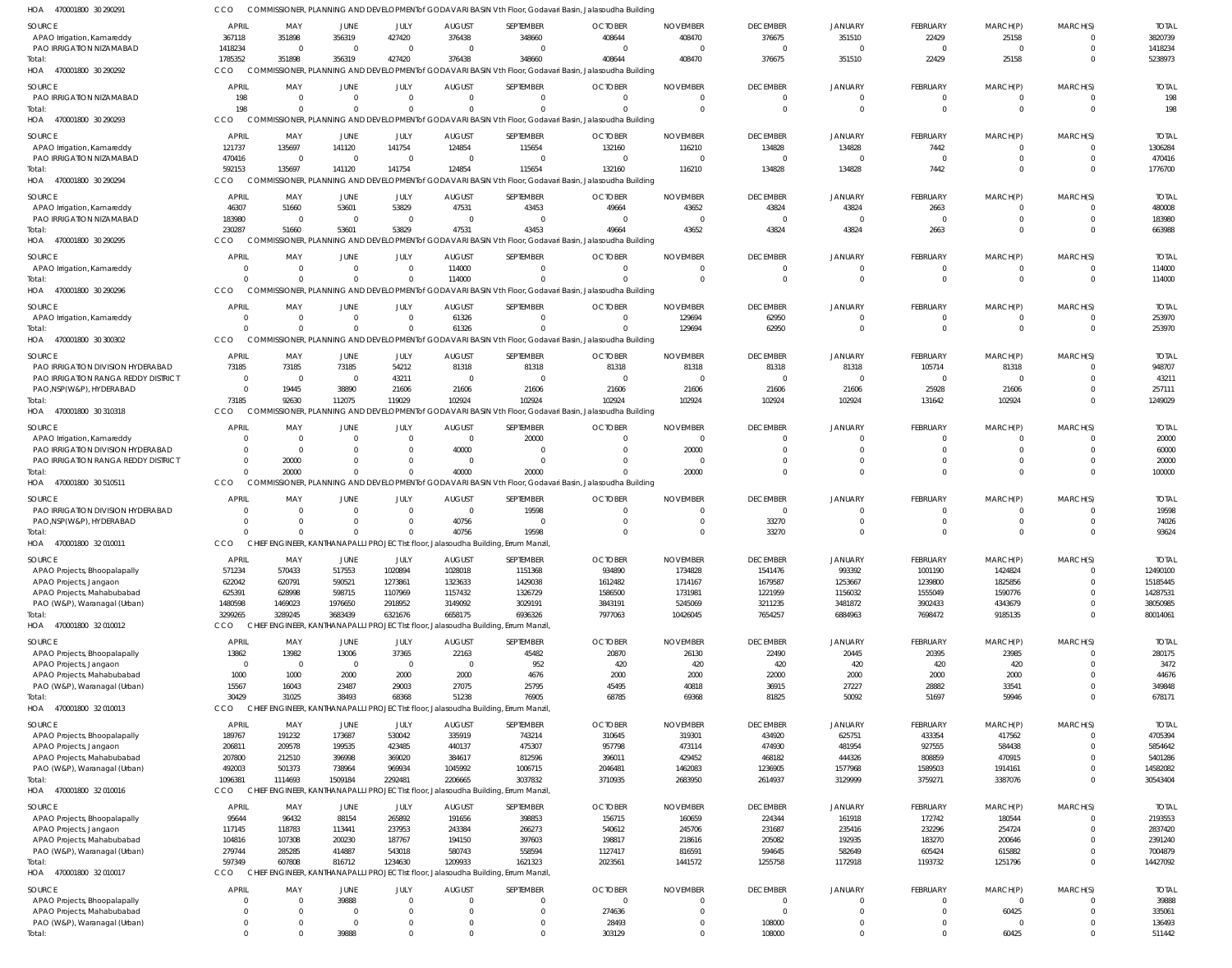| SOURCE                                                          | <b>APRIL</b>                     | MAY                     | JUNE                    | JULY                     | <b>AUGUST</b>             | SEPTEMBER                                                                                    | <b>OCTOBER</b>                                                                                                    | <b>NOVEMBER</b>             | <b>DECEMBER</b>             | <b>JANUARY</b>             | <b>FEBRUARY</b>                | MARCH(P)             | MARCH(S)             | <b>TOTAI</b>            |
|-----------------------------------------------------------------|----------------------------------|-------------------------|-------------------------|--------------------------|---------------------------|----------------------------------------------------------------------------------------------|-------------------------------------------------------------------------------------------------------------------|-----------------------------|-----------------------------|----------------------------|--------------------------------|----------------------|----------------------|-------------------------|
| APAO Irrigation, Kamareddy                                      | 367118                           | 351898                  | 356319                  | 427420                   | 376438                    | 348660                                                                                       | 408644                                                                                                            | 408470                      | 376675                      | 351510                     | 22429                          | 25158                |                      | 3820739                 |
| PAO IRRIGATION NIZAMABAD                                        | 1418234                          | 0                       | $\Omega$                | $\Omega$                 | -C                        | $\Omega$                                                                                     | $\Omega$                                                                                                          | $\Omega$                    |                             | $\Omega$                   | $\Omega$                       | $\Omega$             |                      | 1418234                 |
| Total:<br>HOA 470001800 30 290292                               | 1785352<br>CCO                   | 351898                  | 356319                  | 427420                   | 376438                    | 348660                                                                                       | 408644<br>COMMISSIONER, PLANNING AND DEVELOPMENT of GODAVARI BASIN Vth Floor, Godavari Basin, Jalasoudha Building | 408470                      | 376675                      | 351510                     | 22429                          | 25158                | $\Omega$             | 5238973                 |
|                                                                 |                                  |                         |                         |                          |                           |                                                                                              |                                                                                                                   |                             |                             |                            |                                |                      |                      |                         |
| <b>SOURCE</b><br>PAO IRRIGATION NIZAMABAD                       | <b>APRIL</b><br>198              | MAY<br>$\Omega$         | <b>JUNE</b><br>$\Omega$ | <b>JULY</b><br>$\Omega$  | <b>AUGUST</b><br>$\Omega$ | SEPTEMBER<br>$\Omega$                                                                        | <b>OCTOBER</b><br>$\Omega$                                                                                        | <b>NOVEMBER</b><br>$\Omega$ | <b>DECEMBER</b><br>$\Omega$ | <b>JANUARY</b><br>$\Omega$ | <b>FEBRUARY</b><br>$\mathbf 0$ | MARCH(P)<br>$\Omega$ | MARCH(S)             | <b>TOTAI</b><br>198     |
| Total:                                                          | 198                              | $\Omega$                | $\Omega$                | $\Omega$                 | $\Omega$                  | $\Omega$                                                                                     | $\Omega$                                                                                                          | $\Omega$                    | $\Omega$                    | $\Omega$                   | $\mathbf 0$                    | $\Omega$             | $\Omega$             | 198                     |
| HOA 470001800 30 290293                                         | CCO                              |                         |                         |                          |                           |                                                                                              | COMMISSIONER, PLANNING AND DEVELOPMENT of GODAVARI BASIN Vth Floor, Godavari Basin, Jalasoudha Building           |                             |                             |                            |                                |                      |                      |                         |
| SOURCE                                                          | APRIL                            | MAY                     | <b>JUNE</b>             | JULY                     | <b>AUGUST</b>             | SEPTEMBER                                                                                    | <b>OCTOBER</b>                                                                                                    | <b>NOVEMBER</b>             | <b>DECEMBER</b>             | <b>JANUARY</b>             | <b>FEBRUARY</b>                | MARCH(P)             | MARCH(S)             | <b>TOTAI</b>            |
| APAO Irrigation, Kamareddy                                      | 121737                           | 135697                  | 141120                  | 141754                   | 124854                    | 115654                                                                                       | 132160                                                                                                            | 116210                      | 134828                      | 134828                     | 7442                           | $\Omega$             |                      | 1306284                 |
| PAO IRRIGATION NIZAMABAD                                        | 470416                           | $\overline{0}$          | $\Omega$                | $\Omega$                 |                           | $\Omega$                                                                                     | $\Omega$                                                                                                          | $\overline{0}$              | $\Omega$                    | $\Omega$                   | $\Omega$                       | $\Omega$             |                      | 470416                  |
| Total:                                                          | 592153                           | 135697                  | 141120                  | 141754                   | 124854                    | 115654                                                                                       | 132160                                                                                                            | 116210                      | 134828                      | 134828                     | 7442                           | $\Omega$             |                      | 1776700                 |
| HOA 470001800 30 290294                                         | CCO                              |                         |                         |                          |                           |                                                                                              | COMMISSIONER, PLANNING AND DEVELOPMENT of GODAVARI BASIN Vth Floor, Godavari Basin, Jalasoudha Building           |                             |                             |                            |                                |                      |                      |                         |
| SOURCE                                                          | <b>APRIL</b>                     | MAY                     | <b>JUNE</b>             | JULY                     | <b>AUGUST</b>             | SEPTEMBER                                                                                    | <b>OCTOBER</b>                                                                                                    | <b>NOVEMBER</b>             | <b>DECEMBER</b>             | <b>JANUARY</b>             | <b>FEBRUARY</b>                | MARCH(P)             | MARCH(S)             | <b>TOTAI</b>            |
| APAO Irrigation, Kamareddy                                      | 46307                            | 51660                   | 53601                   | 53829                    | 47531                     | 43453                                                                                        | 49664                                                                                                             | 43652                       | 43824                       | 43824                      | 2663                           | 0                    |                      | 480008                  |
| PAO IRRIGATION NIZAMABAD<br>Total:                              | 183980<br>230287                 | $\overline{0}$<br>51660 | $\Omega$<br>53601       | $\Omega$<br>53829        | $\Omega$<br>47531         | $\Omega$<br>43453                                                                            | - 0<br>49664                                                                                                      | $\overline{0}$<br>43652     | $\Omega$<br>43824           | $\Omega$<br>43824          | $\Omega$<br>2663               | $\Omega$<br>0        | $\Omega$<br>$\Omega$ | 183980<br>663988        |
| HOA 470001800 30 290295                                         | CCO                              |                         |                         |                          |                           |                                                                                              | COMMISSIONER, PLANNING AND DEVELOPMENT of GODAVARI BASIN Vth Floor, Godavari Basin, Jalasoudha Building           |                             |                             |                            |                                |                      |                      |                         |
| SOURCE                                                          | <b>APRIL</b>                     | MAY                     | <b>JUNE</b>             | JULY                     | <b>AUGUST</b>             | SEPTEMBER                                                                                    | <b>OCTOBER</b>                                                                                                    | <b>NOVEMBER</b>             | <b>DECEMBER</b>             | <b>JANUARY</b>             | <b>FEBRUARY</b>                | MARCH(P)             | MARCH(S)             | <b>TOTAL</b>            |
| APAO Irrigation, Kamareddy                                      | 0                                | 0                       |                         | $\Omega$                 | 114000                    | 0                                                                                            | $\Omega$                                                                                                          | $\Omega$                    |                             |                            | $\Omega$                       | 0                    |                      | 114000                  |
| Total:                                                          | $\Omega$                         | $\Omega$                |                         | $\Omega$                 | 114000                    | $\Omega$                                                                                     | $\Omega$                                                                                                          | $\Omega$                    | $\Omega$                    | $\Omega$                   | $\Omega$                       | $\Omega$             | $\Omega$             | 114000                  |
| HOA 470001800 30 290296                                         | CCO                              |                         |                         |                          |                           |                                                                                              | COMMISSIONER, PLANNING AND DEVELOPMENT of GODAVARI BASIN Vth Floor, Godavari Basin, Jalasoudha Building           |                             |                             |                            |                                |                      |                      |                         |
| SOURCE                                                          | <b>APRIL</b>                     | MAY                     | JUNE                    | JULY                     | <b>AUGUST</b>             | SEPTEMBER                                                                                    | <b>OCTOBER</b>                                                                                                    | <b>NOVEMBER</b>             | <b>DECEMBER</b>             | <b>JANUARY</b>             | FEBRUARY                       | MARCH(P)             | MARCH(S)             | <b>TOTAI</b>            |
| APAO Irrigation, Kamareddy                                      | $\Omega$                         | $\Omega$                | $\Omega$                | $\Omega$                 | 61326                     | $\Omega$                                                                                     | $\Omega$                                                                                                          | 129694                      | 62950                       | $\Omega$                   | $\mathbf 0$                    | $\Omega$             |                      | 253970                  |
| Total:                                                          | $\Omega$                         | $\Omega$                | $\Omega$                | $\Omega$                 | 61326                     | $\Omega$                                                                                     | $\Omega$                                                                                                          | 129694                      | 62950                       | $\Omega$                   | $\mathbf 0$                    | $\Omega$             | $\Omega$             | 253970                  |
| HOA 470001800 30 300302                                         | CCO                              |                         |                         |                          |                           |                                                                                              | COMMISSIONER, PLANNING AND DEVELOPMENTof GODAVARI BASIN Vth Floor, Godavari Basin, Jalasoudha Building            |                             |                             |                            |                                |                      |                      |                         |
| <b>SOURCE</b>                                                   | <b>APRIL</b>                     | MAY                     | <b>JUNE</b>             | <b>JULY</b>              | <b>AUGUST</b>             | SEPTEMBER                                                                                    | <b>OCTOBER</b>                                                                                                    | <b>NOVEMBER</b>             | <b>DECEMBER</b>             | <b>JANUARY</b>             | <b>FEBRUARY</b>                | MARCH(P)             | MARCH(S)             | <b>TOTAI</b>            |
| PAO IRRIGATION DIVISION HYDERABAD                               | 73185                            | 73185                   | 73185                   | 54212                    | 81318                     | 81318                                                                                        | 81318                                                                                                             | 81318                       | 81318                       | 81318                      | 105714                         | 81318                |                      | 948707                  |
| PAO IRRIGATION RANGA REDDY DISTRICT<br>PAO, NSP(W&P), HYDERABAD | $\overline{0}$<br>$\overline{0}$ | - 0<br>19445            | $\Omega$<br>38890       | 43211<br>21606           | - 0<br>21606              | $\Omega$<br>21606                                                                            | - 0<br>21606                                                                                                      | $\overline{0}$<br>21606     | $\Omega$<br>21606           | $\Omega$<br>21606          | $\overline{0}$<br>25928        | $\Omega$<br>21606    |                      | 43211<br>257111         |
| Total:                                                          | 73185                            | 92630                   | 112075                  | 119029                   | 102924                    | 102924                                                                                       | 102924                                                                                                            | 102924                      | 102924                      | 102924                     | 131642                         | 102924               |                      | 1249029                 |
| HOA 470001800 30 310318                                         | CCO                              | <b>COMM</b>             |                         |                          |                           |                                                                                              | SIONER, PLANNING AND DEVELOPMENT of GODAVARI BASIN Vth Floor, Godavari Basin, Jalasoudha Building                 |                             |                             |                            |                                |                      |                      |                         |
| SOURCE                                                          | <b>APRIL</b>                     | MAY                     | JUNE                    | JULY                     | <b>AUGUST</b>             | SEPTEMBER                                                                                    | <b>OCTOBER</b>                                                                                                    | <b>NOVEMBER</b>             | <b>DECEMBER</b>             | <b>JANUARY</b>             | <b>FEBRUARY</b>                | MARCH(P)             | MARCH(S)             | <b>TOTAI</b>            |
| APAO Irrigation, Kamareddy                                      | $\Omega$                         | - 0                     | $\Omega$                | $\overline{0}$           | - 0                       | 20000                                                                                        | $\Omega$                                                                                                          | $\Omega$                    |                             |                            | 0                              |                      |                      | 20000                   |
| PAO IRRIGATION DIVISION HYDERABAD                               | $\Omega$                         | $\Omega$                |                         | $\Omega$                 | 40000                     | $\Omega$                                                                                     | $\Omega$                                                                                                          | 20000                       |                             | $\Omega$                   | $\Omega$                       |                      |                      | 60000                   |
| PAO IRRIGATION RANGA REDDY DISTRICT                             | $\Omega$                         | 20000                   |                         | $\Omega$                 | - 0                       | $\Omega$                                                                                     | $\Omega$                                                                                                          | - C                         |                             | $\Omega$                   | $\Omega$                       |                      |                      | 20000                   |
| Total:<br>HOA 470001800 30 510511                               | $\Omega$<br>CCO                  | 20000<br><b>COMMI</b>   | $\Omega$                | $\Omega$                 | 40000                     | 20000                                                                                        | $\Omega$<br>SSIONER, PLANNING AND DEVELOPMENT of GODAVARI BASIN Vth Floor, Godavari Basin, Jalasoudha Building    | 20000                       | $\Omega$                    | $\Omega$                   | $\Omega$                       | $\Omega$             | $\Omega$             | 100000                  |
|                                                                 |                                  |                         |                         |                          |                           |                                                                                              |                                                                                                                   |                             |                             |                            |                                |                      |                      |                         |
| <b>SOURCE</b>                                                   | <b>APRIL</b><br>$\Omega$         | MAY<br>- 0              | <b>JUNE</b>             | JULY<br>$\overline{0}$   | <b>AUGUST</b><br>- 0      | SEPTEMBER                                                                                    | <b>OCTOBER</b><br>$\Omega$                                                                                        | <b>NOVEMBER</b>             | <b>DECEMBER</b><br>$\Omega$ | <b>JANUARY</b>             | <b>FEBRUARY</b>                | MARCH(P)             | MARCH(S)             | <b>TOTAL</b><br>19598   |
| PAO IRRIGATION DIVISION HYDERABAD<br>PAO, NSP(W&P), HYDERABAD   | $\Omega$                         | $\Omega$                |                         | $\Omega$                 | 40756                     | 19598<br>$\Omega$                                                                            | - 0                                                                                                               | $\Omega$<br>0               | 33270                       | $\Omega$                   | 0                              | $\Omega$             |                      | 74026                   |
| Total:                                                          | $\Omega$                         | $\Omega$                |                         | $\Omega$                 | 40756                     | 19598                                                                                        | $\Omega$                                                                                                          | $\Omega$                    | 33270                       | $\Omega$                   | $\Omega$                       | $\Omega$             |                      | 93624                   |
| HOA 470001800 32 010011                                         | CCO                              | <b>CH</b>               |                         |                          |                           | IGINEER, KANTHANAPALLI PROJECT Ist floor, Jalasoudha Building, Errum Manzil                  |                                                                                                                   |                             |                             |                            |                                |                      |                      |                         |
| <b>SOURCE</b>                                                   | <b>APRIL</b>                     | MAY                     | JUNE                    | <b>JULY</b>              | <b>AUGUST</b>             | SEPTEMBER                                                                                    | <b>OCTOBER</b>                                                                                                    | <b>NOVEMBER</b>             | <b>DECEMBER</b>             | <b>JANUARY</b>             | <b>FEBRUARY</b>                | MARCH(P)             | MARCH(S)             | <b>TOTAL</b>            |
| APAO Projects, Bhoopalapally                                    | 571234                           | 570433                  | 517553                  | 1020894                  | 1028018                   | 1151368                                                                                      | 934890                                                                                                            | 1734828                     | 1541476                     | 993392                     | 1001190                        | 1424824              | $\Omega$             | 12490100                |
| APAO Projects, Jangaon                                          | 622042                           | 620791                  | 590521                  | 1273861                  | 1323633                   | 1429038                                                                                      | 1612482                                                                                                           | 1714167                     | 1679587                     | 1253667                    | 1239800                        | 1825856              |                      | 15185445                |
| APAO Projects, Mahabubabad                                      | 625391                           | 628998                  | 598715                  | 1107969                  | 1157432                   | 1326729                                                                                      | 1586500                                                                                                           | 1731981                     | 1221959                     | 1156032                    | 1555049                        | 1590776              |                      | 14287531                |
| PAO (W&P), Waranagal (Urban)<br>Total:                          | 1480598<br>3299265               | 1469023<br>3289245      | 1976650<br>3683439      | 2918952<br>6321676       | 3149092<br>6658175        | 3029191<br>6936326                                                                           | 3843191<br>7977063                                                                                                | 5245069<br>10426045         | 3211235<br>7654257          | 3481872<br>6884963         | 3902433<br>7698472             | 4343679<br>9185135   | $\Omega$             | 38050985<br>80014061    |
| HOA 470001800 32 010012                                         | CCO                              |                         |                         |                          |                           | CHIEF ENGINEER, KANTHANAPALLI PROJECT Ist floor, Jalasoudha Building, Errum Manzil,          |                                                                                                                   |                             |                             |                            |                                |                      |                      |                         |
| <b>SOURCE</b>                                                   | <b>APRIL</b>                     | MAY                     | JUNE                    | JULY                     | <b>AUGUST</b>             | SEPTEMBER                                                                                    | <b>OCTOBER</b>                                                                                                    | <b>NOVEMBER</b>             | <b>DECEMBER</b>             | <b>JANUARY</b>             | FEBRUARY                       | MARCH(P)             | MARCH(S)             | <b>TOTAI</b>            |
| APAO Projects, Bhoopalapally                                    | 13862                            | 13982                   | 13006                   | 37365                    | 22163                     | 45482                                                                                        | 20870                                                                                                             | 26130                       | 22490                       | 20445                      | 20395                          | 23985                |                      | 280175                  |
| APAO Projects, Jangaon                                          | $\overline{0}$                   | $\overline{0}$          | $\Omega$                | $\overline{0}$           | $\mathsf{C}$              | 952                                                                                          | 420                                                                                                               | 420                         | 420                         | 420                        | 420                            | 420                  |                      | 3472                    |
| APAO Projects, Mahabubabad                                      | 1000                             | 1000                    | 2000                    | 2000                     | 2000                      | 4676                                                                                         | 2000                                                                                                              | 2000                        | 22000                       | 2000                       | 2000                           | 2000                 |                      | 44676                   |
| PAO (W&P), Waranagal (Urban)                                    | 15567                            | 16043                   | 23487                   | 29003                    | 27075                     | 25795                                                                                        | 45495                                                                                                             | 40818                       | 36915                       | 27227                      | 28882                          | 33541                | $\Omega$             | 349848                  |
| Total:<br>HOA 470001800 32 010013                               | 30429<br>CCO                     | 31025                   | 38493                   | 68368                    | 51238                     | 76905<br>CHIEF ENGINEER, KANTHANAPALLI PROJECT Ist floor, Jalasoudha Building, Errum Manzil, | 68785                                                                                                             | 69368                       | 81825                       | 50092                      | 51697                          | 59946                |                      | 678171                  |
|                                                                 |                                  |                         |                         |                          |                           |                                                                                              |                                                                                                                   |                             |                             |                            |                                |                      |                      |                         |
| <b>SOURCE</b><br>APAO Projects, Bhoopalapally                   | <b>APRIL</b><br>189767           | MAY<br>191232           | JUNE<br>173687          | JULY<br>530042           | <b>AUGUST</b><br>335919   | SEPTEMBER<br>743214                                                                          | <b>OCTOBER</b><br>310645                                                                                          | <b>NOVEMBER</b><br>319301   | <b>DECEMBER</b><br>434920   | <b>JANUARY</b><br>625751   | FEBRUARY<br>433354             | MARCH(P)<br>417562   | MARCH(S)             | <b>TOTAL</b><br>4705394 |
| APAO Projects, Jangaon                                          | 206811                           | 209578                  | 199535                  | 423485                   | 440137                    | 475307                                                                                       | 957798                                                                                                            | 473114                      | 474930                      | 481954                     | 927555                         | 584438               | $\Omega$             | 5854642                 |
| APAO Projects, Mahabubabad                                      | 207800                           | 212510                  | 396998                  | 369020                   | 384617                    | 812596                                                                                       | 396011                                                                                                            | 429452                      | 468182                      | 444326                     | 808859                         | 470915               |                      | 5401286                 |
| PAO (W&P), Waranagal (Urban)                                    | 492003                           | 501373                  | 738964                  | 969934                   | 1045992                   | 1006715                                                                                      | 2046481                                                                                                           | 1462083                     | 1236905                     | 1577968                    | 1589503                        | 1914161              |                      | 14582082                |
| Total:                                                          | 1096381                          | 1114693                 | 1509184                 | 2292481                  | 2206665                   | 3037832                                                                                      | 3710935                                                                                                           | 2683950                     | 2614937                     | 3129999                    | 3759271                        | 3387076              | $\Omega$             | 30543404                |
| HOA 470001800 32 010016                                         | CCO                              |                         |                         |                          |                           | CHIEF ENGINEER, KANTHANAPALLI PROJECT Ist floor, Jalasoudha Building, Errum Manzil,          |                                                                                                                   |                             |                             |                            |                                |                      |                      |                         |
| <b>SOURCE</b>                                                   | <b>APRIL</b>                     | MAY                     | JUNE                    | JULY                     | <b>AUGUST</b>             | SEPTEMBER                                                                                    | <b>OCTOBER</b>                                                                                                    | <b>NOVEMBER</b>             | <b>DECEMBER</b>             | JANUARY                    | FEBRUARY                       | MARCH(P)             | MARCH(S)             | <b>TOTAI</b>            |
| APAO Projects, Bhoopalapally<br>APAO Projects, Jangaon          | 95644<br>117145                  | 96432<br>118783         | 88154<br>113441         | 265892<br>237953         | 191656<br>243384          | 398853<br>266273                                                                             | 156715<br>540612                                                                                                  | 160659<br>245706            | 224344<br>231687            | 161918<br>235416           | 172742<br>232296               | 180544<br>254724     |                      | 2193553<br>2837420      |
| APAO Projects, Mahabubabad                                      | 104816                           | 107308                  | 200230                  | 187767                   | 194150                    | 397603                                                                                       | 198817                                                                                                            | 218616                      | 205082                      | 192935                     | 183270                         | 200646               |                      | 2391240                 |
| PAO (W&P), Waranagal (Urban)                                    | 279744                           | 285285                  | 414887                  | 543018                   | 580743                    | 558594                                                                                       | 1127417                                                                                                           | 816591                      | 594645                      | 582649                     | 605424                         | 615882               |                      | 7004879                 |
| Total:                                                          | 597349                           | 607808                  | 816712                  | 1234630                  | 1209933                   | 1621323                                                                                      | 2023561                                                                                                           | 1441572                     | 1255758                     | 1172918                    | 1193732                        | 1251796              | $\Omega$             | 14427092                |
| HOA 470001800 32 010017                                         | CCO                              | <b>CHIEF</b>            |                         |                          |                           | ENGINEER, KANTHANAPALLI PROJECT Ist floor, Jalasoudha Building, Errum Manzil,                |                                                                                                                   |                             |                             |                            |                                |                      |                      |                         |
| <b>SOURCE</b>                                                   | <b>APRIL</b>                     | MAY                     | <b>JUNE</b>             | JULY                     | <b>AUGUST</b>             | SEPTEMBER                                                                                    | <b>OCTOBER</b>                                                                                                    | <b>NOVEMBER</b>             | <b>DECEMBER</b>             | <b>JANUARY</b>             | <b>FEBRUARY</b>                | MARCH(P)             | MARCH(S)             | <b>TOTAI</b>            |
| APAO Projects, Bhoopalapally                                    | $\Omega$                         | $\Omega$                | 39888                   | $\Omega$                 | - 0                       | $\Omega$                                                                                     | $\overline{0}$                                                                                                    | $\Omega$                    | $\Omega$                    | $\Omega$                   | $\Omega$                       | $\Omega$             |                      | 39888                   |
| APAO Projects, Mahabubabad<br>PAO (W&P), Waranagal (Urban)      | $\Omega$<br>$\overline{0}$       | 0<br>$\Omega$           | $\Omega$<br>$\Omega$    | $\mathbf{0}$<br>$\Omega$ | $\Omega$<br>$\Omega$      | 0<br>0                                                                                       | 274636<br>28493                                                                                                   | 0<br>$\mathbf 0$            | $\overline{0}$<br>108000    | $\Omega$<br>$\Omega$       | 0<br>0                         | 60425<br>$\Omega$    | $\Omega$             | 335061<br>136493        |
| Total:                                                          | $\Omega$                         | $\Omega$                | 39888                   | $\Omega$                 | $\Omega$                  | $\Omega$                                                                                     | 303129                                                                                                            | $\mathbf{0}$                | 108000                      | $\Omega$                   | $\Omega$                       | 60425                | $\Omega$             | 511442                  |
|                                                                 |                                  |                         |                         |                          |                           |                                                                                              |                                                                                                                   |                             |                             |                            |                                |                      |                      |                         |

470001800 30 290291 HOA COMMISSIONER, PLANNING AND DEVELOPMENTof GODAVARI BASIN Vth Floor, Godavari Basin, Jalasoudha Building CCO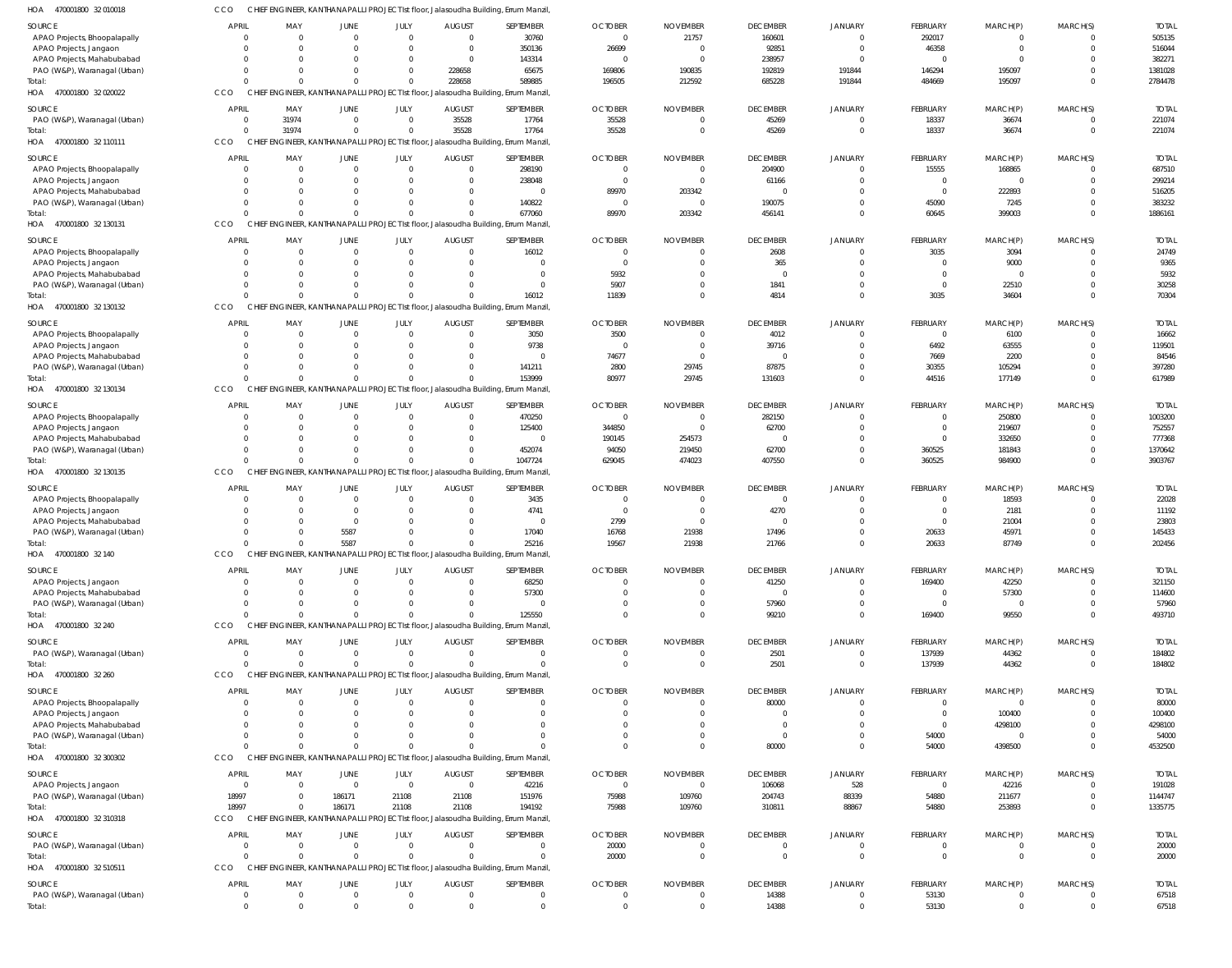| HOA<br>470001800 32 010018     | cco          |                                  |             |                |                                  | CHIEF ENGINEER, KANTHANAPALLI PROJECT Ist floor, Jalasoudha Building, Errum Manzil,          |                |                 |                 |                |                 |                |                |              |
|--------------------------------|--------------|----------------------------------|-------------|----------------|----------------------------------|----------------------------------------------------------------------------------------------|----------------|-----------------|-----------------|----------------|-----------------|----------------|----------------|--------------|
| SOURCE                         | <b>APRIL</b> | MAY                              | <b>JUNE</b> | JULY           | <b>AUGUST</b>                    | SEPTEMBER                                                                                    | <b>OCTOBER</b> | <b>NOVEMBER</b> | <b>DECEMBER</b> | <b>JANUARY</b> | <b>FEBRUARY</b> | MARCH(P)       | MARCH(S)       | <b>TOTAL</b> |
| APAO Projects, Bhoopalapally   |              | $\Omega$<br>$\Omega$             | $\Omega$    |                | $\overline{0}$<br>$\Omega$       | 30760                                                                                        | $\overline{0}$ | 21757           | 160601          | $\overline{0}$ | 292017          | 0              | $\Omega$       | 505135       |
| APAO Projects, Jangaon         |              | $\Omega$<br>$\Omega$             |             |                | $\overline{0}$<br>$\Omega$       | 350136                                                                                       | 26699          | 0               | 92851           | $\overline{0}$ | 46358           | $\mathbf 0$    | $\Omega$       | 516044       |
| APAO Projects, Mahabubabad     |              | U<br>$\Omega$                    |             |                | $\overline{0}$<br>$\Omega$       | 143314                                                                                       | - 0            | $\Omega$        | 238957          | $\overline{0}$ | $\overline{0}$  | $\Omega$       | $\Omega$       | 382271       |
| PAO (W&P), Waranagal (Urban)   |              | $\Omega$<br>$\Omega$             |             |                | 228658<br>$\mathbf 0$            | 65675                                                                                        | 169806         | 190835          | 192819          | 191844         | 146294          | 195097         | $\Omega$       | 1381028      |
| Total:                         |              | $\Omega$<br>$\Omega$             | $\Omega$    |                | 228658<br>$\Omega$               | 589885                                                                                       | 196505         | 212592          | 685228          | 191844         | 484669          | 195097         | $\Omega$       | 2784478      |
| HOA 470001800 32 020022        | CCO          |                                  |             |                |                                  | CHIEF ENGINEER, KANTHANAPALLI PROJECT Ist floor, Jalasoudha Building, Errum Manzil,          |                |                 |                 |                |                 |                |                |              |
| SOURCE                         | <b>APRIL</b> | MAY                              | JUNE        | JULY           | <b>AUGUST</b>                    | SEPTEMBER                                                                                    | <b>OCTOBER</b> | <b>NOVEMBER</b> | <b>DECEMBER</b> | <b>JANUARY</b> | <b>FEBRUARY</b> | MARCH(P)       | MARCH(S)       | <b>TOTAL</b> |
| PAO (W&P), Waranagal (Urban)   |              | 31974<br>$\overline{0}$          | $\Omega$    |                | 35528<br>$\overline{0}$          | 17764                                                                                        | 35528          |                 | 45269           | $\overline{0}$ | 18337           | 36674          | $\Omega$       | 221074       |
| Total:                         |              | $\mathbf 0$<br>31974             | $\Omega$    |                | 35528<br>$\overline{0}$          | 17764                                                                                        | 35528          |                 | 45269           | $\Omega$       | 18337           | 36674          | $\overline{0}$ | 221074       |
| HOA 470001800 32 110111        | CCO          | <b>CHIEF</b>                     |             |                |                                  | ENGINEER, KANTHANAPALLI PROJECT Ist floor, Jalasoudha Building, Errum Manzil,                |                |                 |                 |                |                 |                |                |              |
| SOURCE                         | <b>APRIL</b> | MAY                              | JUNE        | JULY           | <b>AUGUST</b>                    | SEPTEMBER                                                                                    | <b>OCTOBER</b> | <b>NOVEMBER</b> | <b>DECEMBER</b> | <b>JANUARY</b> | <b>FEBRUARY</b> | MARCH(P)       | MARCH(S)       | <b>TOTAL</b> |
| APAO Projects, Bhoopalapally   |              | $\Omega$<br>$\Omega$             | $\Omega$    |                | $\Omega$<br>$\Omega$             | 298190                                                                                       | $\Omega$       | $\Omega$        | 204900          | $\overline{0}$ | 15555           | 168865         | $\mathbf{0}$   | 687510       |
| APAO Projects, Jangaon         |              | $\Omega$<br>$\Omega$             |             |                | $\Omega$<br>$\Omega$             | 238048                                                                                       | $\overline{0}$ | $\Omega$        | 61166           | $\overline{0}$ | $\mathbf{0}$    | $\overline{0}$ | $\Omega$       | 299214       |
| APAO Projects, Mahabubabad     |              | $\Omega$<br>$\Omega$             |             |                | $\Omega$<br>$\Omega$             | $\overline{0}$                                                                               | 89970          | 203342          | $\overline{0}$  | $\Omega$       | $\mathbf{0}$    | 222893         | $\Omega$       | 516205       |
| PAO (W&P), Waranagal (Urban)   |              | $\Omega$<br>$\Omega$             | $\Omega$    |                | $\Omega$<br>$\Omega$             | 140822                                                                                       | 0              | $\Omega$        | 190075          | $\overline{0}$ | 45090           | 7245           | $\Omega$       | 383232       |
| Total:                         |              | $\Omega$<br>$\Omega$             | $\Omega$    |                | $\Omega$                         | 677060                                                                                       | 89970          | 203342          | 456141          | $\Omega$       | 60645           | 399003         | $\overline{0}$ | 1886161      |
| HOA 470001800 32 130131        | CCO          |                                  |             |                |                                  | CHIEF ENGINEER, KANTHANAPALLI PROJECT Ist floor, Jalasoudha Building, Errum Manzil,          |                |                 |                 |                |                 |                |                |              |
| SOURCE                         | <b>APRIL</b> | MAY                              | JUNE        | JULY           | <b>AUGUST</b>                    | SEPTEMBER                                                                                    | <b>OCTOBER</b> | <b>NOVEMBER</b> | <b>DECEMBER</b> | <b>JANUARY</b> | <b>FEBRUARY</b> | MARCH(P)       | MARCH(S)       | <b>TOTAL</b> |
| APAO Projects, Bhoopalapally   |              | $\overline{0}$<br>$\overline{0}$ | $\Omega$    |                | $\overline{0}$<br>$\Omega$       | 16012                                                                                        |                |                 | 2608            | $\overline{0}$ | 3035            | 3094           | $\Omega$       | 24749        |
| APAO Projects, Jangaon         |              | $\Omega$<br>$\Omega$             |             |                | $\Omega$                         | $\mathbf{0}$                                                                                 | $\Omega$       |                 | 365             | $\Omega$       | $\mathbf{0}$    | 9000           | $\Omega$       | 9365         |
| APAO Projects, Mahabubabad     |              | $\Omega$<br>$\Omega$             |             |                | $\Omega$                         | $\mathbf 0$                                                                                  | 5932           |                 | $\Omega$        | $\Omega$       | $\mathbf{0}$    | $\overline{0}$ | $\Omega$       | 5932         |
| PAO (W&P), Waranagal (Urban)   |              | $\Omega$<br>$\Omega$             |             |                | $\Omega$                         | $\Omega$                                                                                     | 5907           |                 | 1841            | $\Omega$       | $\overline{0}$  | 22510          | $\Omega$       | 30258        |
| Total:                         |              | $\Omega$<br>$\Omega$             | $\cap$      |                | $\Omega$                         | 16012                                                                                        | 11839          |                 | 4814            | $\Omega$       | 3035            | 34604          | $\Omega$       | 70304        |
| 470001800 32 130132<br>HOA     | CCO          |                                  |             |                |                                  | CHIEF ENGINEER, KANTHANAPALLI PROJECT Ist floor, Jalasoudha Building, Errum Manzil,          |                |                 |                 |                |                 |                |                |              |
| SOURCE                         | <b>APRIL</b> | MAY                              | JUNE        | JULY           | <b>AUGUST</b>                    | SEPTEMBER                                                                                    | <b>OCTOBER</b> | <b>NOVEMBER</b> | <b>DECEMBER</b> | JANUARY        | <b>FEBRUARY</b> | MARCH(P)       | MARCH(S)       | <b>TOTAL</b> |
| APAO Projects, Bhoopalapally   |              | $\overline{0}$<br>$\overline{0}$ | $\Omega$    |                | $\overline{0}$<br>$\Omega$       | 3050                                                                                         | 3500           | $\Omega$        | 4012            | $\overline{0}$ | $\overline{0}$  | 6100           | $\overline{0}$ | 16662        |
| APAO Projects, Jangaon         |              | $\Omega$<br>$\Omega$             |             |                | $\Omega$<br>$\Omega$             | 9738                                                                                         | $\Omega$       | $\Omega$        | 39716           | $\Omega$       | 6492            | 63555          | $\Omega$       | 119501       |
| APAO Projects, Mahabubabad     |              | $\Omega$<br>$\Omega$             |             |                | $\Omega$<br>$\Omega$             | $\Omega$                                                                                     | 74677          | - 0             | $\Omega$        | $\Omega$       | 7669            | 2200           | $\Omega$       | 84546        |
| PAO (W&P), Waranagal (Urban)   |              | $\Omega$<br>$\Omega$             | $\Omega$    |                | $\Omega$                         | 141211                                                                                       | 2800           | 29745           | 87875           | $\overline{0}$ | 30355           | 105294         | $\Omega$       | 397280       |
| Total:                         |              | $\Omega$<br>$\Omega$             | $\Omega$    |                | $\Omega$                         | 153999                                                                                       | 80977          | 29745           | 131603          | $\Omega$       | 44516           | 177149         | $\Omega$       | 617989       |
| HOA<br>470001800 32 130134     | CCO          | <b>CHIEF</b>                     |             |                |                                  | ENGINEER, KANTHANAPALLI PROJECT Ist floor, Jalasoudha Building, Errum Manzil,                |                |                 |                 |                |                 |                |                |              |
| SOURCE                         | <b>APRIL</b> | MAY                              | JUNE        | JULY           | <b>AUGUST</b>                    | SEPTEMBER                                                                                    | <b>OCTOBER</b> | <b>NOVEMBER</b> | <b>DECEMBER</b> | <b>JANUARY</b> | <b>FEBRUARY</b> | MARCH(P)       | MARCH(S)       | <b>TOTAL</b> |
| APAO Projects, Bhoopalapally   |              | $\Omega$<br>$\Omega$             | $\Omega$    |                | $\Omega$<br>$\Omega$             | 470250                                                                                       | $\Omega$       | $\Omega$        | 282150          | $\Omega$       | $\overline{0}$  | 250800         | $\overline{0}$ | 1003200      |
| APAO Projects, Jangaon         |              | $\Omega$<br>0                    |             |                | $\overline{0}$<br>$\Omega$       | 125400                                                                                       | 344850         | 0               | 62700           | $\overline{0}$ | $\mathbf 0$     | 219607         | $\Omega$       | 752557       |
| APAO Projects, Mahabubabad     |              | $\Omega$<br>$\Omega$             |             |                | $\Omega$<br>$\Omega$             | $\overline{0}$                                                                               | 190145         | 254573          | $\overline{0}$  | $\Omega$       | $\mathbf{0}$    | 332650         | $\Omega$       | 777368       |
| PAO (W&P), Waranagal (Urban)   |              | $\Omega$<br>$\Omega$             | $\Omega$    |                | $\Omega$                         | 452074                                                                                       | 94050          | 219450          | 62700           | $\overline{0}$ | 360525          | 181843         | $\Omega$       | 1370642      |
| Total                          |              | $\Omega$<br>$\Omega$             | $\cap$      |                | $\Omega$                         | 1047724                                                                                      | 629045         | 474023          | 407550          | $\Omega$       | 360525          | 984900         | $\Omega$       | 3903767      |
| HOA 470001800 32 130135        | CCO          |                                  |             |                |                                  | CHIEF ENGINEER, KANTHANAPALLI PROJECT Ist floor, Jalasoudha Building, Errum Manzil,          |                |                 |                 |                |                 |                |                |              |
| SOURCE                         | <b>APRIL</b> | MAY                              | JUNE        | JULY           | <b>AUGUST</b>                    | SEPTEMBER                                                                                    | <b>OCTOBER</b> | <b>NOVEMBER</b> | <b>DECEMBER</b> | <b>JANUARY</b> | <b>FEBRUARY</b> | MARCH(P)       | MARCH(S)       | <b>TOTAL</b> |
| APAO Projects, Bhoopalapally   |              | $\overline{0}$<br>$\overline{0}$ | $\Omega$    |                | $\overline{0}$<br>$\Omega$       | 3435                                                                                         | $\Omega$       | $\Omega$        | $\overline{0}$  | $\overline{0}$ | $\mathbf 0$     | 18593          | $\mathbf{0}$   | 22028        |
| APAO Projects, Jangaon         |              | $\Omega$<br>$\Omega$             | $\Omega$    |                | $\Omega$<br>$\Omega$             | 4741                                                                                         | $\overline{0}$ | 0               | 4270            | $\Omega$       | $\overline{0}$  | 2181           | $\Omega$       | 11192        |
| APAO Projects, Mahabubabad     |              | $\Omega$                         | $\Omega$    |                | $\Omega$                         | $\overline{0}$                                                                               | 2799           | $\mathbf 0$     | $\Omega$        | $\Omega$       | $\mathbf 0$     | 21004          | $\Omega$       | 23803        |
| PAO (W&P), Waranagal (Urban)   |              | $\Omega$                         | 5587        |                | $\Omega$                         | 17040                                                                                        | 16768          | 21938           | 17496           | $\Omega$       | 20633           | 45971          | $\Omega$       | 145433       |
| Total:<br>HOA 470001800 32 140 | CCO          | $\Omega$<br>$\Omega$             | 5587        |                | $\Omega$                         | 25216<br>CHIEF ENGINEER, KANTHANAPALLI PROJECT Ist floor, Jalasoudha Building, Errum Manzil, | 19567          | 21938           | 21766           | $\Omega$       | 20633           | 87749          | $\Omega$       | 202456       |
|                                |              |                                  |             |                |                                  |                                                                                              |                |                 |                 |                |                 |                |                |              |
| SOURCE                         | <b>APRIL</b> | MAY                              | JUNE        | JULY           | <b>AUGUST</b>                    | SEPTEMBER                                                                                    | <b>OCTOBER</b> | <b>NOVEMBER</b> | <b>DECEMBER</b> | <b>JANUARY</b> | <b>FEBRUARY</b> | MARCH(P)       | MARCH(S)       | <b>TOTAL</b> |
| APAO Projects, Jangaon         |              | $\overline{0}$<br>$\overline{0}$ | $\Omega$    |                | $\overline{0}$<br>$\Omega$       | 68250                                                                                        |                |                 | 41250           | $\overline{0}$ | 169400          | 42250          | $\Omega$       | 321150       |
| APAO Projects, Mahabubabad     |              | $\Omega$<br>$\Omega$             |             |                | $\Omega$                         | 57300                                                                                        |                |                 | $\overline{0}$  | $\Omega$       | $\mathbf 0$     | 57300          | $\Omega$       | 114600       |
| PAO (W&P), Waranagal (Urban)   |              | $\Omega$<br>$\Omega$             |             |                | $\Omega$                         | $\mathbf{0}$                                                                                 |                |                 | 57960           | $\overline{0}$ | $\overline{0}$  | $\overline{0}$ | $\Omega$       | 57960        |
| Total:                         |              | $\Omega$<br>$\Omega$             |             |                | $\Omega$                         | 125550                                                                                       |                |                 | 99210           | $\overline{0}$ | 169400          | 99550          | $\Omega$       | 493710       |
| HOA 470001800 32 240           | CCO          |                                  |             |                |                                  | CHIEF ENGINEER, KANTHANAPALLI PROJECT Ist floor, Jalasoudha Building, Errum Manzil,          |                |                 |                 |                |                 |                |                |              |
| SOURCE                         | <b>APRIL</b> | MAY                              | JUNE        | JULY           | <b>AUGUST</b>                    | SEPTEMBER                                                                                    | <b>OCTOBER</b> | <b>NOVEMBER</b> | <b>DECEMBER</b> | <b>JANUARY</b> | <b>FEBRUARY</b> | MARCH(P)       | MARCH(S)       | <b>TOTAL</b> |
| PAO (W&P), Waranagal (Urban)   |              | $\overline{0}$<br>$\Omega$       | $\Omega$    |                | $\overline{0}$<br>$\Omega$       | $\overline{0}$                                                                               | $\Omega$       | $\Omega$        | 2501            | $\overline{0}$ | 137939          | 44362          | $\overline{0}$ | 184802       |
| Total:                         |              | $\Omega$<br>$\Omega$             | $\Omega$    |                | $\Omega$                         | $\Omega$                                                                                     | $\Omega$       | $\Omega$        | 2501            | $\overline{0}$ | 137939          | 44362          | $\overline{0}$ | 184802       |
| HOA<br>470001800 32 260        | CCO          |                                  |             |                |                                  | CHIEF ENGINEER, KANTHANAPALLI PROJECT Ist floor, Jalasoudha Building, Errum Manzil,          |                |                 |                 |                |                 |                |                |              |
| <b>SOURCE</b>                  | <b>APRIL</b> | MAY                              | JUNE        | JULY           | <b>AUGUST</b>                    | SEPTEMBER                                                                                    | <b>OCTOBER</b> | <b>NOVEMBER</b> | <b>DECEMBER</b> | <b>JANUARY</b> | <b>FEBRUARY</b> | MARCH(P)       | MARCH(S)       | <b>TOTAL</b> |
| APAO Projects, Bhoopalapally   |              | $\Omega$<br>$\overline{0}$       | $\Omega$    |                | $\overline{0}$                   | $\mathbf{0}$                                                                                 |                |                 | 80000           | $\overline{0}$ | $\overline{0}$  | $\overline{0}$ | $\Omega$       | 80000        |
| APAO Projects, Jangaon         |              | 0                                |             |                | $\Omega$                         | $\mathbf{0}$                                                                                 |                |                 | $\Omega$        | $\Omega$       | $\mathbf{0}$    | 100400         | $\Omega$       | 100400       |
| APAO Projects, Mahabubabad     |              | $\Omega$                         |             |                | $\Omega$                         | $\Omega$                                                                                     |                |                 | $\Omega$        | $\Omega$       | $\overline{0}$  | 4298100        | $\Omega$       | 4298100      |
| PAO (W&P), Waranagal (Urban)   |              | $\Omega$<br>$\mathbf{0}$         | $\Omega$    |                | $\Omega$                         | $\Omega$                                                                                     |                |                 | $\Omega$        | $\overline{0}$ | 54000           | 0              | $\Omega$       | 54000        |
| Total:                         |              | $\Omega$<br>$\Omega$             |             |                | $\Omega$                         | $\Omega$                                                                                     |                |                 | 80000           | $\overline{0}$ | 54000           | 4398500        | $\Omega$       | 4532500      |
| HOA 470001800 32 300302        | CCO          |                                  |             |                |                                  | CHIEF ENGINEER, KANTHANAPALLI PROJECT Ist floor, Jalasoudha Building, Errum Manzil,          |                |                 |                 |                |                 |                |                |              |
| SOURCE                         | <b>APRIL</b> | MAY                              | JUNE        | JULY           | <b>AUGUST</b>                    | SEPTEMBER                                                                                    | <b>OCTOBER</b> | <b>NOVEMBER</b> | <b>DECEMBER</b> | <b>JANUARY</b> | <b>FEBRUARY</b> | MARCH(P)       | MARCH(S)       | <b>TOTAL</b> |
| APAO Projects, Jangaon         |              | $\overline{0}$<br>$\overline{0}$ | $\Omega$    |                | $\overline{0}$<br>$\overline{0}$ | 42216                                                                                        | $\overline{0}$ | $\overline{0}$  | 106068          | 528            | $\overline{0}$  | 42216          | $\Omega$       | 191028       |
| PAO (W&P), Waranagal (Urban)   | 18997        | - 0                              | 186171      | 21108          | 21108                            | 151976                                                                                       | 75988          | 109760          | 204743          | 88339          | 54880           | 211677         | $\overline{0}$ | 1144747      |
| Total:                         | 18997        | $\Omega$                         | 186171      | 21108          | 21108                            | 194192                                                                                       | 75988          | 109760          | 310811          | 88867          | 54880           | 253893         | $\overline{0}$ | 1335775      |
| HOA 470001800 32 310318        | CCO          |                                  |             |                |                                  | CHIEF ENGINEER, KANTHANAPALLI PROJECT Ist floor, Jalasoudha Building, Errum Manzil,          |                |                 |                 |                |                 |                |                |              |
| <b>SOURCE</b>                  | <b>APRIL</b> | MAY                              | JUNE        | JULY           | <b>AUGUST</b>                    | SEPTEMBER                                                                                    | <b>OCTOBER</b> | <b>NOVEMBER</b> | <b>DECEMBER</b> | <b>JANUARY</b> | <b>FEBRUARY</b> | MARCH(P)       | MARCH(S)       | <b>TOTAL</b> |
| PAO (W&P), Waranagal (Urban)   |              | $\overline{0}$<br>$\overline{0}$ | $\Omega$    | $\overline{0}$ | $\Omega$                         | $\overline{0}$                                                                               | 20000          |                 | $\overline{0}$  | $\overline{0}$ | $\mathbf 0$     | 0              | $\overline{0}$ | 20000        |
| Total:                         |              | $\Omega$<br>$\overline{0}$       | $\Omega$    |                | $\mathbf{0}$                     | $\mathbf 0$                                                                                  | 20000          |                 | $\overline{0}$  | $\Omega$       | $\mathbf{0}$    | $\mathbf{0}$   | $\overline{0}$ | 20000        |
| HOA 470001800 32 510511        | CCO          |                                  |             |                |                                  | CHIEF ENGINEER, KANTHANAPALLI PROJECT Ist floor, Jalasoudha Building, Errum Manzil,          |                |                 |                 |                |                 |                |                |              |
| <b>SOURCE</b>                  | <b>APRIL</b> | MAY                              | <b>JUNE</b> | JULY           | <b>AUGUST</b>                    | SEPTEMBER                                                                                    | <b>OCTOBER</b> | <b>NOVEMBER</b> | <b>DECEMBER</b> | <b>JANUARY</b> | <b>FEBRUARY</b> | MARCH(P)       | MARCH(S)       | <b>TOTAL</b> |
| PAO (W&P), Waranagal (Urban)   |              | $\overline{0}$<br>$\overline{0}$ | $\Omega$    |                | $\overline{0}$<br>$\Omega$       | $\mathbf{0}$                                                                                 | 0              | $\Omega$        | 14388           | $\overline{0}$ | 53130           | $\mathbf 0$    | $\overline{0}$ | 67518        |
| Total:                         |              | $\overline{0}$<br>$\overline{0}$ | $\Omega$    |                | $\mathbf{0}$<br>$\Omega$         | $\mathbf 0$                                                                                  | $\Omega$       | $\Omega$        | 14388           | $\overline{0}$ | 53130           | $\overline{0}$ | $\overline{0}$ | 67518        |
|                                |              |                                  |             |                |                                  |                                                                                              |                |                 |                 |                |                 |                |                |              |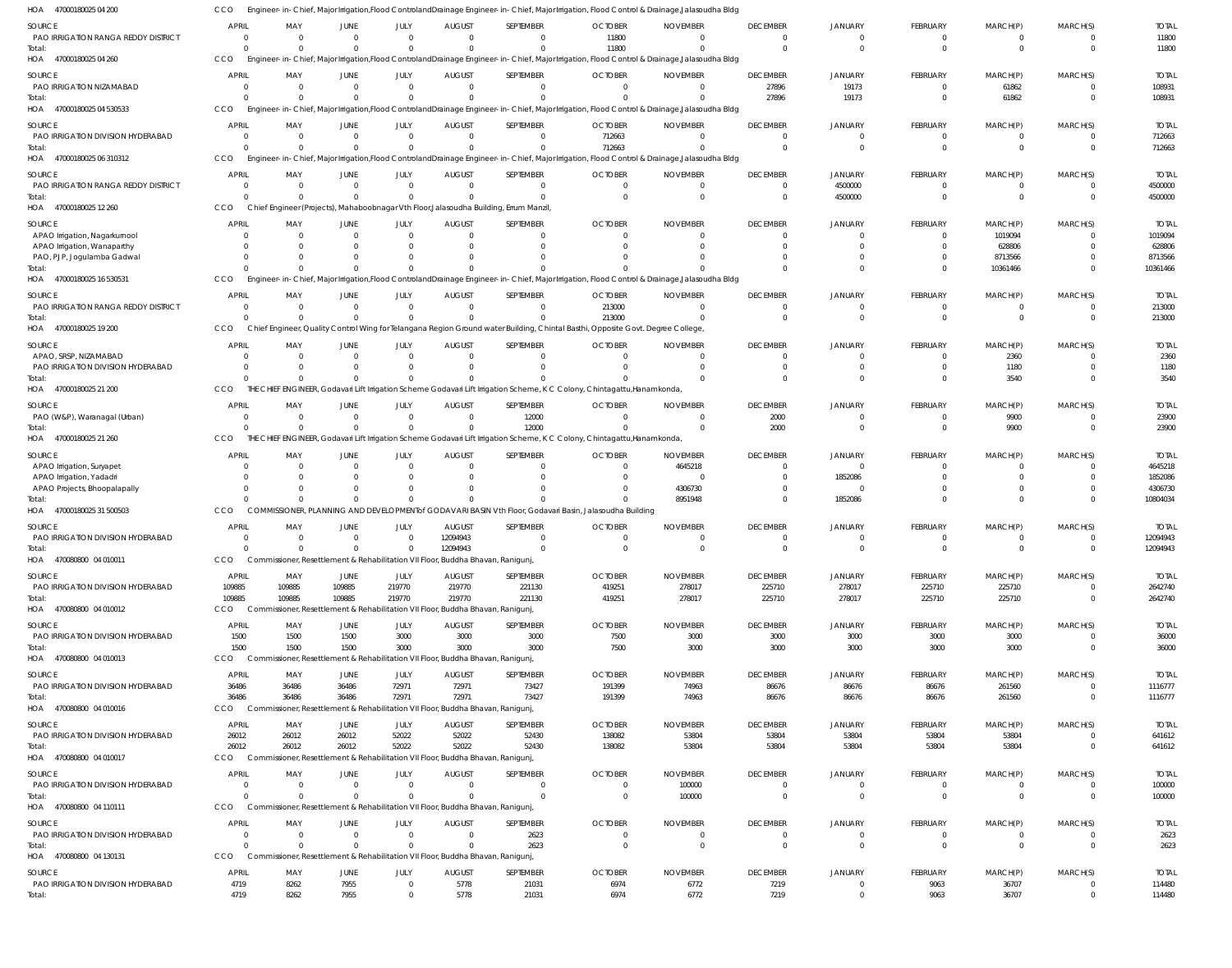| HOA 47000180025 04 200                                     | <b>CCO</b>                 |                                                                                 |                      |                            |                           |                                                                                       | Engineer-in-Chief, Major Irrigation,Flood ControlandDrainage Engineer-in-Chief, Major Irrigation, Flood Control & Drainage,Jalasoudha Bldg              |                             |                                           |                                  |                                |                                |                                  |                          |
|------------------------------------------------------------|----------------------------|---------------------------------------------------------------------------------|----------------------|----------------------------|---------------------------|---------------------------------------------------------------------------------------|---------------------------------------------------------------------------------------------------------------------------------------------------------|-----------------------------|-------------------------------------------|----------------------------------|--------------------------------|--------------------------------|----------------------------------|--------------------------|
| SOURCE                                                     | <b>APRIL</b>               | MAY                                                                             | JUNE                 | JULY                       | <b>AUGUST</b>             | SEPTEMBER                                                                             | <b>OCTOBER</b>                                                                                                                                          | <b>NOVEMBER</b>             | <b>DECEMBER</b>                           | <b>JANUARY</b>                   | FEBRUARY                       | MARCH(P)                       | MARCH(S)                         | <b>TOTAL</b>             |
| PAO IRRIGATION RANGA REDDY DISTRICT                        | $\Omega$                   | $\overline{0}$                                                                  |                      | $\overline{0}$             | $\Omega$                  | $\Omega$                                                                              | 11800                                                                                                                                                   |                             | $\mathbf 0$                               | $\mathbf 0$                      | 0                              | 0                              | $\overline{0}$                   | 11800                    |
| Total:<br>HOA 47000180025 04 260                           | $\Omega$<br>CCO            | $\Omega$                                                                        |                      | $\Omega$                   |                           | $\Omega$                                                                              | 11800<br>Engineer-in-Chief, Major Irrigation, Flood ControlandDrainage Engineer-in-Chief, Major Irrigation, Flood Control & Drainage, Jalasoudha Bldg   |                             | $\Omega$                                  | $\Omega$                         | $\mathbf 0$                    | $\mathbf 0$                    | $\Omega$                         | 11800                    |
|                                                            |                            |                                                                                 |                      |                            |                           |                                                                                       |                                                                                                                                                         |                             |                                           |                                  |                                |                                |                                  |                          |
| SOURCE<br>PAO IRRIGATION NIZAMABAD                         | <b>APRIL</b><br>$\Omega$   | MAY<br>$\Omega$                                                                 | JUNE<br>$\Omega$     | JULY<br>$\Omega$           | <b>AUGUST</b><br>$\Omega$ | SEPTEMBER<br>$\mathbf{0}$                                                             | <b>OCTOBER</b><br>$\Omega$                                                                                                                              | <b>NOVEMBER</b><br>$\Omega$ | <b>DECEMBER</b><br>27896                  | <b>JANUARY</b><br>19173          | <b>FEBRUARY</b><br>$\mathbf 0$ | MARCH(P)<br>61862              | MARCH(S)<br>$\Omega$             | <b>TOTAL</b><br>108931   |
| Total:                                                     | $\Omega$                   | $\Omega$                                                                        | $\Omega$             | $\Omega$                   |                           | $\Omega$                                                                              |                                                                                                                                                         |                             | 27896                                     | 19173                            | $\mathbf{0}$                   | 61862                          | $\overline{0}$                   | 108931                   |
| HOA 47000180025 04 530533                                  | CCO                        |                                                                                 |                      |                            |                           |                                                                                       | Engineer-in-Chief, Major Irrigation, Flood Controland Drainage Engineer-in-Chief, Major Irrigation, Flood Control & Drainage, Jalasoudha Bldg           |                             |                                           |                                  |                                |                                |                                  |                          |
| SOURCE                                                     | <b>APRIL</b>               | MAY                                                                             | JUNE                 | JULY                       | <b>AUGUST</b>             | SEPTEMBER                                                                             | <b>OCTOBER</b>                                                                                                                                          | <b>NOVEMBER</b>             | <b>DECEMBER</b>                           | <b>JANUARY</b>                   | FEBRUARY                       | MARCH(P)                       | MARCH(S)                         | <b>TOTAL</b>             |
| PAO IRRIGATION DIVISION HYDERABAD                          | $\Omega$                   | $\overline{0}$                                                                  |                      | $\Omega$                   | $\Omega$                  | $\Omega$                                                                              | 712663                                                                                                                                                  |                             | - 0                                       | $\overline{0}$                   | 0                              | 0                              | $\overline{0}$                   | 712663                   |
| Total:<br>HOA 47000180025 06 310312                        | $\Omega$<br>CCO            | $\Omega$                                                                        |                      | $\Omega$                   |                           | $\Omega$                                                                              | 712663<br>Engineer-in-Chief, Major Irrigation, Flood Controland Drainage Engineer-in-Chief, Major Irrigation, Flood Control & Drainage, Jalasoudha Bldg |                             | $\Omega$                                  | $\Omega$                         | $\mathbf{0}$                   | $\Omega$                       | $\Omega$                         | 712663                   |
|                                                            |                            |                                                                                 |                      |                            |                           |                                                                                       |                                                                                                                                                         |                             |                                           |                                  |                                |                                |                                  |                          |
| SOURCE<br>PAO IRRIGATION RANGA REDDY DISTRICT              | <b>APRIL</b><br>$\Omega$   | MAY<br>$\overline{0}$                                                           | JUNE<br>$\Omega$     | JULY<br>$\Omega$           | <b>AUGUST</b><br>$\Omega$ | SEPTEMBER<br>$\mathbf{0}$                                                             | <b>OCTOBER</b><br>$\Omega$                                                                                                                              | <b>NOVEMBER</b><br>$\Omega$ | <b>DECEMBER</b><br>$\overline{0}$         | <b>JANUARY</b><br>4500000        | <b>FEBRUARY</b><br>$^{\circ}$  | MARCH(P)<br>$\mathbf{0}$       | MARCH(S)<br>$\overline{0}$       | <b>TOTAL</b><br>4500000  |
| Total:                                                     | $\Omega$                   | $\Omega$                                                                        | $\Omega$             | $\Omega$                   |                           | $\Omega$                                                                              | $\Omega$                                                                                                                                                | $\Omega$                    | $\overline{0}$                            | 4500000                          | $\mathbf 0$                    | $\mathbf 0$                    | $\Omega$                         | 4500000                  |
| HOA 47000180025 12 260                                     | CCO                        |                                                                                 |                      |                            |                           | Chief Engineer (Projects), Mahaboobnagar Vth Floor, Jalasoudha Building, Errum Manzil |                                                                                                                                                         |                             |                                           |                                  |                                |                                |                                  |                          |
| SOURCE                                                     | <b>APRIL</b>               | MAY                                                                             | <b>JUNE</b>          | JULY                       | <b>AUGUST</b>             | SEPTEMBER                                                                             | <b>OCTOBER</b>                                                                                                                                          | <b>NOVEMBER</b>             | <b>DECEMBER</b>                           | <b>JANUARY</b>                   | <b>FEBRUARY</b>                | MARCH(P)                       | MARCH(S)                         | <b>TOTAL</b>             |
| APAO Irrigation, Nagarkurnool                              |                            | $\Omega$                                                                        |                      | $\Omega$                   |                           |                                                                                       |                                                                                                                                                         |                             | $\Omega$                                  |                                  | $\Omega$                       | 1019094                        | $\Omega$                         | 1019094                  |
| APAO Irrigation, Wanaparthy                                |                            | $\Omega$<br>$\Omega$                                                            |                      |                            |                           |                                                                                       |                                                                                                                                                         |                             |                                           |                                  | $\Omega$<br>$\Omega$           | 628806<br>8713566              |                                  | 628806<br>8713566        |
| PAO, PJP, Jogulamba Gadwal<br>Total:                       |                            | $\Omega$                                                                        |                      | 0                          |                           |                                                                                       |                                                                                                                                                         |                             |                                           |                                  | $\Omega$                       | 10361466                       | $\Omega$                         | 10361466                 |
| HOA 47000180025 16 530531                                  | CCO                        |                                                                                 |                      |                            |                           |                                                                                       | Engineer-in-Chief, Major Irrigation, Flood Controland Drainage Engineer-in-Chief, Major Irrigation, Flood Control & Drainage, Jalasoudha Bldg           |                             |                                           |                                  |                                |                                |                                  |                          |
| SOURCE                                                     | <b>APRIL</b>               | MAY                                                                             | JUNE                 | JULY                       | <b>AUGUST</b>             | SEPTEMBER                                                                             | <b>OCTOBER</b>                                                                                                                                          | <b>NOVEMBER</b>             | <b>DECEMBER</b>                           | <b>JANUARY</b>                   | FEBRUARY                       | MARCH(P)                       | MARCH(S)                         | <b>TOTAL</b>             |
| PAO IRRIGATION RANGA REDDY DISTRICT                        | $\overline{0}$             | $\overline{0}$                                                                  | $\Omega$             | $\overline{0}$             | $\Omega$                  | $\mathbf{0}$                                                                          | 213000                                                                                                                                                  | $\Omega$                    | 0                                         | - 0                              | $\mathbf{0}$                   | 0                              | $\overline{0}$                   | 213000                   |
| Total:                                                     | $\Omega$                   | $\Omega$                                                                        | $\Omega$             | $\Omega$                   |                           | $\Omega$                                                                              | 213000                                                                                                                                                  | $\Omega$                    | $\Omega$                                  | $\Omega$                         | $\mathbf 0$                    | $\Omega$                       | $\Omega$                         | 213000                   |
| HOA 47000180025 19 200                                     | CCO                        |                                                                                 |                      |                            |                           |                                                                                       | Chief Engineer, Quality Control Wing for Telangana Region Ground water Building, Chintal Basthi, Opposite Govt. Degree College,                         |                             |                                           |                                  |                                |                                |                                  |                          |
| SOURCE                                                     | <b>APRIL</b>               | MAY                                                                             | JUNE                 | JULY                       | <b>AUGUST</b>             | SEPTEMBER                                                                             | <b>OCTOBER</b>                                                                                                                                          | <b>NOVEMBER</b>             | <b>DECEMBER</b>                           | JANUARY                          | FEBRUARY                       | MARCH(P)                       | MARCH(S)                         | <b>TOTAL</b>             |
| APAO, SRSP, NIZAMABAD<br>PAO IRRIGATION DIVISION HYDERABAD | $\Omega$                   | $\Omega$<br>$\Omega$                                                            |                      | $\Omega$<br>$\Omega$       |                           | $\Omega$                                                                              |                                                                                                                                                         |                             | $\Omega$<br>$\Omega$                      | $\Omega$<br>$\Omega$             | $\mathbf{0}$<br>$\mathbf{0}$   | 2360<br>1180                   | $\Omega$<br>$\Omega$             | 2360<br>1180             |
| Total:                                                     | $\Omega$                   | $\Omega$                                                                        |                      | $\Omega$                   |                           |                                                                                       |                                                                                                                                                         |                             | $\Omega$                                  |                                  | $\Omega$                       | 3540                           | $\Omega$                         | 3540                     |
| HOA 47000180025 21 200                                     | CCO                        |                                                                                 |                      |                            |                           |                                                                                       | THE CHIEF ENGINEER, Godavari Lift Irrigation Scheme Godavari Lift Irrigation Scheme, K C Colony, Chintagattu, Hanamkonda,                               |                             |                                           |                                  |                                |                                |                                  |                          |
| SOURCE                                                     | <b>APRIL</b>               | MAY                                                                             | JUNE                 | JULY                       | <b>AUGUST</b>             | SEPTEMBER                                                                             | <b>OCTOBER</b>                                                                                                                                          | <b>NOVEMBER</b>             | <b>DECEMBER</b>                           | JANUARY                          | FEBRUARY                       | MARCH(P)                       | MARCH(S)                         | <b>TOTAL</b>             |
| PAO (W&P), Waranagal (Urban)                               | $\Omega$                   | $\overline{0}$                                                                  |                      | $\overline{0}$             | $\Omega$                  | 12000                                                                                 |                                                                                                                                                         | $\Omega$                    | 2000                                      | $\Omega$                         | $\mathbf{0}$                   | 9900                           | $\overline{0}$                   | 23900                    |
| Total:<br>HOA 47000180025 21 260                           | $\Omega$<br>CCO            | $\Omega$                                                                        | $\Omega$             | $\Omega$                   | $\Omega$                  | 12000                                                                                 | THE CHIEF ENGINEER, Godavari Lift Irrigation Scheme Godavari Lift Irrigation Scheme, K C Colony, Chintagattu, Hanamkonda                                | $\Omega$                    | 2000                                      | $\Omega$                         | $\mathbf 0$                    | 9900                           | $\Omega$                         | 23900                    |
|                                                            |                            |                                                                                 |                      |                            |                           |                                                                                       |                                                                                                                                                         |                             |                                           |                                  |                                |                                |                                  |                          |
| SOURCE<br>APAO Irrigation, Suryapet                        | <b>APRIL</b><br>$\Omega$   | MAY<br>$\Omega$                                                                 | <b>JUNE</b>          | JULY<br>$\Omega$           | <b>AUGUST</b>             | SEPTEMBER<br>$\Omega$                                                                 | <b>OCTOBER</b>                                                                                                                                          | <b>NOVEMBER</b><br>4645218  | <b>DECEMBER</b><br>$\Omega$               | JANUARY<br>$\overline{0}$        | FEBRUARY<br>$\Omega$           | MARCH(P)<br>$\Omega$           | MARCH(S)<br>$\Omega$             | <b>TOTAL</b><br>4645218  |
| APAO Irrigation, Yadadri                                   |                            | $\Omega$                                                                        |                      | $\Omega$                   |                           |                                                                                       |                                                                                                                                                         |                             |                                           | 1852086                          | $\Omega$                       |                                |                                  | 1852086                  |
| APAO Projects, Bhoopalapally                               |                            | $\Omega$                                                                        |                      |                            |                           |                                                                                       |                                                                                                                                                         | 4306730                     |                                           |                                  | $\Omega$                       | $\Omega$                       |                                  | 4306730                  |
| Total:                                                     |                            | $\Omega$                                                                        |                      | $\Omega$                   |                           |                                                                                       |                                                                                                                                                         | 8951948                     | $\Omega$                                  | 1852086                          | $\Omega$                       | $\Omega$                       | $\Omega$                         | 10804034                 |
| HOA 47000180025 31 500503                                  | CCO                        |                                                                                 |                      |                            |                           |                                                                                       | COMMISSIONER, PLANNING AND DEVELOPMENTof GODAVARI BASIN Vth Floor, Godavari Basin, Jalasoudha Building                                                  |                             |                                           |                                  |                                |                                |                                  |                          |
| <b>SOURCE</b><br>PAO IRRIGATION DIVISION HYDERABAD         | <b>APRIL</b><br>$\Omega$   | MAY<br>$\Omega$                                                                 | JUNE<br>$\Omega$     | JULY<br>$\Omega$           | <b>AUGUST</b><br>12094943 | SEPTEMBER<br>$\Omega$                                                                 | <b>OCTOBER</b>                                                                                                                                          | <b>NOVEMBER</b>             | <b>DECEMBER</b><br>- 0                    | <b>JANUARY</b><br>$\Omega$       | <b>FEBRUARY</b><br>$\Omega$    | MARCH(P)<br>0                  | MARCH(S)<br>$\Omega$             | <b>TOTAL</b><br>12094943 |
| Total:                                                     | $\Omega$                   | $\Omega$                                                                        | $\Omega$             | $\Omega$                   | 12094943                  | $\Omega$                                                                              |                                                                                                                                                         |                             | $\Omega$                                  | $\Omega$                         | $\Omega$                       |                                | $\Omega$                         | 12094943                 |
| HOA 470080800 04 010011                                    | <b>CCO</b>                 | Commissioner, Resettlement & Rehabilitation VII Floor, Buddha Bhavan, Ranigunj, |                      |                            |                           |                                                                                       |                                                                                                                                                         |                             |                                           |                                  |                                |                                |                                  |                          |
| <b>SOURCE</b>                                              | APRIL                      | MAY                                                                             | JUNE                 | JULY                       | <b>AUGUST</b>             | SEPTEMBER                                                                             | <b>OCTOBER</b>                                                                                                                                          | <b>NOVEMBER</b>             | <b>DECEMBER</b>                           | <b>JANUARY</b>                   | <b>FEBRUARY</b>                | MARCH(P)                       | MARCH(S)                         | <b>TOTAL</b>             |
| PAO IRRIGATION DIVISION HYDERABAD                          | 109885                     | 109885                                                                          | 109885               | 219770                     | 219770                    | 221130                                                                                | 419251                                                                                                                                                  | 278017                      | 225710                                    | 278017                           | 225710                         | 225710                         | $\overline{0}$                   | 2642740                  |
| Total:                                                     | 109885                     | 109885                                                                          | 109885               | 219770                     | 219770                    | 221130                                                                                | 419251                                                                                                                                                  | 278017                      | 225710                                    | 278017                           | 225710                         | 225710                         | $\overline{0}$                   | 2642740                  |
| HOA 470080800 04 010012                                    | CCO                        | Commissioner, Resettlement & Rehabilitation VII Floor, Buddha Bhavan, Ranigunj, |                      |                            |                           |                                                                                       |                                                                                                                                                         |                             |                                           |                                  |                                |                                |                                  |                          |
| SOURCE                                                     | APRIL                      | MAY                                                                             | JUNE                 | JULY                       | <b>AUGUST</b>             | SEPTEMBER                                                                             | <b>OCTOBER</b>                                                                                                                                          | <b>NOVEMBER</b>             | <b>DECEMBER</b>                           | <b>JANUARY</b>                   | <b>FEBRUARY</b>                | MARCH(P)                       | MARCH(S)                         | <b>TOTAL</b>             |
| PAO IRRIGATION DIVISION HYDERABAD<br>Total:                | 1500<br>1500               | 1500<br>1500                                                                    | 1500<br>1500         | 3000<br>3000               | 3000<br>3000              | 3000<br>3000                                                                          | 7500<br>7500                                                                                                                                            | 3000<br>3000                | 3000<br>3000                              | 3000<br>3000                     | 3000<br>3000                   | 3000<br>3000                   | $\overline{0}$<br>$\overline{0}$ | 36000<br>36000           |
| HOA 470080800 04 010013                                    | CCO                        | Commissioner, Resettlement & Rehabilitation VII Floor, Buddha Bhavan, Ranigunj, |                      |                            |                           |                                                                                       |                                                                                                                                                         |                             |                                           |                                  |                                |                                |                                  |                          |
| <b>SOURCE</b>                                              | <b>APRIL</b>               | MAY                                                                             | <b>JUNE</b>          | JULY                       | <b>AUGUST</b>             | SEPTEMBER                                                                             | <b>OCTOBER</b>                                                                                                                                          | <b>NOVEMBER</b>             | <b>DECEMBER</b>                           | <b>JANUARY</b>                   | FEBRUARY                       | MARCH(P)                       | MARCH(S)                         | <b>TOTAL</b>             |
| PAO IRRIGATION DIVISION HYDERABAD                          | 36486                      | 36486                                                                           | 36486                | 72971                      | 72971                     | 73427                                                                                 | 191399                                                                                                                                                  | 74963                       | 86676                                     | 86676                            | 86676                          | 261560                         | $\overline{0}$                   | 1116777                  |
| Total:                                                     | 36486                      | 36486                                                                           | 36486                | 72971                      | 72971                     | 73427                                                                                 | 191399                                                                                                                                                  | 74963                       | 86676                                     | 86676                            | 86676                          | 261560                         | $\overline{0}$                   | 1116777                  |
| HOA 470080800 04 010016                                    | CCO                        | Commissioner, Resettlement & Rehabilitation VII Floor, Buddha Bhavan, Ranigunj, |                      |                            |                           |                                                                                       |                                                                                                                                                         |                             |                                           |                                  |                                |                                |                                  |                          |
| <b>SOURCE</b>                                              | <b>APRIL</b>               | MAY                                                                             | JUNE                 | JULY                       | <b>AUGUST</b>             | SEPTEMBER                                                                             | <b>OCTOBER</b>                                                                                                                                          | <b>NOVEMBER</b>             | <b>DECEMBER</b>                           | <b>JANUARY</b>                   | FEBRUARY                       | MARCH(P)                       | MARCH(S)                         | <b>TOTAL</b>             |
| PAO IRRIGATION DIVISION HYDERABAD<br>Total:                | 26012<br>26012             | 26012<br>26012                                                                  | 26012<br>26012       | 52022<br>52022             | 52022<br>52022            | 52430<br>52430                                                                        | 138082<br>138082                                                                                                                                        | 53804<br>53804              | 53804<br>53804                            | 53804<br>53804                   | 53804<br>53804                 | 53804<br>53804                 | $\overline{0}$<br>$\overline{0}$ | 641612<br>641612         |
| HOA 470080800 04 010017                                    | CCO                        | Commissioner, Resettlement & Rehabilitation VII Floor, Buddha Bhavan, Ranigunj, |                      |                            |                           |                                                                                       |                                                                                                                                                         |                             |                                           |                                  |                                |                                |                                  |                          |
| <b>SOURCE</b>                                              | <b>APRIL</b>               | MAY                                                                             | JUNE                 | JULY                       | <b>AUGUST</b>             | SEPTEMBER                                                                             | <b>OCTOBER</b>                                                                                                                                          | <b>NOVEMBER</b>             | <b>DECEMBER</b>                           | <b>JANUARY</b>                   | <b>FEBRUARY</b>                | MARCH(P)                       | MARCH(S)                         | <b>TOTAL</b>             |
| PAO IRRIGATION DIVISION HYDERABAD                          | $\overline{0}$             | $\overline{\mathbf{0}}$                                                         | $\Omega$             | $\Omega$                   | -C                        | $\Omega$                                                                              |                                                                                                                                                         | 100000                      | $\overline{0}$                            | 0                                | 0                              | 0                              | $\overline{0}$                   | 100000                   |
| Total:                                                     | $\Omega$                   | $\Omega$                                                                        | $\Omega$             | $\Omega$                   |                           | $\Omega$                                                                              | $\Omega$                                                                                                                                                | 100000                      | $\overline{0}$                            | $\overline{0}$                   | $\mathbf{0}$                   | $\mathbf{0}$                   | $\overline{0}$                   | 100000                   |
| HOA 470080800 04 110111                                    | CCO                        | Commissioner, Resettlement & Rehabilitation VII Floor, Buddha Bhavan, Ranigunj, |                      |                            |                           |                                                                                       |                                                                                                                                                         |                             |                                           |                                  |                                |                                |                                  |                          |
| SOURCE                                                     | <b>APRIL</b>               | MAY                                                                             | <b>JUNE</b>          | JULY                       | <b>AUGUST</b>             | SEPTEMBER                                                                             | <b>OCTOBER</b>                                                                                                                                          | <b>NOVEMBER</b>             | <b>DECEMBER</b>                           | <b>JANUARY</b>                   | FEBRUARY                       | MARCH(P)                       | MARCH(S)                         | <b>TOTAL</b>             |
| PAO IRRIGATION DIVISION HYDERABAD                          | $\overline{0}$<br>$\Omega$ | $\overline{0}$<br>$\Omega$                                                      | $\Omega$<br>$\Omega$ | $\overline{0}$<br>$\Omega$ | - 0<br>$\Omega$           | 2623                                                                                  | $\overline{0}$<br>$\Omega$                                                                                                                              | - 0<br>$\Omega$             | $\overline{\mathbf{0}}$<br>$\overline{0}$ | $\overline{0}$<br>$\overline{0}$ | $\mathbf{0}$<br>$\mathbf{0}$   | $\overline{0}$<br>$\mathbf{0}$ | $\overline{0}$<br>$\overline{0}$ | 2623                     |
| Total:<br>HOA 470080800 04 130131                          | CCO                        | Commissioner, Resettlement & Rehabilitation VII Floor, Buddha Bhavan, Ranigunj, |                      |                            |                           | 2623                                                                                  |                                                                                                                                                         |                             |                                           |                                  |                                |                                |                                  | 2623                     |
|                                                            |                            | MAY                                                                             |                      |                            |                           |                                                                                       | <b>OCTOBER</b>                                                                                                                                          | <b>NOVEMBER</b>             | <b>DECEMBER</b>                           |                                  |                                |                                | MARCH(S)                         |                          |
| <b>SOURCE</b><br>PAO IRRIGATION DIVISION HYDERABAD         | <b>APRIL</b><br>4719       | 8262                                                                            | JUNE<br>7955         | JULY<br>$\mathbf{0}$       | <b>AUGUST</b><br>5778     | SEPTEMBER<br>21031                                                                    | 6974                                                                                                                                                    | 6772                        | 7219                                      | <b>JANUARY</b><br>$\overline{0}$ | FEBRUARY<br>9063               | MARCH(P)<br>36707              | $\overline{0}$                   | <b>TOTAL</b><br>114480   |
| Total:                                                     | 4719                       | 8262                                                                            | 7955                 | $\overline{0}$             | 5778                      | 21031                                                                                 | 6974                                                                                                                                                    | 6772                        | 7219                                      | $\overline{0}$                   | 9063                           | 36707                          | $\overline{0}$                   | 114480                   |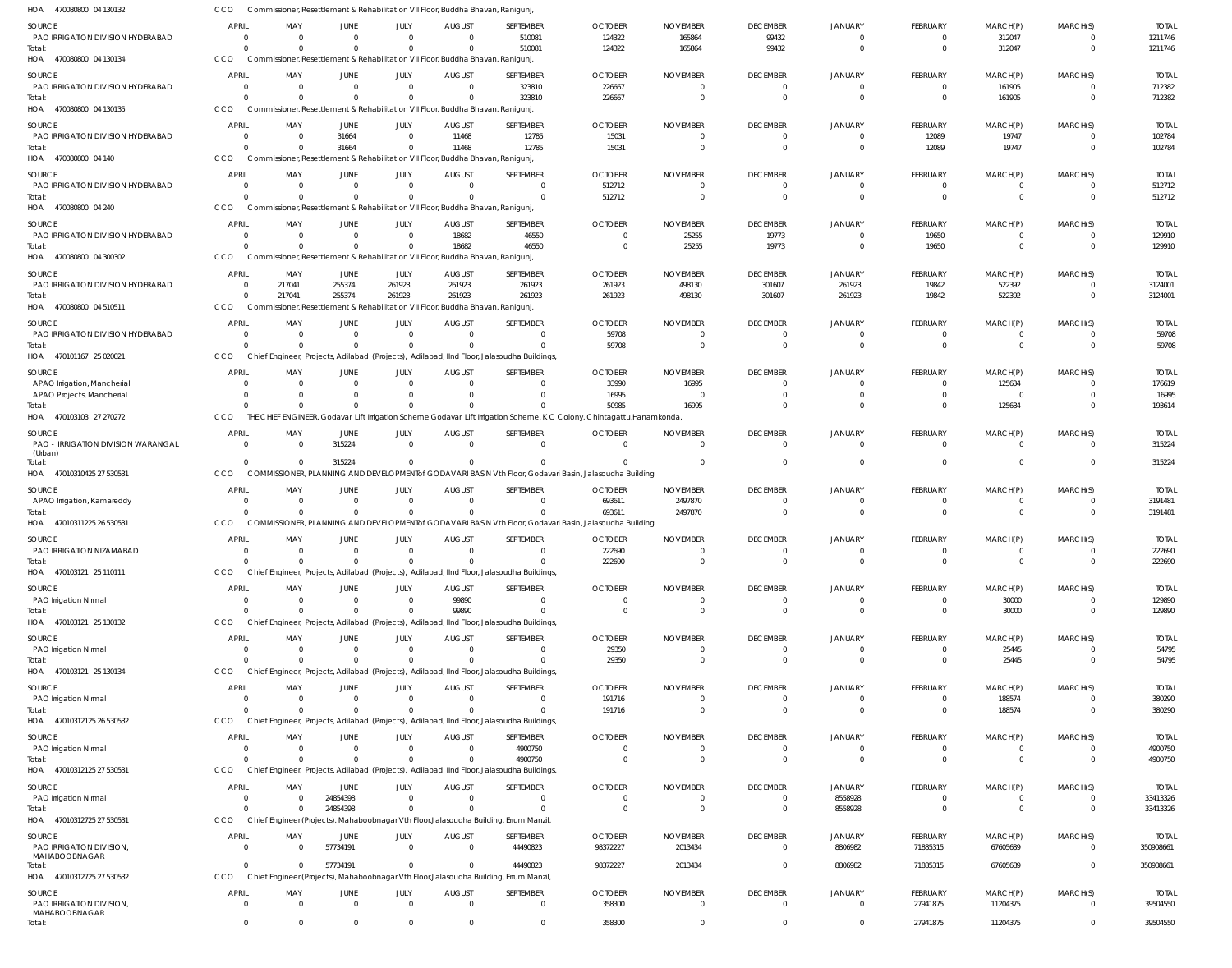| HOA 470080800 04 130132                     | CCO                            |                      |                  |                        | Commissioner, Resettlement & Rehabilitation VII Floor, Buddha Bhavan, Ranigunj, |                                                                                                                          |                            |                             |                                   |                                  |                                |                                |                                     |                           |
|---------------------------------------------|--------------------------------|----------------------|------------------|------------------------|---------------------------------------------------------------------------------|--------------------------------------------------------------------------------------------------------------------------|----------------------------|-----------------------------|-----------------------------------|----------------------------------|--------------------------------|--------------------------------|-------------------------------------|---------------------------|
| <b>SOURCE</b>                               | <b>APRIL</b>                   | MAY                  | JUNE             | JULY                   | <b>AUGUST</b>                                                                   | SEPTEMBER                                                                                                                | <b>OCTOBER</b>             | <b>NOVEMBER</b>             | <b>DECEMBER</b>                   | <b>JANUARY</b>                   | FEBRUARY                       | MARCH(P)                       | MARCH(S)                            | <b>TOTAL</b>              |
| PAO IRRIGATION DIVISION HYDERABAD           | - 0                            | $\Omega$             | $\Omega$         | $\overline{0}$         | $\overline{0}$                                                                  | 510081                                                                                                                   | 124322                     | 165864                      | 99432                             | $\overline{0}$                   | $^{\circ}$                     | 312047                         | $\overline{\mathbf{0}}$             | 1211746                   |
| Total:<br>HOA 470080800 04 130134           | $\Omega$<br>CCO                | $\Omega$             | $\Omega$         | $\Omega$               | Commissioner, Resettlement & Rehabilitation VII Floor, Buddha Bhavan, Ranigunj, | 510081                                                                                                                   | 124322                     | 165864                      | 99432                             | $\Omega$                         | $\mathbf{0}$                   | 312047                         | $\overline{0}$                      | 1211746                   |
|                                             |                                |                      |                  |                        |                                                                                 |                                                                                                                          |                            |                             |                                   |                                  |                                |                                |                                     |                           |
| SOURCE<br>PAO IRRIGATION DIVISION HYDERABAD | <b>APRIL</b><br>0              | MAY<br>$\Omega$      | JUNE<br>$\Omega$ | JULY<br>$\Omega$       | <b>AUGUST</b><br>$\Omega$                                                       | SEPTEMBER<br>323810                                                                                                      | <b>OCTOBER</b><br>226667   | <b>NOVEMBER</b>             | <b>DECEMBER</b><br>$\Omega$       | <b>JANUARY</b><br>$\Omega$       | <b>FEBRUARY</b><br>$\mathbf 0$ | MARCH(P)<br>161905             | MARCH(S)<br>$\Omega$                | <b>TOTAL</b><br>712382    |
| Total:                                      | $\Omega$                       | $\Omega$             |                  | $\Omega$               |                                                                                 | 323810                                                                                                                   | 226667                     |                             | $\Omega$                          | $\Omega$                         | $\overline{0}$                 | 161905                         | $\overline{\mathbf{0}}$             | 712382                    |
| HOA 470080800 04 130135                     | CCO                            |                      |                  |                        | Commissioner, Resettlement & Rehabilitation VII Floor, Buddha Bhavan, Ranigunj, |                                                                                                                          |                            |                             |                                   |                                  |                                |                                |                                     |                           |
| <b>SOURCE</b>                               | <b>APRIL</b>                   | MAY                  | JUNE             | JULY                   | <b>AUGUST</b>                                                                   | SEPTEMBER                                                                                                                | <b>OCTOBER</b>             | <b>NOVEMBER</b>             | <b>DECEMBER</b>                   | <b>JANUARY</b>                   | <b>FEBRUARY</b>                | MARCH(P)                       | MARCH(S)                            | <b>TOTAL</b>              |
| PAO IRRIGATION DIVISION HYDERABAD           | $\overline{\mathbf{0}}$        | $\overline{0}$       | 31664            | $\Omega$               | 11468                                                                           | 12785                                                                                                                    | 15031                      | - 0                         | $\overline{0}$                    | $\overline{0}$                   | 12089                          | 19747                          | 0                                   | 102784                    |
| Total:                                      | $\Omega$                       | $\Omega$             | 31664            | $\Omega$               | 11468                                                                           | 12785                                                                                                                    | 15031                      | $\Omega$                    | $\Omega$                          | $\Omega$                         | 12089                          | 19747                          | $\overline{0}$                      | 102784                    |
| HOA 470080800 04 140                        | CCO                            |                      |                  |                        | Commissioner, Resettlement & Rehabilitation VII Floor, Buddha Bhavan, Ranigunj, |                                                                                                                          |                            |                             |                                   |                                  |                                |                                |                                     |                           |
| <b>SOURCE</b>                               | <b>APRIL</b><br>- 0            | MAY                  | JUNE             | JULY<br>$\Omega$       | <b>AUGUST</b><br>$\Omega$                                                       | SEPTEMBER<br>$\overline{0}$                                                                                              | <b>OCTOBER</b>             | <b>NOVEMBER</b><br>$\Omega$ | <b>DECEMBER</b>                   | JANUARY<br>$\Omega$              | FEBRUARY                       | MARCH(P)                       | MARCH(S)<br>$\overline{0}$          | <b>TOTAL</b>              |
| PAO IRRIGATION DIVISION HYDERABAD<br>Total: | $\Omega$                       | $\Omega$<br>$\Omega$ | $\Omega$         | $\Omega$               |                                                                                 | $\Omega$                                                                                                                 | 512712<br>512712           |                             | $\overline{0}$<br>$\Omega$        | $\Omega$                         | $\mathbf 0$<br>$\mathbf{0}$    | $\overline{0}$<br>$\mathbf{0}$ | $\Omega$                            | 512712<br>512712          |
| HOA 470080800 04 240                        | CCO                            |                      |                  |                        | Commissioner, Resettlement & Rehabilitation VII Floor, Buddha Bhavan, Ranigunj, |                                                                                                                          |                            |                             |                                   |                                  |                                |                                |                                     |                           |
| <b>SOURCE</b>                               | <b>APRIL</b>                   | MAY                  | JUNE             | JULY                   | <b>AUGUST</b>                                                                   | SEPTEMBER                                                                                                                | <b>OCTOBER</b>             | <b>NOVEMBER</b>             | <b>DECEMBER</b>                   | <b>JANUARY</b>                   | <b>FEBRUARY</b>                | MARCH(P)                       | MARCH(S)                            | <b>TOTAL</b>              |
| PAO IRRIGATION DIVISION HYDERABAD           | $\overline{0}$                 | $\Omega$             | $\Omega$         | $\Omega$               | 18682                                                                           | 46550                                                                                                                    | $\Omega$                   | 25255                       | 19773                             | $\Omega$                         | 19650                          | 0                              | $\overline{0}$                      | 129910                    |
| Total:                                      | $\Omega$                       | $\Omega$             | $\Omega$         | $\Omega$               | 18682                                                                           | 46550                                                                                                                    | $\Omega$                   | 25255                       | 19773                             | $\Omega$                         | 19650                          | $\mathbf{0}$                   | $\overline{0}$                      | 129910                    |
| HOA 470080800 04 300302                     | CCO                            |                      |                  |                        | Commissioner, Resettlement & Rehabilitation VII Floor, Buddha Bhavan, Ranigunj, |                                                                                                                          |                            |                             |                                   |                                  |                                |                                |                                     |                           |
| <b>SOURCE</b>                               | <b>APRIL</b>                   | MAY                  | <b>JUNE</b>      | JULY                   | <b>AUGUST</b>                                                                   | SEPTEMBER                                                                                                                | <b>OCTOBER</b>             | <b>NOVEMBER</b>             | <b>DECEMBER</b>                   | JANUARY                          | <b>FEBRUARY</b>                | MARCH(P)                       | MARCH(S)                            | <b>TOTAL</b>              |
| PAO IRRIGATION DIVISION HYDERABAD<br>Total: | 0<br>$\Omega$                  | 217041<br>217041     | 255374<br>255374 | 261923<br>261923       | 261923<br>261923                                                                | 261923<br>261923                                                                                                         | 261923<br>261923           | 498130<br>498130            | 301607<br>301607                  | 261923<br>261923                 | 19842<br>19842                 | 522392<br>522392               | $\overline{0}$<br>$\Omega$          | 3124001<br>3124001        |
| HOA 470080800 04 510511                     | CCO                            |                      |                  |                        | Commissioner, Resettlement & Rehabilitation VII Floor, Buddha Bhavan, Ranigunj, |                                                                                                                          |                            |                             |                                   |                                  |                                |                                |                                     |                           |
| <b>SOURCE</b>                               | <b>APRIL</b>                   | MAY                  | JUNE             | JULY                   | <b>AUGUST</b>                                                                   | SEPTEMBER                                                                                                                | <b>OCTOBER</b>             | <b>NOVEMBER</b>             | <b>DECEMBER</b>                   | <b>JANUARY</b>                   | FEBRUARY                       | MARCH(P)                       | MARCH(S)                            | <b>TOTAL</b>              |
| PAO IRRIGATION DIVISION HYDERABAD           | $\Omega$                       | $\Omega$             | $\Omega$         | $\Omega$               | - 0                                                                             | $\Omega$                                                                                                                 | 59708                      | $\Omega$                    | $\overline{0}$                    | $\Omega$                         | $\mathbf{0}$                   | $\overline{0}$                 | $\Omega$                            | 59708                     |
| Total:                                      | $\Omega$                       | $\Omega$             | $\Omega$         | $\Omega$               |                                                                                 | $\Omega$                                                                                                                 | 59708                      | $\Omega$                    | $\Omega$                          | $\Omega$                         | $\mathbf{0}$                   | $\mathbf{0}$                   | $\overline{0}$                      | 59708                     |
| HOA 470101167 25 020021                     | CCO                            |                      |                  |                        |                                                                                 | Chief Engineer, Projects, Adilabad (Projects), Adilabad, IInd Floor, Jalasoudha Buildings,                               |                            |                             |                                   |                                  |                                |                                |                                     |                           |
| SOURCE                                      | <b>APRIL</b>                   | MAY                  | JUNE             | JULY                   | <b>AUGUST</b>                                                                   | SEPTEMBER                                                                                                                | <b>OCTOBER</b>             | <b>NOVEMBER</b>             | <b>DECEMBER</b>                   | <b>JANUARY</b>                   | <b>FEBRUARY</b>                | MARCH(P)                       | MARCH(S)                            | <b>TOTAL</b>              |
| APAO Irrigation, Mancherial                 | $\Omega$                       | $\Omega$             |                  |                        |                                                                                 | $\Omega$                                                                                                                 | 33990                      | 16995                       | $\Omega$                          | $\Omega$                         | $\mathbf 0$                    | 125634                         | $\overline{0}$                      | 176619                    |
| APAO Projects, Mancherial<br>Total:         | $\Omega$<br>$\Omega$           | $\Omega$<br>$\Omega$ |                  | $\Omega$<br>$\Omega$   |                                                                                 | $\Omega$<br>$\Omega$                                                                                                     | 16995<br>50985             | - 0<br>16995                | $\Omega$                          | $\Omega$                         | $\mathbf 0$<br>$\mathbf 0$     | $\overline{0}$<br>125634       | $\Omega$<br>$\Omega$                | 16995<br>193614           |
| HOA 470103103 27 270272                     | CCO                            |                      |                  |                        |                                                                                 | THE CHIEF ENGINEER, Godavari Lift Irrigation Scheme Godavari Lift Irrigation Scheme, K C Colony, Chintagattu, Hanamkonda |                            |                             |                                   |                                  |                                |                                |                                     |                           |
| <b>SOURCE</b>                               | <b>APRIL</b>                   | MAY                  | JUNE             | JULY                   | <b>AUGUST</b>                                                                   | SEPTEMBER                                                                                                                | <b>OCTOBER</b>             | <b>NOVEMBER</b>             | <b>DECEMBER</b>                   | JANUARY                          | FEBRUARY                       | MARCH(P)                       | MARCH(S)                            | <b>TOTAL</b>              |
| PAO - IRRIGATION DIVISION WARANGAL          | - 0                            | $\Omega$             | 315224           | $\Omega$               | $\Omega$                                                                        | $\Omega$                                                                                                                 | $\Omega$                   | $\Omega$                    | $\Omega$                          | $\Omega$                         | $^{\circ}$                     | $\overline{0}$                 | $\Omega$                            | 315224                    |
| (Urban)                                     | $\Omega$                       | $\Omega$             | 315224           | $\Omega$               |                                                                                 | $\Omega$                                                                                                                 |                            |                             | $\Omega$                          |                                  | $\mathbf 0$                    | $\overline{0}$                 | $\Omega$                            | 315224                    |
| Total:<br>HOA 47010310425 27 530531         | CCO                            |                      |                  |                        |                                                                                 | COMMISSIONER, PLANNING AND DEVELOPMENT of GODAVARI BASIN Vth Floor, Godavari Basin, Jalasoudha Building                  |                            |                             |                                   |                                  |                                |                                |                                     |                           |
| <b>SOURCE</b>                               | <b>APRIL</b>                   | MAY                  | JUNE             | JULY                   | <b>AUGUST</b>                                                                   | SEPTEMBER                                                                                                                | <b>OCTOBER</b>             | <b>NOVEMBER</b>             | <b>DECEMBER</b>                   | <b>JANUARY</b>                   | FEBRUARY                       | MARCH(P)                       | MARCH(S)                            | <b>TOTAL</b>              |
| APAO Irrigation, Kamareddy                  | 0                              | $\Omega$             |                  | $\Omega$               | $\Omega$                                                                        | $\Omega$                                                                                                                 | 693611                     | 2497870                     | $\Omega$                          | $\Omega$                         | 0                              | $\overline{0}$                 | $\overline{0}$                      | 3191481                   |
| Total:                                      | $\Omega$                       | $\Omega$             | $\Omega$         | $\overline{0}$         |                                                                                 | $\Omega$                                                                                                                 | 693611                     | 2497870                     | $\Omega$                          | $\Omega$                         | $\mathbf{0}$                   | $\mathbf{0}$                   | - 0                                 | 3191481                   |
| HOA 47010311225 26 530531                   | CCO                            |                      |                  |                        |                                                                                 | COMMISSIONER, PLANNING AND DEVELOPMENT of GODAVARI BASIN Vth Floor, Godavari Basin, Jalasoudha Building                  |                            |                             |                                   |                                  |                                |                                |                                     |                           |
| <b>SOURCE</b>                               | <b>APRIL</b>                   | MAY                  | JUNE             | JULY                   | <b>AUGUST</b>                                                                   | SEPTEMBER                                                                                                                | <b>OCTOBER</b>             | <b>NOVEMBER</b>             | <b>DECEMBER</b>                   | <b>JANUARY</b>                   | <b>FEBRUARY</b>                | MARCH(P)                       | MARCH(S)                            | <b>TOTAL</b>              |
| PAO IRRIGATION NIZAMABAD                    | - 0                            | $\Omega$             | $\overline{0}$   | $\overline{0}$         | $\overline{0}$                                                                  | $\Omega$                                                                                                                 | 222690                     |                             | $\Omega$                          | $\Omega$                         | $\Omega$                       |                                | - 0                                 | 222690                    |
| Total:<br>HOA 470103121 25 110111           | $\Omega$<br>CCO                | $\Omega$             | $\Omega$         | $\Omega$               |                                                                                 | $\Omega$<br>Chief Engineer, Projects, Adilabad (Projects), Adilabad, IInd Floor, Jalasoudha Buildings,                   | 222690                     |                             | $\Omega$                          | $\Omega$                         | $\overline{0}$                 | $\overline{0}$                 | $\Omega$                            | 222690                    |
|                                             |                                |                      |                  |                        |                                                                                 |                                                                                                                          |                            |                             |                                   |                                  |                                |                                |                                     |                           |
| SOURCE<br>PAO Irrigation Nirmal             | <b>APRIL</b><br>0              | MAY<br>$\Omega$      | JUNE<br>$\Omega$ | JULY<br>$\overline{0}$ | <b>AUGUST</b><br>99890                                                          | SEPTEMBER<br>$\Omega$                                                                                                    | <b>OCTOBER</b>             | <b>NOVEMBER</b>             | <b>DECEMBER</b><br>0              | <b>JANUARY</b><br>$\Omega$       | <b>FEBRUARY</b><br>$\mathbf 0$ | MARCH(P)<br>30000              | MARCH(S)<br>$\Omega$                | <b>TOTAL</b><br>129890    |
| Total:                                      | $\Omega$                       | $\Omega$             | $\Omega$         | $\Omega$               | 99890                                                                           | $\Omega$                                                                                                                 | $\Omega$                   | $\Omega$                    | $\Omega$                          | $\Omega$                         | $\mathbf{0}$                   | 30000                          | $\overline{0}$                      | 129890                    |
| HOA 470103121 25 130132                     | CCO                            |                      |                  |                        |                                                                                 | Chief Engineer, Projects, Adilabad (Projects), Adilabad, IInd Floor, Jalasoudha Buildings,                               |                            |                             |                                   |                                  |                                |                                |                                     |                           |
| <b>SOURCE</b>                               | <b>APRIL</b>                   | MAY                  | JUNE             | <b>JULY</b>            | <b>AUGUST</b>                                                                   | SEPTEMBER                                                                                                                | <b>OCTOBER</b>             | <b>NOVEMBER</b>             | <b>DECEMBER</b>                   | <b>JANUARY</b>                   | <b>FEBRUARY</b>                | MARCH(P)                       | MARCH(S)                            | <b>TOTAL</b>              |
| PAO Irrigation Nirmal                       | $\overline{0}$                 | $\Omega$             | $\Omega$         | $\overline{0}$         | $\overline{0}$                                                                  | $\overline{0}$                                                                                                           | 29350                      | $\Omega$                    | $\Omega$                          | $\Omega$                         | $\mathbf{0}$                   | 25445                          | $\overline{0}$                      | 54795                     |
| Total:                                      | $\Omega$                       | $\Omega$             | $\Omega$         | $\Omega$               |                                                                                 | $\Omega$                                                                                                                 | 29350                      | $\Omega$                    | $\Omega$                          | $\Omega$                         | $\mathbf 0$                    | 25445                          | $\overline{0}$                      | 54795                     |
| HOA 470103121 25 130134                     | CCO                            |                      |                  |                        |                                                                                 | Chief Engineer, Projects, Adilabad (Projects), Adilabad, IInd Floor, Jalasoudha Buildings,                               |                            |                             |                                   |                                  |                                |                                |                                     |                           |
| <b>SOURCE</b>                               | <b>APRIL</b><br>$\overline{0}$ | MAY<br>$\Omega$      | JUNE             | JULY<br>$\Omega$       | <b>AUGUST</b><br>$\Omega$                                                       | SEPTEMBER                                                                                                                | <b>OCTOBER</b>             | <b>NOVEMBER</b>             | <b>DECEMBER</b>                   | <b>JANUARY</b>                   | FEBRUARY                       | MARCH(P)                       | MARCH(S)                            | <b>TOTAL</b>              |
| PAO Irrigation Nirmal<br>Total:             | $\Omega$                       | $\Omega$             | $\Omega$         | $\Omega$               |                                                                                 | $\overline{0}$<br>$\Omega$                                                                                               | 191716<br>191716           |                             | $\overline{0}$<br>$\Omega$        | $\overline{0}$<br>$\Omega$       | $\mathbf 0$<br>$\mathbf{0}$    | 188574<br>188574               | $\overline{0}$<br>$\overline{0}$    | 380290<br>380290          |
| HOA 47010312125 26 530532                   | CCO                            |                      |                  |                        |                                                                                 | Chief Engineer, Projects, Adilabad (Projects), Adilabad, IInd Floor, Jalasoudha Buildings,                               |                            |                             |                                   |                                  |                                |                                |                                     |                           |
| SOURCE                                      | <b>APRIL</b>                   | MAY                  | JUNE             | JULY                   | <b>AUGUST</b>                                                                   | SEPTEMBER                                                                                                                | <b>OCTOBER</b>             | <b>NOVEMBER</b>             | <b>DECEMBER</b>                   | JANUARY                          | FEBRUARY                       | MARCH(P)                       | MARCH(S)                            | <b>TOTAL</b>              |
| PAO Irrigation Nirmal                       | $\overline{0}$                 | $\Omega$             | $\Omega$         | $\overline{0}$         | $\overline{0}$                                                                  | 4900750                                                                                                                  | $\Omega$                   | $\Omega$                    | 0                                 | $\mathbf{0}$                     | $^{\circ}$                     | 0                              | $\overline{0}$                      | 4900750                   |
| Total:                                      | $\Omega$                       | $\Omega$             | $\Omega$         | $\Omega$               | $\Omega$                                                                        | 4900750                                                                                                                  | $\Omega$                   | $\Omega$                    | $\Omega$                          | $\Omega$                         | $\overline{0}$                 | $\overline{0}$                 | $\overline{0}$                      | 4900750                   |
| HOA 47010312125 27 530531                   | CCO                            |                      |                  |                        |                                                                                 | Chief Engineer, Projects, Adilabad (Projects), Adilabad, IInd Floor, Jalasoudha Buildings,                               |                            |                             |                                   |                                  |                                |                                |                                     |                           |
| <b>SOURCE</b>                               | <b>APRIL</b>                   | MAY                  | JUNE             | <b>JULY</b>            | <b>AUGUST</b>                                                                   | SEPTEMBER                                                                                                                | <b>OCTOBER</b>             | <b>NOVEMBER</b>             | <b>DECEMBER</b>                   | <b>JANUARY</b>                   | <b>FEBRUARY</b>                | MARCH(P)                       | MARCH(S)                            | <b>TOTAL</b>              |
| PAO Irrigation Nirmal                       | $\overline{0}$<br>$\Omega$     | $\Omega$             | 24854398         | $\Omega$<br>$\Omega$   | $\Omega$                                                                        | $\Omega$<br>$\Omega$                                                                                                     |                            |                             | 0                                 | 8558928                          | 0                              | 0                              | 0                                   | 33413326                  |
| Total:<br>HOA 47010312725 27 530531         | CCO                            | $\Omega$             | 24854398         |                        |                                                                                 | Chief Engineer (Projects), Mahaboobnagar Vth Floor, Jalasoudha Building, Errum Manzil,                                   |                            |                             | $\Omega$                          | 8558928                          | $\mathbf{0}$                   | $\mathbf{0}$                   | $\overline{0}$                      | 33413326                  |
|                                             | <b>APRIL</b>                   |                      |                  |                        |                                                                                 |                                                                                                                          |                            |                             |                                   |                                  |                                |                                |                                     |                           |
| SOURCE<br>PAO IRRIGATION DIVISION,          | $\Omega$                       | MAY<br>$\Omega$      | JUNE<br>57734191 | JULY<br>$\overline{0}$ | <b>AUGUST</b><br>$\overline{0}$                                                 | SEPTEMBER<br>44490823                                                                                                    | <b>OCTOBER</b><br>98372227 | <b>NOVEMBER</b><br>2013434  | <b>DECEMBER</b><br>$\Omega$       | <b>JANUARY</b><br>8806982        | FEBRUARY<br>71885315           | MARCH(P)<br>67605689           | MARCH(S)<br>$\overline{0}$          | <b>TOTAL</b><br>350908661 |
| MAHABOOBNAGAR                               |                                |                      |                  |                        |                                                                                 |                                                                                                                          |                            |                             |                                   |                                  |                                |                                |                                     |                           |
| Total:                                      | $\Omega$<br>CCO                | $\Omega$             | 57734191         | $\Omega$               | $\Omega$                                                                        | 44490823<br>Chief Engineer (Projects), Mahaboobnagar Vth Floor, Jalasoudha Building, Errum Manzil,                       | 98372227                   | 2013434                     | $\Omega$                          | 8806982                          | 71885315                       | 67605689                       | $\overline{0}$                      | 350908661                 |
| HOA 47010312725 27 530532                   |                                |                      |                  |                        |                                                                                 |                                                                                                                          |                            |                             |                                   |                                  |                                |                                |                                     |                           |
| SOURCE<br>PAO IRRIGATION DIVISION,          | <b>APRIL</b><br>$\overline{0}$ | MAY<br>$\Omega$      | JUNE<br>$\Omega$ | JULY<br>$\Omega$       | <b>AUGUST</b><br>$\Omega$                                                       | SEPTEMBER<br>$\overline{0}$                                                                                              | <b>OCTOBER</b><br>358300   | <b>NOVEMBER</b><br>$\Omega$ | <b>DECEMBER</b><br>$\overline{0}$ | <b>JANUARY</b><br>$\overline{0}$ | FEBRUARY                       | MARCH(P)                       | MARCH(S)<br>$\overline{\mathbf{0}}$ | <b>TOTAL</b><br>39504550  |
| MAHABOOBNAGAR                               |                                |                      |                  |                        |                                                                                 |                                                                                                                          |                            |                             |                                   |                                  | 27941875                       | 11204375                       |                                     |                           |
| Total:                                      | $\overline{0}$                 | $\Omega$             | $\Omega$         | $\mathbf 0$            | $\Omega$                                                                        | $\overline{0}$                                                                                                           | 358300                     |                             | $\overline{0}$                    | $\overline{0}$                   | 27941875                       | 11204375                       | $\overline{0}$                      | 39504550                  |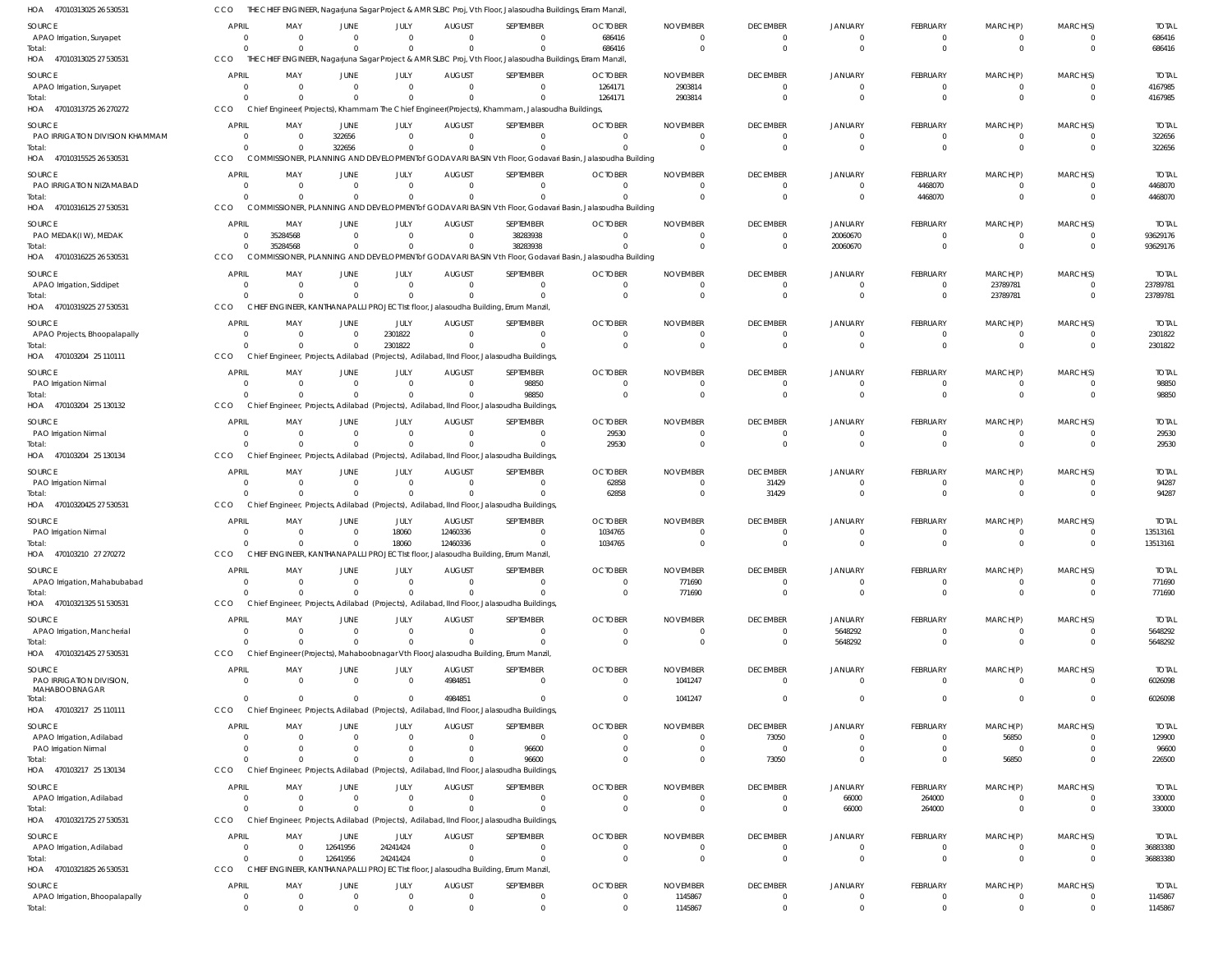| HOA 47010313025 26 530531                | CCO                            |                                     |                      |                            |                           | THE CHIEF ENGINEER, Nagarjuna Sagar Project & AMR SLBC Proj, Vth Floor, Jalasoudha Buildings, Erram Manzil,         |                            |                             |                                   |                            |                                |                                |                            |                       |
|------------------------------------------|--------------------------------|-------------------------------------|----------------------|----------------------------|---------------------------|---------------------------------------------------------------------------------------------------------------------|----------------------------|-----------------------------|-----------------------------------|----------------------------|--------------------------------|--------------------------------|----------------------------|-----------------------|
| SOURCE                                   | <b>APRIL</b>                   | MAY                                 | JUNE                 | JULY                       | <b>AUGUST</b>             | SEPTEMBER                                                                                                           | <b>OCTOBER</b>             | <b>NOVEMBER</b>             | <b>DECEMBER</b>                   | <b>JANUARY</b>             | <b>FEBRUARY</b>                | MARCH(P)                       | MARCH(S)                   | <b>TOTAL</b>          |
| APAO Irrigation, Suryapet                | $\Omega$                       | $\Omega$                            | $\Omega$             | $\Omega$                   | $\Omega$                  | $\Omega$                                                                                                            | 686416                     | $\Omega$                    | $\overline{0}$                    | $\mathbf 0$                | $\Omega$                       | $\mathbf{0}$                   | $\overline{0}$             | 686416                |
| Total:                                   | $\Omega$                       | $\Omega$                            |                      | $\Omega$                   |                           | $\Omega$                                                                                                            | 686416                     | $\Omega$                    | $\Omega$                          | $\Omega$                   | $\Omega$                       | $\Omega$                       | $\overline{0}$             | 686416                |
| HOA 47010313025 27 530531                | <b>CCO</b>                     |                                     |                      |                            |                           | THE CHIEF ENGINEER, Nagarjuna Sagar Project & AMR SLBC Proj, Vth Floor, Jalasoudha Buildings, Erram Manzil,         |                            |                             |                                   |                            |                                |                                |                            |                       |
| SOURCE                                   | <b>APRIL</b>                   | MAY                                 | JUNE                 | JULY                       | <b>AUGUST</b>             | SEPTEMBER                                                                                                           | <b>OCTOBER</b>             | <b>NOVEMBER</b>             | <b>DECEMBER</b>                   | <b>JANUARY</b>             | FEBRUARY                       | MARCH(P)                       | MARCH(S)                   | <b>TOTAL</b>          |
| APAO Irrigation, Suryapet<br>Total:      | $\overline{0}$<br>$\Omega$     | $\overline{\mathbf{0}}$<br>$\Omega$ | $\Omega$             | $\overline{0}$<br>$\Omega$ | $\Omega$                  | $\mathbf{0}$<br>$\Omega$                                                                                            | 1264171<br>1264171         | 2903814<br>2903814          | $\overline{0}$<br>$\Omega$        | $\overline{0}$<br>$\Omega$ | $\overline{0}$<br>$\mathbf{0}$ | $\mathbf{0}$<br>$\mathbf{0}$   | $\overline{0}$<br>$\Omega$ | 4167985<br>4167985    |
| HOA 47010313725 26 270272                | CCO                            |                                     |                      |                            |                           | Chief Engineer(Projects), Khammam The Chief Engineer(Projects), Khammam, Jalasoudha Buildings,                      |                            |                             |                                   |                            |                                |                                |                            |                       |
| SOURCE                                   | <b>APRIL</b>                   | MAY                                 | JUNE                 | JULY                       | <b>AUGUST</b>             | SEPTEMBER                                                                                                           | <b>OCTOBER</b>             | <b>NOVEMBER</b>             | <b>DECEMBER</b>                   | <b>JANUARY</b>             | FEBRUARY                       | MARCH(P)                       | MARCH(S)                   | <b>TOTAL</b>          |
| PAO IRRIGATION DIVISION KHAMMAM          | $\Omega$                       | $\Omega$                            | 322656               | $\Omega$                   |                           | $\Omega$                                                                                                            |                            | $\Omega$                    | $\overline{0}$                    | $\overline{0}$             | $\Omega$                       | $\overline{0}$                 | $\overline{0}$             | 322656                |
| Total:                                   | $\Omega$                       | $\Omega$                            | 322656               | $\Omega$                   |                           | $\Omega$                                                                                                            |                            |                             | $\Omega$                          | $\Omega$                   | $\Omega$                       | $\Omega$                       | $\Omega$                   | 322656                |
| HOA 47010315525 26 530531                | CCO                            |                                     |                      |                            |                           | COMMISSIONER, PLANNING AND DEVELOPMENT of GODAVARI BASIN Vth Floor, Godavari Basin, Jalasoudha Building             |                            |                             |                                   |                            |                                |                                |                            |                       |
| SOURCE                                   | <b>APRIL</b>                   | MAY                                 | JUNE                 | JULY                       | <b>AUGUST</b>             | SEPTEMBER                                                                                                           | <b>OCTOBER</b>             | <b>NOVEMBER</b>             | <b>DECEMBER</b>                   | <b>JANUARY</b>             | FEBRUARY                       | MARCH(P)                       | MARCH(S)                   | <b>TOTAL</b>          |
| PAO IRRIGATION NIZAMABAD                 | $\overline{0}$                 | $\Omega$                            | $\Omega$             | $\Omega$                   | $\Omega$                  | $\Omega$                                                                                                            | $\Omega$                   | $\Omega$                    | $\overline{0}$                    | $\overline{0}$             | 4468070                        | $\overline{0}$                 | $\overline{0}$             | 4468070               |
| Total:<br>HOA 47010316125 27 530531      | $\Omega$<br>CCO                | $\Omega$                            |                      | $\Omega$                   |                           | $\Omega$<br>COMMISSIONER, PLANNING AND DEVELOPMENT of GODAVARI BASIN Vth Floor, Godavari Basin, Jalasoudha Building |                            |                             | $\Omega$                          | $\Omega$                   | 4468070                        | $\overline{0}$                 | $\Omega$                   | 4468070               |
|                                          |                                |                                     |                      |                            |                           |                                                                                                                     |                            |                             |                                   |                            |                                |                                |                            |                       |
| SOURCE                                   | APRIL<br>$\Omega$              | MAY                                 | JUNE<br>$\Omega$     | JULY<br>$\Omega$           | <b>AUGUST</b><br>$\Omega$ | SEPTEMBER<br>38283938                                                                                               | <b>OCTOBER</b>             | <b>NOVEMBER</b><br>$\Omega$ | <b>DECEMBER</b><br>$\overline{0}$ | <b>JANUARY</b>             | <b>FEBRUARY</b><br>$\Omega$    | MARCH(P)<br>$\Omega$           | MARCH(S)<br>$\Omega$       | <b>TOTAL</b>          |
| PAO MEDAK(IW), MEDAK<br>Total:           | $\Omega$                       | 35284568<br>35284568                |                      | $\Omega$                   |                           | 38283938                                                                                                            |                            |                             | $\overline{0}$                    | 20060670<br>20060670       | $\Omega$                       | $\Omega$                       | $\Omega$                   | 93629176<br>93629176  |
| HOA 47010316225 26 530531                | CCO                            |                                     |                      |                            |                           | COMMISSIONER, PLANNING AND DEVELOPMENT of GODAVARI BASIN Vth Floor, Godavari Basin, Jalasoudha Building             |                            |                             |                                   |                            |                                |                                |                            |                       |
| SOURCE                                   | <b>APRIL</b>                   | MAY                                 | JUNE                 | JULY                       | <b>AUGUST</b>             | SEPTEMBER                                                                                                           | <b>OCTOBER</b>             | <b>NOVEMBER</b>             | <b>DECEMBER</b>                   | <b>JANUARY</b>             | FEBRUARY                       | MARCH(P)                       | MARCH(S)                   | <b>TOTAL</b>          |
| APAO Irrigation, Siddipet                | $\Omega$                       | $\Omega$                            | $\Omega$             | $\Omega$                   | $\Omega$                  | $\Omega$                                                                                                            | $\Omega$                   | $\Omega$                    | $\overline{0}$                    | $\mathbf 0$                | $\overline{0}$                 | 23789781                       | $\Omega$                   | 23789781              |
| Total:                                   | $\Omega$                       | $\Omega$                            | $\Omega$             | $\Omega$                   |                           | $\Omega$                                                                                                            | $\Omega$                   | $\Omega$                    | $\overline{0}$                    | $\Omega$                   | $\mathbf{0}$                   | 23789781                       | $\Omega$                   | 23789781              |
| HOA 47010319225 27 530531                | <b>CCO</b>                     |                                     |                      |                            |                           | CHIEF ENGINEER, KANTHANAPALLI PROJECT Ist floor, Jalasoudha Building, Errum Manzil,                                 |                            |                             |                                   |                            |                                |                                |                            |                       |
| SOURCE                                   | <b>APRIL</b>                   | MAY                                 | JUNE                 | JULY                       | <b>AUGUST</b>             | SEPTEMBER                                                                                                           | <b>OCTOBER</b>             | <b>NOVEMBER</b>             | <b>DECEMBER</b>                   | <b>JANUARY</b>             | FEBRUARY                       | MARCH(P)                       | MARCH(S)                   | <b>TOTAL</b>          |
| APAO Projects, Bhoopalapally             | $\overline{0}$                 | $\overline{0}$                      | $\Omega$             | 2301822                    | $\Omega$                  | $\Omega$                                                                                                            |                            | $\Omega$                    | $\overline{0}$                    | $\Omega$                   | $\Omega$                       | $\Omega$                       | $\overline{0}$             | 2301822               |
| Total:                                   | $\Omega$                       | $\Omega$                            |                      | 2301822                    |                           | $\Omega$                                                                                                            |                            |                             | $\Omega$                          | $\Omega$                   | $\Omega$                       | $\Omega$                       | $\Omega$                   | 2301822               |
| HOA 470103204 25 110111                  | CCO                            |                                     |                      |                            |                           | Chief Engineer, Projects, Adilabad (Projects), Adilabad, IInd Floor, Jalasoudha Buildings,                          |                            |                             |                                   |                            |                                |                                |                            |                       |
| SOURCE                                   | <b>APRIL</b>                   | MAY                                 | JUNE                 | JULY                       | <b>AUGUST</b>             | SEPTEMBER                                                                                                           | <b>OCTOBER</b>             | <b>NOVEMBER</b>             | <b>DECEMBER</b>                   | <b>JANUARY</b>             | FEBRUARY                       | MARCH(P)                       | MARCH(S)                   | <b>TOTAL</b>          |
| PAO Irrigation Nirmal                    | $\Omega$<br>$\Omega$           | $\Omega$<br>$\Omega$                | $\Omega$<br>$\Omega$ | $\Omega$<br>$\Omega$       | $\Omega$                  | 98850<br>98850                                                                                                      | $\Omega$                   | $\Omega$<br>$\Omega$        | $\overline{0}$<br>$\Omega$        | $\overline{0}$<br>$\Omega$ | $\overline{0}$<br>$\mathbf{0}$ | $\overline{0}$<br>$\mathbf{0}$ | $\overline{0}$<br>$\Omega$ | 98850<br>98850        |
| Total:<br>HOA 470103204 25 130132        | <b>CCO</b>                     |                                     |                      |                            |                           | Chief Engineer, Projects, Adilabad (Projects), Adilabad, IInd Floor, Jalasoudha Buildings,                          |                            |                             |                                   |                            |                                |                                |                            |                       |
|                                          |                                |                                     |                      |                            |                           |                                                                                                                     |                            |                             |                                   |                            |                                |                                |                            |                       |
| SOURCE<br>PAO Irrigation Nirmal          | <b>APRIL</b><br>$\Omega$       | MAY<br>$\Omega$                     | JUNE<br>$\Omega$     | JULY<br>$\Omega$           | <b>AUGUST</b><br>$\Omega$ | SEPTEMBER<br>$\Omega$                                                                                               | <b>OCTOBER</b><br>29530    | <b>NOVEMBER</b><br>$\Omega$ | <b>DECEMBER</b><br>$\overline{0}$ | <b>JANUARY</b><br>$\Omega$ | FEBRUARY<br>$\Omega$           | MARCH(P)<br>$\Omega$           | MARCH(S)<br>$\Omega$       | <b>TOTAL</b><br>29530 |
| Total:                                   |                                | $\Omega$                            |                      | $\Omega$                   |                           |                                                                                                                     | 29530                      |                             | $\Omega$                          | $\Omega$                   | $\Omega$                       | $\Omega$                       | $\Omega$                   | 29530                 |
| HOA 470103204 25 130134                  | CCO                            |                                     |                      |                            |                           | Chief Engineer, Projects, Adilabad (Projects), Adilabad, IInd Floor, Jalasoudha Buildings,                          |                            |                             |                                   |                            |                                |                                |                            |                       |
| SOURCE                                   | APRIL                          | MAY                                 | JUNE                 | JULY                       | <b>AUGUST</b>             | SEPTEMBER                                                                                                           | <b>OCTOBER</b>             | <b>NOVEMBER</b>             | <b>DECEMBER</b>                   | <b>JANUARY</b>             | FEBRUARY                       | MARCH(P)                       | MARCH(S)                   | <b>TOTAL</b>          |
| PAO Irrigation Nirmal                    | $\Omega$                       | $\overline{\mathbf{0}}$             | $\Omega$             | $\Omega$                   | $\Omega$                  | $\mathbf{0}$                                                                                                        | 62858                      | $\Omega$                    | 31429                             | $\Omega$                   | $\overline{0}$                 | $\Omega$                       | $\Omega$                   | 94287                 |
| Total:                                   | $\Omega$                       | $\Omega$                            | $\Omega$             | $\Omega$                   |                           | $\Omega$                                                                                                            | 62858                      | $\Omega$                    | 31429                             | $\Omega$                   | $\mathbf{0}$                   | $\Omega$                       | $\Omega$                   | 94287                 |
| HOA 47010320425 27 530531                | CCO                            |                                     |                      |                            |                           | Chief Engineer, Projects, Adilabad (Projects), Adilabad, IInd Floor, Jalasoudha Buildings,                          |                            |                             |                                   |                            |                                |                                |                            |                       |
| SOURCE                                   | <b>APRIL</b>                   | MAY                                 | JUNE                 | JULY                       | <b>AUGUST</b>             | SEPTEMBER                                                                                                           | <b>OCTOBER</b>             | <b>NOVEMBER</b>             | <b>DECEMBER</b>                   | <b>JANUARY</b>             | FEBRUARY                       | MARCH(P)                       | MARCH(S)                   | <b>TOTAL</b>          |
| PAO Irrigation Nirmal                    |                                | $\Omega$                            |                      | 18060                      | 12460336                  | $\Omega$                                                                                                            | 1034765                    | $\Omega$                    | - 0                               | $\Omega$                   | $\Omega$                       | $\Omega$                       | $\Omega$                   | 13513161              |
| Total:<br>HOA 470103210 27 270272        | $\Omega$<br>CCO                | $\overline{0}$                      | $\Omega$             | 18060                      | 12460336                  | $\Omega$<br>CHIEF ENGINEER, KANTHANAPALLI PROJECT Ist floor, Jalasoudha Building, Errum Manzil,                     | 1034765                    |                             | $\Omega$                          | $\Omega$                   | $\Omega$                       | $\Omega$                       | $\Omega$                   | 13513161              |
|                                          |                                |                                     |                      |                            |                           |                                                                                                                     |                            |                             |                                   |                            |                                |                                |                            |                       |
| SOURCE                                   | <b>APRIL</b><br>$\overline{0}$ | MAY<br>$\Omega$                     | JUNE<br>$\Omega$     | JULY<br>$\Omega$           | <b>AUGUST</b><br>$\Omega$ | SEPTEMBER<br>$\mathbf{0}$                                                                                           | <b>OCTOBER</b><br>$\Omega$ | <b>NOVEMBER</b>             | <b>DECEMBER</b><br>$\overline{0}$ | JANUARY<br>$\overline{0}$  | FEBRUARY<br>$\overline{0}$     | MARCH(P)<br>$\overline{0}$     | MARCH(S)<br>$\overline{0}$ | <b>TOTAL</b>          |
| APAO Irrigation, Mahabubabad<br>Total:   | $\Omega$                       | $\Omega$                            | $\Omega$             | $\Omega$                   |                           | $\Omega$                                                                                                            | $\Omega$                   | 771690<br>771690            | $\overline{0}$                    | $\overline{0}$             | $\mathbf{0}$                   | $\mathbf{0}$                   | $\Omega$                   | 771690<br>771690      |
| HOA 47010321325 51 530531                | CCO                            |                                     |                      |                            |                           | Chief Engineer, Projects, Adilabad (Projects), Adilabad, IInd Floor, Jalasoudha Buildings,                          |                            |                             |                                   |                            |                                |                                |                            |                       |
| SOURCE                                   | <b>APRIL</b>                   | MAY                                 | JUNE                 | JULY                       | <b>AUGUST</b>             | SEPTEMBER                                                                                                           | <b>OCTOBER</b>             | <b>NOVEMBER</b>             | <b>DECEMBER</b>                   | <b>JANUARY</b>             | FEBRUARY                       | MARCH(P)                       | MARCH(S)                   | <b>TOTAL</b>          |
| APAO Irrigation, Mancherial              | $\Omega$                       | $\Omega$                            | $\Omega$             | $\Omega$                   | $\Omega$                  | $\Omega$                                                                                                            | $\Omega$                   | $^{\circ}$                  | 0                                 | 5648292                    | $\mathbf{0}$                   | $\mathbf{0}$                   | $\overline{0}$             | 5648292               |
| Total:                                   | $\Omega$                       | $\Omega$                            |                      | $\Omega$                   |                           | $\Omega$                                                                                                            | $\Omega$                   | $\Omega$                    | $\overline{0}$                    | 5648292                    | $\mathbf{0}$                   | $\overline{0}$                 | $\overline{0}$             | 5648292               |
| HOA 47010321425 27 530531                | <b>CCO</b>                     |                                     |                      |                            |                           | Chief Engineer (Projects), Mahaboobnagar Vth Floor, Jalasoudha Building, Errum Manzil                               |                            |                             |                                   |                            |                                |                                |                            |                       |
| SOURCE                                   | <b>APRIL</b>                   | MAY                                 | JUNE                 | JULY                       | <b>AUGUST</b>             | SEPTEMBER                                                                                                           | <b>OCTOBER</b>             | <b>NOVEMBER</b>             | <b>DECEMBER</b>                   | <b>JANUARY</b>             | FEBRUARY                       | MARCH(P)                       | MARCH(S)                   | <b>TOTAL</b>          |
| PAO IRRIGATION DIVISION,                 | $\overline{0}$                 | $\overline{0}$                      | $\Omega$             | $\overline{0}$             | 4984851                   | $\mathbf{0}$                                                                                                        | $\Omega$                   | 1041247                     | $\overline{0}$                    | $\overline{0}$             | $\overline{0}$                 | $\overline{0}$                 | $\overline{0}$             | 6026098               |
| MAHABOOBNAGAR<br>Total:                  | $\Omega$                       | $\Omega$                            | $\Omega$             | $\Omega$                   | 4984851                   | $\Omega$                                                                                                            | $\Omega$                   | 1041247                     | $\overline{0}$                    | $\overline{0}$             | $\overline{0}$                 | $\mathbf{0}$                   | $\overline{0}$             | 6026098               |
| HOA 470103217 25 110111                  | <b>CCO</b>                     |                                     |                      |                            |                           | Chief Engineer, Projects, Adilabad (Projects), Adilabad, IInd Floor, Jalasoudha Buildings,                          |                            |                             |                                   |                            |                                |                                |                            |                       |
| SOURCE                                   | <b>APRIL</b>                   | MAY                                 | JUNE                 | JULY                       | <b>AUGUST</b>             | SEPTEMBER                                                                                                           | <b>OCTOBER</b>             | <b>NOVEMBER</b>             | <b>DECEMBER</b>                   | <b>JANUARY</b>             | FEBRUARY                       | MARCH(P)                       | MARCH(S)                   | <b>TOTAL</b>          |
| APAO Irrigation, Adilabad                | $\Omega$                       | $\Omega$                            |                      | $\Omega$                   | $\Omega$                  | $\mathbf{0}$                                                                                                        |                            | $\Omega$                    | 73050                             | $\Omega$                   | $\Omega$                       | 56850                          | $\Omega$                   | 129900                |
| PAO Irrigation Nirmal                    | $\Omega$                       | $\Omega$                            |                      | $\Omega$                   |                           | 96600                                                                                                               |                            | $\Omega$                    | $\Omega$                          | $\mathbf 0$                | $\Omega$                       | $\overline{0}$                 | $\Omega$                   | 96600                 |
| Total:                                   | $\Omega$                       | $\Omega$                            |                      | $\Omega$                   |                           | 96600                                                                                                               |                            | $\Omega$                    | 73050                             | $\Omega$                   | $\Omega$                       | 56850                          | $\Omega$                   | 226500                |
| HOA 470103217 25 130134                  | CCO                            |                                     |                      |                            |                           | Chief Engineer, Projects, Adilabad (Projects), Adilabad, IInd Floor, Jalasoudha Buildings,                          |                            |                             |                                   |                            |                                |                                |                            |                       |
| SOURCE                                   | <b>APRIL</b>                   | MAY                                 | JUNE                 | JULY                       | <b>AUGUST</b>             | SEPTEMBER                                                                                                           | <b>OCTOBER</b>             | <b>NOVEMBER</b>             | <b>DECEMBER</b>                   | <b>JANUARY</b>             | FEBRUARY                       | MARCH(P)                       | MARCH(S)                   | <b>TOTAL</b>          |
| APAO Irrigation, Adilabad                | $\overline{0}$                 | $\Omega$                            | $\Omega$             | $\overline{0}$             | $\Omega$                  | $\mathbf{0}$                                                                                                        | $\Omega$                   | $\Omega$                    | $\overline{\mathbf{0}}$           | 66000                      | 264000                         | $\mathbf{0}$                   | $\Omega$                   | 330000                |
| Total:<br>HOA 47010321725 27 530531      | $\Omega$<br>CCO                | $\Omega$                            | $\Omega$             | $\Omega$                   |                           | $\Omega$<br>Chief Engineer, Projects, Adilabad (Projects), Adilabad, IInd Floor, Jalasoudha Buildings,              | $\Omega$                   | $\Omega$                    | $\overline{0}$                    | 66000                      | 264000                         | $\mathbf{0}$                   | $\overline{0}$             | 330000                |
|                                          |                                |                                     |                      |                            |                           |                                                                                                                     |                            |                             |                                   |                            |                                |                                |                            |                       |
| SOURCE                                   | <b>APRIL</b>                   | MAY                                 | JUNE                 | JULY                       | <b>AUGUST</b>             | SEPTEMBER                                                                                                           | <b>OCTOBER</b>             | <b>NOVEMBER</b>             | <b>DECEMBER</b>                   | <b>JANUARY</b>             | FEBRUARY                       | MARCH(P)                       | MARCH(S)                   | <b>TOTAL</b>          |
| APAO Irrigation, Adilabad<br>Total:      | $\Omega$<br>$\Omega$           | $\Omega$<br>$\Omega$                | 12641956<br>12641956 | 24241424<br>24241424       | $\Omega$                  | $\Omega$<br>$\Omega$                                                                                                | $\Omega$<br>$\Omega$       | $\Omega$<br>$\Omega$        | $\overline{0}$<br>$\Omega$        | $\overline{0}$<br>$\Omega$ | 0<br>$\Omega$                  | 0<br>$\Omega$                  | $\overline{0}$<br>$\Omega$ | 36883380<br>36883380  |
| HOA 47010321825 26 530531                | CCO                            |                                     |                      |                            |                           | CHIEF ENGINEER, KANTHANAPALLI PROJECT Ist floor, Jalasoudha Building, Errum Manzil,                                 |                            |                             |                                   |                            |                                |                                |                            |                       |
|                                          | <b>APRIL</b>                   | MAY                                 | JUNE                 | JULY                       |                           | SEPTEMBER                                                                                                           | <b>OCTOBER</b>             | <b>NOVEMBER</b>             |                                   | <b>JANUARY</b>             | FEBRUARY                       |                                | MARCH(S)                   | <b>TOTAL</b>          |
| SOURCE<br>APAO Irrigation, Bhoopalapally | $\overline{0}$                 | $\overline{0}$                      | $\Omega$             | $\overline{0}$             | <b>AUGUST</b><br>$\Omega$ | $\mathbf{0}$                                                                                                        | $\mathbf 0$                | 1145867                     | <b>DECEMBER</b><br>$\overline{0}$ | $\overline{0}$             | $\overline{0}$                 | MARCH(P)<br>$\overline{0}$     | $\overline{0}$             | 1145867               |
| Total:                                   | $\Omega$                       | $\Omega$                            |                      | $\Omega$                   |                           | $\Omega$                                                                                                            |                            | 1145867                     | $\Omega$                          | $\Omega$                   | $\Omega$                       | $\Omega$                       | $\Omega$                   | 1145867               |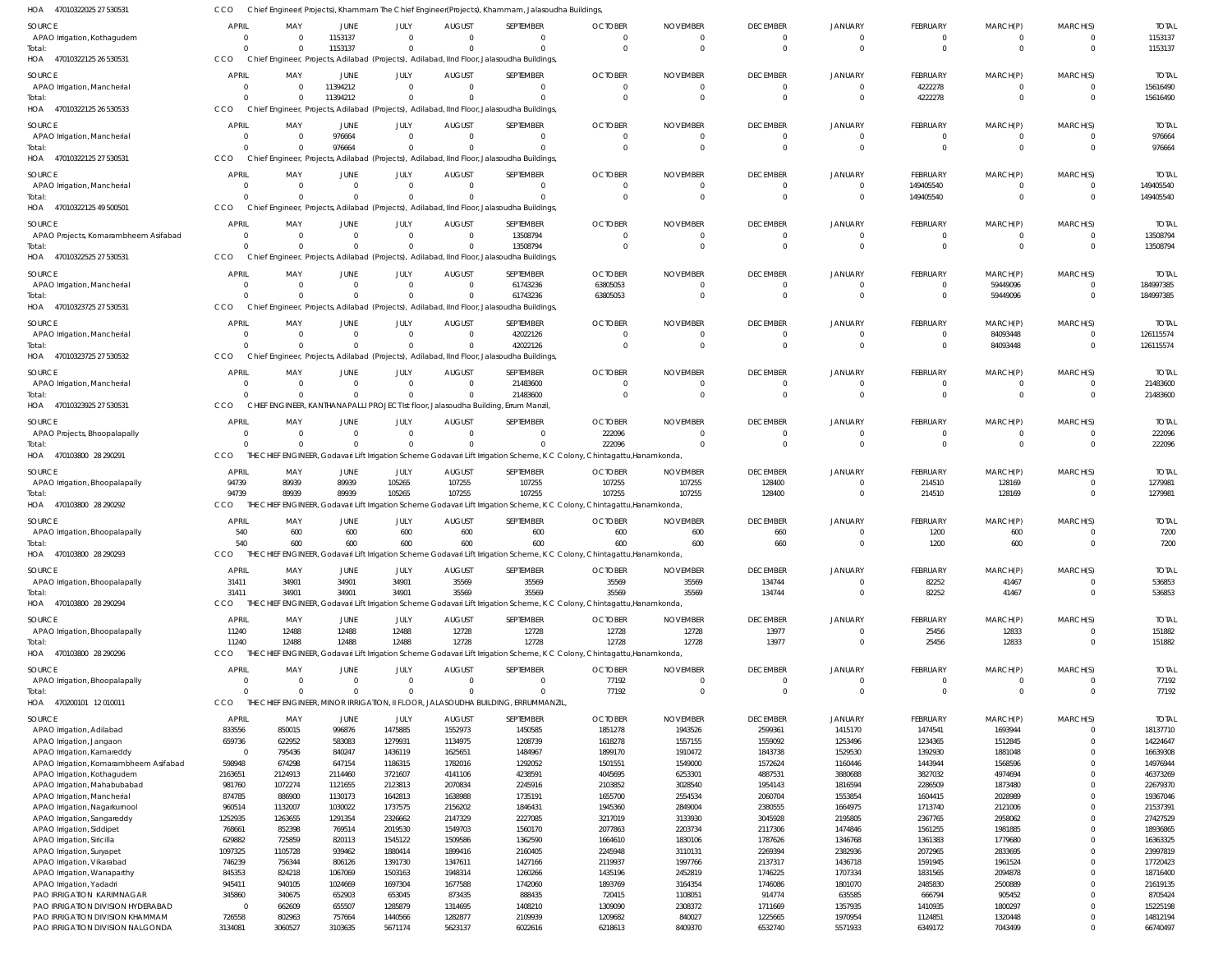| HOA<br>47010322025 27 530531                                   | CCO                   |                            |                          |                      |                                 | Chief Engineer( Projects), Khammam The Chief Engineer(Projects), Khammam, Jalasoudha Buildings                                   |                                  |                          |                                 |                                  |                             |                      |                      |                          |
|----------------------------------------------------------------|-----------------------|----------------------------|--------------------------|----------------------|---------------------------------|----------------------------------------------------------------------------------------------------------------------------------|----------------------------------|--------------------------|---------------------------------|----------------------------------|-----------------------------|----------------------|----------------------|--------------------------|
| SOURCE                                                         | <b>APRIL</b>          | MAY                        | JUNE                     | JULY                 | <b>AUGUST</b>                   | SEPTEMBER                                                                                                                        | <b>OCTOBER</b>                   | <b>NOVEMBER</b>          | <b>DECEMBER</b>                 | <b>JANUARY</b>                   | <b>FEBRUARY</b>             | MARCH(P)             | MARCH(S)             | <b>TOTAL</b>             |
| APAO Irrigation, Kothagudem                                    | $\mathbf 0$           | $\overline{0}$             | 1153137                  | $\Omega$             | $\Omega$                        | $\Omega$                                                                                                                         | $\Omega$                         | 0                        | $^{\circ}$                      | $^{\circ}$                       | $\Omega$                    | - 0                  | $\Omega$             | 1153137                  |
| Total:                                                         | $\Omega$              | $\Omega$                   | 1153137                  | $\Omega$             | $\Omega$                        | $\Omega$                                                                                                                         | $\Omega$                         | $\Omega$                 | $\mathbf{0}$                    | $\overline{0}$                   | $\Omega$                    | $\mathbf 0$          | $\Omega$             | 1153137                  |
| 47010322125 26 530531<br>HOA                                   | CCO                   |                            |                          |                      |                                 | Chief Engineer, Projects, Adilabad (Projects), Adilabad, IInd Floor, Jalasoudha Buildings                                        |                                  |                          |                                 |                                  |                             |                      |                      |                          |
| SOURCE                                                         | <b>APRIL</b>          | MAY                        | JUNE                     | JULY                 | <b>AUGUST</b>                   | SEPTEMBER                                                                                                                        | <b>OCTOBER</b>                   | <b>NOVEMBER</b>          | <b>DECEMBER</b>                 | <b>JANUARY</b>                   | <b>FEBRUARY</b>             | MARCH(P)             | MARCH(S)             | <b>TOTAL</b>             |
| APAO Irrigation, Mancherial                                    | 0                     | $\Omega$                   | 11394212                 | $\Omega$             | $\overline{0}$                  | $\Omega$                                                                                                                         | $\mathbf{0}$                     | $\mathbf 0$              | $\overline{0}$                  | $\overline{0}$                   | 4222278                     | $\mathbf{0}$         | $\Omega$             | 15616490                 |
| Total:<br>47010322125 26 530533<br>HOA                         | $\Omega$<br>CCO       | $\Omega$                   | 11394212                 | $\Omega$             | $\Omega$                        | $\Omega$<br>Chief Engineer, Projects, Adilabad (Projects), Adilabad, IInd Floor, Jalasoudha Buildings                            | $\Omega$                         | $\Omega$                 | $\mathbf 0$                     | $\overline{0}$                   | 4222278                     | $\mathbf 0$          | $\Omega$             | 15616490                 |
|                                                                |                       |                            |                          |                      |                                 |                                                                                                                                  |                                  |                          |                                 |                                  |                             |                      |                      |                          |
| SOURCE                                                         | <b>APRIL</b>          | MAY                        | JUNE                     | JULY                 | <b>AUGUST</b>                   | SEPTEMBER                                                                                                                        | <b>OCTOBER</b>                   | <b>NOVEMBER</b>          | <b>DECEMBER</b>                 | <b>JANUARY</b>                   | <b>FEBRUARY</b>             | MARCH(P)             | MARCH(S)             | <b>TOTAL</b>             |
| APAO Irrigation, Mancherial<br>Total:                          | 0                     | $\overline{0}$<br>$\Omega$ | 976664<br>976664         | $\Omega$<br>$\Omega$ | $\Omega$<br>$\Omega$            | $\Omega$<br>$\Omega$                                                                                                             | $\Omega$<br>$\Omega$             |                          | $\mathbf 0$<br>$\overline{0}$   | $^{\circ}$<br>$\Omega$           | $\Omega$<br>$\Omega$        | $\Omega$             | $\Omega$<br>$\Omega$ | 976664<br>976664         |
| HOA 47010322125 27 530531                                      | CCO                   |                            |                          |                      |                                 | Chief Engineer, Projects, Adilabad (Projects), Adilabad, IInd Floor, Jalasoudha Buildings                                        |                                  |                          |                                 |                                  |                             |                      |                      |                          |
| SOURCE                                                         | <b>APRIL</b>          | MAY                        | JUNE                     | JULY                 | <b>AUGUST</b>                   | SEPTEMBER                                                                                                                        | <b>OCTOBER</b>                   | <b>NOVEMBER</b>          | <b>DECEMBER</b>                 | <b>JANUARY</b>                   | FEBRUARY                    | MARCH(P)             | MARCH(S)             | <b>TOTAL</b>             |
| APAO Irrigation, Mancherial                                    |                       | $\overline{0}$             | $\mathbf 0$              | $\Omega$             | $\mathbf{0}$                    | $\overline{0}$                                                                                                                   | $\overline{0}$                   | 0                        | $\overline{0}$                  | $\mathbf{0}$                     | 149405540                   | $\mathbf{0}$         | 0                    | 149405540                |
| Total:                                                         |                       | $\Omega$                   | $\mathbf 0$              | $\Omega$             | $\Omega$                        | $\Omega$                                                                                                                         | $\Omega$                         | $\Omega$                 | $\overline{0}$                  | $\mathbf{0}$                     | 149405540                   | $\Omega$             | $\Omega$             | 149405540                |
| HOA 47010322125 49 500501                                      | CCO                   |                            |                          |                      |                                 | Chief Engineer, Projects, Adilabad (Projects), Adilabad, IInd Floor, Jalasoudha Buildings                                        |                                  |                          |                                 |                                  |                             |                      |                      |                          |
| SOURCE                                                         | <b>APRIL</b>          | MAY                        | JUNE                     | JULY                 | <b>AUGUST</b>                   | SEPTEMBER                                                                                                                        | <b>OCTOBER</b>                   | <b>NOVEMBER</b>          | <b>DECEMBER</b>                 | <b>JANUARY</b>                   | FEBRUARY                    | MARCH(P)             | MARCH(S)             | <b>TOTAL</b>             |
| APAO Projects, Komarambheem Asifabad                           | $\Omega$              | $\Omega$                   | $\mathbf 0$              | $\Omega$             | $\Omega$                        | 13508794                                                                                                                         | $\Omega$                         | $\Omega$                 | $\overline{0}$                  | $\overline{0}$                   | $\Omega$                    | - 0                  | $\Omega$             | 13508794                 |
| Total:                                                         | $\Omega$              | $\Omega$                   | $\Omega$                 | $\Omega$             | $\Omega$                        | 13508794                                                                                                                         | $\Omega$                         | $\Omega$                 | $\mathbf 0$                     | $\Omega$                         | $\Omega$                    | $\Omega$             | $\Omega$             | 13508794                 |
| 47010322525 27 530531<br>HOA                                   | <b>CCO</b>            |                            |                          |                      |                                 | Chief Engineer, Projects, Adilabad (Projects), Adilabad, IInd Floor, Jalasoudha Buildings,                                       |                                  |                          |                                 |                                  |                             |                      |                      |                          |
| SOURCE                                                         | <b>APRIL</b>          | MAY                        | JUNE                     | JULY                 | <b>AUGUST</b>                   | SEPTEMBER                                                                                                                        | <b>OCTOBER</b>                   | <b>NOVEMBER</b>          | <b>DECEMBER</b>                 | <b>JANUARY</b>                   | FEBRUARY                    | MARCH(P)             | MARCH(S)             | <b>TOTAL</b>             |
| APAO Irrigation, Mancherial                                    | 0                     | $\overline{0}$             | $\mathbf{0}$             | $\Omega$             | $\overline{0}$                  | 61743236                                                                                                                         | 63805053                         | $\Omega$                 | $\overline{0}$                  | $\overline{0}$                   | $\Omega$                    | 59449096             | $\Omega$             | 184997385                |
| Total:                                                         | $\Omega$              | $\Omega$                   | $\mathbf{0}$             | $\Omega$             | $\mathbf 0$                     | 61743236                                                                                                                         | 63805053                         | $\Omega$                 | $\mathbf 0$                     | $\overline{0}$                   | $\Omega$                    | 59449096             | $\Omega$             | 184997385                |
| 47010323725 27 530531<br>HOA                                   | CCO                   |                            |                          |                      |                                 | Chief Engineer, Projects, Adilabad (Projects), Adilabad, IInd Floor, Jalasoudha Buildings                                        |                                  |                          |                                 |                                  |                             |                      |                      |                          |
| SOURCE                                                         | <b>APRIL</b>          | MAY                        | JUNE                     | JULY                 | <b>AUGUST</b>                   | SEPTEMBER                                                                                                                        | <b>OCTOBER</b>                   | <b>NOVEMBER</b>          | <b>DECEMBER</b>                 | <b>JANUARY</b>                   | FEBRUARY                    | MARCH(P)             | MARCH(S)             | <b>TOTAL</b>             |
| APAO Irrigation, Mancherial                                    |                       | $\mathbf{0}$<br>$\Omega$   | $\mathbf{0}$<br>$\Omega$ | $\Omega$<br>$\Omega$ | $\overline{0}$<br>$\Omega$      | 42022126<br>42022126                                                                                                             | 0<br>$\Omega$                    | 0                        | $^{\circ}$<br>$\mathbf 0$       | $\mathbf{0}$<br>$\Omega$         | $\Omega$<br>$\Omega$        | 84093448<br>84093448 | $\Omega$<br>$\Omega$ | 126115574<br>126115574   |
| Total:<br>HOA 47010323725 27 530532                            | CCO                   |                            |                          |                      |                                 | Chief Engineer, Projects, Adilabad (Projects), Adilabad, IInd Floor, Jalasoudha Buildings                                        |                                  |                          |                                 |                                  |                             |                      |                      |                          |
|                                                                |                       |                            |                          |                      |                                 |                                                                                                                                  |                                  |                          |                                 |                                  |                             |                      |                      |                          |
| SOURCE<br>APAO Irrigation, Mancherial                          | <b>APRIL</b><br>0     | MAY<br>$\overline{0}$      | JUNE<br>$\overline{0}$   | JULY<br>$\Omega$     | <b>AUGUST</b><br>$\overline{0}$ | SEPTEMBER<br>21483600                                                                                                            | <b>OCTOBER</b><br>$\overline{0}$ | <b>NOVEMBER</b>          | <b>DECEMBER</b><br>$\mathbf{0}$ | <b>JANUARY</b><br>$^{\circ}$     | <b>FEBRUARY</b><br>$\Omega$ | MARCH(P)             | MARCH(S)<br>$\Omega$ | <b>TOTAL</b><br>21483600 |
| Total:                                                         |                       | $\Omega$                   | $\Omega$                 | $\Omega$             | $\mathbf 0$                     | 21483600                                                                                                                         | $\Omega$                         | $\Omega$                 | $\overline{0}$                  | $\Omega$                         | $\Omega$                    | $\mathbf 0$          | $\Omega$             | 21483600                 |
| HOA 47010323925 27 530531                                      | CCO                   |                            |                          |                      |                                 | CHIEF ENGINEER, KANTHANAPALLI PROJECT Ist floor, Jalasoudha Building, Errum Manzil                                               |                                  |                          |                                 |                                  |                             |                      |                      |                          |
| SOURCE                                                         | <b>APRIL</b>          | MAY                        | JUNE                     | JULY                 | <b>AUGUST</b>                   | SEPTEMBER                                                                                                                        | <b>OCTOBER</b>                   | <b>NOVEMBER</b>          | <b>DECEMBER</b>                 | <b>JANUARY</b>                   | FEBRUARY                    | MARCH(P)             | MARCH(S)             | <b>TOTAL</b>             |
| APAO Projects, Bhoopalapally                                   |                       | $\Omega$                   | $\mathbf 0$              | $\Omega$             | $\Omega$                        | $\Omega$                                                                                                                         | 222096                           | $\Omega$                 | $\mathbf{0}$                    | $\overline{0}$                   | $\Omega$                    | $^{\circ}$           | $\Omega$             | 222096                   |
| Total:                                                         |                       | $\Omega$                   | $\mathbf 0$              | $\Omega$             | $\mathbf{0}$                    | $\Omega$                                                                                                                         | 222096                           | $\Omega$                 | $\overline{0}$                  | $\Omega$                         | $\Omega$                    | $\Omega$             | $\Omega$             | 222096                   |
| 470103800 28 290291<br>HOA                                     | CCO                   |                            |                          |                      |                                 | THE CHIEF ENGINEER, Godavari Lift Irrigation Scheme Godavari Lift Irrigation Scheme, K C Colony, Chintagattu, Hanamkonda,        |                                  |                          |                                 |                                  |                             |                      |                      |                          |
| SOURCE                                                         | <b>APRIL</b>          | MAY                        | JUNE                     | JULY                 | <b>AUGUST</b>                   | SEPTEMBER                                                                                                                        | <b>OCTOBER</b>                   | <b>NOVEMBER</b>          | <b>DECEMBER</b>                 | <b>JANUARY</b>                   | FEBRUARY                    | MARCH(P)             | MARCH(S)             | <b>TOTAL</b>             |
| APAO Irrigation, Bhoopalapally                                 | 94739                 | 89939                      | 89939                    | 105265               | 107255                          | 107255                                                                                                                           | 107255                           | 107255                   | 128400                          | $\overline{0}$                   | 214510                      | 128169               | $\Omega$             | 1279981                  |
| Total:                                                         | 94739                 | 89939                      | 89939                    | 105265               | 107255                          | 107255                                                                                                                           | 107255                           | 107255                   | 128400                          | $^{\circ}$                       | 214510                      | 128169               | $\Omega$             | 1279981                  |
| 470103800 28 290292<br>HOA                                     | CCO                   |                            |                          |                      |                                 | THE CHIEF ENGINEER, Godavari Lift Irrigation Scheme Godavari Lift Irrigation Scheme, K C Colony, Chintagattu, Hanamkonda,        |                                  |                          |                                 |                                  |                             |                      |                      |                          |
| SOURCE                                                         | <b>APRIL</b>          | MAY                        | JUNE                     | JULY                 | <b>AUGUST</b>                   | SEPTEMBER                                                                                                                        | <b>OCTOBER</b>                   | <b>NOVEMBER</b>          | <b>DECEMBER</b>                 | <b>JANUARY</b>                   | FEBRUARY                    | MARCH(P)             | MARCH(S)             | <b>TOTAL</b>             |
| APAO Irrigation, Bhoopalapally                                 | 540                   | 600                        | 600                      | 600                  | 600                             | 600                                                                                                                              | 600                              | 600                      | 660                             | 0                                | 1200                        | 600                  |                      | 7200                     |
| Total:<br>HOA 470103800 28 290293                              | 540<br><b>CCO</b>     | 600                        | 600                      | 600                  | 600                             | 600<br>THE CHIEF ENGINEER, Godavari Lift Irrigation Scheme Godavari Lift Irrigation Scheme, K C Colony, Chintagattu, Hanamkonda, | 600                              | 600                      | 660                             | $\Omega$                         | 1200                        | 600                  | $\Omega$             | 7200                     |
|                                                                |                       |                            |                          |                      |                                 |                                                                                                                                  |                                  |                          |                                 |                                  |                             |                      |                      |                          |
| <b>SOURCE</b><br>APAO Irrigation, Bhoopalapally                | <b>APRIL</b><br>31411 | MAY<br>34901               | JUNE<br>34901            | JULY<br>34901        | <b>AUGUST</b><br>35569          | SEPTEMBER<br>35569                                                                                                               | <b>OCTOBER</b><br>35569          | <b>NOVEMBER</b><br>35569 | <b>DECEMBER</b><br>134744       | <b>JANUARY</b><br>$\overline{0}$ | <b>FEBRUARY</b><br>82252    | MARCH(P)<br>41467    | MARCH(S)<br>$\Omega$ | <b>TOTAL</b><br>536853   |
| Total:                                                         | 31411                 | 34901                      | 34901                    | 34901                | 35569                           | 35569                                                                                                                            | 35569                            | 35569                    | 134744                          | $\mathbf{0}$                     | 82252                       | 41467                | $\Omega$             | 536853                   |
| HOA 470103800 28 290294                                        | CCO                   |                            |                          |                      |                                 | THE CHIEF ENGINEER, Godavari Lift Irrigation Scheme Godavari Lift Irrigation Scheme, K C Colony, Chintagattu, Hanamkonda,        |                                  |                          |                                 |                                  |                             |                      |                      |                          |
| SOURCE                                                         | <b>APRIL</b>          | MAY                        | JUNE                     | JULY                 | <b>AUGUST</b>                   | SEPTEMBER                                                                                                                        | <b>OCTOBER</b>                   | <b>NOVEMBER</b>          | <b>DECEMBER</b>                 | <b>JANUARY</b>                   | <b>FEBRUARY</b>             | MARCH(P)             | MARCH(S)             | <b>TOTAL</b>             |
| APAO Irrigation, Bhoopalapally                                 | 11240                 | 12488                      | 12488                    | 12488                | 12728                           | 12728                                                                                                                            | 12728                            | 12728                    | 13977                           | $\overline{0}$                   | 25456                       | 12833                | $\Omega$             | 151882                   |
| Total:                                                         | 11240                 | 12488                      | 12488                    | 12488                | 12728                           | 12728                                                                                                                            | 12728                            | 12728                    | 13977                           | $\overline{0}$                   | 25456                       | 12833                | $\Omega$             | 151882                   |
| HOA<br>470103800 28 290296                                     | CCO                   |                            |                          |                      |                                 | THE CHIEF ENGINEER, Godavari Lift Irrigation Scheme Godavari Lift Irrigation Scheme, K C Colony, Chintagattu, Hanamkonda,        |                                  |                          |                                 |                                  |                             |                      |                      |                          |
| SOURCE                                                         | <b>APRIL</b>          | MAY                        | <b>JUNE</b>              | JULY                 | <b>AUGUST</b>                   | SEPTEMBER                                                                                                                        | <b>OCTOBER</b>                   | <b>NOVEMBER</b>          | <b>DECEMBER</b>                 | <b>JANUARY</b>                   | <b>FEBRUARY</b>             | MARCH(P)             | MARCH(S)             | <b>TOTAL</b>             |
| APAO Irrigation, Bhoopalapally                                 | 0                     | $\overline{0}$             | $\mathbf 0$              | $\Omega$             | $\overline{0}$                  | $\overline{0}$                                                                                                                   | 77192                            | $\overline{0}$           | $\overline{0}$                  | $\overline{0}$                   | $\mathbf{0}$                | $\mathbf 0$          | $\Omega$             | 77192                    |
| Total:                                                         | $\Omega$              | $\Omega$                   | $\Omega$                 | $\Omega$             | $\Omega$                        | $\Omega$                                                                                                                         | 77192                            | $\Omega$                 | $\mathbf 0$                     | $\overline{0}$                   | $\Omega$                    | $\mathbf 0$          | $\Omega$             | 77192                    |
| 470200101 12 010011<br>HOA                                     | CCO                   |                            |                          |                      |                                 | THE CHIEF ENGINEER, MINOR IRRIGATION, II FLOOR, JALASOUDHA BUILDING, ERRUMMANZIL,                                                |                                  |                          |                                 |                                  |                             |                      |                      |                          |
| SOURCE                                                         | <b>APRIL</b>          | MAY                        | JUNE                     | JULY                 | <b>AUGUST</b>                   | SEPTEMBER                                                                                                                        | <b>OCTOBER</b>                   | <b>NOVEMBER</b>          | <b>DECEMBER</b>                 | <b>JANUARY</b>                   | FEBRUARY                    | MARCH(P)             | MARCH(S)             | <b>TOTAL</b>             |
| APAO Irrigation, Adilabad                                      | 833556                | 850015                     | 996876                   | 1475885              | 1552973                         | 1450585                                                                                                                          | 1851278                          | 1943526                  | 2599361                         | 1415170                          | 1474541                     | 1693944              | $\Omega$             | 18137710                 |
| APAO Irrigation, Jangaon<br>APAO Irrigation, Kamareddy         | 659736                | 622952<br>795436           | 583083<br>840247         | 1279931<br>1436119   | 1134975<br>1625651              | 1208739<br>1484967                                                                                                               | 1618278<br>1899170               | 1557155<br>1910472       | 1559092<br>1843738              | 1253496<br>1529530               | 1234365<br>1392930          | 1512845<br>1881048   | $\Omega$             | 14224647<br>16639308     |
| APAO Irrigation, Komarambheem Asifabad                         | 598948                | 674298                     | 647154                   | 1186315              | 1782016                         | 1292052                                                                                                                          | 1501551                          | 1549000                  | 1572624                         | 1160446                          | 1443944                     | 1568596              |                      | 14976944                 |
| APAO Irrigation, Kothagudem                                    | 2163651               | 2124913                    | 2114460                  | 3721607              | 4141106                         | 4238591                                                                                                                          | 4045695                          | 6253301                  | 4887531                         | 3880688                          | 3827032                     | 4974694              |                      | 46373269                 |
| APAO Irrigation, Mahabubabad                                   | 981760                | 1072274                    | 1121655                  | 2123813              | 2070834                         | 2245916                                                                                                                          | 2103852                          | 3028540                  | 1954143                         | 1816594                          | 2286509                     | 1873480              |                      | 22679370                 |
| APAO Irrigation, Mancherial                                    | 874785                | 886900                     | 1130173                  | 1642813              | 1638988                         | 1735191                                                                                                                          | 1655700                          | 2554534                  | 2060704                         | 1553854                          | 1604415                     | 2028989              |                      | 19367046                 |
| APAO Irrigation, Nagarkurnool                                  | 960514<br>1252935     | 1132007<br>1263655         | 1030022<br>1291354       | 1737575<br>2326662   | 2156202<br>2147329              | 1846431<br>2227085                                                                                                               | 1945360<br>3217019               | 2849004<br>3133930       | 2380555<br>3045928              | 1664975<br>2195805               | 1713740<br>2367765          | 2121006<br>2958062   |                      | 21537391<br>27427529     |
| APAO Irrigation, Sangareddy                                    |                       | 852398                     | 769514                   | 2019530              | 1549703                         | 1560170                                                                                                                          | 2077863                          | 2203734                  | 2117306                         | 1474846                          | 1561255                     | 1981885              |                      | 18936865                 |
|                                                                |                       |                            |                          |                      |                                 |                                                                                                                                  |                                  | 1830106                  | 1787626                         | 1346768                          | 1361383                     | 1779680              |                      | 16363325                 |
| APAO Irrigation, Siddipet<br>APAO Irrigation, Siricilla        | 768661<br>629882      | 725859                     | 820113                   | 1545122              | 1509586                         | 1362590                                                                                                                          | 1664610                          |                          |                                 |                                  |                             |                      |                      |                          |
| APAO Irrigation, Suryapet                                      | 1097325               | 1105728                    | 939462                   | 1880414              | 1899416                         | 2160405                                                                                                                          | 2245948                          | 3110131                  | 2269394                         | 2382936                          | 2072965                     | 2833695              |                      | 23997819                 |
| APAO Irrigation, Vikarabad                                     | 746239                | 756344                     | 806126                   | 1391730              | 1347611                         | 1427166                                                                                                                          | 2119937                          | 1997766                  | 2137317                         | 1436718                          | 1591945                     | 1961524              | $\Omega$             | 17720423                 |
| APAO Irrigation, Wanaparthy                                    | 845353                | 824218                     | 1067069                  | 1503163              | 1948314                         | 1260266                                                                                                                          | 1435196                          | 2452819                  | 1746225                         | 1707334                          | 1831565                     | 2094878              |                      | 18716400                 |
| APAO Irrigation, Yadadri                                       | 945411                | 940105                     | 1024669                  | 1697304              | 1677588                         | 1742060                                                                                                                          | 1893769                          | 3164354                  | 1746086                         | 1801070                          | 2485830                     | 2500889              |                      | 21619135                 |
| PAO IRRIGATION KARIMNAGAR<br>PAO IRRIGATION DIVISION HYDERABAD | 345860<br>$\mathbf 0$ | 340675<br>662609           | 652903<br>655507         | 653045<br>1285879    | 873435<br>1314695               | 888435<br>1408210                                                                                                                | 720415<br>1309090                | 1108051<br>2308372       | 914774<br>1711669               | 635585<br>1357935                | 666794<br>1410935           | 905452<br>1800297    |                      | 8705424<br>15225198      |
| PAO IRRIGATION DIVISION KHAMMAM                                | 726558                | 802963                     | 757664                   | 1440566              | 1282877                         | 2109939                                                                                                                          | 1209682                          | 840027                   | 1225665                         | 1970954                          | 1124851                     | 1320448              |                      | 14812194                 |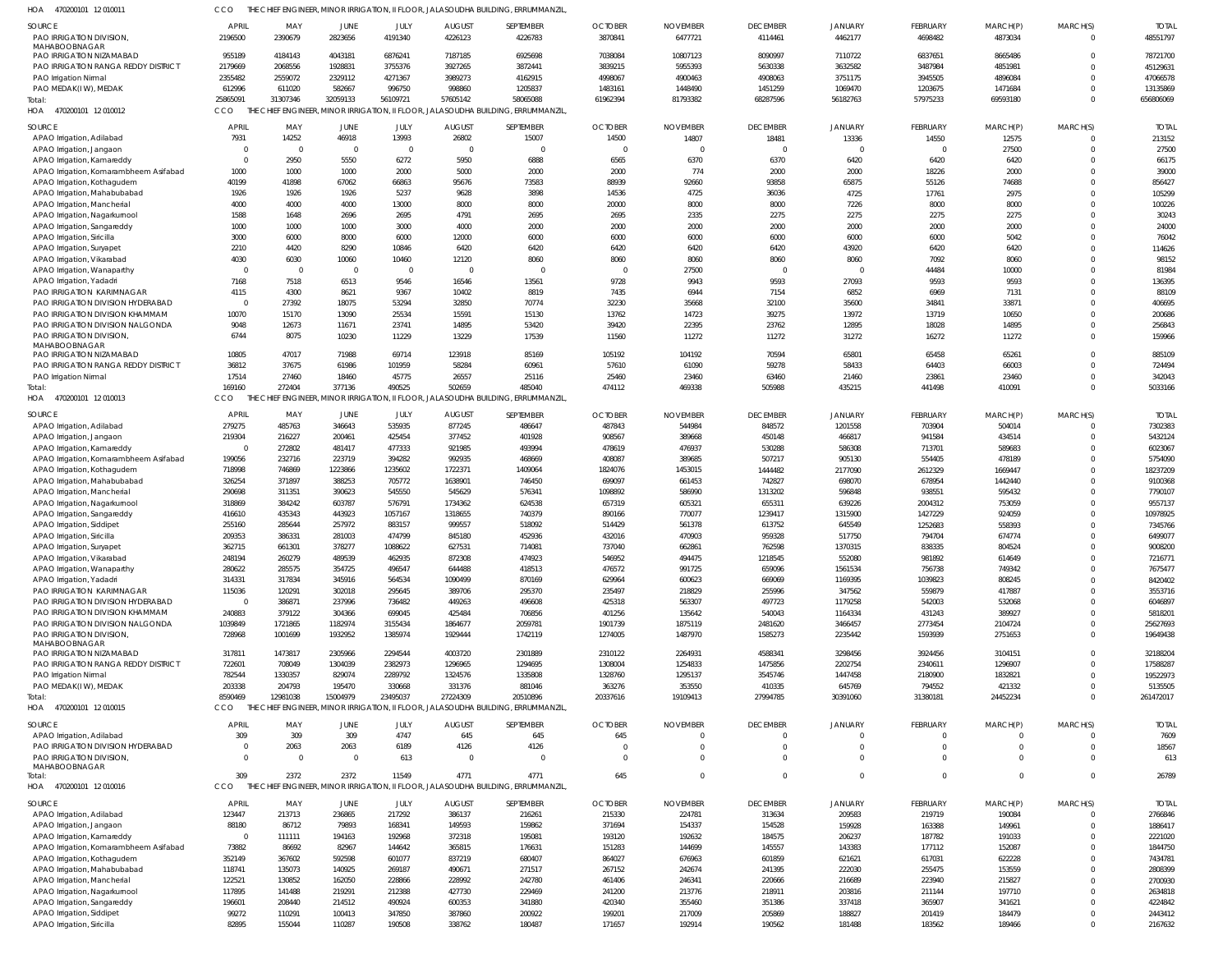470200101 12 010011 HOA CCO THE CHIEF ENGINEER, MINOR IRRIGATION, II FLOOR, JALASOUDHA BUILDING, ERRUMMANZIL,

| <b>SOURCE</b><br>PAO IRRIGATION DIVISION                        | APRIL<br>2196500  | MAY<br>2390679     | <b>JUNE</b><br>2823656 | JULY<br>4191340                                 | <b>AUGUST</b><br>4226123 | SEPTEMBER<br>4226783                                                             | <b>OCTOBER</b><br>3870841 | <b>NOVEMBER</b><br>6477721 | <b>DECEMBER</b><br>4114461 | <b>JANUARY</b><br>4462177 | FEBRUARY<br>4698482 | MARCH(P)<br>4873034 | MARCH(S)<br>$\Omega$ | <b>TOTAL</b><br>48551797 |
|-----------------------------------------------------------------|-------------------|--------------------|------------------------|-------------------------------------------------|--------------------------|----------------------------------------------------------------------------------|---------------------------|----------------------------|----------------------------|---------------------------|---------------------|---------------------|----------------------|--------------------------|
| MAHABOOBNAGAR                                                   |                   |                    |                        |                                                 |                          |                                                                                  |                           |                            |                            |                           |                     |                     | $\Omega$             |                          |
| PAO IRRIGATION NIZAMABAD<br>PAO IRRIGATION RANGA REDDY DISTRICT | 955189<br>2179669 | 4184143<br>2068556 | 4043181<br>1928831     | 6876241<br>3755376                              | 7187185<br>3927265       | 6925698<br>3872441                                                               | 7038084<br>3839215        | 10807123<br>5955393        | 8090997<br>5630338         | 7110722<br>3632582        | 6837651<br>3487984  | 8665486<br>4851981  |                      | 78721700<br>45129631     |
| PAO Irrigation Nirmal                                           | 2355482           | 2559072            | 2329112                | 4271367                                         | 3989273                  | 4162915                                                                          | 4998067                   | 4900463                    | 4908063                    | 3751175                   | 3945505             | 4896084             |                      | 47066578                 |
| PAO MEDAK(IW), MEDAK                                            | 612996            | 611020             | 582667                 | 996750                                          | 998860                   | 1205837                                                                          | 1483161                   | 1448490                    | 1451259                    | 1069470                   | 1203675             | 1471684             |                      | 13135869                 |
| Total:                                                          | 25865091          | 31307346           | 32059133               | 56109721                                        | 57605142                 | 58065088                                                                         | 61962394                  | 81793382                   | 68287596                   | 56182763                  | 57975233            | 69593180            | $\Omega$             | 656806069                |
| HOA<br>470200101 12 010012                                      | CCO               |                    |                        | THE CHIEF ENGINEER, MINOR IRRIGATION, II FLOOR, |                          | JALASOUDHA BUILDING, ERRUMMANZIL                                                 |                           |                            |                            |                           |                     |                     |                      |                          |
|                                                                 |                   |                    |                        |                                                 |                          |                                                                                  |                           |                            |                            |                           |                     |                     |                      |                          |
| <b>SOURCE</b>                                                   | <b>APRIL</b>      | MAY                | <b>JUNE</b>            | JULY                                            | <b>AUGUST</b>            | SEPTEMBER                                                                        | <b>OCTOBER</b>            | <b>NOVEMBER</b>            | <b>DECEMBER</b>            | JANUARY                   | FEBRUARY            | MARCH(P)            | MARCH(S)             | <b>TOTAL</b>             |
| APAO Irrigation, Adilabad                                       | 7931              | 14252              | 46918                  | 13993                                           | 26802                    | 15007                                                                            | 14500                     | 14807                      | 18481                      | 13336                     | 14550               | 12575               | $\Omega$             | 213152                   |
| APAO Irrigation, Jangaon                                        | - 0               | - 0                | $\overline{0}$         | $\mathbf 0$                                     | $\Omega$                 | $\Omega$                                                                         | 0                         | $\overline{0}$             | $\Omega$                   | $\Omega$                  | $\Omega$            | 27500               | 0                    | 27500                    |
| APAO Irrigation, Kamareddy                                      | $\circ$           | 2950               | 5550                   | 6272                                            | 5950                     | 6888                                                                             | 6565                      | 6370                       | 6370                       | 6420                      | 6420                | 6420                | $\Omega$             | 66175                    |
| APAO Irrigation, Komarambheem Asifabad                          | 1000              | 1000               | 1000                   | 2000                                            | 5000                     | 2000                                                                             | 2000                      | 774                        | 2000                       | 2000                      | 18226               | 2000                | $\Omega$             | 39000                    |
| APAO Irrigation, Kothagudem                                     | 40199             | 41898              | 67062                  | 66863                                           | 95676                    | 73583                                                                            | 88939                     | 92660                      | 93858                      | 65875                     | 55126               | 74688               | $\Omega$             | 856427                   |
| APAO Irrigation, Mahabubabad                                    | 1926              | 1926               | 1926                   | 5237                                            | 9628                     | 3898                                                                             | 14536                     | 4725                       | 36036                      | 4725                      | 17761               | 2975                | $\Omega$             | 105299                   |
| APAO Irrigation, Mancherial                                     | 4000              | 4000               | 4000                   | 13000                                           | 8000                     | 8000                                                                             | 20000                     | 8000                       | 8000                       | 7226                      | 8000                | 8000                | $\Omega$             | 100226                   |
| APAO Irrigation, Nagarkurnool                                   | 1588              | 1648               | 2696                   | 2695                                            | 4791                     | 2695                                                                             | 2695                      | 2335                       | 2275                       | 2275                      | 2275                | 2275                | $\Omega$<br>$\Omega$ | 30243                    |
| APAO Irrigation, Sangareddy                                     | 1000<br>3000      | 1000<br>6000       | 1000                   | 3000                                            | 4000<br>12000            | 2000<br>6000                                                                     | 2000<br>6000              | 2000<br>6000               | 2000<br>6000               | 2000<br>6000              | 2000<br>6000        | 2000<br>5042        | $\Omega$             | 24000<br>76042           |
| APAO Irrigation, Siricilla                                      | 2210              | 4420               | 8000<br>8290           | 6000<br>10846                                   | 6420                     | 6420                                                                             | 6420                      | 6420                       | 6420                       | 43920                     | 6420                | 6420                | $\Omega$             | 114626                   |
| APAO Irrigation, Suryapet<br>APAO Irrigation, Vikarabad         | 4030              | 6030               | 10060                  | 10460                                           | 12120                    | 8060                                                                             | 8060                      | 8060                       | 8060                       | 8060                      | 7092                | 8060                | $\Omega$             | 98152                    |
| APAO Irrigation, Wanaparthy                                     | $\overline{0}$    | - 0                | $\overline{0}$         | $\mathbf 0$                                     | - 0                      | $\Omega$                                                                         | 0                         | 27500                      | $\Omega$                   | $\Omega$                  | 44484               | 10000               | $\Omega$             | 81984                    |
| APAO Irrigation, Yadadri                                        | 7168              | 7518               | 6513                   | 9546                                            | 16546                    | 13561                                                                            | 9728                      | 9943                       | 9593                       | 27093                     | 9593                | 9593                | $\Omega$             | 136395                   |
| PAO IRRIGATION KARIMNAGAR                                       | 4115              | 4300               | 8621                   | 9367                                            | 10402                    | 8819                                                                             | 7435                      | 6944                       | 7154                       | 6852                      | 6969                | 7131                | $\Omega$             | 88109                    |
| PAO IRRIGATION DIVISION HYDERABAD                               | $\overline{0}$    | 27392              | 18075                  | 53294                                           | 32850                    | 70774                                                                            | 32230                     | 35668                      | 32100                      | 35600                     | 34841               | 33871               | $\Omega$             | 406695                   |
| PAO IRRIGATION DIVISION KHAMMAM                                 | 10070             | 15170              | 13090                  | 25534                                           | 15591                    | 15130                                                                            | 13762                     | 14723                      | 39275                      | 13972                     | 13719               | 10650               | $\Omega$             | 200686                   |
| PAO IRRIGATION DIVISION NALGONDA                                | 9048              | 12673              | 11671                  | 23741                                           | 14895                    | 53420                                                                            | 39420                     | 22395                      | 23762                      | 12895                     | 18028               | 14895               | $\Omega$             | 256843                   |
| PAO IRRIGATION DIVISION                                         | 6744              | 8075               | 10230                  | 11229                                           | 13229                    | 17539                                                                            | 11560                     | 11272                      | 11272                      | 31272                     | 16272               | 11272               | $\Omega$             | 159966                   |
| MAHABOOBNAGAR                                                   |                   |                    |                        |                                                 |                          |                                                                                  |                           |                            |                            |                           |                     |                     |                      |                          |
| PAO IRRIGATION NIZAMABAD                                        | 10805             | 47017              | 71988                  | 69714                                           | 123918                   | 85169                                                                            | 105192                    | 104192                     | 70594                      | 65801                     | 65458               | 65261               | $\Omega$             | 885109                   |
| PAO IRRIGATION RANGA REDDY DISTRICT                             | 36812             | 37675              | 61986                  | 101959                                          | 58284                    | 60961                                                                            | 57610                     | 61090                      | 59278                      | 58433                     | 64403               | 66003               | 0                    | 724494                   |
| PAO Irrigation Nirmal                                           | 17514             | 27460              | 18460                  | 45775                                           | 26557                    | 25116                                                                            | 25460                     | 23460                      | 63460                      | 21460                     | 23861               | 23460               | 0                    | 342043                   |
| Total:                                                          | 169160            | 272404             | 377136                 | 490525                                          | 502659                   | 485040                                                                           | 474112                    | 469338                     | 505988                     | 435215                    | 441498              | 410091              | $\Omega$             | 5033166                  |
| HOA<br>470200101 12 010013                                      | CCO               |                    |                        |                                                 |                          | THE CHIEF ENGINEER, MINOR IRRIGATION, II FLOOR, JALASOUDHA BUILDING, ERRUMMANZIL |                           |                            |                            |                           |                     |                     |                      |                          |
| SOURCE                                                          | <b>APRIL</b>      | MAY                | JUNE                   | JULY                                            | <b>AUGUST</b>            | SEPTEMBER                                                                        | <b>OCTOBER</b>            | <b>NOVEMBER</b>            | <b>DECEMBER</b>            | JANUARY                   | FEBRUARY            | MARCH(P)            | MARCH(S)             | <b>TOTAL</b>             |
| APAO Irrigation, Adilabad                                       | 279275            | 485763             | 346643                 | 535935                                          | 877245                   | 486647                                                                           | 487843                    | 544984                     | 848572                     | 1201558                   | 703904              | 504014              | 0                    | 7302383                  |
| APAO Irrigation, Jangaon                                        | 219304            | 216227             | 200461                 | 425454                                          | 377452                   | 401928                                                                           | 908567                    | 389668                     | 450148                     | 466817                    | 941584              | 434514              |                      | 5432124                  |
| APAO Irrigation, Kamareddy                                      | $\overline{0}$    | 272802             | 481417                 | 477333                                          | 921985                   | 493994                                                                           | 478619                    | 476937                     | 530288                     | 586308                    | 713701              | 589683              |                      | 6023067                  |
| APAO Irrigation, Komarambheem Asifabad                          | 199056            | 232716             | 223719                 | 394282                                          | 992935                   | 468669                                                                           | 408087                    | 389685                     | 507217                     | 905130                    | 554405              | 478189              |                      | 5754090                  |
| APAO Irrigation, Kothagudem                                     | 718998            | 746869             | 1223866                | 1235602                                         | 1722371                  | 1409064                                                                          | 1824076                   | 1453015                    | 1444482                    | 2177090                   | 2612329             | 1669447             |                      | 18237209                 |
| APAO Irrigation, Mahabubabad                                    | 326254            | 371897             | 388253                 | 705772                                          | 1638901                  | 746450                                                                           | 699097                    | 661453                     | 742827                     | 698070                    | 678954              | 1442440             |                      | 9100368                  |
| APAO Irrigation, Mancherial                                     | 290698            | 311351             | 390623                 | 545550                                          | 545629                   | 576341                                                                           | 1098892                   | 586990                     | 1313202                    | 596848                    | 938551              | 595432              |                      | 7790107                  |
| APAO Irrigation, Nagarkurnool                                   | 318869            | 384242             | 603787                 | 576791                                          | 1734362                  | 624538                                                                           | 657319                    | 605321                     | 655311                     | 639226                    | 2004312             | 753059              |                      | 9557137                  |
| APAO Irrigation, Sangareddy                                     | 416610            | 435343             | 443923                 | 1057167                                         | 1318655                  | 740379                                                                           | 890166                    | 770077                     | 1239417                    | 1315900                   | 1427229             | 924059              |                      | 10978925                 |
| APAO Irrigation, Siddipet                                       | 255160            | 285644             | 257972                 | 883157                                          | 999557                   | 518092                                                                           | 514429                    | 561378                     | 613752                     | 645549                    | 1252683             | 558393              |                      | 7345766                  |
| APAO Irrigation, Siricilla                                      | 209353            | 386331             | 281003                 | 474799                                          | 845180                   | 452936                                                                           | 432016                    | 470903                     | 959328                     | 517750                    | 794704              | 674774              |                      | 6499077                  |
| APAO Irrigation, Suryapet                                       | 362715            | 661301             | 378277                 | 1088622                                         | 627531                   | 714081                                                                           | 737040                    | 662861                     | 762598                     | 1370315                   | 838335              | 804524              |                      | 9008200                  |
| APAO Irrigation, Vikarabac                                      | 248194            | 260279             | 489539                 | 462935                                          | 872308                   | 474923                                                                           | 546952                    | 494475                     | 1218545                    | 552080                    | 981892              | 614649              |                      | 7216771                  |
| APAO Irrigation, Wanaparthy                                     | 280622            | 285575             | 354725                 | 496547                                          | 644488                   | 418513                                                                           | 476572                    | 991725                     | 659096                     | 1561534                   | 756738              | 749342              |                      | 7675477                  |
| APAO Irrigation, Yadadri                                        | 314331            | 317834             | 345916                 | 564534                                          | 1090499                  | 870169                                                                           | 629964                    | 600623                     | 669069                     | 1169395                   | 1039823             | 808245              |                      | 8420402                  |
| PAO IRRIGATION KARIMNAGAR                                       | 115036            | 120291             | 302018                 | 295645                                          | 389706                   | 295370                                                                           | 235497                    | 218829                     | 255996                     | 347562                    | 559879              | 417887              |                      | 3553716                  |
| PAO IRRIGATION DIVISION HYDERABAD                               | $\overline{0}$    | 386871             | 237996                 | 736482                                          | 449263                   | 496608                                                                           | 425318                    | 563307                     | 497723                     | 1179258                   | 542003              | 532068              |                      | 6046897                  |
| PAO IRRIGATION DIVISION KHAMMAM                                 | 240883            | 379122             | 304366                 | 699045                                          | 425484                   | 706856                                                                           | 401256                    | 135642                     | 540043                     | 1164334                   | 431243              | 389927              |                      | 5818201                  |
| PAO IRRIGATION DIVISION NALGONDA                                | 1039849           | 1721865            | 1182974                | 3155434                                         | 1864677                  | 2059781                                                                          | 1901739                   | 1875119                    | 2481620                    | 3466457                   | 2773454             | 2104724             |                      | 25627693                 |
| PAO IRRIGATION DIVISION                                         | 728968            | 1001699            | 1932952                | 1385974                                         | 1929444                  | 1742119                                                                          | 1274005                   | 1487970                    | 1585273                    | 2235442                   | 1593939             | 2751653             |                      | 19649438                 |
| MAHABOOBNAGAR                                                   |                   |                    |                        |                                                 |                          |                                                                                  |                           |                            |                            |                           |                     |                     |                      |                          |
| PAO IRRIGATION NIZAMABAD                                        | 317811            | 1473817            | 2305966                | 2294544                                         | 4003720                  | 2301889                                                                          | 2310122                   | 2264931                    | 4588341                    | 3298456                   | 3924456             | 3104151             |                      | 32188204                 |
| PAO IRRIGATION RANGA REDDY DISTRICT                             | 722601            | 708049             | 1304039                | 2382973                                         | 1296965                  | 1294695                                                                          | 1308004                   | 1254833                    | 1475856                    | 2202754                   | 2340611             | 1296907             |                      | 17588287                 |
| PAO Irrigation Nirmal                                           | 782544            | 1330357            | 829074                 | 2289792                                         | 1324576                  | 1335808                                                                          | 1328760                   | 1295137                    | 3545746                    | 1447458                   | 2180900             | 1832821             |                      | 19522973                 |
| PAO MEDAK(IW), MEDAK                                            | 203338            | 204793             | 195470                 | 330668                                          | 331376                   | 881046                                                                           | 363276                    | 353550                     | 410335                     | 645769                    | 794552              | 421332              |                      | 5135505                  |
| Total:                                                          | 8590469           | 12981038           | 15004979               | 23495037                                        | 27224309                 | 20510896                                                                         | 20337616                  | 19109413                   | 27994785                   | 30391060                  | 31380181            | 24452234            | $\Omega$             | 261472017                |
| HOA 470200101 12 010015                                         | CCO               |                    |                        |                                                 |                          | THE CHIEF ENGINEER, MINOR IRRIGATION, II FLOOR, JALASOUDHA BUILDING, ERRUMMANZIL |                           |                            |                            |                           |                     |                     |                      |                          |
| <b>SOURCE</b>                                                   | <b>APRIL</b>      | MAY                | JUNE                   | JULY                                            | <b>AUGUST</b>            | SEPTEMBER                                                                        | <b>OCTOBER</b>            | <b>NOVEMBER</b>            | <b>DECEMBER</b>            | JANUARY                   | FEBRUARY            | MARCH(P)            | MARCH(S)             | <b>TOTAL</b>             |
| APAO Irrigation, Adilabad                                       | 309               | 309                | 309                    | 4747                                            | 645                      | 645                                                                              | 645                       | 0                          | $\Omega$                   | $^{\circ}$                | $\Omega$            |                     |                      | 7609                     |
| PAO IRRIGATION DIVISION HYDERABAD                               | $\circ$           | 2063               | 2063                   | 6189                                            | 4126                     | 4126                                                                             | 0                         | 0                          | $\Omega$                   | $\mathbf 0$               | $\Omega$            | $\Omega$            | $\Omega$             | 18567                    |
| PAO IRRIGATION DIVISION,                                        | $\Omega$          | $\overline{0}$     | $\overline{0}$         | 613                                             | $\Omega$                 | $\overline{0}$                                                                   | $\Omega$                  | $\Omega$                   | $\Omega$                   | $\mathbf 0$               | $\Omega$            | $\Omega$            | $\Omega$             | 613                      |
| MAHABOOBNAGAR                                                   |                   |                    |                        |                                                 |                          |                                                                                  |                           |                            |                            |                           |                     |                     |                      |                          |
| Total:                                                          | 309               | 2372               | 2372                   | 11549                                           | 4771                     | 4771                                                                             | 645                       | $\Omega$                   | $\Omega$                   | $\mathbf{0}$              | $\Omega$            | $\Omega$            | 0                    | 26789                    |
| HOA 470200101 12010016                                          | <b>CCO</b>        |                    |                        |                                                 |                          | THE CHIEF ENGINEER, MINOR IRRIGATION, II FLOOR, JALASOUDHA BUILDING, ERRUMMANZIL |                           |                            |                            |                           |                     |                     |                      |                          |
| SOURCE                                                          | <b>APRIL</b>      | MAY                | JUNE                   | JULY                                            | <b>AUGUST</b>            | SEPTEMBER                                                                        | <b>OCTOBER</b>            | <b>NOVEMBER</b>            | <b>DECEMBER</b>            | <b>JANUARY</b>            | FEBRUARY            | MARCH(P)            | MARCH(S)             | <b>TOTAL</b>             |
| APAO Irrigation, Adilabad                                       | 123447            | 213713             | 236865                 | 217292                                          | 386137                   | 216261                                                                           | 215330                    | 224781                     | 313634                     | 209583                    | 219719              | 190084              |                      | 2766846                  |
| APAO Irrigation, Jangaon                                        | 88180             | 86712              | 79893                  | 168341                                          | 149593                   | 159862                                                                           | 371694                    | 154337                     | 154528                     | 159928                    | 163388              | 149961              |                      | 1886417                  |
| APAO Irrigation, Kamareddy                                      | $\overline{0}$    | 111111             | 194163                 | 192968                                          | 372318                   | 195081                                                                           | 193120                    | 192632                     | 184575                     | 206237                    | 187782              | 191033              |                      | 2221020                  |
| APAO Irrigation, Komarambheem Asifabad                          | 73882             | 86692              | 82967                  | 144642                                          | 365815                   | 176631                                                                           | 151283                    | 144699                     | 145557                     | 143383                    | 177112              | 152087              |                      | 1844750                  |
| APAO Irrigation, Kothagudem                                     | 352149            | 367602             | 592598                 | 601077                                          | 837219                   | 680407                                                                           | 864027                    | 676963                     | 601859                     | 621621                    | 617031              | 622228              |                      | 7434781                  |
| APAO Irrigation, Mahabubabad                                    | 118741            | 135073             | 140925                 | 269187                                          | 490671                   | 271517                                                                           | 267152                    | 242674                     | 241395                     | 222030                    | 255475              | 153559              |                      | 2808399                  |
| APAO Irrigation, Mancherial                                     | 122521            | 130852             | 162050                 | 228866                                          | 228992                   | 242780                                                                           | 461406                    | 246341                     | 220666                     | 216689                    | 223940              | 215827              |                      | 2700930                  |
| APAO Irrigation, Nagarkurnool                                   | 117895            | 141488             | 219291                 | 212388                                          | 427730                   | 229469                                                                           | 241200                    | 213776                     | 218911                     | 203816                    | 211144              | 197710              |                      | 2634818                  |
| APAO Irrigation, Sangareddy                                     | 196601            | 208440             | 214512                 | 490924                                          | 600353                   | 341880                                                                           | 420340                    | 355460                     | 351386                     | 337418                    | 365907              | 341621              |                      | 4224842                  |
| APAO Irrigation, Siddipet                                       | 99272             | 110291             | 100413                 | 347850                                          | 387860                   | 200922                                                                           | 199201                    | 217009                     | 205869                     | 188827                    | 201419              | 184479              |                      | 2443412                  |
| APAO Irrigation, Siricilla                                      | 82895             | 155044             | 110287                 | 190508                                          | 338762                   | 180487                                                                           | 171657                    | 192914                     | 190562                     | 181488                    | 183562              | 189466              | 0                    | 2167632                  |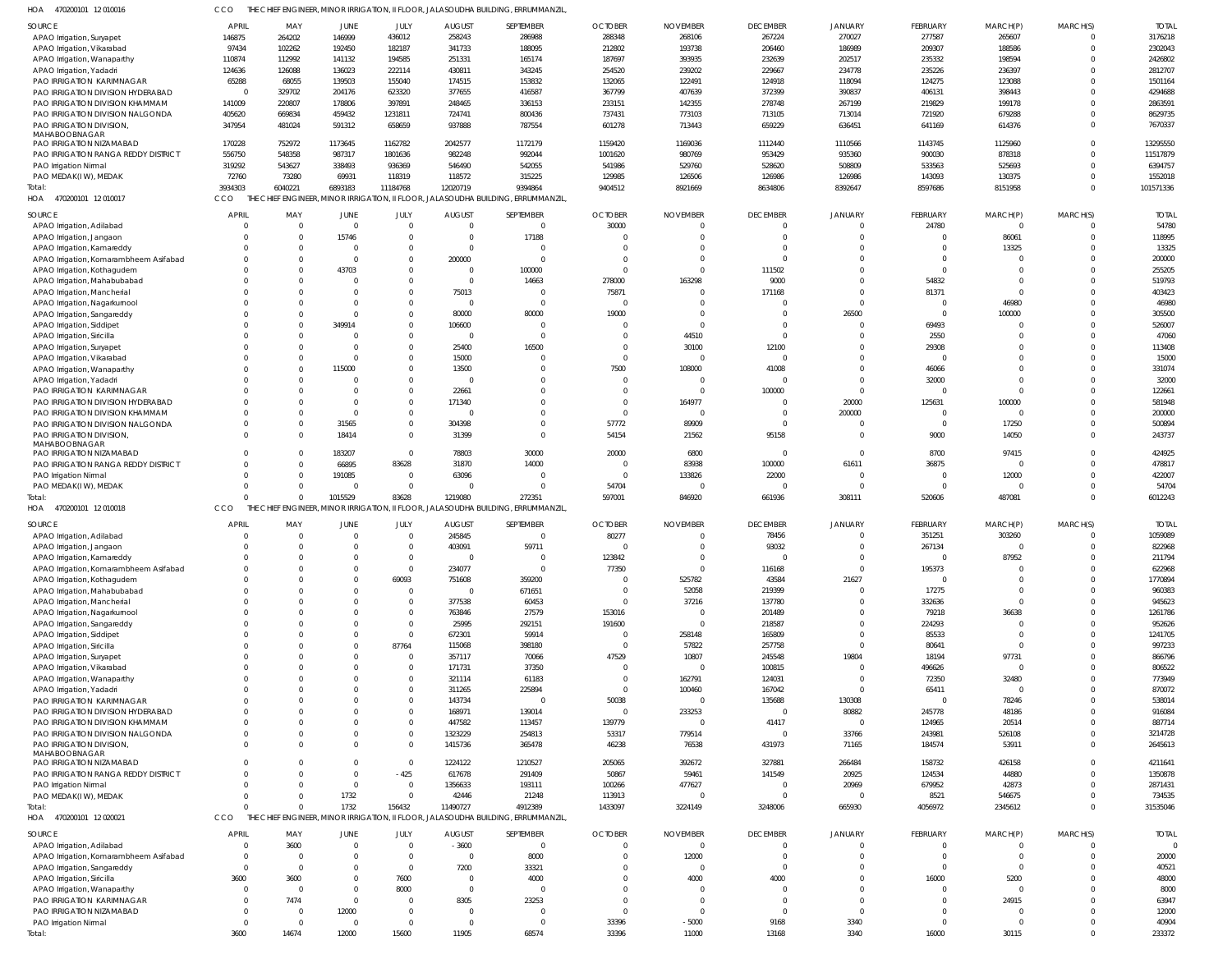| 470200101 12 010016 | THE CHIEF ENGINEER, MINOR IRRIGATION, II FLOOR, JALASOUDHA BUILDING, ERRUMMANZIL. |
|---------------------|-----------------------------------------------------------------------------------|

| 470200101 12 010016<br>HOA                                           | CCO                |                   |                               |                            |                          | THE CHIEF ENGINEER, MINOR IRRIGATION, II FLOOR, JALASOUDHA BUILDING, ERRUMMANZIL            |                      |                  |                          |                      |                         |                       |                      |                    |
|----------------------------------------------------------------------|--------------------|-------------------|-------------------------------|----------------------------|--------------------------|---------------------------------------------------------------------------------------------|----------------------|------------------|--------------------------|----------------------|-------------------------|-----------------------|----------------------|--------------------|
| SOURCE                                                               | <b>APRIL</b>       | MAY               | <b>JUNE</b>                   | JULY                       | <b>AUGUST</b>            | SEPTEMBER                                                                                   | <b>OCTOBER</b>       | <b>NOVEMBER</b>  | <b>DECEMBER</b>          | <b>JANUARY</b>       | FEBRUARY                | MARCH(P)              | MARCH(S)             | <b>TOTAI</b>       |
| APAO Irrigation, Suryapet                                            | 146875             | 264202            | 146999                        | 436012                     | 258243                   | 286988                                                                                      | 288348               | 268106           | 267224                   | 270027               | 277587                  | 265607                | $\Omega$             | 3176218            |
| APAO Irrigation, Vikarabad                                           | 97434              | 102262            | 192450                        | 182187                     | 341733                   | 188095                                                                                      | 212802               | 193738           | 206460                   | 186989               | 209307                  | 188586                | $\Omega$             | 2302043            |
| APAO Irrigation, Wanaparthy                                          | 110874             | 112992            | 141132                        | 194585                     | 251331                   | 165174                                                                                      | 187697               | 393935           | 232639                   | 202517               | 235332                  | 198594                |                      | 2426802            |
| APAO Irrigation, Yadadri                                             | 124636             | 126088            | 136023                        | 222114                     | 430811                   | 343245                                                                                      | 254520               | 239202           | 229667                   | 234778               | 235226                  | 236397                |                      | 2812707            |
| PAO IRRIGATION KARIMNAGAR                                            | 65288              | 68055             | 139503                        | 155040                     | 174515                   | 153832                                                                                      | 132065               | 122491           | 124918                   | 118094               | 124275                  | 123088                |                      | 1501164            |
| PAO IRRIGATION DIVISION HYDERABAD<br>PAO IRRIGATION DIVISION KHAMMAM | $\Omega$<br>141009 | 329702<br>220807  | 204176<br>178806              | 623320<br>397891           | 377655<br>248465         | 416587<br>336153                                                                            | 367799<br>233151     | 407639<br>142355 | 372399<br>278748         | 390837<br>267199     | 406131<br>219829        | 398443<br>199178      |                      | 4294688<br>2863591 |
| PAO IRRIGATION DIVISION NALGONDA                                     | 405620             | 669834            | 459432                        | 1231811                    | 724741                   | 800436                                                                                      | 737431               | 773103           | 713105                   | 713014               | 721920                  | 679288                |                      | 8629735            |
| PAO IRRIGATION DIVISION,                                             | 347954             | 481024            | 591312                        | 658659                     | 937888                   | 787554                                                                                      | 601278               | 713443           | 659229                   | 636451               | 641169                  | 614376                | $\Omega$             | 7670337            |
| MAHABOOBNAGAR                                                        |                    |                   |                               |                            |                          |                                                                                             |                      |                  |                          |                      |                         |                       |                      |                    |
| PAO IRRIGATION NIZAMABAD                                             | 170228             | 752972            | 1173645                       | 1162782                    | 2042577                  | 1172179                                                                                     | 1159420              | 1169036          | 1112440                  | 1110566              | 1143745                 | 1125960               |                      | 13295550           |
| PAO IRRIGATION RANGA REDDY DISTRICT                                  | 556750             | 548358            | 987317                        | 1801636                    | 982248                   | 992044                                                                                      | 1001620              | 980769           | 953429                   | 935360               | 900030                  | 878318                |                      | 11517879           |
| PAO Irrigation Nirmal                                                | 319292             | 543627            | 338493                        | 936369                     | 546490                   | 542055                                                                                      | 541986               | 529760           | 528620                   | 508809               | 533563                  | 525693                |                      | 6394757            |
| PAO MEDAK(IW), MEDAK<br>Total:                                       | 72760              | 73280             | 69931                         | 118319                     | 118572                   | 315225                                                                                      | 129985               | 126506           | 126986                   | 126986               | 143093                  | 130375                | $\Omega$             | 1552018            |
| 470200101 12 010017<br>HOA                                           | 3934303<br>CCO     | 6040221           | 6893183                       | 11184768                   | 12020719                 | 9394864<br>THE CHIEF ENGINEER, MINOR IRRIGATION, II FLOOR, JALASOUDHA BUILDING, ERRUMMANZIL | 9404512              | 8921669          | 8634806                  | 8392647              | 8597686                 | 8151958               |                      | 101571336          |
|                                                                      |                    |                   |                               |                            |                          |                                                                                             |                      |                  |                          |                      |                         |                       |                      |                    |
| SOURCE                                                               | <b>APRIL</b>       | MAY               | <b>JUNE</b>                   | JULY                       | <b>AUGUST</b>            | SEPTEMBER                                                                                   | <b>OCTOBER</b>       | <b>NOVEMBER</b>  | <b>DECEMBER</b>          | <b>JANUARY</b>       | FEBRUARY                | MARCH(P)              | MARCH(S)             | <b>TOTAI</b>       |
| APAO Irrigation, Adilabad                                            | $\Omega$           | - 0               | $\overline{\mathbf{0}}$       | $\mathbf 0$                | $\Omega$                 | $\overline{0}$                                                                              | 30000                |                  | $\overline{0}$           | $\Omega$             | 24780                   | $\mathbf 0$           | $\Omega$             | 54780              |
| APAO Irrigation, Jangaon                                             |                    |                   | 15746<br>$\Omega$             | $\mathbf 0$                | $\Omega$<br>$\Omega$     | 17188<br>$\overline{0}$                                                                     | $\Omega$             |                  | $\Omega$<br>$\Omega$     | $\Omega$<br>$\Omega$ | $\mathbf 0$<br>$\Omega$ | 86061                 | $\Omega$<br>$\Omega$ | 118995<br>13325    |
| APAO Irrigation, Kamareddy<br>APAO Irrigation, Komarambheem Asifabad |                    |                   | $\Omega$                      | $\mathbf 0$<br>$\mathbf 0$ | 200000                   | $\overline{0}$                                                                              | $\cap$               |                  | $\Omega$                 | $\Omega$             | $\Omega$                | 13325<br>$\Omega$     | $\Omega$             | 200000             |
| APAO Irrigation, Kothagudem                                          |                    |                   | 43703                         | $\Omega$                   | $\Omega$                 | 100000                                                                                      | $\Omega$             |                  | 111502                   | $\Omega$             | $\Omega$                | $\Omega$              | $\Omega$             | 255205             |
| APAO Irrigation, Mahabubabad                                         |                    |                   | $\Omega$                      | $\Omega$                   | $\Omega$                 | 14663                                                                                       | 278000               | 163298           | 9000                     | $\Omega$             | 54832                   | $\Omega$              | $\Omega$             | 519793             |
| APAO Irrigation, Mancherial                                          |                    |                   | $\Omega$                      | $\Omega$                   | 75013                    | $\overline{0}$                                                                              | 75871                |                  | 171168                   | $\Omega$             | 81371                   | $\Omega$              | $\Omega$             | 403423             |
| APAO Irrigation, Nagarkurnool                                        |                    |                   | $\Omega$                      | $\Omega$                   | $\Omega$                 | $\mathbf{0}$                                                                                | $\Omega$             |                  | $\Omega$                 | $\Omega$             | $^{\circ}$              | 46980                 | $\Omega$             | 46980              |
| APAO Irrigation, Sangareddy                                          |                    |                   | $\Omega$                      | $\Omega$                   | 80000                    | 80000                                                                                       | 19000                |                  | - 0                      | 26500                | $\Omega$                | 100000                | $\Omega$             | 305500             |
| APAO Irrigation, Siddipet                                            |                    |                   | 349914                        | $\mathbf 0$                | 106600                   | $\overline{0}$                                                                              |                      |                  | $\Omega$                 | $\Omega$             | 69493                   |                       | $\Omega$             | 526007             |
| APAO Irrigation, Siricilla                                           |                    |                   |                               | $\Omega$                   | $\Omega$                 | $\mathbf{0}$                                                                                | $\Omega$             | 44510            | $\Omega$                 | $\Omega$             | 2550                    | $\Omega$              | $\cap$               | 47060              |
| APAO Irrigation, Suryapet                                            |                    |                   | $\Omega$                      | $\Omega$                   | 25400                    | 16500                                                                                       | $\cap$               | 30100            | 12100                    | $\Omega$             | 29308                   | $\Omega$              | $\Omega$             | 113408             |
| APAO Irrigation, Vikarabad                                           |                    |                   | $\Omega$                      | $\Omega$                   | 15000                    | $\overline{0}$                                                                              | $\Omega$             |                  | $\Omega$                 | $\Omega$             | $\Omega$                | $\Omega$              | $\Omega$             | 15000              |
| APAO Irrigation, Wanaparthy                                          |                    |                   | 115000                        | $\mathbf 0$                | 13500                    | $\mathbf 0$                                                                                 | 7500                 | 108000           | 41008                    | $\Omega$             | 46066                   |                       | $\Omega$             | 331074             |
| APAO Irrigation, Yadadri                                             |                    |                   | $\Omega$                      | $\Omega$                   |                          | $\Omega$                                                                                    | - C                  |                  | $\Omega$                 | $\Omega$             | 32000                   | $\Omega$              | $\Omega$             | 32000              |
| PAO IRRIGATION KARIMNAGAR                                            |                    |                   | $\Omega$                      | $\mathbf 0$                | 22661                    | $\mathbf 0$                                                                                 |                      |                  | 100000                   | $\Omega$             | $\Omega$                | $\Omega$              | $\Omega$             | 122661             |
| PAO IRRIGATION DIVISION HYDERABAD                                    | $\Omega$           |                   | $\Omega$<br>$\Omega$          | $\mathbf 0$<br>$\mathbf 0$ | 171340<br>$\Omega$       | $\Omega$<br>$\mathbf 0$                                                                     | $\Omega$<br>$\Omega$ | 164977           | $\Omega$<br>- 0          | 20000                | 125631<br>$^{\circ}$    | 100000<br>$\mathbf 0$ | $\Omega$<br>$\Omega$ | 581948<br>200000   |
| PAO IRRIGATION DIVISION KHAMMAM<br>PAO IRRIGATION DIVISION NALGONDA  |                    |                   | 31565                         | $\mathbf 0$                | 304398                   | $\mathbf 0$                                                                                 | 57772                | 89909            | $\Omega$                 | 200000               | $\Omega$                | 17250                 | $\Omega$             | 500894             |
| PAO IRRIGATION DIVISION,                                             |                    |                   | 18414                         | $\mathbf 0$                | 31399                    | $\mathbf 0$                                                                                 | 54154                | 21562            | 95158                    | $\Omega$             | 9000                    | 14050                 | $\Omega$             | 243737             |
| MAHABOOBNAGAR<br>PAO IRRIGATION NIZAMABAD                            |                    |                   | 183207                        | $\Omega$                   | 78803                    | 30000                                                                                       | 20000                | 6800             | $\overline{0}$           | $\Omega$             | 8700                    | 97415                 | $\Omega$             | 424925             |
| PAO IRRIGATION RANGA REDDY DISTRICT                                  |                    |                   | 66895                         | 83628                      | 31870                    | 14000                                                                                       | $\Omega$             | 83938            | 100000                   | 61611                | 36875                   | $\mathbf 0$           | $\Omega$             | 478817             |
| PAO Irrigation Nirmal                                                |                    |                   | 191085                        | $\mathbf 0$                | 63096                    | $\overline{0}$                                                                              | - 0                  | 133826           | 22000                    | $\Omega$             | $\overline{0}$          | 12000                 | $\Omega$             | 422007             |
|                                                                      |                    |                   |                               |                            |                          |                                                                                             |                      |                  |                          |                      |                         |                       |                      |                    |
| PAO MEDAK(IW), MEDAK                                                 | $\Omega$           |                   | $\Omega$                      | $\mathbf 0$                | $\Omega$                 | $\overline{0}$                                                                              | 54704                |                  | $\Omega$                 | $\Omega$             | $\Omega$                | $\mathbf 0$           | $\Omega$             | 54704              |
| Total:                                                               |                    |                   | 1015529                       | 83628                      | 1219080                  | 272351                                                                                      | 597001               | 846920           | 661936                   | 308111               | 520606                  | 487081                | $\Omega$             | 6012243            |
| HOA 470200101 12 010018                                              | CCO                |                   |                               |                            |                          | THE CHIEF ENGINEER, MINOR IRRIGATION, II FLOOR, JALASOUDHA BUILDING, ERRUMMANZIL,           |                      |                  |                          |                      |                         |                       |                      |                    |
| SOURCE                                                               | <b>APRIL</b>       | MAY               | <b>JUNE</b>                   | JULY                       | <b>AUGUST</b>            | SEPTEMBER                                                                                   | <b>OCTOBER</b>       | <b>NOVEMBER</b>  | <b>DECEMBER</b>          | <b>JANUARY</b>       | FEBRUARY                | MARCH(P)              | MARCH(S)             | <b>TOTAI</b>       |
| APAO Irrigation, Adilabad                                            | $\Omega$           | $\Omega$          | $\Omega$                      | $\overline{0}$             | 245845                   | $\mathbf{0}$                                                                                | 80277                | $\Omega$         | 78456                    | $\Omega$             | 351251                  | 303260                | $\Omega$             | 1059089            |
| APAO Irrigation, Jangaon                                             | $\Omega$           | $\overline{0}$    | $\overline{0}$                | $\overline{0}$             | 403091                   | 59711                                                                                       |                      |                  | 93032                    | $\Omega$             | 267134                  |                       | $\Omega$             | 822968             |
| APAO Irrigation, Kamareddy                                           |                    |                   |                               | $\mathbf 0$                | $\Omega$                 | $\overline{0}$                                                                              | 123842               |                  | $\overline{0}$           | $\Omega$             | $\Omega$                | 87952                 |                      | 211794             |
| APAO Irrigation, Komarambheem Asifabad                               | $\Omega$           |                   | $\Omega$                      | $\mathbf 0$                | 234077                   | $\overline{0}$                                                                              | 77350                |                  | 116168                   | $\Omega$             | 195373                  |                       |                      | 622968             |
| APAO Irrigation, Kothagudem                                          | - 0                |                   |                               | 69093                      | 751608                   | 359200                                                                                      | - 0                  | 525782           | 43584                    | 21627                | $\Omega$                |                       |                      | 1770894            |
| APAO Irrigation, Mahabubabad                                         | $\Omega$           |                   |                               | $\mathbf 0$                | $\Omega$                 | 671651                                                                                      | - 0                  | 52058            | 219399                   | $\Omega$             | 17275                   |                       |                      | 960383             |
| APAO Irrigation, Mancherial                                          |                    |                   |                               | $\Omega$                   | 377538                   | 60453                                                                                       | $\Omega$             | 37216            | 137780                   |                      | 332636                  | $\Omega$              |                      | 945623             |
| APAO Irrigation, Nagarkurnool                                        |                    |                   |                               | $\mathbf 0$                | 763846                   | 27579                                                                                       | 153016               |                  | 201489                   | $\Omega$             | 79218                   | 36638                 |                      | 1261786            |
| APAO Irrigation, Sangareddy                                          |                    |                   |                               | $\mathbf 0$                | 25995                    | 292151                                                                                      | 191600               | - 0              | 218587                   | $\Omega$             | 224293                  | $\Omega$              |                      | 952626             |
| APAO Irrigation, Siddipet                                            |                    |                   |                               | $\Omega$                   | 672301                   | 59914                                                                                       | - 0                  | 258148           | 165809                   | $\Omega$             | 85533                   | $\Omega$<br>$\Omega$  |                      | 1241705            |
| APAO Irrigation, Siricilla                                           |                    |                   |                               | 87764                      | 115068                   | 398180                                                                                      | - 0                  | 57822            | 257758                   | $\Omega$             | 80641                   |                       |                      | 997233             |
| APAO Irrigation, Suryapet<br>APAO Irrigation, Vikarabad              |                    |                   |                               | $\mathbf 0$<br>$\mathbf 0$ | 357117<br>171731         | 70066<br>37350                                                                              | 47529<br>- 0         | 10807            | 245548<br>100815         | 19804<br>$\Omega$    | 18194<br>496626         | 97731<br>$\mathbf 0$  |                      | 866796<br>806522   |
| APAO Irrigation, Wanaparthy                                          |                    |                   |                               | $\mathbf 0$                | 321114                   | 61183                                                                                       | - 0                  | 162791           | 124031                   | $\Omega$             | 72350                   | 32480                 |                      | 773949             |
| APAO Irrigation, Yadadri                                             |                    |                   |                               | $\mathbf 0$                | 311265                   | 225894                                                                                      | $\Omega$             | 100460           | 167042                   | $\Omega$             | 65411                   | $\mathbf 0$           |                      | 870072             |
| PAO IRRIGATION KARIMNAGAR                                            |                    |                   |                               | $\mathbf 0$                | 143734                   | 0                                                                                           | 50038                |                  | 135688                   | 130308               | $\Omega$                | 78246                 |                      | 538014             |
| PAO IRRIGATION DIVISION HYDERABAD                                    |                    |                   |                               | $\mathbf 0$                | 168971                   | 139014                                                                                      | $\Omega$             | 233253           | $\overline{\mathbf{0}}$  | 80882                | 245778                  | 48186                 |                      | 916084             |
| PAO IRRIGATION DIVISION KHAMMAM                                      | $\Omega$           |                   |                               | $\Omega$                   | 447582                   | 113457                                                                                      | 139779               |                  | 41417                    | $\Omega$             | 124965                  | 20514                 |                      | 887714             |
| PAO IRRIGATION DIVISION NALGONDA                                     |                    |                   |                               | $\mathbf 0$                | 1323229                  | 254813                                                                                      | 53317                | 779514           | $\overline{\mathbf{0}}$  | 33766                | 243981                  | 526108                |                      | 3214728            |
| PAO IRRIGATION DIVISION,                                             | $\Omega$           |                   | $\Omega$                      | $\mathbf 0$                | 1415736                  | 365478                                                                                      | 46238                | 76538            | 431973                   | 71165                | 184574                  | 53911                 |                      | 2645613            |
| MAHABOOBNAGAR                                                        |                    |                   |                               |                            |                          |                                                                                             |                      |                  |                          |                      |                         |                       |                      |                    |
| PAO IRRIGATION NIZAMABAD                                             |                    |                   | $\Omega$                      | $\mathbf 0$                | 1224122                  | 1210527                                                                                     | 205065               | 392672           | 327881                   | 266484               | 158732                  | 426158                |                      | 4211641            |
| PAO IRRIGATION RANGA REDDY DISTRICT<br>PAO Irrigation Nirmal         | - 0                |                   | $\overline{0}$                | $-425$<br>$\mathbf 0$      | 617678<br>1356633        | 291409<br>193111                                                                            | 50867<br>100266      | 59461<br>477627  | 141549<br>$\overline{0}$ | 20925<br>20969       | 124534<br>679952        | 44880<br>42873        |                      | 1350878<br>2871431 |
| PAO MEDAK(IW), MEDAK                                                 | $\Omega$           |                   | 1732                          | $\mathbf 0$                | 42446                    | 21248                                                                                       | 113913               |                  | $\Omega$                 | $\Omega$             | 8521                    | 546675                |                      | 734535             |
| Total:                                                               | $\Omega$           | $\Omega$          | 1732                          | 156432                     | 11490727                 | 4912389                                                                                     | 1433097              | 3224149          | 3248006                  | 665930               | 4056972                 | 2345612               | $\Omega$             | 31535046           |
| 470200101 12 020021<br>HOA                                           | CCO                |                   |                               |                            |                          | THE CHIEF ENGINEER, MINOR IRRIGATION, II FLOOR, JALASOUDHA BUILDING, ERRUMMANZIL            |                      |                  |                          |                      |                         |                       |                      |                    |
|                                                                      | <b>APRIL</b>       |                   |                               |                            |                          |                                                                                             |                      | <b>NOVEMBER</b>  | <b>DECEMBER</b>          | <b>JANUARY</b>       | FEBRUARY                | MARCH(P)              | MARCH(S)             | Total              |
| SOURCE<br>APAO Irrigation, Adilabad                                  | $\Omega$           | MAY<br>3600       | <b>JUNE</b><br>$\overline{0}$ | JULY<br>$\mathbf 0$        | <b>AUGUST</b><br>$-3600$ | SEPTEMBER<br>$\overline{0}$                                                                 | <b>OCTOBER</b>       |                  | $\overline{0}$           |                      | $\mathbf 0$             | 0                     |                      |                    |
| APAO Irrigation, Komarambheem Asifabad                               | - 0                | $\Omega$          | $\Omega$                      | $\mathbf 0$                | $\Omega$                 | 8000                                                                                        |                      | 12000            | $\overline{0}$           | $\Omega$             | $\mathbf 0$             | $\mathbf 0$           | $\Omega$             | 20000              |
| APAO Irrigation, Sangareddy                                          | $\overline{0}$     | $\Omega$          | $\Omega$                      | $\mathbf 0$                | 7200                     | 33321                                                                                       |                      |                  | $\overline{0}$           | $\Omega$             | $\Omega$                | $\mathbf 0$           |                      | 40521              |
| APAO Irrigation, Siricilla                                           | 3600               | 3600              |                               | 7600                       | $\Omega$                 | 4000                                                                                        |                      | 4000             | 4000                     | $\Omega$             | 16000                   | 5200                  |                      | 48000              |
| APAO Irrigation, Wanaparthy                                          | - 0                | $\Omega$          | $\Omega$                      | 8000                       | $\Omega$                 | $\overline{0}$                                                                              |                      |                  | $\Omega$                 | $\Omega$             | -0                      | $\mathbf 0$           | $\Omega$             | 8000               |
| PAO IRRIGATION KARIMNAGAR                                            | -0                 | 7474              | $\Omega$                      | $\Omega$                   | 8305                     | 23253                                                                                       |                      |                  | $\Omega$                 | $\Omega$             | $\Omega$                | 24915                 | $\Omega$             | 63947              |
| PAO IRRIGATION NIZAMABAD                                             | -0                 | - 0               | 12000                         | $\mathbf 0$                | $\Omega$                 | $\overline{0}$                                                                              | $\cap$               |                  | $\Omega$                 | $\Omega$             | $\Omega$                | $\mathbf 0$           | $\Omega$             | 12000              |
| PAO Irrigation Nirmal<br>Total:                                      | - 0<br>3600        | $\Omega$<br>14674 | $\overline{0}$<br>12000       | $\mathbf 0$<br>15600       | $\Omega$<br>11905        | $\mathbf{0}$<br>68574                                                                       | 33396<br>33396       | $-5000$<br>11000 | 9168<br>13168            | 3340<br>3340         | $\Omega$<br>16000       | $\mathbf 0$<br>30115  | $\Omega$<br>$\Omega$ | 40904<br>233372    |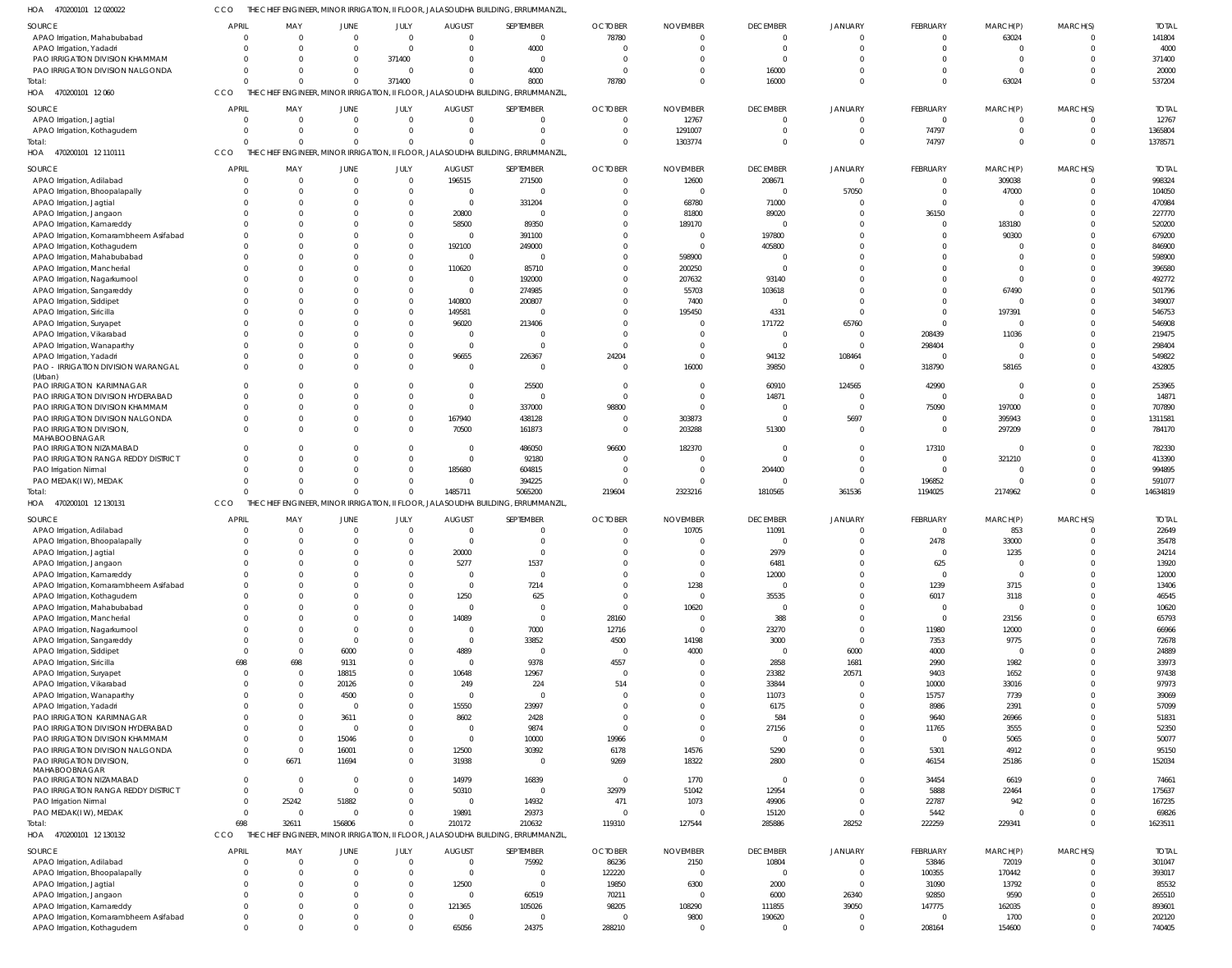470200101 12 020022 HOA CCO THE CHIEF ENGINEER, MINOR IRRIGATION, II FLOOR, JALASOUDHA BUILDING, ERRUMMANZIL,

| SOURCE                                 | APRIL          | MAY            | JUNE           | JULY           | <b>AUGUST</b>  | SEPTEMBER                                                                         | <b>OCTOBER</b> | <b>NOVEMBER</b> | <b>DECEMBER</b> | <b>JANUARY</b> | FEBRUARY        | MARCH(P) | MARCH(S) | <b>TOTAL</b> |
|----------------------------------------|----------------|----------------|----------------|----------------|----------------|-----------------------------------------------------------------------------------|----------------|-----------------|-----------------|----------------|-----------------|----------|----------|--------------|
| APAO Irrigation, Mahabubabad           | $\Omega$       | $\Omega$       | $\Omega$       | $\Omega$       | $\Omega$       | $\Omega$                                                                          | 78780          |                 | $\overline{0}$  | $\Omega$       | $\Omega$        | 63024    |          | 141804       |
|                                        |                |                |                |                |                |                                                                                   |                |                 |                 |                |                 |          |          |              |
| APAO Irrigation, Yadadri               | $\Omega$       | $\Omega$       | $\Omega$       | $\Omega$       | $\Omega$       | 4000                                                                              | $\Omega$       | $\Omega$        | $\overline{0}$  | $\Omega$       | $\Omega$        | $\Omega$ |          | 4000         |
| PAO IRRIGATION DIVISION KHAMMAM        | $\Omega$       | $\Omega$       | $\Omega$       | 371400         | $\Omega$       | $\Omega$                                                                          | $\Omega$       |                 | $\Omega$        | $\Omega$       | $\Omega$        | $\Omega$ |          | 371400       |
| PAO IRRIGATION DIVISION NALGONDA       | $\Omega$       | $\Omega$       | $\Omega$       | $\Omega$       | $\Omega$       | 4000                                                                              | $\Omega$       |                 | 16000           | $\Omega$       | $\Omega$        | $\Omega$ |          | 20000        |
| Total:                                 | $\Omega$       |                | $\Omega$       | 371400         | $\Omega$       | 8000                                                                              | 78780          |                 | 16000           | $\Omega$       | $\Omega$        | 63024    |          | 537204       |
|                                        |                |                |                |                |                |                                                                                   |                |                 |                 |                |                 |          |          |              |
| 470200101 12 060<br>HOA                | CCO            |                |                |                |                | THE CHIEF ENGINEER, MINOR IRRIGATION, II FLOOR, JALASOUDHA BUILDING, ERRUMMANZIL, |                |                 |                 |                |                 |          |          |              |
| SOURCE                                 | APRIL          | MAY            | <b>JUNE</b>    | JULY           | <b>AUGUST</b>  | SEPTEMBER                                                                         | <b>OCTOBER</b> | <b>NOVEMBER</b> | <b>DECEMBER</b> | <b>JANUARY</b> | FEBRUARY        | MARCH(P) | MARCH(S) | <b>TOTAL</b> |
|                                        |                |                |                |                |                |                                                                                   |                |                 |                 |                |                 |          |          |              |
| APAO Irrigation, Jagtial               | $\mathbf{0}$   | $\Omega$       | $\Omega$       | $\Omega$       | $\overline{0}$ | $\Omega$                                                                          | $\overline{0}$ | 12767           | $\overline{0}$  | $\Omega$       | $\overline{0}$  | $\Omega$ | $\Omega$ | 12767        |
| APAO Irrigation, Kothagudem            | $\mathbf 0$    | $\mathbf{0}$   | $\Omega$       | $\Omega$       | $\mathbf{0}$   | $\Omega$                                                                          | $\Omega$       | 1291007         | $\mathbf{0}$    | $\Omega$       | 74797           | $\Omega$ | $\Omega$ | 1365804      |
| Total:                                 | $\Omega$       | $\Omega$       | $\Omega$       | $\Omega$       | $\mathbf 0$    | $\Omega$                                                                          | $\Omega$       | 1303774         | $\Omega$        | $\Omega$       | 74797           | $\Omega$ | $\Omega$ | 1378571      |
| HOA 470200101 12 110111                | CCO            |                |                |                |                | THE CHIEF ENGINEER, MINOR IRRIGATION, II FLOOR, JALASOUDHA BUILDING, ERRUMMANZIL, |                |                 |                 |                |                 |          |          |              |
|                                        |                |                |                |                |                |                                                                                   |                |                 |                 |                |                 |          |          |              |
| SOURCE                                 | APRIL          | MAY            | JUNE           | JULY           | <b>AUGUST</b>  | SEPTEMBER                                                                         | <b>OCTOBER</b> | <b>NOVEMBER</b> | <b>DECEMBER</b> | <b>JANUARY</b> | FEBRUARY        | MARCH(P) | MARCH(S) | <b>TOTAL</b> |
| APAO Irrigation, Adilabad              | $\Omega$       | $\Omega$       | $\Omega$       | $\Omega$       | 196515         | 271500                                                                            | $\overline{0}$ | 12600           | 208671          | $\Omega$       | $\mathbf{0}$    | 309038   |          | 998324       |
|                                        | $\Omega$       | $\mathbf 0$    | $\Omega$       | $\Omega$       | $\overline{0}$ | $\Omega$                                                                          | $\Omega$       | - 0             | $\mathbf{0}$    | 57050          | $\Omega$        |          |          | 104050       |
| APAO Irrigation, Bhoopalapally         |                |                |                |                |                |                                                                                   |                |                 |                 |                |                 | 47000    |          |              |
| APAO Irrigation, Jagtial               | $\Omega$       | $\Omega$       | $\Omega$       | $\Omega$       | $\overline{0}$ | 331204                                                                            | $\Omega$       | 68780           | 71000           | $\Omega$       | $\Omega$        | $\Omega$ |          | 470984       |
| APAO Irrigation, Jangaon               | $\Omega$       | $\Omega$       | $\Omega$       | $\Omega$       | 20800          | - 0                                                                               | $\Omega$       | 81800           | 89020           | $\Omega$       | 36150           | $\Omega$ |          | 227770       |
| APAO Irrigation, Kamareddy             | $\Omega$       | $\Omega$       | $\Omega$       | $\Omega$       | 58500          | 89350                                                                             | $\Omega$       | 189170          | $\Omega$        | $\Omega$       | $\Omega$        | 183180   |          | 520200       |
| APAO Irrigation, Komarambheem Asifabad | $\Omega$       | $\Omega$       | $\Omega$       | $\Omega$       | $\Omega$       | 391100                                                                            | $\Omega$       | $\sqrt{ }$      | 197800          | $\Omega$       | <sup>0</sup>    | 90300    |          | 679200       |
|                                        |                |                |                |                |                |                                                                                   |                |                 |                 |                |                 |          |          |              |
| APAO Irrigation, Kothagudem            | $\Omega$       |                |                | $\Omega$       | 192100         | 249000                                                                            |                | - 0             | 405800          | $\Omega$       |                 | - 0      |          | 846900       |
| APAO Irrigation, Mahabubabad           | $\Omega$       | $\Omega$       |                | $\Omega$       | $\Omega$       | $\Omega$                                                                          |                | 598900          | $\Omega$        | $\Omega$       | <sup>0</sup>    |          |          | 598900       |
| APAO Irrigation, Mancherial            | $\Omega$       | $\Omega$       | $\Omega$       | $\Omega$       | 110620         | 85710                                                                             |                | 200250          | $\Omega$        | $\Omega$       | <sup>0</sup>    | $\Omega$ |          | 396580       |
| APAO Irrigation, Nagarkurnool          | $\Omega$       | $\Omega$       | $\Omega$       | $\Omega$       | $\overline{0}$ | 192000                                                                            | $\Omega$       | 207632          | 93140           | $\Omega$       | $\Omega$        | $\Omega$ |          | 492772       |
|                                        |                |                |                | $\Omega$       |                |                                                                                   |                |                 |                 | $\Omega$       |                 |          |          |              |
| APAO Irrigation, Sangareddy            | $\Omega$       |                |                |                | $\overline{0}$ | 274985                                                                            |                | 55703           | 103618          |                |                 | 67490    |          | 501796       |
| APAO Irrigation, Siddipet              | $\Omega$       | $\Omega$       | $\Omega$       | $\Omega$       | 140800         | 200807                                                                            |                | 7400            | $\Omega$        | $\Omega$       | <sup>0</sup>    |          |          | 349007       |
| APAO Irrigation, Siricilla             | $\Omega$       | $\Omega$       | $\Omega$       | $\Omega$       | 149581         | $\Omega$                                                                          | $\Omega$       | 195450          | 4331            | $\Omega$       | $\Omega$        | 197391   |          | 546753       |
| APAO Irrigation, Suryapet              | $\Omega$       | $\Omega$       | $\cap$         | $\Omega$       | 96020          | 213406                                                                            | $\Omega$       |                 | 171722          | 65760          | $\Omega$        |          |          | 546908       |
|                                        | $\Omega$       | $\Omega$       |                | $\Omega$       | $\Omega$       | $\Omega$                                                                          | $\Omega$       |                 | $\Omega$        | $\Omega$       |                 | 11036    |          | 219475       |
| APAO Irrigation, Vikarabad             |                |                |                |                |                |                                                                                   |                |                 |                 |                | 208439          |          |          |              |
| APAO Irrigation, Wanaparthy            | $\Omega$       | $\Omega$       | $\Omega$       | $\Omega$       | $\Omega$       | $\Omega$                                                                          | $\Omega$       |                 | $\Omega$        | $\Omega$       | 298404          | - 0      |          | 298404       |
| APAO Irrigation, Yadadri               | $\Omega$       | $\Omega$       | $\Omega$       | $\Omega$       | 96655          | 226367                                                                            | 24204          | $\Omega$        | 94132           | 108464         | $\Omega$        | $\Omega$ |          | 549822       |
| PAO - IRRIGATION DIVISION WARANGAL     | $\Omega$       | $\Omega$       | $\Omega$       | $\Omega$       | $\Omega$       | $\Omega$                                                                          | $\Omega$       | 16000           | 39850           | $\Omega$       | 318790          | 58165    |          | 432805       |
| (Urban)                                |                |                |                |                |                |                                                                                   |                |                 |                 |                |                 |          |          |              |
| PAO IRRIGATION KARIMNAGAR              | $\Omega$       |                |                |                | $\Omega$       | 25500                                                                             | $\Omega$       |                 | 60910           | 124565         | 42990           | $\Omega$ |          | 253965       |
| PAO IRRIGATION DIVISION HYDERABAD      | $\Omega$       | $\Omega$       | $\Omega$       | $\Omega$       | $\Omega$       | $\Omega$                                                                          | $\Omega$       | - 0             | 14871           | $\Omega$       | $\Omega$        | $\Omega$ |          | 14871        |
|                                        |                |                |                |                |                |                                                                                   |                |                 |                 |                |                 |          |          |              |
| PAO IRRIGATION DIVISION KHAMMAM        | $\Omega$       | $\Omega$       | $\Omega$       | $\Omega$       | $\Omega$       | 337000                                                                            | 98800          | $\Omega$        | $\Omega$        | $\Omega$       | 75090           | 197000   |          | 707890       |
| PAO IRRIGATION DIVISION NALGONDA       | $\Omega$       | $\Omega$       | $\Omega$       | $\Omega$       | 167940         | 438128                                                                            | $\Omega$       | 303873          | $\Omega$        | 5697           | $\Omega$        | 395943   |          | 1311581      |
| PAO IRRIGATION DIVISION                | $\Omega$       |                | $\Omega$       | $\Omega$       | 70500          | 161873                                                                            | $\Omega$       | 203288          | 51300           | $\Omega$       | $\Omega$        | 297209   |          | 784170       |
| MAHABOOBNAGAR                          |                |                |                |                |                |                                                                                   |                |                 |                 |                |                 |          |          |              |
| PAO IRRIGATION NIZAMABAD               | $\Omega$       | $\Omega$       | $\cap$         | $\Omega$       | $\overline{0}$ | 486050                                                                            | 96600          | 182370          | $\Omega$        | $\Omega$       | 17310           |          |          | 782330       |
| PAO IRRIGATION RANGA REDDY DISTRICT    | $\Omega$       | $\Omega$       | $\Omega$       | $\Omega$       | $\mathbf{0}$   | 92180                                                                             | $\Omega$       |                 | $\Omega$        | $\Omega$       | $\overline{0}$  | 321210   |          | 413390       |
|                                        |                |                |                |                |                |                                                                                   |                |                 |                 |                |                 |          |          |              |
| PAO Irrigation Nirmal                  | $\Omega$       | $\Omega$       | $\Omega$       | $\Omega$       | 185680         | 604815                                                                            | $\Omega$       | - 0             | 204400          | $\Omega$       | $\Omega$        | - 0      |          | 994895       |
|                                        |                |                |                |                |                |                                                                                   |                |                 |                 |                |                 |          |          |              |
| PAO MEDAK(IW), MEDAK                   | $\Omega$       |                | $\Omega$       | $\Omega$       | $\Omega$       | 394225                                                                            | $\Omega$       |                 | $\overline{0}$  | $\Omega$       | 196852          |          |          | 591077       |
| Total:                                 | $\Omega$       |                | $\Omega$       | $\Omega$       | 1485711        | 5065200                                                                           | 219604         | 2323216         | 1810565         | 361536         | 1194025         | 2174962  |          | 14634819     |
|                                        |                |                |                |                |                |                                                                                   |                |                 |                 |                |                 |          |          |              |
| 470200101 12 130131<br>HOA             | CCO            |                |                |                |                | THE CHIEF ENGINEER, MINOR IRRIGATION, II FLOOR, JALASOUDHA BUILDING, ERRUMMANZIL, |                |                 |                 |                |                 |          |          |              |
| SOURCE                                 | <b>APRIL</b>   | MAY            | JUNE           | JULY           | <b>AUGUST</b>  | SEPTEMBER                                                                         | <b>OCTOBER</b> | <b>NOVEMBER</b> | <b>DECEMBER</b> | <b>JANUARY</b> | <b>FEBRUARY</b> |          | MARCH(S) | <b>TOTAL</b> |
|                                        |                |                |                |                |                |                                                                                   |                |                 |                 |                |                 | MARCH(P) |          |              |
| APAO Irrigation, Adilabad              | $\mathbf{0}$   | $\mathbf 0$    | $\Omega$       | $\Omega$       | $\overline{0}$ | $\Omega$                                                                          | $\overline{0}$ | 10705           | 11091           | $\Omega$       | $\overline{0}$  | 853      | $\Omega$ | 22649        |
| APAO Irrigation, Bhoopalapally         | $\mathbf 0$    | $\mathbf{0}$   | $\Omega$       | $\Omega$       | $\overline{0}$ | $\Omega$                                                                          | $\Omega$       |                 | $\Omega$        | $\Omega$       | 2478            | 33000    |          | 35478        |
| APAO Irrigation, Jagtial               | $\Omega$       | $\Omega$       | $\Omega$       | $\Omega$       | 20000          | $\Omega$                                                                          | $\Omega$       | $\Omega$        | 2979            | $\Omega$       | $\Omega$        | 1235     | $\Omega$ | 24214        |
| APAO Irrigation, Jangaon               | $^{(1)}$       |                |                |                | 5277           | 1537                                                                              |                |                 | 6481            |                | 625             |          |          | 13920        |
|                                        | $\mathbf 0$    | $\Omega$       | $\Omega$       | $\Omega$       | $\overline{0}$ | $\overline{0}$                                                                    | $\Omega$       | $\Omega$        |                 | $\Omega$       |                 | $\Omega$ |          |              |
| APAO Irrigation, Kamareddy             |                |                |                |                |                |                                                                                   |                |                 | 12000           |                | $\overline{0}$  |          |          | 12000        |
| APAO Irrigation, Komarambheem Asifabad | $\mathbf{0}$   | $\Omega$       | $\Omega$       | $\Omega$       | $\mathbf{0}$   | 7214                                                                              | $\mathbf 0$    | 1238            | $\overline{0}$  | $\Omega$       | 1239            | 3715     | $\Omega$ | 13406        |
| APAO Irrigation, Kothagudem            | $\mathbf 0$    | $\Omega$       | $\Omega$       | $\Omega$       | 1250           | 625                                                                               | $\Omega$       | $\Omega$        | 35535           | $\Omega$       | 6017            | 3118     |          | 46545        |
| APAO Irrigation, Mahabubabad           | $\mathbf{0}$   | $\Omega$       | $\Omega$       | $\Omega$       | $\overline{0}$ | $\overline{0}$                                                                    | $\Omega$       | 10620           | $\Omega$        | $\Omega$       | $\mathbf{0}$    | $\Omega$ | $\Omega$ | 10620        |
| APAO Irrigation, Mancherial            | $\Omega$       | $\Omega$       | $\Omega$       | $\Omega$       | 14089          | $\overline{0}$                                                                    | 28160          | $\Omega$        | 388             | $\Omega$       | $\overline{0}$  | 23156    | $\Omega$ | 65793        |
|                                        |                |                | $\Omega$       | $\Omega$       |                |                                                                                   |                | $\Omega$        |                 | $\Omega$       |                 |          | $\Omega$ |              |
| APAO Irrigation, Nagarkurnool          | $\mathbf 0$    | $\mathbf 0$    |                |                | $\overline{0}$ | 7000                                                                              | 12716          |                 | 23270           |                | 11980           | 12000    |          | 66966        |
| APAO Irrigation, Sangareddy            | $\mathbf 0$    | $\mathbf{0}$   | $\Omega$       | $\Omega$       | $\mathbf 0$    | 33852                                                                             | 4500           | 14198           | 3000            | $\Omega$       | 7353            | 9775     | $\Omega$ | 72678        |
| APAO Irrigation, Siddipet              | $\mathbf{0}$   | $\mathbf 0$    | 6000           | $\Omega$       | 4889           | $\overline{0}$                                                                    | $\overline{0}$ | 4000            | $\overline{0}$  | 6000           | 4000            | $\Omega$ | $\Omega$ | 24889        |
| APAO Irrigation, Siricilla             | 698            | 698            | 9131           | $\Omega$       | $\mathbf 0$    | 9378                                                                              | 4557           | $\Omega$        | 2858            | 1681           | 2990            | 1982     | $\Omega$ | 33973        |
| APAO Irrigation, Suryapet              | $\overline{0}$ | $\mathbf{0}$   | 18815          | $\Omega$       | 10648          | 12967                                                                             | $\overline{0}$ | - 0             | 23382           | 20571          | 9403            | 1652     | $\Omega$ | 97438        |
|                                        |                |                |                | $\Omega$       |                |                                                                                   |                |                 |                 | $\Omega$       |                 |          | $\Omega$ |              |
| APAO Irrigation, Vikarabad             | $\mathbf{0}$   | $\mathbf{0}$   | 20126          |                | 249            | 224                                                                               | 514            |                 | 33844           |                | 10000           | 33016    |          | 97973        |
| APAO Irrigation, Wanaparthy            | $\mathbf{0}$   | $\mathbf 0$    | 4500           | $\Omega$       | $\overline{0}$ | $\overline{0}$                                                                    | $\overline{0}$ |                 | 11073           | $\Omega$       | 15757           | 7739     | $\Omega$ | 39069        |
| APAO Irrigation, Yadadri               | $\Omega$       | $\mathbf 0$    | $\overline{0}$ | $\Omega$       | 15550          | 23997                                                                             | $\overline{0}$ |                 | 6175            | $\Omega$       | 8986            | 2391     | $\Omega$ | 57099        |
| PAO IRRIGATION KARIMNAGAR              | $\mathbf{0}$   | $\mathbf 0$    | 3611           | $\Omega$       | 8602           | 2428                                                                              | $\Omega$       |                 | 584             | $\Omega$       | 9640            | 26966    | $\Omega$ | 51831        |
|                                        | $\mathbf 0$    | $\mathbf 0$    | $\Omega$       | $\Omega$       | $\overline{0}$ |                                                                                   | $\Omega$       | $\Omega$        |                 | $\Omega$       |                 |          | $\Omega$ |              |
| PAO IRRIGATION DIVISION HYDERABAD      |                |                |                |                |                | 9874                                                                              |                |                 | 27156           |                | 11765           | 3555     |          | 52350        |
| PAO IRRIGATION DIVISION KHAMMAM        | $\mathbf{0}$   | $\mathbf 0$    | 15046          | $\Omega$       | $\mathbf 0$    | 10000                                                                             | 19966          | $\Omega$        | $\Omega$        | $\Omega$       | $\overline{0}$  | 5065     | $\Omega$ | 50077        |
| PAO IRRIGATION DIVISION NALGONDA       | $\mathbf{0}$   | $\mathbf 0$    | 16001          | $\Omega$       | 12500          | 30392                                                                             | 6178           | 14576           | 5290            | $\Omega$       | 5301            | 4912     | $\Omega$ | 95150        |
| PAO IRRIGATION DIVISION,               | $\mathbf 0$    | 6671           | 11694          | $\overline{0}$ | 31938          | $\overline{0}$                                                                    | 9269           | 18322           | 2800            | $\Omega$       | 46154           | 25186    | 0        | 152034       |
| MAHABOOBNAGAR                          |                |                |                |                |                |                                                                                   |                |                 |                 |                |                 |          |          |              |
| PAO IRRIGATION NIZAMABAD               | $\mathbf{0}$   | $\mathbf 0$    | $\Omega$       | $\Omega$       | 14979          | 16839                                                                             | $\overline{0}$ | 1770            | $\overline{0}$  | $\Omega$       | 34454           | 6619     | $\Omega$ | 74661        |
| PAO IRRIGATION RANGA REDDY DISTRICT    | $\mathbf{0}$   | $\mathbf 0$    | $\overline{0}$ | $\Omega$       | 50310          | $\overline{0}$                                                                    | 32979          | 51042           | 12954           | $\Omega$       | 5888            | 22464    | $\Omega$ | 175637       |
|                                        |                |                |                |                |                |                                                                                   |                |                 |                 |                |                 |          | $\Omega$ |              |
| PAO Irrigation Nirmal                  | $\mathbf 0$    | 25242          | 51882          | $\Omega$       | $\overline{0}$ | 14932                                                                             | 471            | 1073            | 49906           | $\Omega$       | 22787           | 942      |          | 167235       |
| PAO MEDAK(IW), MEDAK                   | $\mathbf{0}$   | $\overline{0}$ | $\Omega$       | $\overline{0}$ | 19891          | 29373                                                                             | $\Omega$       | $\Omega$        | 15120           | $\Omega$       | 5442            | $\Omega$ | $\Omega$ | 69826        |
| Total:                                 | 698            | 32611          | 156806         | $\overline{0}$ | 210172         | 210632                                                                            | 119310         | 127544          | 285886          | 28252          | 222259          | 229341   | 0        | 1623511      |
| HOA 470200101 12 130132                | CCO            |                |                |                |                | THE CHIEF ENGINEER, MINOR IRRIGATION, II FLOOR, JALASOUDHA BUILDING, ERRUMMANZIL, |                |                 |                 |                |                 |          |          |              |
|                                        |                |                |                |                |                |                                                                                   |                |                 |                 |                |                 |          |          |              |
| SOURCE                                 | <b>APRIL</b>   | MAY            | <b>JUNE</b>    | JULY           | <b>AUGUST</b>  | SEPTEMBER                                                                         | <b>OCTOBER</b> | <b>NOVEMBER</b> | <b>DECEMBER</b> | <b>JANUARY</b> | FEBRUARY        | MARCH(P) | MARCH(S) | <b>TOTAL</b> |
| APAO Irrigation, Adilabad              | $\overline{0}$ | $\Omega$       | $\Omega$       | $\Omega$       | $\overline{0}$ | 75992                                                                             | 86236          | 2150            | 10804           | $\Omega$       | 53846           | 72019    | $\Omega$ | 301047       |
|                                        | $\mathbf 0$    | $\Omega$       | $\Omega$       | $\Omega$       | $\Omega$       | $\Omega$                                                                          |                | - 0             | $\Omega$        | $\Omega$       | 100355          | 170442   | $\Omega$ | 393017       |
| APAO Irrigation, Bhoopalapally         |                |                |                |                |                |                                                                                   | 122220         |                 |                 |                |                 |          |          |              |
| APAO Irrigation, Jagtial               | $\Omega$       | $\Omega$       | $\Omega$       | $\Omega$       | 12500          | $\Omega$                                                                          | 19850          | 6300            | 2000            | $\Omega$       | 31090           | 13792    |          | 85532        |
| APAO Irrigation, Jangaon               | $\Omega$       | $\Omega$       | $\Omega$       | $\Omega$       | $\Omega$       | 60519                                                                             | 70211          | - 0             | 6000            | 26340          | 92850           | 9590     |          | 265510       |
| APAO Irrigation, Kamareddy             | $\Omega$       | $\Omega$       | $\Omega$       | $\Omega$       | 121365         | 105026                                                                            | 98205          | 108290          | 111855          | 39050          | 147775          | 162035   |          | 893601       |
| APAO Irrigation, Komarambheem Asifabad | $\mathbf 0$    | $\mathbf 0$    | $\Omega$       | $\Omega$       | $\overline{0}$ | $\Omega$                                                                          | $\Omega$       | 9800            | 190620          |                | $\Omega$        | 1700     |          | 202120       |
| APAO Irrigation, Kothagudem            | $\mathbf 0$    | $\Omega$       | $\Omega$       | $\Omega$       | 65056          | 24375                                                                             | 288210         | $\Omega$        | $\mathbf 0$     | $\Omega$       | 208164          | 154600   | $\Omega$ | 740405       |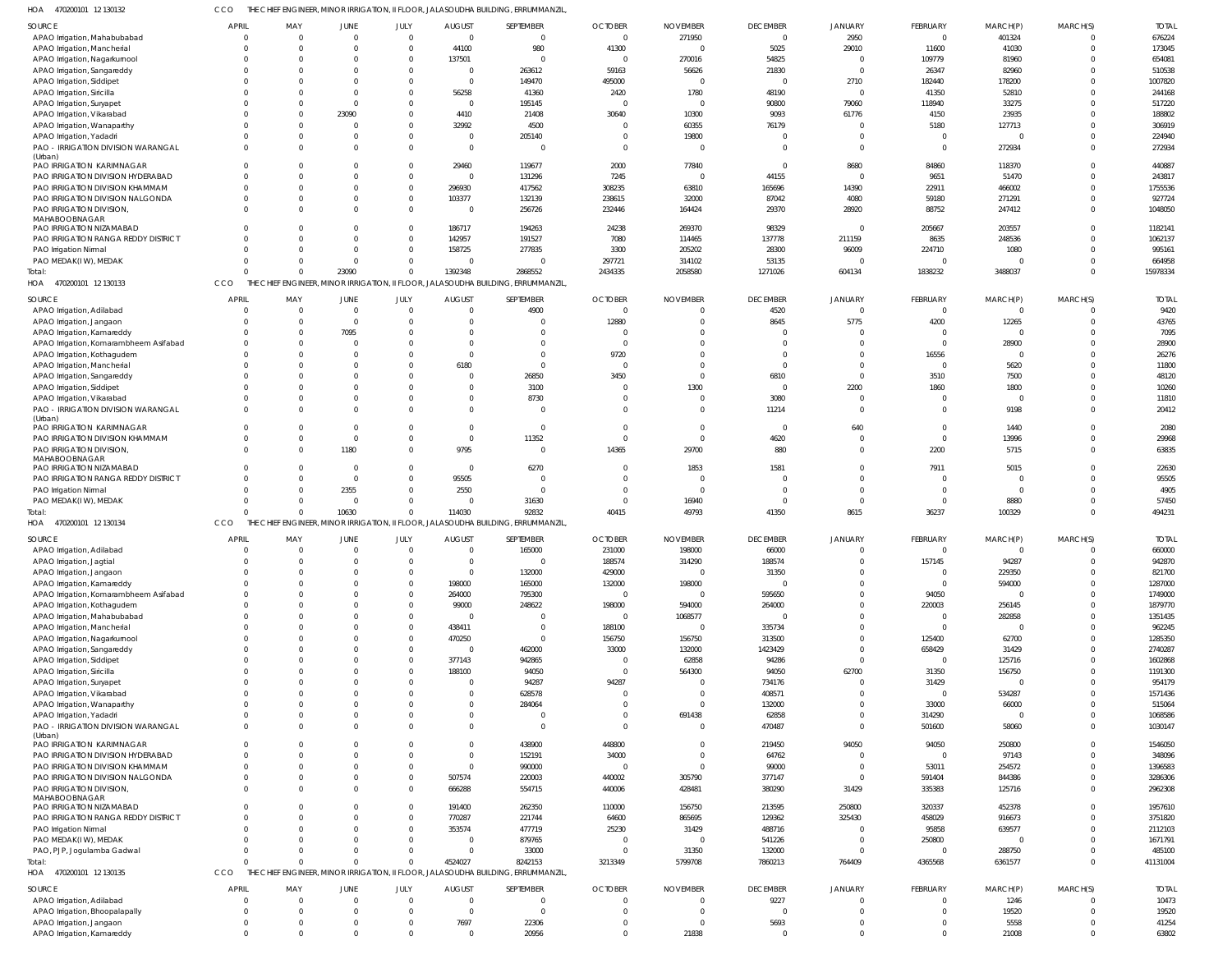470200101 12 130132 HOA CCO THE CHIEF ENGINEER, MINOR IRRIGATION, II FLOOR, JALASOUDHA BUILDING, ERRUMMANZIL,

| <b>SOURCE</b>                                          | <b>APRIL</b>                | MAY                      | JUNE             | JULY                     | <b>AUGUST</b>         | SEPTEMBER                                                                        | <b>OCTOBER</b>             | <b>NOVEMBER</b>         | <b>DECEMBER</b>    | <b>JANUARY</b>             | <b>FEBRUARY</b>          | MARCH(P)      | MARCH(S)             | <b>TOTAI</b>   |
|--------------------------------------------------------|-----------------------------|--------------------------|------------------|--------------------------|-----------------------|----------------------------------------------------------------------------------|----------------------------|-------------------------|--------------------|----------------------------|--------------------------|---------------|----------------------|----------------|
| APAO Irrigation, Mahabubabad                           | $\overline{0}$              | $\overline{0}$           | $\Omega$         | $\overline{0}$           | $\overline{0}$        | $\mathbf 0$                                                                      | $\overline{0}$             | 271950                  | $\overline{0}$     | 2950                       | $\mathbf 0$              | 401324        |                      | 676224         |
|                                                        | $\Omega$                    | $\Omega$                 |                  | $\overline{0}$           | 44100                 | 980                                                                              | 41300                      | $\Omega$                | 5025               | 29010                      |                          |               | $\Omega$             | 173045         |
| APAO Irrigation, Mancherial                            |                             |                          |                  |                          |                       |                                                                                  |                            |                         |                    |                            | 11600                    | 41030         |                      |                |
| APAO Irrigation, Nagarkurnool                          | $\Omega$                    | $\Omega$                 |                  | $\Omega$                 | 137501                | $\mathbf 0$                                                                      | $\overline{0}$             | 270016                  | 54825              |                            | 109779                   | 81960         | $\Omega$             | 654081         |
| APAO Irrigation, Sangareddy                            | $\Omega$                    | $\Omega$                 |                  | $\Omega$                 | $\overline{0}$        | 263612                                                                           | 59163                      | 56626                   | 21830              | $\cap$                     | 26347                    | 82960         |                      | 510538         |
| APAO Irrigation, Siddipet                              |                             | $\Omega$                 |                  | $\Omega$                 | $\Omega$              | 149470                                                                           | 495000                     | $\overline{0}$          | $\Omega$           | 2710                       | 182440                   | 178200        |                      | 1007820        |
| APAO Irrigation, Siricilla                             |                             | $\Omega$                 |                  | $\Omega$                 | 56258                 | 41360                                                                            | 2420                       | 1780                    | 48190              |                            | 41350                    | 52810         |                      | 244168         |
| APAO Irrigation, Suryapet                              |                             | $\Omega$                 | $\Omega$         | $\Omega$                 | $\mathsf{C}$          | 195145                                                                           | $\overline{0}$             | $\overline{0}$          | 90800              | 79060                      | 118940                   | 33275         |                      | 517220         |
| APAO Irrigation, Vikarabad                             |                             | $\Omega$                 | 23090            | $\Omega$                 | 4410                  | 21408                                                                            | 30640                      | 10300                   | 9093               | 61776                      | 4150                     | 23935         | $\cap$               | 188802         |
| APAO Irrigation, Wanaparthy                            |                             | $\Omega$                 | $\Omega$         | $\Omega$                 | 32992                 | 4500                                                                             | $\overline{0}$             | 60355                   | 76179              |                            | 5180                     | 127713        |                      | 306919         |
| APAO Irrigation, Yadadri                               | $\Omega$                    | $\Omega$                 |                  | $\Omega$                 | $\overline{0}$        | 205140                                                                           | $\overline{0}$             | 19800                   |                    | $\Omega$                   | $\Omega$                 |               | $\Omega$             | 224940         |
| PAO - IRRIGATION DIVISION WARANGAL                     | $\Omega$                    | $\Omega$                 |                  | $\Omega$                 | $\Omega$              | $\Omega$                                                                         | $\overline{0}$             | $\Omega$                | $\Omega$           | $\Omega$                   | $\mathbf 0$              | 272934        | $\Omega$             | 272934         |
| (Urban)                                                |                             |                          |                  |                          |                       |                                                                                  |                            |                         |                    |                            |                          |               |                      |                |
| PAO IRRIGATION KARIMNAGAR                              | $\Omega$                    | $\Omega$                 |                  | $\Omega$                 | 29460                 | 119677                                                                           | 2000                       | 77840                   | $\Omega$           | 8680                       | 84860                    | 118370        | $\Omega$             | 440887         |
| PAO IRRIGATION DIVISION HYDERABAD                      | $\Omega$                    | $\Omega$                 |                  | $\Omega$                 | $\mathsf{C}$          | 131296                                                                           | 7245                       | $\overline{0}$          | 44155              |                            | 9651                     | 51470         | $\Omega$             | 243817         |
| PAO IRRIGATION DIVISION KHAMMAM                        | $\Omega$                    | $\Omega$                 |                  | $\Omega$                 | 296930                | 417562                                                                           | 308235                     | 63810                   | 165696             | 14390                      | 22911                    | 466002        | $\Omega$             | 1755536        |
| PAO IRRIGATION DIVISION NALGONDA                       | $\Omega$                    | $\Omega$                 |                  | $\mathbf 0$              | 103377                | 132139                                                                           | 238615                     | 32000                   | 87042              | 4080                       | 59180                    | 271291        |                      | 927724         |
| PAO IRRIGATION DIVISION,                               | $\Omega$                    | $\Omega$                 |                  | $\Omega$                 | - 0                   | 256726                                                                           | 232446                     | 164424                  | 29370              | 28920                      | 88752                    | 247412        | $\Omega$             | 1048050        |
| MAHABOOBNAGAR                                          |                             |                          |                  |                          |                       |                                                                                  |                            |                         |                    |                            |                          |               |                      |                |
| PAO IRRIGATION NIZAMABAD                               | $\Omega$                    | $\Omega$                 |                  | $\Omega$                 | 186717                | 194263                                                                           | 24238                      | 269370                  | 98329              |                            | 205667                   | 203557        |                      | 1182141        |
| PAO IRRIGATION RANGA REDDY DISTRICT                    | $\Omega$                    | $\Omega$                 |                  | $\overline{0}$           | 142957                | 191527                                                                           | 7080                       | 114465                  | 137778             | 211159                     | 8635                     | 248536        |                      | 1062137        |
| PAO Irrigation Nirmal                                  | $\Omega$                    | $\Omega$                 |                  | $\Omega$                 | 158725                | 277835                                                                           | 3300                       | 205202                  | 28300              | 96009                      | 224710                   | 1080          |                      | 995161         |
| PAO MEDAK(IW), MEDAK                                   | $\Omega$                    | $\Omega$                 |                  | $\Omega$                 |                       | $\Omega$                                                                         | 297721                     | 314102                  | 53135              |                            | $\Omega$                 |               | $\Omega$             | 664958         |
| Total:                                                 | $\Omega$                    | $\Omega$                 | 23090            | $\mathbf 0$              | 1392348               | 2868552                                                                          | 2434335                    | 2058580                 | 1271026            | 604134                     | 1838232                  | 3488037       | $\Omega$             | 15978334       |
| HOA 470200101 12 130133                                | CCO                         |                          |                  |                          |                       | THE CHIEF ENGINEER, MINOR IRRIGATION, II FLOOR, JALASOUDHA BUILDING, ERRUMMANZIL |                            |                         |                    |                            |                          |               |                      |                |
|                                                        |                             |                          |                  |                          |                       |                                                                                  |                            |                         |                    |                            |                          |               |                      |                |
| <b>SOURCE</b>                                          | <b>APRIL</b>                | MAY                      | JUNE             | JULY                     | <b>AUGUST</b>         | SEPTEMBER                                                                        | <b>OCTOBER</b>             | <b>NOVEMBER</b>         | <b>DECEMBER</b>    | <b>JANUARY</b>             | <b>FEBRUARY</b>          | MARCH(P)      | MARCH(S)             | <b>TOTAL</b>   |
| APAO Irrigation, Adilabad                              | $\Omega$                    | $\overline{0}$           | $\Omega$         | $\Omega$                 |                       | 4900                                                                             | $\overline{0}$             | 0                       | 4520               |                            | $\mathbf 0$              | $\mathbf 0$   | $\Omega$             | 9420           |
| APAO Irrigation, Jangaon                               | $\Omega$                    | $\Omega$                 | $\Omega$         | $\Omega$                 |                       | 0                                                                                | 12880                      | $\Omega$                | 8645               | 5775                       | 4200                     | 12265         | $\Omega$             | 43765          |
| APAO Irrigation, Kamareddy                             | $\Omega$                    | $\mathbf{0}$             | 7095             | $\Omega$                 |                       | $\Omega$                                                                         | $\overline{0}$             | $\Omega$                |                    |                            | $\Omega$                 | $\Omega$      | $\cap$               | 7095           |
| APAO Irrigation, Komarambheem Asifabad                 | $\Omega$                    | $\Omega$                 |                  | $\Omega$                 |                       | $\Omega$                                                                         | $\overline{0}$             | $\Omega$                | $\Omega$           | $\Omega$                   | $\mathbf 0$              | 28900         | $\Omega$             | 28900          |
| APAO Irrigation, Kothagudem                            | $\Omega$                    | $\Omega$                 |                  | $\Omega$                 |                       | $\Omega$                                                                         | 9720                       | $\Omega$                | $\Omega$           | $\Omega$                   | 16556                    | $\mathbf 0$   | $\cap$               | 26276          |
| APAO Irrigation, Mancherial                            | $\Omega$                    | $\Omega$                 |                  | $\Omega$                 | 6180                  | $\Omega$                                                                         | $\overline{0}$             | $\Omega$                | $\Omega$           | $\Omega$                   | $\mathbf 0$              | 5620          | $\cap$               | 11800          |
| APAO Irrigation, Sangareddy                            | $\Omega$                    | $\Omega$                 |                  | <sup>0</sup>             |                       | 26850                                                                            | 3450                       | $\Omega$                | 6810               | $\Omega$                   | 3510                     | 7500          | $\cap$               | 48120          |
| APAO Irrigation, Siddipet                              | $\Omega$                    | $\Omega$                 |                  | $\Omega$                 |                       | 3100                                                                             | $\overline{0}$             | 1300                    | $\Omega$           | 2200                       | 1860                     | 1800          | $\cap$               | 10260          |
| APAO Irrigation, Vikarabad                             | $\Omega$                    | $\Omega$                 |                  | $\Omega$                 |                       | 8730                                                                             | - 0                        | $\Omega$                | 3080               |                            | $\Omega$                 | $\mathbf 0$   | $\Omega$             | 11810          |
| PAO - IRRIGATION DIVISION WARANGAL                     | $\Omega$                    | $\Omega$                 |                  | $\Omega$                 |                       | $\mathbf 0$                                                                      | $\overline{0}$             | $\Omega$                | 11214              | $\Omega$                   | $\Omega$                 | 9198          | $\Omega$             | 20412          |
| (Urban)                                                |                             |                          |                  |                          |                       |                                                                                  |                            |                         |                    |                            |                          |               |                      |                |
| PAO IRRIGATION KARIMNAGAR                              | $\Omega$                    | $\Omega$                 | $\cap$           | $\Omega$                 |                       | $\mathbf 0$                                                                      | $\overline{0}$             | $\Omega$                | $\Omega$           | 640                        | $\mathbf 0$              | 1440          | $\Omega$             | 2080           |
| PAO IRRIGATION DIVISION KHAMMAM                        | $\Omega$                    | $\overline{0}$           | $\Omega$         | $\mathbf{0}$             | $\mathsf{C}$          | 11352                                                                            | $\overline{0}$             | $\overline{0}$          | 4620               | $\Omega$                   | $\mathbf 0$              | 13996         | $\Omega$             | 29968          |
| PAO IRRIGATION DIVISION,                               | $\Omega$                    | $\Omega$                 | 1180             | $\Omega$                 | 9795                  | $\mathbf 0$                                                                      | 14365                      | 29700                   | 880                | $\Omega$                   | 2200                     | 5715          | $\Omega$             | 63835          |
| MAHABOOBNAGAR                                          |                             |                          |                  |                          |                       |                                                                                  |                            |                         |                    |                            |                          |               |                      |                |
| PAO IRRIGATION NIZAMABAD                               | $\Omega$                    | $\Omega$                 | $\cap$           | $\Omega$                 | - 0                   | 6270                                                                             | $\overline{0}$             | 1853                    | 1581               | $\Omega$                   | 7911                     | 5015          | $\cap$               | 22630          |
| PAO IRRIGATION RANGA REDDY DISTRICT                    | $\Omega$                    | $\Omega$                 | $\Omega$         | $\overline{0}$           | 95505                 | 0                                                                                | $\Omega$                   | $\Omega$                | $\cap$             | $\Omega$                   | $\Omega$                 |               | $\cap$               | 95505          |
| PAO Irrigation Nirmal                                  | $\Omega$                    | $\Omega$                 | 2355             | $\mathbf{0}$             | 2550                  | $\mathbf 0$                                                                      | $\overline{0}$             | $\overline{0}$          | $\Omega$           | $\Omega$                   | $\mathbf 0$              | $\mathbf 0$   | $\Omega$             | 4905           |
|                                                        |                             |                          |                  |                          |                       |                                                                                  |                            |                         |                    |                            |                          |               |                      |                |
|                                                        | $\Omega$                    | $\Omega$                 | $\Omega$         | $\Omega$                 |                       |                                                                                  | $\overline{0}$             |                         | $\Omega$           | $\Omega$                   | $\Omega$                 |               | $\Omega$             |                |
| PAO MEDAK(IW), MEDAK                                   | $\Omega$                    |                          |                  |                          |                       | 31630                                                                            |                            | 16940                   |                    |                            |                          | 8880          |                      | 57450          |
| Total:                                                 |                             | $\Omega$                 | 10630            | $\Omega$                 | 114030                | 92832                                                                            | 40415                      | 49793                   | 41350              | 8615                       | 36237                    | 100329        | $\Omega$             | 494231         |
| HOA 470200101 12 130134                                | CCO                         |                          |                  |                          |                       | THE CHIEF ENGINEER, MINOR IRRIGATION, II FLOOR, JALASOUDHA BUILDING, ERRUMMANZIL |                            |                         |                    |                            |                          |               |                      |                |
| <b>SOURCE</b>                                          | <b>APRIL</b>                | MAY                      | JUNE             | JULY                     | <b>AUGUST</b>         | SEPTEMBER                                                                        | <b>OCTOBER</b>             | <b>NOVEMBER</b>         | <b>DECEMBER</b>    | <b>JANUARY</b>             | <b>FEBRUARY</b>          | MARCH(P)      | MARCH(S)             | <b>TOTAI</b>   |
| APAO Irrigation, Adilabad                              | $\overline{0}$              | $\overline{0}$           | $\Omega$         | $\mathbf{0}$             | $\Omega$              | 165000                                                                           | 231000                     | 198000                  | 66000              | $\Omega$                   | $\mathbf 0$              |               | $\Omega$             | 660000         |
| APAO Irrigation, Jagtial                               | $\mathbf{0}$                | $\overline{0}$           | $\overline{0}$   | $\overline{0}$           | $\mathbf{0}$          | $\Omega$                                                                         | 188574                     | 314290                  | 188574             |                            | 157145                   | 94287         | $\overline{0}$       | 942870         |
| APAO Irrigation, Jangaon                               | $\Omega$                    | $\Omega$                 |                  | $\Omega$                 | $\Omega$              | 132000                                                                           | 429000                     | $\overline{0}$          | 31350              |                            | $\mathbf 0$              | 229350        |                      | 821700         |
| APAO Irrigation, Kamareddy                             | $\mathbf 0$                 | $\Omega$                 |                  | $\mathbf 0$              | 198000                | 165000                                                                           | 132000                     | 198000                  |                    | $\Omega$                   | $\Omega$                 | 594000        | $\Omega$             | 1287000        |
| APAO Irrigation, Komarambheem Asifabad                 | $\Omega$                    | $\Omega$                 |                  | $\Omega$                 | 264000                | 795300                                                                           | $\overline{0}$             | 0                       | 595650             | $\Omega$                   | 94050                    | $\mathbf 0$   | $\Omega$             | 1749000        |
|                                                        | $\Omega$                    | $\Omega$                 |                  | $\Omega$                 |                       |                                                                                  |                            |                         |                    | $\Omega$                   |                          |               | $\Omega$             |                |
| APAO Irrigation, Kothagudem                            | $\Omega$                    | $\Omega$                 |                  | $\Omega$                 | 99000<br>$\mathsf{C}$ | 248622<br>$\Omega$                                                               | 198000<br>$\overline{0}$   | 594000                  | 264000<br>$\Omega$ | $\Omega$                   | 220003<br>$\overline{0}$ | 256145        |                      | 1879770        |
| APAO Irrigation, Mahabubabad                           |                             |                          |                  |                          |                       |                                                                                  |                            | 1068577                 |                    |                            |                          | 282858        | $\Omega$             | 1351435        |
| APAO Irrigation, Mancherial                            | $\Omega$                    | $\Omega$                 |                  | $\Omega$                 | 438411                | $\Omega$                                                                         | 188100                     | 0                       | 335734             | $\Omega$                   | $\Omega$                 | $\Omega$      |                      | 962245         |
| APAO Irrigation, Nagarkurnool                          | $\Omega$                    | $\Omega$                 |                  | $\Omega$                 | 470250                | $\Omega$                                                                         | 156750                     | 156750                  | 313500             | $\Omega$<br>$\Omega$       | 125400                   | 62700         | $\Omega$             | 1285350        |
| APAO Irrigation, Sangareddy                            | $\Omega$                    | $\Omega$                 |                  | $\Omega$                 | - 0                   | 462000                                                                           | 33000                      | 132000                  | 1423429            | $\Omega$                   | 658429                   | 31429         |                      | 2740287        |
| APAO Irrigation, Siddipet                              | $\Omega$                    | $\Omega$                 |                  | $\Omega$                 | 377143                | 942865                                                                           | $\overline{0}$             | 62858                   | 94286              |                            | $\mathbf 0$              | 125716        |                      | 1602868        |
| APAO Irrigation, Siricilla                             | $\Omega$                    | $\Omega$                 |                  | $\Omega$                 | 188100                | 94050                                                                            | $\overline{0}$             | 564300                  | 94050              | 62700                      | 31350                    | 156750        |                      | 1191300        |
| APAO Irrigation, Suryapet                              | $\Omega$                    | $\Omega$                 |                  | $\Omega$                 |                       | 94287                                                                            | 94287                      | $\Omega$                | 734176             | $\Omega$                   | 31429                    | $\mathbf 0$   | $\Omega$             | 954179         |
| APAO Irrigation, Vikarabad                             | $\Omega$                    | $\Omega$                 |                  | $\Omega$                 | $\mathsf{C}$          | 628578                                                                           | $\overline{0}$             | $\Omega$                | 408571             | $\Omega$                   | $\Omega$                 | 534287        | $\Omega$             | 1571436        |
| APAO Irrigation, Wanaparthy                            | $\Omega$                    | $\Omega$                 |                  | $\Omega$                 |                       | 284064                                                                           | $\overline{0}$             | $\Omega$                | 132000             | $\Omega$                   | 33000                    | 66000         |                      | 515064         |
| APAO Irrigation, Yadadri                               | $\Omega$                    | $\Omega$                 |                  | $\Omega$                 | $\Omega$              |                                                                                  | $\overline{0}$             | 691438                  | 62858              | $\Omega$                   | 314290                   |               |                      | 1068586        |
| PAO - IRRIGATION DIVISION WARANGAL                     | $\Omega$                    | $\Omega$                 |                  | $\Omega$                 |                       | $\Omega$                                                                         | $\Omega$                   | $\Omega$                | 470487             | $\Omega$                   | 501600                   | 58060         | $\Omega$             | 1030147        |
| (Urban)                                                |                             |                          |                  |                          |                       |                                                                                  |                            |                         |                    |                            |                          |               |                      |                |
| PAO IRRIGATION KARIMNAGAR                              | $\Omega$                    | $\Omega$                 |                  | $\Omega$                 |                       | 438900                                                                           | 448800                     | $\Omega$                | 219450             | 94050                      | 94050                    | 250800        | $\Omega$             | 1546050        |
| PAO IRRIGATION DIVISION HYDERABAD                      | $\Omega$                    | $\Omega$                 |                  | $\Omega$                 | $\Omega$              | 152191                                                                           | 34000                      | $\overline{0}$          | 64762              | $\Omega$                   | $\mathbf 0$              | 97143         | $\Omega$             | 348096         |
| PAO IRRIGATION DIVISION KHAMMAM                        | $\Omega$                    | $\Omega$                 |                  | $\Omega$                 | $\Omega$              | 990000                                                                           | $\overline{0}$             | $\Omega$                | 99000              | $\Omega$                   | 53011                    | 254572        | $\Omega$             | 1396583        |
| PAO IRRIGATION DIVISION NALGONDA                       | $\Omega$                    | $\Omega$                 |                  | 0                        | 507574                | 220003                                                                           | 440002                     | 305790                  | 377147             | $\Omega$                   | 591404                   | 844386        | $\Omega$             | 3286306        |
| PAO IRRIGATION DIVISION,                               | $\Omega$                    | $\Omega$                 |                  | $\Omega$                 | 666288                | 554715                                                                           | 440006                     | 428481                  | 380290             | 31429                      | 335383                   | 125716        | $\Omega$             | 2962308        |
| MAHABOOBNAGAR                                          |                             |                          |                  |                          |                       |                                                                                  |                            |                         |                    |                            |                          |               |                      |                |
| PAO IRRIGATION NIZAMABAD                               | $\Omega$                    | $\Omega$                 |                  | $\Omega$                 | 191400                | 262350                                                                           | 110000                     | 156750                  | 213595             | 250800                     | 320337                   | 452378        |                      | 1957610        |
| PAO IRRIGATION RANGA REDDY DISTRICT                    | $\Omega$                    | $\Omega$                 |                  | $\Omega$                 | 770287                | 221744                                                                           | 64600                      | 865695                  | 129362             | 325430                     | 458029                   | 916673        | $\Omega$             | 3751820        |
| PAO Irrigation Nirmal                                  | $\Omega$                    | $\Omega$                 |                  | $\Omega$                 | 353574                | 477719                                                                           | 25230                      | 31429                   | 488716             | - 0                        | 95858                    | 639577        | $\Omega$             | 2112103        |
| PAO MEDAK(IW), MEDAK                                   | $\Omega$                    | $\Omega$                 |                  | $\Omega$                 | $\Omega$              | 879765                                                                           | $\overline{0}$             | $\Omega$                | 541226             | $\Omega$                   | 250800                   | $\Omega$      | $\Omega$             | 1671791        |
| PAO, PJP, Jogulamba Gadwal                             | $\Omega$                    | $\Omega$                 | $\Omega$         | $\Omega$                 | $\Omega$              | 33000                                                                            | $\overline{0}$             | 31350                   | 132000             | $\Omega$                   | $\mathbf 0$              | 288750        | $\Omega$             | 485100         |
| Total:                                                 | $\Omega$                    | $\Omega$                 | $\Omega$         | $\Omega$                 | 4524027               | 8242153                                                                          | 3213349                    | 5799708                 | 7860213            | 764409                     | 4365568                  | 6361577       | $\Omega$             | 41131004       |
| HOA 470200101 12 130135                                | CCO                         |                          |                  |                          |                       | THE CHIEF ENGINEER, MINOR IRRIGATION, II FLOOR, JALASOUDHA BUILDING, ERRUMMANZIL |                            |                         |                    |                            |                          |               |                      |                |
|                                                        |                             |                          |                  |                          |                       |                                                                                  |                            |                         |                    |                            |                          |               |                      |                |
| <b>SOURCE</b>                                          | <b>APRIL</b>                | MAY                      | JUNE<br>$\Omega$ | JULY                     | <b>AUGUST</b>         | SEPTEMBER                                                                        | <b>OCTOBER</b>             | <b>NOVEMBER</b>         | <b>DECEMBER</b>    | <b>JANUARY</b><br>$\Omega$ | FEBRUARY                 | MARCH(P)      | MARCH(S)             | <b>TOTAL</b>   |
| APAO Irrigation, Adilabad                              | $\overline{0}$              | $\overline{0}$           |                  | $\overline{0}$           | $\mathsf{C}$          | $\mathbf 0$                                                                      | $\overline{0}$             | $\overline{0}$          | 9227               |                            | $\mathbf 0$              | 1246          | $\Omega$             | 10473          |
| APAO Irrigation, Bhoopalapally                         | $\overline{0}$              | 0                        |                  | $\overline{0}$           | $\mathsf{C}$          | $\mathbf 0$                                                                      | $\circ$                    | $\mathbf 0$             | $\Omega$           | $\Omega$                   | $\mathbf 0$              | 19520         | $\Omega$             | 19520          |
| APAO Irrigation, Jangaon<br>APAO Irrigation, Kamareddy | $\mathbf{0}$<br>$\mathbf 0$ | $\mathbf{0}$<br>$\Omega$ |                  | $\mathbf{0}$<br>$\Omega$ | 7697<br>$\mathsf{C}$  | 22306<br>20956                                                                   | $\overline{0}$<br>$\Omega$ | $\overline{0}$<br>21838 | 5693<br>$\Omega$   | $\Omega$<br>$\Omega$       | 0<br>$\Omega$            | 5558<br>21008 | $\Omega$<br>$\Omega$ | 41254<br>63802 |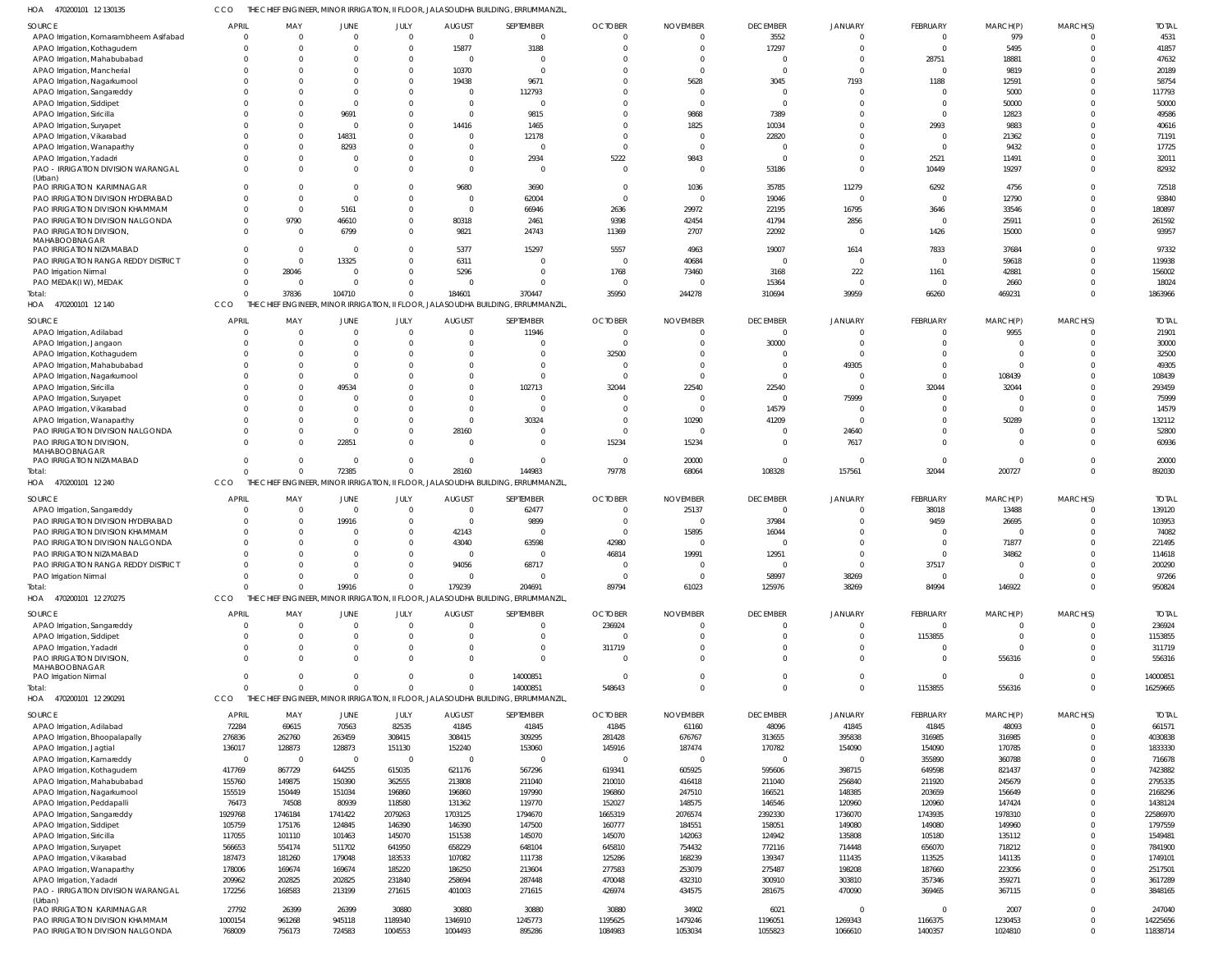470200101 12 130135 HOA CCO THE CHIEF ENGINEER, MINOR IRRIGATION, II FLOOR, JALASOUDHA BUILDING, ERRUMMANZIL,

| <b>SOURCE</b>                                                  | <b>APRIL</b>     | MAY                     | JUNE           | JULY             | <b>AUGUST</b>    | SEPTEMBER                                                                         | <b>OCTOBER</b>           | <b>NOVEMBER</b>          | <b>DECEMBER</b>  | <b>JANUARY</b>   | <b>FEBRUARY</b>  | MARCH(P)         | MARCH(S)     | <b>TOTAL</b>       |
|----------------------------------------------------------------|------------------|-------------------------|----------------|------------------|------------------|-----------------------------------------------------------------------------------|--------------------------|--------------------------|------------------|------------------|------------------|------------------|--------------|--------------------|
| APAO Irrigation, Komarambheem Asifabad                         | $\Omega$         | $\overline{0}$          | $\Omega$       | $\Omega$         | $\overline{0}$   | $\overline{0}$                                                                    | $\Omega$                 | $\Omega$                 | 3552             |                  | $\overline{0}$   | 979              | $\Omega$     | 4531               |
| APAO Irrigation, Kothagudem                                    | $\Omega$         | $\Omega$                | $\Omega$       | $\Omega$         | 15877            | 3188                                                                              | $\Omega$                 | $\Omega$                 | 17297            |                  | $\Omega$         | 5495             | $\Omega$     | 41857              |
| APAO Irrigation, Mahabubabad                                   |                  | $\Omega$                |                | $\Omega$         | $\overline{0}$   | $\Omega$                                                                          | $\Omega$                 | $\Omega$                 |                  |                  | 28751            | 18881            | $\Omega$     | 47632              |
| APAO Irrigation, Mancherial                                    |                  | $\Omega$                |                |                  | 10370            | $\Omega$                                                                          |                          | $\Omega$                 |                  |                  | $\Omega$         | 9819             | $\Omega$     | 20189              |
| APAO Irrigation, Nagarkurnool                                  |                  | $\Omega$                |                |                  | 19438            | 9671                                                                              | $\Omega$                 | 5628                     | 3045             | 7193             | 1188             | 12591            | $\Omega$     | 58754              |
| APAO Irrigation, Sangareddy                                    |                  | $\Omega$                | - 0            |                  | 0                | 112793                                                                            |                          | $\Omega$                 |                  |                  | $\Omega$         | 5000             | $\Omega$     | 117793             |
| APAO Irrigation, Siddipet                                      |                  | $\Omega$                | $\Omega$       |                  | $\Omega$         | $\Omega$                                                                          |                          | $\Omega$                 | $\Omega$         |                  | <sup>0</sup>     | 50000            | $\Omega$     | 50000              |
| APAO Irrigation, Siricilla                                     |                  | $\Omega$                | 9691           |                  | $\Omega$         | 9815                                                                              | $\Omega$                 | 9868                     | 7389             |                  | $\Omega$         | 12823            | $\Omega$     | 49586              |
| APAO Irrigation, Suryapet                                      |                  | $\Omega$                | $\Omega$       |                  | 14416            | 1465                                                                              | $\Omega$                 | 1825                     | 10034            |                  | 2993             | 9883             | $\Omega$     | 40616              |
| APAO Irrigation, Vikarabad                                     |                  | $\Omega$                | 14831          |                  | $\Omega$         | 12178                                                                             | $\Omega$                 | $\Omega$                 | 22820            |                  | $\Omega$         | 21362            | $\Omega$     | 71191              |
| APAO Irrigation, Wanaparthy                                    |                  | $\Omega$                | 8293           |                  | $\Omega$         | $\Omega$                                                                          | $\Omega$                 | $\Omega$                 |                  |                  | $\Omega$         | 9432             | $\Omega$     | 17725              |
| APAO Irrigation, Yadadri                                       |                  | $\Omega$                | $\Omega$       |                  | $\Omega$         | 2934                                                                              | 5222                     | 9843                     |                  |                  | 2521             | 11491            | $\Omega$     | 32011              |
| PAO - IRRIGATION DIVISION WARANGAL<br>(Urban)                  |                  | $\Omega$                | $\Omega$       |                  | $\Omega$         | $\Omega$                                                                          | $\overline{0}$           | $\overline{0}$           | 53186            |                  | 10449            | 19297            | $\Omega$     | 82932              |
| PAO IRRIGATION KARIMNAGAR                                      |                  | $\Omega$                | $\Omega$       |                  | 9680             | 3690                                                                              | $\Omega$                 | 1036                     | 35785            | 11279            | 6292             | 4756             | $\Omega$     | 72518              |
| PAO IRRIGATION DIVISION HYDERABAD                              |                  | $\Omega$                | $\Omega$       |                  | $\Omega$         | 62004                                                                             | $\Omega$                 | $\Omega$                 | 19046            |                  | $\Omega$         | 12790            | $\Omega$     | 93840              |
| PAO IRRIGATION DIVISION KHAMMAM                                |                  | $\Omega$                | 5161           |                  | $\Omega$         | 66946                                                                             | 2636                     | 29972                    | 22195            | 16795            | 3646             | 33546            | $\Omega$     | 180897             |
| PAO IRRIGATION DIVISION NALGONDA                               |                  | 9790                    | 46610          |                  | 80318            | 2461                                                                              | 9398                     | 42454                    | 41794            | 2856             | $\Omega$         | 25911            | $\Omega$     | 261592             |
| PAO IRRIGATION DIVISION,                                       |                  | $\Omega$                | 6799           |                  | 9821             | 24743                                                                             | 11369                    | 2707                     | 22092            |                  | 1426             | 15000            | $\Omega$     | 93957              |
| MAHABOOBNAGAR<br>PAO IRRIGATION NIZAMABAD                      |                  | $\Omega$                | $\Omega$       |                  | 5377             | 15297                                                                             | 5557                     | 4963                     | 19007            | 1614             | 7833             | 37684            | $\Omega$     | 97332              |
| PAO IRRIGATION RANGA REDDY DISTRICT                            |                  | $\Omega$                | 13325          |                  | 6311             |                                                                                   | $\overline{0}$           | 40684                    |                  |                  | $\Omega$         | 59618            | $\Omega$     | 119938             |
| PAO Irrigation Nirmal                                          |                  | 28046                   | $\Omega$       |                  | 5296             | 0                                                                                 | 1768                     | 73460                    | 3168             | 222              | 1161             | 42881            | $\Omega$     | 156002             |
| PAO MEDAK(IW), MEDAK                                           |                  | - 0                     | $\Omega$       |                  | $\Omega$         |                                                                                   | $\overline{0}$           | $\Omega$                 | 15364            |                  | $\Omega$         | 2660             | $\Omega$     | 18024              |
| Total:                                                         | $\Omega$         |                         | 104710         |                  | 184601           | 370447                                                                            | 35950                    |                          |                  | 39959            |                  |                  | $\Omega$     |                    |
|                                                                | CCO              | 37836                   |                |                  |                  |                                                                                   |                          | 244278                   | 310694           |                  | 66260            | 469231           |              | 1863966            |
| HOA 470200101 12 140                                           |                  |                         |                |                  |                  | THE CHIEF ENGINEER, MINOR IRRIGATION, II FLOOR, JALASOUDHA BUILDING, ERRUMMANZIL, |                          |                          |                  |                  |                  |                  |              |                    |
| SOURCE                                                         | APRIL            | MAY                     | JUNE           | JULY             | <b>AUGUST</b>    | SEPTEMBER                                                                         | <b>OCTOBER</b>           | <b>NOVEMBER</b>          | <b>DECEMBER</b>  | <b>JANUARY</b>   | <b>FEBRUARY</b>  | MARCH(P)         | MARCH(S)     | <b>TOTAL</b>       |
| APAO Irrigation, Adilabad                                      |                  | $\overline{\mathbf{0}}$ | - 0            | $\Omega$         | $\overline{0}$   | 11946                                                                             | $\circ$                  | $\Omega$                 | $\Omega$         |                  | $\overline{0}$   | 9955             | 0            | 21901              |
| APAO Irrigation, Jangaon                                       |                  | $\Omega$                | $\Omega$       |                  | $\Omega$         | $\Omega$                                                                          | $\overline{0}$           | $\Omega$                 | 30000            |                  | $\Omega$         | $\Omega$         | $\Omega$     | 30000              |
| APAO Irrigation, Kothagudem                                    |                  | $\Omega$                | -0             |                  | $\Omega$         | $\Omega$                                                                          | 32500                    | $\Omega$                 |                  |                  | $\Omega$         | $\Omega$         | $\Omega$     | 32500              |
| APAO Irrigation, Mahabubabad                                   |                  | $\Omega$                | $\Omega$       |                  | $\Omega$         | $\Omega$                                                                          | $\circ$                  | $\Omega$                 | $\Omega$         | 49305            | $\Omega$         | 0                | $\Omega$     | 49305              |
| APAO Irrigation, Nagarkurnool                                  |                  | $\Omega$                | $\Omega$       |                  | $\Omega$         | $\Omega$                                                                          | $\overline{0}$           | $\Omega$                 | $\Omega$         |                  | $\Omega$         | 108439           | $\Omega$     | 108439             |
| APAO Irrigation, Siricilla                                     |                  | $\Omega$                | 49534          |                  | $\Omega$         | 102713                                                                            | 32044                    | 22540                    | 22540            |                  | 32044            | 32044            | $\Omega$     | 293459             |
| APAO Irrigation, Suryapet                                      |                  | $\Omega$                | $\Omega$       |                  | $\Omega$         | <sup>0</sup>                                                                      | $\circ$                  | $\Omega$                 | - 0              | 75999            | $\Omega$         |                  | $\Omega$     | 75999              |
| APAO Irrigation, Vikarabad                                     |                  | $\Omega$                | $\Omega$       |                  | $\Omega$         | $\Omega$                                                                          | $\Omega$                 | $\overline{\phantom{0}}$ | 14579            |                  | $\Omega$         | $\Omega$         | $\Omega$     | 14579              |
| APAO Irrigation, Wanaparthy                                    |                  | $\Omega$                | $\Omega$       |                  | $\Omega$         | 30324                                                                             | $\Omega$                 | 10290                    | 41209            | $\mathsf{C}$     | $\Omega$         | 50289            | $\Omega$     | 132112             |
| PAO IRRIGATION DIVISION NALGONDA                               |                  | $\Omega$                | $\Omega$       | $\Omega$         | 28160            | $\Omega$                                                                          | $\overline{0}$           | $\overline{\phantom{0}}$ | $\Omega$         | 24640            | <sup>0</sup>     | $\Omega$         | $\Omega$     | 52800              |
| PAO IRRIGATION DIVISION,                                       |                  | $\Omega$                | 22851          | $\Omega$         | $\Omega$         | $\Omega$                                                                          | 15234                    | 15234                    | $\Omega$         | 7617             | $\Omega$         | $\Omega$         | $\Omega$     | 60936              |
| MAHABOOBNAGAR                                                  |                  |                         |                |                  |                  |                                                                                   |                          |                          |                  |                  |                  |                  |              |                    |
| PAO IRRIGATION NIZAMABAD                                       | $\Omega$         | $\Omega$                | - 0            | $\Omega$         | $\overline{0}$   | $\Omega$                                                                          | $\overline{\phantom{0}}$ | 20000                    | $\Omega$         |                  | $\Omega$         | $\Omega$         | $\Omega$     | 20000              |
| Total:                                                         | $\Omega$         | $\Omega$                | 72385          |                  | 28160            | 144983                                                                            | 79778                    | 68064                    | 108328           | 157561           | 32044            | 200727           | $\Omega$     | 892030             |
| HOA 470200101 12 240                                           | CCO              |                         |                |                  |                  | THE CHIEF ENGINEER, MINOR IRRIGATION, II FLOOR, JALASOUDHA BUILDING, ERRUMMANZIL, |                          |                          |                  |                  |                  |                  |              |                    |
| SOURCE                                                         | APRIL            | MAY                     | JUNE           | <b>JULY</b>      | <b>AUGUST</b>    | SEPTEMBER                                                                         | <b>OCTOBER</b>           | <b>NOVEMBER</b>          | <b>DECEMBER</b>  | JANUARY          | FEBRUARY         | MARCH(P)         | MARCH(S)     | <b>TOTAL</b>       |
| APAO Irrigation, Sangareddy                                    |                  | $\Omega$                | $\Omega$       | $\Omega$         | $\Omega$         | 62477                                                                             | $\Omega$                 | 25137                    |                  |                  | 38018            | 13488            | $\Omega$     | 139120             |
| PAO IRRIGATION DIVISION HYDERABAD                              |                  | $\Omega$                | 19916          |                  | $\overline{0}$   | 9899                                                                              | $\overline{0}$           | $\overline{0}$           | 37984            |                  | 9459             | 26695            | $\Omega$     | 103953             |
| PAO IRRIGATION DIVISION KHAMMAM                                |                  | $\Omega$                | - 0            |                  | 42143            |                                                                                   | $\Omega$                 | 15895                    | 16044            |                  |                  |                  |              | 74082              |
| PAO IRRIGATION DIVISION NALGONDA                               |                  |                         |                |                  | 43040            | 63598                                                                             | 42980                    | $\Omega$                 |                  |                  |                  | 71877            |              | 221495             |
| PAO IRRIGATION NIZAMABAD                                       |                  | $\Omega$                | $\Omega$       |                  | $\Omega$         | <sup>0</sup>                                                                      | 46814                    | 19991                    | 12951            |                  | $\Omega$         | 34862            | $\Omega$     | 114618             |
| PAO IRRIGATION RANGA REDDY DISTRICT                            |                  |                         |                |                  | 94056            | 68717                                                                             |                          |                          |                  |                  | 37517            |                  |              | 200290             |
| PAO Irrigation Nirmal                                          | $\Omega$         | $\Omega$                | $\Omega$       |                  | $\Omega$         | $\Omega$                                                                          | $\overline{0}$           | $\Omega$                 | 58997            | 38269            | $\mathbf{0}$     | $\Omega$         | $\Omega$     | 97266              |
| Total:                                                         | $\Omega$         | $\Omega$                | 19916          | $\Omega$         | 179239           | 204691                                                                            | 89794                    | 61023                    | 125976           | 38269            | 84994            | 146922           | $\mathbf 0$  | 950824             |
| HOA 470200101 12 270275                                        | CCO              |                         |                |                  |                  | THE CHIEF ENGINEER, MINOR IRRIGATION, II FLOOR, JALASOUDHA BUILDING, ERRUMMANZIL, |                          |                          |                  |                  |                  |                  |              |                    |
|                                                                |                  |                         |                |                  |                  |                                                                                   |                          |                          |                  |                  |                  |                  |              |                    |
| SOURCE                                                         | <b>APRIL</b>     | MAY                     | <b>JUNE</b>    | JULY             | <b>AUGUST</b>    | SEPTEMBER                                                                         | <b>OCTOBER</b>           |                          |                  |                  |                  |                  |              | <b>TOTAL</b>       |
| APAO Irrigation, Sangareddy                                    | $\Omega$         | $\overline{0}$          |                |                  |                  |                                                                                   |                          | <b>NOVEMBER</b>          | <b>DECEMBER</b>  | <b>JANUARY</b>   | <b>FEBRUARY</b>  | MARCH(P)         | MARCH(S)     |                    |
| APAO Irrigation, Siddipet                                      |                  |                         | $\overline{0}$ | $\Omega$         | $\Omega$         | $\mathbf{0}$                                                                      | 236924                   | $\overline{0}$           | $\Omega$         |                  | $\overline{0}$   | $\mathbf{0}$     | $\mathbf{0}$ | 236924             |
| APAO Irrigation, Yadadri                                       | $\Omega$         | $\Omega$                | $\Omega$       | $\Omega$         | $\Omega$         | $\Omega$                                                                          | $\overline{0}$           | $\Omega$                 | $\Omega$         | $\Omega$         | 1153855          | $\overline{0}$   | $\mathbf 0$  | 1153855            |
|                                                                | $\Omega$         | $\overline{0}$          | $\Omega$       | $\Omega$         | $\mathbf 0$      | $\mathbf 0$                                                                       | 311719                   | $\overline{0}$           | $\Omega$         | $\Omega$         | $\overline{0}$   | $\Omega$         | $\mathbf 0$  | 311719             |
| PAO IRRIGATION DIVISION,                                       | $\Omega$         | $\Omega$                | $\Omega$       |                  | $\Omega$         | $\Omega$                                                                          | $\overline{0}$           | $\Omega$                 | $\Omega$         | $\Omega$         | $\Omega$         | 556316           | $\Omega$     | 556316             |
| MAHABOOBNAGAR                                                  |                  |                         |                |                  |                  |                                                                                   |                          |                          |                  |                  |                  |                  |              |                    |
| PAO Irrigation Nirmal                                          | $\overline{0}$   | $\Omega$                | $\Omega$       | $\Omega$         | $\Omega$         | 14000851                                                                          | $\overline{\phantom{0}}$ | $\overline{0}$           | $\Omega$         | $\Omega$         | $\mathbf{0}$     | $\overline{0}$   | $\Omega$     | 14000851           |
| Total:                                                         | $\Omega$         | $\Omega$                | $\Omega$       |                  | $\Omega$         | 14000851                                                                          | 548643                   | $\Omega$                 | $\Omega$         | $\Omega$         | 1153855          | 556316           | $\mathbf 0$  | 16259665           |
| HOA 470200101 12 290291                                        | CCO              |                         |                |                  |                  | THE CHIEF ENGINEER, MINOR IRRIGATION, II FLOOR, JALASOUDHA BUILDING, ERRUMMANZIL, |                          |                          |                  |                  |                  |                  |              |                    |
| <b>SOURCE</b>                                                  | <b>APRIL</b>     | MAY                     | JUNE           | JULY             | <b>AUGUST</b>    | SEPTEMBER                                                                         | <b>OCTOBER</b>           | <b>NOVEMBER</b>          | <b>DECEMBER</b>  | <b>JANUARY</b>   | <b>FEBRUARY</b>  | MARCH(P)         | MARCH(S)     | <b>TOTAL</b>       |
| APAO Irrigation, Adilabad                                      | 72284            | 69615                   | 70563          | 82535            | 41845            | 41845                                                                             | 41845                    | 61160                    | 48096            | 41845            | 41845            | 48093            | $\Omega$     | 661571             |
| APAO Irrigation, Bhoopalapally                                 | 276836           | 262760                  | 263459         | 308415           | 308415           | 309295                                                                            | 281428                   | 676767                   | 313655           | 395838           | 316985           | 316985           | $\Omega$     | 4030838            |
| APAO Irrigation, Jagtial                                       | 136017           | 128873                  | 128873         | 151130           | 152240           | 153060                                                                            | 145916                   | 187474                   | 170782           | 154090           | 154090           | 170785           | $\Omega$     | 1833330            |
| APAO Irrigation, Kamareddy                                     | $\Omega$         | $\overline{\mathbf{0}}$ | $\overline{0}$ | $\Omega$         | $\Omega$         | $\Omega$                                                                          | $^{\circ}$               | $\Omega$                 | $\Omega$         |                  | 355890           | 360788           | $\Omega$     | 716678             |
|                                                                | 417769           | 867729                  | 644255         | 615035           | 621176           | 567296                                                                            | 619341                   | 605925                   | 595606           | 398715           | 649598           | 821437           | $\Omega$     | 7423882            |
| APAO Irrigation, Kothagudem<br>APAO Irrigation, Mahabubabad    | 155760           | 149875                  | 150390         | 362555           | 213808           | 211040                                                                            | 210010                   | 416418                   | 211040           | 256840           | 211920           | 245679           | $\Omega$     | 2795335            |
| APAO Irrigation, Nagarkurnool                                  | 155519           | 150449                  | 151034         | 196860           | 196860           | 197990                                                                            | 196860                   | 247510                   | 166521           | 148385           | 203659           | 156649           | $\Omega$     | 2168296            |
| APAO Irrigation, Peddapalli                                    | 76473            | 74508                   | 80939          | 118580           | 131362           | 119770                                                                            | 152027                   | 148575                   | 146546           | 120960           | 120960           | 147424           | $\Omega$     | 1438124            |
| APAO Irrigation, Sangareddy                                    | 1929768          | 1746184                 | 1741422        | 2079263          | 1703125          | 1794670                                                                           | 1665319                  | 2076574                  | 2392330          | 1736070          | 1743935          | 1978310          | $\Omega$     | 22586970           |
|                                                                |                  | 175176                  | 124845         | 146390           | 146390           | 147500                                                                            | 160777                   | 184551                   | 158051           | 149080           | 149080           | 149960           | $\Omega$     | 1797559            |
| APAO Irrigation, Siddipet                                      | 105759<br>117055 | 101110                  | 101463         | 145070           | 151538           | 145070                                                                            | 145070                   | 142063                   | 124942           | 135808           | 105180           | 135112           | $\Omega$     | 1549481            |
| APAO Irrigation, Siricilla                                     |                  | 554174                  | 511702         | 641950           |                  | 648104                                                                            | 645810                   | 754432                   |                  | 714448           | 656070           | 718212           | $\Omega$     | 7841900            |
| APAO Irrigation, Suryapet                                      | 566653           |                         | 179048         |                  | 658229           | 111738                                                                            |                          |                          | 772116           |                  |                  |                  | $\Omega$     |                    |
| APAO Irrigation, Vikarabad                                     | 187473<br>178006 | 181260<br>169674        | 169674         | 183533<br>185220 | 107082<br>186250 | 213604                                                                            | 125286<br>277583         | 168239<br>253079         | 139347<br>275487 | 111435<br>198208 | 113525<br>187660 | 141135<br>223056 | $\Omega$     | 1749101<br>2517501 |
| APAO Irrigation, Wanaparthy                                    | 209962           | 202825                  | 202825         | 231840           | 258694           | 287448                                                                            | 470048                   | 432310                   | 300910           | 303810           | 357346           | 359271           | $\Omega$     | 3617289            |
| APAO Irrigation, Yadadri<br>PAO - IRRIGATION DIVISION WARANGAL |                  | 168583                  | 213199         | 271615           | 401003           | 271615                                                                            | 426974                   | 434575                   | 281675           | 470090           | 369465           | 367115           | $\Omega$     | 3848165            |
| (Urban)                                                        | 172256           |                         |                |                  |                  |                                                                                   |                          |                          |                  |                  |                  |                  |              |                    |
| PAO IRRIGATION KARIMNAGAR                                      | 27792            | 26399                   | 26399          | 30880            | 30880            | 30880                                                                             | 30880                    | 34902                    | 6021             |                  | $\Omega$         | 2007             | $\Omega$     | 247040             |
| PAO IRRIGATION DIVISION KHAMMAM                                | 1000154          | 961268                  | 945118         | 1189340          | 1346910          | 1245773                                                                           | 1195625                  | 1479246                  | 1196051          | 1269343          | 1166375          | 1230453          | $\Omega$     | 14225656           |
| PAO IRRIGATION DIVISION NALGONDA                               | 768009           | 756173                  | 724583         | 1004553          | 1004493          | 895286                                                                            | 1084983                  | 1053034                  | 1055823          | 1066610          | 1400357          | 1024810          | $\mathbf 0$  | 11838714           |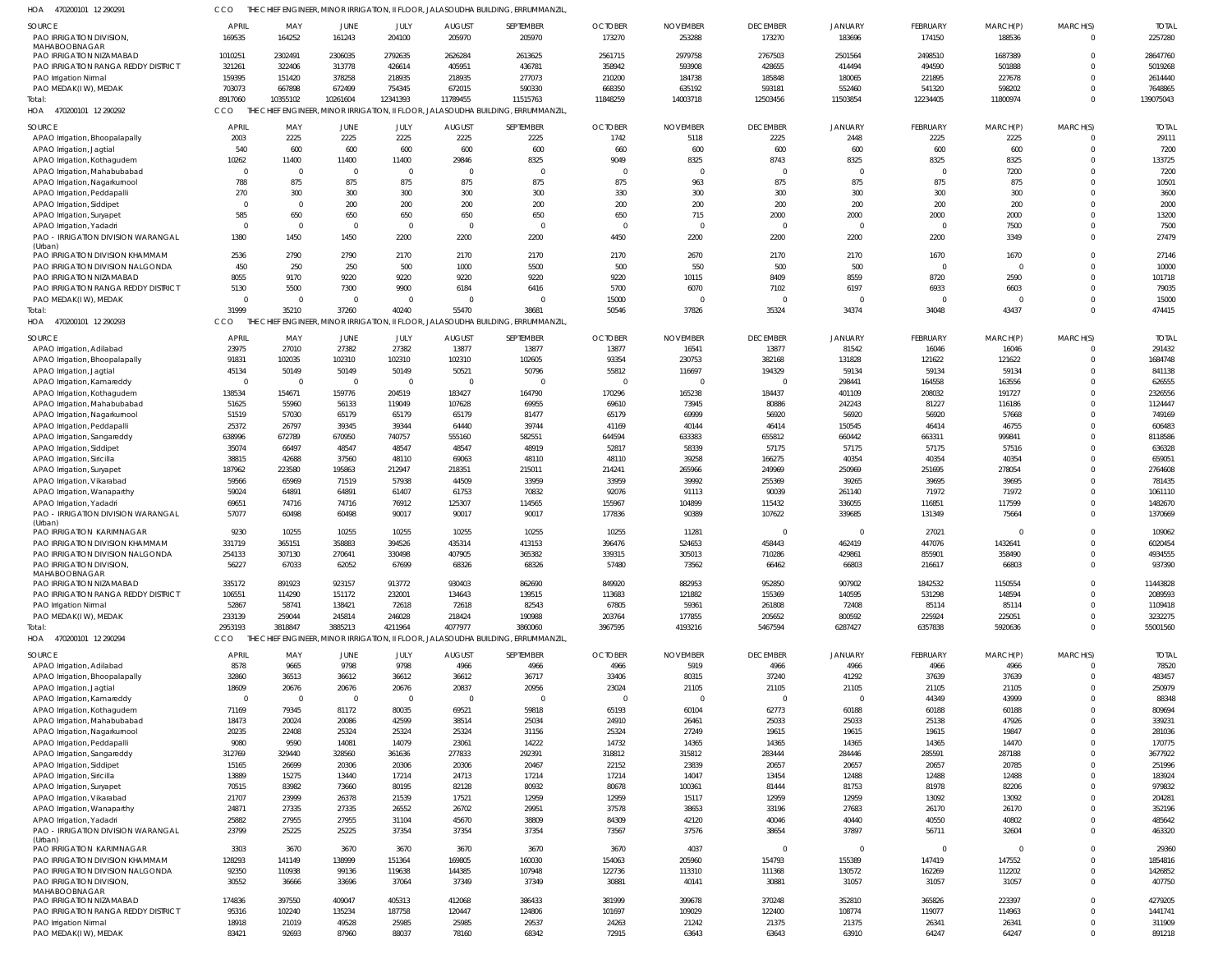470200101 12 290291 HOA CCO THE CHIEF ENGINEER, MINOR IRRIGATION, II FLOOR, JALASOUDHA BUILDING, ERRUMMANZIL,

| <b>SOURCE</b><br>PAO IRRIGATION DIVISION                     | APRIL<br>169535 | MAY<br>164252   | JUNE<br>161243  | JULY<br>204100                              | <b>AUGUST</b><br>205970 | SEPTEMBER<br>205970                                                               | <b>OCTOBER</b><br>173270 | <b>NOVEMBER</b><br>253288 | <b>DECEMBER</b><br>173270 | <b>JANUARY</b><br>183696 | FEBRUARY<br>174150 | MARCH(P)<br>188536 | MARCH(S)<br>0 | <b>TOTAL</b><br>2257280 |
|--------------------------------------------------------------|-----------------|-----------------|-----------------|---------------------------------------------|-------------------------|-----------------------------------------------------------------------------------|--------------------------|---------------------------|---------------------------|--------------------------|--------------------|--------------------|---------------|-------------------------|
| MAHABOOBNAGAR<br>PAO IRRIGATION NIZAMABAD                    | 1010251         | 2302491         | 2306035         | 2792635                                     | 2626284                 | 2613625                                                                           | 2561715                  | 2979758                   | 2767503                   | 2501564                  | 2498510            | 1687389            |               | 28647760                |
| PAO IRRIGATION RANGA REDDY DISTRICT                          | 321261          | 322406          | 313778          | 426614                                      | 405951                  | 436781                                                                            | 358942                   | 593908                    | 428655                    | 414494                   | 494590             | 501888             |               | 5019268                 |
| PAO Irrigation Nirmal                                        | 159395          | 151420          | 378258          | 218935                                      | 218935                  | 277073                                                                            | 210200                   | 184738                    | 185848                    | 180065                   | 221895             | 227678             |               | 2614440                 |
| PAO MEDAK(IW), MEDAK                                         | 703073          | 667898          | 672499          | 754345                                      | 672015                  | 590330                                                                            | 668350                   | 635192                    | 593181                    | 552460                   | 541320             | 598202             |               | 7648865                 |
| Total:                                                       | 8917060         | 10355102        | 10261604        | 12341393                                    | 11789455                | 11515763                                                                          | 11848259                 | 14003718                  | 12503456                  | 11503854                 | 12234405           | 11800974           | $\Omega$      | 139075043               |
| HOA<br>470200101 12 290292                                   | CCO             |                 |                 | CHIEF ENGINEER, MINOR IRRIGATION, II FLOOR, |                         | JALASOUDHA BUILDING, ERRUMMANZIL                                                  |                          |                           |                           |                          |                    |                    |               |                         |
| SOURCE                                                       | <b>APRIL</b>    | MAY             | JUNE            | JULY                                        | <b>AUGUST</b>           | SEPTEMBER                                                                         | <b>OCTOBER</b>           | <b>NOVEMBER</b>           | <b>DECEMBER</b>           | <b>JANUARY</b>           | FEBRUARY           | MARCH(P)           | MARCH(S)      | <b>TOTAL</b>            |
| APAO Irrigation, Bhoopalapally                               | 2003            | 2225            | 2225            | 2225                                        | 2225                    | 2225                                                                              | 1742                     | 5118                      | 2225                      | 2448                     | 2225               | 2225               |               | 29111                   |
| APAO Irrigation, Jagtial                                     | 540             | 600             | 600             | 600                                         | 600                     | 600                                                                               | 660                      | 600                       | 600                       | 600                      | 600                | 600                | $\Omega$      | 7200                    |
| APAO Irrigation, Kothagudem                                  | 10262           | 11400           | 11400           | 11400                                       | 29846                   | 8325                                                                              | 9049                     | 8325                      | 8743                      | 8325                     | 8325               | 8325               | $\Omega$      | 133725                  |
| APAO Irrigation, Mahabubabad                                 | $\circ$         | $\overline{0}$  | $\Omega$        | $\mathbf 0$                                 | - 0                     | $\Omega$                                                                          | 0                        | $\Omega$                  | $\Omega$                  | $\Omega$                 | $\Omega$           | 7200               |               | 7200                    |
| APAO Irrigation, Nagarkurnool                                | 788             | 875             | 875             | 875                                         | 875                     | 875                                                                               | 875                      | 963                       | 875                       | 875                      | 875                | 875                |               | 10501                   |
| APAO Irrigation, Peddapalli                                  | 270             | 300             | 300             | 300                                         | 300                     | 300                                                                               | 330                      | 300                       | 300                       | 300                      | 300                | 300                |               | 3600                    |
| APAO Irrigation, Siddipet                                    | $\Omega$        | $\overline{0}$  | 200             | 200                                         | 200                     | 200                                                                               | 200                      | 200                       | 200                       | 200                      | 200                | 200                |               | 2000                    |
| APAO Irrigation, Suryapet                                    | 585             | 650             | 650             | 650                                         | 650                     | 650                                                                               | 650                      | 715                       | 2000                      | 2000                     | 2000               | 2000               | $\Omega$      | 13200                   |
| APAO Irrigation, Yadadri                                     | $\overline{0}$  | $\overline{0}$  | $\Omega$        | $\Omega$                                    | - 0                     | $\Omega$                                                                          | 0                        | $\overline{\phantom{a}}$  | $\Omega$                  | $\Omega$                 | $\Omega$           | 7500               |               | 7500                    |
| PAO - IRRIGATION DIVISION WARANGAL                           | 1380            | 1450            | 1450            | 2200                                        | 2200                    | 2200                                                                              | 4450                     | 2200                      | 2200                      | 2200                     | 2200               | 3349               |               | 27479                   |
| (Urban)<br>PAO IRRIGATION DIVISION KHAMMAM                   | 2536            | 2790            | 2790            | 2170                                        | 2170                    | 2170                                                                              | 2170                     | 2670                      | 2170                      | 2170                     | 1670               | 1670               |               | 27146                   |
| PAO IRRIGATION DIVISION NALGONDA                             | 450             | 250             | 250             | 500                                         | 1000                    | 5500                                                                              | 500                      | 550                       | 500                       | 500                      | $\Omega$           |                    | $\Omega$      | 10000                   |
| PAO IRRIGATION NIZAMABAD                                     | 8055            | 9170            | 9220            | 9220                                        | 9220                    | 9220                                                                              | 9220                     | 10115                     | 8409                      | 8559                     | 8720               | 2590               |               | 101718                  |
| PAO IRRIGATION RANGA REDDY DISTRICT                          | 5130            | 5500            | 7300            | 9900                                        | 6184                    | 6416                                                                              | 5700                     | 6070                      | 7102                      | 6197                     | 6933               | 6603               |               | 79035                   |
| PAO MEDAK(IW), MEDAK                                         | $\sqrt{ }$      | - 0             | $\Omega$        | $\Omega$                                    | $\Omega$                | $\Omega$                                                                          | 15000                    | - 0                       | $\Omega$                  | $\Omega$                 | $\Omega$           |                    |               | 15000                   |
| Total:                                                       | 31999           | 35210           | 37260           | 40240                                       | 55470                   | 38681                                                                             | 50546                    | 37826                     | 35324                     | 34374                    | 34048              | 43437              | $\Omega$      | 474415                  |
| HOA<br>470200101 12 290293                                   | CCO             |                 |                 |                                             |                         | THE CHIEF ENGINEER, MINOR IRRIGATION, II FLOOR, JALASOUDHA BUILDING, ERRUMMANZIL  |                          |                           |                           |                          |                    |                    |               |                         |
|                                                              |                 |                 |                 |                                             |                         |                                                                                   |                          |                           |                           |                          |                    |                    |               |                         |
| SOURCE                                                       | <b>APRIL</b>    | MAY             | JUNE            | JULY                                        | <b>AUGUST</b>           | SEPTEMBER                                                                         | <b>OCTOBER</b>           | <b>NOVEMBER</b>           | <b>DECEMBER</b>           | JANUARY                  | FEBRUARY           | MARCH(P)           | MARCH(S)      | <b>TOTAL</b>            |
| APAO Irrigation, Adilabad                                    | 23975<br>91831  | 27010           | 27382           | 27382<br>102310                             | 13877                   | 13877                                                                             | 13877<br>93354           | 16541                     | 13877<br>382168           | 81542                    | 16046              | 16046              |               | 291432<br>1684748       |
| APAO Irrigation, Bhoopalapally<br>APAO Irrigation, Jagtial   | 45134           | 102035<br>50149 | 102310<br>50149 | 50149                                       | 102310<br>50521         | 102605<br>50796                                                                   | 55812                    | 230753<br>116697          | 194329                    | 131828<br>59134          | 121622<br>59134    | 121622<br>59134    |               | 841138                  |
| APAO Irrigation, Kamareddy                                   | $\overline{0}$  | $\Omega$        | $\overline{0}$  |                                             |                         | $\Omega$                                                                          | $\mathbf 0$              | $\Omega$                  |                           | 298441                   | 164558             | 163556             |               | 626555                  |
| APAO Irrigation, Kothagudem                                  | 138534          | 154671          | 159776          | 204519                                      | 183427                  | 164790                                                                            | 170296                   | 165238                    | 184437                    | 401109                   | 208032             | 191727             |               | 2326556                 |
| APAO Irrigation, Mahabubabad                                 | 51625           | 55960           | 56133           | 119049                                      | 107628                  | 69955                                                                             | 69610                    | 73945                     | 80886                     | 242243                   | 81227              | 116186             |               | 1124447                 |
| APAO Irrigation, Nagarkurnool                                | 51519           | 57030           | 65179           | 65179                                       | 65179                   | 81477                                                                             | 65179                    | 69999                     | 56920                     | 56920                    | 56920              | 57668              |               | 749169                  |
| APAO Irrigation, Peddapalli                                  | 25372           | 26797           | 39345           | 39344                                       | 64440                   | 39744                                                                             | 41169                    | 40144                     | 46414                     | 150545                   | 46414              | 46755              |               | 606483                  |
| APAO Irrigation, Sangareddy                                  | 638996          | 672789          | 670950          | 740757                                      | 555160                  | 582551                                                                            | 644594                   | 633383                    | 655812                    | 660442                   | 663311             | 999841             |               | 8118586                 |
| APAO Irrigation, Siddipet                                    | 35074           | 66497           | 48547           | 48547                                       | 48547                   | 48919                                                                             | 52817                    | 58339                     | 57175                     | 57175                    | 57175              | 57516              |               | 636328                  |
| APAO Irrigation, Siricilla                                   | 38815           | 42688           | 37560           | 48110                                       | 69063                   | 48110                                                                             | 48110                    | 39258                     | 166275                    | 40354                    | 40354              | 40354              |               | 659051                  |
| APAO Irrigation, Suryapet                                    | 187962          | 223580          | 195863          | 212947                                      | 218351                  | 215011                                                                            | 214241                   | 265966                    | 249969                    | 250969                   | 251695             | 278054             |               | 2764608                 |
| APAO Irrigation, Vikarabad                                   | 59566           | 65969           | 71519           | 57938                                       | 44509                   | 33959                                                                             | 33959                    | 39992                     | 255369                    | 39265                    | 39695              | 39695              |               | 781435                  |
| APAO Irrigation, Wanaparthy                                  | 59024           | 64891           | 64891           | 61407                                       | 61753                   | 70832                                                                             | 92076                    | 91113                     | 90039                     | 261140                   | 71972              | 71972              |               | 1061110                 |
| APAO Irrigation, Yadadri                                     | 69651           | 74716           | 74716           | 76912                                       | 125307                  | 114565                                                                            | 155967                   | 104899                    | 115432                    | 336055                   | 116851             | 117599             |               | 1482670                 |
| PAO - IRRIGATION DIVISION WARANGAL                           | 57077           | 60498           | 60498           | 90017                                       | 90017                   | 90017                                                                             | 177836                   | 90389                     | 107622                    | 339685                   | 131349             | 75664              |               | 1370669                 |
| (Urban)                                                      |                 |                 | 10255           |                                             |                         |                                                                                   |                          |                           |                           |                          |                    |                    |               |                         |
| PAO IRRIGATION KARIMNAGAR<br>PAO IRRIGATION DIVISION KHAMMAM | 9230<br>331719  | 10255<br>365151 | 358883          | 10255<br>394526                             | 10255<br>435314         | 10255<br>413153                                                                   | 10255<br>396476          | 11281<br>524653           | 458443                    | $\epsilon$<br>462419     | 27021<br>447076    | 1432641            |               | 109062<br>6020454       |
| PAO IRRIGATION DIVISION NALGONDA                             | 254133          | 307130          | 270641          | 330498                                      | 407905                  | 365382                                                                            | 339315                   | 305013                    | 710286                    | 429861                   | 855901             | 358490             |               | 4934555                 |
| PAO IRRIGATION DIVISION                                      | 56227           | 67033           | 62052           | 67699                                       | 68326                   | 68326                                                                             | 57480                    | 73562                     | 66462                     | 66803                    | 216617             | 66803              |               | 937390                  |
| MAHABOOBNAGAR                                                |                 |                 |                 |                                             |                         |                                                                                   |                          |                           |                           |                          |                    |                    |               |                         |
| PAO IRRIGATION NIZAMABAD                                     | 335172          | 891923          | 923157          | 913772                                      | 930403                  | 862690                                                                            | 849920                   | 882953                    | 952850                    | 907902                   | 1842532            | 1150554            | 0             | 11443828                |
| PAO IRRIGATION RANGA REDDY DISTRICT                          | 106551          | 114290          | 151172          | 232001                                      | 134643                  | 139515                                                                            | 113683                   | 121882                    | 155369                    | 140595                   | 531298             | 148594             |               | 2089593                 |
| PAO Irrigation Nirmal                                        | 52867           | 58741           | 138421          | 72618                                       | 72618                   | 82543                                                                             | 67805                    | 59361                     | 261808                    | 72408                    | 85114              | 85114              |               | 1109418                 |
| PAO MEDAK(IW), MEDAK                                         | 233139          | 259044          | 245814          | 246028                                      | 218424                  | 190988                                                                            | 203764                   | 177855                    | 205652                    | 800592                   | 225924             | 225051             |               | 3232275                 |
| Total:                                                       | 2953193         | 3818847         | 3885213         | 4211964                                     | 4077977                 | 3860060                                                                           | 3967595                  | 4193216                   | 5467594                   | 6287427                  | 6357838            | 5920636            | $\Omega$      | 55001560                |
| HOA 470200101 12 290294                                      | CCO             |                 |                 |                                             |                         | THE CHIEF ENGINEER, MINOR IRRIGATION, II FLOOR, JALASOUDHA BUILDING, ERRUMMANZIL, |                          |                           |                           |                          |                    |                    |               |                         |
| SOURCE                                                       | <b>APRIL</b>    | MAY             | JUNE            | JULY                                        | <b>AUGUST</b>           | SEPTEMBER                                                                         | <b>OCTOBER</b>           | <b>NOVEMBER</b>           | <b>DECEMBER</b>           | JANUARY                  | FEBRUARY           | MARCH(P)           | MARCH(S)      | <b>TOTAL</b>            |
| APAO Irrigation, Adilabad                                    | 8578            | 9665            | 9798            | 9798                                        | 4966                    | 4966                                                                              | 4966                     | 5919                      | 4966                      | 4966                     | 4966               | 4966               |               | 78520                   |
| APAO Irrigation, Bhoopalapally                               | 32860           | 36513           | 36612           | 36612                                       | 36612                   | 36717                                                                             | 33406                    | 80315                     | 37240                     | 41292                    | 37639              | 37639              | $\Omega$      | 483457                  |
| APAO Irrigation, Jagtial                                     | 18609           | 20676           | 20676           | 20676                                       | 20837                   | 20956                                                                             | 23024                    | 21105                     | 21105                     | 21105                    | 21105              | 21105              |               | 250979                  |
| APAO Irrigation, Kamareddy                                   | $\overline{0}$  | $\overline{0}$  | $\overline{0}$  | $\mathbf 0$                                 | - 0                     | $\overline{0}$                                                                    | 0                        | $\overline{\phantom{a}}$  | $\Omega$                  | $\Omega$                 | 44349              | 43999              |               | 88348                   |
| APAO Irrigation, Kothagudem                                  | 71169           | 79345           | 81172           | 80035                                       | 69521                   | 59818                                                                             | 65193                    | 60104                     | 62773                     | 60188                    | 60188              | 60188              |               | 809694                  |
| APAO Irrigation, Mahabubabad                                 | 18473           | 20024           | 20086           | 42599                                       | 38514                   | 25034                                                                             | 24910                    | 26461                     | 25033                     | 25033                    | 25138              | 47926              |               | 339231                  |
| APAO Irrigation, Nagarkurnool                                | 20235           | 22408           | 25324           | 25324                                       | 25324                   | 31156                                                                             | 25324                    | 27249                     | 19615                     | 19615                    | 19615              | 19847              |               | 281036                  |
| APAO Irrigation, Peddapalli                                  | 9080<br>312769  | 9590<br>329440  | 14081<br>328560 | 14079<br>361636                             | 23061<br>277833         | 14222<br>292391                                                                   | 14732<br>318812          | 14365<br>315812           | 14365<br>283444           | 14365<br>284446          | 14365<br>285591    | 14470<br>287188    |               | 170775<br>3677922       |
| APAO Irrigation, Sangareddy<br>APAO Irrigation, Siddipet     | 15165           | 26699           | 20306           | 20306                                       | 20306                   | 20467                                                                             | 22152                    | 23839                     | 20657                     | 20657                    | 20657              | 20785              |               | 251996                  |
|                                                              | 13889           | 15275           | 13440           | 17214                                       | 24713                   | 17214                                                                             | 17214                    | 14047                     | 13454                     | 12488                    | 12488              | 12488              |               | 183924                  |
| APAO Irrigation, Siricilla<br>APAO Irrigation, Suryapet      | 70515           | 83982           | 73660           | 80195                                       | 82128                   | 80932                                                                             | 80678                    | 100361                    | 81444                     | 81753                    | 81978              | 82206              |               | 979832                  |
| APAO Irrigation, Vikarabad                                   | 21707           | 23999           | 26378           | 21539                                       | 17521                   | 12959                                                                             | 12959                    | 15117                     | 12959                     | 12959                    | 13092              | 13092              |               | 204281                  |
| APAO Irrigation, Wanaparthy                                  | 24871           | 27335           | 27335           | 26552                                       | 26702                   | 29951                                                                             | 37578                    | 38653                     | 33196                     | 27683                    | 26170              | 26170              | $\Omega$      | 352196                  |
| APAO Irrigation, Yadadri                                     | 25882           | 27955           | 27955           | 31104                                       | 45670                   | 38809                                                                             | 84309                    | 42120                     | 40046                     | 40440                    | 40550              | 40802              |               | 485642                  |
| PAO - IRRIGATION DIVISION WARANGAL                           | 23799           | 25225           | 25225           | 37354                                       | 37354                   | 37354                                                                             | 73567                    | 37576                     | 38654                     | 37897                    | 56711              | 32604              |               | 463320                  |
| (Urban)                                                      |                 |                 |                 |                                             |                         |                                                                                   |                          |                           |                           |                          |                    |                    |               |                         |
| PAO IRRIGATION KARIMNAGAR                                    | 3303            | 3670            | 3670            | 3670                                        | 3670                    | 3670                                                                              | 3670                     | 4037                      | $\Omega$                  | -0                       | $\Omega$           | $\Omega$           | 0             | 29360                   |
| PAO IRRIGATION DIVISION KHAMMAM                              | 128293          | 141149          | 138999          | 151364                                      | 169805                  | 160030                                                                            | 154063                   | 205960                    | 154793                    | 155389                   | 147419             | 147552             | $\Omega$      | 1854816                 |
| PAO IRRIGATION DIVISION NALGONDA                             | 92350           | 110938          | 99136           | 119638                                      | 144385                  | 107948                                                                            | 122736                   | 113310                    | 111368                    | 130572                   | 162269             | 112202             | $\Omega$      | 1426852                 |
| PAO IRRIGATION DIVISION,<br>MAHABOOBNAGAR                    | 30552           | 36666           | 33696           | 37064                                       | 37349                   | 37349                                                                             | 30881                    | 40141                     | 30881                     | 31057                    | 31057              | 31057              | 0             | 407750                  |
| PAO IRRIGATION NIZAMABAD                                     | 174836          | 397550          | 409047          | 405313                                      | 412068                  | 386433                                                                            | 381999                   | 399678                    | 370248                    | 352810                   | 365826             | 223397             | 0             | 4279205                 |
| PAO IRRIGATION RANGA REDDY DISTRICT                          | 95316           | 102240          | 135234          | 187758                                      | 120447                  | 124806                                                                            | 101697                   | 109029                    | 122400                    | 108774                   | 119077             | 114963             | 0             | 1441741                 |
| PAO Irrigation Nirmal                                        | 18918           | 21019           | 49528           | 25985                                       | 25985                   | 29537                                                                             | 24263                    | 21242                     | 21375                     | 21375                    | 26341              | 26341              | 0             | 311909                  |
| PAO MEDAK(IW), MEDAK                                         | 83421           | 92693           | 87960           | 88037                                       | 78160                   | 68342                                                                             | 72915                    | 63643                     | 63643                     | 63910                    | 64247              | 64247              | 0             | 891218                  |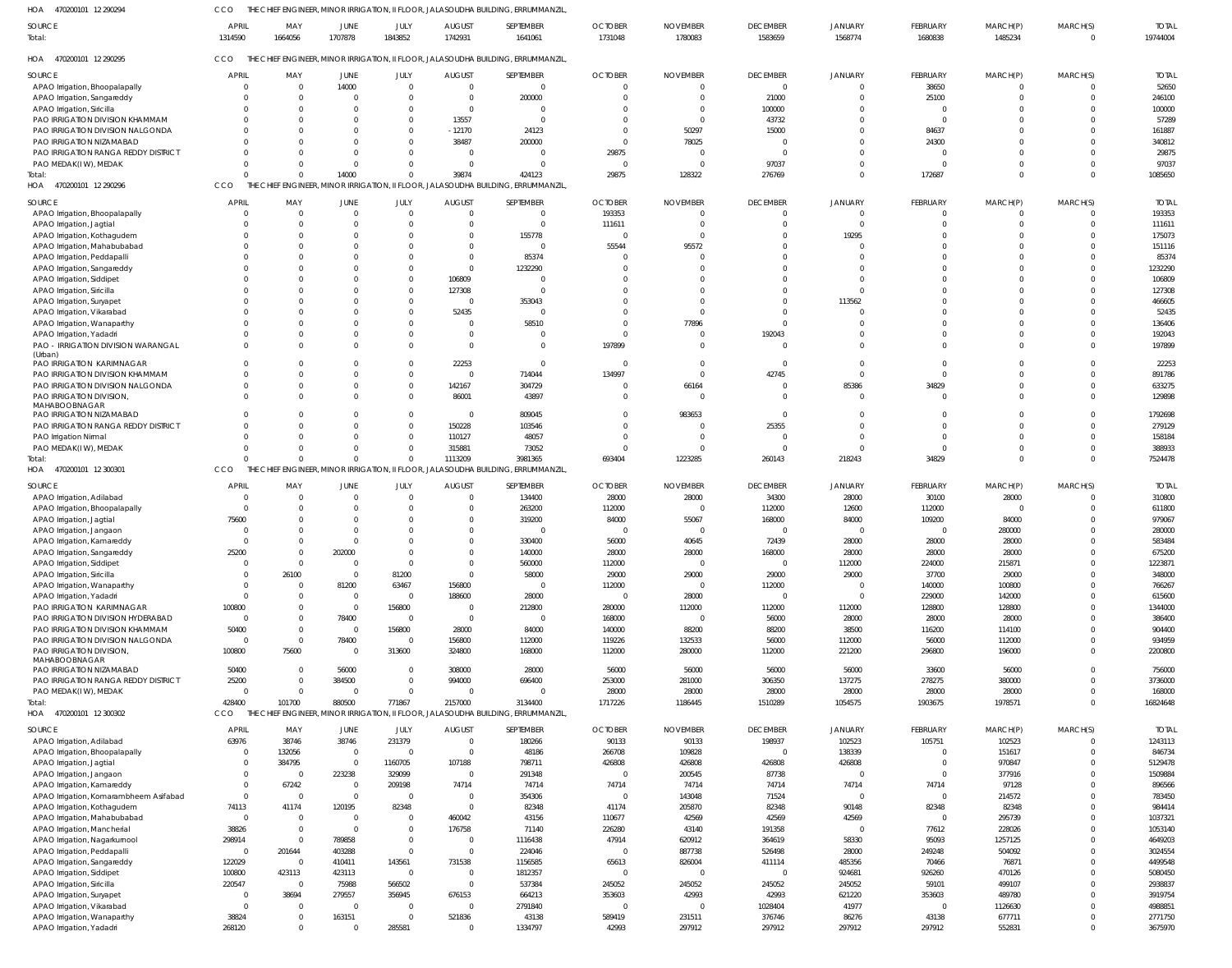470200101 12 290294 HOA 470200101 12 290295 HOA 470200101 12 290296 HOA 470200101 12 300301 470200101 12 300302 HOA HOA THE CHIEF ENGINEER, MINOR IRRIGATION, II FLOOR, JALASOUDHA BUILDING, ERRUMMANZIL, THE CHIEF ENGINEER, MINOR IRRIGATION, II FLOOR, JALASOUDHA BUILDING, ERRUMMANZIL, THE CHIEF ENGINEER, MINOR IRRIGATION, II FLOOR, JALASOUDHA BUILDING, ERRUMMANZIL, THE CHIEF ENGINEER, MINOR IRRIGATION, II FLOOR, JALASOUDHA BUILDING, ERRUMMANZIL, THE CHIEF ENGINEER, MINOR IRRIGATION, II FLOOR, JALASOUDHA BUILDING, ERRUMMANZIL, CCO CCO **CCO CCO** CCO  $\Omega$  $\Omega$   $\Omega$  $\Omega$   $\Omega$   $\Omega$  $\Omega$   $\Omega$  $\Omega$  APAO Irrigation, Bhoopalapally APAO Irrigation, Sangareddy APAO Irrigation, Siricilla PAO IRRIGATION DIVISION KHAMMAM PAO IRRIGATION DIVISION NALGONDA PAO IRRIGATION NIZAMABAD PAO IRRIGATION RANGA REDDY DISTRICT PAO MEDAK(I W), MEDAK APAO Irrigation, Bhoopalapally APAO Irrigation, Jagtial APAO Irrigation, Kothagudem APAO Irrigation, Mahabubabad APAO Irrigation, Peddapalli APAO Irrigation, Sangareddy APAO Irrigation, Siddipet APAO Irrigation, Siricilla APAO Irrigation, Suryapet APAO Irrigation, Vikarabad APAO Irrigation, Wanaparthy APAO Irrigation, Yadadri PAO - IRRIGATION DIVISION WARANGAL (Urban) PAO IRRIGATION KARIMNAGAR PAO IRRIGATION DIVISION KHAMMAM PAO IRRIGATION DIVISION NALGONDA PAO IRRIGATION DIVISION, MAHABOOBNAGAR PAO IRRIGATION NIZAMABAD PAO IRRIGATION RANGA REDDY DISTRICT PAO Irrigation Nirmal PAO MEDAK(I W), MEDAK APAO Irrigation, Adilabad APAO Irrigation, Bhoopalapally APAO Irrigation, Jagtial APAO Irrigation, Jangaon APAO Irrigation, Kamareddy APAO Irrigation, Sangareddy APAO Irrigation, Siddipet APAO Irrigation, Siricilla APAO Irrigation, Wanaparthy APAO Irrigation, Yadadri PAO IRRIGATION KARIMNAGAR PAO IRRIGATION DIVISION HYDERABAD PAO IRRIGATION DIVISION KHAMMAM PAO IRRIGATION DIVISION NALGONDA PAO IRRIGATION DIVISION, MAHABOOBNAGAR PAO IRRIGATION NIZAMABAD PAO IRRIGATION RANGA REDDY DISTRICT PAO MEDAK(I W), MEDAK APAO Irrigation, Adilabad APAO Irrigation, Bhoopalapally APAO Irrigation, Jagtial APAO Irrigation, Jangaon APAO Irrigation, Kamareddy APAO Irrigation, Komarambheem Asifabad APAO Irrigation, Kothagudem APAO Irrigation, Mahabubabad APAO Irrigation, Mancherial APAO Irrigation, Nagarkurnool APAO Irrigation, Peddapalli APAO Irrigation, Sangareddy APAO Irrigation, Siddipet APAO Irrigation, Siricilla APAO Irrigation, Suryapet **SOURCE** SOURCE **SOURCE** SOURCE **SOURCE**  $\mathfrak{c}$   $\Omega$  $\Omega$   $\Omega$   $\Omega$   $\Omega$   $\Omega$  $\Omega$   $\Omega$   $\Omega$  $\Omega$   $\Omega$  $\Omega$  $\Omega$   $\Omega$   $\Omega$  $\Omega$   $\mathfrak{g}$   $\Omega$  $\mathfrak{c}$   $\mathfrak{c}$   $\Omega$   $\Omega$   $\Omega$   $\Omega$   $\Omega$   $\bigcap$   $\mathfrak{c}$   $\sqrt{0}$ APRIL **APRIL APRIL** APRIL APRIL  $\Omega$  $\Omega$   $\Omega$   $\sqrt{0}$  $\Omega$   $\Omega$   $\Omega$  $\Omega$   $\Omega$   $\Omega$   $\Omega$  $\Omega$  $\Omega$   $\Omega$   $\Omega$   $\Omega$  $\Omega$   $\Omega$   $\sqrt{0}$   $\Omega$  MAY MAY MAY MAY MAY  $\Omega$  $\Omega$   $\Omega$   $\Omega$  $\Omega$  $\mathbf 0$  $\Omega$   $\Omega$  $\Omega$   $\Omega$  $\mathbf 0$   $\Omega$   $\Omega$  $\Omega$  $\mathbf 0$  $\overline{0}$   $\Omega$   $\Omega$  $\Omega$   $\Omega$   $\Omega$   $\Omega$   $\Omega$   $\sqrt{0}$   $\Omega$  JUNE **JUNE** JUNE JUNE JUNE  $\Omega$  $\Omega$   $\sqrt{2}$   $\Omega$  $\Omega$   $\Omega$   $\Omega$  $\Omega$   $\Omega$   $\Omega$  $\Omega$   $\bigcap$  $\Omega$  $\Omega$   $\bigcap$   $\Omega$   $\Omega$  $\Omega$   $\Omega$   $\Omega$   $\bigcap$   $\Omega$   $\Omega$   $\Omega$   $\Omega$   $\Omega$   $\bigcap$  JULY JULY JULY JULY JULY -12170  $\Omega$   $\Omega$   $\Omega$   $\Omega$   $\Omega$   $\Omega$   $\Omega$   $\Omega$   $\Omega$   $\Omega$   $\Omega$   $\Omega$  AUGUST AUGUST AUGUST AUGUST **AUGUST**   $\Omega$   $\Omega$  $\Omega$   $\Omega$   $\Omega$   $\bigcap$   $\Omega$   $\bigcap$  SEPTEMBER SEPTEMBER SEPTEMBER SEPTEMBER SEPTEMBER  $\Omega$  $\Omega$   $\Omega$   $\Omega$   $\Omega$  $\bigcap$   $\Omega$   $\Omega$   $\Omega$   $\Omega$  OCTOBER **OCTOBER OCTOBER** OCTOBER OCTOBER  $\Omega$   $\Omega$   $\Omega$  $\Omega$   $\Omega$  $\Omega$   $\Omega$   $\bigcap$   $\Omega$  $\Omega$   $\Omega$   $\Omega$   $\cap$   $\bigcap$   $\Omega$  NOVEMBER NOVEMBER NOVEMBER NOVEMBER NOVEMBER  $\bigcap$   $\Omega$  $\Omega$   $\Omega$   $\Omega$  $\Omega$   $\Omega$   $\Omega$   $\Omega$   $\Omega$   $\sqrt{2}$   $\Omega$   $\Omega$   $\bigcap$   $\Omega$  DECEMBER DECEMBER DECEMBER DECEMBER **DECEMBER**  $\mathbf{C}$   $\Omega$  $\Omega$   $\Omega$   $\Omega$  $\Omega$   $\Omega$   $\Omega$   $\Omega$   $\Omega$   $\Omega$   $\Omega$  $\mathfrak{c}$   $\Omega$   $\Omega$  **JANUARY** JANUARY JANUARY JANUARY JANUARY  $\Omega$   $\Omega$   $\Omega$  $\Omega$   $\Omega$   $\Omega$  $\Omega$   $\sqrt{2}$   $\Omega$  $\bigcap$   $\sqrt{2}$   $\bigcap$   $\Omega$   $\Omega$   $\Omega$  $\Omega$   $\sqrt{2}$  FEBRUARY FEBRUARY FEBRUARY FEBRUARY FEBRUARY  $\Omega$  $\Omega$   $\Omega$   $\Omega$   $\Omega$   $\Omega$   $\Omega$   $\Omega$   $\Omega$   $\Omega$   $\Omega$   $\Omega$  MARCH(P) MARCH(P) MARCH(P) MARCH(P) MARCH(P)  $\Omega$  $\Omega$  $\Omega$   $\Omega$   $\Omega$   $\Omega$   $\Omega$  $\Omega$   $\Omega$   $\Omega$  $\bigcap$   $\Omega$  $\Omega$  $\Omega$   $\bigcap$   $\Omega$   $\Omega$  $\Omega$   $\Omega$   $\Omega$  $\bigcap$   $\Omega$   $\Omega$  $\Omega$  $\Omega$  $\Omega$   $\Omega$   $\Omega$   $\Omega$  $\Omega$   $\Omega$   $\Omega$  $\bigcap$   $\Omega$   $\Omega$  $\Omega$   $\Omega$ MARCH(S) MARCH(S) MARCH(S) MARCH(S) MARCH(S) TOTAL TOTAL TOTAL TOTAL TOTAL Total: Total: Total: Total:

APAO Irrigation, Vikarabad APAO Irrigation, Wanaparthy APAO Irrigation, Yadadri

   

 

  $\Omega$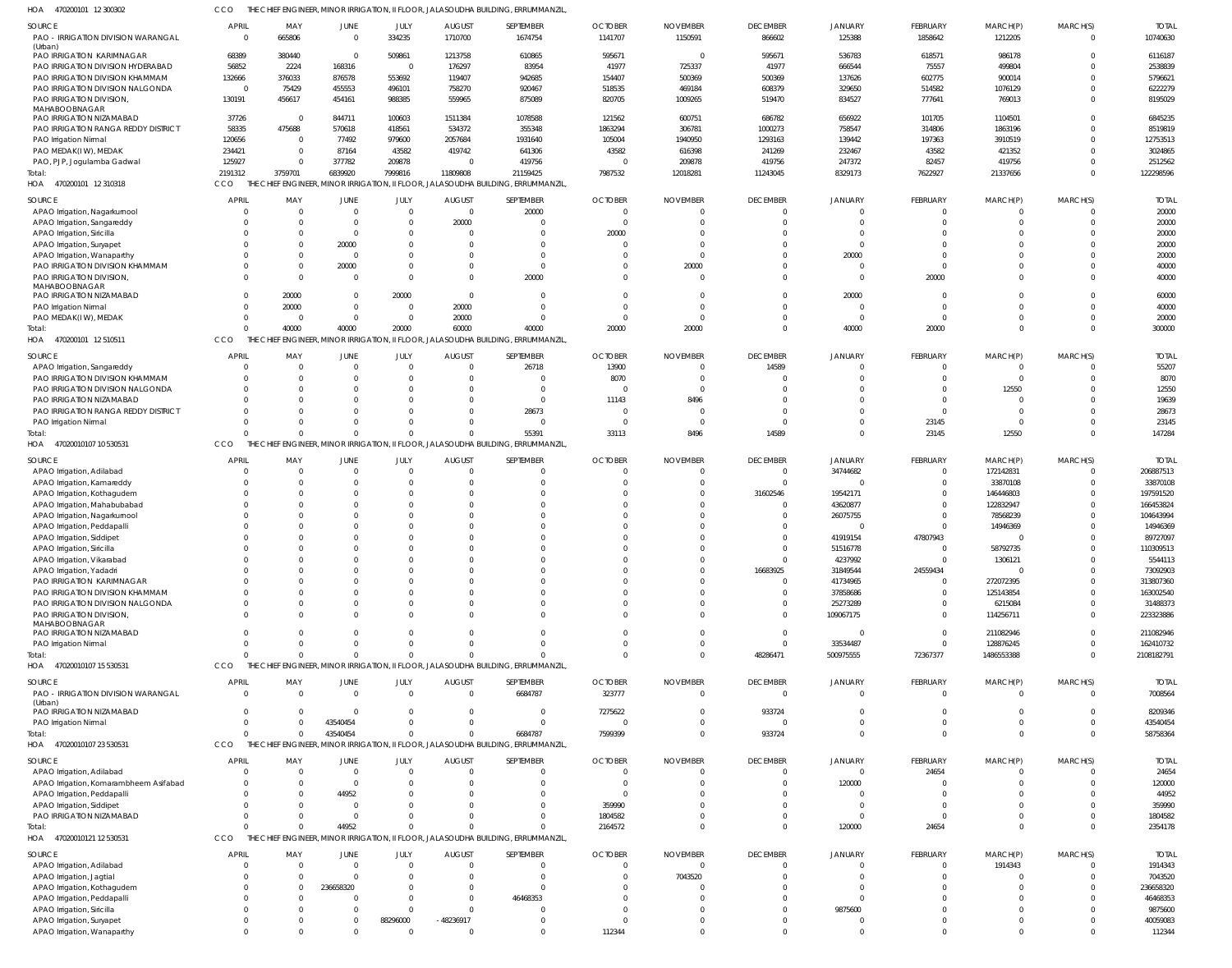470200101 12 300302 HOA CCO THE CHIEF ENGINEER, MINOR IRRIGATION, II FLOOR, JALASOUDHA BUILDING, ERRUMMANZIL,

| <b>SOURCE</b><br>PAO - IRRIGATION DIVISION WARANGAL                 | <b>APRIL</b><br>0        | MAY<br>665806   | JUNE<br>$\Omega$ | JULY<br>334235                              | <b>AUGUST</b><br>1710700  | SEPTEMBER<br>1674754                                                             | <b>OCTOBER</b><br>1141707 | <b>NOVEMBER</b><br>1150591  | <b>DECEMBER</b><br>866602       | JANUARY<br>125388   | FEBRUARY<br>1858642 | MARCH(P)<br>1212205 | MARCH(S)<br>$\Omega$ | <b>TOTAL</b><br>10740630 |
|---------------------------------------------------------------------|--------------------------|-----------------|------------------|---------------------------------------------|---------------------------|----------------------------------------------------------------------------------|---------------------------|-----------------------------|---------------------------------|---------------------|---------------------|---------------------|----------------------|--------------------------|
| (Urban)<br>PAO IRRIGATION KARIMNAGAR                                | 68389                    | 380440          | $\Omega$         | 509861                                      | 1213758                   | 610865                                                                           | 595671                    | $\overline{0}$              | 595671                          | 536783              | 618571              | 986178              |                      | 6116187                  |
| PAO IRRIGATION DIVISION HYDERABAD                                   | 56852                    | 2224            | 168316           | $\overline{\mathbf{0}}$                     | 176297                    | 83954                                                                            | 41977                     | 725337                      | 41977                           | 666544              | 75557               | 499804              |                      | 2538839                  |
|                                                                     |                          | 376033          |                  | 553692                                      | 119407                    | 942685                                                                           | 154407                    | 500369                      | 500369                          | 137626              | 602775              | 900014              |                      | 5796621                  |
| PAO IRRIGATION DIVISION KHAMMAM<br>PAO IRRIGATION DIVISION NALGONDA | 132666<br>$\overline{0}$ |                 | 876578<br>455553 |                                             | 758270                    |                                                                                  | 518535                    | 469184                      |                                 | 329650              | 514582              | 1076129             |                      |                          |
|                                                                     | 130191                   | 75429           |                  | 496101                                      |                           | 920467<br>875089                                                                 | 820705                    |                             | 608379                          | 834527              |                     |                     |                      | 6222279<br>8195029       |
| PAO IRRIGATION DIVISION,<br>MAHABOOBNAGAR                           |                          | 456617          | 454161           | 988385                                      | 559965                    |                                                                                  |                           | 1009265                     | 519470                          |                     | 777641              | 769013              |                      |                          |
| PAO IRRIGATION NIZAMABAD                                            | 37726                    | - 0             | 844711           | 100603                                      | 1511384                   | 1078588                                                                          | 121562                    | 600751                      | 686782                          | 656922              | 101705              | 1104501             |                      | 6845235                  |
| PAO IRRIGATION RANGA REDDY DISTRICT                                 | 58335                    | 475688          | 570618           | 418561                                      | 534372                    | 355348                                                                           | 1863294                   | 306781                      | 1000273                         | 758547              | 314806              | 1863196             |                      | 8519819                  |
| PAO Irrigation Nirmal                                               | 120656                   | $\mathsf{C}$    | 77492            | 979600                                      | 2057684                   | 1931640                                                                          | 105004                    | 1940950                     | 1293163                         | 139442              | 197363              | 3910519             |                      | 12753513                 |
| PAO MEDAK(IW), MEDAK                                                | 234421                   |                 | 87164            | 43582                                       | 419742                    | 641306                                                                           | 43582                     | 616398                      | 241269                          | 232467              | 43582               | 421352              |                      | 3024865                  |
| PAO, PJP, Jogulamba Gadwal                                          | 125927                   |                 | 377782           | 209878                                      | - (                       | 419756                                                                           | - 0                       | 209878                      | 419756                          | 247372              | 82457               | 419756              |                      | 2512562                  |
|                                                                     | 2191312                  | 3759701         | 6839920          | 7999816                                     | 11809808                  | 21159425                                                                         | 7987532                   | 12018281                    |                                 | 8329173             | 7622927             | 21337656            |                      | 122298596                |
| Total:                                                              |                          |                 |                  |                                             |                           | JALASOUDHA BUILDING, ERRUMMANZIL                                                 |                           |                             | 11243045                        |                     |                     |                     |                      |                          |
| 470200101 12 310318<br>HOA                                          | CCO                      | THE             |                  | CHIEF ENGINEER, MINOR IRRIGATION, II FLOOR, |                           |                                                                                  |                           |                             |                                 |                     |                     |                     |                      |                          |
| SOURCE                                                              | <b>APRIL</b>             | MAY             | JUNE             | JULY                                        | <b>AUGUST</b>             | SEPTEMBER                                                                        | <b>OCTOBER</b>            | <b>NOVEMBER</b>             | <b>DECEMBER</b>                 | JANUARY             | FEBRUARY            | MARCH(P)            | MARCH(S)             | <b>TOTAL</b>             |
| APAO Irrigation, Nagarkurnool                                       | $\Omega$                 | - 0             | $\Omega$         | $\Omega$                                    | $\overline{0}$            | 20000                                                                            | $\overline{0}$            | $\Omega$                    | $\mathbf{0}$                    | $\Omega$            | $^{\circ}$          | $\Omega$            | $\Omega$             | 20000                    |
| APAO Irrigation, Sangareddy                                         | $\Omega$                 | - 0             | $\Omega$         | $\Omega$                                    | 20000                     | $\Omega$                                                                         | $\overline{0}$            |                             | $\Omega$                        | $\Omega$            | $\Omega$            | $\Omega$            | $\Omega$             | 20000                    |
| APAO Irrigation, Siricilla                                          | $\Omega$                 |                 | $\Omega$         | $\Omega$                                    | - 0                       | $\Omega$                                                                         | 20000                     | $\Omega$                    | $\Omega$                        | $\Omega$            | $\Omega$            | $\Omega$            |                      | 20000                    |
| APAO Irrigation, Suryapet                                           | $\Omega$                 |                 | 20000            | $\Omega$                                    | - 0                       |                                                                                  | $\overline{0}$            | $\Omega$                    | $\Omega$                        | $\Omega$            | $\Omega$            | $\Omega$            |                      | 20000                    |
| APAO Irrigation, Wanaparthy                                         | $\Omega$                 |                 | $\Omega$         | $\Omega$                                    | -C                        |                                                                                  | $\Omega$                  | $\Omega$                    | $\Omega$                        | 20000               | $\Omega$            | $\Omega$            |                      | 20000                    |
| PAO IRRIGATION DIVISION KHAMMAM                                     | $\Omega$                 |                 | 20000            | $\Omega$                                    | $\Omega$                  | $\Omega$                                                                         | $\overline{0}$            | 20000                       | $\Omega$                        | $\Omega$            | $\Omega$            | $\Omega$            | $\Omega$             | 40000                    |
| PAO IRRIGATION DIVISION,                                            | $\Omega$                 | $\Omega$        | $\Omega$         | $\Omega$                                    | $\Omega$                  | 20000                                                                            | $\Omega$                  | $\Omega$                    | $\Omega$                        | $\Omega$            | 20000               | $\Omega$            |                      | 40000                    |
| MAHABOOBNAGAR                                                       |                          |                 |                  |                                             |                           |                                                                                  |                           |                             |                                 |                     |                     |                     |                      |                          |
| PAO IRRIGATION NIZAMABAD                                            | $\Omega$                 | 20000           | $\Omega$         | 20000                                       | $\Omega$                  |                                                                                  | $\overline{0}$            | $\Omega$                    | $^{\circ}$                      | 20000               | $\Omega$            | $\Omega$            |                      | 60000                    |
| PAO Irrigation Nirmal                                               | $\Omega$                 | 20000           | $\Omega$         | $\overline{0}$                              | 20000                     | $\Omega$                                                                         | $\Omega$                  | $\Omega$                    | $\Omega$                        | $\Omega$            | $\Omega$            | $\Omega$            | $\Omega$             | 40000                    |
| PAO MEDAK(IW), MEDAK                                                | $\mathbf{0}$             | $\Omega$        | $\Omega$         | $\overline{0}$                              | 20000                     | $\Omega$                                                                         | $\overline{0}$            | $\Omega$                    | $\Omega$                        | $\Omega$            | $\overline{0}$      | $\overline{0}$      | $\Omega$             | 20000                    |
| Total:                                                              | $\Omega$                 | 40000           | 40000            | 20000                                       | 60000                     | 40000                                                                            | 20000                     | 20000                       | $\Omega$                        | 40000               | 20000               | $\Omega$            | $\Omega$             | 300000                   |
| 470200101 12 510511<br>HOA                                          | CCO                      | THE CHIEF       |                  |                                             |                           | FINGINEER, MINOR IRRIGATION, II FLOOR, JALASOUDHA BUILDING, ERRUMMANZIL          |                           |                             |                                 |                     |                     |                     |                      |                          |
|                                                                     |                          |                 |                  |                                             |                           |                                                                                  |                           |                             |                                 |                     |                     |                     |                      |                          |
| <b>SOURCE</b>                                                       | <b>APRIL</b>             | MAY             | <b>JUNE</b>      | JULY                                        | <b>AUGUST</b>             | SEPTEMBER                                                                        | <b>OCTOBER</b>            | <b>NOVEMBER</b>             | <b>DECEMBER</b>                 | JANUARY             | FEBRUARY            | MARCH(P)            | MARCH(S)             | <b>TOTAL</b>             |
| APAO Irrigation, Sangareddy                                         | $\Omega$                 |                 |                  | $\Omega$                                    |                           | 26718                                                                            | 13900                     | $\Omega$                    | 14589                           | $\Omega$            | $\mathbf 0$         | 0                   |                      | 55207                    |
| PAO IRRIGATION DIVISION KHAMMAM                                     | $\Omega$                 |                 |                  | $\Omega$                                    |                           |                                                                                  | 8070                      | $\Omega$                    | $\Omega$                        | $\Omega$            | $\Omega$            | $\overline{0}$      |                      | 8070                     |
| PAO IRRIGATION DIVISION NALGONDA                                    | $\Omega$                 |                 |                  |                                             |                           | $\Omega$                                                                         | $\overline{0}$            | $\Omega$                    | $\Omega$                        | $\Omega$            | $\Omega$            | 12550               |                      | 12550                    |
| PAO IRRIGATION NIZAMABAD                                            | $\Omega$                 |                 |                  |                                             |                           | $\Omega$                                                                         | 11143                     | 8496                        | $\Omega$                        | $\Omega$            | $\Omega$            | $\Omega$            |                      | 19639                    |
| PAO IRRIGATION RANGA REDDY DISTRICT                                 |                          |                 |                  |                                             |                           | 28673                                                                            | $\overline{0}$            | $\Omega$                    | $\Omega$                        |                     | $\Omega$            | - 0                 |                      | 28673                    |
| PAO Irrigation Nirmal                                               | $\Omega$                 |                 |                  |                                             |                           | $\Omega$                                                                         | $\overline{\mathbf{0}}$   | $\Omega$                    | $\Omega$                        | $\Omega$            | 23145               | $\Omega$            |                      | 23145                    |
| Total:                                                              | $\Omega$                 |                 | $\Omega$         | $\Omega$                                    |                           | 55391                                                                            | 33113                     | 8496                        | 14589                           | $\Omega$            | 23145               | 12550               |                      | 147284                   |
| 47020010107 10 530531<br>HOA                                        | CCO                      | THE             |                  |                                             |                           | CHIEF ENGINEER, MINOR IRRIGATION, II FLOOR, JALASOUDHA BUILDING, ERRUMMANZIL     |                           |                             |                                 |                     |                     |                     |                      |                          |
|                                                                     |                          |                 |                  |                                             |                           |                                                                                  |                           |                             |                                 |                     |                     |                     |                      |                          |
| <b>SOURCE</b>                                                       | <b>APRIL</b>             | MAY             | JUNE             | JULY                                        | <b>AUGUST</b>             | SEPTEMBER                                                                        | <b>OCTOBER</b>            | <b>NOVEMBER</b>             | <b>DECEMBER</b>                 | <b>JANUARY</b>      | FEBRUARY            | MARCH(P)            | MARCH(S)             | <b>TOTAL</b>             |
| APAO Irrigation, Adilabad                                           | $\mathcal{L}$            | - 0             |                  |                                             |                           |                                                                                  | $\Omega$                  | $\Omega$                    | $\mathbf 0$                     | 34744682            | $\overline{0}$      | 172142831           | $\Omega$             | 206887513                |
| APAO Irrigation, Kamareddy                                          | $\Omega$                 | $\Omega$        |                  | $\Omega$                                    | - 0                       | $\Omega$                                                                         | $\Omega$                  | $\Omega$                    | $\mathbf{0}$                    | $\Omega$            | $\mathbf 0$         | 33870108            | $\Omega$             | 33870108                 |
| APAO Irrigation, Kothagudem                                         | $\Omega$                 | $\Omega$        |                  |                                             |                           |                                                                                  | $\Omega$                  | $\Omega$                    | 31602546                        | 19542171            | $\Omega$            | 146446803           |                      | 197591520                |
| APAO Irrigation, Mahabubabad                                        | $\Omega$                 |                 |                  |                                             |                           |                                                                                  | $\Omega$                  |                             | $\mathbf 0$                     | 43620877            | $\Omega$            | 122832947           |                      | 166453824                |
| APAO Irrigation, Nagarkurnool                                       | $\Omega$                 |                 |                  |                                             |                           |                                                                                  | $\Omega$                  |                             | $\mathbf 0$                     | 26075755            | $^{\circ}$          | 78568239            |                      | 104643994                |
| APAO Irrigation, Peddapalli                                         | $\Omega$                 |                 |                  |                                             |                           |                                                                                  | $\Omega$                  |                             | $\mathbf 0$                     | $\Omega$            | $\Omega$            | 14946369            |                      | 14946369                 |
| APAO Irrigation, Siddipet                                           | $\Omega$                 |                 |                  |                                             |                           |                                                                                  | $\Omega$                  |                             | $\mathbf 0$                     | 41919154            | 47807943            | $\mathbf 0$         |                      | 89727097                 |
| APAO Irrigation, Siricilla                                          | $\Omega$                 |                 |                  |                                             |                           |                                                                                  | $\Omega$                  |                             | $\Omega$                        | 51516778            | $\Omega$            | 58792735            |                      | 110309513                |
| APAO Irrigation, Vikarabad                                          | $\Omega$                 |                 | $\Omega$         | $\Omega$                                    |                           |                                                                                  | $\Omega$                  |                             | $\Omega$                        | 4237992             | $\Omega$            | 1306121             |                      | 5544113                  |
| APAO Irrigation, Yadadri                                            | $\Omega$                 |                 |                  |                                             |                           | $\Omega$                                                                         | $\Omega$                  | $\Omega$                    | 16683925                        | 31849544            | 24559434            | $\Omega$            |                      | 73092903                 |
| PAO IRRIGATION KARIMNAGAR                                           | $\Omega$                 |                 |                  |                                             |                           |                                                                                  | $\Omega$                  | $\Omega$                    | $\mathbf{0}$                    | 41734965            | $^{\circ}$          | 272072395           |                      | 313807360                |
| PAO IRRIGATION DIVISION KHAMMAM                                     | $\Omega$                 |                 |                  |                                             |                           |                                                                                  | $\Omega$                  |                             | $\mathbf 0$                     | 37858686            | $\mathbf 0$         | 125143854           |                      | 163002540                |
| PAO IRRIGATION DIVISION NALGONDA                                    | $\Omega$                 |                 |                  |                                             |                           |                                                                                  | $\Omega$                  |                             | $\mathbf 0$                     | 25273289            | $\Omega$            | 6215084             |                      | 31488373                 |
| PAO IRRIGATION DIVISION,                                            | $\Omega$                 |                 |                  |                                             |                           | $\Omega$                                                                         | $\Omega$                  | $\Omega$                    | $\mathbf 0$                     | 109067175           | $^{\circ}$          | 114256711           |                      | 223323886                |
| MAHABOOBNAGAR                                                       |                          |                 |                  |                                             |                           |                                                                                  |                           |                             |                                 |                     |                     |                     |                      |                          |
| PAO IRRIGATION NIZAMABAD                                            | $\Omega$                 |                 |                  | $\Omega$                                    |                           |                                                                                  | $\overline{0}$            | $\Omega$                    | $\mathbf 0$                     | - 0                 | $\overline{0}$      | 211082946           |                      | 211082946                |
| PAO Irrigation Nirmal                                               | $\Omega$                 |                 |                  | $\Omega$                                    |                           | $\Omega$                                                                         | $\Omega$                  | $\Omega$                    | $\mathbf 0$                     | 33534487            | $^{\circ}$          | 128876245           |                      | 162410732                |
| Total:                                                              | $\Omega$                 |                 | $\Omega$         | $\Omega$                                    |                           |                                                                                  | $\Omega$                  | $\Omega$                    | 48286471                        | 500975555           | 72367377            | 1486553388          | $\Omega$             | 2108182791               |
| HOA 47020010107 15 530531                                           | CCO                      |                 |                  |                                             |                           | THE CHIEF ENGINEER, MINOR IRRIGATION, II FLOOR, JALASOUDHA BUILDING, ERRUMMANZIL |                           |                             |                                 |                     |                     |                     |                      |                          |
|                                                                     |                          |                 |                  |                                             |                           |                                                                                  |                           |                             |                                 |                     |                     |                     |                      |                          |
| <b>SOURCE</b>                                                       | <b>APRIL</b>             | MAY<br>$\Omega$ | JUNE<br>$\Omega$ | JULY<br>$\overline{0}$                      | <b>AUGUST</b><br>$\Omega$ | SEPTEMBER                                                                        | <b>OCTOBER</b><br>323777  | <b>NOVEMBER</b><br>$\Omega$ | <b>DECEMBER</b><br>$\mathbf{0}$ | JANUARY<br>$\Omega$ | FEBRUARY            | MARCH(P)            | MARCH(S)             | <b>TOTAL</b><br>7008564  |
| PAO - IRRIGATION DIVISION WARANGAL                                  | $\overline{0}$           |                 |                  |                                             |                           | 6684787                                                                          |                           |                             |                                 |                     | $\overline{0}$      | $\overline{0}$      |                      |                          |
| (Urban)<br>PAO IRRIGATION NIZAMABAD                                 | $\Omega$                 |                 | $\Omega$         | $\Omega$                                    | -C                        | $\Omega$                                                                         | 7275622                   | $\Omega$                    | 933724                          | $\Omega$            | $\Omega$            | $\overline{0}$      |                      | 8209346                  |
| PAO Irrigation Nirmal                                               | $\Omega$                 |                 | 43540454         | $\Omega$                                    |                           | $\Omega$                                                                         | $\overline{0}$            | $\Omega$                    | $\Omega$                        | $\Omega$            | $\Omega$            | $\overline{0}$      |                      | 43540454                 |
| Total:                                                              | $\Omega$                 |                 | 43540454         | $\Omega$                                    |                           | 6684787                                                                          | 7599399                   | $\mathbf 0$                 | 933724                          | $\Omega$            | $\Omega$            | $\mathbf{0}$        |                      | 58758364                 |
| HOA 47020010107 23 530531                                           | CCO                      | THE             |                  |                                             |                           | CHIEF ENGINEER, MINOR IRRIGATION, II FLOOR, JALASOUDHA BUILDING, ERRUMMANZIL     |                           |                             |                                 |                     |                     |                     |                      |                          |
|                                                                     |                          |                 |                  |                                             |                           |                                                                                  |                           |                             |                                 |                     |                     |                     |                      |                          |
| <b>SOURCE</b>                                                       | <b>APRIL</b>             | MAY             | <b>JUNE</b>      | JULY                                        | <b>AUGUST</b>             | SEPTEMBER                                                                        | <b>OCTOBER</b>            | <b>NOVEMBER</b>             | <b>DECEMBER</b>                 | JANUARY             | FEBRUARY            | MARCH(P)            | MARCH(S)             | <b>TOTAL</b>             |
| APAO Irrigation, Adilabad                                           | $\Omega$                 | $\Omega$        | $\Omega$         | $\Omega$                                    |                           |                                                                                  | $\Omega$                  | $\Omega$                    | $\mathbf{0}$                    | $\Omega$            | 24654               | $\Omega$            |                      | 24654                    |
| APAO Irrigation, Komarambheem Asifabad                              | $\Omega$                 |                 | $\Omega$         | $\Omega$                                    |                           | $\Omega$                                                                         | $\overline{\mathbf{0}}$   | $\Omega$                    | $\mathbf 0$                     | 120000              | -0                  | $\Omega$            |                      | 120000                   |
| APAO Irrigation, Peddapalli                                         | $\Omega$                 |                 | 44952            |                                             |                           |                                                                                  | $\overline{0}$            |                             | $\Omega$                        | $\Omega$            | $\Omega$            | $\Omega$            |                      | 44952                    |
| APAO Irrigation, Siddipet                                           | $\Omega$                 |                 |                  |                                             |                           |                                                                                  | 359990                    |                             | $\Omega$                        | $\Omega$            | $\Omega$            | $\Omega$            |                      | 359990                   |
| PAO IRRIGATION NIZAMABAD                                            | $\Omega$                 |                 | $\Omega$         | $\Omega$                                    |                           | $\Omega$                                                                         | 1804582                   | $\Omega$                    | $\Omega$                        | $\Omega$            | $\Omega$            | $\Omega$            |                      | 1804582                  |
| Total:                                                              | $\Omega$                 |                 | 44952            | $\Omega$                                    |                           | $\Omega$                                                                         | 2164572                   | $\Omega$                    | $\mathbf 0$                     | 120000              | 24654               | $\Omega$            |                      | 2354178                  |
| HOA 47020010121 12 530531                                           | CCO                      |                 |                  |                                             |                           | THE CHIEF ENGINEER, MINOR IRRIGATION, II FLOOR, JALASOUDHA BUILDING, ERRUMMANZIL |                           |                             |                                 |                     |                     |                     |                      |                          |
|                                                                     |                          |                 |                  |                                             |                           |                                                                                  |                           |                             |                                 |                     |                     |                     |                      |                          |
| SOURCE                                                              | <b>APRIL</b>             | MAY             | JUNE             | JULY                                        | <b>AUGUST</b>             | SEPTEMBER                                                                        | <b>OCTOBER</b>            | <b>NOVEMBER</b>             | <b>DECEMBER</b>                 | <b>JANUARY</b>      | FEBRUARY            | MARCH(P)            | MARCH(S)             | <b>TOTAL</b>             |
| APAO Irrigation, Adilabad                                           | 0                        |                 | $\Omega$         | $\Omega$                                    |                           |                                                                                  | $\overline{0}$            | $\overline{0}$              | $\mathbf{0}$                    | $\Omega$            | $^{\circ}$          | 1914343             |                      | 1914343                  |
| APAO Irrigation, Jagtial                                            | $\Omega$                 |                 |                  |                                             |                           |                                                                                  | $\overline{0}$            | 7043520                     | $\Omega$                        |                     | $\Omega$            | 0                   |                      | 7043520                  |
| APAO Irrigation, Kothagudem                                         | -0                       |                 | 236658320        |                                             |                           |                                                                                  | $\Omega$                  |                             | $\Omega$                        | $\Omega$            | $\Omega$            | $\Omega$            |                      | 236658320                |
| APAO Irrigation, Peddapalli                                         | $\Omega$                 |                 |                  | $\Omega$                                    |                           | 46468353                                                                         | $\Omega$                  |                             | $\Omega$                        | $\Omega$            | $\Omega$            | $\Omega$            |                      | 46468353                 |
| APAO Irrigation, Siricilla                                          | $\Omega$                 |                 |                  | $\Omega$                                    |                           |                                                                                  | $\Omega$                  | $\Omega$                    | $\Omega$                        | 9875600             | $\Omega$            | $\Omega$            |                      | 9875600                  |
| APAO Irrigation, Suryapet                                           | $\mathbf{0}$             |                 | $\Omega$         | 88296000                                    | $-48236917$               |                                                                                  | $\Omega$                  |                             | $\Omega$                        | $\Omega$            | $\Omega$            | $\Omega$            |                      | 40059083                 |
| APAO Irrigation, Wanaparthy                                         | $\Omega$                 |                 |                  | $\Omega$                                    |                           | 0                                                                                | 112344                    | $\Omega$                    | $\Omega$                        | $\Omega$            | $\Omega$            | $\Omega$            |                      | 112344                   |
|                                                                     |                          |                 |                  |                                             |                           |                                                                                  |                           |                             |                                 |                     |                     |                     |                      |                          |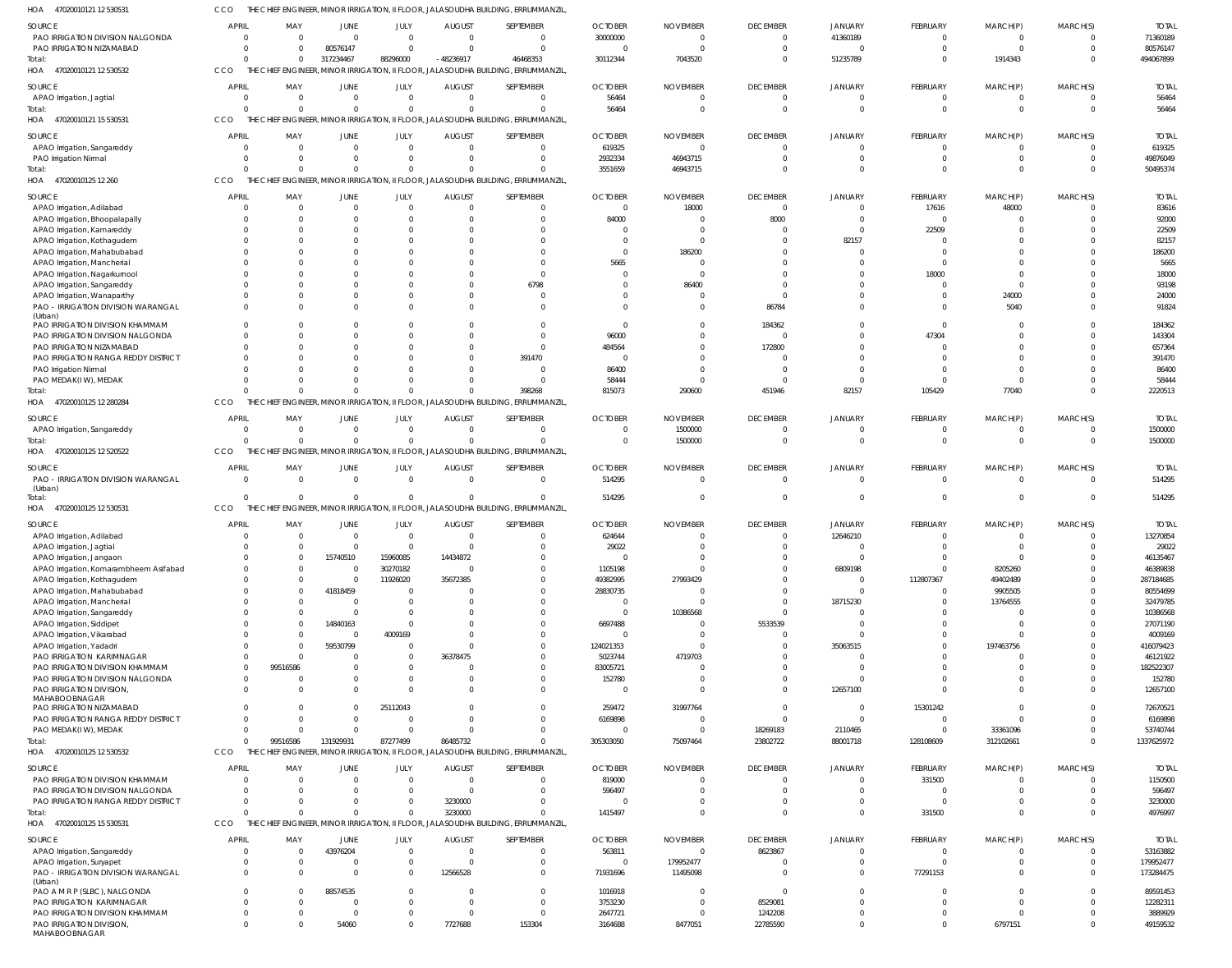47020010121 12 530531 HOA CCO THE CHIEF ENGINEER, MINOR IRRIGATION, II FLOOR, JALASOUDHA BUILDING, ERRUMMANZIL,

|                                                                   | <b>APRIL</b>         |                      |                         |                      | <b>AUGUST</b>             | SEPTEMBER                                                                         | <b>OCTOBER</b>       | <b>NOVEMBER</b>      | <b>DECEMBER</b>                 | <b>JANUARY</b>       | FEBRUARY                   | MARCH(P)                | MARCH(S)             | <b>TOTAL</b>          |
|-------------------------------------------------------------------|----------------------|----------------------|-------------------------|----------------------|---------------------------|-----------------------------------------------------------------------------------|----------------------|----------------------|---------------------------------|----------------------|----------------------------|-------------------------|----------------------|-----------------------|
| SOURCE<br>PAO IRRIGATION DIVISION NALGONDA                        | $\overline{0}$       | MAY<br>$\mathbf{0}$  | JUNE<br>$\mathbf 0$     | JULY<br>$\mathbf 0$  | $\overline{0}$            | $\Omega$                                                                          | 30000000             | $\Omega$             | $\overline{0}$                  | 41360189             | $\mathbf 0$                | $\overline{0}$          | $\Omega$             | 71360189              |
| PAO IRRIGATION NIZAMABAD                                          | $\Omega$             | $\mathbf{0}$         | 80576147                | $\mathbf{0}$         | $\Omega$                  | $\Omega$                                                                          | $\Omega$             |                      | $\overline{0}$                  | $\Omega$             | $\mathbf 0$                | $\mathbf 0$             | $\Omega$             | 80576147              |
| Total:                                                            | $\Omega$             | $\mathbf 0$          | 317234467               | 88296000             | $-48236917$               | 46468353                                                                          | 30112344             | 7043520              | $\Omega$                        | 51235789             | $\overline{0}$             | 1914343                 | $\Omega$             | 494067899             |
| 47020010121 12 530532<br>HOA                                      | CCO                  |                      |                         |                      |                           | THE CHIEF ENGINEER, MINOR IRRIGATION, II FLOOR, JALASOUDHA BUILDING, ERRUMMANZIL  |                      |                      |                                 |                      |                            |                         |                      |                       |
|                                                                   | <b>APRIL</b>         |                      |                         |                      |                           |                                                                                   | <b>OCTOBER</b>       | <b>NOVEMBER</b>      |                                 |                      |                            |                         |                      | <b>TOTAI</b>          |
| <b>SOURCE</b><br>APAO Irrigation, Jagtial                         | $\Omega$             | MAY<br>$\Omega$      | JUNE<br>$\Omega$        | JULY<br>$\Omega$     | <b>AUGUST</b><br>$\Omega$ | SEPTEMBER<br>$\Omega$                                                             | 56464                |                      | <b>DECEMBER</b><br>$\mathbf{0}$ | <b>JANUARY</b>       | FEBRUARY<br>$\Omega$       | MARCH(P)<br>$\Omega$    | MARCH(S)<br>$\Omega$ | 56464                 |
| Total:                                                            | $\Omega$             | $\Omega$             | $\Omega$                | $\Omega$             | $\Omega$                  | $\Omega$                                                                          | 56464                | $\Omega$             | $\mathbf 0$                     | $\Omega$             | $\overline{0}$             | $\mathbf 0$             | $\Omega$             | 56464                 |
| 47020010121 15 530531<br>HOA                                      | CCO                  |                      |                         |                      |                           | THE CHIEF ENGINEER, MINOR IRRIGATION, II FLOOR, JALASOUDHA BUILDING, ERRUMMANZIL  |                      |                      |                                 |                      |                            |                         |                      |                       |
|                                                                   |                      |                      |                         |                      |                           |                                                                                   |                      |                      |                                 |                      |                            |                         |                      |                       |
| SOURCE                                                            | <b>APRIL</b>         | MAY                  | JUNE                    | JULY                 | <b>AUGUST</b>             | SEPTEMBER                                                                         | <b>OCTOBER</b>       | <b>NOVEMBER</b>      | <b>DECEMBER</b>                 | JANUARY              | FEBRUARY                   | MARCH(P)                | MARCH(S)             | <b>TOTAI</b>          |
| APAO Irrigation, Sangareddy                                       | $\Omega$             | $\overline{0}$       | $\mathbf 0$             | $\mathbf 0$          | $\mathbf{0}$              | $\Omega$                                                                          | 619325               |                      | $\mathbf{0}$                    | $\mathbf{0}$         | $\mathbf 0$                | 0                       | $\Omega$             | 619325                |
| PAO Irrigation Nirmal                                             | $\Omega$<br>$\Omega$ | $\Omega$<br>$\Omega$ | $\mathbf 0$<br>$\Omega$ | $\Omega$<br>$\Omega$ | $\Omega$<br>$\Omega$      | $\Omega$<br>$\Omega$                                                              | 2932334<br>3551659   | 46943715<br>46943715 | $\mathbf 0$<br>$\Omega$         | $\Omega$<br>$\Omega$ | $\overline{0}$<br>$\Omega$ | $\mathbf 0$<br>$\Omega$ | $\Omega$<br>$\Omega$ | 49876049<br>50495374  |
| Total:<br>47020010125 12 260<br>HOA                               | <b>CCO</b>           |                      |                         |                      |                           | THE CHIEF ENGINEER, MINOR IRRIGATION, II FLOOR, JALASOUDHA BUILDING, ERRUMMANZIL  |                      |                      |                                 |                      |                            |                         |                      |                       |
|                                                                   |                      |                      |                         |                      |                           |                                                                                   |                      |                      |                                 |                      |                            |                         |                      |                       |
| <b>SOURCE</b>                                                     | <b>APRIL</b>         | MAY                  | <b>JUNE</b>             | JULY                 | <b>AUGUST</b>             | SEPTEMBER                                                                         | <b>OCTOBER</b>       | <b>NOVEMBER</b>      | <b>DECEMBER</b>                 | JANUARY              | FEBRUARY                   | MARCH(P)                | MARCH(S)             | <b>TOTAI</b>          |
| APAO Irrigation, Adilabad                                         | $\Omega$             | $\Omega$             | $\Omega$                | $\Omega$             | $\Omega$                  | $\Omega$                                                                          | $\Omega$             | 18000                | $\mathbf{0}$                    | $\Omega$             | 17616                      | 48000                   | $\Omega$             | 83616                 |
| APAO Irrigation, Bhoopalapally                                    | <sup>0</sup>         | $\Omega$             | $\Omega$                | $\Omega$             | $\Omega$                  | $\Omega$                                                                          | 84000                |                      | 8000                            |                      | $\mathbf 0$                | $\Omega$                | $\Omega$             | 92000                 |
| APAO Irrigation, Kamareddy                                        |                      | $\Omega$             | $\Omega$                |                      |                           |                                                                                   | $\Omega$             |                      | $\Omega$                        |                      | 22509                      | $\Omega$                | $\Omega$             | 22509                 |
| APAO Irrigation, Kothagudem                                       |                      | $\Omega$             | $\Omega$                |                      |                           | $\Omega$                                                                          | $\Omega$             |                      | $\Omega$                        | 82157                | $\cup$                     | O                       | $\Omega$             | 82157                 |
| APAO Irrigation, Mahabubabad                                      |                      | $\Omega$             | $\Omega$                |                      |                           |                                                                                   | $\Omega$             | 186200               |                                 |                      | $\sqrt{ }$                 |                         | $\Omega$             | 186200                |
| APAO Irrigation, Mancherial                                       |                      | $\Omega$             | C                       |                      |                           |                                                                                   | 5665                 |                      |                                 |                      | $\Omega$                   | n                       | $\Omega$             | 5665                  |
| APAO Irrigation, Nagarkurnool                                     |                      |                      | $\Omega$<br>C           |                      |                           |                                                                                   | $\Omega$<br>$\Omega$ |                      | $\Omega$                        |                      | 18000<br>$\Omega$          | $\Omega$                | $\Omega$<br>$\cap$   | 18000                 |
| APAO Irrigation, Sangareddy                                       | <sup>0</sup>         | $\Omega$             | $\Omega$                |                      |                           | 6798<br>$\Omega$                                                                  | <sup>0</sup>         | 86400                | $\Omega$                        | $\Omega$             | $\sqrt{ }$                 |                         | $\Omega$             | 93198                 |
| APAO Irrigation, Wanaparthy<br>PAO - IRRIGATION DIVISION WARANGAL | <sup>0</sup>         | $\Omega$             | $\Omega$                |                      |                           | $\Omega$                                                                          | $\Omega$             |                      | 86784                           |                      | $\Omega$                   | 24000<br>5040           | $\Omega$             | 24000<br>91824        |
| (Urban)                                                           |                      |                      |                         |                      |                           |                                                                                   |                      |                      |                                 |                      |                            |                         |                      |                       |
| PAO IRRIGATION DIVISION KHAMMAM                                   | <sup>0</sup>         | <sup>0</sup>         | $\Omega$                |                      | $\Omega$                  | $\Omega$                                                                          | $\Omega$             |                      | 184362                          |                      | $\Omega$                   | $\Omega$                | $\Omega$             | 184362                |
| PAO IRRIGATION DIVISION NALGONDA                                  |                      | $\Omega$             | $\Omega$                |                      |                           |                                                                                   | 96000                |                      | $\Omega$                        |                      | 47304                      | $\Omega$                | $\Omega$             | 143304                |
| PAO IRRIGATION NIZAMABAD                                          |                      | $\Omega$             | $\Omega$                |                      | $\Omega$                  |                                                                                   | 484564               |                      | 172800                          | $\Omega$             | $\cup$                     | $\Omega$                | $\Omega$             | 657364                |
| PAO IRRIGATION RANGA REDDY DISTRICT                               |                      |                      | C                       |                      | $\Omega$                  | 391470                                                                            | $\Omega$             |                      | $\Omega$                        |                      | $\cup$                     |                         | $\Omega$             | 391470                |
| PAO Irrigation Nirmal                                             |                      |                      | $\Omega$                |                      |                           | - 0                                                                               | 86400                |                      | $\Omega$                        |                      | $\sqrt{ }$                 |                         | $\Omega$             | 86400                 |
| PAO MEDAK(IW), MEDAK                                              | <sup>0</sup>         |                      | $\Omega$                |                      | $\Omega$                  | $\Omega$                                                                          | 58444                |                      | $\Omega$                        |                      | $\Omega$                   | $\Omega$                | $\Omega$             | 58444                 |
| Total:                                                            |                      | $\Omega$             | $\Omega$                | $\Omega$             | $\Omega$                  | 398268                                                                            | 815073               | 290600               | 451946                          | 82157                | 105429                     | 77040                   | $\Omega$             | 2220513               |
| 47020010125 12 280284<br>HOA                                      | CCO                  |                      |                         |                      |                           | THE CHIEF ENGINEER, MINOR IRRIGATION, II FLOOR, JALASOUDHA BUILDING, ERRUMMANZIL  |                      |                      |                                 |                      |                            |                         |                      |                       |
| <b>SOURCE</b>                                                     | <b>APRIL</b>         | MAY                  | JUNE                    | JULY                 | <b>AUGUST</b>             | SEPTEMBER                                                                         | <b>OCTOBER</b>       | <b>NOVEMBER</b>      | <b>DECEMBER</b>                 | JANUARY              | FEBRUARY                   | MARCH(P)                | MARCH(S)             | <b>TOTAL</b>          |
| APAO Irrigation, Sangareddy                                       | $\overline{0}$       | $\mathbf{0}$         | $\mathbf 0$             | $\mathbf{0}$         | $\mathbf{0}$              | $\Omega$                                                                          | $\overline{0}$       | 1500000              | $\overline{0}$                  | $\mathbf 0$          | $\mathbf 0$                | $\mathbf 0$             | $\Omega$             | 1500000               |
| Total:                                                            | $\Omega$             | $\Omega$             | $\Omega$                | $\Omega$             | $\Omega$                  | $\Omega$                                                                          | $\Omega$             | 1500000              | $\mathbf 0$                     | $\Omega$             | $\mathbf 0$                | $\mathbf 0$             | $\Omega$             | 1500000               |
| 47020010125 12 520522<br>HOA                                      | CCO                  |                      |                         |                      |                           | THE CHIEF ENGINEER, MINOR IRRIGATION, II FLOOR, JALASOUDHA BUILDING, ERRUMMANZIL  |                      |                      |                                 |                      |                            |                         |                      |                       |
|                                                                   |                      |                      |                         |                      |                           |                                                                                   |                      |                      |                                 |                      |                            |                         |                      |                       |
| <b>SOURCE</b>                                                     | <b>APRIL</b>         | MAY                  | JUNE                    | JULY                 | <b>AUGUST</b>             | SEPTEMBER                                                                         | <b>OCTOBER</b>       | <b>NOVEMBER</b>      | <b>DECEMBER</b>                 | <b>JANUARY</b>       | FEBRUARY                   | MARCH(P)                | MARCH(S)             | <b>TOTAI</b>          |
| PAO - IRRIGATION DIVISION WARANGAL<br>(Urban)                     | $\Omega$             | $\Omega$             | $\mathbf 0$             | $\Omega$             | $\Omega$                  | $\Omega$                                                                          | 514295               | $\Omega$             | $\mathbf{0}$                    | $\Omega$             | $\Omega$                   | $\Omega$                | $\Omega$             | 514295                |
| Total:                                                            | $\Omega$             | $\Omega$             | $\Omega$                | $\Omega$             | $\Omega$                  | $\Omega$                                                                          | 514295               |                      | $\mathbf{0}$                    | $\Omega$             | $\overline{0}$             | $\mathbf 0$             | $\Omega$             | 514295                |
| 47020010125 12 530531<br>HOA                                      | CCO                  |                      |                         |                      |                           | THE CHIEF ENGINEER, MINOR IRRIGATION, II FLOOR, JALASOUDHA BUILDING, ERRUMMANZIL, |                      |                      |                                 |                      |                            |                         |                      |                       |
|                                                                   |                      |                      |                         |                      |                           |                                                                                   |                      |                      |                                 |                      |                            |                         |                      |                       |
| SOURCE                                                            | <b>APRIL</b>         | MAY                  | JUNE                    | JULY                 | <b>AUGUST</b>             | SEPTEMBER                                                                         | <b>OCTOBER</b>       | <b>NOVEMBER</b>      | <b>DECEMBER</b>                 | <b>JANUARY</b>       | FEBRUARY                   | MARCH(P)                | MARCH(S)             | <b>TOTAI</b>          |
| APAO Irrigation, Adilabad                                         | $\overline{0}$       | $\mathbf{0}$         | $\mathbf 0$             | $\overline{0}$       | $\overline{0}$            | $\Omega$                                                                          | 624644               |                      | $\mathbf{0}$                    | 12646210             | $\mathbf 0$                | 0                       | $\Omega$             | 13270854              |
| APAO Irrigation, Jagtial                                          | $\Omega$<br>$\Omega$ | $\Omega$<br>$\Omega$ | $\mathbf 0$             | $\mathbf{0}$         | $\Omega$                  | $\Omega$<br>$\cap$                                                                | 29022<br>$\Omega$    | $\Omega$             | $\Omega$<br>$\Omega$            | $\Omega$             | $\Omega$                   | $\Omega$                | $\Omega$<br>$\cap$   | 29022<br>46135467     |
| APAO Irrigation, Jangaon                                          | $\Omega$             | <sup>0</sup>         | 15740510<br>$\Omega$    | 15960085<br>30270182 | 14434872<br>$\Omega$      | $\Omega$                                                                          |                      |                      | $\Omega$                        |                      | $\mathbf 0$                |                         | $\Omega$             |                       |
| APAO Irrigation, Komarambheem Asifabad                            | $\Omega$             | $\Omega$             | $\mathbf 0$             | 11926020             | 35672385                  | $\Omega$                                                                          | 1105198<br>49382995  | 27993429             | $\Omega$                        | 6809198<br>$\Omega$  | 112807367                  | 8205260<br>49402489     | $\Omega$             | 46389838<br>287184685 |
| APAO Irrigation, Kothagudem<br>APAO Irrigation, Mahabubabad       | <sup>0</sup>         | 0                    | 41818459                | $\Omega$             | $\Omega$                  | $\Omega$                                                                          | 28830735             |                      | $\Omega$                        | $\Omega$             | $\mathbf 0$                | 9905505                 | $\Omega$             | 80554699              |
| APAO Irrigation, Mancherial                                       | <sup>0</sup>         | <sup>0</sup>         | 0                       | $\Omega$             | $\Omega$                  | $\Omega$                                                                          | $\Omega$             |                      | $\Omega$                        | 18715230             | $\mathbf 0$                | 13764555                | $\Omega$             | 32479785              |
| APAO Irrigation, Sangareddy                                       |                      | 0                    | $\overline{0}$          | $\Omega$             | $\Omega$                  | $\Omega$                                                                          | $\Omega$             | 10386568             | $\overline{0}$                  | $\Omega$             | $\Omega$                   | $\mathbf 0$             | $\cap$               | 10386568              |
| APAO Irrigation, Siddipet                                         | <sup>0</sup>         | $\Omega$             | 14840163                | $\Omega$             | $\Omega$                  | $\Omega$                                                                          | 6697488              |                      | 5533539                         |                      | $\Omega$                   | $\Omega$                | $\Omega$             | 27071190              |
| APAO Irrigation, Vikarabad                                        |                      | $\Omega$             | $\overline{0}$          | 4009169              | $\Omega$                  | $\Omega$                                                                          | $\Omega$             |                      | $\overline{0}$                  | $\Omega$             | $\Omega$                   | $\Omega$                | $\Omega$             | 4009169               |
| APAO Irrigation, Yadadri                                          | <sup>0</sup>         | $\Omega$             | 59530799                | $\mathbf 0$          | $\Omega$                  | $\Omega$                                                                          | 124021353            |                      | $\Omega$                        | 35063515             | $\Omega$                   | 197463756               | $\Omega$             | 416079423             |
| PAO IRRIGATION KARIMNAGAR                                         | $\Omega$             | $\Omega$             | $\overline{0}$          | $\Omega$             | 36378475                  | $\Omega$                                                                          | 5023744              | 4719703              | $\Omega$                        | $\Omega$             | $\cup$                     | $\mathbf 0$             | $\Omega$             | 46121922              |
| PAO IRRIGATION DIVISION KHAMMAM                                   | $\mathbf 0$          | 99516586             | $\Omega$                | $\Omega$             | $\Omega$                  | $\Omega$                                                                          | 83005721             |                      | $\Omega$                        | $\Omega$             | $\Omega$                   | $\Omega$                | $\Omega$             | 182522307             |
| PAO IRRIGATION DIVISION NALGONDA                                  | $\Omega$             | 0                    | $\Omega$                | $\Omega$             | $\Omega$                  | $\Omega$                                                                          | 152780               |                      | $\Omega$                        | $\Omega$             | $\Omega$                   | $\Omega$                | $\Omega$             | 152780                |
| PAO IRRIGATION DIVISION,                                          | $\Omega$             | $\Omega$             | $\Omega$                | $\Omega$             | $\Omega$                  | $\Omega$                                                                          | $\Omega$             |                      | $\Omega$                        | 12657100             | $\Omega$                   | $\Omega$                | $\Omega$             | 12657100              |
| MAHABOOBNAGAR                                                     |                      |                      |                         |                      |                           |                                                                                   |                      |                      |                                 |                      |                            |                         |                      |                       |
| PAO IRRIGATION NIZAMABAD                                          | $\Omega$             | 0                    | $\Omega$                | 25112043             | $\Omega$                  | $\Omega$                                                                          | 259472               | 31997764             | $\overline{0}$                  | $\overline{0}$       | 15301242                   | $\Omega$                | $\Omega$             | 72670521              |
| PAO IRRIGATION RANGA REDDY DISTRICT                               | $\Omega$             | $\Omega$             | $\mathbf 0$             | $\mathbf 0$          | $\Omega$                  | $\Omega$                                                                          | 6169898              |                      | $\Omega$                        | $\Omega$             | $\mathbf 0$                | $\Omega$                | $\Omega$             | 6169898               |
| PAO MEDAK(IW), MEDAK                                              | $\Omega$             | $\Omega$             | $\Omega$                | $\Omega$             | $\Omega$                  | $\Omega$                                                                          | $\mathbf{0}$         |                      | 18269183                        | 2110465              | $\Omega$                   | 33361096                | $\Omega$             | 53740744              |
| Total:                                                            | $\Omega$             | 99516586             | 131929931               | 87277499             | 86485732                  | $\Omega$                                                                          | 305303050            | 75097464             | 23802722                        | 88001718             | 128108609                  | 312102661               | $\Omega$             | 1337625972            |
| HOA 47020010125 12 530532                                         | CCO                  |                      |                         |                      |                           | THE CHIEF ENGINEER, MINOR IRRIGATION, II FLOOR, JALASOUDHA BUILDING, ERRUMMANZIL, |                      |                      |                                 |                      |                            |                         |                      |                       |
| SOURCE                                                            | <b>APRIL</b>         | MAY                  | JUNE                    | JULY                 | <b>AUGUST</b>             | SEPTEMBER                                                                         | <b>OCTOBER</b>       | <b>NOVEMBER</b>      | <b>DECEMBER</b>                 | <b>JANUARY</b>       | FEBRUARY                   | MARCH(P)                | MARCH(S)             | <b>TOTAI</b>          |
| PAO IRRIGATION DIVISION KHAMMAM                                   | $\Omega$             | $\Omega$             | $\Omega$                | $\mathbf 0$          | $\Omega$                  | $\Omega$                                                                          | 819000               |                      | $\Omega$                        | 0                    | 331500                     | $\Omega$                | $\Omega$             | 1150500               |
| PAO IRRIGATION DIVISION NALGONDA                                  | $\Omega$             | $\Omega$             | $\Omega$                | $\Omega$             | $\Omega$                  | $\Omega$                                                                          | 596497               |                      | $\Omega$                        |                      | 0                          | $\Omega$                | $\Omega$             | 596497                |
| PAO IRRIGATION RANGA REDDY DISTRICT                               | $\Omega$             | $\Omega$             | $\Omega$                | $\Omega$             | 3230000                   | $\Omega$                                                                          |                      |                      | $\Omega$                        | $\Omega$             | $\sqrt{ }$                 | $\Omega$                | $\Omega$             | 3230000               |
| Total:                                                            | $\Omega$             | $\Omega$             | $\Omega$                | $\Omega$             | 3230000                   | $\Omega$                                                                          | 1415497              |                      | $\Omega$                        | $\Omega$             | 331500                     | $\Omega$                | $\Omega$             | 4976997               |
| HOA 47020010125 15 530531                                         | CCO                  |                      |                         |                      |                           | THE CHIEF ENGINEER, MINOR IRRIGATION, II FLOOR, JALASOUDHA BUILDING, ERRUMMANZIL  |                      |                      |                                 |                      |                            |                         |                      |                       |
| SOURCE                                                            | <b>APRIL</b>         | MAY                  | JUNE                    | JULY                 | <b>AUGUST</b>             | SEPTEMBER                                                                         | <b>OCTOBER</b>       | <b>NOVEMBER</b>      | <b>DECEMBER</b>                 | <b>JANUARY</b>       | FEBRUARY                   | MARCH(P)                | MARCH(S)             | <b>TOTAL</b>          |
| APAO Irrigation, Sangareddy                                       | $\overline{0}$       | $\mathbf{0}$         | 43976204                | $\mathbf{0}$         | $\mathbf{0}$              | $\Omega$                                                                          | 563811               | $\Omega$             | 8623867                         | $\mathbf{0}$         | $\mathbf 0$                | 0                       | $\Omega$             | 53163882              |
| APAO Irrigation, Suryapet                                         | $\Omega$             | $\mathbf{0}$         | $\overline{0}$          | $\mathbf{0}$         | $\mathbf{0}$              | $\Omega$                                                                          | $\overline{0}$       | 179952477            | $\mathbf{0}$                    | $\Omega$             | $\mathbf 0$                | $\mathbf 0$             | $\Omega$             | 179952477             |
| PAO - IRRIGATION DIVISION WARANGAL                                | $\mathbf 0$          | $\Omega$             | $\overline{0}$          | $\Omega$             | 12566528                  | $\Omega$                                                                          | 71931696             | 11495098             | $\Omega$                        | $\Omega$             | 77291153                   | $\Omega$                | $\Omega$             | 173284475             |
| (Urban)                                                           |                      |                      |                         |                      |                           |                                                                                   |                      |                      |                                 |                      |                            |                         |                      |                       |
| PAO A M R P (SLBC), NALGONDA                                      | $\Omega$             | 0                    | 88574535                | $\Omega$             | $\Omega$                  | $\Omega$                                                                          | 1016918              |                      | $\overline{0}$                  | $\Omega$             | $\Omega$                   | $\Omega$                | $\Omega$             | 89591453              |
| PAO IRRIGATION KARIMNAGAR                                         | $\Omega$             | $\Omega$             | $\overline{0}$          | $\Omega$             | $\mathbf{0}$              | $\Omega$                                                                          | 3753230              |                      | 8529081                         | $\Omega$             | $\Omega$                   | $\Omega$                | $\Omega$             | 12282311              |
| PAO IRRIGATION DIVISION KHAMMAM                                   | $\Omega$             | 0                    | $\overline{0}$          | $\Omega$             | $\Omega$                  | $\Omega$                                                                          | 2647721              |                      | 1242208                         | $\Omega$             | $\Omega$                   | $\Omega$                | $\Omega$             | 3889929               |
| PAO IRRIGATION DIVISION,<br>MAHABOOBNAGAR                         | $\mathbf 0$          | $\Omega$             | 54060                   | $\mathbf{0}$         | 7727688                   | 153304                                                                            | 3164688              | 8477051              | 22785590                        | $\Omega$             | $\mathbf 0$                | 6797151                 | $\Omega$             | 49159532              |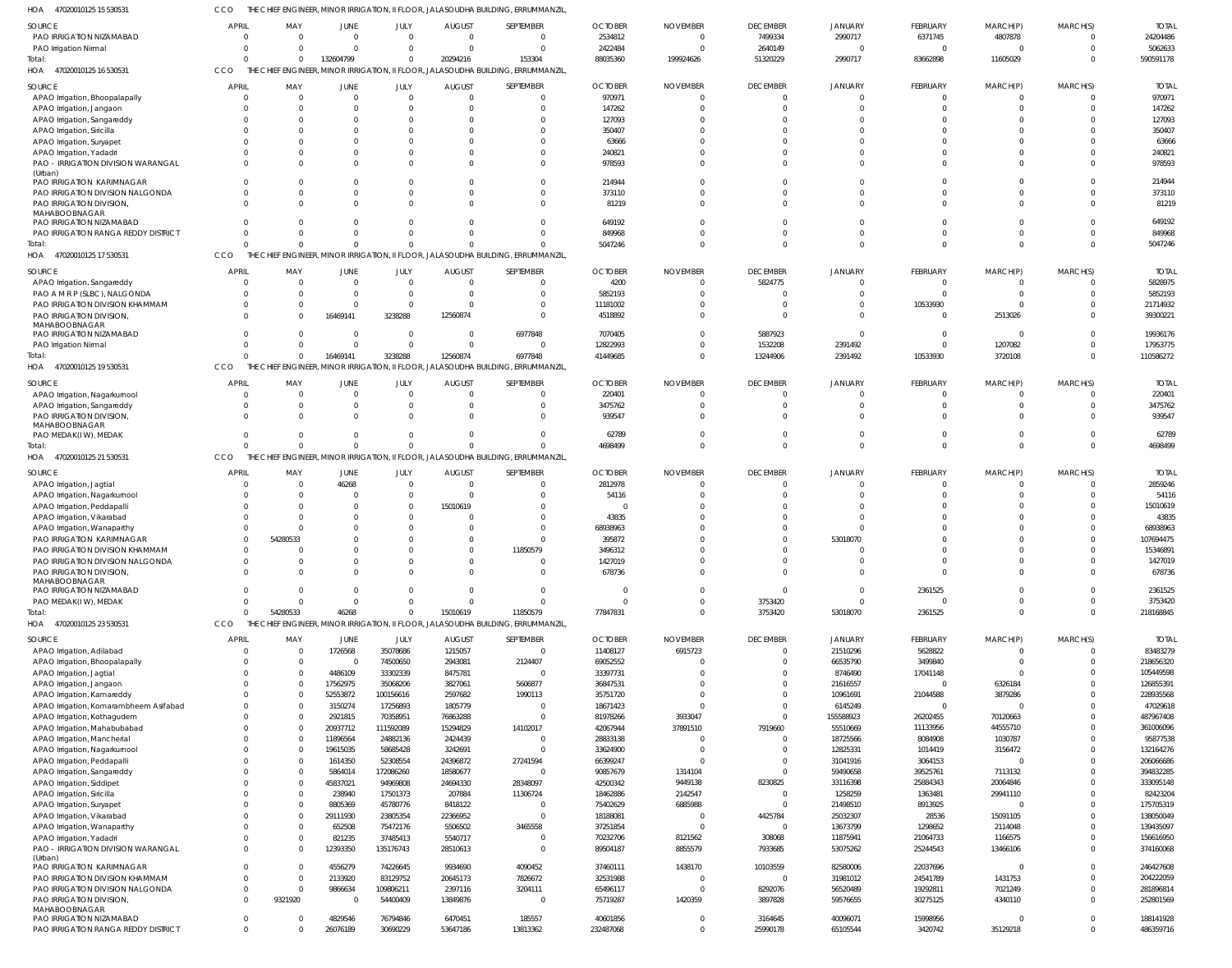47020010125 15 530531 HOA CCO THE CHIEF ENGINEER, MINOR IRRIGATION, II FLOOR, JALASOUDHA BUILDING, ERRUMMANZIL,

| PAO IRRIGATION NIZAMABAD                                    | <b>APRIL</b>         | MAY                      | JUNE                 | JULY                       | <b>AUGUST</b>        | SEPTEMBER                                                                                     | <b>OCTOBER</b>       | <b>NOVEMBER</b>     | <b>DECEMBER</b>      | <b>JANUARY</b>        | FEBRUARY             | MARCH(P)             | MARCH(S)             | <b>TOTAL</b>           |
|-------------------------------------------------------------|----------------------|--------------------------|----------------------|----------------------------|----------------------|-----------------------------------------------------------------------------------------------|----------------------|---------------------|----------------------|-----------------------|----------------------|----------------------|----------------------|------------------------|
|                                                             | $\Omega$             | $\Omega$                 | $\Omega$             | $\Omega$                   | $\mathbf 0$          | $\overline{\mathbf{0}}$                                                                       | 2534812              | $\mathbf{0}$        | 7499334              | 2990717               | 6371745              | 4807878              | $\Omega$             | 24204486               |
| PAO Irrigation Nirmal<br>Total:                             | $\Omega$<br>$\Omega$ | $\Omega$<br>$\mathbf{0}$ | $\Omega$             | $\Omega$<br>$\overline{0}$ | $\Omega$             | $\Omega$<br>153304                                                                            | 2422484              | $\Omega$            | 2640149              | $\mathbf{0}$          | $\Omega$             | $\Omega$             | $\Omega$<br>$\Omega$ | 5062633<br>590591178   |
| HOA 47020010125 16 530531                                   | CCO                  |                          | 132604799            |                            | 20294216             | THE CHIEF ENGINEER, MINOR IRRIGATION, II FLOOR, JALASOUDHA BUILDING, ERRUMMANZIL,             | 88035360             | 199924626           | 51320229             | 2990717               | 83662898             | 11605029             |                      |                        |
| <b>SOURCE</b>                                               | <b>APRIL</b>         | MAY                      | JUNE                 | JULY                       | <b>AUGUST</b>        | SEPTEMBER                                                                                     | <b>OCTOBER</b>       | <b>NOVEMBER</b>     | <b>DECEMBER</b>      | JANUARY               | FEBRUARY             | MARCH(P)             | MARCH(S)             | <b>TOTAL</b>           |
| APAO Irrigation, Bhoopalapally                              | $\Omega$             | $\Omega$                 | $\Omega$             | $\Omega$                   | $\Omega$             | $\Omega$                                                                                      | 970971               |                     | $\Omega$             | $\Omega$              | $\Omega$             |                      | $\Omega$             | 970971                 |
| APAO Irrigation, Jangaon                                    |                      | $\Omega$                 | $\Omega$             | $\Omega$                   |                      | $\Omega$                                                                                      | 147262               |                     | $\Omega$             | -C                    |                      |                      |                      | 147262                 |
| APAO Irrigation, Sangareddy                                 |                      | $\Omega$                 |                      |                            |                      | $\Omega$                                                                                      | 127093               |                     | $\Omega$             |                       |                      |                      |                      | 127093                 |
| APAO Irrigation, Siricilla                                  |                      | $\Omega$                 |                      |                            |                      |                                                                                               | 350407               |                     |                      |                       |                      |                      |                      | 350407                 |
| APAO Irrigation, Suryapet                                   |                      | $\Omega$                 |                      |                            |                      |                                                                                               | 63666                |                     |                      |                       |                      |                      |                      | 63666                  |
| APAO Irrigation, Yadadri                                    |                      | $\Omega$                 | $\Omega$             | $\Omega$                   |                      | $\Omega$                                                                                      | 240821               |                     | - 0                  | $\Omega$              |                      |                      |                      | 240821                 |
| PAO - IRRIGATION DIVISION WARANGAL                          |                      | $\Omega$                 |                      | $\Omega$                   |                      | $\Omega$                                                                                      | 978593               |                     |                      |                       |                      |                      |                      | 978593                 |
| (Urban)<br>PAO IRRIGATION KARIMNAGAR                        |                      | $\Omega$                 | $\Omega$             | $\Omega$                   |                      | $\Omega$                                                                                      | 214944               |                     | $\Omega$             | -C                    |                      |                      | $\Omega$             | 214944                 |
| PAO IRRIGATION DIVISION NALGONDA                            |                      | $\Omega$                 | $\Omega$             | $\Omega$                   |                      | $\Omega$                                                                                      | 373110               |                     | $\Omega$             | $\Omega$              |                      |                      |                      | 373110                 |
| PAO IRRIGATION DIVISION,                                    | $\Omega$             | $\Omega$                 | $\Omega$             | $\Omega$                   |                      | $\Omega$                                                                                      | 81219                |                     | $\Omega$             | $\Omega$              | $\Omega$             |                      |                      | 81219                  |
| MAHABOOBNAGAR                                               |                      |                          |                      |                            |                      |                                                                                               |                      |                     |                      |                       |                      |                      |                      |                        |
| PAO IRRIGATION NIZAMABAD                                    |                      | $\Omega$                 |                      |                            |                      |                                                                                               | 649192               |                     |                      | -C                    |                      |                      |                      | 649192                 |
| PAO IRRIGATION RANGA REDDY DISTRICT                         |                      | $\Omega$                 | $\Omega$             | $\Omega$                   |                      |                                                                                               | 849968               |                     | $\Omega$             | $\Omega$              |                      |                      | $\Omega$             | 849968                 |
| Total:                                                      |                      | $\Omega$                 | $\Omega$             | $\Omega$                   | $\Omega$             | $\Omega$<br>THE CHIEF ENGINEER, MINOR IRRIGATION, II FLOOR, JALASOUDHA BUILDING, ERRUMMANZIL, | 5047246              | $\Omega$            | $\Omega$             | $\Omega$              | $\Omega$             | $\Omega$             | $\Omega$             | 5047246                |
| HOA 47020010125 17 530531                                   | <b>CCO</b>           |                          |                      |                            |                      |                                                                                               |                      |                     |                      |                       |                      |                      |                      |                        |
| SOURCE                                                      | APRIL                | MAY                      | <b>JUNE</b>          | JULY                       | <b>AUGUST</b>        | SEPTEMBER                                                                                     | <b>OCTOBER</b>       | <b>NOVEMBER</b>     | <b>DECEMBER</b>      | JANUARY               | FEBRUARY             | MARCH(P)             | MARCH(S)             | <b>TOTAL</b>           |
| APAO Irrigation, Sangareddy                                 | $\Omega$             | $\mathbf 0$              | $\Omega$             | $\Omega$                   | $\Omega$             | $\Omega$                                                                                      | 4200                 | $\Omega$            | 5824775              | $\Omega$              | $\Omega$             | $\Omega$             | $\Omega$             | 5828975                |
| PAO A M R P (SLBC), NALGONDA                                | $\Omega$             | $\Omega$                 | $\Omega$             | $\Omega$                   | $\Omega$             | $\Omega$                                                                                      | 5852193              | $\Omega$            | $\Omega$             | $\Omega$              | $\Omega$             | $\Omega$             | $\Omega$             | 5852193                |
| PAO IRRIGATION DIVISION KHAMMAM<br>PAO IRRIGATION DIVISION, | $\Omega$<br>$\Omega$ | $\Omega$<br>$\Omega$     | $\Omega$<br>16469141 | $\Omega$                   | $\Omega$             | $\Omega$<br>$\Omega$                                                                          | 11181002             | $\Omega$            | $\Omega$<br>$\Omega$ | $\Omega$<br>$\Omega$  | 10533930<br>$\Omega$ | $\Omega$             | $\Omega$             | 21714932               |
| MAHABOOBNAGAR                                               |                      |                          |                      | 3238288                    | 12560874             |                                                                                               | 4518892              |                     |                      |                       |                      | 2513026              |                      | 39300221               |
| PAO IRRIGATION NIZAMABAD                                    | $\Omega$             | $\Omega$                 | $\Omega$             | $\overline{0}$             | $\mathbf{0}$         | 6977848                                                                                       | 7070405              | $\Omega$            | 5887923              | $\Omega$              | $\Omega$             | $^{\circ}$           | $\Omega$             | 19936176               |
| PAO Irrigation Nirmal                                       | $\Omega$             | $\Omega$                 | $\Omega$             | $\Omega$                   | $\Omega$             | $\Omega$                                                                                      | 12822993             | $\Omega$            | 1532208              | 2391492               | $\Omega$             | 1207082              | $\Omega$             | 17953775               |
| Total:                                                      | $\Omega$             | $\Omega$                 | 16469141             | 3238288                    | 12560874             | 6977848                                                                                       | 41449685             | $\Omega$            | 13244906             | 2391492               | 10533930             | 3720108              | $\Omega$             | 110586272              |
| 47020010125 19 530531<br>HOA                                | <b>CCO</b>           |                          |                      |                            |                      | THE CHIEF ENGINEER, MINOR IRRIGATION, II FLOOR, JALASOUDHA BUILDING, ERRUMMANZIL,             |                      |                     |                      |                       |                      |                      |                      |                        |
| SOURCE                                                      | <b>APRIL</b>         | MAY                      | JUNE                 | JULY                       | <b>AUGUST</b>        | SEPTEMBER                                                                                     | <b>OCTOBER</b>       | <b>NOVEMBER</b>     | <b>DECEMBER</b>      | <b>JANUARY</b>        | FEBRUARY             | MARCH(P)             | MARCH(S)             | <b>TOTAL</b>           |
| APAO Irrigation, Nagarkurnool                               | $\Omega$             | $\Omega$                 | $\Omega$             | $\Omega$                   | $\Omega$             | $\Omega$                                                                                      | 220401               | $\Omega$            | $\Omega$             | $\Omega$              | $\Omega$             |                      | $\Omega$             | 220401                 |
| APAO Irrigation, Sangareddy                                 | $\Omega$             | $\Omega$                 | $\Omega$             | $\Omega$                   | $\Omega$             | $\Omega$                                                                                      | 3475762              |                     | $\Omega$             | $\Omega$              | $\Omega$             |                      |                      | 3475762                |
| PAO IRRIGATION DIVISION,                                    | $\Omega$             | $\Omega$                 | $\Omega$             | $\Omega$                   |                      | $\Omega$                                                                                      | 939547               |                     |                      | $\Omega$              |                      |                      |                      | 939547                 |
| MAHABOOBNAGAR                                               | $\Omega$             |                          | $\Omega$             |                            | $\Omega$             |                                                                                               |                      |                     |                      |                       |                      |                      |                      |                        |
| PAO MEDAK(IW), MEDAK<br>Total:                              |                      | $\Omega$<br>$\Omega$     | $\Omega$             | $\Omega$<br>$\Omega$       | $\Omega$             | $\Omega$                                                                                      | 62789<br>4698499     | $\Omega$            | $\Omega$<br>$\Omega$ | $\Omega$<br>$\Omega$  | $\Omega$             | $\Omega$             | $\Omega$             | 62789<br>4698499       |
| 47020010125 21 530531<br>HOA                                | CCO                  |                          |                      |                            |                      | THE CHIEF ENGINEER, MINOR IRRIGATION, II FLOOR, JALASOUDHA BUILDING, ERRUMMANZIL,             |                      |                     |                      |                       |                      |                      |                      |                        |
|                                                             |                      |                          |                      |                            |                      |                                                                                               |                      |                     |                      |                       |                      |                      |                      |                        |
| SOURCE                                                      | <b>APRIL</b>         | MAY                      | JUNE                 | JULY                       | <b>AUGUST</b>        | SEPTEMBER                                                                                     | <b>OCTOBER</b>       | <b>NOVEMBER</b>     | <b>DECEMBER</b>      | <b>JANUARY</b>        | FEBRUARY             | MARCH(P)             | MARCH(S)             | <b>TOTAL</b>           |
| APAO Irrigation, Jagtial                                    | $\Omega$             | $\mathbf 0$              | 46268                | $\Omega$                   | $\Omega$             | $\Omega$                                                                                      | 2812978              | $\Omega$            | $\Omega$             | $\Omega$              | $\Omega$             |                      | $\Omega$             | 2859246                |
| APAO Irrigation, Nagarkurnool                               | $\Omega$             | $\Omega$                 | $\Omega$             | $\Omega$                   | $\Omega$             | $\Omega$                                                                                      | 54116                | $\Omega$            | $\Omega$             | $\Omega$              | $\Omega$             |                      |                      | 54116                  |
| APAO Irrigation, Peddapalli                                 |                      | $\Omega$<br>$\Omega$     | $\Omega$<br>$\Omega$ | $\Omega$<br>$\Omega$       | 15010619<br>$\Omega$ | $\Omega$<br>$\Omega$                                                                          | 43835                |                     |                      |                       |                      |                      |                      | 15010619<br>43835      |
| APAO Irrigation, Vikarabad<br>APAO Irrigation, Wanaparthy   |                      | $\Omega$                 | $\Omega$             | $\Omega$                   | $\Omega$             | $\Omega$                                                                                      | 68938963             |                     |                      |                       |                      |                      |                      | 68938963               |
| PAO IRRIGATION KARIMNAGAR                                   | $\Omega$             | 54280533                 | $\Omega$             |                            | $\Omega$             | $\Omega$                                                                                      | 395872               |                     |                      | 53018070              |                      |                      |                      | 107694475              |
| PAO IRRIGATION DIVISION KHAMMAM                             |                      |                          |                      |                            |                      |                                                                                               |                      |                     |                      |                       |                      |                      |                      | 15346891               |
| PAO IRRIGATION DIVISION NALGONDA                            | $\Omega$             | $\Omega$                 | $\Omega$             |                            | $\Omega$             | 11850579                                                                                      |                      |                     |                      | $\Omega$              |                      |                      |                      |                        |
| PAO IRRIGATION DIVISION,                                    |                      | $\Omega$                 | $\Omega$             | $\Omega$                   | $\Omega$             | $\Omega$                                                                                      | 3496312<br>1427019   |                     |                      | $\Omega$              |                      |                      |                      | 1427019                |
| MAHABOOBNAGAR                                               | $\mathbf 0$          | $\mathbf{0}$             | $\Omega$             | $\overline{0}$             | $\mathbf{0}$         | $\overline{0}$                                                                                | 678736               | $\Omega$            | $\overline{0}$       | $\overline{0}$        | $\Omega$             | $\Omega$             | $\mathbf{0}$         | 678736                 |
|                                                             |                      |                          |                      |                            |                      |                                                                                               |                      |                     |                      |                       |                      |                      |                      |                        |
| PAO IRRIGATION NIZAMABAD                                    | $\overline{0}$       | $\mathbf{0}$             | $\Omega$             | $\Omega$                   | $\mathbf{0}$         | $\overline{\phantom{0}}$                                                                      | $^{\circ}$           | $\Omega$            | $\overline{0}$       | $\overline{0}$        | 2361525              | $\Omega$             | $\mathbf 0$          | 2361525                |
| PAO MEDAK(IW), MEDAK                                        | $\Omega$             | $\Omega$                 | $\Omega$             | $\Omega$                   | $\Omega$             | $\overline{0}$                                                                                | $\Omega$             | $\Omega$            | 3753420              | $\overline{0}$        | $\Omega$             | $\Omega$             | $\Omega$             | 3753420                |
| Total:                                                      | $\Omega$             | 54280533                 | 46268                | $\overline{0}$             | 15010619             | 11850579                                                                                      | 77847831             | $\mathbf 0$         | 3753420              | 53018070              | 2361525              | $\Omega$             | $\Omega$             | 218168845              |
| HOA 47020010125 23 530531                                   | CCO                  |                          |                      |                            |                      | THE CHIEF ENGINEER, MINOR IRRIGATION, II FLOOR, JALASOUDHA BUILDING, ERRUMMANZIL,             |                      |                     |                      |                       |                      |                      |                      |                        |
| SOURCE                                                      | <b>APRIL</b>         | MAY                      | JUNE                 | JULY                       | <b>AUGUST</b>        | SEPTEMBER                                                                                     | <b>OCTOBER</b>       | <b>NOVEMBER</b>     | <b>DECEMBER</b>      | JANUARY               | FEBRUARY             | MARCH(P)             | MARCH(S)             | <b>TOTAL</b>           |
| APAO Irrigation, Adilabad                                   | $\Omega$             | $\Omega$                 | 1726568              | 35078686                   | 1215057              | $\Omega$                                                                                      | 11408127             | 6915723             | $\mathbf 0$          | 21510296              | 5628822              |                      | $\Omega$             | 83483279               |
| APAO Irrigation, Bhoopalapally                              | $\Omega$             | $\Omega$                 | $\overline{0}$       | 74500650                   | 2943081              | 2124407                                                                                       | 69052552             |                     | $\Omega$             | 66535790              | 3499840              | $\Omega$             | $\Omega$             | 218656320              |
| APAO Irrigation, Jagtial                                    | $\Omega$             | $\Omega$                 | 4486109              | 33302339                   | 8475781              | $\Omega$                                                                                      | 33397731             |                     | $\Omega$             | 8746490               | 17041148             | $\cup$               | $\Omega$             | 105449598              |
| APAO Irrigation, Jangaon                                    | $\Omega$             | $\Omega$                 | 17562975             | 35068206                   | 3827061              | 5606877                                                                                       | 36847531             |                     | $\Omega$             | 21616557              | $\Omega$             | 6326184              |                      | 126855391              |
| APAO Irrigation, Kamareddy                                  | $\Omega$<br>$\Omega$ | $\Omega$<br>$\Omega$     | 52553872             | 100156616                  | 2597682              | 1990113                                                                                       | 35751720             |                     | $\Omega$<br>$\Omega$ | 10961691              | 21044588<br>$\Omega$ | 3879286<br>$\Omega$  | $\Omega$             | 228935568              |
| APAO Irrigation, Komarambheem Asifabad                      | $\Omega$             | $\Omega$                 | 3150274              | 17256893                   | 1805779              | $\overline{0}$<br>$\Omega$                                                                    | 18671423             |                     | $\Omega$             | 6145249               |                      |                      | $\Omega$             | 47029618               |
| APAO Irrigation, Kothagudem<br>APAO Irrigation, Mahabubabad | $\Omega$             | $\Omega$                 | 2921815<br>20937712  | 70358951<br>111592089      | 76863288<br>15294829 | 14102017                                                                                      | 81978266<br>42067944 | 3933047<br>37891510 | 7919660              | 155588923<br>55510669 | 26202455<br>11133956 | 70120663<br>44555710 |                      | 487967408<br>361006096 |
| APAO Irrigation, Mancherial                                 | $\Omega$             | $\Omega$                 | 11896564             | 24882136                   | 2424439              | $\Omega$                                                                                      | 28833138             |                     | $\Omega$             | 18725566              | 8084908              | 1030787              | $\Omega$             | 95877538               |
| APAO Irrigation, Nagarkurnool                               | $\Omega$             | $\Omega$                 | 19615035             | 58685428                   | 3242691              | $\Omega$                                                                                      | 33624900             | $\Omega$            | $\Omega$             | 12825331              | 1014419              | 3156472              |                      | 132164276              |
| APAO Irrigation, Peddapalli                                 |                      | $\Omega$                 | 1614350              | 52308554                   | 24396872             | 27241594                                                                                      | 66399247             |                     | $\Omega$             | 31041916              | 3064153              |                      | $\Omega$             | 206066686              |
| APAO Irrigation, Sangareddy                                 | $\Omega$             | $\Omega$                 | 5864014              | 172086260                  | 18580677             | $\Omega$                                                                                      | 90857679             | 1314104             | $\Omega$             | 59490658              | 39525761             | 7113132              | $\Omega$             | 394832285              |
| APAO Irrigation, Siddipet                                   |                      | $\Omega$                 | 45837021             | 94969808                   | 24694330             | 28348097                                                                                      | 42500342             | 9449138             | 8230825              | 33116398              | 25884343             | 20064846             | $\Omega$             | 333095148              |
| APAO Irrigation, Siricilla                                  |                      | $\Omega$                 | 238940               | 17501373                   | 207884               | 11306724                                                                                      | 18462886             | 2142547             | $\Omega$             | 1258259               | 1363481              | 29941110             |                      | 82423204               |
| APAO Irrigation, Suryapet                                   | $\Omega$             | $\Omega$                 | 8805369              | 45780776                   | 8418122              | $\Omega$                                                                                      | 75402629             | 6885988             | $\Omega$             | 21498510              | 8913925              | $\Omega$             | $\Omega$             | 175705319              |
| APAO Irrigation, Vikarabad                                  |                      | $\Omega$                 | 29111930             | 23805354                   | 22366952             | $\overline{0}$                                                                                | 18188081             | $\Omega$            | 4425784              | 25032307              | 28536                | 15091105             | $\Omega$             | 138050049              |
| APAO Irrigation, Wanaparthy                                 | $\Omega$             | $\Omega$                 | 652508               | 75472176                   | 5506502              | 3465558                                                                                       | 37251854             |                     | $\overline{0}$       | 13673799              | 1298652              | 2114048              | $\Omega$<br>$\Omega$ | 139435097              |
| APAO Irrigation, Yadadri                                    | $\Omega$<br>$\Omega$ | $\Omega$<br>$\Omega$     | 821235               | 37485413                   | 5540717              | $\overline{0}$<br>$\Omega$                                                                    | 70232706             | 8121562             | 308068               | 11875941              | 21064733             | 1166575              | $\Omega$             | 156616950              |
| PAO - IRRIGATION DIVISION WARANGAL<br>(Urban)               |                      |                          | 12393350             | 135176743                  | 28510613             |                                                                                               | 89504187             | 8855579             | 7933685              | 53075262              | 25244543             | 13466106             |                      | 374160068              |
| PAO IRRIGATION KARIMNAGAR                                   | $\Omega$             | $\Omega$                 | 4556279              | 74226645                   | 9934690              | 4090452                                                                                       | 37460111             | 1438170             | 10103559             | 82580006              | 22037696             | $\mathbf 0$          | $\Omega$             | 246427608              |
| PAO IRRIGATION DIVISION KHAMMAM                             | $\Omega$             | $\Omega$                 | 2133920              | 83129752                   | 20645173             | 7826672                                                                                       | 32531988             |                     | $\overline{0}$       | 31981012              | 24541789             | 1431753              | $\Omega$             | 204222059              |
| PAO IRRIGATION DIVISION NALGONDA                            | $\overline{0}$       | $\Omega$                 | 9866634              | 109806211                  | 2397116              | 3204111                                                                                       | 65496117             | $\Omega$            | 8292076              | 56520489              | 19292811             | 7021249              | $\Omega$             | 281896814              |
| PAO IRRIGATION DIVISION,                                    | $\Omega$             | 9321920                  | $\Omega$             | 54400409                   | 13849876             | - 0                                                                                           | 75719287             | 1420359             | 3897828              | 59576655              | 30275125             | 4340110              | $\Omega$             | 252801569              |
| MAHABOOBNAGAR<br>PAO IRRIGATION NIZAMABAD                   | $\overline{0}$       | $\Omega$                 | 4829546              | 76794846                   | 6470451              | 185557                                                                                        | 40601856             | $\Omega$            | 3164645              | 40096071              | 15998956             | $\Omega$             | $\Omega$             | 188141928              |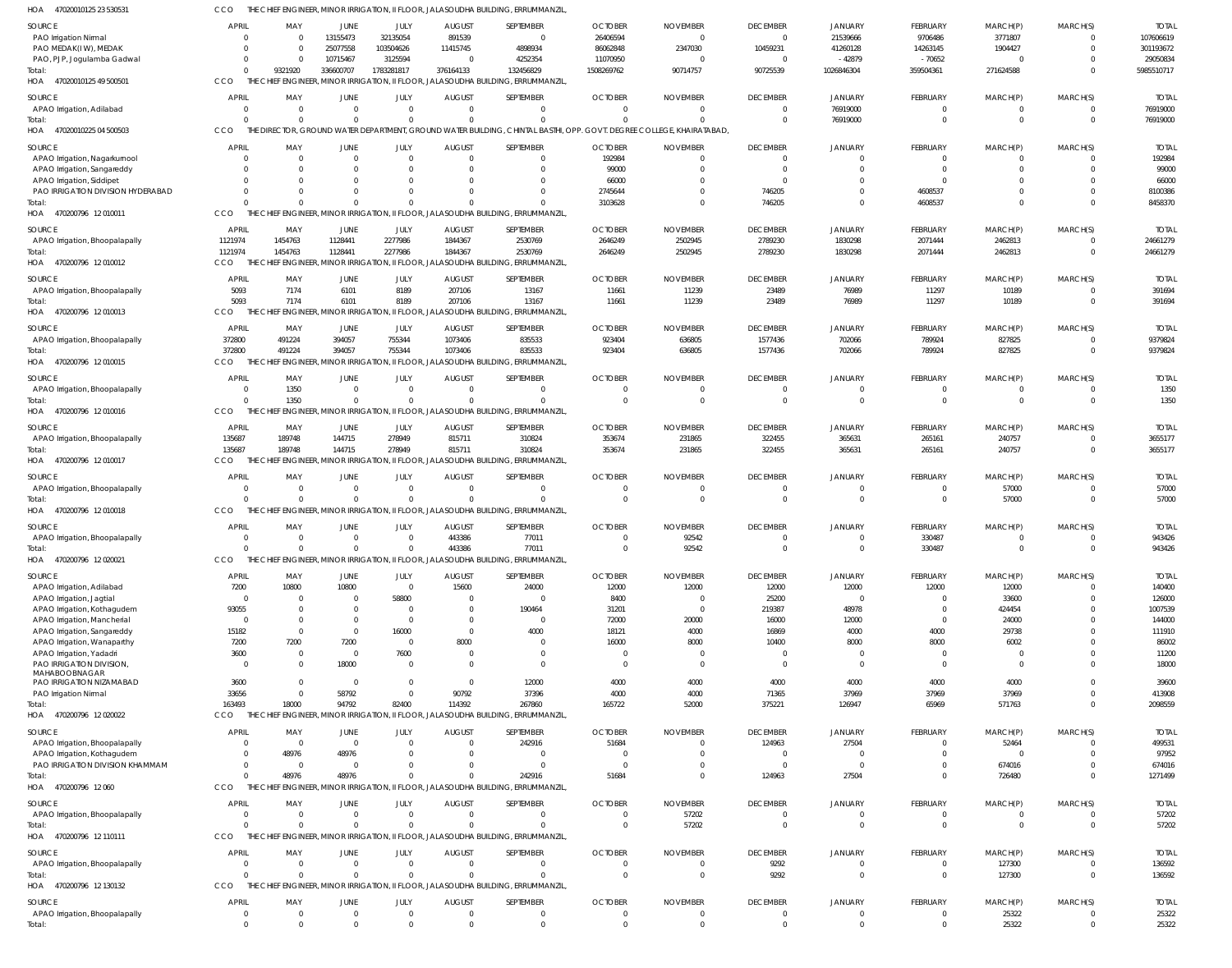| HOA<br>47020010125 23 53053              | CCO            |                                  |                 |                 |                          | THE CHIEF ENGINEER, MINOR IRRIGATION, II FLOOR, JALASOUDHA BUILDING, ERRUMMANZIL                                      |                |                            |                            |                    |                            |                     |                      |              |
|------------------------------------------|----------------|----------------------------------|-----------------|-----------------|--------------------------|-----------------------------------------------------------------------------------------------------------------------|----------------|----------------------------|----------------------------|--------------------|----------------------------|---------------------|----------------------|--------------|
| SOURCE                                   | <b>APRIL</b>   | MAY                              | JUNE            | JULY            | <b>AUGUST</b>            | SEPTEMBER                                                                                                             | <b>OCTOBER</b> | <b>NOVEMBER</b>            | <b>DECEMBER</b>            | JANUARY            | FEBRUARY                   | MARCH(P)            | MARCH(S)             | <b>TOTAL</b> |
| PAO Irrigation Nirmal                    | $\Omega$       | $\overline{0}$                   | 13155473        | 32135054        | 891539                   | $\overline{0}$                                                                                                        | 26406594       | $\overline{0}$             | $\overline{0}$             | 21539666           | 9706486                    | 3771807             | $\Omega$             | 107606619    |
| PAO MEDAK(IW), MEDAK                     | $\Omega$       | - 0                              | 25077558        | 103504626       | 11415745                 | 4898934                                                                                                               | 86062848       | 2347030                    | 10459231                   | 41260128           | 14263145                   | 1904427             | $\Omega$             | 301193672    |
| PAO, PJP, Jogulamba Gadwal               | $\Omega$       | - 0                              | 10715467        | 3125594         | $\mathbf{0}$             | 4252354                                                                                                               | 11070950       | $\overline{0}$             | $\overline{0}$             | $-42879$           | $-70652$                   | $\mathbf 0$         | $\Omega$             | 29050834     |
| Total:                                   | $\Omega$       | 9321920                          | 336600707       | 1783281817      | 376164133                | 132456829                                                                                                             | 1508269762     | 90714757                   | 90725539                   | 1026846304         | 359504361                  | 271624588           | $\Omega$             | 5985510717   |
| HOA 47020010125 49 500501                | CCO            |                                  |                 |                 |                          | THE CHIEF ENGINEER, MINOR IRRIGATION, II FLOOR, JALASOUDHA BUILDING, ERRUMMANZIL                                      |                |                            |                            |                    |                            |                     |                      |              |
| SOURCE                                   | APRIL          | MAY                              | JUNE            | JULY            | <b>AUGUST</b>            | SEPTEMBER                                                                                                             | <b>OCTOBER</b> | <b>NOVEMBER</b>            | <b>DECEMBER</b>            | JANUARY            | <b>FEBRUARY</b>            | MARCH(P)            | MARCH(S)             | <b>TOTAI</b> |
| APAO Irrigation, Adilabad                | $\overline{0}$ | $\overline{0}$                   | $\overline{0}$  | $\Omega$        | $\mathbf{0}$             | $\overline{0}$                                                                                                        | $\overline{0}$ | $\overline{0}$             | $\overline{0}$             | 76919000           | $\overline{0}$             | $\mathbf 0$         | $\Omega$             | 76919000     |
| Total:                                   | $\Omega$       | $\Omega$                         | $\Omega$        | $\cap$          | $\Omega$                 | $\Omega$                                                                                                              | $\Omega$       | $\Omega$                   | $\Omega$                   | 76919000           | $\overline{0}$             | $\overline{0}$      | $\Omega$             | 76919000     |
| HOA 47020010225 04 500503                | CCO            |                                  |                 |                 |                          | THE DIRECTOR, GROUND WATER DEPARTMENT, GROUND WATER BUILDING, CHINTAL BASTHI, OPP. GOVT. DEGREE COLLEGE, KHAIRATABAD, |                |                            |                            |                    |                            |                     |                      |              |
| SOURCE                                   | <b>APRIL</b>   | MAY                              | JUNE            | JULY            | <b>AUGUST</b>            | SEPTEMBER                                                                                                             | <b>OCTOBER</b> | <b>NOVEMBER</b>            | <b>DECEMBER</b>            | JANUARY            | FEBRUARY                   | MARCH(P)            | MARCH(S)             | <b>TOTAI</b> |
| APAO Irrigation, Nagarkurnool            | $\Omega$       | $\overline{0}$                   | $\overline{0}$  | $\Omega$        | $\overline{0}$           | $\Omega$                                                                                                              | 192984         | $\overline{0}$             | $\Omega$                   | $\Omega$           | $^{\circ}$                 | -0                  | $\Omega$             | 192984       |
| APAO Irrigation, Sangareddy              | $\Omega$       | $\Omega$                         | $\Omega$        | $\Omega$        | $\overline{0}$           |                                                                                                                       | 99000          | $\mathbf{0}$               | $\Omega$                   | $\Omega$           | $\mathbf 0$                | -0                  | $\Omega$             | 99000        |
| APAO Irrigation, Siddipet                | $\Omega$       | $\Omega$                         | $\Omega$        | $\Omega$        | $\Omega$                 |                                                                                                                       | 66000          | $\Omega$                   | $\Omega$                   | $\Omega$           | $\Omega$                   | $\Omega$            |                      | 66000        |
| PAO IRRIGATION DIVISION HYDERABAD        | $\Omega$       | $\Omega$                         | $\Omega$        | $\cap$          | $\Omega$                 | $\Omega$                                                                                                              | 2745644        | $\Omega$                   | 746205                     | $\Omega$           | 4608537                    | $\mathbf 0$         | $\Omega$             | 8100386      |
| Total:                                   | $\Omega$       | $\Omega$                         | $\Omega$        |                 | $\Omega$                 | $\Omega$                                                                                                              | 3103628        | $\Omega$                   | 746205                     | $\Omega$           | 4608537                    | $\Omega$            | $\Omega$             | 8458370      |
| HOA 470200796 12010011                   | CCO            |                                  |                 |                 |                          | THE CHIEF ENGINEER, MINOR IRRIGATION, II FLOOR, JALASOUDHA BUILDING, ERRUMMANZIL                                      |                |                            |                            |                    |                            |                     |                      |              |
|                                          | APRIL          |                                  |                 |                 |                          |                                                                                                                       | <b>OCTOBER</b> |                            |                            |                    |                            |                     |                      | <b>TOTAI</b> |
| SOURCE                                   | 1121974        | MAY<br>1454763                   | JUNE<br>1128441 | JULY<br>2277986 | <b>AUGUST</b><br>1844367 | SEPTEMBER<br>2530769                                                                                                  | 2646249        | <b>NOVEMBER</b><br>2502945 | <b>DECEMBER</b><br>2789230 | JANUARY<br>1830298 | <b>FEBRUARY</b><br>2071444 | MARCH(P)<br>2462813 | MARCH(S)<br>$\Omega$ | 24661279     |
| APAO Irrigation, Bhoopalapally<br>Total: | 1121974        | 1454763                          | 1128441         | 2277986         | 1844367                  | 2530769                                                                                                               | 2646249        | 2502945                    | 2789230                    | 1830298            | 2071444                    | 2462813             | $\Omega$             | 24661279     |
| HOA 470200796 12010012                   | <b>CCO</b>     |                                  |                 |                 |                          | THE CHIEF ENGINEER, MINOR IRRIGATION, II FLOOR, JALASOUDHA BUILDING, ERRUMMANZIL                                      |                |                            |                            |                    |                            |                     |                      |              |
|                                          |                |                                  |                 |                 |                          |                                                                                                                       |                |                            |                            |                    |                            |                     |                      |              |
| SOURCE                                   | <b>APRIL</b>   | MAY                              | JUNE            | JULY            | <b>AUGUST</b>            | SEPTEMBER                                                                                                             | <b>OCTOBER</b> | <b>NOVEMBER</b>            | <b>DECEMBER</b>            | JANUARY            | FEBRUARY                   | MARCH(P)            | MARCH(S)             | <b>TOTAL</b> |
| APAO Irrigation, Bhoopalapally           | 5093           | 7174                             | 6101            | 8189            | 207106                   | 13167                                                                                                                 | 11661          | 11239                      | 23489                      | 76989              | 11297                      | 10189               | $\Omega$             | 391694       |
| Total:                                   | 5093           | 7174                             | 6101            | 8189            | 207106                   | 13167                                                                                                                 | 11661          | 11239                      | 23489                      | 76989              | 11297                      | 10189               | $\overline{0}$       | 391694       |
| HOA 470200796 12 010013                  | CCO            |                                  |                 |                 |                          | THE CHIEF ENGINEER, MINOR IRRIGATION, II FLOOR, JALASOUDHA BUILDING, ERRUMMANZIL                                      |                |                            |                            |                    |                            |                     |                      |              |
| SOURCE                                   | APRIL          | MAY                              | JUNE            | JULY            | <b>AUGUST</b>            | SEPTEMBER                                                                                                             | <b>OCTOBER</b> | <b>NOVEMBER</b>            | <b>DECEMBER</b>            | JANUARY            | <b>FEBRUARY</b>            | MARCH(P)            | MARCH(S)             | <b>TOTAL</b> |
| APAO Irrigation, Bhoopalapally           | 372800         | 491224                           | 394057          | 755344          | 1073406                  | 835533                                                                                                                | 923404         | 636805                     | 1577436                    | 702066             | 789924                     | 827825              | $\Omega$             | 9379824      |
| Total:                                   | 372800         | 491224                           | 394057          | 755344          | 1073406                  | 835533                                                                                                                | 923404         | 636805                     | 1577436                    | 702066             | 789924                     | 827825              | $\Omega$             | 9379824      |
| HOA 470200796 12 010015                  | CCO            | CHIEF ENGINEER,<br>THE           |                 |                 |                          | MINOR IRRIGATION, II FLOOR, JALASOUDHA BUILDING, ERRUMMANZIL                                                          |                |                            |                            |                    |                            |                     |                      |              |
| SOURCE                                   | <b>APRIL</b>   | MAY                              | <b>JUNE</b>     | JULY            | <b>AUGUST</b>            | SEPTEMBER                                                                                                             | <b>OCTOBER</b> | <b>NOVEMBER</b>            | <b>DECEMBER</b>            | JANUARY            | <b>FEBRUARY</b>            | MARCH(P)            | MARCH(S)             | <b>TOTAI</b> |
| APAO Irrigation, Bhoopalapally           | $\Omega$       | 1350                             | $\overline{0}$  | $\Omega$        | $\overline{0}$           | $\Omega$                                                                                                              | $\overline{0}$ | $\overline{0}$             | $\mathbf{0}$               | $\Omega$           | $\mathbf 0$                | $\mathbf 0$         | $\Omega$             | 1350         |
| Total:                                   | $\Omega$       | 1350                             | $\Omega$        | $\Omega$        | $\Omega$                 | $\Omega$                                                                                                              | $\Omega$       | $\Omega$                   | $\Omega$                   | $\Omega$           | $\overline{0}$             | $\overline{0}$      | $\Omega$             | 1350         |
| HOA 470200796 12010016                   | CCO            |                                  |                 |                 |                          | THE CHIEF ENGINEER, MINOR IRRIGATION, II FLOOR, JALASOUDHA BUILDING, ERRUMMANZIL                                      |                |                            |                            |                    |                            |                     |                      |              |
|                                          |                |                                  |                 |                 |                          |                                                                                                                       |                |                            |                            |                    |                            |                     |                      |              |
| SOURCE                                   | APRIL          | MAY                              | JUNE            | JULY            | <b>AUGUST</b>            | SEPTEMBER                                                                                                             | <b>OCTOBER</b> | <b>NOVEMBER</b>            | <b>DECEMBER</b>            | <b>JANUARY</b>     | <b>FEBRUARY</b>            | MARCH(P)            | MARCH(S)             | <b>TOTAL</b> |
| APAO Irrigation, Bhoopalapally           | 135687         | 189748                           | 144715          | 278949          | 815711                   | 310824                                                                                                                | 353674         | 231865                     | 322455                     | 365631             | 265161                     | 240757              | $\Omega$             | 3655177      |
| Total:                                   | 135687<br>CCO  | 189748<br>THE<br>CHIEF ENGINEER, | 144715          | 278949          | 815711                   | 310824<br>MINOR IRRIGATION, II FLOOR, JALASOUDHA BUILDING, ERRUMMANZIL                                                | 353674         | 231865                     | 322455                     | 365631             | 265161                     | 240757              | $\Omega$             | 3655177      |
| HOA 470200796 12010017                   |                |                                  |                 |                 |                          |                                                                                                                       |                |                            |                            |                    |                            |                     |                      |              |
| SOURCE                                   | <b>APRIL</b>   | MAY                              | JUNE            | JULY            | <b>AUGUST</b>            | SEPTEMBER                                                                                                             | <b>OCTOBER</b> | <b>NOVEMBER</b>            | <b>DECEMBER</b>            | <b>JANUARY</b>     | <b>FEBRUARY</b>            | MARCH(P)            | MARCH(S)             | <b>TOTAL</b> |
| APAO Irrigation, Bhoopalapally           | $\overline{0}$ | $\overline{0}$                   | $\overline{0}$  | $\Omega$        | $\overline{0}$           | $\Omega$                                                                                                              | $\mathbf{0}$   | $\Omega$                   | $\Omega$                   | $\Omega$           | $^{\circ}$                 | 57000               | $\Omega$             | 57000        |
| Total:                                   | $\Omega$       | $\Omega$                         | $\Omega$        | $\Omega$        | $\Omega$                 | $\Omega$                                                                                                              | $\mathbf{0}$   | $\overline{0}$             | $\Omega$                   | $\Omega$           | $\overline{0}$             | 57000               | $\Omega$             | 57000        |
| HOA 470200796 12010018                   | CCO            |                                  |                 |                 |                          | THE CHIEF ENGINEER, MINOR IRRIGATION, II FLOOR, JALASOUDHA BUILDING, ERRUMMANZIL                                      |                |                            |                            |                    |                            |                     |                      |              |
| SOURCE                                   | <b>APRIL</b>   | MAY                              | JUNE            | JULY            | <b>AUGUST</b>            | SEPTEMBER                                                                                                             | <b>OCTOBER</b> | <b>NOVEMBER</b>            | <b>DECEMBER</b>            | <b>JANUARY</b>     | <b>FEBRUARY</b>            | MARCH(P)            | MARCH(S)             | <b>TOTAI</b> |
| APAO Irrigation, Bhoopalapally           | $\Omega$       | $\overline{0}$                   | 0               | $\Omega$        | 443386                   | 77011                                                                                                                 | $\overline{0}$ | 92542                      | $\Omega$                   | $\Omega$           | 330487                     | -0                  |                      | 943426       |
| Total:                                   | $\Omega$       | $\overline{0}$                   | $\Omega$        | $\Omega$        | 443386                   | 77011                                                                                                                 | $\overline{0}$ | 92542                      | $\Omega$                   | $\Omega$           | 330487                     | $\Omega$            | $\Omega$             | 943426       |
| HOA<br>470200796 12 020021               | CCO            |                                  |                 |                 |                          | THE CHIEF ENGINEER, MINOR IRRIGATION, II FLOOR, JALASOUDHA BUILDING, ERRUMMANZIL                                      |                |                            |                            |                    |                            |                     |                      |              |
| <b>SOURCE</b>                            | <b>APRIL</b>   | MAY                              | <b>JUNE</b>     | JULY            | <b>AUGUST</b>            | SEPTEMBER                                                                                                             | <b>OCTOBER</b> | <b>NOVEMBER</b>            | <b>DECEMBER</b>            | JANUARY            | FEBRUARY                   | MARCH(P)            | MARCH(S)             | <b>TOTAI</b> |
| APAO Irrigation, Adilabad                | 7200           | 10800                            | 10800           | $\Omega$        | 15600                    | 24000                                                                                                                 | 12000          | 12000                      | 12000                      | 12000              | 12000                      | 12000               | $\Omega$             | 140400       |
| APAO Irrigation, Jagtial                 | $\Omega$       | $\overline{0}$                   | 0               | 58800           | 0                        | $\Omega$                                                                                                              | 8400           | $\overline{0}$             | 25200                      | $\Omega$           | $\mathbf 0$                | 33600               | $\Omega$             | 126000       |
| APAO Irrigation, Kothagudem              | 93055          | 0                                | 0               | $\overline{0}$  | 0                        | 190464                                                                                                                | 31201          | $\overline{0}$             | 219387                     | 48978              | $\mathbf 0$                | 424454              | $\Omega$             | 1007539      |
| APAO Irrigation, Mancherial              | $\Omega$       | 0                                | 0               | $\overline{0}$  | $\overline{0}$           | $\Omega$                                                                                                              | 72000          | 20000                      | 16000                      | 12000              | $\mathbf 0$                | 24000               |                      | 144000       |
| APAO Irrigation, Sangareddy              | 15182          | $\overline{0}$                   | $\mathbf 0$     | 16000           | $\mathbf 0$              | 4000                                                                                                                  | 18121          | 4000                       | 16869                      | 4000               | 4000                       | 29738               | $\Omega$             | 111910       |
| APAO Irrigation, Wanaparthy              | 7200           | 7200                             | 7200            | $\overline{0}$  | 8000                     | $\Omega$                                                                                                              | 16000          | 8000                       | 10400                      | 8000               | 8000                       | 6002                | $\Omega$             | 86002        |
| APAO Irrigation, Yadadri                 | 3600           | $\overline{0}$                   | $\mathbf{0}$    | 7600            | $\overline{0}$           | $\Omega$                                                                                                              | $\overline{0}$ | $\overline{0}$             | $\Omega$                   | $\Omega$           | $\overline{0}$             | $\overline{0}$      | $\Omega$             | 11200        |
| PAO IRRIGATION DIVISION,                 | $\Omega$       | $\Omega$                         | 18000           | $\overline{0}$  | $\overline{0}$           | $\Omega$                                                                                                              | $\overline{0}$ | $\Omega$                   | $\Omega$                   | $\Omega$           | $\mathbf 0$                | $\overline{0}$      | $\Omega$             | 18000        |
| MAHABOOBNAGAR                            |                |                                  |                 |                 |                          |                                                                                                                       |                |                            |                            |                    |                            |                     |                      |              |
| PAO IRRIGATION NIZAMABAD                 | 3600           | $\overline{0}$                   | $\overline{0}$  | $\Omega$        | $\overline{0}$           | 12000                                                                                                                 | 4000           | 4000                       | 4000                       | 4000               | 4000                       | 4000                | $\Omega$             | 39600        |
| PAO Irrigation Nirmal                    | 33656          | $\overline{0}$                   | 58792           | $\Omega$        | 90792                    | 37396                                                                                                                 | 4000           | 4000                       | 71365                      | 37969              | 37969                      | 37969               | $\Omega$             | 413908       |
| Total:                                   | 163493         | 18000                            | 94792           | 82400           | 114392                   | 267860                                                                                                                | 165722         | 52000                      | 375221                     | 126947             | 65969                      | 571763              | $\Omega$             | 2098559      |
| HOA 470200796 12 020022                  | CCO            |                                  |                 |                 |                          | THE CHIEF ENGINEER, MINOR IRRIGATION, II FLOOR, JALASOUDHA BUILDING, ERRUMMANZIL                                      |                |                            |                            |                    |                            |                     |                      |              |
| SOURCE                                   | <b>APRIL</b>   | MAY                              | JUNE            | JULY            | <b>AUGUST</b>            | SEPTEMBER                                                                                                             | <b>OCTOBER</b> | <b>NOVEMBER</b>            | <b>DECEMBER</b>            | <b>JANUARY</b>     | FEBRUARY                   | MARCH(P)            | MARCH(S)             | <b>TOTAI</b> |
| APAO Irrigation, Bhoopalapally           | $\overline{0}$ | $\overline{0}$                   | $\overline{0}$  | $\Omega$        | $\overline{0}$           | 242916                                                                                                                | 51684          | 0                          | 124963                     | 27504              | $\mathbf 0$                | 52464               |                      | 499531       |
| APAO Irrigation, Kothagudem              | $\Omega$       | 48976                            | 48976           |                 | $\mathbf 0$              | $\mathbf 0$                                                                                                           | 0              | 0                          | $\overline{\mathbf{0}}$    | $\Omega$           | $\mathbf 0$                | $\overline{0}$      | $\Omega$             | 97952        |
| PAO IRRIGATION DIVISION KHAMMAM          | $\overline{0}$ | $\overline{0}$                   | $\mathbf 0$     |                 | $\mathbf 0$              | $\Omega$                                                                                                              | $\overline{0}$ | $\Omega$                   | $\Omega$                   | $\Omega$           | $\mathbf 0$                | 674016              | $\Omega$             | 674016       |
| Total:                                   | $\Omega$       | 48976                            | 48976           |                 | $\Omega$                 | 242916                                                                                                                | 51684          | $\mathbf{0}$               | 124963                     | 27504              | $\overline{0}$             | 726480              | $\Omega$             | 1271499      |
| HOA 470200796 12 060                     | CCO            |                                  |                 |                 |                          | THE CHIEF ENGINEER, MINOR IRRIGATION, II FLOOR, JALASOUDHA BUILDING, ERRUMMANZIL                                      |                |                            |                            |                    |                            |                     |                      |              |
| SOURCE                                   | <b>APRIL</b>   | MAY                              | JUNE            | JULY            | <b>AUGUST</b>            | SEPTEMBER                                                                                                             | <b>OCTOBER</b> | <b>NOVEMBER</b>            | <b>DECEMBER</b>            | JANUARY            | <b>FEBRUARY</b>            | MARCH(P)            | MARCH(S)             | <b>TOTAL</b> |
| APAO Irrigation, Bhoopalapally           | $\overline{0}$ | $\overline{0}$                   | $\overline{0}$  | $\Omega$        | $\overline{0}$           | $\overline{0}$                                                                                                        | $\overline{0}$ | 57202                      | $\overline{0}$             | $\Omega$           | $\overline{0}$             | $^{\circ}$          | $\Omega$             | 57202        |
| Total:                                   | $\Omega$       | $\Omega$                         | $\Omega$        | $\Omega$        | $\Omega$                 | $\Omega$                                                                                                              | $\mathbf 0$    | 57202                      | $\overline{0}$             | $\Omega$           | $\overline{0}$             | $\overline{0}$      | $\Omega$             | 57202        |
| HOA<br>470200796 12 110111               | CCO            |                                  |                 |                 |                          | THE CHIEF ENGINEER, MINOR IRRIGATION, II FLOOR, JALASOUDHA BUILDING, ERRUMMANZIL                                      |                |                            |                            |                    |                            |                     |                      |              |
| SOURCE                                   | <b>APRIL</b>   | MAY                              | JUNE            | JULY            | <b>AUGUST</b>            | SEPTEMBER                                                                                                             | <b>OCTOBER</b> | <b>NOVEMBER</b>            | <b>DECEMBER</b>            | <b>JANUARY</b>     | <b>FEBRUARY</b>            | MARCH(P)            | MARCH(S)             | <b>TOTAL</b> |
| APAO Irrigation, Bhoopalapally           | $\overline{0}$ | $\overline{0}$                   | $\overline{0}$  | $\Omega$        | $\overline{0}$           | $\mathbf 0$                                                                                                           | $\overline{0}$ | $\overline{0}$             | 9292                       | $\mathbf{0}$       | $\mathbf 0$                | 127300              | $\Omega$             | 136592       |
| Total:                                   | $\Omega$       | $\Omega$                         | $\mathbf 0$     | $\Omega$        | $\Omega$                 | $\Omega$                                                                                                              | $\Omega$       | $\overline{0}$             | 9292                       | $\Omega$           | $\overline{0}$             | 127300              | $\Omega$             | 136592       |
| HOA 470200796 12 130132                  | CCO            |                                  |                 |                 |                          | THE CHIEF ENGINEER, MINOR IRRIGATION, II FLOOR, JALASOUDHA BUILDING, ERRUMMANZIL                                      |                |                            |                            |                    |                            |                     |                      |              |
|                                          |                |                                  |                 |                 |                          |                                                                                                                       |                |                            |                            |                    |                            |                     |                      |              |
| SOURCE                                   | <b>APRIL</b>   | MAY                              | JUNE            | JULY            | <b>AUGUST</b>            | SEPTEMBER                                                                                                             | <b>OCTOBER</b> | <b>NOVEMBER</b>            | <b>DECEMBER</b>            | JANUARY            | <b>FEBRUARY</b>            | MARCH(P)            | MARCH(S)             | <b>TOTAI</b> |
| APAO Irrigation, Bhoopalapally           | $\overline{0}$ | $\overline{0}$                   | $\overline{0}$  | $\Omega$        | $\overline{0}$           | $\Omega$                                                                                                              | $\mathbf{0}$   | $\mathbf{0}$               | $\mathbf{0}$               | $\mathbf{0}$       | $\mathbf 0$                | 25322               | $\Omega$             | 25322        |
| Total:                                   | $\overline{0}$ | $\Omega$                         | $\Omega$        | $\Omega$        | $\Omega$                 |                                                                                                                       | $\Omega$       | $\Omega$                   | $\Omega$                   | $\Omega$           | $\Omega$                   | 25322               | $\Omega$             | 25322        |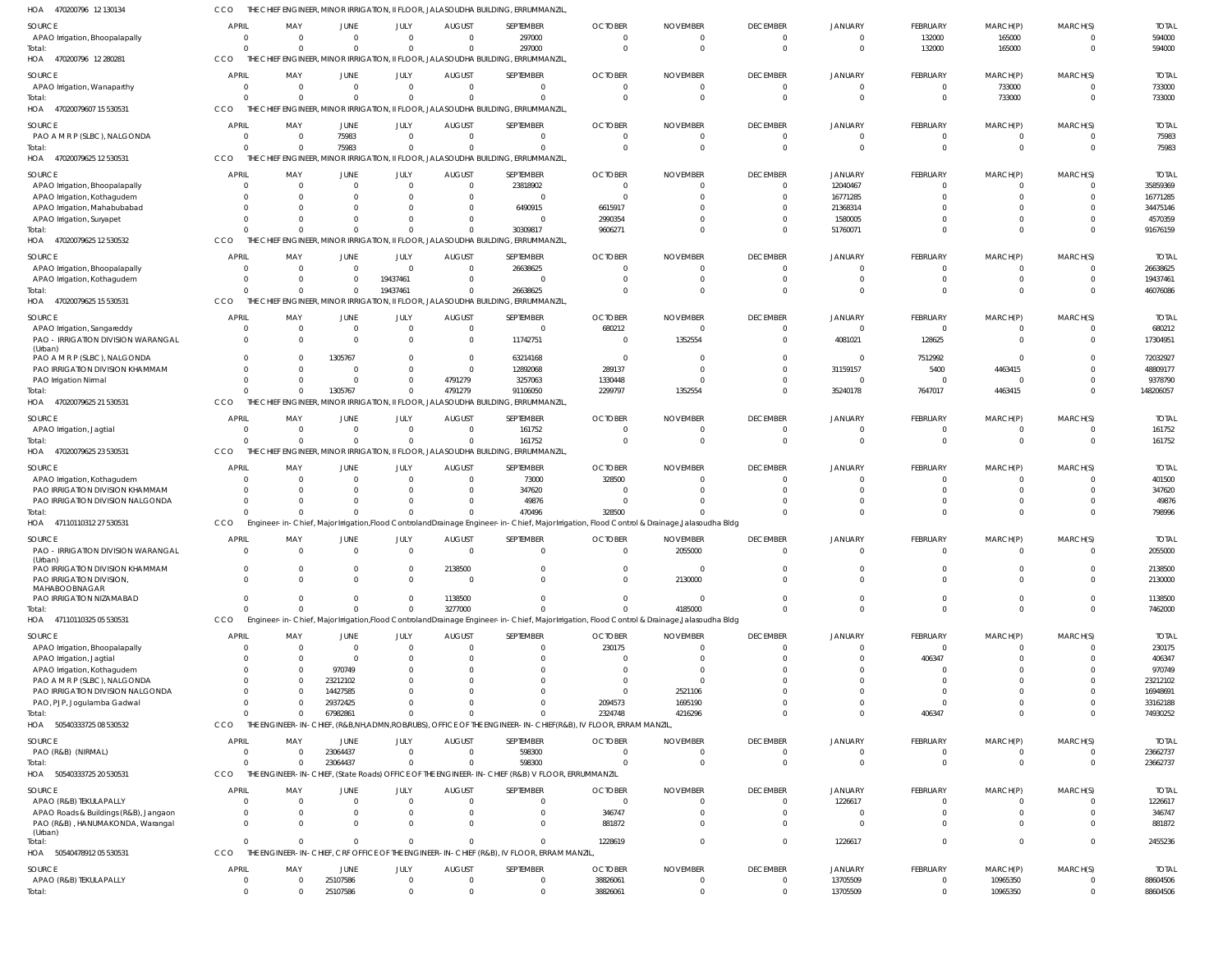| HOA 470200796 12 130134                                         | ссо                  |          |                            |                             |                            | THE CHIEF ENGINEER, MINOR IRRIGATION, II FLOOR, JALASOUDHA BUILDING, ERRUMMANZIL                |                                                                                                                                                         |                      |                              |                            |                        |                           |                      |                        |
|-----------------------------------------------------------------|----------------------|----------|----------------------------|-----------------------------|----------------------------|-------------------------------------------------------------------------------------------------|---------------------------------------------------------------------------------------------------------------------------------------------------------|----------------------|------------------------------|----------------------------|------------------------|---------------------------|----------------------|------------------------|
| SOURCE                                                          | <b>APRIL</b>         | MAY      | <b>JUNE</b>                | JULY                        | <b>AUGUST</b>              | SEPTEMBER                                                                                       | <b>OCTOBER</b>                                                                                                                                          | <b>NOVEMBER</b>      | <b>DECEMBER</b>              | <b>JANUARY</b>             | <b>FEBRUARY</b>        | MARCH(P)                  | MARCH(S)             | <b>TOTAL</b>           |
| APAO Irrigation, Bhoopalapally                                  | $\Omega$             | $\Omega$ | $\Omega$<br>$\Omega$       | $\mathbf 0$                 | $\Omega$<br>$\Omega$       | 297000                                                                                          | $\Omega$<br>$\Omega$                                                                                                                                    | $\Omega$<br>$\Omega$ | $\mathbf{0}$                 | 0                          | 132000                 | 165000                    | 0                    | 594000                 |
| Total:<br>HOA 470200796 12 280281                               | $\Omega$<br>CCO      |          |                            | $\mathbf 0$                 |                            | 297000<br>THE CHIEF ENGINEER, MINOR IRRIGATION, II FLOOR, JALASOUDHA BUILDING, ERRUMMANZIL      |                                                                                                                                                         |                      | $\mathbf{0}$                 | $\mathbf{0}$               | 132000                 | 165000                    | $\mathbf{0}$         | 594000                 |
| SOURCE                                                          | <b>APRIL</b>         | MAY      | <b>JUNE</b>                | JULY                        | <b>AUGUST</b>              | SEPTEMBER                                                                                       | <b>OCTOBER</b>                                                                                                                                          | <b>NOVEMBER</b>      | <b>DECEMBER</b>              | JANUARY                    | <b>FEBRUARY</b>        | MARCH(P)                  | MARCH(S)             | <b>TOTAL</b>           |
| APAO Irrigation, Wanaparthy                                     | $\circ$              |          | $\mathbf 0$                | $\mathbf 0$                 | $\Omega$                   | $\Omega$                                                                                        | $\Omega$                                                                                                                                                | $\Omega$             | $\overline{0}$               | $\mathbf{0}$               | $\Omega$               | 733000                    | 0                    | 733000                 |
| Total:<br>HOA 47020079607 15 530531                             | $\Omega$<br>CCO      |          | $\Omega$                   | $\mathbf 0$                 | $\Omega$                   | $\cap$<br>THE CHIEF ENGINEER, MINOR IRRIGATION, II FLOOR, JALASOUDHA BUILDING, ERRUMMANZIL      | $\Omega$                                                                                                                                                | $\Omega$             | $\mathbf{0}$                 | $\mathbf{0}$               | $\Omega$               | 733000                    | $\overline{0}$       | 733000                 |
| SOURCE                                                          | <b>APRIL</b>         | MAY      | <b>JUNE</b>                | JULY                        | <b>AUGUST</b>              | SEPTEMBER                                                                                       | <b>OCTOBER</b>                                                                                                                                          | <b>NOVEMBER</b>      | <b>DECEMBER</b>              | <b>JANUARY</b>             | <b>FEBRUARY</b>        | MARCH(P)                  | MARCH(S)             | <b>TOTAL</b>           |
| PAO A M R P (SLBC), NALGONDA                                    | $\overline{0}$       | $\Omega$ | 75983                      | $\mathbf 0$                 | $\overline{0}$             | $\Omega$                                                                                        | $\Omega$                                                                                                                                                | $\Omega$             | $\overline{0}$               | 0                          | $\Omega$               |                           | 0                    | 75983                  |
| Total:<br>HOA 47020079625 12 530531                             | $\Omega$<br>CCO      | $\Omega$ | 75983                      | $\mathbf 0$                 | $\Omega$                   | $\Omega$<br>THE CHIEF ENGINEER, MINOR IRRIGATION, II FLOOR, JALASOUDHA BUILDING, ERRUMMANZIL    |                                                                                                                                                         |                      | $\overline{0}$               | $\Omega$                   | $\Omega$               | $\Omega$                  | $\overline{0}$       | 75983                  |
| SOURCE                                                          | <b>APRIL</b>         | MAY      | <b>JUNE</b>                | JULY                        | <b>AUGUST</b>              | SEPTEMBER                                                                                       | <b>OCTOBER</b>                                                                                                                                          | <b>NOVEMBER</b>      | <b>DECEMBER</b>              | JANUARY                    | FEBRUARY               | MARCH(P)                  | MARCH(S)             | <b>TOTAL</b>           |
| APAO Irrigation, Bhoopalapally                                  | $\Omega$             |          | $\Omega$                   | $\mathbf 0$                 | $\Omega$                   | 23818902                                                                                        | $\Omega$                                                                                                                                                |                      | $^{\circ}$                   | 12040467                   | $\Omega$               |                           | $\mathbf{0}$         | 35859369               |
| APAO Irrigation, Kothagudem                                     |                      |          |                            | $\Omega$                    | 0                          | $\Omega$                                                                                        |                                                                                                                                                         |                      | $\Omega$                     | 16771285                   |                        |                           | $\Omega$             | 16771285               |
| APAO Irrigation, Mahabubabad<br>APAO Irrigation, Suryapet       | -0                   |          |                            | $\Omega$<br>$\Omega$        | 0                          | 6490915<br>- 0                                                                                  | 6615917<br>2990354                                                                                                                                      |                      | $\Omega$<br>-0               | 21368314<br>1580005        |                        | $\Omega$                  | 0                    | 34475146<br>4570359    |
| Total:                                                          |                      |          |                            | $\Omega$                    |                            | 30309817                                                                                        | 9606271                                                                                                                                                 |                      | $\Omega$                     | 51760071                   | $\Omega$               | $\Omega$                  | $\Omega$             | 91676159               |
| HOA 47020079625 12 530532                                       | CCO                  |          |                            |                             |                            | THE CHIEF ENGINEER, MINOR IRRIGATION, II FLOOR, JALASOUDHA BUILDING, ERRUMMANZIL                |                                                                                                                                                         |                      |                              |                            |                        |                           |                      |                        |
| SOURCE                                                          | <b>APRIL</b>         | MAY      | <b>JUNE</b>                | JULY                        | <b>AUGUST</b>              | SEPTEMBER                                                                                       | <b>OCTOBER</b>                                                                                                                                          | <b>NOVEMBER</b>      | <b>DECEMBER</b>              | <b>JANUARY</b>             | <b>FEBRUARY</b>        | MARCH(P)                  | MARCH(S)             | <b>TOTAL</b>           |
| APAO Irrigation, Bhoopalapally                                  | $\Omega$<br>$\Omega$ | $\Omega$ | $\mathbf 0$<br>$\mathbf 0$ | $\overline{0}$<br>19437461  | $\overline{0}$<br>$\Omega$ | 26638625<br>$\Omega$                                                                            |                                                                                                                                                         |                      | $\mathbf{0}$<br>$\mathbf{0}$ | $\Omega$<br>0              | $\Omega$               | $\Omega$                  | $\mathbf{0}$<br>0    | 26638625<br>19437461   |
| APAO Irrigation, Kothagudem<br>Total:                           | $\Omega$             | $\Omega$ | $\mathbf 0$                | 19437461                    | $\Omega$                   | 26638625                                                                                        |                                                                                                                                                         |                      | $\Omega$                     | $\Omega$                   | $\Omega$               | $\Omega$                  | $\Omega$             | 46076086               |
| HOA 47020079625 15 530531                                       | CCO                  |          |                            |                             |                            | THE CHIEF ENGINEER, MINOR IRRIGATION, II FLOOR, JALASOUDHA BUILDING, ERRUMMANZIL                |                                                                                                                                                         |                      |                              |                            |                        |                           |                      |                        |
| SOURCE                                                          | <b>APRIL</b>         | MAY      | <b>JUNE</b>                | JULY                        | <b>AUGUST</b>              | SEPTEMBER                                                                                       | <b>OCTOBER</b>                                                                                                                                          | <b>NOVEMBER</b>      | <b>DECEMBER</b>              | <b>JANUARY</b>             | FEBRUARY               | MARCH(P)                  | MARCH(S)             | <b>TOTAL</b>           |
| APAO Irrigation, Sangareddy                                     | $\Omega$             |          | $\Omega$                   | $\mathbf 0$                 | $\Omega$                   | $\Omega$                                                                                        | 680212                                                                                                                                                  | $\Omega$             | $\mathbf{0}$                 | $\mathbf{0}$               | $\overline{0}$         | $\Omega$                  | $\mathbf{0}$         | 680212                 |
| PAO - IRRIGATION DIVISION WARANGAL<br>(Urban)                   | $\Omega$             |          | $\Omega$                   | $\Omega$                    | $\Omega$                   | 11742751                                                                                        | $\Omega$                                                                                                                                                | 1352554              | $\mathbf 0$                  | 4081021                    | 128625                 | $\Omega$                  | $\mathbf{0}$         | 17304951               |
| PAO A M R P (SLBC), NALGONDA                                    | $\Omega$             |          | 1305767                    | $\Omega$                    | $\Omega$                   | 63214168                                                                                        | $\Omega$                                                                                                                                                |                      | $\Omega$                     | $\overline{0}$             | 7512992                | $\Omega$                  | $\Omega$             | 72032927               |
| PAO IRRIGATION DIVISION KHAMMAM                                 | $\Omega$             |          | 0                          | $\mathbf{0}$<br>$\mathbf 0$ | $\Omega$<br>4791279        | 12892068<br>3257063                                                                             | 289137<br>1330448                                                                                                                                       |                      | $\Omega$<br>$\Omega$         | 31159157<br>$\overline{0}$ | 5400<br>$\overline{0}$ | 4463415<br>$\overline{0}$ | $\Omega$<br>$\Omega$ | 48809177<br>9378790    |
| PAO Irrigation Nirmal<br>Total:                                 |                      |          | 1305767                    | $\Omega$                    | 4791279                    | 91106050                                                                                        | 2299797                                                                                                                                                 | 1352554              | $\Omega$                     | 35240178                   | 7647017                | 4463415                   | $\Omega$             | 148206057              |
| HOA 47020079625 21 530531                                       | CCO                  | THF      |                            |                             |                            | CHIEF ENGINEER, MINOR IRRIGATION, II FLOOR, JALASOUDHA BUILDING, ERRUMMANZIL                    |                                                                                                                                                         |                      |                              |                            |                        |                           |                      |                        |
| SOURCE                                                          | <b>APRIL</b>         | MAY      | JUNE                       | JULY                        | <b>AUGUST</b>              | SEPTEMBER                                                                                       | <b>OCTOBER</b>                                                                                                                                          | <b>NOVEMBER</b>      | <b>DECEMBER</b>              | JANUARY                    | FEBRUARY               | MARCH(P)                  | MARCH(S)             | <b>TOTAL</b>           |
| APAO Irrigation, Jagtial                                        | $\Omega$             | $\Omega$ | $\mathbf 0$                | $\mathbf 0$                 | $\overline{0}$             | 161752                                                                                          |                                                                                                                                                         |                      | $\mathbf{0}$                 | $\Omega$                   |                        |                           | 0                    | 161752                 |
| Total:<br>HOA 47020079625 23 530531                             | $\Omega$<br>CCO      | $\Omega$ | $\Omega$                   | $\mathbf 0$                 | $\Omega$                   | 161752<br>THE CHIEF ENGINEER, MINOR IRRIGATION, II FLOOR, JALASOUDHA BUILDING, ERRUMMANZIL      | $\Omega$                                                                                                                                                | $\Omega$             | $\overline{0}$               | $\mathbf{0}$               | $\overline{0}$         | $\overline{0}$            | $\overline{0}$       | 161752                 |
|                                                                 | <b>APRIL</b>         |          |                            |                             |                            | SEPTEMBER                                                                                       |                                                                                                                                                         |                      | <b>DECEMBER</b>              |                            |                        |                           |                      |                        |
| SOURCE<br>APAO Irrigation, Kothagudem                           | $\Omega$             | MAY      | <b>JUNE</b><br>0           | JULY<br>$\mathbf 0$         | <b>AUGUST</b><br>$\Omega$  | 73000                                                                                           | <b>OCTOBER</b><br>328500                                                                                                                                | <b>NOVEMBER</b>      | $\mathbf{0}$                 | <b>JANUARY</b><br>0        | <b>FEBRUARY</b>        | MARCH(P)                  | MARCH(S)<br>0        | <b>TOTAL</b><br>401500 |
| PAO IRRIGATION DIVISION KHAMMAM                                 |                      |          |                            | $\Omega$                    |                            | 347620                                                                                          |                                                                                                                                                         |                      | $\Omega$                     | $\Omega$                   |                        |                           | $\Omega$             | 347620                 |
| PAO IRRIGATION DIVISION NALGONDA                                | $\Omega$             |          | $\Omega$                   | $\Omega$                    |                            | 49876                                                                                           |                                                                                                                                                         |                      | $\Omega$                     | $\Omega$                   |                        |                           | $\Omega$             | 49876                  |
| Total:<br>HOA 47110110312 27 530531                             | CCO                  |          | $\Omega$                   | $\Omega$                    | $\Omega$                   | 470496                                                                                          | 328500<br>Engineer-in-Chief, Major Irrigation, Flood Controland Drainage Engineer-in-Chief, Major Irrigation, Flood Control & Drainage, Jalasoudha Bldg |                      | $\Omega$                     | $\Omega$                   | $\Omega$               | $\Omega$                  | $\Omega$             | 798996                 |
| <b>SOURCE</b>                                                   | <b>APRIL</b>         | MAY      | <b>JUNE</b>                | JULY                        | <b>AUGUST</b>              | SEPTEMBER                                                                                       | <b>OCTOBER</b>                                                                                                                                          | <b>NOVEMBER</b>      | <b>DECEMBER</b>              | <b>JANUARY</b>             | FEBRUARY               | MARCH(P)                  | MARCH(S)             | <b>TOTAL</b>           |
| PAO - IRRIGATION DIVISION WARANGAL<br>(Urban)                   | $\Omega$             | $\Omega$ | $\Omega$                   | $\Omega$                    | $\Omega$                   | $\Omega$                                                                                        | $\Omega$                                                                                                                                                | 2055000              | $\Omega$                     | $\Omega$                   | $\Omega$               | $\Omega$                  | $\Omega$             | 2055000                |
| PAO IRRIGATION DIVISION KHAMMAM                                 |                      |          |                            | 0                           | 2138500                    |                                                                                                 |                                                                                                                                                         |                      | $\Omega$                     | $\Omega$                   |                        |                           | $\Omega$             | 2138500                |
| PAO IRRIGATION DIVISION<br>MAHABOOBNAGAR                        | $\Omega$             |          | $\Omega$                   | $\Omega$                    | $\Omega$                   | $\Omega$                                                                                        | $\Omega$                                                                                                                                                | 2130000              | $\Omega$                     | $\Omega$                   | $\Omega$               | $\Omega$                  | $\Omega$             | 2130000                |
| PAO IRRIGATION NIZAMABAD<br>Total:                              | $\Omega$<br>$\Omega$ | $\Omega$ | $\Omega$                   | $\Omega$<br>$\mathbf 0$     | 1138500<br>3277000         |                                                                                                 |                                                                                                                                                         | 4185000              | $\Omega$<br>$\Omega$         | $\Omega$<br>$\Omega$       | $\Omega$<br>$\Omega$   | $\Omega$<br>$\Omega$      | $\Omega$<br>$\Omega$ | 1138500<br>7462000     |
| HOA 47110110325 05 530531                                       | CCO                  |          |                            |                             |                            |                                                                                                 | Engineer-in-Chief, Major Irrigation,Flood ControlandDrainage Engineer-in-Chief, Major Irrigation, Flood Control & Drainage,Jalasoudha Bldg              |                      |                              |                            |                        |                           |                      |                        |
| SOURCE                                                          | <b>APRIL</b>         | MAY      | <b>JUNE</b>                | JULY                        | <b>AUGUST</b>              | SEPTEMBER                                                                                       | <b>OCTOBER</b>                                                                                                                                          | <b>NOVEMBER</b>      | <b>DECEMBER</b>              | <b>JANUARY</b>             | <b>FEBRUARY</b>        | MARCH(P)                  | MARCH(S)             | <b>TOTAL</b>           |
| APAO Irrigation, Bhoopalapally                                  | - 0                  |          | 0                          | $\mathbf 0$                 |                            |                                                                                                 | 230175                                                                                                                                                  |                      | 0                            | 0                          | $\Omega$               |                           | 0                    | 230175                 |
| APAO Irrigation, Jagtial                                        |                      |          | $\Omega$                   | $\Omega$                    |                            |                                                                                                 |                                                                                                                                                         |                      | $\Omega$                     | $\Omega$                   | 406347                 |                           |                      | 406347                 |
| APAO Irrigation, Kothagudem<br>PAO A M R P (SLBC), NALGONDA     |                      |          | 970749<br>23212102         |                             |                            |                                                                                                 |                                                                                                                                                         |                      |                              | $\Omega$                   |                        |                           |                      | 970749<br>23212102     |
| PAO IRRIGATION DIVISION NALGONDA                                |                      |          | 14427585                   |                             |                            |                                                                                                 |                                                                                                                                                         | 2521106              |                              |                            |                        |                           |                      | 16948691               |
| PAO, PJP, Jogulamba Gadwal                                      |                      |          | 29372425                   | $\Omega$                    |                            |                                                                                                 | 2094573                                                                                                                                                 | 1695190              |                              | $\Omega$                   |                        |                           |                      | 33162188               |
| Total:<br>HOA 50540333725 08 530532                             | $\Omega$<br>CCO      |          | 67982861                   | $\Omega$                    |                            |                                                                                                 | 2324748<br>THE ENGINEER-IN-CHIEF, (R&B,NH,ADMN,ROB/RUBS), OFFICE OF THE ENGINEER-IN-CHIEF(R&B), IV FLOOR, ERRAM MANZIL                                  | 4216296              | $\Omega$                     | $\Omega$                   | 406347                 | $\Omega$                  | $\Omega$             | 74930252               |
| SOURCE                                                          | <b>APRIL</b>         | MAY      | JUNE                       | JULY                        | <b>AUGUST</b>              | SEPTEMBER                                                                                       | <b>OCTOBER</b>                                                                                                                                          | <b>NOVEMBER</b>      | <b>DECEMBER</b>              | <b>JANUARY</b>             | FEBRUARY               | MARCH(P)                  | MARCH(S)             | <b>TOTAL</b>           |
| PAO (R&B) (NIRMAL)                                              | $\Omega$             |          | 23064437                   | $\mathbf 0$                 | $\overline{0}$             | 598300                                                                                          | $\Omega$                                                                                                                                                | $\Omega$             | $\overline{0}$               | 0                          |                        |                           | 0                    | 23662737               |
| Total:                                                          | $\Omega$             |          | 23064437                   | $\mathbf 0$                 | $\Omega$                   | 598300                                                                                          |                                                                                                                                                         |                      | $\overline{0}$               | $\mathbf{0}$               | $\Omega$               | $\Omega$                  | $\overline{0}$       | 23662737               |
| HOA 50540333725 20 530531                                       | CCO                  |          |                            |                             |                            | THE ENGINEER-IN-CHIEF, (State Roads) OFFICE OF THE ENGINEER-IN-CHIEF (R&B) V FLOOR, ERRUMMANZIL |                                                                                                                                                         |                      |                              |                            |                        |                           |                      |                        |
| SOURCE                                                          | <b>APRIL</b>         | MAY      | JUNE                       | JULY                        | <b>AUGUST</b>              | SEPTEMBER                                                                                       | <b>OCTOBER</b>                                                                                                                                          | <b>NOVEMBER</b>      | <b>DECEMBER</b>              | <b>JANUARY</b>             | <b>FEBRUARY</b>        | MARCH(P)                  | MARCH(S)             | <b>TOTAL</b>           |
| APAO (R&B) TEKULAPALLY<br>APAO Roads & Buildings (R&B), Jangaon | - 0<br>$\Omega$      |          | 0<br>0                     | 0<br>$\Omega$               | $\Omega$                   | $\Omega$                                                                                        | $\Omega$<br>346747                                                                                                                                      |                      | $\mathbf{0}$<br>$\mathbf{0}$ | 1226617<br>0               | $\Omega$               |                           | 0<br>0               | 1226617<br>346747      |
| PAO (R&B), HANUMAKONDA, Warangal                                | $\Omega$             |          | 0                          | $\Omega$                    |                            | $\Omega$                                                                                        | 881872                                                                                                                                                  |                      | $\Omega$                     | $\Omega$                   | $\Omega$               |                           | $\Omega$             | 881872                 |
| (Urban)<br>Total:                                               | $\Omega$             |          | $\mathbf 0$                | $\mathbf 0$                 | $\Omega$                   | $\Omega$                                                                                        | 1228619                                                                                                                                                 |                      | $\mathbf 0$                  | 1226617                    | $\overline{0}$         | $\Omega$                  | $\mathbf 0$          | 2455236                |
| HOA 5054047891205530531                                         | CCO                  |          |                            |                             |                            | THE ENGINEER-IN-CHIEF, CRF OFFICE OF THE ENGINEER-IN-CHIEF (R&B), IV FLOOR, ERRAM MANZIL,       |                                                                                                                                                         |                      |                              |                            |                        |                           |                      |                        |
| SOURCE                                                          | <b>APRIL</b>         | MAY      | <b>JUNE</b>                | JULY                        | <b>AUGUST</b>              | SEPTEMBER                                                                                       | <b>OCTOBER</b>                                                                                                                                          | <b>NOVEMBER</b>      | <b>DECEMBER</b>              | <b>JANUARY</b>             | FEBRUARY               | MARCH(P)                  | MARCH(S)             | <b>TOTAL</b>           |
| APAO (R&B) TEKULAPALLY                                          | - 0                  |          | 25107586                   | $\mathbf{0}$                | 0                          | $\Omega$                                                                                        | 38826061                                                                                                                                                |                      | $\mathbf{0}$                 | 13705509                   | - 0                    | 10965350                  | 0                    | 88604506               |
| Total:                                                          | $\mathbf 0$          | $\Omega$ | 25107586                   | $\mathbf 0$                 | $\mathbf 0$                | $\Omega$                                                                                        | 38826061                                                                                                                                                | $\mathbf 0$          | $\mathbf 0$                  | 13705509                   | $\overline{0}$         | 10965350                  | $\mathbf 0$          | 88604506               |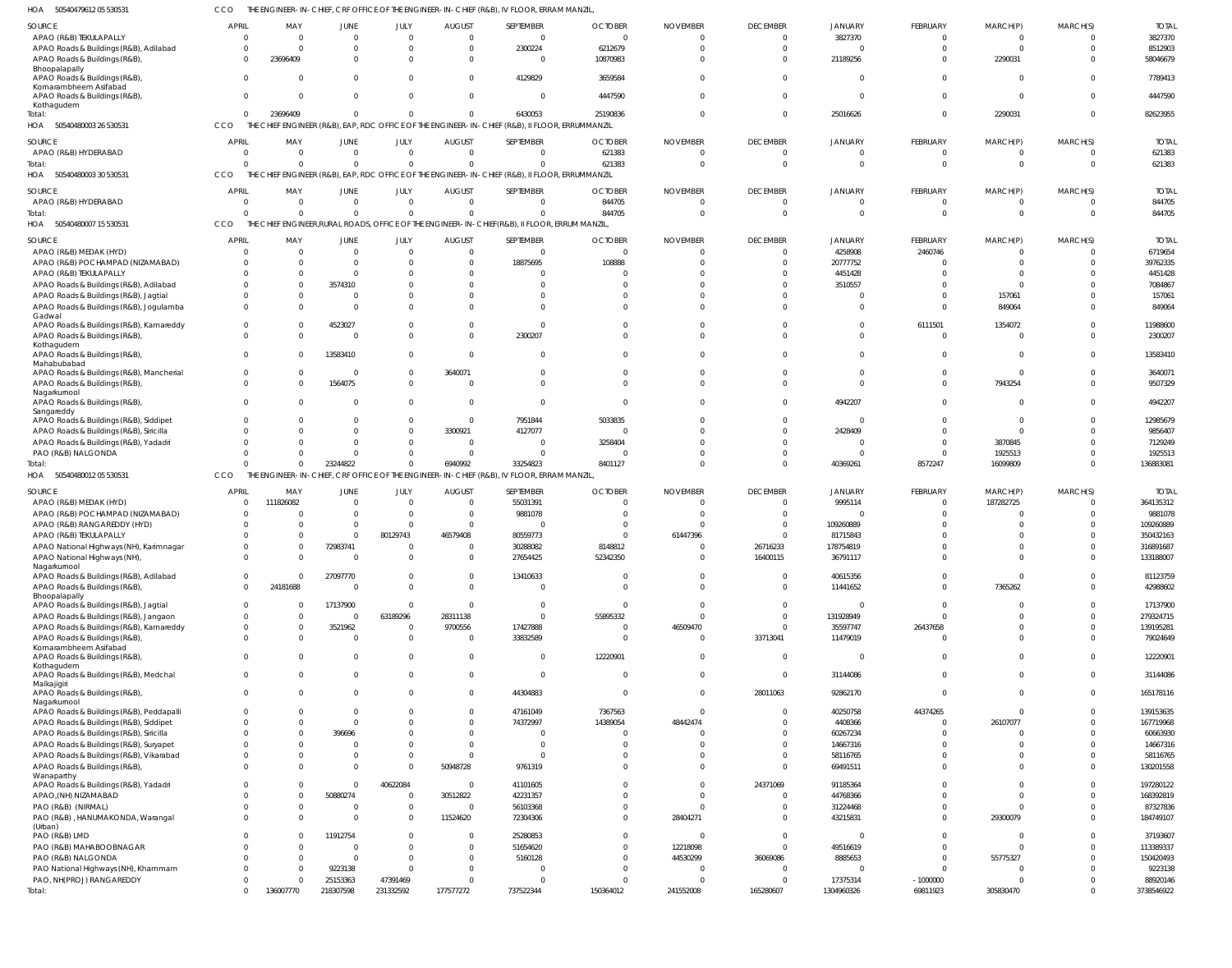50540479612 05 530531 HOA CCO THE ENGINEER-IN-CHIEF, CRF OFFICE OF THE ENGINEER-IN-CHIEF (R&B), IV FLOOR, ERRAM MANZIL,

| SOURCE                                                  | <b>APRIL</b>             | MAY          | JUNE                       | JULY                  | <b>AUGUST</b>                                            | SEPTEMBER                                                                                       | <b>OCTOBER</b>               | <b>NOVEMBER</b>                 | <b>DECEMBER</b>             | <b>JANUARY</b>                | FEBRUARY                | MARCH(P)              | MARCH(S)             | <b>TOTAL</b> |
|---------------------------------------------------------|--------------------------|--------------|----------------------------|-----------------------|----------------------------------------------------------|-------------------------------------------------------------------------------------------------|------------------------------|---------------------------------|-----------------------------|-------------------------------|-------------------------|-----------------------|----------------------|--------------|
| APAO (R&B) TEKULAPALLY                                  | $\overline{0}$           | $\mathbf 0$  | $\overline{0}$             |                       | $\mathbf 0$<br>$\mathbf 0$                               | $\overline{0}$                                                                                  | $\overline{0}$               | $\Omega$                        | $\overline{0}$              | 3827370                       | $\overline{0}$          | $\mathbf{0}$          | $\Omega$             | 3827370      |
| APAO Roads & Buildings (R&B), Adilabad                  | $\Omega$                 | $\Omega$     | $\Omega$                   |                       | $\mathbf 0$<br>$\mathbf 0$                               | 2300224                                                                                         | 6212679                      | $\Omega$                        | $\overline{0}$              | $\mathbf 0$                   | $\overline{0}$          | $\mathbf 0$           | $\Omega$             | 8512903      |
| APAO Roads & Buildings (R&B),                           | $\Omega$                 | 23696409     | $\Omega$                   |                       | $\Omega$<br>$\Omega$                                     | $\Omega$                                                                                        | 10870983                     | <sup>0</sup>                    | $\Omega$                    | 21189256                      | $\mathbf 0$             | 2290031               | $\Omega$             | 58046679     |
| Bhoopalapally                                           |                          |              |                            |                       |                                                          |                                                                                                 |                              |                                 |                             |                               |                         |                       |                      |              |
| APAO Roads & Buildings (R&B),                           | $\Omega$                 | 0            | $\Omega$                   |                       | $\mathbf 0$<br>$\Omega$                                  | 4129829                                                                                         | 3659584                      | <sup>0</sup>                    | $\Omega$                    | $\mathbf 0$                   | $\overline{0}$          | $\mathbf{0}$          | $\Omega$             | 7789413      |
| Komarambheem Asifabad<br>APAO Roads & Buildings (R&B),  | $\mathbf{0}$             | $\Omega$     | $\Omega$                   |                       | $\Omega$<br>0                                            | $\Omega$                                                                                        | 4447590                      | $\Omega$                        | $\Omega$                    | $\Omega$                      | $\mathbf 0$             | $\mathbf{0}$          | $\Omega$             | 4447590      |
| Kothagudem                                              |                          |              |                            |                       |                                                          |                                                                                                 |                              |                                 |                             |                               |                         |                       |                      |              |
| Total:                                                  | $\Omega$                 | 23696409     | $\mathbf 0$                |                       | $\mathbf{0}$<br>$\Omega$                                 | 6430053                                                                                         | 25190836                     | $\Omega$                        | $\Omega$                    | 25016626                      | $\overline{0}$          | 2290031               | $\overline{0}$       | 82623955     |
| HOA 50540480003 26 530531                               | CCO                      |              |                            |                       |                                                          | THE CHIEF ENGINEER (R&B), EAP, RDC OFFICE OF THE ENGINEER-IN-CHIEF (R&B), II FLOOR, ERRUMMANZIL |                              |                                 |                             |                               |                         |                       |                      |              |
|                                                         | <b>APRIL</b>             | MAY          | JUNE                       |                       |                                                          | <b>SEPTEMBER</b>                                                                                |                              |                                 | <b>DECEMBER</b>             |                               |                         |                       |                      | <b>TOTAL</b> |
| SOURCE<br>APAO (R&B) HYDERABAD                          | $\Omega$                 | $\Omega$     | $\overline{0}$             | JULY<br>$\Omega$      | <b>AUGUST</b><br>$\Omega$                                | $\Omega$                                                                                        | <b>OCTOBER</b><br>621383     | <b>NOVEMBER</b><br>$\Omega$     | $\overline{0}$              | <b>JANUARY</b><br>$\mathbf 0$ | FEBRUARY<br>$\mathbf 0$ | MARCH(P)<br>$\Omega$  | MARCH(S)<br>$\Omega$ | 621383       |
| Total:                                                  | $\Omega$                 | $\Omega$     | $\Omega$                   |                       | $\Omega$<br>$\Omega$                                     | $\Omega$                                                                                        | 621383                       | $\Omega$                        | $\Omega$                    | $\Omega$                      | $\mathbf{0}$            | $\Omega$              | $\Omega$             | 621383       |
| HOA<br>50540480003 30 530531                            | CCO                      | THE CHIEF    |                            |                       | ENGINEER (R&B), EAP, RDC OFFICE OF THE ENGINEER-IN-CHIEF |                                                                                                 | (R&B), II FLOOR, ERRUMMANZIL |                                 |                             |                               |                         |                       |                      |              |
|                                                         |                          |              |                            |                       |                                                          |                                                                                                 |                              |                                 |                             |                               |                         |                       |                      |              |
| SOURCE                                                  | <b>APRIL</b>             | MAY          | JUNE                       | JULY                  | <b>AUGUST</b>                                            | SEPTEMBER                                                                                       | <b>OCTOBER</b>               | <b>NOVEMBER</b>                 | <b>DECEMBER</b>             | <b>JANUARY</b>                | FEBRUARY                | MARCH(P)              | MARCH(S)             | <b>TOTAL</b> |
| APAO (R&B) HYDERABAD                                    | $\Omega$                 | $\mathbf 0$  | $\overline{0}$             |                       | $\mathbf{0}$<br>$\mathbf 0$                              | $\Omega$                                                                                        | 844705                       | $\Omega$                        | $\overline{0}$              | $\mathbf 0$                   | $\overline{0}$          | $\mathbf{0}$          | $\Omega$             | 844705       |
| Total:                                                  | $\Omega$                 | $\Omega$     | $\Omega$                   |                       | $\Omega$<br>$\Omega$                                     | $\Omega$                                                                                        | 844705                       | $\Omega$                        | $\Omega$                    | $\Omega$                      | $\mathbf{0}$            | $\mathbf 0$           | $\Omega$             | 844705       |
| HOA<br>50540480007 15 530531                            | CCO                      |              |                            |                       |                                                          | THE CHIEF ENGINEER, RURAL ROADS, OFFICE OF THE ENGINEER-IN-CHIEF (R&B), II FLOOR, ERRUM MANZIL  |                              |                                 |                             |                               |                         |                       |                      |              |
| SOURCE                                                  | <b>APRIL</b>             | MAY          | JUNE                       | JULY                  | <b>AUGUST</b>                                            | SEPTEMBER                                                                                       | <b>OCTOBER</b>               | <b>NOVEMBER</b>                 | <b>DECEMBER</b>             | <b>JANUARY</b>                | FEBRUARY                | MARCH(P)              | MARCH(S)             | <b>TOTAI</b> |
| APAO (R&B) MEDAK (HYD)                                  | $\Omega$                 | <sup>0</sup> | $\Omega$                   | $\Omega$              | $\Omega$                                                 | $\Omega$                                                                                        | $\Omega$                     | $\Omega$                        | $\Omega$                    | 4258908                       | 2460746                 | $\Omega$              | $\Omega$             | 6719654      |
| APAO (R&B) POCHAMPAD (NIZAMABAD)                        | <sup>0</sup>             |              | $\Omega$                   | $\Omega$              | $\Omega$                                                 | 18875695                                                                                        | 108888                       |                                 | $\Omega$                    | 20777752                      | $\Omega$                | $\Omega$              | $\Omega$             | 39762335     |
| APAO (R&B) TEKULAPALLY                                  | <sup>0</sup>             |              | $\Omega$                   |                       | $\Omega$                                                 |                                                                                                 |                              |                                 | $\Omega$                    | 4451428                       | $\Omega$                | $\Omega$              |                      | 4451428      |
| APAO Roads & Buildings (R&B), Adilabad                  | <sup>0</sup>             | $\Omega$     | 3574310                    |                       | $\Omega$                                                 | $\Omega$                                                                                        | $\Omega$                     |                                 | $\Omega$                    | 3510557                       | - 0                     | $\Omega$              | $\Omega$             | 7084867      |
| APAO Roads & Buildings (R&B), Jagtial                   | <sup>0</sup>             |              | $\Omega$                   |                       | $\Omega$                                                 | $\Omega$                                                                                        |                              |                                 | $\Omega$                    | $\Omega$                      | $\Omega$                | 157061                | $\Omega$             | 157061       |
| APAO Roads & Buildings (R&B), Jogulamba                 | $\Omega$                 |              | $\Omega$                   |                       |                                                          | $\Omega$                                                                                        |                              |                                 | $\Omega$                    | $\Omega$                      | $\Omega$                | 849064                | $\Omega$             | 849064       |
| Gadwal                                                  |                          |              |                            |                       |                                                          |                                                                                                 |                              |                                 |                             |                               |                         |                       |                      |              |
| APAO Roads & Buildings (R&B), Kamareddy                 | $\Omega$                 | $\Omega$     | 4523027                    | $\Omega$              | $\Omega$                                                 | $\Omega$                                                                                        | $\Omega$                     |                                 | $\Omega$                    | $\Omega$                      | 6111501                 | 1354072               | $\Omega$             | 11988600     |
| APAO Roads & Buildings (R&B),                           | $\Omega$                 | $\Omega$     | $\Omega$                   |                       | $\Omega$<br>$\Omega$                                     | 2300207                                                                                         | $\Omega$                     | $\Omega$                        | $\Omega$                    | $\Omega$                      | $\Omega$                | $\Omega$              | $\Omega$             | 2300207      |
| Kothagudem                                              |                          |              |                            |                       |                                                          |                                                                                                 |                              |                                 |                             |                               |                         |                       |                      |              |
| APAO Roads & Buildings (R&B),                           | $\Omega$                 | <sup>0</sup> | 13583410                   |                       | $\Omega$<br>$\Omega$                                     | $\Omega$                                                                                        | $\Omega$                     |                                 | $\Omega$                    | $\Omega$                      | $\Omega$                | $\Omega$              | $\Omega$             | 13583410     |
| Mahabubabad<br>APAO Roads & Buildings (R&B), Mancherial | $\Omega$                 | 0            | $\Omega$                   |                       | 3640071<br>$\Omega$                                      | $\Omega$                                                                                        | $\Omega$                     | <sup>0</sup>                    | $\Omega$                    | $\Omega$                      | $\Omega$                | $\Omega$              | $\Omega$             | 3640071      |
| APAO Roads & Buildings (R&B),                           | $\Omega$                 | $\Omega$     | 1564075                    |                       | $\Omega$<br>$\Omega$                                     | $\Omega$                                                                                        | $\Omega$                     | $\Omega$                        | $\Omega$                    | $\Omega$                      | $\Omega$                | 7943254               | $\Omega$             | 9507329      |
| Nagarkurnool                                            |                          |              |                            |                       |                                                          |                                                                                                 |                              |                                 |                             |                               |                         |                       |                      |              |
| APAO Roads & Buildings (R&B),                           | $\Omega$                 | $\Omega$     | $\Omega$                   |                       | $\Omega$<br>$\Omega$                                     | $\Omega$                                                                                        | $\Omega$                     | <sup>0</sup>                    | $\Omega$                    | 4942207                       | $\Omega$                | $\Omega$              | $\Omega$             | 4942207      |
| Sangareddy                                              |                          |              |                            |                       |                                                          |                                                                                                 |                              |                                 |                             |                               |                         |                       |                      |              |
| APAO Roads & Buildings (R&B), Siddipet                  | <sup>0</sup>             | <sup>0</sup> | $\Omega$                   |                       | $\Omega$<br>$\Omega$                                     | 7951844                                                                                         | 5033835                      |                                 | $\Omega$                    | $\Omega$                      | $\Omega$                | $\Omega$              | $\Omega$             | 12985679     |
| APAO Roads & Buildings (R&B), Siricilla                 | <sup>0</sup>             |              | $\Omega$                   |                       | 3300921<br>$\Omega$                                      | 4127077                                                                                         | $\Omega$                     |                                 | $\Omega$                    | 2428409                       | $\Omega$                | $\Omega$              |                      | 9856407      |
| APAO Roads & Buildings (R&B), Yadadri                   | <sup>0</sup>             |              | $\Omega$                   |                       | $\Omega$<br>$\Omega$                                     | $\Omega$                                                                                        | 3258404                      |                                 | $\Omega$                    | $\Omega$                      | $\Omega$                | 3870845               | $\Omega$             | 7129249      |
| PAO (R&B) NALGONDA                                      |                          |              | $\Omega$                   |                       | $\Omega$                                                 | $\Omega$                                                                                        |                              |                                 | $\Omega$                    |                               | $\Omega$                | 1925513               | $\Omega$             | 1925513      |
| Total:                                                  |                          | $\Omega$     | 23244822                   |                       | 6940992<br>$\Omega$                                      | 33254823                                                                                        | 8401127                      | $\Omega$                        | $\Omega$                    | 40369261                      | 8572247                 | 16099809              | $\Omega$             | 136883081    |
|                                                         |                          |              |                            |                       |                                                          |                                                                                                 |                              |                                 |                             |                               |                         |                       |                      |              |
| 50540480012 05 530531<br>HOA                            | CCO                      |              |                            |                       |                                                          | THE ENGINEER-IN-CHIEF, CRF OFFICE OF THE ENGINEER-IN-CHIEF (R&B), IV FLOOR, ERRAM MANZIL        |                              |                                 |                             |                               |                         |                       |                      |              |
|                                                         |                          |              |                            |                       |                                                          |                                                                                                 |                              |                                 |                             |                               |                         |                       |                      |              |
| SOURCE                                                  | <b>APRIL</b><br>$\Omega$ | MAY          | JUNE                       | JULY                  | <b>AUGUST</b>                                            | SEPTEMBER                                                                                       | <b>OCTOBER</b><br>$\Omega$   | <b>NOVEMBER</b><br><sup>0</sup> | <b>DECEMBER</b><br>$\Omega$ | <b>JANUARY</b>                | FEBRUARY<br>$\Omega$    | MARCH(P)              | MARCH(S)<br>$\Omega$ | <b>TOTAL</b> |
| APAO (R&B) MEDAK (HYD)                                  | $\Omega$                 | 111826082    | $\overline{0}$             |                       | $\mathbf 0$<br>$\mathbf 0$                               | 55031391                                                                                        | $\Omega$                     | <sup>0</sup>                    | $\Omega$                    | 9995114<br>$\Omega$           | $\Omega$                | 187282725<br>$\Omega$ | $\Omega$             | 364135312    |
| APAO (R&B) POCHAMPAD (NIZAMABAD)                        | <sup>0</sup>             | $\Omega$     | $\overline{0}$<br>$\Omega$ |                       | $\mathbf 0$<br>$\mathbf 0$<br>$\Omega$<br>$\Omega$       | 9881078<br>- 0                                                                                  | $\Omega$                     |                                 | $\Omega$                    |                               | $\Omega$                | $\Omega$              |                      | 9881078      |
| APAO (R&B) RANGAREDDY (HYD)                             |                          | <sup>0</sup> |                            |                       |                                                          |                                                                                                 | $\Omega$                     |                                 |                             | 109260889                     |                         |                       |                      | 109260889    |
| APAO (R&B) TEKULAPALLY                                  |                          |              | $\mathbf 0$                | 80129743              | 46579408                                                 | 80559773                                                                                        |                              | 61447396                        | $\Omega$                    | 81715843                      | $\Omega$                | $\Omega$<br>$\Omega$  |                      | 350432163    |
| APAO National Highways (NH), Karimnagar                 | $\Omega$                 | $\Omega$     | 72983741<br>$\Omega$       | $\Omega$              | $\Omega$<br>$\Omega$<br>$\Omega$                         | 30288082                                                                                        | 8148812                      |                                 | 26716233                    | 178754819                     | $\Omega$<br>$\Omega$    | $\Omega$              | $\Omega$             | 316891687    |
| APAO National Highways (NH),                            |                          |              |                            |                       |                                                          | 27654425                                                                                        | 52342350                     |                                 | 16400115                    | 36791117                      |                         |                       |                      | 133188007    |
| Nagarkurnool<br>APAO Roads & Buildings (R&B), Adilabad  | $^{\circ}$               | $\Omega$     | 27097770                   |                       | 0<br>$\mathbf{0}$                                        | 13410633                                                                                        | $^{\circ}$                   | $\Omega$                        | $\Omega$                    | 40615356                      | $\mathbf 0$             | $\mathbf{0}$          | $\Omega$             | 81123759     |
| APAO Roads & Buildings (R&B),                           | $\mathbf{0}$             | 24181688     | $\overline{0}$             |                       | $\Omega$<br>$\mathbf 0$                                  | $\Omega$                                                                                        | $\mathbf 0$                  | $\Omega$                        | $\overline{0}$              | 11441652                      | $\mathbf 0$             | 7365262               | $\Omega$             | 42988602     |
| Bhoopalapally                                           |                          |              |                            |                       |                                                          |                                                                                                 |                              |                                 |                             |                               |                         |                       |                      |              |
| APAO Roads & Buildings (R&B), Jagtial                   | $\overline{0}$           | 0            | 17137900                   |                       | $\mathbf 0$<br>$\Omega$                                  | $\Omega$                                                                                        | $\Omega$                     | $\Omega$                        | $\overline{0}$              | $\Omega$                      | $\mathbf 0$             | $\Omega$              | $\Omega$             | 17137900     |
| APAO Roads & Buildings (R&B), Jangaon                   | $\mathbf 0$              |              | $\overline{0}$             | 63189296              | 28311138                                                 | $\Omega$                                                                                        | 55895332                     | $\Omega$                        | $\overline{0}$              | 131928949                     | $\Omega$                | $\Omega$              | $\Omega$             | 279324715    |
| APAO Roads & Buildings (R&B), Kamareddy                 | $\mathbf 0$              | 0            | 3521962                    |                       | 9700556<br>$\mathbf{0}$                                  | 17427888                                                                                        | $\overline{0}$               | 46509470                        | $\overline{0}$              | 35597747                      | 26437658                | $\Omega$              | $\Omega$             | 139195281    |
| APAO Roads & Buildings (R&B),                           | $\Omega$                 | $\Omega$     | $\overline{0}$             |                       | $\mathbf 0$<br>$\mathbf 0$                               | 33832589                                                                                        | $\overline{0}$               | $\Omega$                        | 33713041                    | 11479019                      | $\overline{0}$          | $\Omega$              | $\Omega$             | 79024649     |
| Komarambheem Asifabad                                   | $\overline{0}$           | 0            | $\mathbf 0$                |                       | $\mathbf{0}$<br>$\mathbf 0$                              | $\overline{0}$                                                                                  |                              | $\mathbf 0$                     | $\overline{\mathbf{0}}$     | $\mathbf 0$                   | $\overline{0}$          | $\mathbf 0$           | $\Omega$             |              |
| APAO Roads & Buildings (R&B),                           |                          |              |                            |                       |                                                          |                                                                                                 | 12220901                     |                                 |                             |                               |                         |                       |                      | 12220901     |
| Kothagudem<br>APAO Roads & Buildings (R&B), Medchal     | $\mathbf 0$              | $\Omega$     | $\mathbf 0$                |                       | 0<br>$\Omega$                                            | $\overline{0}$                                                                                  | $\overline{0}$               | $\mathbf 0$                     | $\overline{\mathbf{0}}$     | 31144086                      | $\overline{0}$          | $\mathbf 0$           | $\mathbf{0}$         | 31144086     |
| Malkajigiri                                             |                          |              |                            |                       |                                                          |                                                                                                 |                              |                                 |                             |                               |                         |                       |                      |              |
| APAO Roads & Buildings (R&B),                           | $\mathbf 0$              | 0            | $\mathbf 0$                |                       | $\mathbf 0$<br>$\Omega$                                  | 44304883                                                                                        | $\overline{0}$               | $\mathbf 0$                     | 28011063                    | 92862170                      | $\mathbf 0$             | $\mathbf{0}$          | $\mathbf{0}$         | 165178116    |
| Nagarkurnool                                            |                          |              |                            |                       |                                                          |                                                                                                 |                              |                                 |                             |                               |                         |                       |                      |              |
| APAO Roads & Buildings (R&B), Peddapalli                | $\mathbf{0}$             | 0            | $\overline{0}$             |                       | 0<br>$\Omega$                                            | 47161049                                                                                        | 7367563                      | $\Omega$                        | $\overline{0}$              | 40250758                      | 44374265                | $\mathbf{0}$          | $\Omega$             | 139153635    |
| APAO Roads & Buildings (R&B), Siddipet                  | $\Omega$                 | $\Omega$     | $\Omega$                   |                       | $\Omega$<br>$\Omega$                                     | 74372997                                                                                        | 14389054                     | 48442474                        | $\Omega$                    | 4408366                       | $\overline{0}$          | 26107077              | $\Omega$             | 167719968    |
| APAO Roads & Buildings (R&B), Siricilla                 | $\mathbf{0}$             | $\Omega$     | 396696                     |                       | $\mathbf 0$<br>$\Omega$                                  | $\Omega$                                                                                        | $\Omega$                     |                                 | $\Omega$                    | 60267234                      | $\mathbf 0$             | $\mathbf 0$           | $\Omega$             | 60663930     |
| APAO Roads & Buildings (R&B), Suryapet                  | $\Omega$                 | 0            | $\Omega$                   |                       | $\Omega$<br>$\Omega$                                     | $\Omega$                                                                                        | $\Omega$                     |                                 | $\Omega$                    | 14667316                      | $\mathbf 0$             | $\Omega$              |                      | 14667316     |
| APAO Roads & Buildings (R&B), Vikarabad                 | 0                        | $\Omega$     | $\Omega$                   |                       | $\Omega$<br>$\Omega$                                     | $\Omega$                                                                                        | $\mathbf 0$                  | $\Omega$                        | $\Omega$                    | 58116765                      | $\mathbf 0$             | $\mathbf 0$           | $\Omega$             | 58116765     |
| APAO Roads & Buildings (R&B),                           | $\Omega$                 | $\Omega$     | $\overline{0}$             |                       | 50948728<br>$\Omega$                                     | 9761319                                                                                         | $\Omega$                     | $\Omega$                        | $\overline{0}$              | 69491511                      | $\mathbf{0}$            | $\mathbf 0$           | $\Omega$             | 130201558    |
| Wanaparthy<br>APAO Roads & Buildings (R&B), Yadadri     | 0                        | 0            | $\mathbf 0$                | 40622084              | $\mathbf 0$                                              | 41101605                                                                                        | $\Omega$                     | $\Omega$                        | 24371069                    | 91185364                      | $\mathbf 0$             | $\mathbf 0$           | $\Omega$             | 197280122    |
| APAO, (NH) NIZAMABAD                                    | $\Omega$                 | $\Omega$     | 50880274                   |                       | 30512822<br>$\mathbf 0$                                  | 42231357                                                                                        | $\Omega$                     | $\Omega$                        | $\overline{\mathbf{0}}$     | 44768366                      | $\Omega$                | $\Omega$              | $\Omega$             | 168392819    |
| PAO (R&B) (NIRMAL)                                      | $\Omega$                 | $\Omega$     | $\overline{0}$             |                       | $\mathbf 0$<br>$\mathbf 0$                               | 56103368                                                                                        | $\Omega$                     | $\Omega$                        | $\overline{0}$              | 31224468                      | $\mathbf{0}$            | $\Omega$              | $\Omega$             | 87327836     |
| PAO (R&B), HANUMAKONDA, Warangal                        | $\Omega$                 | $\Omega$     | $\overline{0}$             |                       | 11524620<br>$\mathbf{0}$                                 | 72304306                                                                                        | $^{\circ}$                   | 28404271                        | $\overline{0}$              | 43215831                      | $\mathbf{0}$            | 29300079              | $\Omega$             | 184749107    |
| (Urban)                                                 |                          |              |                            |                       |                                                          |                                                                                                 |                              |                                 |                             |                               |                         |                       |                      |              |
| PAO (R&B) LMD                                           | 0                        | 0            | 11912754                   |                       | $\mathbf 0$<br>$\mathbf{0}$                              | 25280853                                                                                        | $\Omega$                     | $\overline{0}$                  | $\overline{\mathbf{0}}$     | $\mathbf 0$                   | $\mathbf{0}$            | $\mathbf 0$           | $\Omega$             | 37193607     |
| PAO (R&B) MAHABOOBNAGAR                                 | $\Omega$                 |              | $\overline{0}$             |                       | $\mathbf 0$<br>$\Omega$                                  | 51654620                                                                                        | $\mathbf 0$                  | 12218098                        | $\overline{0}$              | 49516619                      | $\mathbf 0$             | $\mathbf 0$           | $\Omega$             | 113389337    |
| PAO (R&B) NALGONDA                                      | 0                        | 0            | $\overline{0}$             |                       | $\mathbf 0$<br>$\Omega$                                  | 5160128                                                                                         | $\Omega$                     | 44530299                        | 36069086                    | 8885653                       | $\mathbf 0$             | 55775327              | $\Omega$             | 150420493    |
| PAO National Highways (NH), Khammam                     | <sup>0</sup>             |              | 9223138                    |                       | $\Omega$<br>$\Omega$                                     | $\Omega$                                                                                        | $\Omega$                     | $\Omega$                        | $\overline{\mathbf{0}}$     | $\mathbf 0$                   | $\mathbf 0$             | $\overline{0}$        | $\Omega$             | 9223138      |
| PAO, NH(PROJ) RANGAREDDY                                | $\Omega$                 | $\Omega$     | 25153363                   | 47391469<br>231332592 | $\mathbf 0$                                              | $\Omega$                                                                                        | $\Omega$                     | $\Omega$<br>241552008           | $\overline{0}$              | 17375314                      | $-1000000$<br>69811923  | $\mathbf 0$           | $\Omega$<br>$\Omega$ | 88920146     |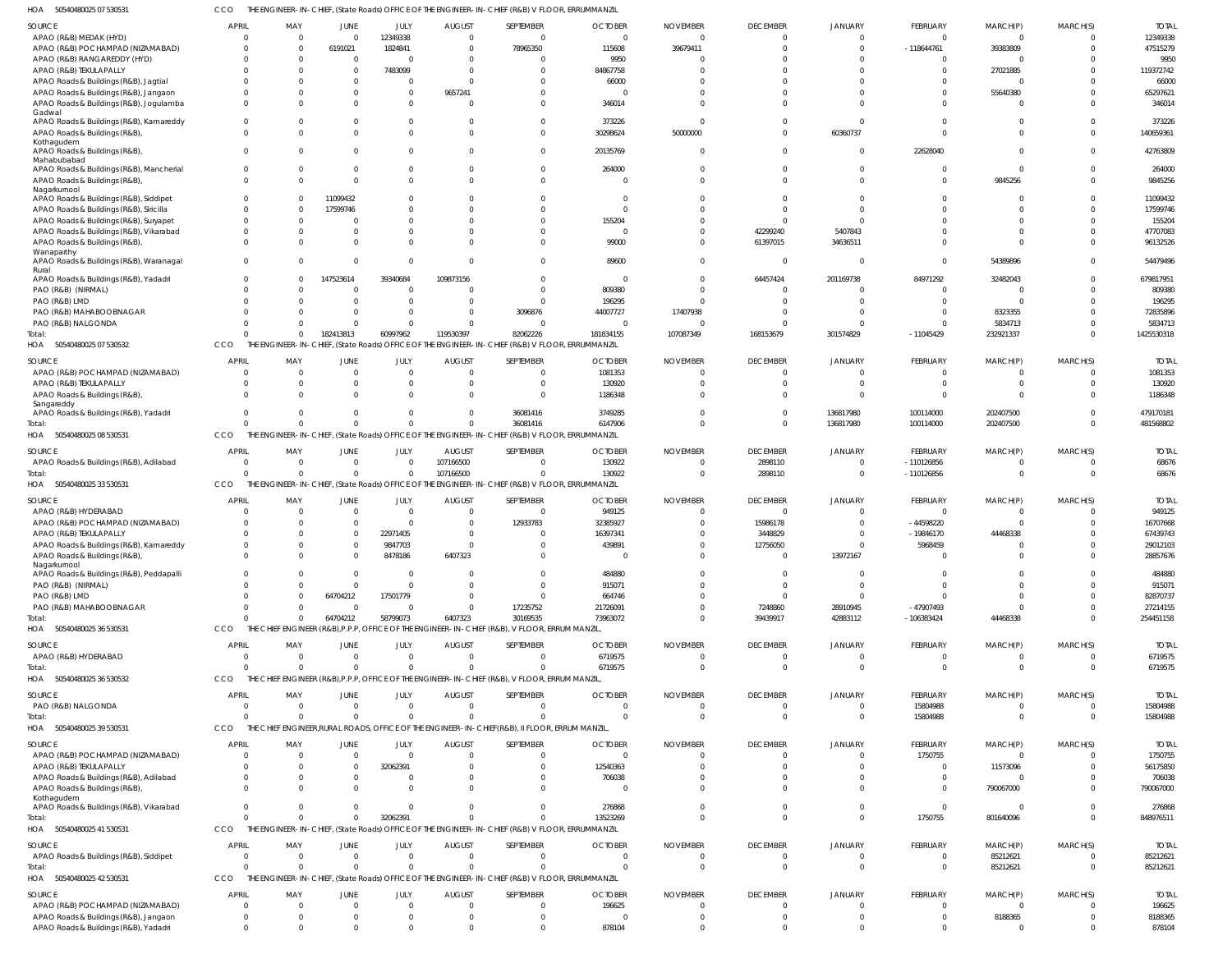50540480025 07 530531 HOA CCO THE ENGINEER-IN-CHIEF, (State Roads) OFFICE OF THE ENGINEER-IN-CHIEF (R&B) V FLOOR, ERRUMMANZIL

| <b>SOURCE</b>                                       | APRIL        | MAY            | JUNE                         | JULY                    | <b>AUGUST</b>  | SEPTEMBER                                                                                       | <b>OCTOBER</b> | <b>NOVEMBER</b> | <b>DECEMBER</b>          | <b>JANUARY</b>               | FEBRUARY       | MARCH(P)             | MARCH(S)       | <b>TOTAL</b> |
|-----------------------------------------------------|--------------|----------------|------------------------------|-------------------------|----------------|-------------------------------------------------------------------------------------------------|----------------|-----------------|--------------------------|------------------------------|----------------|----------------------|----------------|--------------|
| APAO (R&B) MEDAK (HYD)                              |              |                | $\Omega$                     | 12349338                | $\Omega$       | $\Omega$                                                                                        | $\Omega$       |                 | $\mathbf{0}$             | $\mathbf{0}$                 | $\Omega$       | $\Omega$             | $\Omega$       | 12349338     |
| APAO (R&B) POCHAMPAD (NIZAMABAD)                    |              | $\Omega$       | 6191021                      | 1824841                 | $\Omega$       | 78965350                                                                                        | 115608         | 39679411        | $\Omega$                 | $\Omega$                     | $-118644761$   | 39383809             | $\Omega$       | 47515279     |
| APAO (R&B) RANGAREDDY (HYD)                         |              | $\Omega$       | $\mathbf{0}$                 | $\Omega$                | $\Omega$       | - 0                                                                                             | 9950           |                 | $\Omega$                 | $\Omega$                     |                | $\Omega$             | C              | 9950         |
| APAO (R&B) TEKULAPALLY                              |              |                | $\Omega$                     | 7483099                 | $\Omega$       | $\Omega$                                                                                        | 84867758       |                 |                          |                              |                | 27021885             |                | 119372742    |
| APAO Roads & Buildings (R&B), Jagtial               |              |                | $\Omega$                     | 0                       | $\Omega$       |                                                                                                 | 66000          |                 |                          |                              |                | $\Omega$             |                | 66000        |
| APAO Roads & Buildings (R&B), Jangaon               |              | $\Omega$       | $\Omega$                     | $\mathbf 0$             | 9657241        | $\Omega$                                                                                        |                |                 |                          |                              |                | 55640380             |                | 65297621     |
| APAO Roads & Buildings (R&B), Jogulamba             |              | $\Omega$       | $\Omega$                     | $\Omega$                |                | $\Omega$                                                                                        | 346014         |                 | $\Omega$                 | $\Omega$                     |                | $\Omega$             |                | 346014       |
| Gadwal                                              |              |                |                              |                         |                |                                                                                                 |                |                 |                          |                              |                |                      |                |              |
| APAO Roads & Buildings (R&B), Kamareddy             |              |                | $\Omega$                     | $\Omega$                | $\Omega$       | $\Omega$                                                                                        | 373226         |                 | $\Omega$                 | $\Omega$                     |                | $\Omega$             | $\Omega$       | 373226       |
| APAO Roads & Buildings (R&B),                       |              | $\Omega$       | $\Omega$                     | $\Omega$                | $\Omega$       | $\Omega$                                                                                        | 30298624       | 50000000        | $\Omega$                 | 60360737                     | $\Omega$       | $\Omega$             | $\Omega$       | 140659361    |
| Kothagudem                                          |              |                |                              |                         |                |                                                                                                 |                |                 |                          |                              |                |                      |                |              |
| APAO Roads & Buildings (R&B),                       |              |                | $\Omega$                     | $\Omega$                | $\Omega$       | $\Omega$                                                                                        | 20135769       |                 | $\Omega$                 | $\mathbf{0}$                 | 22628040       |                      | $\Omega$       | 42763809     |
| Mahabubabad                                         |              |                |                              |                         |                |                                                                                                 |                |                 |                          |                              |                |                      |                |              |
| APAO Roads & Buildings (R&B), Mancherial            |              | $\Omega$       | $\Omega$                     | $\Omega$                | $\Omega$       | $\Omega$                                                                                        | 264000         |                 | $\Omega$                 | $\Omega$                     |                | $\Omega$             | $\Omega$       | 264000       |
| APAO Roads & Buildings (R&B)                        |              | $\Omega$       | $\Omega$                     | $\Omega$                | $\Omega$       | $\Omega$                                                                                        |                |                 | $\Omega$                 | $\Omega$                     | $\Omega$       | 9845256              | $\Omega$       | 9845256      |
| Nagarkurnool                                        |              |                |                              |                         |                |                                                                                                 |                |                 |                          |                              |                |                      |                |              |
| APAO Roads & Buildings (R&B), Siddipet              |              |                | 11099432                     | $\Omega$                |                | $\Omega$                                                                                        |                |                 | $\Omega$                 | 0                            |                | $\Omega$             | $\Omega$       | 11099432     |
| APAO Roads & Buildings (R&B), Siricilla             |              | $\Omega$       | 17599746                     | $\Omega$                |                | $\Omega$                                                                                        |                |                 | $\Omega$                 |                              |                | $\Omega$             |                | 17599746     |
| APAO Roads & Buildings (R&B), Suryapet              |              | $\Omega$       | $\Omega$                     | $\Omega$                | $\Omega$       | $\Omega$                                                                                        | 155204         |                 | $\Omega$                 | $\Omega$                     |                | $\Omega$             | $\Omega$       | 155204       |
| APAO Roads & Buildings (R&B), Vikarabad             |              |                | $\Omega$                     | $\Omega$                |                | $\Omega$                                                                                        |                |                 | 42299240                 | 5407843                      |                | $\Omega$             | C              | 47707083     |
| APAO Roads & Buildings (R&B),                       |              | <sup>0</sup>   | $\Omega$                     | $\Omega$                |                | $\Omega$                                                                                        | 99000          |                 | 61397015                 | 34636511                     |                | $\Omega$             | $\Omega$       | 96132526     |
| Wanaparthy                                          |              |                |                              |                         |                |                                                                                                 |                |                 |                          |                              |                |                      |                |              |
| APAO Roads & Buildings (R&B), Waranagal             |              | <sup>0</sup>   | $\Omega$                     | $\Omega$                | $\Omega$       | $\Omega$                                                                                        | 89600          |                 | $\overline{0}$           | 0                            |                | 54389896             | $\Omega$       | 54479496     |
| Rural<br>APAO Roads & Buildings (R&B), Yadadri      |              | $\Omega$       | 147523614                    | 39340684                | 109873156      | $\Omega$                                                                                        | $\Omega$       |                 | 64457424                 | 201169738                    | 84971292       | 32482043             | $\Omega$       | 679817951    |
| PAO (R&B) (NIRMAL)                                  |              |                | $\Omega$                     | $\Omega$                |                | $\Omega$                                                                                        | 809380         |                 | 0                        | $\Omega$                     | $\Omega$       | $\Omega$             |                | 809380       |
| PAO (R&B) LMD                                       |              |                | $\Omega$                     | $\Omega$                | $\Omega$       | $\Omega$                                                                                        | 196295         |                 | $\Omega$                 | $\Omega$                     |                | $\Omega$             |                | 196295       |
|                                                     |              |                |                              |                         |                |                                                                                                 |                |                 |                          |                              |                |                      |                |              |
| PAO (R&B) MAHABOOBNAGAR                             |              |                |                              | $\Omega$                | $\Omega$       | 3096876                                                                                         | 44007727       | 17407938        | $\Omega$                 | 0                            |                | 8323355              |                | 72835896     |
| PAO (R&B) NALGONDA                                  |              |                | $\Omega$                     | $\Omega$                | $\Omega$       | - 0                                                                                             |                |                 |                          |                              |                | 5834713              | $\Omega$       | 5834713      |
| Total:                                              |              | $\Omega$       | 182413813                    | 60997962                | 119530397      | 82062226                                                                                        | 181834155      | 107087349       | 168153679                | 301574829                    | -11045429      | 232921337            | $\Omega$       | 1425530318   |
| HOA 50540480025 07 530532                           | CCO          |                |                              |                         |                | THE ENGINEER-IN-CHIEF, (State Roads) OFFICE OF THE ENGINEER-IN-CHIEF (R&B) V FLOOR, ERRUMMANZIL |                |                 |                          |                              |                |                      |                |              |
| <b>SOURCE</b>                                       | APRIL        | MAY            | <b>JUNE</b>                  | JULY                    | <b>AUGUST</b>  | SEPTEMBER                                                                                       | <b>OCTOBER</b> | <b>NOVEMBER</b> | <b>DECEMBER</b>          | JANUARY                      | FEBRUARY       | MARCH(P)             | MARCH(S)       | <b>TOTAL</b> |
| APAO (R&B) POCHAMPAD (NIZAMABAD)                    | - 0          | $\Omega$       | $\mathbf{0}$                 | $\mathbf 0$             | $\Omega$       | $\Omega$                                                                                        | 1081353        |                 | $\mathbf{0}$             | $\Omega$                     | $\Omega$       | $\Omega$             | $\Omega$       | 1081353      |
|                                                     |              | $\Omega$       | $\Omega$                     |                         | $\Omega$       | $\Omega$                                                                                        | 130920         |                 | $\Omega$                 | $\Omega$                     | $\Omega$       | $\Omega$             | $\Omega$       |              |
| APAO (R&B) TEKULAPALLY                              |              |                |                              | $\mathbf 0$             |                |                                                                                                 |                |                 |                          |                              |                |                      |                | 130920       |
| APAO Roads & Buildings (R&B),                       | $\Omega$     | $\Omega$       | $\Omega$                     | $\Omega$                | $\Omega$       | $\Omega$                                                                                        | 1186348        |                 | $\Omega$                 | $\Omega$                     | $\Omega$       | $\Omega$             | $\Omega$       | 1186348      |
| Sangareddy<br>APAO Roads & Buildings (R&B), Yadadri |              | $\Omega$       | $\Omega$                     | $^{\circ}$              | $\mathbf 0$    | 36081416                                                                                        | 3749285        |                 | $\Omega$                 | 136817980                    | 100114000      | 202407500            | $\Omega$       | 479170181    |
| Total:                                              |              | $\Omega$       | $\Omega$                     | $\Omega$                | $\Omega$       | 36081416                                                                                        | 6147906        |                 | $\Omega$                 | 136817980                    | 100114000      | 202407500            | $\Omega$       | 481568802    |
| HOA<br>50540480025 08 530531                        | CCO          |                |                              |                         |                | THE ENGINEER-IN-CHIEF, (State Roads) OFFICE OF THE ENGINEER-IN-CHIEF (R&B) V FLOOR, ERRUMMANZIL |                |                 |                          |                              |                |                      |                |              |
|                                                     |              |                |                              |                         |                |                                                                                                 |                |                 |                          |                              |                |                      |                |              |
| <b>SOURCE</b>                                       | <b>APRIL</b> | MAY            | <b>JUNE</b>                  | JULY                    | <b>AUGUST</b>  | SEPTEMBER                                                                                       | <b>OCTOBER</b> | <b>NOVEMBER</b> | <b>DECEMBER</b>          | <b>JANUARY</b>               | FEBRUARY       | MARCH(P)             | MARCH(S)       | <b>TOTAL</b> |
| APAO Roads & Buildings (R&B), Adilabad              |              | $\Omega$       | $\mathbf{0}$                 | $\mathbf 0$             | 107166500      | $\Omega$                                                                                        | 130922         |                 | 2898110                  | $\mathbf{0}$                 | $-110126856$   |                      | C              | 68676        |
| Total:                                              |              | $\Omega$       | $\mathbf 0$                  | $\overline{0}$          | 107166500      | $\Omega$                                                                                        |                |                 | 2898110                  | $\mathbf{0}$                 | $-110126856$   | $\Omega$             | $\overline{0}$ | 68676        |
|                                                     |              |                |                              |                         |                |                                                                                                 |                |                 |                          |                              |                |                      |                |              |
|                                                     | CCO          |                |                              |                         |                |                                                                                                 | 130922         |                 |                          |                              |                |                      |                |              |
| HOA 50540480025 33 530531                           |              |                |                              |                         |                | THE ENGINEER-IN-CHIEF, (State Roads) OFFICE OF THE ENGINEER-IN-CHIEF (R&B) V FLOOR, ERRUMMANZIL |                |                 |                          |                              |                |                      |                |              |
| <b>SOURCE</b>                                       | <b>APRIL</b> | MAY            | <b>JUNE</b>                  | JULY                    | <b>AUGUST</b>  | SEPTEMBER                                                                                       | <b>OCTOBER</b> | <b>NOVEMBER</b> | <b>DECEMBER</b>          | JANUARY                      | FEBRUARY       | MARCH(P)             | MARCH(S)       | <b>TOTAL</b> |
| APAO (R&B) HYDERABAD                                |              |                | $\mathbf{0}$                 | $\mathbf 0$             | $\Omega$       | $\Omega$                                                                                        | 949125         |                 | 0                        | $\Omega$                     | $\Omega$       | $\Omega$             | $\Omega$       | 949125       |
| APAO (R&B) POCHAMPAD (NIZAMABAD)                    |              | $\Omega$       | $\mathbf 0$                  | $\mathbf{0}$            | $\mathbf 0$    | 12933783                                                                                        | 32385927       |                 | 15986178                 | $\Omega$                     | $-44598220$    | $\Omega$             | C              | 16707668     |
| APAO (R&B) TEKULAPALLY                              |              | $\Omega$       | $\Omega$                     | 22971405                | $\Omega$       | $\Omega$                                                                                        | 16397341       |                 | 3448829                  |                              | $-19846170$    | 44468338             |                | 67439743     |
| APAO Roads & Buildings (R&B), Kamareddy             |              | $\Omega$       | $\Omega$                     | 9847703                 | $\Omega$       | $\Omega$                                                                                        | 439891         |                 | 12756050                 | $\Omega$                     | 5968459        |                      |                | 29012103     |
| APAO Roads & Buildings (R&B),                       | $\Omega$     | $\Omega$       | $\Omega$                     | 8478186                 | 6407323        | $\Omega$                                                                                        |                |                 | $\Omega$                 | 13972167                     |                | $\Omega$             | $\Omega$       | 28857676     |
| Nagarkurnool                                        |              |                |                              |                         |                |                                                                                                 |                |                 |                          |                              |                |                      |                |              |
| APAO Roads & Buildings (R&B), Peddapalli            |              |                | $\Omega$                     | $\mathbf 0$             |                | $\Omega$                                                                                        | 484880         |                 | $\Omega$                 | $\Omega$                     | $\Omega$       | $\Omega$             | $\Omega$       | 484880       |
| PAO (R&B) (NIRMAL)                                  |              | $\Omega$       | $\Omega$                     | $\overline{0}$          | $\Omega$       | $\Omega$                                                                                        | 915071         |                 | $\overline{0}$           | $\Omega$                     | $\Omega$       | $\Omega$             | $\Omega$       | 915071       |
| PAO (R&B) LMD                                       |              | $\Omega$       | 64704212                     | 17501779                | $\Omega$       | $\Omega$                                                                                        | 664746         |                 | $\Omega$                 | $\Omega$                     | $\Omega$       | $\Omega$             | $\Omega$       | 82870737     |
| PAO (R&B) MAHABOOBNAGAR                             |              | $\Omega$       | $\Omega$                     | $\mathbf 0$             | $\Omega$       | 17235752                                                                                        | 21726091       |                 | 7248860                  | 28910945                     | $-47907493$    | $\Omega$             | $\Omega$       | 27214155     |
| Total:                                              |              | $\Omega$       | 64704212                     | 58799073                | 6407323        | 30169535                                                                                        | 73963072       | <sup>0</sup>    | 39439917                 | 42883112                     | $-106383424$   | 44468338             | $\Omega$       | 254451158    |
|                                                     | CCO          |                |                              |                         |                | THE CHIEF ENGINEER (R&B), P.P.P. OFFICE OF THE ENGINEER-IN-CHIEF (R&B), V FLOOR, ERRUM MANZIL,  |                |                 |                          |                              |                |                      |                |              |
| HOA 50540480025 36 530531                           |              |                |                              |                         |                |                                                                                                 |                |                 |                          |                              |                |                      |                |              |
| SOURCE                                              | <b>APRIL</b> | MAY            | <b>JUNE</b>                  | JULY                    | <b>AUGUST</b>  | SEPTEMBER                                                                                       | <b>OCTOBER</b> | <b>NOVEMBER</b> | <b>DECEMBER</b>          | <b>JANUARY</b>               | FEBRUARY       | MARCH(P)             | MARCH(S)       | <b>TOTAL</b> |
| APAO (R&B) HYDERABAD                                | - 0          | $\Omega$       | $\overline{0}$               | $\overline{0}$          | $\mathbf{0}$   | $\Omega$                                                                                        | 6719575        | $\mathbf 0$     | $\overline{0}$           | $\overline{0}$               | $\overline{0}$ | $\overline{0}$       | $\overline{0}$ | 6719575      |
| Total:                                              | $\cap$       | $\Omega$       | $\Omega$                     | $\overline{0}$          | $\Omega$       | $\Omega$                                                                                        | 6719575        | $\Omega$        | $\overline{0}$           | $\overline{0}$               | $\Omega$       | $\Omega$             | $\Omega$       | 6719575      |
| 50540480025 36 530532<br>HOA                        | CCO          |                |                              |                         |                | THE CHIEF ENGINEER (R&B), P.P.P, OFFICE OF THE ENGINEER-IN-CHIEF (R&B), V FLOOR, ERRUM MANZIL,  |                |                 |                          |                              |                |                      |                |              |
|                                                     |              |                |                              |                         |                |                                                                                                 |                |                 |                          |                              |                |                      |                |              |
| <b>SOURCE</b>                                       | <b>APRIL</b> | MAY            | <b>JUNE</b>                  | JULY                    | <b>AUGUST</b>  | SEPTEMBER                                                                                       | <b>OCTOBER</b> | <b>NOVEMBER</b> | <b>DECEMBER</b>          | <b>JANUARY</b>               | FEBRUARY       | MARCH(P)             | MARCH(S)       | <b>TOTAL</b> |
| PAO (R&B) NALGONDA                                  | $\Omega$     | $\Omega$       | $\overline{0}$               | $\overline{0}$          | $\mathbf{0}$   | $\Omega$                                                                                        | $\Omega$       | $\Omega$        | $\overline{0}$           | $\overline{0}$               | 15804988       | $\Omega$             | $\overline{0}$ | 15804988     |
| Total:                                              | $\cap$       | $\Omega$       | $\Omega$                     | $\mathbf 0$             | $\Omega$       | $\Omega$                                                                                        | $\Omega$       |                 | $\overline{0}$           | $\overline{0}$               | 15804988       | $\Omega$             | $\overline{0}$ | 15804988     |
| HOA 50540480025 39 530531                           | CCO          |                |                              |                         |                | THE CHIEF ENGINEER, RURAL ROADS, OFFICE OF THE ENGINEER-IN-CHIEF (R&B), II FLOOR, ERRUM MANZIL, |                |                 |                          |                              |                |                      |                |              |
| SOURCE                                              | <b>APRIL</b> | MAY            | <b>JUNE</b>                  | JULY                    | <b>AUGUST</b>  | SEPTEMBER                                                                                       | <b>OCTOBER</b> | <b>NOVEMBER</b> | <b>DECEMBER</b>          | <b>JANUARY</b>               | FEBRUARY       | MARCH(P)             | MARCH(S)       | <b>TOTAL</b> |
| APAO (R&B) POCHAMPAD (NIZAMABAD)                    |              | $\overline{0}$ | $\overline{0}$               | $\overline{0}$          | $\overline{0}$ | $\Omega$                                                                                        | 0              |                 | $\mathbf{0}$             | $\mathbf{0}$                 | 1750755        | $\Omega$             | $\mathbf{0}$   | 1750755      |
|                                                     |              | $\Omega$       |                              |                         | $\Omega$       | $\Omega$                                                                                        |                |                 |                          |                              | $\Omega$       |                      | $\Omega$       |              |
| APAO (R&B) TEKULAPALLY                              | $\Omega$     | $\mathbf{0}$   | $\mathbf{0}$<br>$\mathbf{0}$ | 32062391<br>$\mathbf 0$ | $\Omega$       | $\Omega$                                                                                        | 12540363       |                 | $\mathbf{0}$<br>$\Omega$ | $\mathbf{0}$<br>$\mathbf{0}$ | $\Omega$       | 11573096<br>$\Omega$ | $\Omega$       | 56175850     |
| APAO Roads & Buildings (R&B), Adilabad              |              | $\Omega$       | $\Omega$                     |                         | $\Omega$       | $\Omega$                                                                                        | 706038         |                 | $\Omega$                 | $\mathbf 0$                  | $\Omega$       |                      | $\Omega$       | 706038       |
| APAO Roads & Buildings (R&B),<br>Kothagudem         |              |                |                              | $\overline{0}$          |                |                                                                                                 |                |                 |                          |                              |                | 790067000            |                | 790067000    |
| APAO Roads & Buildings (R&B), Vikarabad             | $\Omega$     | $\Omega$       | $\mathbf 0$                  | $\overline{0}$          | $\Omega$       | $\Omega$                                                                                        | 276868         |                 | $\mathbf{0}$             | $\overline{0}$               | $\Omega$       | $\Omega$             | $\overline{0}$ | 276868       |
| Total:                                              | $\cap$       | $\Omega$       | $\mathbf 0$                  | 32062391                | $\Omega$       | $\Omega$                                                                                        | 13523269       |                 | $\Omega$                 | $\overline{0}$               | 1750755        | 801640096            | $\mathbf 0$    | 848976511    |
|                                                     | CCO          |                |                              |                         |                |                                                                                                 |                |                 |                          |                              |                |                      |                |              |
| HOA 50540480025 41 530531                           |              |                |                              |                         |                | THE ENGINEER-IN-CHIEF, (State Roads) OFFICE OF THE ENGINEER-IN-CHIEF (R&B) V FLOOR, ERRUMMANZIL |                |                 |                          |                              |                |                      |                |              |
| SOURCE                                              | <b>APRIL</b> | MAY            | <b>JUNE</b>                  | JULY                    | <b>AUGUST</b>  | SEPTEMBER                                                                                       | <b>OCTOBER</b> | <b>NOVEMBER</b> | <b>DECEMBER</b>          | JANUARY                      | FEBRUARY       | MARCH(P)             | MARCH(S)       | <b>TOTAL</b> |
| APAO Roads & Buildings (R&B), Siddipet              | $\Omega$     | $\Omega$       | $\overline{0}$               | $\mathbf{0}$            | $\Omega$       | $\Omega$                                                                                        | $\Omega$       | $\Omega$        | $\mathbf 0$              | $\overline{0}$               | - 0            | 85212621             | $\overline{0}$ | 85212621     |
| Total:                                              |              | $\Omega$       | $\Omega$                     | $\overline{0}$          | $\Omega$       | $\Omega$                                                                                        | $\Omega$       | $\Omega$        | $\mathbf{0}$             | $\overline{0}$               | $\Omega$       | 85212621             | $\overline{0}$ | 85212621     |
| 50540480025 42 530531<br>HOA                        | CCO          |                |                              |                         |                | THE ENGINEER-IN-CHIEF, (State Roads) OFFICE OF THE ENGINEER-IN-CHIEF (R&B) V FLOOR, ERRUMMANZIL |                |                 |                          |                              |                |                      |                |              |
|                                                     |              |                |                              |                         |                |                                                                                                 |                |                 |                          |                              |                |                      |                |              |
| SOURCE                                              | <b>APRIL</b> | MAY            | <b>JUNE</b>                  | JULY                    | <b>AUGUST</b>  | SEPTEMBER                                                                                       | <b>OCTOBER</b> | <b>NOVEMBER</b> | <b>DECEMBER</b>          | <b>JANUARY</b>               | FEBRUARY       | MARCH(P)             | MARCH(S)       | <b>TOTAL</b> |
| APAO (R&B) POCHAMPAD (NIZAMABAD)                    | - 0          | $\overline{0}$ | $\overline{0}$               | $\overline{0}$          | $\mathbf 0$    | $\Omega$                                                                                        | 196625         | $\mathbf 0$     | $\overline{0}$           | $\overline{0}$               | $\Omega$       | $\Omega$             | $\overline{0}$ | 196625       |
| APAO Roads & Buildings (R&B), Jangaon               | $\Omega$     | $\overline{0}$ | $\mathbf{0}$                 | $\overline{0}$          | $\mathbf{0}$   | $\Omega$                                                                                        |                |                 | $\mathbf{0}$             | 0                            | $\Omega$       | 8188365              | $^{\circ}$     | 8188365      |
| APAO Roads & Buildings (R&B), Yadadri               | $\Omega$     | $\Omega$       | $\mathbf 0$                  | $\mathbf 0$             | $\mathbf 0$    | $\Omega$                                                                                        | 878104         | $\Omega$        | $\mathbf{0}$             | $\mathbf{0}$                 | $\Omega$       | $\Omega$             | $\overline{0}$ | 878104       |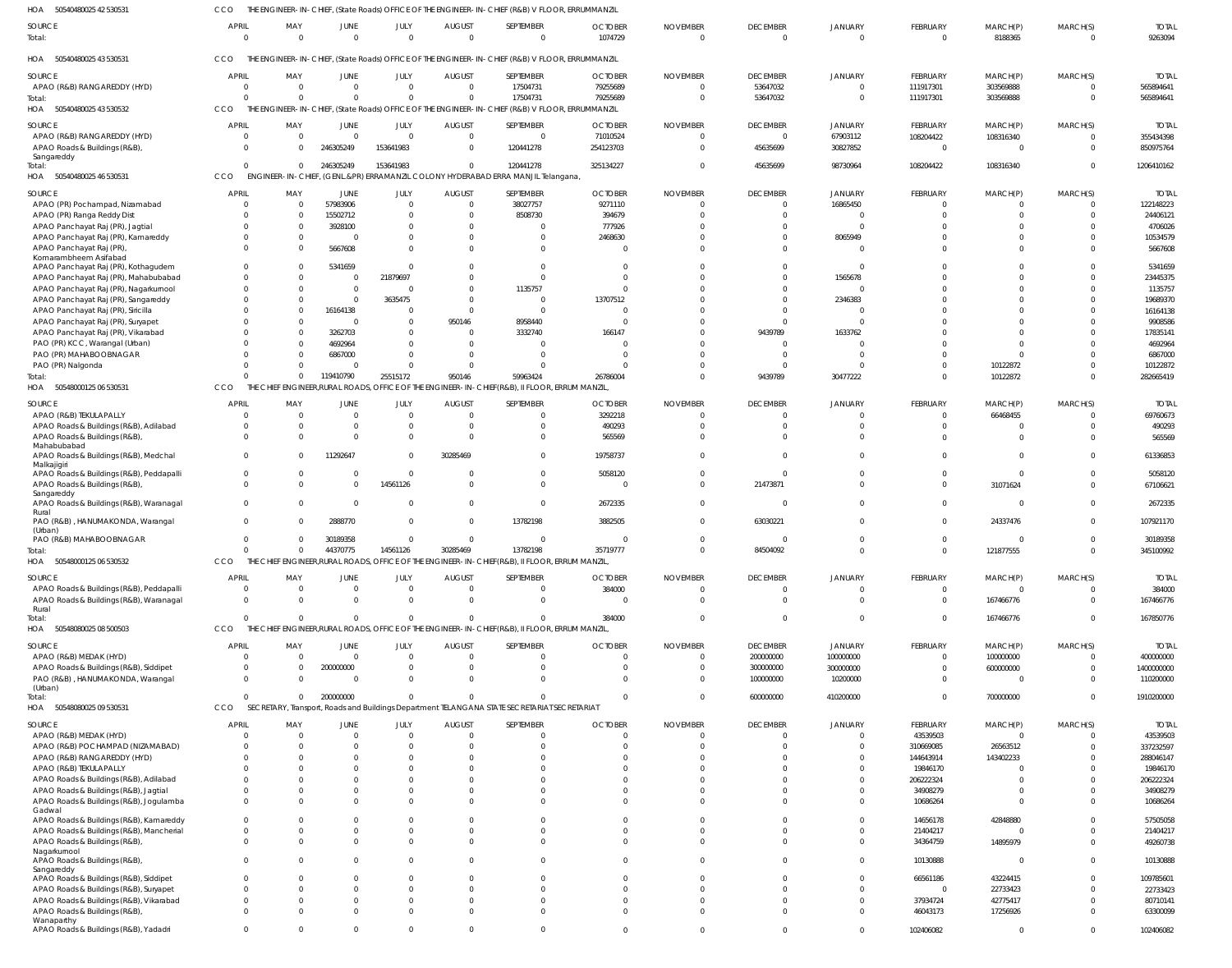| 50540480025 42 530531<br>HOA                            | CCO                  |                      |                  |                |                               | THE ENGINEER-IN-CHIEF, (State Roads) OFFICE OF THE ENGINEER-IN-CHIEF (R&B) V FLOOR, ERRUMMANZIL |                |                      |                 |                             |                            |             |          |              |
|---------------------------------------------------------|----------------------|----------------------|------------------|----------------|-------------------------------|-------------------------------------------------------------------------------------------------|----------------|----------------------|-----------------|-----------------------------|----------------------------|-------------|----------|--------------|
| <b>SOURCE</b>                                           | <b>APRIL</b>         | MAY                  | JUNE             | JULY           | <b>AUGUST</b>                 | SEPTEMBER                                                                                       | <b>OCTOBER</b> | <b>NOVEMBER</b>      | <b>DECEMBER</b> | <b>JANUARY</b>              | <b>FEBRUARY</b>            | MARCH(P)    | MARCH(S) | <b>TOTAI</b> |
| Total:                                                  | $\overline{0}$       | $\Omega$             | $\Omega$         | $\overline{0}$ | $\Omega$                      | $\Omega$                                                                                        | 1074729        | $\overline{0}$       | $\Omega$        | $\Omega$                    | $\mathbf{0}$               | 8188365     | $\Omega$ | 9263094      |
|                                                         |                      |                      |                  |                |                               |                                                                                                 |                |                      |                 |                             |                            |             |          |              |
|                                                         |                      |                      |                  |                |                               |                                                                                                 |                |                      |                 |                             |                            |             |          |              |
| HOA 50540480025 43 530531                               | CCO                  |                      |                  |                |                               | THE ENGINEER-IN-CHIEF, (State Roads) OFFICE OF THE ENGINEER-IN-CHIEF (R&B) V FLOOR, ERRUMMANZIL |                |                      |                 |                             |                            |             |          |              |
| SOURCE                                                  | <b>APRIL</b>         | MAY                  | JUNE             | JULY           | <b>AUGUST</b>                 | SEPTEMBER                                                                                       | <b>OCTOBER</b> | <b>NOVEMBER</b>      | <b>DECEMBER</b> | <b>JANUARY</b>              | FEBRUARY                   | MARCH(P)    | MARCH(S) | <b>TOTAL</b> |
| APAO (R&B) RANGAREDDY (HYD)                             | $\Omega$             | $\Omega$             | $\Omega$         | $\Omega$       | $\Omega$                      | 17504731                                                                                        | 79255689       | $\Omega$             | 53647032        | $\Omega$                    | 111917301                  | 303569888   |          | 565894641    |
| Total:                                                  | $\Omega$             | $\Omega$             | $\Omega$         | $\Omega$       | $\mathsf{C}$                  | 17504731                                                                                        | 79255689       | $\Omega$             | 53647032        | $\Omega$                    | 111917301                  | 303569888   | $\Omega$ | 565894641    |
| HOA 50540480025 43 530532                               | <b>CCO</b>           |                      |                  |                |                               | THE ENGINEER-IN-CHIEF, (State Roads) OFFICE OF THE ENGINEER-IN-CHIEF (R&B) V FLOOR, ERRUMMANZIL |                |                      |                 |                             |                            |             |          |              |
|                                                         |                      |                      |                  |                |                               |                                                                                                 |                |                      |                 |                             |                            |             |          |              |
| <b>SOURCE</b>                                           | <b>APRIL</b>         | MAY                  | JUNE             | JULY           | <b>AUGUST</b>                 | SEPTEMBER                                                                                       | <b>OCTOBER</b> | <b>NOVEMBER</b>      | <b>DECEMBER</b> | <b>JANUARY</b>              | FEBRUARY                   | MARCH(P)    | MARCH(S) | <b>TOTAI</b> |
| APAO (R&B) RANGAREDDY (HYD)                             | $\Omega$             | $\mathbf{0}$         | $\Omega$         | $\Omega$       | $\mathsf{C}$                  | $\Omega$                                                                                        | 71010524       | $\Omega$             | $\Omega$        | 67903112                    | 108204422                  | 108316340   |          | 355434398    |
| APAO Roads & Buildings (R&B)                            | $\Omega$             | $\Omega$             | 246305249        | 153641983      |                               | 120441278                                                                                       | 254123703      | $\Omega$             | 45635699        | 30827852                    | $\mathbf 0$                | $\Omega$    | $\Omega$ | 850975764    |
| Sangareddy                                              | $\Omega$             | $\Omega$             | 246305249        | 153641983      | $\Omega$                      | 120441278                                                                                       | 325134227      | $\Omega$             | 45635699        | 98730964                    | 108204422                  |             | $\Omega$ | 1206410162   |
| Total:<br>HOA 50540480025 46 530531                     | CCO                  |                      |                  |                |                               |                                                                                                 |                |                      |                 |                             |                            | 108316340   |          |              |
|                                                         |                      |                      |                  |                |                               | ENGINEER-IN-CHIEF, (GENL.&PR) ERRAMANZIL COLONY HYDERABAD ERRA MANJIL Telangana,                |                |                      |                 |                             |                            |             |          |              |
| <b>SOURCE</b>                                           | <b>APRIL</b>         | MAY                  | JUNE             | JULY           | <b>AUGUST</b>                 | SEPTEMBER                                                                                       | <b>OCTOBER</b> | <b>NOVEMBER</b>      | <b>DECEMBER</b> | <b>JANUARY</b>              | <b>FEBRUARY</b>            | MARCH(P)    | MARCH(S) | <b>TOTAI</b> |
| APAO (PR) Pochampad, Nizamabad                          | $\Omega$             | 0                    | 57983906         | $\overline{0}$ | $\Omega$                      | 38027757                                                                                        | 9271110        | $\Omega$             | $\Omega$        | 16865450                    | $\Omega$                   |             | $\Omega$ | 122148223    |
| APAO (PR) Ranga Reddy Dist                              | $\Omega$             | - 0                  | 15502712         | $\Omega$       | $\Omega$                      | 8508730                                                                                         | 394679         | $\Omega$             | $\Omega$        |                             | $\Omega$                   |             | $\Omega$ | 24406121     |
| APAO Panchayat Raj (PR), Jagtial                        | $\Omega$             | - 0                  | 3928100          | $\Omega$       | $\Omega$                      | $\Omega$                                                                                        | 777926         | $\Omega$             | $\Omega$        | $\Omega$                    |                            |             | $\Omega$ | 4706026      |
| APAO Panchayat Raj (PR), Kamareddy                      | $\Omega$             | $\Omega$             | $\sqrt{ }$       | $\Omega$       | $\Omega$                      | $\Omega$                                                                                        | 2468630        | $\Omega$             |                 | 8065949                     |                            |             |          | 10534579     |
| APAO Panchayat Raj (PR)                                 | $\Omega$             | $\Omega$             | 5667608          | $\Omega$       |                               | $\Omega$                                                                                        | $\Omega$       | $\Omega$             |                 |                             | $\Omega$                   |             |          | 5667608      |
| Komarambheem Asifabad                                   |                      |                      |                  |                |                               |                                                                                                 |                |                      |                 |                             |                            |             |          |              |
| APAO Panchayat Raj (PR), Kothagudem                     | $\Omega$             | $\Omega$             | 5341659          | $\Omega$       |                               | $\Omega$                                                                                        | $\Omega$       | $\Omega$             |                 |                             |                            |             |          | 5341659      |
| APAO Panchayat Raj (PR), Mahabubabad                    | $\Omega$             | $\Omega$             | $\Omega$         | 21879697       |                               | $\Omega$                                                                                        | $\Omega$       | $\Omega$             |                 | 1565678                     |                            |             |          | 23445375     |
| APAO Panchayat Raj (PR), Nagarkurnool                   | $\Omega$             | $\Omega$             | $\Omega$         | $\Omega$       | $\Omega$                      | 1135757                                                                                         | $\Omega$       | $\Omega$             |                 |                             | $\Omega$                   |             |          | 1135757      |
| APAO Panchayat Raj (PR), Sangareddy                     | $\Omega$             | $\Omega$             | $\Omega$         | 3635475        | $\Omega$                      | $\Omega$                                                                                        | 13707512       | $\Omega$             |                 | 2346383                     |                            |             |          | 19689370     |
| APAO Panchayat Raj (PR), Siricilla                      | $\Omega$             | $\Omega$             | 16164138         | $\Omega$       | $\Omega$                      | $\Omega$                                                                                        | $\Omega$       | $\Omega$             |                 |                             |                            |             |          | 16164138     |
| APAO Panchayat Raj (PR), Suryapet                       |                      | $\Omega$             | $\Omega$         | $\Omega$       | 950146                        | 8958440                                                                                         | $\Omega$       | $\Omega$             | $\Omega$        | $\Omega$                    |                            |             |          | 9908586      |
| APAO Panchayat Raj (PR), Vikarabad                      | $\Omega$             | $\Omega$             | 3262703          | $\Omega$       | $\Omega$                      | 3332740                                                                                         | 166147         | $\Omega$             | 9439789         | 1633762                     |                            |             |          | 17835141     |
| PAO (PR) KCC, Warangal (Urban)                          | $\Omega$             | $\Omega$             | 4692964          | $\Omega$       | $\mathsf{C}$                  | $\Omega$                                                                                        | $\Omega$       | $\Omega$             |                 |                             |                            |             |          | 4692964      |
| PAO (PR) MAHABOOBNAGAR                                  | $\Omega$             | $\Omega$             | 6867000          | $\Omega$       | $\Omega$                      | $\Omega$                                                                                        | - 0            | $\Omega$             | $\Omega$        | $\cap$                      |                            |             |          | 6867000      |
| PAO (PR) Nalgonda                                       | $\Omega$             | $\Omega$             | $\Omega$         | $\Omega$       | $\Omega$                      | $\Omega$                                                                                        | $\Omega$       | $\Omega$             | $\Omega$        |                             |                            | 10122872    |          | 10122872     |
| Total:                                                  | $\Omega$             | $\Omega$             | 119410790        | 25515172       | 950146                        | 59963424                                                                                        | 26786004       | $\Omega$             | 9439789         | 30477222                    | $\Omega$                   | 10122872    | $\Omega$ | 282665419    |
| HOA 50548000125 06 530531                               | CCO                  | THE '                |                  |                |                               | CHIEF ENGINEER,RURAL ROADS, OFFICE OF THE ENGINEER-IN-CHIEF(R&B), II FLOOR, ERRUM MANZIL        |                |                      |                 |                             |                            |             |          |              |
|                                                         |                      |                      |                  |                |                               |                                                                                                 |                |                      |                 |                             |                            |             |          |              |
| <b>SOURCE</b>                                           | <b>APRIL</b>         | MAY                  | JUNE             | JULY           | <b>AUGUST</b>                 | SEPTEMBER                                                                                       | <b>OCTOBER</b> | <b>NOVEMBER</b>      | <b>DECEMBER</b> | <b>JANUARY</b>              | <b>FEBRUARY</b>            | MARCH(P)    | MARCH(S) | <b>TOTAI</b> |
| APAO (R&B) TEKULAPALLY                                  | $\Omega$             | $\Omega$             | $\Omega$         | $\Omega$       |                               | $\Omega$                                                                                        | 3292218        | $\Omega$             | $\Omega$        |                             | $\Omega$                   | 66468455    |          | 69760673     |
| APAO Roads & Buildings (R&B), Adilabad                  | $\Omega$             | $\Omega$             |                  | $\overline{0}$ |                               | $\Omega$                                                                                        | 490293         | $\mathcal{L}$        |                 |                             | $\Omega$                   |             |          | 490293       |
| APAO Roads & Buildings (R&B)                            | $\Omega$             | $\Omega$             |                  | $\Omega$       | - 0                           | $\Omega$                                                                                        | 565569         | $\Omega$             | $\Omega$        |                             | $\Omega$                   |             |          | 565569       |
| Mahabubabad                                             |                      |                      |                  |                |                               |                                                                                                 |                |                      |                 |                             |                            |             |          |              |
| APAO Roads & Buildings (R&B), Medchal                   | $\Omega$             | $\Omega$             | 11292647         | $\Omega$       | 30285469                      | $\Omega$                                                                                        | 19758737       | $\Omega$             | $\Omega$        | $\Omega$                    | $\Omega$                   | $\Omega$    |          | 61336853     |
| Malkajigiri<br>APAO Roads & Buildings (R&B), Peddapalli | $\mathbf{0}$         | $\Omega$             |                  | $\Omega$       |                               | $\Omega$                                                                                        | 5058120        | $\Omega$             | $\Omega$        |                             | $\Omega$                   | $\Omega$    |          | 5058120      |
| APAO Roads & Buildings (R&B),                           | $\Omega$             | $\Omega$             | $\Omega$         | 14561126       |                               | $\Omega$                                                                                        | - 0            | $\Omega$             | 21473871        | $\Omega$                    | $\Omega$                   | 31071624    |          | 67106621     |
| Sangareddy                                              |                      |                      |                  |                |                               |                                                                                                 |                |                      |                 |                             |                            |             |          |              |
| APAO Roads & Buildings (R&B), Waranagal                 | $\Omega$             | $\Omega$             | $\Omega$         | $\Omega$       |                               | $\Omega$                                                                                        | 2672335        | $\Omega$             | $\Omega$        | $\Omega$                    | $\Omega$                   | $\Omega$    | $\Omega$ | 2672335      |
| Rural                                                   |                      |                      |                  |                |                               |                                                                                                 |                |                      |                 |                             |                            |             |          |              |
| PAO (R&B), HANUMAKONDA, Warangal                        | $\Omega$             | $\Omega$             | 2888770          | $\Omega$       | $\Omega$                      | 13782198                                                                                        | 3882505        | $\Omega$             | 63030221        | $\Omega$                    | $\Omega$                   | 24337476    |          | 107921170    |
| (Urban)                                                 |                      |                      |                  |                |                               |                                                                                                 |                |                      |                 |                             |                            |             | $\Omega$ |              |
| PAO (R&B) MAHABOOBNAGAR                                 | $\Omega$<br>$\Omega$ | $\Omega$<br>$\Omega$ | 30189358         | $\Omega$       | $\Omega$<br>30285469          | $\Omega$                                                                                        | $\Omega$       | $\Omega$<br>$\Omega$ |                 | $\Omega$<br>$\Omega$        | $\Omega$<br>$\Omega$       | 0           | $\cap$   | 30189358     |
| Total:<br>50548000125 06 530532                         |                      |                      | 44370775         | 14561126       |                               | 13782198                                                                                        | 35719777       |                      | 84504092        |                             |                            | 121877555   |          | 345100992    |
| HOA                                                     | CCO                  |                      |                  |                |                               | THE CHIEF ENGINEER, RURAL ROADS, OFFICE OF THE ENGINEER-IN-CHIEF (R&B), II FLOOR, ERRUM MANZIL  |                |                      |                 |                             |                            |             |          |              |
| <b>SOURCE</b>                                           | <b>APRIL</b>         | MAY                  | JUNE             | <b>JULY</b>    | <b>AUGUST</b>                 | SEPTEMBER                                                                                       | <b>OCTOBER</b> | <b>NOVEMBER</b>      | <b>DECEMBER</b> | <b>JANUARY</b>              | <b>FEBRUARY</b>            | MARCH(P)    | MARCH(S) | <b>TOTAL</b> |
| APAO Roads & Buildings (R&B), Peddapalli                | $\overline{0}$       | $\Omega$             | $\Omega$         | $\overline{0}$ | $\Omega$                      | $\mathbf 0$                                                                                     | 384000         | 0                    | $\mathbf{0}$    | - 0                         | 0                          | $\Omega$    | $\Omega$ | 384000       |
| APAO Roads & Buildings (R&B), Waranagal                 | $\Omega$             | $\Omega$             | $\Omega$         | $\Omega$       | $\Omega$                      | $\Omega$                                                                                        | $\Omega$       | $\Omega$             | $\Omega$        | $\Omega$                    | $\Omega$                   | 167466776   | $\Omega$ | 167466776    |
| Rural                                                   |                      |                      |                  |                |                               |                                                                                                 |                |                      |                 |                             |                            |             |          |              |
| Total:                                                  | $\Omega$             | $\Omega$             | $\Omega$         | $\Omega$       |                               | $\Omega$                                                                                        | 384000         | $\Omega$             | $\Omega$        | $\Omega$                    | $\Omega$                   | 167466776   | $\Omega$ | 167850776    |
| HOA 50548080025 08 500503                               | CCO                  |                      |                  |                |                               | THE CHIEF ENGINEER, RURAL ROADS, OFFICE OF THE ENGINEER-IN-CHIEF (R&B), II FLOOR, ERRUM MANZIL  |                |                      |                 |                             |                            |             |          |              |
|                                                         | <b>APRIL</b>         |                      |                  | JULY           |                               | SEPTEMBER                                                                                       | <b>OCTOBER</b> | <b>NOVEMBER</b>      |                 |                             | FEBRUARY                   |             | MARCH(S) | <b>TOTAI</b> |
| <b>SOURCE</b>                                           | $\Omega$             | MAY                  | JUNE<br>$\Omega$ | $\Omega$       | <b>AUGUST</b><br>$\mathsf{C}$ |                                                                                                 | $\overline{0}$ | $\Omega$             | <b>DECEMBER</b> | <b>JANUARY</b><br>100000000 |                            | MARCH(P)    | $\Omega$ | 400000000    |
| APAO (R&B) MEDAK (HYD)                                  | $\Omega$             | $\overline{0}$       |                  | $\Omega$       |                               | $\mathbf 0$<br>$\Omega$                                                                         |                | $\Omega$             | 200000000       |                             | $\mathbf 0$<br>$\mathbf 0$ | 100000000   | $\Omega$ |              |
| APAO Roads & Buildings (R&B), Siddipet                  |                      | $\Omega$             | 200000000        |                |                               |                                                                                                 | $\Omega$       |                      | 300000000       | 300000000                   |                            | 600000000   |          | 1400000000   |
| PAO (R&B), HANUMAKONDA, Warangal<br>(Urban)             | $\Omega$             | $\Omega$             | - 0              | $\Omega$       |                               | $\Omega$                                                                                        | $\Omega$       | $\Omega$             | 100000000       | 10200000                    | $\Omega$                   | $\mathbf 0$ | $\Omega$ | 110200000    |
| Total:                                                  | $\overline{0}$       | $^{\circ}$           | 200000000        | $\Omega$       | $\Omega$                      | $\Omega$                                                                                        | $\Omega$       | $\Omega$             | 600000000       | 410200000                   | $\Omega$                   | 700000000   | $\Omega$ | 1910200000   |
| HOA 50548080025 09 530531                               | CCO                  |                      |                  |                |                               | SECRETARY, Transport, Roads and Buildings Department TELANGANA STATE SECRETARIAT SECRETARIAT    |                |                      |                 |                             |                            |             |          |              |
|                                                         |                      |                      |                  |                |                               |                                                                                                 |                |                      |                 |                             |                            |             |          |              |
| <b>SOURCE</b>                                           | <b>APRIL</b>         | MAY                  | <b>JUNE</b>      | JULY           | <b>AUGUST</b>                 | SEPTEMBER                                                                                       | <b>OCTOBER</b> | <b>NOVEMBER</b>      | <b>DECEMBER</b> | <b>JANUARY</b>              | <b>FEBRUARY</b>            | MARCH(P)    | MARCH(S) | <b>TOTAL</b> |
| APAO (R&B) MEDAK (HYD)                                  | $\Omega$             | $\Omega$             | $\Omega$         | $\Omega$       | - 0                           | $\mathbf 0$                                                                                     | $\circ$        | $\Omega$             | $\Omega$        | $\Omega$                    | 43539503                   | $\Omega$    | $\Omega$ | 43539503     |
| APAO (R&B) POCHAMPAD (NIZAMABAD)                        | $\Omega$             | $\Omega$             |                  | $\Omega$       |                               | $\Omega$                                                                                        | $\Omega$       | $\Omega$             | $\Omega$        | $\Omega$                    | 310669085                  | 26563512    | $\Omega$ | 337232597    |
| APAO (R&B) RANGAREDDY (HYD)                             | $\Omega$             | $\Omega$             |                  | $\Omega$       |                               | $\Omega$                                                                                        | $\Omega$       | $\Omega$             |                 | $\Omega$                    | 144643914                  | 143402233   | $\Omega$ | 288046147    |
| APAO (R&B) TEKULAPALLY                                  | $\Omega$             | $\Omega$             |                  | $\Omega$       |                               |                                                                                                 | $\Omega$       | $\Omega$             |                 | $\Omega$                    | 19846170                   |             |          | 19846170     |
| APAO Roads & Buildings (R&B), Adilabad                  | $\Omega$             | $\Omega$             |                  |                |                               |                                                                                                 | $\Omega$       | $\Omega$             |                 | $\Omega$                    | 206222324                  |             |          | 206222324    |
| APAO Roads & Buildings (R&B), Jagtial                   | $\Omega$             | $\Omega$             |                  | $\Omega$       |                               | $\Omega$                                                                                        | $\Omega$       | $\Omega$             |                 | $\Omega$                    | 34908279                   |             |          | 34908279     |
| APAO Roads & Buildings (R&B), Jogulamba                 | $\Omega$             | $\Omega$             |                  | $\Omega$       |                               | $\Omega$                                                                                        | $\Omega$       | $\Omega$             | $\Omega$        | $\Omega$                    | 10686264                   | $\Omega$    |          | 10686264     |
| Gadwal                                                  |                      |                      |                  |                |                               |                                                                                                 |                |                      |                 |                             |                            |             |          |              |
| APAO Roads & Buildings (R&B), Kamareddy                 | $\Omega$             | $\Omega$             |                  |                |                               | $\Omega$                                                                                        | $\Omega$       | $\Omega$             | $\Omega$        | $\Omega$                    | 14656178                   | 42848880    |          | 57505058     |
| APAO Roads & Buildings (R&B), Mancherial                | $\Omega$             | $\Omega$             |                  | $\Omega$       | $\Omega$                      | $\Omega$                                                                                        | $\Omega$       | $\Omega$             | $\Omega$        | $\Omega$                    | 21404217                   | $\Omega$    | $\Omega$ | 21404217     |
| APAO Roads & Buildings (R&B)                            | $\Omega$             | $\Omega$             |                  | $\Omega$       | $\Omega$                      | $\Omega$                                                                                        | $\Omega$       | $\Omega$             | $\Omega$        | $\Omega$                    | 34364759                   | 14895979    | $\Omega$ | 49260738     |
| Nagarkurnool<br>APAO Roads & Buildings (R&B),           | $\Omega$             | $\Omega$             | $\Omega$         | $\Omega$       |                               | $\Omega$                                                                                        | $\Omega$       | $\Omega$             | $\Omega$        | $\Omega$                    | 10130888                   | $\Omega$    | $\Omega$ | 10130888     |
| Sangareddy                                              |                      |                      |                  |                |                               |                                                                                                 |                |                      |                 |                             |                            |             |          |              |
| APAO Roads & Buildings (R&B), Siddipet                  | $\Omega$             | $\Omega$             |                  | $\Omega$       |                               | $\Omega$                                                                                        | $\Omega$       | $\Omega$             | $\Omega$        | $\Omega$                    | 66561186                   | 43224415    |          | 109785601    |
| APAO Roads & Buildings (R&B), Suryapet                  | $\Omega$             | $\Omega$             |                  | $\Omega$       | $\Omega$                      | $\Omega$                                                                                        | $\Omega$       | $\Omega$             | $\Omega$        | $\Omega$                    | $\Omega$                   | 22733423    | $\Omega$ | 22733423     |
| APAO Roads & Buildings (R&B), Vikarabad                 | $\Omega$             | $\Omega$             |                  | $\Omega$       |                               | $\Omega$                                                                                        | $\Omega$       | $\Omega$             | $\Omega$        | $\Omega$                    | 37934724                   | 42775417    |          | 80710141     |
| APAO Roads & Buildings (R&B)                            | $\Omega$             | $\Omega$             |                  | $\Omega$       |                               | $\Omega$                                                                                        | $\Omega$       | $\Omega$             | $\Omega$        | $\Omega$                    | 46043173                   | 17256926    | $\Omega$ | 63300099     |
| Wanaparthy                                              |                      |                      |                  |                |                               |                                                                                                 |                |                      |                 |                             |                            |             |          |              |
| APAO Roads & Buildings (R&B), Yadadri                   | $\mathbf 0$          | $\Omega$             | $\Omega$         | $\Omega$       | $\Omega$                      | $\Omega$                                                                                        | $\Omega$       | $\Omega$             | $\Omega$        | $\Omega$                    | 102406082                  | $\mathbf 0$ | $\Omega$ | 102406082    |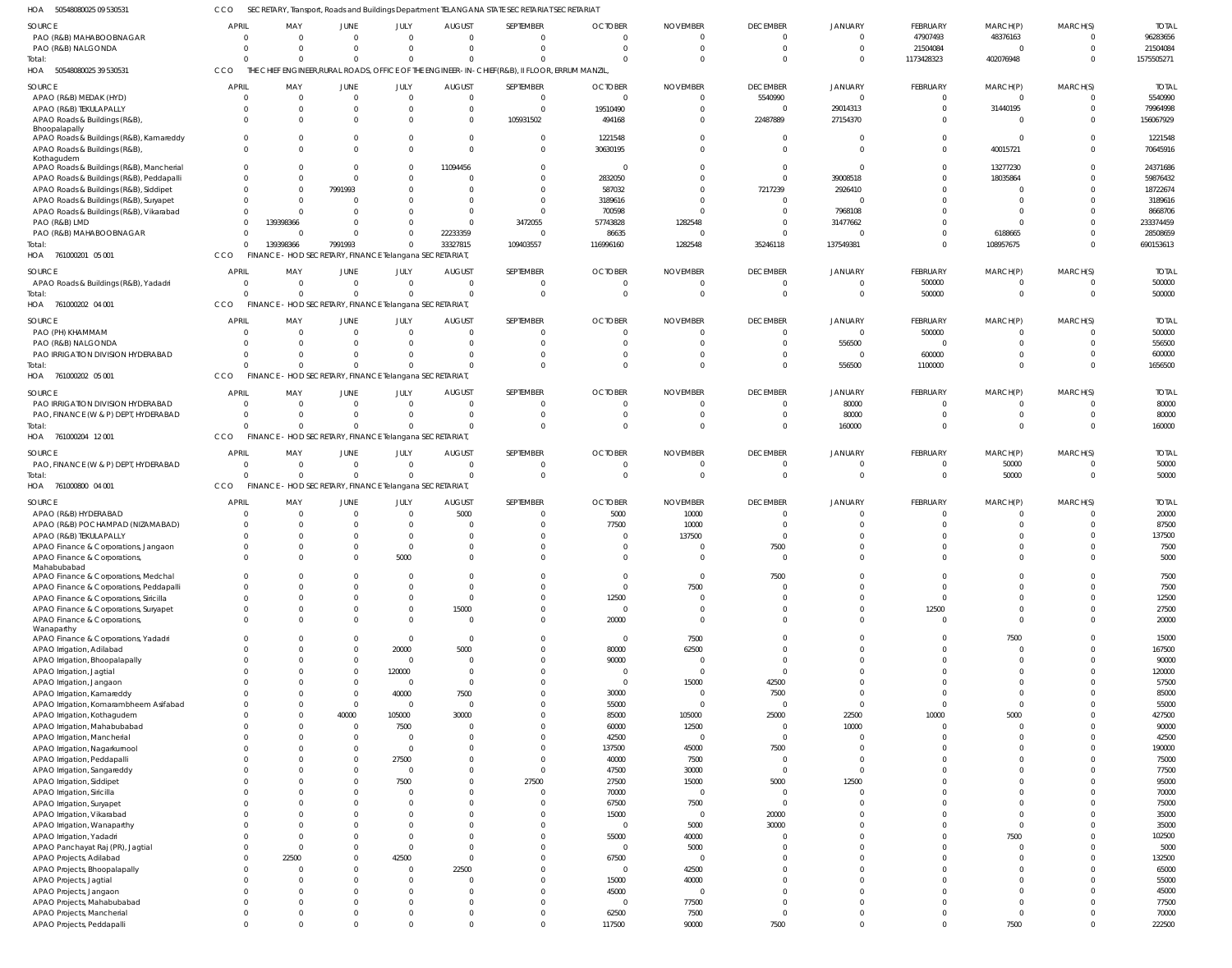50548080025 09 530531 HOA CCO SECRETARY, Transport, Roads and Buildings Department TELANGANA STATE SECRETARIAT SECRETARIAT

| SOURCE                                   | <b>APRIL</b> | MAY                                                     | JUNE           | JULY           | <b>AUGUST</b>  | SEPTEMBER                                                                                      | <b>OCTOBER</b> | <b>NOVEMBER</b> | <b>DECEMBER</b> | <b>JANUARY</b> | <b>FEBRUARY</b> | MARCH(P)     | MARCH(S)       | <b>TOTAL</b> |
|------------------------------------------|--------------|---------------------------------------------------------|----------------|----------------|----------------|------------------------------------------------------------------------------------------------|----------------|-----------------|-----------------|----------------|-----------------|--------------|----------------|--------------|
| PAO (R&B) MAHABOOBNAGAR                  | $\mathbf 0$  | $\overline{0}$                                          | $\overline{0}$ | $\Omega$       | $\overline{0}$ | $\Omega$                                                                                       | $\mathbf{0}$   | 0               | $\overline{0}$  | $\mathbf 0$    | 47907493        | 48376163     | $\Omega$       | 96283656     |
|                                          |              |                                                         |                | $\Omega$       |                |                                                                                                |                |                 |                 |                |                 |              |                |              |
| PAO (R&B) NALGONDA                       | $\Omega$     | $\overline{0}$                                          | $\mathbf 0$    |                | $\Omega$       | $\Omega$                                                                                       | $\Omega$       | $\Omega$        | $\overline{0}$  | $\overline{0}$ | 21504084        | $\mathbf 0$  | $\Omega$       | 21504084     |
| Total:                                   |              | $\Omega$                                                | $\Omega$       | $\Omega$       | $\Omega$       | $\Omega$                                                                                       | $\Omega$       |                 | $\Omega$        | $\overline{0}$ | 1173428323      | 402076948    | $\Omega$       | 1575505271   |
| 50548080025 39 530531<br>HOA             | CCO          |                                                         |                |                |                | THE CHIEF ENGINEER, RURAL ROADS, OFFICE OF THE ENGINEER-IN-CHIEF (R&B), II FLOOR, ERRUM MANZIL |                |                 |                 |                |                 |              |                |              |
|                                          |              |                                                         |                |                |                |                                                                                                |                |                 |                 |                |                 |              |                |              |
| SOURCE                                   | <b>APRIL</b> | MAY                                                     | JUNE           | JULY           | <b>AUGUST</b>  | SEPTEMBER                                                                                      | <b>OCTOBER</b> | <b>NOVEMBER</b> | <b>DECEMBER</b> | <b>JANUARY</b> | FEBRUARY        | MARCH(P)     | MARCH(S)       | <b>TOTAL</b> |
|                                          |              |                                                         |                |                |                |                                                                                                |                |                 |                 |                |                 |              |                |              |
| APAO (R&B) MEDAK (HYD)                   | 0            | $\overline{0}$                                          | $\overline{0}$ | $\Omega$       | $\overline{0}$ | $\Omega$                                                                                       | $\Omega$       | $\Omega$        | 5540990         | $\overline{0}$ |                 | $\Omega$     | $\Omega$       | 5540990      |
| APAO (R&B) TEKULAPALLY                   | 0            | $\overline{0}$                                          | $\mathbf 0$    | $\Omega$       | $\mathbf 0$    | $\overline{0}$                                                                                 | 19510490       |                 | $\overline{0}$  | 29014313       | - 0             | 31440195     |                | 79964998     |
|                                          |              |                                                         |                |                |                |                                                                                                |                |                 |                 |                |                 |              |                |              |
| APAO Roads & Buildings (R&B)             | $\Omega$     | $\Omega$                                                | $\Omega$       | $\Omega$       | $\mathbf 0$    | 105931502                                                                                      | 494168         |                 | 22487889        | 27154370       |                 | $\Omega$     |                | 156067929    |
| Bhoopalapally                            |              |                                                         |                |                |                |                                                                                                |                |                 |                 |                |                 |              |                |              |
| APAO Roads & Buildings (R&B), Kamareddy  |              | $\mathbf 0$                                             | $\overline{0}$ | $\Omega$       | $\mathbf 0$    | $\Omega$                                                                                       | 1221548        |                 | $\overline{0}$  | $\overline{0}$ |                 | $\mathbf 0$  |                | 1221548      |
|                                          |              |                                                         |                |                |                |                                                                                                |                |                 |                 |                |                 |              |                |              |
| APAO Roads & Buildings (R&B)             | $\Omega$     | $\Omega$                                                | $\Omega$       | $\Omega$       | $\Omega$       | $\Omega$                                                                                       | 30630195       |                 | $\Omega$        | $\Omega$       | $\Omega$        | 40015721     |                | 70645916     |
| Kothagudem                               |              |                                                         |                |                |                |                                                                                                |                |                 |                 |                |                 |              |                |              |
| APAO Roads & Buildings (R&B), Mancherial |              | $\Omega$                                                | $\Omega$       | $\Omega$       | 11094456       | $\Omega$                                                                                       | $\Omega$       |                 | $\Omega$        | $\Omega$       |                 | 13277230     |                | 24371686     |
|                                          |              |                                                         |                | $\Omega$       |                |                                                                                                |                |                 |                 |                |                 |              |                |              |
| APAO Roads & Buildings (R&B), Peddapalli |              | $\Omega$                                                | $\Omega$       |                | $\Omega$       | $\Omega$                                                                                       | 2832050        |                 | $\Omega$        | 39008518       |                 | 18035864     |                | 59876432     |
| APAO Roads & Buildings (R&B), Siddipet   |              | $\Omega$                                                | 7991993        | $\Omega$       | $\Omega$       | $\Omega$                                                                                       | 587032         |                 | 7217239         | 2926410        |                 | $\Omega$     |                | 18722674     |
|                                          |              | $\Omega$                                                |                | $\Omega$       | $\Omega$       | $\Omega$                                                                                       |                |                 | $\Omega$        | $\Omega$       |                 | $\Omega$     |                | 3189616      |
| APAO Roads & Buildings (R&B), Suryapet   |              |                                                         | -0             |                |                |                                                                                                | 3189616        |                 |                 |                |                 |              |                |              |
| APAO Roads & Buildings (R&B), Vikarabad  |              | $\Omega$                                                | $\Omega$       | $\Omega$       | $\Omega$       | $\Omega$                                                                                       | 700598         |                 | $\Omega$        | 7968108        |                 | $\Omega$     |                | 8668706      |
| PAO (R&B) LMD                            |              | 139398366                                               | $\Omega$       | $\Omega$       | $\Omega$       | 3472055                                                                                        | 57743828       | 1282548         | 0               | 31477662       |                 | $\Omega$     |                | 233374459    |
|                                          |              |                                                         |                |                |                |                                                                                                |                |                 |                 |                |                 |              |                |              |
| PAO (R&B) MAHABOOBNAGAR                  |              | $\Omega$                                                | $\Omega$       | $\Omega$       | 22233359       | $\Omega$                                                                                       | 86635          |                 | $\Omega$        | $\Omega$       |                 | 6188665      |                | 28508659     |
| Total:                                   | $\Omega$     | 139398366                                               | 7991993        | $\Omega$       | 33327815       | 109403557                                                                                      | 116996160      | 1282548         | 35246118        | 137549381      | $\Omega$        | 108957675    | $\Omega$       | 690153613    |
|                                          |              |                                                         |                |                |                |                                                                                                |                |                 |                 |                |                 |              |                |              |
| HOA 761000201 05 001                     | CCO          | FINANCE - HOD SECRETARY, FINANCE Telangana SECRETARIAT, |                |                |                |                                                                                                |                |                 |                 |                |                 |              |                |              |
|                                          |              |                                                         |                |                |                |                                                                                                |                |                 |                 |                |                 |              |                |              |
| SOURCE                                   | <b>APRIL</b> | MAY                                                     | JUNE           | JULY           | <b>AUGUST</b>  | SEPTEMBER                                                                                      | <b>OCTOBER</b> | <b>NOVEMBER</b> | <b>DECEMBER</b> | <b>JANUARY</b> | <b>FEBRUARY</b> | MARCH(P)     | MARCH(S)       | <b>TOTAL</b> |
| APAO Roads & Buildings (R&B), Yadadri    | 0            | $\overline{0}$                                          | $\mathbf 0$    | $\Omega$       | $\overline{0}$ | $\overline{0}$                                                                                 | $\mathbf{0}$   | 0               | $\overline{0}$  | $\overline{0}$ | 500000          | $\mathbf 0$  | $\Omega$       | 500000       |
|                                          |              |                                                         |                |                |                |                                                                                                |                |                 |                 |                |                 |              |                |              |
| Total:                                   | $\Omega$     | $\Omega$                                                | $\mathbf 0$    | $\Omega$       | $\Omega$       | $\Omega$                                                                                       | $\Omega$       | $\Omega$        | $\overline{0}$  | $\overline{0}$ | 500000          | $\mathbf 0$  | $\Omega$       | 500000       |
| 761000202 04 001<br>HOA                  | CCO          | FINANCE - HOD SECRETARY, FINANCE Telangana SECRETARIAT, |                |                |                |                                                                                                |                |                 |                 |                |                 |              |                |              |
|                                          |              |                                                         |                |                |                |                                                                                                |                |                 |                 |                |                 |              |                |              |
| SOURCE                                   | <b>APRIL</b> | MAY                                                     | JUNE           | JULY           | <b>AUGUST</b>  | SEPTEMBER                                                                                      | <b>OCTOBER</b> | <b>NOVEMBER</b> | <b>DECEMBER</b> | <b>JANUARY</b> | FEBRUARY        | MARCH(P)     | MARCH(S)       | <b>TOTAL</b> |
|                                          |              |                                                         |                |                |                |                                                                                                |                |                 |                 |                |                 |              |                |              |
| PAO (PH) KHAMMAM                         |              | $\overline{0}$                                          | $\mathbf 0$    | $\Omega$       | $\overline{0}$ | $\Omega$                                                                                       | $\Omega$       |                 | $\mathbf{0}$    | $\overline{0}$ | 500000          | -0           |                | 500000       |
| PAO (R&B) NALGONDA                       |              | $\overline{0}$                                          | $\mathbf{0}$   | $\Omega$       | $\Omega$       | $\Omega$                                                                                       | $\Omega$       |                 | $\mathbf{0}$    | 556500         | - 0             | $\Omega$     |                | 556500       |
|                                          |              |                                                         |                |                |                |                                                                                                |                |                 |                 |                |                 |              |                |              |
| PAO IRRIGATION DIVISION HYDERABAD        |              | $\Omega$                                                | $\Omega$       | $\Omega$       | $\Omega$       | $\Omega$                                                                                       | $\Omega$       |                 | $\Omega$        | $\overline{0}$ | 600000          | $\Omega$     |                | 600000       |
| Total:                                   |              | $\Omega$                                                | $\Omega$       | $\Omega$       | $\Omega$       | $\Omega$                                                                                       | $\Omega$       |                 | $\Omega$        | 556500         | 1100000         | $\Omega$     | $\Omega$       | 1656500      |
|                                          |              |                                                         |                |                |                |                                                                                                |                |                 |                 |                |                 |              |                |              |
| HOA 761000202 05 001                     | CCO          | FINANCE - HOD SECRETARY, FINANCE Telangana SECRETARIAT, |                |                |                |                                                                                                |                |                 |                 |                |                 |              |                |              |
|                                          |              |                                                         |                |                |                |                                                                                                |                |                 |                 |                |                 |              |                |              |
| SOURCE                                   | <b>APRIL</b> | MAY                                                     | JUNE           | JULY           | <b>AUGUST</b>  | SEPTEMBER                                                                                      | <b>OCTOBER</b> | <b>NOVEMBER</b> | <b>DECEMBER</b> | <b>JANUARY</b> | FEBRUARY        | MARCH(P)     | MARCH(S)       | <b>TOTAL</b> |
| PAO IRRIGATION DIVISION HYDERABAD        | 0            | $\overline{0}$                                          | $\overline{0}$ | $\Omega$       | $\overline{0}$ | $\Omega$                                                                                       | $\overline{0}$ |                 | $\overline{0}$  | 80000          | - 0             | $\mathbf 0$  | $\Omega$       | 80000        |
|                                          |              |                                                         |                |                |                |                                                                                                |                |                 |                 |                |                 |              |                |              |
| PAO, FINANCE (W & P) DEPT, HYDERABAD     | 0            | $\Omega$                                                | $\mathbf{0}$   | $\Omega$       | $\overline{0}$ | $\Omega$                                                                                       | $\mathbf{0}$   |                 | $\overline{0}$  | 80000          | $\Omega$        | $\mathbf{0}$ | $\Omega$       | 80000        |
| Total:                                   |              | $\Omega$                                                | $\mathbf 0$    | $\Omega$       | $\Omega$       | $\Omega$                                                                                       | $\Omega$       |                 | $\Omega$        | 160000         | $\Omega$        | $\Omega$     | $\Omega$       | 160000       |
|                                          |              |                                                         |                |                |                |                                                                                                |                |                 |                 |                |                 |              |                |              |
| 761000204 12001<br>HOA                   | CCO          | FINANCE - HOD SECRETARY, FINANCE Telangana SECRETARIAT, |                |                |                |                                                                                                |                |                 |                 |                |                 |              |                |              |
|                                          |              |                                                         |                |                |                |                                                                                                |                |                 |                 |                |                 |              |                |              |
| SOURCE                                   | <b>APRIL</b> | MAY                                                     | JUNE           | JULY           | <b>AUGUST</b>  | SEPTEMBER                                                                                      | <b>OCTOBER</b> | <b>NOVEMBER</b> | <b>DECEMBER</b> | <b>JANUARY</b> | FEBRUARY        | MARCH(P)     | MARCH(S)       | <b>TOTAL</b> |
| PAO, FINANCE (W & P) DEPT, HYDERABAD     | $\mathbf 0$  | $\overline{0}$                                          | $\overline{0}$ | $\Omega$       | $\Omega$       | $\Omega$                                                                                       | $\Omega$       |                 | $\overline{0}$  | $\Omega$       | - 0             | 50000        | $\Omega$       | 50000        |
|                                          |              |                                                         |                |                |                |                                                                                                |                |                 |                 |                |                 |              |                |              |
| Total:                                   |              | $\Omega$                                                | $\mathbf 0$    | $\Omega$       | $\mathbf 0$    | $\Omega$                                                                                       | $\Omega$       | $\Omega$        | $\overline{0}$  | $\Omega$       | $\overline{0}$  | 50000        | $\Omega$       | 50000        |
| HOA 761000800 04 001                     | CCO          | FINANCE - HOD SECRETARY, FINANCE Telangana SECRETARIAT, |                |                |                |                                                                                                |                |                 |                 |                |                 |              |                |              |
|                                          |              |                                                         |                |                |                |                                                                                                |                |                 |                 |                |                 |              |                |              |
| SOURCE                                   | <b>APRIL</b> | MAY                                                     | JUNE           | JULY           | <b>AUGUST</b>  | SEPTEMBER                                                                                      | <b>OCTOBER</b> | <b>NOVEMBER</b> | <b>DECEMBER</b> | <b>JANUARY</b> | <b>FEBRUARY</b> | MARCH(P)     | MARCH(S)       | <b>TOTAL</b> |
|                                          |              |                                                         |                |                |                |                                                                                                |                |                 |                 |                |                 |              |                |              |
| APAO (R&B) HYDERABAD                     |              | $\mathbf{0}$                                            | $\mathbf 0$    | $\Omega$       | 5000           | $\Omega$                                                                                       | 5000           | 10000           | $\overline{0}$  | C              |                 | $^{\circ}$   |                | 20000        |
| APAO (R&B) POCHAMPAD (NIZAMABAD)         |              | $\Omega$                                                | $\Omega$       | $\Omega$       | 0              | $\Omega$                                                                                       | 77500          | 10000           | $\Omega$        |                |                 | $\Omega$     |                | 87500        |
|                                          |              |                                                         |                |                |                |                                                                                                |                |                 |                 |                |                 |              |                |              |
| APAO (R&B) TEKULAPALLY                   |              | $\Omega$                                                | $\Omega$       | $\Omega$       | $\Omega$       | $\Omega$                                                                                       | $\Omega$       | 137500          | $\Omega$        |                |                 |              |                | 137500       |
| APAO Finance & Corporations, Jangaon     |              | $\Omega$                                                | $\Omega$       | $\Omega$       | $\Omega$       | $\Omega$                                                                                       | $\Omega$       |                 | 7500            |                |                 |              |                | 7500         |
|                                          |              |                                                         |                |                |                |                                                                                                |                |                 |                 |                |                 |              |                |              |
| APAO Finance & Corporations,             |              | $\Omega$                                                | $\Omega$       | 5000           | $\Omega$       | $\cap$                                                                                         | $\Omega$       |                 | $\Omega$        |                |                 |              |                | 5000         |
| Mahabubabad                              |              |                                                         |                |                |                |                                                                                                |                |                 |                 |                |                 |              |                |              |
| APAO Finance & Corporations, Medchal     | $\Omega$     | $\overline{0}$                                          | $\mathbf 0$    | $\Omega$       | $\mathbf{0}$   | $\overline{0}$                                                                                 | $\mathbf{0}$   | $\mathbf 0$     | 7500            | $\overline{0}$ | $\Omega$        | $\mathbf 0$  | $\mathbf 0$    | 7500         |
|                                          |              |                                                         |                |                |                |                                                                                                |                |                 |                 |                |                 |              |                |              |
| APAO Finance & Corporations, Peddapalli  | $\mathbf 0$  | $\mathbf 0$                                             | $\mathbf 0$    | $\Omega$       | $\mathbf{0}$   | $\overline{0}$                                                                                 | $\overline{0}$ | 7500            | $\overline{0}$  | $\overline{0}$ | $\mathbf 0$     | $\mathbf 0$  | $\mathbf 0$    | 7500         |
| APAO Finance & Corporations, Siricilla   | 0            | $\mathbf 0$                                             | $\mathbf{0}$   | $\Omega$       | $\mathbf{0}$   | $\overline{0}$                                                                                 | 12500          |                 | $\mathbf{0}$    | $\mathbf 0$    | $\Omega$        | $\mathbf 0$  | $\Omega$       | 12500        |
|                                          |              |                                                         |                |                |                |                                                                                                |                |                 |                 |                |                 |              |                |              |
| APAO Finance & Corporations, Suryapet    | $\mathbf 0$  | $\mathbf 0$                                             | $\mathbf{0}$   | $\Omega$       | 15000          | $\overline{0}$                                                                                 | $\mathbf 0$    | 0               | $^{\circ}$      | $\mathbf 0$    | 12500           | $\mathbf 0$  | $\mathbf 0$    | 27500        |
| APAO Finance & Corporations,             | 0            | $\mathbf 0$                                             | $\mathbf 0$    | $\Omega$       | $\overline{0}$ | $\overline{0}$                                                                                 | 20000          | $\Omega$        | $\mathbf 0$     | $\mathbf 0$    | $\mathbf{0}$    | $\mathbf 0$  | $\Omega$       | 20000        |
| Wanaparthy                               |              |                                                         |                |                |                |                                                                                                |                |                 |                 |                |                 |              |                |              |
|                                          | 0            | $\mathbf 0$                                             | $\mathbf{0}$   | $\Omega$       | $\overline{0}$ | $\overline{0}$                                                                                 | $\overline{0}$ |                 | $\overline{0}$  | $\overline{0}$ | $^{\circ}$      | 7500         | $\Omega$       | 15000        |
| APAO Finance & Corporations, Yadadri     |              |                                                         |                |                |                |                                                                                                |                | 7500            |                 |                |                 |              |                |              |
| APAO Irrigation, Adilabad                |              | $\overline{0}$                                          | $\mathbf 0$    | 20000          | 5000           | $\overline{0}$                                                                                 | 80000          | 62500           | $\mathbf{0}$    | $\overline{0}$ | $\Omega$        | $\mathbf 0$  | $\Omega$       | 167500       |
| APAO Irrigation, Bhoopalapally           | 0            | $\mathbf 0$                                             | $\mathbf{0}$   | $\overline{0}$ | $\overline{0}$ | $\overline{0}$                                                                                 | 90000          | $\Omega$        | $\overline{0}$  | $\overline{0}$ | $\Omega$        | $\mathbf 0$  | $\Omega$       | 90000        |
|                                          |              |                                                         |                |                |                |                                                                                                |                |                 |                 |                |                 |              |                |              |
| APAO Irrigation, Jagtial                 |              | $\overline{0}$                                          | $\mathbf 0$    | 120000         | $\mathbf{0}$   | $\overline{0}$                                                                                 | $\overline{0}$ | $\mathbf 0$     | $\overline{0}$  | $\overline{0}$ | $\Omega$        | $\mathbf{0}$ | $\Omega$       | 120000       |
| APAO Irrigation, Jangaon                 |              | $\Omega$                                                | $\mathbf 0$    | $\overline{0}$ | $\mathbf{0}$   | $\Omega$                                                                                       | $\overline{0}$ | 15000           | 42500           | $\overline{0}$ | $\Omega$        | $\mathbf{0}$ | $\Omega$       | 57500        |
|                                          |              | $\Omega$                                                |                |                |                |                                                                                                |                |                 |                 |                | $\Omega$        | $\mathbf 0$  | $\Omega$       | 85000        |
| APAO Irrigation, Kamareddy               |              |                                                         | $\mathbf 0$    | 40000          | 7500           | $\overline{0}$                                                                                 | 30000          | $\mathbf 0$     | 7500            | $\overline{0}$ |                 |              |                |              |
| APAO Irrigation, Komarambheem Asifabad   |              | $\mathbf{0}$                                            | $\mathbf 0$    | $\overline{0}$ | $\overline{0}$ | $\Omega$                                                                                       | 55000          | $\mathbf 0$     | $\overline{0}$  | $\overline{0}$ | $\Omega$        | $\mathbf 0$  | $\Omega$       | 55000        |
|                                          |              | $\mathbf{0}$                                            | 40000          | 105000         | 30000          | $\overline{0}$                                                                                 | 85000          | 105000          | 25000           | 22500          | 10000           | 5000         | $\Omega$       | 427500       |
| APAO Irrigation, Kothagudem              |              |                                                         |                |                |                |                                                                                                |                |                 |                 |                |                 |              |                |              |
| APAO Irrigation, Mahabubabad             |              | $\mathbf{0}$                                            | $\mathbf 0$    | 7500           | $\overline{0}$ | $\overline{0}$                                                                                 | 60000          | 12500           | $\overline{0}$  | 10000          | $\Omega$        | $\mathbf 0$  | $\Omega$       | 90000        |
| APAO Irrigation, Mancherial              |              | $\overline{0}$                                          | $\mathbf 0$    | $\Omega$       | $\overline{0}$ | $\overline{0}$                                                                                 | 42500          | $\mathbf 0$     | $\overline{0}$  | $\overline{0}$ | $\Omega$        | $\mathbf 0$  | $\Omega$       | 42500        |
|                                          |              |                                                         |                |                |                |                                                                                                |                |                 |                 |                |                 |              |                |              |
| APAO Irrigation, Nagarkurnool            |              | $\mathbf{0}$                                            | $\mathbf 0$    | $\overline{0}$ | $\mathbf 0$    | $\Omega$                                                                                       | 137500         | 45000           | 7500            | $\overline{0}$ | $\Omega$        | $\mathbf 0$  | $\Omega$       | 190000       |
| APAO Irrigation, Peddapalli              |              | $\overline{0}$                                          | $\mathbf 0$    | 27500          | $\mathbf 0$    | $\overline{0}$                                                                                 | 40000          | 7500            | $\overline{0}$  | $\overline{0}$ | $\Omega$        | $\mathbf{0}$ | $\Omega$       | 75000        |
|                                          |              |                                                         |                |                |                |                                                                                                |                |                 |                 |                |                 |              |                |              |
| APAO Irrigation, Sangareddy              |              | $\mathbf{0}$                                            | $\mathbf{0}$   | $\Omega$       | $\Omega$       | $\Omega$                                                                                       | 47500          | 30000           | $\overline{0}$  | $\overline{0}$ | $\Omega$        | $\mathbf 0$  | $\Omega$       | 77500        |
| APAO Irrigation, Siddipet                |              | $\Omega$                                                | $\Omega$       | 7500           | $\mathbf 0$    | 27500                                                                                          | 27500          | 15000           | 5000            | 12500          | $\Omega$        | $\Omega$     | $\Omega$       | 95000        |
|                                          |              |                                                         |                |                |                |                                                                                                |                |                 |                 |                |                 |              |                |              |
| APAO Irrigation, Siricilla               |              | $\mathbf{0}$                                            | $\mathbf{0}$   | $\Omega$       | $\mathbf 0$    | $\overline{0}$                                                                                 | 70000          | $\mathbf 0$     | $\overline{0}$  | $\overline{0}$ | $\Omega$        | $\mathbf{0}$ | $\Omega$       | 70000        |
| APAO Irrigation, Suryapet                |              | $\Omega$                                                | $\Omega$       | $\Omega$       | $\mathbf 0$    | $\overline{0}$                                                                                 | 67500          | 7500            | $\overline{0}$  | $\overline{0}$ | $\Omega$        | $\mathbf{0}$ | $\Omega$       | 75000        |
|                                          |              |                                                         |                |                |                |                                                                                                |                |                 |                 |                |                 |              |                |              |
| APAO Irrigation, Vikarabad               |              | $\mathbf 0$                                             | $\Omega$       | $\Omega$       | $\mathbf 0$    | $\overline{0}$                                                                                 | 15000          | $\mathbf 0$     | 20000           | $\overline{0}$ | $\Omega$        | $\mathbf 0$  | $\Omega$       | 35000        |
| APAO Irrigation, Wanaparthy              |              | $\Omega$                                                | $\Omega$       | $\Omega$       | $\Omega$       | $\Omega$                                                                                       | $\overline{0}$ | 5000            | 30000           | $\overline{0}$ | $\Omega$        | $\mathbf 0$  | $\Omega$       | 35000        |
|                                          |              |                                                         |                |                |                |                                                                                                |                |                 |                 |                |                 |              |                |              |
| APAO Irrigation, Yadadri                 |              | $\mathbf 0$                                             | $\mathbf{0}$   | $\Omega$       | $\Omega$       | $\overline{0}$                                                                                 | 55000          | 40000           | $\overline{0}$  | $\overline{0}$ | $\Omega$        | 7500         | $\Omega$       | 102500       |
| APAO Panchayat Raj (PR), Jagtial         |              | $\overline{0}$                                          | $\Omega$       | $\Omega$       | $\mathbf{0}$   | $\overline{0}$                                                                                 | $\overline{0}$ | 5000            | $\overline{0}$  | $\overline{0}$ | $\Omega$        | $\mathbf 0$  | $\Omega$       | 5000         |
|                                          |              |                                                         |                |                |                |                                                                                                |                |                 |                 |                | $\Omega$        | $\mathbf 0$  | $\Omega$       |              |
| APAO Projects, Adilabad                  |              | 22500                                                   | $\mathbf{0}$   | 42500          | $\mathbf{0}$   | $\Omega$                                                                                       | 67500          | $\mathbf 0$     | $\Omega$        | $\Omega$       |                 |              |                | 132500       |
| APAO Projects, Bhoopalapally             |              | $\overline{0}$                                          | $\mathbf 0$    | $\Omega$       | 22500          | $\overline{0}$                                                                                 | $\mathbf 0$    | 42500           | $\mathbf{0}$    | $\overline{0}$ | $\Omega$        | $\Omega$     | $\Omega$       | 65000        |
|                                          |              |                                                         |                | $\Omega$       |                |                                                                                                |                |                 |                 |                | $\Omega$        | $\mathbf{0}$ | $\Omega$       | 55000        |
| APAO Projects, Jagtial                   |              | $\overline{0}$                                          | $\mathbf 0$    |                | $\overline{0}$ | $\overline{0}$                                                                                 | 15000          | 40000           | $\mathbf{0}$    | $\overline{0}$ |                 |              |                |              |
| APAO Projects, Jangaon                   |              | $\overline{0}$                                          | $\Omega$       | $\Omega$       | $\overline{0}$ | $\overline{0}$                                                                                 | 45000          | $\mathbf 0$     | $\Omega$        | $\overline{0}$ | $\Omega$        | $\mathbf{0}$ | $\Omega$       | 45000        |
|                                          |              | $\mathbf 0$                                             | $\mathbf 0$    | $\Omega$       | $\mathbf{0}$   | $\overline{0}$                                                                                 | $\mathbf 0$    | 77500           | $\overline{0}$  | $\overline{0}$ | $\Omega$        | $\mathbf 0$  | $\Omega$       | 77500        |
| APAO Projects, Mahabubabad               |              |                                                         |                |                |                |                                                                                                |                |                 |                 |                |                 |              |                |              |
|                                          |              |                                                         |                | $\Omega$       | $\mathbf{0}$   | $\overline{0}$                                                                                 | 62500          |                 |                 | $\overline{0}$ | $\Omega$        |              |                |              |
| APAO Projects, Mancherial                | $\Omega$     | $\overline{0}$                                          | $\mathbf{0}$   |                |                |                                                                                                |                | 7500            | $\overline{0}$  |                |                 | $\mathbf 0$  | $\overline{0}$ | 70000        |
| APAO Projects, Peddapalli                | 0            | $\mathbf 0$                                             | $\mathbf 0$    | $\overline{0}$ | $\overline{0}$ | $\overline{0}$                                                                                 | 117500         | 90000           | 7500            | $\mathbf 0$    | $\Omega$        | 7500         | $\mathbf 0$    | 222500       |